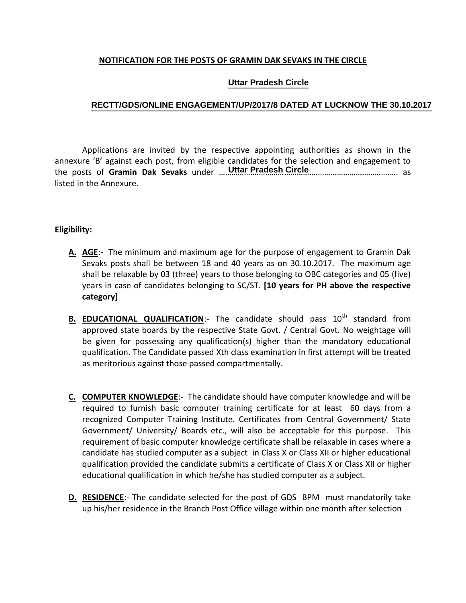# **NOTIFICATION FOR THE POSTS OF GRAMIN DAK SEVAKS IN THE CIRCLE**

# **Uttar Pradesh Circle**

# **RECTT/GDS/ONLINE ENGAGEMENT/UP/2017/8 DATED AT LUCKNOW THE 30.10.2017**

**Uttar Pradesh Circle** the posts of **Gramin Dak Sevaks** under ……………….……………………….……………………………….. as Applications are invited by the respective appointing authorities as shown in the annexure 'B' against each post, from eligible candidates for the selection and engagement to listed in the Annexure.

## **Eligibility:**

- **A. AGE**:- The minimum and maximum age for the purpose of engagement to Gramin Dak Sevaks posts shall be between 18 and 40 years as on 30.10.2017. The maximum age shall be relaxable by 03 (three) years to those belonging to OBC categories and 05 (five) years in case of candidates belonging to SC/ST. **[10 years for PH above the respective category]**
- **B. EDUCATIONAL QUALIFICATION:-** The candidate should pass 10<sup>th</sup> standard from approved state boards by the respective State Govt. / Central Govt. No weightage will be given for possessing any qualification(s) higher than the mandatory educational qualification. The Candidate passed Xth class examination in first attempt will be treated as meritorious against those passed compartmentally.
- **C. COMPUTER KNOWLEDGE**:- The candidate should have computer knowledge and will be required to furnish basic computer training certificate for at least 60 days from a recognized Computer Training Institute. Certificates from Central Government/ State Government/ University/ Boards etc., will also be acceptable for this purpose. This requirement of basic computer knowledge certificate shall be relaxable in cases where a candidate has studied computer as a subject in Class X or Class XII or higher educational qualification provided the candidate submits a certificate of Class X or Class XII or higher educational qualification in which he/she has studied computer as a subject.
- **D. RESIDENCE**:- The candidate selected for the post of GDS BPM must mandatorily take up his/her residence in the Branch Post Office village within one month after selection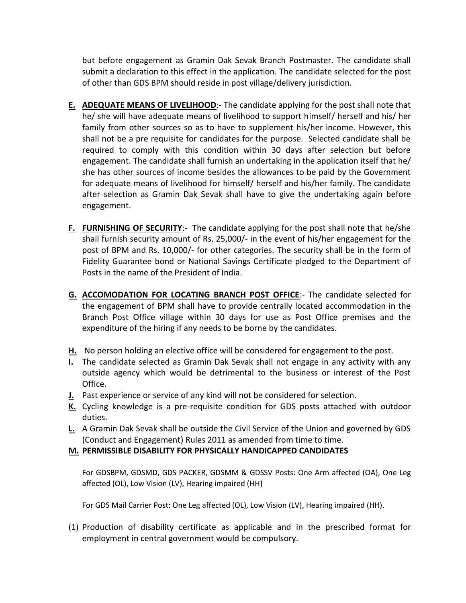but before engagement as Gramin Dak Sevak Branch Postmaster. The candidate shall submit a declaration to this effect in the application. The candidate selected for the post of other than GDS BPM should reside in post village/delivery jurisdiction.

- **E.** ADEQUATE MEANS OF LIVELIHOOD:- The candidate applying for the post shall note that he/ she will have adequate means of livelihood to support himself/ herself and his/ her family from other sources so as to have to supplement his/her income. However, this shall not be a pre requisite for candidates for the purpose. Selected candidate shall be required to comply with this condition within 30 days after selection but before engagement. The candidate shall furnish an undertaking in the application itself that he/ she has other sources of income besides the allowances to be paid by the Government for adequate means of livelihood for himself/ herself and his/her family. The candidate after selection as Gramin Dak Sevak shall have to give the undertaking again before engagement.
- **F. FURNISHING OF SECURITY:-** The candidate applying for the post shall note that he/she shall furnish security amount of Rs. 25,000/- in the event of his/her engagement for the post of BPM and Rs. 10,000/- for other categories. The security shall be in the form of Fidelity Guarantee bond or National Savings Certificate pledged to the Department of Posts in the name of the President of India.
- G. ACCOMODATION FOR LOCATING BRANCH POST OFFICE:- The candidate selected for the engagement of BPM shall have to provide centrally located accommodation in the Branch Post Office village within 30 days for use as Post Office premises and the expenditure of the hiring if any needs to be borne by the candidates.
- H. No person holding an elective office will be considered for engagement to the post.
- I. The candidate selected as Gramin Dak Sevak shall not engage in any activity with any outside agency which would be detrimental to the business or interest of the Post Office.
- J. Past experience or service of any kind will not be considered for selection.
- K. Cycling knowledge is a pre-requisite condition for GDS posts attached with outdoor duties.
- L. A Gramin Dak Sevak shall be outside the Civil Service of the Union and governed by GDS (Conduct and Engagement) Rules 2011 as amended from time to time.
- M. PERMISSIBLE DISABILITY FOR PHYSICALLY HANDICAPPED CANDIDATES

For GDSBPM, GDSMD, GDS PACKER, GDSMM & GDSSV Posts: One Arm affected (OA), One Leg affected (OL), Low Vision (LV), Hearing impaired (HH)

For GDS Mail Carrier Post: One Leg affected (OL), Low Vision (LV), Hearing impaired (HH).

(1) Production of disability certificate as applicable and in the prescribed format for employment in central government would be compulsory.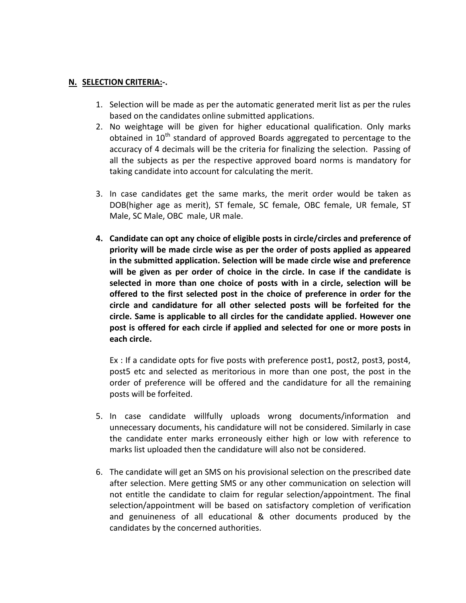# N. SELECTION CRITERIA:-.

- 1. Selection will be made as per the automatic generated merit list as per the rules based on the candidates online submitted applications.
- 2. No weightage will be given for higher educational qualification. Only marks obtained in 10<sup>th</sup> standard of approved Boards aggregated to percentage to the accuracy of 4 decimals will be the criteria for finalizing the selection. Passing of all the subjects as per the respective approved board norms is mandatory for taking candidate into account for calculating the merit.
- 3. In case candidates get the same marks, the merit order would be taken as DOB(higher age as merit), ST female, SC female, OBC female, UR female, ST Male, SC Male, OBC male, UR male.
- 4. Candidate can opt any choice of eligible posts in circle/circles and preference of priority will be made circle wise as per the order of posts applied as appeared in the submitted application. Selection will be made circle wise and preference will be given as per order of choice in the circle. In case if the candidate is selected in more than one choice of posts with in a circle, selection will be offered to the first selected post in the choice of preference in order for the circle and candidature for all other selected posts will be forfeited for the circle. Same is applicable to all circles for the candidate applied. However one post is offered for each circle if applied and selected for one or more posts in each circle.

Ex: If a candidate opts for five posts with preference post1, post2, post3, post4, post5 etc and selected as meritorious in more than one post, the post in the order of preference will be offered and the candidature for all the remaining posts will be forfeited.

- 5. In case candidate willfully uploads wrong documents/information and unnecessary documents, his candidature will not be considered. Similarly in case the candidate enter marks erroneously either high or low with reference to marks list uploaded then the candidature will also not be considered.
- 6. The candidate will get an SMS on his provisional selection on the prescribed date after selection. Mere getting SMS or any other communication on selection will not entitle the candidate to claim for regular selection/appointment. The final selection/appointment will be based on satisfactory completion of verification and genuineness of all educational & other documents produced by the candidates by the concerned authorities.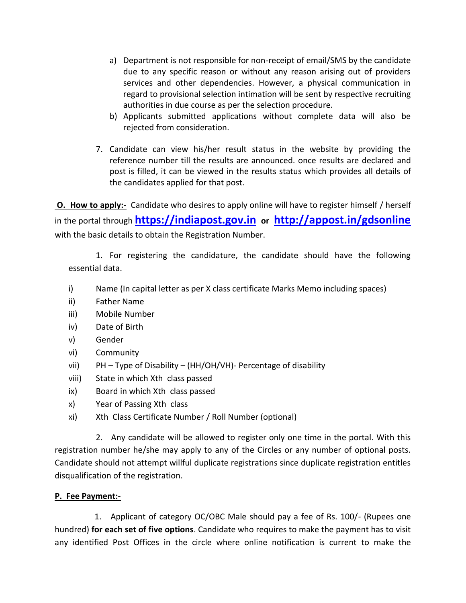- a) Department is not responsible for non-receipt of email/SMS by the candidate due to any specific reason or without any reason arising out of providers services and other dependencies. However, a physical communication in regard to provisional selection intimation will be sent by respective recruiting authorities in due course as per the selection procedure.
- b) Applicants submitted applications without complete data will also be rejected from consideration.
- 7. Candidate can view his/her result status in the website by providing the reference number till the results are announced, once results are declared and post is filled, it can be viewed in the results status which provides all details of the candidates applied for that post.

O. How to apply:- Candidate who desires to apply online will have to register himself / herself in the portal through https://indiapost.gov.in or http://appost.in/gdsonline with the basic details to obtain the Registration Number.

1. For registering the candidature, the candidate should have the following essential data.

- $i)$ Name (In capital letter as per X class certificate Marks Memo including spaces)
- ii) **Father Name**
- $iii)$ Mobile Number
- Date of Birth iv)
- $V)$ Gender
- vi) Community
- PH Type of Disability (HH/OH/VH)- Percentage of disability vii)
- State in which Xth class passed viii)
- ix) Board in which Xth class passed
- x) Year of Passing Xth class
- xi) Xth Class Certificate Number / Roll Number (optional)

2. Any candidate will be allowed to register only one time in the portal. With this registration number he/she may apply to any of the Circles or any number of optional posts. Candidate should not attempt willful duplicate registrations since duplicate registration entitles disqualification of the registration.

# P. Fee Payment:-

1. Applicant of category OC/OBC Male should pay a fee of Rs. 100/- (Rupees one hundred) for each set of five options. Candidate who requires to make the payment has to visit any identified Post Offices in the circle where online notification is current to make the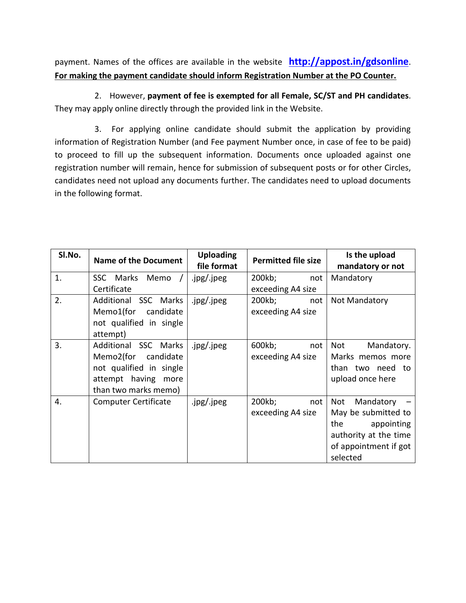payment. Names of the offices are available in the website http://appost.in/gdsonline. For making the payment candidate should inform Registration Number at the PO Counter.

2. However, payment of fee is exempted for all Female, SC/ST and PH candidates. They may apply online directly through the provided link in the Website.

3. For applying online candidate should submit the application by providing information of Registration Number (and Fee payment Number once, in case of fee to be paid) to proceed to fill up the subsequent information. Documents once uploaded against one registration number will remain, hence for submission of subsequent posts or for other Circles, candidates need not upload any documents further. The candidates need to upload documents in the following format.

| SI.No. | <b>Name of the Document</b> | <b>Uploading</b><br>file format | <b>Permitted file size</b> | Is the upload<br>mandatory or not |
|--------|-----------------------------|---------------------------------|----------------------------|-----------------------------------|
| 1.     | SSC Marks<br>Memo           | .jpg/.jpeg                      | 200kb;<br>not l            | Mandatory                         |
|        | Certificate                 |                                 | exceeding A4 size          |                                   |
| 2.     | Additional SSC Marks        | .jpg/.jpeg                      | 200kb;<br>not              | Not Mandatory                     |
|        | Memo1(for<br>candidate      |                                 | exceeding A4 size          |                                   |
|        | not qualified in single     |                                 |                            |                                   |
|        | attempt)                    |                                 |                            |                                   |
| 3.     | Additional SSC Marks        | .jpg/.jpeg                      | 600kb;<br>not              | Mandatory.<br>Not                 |
|        | Memo2(for<br>candidate      |                                 | exceeding A4 size          | Marks memos more                  |
|        | not qualified in single     |                                 |                            | than two need to                  |
|        | attempt having more         |                                 |                            | upload once here                  |
|        | than two marks memo)        |                                 |                            |                                   |
| 4.     | <b>Computer Certificate</b> | .jpg/.jpeg                      | 200kb;<br>not              | Not<br>Mandatory                  |
|        |                             |                                 | exceeding A4 size          | May be submitted to               |
|        |                             |                                 |                            | the<br>appointing                 |
|        |                             |                                 |                            | authority at the time             |
|        |                             |                                 |                            | of appointment if got             |
|        |                             |                                 |                            | selected                          |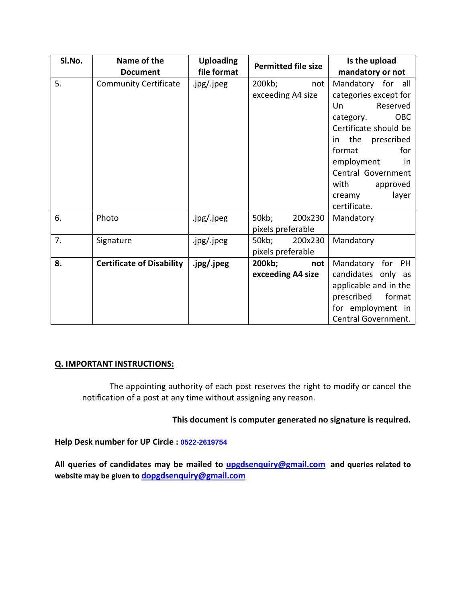| SI.No. | Name of the                      | <b>Uploading</b> | <b>Permitted file size</b> | Is the upload           |
|--------|----------------------------------|------------------|----------------------------|-------------------------|
|        | <b>Document</b>                  | file format      |                            | mandatory or not        |
| 5.     | <b>Community Certificate</b>     | .jpg/.jpeg       | 200kb;<br>not              | Mandatory for all       |
|        |                                  |                  | exceeding A4 size          | categories except for   |
|        |                                  |                  |                            | Reserved<br>Un          |
|        |                                  |                  |                            | <b>OBC</b><br>category. |
|        |                                  |                  |                            | Certificate should be   |
|        |                                  |                  |                            | in the<br>prescribed    |
|        |                                  |                  |                            | format<br>for           |
|        |                                  |                  |                            | employment<br>- in      |
|        |                                  |                  |                            | Central Government      |
|        |                                  |                  |                            | with<br>approved        |
|        |                                  |                  |                            | layer<br>creamy         |
|        |                                  |                  |                            | certificate.            |
| 6.     | Photo                            | .jpg/.jpeg       | 50kb;<br>200x230           | Mandatory               |
|        |                                  |                  | pixels preferable          |                         |
| 7.     | Signature                        | .jpg/.jpeg       | 50kb;<br>200x230           | Mandatory               |
|        |                                  |                  | pixels preferable          |                         |
| 8.     | <b>Certificate of Disability</b> | .jpg/.jpeg       | 200kb;<br>not              | Mandatory for PH        |
|        |                                  |                  | exceeding A4 size          | candidates only as      |
|        |                                  |                  |                            | applicable and in the   |
|        |                                  |                  |                            | prescribed<br>format    |
|        |                                  |                  |                            | for employment in       |
|        |                                  |                  |                            | Central Government.     |

# Q. IMPORTANT INSTRUCTIONS:

The appointing authority of each post reserves the right to modify or cancel the notification of a post at any time without assigning any reason.

# This document is computer generated no signature is required.

Help Desk number for UP Circle : 0522-2619754

All queries of candidates may be mailed to *upgdsenquiry@gmail.com* and queries related to website may be given to dopgdsenquiry@gmail.com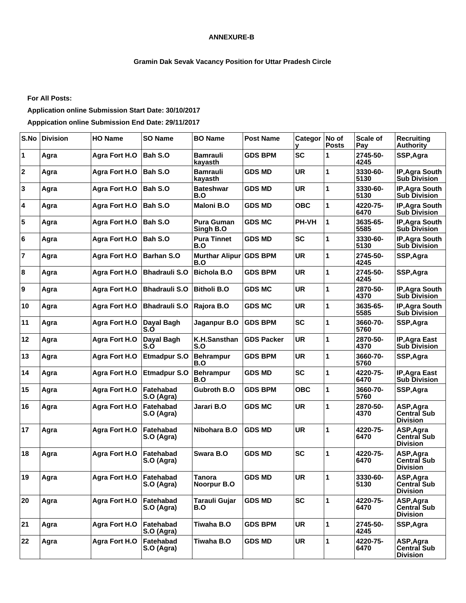#### **ANNEXURE-B**

### **Gramin Dak Sevak Vacancy Position for Uttar Pradesh Circle**

**For All Posts:**

**Application online Submission Start Date: 30/10/2017**

**Apppication online Submission End Date: 29/11/2017**

| S.No                    | <b>Division</b> | <b>HO Name</b>       | <b>SO Name</b>          | <b>BO Name</b>                 | <b>Post Name</b>  | Categor   No of<br>v | <b>Posts</b> | Scale of<br>Pay  | Recruiting<br><b>Authority</b>                     |
|-------------------------|-----------------|----------------------|-------------------------|--------------------------------|-------------------|----------------------|--------------|------------------|----------------------------------------------------|
| 1                       | Agra            | Agra Fort H.O        | Bah S.O                 | <b>Bamrauli</b><br>kayasth     | <b>GDS BPM</b>    | <b>SC</b>            | 1            | 2745-50-<br>4245 | SSP, Agra                                          |
| $\overline{\mathbf{2}}$ | Agra            | Agra Fort H.O        | Bah S.O                 | <b>Bamrauli</b><br>kayasth     | <b>GDS MD</b>     | <b>UR</b>            | 1            | 3330-60-<br>5130 | IP, Agra South<br><b>Sub Division</b>              |
| 3                       | Agra            | Agra Fort H.O        | Bah S.O                 | <b>Bateshwar</b><br>B.O        | <b>GDS MD</b>     | <b>UR</b>            | 1            | 3330-60-<br>5130 | IP, Agra South<br><b>Sub Division</b>              |
| 4                       | Agra            | Agra Fort H.O        | Bah S.O                 | Maloni B.O                     | <b>GDS MD</b>     | <b>OBC</b>           | 1            | 4220-75-<br>6470 | IP, Agra South<br><b>Sub Division</b>              |
| 5                       | Agra            | Agra Fort H.O        | Bah S.O                 | <b>Pura Guman</b><br>Singh B.O | <b>GDS MC</b>     | PH-VH                | 1            | 3635-65-<br>5585 | IP, Agra South<br><b>Sub Division</b>              |
| 6                       | Agra            | Agra Fort H.O        | <b>Bah S.O</b>          | <b>Pura Tinnet</b><br>B.O      | <b>GDS MD</b>     | <b>SC</b>            | 1            | 3330-60-<br>5130 | IP, Agra South<br><b>Sub Division</b>              |
| $\overline{7}$          | Agra            | Agra Fort H.O        | <b>Barhan S.O</b>       | <b>Murthar Alipur</b><br>B.O   | <b>GDS BPM</b>    | <b>UR</b>            | 1            | 2745-50-<br>4245 | SSP, Agra                                          |
| 8                       | Agra            | Agra Fort H.O        | <b>Bhadrauli S.O</b>    | <b>Bichola B.O</b>             | <b>GDS BPM</b>    | <b>UR</b>            | 1            | 2745-50-<br>4245 | SSP, Agra                                          |
| 9                       | Agra            | Agra Fort H.O        | <b>Bhadrauli S.O</b>    | <b>Bitholi B.O</b>             | <b>GDS MC</b>     | <b>UR</b>            | 1            | 2870-50-<br>4370 | IP, Agra South<br><b>Sub Division</b>              |
| 10                      | Agra            | Agra Fort H.O        | <b>Bhadrauli S.O</b>    | Rajora B.O                     | <b>GDS MC</b>     | <b>UR</b>            | 1            | 3635-65-<br>5585 | IP, Agra South<br><b>Sub Division</b>              |
| 11                      | Agra            | Agra Fort H.O        | Dayal Bagh<br>S.O       | Jaganpur B.O                   | <b>GDS BPM</b>    | <b>SC</b>            | 1            | 3660-70-<br>5760 | SSP, Agra                                          |
| 12                      | Agra            | Agra Fort H.O        | Dayal Bagh<br>S.Ó       | K.H.Sansthan<br>S.O            | <b>GDS Packer</b> | <b>UR</b>            | 1            | 2870-50-<br>4370 | <b>IP, Agra East</b><br><b>Sub Division</b>        |
| 13                      | Agra            | Agra Fort H.O        | <b>Etmadpur S.O</b>     | Behrampur<br><b>B.O</b>        | <b>GDS BPM</b>    | <b>UR</b>            | 1            | 3660-70-<br>5760 | SSP, Agra                                          |
| 14                      | Agra            | Agra Fort H.O        | <b>Etmadpur S.O</b>     | <b>Behrampur</b><br>B.O        | <b>GDS MD</b>     | <b>SC</b>            | 1            | 4220-75-<br>6470 | IP, Agra East<br><b>Sub Division</b>               |
| 15                      | Agra            | Agra Fort H.O        | Fatehabad<br>S.O (Agra) | Gubroth B.O                    | <b>GDS BPM</b>    | <b>OBC</b>           | 1            | 3660-70-<br>5760 | SSP, Agra                                          |
| 16                      | Agra            | Agra Fort H.O        | Fatehabad<br>S.O (Agra) | Jarari B.O                     | <b>GDS MC</b>     | <b>UR</b>            | 1            | 2870-50-<br>4370 | ASP, Agra<br><b>Central Sub</b><br><b>Division</b> |
| 17                      | Agra            | Agra Fort H.O        | Fatehabad<br>S.O (Agra) | Nibohara B.O                   | <b>GDS MD</b>     | <b>UR</b>            | 1            | 4220-75-<br>6470 | ASP, Agra<br><b>Central Sub</b><br><b>Division</b> |
| 18                      | Agra            | Agra Fort H.O        | Fatehabad<br>S.O (Agra) | Swara B.O                      | <b>GDS MD</b>     | <b>SC</b>            | 1            | 4220-75-<br>6470 | ASP, Agra<br><b>Central Sub</b><br><b>Division</b> |
| 19                      | Agra            | <b>Agra Fort H.O</b> | Fatehabad<br>S.O (Agra) | <b>Tanora</b><br>Noorpur B.O   | <b>GDS MD</b>     | UR                   | 1            | 3330-60-<br>5130 | ASP, Agra<br><b>Central Sub</b><br><b>Division</b> |
| 20                      | Agra            | <b>Agra Fort H.O</b> | Fatehabad<br>S.O (Agra) | <b>Tarauli Gujar</b><br>B.O    | <b>GDS MD</b>     | <b>SC</b>            | 1            | 4220-75-<br>6470 | ASP, Agra<br><b>Central Sub</b><br><b>Division</b> |
| 21                      | Agra            | <b>Agra Fort H.O</b> | Fatehabad<br>S.O (Agra) | Tiwaha B.O                     | <b>GDS BPM</b>    | <b>UR</b>            | 1            | 2745-50-<br>4245 | SSP, Agra                                          |
| 22                      | Agra            | <b>Agra Fort H.O</b> | Fatehabad<br>S.O (Agra) | Tiwaha B.O                     | <b>GDS MD</b>     | <b>UR</b>            | 1            | 4220-75-<br>6470 | ASP, Agra<br><b>Central Sub</b><br><b>Division</b> |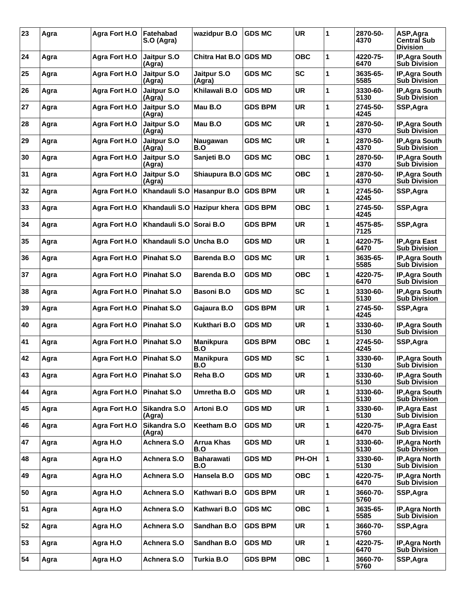| 23 | Agra | <b>Agra Fort H.O</b> | Fatehabad<br>S.O (Agra) | wazidpur B.O             | <b>GDS MC</b>  | <b>UR</b>  | 1            | 2870-50-<br>4370 | ASP, Agra<br><b>Central Sub</b><br><b>Division</b> |
|----|------|----------------------|-------------------------|--------------------------|----------------|------------|--------------|------------------|----------------------------------------------------|
| 24 | Agra | Agra Fort H.O        | Jaitpur S.O<br>(Agra)   | <b>Chitra Hat B.O</b>    | <b>GDS MD</b>  | <b>OBC</b> | 1            | 4220-75-<br>6470 | IP, Agra South<br><b>Sub Division</b>              |
| 25 | Agra | Agra Fort H.O        | Jaitpur S.O<br>(Agra)   | Jaitpur S.O<br>(Agra)    | <b>GDS MC</b>  | <b>SC</b>  | 1            | 3635-65-<br>5585 | IP, Agra South<br><b>Sub Division</b>              |
| 26 | Agra | Agra Fort H.O        | Jaitpur S.O<br>(Agra)   | Khilawali B.O            | <b>GDS MD</b>  | <b>UR</b>  | 1            | 3330-60-<br>5130 | IP, Agra South<br><b>Sub Division</b>              |
| 27 | Agra | Agra Fort H.O        | Jaitpur S.O<br>(Agra)   | Mau B.O                  | <b>GDS BPM</b> | <b>UR</b>  | 1            | 2745-50-<br>4245 | SSP, Agra                                          |
| 28 | Agra | Agra Fort H.O        | Jaitpur S.O<br>(Agra)   | Mau B.O                  | <b>GDS MC</b>  | <b>UR</b>  | 1            | 2870-50-<br>4370 | <b>IP.Agra South</b><br><b>Sub Division</b>        |
| 29 | Agra | Agra Fort H.O        | Jaitpur S.O<br>(Agra)   | Naugawan<br>B.O          | <b>GDS MC</b>  | <b>UR</b>  | 1            | 2870-50-<br>4370 | IP, Agra South<br><b>Sub Division</b>              |
| 30 | Agra | Agra Fort H.O        | Jaitpur S.O<br>(Agra)   | Sanjeti B.O              | <b>GDS MC</b>  | <b>OBC</b> | 1            | 2870-50-<br>4370 | IP, Agra South<br><b>Sub Division</b>              |
| 31 | Agra | Agra Fort H.O        | Jaitpur S.O<br>(Agra)   | Shiaupura B.O GDS MC     |                | <b>OBC</b> | 1            | 2870-50-<br>4370 | IP, Agra South<br><b>Sub Division</b>              |
| 32 | Agra | Agra Fort H.O        | Khandauli S.O           | <b>Hasanpur B.O</b>      | <b>GDS BPM</b> | <b>UR</b>  | 1            | 2745-50-<br>4245 | SSP, Agra                                          |
| 33 | Agra | Agra Fort H.O        | Khandauli S.O           | Hazipur khera            | <b>GDS BPM</b> | <b>OBC</b> | 1            | 2745-50-<br>4245 | SSP, Agra                                          |
| 34 | Agra | Agra Fort H.O        | Khandauli S.O           | Sorai B.O                | <b>GDS BPM</b> | <b>UR</b>  | 1            | 4575-85-<br>7125 | SSP, Agra                                          |
| 35 | Agra | Agra Fort H.O        | Khandauli S.O           | Uncha B.O                | <b>GDS MD</b>  | <b>UR</b>  | 1            | 4220-75-<br>6470 | IP, Agra East<br><b>Sub Division</b>               |
| 36 | Agra | Agra Fort H.O        | <b>Pinahat S.O</b>      | <b>Barenda B.O</b>       | <b>GDS MC</b>  | <b>UR</b>  | 1            | 3635-65-<br>5585 | IP, Agra South<br><b>Sub Division</b>              |
| 37 | Agra | Agra Fort H.O        | <b>Pinahat S.O</b>      | <b>Barenda B.O</b>       | <b>GDS MD</b>  | <b>OBC</b> | 1            | 4220-75-<br>6470 | IP, Agra South<br><b>Sub Division</b>              |
| 38 | Agra | Agra Fort H.O        | <b>Pinahat S.O</b>      | <b>Basoni B.O</b>        | <b>GDS MD</b>  | <b>SC</b>  | 1            | 3330-60-<br>5130 | IP, Agra South<br><b>Sub Division</b>              |
| 39 | Agra | Agra Fort H.O        | <b>Pinahat S.O</b>      | Gajaura B.O              | <b>GDS BPM</b> | <b>UR</b>  | 1            | 2745-50-<br>4245 | SSP, Agra                                          |
| 40 | Agra | Agra Fort H.O        | Pinahat S.O             | <b>Kukthari B.O</b>      | <b>GDS MD</b>  | <b>UR</b>  | 1            | 3330-60-<br>5130 | IP, Agra South<br><b>Sub Division</b>              |
| 41 | Agra | Agra Fort H.O        | <b>Pinahat S.O</b>      | <b>Manikpura</b><br>B.O  | <b>GDS BPM</b> | OBC        | 1            | 2745-50-<br>4245 | SSP, Agra                                          |
| 42 | Agra | Agra Fort H.O        | Pinahat S.O             | <b>Manikpura</b><br>B.O  | <b>GDS MD</b>  | <b>SC</b>  | 1            | 3330-60-<br>5130 | IP, Agra South<br><b>Sub Division</b>              |
| 43 | Agra | Agra Fort H.O        | Pinahat S.O             | Reha B.O                 | <b>GDS MD</b>  | <b>UR</b>  | $\mathbf{1}$ | 3330-60-<br>5130 | IP, Agra South<br><b>Sub Division</b>              |
| 44 | Agra | <b>Agra Fort H.O</b> | <b>Pinahat S.O</b>      | Umretha B.O              | <b>GDS MD</b>  | <b>UR</b>  | 1            | 3330-60-<br>5130 | IP, Agra South<br><b>Sub Division</b>              |
| 45 | Agra | <b>Agra Fort H.O</b> | Sikandra S.O<br>(Agra)  | Artoni B.O               | <b>GDS MD</b>  | <b>UR</b>  | 1            | 3330-60-<br>5130 | IP, Agra East<br>Sub Division                      |
| 46 | Agra | Agra Fort H.O        | Sikandra S.O<br>(Agra)  | Keetham B.O              | <b>GDS MD</b>  | <b>UR</b>  | 1            | 4220-75-<br>6470 | IP, Agra East<br><b>Sub Division</b>               |
| 47 | Agra | Agra H.O             | Achnera S.O             | <b>Arrua Khas</b><br>B.O | <b>GDS MD</b>  | <b>UR</b>  | 1            | 3330-60-<br>5130 | IP, Agra North<br><b>Sub Division</b>              |
| 48 | Agra | Agra H.O             | Achnera S.O             | <b>Baharawati</b><br>B.O | <b>GDS MD</b>  | PH-OH      | 1            | 3330-60-<br>5130 | IP, Agra North<br><b>Sub Division</b>              |
| 49 | Agra | Agra H.O             | Achnera S.O             | Hansela B.O              | <b>GDS MD</b>  | <b>OBC</b> | $\mathbf{1}$ | 4220-75-<br>6470 | IP, Agra North<br><b>Sub Division</b>              |
| 50 | Agra | Agra H.O             | Achnera S.O             | Kathwari B.O             | <b>GDS BPM</b> | <b>UR</b>  | 1            | 3660-70-<br>5760 | SSP, Agra                                          |
| 51 | Agra | Agra H.O             | Achnera S.O             | Kathwari B.O             | <b>GDS MC</b>  | <b>OBC</b> | 1            | 3635-65-<br>5585 | IP, Agra North<br><b>Sub Division</b>              |
| 52 | Agra | Agra H.O             | Achnera S.O             | Sandhan B.O              | <b>GDS BPM</b> | <b>UR</b>  | 1            | 3660-70-<br>5760 | SSP, Agra                                          |
| 53 | Agra | Agra H.O             | Achnera S.O             | Sandhan B.O              | <b>GDS MD</b>  | <b>UR</b>  | 1            | 4220-75-<br>6470 | IP, Agra North<br><b>Sub Division</b>              |
| 54 | Agra | Agra H.O             | Achnera S.O             | Turkia B.O               | <b>GDS BPM</b> | <b>OBC</b> | 1            | 3660-70-<br>5760 | SSP, Agra                                          |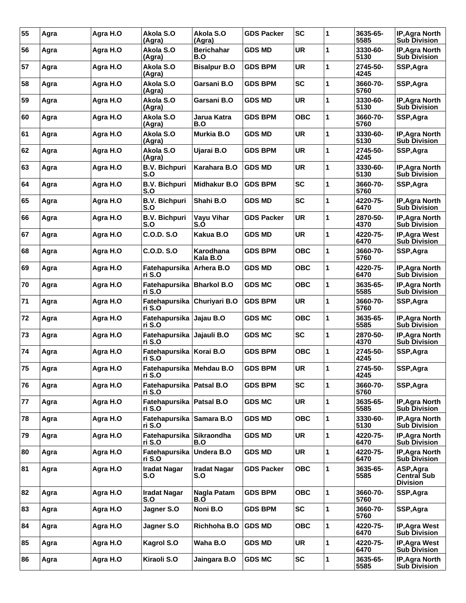| 55 | Agra | Agra H.O | Akola S.O<br>(Agra)                   | Akola S.O<br>(Agra)        | <b>GDS Packer</b> | <b>SC</b>  | 1 | 3635-65-<br>5585 | IP, Agra North<br><b>Sub Division</b>        |
|----|------|----------|---------------------------------------|----------------------------|-------------------|------------|---|------------------|----------------------------------------------|
| 56 | Agra | Agra H.O | Akola S.O<br>(Agra)                   | <b>Berichahar</b><br>B.O   | <b>GDS MD</b>     | <b>UR</b>  | 1 | 3330-60-<br>5130 | IP, Agra North<br><b>Sub Division</b>        |
| 57 | Agra | Agra H.O | Akola S.O<br>(Agra)                   | <b>Bisalpur B.O</b>        | <b>GDS BPM</b>    | <b>UR</b>  | 1 | 2745-50-<br>4245 | SSP, Agra                                    |
| 58 | Agra | Agra H.O | Akola S.O<br>(Agra)                   | Garsani B.O                | <b>GDS BPM</b>    | <b>SC</b>  | 1 | 3660-70-<br>5760 | SSP, Agra                                    |
| 59 | Agra | Agra H.O | Akola S.O<br>(Agra)                   | Garsani B.O                | <b>GDS MD</b>     | <b>UR</b>  | 1 | 3330-60-<br>5130 | <b>IP, Agra North</b><br><b>Sub Division</b> |
| 60 | Agra | Agra H.O | Akola S.O<br>(Agra)                   | Jarua Katra<br>B.O         | <b>GDS BPM</b>    | <b>OBC</b> | 1 | 3660-70-<br>5760 | SSP, Agra                                    |
| 61 | Agra | Agra H.O | Akola S.O<br>(Agra)                   | Murkia B.O                 | <b>GDS MD</b>     | <b>UR</b>  | 1 | 3330-60-<br>5130 | IP, Agra North<br><b>Sub Division</b>        |
| 62 | Agra | Agra H.O | Akola S.O<br>(Agra)                   | Ujarai B.O                 | <b>GDS BPM</b>    | <b>UR</b>  | 1 | 2745-50-<br>4245 | SSP, Agra                                    |
| 63 | Agra | Agra H.O | <b>B.V. Bichpuri</b><br>S.O           | Karahara B.O               | <b>GDS MD</b>     | <b>UR</b>  | 1 | 3330-60-<br>5130 | IP, Agra North<br><b>Sub Division</b>        |
| 64 | Agra | Agra H.O | <b>B.V. Bichpuri</b><br>S.O           | <b>Midhakur B.O</b>        | <b>GDS BPM</b>    | <b>SC</b>  | 1 | 3660-70-<br>5760 | SSP, Agra                                    |
| 65 | Agra | Agra H.O | <b>B.V. Bichpuri</b><br>S.O           | Shahi B.O                  | <b>GDS MD</b>     | <b>SC</b>  | 1 | 4220-75-<br>6470 | IP, Agra North<br><b>Sub Division</b>        |
| 66 | Agra | Agra H.O | <b>B.V. Bichpuri</b><br>S.O           | <b>Vayu Vihar</b><br>S.O   | <b>GDS Packer</b> | <b>UR</b>  | 1 | 2870-50-<br>4370 | IP, Agra North<br><b>Sub Division</b>        |
| 67 | Agra | Agra H.O | <b>C.O.D. S.O</b>                     | Kakua B.O                  | <b>GDS MD</b>     | <b>UR</b>  | 1 | 4220-75-<br>6470 | IP, Agra West<br><b>Sub Division</b>         |
| 68 | Agra | Agra H.O | <b>C.O.D. S.O</b>                     | Karodhana<br>Kala B.O      | <b>GDS BPM</b>    | <b>OBC</b> | 1 | 3660-70-<br>5760 | SSP, Agra                                    |
| 69 | Agra | Agra H.O | Fatehapursika Arhera B.O<br>ri S.O    |                            | <b>GDS MD</b>     | <b>OBC</b> | 1 | 4220-75-<br>6470 | IP, Agra North<br><b>Sub Division</b>        |
| 70 | Agra | Agra H.O | Fatehapursika Bharkol B.O<br>ri S.O   |                            | <b>GDS MC</b>     | <b>OBC</b> | 1 | 3635-65-<br>5585 | IP, Agra North<br><b>Sub Division</b>        |
| 71 | Agra | Agra H.O | Fatehapursika Churiyari B.O<br>ri S.O |                            | <b>GDS BPM</b>    | <b>UR</b>  | 1 | 3660-70-<br>5760 | SSP, Agra                                    |
| 72 | Agra | Agra H.O | Fatehapursika Jajau B.O<br>ri S.O     |                            | <b>GDS MC</b>     | <b>OBC</b> | 1 | 3635-65-<br>5585 | IP, Agra North<br><b>Sub Division</b>        |
| 73 | Agra | Agra H.O | Fatehapursika Jajauli B.O<br>ri S.O   |                            | <b>GDS MC</b>     | <b>SC</b>  | 1 | 2870-50-<br>4370 | IP, Agra North<br><b>Sub Division</b>        |
| 74 | Agra | Agra H.O | Fatehapursika Korai B.O<br>ri S.O     |                            | <b>GDS BPM</b>    | <b>OBC</b> | 1 | 2745-50-<br>4245 | SSP, Agra                                    |
| 75 | Agra | Agra H.O | Fatehapursika Mehdau B.O<br>ri S.O    |                            | <b>GDS BPM</b>    | UR         | 1 | 2745-50-<br>4245 | SSP, Agra                                    |
| 76 | Agra | Agra H.O | Fatehapursika   Patsal B.O<br>ri S.O  |                            | <b>GDS BPM</b>    | <b>SC</b>  | 1 | 3660-70-<br>5760 | SSP, Agra                                    |
| 77 | Agra | Agra H.O | Fatehapursika Patsal B.O<br>ri S.O    |                            | <b>GDS MC</b>     | <b>UR</b>  | 1 | 3635-65-<br>5585 | IP, Agra North<br><b>Sub Division</b>        |
| 78 | Agra | Agra H.O | Fatehapursika<br>ri S.O               | Samara B.O                 | <b>GDS MD</b>     | <b>OBC</b> | 1 | 3330-60-<br>5130 | IP, Agra North<br><b>Sub Division</b>        |
| 79 | Agra | Agra H.O | Fatehapursika<br>ri S.O               | Sikraondha<br>B.O          | <b>GDS MD</b>     | <b>UR</b>  | 1 | 4220-75-<br>6470 | IP, Agra North<br><b>Sub Division</b>        |
| 80 | Agra | Agra H.O | Fatehapursika<br>ri S.O               | Undera B.O                 | <b>GDS MD</b>     | <b>UR</b>  | 1 | 4220-75-<br>6470 | IP, Agra North<br><b>Sub Division</b>        |
| 81 | Agra | Agra H.O | <b>Iradat Nagar</b><br>S.O            | <b>Iradat Nagar</b><br>S.O | <b>GDS Packer</b> | <b>OBC</b> | 1 | 3635-65-<br>5585 | ASP, Agra<br>Central Sub<br><b>Division</b>  |
| 82 | Agra | Agra H.O | <b>Iradat Nagar</b><br>S.O            | Nagla Patam<br>B.O         | <b>GDS BPM</b>    | <b>OBC</b> | 1 | 3660-70-<br>5760 | SSP, Agra                                    |
| 83 | Agra | Agra H.O | Jagner S.O                            | Noni B.O                   | <b>GDS BPM</b>    | <b>SC</b>  | 1 | 3660-70-<br>5760 | SSP, Agra                                    |
| 84 | Agra | Agra H.O | Jagner S.O                            | Richhoha B.O               | <b>GDS MD</b>     | <b>OBC</b> | 1 | 4220-75-<br>6470 | IP, Agra West<br><b>Sub Division</b>         |
| 85 | Agra | Agra H.O | Kagrol S.O                            | Waha B.O                   | <b>GDS MD</b>     | <b>UR</b>  | 1 | 4220-75-<br>6470 | IP, Agra West<br><b>Sub Division</b>         |
| 86 | Agra | Agra H.O | Kiraoli S.O                           | Jaingara B.O               | <b>GDS MC</b>     | <b>SC</b>  | 1 | 3635-65-<br>5585 | IP, Agra North<br><b>Sub Division</b>        |
|    |      |          |                                       |                            |                   |            |   |                  |                                              |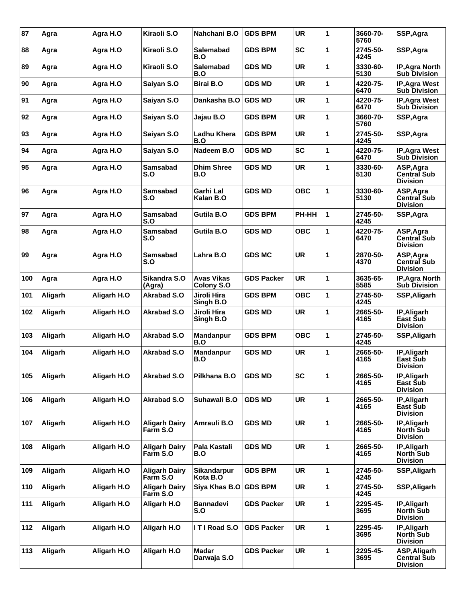| 87  | Agra    | Agra H.O    | Kiraoli S.O                      | Nahchani B.O                           | <b>GDS BPM</b>    | <b>UR</b>  | 1 | 3660-70-<br>5760 | SSP, Agra                                             |
|-----|---------|-------------|----------------------------------|----------------------------------------|-------------------|------------|---|------------------|-------------------------------------------------------|
| 88  | Agra    | Agra H.O    | Kiraoli S.O                      | <b>Salemabad</b><br>B.O                | <b>GDS BPM</b>    | <b>SC</b>  | 1 | 2745-50-<br>4245 | SSP, Agra                                             |
| 89  | Agra    | Agra H.O    | Kiraoli S.O                      | <b>Salemabad</b><br>B.O                | <b>GDS MD</b>     | <b>UR</b>  | 1 | 3330-60-<br>5130 | IP, Agra North<br><b>Sub Division</b>                 |
| 90  | Agra    | Agra H.O    | Saiyan S.O                       | <b>Birai B.O</b>                       | <b>GDS MD</b>     | <b>UR</b>  | 1 | 4220-75-<br>6470 | IP, Agra West<br><b>Sub Division</b>                  |
| 91  | Agra    | Agra H.O    | Saiyan S.O                       | Dankasha B.O                           | <b>GDS MD</b>     | <b>UR</b>  | 1 | 4220-75-<br>6470 | IP, Agra West<br><b>Sub Division</b>                  |
| 92  | Agra    | Agra H.O    | Saiyan S.O                       | Jajau B.O                              | <b>GDS BPM</b>    | <b>UR</b>  | 1 | 3660-70-<br>5760 | SSP, Agra                                             |
| 93  | Agra    | Agra H.O    | Saiyan S.O                       | Ladhu Khera<br>B.O                     | <b>GDS BPM</b>    | <b>UR</b>  | 1 | 2745-50-<br>4245 | SSP, Agra                                             |
| 94  | Agra    | Agra H.O    | Saiyan S.O                       | Nadeem B.O                             | <b>GDS MD</b>     | <b>SC</b>  | 1 | 4220-75-<br>6470 | IP, Agra West<br><b>Sub Division</b>                  |
| 95  | Agra    | Agra H.O    | <b>Samsabad</b><br>S.O           | <b>Dhim Shree</b><br>B.O               | <b>GDS MD</b>     | <b>UR</b>  | 1 | 3330-60-<br>5130 | ASP, Agra<br><b>Central Sub</b><br><b>Division</b>    |
| 96  | Agra    | Agra H.O    | <b>Samsabad</b><br>S.O           | Garhi Lal<br>Kalan B.O                 | <b>GDS MD</b>     | <b>OBC</b> | 1 | 3330-60-<br>5130 | ASP, Agra<br><b>Central Sub</b><br><b>Division</b>    |
| 97  | Agra    | Agra H.O    | <b>Samsabad</b><br>S.O           | Gutila B.O                             | <b>GDS BPM</b>    | PH-HH      | 1 | 2745-50-<br>4245 | SSP, Agra                                             |
| 98  | Agra    | Agra H.O    | <b>Samsabad</b><br>S.O           | <b>Gutila B.O</b>                      | <b>GDS MD</b>     | <b>OBC</b> | 1 | 4220-75-<br>6470 | ASP, Agra<br>Central Sub<br><b>Division</b>           |
| 99  | Agra    | Agra H.O    | <b>Samsabad</b><br>S.O           | Lahra B.O                              | <b>GDS MC</b>     | <b>UR</b>  | 1 | 2870-50-<br>4370 | ASP, Agra<br><b>Central Sub</b><br><b>Division</b>    |
| 100 | Agra    | Agra H.O    | Sikandra S.O<br>(Agra)           | <b>Avas Vikas</b><br><b>Colony S.O</b> | <b>GDS Packer</b> | <b>UR</b>  | 1 | 3635-65-<br>5585 | IP, Agra North<br><b>Sub Division</b>                 |
| 101 | Aligarh | Aligarh H.O | <b>Akrabad S.O</b>               | Jiroli Hira<br>Singh B.O               | <b>GDS BPM</b>    | <b>OBC</b> | 1 | 2745-50-<br>4245 | SSP, Aligarh                                          |
| 102 | Aligarh | Aligarh H.O | <b>Akrabad S.O</b>               | Jiroli Hira<br>Singh B.O               | <b>GDS MD</b>     | <b>UR</b>  | 1 | 2665-50-<br>4165 | IP, Aligarh<br>East Šub<br><b>Division</b>            |
| 103 | Aligarh | Aligarh H.O | <b>Akrabad S.O</b>               | <b>Mandanpur</b><br>B.O                | <b>GDS BPM</b>    | <b>OBC</b> | 1 | 2745-50-<br>4245 | SSP, Aligarh                                          |
| 104 | Aligarh | Aligarh H.O | Akrabad S.O                      | <b>Mandanpur</b><br>B.O                | <b>GDS MD</b>     | <b>UR</b>  | 1 | 2665-50-<br>4165 | IP, Aligarh<br>East Sub<br><b>Division</b>            |
| 105 | Aligarh | Aligarh H.O | <b>Akrabad S.O</b>               | Pilkhana B.O                           | <b>GDS MD</b>     | <b>SC</b>  | 1 | 2665-50-<br>4165 | IP, Aligarh<br>East Šub<br><b>Division</b>            |
| 106 | Aligarh | Aligarh H.O | <b>Akrabad S.O</b>               | Suhawali B.O                           | <b>GDS MD</b>     | <b>UR</b>  | 1 | 2665-50-<br>4165 | IP, Aligarh<br>East Sub<br><b>Division</b>            |
| 107 | Aligarh | Aligarh H.O | <b>Aligarh Dairy</b><br>Farm S.O | Amrauli B.O                            | <b>GDS MD</b>     | UR         | 1 | 2665-50-<br>4165 | IP, Aligarh<br><b>North Sub</b><br><b>Division</b>    |
| 108 | Aligarh | Aligarh H.O | <b>Aligarh Dairy</b><br>Farm S.O | Pala Kastali<br>B.O                    | <b>GDS MD</b>     | <b>UR</b>  | 1 | 2665-50-<br>4165 | IP, Aligarh<br><b>North Sub</b><br><b>Division</b>    |
| 109 | Aligarh | Aligarh H.O | <b>Aligarh Dairy</b><br>Farm S.O | Sikandarpur<br>Kota B.O                | <b>GDS BPM</b>    | <b>UR</b>  | 1 | 2745-50-<br>4245 | SSP, Aligarh                                          |
| 110 | Aligarh | Aligarh H.O | <b>Aligarh Dairy</b><br>Farm S.O | Siya Khas B.O                          | <b>GDS BPM</b>    | UR         | 1 | 2745-50-<br>4245 | SSP, Aligarh                                          |
| 111 | Aligarh | Aligarh H.O | Aligarh H.O                      | <b>Bannadevi</b><br>S.O                | <b>GDS Packer</b> | <b>UR</b>  | 1 | 2295-45-<br>3695 | IP, Aligarh<br>North Sub<br><b>Division</b>           |
| 112 | Aligarh | Aligarh H.O | Aligarh H.O                      | ITI Road S.O                           | <b>GDS Packer</b> | <b>UR</b>  | 1 | 2295-45-<br>3695 | IP, Aligarh<br><b>North Sub</b><br><b>Division</b>    |
| 113 | Aligarh | Aligarh H.O | Aligarh H.O                      | <b>Madar</b><br>Darwaja S.O            | <b>GDS Packer</b> | <b>UR</b>  | 1 | 2295-45-<br>3695 | ASP, Aligarh<br><b>Central Sub</b><br><b>Division</b> |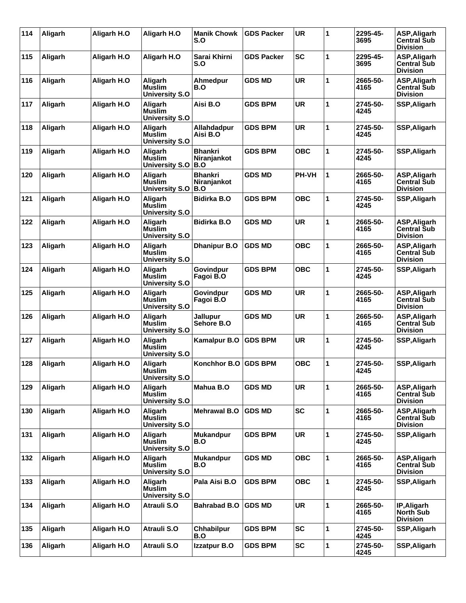| 114 | Aligarh | Aligarh H.O | Aligarh H.O                                       | <b>Manik Chowk</b><br>S.O             | <b>GDS Packer</b> | <b>UR</b>    | 1 | 2295-45-<br>3695 | ASP, Aligarh<br>Central Sub<br><b>Division</b>        |
|-----|---------|-------------|---------------------------------------------------|---------------------------------------|-------------------|--------------|---|------------------|-------------------------------------------------------|
| 115 | Aligarh | Aligarh H.O | Aligarh H.O                                       | Sarai Khirni<br>S.O                   | <b>GDS Packer</b> | <b>SC</b>    | 1 | 2295-45-<br>3695 | ASP, Aligarh<br><b>Central Sub</b><br><b>Division</b> |
| 116 | Aligarh | Aligarh H.O | Aligarh<br><b>Muslim</b><br><b>University S.O</b> | Ahmedpur<br>B.O                       | <b>GDS MD</b>     | <b>UR</b>    | 1 | 2665-50-<br>4165 | ASP, Aligarh<br>Central Sub<br><b>Division</b>        |
| 117 | Aligarh | Aligarh H.O | Aligarh<br><b>Muslim</b><br><b>University S.O</b> | Aisi B.O                              | <b>GDS BPM</b>    | <b>UR</b>    | 1 | 2745-50-<br>4245 | SSP, Aligarh                                          |
| 118 | Aligarh | Aligarh H.O | Aligarh<br><b>Muslim</b><br><b>University S.O</b> | Allahdadpur<br>Aisi B.O               | <b>GDS BPM</b>    | <b>UR</b>    | 1 | 2745-50-<br>4245 | SSP, Aligarh                                          |
| 119 | Aligarh | Aligarh H.O | Aligarh<br><b>Muslim</b><br><b>University S.O</b> | <b>Bhankri</b><br>Niranjankot<br> B.O | <b>GDS BPM</b>    | <b>OBC</b>   | 1 | 2745-50-<br>4245 | SSP, Aligarh                                          |
| 120 | Aligarh | Aligarh H.O | Aligarh<br>Muslim<br><b>University S.O</b>        | <b>Bhankri</b><br>Niranjankot<br>B.O  | <b>GDS MD</b>     | <b>PH-VH</b> | 1 | 2665-50-<br>4165 | ASP, Aligarh<br>Central Sub<br><b>Division</b>        |
| 121 | Aligarh | Aligarh H.O | Aligarh<br><b>Muslim</b><br><b>University S.O</b> | <b>Bidirka B.O</b>                    | <b>GDS BPM</b>    | <b>OBC</b>   | 1 | 2745-50-<br>4245 | SSP, Aligarh                                          |
| 122 | Aligarh | Aligarh H.O | Aligarh<br><b>Muslim</b><br><b>University S.O</b> | <b>Bidirka B.O</b>                    | <b>GDS MD</b>     | <b>UR</b>    | 1 | 2665-50-<br>4165 | ASP, Aligarh<br><b>Central Sub</b><br><b>Division</b> |
| 123 | Aligarh | Aligarh H.O | Aligarh<br><b>Muslim</b><br><b>University S.O</b> | <b>Dhanipur B.O</b>                   | <b>GDS MD</b>     | OBC          | 1 | 2665-50-<br>4165 | ASP, Aligarh<br><b>Central Sub</b><br><b>Division</b> |
| 124 | Aligarh | Aligarh H.O | Aligarh<br><b>Muslim</b><br><b>University S.O</b> | <b>Govindpur</b><br>Fagoi B.O         | <b>GDS BPM</b>    | <b>OBC</b>   | 1 | 2745-50-<br>4245 | SSP, Aligarh                                          |
| 125 | Aligarh | Aligarh H.O | Aligarh<br><b>Muslim</b><br><b>University S.O</b> | <b>Govindpur</b><br>Fagoi B.O         | <b>GDS MD</b>     | <b>UR</b>    | 1 | 2665-50-<br>4165 | ASP, Aligarh<br><b>Central Sub</b><br><b>Division</b> |
| 126 | Aligarh | Aligarh H.O | Aligarh<br>Muslim<br><b>University S.O</b>        | Jallupur<br>Sehore B.O                | <b>GDS MD</b>     | <b>UR</b>    | 1 | 2665-50-<br>4165 | ASP, Aligarh<br><b>Central Sub</b><br><b>Division</b> |
| 127 | Aligarh | Aligarh H.O | Aligarh<br><b>Muslim</b><br><b>University S.O</b> | <b>Kamalpur B.O</b>                   | <b>GDS BPM</b>    | <b>UR</b>    | 1 | 2745-50-<br>4245 | SSP, Aligarh                                          |
| 128 | Aligarh | Aligarh H.O | Aligarh<br><b>Muslim</b><br><b>University S.O</b> | Konchhor B.O                          | <b>GDS BPM</b>    | <b>OBC</b>   | 1 | 2745-50-<br>4245 | SSP, Aligarh                                          |
| 129 | Aligarh | Aligarh H.O | Aligarh<br><b>Muslim</b><br><b>University S.O</b> | Mahua B.O                             | <b>GDS MD</b>     | <b>UR</b>    | 1 | 2665-50-<br>4165 | ASP, Aligarh<br><b>Central Sub</b><br><b>Division</b> |
| 130 | Aligarh | Aligarh H.O | Aligarh<br><b>Muslim</b><br><b>University S.O</b> | <b>Mehrawal B.O</b>                   | <b>GDS MD</b>     | <b>SC</b>    | 1 | 2665-50-<br>4165 | ASP, Aligarh<br><b>Central Sub</b><br><b>Division</b> |
| 131 | Aligarh | Aligarh H.O | Aligarh<br><b>Muslim</b><br><b>University S.O</b> | <b>Mukandpur</b><br>B.O               | <b>GDS BPM</b>    | <b>UR</b>    | 1 | 2745-50-<br>4245 | SSP, Aligarh                                          |
| 132 | Aligarh | Aligarh H.O | Aligarh<br>Muslim<br><b>University S.O</b>        | <b>Mukandpur</b><br>B.O               | <b>GDS MD</b>     | <b>OBC</b>   | 1 | 2665-50-<br>4165 | ASP, Aligarh<br><b>Central Sub</b><br><b>Division</b> |
| 133 | Aligarh | Aligarh H.O | Aligarh<br>Muslim<br><b>University S.O</b>        | Pala Aisi B.O                         | <b>GDS BPM</b>    | <b>OBC</b>   | 1 | 2745-50-<br>4245 | SSP, Aligarh                                          |
| 134 | Aligarh | Aligarh H.O | Atrauli S.O                                       | <b>Bahrabad B.O</b>                   | <b>GDS MD</b>     | <b>UR</b>    | 1 | 2665-50-<br>4165 | IP, Aligarh<br><b>North Sub</b><br><b>Division</b>    |
| 135 | Aligarh | Aligarh H.O | Atrauli S.O                                       | Chhabilpur<br>B.O                     | <b>GDS BPM</b>    | <b>SC</b>    | 1 | 2745-50-<br>4245 | SSP, Aligarh                                          |
| 136 | Aligarh | Aligarh H.O | Atrauli S.O                                       | Izzatpur B.O                          | <b>GDS BPM</b>    | <b>SC</b>    | 1 | 2745-50-<br>4245 | SSP, Aligarh                                          |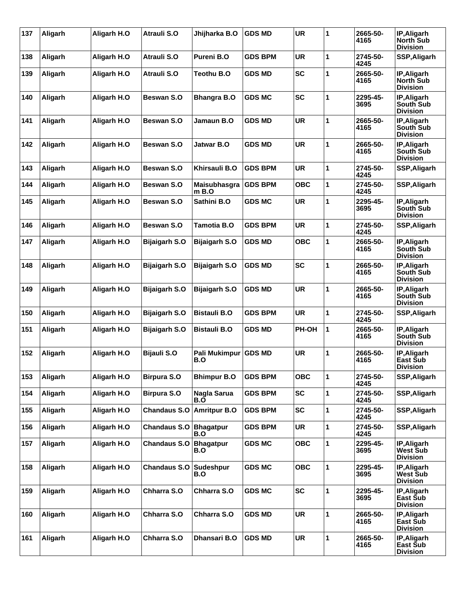| 137 | Aligarh | Aligarh H.O | <b>Atrauli S.O</b>   | Jhijharka B.O           | <b>GDS MD</b>  | UR         | 1 | 2665-50-<br>4165 | IP, Aligarh<br><b>North Sub</b><br><b>Division</b> |
|-----|---------|-------------|----------------------|-------------------------|----------------|------------|---|------------------|----------------------------------------------------|
| 138 | Aligarh | Aligarh H.O | <b>Atrauli S.O</b>   | <b>Pureni B.O</b>       | <b>GDS BPM</b> | <b>UR</b>  | 1 | 2745-50-<br>4245 | SSP, Aligarh                                       |
| 139 | Aligarh | Aligarh H.O | <b>Atrauli S.O</b>   | Teothu B.O              | <b>GDS MD</b>  | <b>SC</b>  | 1 | 2665-50-<br>4165 | IP, Aligarh<br><b>North Sub</b><br><b>Division</b> |
| 140 | Aligarh | Aligarh H.O | Beswan S.O           | <b>Bhangra B.O</b>      | <b>GDS MC</b>  | <b>SC</b>  | 1 | 2295-45-<br>3695 | IP, Aligarh<br>South Sub<br><b>Division</b>        |
| 141 | Aligarh | Aligarh H.O | Beswan S.O           | Jamaun B.O              | <b>GDS MD</b>  | <b>UR</b>  | 1 | 2665-50-<br>4165 | IP, Aligarh<br>South Sub<br><b>Division</b>        |
| 142 | Aligarh | Aligarh H.O | <b>Beswan S.O</b>    | Jatwar B.O              | <b>GDS MD</b>  | <b>UR</b>  | 1 | 2665-50-<br>4165 | IP, Aligarh<br><b>South Sub</b><br><b>Division</b> |
| 143 | Aligarh | Aligarh H.O | <b>Beswan S.O</b>    | Khirsauli B.O           | <b>GDS BPM</b> | <b>UR</b>  | 1 | 2745-50-<br>4245 | SSP, Aligarh                                       |
| 144 | Aligarh | Aligarh H.O | <b>Beswan S.O</b>    | Maisubhasgra<br>$m$ B.O | <b>GDS BPM</b> | <b>OBC</b> | 1 | 2745-50-<br>4245 | SSP, Aligarh                                       |
| 145 | Aligarh | Aligarh H.O | <b>Beswan S.O</b>    | Sathini B.O             | <b>GDS MC</b>  | <b>UR</b>  | 1 | 2295-45-<br>3695 | IP, Aligarh<br><b>South Sub</b><br><b>Division</b> |
| 146 | Aligarh | Aligarh H.O | <b>Beswan S.O</b>    | Tamotia B.O             | <b>GDS BPM</b> | <b>UR</b>  | 1 | 2745-50-<br>4245 | SSP, Aligarh                                       |
| 147 | Aligarh | Aligarh H.O | Bijaigarh S.O        | Bijaigarh S.O           | <b>GDS MD</b>  | <b>OBC</b> | 1 | 2665-50-<br>4165 | IP, Aligarh<br>South Sub<br><b>Division</b>        |
| 148 | Aligarh | Aligarh H.O | <b>Bijaigarh S.O</b> | <b>Bijaigarh S.O</b>    | <b>GDS MD</b>  | <b>SC</b>  | 1 | 2665-50-<br>4165 | IP, Aligarh<br><b>South Sub</b><br><b>Division</b> |
| 149 | Aligarh | Aligarh H.O | <b>Bijaigarh S.O</b> | <b>Bijaigarh S.O</b>    | <b>GDS MD</b>  | <b>UR</b>  | 1 | 2665-50-<br>4165 | IP, Aligarh<br><b>South Sub</b><br><b>Division</b> |
| 150 | Aligarh | Aligarh H.O | Bijaigarh S.O        | <b>Bistauli B.O</b>     | <b>GDS BPM</b> | <b>UR</b>  | 1 | 2745-50-<br>4245 | SSP, Aligarh                                       |
| 151 | Aligarh | Aligarh H.O | <b>Bijaigarh S.O</b> | <b>Bistauli B.O</b>     | <b>GDS MD</b>  | PH-OH      | 1 | 2665-50-<br>4165 | IP, Aligarh<br><b>South Sub</b><br><b>Division</b> |
| 152 | Aligarh | Aligarh H.O | <b>Bijauli S.O</b>   | Pali Mukimpur<br>B.O    | <b>GDS MD</b>  | UR         | 1 | 2665-50-<br>4165 | IP, Aligarh<br>East Sub<br><b>Division</b>         |
| 153 | Aligarh | Aligarh H.O | <b>Birpura S.O</b>   | <b>Bhimpur B.O</b>      | <b>GDS BPM</b> | ОВС        | 1 | 2745-50-<br>4245 | SSP, Aligarh                                       |
| 154 | Aligarh | Aligarh H.O | <b>Birpura S.O</b>   | Nagla Sarua<br>B.O      | <b>GDS BPM</b> | <b>SC</b>  | 1 | 2745-50-<br>4245 | SSP, Aligarh                                       |
| 155 | Aligarh | Aligarh H.O | <b>Chandaus S.O</b>  | <b>Amritpur B.O</b>     | <b>GDS BPM</b> | <b>SC</b>  | 1 | 2745-50-<br>4245 | SSP, Aligarh                                       |
| 156 | Aligarh | Aligarh H.O | <b>Chandaus S.O</b>  | <b>Bhagatpur</b><br>B.O | <b>GDS BPM</b> | UR         | 1 | 2745-50-<br>4245 | SSP, Aligarh                                       |
| 157 | Aligarh | Aligarh H.O | <b>Chandaus S.O</b>  | <b>Bhagatpur</b><br>B.O | <b>GDS MC</b>  | <b>OBC</b> | 1 | 2295-45-<br>3695 | IP, Aligarh<br><b>West Sub</b><br><b>Division</b>  |
| 158 | Aligarh | Aligarh H.O | <b>Chandaus S.O</b>  | Sudeshpur<br>B.O        | <b>GDS MC</b>  | <b>OBC</b> | 1 | 2295-45-<br>3695 | IP, Aligarh<br><b>West Sub</b><br><b>Division</b>  |
| 159 | Aligarh | Aligarh H.O | Chharra S.O          | Chharra S.O             | <b>GDS MC</b>  | <b>SC</b>  | 1 | 2295-45-<br>3695 | IP, Aligarh<br><b>East Sub</b><br><b>Division</b>  |
| 160 | Aligarh | Aligarh H.O | Chharra S.O          | Chharra S.O             | <b>GDS MD</b>  | <b>UR</b>  | 1 | 2665-50-<br>4165 | IP, Aligarh<br><b>East Sub</b><br><b>Division</b>  |
| 161 | Aligarh | Aligarh H.O | Chharra S.O          | Dhansari B.O            | <b>GDS MD</b>  | <b>UR</b>  | 1 | 2665-50-<br>4165 | IP, Aligarh<br>East Sub<br><b>Division</b>         |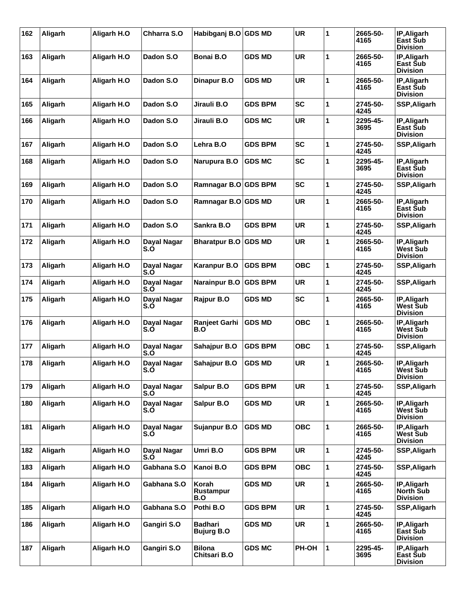| 162 | Aligarh | Aligarh H.O | <b>Chharra S.O</b> | Habibganj B.O GDS MD                |                | <b>UR</b>  | 1            | 2665-50-<br>4165 | IP, Aligarh<br>East Sub<br><b>Division</b>         |
|-----|---------|-------------|--------------------|-------------------------------------|----------------|------------|--------------|------------------|----------------------------------------------------|
| 163 | Aligarh | Aligarh H.O | Dadon S.O          | <b>Bonai B.O</b>                    | <b>GDS MD</b>  | <b>UR</b>  | 1            | 2665-50-<br>4165 | IP, Aligarh<br>East Sub<br><b>Division</b>         |
| 164 | Aligarh | Aligarh H.O | Dadon S.O          | Dinapur B.O                         | <b>GDS MD</b>  | <b>UR</b>  | 1            | 2665-50-<br>4165 | IP, Aligarh<br>East Šub<br><b>Division</b>         |
| 165 | Aligarh | Aligarh H.O | Dadon S.O          | Jirauli B.O                         | <b>GDS BPM</b> | <b>SC</b>  | 1            | 2745-50-<br>4245 | SSP, Aligarh                                       |
| 166 | Aligarh | Aligarh H.O | Dadon S.O          | Jirauli B.O                         | GDS MC         | <b>UR</b>  | 1            | 2295-45-<br>3695 | IP, Aligarh<br>East Sub<br><b>Division</b>         |
| 167 | Aligarh | Aligarh H.O | Dadon S.O          | Lehra B.O                           | <b>GDS BPM</b> | <b>SC</b>  | 1            | 2745-50-<br>4245 | SSP, Aligarh                                       |
| 168 | Aligarh | Aligarh H.O | Dadon S.O          | Narupura B.O                        | <b>GDS MC</b>  | <b>SC</b>  | 1            | 2295-45-<br>3695 | IP, Aligarh<br>East Sub<br><b>Division</b>         |
| 169 | Aligarh | Aligarh H.O | Dadon S.O          | Ramnagar B.O GDS BPM                |                | <b>SC</b>  | 1            | 2745-50-<br>4245 | SSP, Aligarh                                       |
| 170 | Aligarh | Aligarh H.O | Dadon S.O          | Ramnagar B.O GDS MD                 |                | <b>UR</b>  | 1            | 2665-50-<br>4165 | IP, Aligarh<br>East Sub<br><b>Division</b>         |
| 171 | Aligarh | Aligarh H.O | Dadon S.O          | Sankra B.O                          | <b>GDS BPM</b> | <b>UR</b>  | 1            | 2745-50-<br>4245 | SSP, Aligarh                                       |
| 172 | Aligarh | Aligarh H.O | Dayal Nagar<br>S.Ó | <b>Bharatpur B.O</b>                | <b>GDS MD</b>  | <b>UR</b>  | 1            | 2665-50-<br>4165 | IP, Aligarh<br><b>West Sub</b><br><b>Division</b>  |
| 173 | Aligarh | Aligarh H.O | Dayal Nagar<br>S.O | Karanpur B.O                        | <b>GDS BPM</b> | <b>OBC</b> | 1            | 2745-50-<br>4245 | SSP, Aligarh                                       |
| 174 | Aligarh | Aligarh H.O | Dayal Nagar<br>S.O | <b>Narainpur B.O</b>                | <b>GDS BPM</b> | <b>UR</b>  | 1            | 2745-50-<br>4245 | SSP, Aligarh                                       |
| 175 | Aligarh | Aligarh H.O | Dayal Nagar<br>S.O | Rajpur B.O                          | <b>GDS MD</b>  | <b>SC</b>  | 1            | 2665-50-<br>4165 | IP, Aligarh<br>West Sub<br><b>Division</b>         |
| 176 | Aligarh | Aligarh H.O | Dayal Nagar<br>S.Ó | Ranjeet Garhi<br>B.O                | <b>GDS MD</b>  | <b>OBC</b> | 1            | 2665-50-<br>4165 | IP, Aligarh<br>West Sub<br><b>Division</b>         |
| 177 | Aligarh | Aligarh H.O | Dayal Nagar<br>S.O | Sahajpur B.O                        | <b>GDS BPM</b> | <b>OBC</b> | 1            | 2745-50-<br>4245 | SSP, Aligarh                                       |
| 178 | Aligarh | Aligarh H.O | Dayal Nagar<br>ວ.ບ | Sahajpur B.O                        | <b>GDS MD</b>  | <b>UR</b>  | 1            | 2665-50-<br>4165 | IP, Aligarh<br>West Sub<br><b>Division</b>         |
| 179 | Aligarh | Aligarh H.O | Dayal Nagar<br>S.O | Salpur B.O                          | <b>GDS BPM</b> | <b>UR</b>  | $\mathbf{1}$ | 2745-50-<br>4245 | SSP, Aligarh                                       |
| 180 | Aligarh | Aligarh H.O | Dayal Nagar<br>S.O | Salpur B.O                          | <b>GDS MD</b>  | <b>UR</b>  | 1            | 2665-50-<br>4165 | IP, Aligarh<br><b>West Sub</b><br><b>Division</b>  |
| 181 | Aligarh | Aligarh H.O | Dayal Nagar<br>S.Ó | Sujanpur B.O                        | <b>GDS MD</b>  | <b>OBC</b> | 1            | 2665-50-<br>4165 | IP, Aligarh<br><b>West Sub</b><br><b>Division</b>  |
| 182 | Aligarh | Aligarh H.O | Dayal Nagar<br>S.O | Umri B.O                            | <b>GDS BPM</b> | <b>UR</b>  | 1            | 2745-50-<br>4245 | SSP, Aligarh                                       |
| 183 | Aligarh | Aligarh H.O | Gabhana S.O        | Kanoi B.O                           | <b>GDS BPM</b> | <b>OBC</b> | 1            | 2745-50-<br>4245 | SSP, Aligarh                                       |
| 184 | Aligarh | Aligarh H.O | Gabhana S.O        | Korah<br>Rustampur<br>B.O           | <b>GDS MD</b>  | <b>UR</b>  | 1            | 2665-50-<br>4165 | IP, Aligarh<br><b>North Sub</b><br><b>Division</b> |
| 185 | Aligarh | Aligarh H.O | Gabhana S.O        | Pothi B.O                           | <b>GDS BPM</b> | <b>UR</b>  | 1            | 2745-50-<br>4245 | SSP, Aligarh                                       |
| 186 | Aligarh | Aligarh H.O | Gangiri S.O        | <b>Badhari</b><br><b>Bujurg B.O</b> | <b>GDS MD</b>  | <b>UR</b>  | 1            | 2665-50-<br>4165 | IP, Aligarh<br>East Sub<br><b>Division</b>         |
| 187 | Aligarh | Aligarh H.O | Gangiri S.O        | <b>Bilona</b><br>Chitsari B.O       | <b>GDS MC</b>  | PH-OH      | 1            | 2295-45-<br>3695 | IP, Aligarh<br>East Sub<br><b>Division</b>         |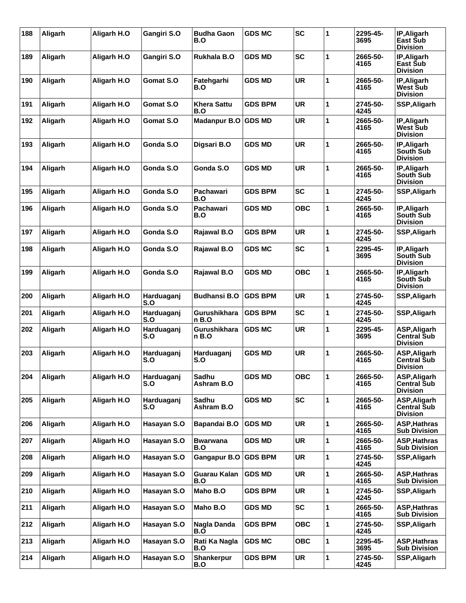| 188 | Aligarh | Aligarh H.O | Gangiri S.O       | <b>Budha Gaon</b><br>B.O   | <b>GDS MC</b>  | <b>SC</b>  | 1 | 2295-45-<br>3695 | IP, Aligarh<br>East Sub<br><b>Division</b>            |
|-----|---------|-------------|-------------------|----------------------------|----------------|------------|---|------------------|-------------------------------------------------------|
| 189 | Aligarh | Aligarh H.O | Gangiri S.O       | <b>Rukhala B.O</b>         | <b>GDS MD</b>  | <b>SC</b>  | 1 | 2665-50-<br>4165 | IP, Aligarh<br>East Sub<br><b>Division</b>            |
| 190 | Aligarh | Aligarh H.O | Gomat S.O         | Fatehgarhi<br>B.O          | <b>GDS MD</b>  | <b>UR</b>  | 1 | 2665-50-<br>4165 | IP, Aligarh<br>West Sub<br><b>Division</b>            |
| 191 | Aligarh | Aligarh H.O | Gomat S.O         | <b>Khera Sattu</b><br>B.O  | <b>GDS BPM</b> | <b>UR</b>  | 1 | 2745-50-<br>4245 | SSP, Aligarh                                          |
| 192 | Aligarh | Aligarh H.O | Gomat S.O         | <b>Madanpur B.O</b>        | <b>GDS MD</b>  | <b>UR</b>  | 1 | 2665-50-<br>4165 | IP, Aligarh<br>West Sub<br><b>Division</b>            |
| 193 | Aligarh | Aligarh H.O | Gonda S.O         | Digsari B.O                | <b>GDS MD</b>  | <b>UR</b>  | 1 | 2665-50-<br>4165 | IP, Aligarh<br>South Sub<br><b>Division</b>           |
| 194 | Aligarh | Aligarh H.O | Gonda S.O         | Gonda S.O                  | <b>GDS MD</b>  | <b>UR</b>  | 1 | 2665-50-<br>4165 | IP, Aligarh<br>South Sub<br><b>Division</b>           |
| 195 | Aligarh | Aligarh H.O | Gonda S.O         | Pachawari<br>B.O           | <b>GDS BPM</b> | <b>SC</b>  | 1 | 2745-50-<br>4245 | SSP, Aligarh                                          |
| 196 | Aligarh | Aligarh H.O | Gonda S.O         | Pachawari<br>B.O           | <b>GDS MD</b>  | <b>OBC</b> | 1 | 2665-50-<br>4165 | IP, Aligarh<br>South Sub<br><b>Division</b>           |
| 197 | Aligarh | Aligarh H.O | Gonda S.O         | Rajawal B.O                | <b>GDS BPM</b> | <b>UR</b>  | 1 | 2745-50-<br>4245 | SSP, Aligarh                                          |
| 198 | Aligarh | Aligarh H.O | Gonda S.O         | Rajawal B.O                | <b>GDS MC</b>  | <b>SC</b>  | 1 | 2295-45-<br>3695 | IP, Aligarh<br>South Sub<br><b>Division</b>           |
| 199 | Aligarh | Aligarh H.O | Gonda S.O         | Rajawal B.O                | <b>GDS MD</b>  | <b>OBC</b> | 1 | 2665-50-<br>4165 | IP, Aligarh<br>South Sub<br><b>Division</b>           |
| 200 | Aligarh | Aligarh H.O | Harduaganj<br>S.O | <b>Budhansi B.O</b>        | <b>GDS BPM</b> | <b>UR</b>  | 1 | 2745-50-<br>4245 | SSP, Aligarh                                          |
| 201 | Aligarh | Aligarh H.O | Harduaganj<br>S.O | Gurushikhara<br>$n$ B.O    | <b>GDS BPM</b> | <b>SC</b>  | 1 | 2745-50-<br>4245 | SSP, Aligarh                                          |
| 202 | Aligarh | Aligarh H.O | Harduaganj<br>S.O | Gurushikhara<br>n B.O      | <b>GDS MC</b>  | <b>UR</b>  | 1 | 2295-45-<br>3695 | ASP, Aligarh<br><b>Central Sub</b><br><b>Division</b> |
| 203 | Aligarh | Aligarh H.O | Harduaganj<br>S.O | Harduaganj<br>S.O          | <b>GDS MD</b>  | <b>UR</b>  | 1 | 2665-50-<br>4165 | ASP, Aligarh<br><b>Central Sub</b><br><b>Division</b> |
| 204 | Aligarh | Aligarh H.O | Harduaganj<br>S.O | <b>Sadhu</b><br>Ashram B.O | <b>GDS MD</b>  | ОВС        | 1 | 2665-50-<br>4165 | ASP, Aligarh<br><b>Central Sub</b><br><b>Division</b> |
| 205 | Aligarh | Aligarh H.O | Harduaganj<br>S.O | <b>Sadhu</b><br>Ashram B.O | <b>GDS MD</b>  | <b>SC</b>  | 1 | 2665-50-<br>4165 | ASP, Aligarh<br>Central Sub<br><b>Division</b>        |
| 206 | Aligarh | Aligarh H.O | Hasayan S.O       | Bapandai B.O               | <b>GDS MD</b>  | <b>UR</b>  | 1 | 2665-50-<br>4165 | <b>ASP, Hathras</b><br><b>Sub Division</b>            |
| 207 | Aligarh | Aligarh H.O | Hasayan S.O       | <b>Bwarwana</b><br>B.O     | <b>GDS MD</b>  | UR         | 1 | 2665-50-<br>4165 | <b>ASP, Hathras</b><br><b>Sub Division</b>            |
| 208 | Aligarh | Aligarh H.O | Hasayan S.O       | <b>Gangapur B.O</b>        | <b>GDS BPM</b> | UR         | 1 | 2745-50-<br>4245 | SSP, Aligarh                                          |
| 209 | Aligarh | Aligarh H.O | Hasayan S.O       | Guarau Kalan<br>B.O        | <b>GDS MD</b>  | <b>UR</b>  | 1 | 2665-50-<br>4165 | <b>ASP, Hathras</b><br><b>Sub Division</b>            |
| 210 | Aligarh | Aligarh H.O | Hasayan S.O       | Maho B.O                   | <b>GDS BPM</b> | UR         | 1 | 2745-50-<br>4245 | SSP, Aligarh                                          |
| 211 | Aligarh | Aligarh H.O | Hasayan S.O       | Maho B.O                   | <b>GDS MD</b>  | <b>SC</b>  | 1 | 2665-50-<br>4165 | <b>ASP, Hathras</b><br><b>Sub Division</b>            |
| 212 | Aligarh | Aligarh H.O | Hasayan S.O       | Nagla Danda<br>B.O         | <b>GDS BPM</b> | <b>OBC</b> | 1 | 2745-50-<br>4245 | SSP, Aligarh                                          |
| 213 | Aligarh | Aligarh H.O | Hasayan S.O       | Rati Ka Nagla<br>B.O       | <b>GDS MC</b>  | ОВС        | 1 | 2295-45-<br>3695 | <b>ASP, Hathras</b><br><b>Sub Division</b>            |
| 214 | Aligarh | Aligarh H.O | Hasayan S.O       | Shankerpur<br>B.O          | <b>GDS BPM</b> | <b>UR</b>  | 1 | 2745-50-<br>4245 | SSP, Aligarh                                          |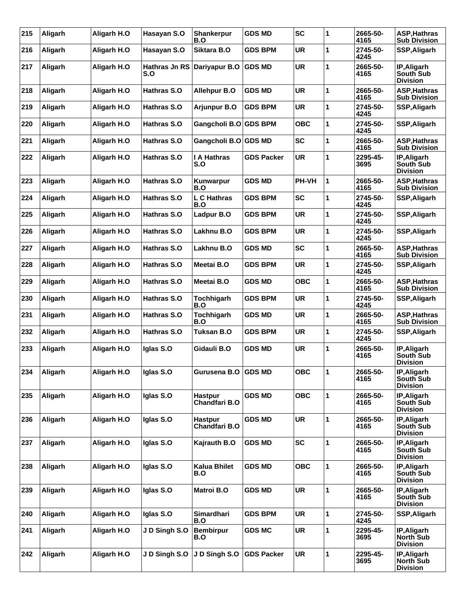| 215 | Aligarh | Aligarh H.O | Hasayan S.O          | Shankerpur<br>B.O                      | <b>GDS MD</b>     | <b>SC</b>  | 1            | 2665-50-<br>4165 | <b>ASP, Hathras</b><br><b>Sub Division</b>         |
|-----|---------|-------------|----------------------|----------------------------------------|-------------------|------------|--------------|------------------|----------------------------------------------------|
| 216 | Aligarh | Aligarh H.O | Hasayan S.O          | Siktara B.O                            | <b>GDS BPM</b>    | <b>UR</b>  | 1            | 2745-50-<br>4245 | SSP, Aligarh                                       |
| 217 | Aligarh | Aligarh H.O | Hathras Jn RS<br>S.O | Dariyapur B.O                          | <b>GDS MD</b>     | <b>UR</b>  | 1            | 2665-50-<br>4165 | IP, Aligarh<br>South Sub<br><b>Division</b>        |
| 218 | Aligarh | Aligarh H.O | <b>Hathras S.O</b>   | <b>Allehpur B.O</b>                    | <b>GDS MD</b>     | <b>UR</b>  | 1            | 2665-50-<br>4165 | <b>ASP, Hathras</b><br><b>Sub Division</b>         |
| 219 | Aligarh | Aligarh H.O | Hathras S.O          | Arjunpur B.O                           | <b>GDS BPM</b>    | <b>UR</b>  | 1            | 2745-50-<br>4245 | SSP, Aligarh                                       |
| 220 | Aligarh | Aligarh H.O | <b>Hathras S.O</b>   | Gangcholi B.O GDS BPM                  |                   | <b>OBC</b> | 1            | 2745-50-<br>4245 | SSP, Aligarh                                       |
| 221 | Aligarh | Aligarh H.O | <b>Hathras S.O</b>   | Gangcholi B.O GDS MD                   |                   | <b>SC</b>  | 1            | 2665-50-<br>4165 | <b>ASP, Hathras</b><br><b>Sub Division</b>         |
| 222 | Aligarh | Aligarh H.O | <b>Hathras S.O</b>   | I A Hathras<br>S.O                     | <b>GDS Packer</b> | <b>UR</b>  | 1            | 2295-45-<br>3695 | IP, Aligarh<br>South Sub<br><b>Division</b>        |
| 223 | Aligarh | Aligarh H.O | <b>Hathras S.O</b>   | Kunwarpur<br>B.O                       | <b>GDS MD</b>     | PH-VH      | 1            | 2665-50-<br>4165 | <b>ASP, Hathras</b><br><b>Sub Division</b>         |
| 224 | Aligarh | Aligarh H.O | <b>Hathras S.O</b>   | L C Hathras<br>B.O                     | <b>GDS BPM</b>    | <b>SC</b>  | 1            | 2745-50-<br>4245 | SSP, Aligarh                                       |
| 225 | Aligarh | Aligarh H.O | <b>Hathras S.O</b>   | Ladpur B.O                             | <b>GDS BPM</b>    | <b>UR</b>  | 1            | 2745-50-<br>4245 | SSP, Aligarh                                       |
| 226 | Aligarh | Aligarh H.O | Hathras S.O          | Lakhnu B.O                             | <b>GDS BPM</b>    | <b>UR</b>  | 1            | 2745-50-<br>4245 | SSP, Aligarh                                       |
| 227 | Aligarh | Aligarh H.O | Hathras S.O          | Lakhnu B.O                             | <b>GDS MD</b>     | <b>SC</b>  | 1            | 2665-50-<br>4165 | <b>ASP.Hathras</b><br><b>Sub Division</b>          |
| 228 | Aligarh | Aligarh H.O | <b>Hathras S.O</b>   | Meetai B.O                             | <b>GDS BPM</b>    | <b>UR</b>  | 1            | 2745-50-<br>4245 | SSP, Aligarh                                       |
| 229 | Aligarh | Aligarh H.O | Hathras S.O          | Meetai B.O                             | <b>GDS MD</b>     | <b>OBC</b> | 1            | 2665-50-<br>4165 | <b>ASP, Hathras</b><br><b>Sub Division</b>         |
| 230 | Aligarh | Aligarh H.O | Hathras S.O          | Tochhigarh<br>B.O                      | <b>GDS BPM</b>    | <b>UR</b>  | 1            | 2745-50-<br>4245 | SSP, Aligarh                                       |
| 231 | Aligarh | Aligarh H.O | Hathras S.O          | Tochhigarh<br>B.O                      | <b>GDS MD</b>     | <b>UR</b>  | 1            | 2665-50-<br>4165 | <b>ASP, Hathras</b><br><b>Sub Division</b>         |
| 232 | Aligarh | Aligarh H.O | Hathras S.O          | Tuksan B.O                             | <b>GDS BPM</b>    | <b>UR</b>  | 1            | 2745-50-<br>4245 | SSP, Aligarh                                       |
| 233 | Aligarh | Aligarh H.O | Iglas S.O            | Gidauli B.O                            | <b>GDS MD</b>     | <b>UR</b>  | 1            | 2665-50-<br>4165 | IP, Aligarh<br>South Sub<br><b>Division</b>        |
| 234 | Aligarh | Aligarh H.O | Iglas S.O            | Gurusena B.O   GDS MD                  |                   | <b>OBC</b> | 1            | 2665-50-<br>4165 | IP, Aligarh<br>South Sub<br><b>Division</b>        |
| 235 | Aligarh | Aligarh H.O | Iglas S.O            | <b>Hastpur</b><br>Chandfari B.O        | <b>GDS MD</b>     | <b>OBC</b> | $\mathbf{1}$ | 2665-50-<br>4165 | IP, Aligarh<br><b>South Sub</b><br><b>Division</b> |
| 236 | Aligarh | Aligarh H.O | Iglas S.O            | <b>Hastpur</b><br><b>Chandfari B.O</b> | <b>GDS MD</b>     | <b>UR</b>  | 1            | 2665-50-<br>4165 | IP, Aligarh<br>South Sub<br><b>Division</b>        |
| 237 | Aligarh | Aligarh H.O | Iglas S.O            | Kajrauth B.O                           | <b>GDS MD</b>     | <b>SC</b>  | 1            | 2665-50-<br>4165 | IP, Aligarh<br>South Sub<br><b>Division</b>        |
| 238 | Aligarh | Aligarh H.O | Iglas S.O            | <b>Kalua Bhilet</b><br>B.O             | <b>GDS MD</b>     | <b>OBC</b> | 1            | 2665-50-<br>4165 | IP, Aligarh<br><b>South Sub</b><br><b>Division</b> |
| 239 | Aligarh | Aligarh H.O | Iglas S.O            | Matroi B.O                             | <b>GDS MD</b>     | <b>UR</b>  | 1            | 2665-50-<br>4165 | IP, Aligarh<br>South Sub<br><b>Division</b>        |
| 240 | Aligarh | Aligarh H.O | Iglas S.O            | Simardhari<br>B.O                      | <b>GDS BPM</b>    | <b>UR</b>  | 1            | 2745-50-<br>4245 | SSP, Aligarh                                       |
| 241 | Aligarh | Aligarh H.O | JD Singh S.O         | <b>Bembirpur</b><br>B.O                | <b>GDS MC</b>     | <b>UR</b>  | 1            | 2295-45-<br>3695 | IP, Aligarh<br><b>North Sub</b><br><b>Division</b> |
| 242 | Aligarh | Aligarh H.O | J D Singh S.O        | J D Singh S.O                          | <b>GDS Packer</b> | <b>UR</b>  | 1            | 2295-45-<br>3695 | IP, Aligarh<br><b>North Sub</b><br><b>Division</b> |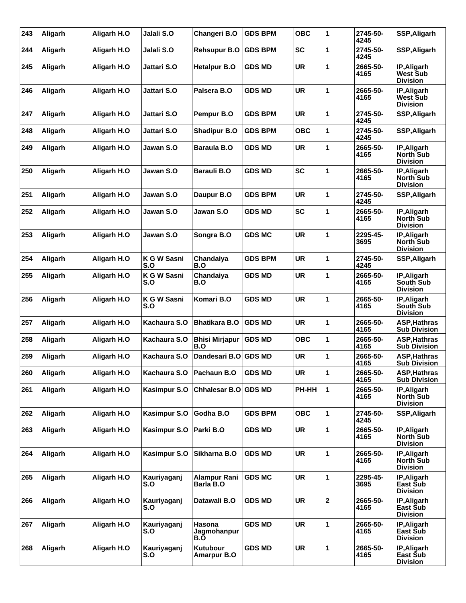| 243 | Aligarh | Aligarh H.O | Jalali S.O                | Changeri B.O                     | <b>GDS BPM</b> | <b>OBC</b> | 1           | 2745-50-<br>4245 | SSP, Aligarh                                       |
|-----|---------|-------------|---------------------------|----------------------------------|----------------|------------|-------------|------------------|----------------------------------------------------|
| 244 | Aligarh | Aligarh H.O | Jalali S.O                | <b>Rehsupur B.O</b>              | <b>GDS BPM</b> | <b>SC</b>  | 1           | 2745-50-<br>4245 | SSP, Aligarh                                       |
| 245 | Aligarh | Aligarh H.O | Jattari S.O               | <b>Hetalpur B.O</b>              | <b>GDS MD</b>  | <b>UR</b>  | 1           | 2665-50-<br>4165 | IP, Aligarh<br><b>West Sub</b><br><b>Division</b>  |
| 246 | Aligarh | Aligarh H.O | Jattari S.O               | Palsera B.O                      | <b>GDS MD</b>  | <b>UR</b>  | 1           | 2665-50-<br>4165 | IP, Aligarh<br><b>West Sub</b><br><b>Division</b>  |
| 247 | Aligarh | Aligarh H.O | Jattari S.O               | Pempur B.O                       | <b>GDS BPM</b> | <b>UR</b>  | 1           | 2745-50-<br>4245 | SSP, Aligarh                                       |
| 248 | Aligarh | Aligarh H.O | Jattari S.O               | <b>Shadipur B.O</b>              | <b>GDS BPM</b> | <b>OBC</b> | 1           | 2745-50-<br>4245 | SSP, Aligarh                                       |
| 249 | Aligarh | Aligarh H.O | Jawan S.O                 | <b>Baraula B.O</b>               | <b>GDS MD</b>  | <b>UR</b>  | 1           | 2665-50-<br>4165 | IP, Aligarh<br><b>North Sub</b><br><b>Division</b> |
| 250 | Aligarh | Aligarh H.O | Jawan S.O                 | <b>Barauli B.O</b>               | <b>GDS MD</b>  | <b>SC</b>  | 1           | 2665-50-<br>4165 | IP, Aligarh<br><b>North Sub</b><br><b>Division</b> |
| 251 | Aligarh | Aligarh H.O | Jawan S.O                 | Daupur B.O                       | <b>GDS BPM</b> | <b>UR</b>  | 1           | 2745-50-<br>4245 | SSP, Aligarh                                       |
| 252 | Aligarh | Aligarh H.O | Jawan S.O                 | Jawan S.O                        | <b>GDS MD</b>  | <b>SC</b>  | 1           | 2665-50-<br>4165 | IP, Aligarh<br><b>North Sub</b><br><b>Division</b> |
| 253 | Aligarh | Aligarh H.O | Jawan S.O                 | Songra B.O                       | <b>GDS MC</b>  | <b>UR</b>  | 1           | 2295-45-<br>3695 | IP, Aligarh<br><b>North Sub</b><br><b>Division</b> |
| 254 | Aligarh | Aligarh H.O | K G W Sasni<br>S.O        | Chandaiya<br>B.O                 | <b>GDS BPM</b> | <b>UR</b>  | 1           | 2745-50-<br>4245 | SSP, Aligarh                                       |
| 255 | Aligarh | Aligarh H.O | <b>K G W Sasni</b><br>S.O | Chandaiya<br>B.O                 | <b>GDS MD</b>  | <b>UR</b>  | 1           | 2665-50-<br>4165 | IP, Aligarh<br>South Sub<br><b>Division</b>        |
| 256 | Aligarh | Aligarh H.O | <b>K G W Sasni</b><br>S.O | Komari B.O                       | <b>GDS MD</b>  | <b>UR</b>  | 1           | 2665-50-<br>4165 | IP, Aligarh<br>South Sub<br><b>Division</b>        |
| 257 | Aligarh | Aligarh H.O | Kachaura S.O              | <b>Bhatikara B.O</b>             | <b>GDS MD</b>  | <b>UR</b>  | 1           | 2665-50-<br>4165 | <b>ASP, Hathras</b><br><b>Sub Division</b>         |
| 258 | Aligarh | Aligarh H.O | Kachaura S.O              | <b>Bhisi Mirjapur</b><br>B.O     | <b>GDS MD</b>  | <b>OBC</b> | 1           | 2665-50-<br>4165 | <b>ASP, Hathras</b><br><b>Sub Division</b>         |
| 259 | Aligarh | Aligarh H.O | Kachaura S.O              | Dandesari B.O                    | <b>GDS MD</b>  | <b>UR</b>  | 1           | 2665-50-<br>4165 | <b>ASP, Hathras</b><br><b>Sub Division</b>         |
| 260 | Aligarh | Aligarh H.O | Kachaura S.O              | Pachaun B.O                      | <b>GDS MD</b>  | <b>UR</b>  | 1           | 2665-50-<br>4165 | <b>ASP, Hathras</b><br><b>Sub Division</b>         |
| 261 | Aligarh | Aligarh H.O | Kasimpur S.O              | <b>Chhalesar B.O</b>             | <b>GDS MD</b>  | PH-HH      | 1           | 2665-50-<br>4165 | IP, Aligarh<br><b>North Sub</b><br><b>Division</b> |
| 262 | Aligarh | Aligarh H.O | Kasimpur S.O              | Godha B.O                        | <b>GDS BPM</b> | <b>OBC</b> | 1           | 2745-50-<br>4245 | SSP, Aligarh                                       |
| 263 | Aligarh | Aligarh H.O | Kasimpur S.O              | Parki B.O                        | <b>GDS MD</b>  | <b>UR</b>  | 1           | 2665-50-<br>4165 | IP, Aligarh<br><b>North Sub</b><br><b>Division</b> |
| 264 | Aligarh | Aligarh H.O | Kasimpur S.O              | Sikharna B.O                     | <b>GDS MD</b>  | <b>UR</b>  | 1           | 2665-50-<br>4165 | IP, Aligarh<br><b>North Sub</b><br><b>Division</b> |
| 265 | Aligarh | Aligarh H.O | Kauriyaganj<br>S.O        | <b>Alampur Rani</b><br>Barla B.O | <b>GDS MC</b>  | UR         | 1           | 2295-45-<br>3695 | IP, Aligarh<br>East Sub<br><b>Division</b>         |
| 266 | Aligarh | Aligarh H.O | Kauriyaganj<br>S.O        | Datawali B.O                     | <b>GDS MD</b>  | <b>UR</b>  | $\mathbf 2$ | 2665-50-<br>4165 | IP, Aligarh<br>East Sub<br><b>Division</b>         |
| 267 | Aligarh | Aligarh H.O | Kauriyaganj<br>S.O        | Hasona<br>Jagmohanpur<br>B.O     | <b>GDS MD</b>  | <b>UR</b>  | 1           | 2665-50-<br>4165 | IP, Aligarh<br>East Sub<br><b>Division</b>         |
| 268 | Aligarh | Aligarh H.O | Kauriyaganj<br>S.O        | Kutubour<br><b>Amarpur B.O</b>   | <b>GDS MD</b>  | <b>UR</b>  | 1           | 2665-50-<br>4165 | IP, Aligarh<br>East Sub<br><b>Division</b>         |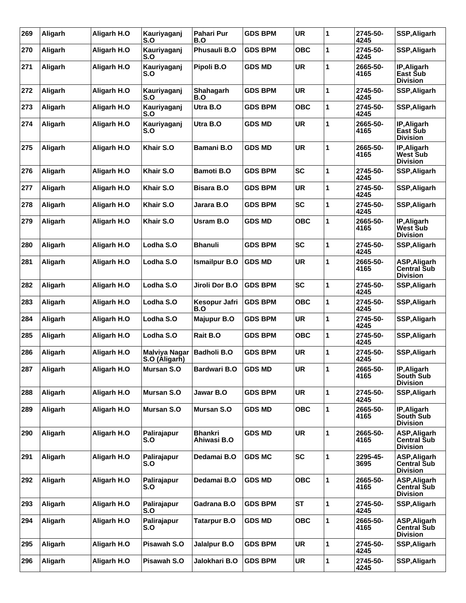| 269 | Aligarh | Aligarh H.O | Kauriyaganj<br>S.O             | Pahari Pur<br>B.O             | <b>GDS BPM</b> | UR         | 1 | 2745-50-<br>4245 | SSP, Aligarh                                          |
|-----|---------|-------------|--------------------------------|-------------------------------|----------------|------------|---|------------------|-------------------------------------------------------|
| 270 | Aligarh | Aligarh H.O | Kauriyaganj<br>S.O             | Phusauli B.O                  | <b>GDS BPM</b> | <b>OBC</b> | 1 | 2745-50-<br>4245 | SSP, Aligarh                                          |
| 271 | Aligarh | Aligarh H.O | Kauriyaganj<br>S.O             | Pipoli B.O                    | <b>GDS MD</b>  | <b>UR</b>  | 1 | 2665-50-<br>4165 | IP, Aligarh<br>East Sub<br><b>Division</b>            |
| 272 | Aligarh | Aligarh H.O | Kauriyaganj<br>S.O             | Shahagarh<br>B.O              | <b>GDS BPM</b> | <b>UR</b>  | 1 | 2745-50-<br>4245 | SSP, Aligarh                                          |
| 273 | Aligarh | Aligarh H.O | Kauriyaganj<br>S.O             | Utra B.O                      | <b>GDS BPM</b> | <b>OBC</b> | 1 | 2745-50-<br>4245 | SSP, Aligarh                                          |
| 274 | Aligarh | Aligarh H.O | Kauriyaganj<br>S.O             | Utra B.O                      | <b>GDS MD</b>  | <b>UR</b>  | 1 | 2665-50-<br>4165 | IP, Aligarh<br>East Sub<br><b>Division</b>            |
| 275 | Aligarh | Aligarh H.O | Khair S.O                      | <b>Bamani B.O</b>             | GDS MD         | <b>UR</b>  | 1 | 2665-50-<br>4165 | IP, Aligarh<br>West Sub<br><b>Division</b>            |
| 276 | Aligarh | Aligarh H.O | Khair S.O                      | <b>Bamoti B.O</b>             | <b>GDS BPM</b> | <b>SC</b>  | 1 | 2745-50-<br>4245 | SSP, Aligarh                                          |
| 277 | Aligarh | Aligarh H.O | Khair S.O                      | <b>Bisara B.O</b>             | <b>GDS BPM</b> | <b>UR</b>  | 1 | 2745-50-<br>4245 | SSP, Aligarh                                          |
| 278 | Aligarh | Aligarh H.O | Khair S.O                      | Jarara B.O                    | <b>GDS BPM</b> | <b>SC</b>  | 1 | 2745-50-<br>4245 | SSP, Aligarh                                          |
| 279 | Aligarh | Aligarh H.O | Khair S.O                      | Usram B.O                     | <b>GDS MD</b>  | <b>OBC</b> | 1 | 2665-50-<br>4165 | IP, Aligarh<br>West Sub<br><b>Division</b>            |
| 280 | Aligarh | Aligarh H.O | Lodha S.O                      | <b>Bhanuli</b>                | <b>GDS BPM</b> | <b>SC</b>  | 1 | 2745-50-<br>4245 | SSP, Aligarh                                          |
| 281 | Aligarh | Aligarh H.O | Lodha S.O                      | <b>Ismailpur B.O</b>          | GDS MD         | <b>UR</b>  | 1 | 2665-50-<br>4165 | ASP, Aligarh<br><b>Central Sub</b><br><b>Division</b> |
| 282 | Aligarh | Aligarh H.O | Lodha S.O                      | Jiroli Dor B.O                | <b>GDS BPM</b> | <b>SC</b>  | 1 | 2745-50-<br>4245 | SSP, Aligarh                                          |
| 283 | Aligarh | Aligarh H.O | Lodha S.O                      | Kesopur Jafri<br>B.O          | <b>GDS BPM</b> | <b>OBC</b> | 1 | 2745-50-<br>4245 | SSP, Aligarh                                          |
| 284 | Aligarh | Aligarh H.O | Lodha S.O                      | <b>Majupur B.O</b>            | GDS BPM        | <b>UR</b>  | 1 | 2745-50-<br>4245 | SSP, Aligarh                                          |
| 285 | Aligarh | Aligarh H.O | Lodha S.O                      | Rait B.O                      | <b>GDS BPM</b> | <b>OBC</b> | 1 | 2745-50-<br>4245 | SSP, Aligarh                                          |
| 286 | Aligarh | Aligarh H.O | Malviya Nagar<br>S.O (Aligarh) | <b>Badholi B.O</b>            | <b>GDS BPM</b> | <b>UR</b>  | 1 | 2745-50-<br>4245 | SSP, Aligarh                                          |
| 287 | Aligarh | Aligarh H.O | Mursan S.O                     | <b>Bardwari B.O</b>           | <b>GDS MD</b>  | UR         |   | 2665-50-<br>4165 | IP, Aligarh<br>South Sub<br><b>Division</b>           |
| 288 | Aligarh | Aligarh H.O | Mursan S.O                     | Jawar B.O                     | <b>GDS BPM</b> | <b>UR</b>  | 1 | 2745-50-<br>4245 | SSP, Aligarh                                          |
| 289 | Aligarh | Aligarh H.O | Mursan S.O                     | Mursan S.O                    | <b>GDS MD</b>  | <b>OBC</b> | 1 | 2665-50-<br>4165 | IP, Aligarh<br>South Sub<br><b>Division</b>           |
| 290 | Aligarh | Aligarh H.O | Palirajapur<br>S.O             | <b>Bhankri</b><br>Ahiwasi B.O | <b>GDS MD</b>  | <b>UR</b>  | 1 | 2665-50-<br>4165 | ASP, Aligarh<br><b>Central Sub</b><br><b>Division</b> |
| 291 | Aligarh | Aligarh H.O | Palirajapur<br>S.O             | Dedamai B.O                   | <b>GDS MC</b>  | <b>SC</b>  | 1 | 2295-45-<br>3695 | ASP, Aligarh<br><b>Central Sub</b><br><b>Division</b> |
| 292 | Aligarh | Aligarh H.O | Palirajapur<br>S.O             | Dedamai B.O                   | <b>GDS MD</b>  | <b>OBC</b> | 1 | 2665-50-<br>4165 | ASP, Aligarh<br><b>Central Sub</b><br><b>Division</b> |
| 293 | Aligarh | Aligarh H.O | Palirajapur<br>S.O             | Gadrana B.O                   | <b>GDS BPM</b> | ST         | 1 | 2745-50-<br>4245 | SSP, Aligarh                                          |
| 294 | Aligarh | Aligarh H.O | Palirajapur<br>S.O             | <b>Tatarpur B.O</b>           | <b>GDS MD</b>  | <b>OBC</b> | 1 | 2665-50-<br>4165 | ASP, Aligarh<br><b>Central Sub</b><br><b>Division</b> |
| 295 | Aligarh | Aligarh H.O | Pisawah S.O                    | Jalalpur B.O                  | <b>GDS BPM</b> | UR         | 1 | 2745-50-<br>4245 | SSP, Aligarh                                          |
| 296 | Aligarh | Aligarh H.O | Pisawah S.O                    | Jalokhari B.O                 | <b>GDS BPM</b> | UR         | 1 | 2745-50-<br>4245 | SSP, Aligarh                                          |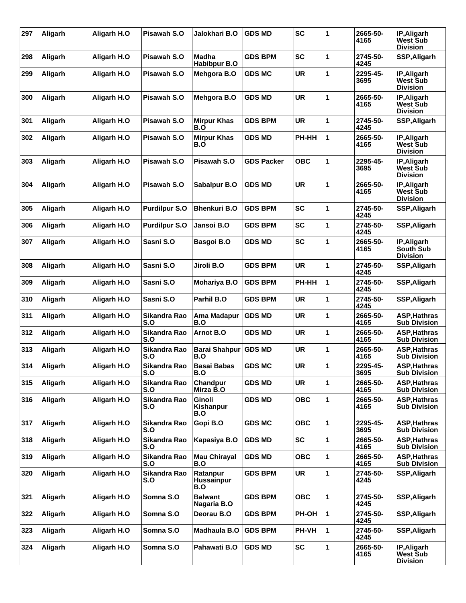| 297 | Aligarh        | Aligarh H.O | Pisawah S.O          | Jalokhari B.O                        | <b>GDS MD</b>     | <b>SC</b>    | 1 | 2665-50-<br>4165 | IP, Aligarh<br>West Sub<br><b>Division</b>        |
|-----|----------------|-------------|----------------------|--------------------------------------|-------------------|--------------|---|------------------|---------------------------------------------------|
| 298 | Aligarh        | Aligarh H.O | Pisawah S.O          | Madha<br>Habibpur B.O                | <b>GDS BPM</b>    | <b>SC</b>    | 1 | 2745-50-<br>4245 | SSP, Aligarh                                      |
| 299 | Aligarh        | Aligarh H.O | Pisawah S.O          | <b>Mehgora B.O</b>                   | <b>GDS MC</b>     | <b>UR</b>    | 1 | 2295-45-<br>3695 | IP, Aligarh<br>West Sub<br><b>Division</b>        |
| 300 | Aligarh        | Aligarh H.O | Pisawah S.O          | Mehgora B.O                          | <b>GDS MD</b>     | <b>UR</b>    | 1 | 2665-50-<br>4165 | IP, Aligarh<br>West Sub<br><b>Division</b>        |
| 301 | Aligarh        | Aligarh H.O | Pisawah S.O          | <b>Mirpur Khas</b><br>B.O            | <b>GDS BPM</b>    | <b>UR</b>    | 1 | 2745-50-<br>4245 | SSP, Aligarh                                      |
| 302 | Aligarh        | Aligarh H.O | Pisawah S.O          | <b>Mirpur Khas</b><br>B.O            | <b>GDS MD</b>     | PH-HH        | 1 | 2665-50-<br>4165 | IP, Aligarh<br>West Sub<br><b>Division</b>        |
| 303 | Aligarh        | Aligarh H.O | Pisawah S.O          | Pisawah S.O                          | <b>GDS Packer</b> | ОВС          | 1 | 2295-45-<br>3695 | IP, Aligarh<br>West Sub<br><b>Division</b>        |
| 304 | Aligarh        | Aligarh H.O | Pisawah S.O          | Sabalpur B.O                         | <b>GDS MD</b>     | <b>UR</b>    | 1 | 2665-50-<br>4165 | IP, Aligarh<br>West Sub<br><b>Division</b>        |
| 305 | Aligarh        | Aligarh H.O | <b>Purdilpur S.O</b> | <b>Bhenkuri B.O</b>                  | <b>GDS BPM</b>    | <b>SC</b>    | 1 | 2745-50-<br>4245 | SSP, Aligarh                                      |
| 306 | Aligarh        | Aligarh H.O | <b>Purdilpur S.O</b> | Jansoi B.O                           | <b>GDS BPM</b>    | <b>SC</b>    | 1 | 2745-50-<br>4245 | SSP, Aligarh                                      |
| 307 | Aligarh        | Aligarh H.O | Sasni S.O            | Basgoi B.O                           | <b>GDS MD</b>     | <b>SC</b>    | 1 | 2665-50-<br>4165 | IP, Aligarh<br>South Sub<br>Division              |
| 308 | Aligarh        | Aligarh H.O | Sasni S.O            | Jiroli B.O                           | <b>GDS BPM</b>    | <b>UR</b>    | 1 | 2745-50-<br>4245 | SSP, Aligarh                                      |
| 309 | Aligarh        | Aligarh H.O | Sasni S.O            | <b>Mohariya B.O</b>                  | <b>GDS BPM</b>    | PH-HH        | 1 | 2745-50-<br>4245 | SSP, Aligarh                                      |
| 310 | Aligarh        | Aligarh H.O | Sasni S.O            | Parhil B.O                           | <b>GDS BPM</b>    | <b>UR</b>    | 1 | 2745-50-<br>4245 | SSP, Aligarh                                      |
| 311 | Aligarh        | Aligarh H.O | Sikandra Rao<br>S.O  | Ama Madapur<br>B.O                   | <b>GDS MD</b>     | <b>UR</b>    | 1 | 2665-50-<br>4165 | <b>ASP, Hathras</b><br><b>Sub Division</b>        |
| 312 | Aligarh        | Aligarh H.O | Sikandra Rao<br>S.O  | Arnot B.O                            | <b>GDS MD</b>     | <b>UR</b>    | 1 | 2665-50-<br>4165 | <b>ASP, Hathras</b><br><b>Sub Division</b>        |
| 313 | Aligarh        | Aligarh H.O | Sikandra Rao<br>S.O  | <b>Barai Shahpur</b><br>B.O          | <b>GDS MD</b>     | <b>UR</b>    | 1 | 2665-50-<br>4165 | <b>ASP, Hathras</b><br><b>Sub Division</b>        |
| 314 | <b>Aligarh</b> | Aligarh H.O | Sikandra Rao<br>S.O  | <b>Basai Babas</b><br>B.O            | <b>GDS MC</b>     | <b>UR</b>    | 1 | 2295-45-<br>3695 | <b>ASP, Hathras</b><br><b>Sub Division</b>        |
| 315 | Aligarh        | Aligarh H.O | Sikandra Rao<br>S.O  | Chandpur<br>Mirza B.O                | <b>GDS MD</b>     | <b>UR</b>    | 1 | 2665-50-<br>4165 | <b>ASP, Hathras</b><br><b>Sub Division</b>        |
| 316 | Aligarh        | Aligarh H.O | Sikandra Rao<br>S.O  | Ginoli<br>Kishanpur<br>B.O           | <b>GDS MD</b>     | <b>OBC</b>   | 1 | 2665-50-<br>4165 | <b>ASP, Hathras</b><br><b>Sub Division</b>        |
| 317 | Aligarh        | Aligarh H.O | Sikandra Rao<br>S.O  | Gopi B.O                             | <b>GDS MC</b>     | <b>OBC</b>   | 1 | 2295-45-<br>3695 | <b>ASP, Hathras</b><br><b>Sub Division</b>        |
| 318 | Aligarh        | Aligarh H.O | Sikandra Rao<br>S.O  | Kapasiya B.O                         | <b>GDS MD</b>     | <b>SC</b>    | 1 | 2665-50-<br>4165 | <b>ASP, Hathras</b><br><b>Sub Division</b>        |
| 319 | Aligarh        | Aligarh H.O | Sikandra Rao<br>S.O  | <b>Mau Chirayal</b><br>B.O           | <b>GDS MD</b>     | <b>OBC</b>   | 1 | 2665-50-<br>4165 | <b>ASP, Hathras</b><br><b>Sub Division</b>        |
| 320 | Aligarh        | Aligarh H.O | Sikandra Rao<br>S.O  | Ratanpur<br><b>Hussainpur</b><br>B.O | <b>GDS BPM</b>    | <b>UR</b>    | 1 | 2745-50-<br>4245 | SSP, Aligarh                                      |
| 321 | Aligarh        | Aligarh H.O | Somna S.O            | <b>Balwant</b><br>Nagaria B.O        | <b>GDS BPM</b>    | <b>OBC</b>   | 1 | 2745-50-<br>4245 | SSP, Aligarh                                      |
| 322 | Aligarh        | Aligarh H.O | Somna S.O            | Deorau B.O                           | <b>GDS BPM</b>    | PH-OH        | 1 | 2745-50-<br>4245 | SSP, Aligarh                                      |
| 323 | Aligarh        | Aligarh H.O | Somna S.O            | Madhaula B.O                         | <b>GDS BPM</b>    | <b>PH-VH</b> | 1 | 2745-50-<br>4245 | SSP, Aligarh                                      |
| 324 | Aligarh        | Aligarh H.O | Somna S.O            | Pahawati B.O                         | <b>GDS MD</b>     | <b>SC</b>    | 1 | 2665-50-<br>4165 | IP, Aligarh<br><b>West Sub</b><br><b>Division</b> |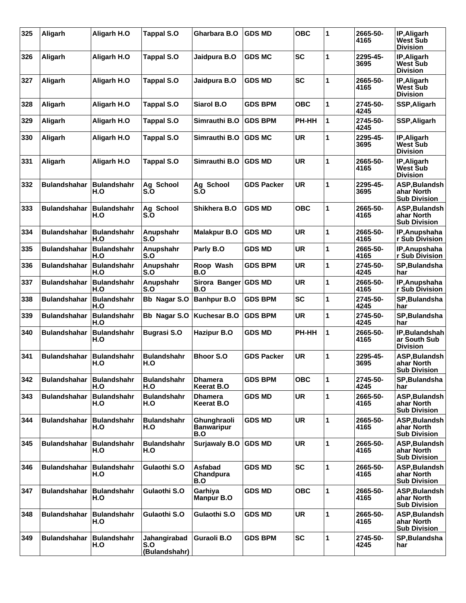| 325 | Aligarh             | Aligarh H.O               | <b>Tappal S.O</b>                    | Gharbara B.O                            | <b>GDS MD</b>     | <b>OBC</b> | 1 | 2665-50-<br>4165 | IP, Aligarh<br>West Sub<br><b>Division</b>         |
|-----|---------------------|---------------------------|--------------------------------------|-----------------------------------------|-------------------|------------|---|------------------|----------------------------------------------------|
| 326 | Aligarh             | Aligarh H.O               | <b>Tappal S.O</b>                    | Jaidpura B.O                            | <b>GDS MC</b>     | <b>SC</b>  | 1 | 2295-45-<br>3695 | IP, Aligarh<br>West Sub<br><b>Division</b>         |
| 327 | Aligarh             | Aligarh H.O               | <b>Tappal S.O</b>                    | Jaidpura B.O                            | <b>GDS MD</b>     | <b>SC</b>  | 1 | 2665-50-<br>4165 | IP, Aligarh<br><b>West Sub</b><br><b>Division</b>  |
| 328 | Aligarh             | Aligarh H.O               | <b>Tappal S.O</b>                    | Siarol B.O                              | <b>GDS BPM</b>    | <b>OBC</b> | 1 | 2745-50-<br>4245 | SSP, Aligarh                                       |
| 329 | Aligarh             | Aligarh H.O               | <b>Tappal S.O</b>                    | Simrauthi B.O                           | <b>GDS BPM</b>    | PH-HH      | 1 | 2745-50-<br>4245 | SSP, Aligarh                                       |
| 330 | Aligarh             | Aligarh H.O               | <b>Tappal S.O</b>                    | Simrauthi B.O                           | <b>GDS MC</b>     | <b>UR</b>  | 1 | 2295-45-<br>3695 | IP, Aligarh<br><b>West Sub</b><br><b>Division</b>  |
| 331 | Aligarh             | Aligarh H.O               | <b>Tappal S.O</b>                    | Simrauthi B.O                           | <b>GDS MD</b>     | UR.        | 1 | 2665-50-<br>4165 | IP, Aligarh<br>West Sub<br><b>Division</b>         |
| 332 | <b>Bulandshahar</b> | <b>Bulandshahr</b><br>H.O | Ag School<br>$S_{0}$                 | Ag School<br>S <sub>0</sub>             | <b>GDS Packer</b> | <b>UR</b>  | 1 | 2295-45-<br>3695 | ASP, Bulandsh<br>ahar North<br><b>Sub Division</b> |
| 333 | <b>Bulandshahar</b> | <b>Bulandshahr</b><br>H.O | Ag School<br>S <sub>0</sub>          | Shikhera B.O                            | <b>GDS MD</b>     | <b>OBC</b> | 1 | 2665-50-<br>4165 | ASP, Bulandsh<br>ahar North<br><b>Sub Division</b> |
| 334 | <b>Bulandshahar</b> | Bulandshahr<br>H.O        | Anupshahr<br>S.O                     | <b>Malakpur B.O</b>                     | <b>GDS MD</b>     | <b>UR</b>  | 1 | 2665-50-<br>4165 | IP, Anupshaha<br>r Sub Division                    |
| 335 | <b>Bulandshahar</b> | <b>Bulandshahr</b><br>H.O | Anupshahr<br>S.O                     | Parly B.O                               | <b>GDS MD</b>     | <b>UR</b>  | 1 | 2665-50-<br>4165 | IP, Anupshaha<br>r Sub Division                    |
| 336 | <b>Bulandshahar</b> | <b>Bulandshahr</b><br>H.O | Anupshahr<br>S.O                     | Roop Wash<br>B.O                        | <b>GDS BPM</b>    | <b>UR</b>  | 1 | 2745-50-<br>4245 | SP, Bulandsha<br>har                               |
| 337 | <b>Bulandshahar</b> | <b>Bulandshahr</b><br>H.O | Anupshahr<br>S.O                     | Sirora Banger GDS MD<br>B.O             |                   | <b>UR</b>  | 1 | 2665-50-<br>4165 | IP, Anupshaha<br>r Sub Division                    |
| 338 | <b>Bulandshahar</b> | <b>Bulandshahr</b><br>H.O | Bb Nagar S.O                         | <b>Banhpur B.O</b>                      | <b>GDS BPM</b>    | <b>SC</b>  | 1 | 2745-50-<br>4245 | SP, Bulandsha<br>har                               |
| 339 | <b>Bulandshahar</b> | <b>Bulandshahr</b><br>H.O | Bb Nagar S.O                         | Kuchesar B.O                            | <b>GDS BPM</b>    | <b>UR</b>  | 1 | 2745-50-<br>4245 | SP, Bulandsha<br>har                               |
| 340 | <b>Bulandshahar</b> | <b>Bulandshahr</b><br>H.O | <b>Bugrasi S.O</b>                   | <b>Hazipur B.O</b>                      | <b>GDS MD</b>     | PH-HH      | 1 | 2665-50-<br>4165 | IP, Bulandshah<br>ar South Sub<br><b>Division</b>  |
| 341 | <b>Bulandshahar</b> | <b>Bulandshahr</b><br>H.O | <b>Bulandshahr</b><br>H.O            | <b>Bhoor S.O</b>                        | <b>GDS Packer</b> | <b>UR</b>  | 1 | 2295-45-<br>3695 | ASP, Bulandsh<br>ahar North<br><b>Sub Division</b> |
| 342 | <b>Bulandshahar</b> | <b>Bulandshahr</b><br>H.O | <b>Bulandshahr</b><br>H.O            | Dhamera<br><b>Keerat B.O</b>            | <b>GDS BPM</b>    | <b>OBC</b> | 1 | 2745-50-<br>4245 | SP, Bulandsha<br>har                               |
| 343 | <b>Bulandshahar</b> | Bulandshahr<br>H.O        | <b>Bulandshahr</b><br>H.O            | <b>Dhamera</b><br>Keerat B.O            | <b>GDS MD</b>     | <b>UR</b>  | 1 | 2665-50-<br>4165 | ASP, Bulandsh<br>ahar North<br><b>Sub Division</b> |
| 344 | <b>Bulandshahar</b> | <b>Bulandshahr</b><br>H.O | <b>Bulandshahr</b><br>H.O            | Ghunghraoli<br><b>Banwaripur</b><br>B.O | <b>GDS MD</b>     | <b>UR</b>  | 1 | 2665-50-<br>4165 | ASP, Bulandsh<br>ahar North<br><b>Sub Division</b> |
| 345 | <b>Bulandshahar</b> | <b>Bulandshahr</b><br>H.O | <b>Bulandshahr</b><br>H.O            | <b>Surjawaly B.O</b>                    | <b>GDS MD</b>     | <b>UR</b>  | 1 | 2665-50-<br>4165 | ASP, Bulandsh<br>ahar North<br><b>Sub Division</b> |
| 346 | <b>Bulandshahar</b> | <b>Bulandshahr</b><br>H.O | Gulaothi S.O                         | Asfabad<br>Chandpura<br>B.O             | <b>GDS MD</b>     | <b>SC</b>  | 1 | 2665-50-<br>4165 | ASP, Bulandsh<br>ahar North<br><b>Sub Division</b> |
| 347 | <b>Bulandshahar</b> | <b>Bulandshahr</b><br>H.O | Gulaothi S.O                         | Garhiya<br><b>Manpur B.O</b>            | <b>GDS MD</b>     | <b>OBC</b> | 1 | 2665-50-<br>4165 | ASP, Bulandsh<br>ahar North<br><b>Sub Division</b> |
| 348 | <b>Bulandshahar</b> | <b>Bulandshahr</b><br>H.O | Gulaothi S.O                         | Gulaothi S.O                            | <b>GDS MD</b>     | <b>UR</b>  | 1 | 2665-50-<br>4165 | ASP, Bulandsh<br>ahar North<br><b>Sub Division</b> |
| 349 | <b>Bulandshahar</b> | Bulandshahr<br>H.O        | Jahangirabad<br>S.O<br>(Bulandshahr) | Guraoli B.O                             | <b>GDS BPM</b>    | <b>SC</b>  | 1 | 2745-50-<br>4245 | SP, Bulandsha<br>har                               |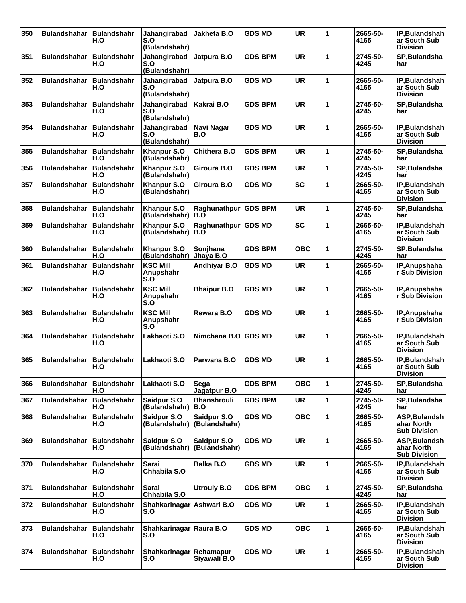| 350 | <b>Bulandshahar</b>        | Bulandshahr<br>H.O        | Jahangirabad<br>S.O<br>(Bulandshahr) | Jakheta B.O                                | <b>GDS MD</b>  | UR         | 1            | 2665-50-<br>4165 | IP, Bulandshah<br>ar South Sub<br><b>Division</b>  |
|-----|----------------------------|---------------------------|--------------------------------------|--------------------------------------------|----------------|------------|--------------|------------------|----------------------------------------------------|
| 351 | <b>Bulandshahar</b>        | <b>Bulandshahr</b><br>H.O | Jahangirabad<br>S.O<br>(Bulandshahr) | Jatpura B.O                                | <b>GDS BPM</b> | <b>UR</b>  | 1            | 2745-50-<br>4245 | SP, Bulandsha<br>har                               |
| 352 | <b>Bulandshahar</b>        | <b>Bulandshahr</b><br>H.O | Jahangirabad<br>S.O<br>(Bulandshahr) | Jatpura B.O                                | <b>GDS MD</b>  | <b>UR</b>  | 1            | 2665-50-<br>4165 | IP, Bulandshah<br>ar South Sub<br><b>Division</b>  |
| 353 | <b>Bulandshahar</b>        | Bulandshahr<br>H.O        | Jahangirabad<br>S.O<br>(Bulandshahr) | Kakrai B.O                                 | <b>GDS BPM</b> | <b>UR</b>  | 1            | 2745-50-<br>4245 | SP, Bulandsha<br>har                               |
| 354 | <b>Bulandshahar</b>        | Bulandshahr<br>H.O        | Jahangirabad<br>S.O<br>(Bulandshahr) | Navi Nagar<br>B.O                          | <b>GDS MD</b>  | <b>UR</b>  | 1            | 2665-50-<br>4165 | IP, Bulandshah<br>ar South Sub<br><b>Division</b>  |
| 355 | <b>Bulandshahar</b>        | <b>Bulandshahr</b><br>H.O | Khanpur S.O<br>(Bulandshahr)         | <b>Chithera B.O</b>                        | <b>GDS BPM</b> | <b>UR</b>  | 1            | 2745-50-<br>4245 | SP, Bulandsha<br>har                               |
| 356 | <b>Bulandshahar</b>        | Bulandshahr<br>H.O        | Khanpur S.O<br>(Bulandshahr)         | Giroura B.O                                | <b>GDS BPM</b> | <b>UR</b>  | 1            | 2745-50-<br>4245 | SP, Bulandsha<br>har                               |
| 357 | <b>Bulandshahar</b>        | <b>Bulandshahr</b><br>H.O | Khanpur S.O<br>(Bulandshahr)         | Giroura B.O                                | <b>GDS MD</b>  | <b>SC</b>  | 1            | 2665-50-<br>4165 | IP, Bulandshah<br>ar South Sub<br><b>Division</b>  |
| 358 | <b>Bulandshahar</b>        | <b>Bulandshahr</b><br>H.O | Khanpur S.O<br>(Bulandshahr)         | Raghunathpur<br>B.O                        | <b>GDS BPM</b> | <b>UR</b>  | 1            | 2745-50-<br>4245 | SP, Bulandsha<br>har                               |
| 359 | <b>Bulandshahar</b>        | <b>Bulandshahr</b><br>H.O | Khanpur S.O<br>(Bulandshahr)         | Raghunathpur<br>B.O                        | <b>GDS MD</b>  | <b>SC</b>  | 1            | 2665-50-<br>4165 | IP, Bulandshah<br>ar South Sub<br><b>Division</b>  |
| 360 | <b>Bulandshahar</b>        | <b>Bulandshahr</b><br>H.O | Khanpur S.O<br>(Bulandshahr)         | Sonjhana<br>Jhaya B.O                      | <b>GDS BPM</b> | <b>OBC</b> | 1            | 2745-50-<br>4245 | SP, Bulandsha<br>har                               |
| 361 | <b>Bulandshahar</b>        | <b>Bulandshahr</b><br>H.O | <b>KSC Mill</b><br>Anupshahr<br>S.O  | <b>Andhiyar B.O</b>                        | <b>GDS MD</b>  | <b>UR</b>  | 1            | 2665-50-<br>4165 | IP, Anupshaha<br><b>r Sub Division</b>             |
| 362 | <b>Bulandshahar</b>        | Bulandshahr<br>H.O        | <b>KSC Mill</b><br>Anupshahr<br>S.O  | <b>Bhaipur B.O</b>                         | <b>GDS MD</b>  | UR.        | 1            | 2665-50-<br>4165 | IP, Anupshaha<br>r Sub Division                    |
| 363 | <b>Bulandshahar</b>        | <b>Bulandshahr</b><br>H.O | <b>KSC Mill</b><br>Anupshahr<br>S.O  | Rewara B.O                                 | <b>GDS MD</b>  | <b>UR</b>  | 1            | 2665-50-<br>4165 | IP, Anupshaha<br>r Sub Division                    |
| 364 | <b>Bulandshahar</b>        | Bulandshahr<br>H.O        | Lakhaoti S.O                         | Nimchana B.O                               | <b>GDS MD</b>  | <b>UR</b>  | 1            | 2665-50-<br>4165 | IP, Bulandshah<br>ar South Sub<br><b>Division</b>  |
| 365 | Bulandshahar   Bulandshahr | H.O                       | Lakhaoti S.O                         | Parwana B.O                                | <b>GDS MD</b>  | <b>UR</b>  | 1            | 2665-50-<br>4165 | IP, Bulandshah<br>ar South Sub<br><b>Division</b>  |
| 366 | <b>Bulandshahar</b>        | Bulandshahr<br>H.O        | Lakhaoti S.O                         | Sega<br>Jagatpur B.O                       | <b>GDS BPM</b> | <b>OBC</b> | 1            | 2745-50-<br>4245 | SP, Bulandsha<br>har                               |
| 367 | <b>Bulandshahar</b>        | <b>Bulandshahr</b><br>H.O | Saidpur S.O<br>(Bulandshahr)   B.O   | <b>Bhanshrouli</b>                         | <b>GDS BPM</b> | <b>UR</b>  | $\mathbf{1}$ | 2745-50-<br>4245 | SP, Bulandsha<br>har                               |
| 368 | <b>Bulandshahar</b>        | <b>Bulandshahr</b><br>H.O | Saidpur S.O                          | Saidpur S.O<br>(Bulandshahr) (Bulandshahr) | <b>GDS MD</b>  | <b>OBC</b> | 1            | 2665-50-<br>4165 | ASP, Bulandsh<br>ahar North<br><b>Sub Division</b> |
| 369 | <b>Bulandshahar</b>        | <b>Bulandshahr</b><br>H.O | Saidpur S.O<br>(Bulandshahr)         | Saidpur S.O<br>(Bulandshahr)               | <b>GDS MD</b>  | <b>UR</b>  | 1            | 2665-50-<br>4165 | ASP, Bulandsh<br>ahar North<br><b>Sub Division</b> |
| 370 | <b>Bulandshahar</b>        | <b>Bulandshahr</b><br>H.O | <b>Sarai</b><br>Chhabila S.O         | <b>Balka B.O</b>                           | <b>GDS MD</b>  | <b>UR</b>  | 1            | 2665-50-<br>4165 | IP, Bulandshah<br>ar South Sub<br><b>Division</b>  |
| 371 | <b>Bulandshahar</b>        | Bulandshahr<br>H.O        | <b>Sarai</b><br>Chhabila S.O         | <b>Utrouly B.O</b>                         | <b>GDS BPM</b> | <b>OBC</b> | 1            | 2745-50-<br>4245 | SP, Bulandsha<br>har                               |
| 372 | <b>Bulandshahar</b>        | <b>Bulandshahr</b><br>H.O | Shahkarinagar Ashwari B.O<br>S.O     |                                            | <b>GDS MD</b>  | <b>UR</b>  | 1            | 2665-50-<br>4165 | IP, Bulandshah<br>ar South Sub<br><b>Division</b>  |
| 373 | <b>Bulandshahar</b>        | <b>Bulandshahr</b><br>H.O | Shahkarinagar Raura B.O<br>S.O       |                                            | <b>GDS MD</b>  | <b>OBC</b> | 1            | 2665-50-<br>4165 | IP, Bulandshah<br>ar South Sub<br><b>Division</b>  |
| 374 | <b>Bulandshahar</b>        | Bulandshahr<br>H.O        | Shahkarinagar Rehamapur<br>S.O       | Siyawali B.O                               | <b>GDS MD</b>  | <b>UR</b>  | 1            | 2665-50-<br>4165 | IP, Bulandshah<br>ar South Sub<br><b>Division</b>  |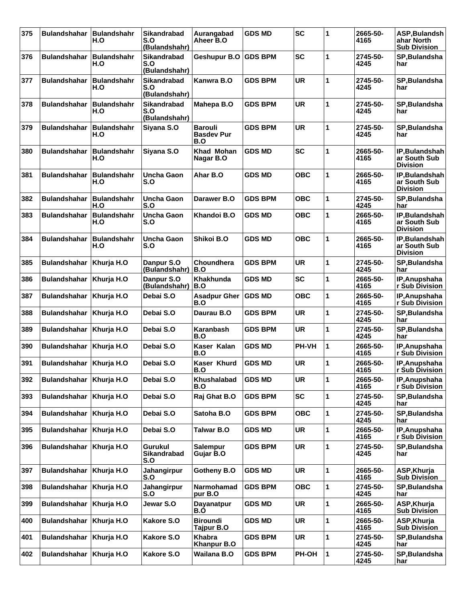| 375 | <b>Bulandshahar</b>       | Bulandshahr<br>H.O        | <b>Sikandrabad</b><br>S.O<br>(Bulandshahr) | Aurangabad<br>Aheer B.O             | <b>GDS MD</b>  | <b>SC</b>    | 1 | 2665-50-<br>4165 | ASP, Bulandsh<br>ahar North<br><b>Sub Division</b>      |
|-----|---------------------------|---------------------------|--------------------------------------------|-------------------------------------|----------------|--------------|---|------------------|---------------------------------------------------------|
| 376 | <b>Bulandshahar</b>       | <b>Bulandshahr</b><br>H.O | Sikandrabad<br>S.O<br>(Bulandshahr)        | Geshupur B.O                        | <b>GDS BPM</b> | <b>SC</b>    | 1 | 2745-50-<br>4245 | SP, Bulandsha<br>har                                    |
| 377 | <b>Bulandshahar</b>       | <b>Bulandshahr</b><br>H.O | <b>Sikandrabad</b><br>S.O<br>(Bulandshahr) | Kanwra B.O                          | <b>GDS BPM</b> | <b>UR</b>    | 1 | 2745-50-<br>4245 | SP, Bulandsha<br>har                                    |
| 378 | <b>Bulandshahar</b>       | Bulandshahr<br>H.O        | <b>Sikandrabad</b><br>S.O<br>(Bulandshahr) | Mahepa B.O                          | <b>GDS BPM</b> | <b>UR</b>    | 1 | 2745-50-<br>4245 | SP, Bulandsha<br>har                                    |
| 379 | <b>Bulandshahar</b>       | <b>Bulandshahr</b><br>H.O | Siyana S.O                                 | <b>Barouli</b><br>Basdev Pur<br>B.O | <b>GDS BPM</b> | <b>UR</b>    | 1 | 2745-50-<br>4245 | SP, Bulandsha<br>har                                    |
| 380 | <b>Bulandshahar</b>       | <b>Bulandshahr</b><br>H.O | Siyana S.O                                 | Khad Mohan<br>Nagar B.O             | <b>GDS MD</b>  | <b>SC</b>    | 1 | 2665-50-<br>4165 | IP, Bulandshah<br>ar South Sub<br><b>Division</b>       |
| 381 | <b>Bulandshahar</b>       | Bulandshahr<br>H.O        | Uncha Gaon<br>S.O                          | Ahar B.O                            | <b>GDS MD</b>  | <b>OBC</b>   | 1 | 2665-50-<br>4165 | IP, Bulandshah<br>ar South Sub<br><b>Division</b>       |
| 382 | <b>Bulandshahar</b>       | <b>Bulandshahr</b><br>H.O | Uncha Gaon<br>S.O                          | Darawer B.O                         | <b>GDS BPM</b> | <b>OBC</b>   | 1 | 2745-50-<br>4245 | SP, Bulandsha<br>har                                    |
| 383 | <b>Bulandshahar</b>       | <b>Bulandshahr</b><br>H.O | <b>Uncha Gaon</b><br>S.O                   | Khandoi B.O                         | <b>GDS MD</b>  | <b>OBC</b>   | 1 | 2665-50-<br>4165 | IP, Bulandshah<br>ar South Sub<br><b>Division</b>       |
| 384 | <b>Bulandshahar</b>       | <b>Bulandshahr</b><br>H.O | Uncha Gaon<br>S.O                          | Shikoi B.O                          | <b>GDS MD</b>  | <b>OBC</b>   | 1 | 2665-50-<br>4165 | <b>IP.Bulandshah</b><br>ar South Sub<br><b>Division</b> |
| 385 | <b>Bulandshahar</b>       | Khurja H.O                | Danpur S.O<br>(Bulandshahr)                | <b>Choundhera</b><br>B.O            | <b>GDS BPM</b> | <b>UR</b>    | 1 | 2745-50-<br>4245 | SP, Bulandsha<br>har                                    |
| 386 | <b>Bulandshahar</b>       | Khurja H.O                | Danpur S.O<br>(Bulandshahr)                | Khakhunda<br>B.O                    | <b>GDS MD</b>  | <b>SC</b>    | 1 | 2665-50-<br>4165 | IP, Anupshaha<br>r Sub Division                         |
| 387 | <b>Bulandshahar</b>       | Khurja H.O                | Debai S.O                                  | <b>Asadpur Gher</b><br>B.O          | <b>GDS MD</b>  | <b>OBC</b>   | 1 | 2665-50-<br>4165 | IP, Anupshaha<br>r Sub Division                         |
| 388 | <b>Bulandshahar</b>       | Khurja H.O                | Debai S.O                                  | Daurau B.O                          | <b>GDS BPM</b> | <b>UR</b>    | 1 | 2745-50-<br>4245 | SP, Bulandsha<br>har                                    |
| 389 | <b>Bulandshahar</b>       | Khurja H.O                | Debai S.O                                  | Karanbash<br>B.O                    | <b>GDS BPM</b> | <b>UR</b>    | 1 | 2745-50-<br>4245 | SP, Bulandsha<br>har                                    |
| 390 | <b>Bulandshahar</b>       | Khurja H.O                | Debai S.O                                  | Kaser Kalan<br>B.O                  | <b>GDS MD</b>  | <b>PH-VH</b> | 1 | 2665-50-<br>4165 | IP, Anupshaha<br>r Sub Division                         |
| 391 | Bulandshahar   Khurja H.O |                           | Debai S.O                                  | Kaser Khurd<br>6.U                  | <b>GDS MD</b>  | <b>UR</b>    | 1 | 2665-50-<br>4165 | IP, Anupshaha<br>r Sub Division                         |
| 392 | <b>Bulandshahar</b>       | Khurja H.O                | Debai S.O                                  | Khushalabad<br>B.O                  | <b>GDS MD</b>  | <b>UR</b>    | 1 | 2665-50-<br>4165 | IP, Anupshaha<br>r Sub Division                         |
| 393 | Bulandshahar   Khurja H.O |                           | Debai S.O                                  | Raj Ghat B.O                        | <b>GDS BPM</b> | SC           | 1 | 2745-50-<br>4245 | SP, Bulandsha<br>har                                    |
| 394 | <b>Bulandshahar</b>       | Khurja H.O                | Debai S.O                                  | Satoha B.O                          | <b>GDS BPM</b> | <b>OBC</b>   | 1 | 2745-50-<br>4245 | SP, Bulandsha<br>har                                    |
| 395 | <b>Bulandshahar</b>       | Khurja H.O                | Debai S.O                                  | Talwar B.O                          | <b>GDS MD</b>  | <b>UR</b>    | 1 | 2665-50-<br>4165 | IP, Anupshaha<br>r Sub Division                         |
| 396 | Bulandshahar   Khurja H.O |                           | <b>Gurukul</b><br>Sikandrabad<br>S.O       | Salempur<br>Gujar B.O               | <b>GDS BPM</b> | <b>UR</b>    | 1 | 2745-50-<br>4245 | SP, Bulandsha<br>har                                    |
| 397 | <b>Bulandshahar</b>       | Khurja H.O                | Jahangirpur<br>S.O                         | Gotheny B.O                         | <b>GDS MD</b>  | <b>UR</b>    | 1 | 2665-50-<br>4165 | ASP, Khurja<br><b>Sub Division</b>                      |
| 398 | <b>Bulandshahar</b>       | Khurja H.O                | Jahangirpur<br>S.O                         | Narmohamad<br>pur B.O               | <b>GDS BPM</b> | <b>OBC</b>   | 1 | 2745-50-<br>4245 | SP, Bulandsha<br>har                                    |
| 399 | <b>Bulandshahar</b>       | Khurja H.O                | Jewar S.O                                  | Dayanatpur<br>B.O                   | <b>GDS MD</b>  | UR           | 1 | 2665-50-<br>4165 | ASP, Khurja<br><b>Sub Division</b>                      |
| 400 | <b>Bulandshahar</b>       | Khurja H.O                | Kakore S.O                                 | <b>Biroundi</b><br>Tajpur B.O       | <b>GDS MD</b>  | <b>UR</b>    | 1 | 2665-50-<br>4165 | ASP, Khurja<br><b>Sub Division</b>                      |
| 401 | Bulandshahar   Khurja H.O |                           | Kakore S.O                                 | Khabra<br><b>Khanpur B.O</b>        | <b>GDS BPM</b> | <b>UR</b>    | 1 | 2745-50-<br>4245 | SP, Bulandsha<br>har                                    |
| 402 | <b>Bulandshahar</b>       | Khurja H.O                | Kakore S.O                                 | Wailana B.O                         | <b>GDS BPM</b> | PH-OH        | 1 | 2745-50-<br>4245 | SP, Bulandsha<br>har                                    |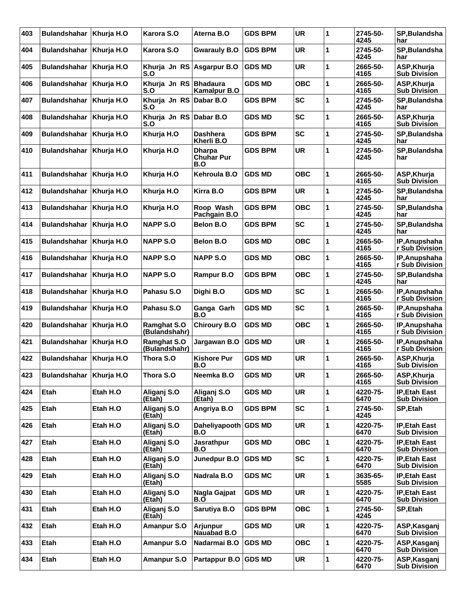| 403 | <b>Bulandshahar</b> | Khurja H.O | Karora S.O                          | Aterna B.O                                | <b>GDS BPM</b> | <b>UR</b>  | 1 | 2745-50-<br>4245 | SP, Bulandsha<br>har                        |
|-----|---------------------|------------|-------------------------------------|-------------------------------------------|----------------|------------|---|------------------|---------------------------------------------|
| 404 | <b>Bulandshahar</b> | Khurja H.O | Karora S.O                          | <b>Gwarauly B.O</b>                       | <b>GDS BPM</b> | <b>UR</b>  | 1 | 2745-50-<br>4245 | SP, Bulandsha<br>har                        |
| 405 | <b>Bulandshahar</b> | Khurja H.O | Khurja Jn RS<br>S.O                 | Asgarpur B.O                              | <b>GDS MD</b>  | <b>UR</b>  | 1 | 2665-50-<br>4165 | ASP, Khurja<br><b>Sub Division</b>          |
| 406 | <b>Bulandshahar</b> | Khurja H.O | Khurja Jn RS<br>S.O                 | <b>Bhadaura</b><br><b>Kamalpur B.O</b>    | <b>GDS MD</b>  | <b>OBC</b> | 1 | 2665-50-<br>4165 | ASP, Khurja<br><b>Sub Division</b>          |
| 407 | <b>Bulandshahar</b> | Khurja H.O | Khurja Jn RS<br>S.O                 | Dabar B.O                                 | <b>GDS BPM</b> | <b>SC</b>  | 1 | 2745-50-<br>4245 | SP, Bulandsha<br>har                        |
| 408 | <b>Bulandshahar</b> | Khurja H.O | Khurja Jn RS<br>S.O                 | Dabar B.O                                 | <b>GDS MD</b>  | <b>SC</b>  | 1 | 2665-50-<br>4165 | ASP, Khurja<br><b>Sub Division</b>          |
| 409 | <b>Bulandshahar</b> | Khurja H.O | Khurja H.O                          | <b>Dashhera</b><br>Kherli B.O             | GDS BPM        | <b>SC</b>  | 1 | 2745-50-<br>4245 | SP, Bulandsha<br>har                        |
| 410 | <b>Bulandshahar</b> | Khurja H.O | Khurja H.O                          | <b>Dharpa</b><br><b>Chuhar Pur</b><br>B.O | <b>GDS BPM</b> | <b>UR</b>  | 1 | 2745-50-<br>4245 | SP, Bulandsha<br>har                        |
| 411 | <b>Bulandshahar</b> | Khurja H.O | Khurja H.O                          | Kehroula B.O                              | <b>GDS MD</b>  | <b>OBC</b> | 1 | 2665-50-<br>4165 | ASP, Khurja<br><b>Sub Division</b>          |
| 412 | <b>Bulandshahar</b> | Khurja H.O | Khurja H.O                          | Kirra B.O                                 | GDS BPM        | <b>UR</b>  | 1 | 2745-50-<br>4245 | SP, Bulandsha<br>har                        |
| 413 | <b>Bulandshahar</b> | Khurja H.O | Khurja H.O                          | Roop Wash<br>Pachgain B.O                 | <b>GDS BPM</b> | <b>OBC</b> | 1 | 2745-50-<br>4245 | SP, Bulandsha<br>har                        |
| 414 | <b>Bulandshahar</b> | Khurja H.O | <b>NAPP S.O</b>                     | Belon B.O                                 | <b>GDS BPM</b> | <b>SC</b>  | 1 | 2745-50-<br>4245 | SP, Bulandsha<br>har                        |
| 415 | <b>Bulandshahar</b> | Khurja H.O | <b>NAPP S.O</b>                     | Belon B.O                                 | <b>GDS MD</b>  | <b>OBC</b> | 1 | 2665-50-<br>4165 | IP, Anupshaha<br>r Sub Division             |
| 416 | <b>Bulandshahar</b> | Khurja H.O | NAPP S.O                            | <b>NAPP S.O</b>                           | <b>GDS MD</b>  | <b>OBC</b> | 1 | 2665-50-<br>4165 | IP, Anupshaha<br>r Sub Division             |
| 417 | <b>Bulandshahar</b> | Khurja H.O | <b>NAPP S.O</b>                     | Rampur B.O                                | <b>GDS BPM</b> | <b>OBC</b> | 1 | 2745-50-<br>4245 | SP, Bulandsha<br>har                        |
| 418 | <b>Bulandshahar</b> | Khurja H.O | Pahasu S.O                          | Dighi B.O                                 | <b>GDS MD</b>  | <b>SC</b>  | 1 | 2665-50-<br>4165 | IP, Anupshaha<br>r Sub Division             |
| 419 | <b>Bulandshahar</b> | Khurja H.O | Pahasu S.O                          | Ganga Garh<br>B.O                         | <b>GDS MD</b>  | <b>SC</b>  | 1 | 2665-50-<br>4165 | IP, Anupshaha<br>r Sub Division             |
| 420 | <b>Bulandshahar</b> | Khurja H.O | Ramghat S.O<br>(Bulandshahr)        | <b>Chiroury B.O</b>                       | <b>GDS MD</b>  | <b>OBC</b> | 1 | 2665-50-<br>4165 | IP, Anupshaha<br>r Sub Division             |
| 421 | <b>Bulandshahar</b> | Khurja H.O | <b>Ramghat S.O</b><br>(Bulandshahr) | Jargawan B.O                              | <b>GDS MD</b>  | <b>UR</b>  | 1 | 2665-50-<br>4165 | IP, Anupshaha<br>r Sub Division             |
| 422 | <b>Bulandshahar</b> | Khurja H.O | Thora S.O                           | <b>Kishore Pur</b><br>B.O                 | <b>GDS MD</b>  | <b>UR</b>  | 1 | 2665-50-<br>4165 | ASP, Khurja<br><b>Sub Division</b>          |
| 423 | <b>Bulandshahar</b> | Khurja H.O | Thora S.O                           | Neemka B.O                                | <b>GDS MD</b>  | <b>UR</b>  | 1 | 2665-50-<br>4165 | ASP, Khurja<br><b>Sub Division</b>          |
| 424 | Etah                | Etah H.O   | Aliganj S.O<br>(Etah)               | Aliganj S.O<br>(Etah)                     | <b>GDS MD</b>  | <b>UR</b>  | 1 | 4220-75-<br>6470 | <b>IP, Etah East</b><br><b>Sub Division</b> |
| 425 | Etah                | Etah H.O   | Aliganj S.O<br>(Etah)               | Angriya B.O                               | <b>GDS BPM</b> | <b>SC</b>  | 1 | 2745-50-<br>4245 | SP, Etah                                    |
| 426 | Etah                | Etah H.O   | Aliganj S.O<br>(Etah)               | Daheliyapooth GDS MD<br>B.O               |                | UR         | 1 | 4220-75-<br>6470 | <b>IP, Etah East</b><br><b>Sub Division</b> |
| 427 | Etah                | Etah H.O   | Aliganj S.O<br>(Etah)               | <b>Jasrathpur</b><br>B.O                  | <b>GDS MD</b>  | <b>OBC</b> | 1 | 4220-75-<br>6470 | <b>IP, Etah East</b><br><b>Sub Division</b> |
| 428 | Etah                | Etah H.O   | Aliganj S.O<br>(Etah)               | Junedpur B.O                              | <b>GDS MD</b>  | <b>SC</b>  | 1 | 4220-75-<br>6470 | <b>IP, Etah East</b><br><b>Sub Division</b> |
| 429 | Etah                | Etah H.O   | Aliganj S.O<br>(Etah)               | Nadrala B.O                               | <b>GDS MC</b>  | UR         | 1 | 3635-65-<br>5585 | IP, Etah East<br><b>Sub Division</b>        |
| 430 | Etah                | Etah H.O   | Aliganj S.O<br>(Etah)               | Nagla Gajpat<br>B.O                       | <b>GDS MD</b>  | <b>UR</b>  | 1 | 4220-75-<br>6470 | <b>IP, Etah East</b><br><b>Sub Division</b> |
| 431 | Etah                | Etah H.O   | Aliganj S.O<br>(Etah)               | Sarutiya B.O                              | <b>GDS BPM</b> | <b>OBC</b> | 1 | 2745-50-<br>4245 | SP, Etah                                    |
| 432 | Etah                | Etah H.O   | Amanpur S.O                         | Arjunpur<br>Nauabad B.O                   | <b>GDS MD</b>  | <b>UR</b>  | 1 | 4220-75-<br>6470 | ASP, Kasganj<br><b>Sub Division</b>         |
| 433 | Etah                | Etah H.O   | <b>Amanpur S.O</b>                  | Nadarmai B.O                              | <b>GDS MD</b>  | <b>OBC</b> | 1 | 4220-75-<br>6470 | ASP, Kasganj<br><b>Sub Division</b>         |
| 434 | Etah                | Etah H.O   | <b>Amanpur S.O</b>                  | Partappur B.O                             | <b>GDS MD</b>  | <b>UR</b>  | 1 | 4220-75-<br>6470 | ASP, Kasganj<br><b>Sub Division</b>         |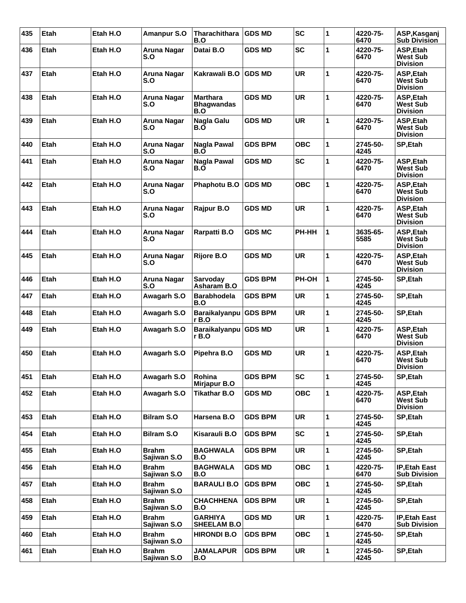| 435 | Etah        | Etah H.O | <b>Amanpur S.O</b>          | <b>Tharachithara</b><br>B.O                 | <b>GDS MD</b>  | <b>SC</b>  | 1 | 4220-75-<br>6470 | ASP, Kasganj<br><b>Sub Division</b>             |
|-----|-------------|----------|-----------------------------|---------------------------------------------|----------------|------------|---|------------------|-------------------------------------------------|
| 436 | Etah        | Etah H.O | Aruna Nagar<br>S.O          | Datai B.O                                   | <b>GDS MD</b>  | <b>SC</b>  | 1 | 4220-75-<br>6470 | ASP, Etah<br><b>West Sub</b><br><b>Division</b> |
| 437 | Etah        | Etah H.O | Aruna Nagar<br>S.O          | Kakrawali B.O                               | <b>GDS MD</b>  | <b>UR</b>  | 1 | 4220-75-<br>6470 | ASP, Etah<br><b>West Sub</b><br><b>Division</b> |
| 438 | Etah        | Etah H.O | Aruna Nagar<br>S.O          | <b>Marthara</b><br><b>Bhagwandas</b><br>B.O | <b>GDS MD</b>  | <b>UR</b>  | 1 | 4220-75-<br>6470 | ASP, Etah<br><b>West Sub</b><br><b>Division</b> |
| 439 | Etah        | Etah H.O | Aruna Nagar<br>S.O          | Nagla Galu<br>B.O                           | <b>GDS MD</b>  | <b>UR</b>  | 1 | 4220-75-<br>6470 | ASP, Etah<br><b>West Sub</b><br><b>Division</b> |
| 440 | Etah        | Etah H.O | Aruna Nagar<br>S.O          | Nagla Pawal<br>B.O                          | <b>GDS BPM</b> | <b>OBC</b> | 1 | 2745-50-<br>4245 | SP, Etah                                        |
| 441 | Etah        | Etah H.O | Aruna Nagar<br>S.O          | <b>Nagla Pawal</b><br>B.O                   | <b>GDS MD</b>  | <b>SC</b>  | 1 | 4220-75-<br>6470 | ASP, Etah<br><b>West Sub</b><br><b>Division</b> |
| 442 | Etah        | Etah H.O | Aruna Nagar<br>S.O          | Phaphotu B.O                                | <b>GDS MD</b>  | <b>OBC</b> | 1 | 4220-75-<br>6470 | ASP, Etah<br><b>West Sub</b><br><b>Division</b> |
| 443 | Etah        | Etah H.O | Aruna Nagar<br>S.O          | Rajpur B.O                                  | <b>GDS MD</b>  | <b>UR</b>  | 1 | 4220-75-<br>6470 | ASP, Etah<br><b>West Sub</b><br><b>Division</b> |
| 444 | Etah        | Etah H.O | Aruna Nagar<br>S.O          | Rarpatti B.O                                | <b>GDS MC</b>  | PH-HH      | 1 | 3635-65-<br>5585 | ASP, Etah<br><b>West Sub</b><br><b>Division</b> |
| 445 | Etah        | Etah H.O | Aruna Nagar<br>S.O          | Rijore B.O                                  | <b>GDS MD</b>  | <b>UR</b>  | 1 | 4220-75-<br>6470 | ASP, Etah<br><b>West Sub</b><br><b>Division</b> |
| 446 | Etah        | Etah H.O | Aruna Nagar<br>S.O          | Sarvoday<br>Asharam B.O                     | <b>GDS BPM</b> | PH-OH      | 1 | 2745-50-<br>4245 | SP, Etah                                        |
| 447 | Etah        | Etah H.O | Awagarh S.O                 | <b>Barabhodela</b><br>B.O                   | <b>GDS BPM</b> | <b>UR</b>  | 1 | 2745-50-<br>4245 | SP, Etah                                        |
| 448 | Etah        | Etah H.O | Awagarh S.O                 | <b>Baraikalyanpu</b><br>r B.O               | <b>GDS BPM</b> | <b>UR</b>  | 1 | 2745-50-<br>4245 | SP, Etah                                        |
| 449 | Etah        | Etah H.O | Awagarh S.O                 | <b>Baraikalyanpu</b><br>r B.O               | <b>GDS MD</b>  | <b>UR</b>  | 1 | 4220-75-<br>6470 | ASP, Etah<br><b>West Sub</b><br><b>Division</b> |
| 450 | <b>Etah</b> | Etah H.O | Awagarh S.O                 | Pipehra B.O                                 | <b>GDS MD</b>  | <b>UR</b>  | 1 | 4220-75-<br>6470 | ASP, Etah<br><b>West Sub</b><br><b>Division</b> |
| 451 | Etah        | Etah H.O | Awagarh S.O                 | Rohina<br>Mirjapur B.O                      | <b>GDS BPM</b> | <b>SC</b>  | 1 | 2745-50-<br>4245 | SP, Etah                                        |
| 452 | Etah        | Etah H.O | Awagarh S.O                 | <b>Tikathar B.O</b>                         | <b>GDS MD</b>  | <b>OBC</b> | 1 | 4220-75-<br>6470 | ASP, Etah<br><b>West Sub</b><br><b>Division</b> |
| 453 | Etah        | Etah H.O | <b>Bilram S.O</b>           | Harsena B.O                                 | <b>GDS BPM</b> | UR         | 1 | 2745-50-<br>4245 | SP, Etah                                        |
| 454 | Etah        | Etah H.O | <b>Bilram S.O</b>           | Kisarauli B.O                               | <b>GDS BPM</b> | <b>SC</b>  | 1 | 2745-50-<br>4245 | SP, Etah                                        |
| 455 | Etah        | Etah H.O | <b>Brahm</b><br>Sajiwan S.O | <b>BAGHWALA</b><br>B.O                      | <b>GDS BPM</b> | <b>UR</b>  | 1 | 2745-50-<br>4245 | SP, Etah                                        |
| 456 | Etah        | Etah H.O | <b>Brahm</b><br>Sajiwan S.O | <b>BAGHWALA</b><br>B.O                      | <b>GDS MD</b>  | <b>OBC</b> | 1 | 4220-75-<br>6470 | <b>IP, Etah East</b><br><b>Sub Division</b>     |
| 457 | Etah        | Etah H.O | <b>Brahm</b><br>Sajiwan S.O | <b>BARAULI B.O</b>                          | <b>GDS BPM</b> | <b>OBC</b> | 1 | 2745-50-<br>4245 | SP, Etah                                        |
| 458 | Etah        | Etah H.O | <b>Brahm</b><br>Sajiwan S.O | <b>CHACHHENA</b><br>B.O                     | <b>GDS BPM</b> | <b>UR</b>  | 1 | 2745-50-<br>4245 | SP, Etah                                        |
| 459 | Etah        | Etah H.O | Brahm<br>Sajiwan S.O        | <b>GARHIYA</b><br><b>SHEELAM B.O</b>        | <b>GDS MD</b>  | UR         | 1 | 4220-75-<br>6470 | <b>IP, Etah East</b><br><b>Sub Division</b>     |
| 460 | Etah        | Etah H.O | <b>Brahm</b><br>Sajiwan S.O | <b>HIRONDI B.O</b>                          | <b>GDS BPM</b> | <b>OBC</b> | 1 | 2745-50-<br>4245 | SP, Etah                                        |
| 461 | Etah        | Etah H.O | <b>Brahm</b><br>Sajiwan S.O | <b>JAMALAPUR</b><br>B.O                     | <b>GDS BPM</b> | <b>UR</b>  | 1 | 2745-50-<br>4245 | SP, Etah                                        |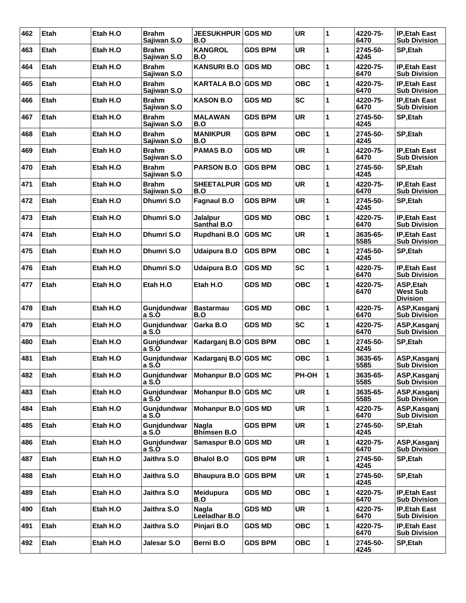| 462 | Etah | Etah H.O | <b>Brahm</b><br>Sajiwan S.O | <b>JEESUKHPUR</b><br>B.O       | <b>GDS MD</b>  | <b>UR</b>  | 1   | 4220-75-<br>6470 | <b>IP, Etah East</b><br><b>Sub Division</b>     |
|-----|------|----------|-----------------------------|--------------------------------|----------------|------------|-----|------------------|-------------------------------------------------|
| 463 | Etah | Etah H.O | <b>Brahm</b><br>Sajiwan S.O | <b>KANGROL</b><br>B.O          | <b>GDS BPM</b> | <b>UR</b>  | 1   | 2745-50-<br>4245 | SP, Etah                                        |
| 464 | Etah | Etah H.O | <b>Brahm</b><br>Sajiwan S.O | <b>KANSURI B.O</b>             | <b>GDS MD</b>  | <b>OBC</b> | 1   | 4220-75-<br>6470 | <b>IP, Etah East</b><br><b>Sub Division</b>     |
| 465 | Etah | Etah H.O | <b>Brahm</b><br>Sajiwan S.O | <b>KARTALA B.O</b>             | <b>GDS MD</b>  | <b>OBC</b> | 1   | 4220-75-<br>6470 | <b>IP, Etah East</b><br><b>Sub Division</b>     |
| 466 | Etah | Etah H.O | <b>Brahm</b><br>Sajiwan S.O | <b>KASON B.O</b>               | <b>GDS MD</b>  | <b>SC</b>  | 1   | 4220-75-<br>6470 | <b>IP, Etah East</b><br><b>Sub Division</b>     |
| 467 | Etah | Etah H.O | <b>Brahm</b><br>Sajiwan S.O | <b>MALAWAN</b><br>B.O          | <b>GDS BPM</b> | <b>UR</b>  | 1   | 2745-50-<br>4245 | SP, Etah                                        |
| 468 | Etah | Etah H.O | Brahm<br>Sajiwan S.O        | <b>MANIKPUR</b><br>B.O         | <b>GDS BPM</b> | <b>OBC</b> | 1   | 2745-50-<br>4245 | <b>SP, Etah</b>                                 |
| 469 | Etah | Etah H.O | <b>Brahm</b><br>Sajiwan S.O | <b>PAMAS B.O</b>               | <b>GDS MD</b>  | <b>UR</b>  | 1   | 4220-75-<br>6470 | <b>IP, Etah East</b><br><b>Sub Division</b>     |
| 470 | Etah | Etah H.O | <b>Brahm</b><br>Sajiwan S.O | <b>PARSON B.O</b>              | <b>GDS BPM</b> | <b>OBC</b> | 1   | 2745-50-<br>4245 | SP, Etah                                        |
| 471 | Etah | Etah H.O | <b>Brahm</b><br>Sajiwan S.O | <b>SHEETALPUR</b><br>B.O       | <b>GDS MD</b>  | <b>UR</b>  | 1   | 4220-75-<br>6470 | <b>IP, Etah East</b><br><b>Sub Division</b>     |
| 472 | Etah | Etah H.O | Dhumri S.O                  | <b>Fagnaul B.O</b>             | <b>GDS BPM</b> | <b>UR</b>  | 1   | 2745-50-<br>4245 | SP, Etah                                        |
| 473 | Etah | Etah H.O | Dhumri S.O                  | <b>Jalalpur</b><br>Santhal B.O | <b>GDS MD</b>  | <b>OBC</b> | 1   | 4220-75-<br>6470 | <b>IP, Etah East</b><br><b>Sub Division</b>     |
| 474 | Etah | Etah H.O | Dhumri S.O                  | Rupdhani B.O                   | <b>GDS MC</b>  | <b>UR</b>  | 1   | 3635-65-<br>5585 | <b>IP, Etah East</b><br><b>Sub Division</b>     |
| 475 | Etah | Etah H.O | Dhumri S.O                  | <b>Udaipura B.O</b>            | <b>GDS BPM</b> | <b>OBC</b> | 1   | 2745-50-<br>4245 | SP, Etah                                        |
| 476 | Etah | Etah H.O | Dhumri S.O                  | <b>Udaipura B.O</b>            | <b>GDS MD</b>  | <b>SC</b>  | 1   | 4220-75-<br>6470 | <b>IP, Etah East</b><br><b>Sub Division</b>     |
| 477 | Etah | Etah H.O | Etah H.O                    | Etah H.O                       | GDS MD         | <b>OBC</b> | 1   | 4220-75-<br>6470 | ASP, Etah<br><b>West Sub</b><br><b>Division</b> |
| 478 | Etah | Etah H.O | Gunjdundwar<br>a S.O        | <b>Bastarmau</b><br>B.O        | <b>GDS MD</b>  | <b>OBC</b> | 1   | 4220-75-<br>6470 | ASP, Kasganj<br><b>Sub Division</b>             |
| 479 | Etah | Etah H.O | Gunidundwar<br>a S.O        | Garka B.O                      | <b>GDS MD</b>  | <b>SC</b>  | 1   | 4220-75-<br>6470 | ASP, Kasganj<br><b>Sub Division</b>             |
| 480 | Etah | Etah H.O | Gunidundwar<br>a S.Ò        | Kadarganj B.O GDS BPM          |                | <b>OBC</b> | 1   | 2745-50-<br>4245 | SP, Etah                                        |
| 481 | Etah | Etah H.O | <b>Gunidundwar</b><br>a S.O | Kadarganj B.O GDS MC           |                | <b>OBC</b> | 1   | 3635-65-<br>5585 | ASP, Kasganj<br><b>Sub Division</b>             |
| 482 | Etah | Etah H.O | Gunjdundwar<br>a S.O        | Mohanpur B.O GDS MC            |                | PH-OH      | ∣1∣ | 3635-65-<br>5585 | ASP, Kasganj<br><b>Sub Division</b>             |
| 483 | Etah | Etah H.O | Gunidundwar<br>a S.O        | Mohanpur B.O GDS MC            |                | UR         | 1   | 3635-65-<br>5585 | ASP, Kasganj<br><b>Sub Division</b>             |
| 484 | Etah | Etah H.O | Gunjdundwar<br>a S.O        | Mohanpur B.O GDS MD            |                | UR         | 1   | 4220-75-<br>6470 | ASP, Kasganj<br><b>Sub Division</b>             |
| 485 | Etah | Etah H.O | Gunjdundwar<br>a S.O        | Nagla<br><b>Bhimsen B.O</b>    | <b>GDS BPM</b> | UR         | 1   | 2745-50-<br>4245 | SP, Etah                                        |
| 486 | Etah | Etah H.O | Gunjdundwar<br>a S.O        | Samaspur B.O GDS MD            |                | UR         | 1   | 4220-75-<br>6470 | ASP, Kasganj<br><b>Sub Division</b>             |
| 487 | Etah | Etah H.O | Jaithra S.O                 | <b>Bhalol B.O</b>              | <b>GDS BPM</b> | UR         | 1   | 2745-50-<br>4245 | SP, Etah                                        |
| 488 | Etah | Etah H.O | Jaithra S.O                 | <b>Bhaupura B.O</b>            | <b>GDS BPM</b> | UR         | 1   | 2745-50-<br>4245 | SP,Etah                                         |
| 489 | Etah | Etah H.O | Jaithra S.O                 | <b>Meidupura</b><br>B.O        | <b>GDS MD</b>  | <b>OBC</b> | 1   | 4220-75-<br>6470 | IP, Etah East<br><b>Sub Division</b>            |
| 490 | Etah | Etah H.O | Jaithra S.O                 | Nagla<br>Leeladhar B.O         | <b>GDS MD</b>  | <b>UR</b>  | 1   | 4220-75-<br>6470 | <b>IP, Etah East</b><br><b>Sub Division</b>     |
| 491 | Etah | Etah H.O | Jaithra S.O                 | Pinjari B.O                    | <b>GDS MD</b>  | <b>OBC</b> | 1   | 4220-75-<br>6470 | <b>IP, Etah East</b><br><b>Sub Division</b>     |
| 492 | Etah | Etah H.O | Jalesar S.O                 | Berni B.O                      | <b>GDS BPM</b> | <b>OBC</b> | 1   | 2745-50-<br>4245 | SP, Etah                                        |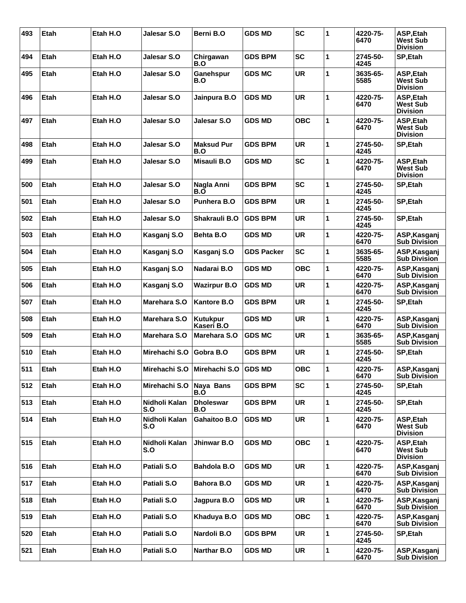| 493 | Etah        | Etah H.O | <b>Jalesar S.O</b>   | Berni B.O                     | <b>GDS MD</b>     | <b>SC</b>  | 1 | 4220-75-<br>6470 | ASP, Etah<br>West Sub<br><b>Division</b>        |
|-----|-------------|----------|----------------------|-------------------------------|-------------------|------------|---|------------------|-------------------------------------------------|
| 494 | Etah        | Etah H.O | Jalesar S.O          | Chirgawan<br>B.O              | <b>GDS BPM</b>    | <b>SC</b>  | 1 | 2745-50-<br>4245 | SP, Etah                                        |
| 495 | <b>Etah</b> | Etah H.O | Jalesar S.O          | Ganehspur<br>B.O              | <b>GDS MC</b>     | <b>UR</b>  | 1 | 3635-65-<br>5585 | ASP, Etah<br>West Sub<br><b>Division</b>        |
| 496 | Etah        | Etah H.O | Jalesar S.O          | Jainpura B.O                  | <b>GDS MD</b>     | UR         | 1 | 4220-75-<br>6470 | ASP, Etah<br>West Sub<br><b>Division</b>        |
| 497 | Etah        | Etah H.O | Jalesar S.O          | Jalesar S.O                   | <b>GDS MD</b>     | <b>OBC</b> | 1 | 4220-75-<br>6470 | ASP, Etah<br><b>West Sub</b><br><b>Division</b> |
| 498 | Etah        | Etah H.O | <b>Jalesar S.O</b>   | <b>Maksud Pur</b><br>B.O      | <b>GDS BPM</b>    | <b>UR</b>  | 1 | 2745-50-<br>4245 | SP, Etah                                        |
| 499 | Etah        | Etah H.O | <b>Jalesar S.O</b>   | Misauli B.O                   | <b>GDS MD</b>     | <b>SC</b>  | 1 | 4220-75-<br>6470 | ASP, Etah<br>West Sub<br><b>Division</b>        |
| 500 | Etah        | Etah H.O | Jalesar S.O          | Nagla Anni<br>B.O             | <b>GDS BPM</b>    | <b>SC</b>  | 1 | 2745-50-<br>4245 | <b>SP.Etah</b>                                  |
| 501 | Etah        | Etah H.O | <b>Jalesar S.O</b>   | <b>Punhera B.O</b>            | <b>GDS BPM</b>    | <b>UR</b>  | 1 | 2745-50-<br>4245 | <b>SP.Etah</b>                                  |
| 502 | Etah        | Etah H.O | Jalesar S.O          | Shakrauli B.O                 | GDS BPM           | <b>UR</b>  | 1 | 2745-50-<br>4245 | SP, Etah                                        |
| 503 | Etah        | Etah H.O | Kasganj S.O          | <b>Behta B.O</b>              | <b>GDS MD</b>     | <b>UR</b>  | 1 | 4220-75-<br>6470 | ASP, Kasganj<br><b>Sub Division</b>             |
| 504 | <b>Etah</b> | Etah H.O | Kasganj S.O          | Kasganj S.O                   | <b>GDS Packer</b> | <b>SC</b>  | 1 | 3635-65-<br>5585 | ASP, Kasganj<br><b>Sub Division</b>             |
| 505 | Etah        | Etah H.O | Kasganj S.O          | Nadarai B.O                   | <b>GDS MD</b>     | OBC        | 1 | 4220-75-<br>6470 | ASP, Kasganj<br><b>Sub Division</b>             |
| 506 | Etah        | Etah H.O | Kasganj S.O          | <b>Wazirpur B.O</b>           | <b>GDS MD</b>     | <b>UR</b>  | 1 | 4220-75-<br>6470 | ASP, Kasganj<br><b>Sub Division</b>             |
| 507 | Etah        | Etah H.O | Marehara S.O         | <b>Kantore B.O</b>            | <b>GDS BPM</b>    | <b>UR</b>  | 1 | 2745-50-<br>4245 | <b>SP.Etah</b>                                  |
| 508 | Etah        | Etah H.O | Marehara S.O         | <b>Kutukpur</b><br>Kaseri B.O | <b>GDS MD</b>     | <b>UR</b>  | 1 | 4220-75-<br>6470 | ASP, Kasganj<br><b>Sub Division</b>             |
| 509 | Etah        | Etah H.O | Marehara S.O         | Marehara S.O                  | <b>GDS MC</b>     | <b>UR</b>  | 1 | 3635-65-<br>5585 | ASP, Kasganj<br><b>Sub Division</b>             |
| 510 | Etah        | Etah H.O | Mirehachi S.O        | Gobra B.O                     | <b>GDS BPM</b>    | <b>UR</b>  | 1 | 2745-50-<br>4245 | SP, Etah                                        |
| 511 | Etah        | Etah H.O |                      | Mirehachi S.O Mirehachi S.O   | <b>GDS MD</b>     | <b>OBC</b> | 1 | 4220-75-<br>6470 | ASP, Kasganj<br><b>Sub Division</b>             |
| 512 | Etah        | Etah H.O | Mirehachi S.O        | Naya Bans<br>B.O              | <b>GDS BPM</b>    | <b>SC</b>  | 1 | 2745-50-<br>4245 | SP, Etah                                        |
| 513 | Etah        | Etah H.O | Nidholi Kalan<br>S.O | <b>Dholeswar</b><br>B.O       | <b>GDS BPM</b>    | <b>UR</b>  | 1 | 2745-50-<br>4245 | SP, Etah                                        |
| 514 | Etah        | Etah H.O | Nidholi Kalan<br>S.O | Gahaitoo B.O                  | <b>GDS MD</b>     | <b>UR</b>  | 1 | 4220-75-<br>6470 | ASP, Etah<br><b>West Sub</b><br><b>Division</b> |
| 515 | Etah        | Etah H.O | Nidholi Kalan<br>S.O | Jhinwar B.O                   | <b>GDS MD</b>     | <b>OBC</b> | 1 | 4220-75-<br>6470 | ASP, Etah<br><b>West Sub</b><br><b>Division</b> |
| 516 | Etah        | Etah H.O | Patiali S.O          | <b>Bahdola B.O</b>            | <b>GDS MD</b>     | <b>UR</b>  | 1 | 4220-75-<br>6470 | ASP, Kasganj<br><b>Sub Division</b>             |
| 517 | Etah        | Etah H.O | Patiali S.O          | <b>Bahora B.O</b>             | <b>GDS MD</b>     | <b>UR</b>  | 1 | 4220-75-<br>6470 | ASP, Kasganj<br><b>Sub Division</b>             |
| 518 | Etah        | Etah H.O | Patiali S.O          | Jagpura B.O                   | <b>GDS MD</b>     | UR         | 1 | 4220-75-<br>6470 | ASP, Kasganj<br><b>Sub Division</b>             |
| 519 | Etah        | Etah H.O | Patiali S.O          | Khaduya B.O                   | <b>GDS MD</b>     | <b>OBC</b> | 1 | 4220-75-<br>6470 | ASP, Kasganj<br><b>Sub Division</b>             |
| 520 | Etah        | Etah H.O | Patiali S.O          | Nardoli B.O                   | <b>GDS BPM</b>    | UR         | 1 | 2745-50-<br>4245 | SP, Etah                                        |
| 521 | Etah        | Etah H.O | Patiali S.O          | <b>Narthar B.O</b>            | <b>GDS MD</b>     | <b>UR</b>  | 1 | 4220-75-<br>6470 | ASP, Kasganj<br><b>Sub Division</b>             |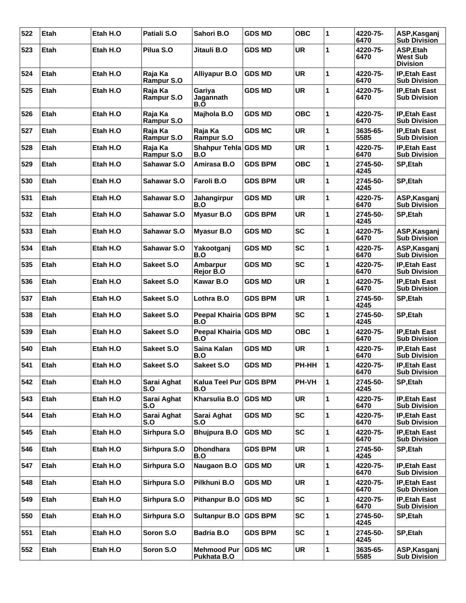| 522 | Etah        | Etah H.O | Patiali S.O                  | Sahori B.O                               | <b>GDS MD</b>  | <b>OBC</b> | 1            | 4220-75-<br>6470 | ASP, Kasganj<br><b>Sub Division</b>             |
|-----|-------------|----------|------------------------------|------------------------------------------|----------------|------------|--------------|------------------|-------------------------------------------------|
| 523 | Etah        | Etah H.O | Pilua S.O                    | Jitauli B.O                              | <b>GDS MD</b>  | <b>UR</b>  | 1            | 4220-75-<br>6470 | ASP, Etah<br><b>West Sub</b><br><b>Division</b> |
| 524 | Etah        | Etah H.O | Raja Ka<br>Rampur S.O        | <b>Alliyapur B.O</b>                     | <b>GDS MD</b>  | <b>UR</b>  | 1            | 4220-75-<br>6470 | <b>IP, Etah East</b><br><b>Sub Division</b>     |
| 525 | Etah        | Etah H.O | Raja Ka<br><b>Rampur S.O</b> | Gariya<br>Jagannath<br>B.O               | <b>GDS MD</b>  | <b>UR</b>  | 1            | 4220-75-<br>6470 | <b>IP, Etah East</b><br><b>Sub Division</b>     |
| 526 | Etah        | Etah H.O | Raja Ka<br>Rampur S.O        | Majhola B.O                              | <b>GDS MD</b>  | <b>OBC</b> | 1            | 4220-75-<br>6470 | <b>IP, Etah East</b><br><b>Sub Division</b>     |
| 527 | <b>Etah</b> | Etah H.O | Raja Ka<br><b>Rampur S.O</b> | Raja Ka<br><b>Rampur S.O</b>             | <b>GDS MC</b>  | <b>UR</b>  | 1            | 3635-65-<br>5585 | <b>IP, Etah East</b><br><b>Sub Division</b>     |
| 528 | Etah        | Etah H.O | Raja Ka<br><b>Rampur S.O</b> | Shahpur Tehla GDS MD<br>B.O              |                | <b>UR</b>  | 1            | 4220-75-<br>6470 | <b>IP, Etah East</b><br><b>Sub Division</b>     |
| 529 | Etah        | Etah H.O | Sahawar S.O                  | Amirasa B.O                              | <b>GDS BPM</b> | <b>OBC</b> | 1            | 2745-50-<br>4245 | SP, Etah                                        |
| 530 | Etah        | Etah H.O | Sahawar S.O                  | Faroli B.O                               | <b>GDS BPM</b> | <b>UR</b>  | 1            | 2745-50-<br>4245 | SP, Etah                                        |
| 531 | Etah        | Etah H.O | Sahawar S.O                  | Jahangirpur<br>B.O                       | <b>GDS MD</b>  | UR         | 1            | 4220-75-<br>6470 | ASP, Kasganj<br><b>Sub Division</b>             |
| 532 | Etah        | Etah H.O | Sahawar S.O                  | <b>Myasur B.O</b>                        | GDS BPM        | <b>UR</b>  | 1            | 2745-50-<br>4245 | SP, Etah                                        |
| 533 | <b>Etah</b> | Etah H.O | Sahawar S.O                  | <b>Myasur B.O</b>                        | <b>GDS MD</b>  | <b>SC</b>  | 1            | 4220-75-<br>6470 | ASP, Kasganj<br><b>Sub Division</b>             |
| 534 | Etah        | Etah H.O | Sahawar S.O                  | Yakootganj<br>B.O                        | <b>GDS MD</b>  | <b>SC</b>  | 1            | 4220-75-<br>6470 | ASP, Kasganj<br><b>Sub Division</b>             |
| 535 | Etah        | Etah H.O | Sakeet S.O                   | Ambarpur<br>Rejor B.O                    | <b>GDS MD</b>  | <b>SC</b>  | 1            | 4220-75-<br>6470 | <b>IP, Etah East</b><br><b>Sub Division</b>     |
| 536 | Etah        | Etah H.O | Sakeet S.O                   | Kawar B.O                                | <b>GDS MD</b>  | <b>UR</b>  | 1            | 4220-75-<br>6470 | <b>IP, Etah East</b><br><b>Sub Division</b>     |
| 537 | Etah        | Etah H.O | Sakeet S.O                   | Lothra B.O                               | <b>GDS BPM</b> | <b>UR</b>  | 1            | 2745-50-<br>4245 | SP, Etah                                        |
| 538 | Etah        | Etah H.O | Sakeet S.O                   | Peepal Khairia GDS BPM<br>B.O            |                | <b>SC</b>  | 1            | 2745-50-<br>4245 | <b>SP.Etah</b>                                  |
| 539 | <b>Etah</b> | Etah H.O | Sakeet S.O                   | Peepal Khairia GDS MD<br>B.O             |                | <b>OBC</b> | 1            | 4220-75-<br>6470 | <b>IP, Etah East</b><br><b>Sub Division</b>     |
| 540 | Etah        | Etah H.O | Sakeet S.O                   | Saina Kalan<br>B.O                       | <b>GDS MD</b>  | <b>UR</b>  | 1            | 4220-75-<br>6470 | <b>IP.Etah East</b><br><b>Sub Division</b>      |
| 541 | Etah        | Etah H.O | Sakeet S.O                   | Sakeet S.O                               | <b>GDS MD</b>  | PH-HH      | 1            | 4220-75-<br>6470 | IP, Etah East<br><b>Sub Division</b>            |
| 542 | Etah        | Etah H.O | Sarai Aghat<br>S.O           | Kalua Teel Pur GDS BPM<br>B.O            |                | PH-VH      | $\mathbf{1}$ | 2745-50-<br>4245 | SP, Etah                                        |
| 543 | Etah        | Etah H.O | Sarai Aghat<br>S.O           | Kharsulia B.O                            | <b>GDS MD</b>  | <b>UR</b>  | 1            | 4220-75-<br>6470 | <b>IP, Etah East</b><br><b>Sub Division</b>     |
| 544 | Etah        | Etah H.O | Sarai Aghat<br>S.O           | Sarai Aghat<br>S.O                       | <b>GDS MD</b>  | <b>SC</b>  | 1            | 4220-75-<br>6470 | <b>IP, Etah East</b><br><b>Sub Division</b>     |
| 545 | Etah        | Etah H.O | Sirhpura S.O                 | <b>Bhujpura B.O</b>                      | <b>GDS MD</b>  | <b>SC</b>  | 1            | 4220-75-<br>6470 | <b>IP, Etah East</b><br><b>Sub Division</b>     |
| 546 | Etah        | Etah H.O | Sirhpura S.O                 | <b>Dhondhara</b><br>B.O                  | <b>GDS BPM</b> | UR         | 1            | 2745-50-<br>4245 | SP, Etah                                        |
| 547 | Etah        | Etah H.O | Sirhpura S.O                 | Naugaon B.O                              | <b>GDS MD</b>  | <b>UR</b>  | 1            | 4220-75-<br>6470 | <b>IP, Etah East</b><br><b>Sub Division</b>     |
| 548 | Etah        | Etah H.O | Sirhpura S.O                 | Pilkhuni B.O                             | <b>GDS MD</b>  | <b>UR</b>  | 1            | 4220-75-<br>6470 | <b>IP, Etah East</b><br><b>Sub Division</b>     |
| 549 | Etah        | Etah H.O | Sirhpura S.O                 | <b>Pithanpur B.O</b>                     | <b>GDS MD</b>  | <b>SC</b>  | 1            | 4220-75-<br>6470 | <b>IP, Etah East</b><br><b>Sub Division</b>     |
| 550 | Etah        | Etah H.O | Sirhpura S.O                 | <b>Sultanpur B.O</b>                     | <b>GDS BPM</b> | <b>SC</b>  | 1            | 2745-50-<br>4245 | SP, Etah                                        |
| 551 | Etah        | Etah H.O | Soron S.O                    | Badria B.O                               | <b>GDS BPM</b> | <b>SC</b>  | 1            | 2745-50-<br>4245 | SP, Etah                                        |
| 552 | Etah        | Etah H.O | Soron S.O                    | <b>Mehmood Pur</b><br><b>Pukhata B.O</b> | <b>GDS MC</b>  | <b>UR</b>  | 1            | 3635-65-<br>5585 | ASP, Kasganj<br><b>Sub Division</b>             |
|     |             |          |                              |                                          |                |            |              |                  |                                                 |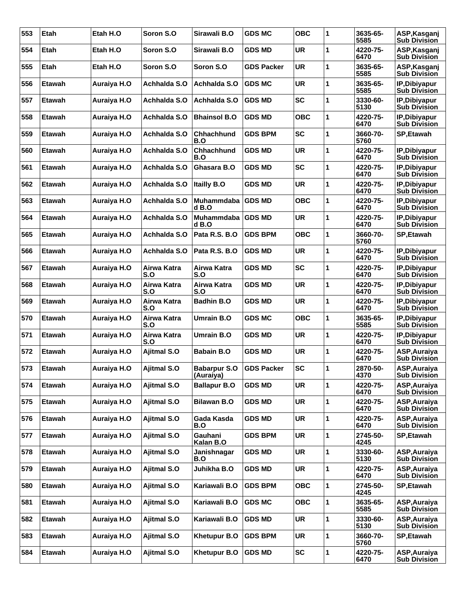| 553 | <b>Etah</b>   | Etah H.O    | Soron S.O          | Sirawali B.O                     | <b>GDS MC</b>     | OBC        | 1                    | 3635-65-<br>5585 | ASP, Kasganj<br><b>Sub Division</b>        |
|-----|---------------|-------------|--------------------|----------------------------------|-------------------|------------|----------------------|------------------|--------------------------------------------|
| 554 | Etah          | Etah H.O    | Soron S.O          | Sirawali B.O                     | <b>GDS MD</b>     | <b>UR</b>  | 1                    | 4220-75-<br>6470 | ASP, Kasganj<br><b>Sub Division</b>        |
| 555 | <b>Etah</b>   | Etah H.O    | Soron S.O          | Soron S.O                        | <b>GDS Packer</b> | <b>UR</b>  | 1                    | 3635-65-<br>5585 | ASP, Kasganj<br><b>Sub Division</b>        |
| 556 | <b>Etawah</b> | Auraiya H.O | Achhalda S.O       | Achhalda S.O                     | <b>GDS MC</b>     | UR         | 1                    | 3635-65-<br>5585 | IP, Dibiyapur<br><b>Sub Division</b>       |
| 557 | Etawah        | Auraiya H.O | Achhalda S.O       | Achhalda S.O                     | <b>GDS MD</b>     | <b>SC</b>  | 1                    | 3330-60-<br>5130 | IP, Dibiyapur<br><b>Sub Division</b>       |
| 558 | <b>Etawah</b> | Auraiya H.O | Achhalda S.O       | <b>Bhainsol B.O</b>              | <b>GDS MD</b>     | <b>OBC</b> | 1                    | 4220-75-<br>6470 | IP, Dibiyapur<br><b>Sub Division</b>       |
| 559 | Etawah        | Auraiya H.O | Achhalda S.O       | <b>Chhachhund</b><br>B.O         | <b>GDS BPM</b>    | SC         | 1                    | 3660-70-<br>5760 | <b>SP, Etawah</b>                          |
| 560 | Etawah        | Auraiya H.O | Achhalda S.O       | Chhachhund<br>B.O                | <b>GDS MD</b>     | <b>UR</b>  | 1                    | 4220-75-<br>6470 | IP, Dibiyapur<br><b>Sub Division</b>       |
| 561 | <b>Etawah</b> | Auraiya H.O | Achhalda S.O       | Ghasara B.O                      | <b>GDS MD</b>     | <b>SC</b>  | 1                    | 4220-75-<br>6470 | IP, Dibiyapur<br><b>Sub Division</b>       |
| 562 | <b>Etawah</b> | Auraiya H.O | Achhalda S.O       | <b>Itailly B.O</b>               | <b>GDS MD</b>     | UR         | 1                    | 4220-75-<br>6470 | IP, Dibiyapur<br><b>Sub Division</b>       |
| 563 | <b>Etawah</b> | Auraiya H.O | Achhalda S.O       | Muhammdaba<br>d B.O              | <b>GDS MD</b>     | <b>OBC</b> | 1                    | 4220-75-<br>6470 | IP, Dibiyapur<br><b>Sub Division</b>       |
| 564 | <b>Etawah</b> | Auraiya H.O | Achhalda S.O       | Muhammdaba<br>d B.O              | <b>GDS MD</b>     | <b>UR</b>  | 1                    | 4220-75-<br>6470 | IP, Dibiyapur<br><b>Sub Division</b>       |
| 565 | <b>Etawah</b> | Auraiya H.O | Achhalda S.O       | Pata R.S. B.O                    | <b>GDS BPM</b>    | OBC        | 1                    | 3660-70-<br>5760 | <b>SP, Etawah</b>                          |
| 566 | Etawah        | Auraiya H.O | Achhalda S.O       | Pata R.S. B.O                    | <b>GDS MD</b>     | <b>UR</b>  | 1                    | 4220-75-<br>6470 | IP, Dibiyapur<br><b>Sub Division</b>       |
| 567 | Etawah        | Auraiya H.O | Airwa Katra<br>S.O | Airwa Katra<br>S.O               | <b>GDS MD</b>     | <b>SC</b>  | 1                    | 4220-75-<br>6470 | IP, Dibiyapur<br><b>Sub Division</b>       |
| 568 | <b>Etawah</b> | Auraiya H.O | Airwa Katra<br>S.O | Airwa Katra<br>S.O               | <b>GDS MD</b>     | <b>UR</b>  | 1                    | 4220-75-<br>6470 | IP, Dibiyapur<br><b>Sub Division</b>       |
| 569 | <b>Etawah</b> | Auraiya H.O | Airwa Katra<br>S.O | <b>Badhin B.O</b>                | <b>GDS MD</b>     | <b>UR</b>  | 1                    | 4220-75-<br>6470 | IP, Dibiyapur<br><b>Sub Division</b>       |
| 570 | <b>Etawah</b> | Auraiya H.O | Airwa Katra<br>S.O | <b>Umrain B.O</b>                | <b>GDS MC</b>     | <b>OBC</b> | 1                    | 3635-65-<br>5585 | IP, Dibiyapur<br><b>Sub Division</b>       |
| 571 | <b>Etawah</b> | Auraiya H.O | Airwa Katra<br>S.O | Umrain B.O                       | <b>GDS MD</b>     | UR         | 1                    | 4220-75-<br>6470 | IP, Dibiyapur<br><b>Sub Division</b>       |
| 572 | <b>Etawah</b> | Auraiya H.O | <b>Ajitmal S.O</b> | <b>Babain B.O</b>                | <b>GDS MD</b>     | <b>UR</b>  | 1                    | 4220-75-<br>6470 | ASP, Auraiya<br><b>Sub Division</b>        |
| 573 | Etawah        | Auraiya H.O | <b>Ajitmal S.O</b> | <b>Babarpur S.O</b><br>(Auraiya) | <b>GDS Packer</b> | <b>SC</b>  | $\ddot{\phantom{0}}$ | 2870-50-<br>4370 | ASP, Auraiya<br><b>Sub Division</b>        |
| 574 | Etawah        | Auraiya H.O | Ajitmal S.O        | <b>Ballapur B.O</b>              | <b>GDS MD</b>     | <b>UR</b>  | 1                    | 4220-75-<br>6470 | ASP, Auraiya<br><b>Sub Division</b>        |
| 575 | Etawah        | Auraiya H.O | <b>Ajitmal S.O</b> | <b>Bilawan B.O</b>               | <b>GDS MD</b>     | <b>UR</b>  | 1                    | 4220-75-<br>6470 | ASP, Auraiya<br><b>Sub Division</b>        |
| 576 | Etawah        | Auraiya H.O | <b>Ajitmal S.O</b> | Gada Kasda<br>B.O                | <b>GDS MD</b>     | <b>UR</b>  | 1                    | 4220-75-<br>6470 | ASP, Auraiya<br><b>Sub Division</b>        |
| 577 | Etawah        | Auraiya H.O | Ajitmal S.O        | Gauhani<br>Kalan B.O             | <b>GDS BPM</b>    | <b>UR</b>  | 1                    | 2745-50-<br>4245 | SP, Etawah                                 |
| 578 | Etawah        | Auraiya H.O | <b>Ajitmal S.O</b> | Janishnagar<br>B.O               | <b>GDS MD</b>     | <b>UR</b>  | 1                    | 3330-60-<br>5130 | <b>ASP, Auraiya</b><br><b>Sub Division</b> |
| 579 | Etawah        | Auraiya H.O | <b>Ajitmal S.O</b> | Juhikha B.O                      | <b>GDS MD</b>     | <b>UR</b>  | 1                    | 4220-75-<br>6470 | ASP, Auraiya<br><b>Sub Division</b>        |
| 580 | Etawah        | Auraiya H.O | <b>Ajitmal S.O</b> | Kariawali B.O                    | <b>GDS BPM</b>    | <b>OBC</b> | 1                    | 2745-50-<br>4245 | SP, Etawah                                 |
| 581 | Etawah        | Auraiya H.O | <b>Ajitmal S.O</b> | Kariawali B.O                    | <b>GDS MC</b>     | <b>OBC</b> | 1                    | 3635-65-<br>5585 | ASP, Auraiya<br><b>Sub Division</b>        |
| 582 | Etawah        | Auraiya H.O | <b>Ajitmal S.O</b> | Kariawali B.O                    | <b>GDS MD</b>     | <b>UR</b>  | 1                    | 3330-60-<br>5130 | ASP, Auraiya<br><b>Sub Division</b>        |
| 583 | Etawah        | Auraiya H.O | Ajitmal S.O        | Khetupur B.O                     | <b>GDS BPM</b>    | UR         | 1                    | 3660-70-<br>5760 | SP, Etawah                                 |
| 584 | Etawah        | Auraiya H.O | <b>Ajitmal S.O</b> | <b>Khetupur B.O</b>              | <b>GDS MD</b>     | <b>SC</b>  | 1                    | 4220-75-<br>6470 | ASP, Auraiya<br><b>Sub Division</b>        |
|     |               |             |                    |                                  |                   |            |                      |                  |                                            |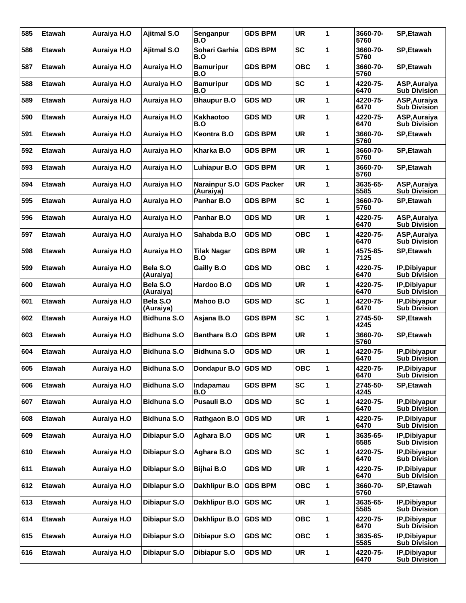| 585 | Etawah        | Auraiya H.O | <b>Ajitmal S.O</b>    | Senganpur<br>B.O                  | <b>GDS BPM</b>    | <b>UR</b>  | 1 | 3660-70-<br>5760 | <b>SP.Etawah</b>                     |
|-----|---------------|-------------|-----------------------|-----------------------------------|-------------------|------------|---|------------------|--------------------------------------|
| 586 | <b>Etawah</b> | Auraiya H.O | <b>Ajitmal S.O</b>    | Sohari Garhia<br>B.O              | <b>GDS BPM</b>    | <b>SC</b>  | 1 | 3660-70-<br>5760 | <b>SP.Etawah</b>                     |
| 587 | Etawah        | Auraiya H.O | Auraiya H.O           | <b>Bamuripur</b><br>B.O           | <b>GDS BPM</b>    | <b>OBC</b> | 1 | 3660-70-<br>5760 | <b>SP.Etawah</b>                     |
| 588 | Etawah        | Auraiya H.O | Auraiya H.O           | <b>Bamuripur</b><br>B.O           | <b>GDS MD</b>     | <b>SC</b>  | 1 | 4220-75-<br>6470 | ASP, Auraiya<br><b>Sub Division</b>  |
| 589 | <b>Etawah</b> | Auraiya H.O | Auraiya H.O           | <b>Bhaupur B.O</b>                | <b>GDS MD</b>     | <b>UR</b>  | 1 | 4220-75-<br>6470 | ASP, Auraiya<br><b>Sub Division</b>  |
| 590 | Etawah        | Auraiya H.O | Auraiya H.O           | Kakhaotoo<br>B.O                  | <b>GDS MD</b>     | <b>UR</b>  | 1 | 4220-75-<br>6470 | ASP, Auraiya<br><b>Sub Division</b>  |
| 591 | Etawah        | Auraiya H.O | Auraiya H.O           | <b>Keontra B.O</b>                | GDS BPM           | <b>UR</b>  | 1 | 3660-70-<br>5760 | <b>SP, Etawah</b>                    |
| 592 | <b>Etawah</b> | Auraiya H.O | Auraiya H.O           | Kharka B.O                        | <b>GDS BPM</b>    | <b>UR</b>  | 1 | 3660-70-<br>5760 | <b>SP.Etawah</b>                     |
| 593 | Etawah        | Auraiya H.O | Auraiya H.O           | Luhiapur B.O                      | <b>GDS BPM</b>    | <b>UR</b>  | 1 | 3660-70-<br>5760 | <b>SP.Etawah</b>                     |
| 594 | Etawah        | Auraiya H.O | Auraiya H.O           | <b>Narainpur S.O</b><br>(Auraiya) | <b>GDS Packer</b> | <b>UR</b>  | 1 | 3635-65-<br>5585 | ASP, Auraiya<br><b>Sub Division</b>  |
| 595 | <b>Etawah</b> | Auraiya H.O | Auraiya H.O           | Panhar B.O                        | GDS BPM           | <b>SC</b>  | 1 | 3660-70-<br>5760 | SP, Etawah                           |
| 596 | <b>Etawah</b> | Auraiya H.O | Auraiya H.O           | Panhar B.O                        | <b>GDS MD</b>     | <b>UR</b>  | 1 | 4220-75-<br>6470 | ASP, Auraiya<br><b>Sub Division</b>  |
| 597 | Etawah        | Auraiya H.O | Auraiya H.O           | Sahabda B.O                       | <b>GDS MD</b>     | <b>OBC</b> | 1 | 4220-75-<br>6470 | ASP, Auraiya<br><b>Sub Division</b>  |
| 598 | <b>Etawah</b> | Auraiya H.O | Auraiya H.O           | Tilak Nagar<br>B.O                | <b>GDS BPM</b>    | UR         | 1 | 4575-85-<br>7125 | <b>SP.Etawah</b>                     |
| 599 | Etawah        | Auraiya H.O | Bela S.O<br>(Auraiya) | <b>Gailly B.O</b>                 | <b>GDS MD</b>     | <b>OBC</b> | 1 | 4220-75-<br>6470 | IP, Dibiyapur<br><b>Sub Division</b> |
| 600 | <b>Etawah</b> | Auraiya H.O | Bela S.O<br>(Auraiya) | Hardoo B.O                        | <b>GDS MD</b>     | <b>UR</b>  | 1 | 4220-75-<br>6470 | IP, Dibiyapur<br><b>Sub Division</b> |
| 601 | <b>Etawah</b> | Auraiya H.O | Bela S.O<br>(Auraiya) | Mahoo B.O                         | <b>GDS MD</b>     | <b>SC</b>  | 1 | 4220-75-<br>6470 | IP, Dibiyapur<br><b>Sub Division</b> |
| 602 | <b>Etawah</b> | Auraiya H.O | <b>Bidhuna S.O</b>    | Asjana B.O                        | <b>GDS BPM</b>    | <b>SC</b>  | 1 | 2745-50-<br>4245 | SP, Etawah                           |
| 603 | Etawah        | Auraiya H.O | <b>Bidhuna S.O</b>    | <b>Banthara B.O</b>               | <b>GDS BPM</b>    | <b>UR</b>  | 1 | 3660-70-<br>5760 | <b>SP.Etawah</b>                     |
| 604 | <b>Etawah</b> | Auraiya H.O | Bidhuna S.O           | <b>Bidhuna S.O</b>                | <b>GDS MD</b>     | <b>UR</b>  | 1 | 4220-75-<br>6470 | IP, Dibiyapur<br><b>Sub Division</b> |
| 605 | <b>Etawah</b> | Auraiya H.O | <b>Bidhuna S.O</b>    | Dondapur B.O GDS MD               |                   | <b>OBC</b> | 1 | 4220-75-<br>6470 | IP, Dibiyapur<br><b>Sub Division</b> |
| 606 | Etawah        | Auraiya H.O | <b>Bidhuna S.O</b>    | Indapamau<br>B.O                  | <b>GDS BPM</b>    | SC         | 1 | 2745-50-<br>4245 | SP, Etawah                           |
| 607 | <b>Etawah</b> | Auraiya H.O | <b>Bidhuna S.O</b>    | Pusauli B.O                       | <b>GDS MD</b>     | <b>SC</b>  | 1 | 4220-75-<br>6470 | IP, Dibiyapur<br><b>Sub Division</b> |
| 608 | Etawah        | Auraiya H.O | <b>Bidhuna S.O</b>    | Rathgaon B.O                      | <b>GDS MD</b>     | <b>UR</b>  | 1 | 4220-75-<br>6470 | IP, Dibiyapur<br><b>Sub Division</b> |
| 609 | Etawah        | Auraiya H.O | Dibiapur S.O          | Aghara B.O                        | <b>GDS MC</b>     | UR         | 1 | 3635-65-<br>5585 | IP, Dibiyapur<br><b>Sub Division</b> |
| 610 | Etawah        | Auraiya H.O | Dibiapur S.O          | Aghara B.O                        | <b>GDS MD</b>     | <b>SC</b>  | 1 | 4220-75-<br>6470 | IP, Dibiyapur<br><b>Sub Division</b> |
| 611 | Etawah        | Auraiya H.O | Dibiapur S.O          | Bijhai B.O                        | <b>GDS MD</b>     | <b>UR</b>  | 1 | 4220-75-<br>6470 | IP, Dibiyapur<br><b>Sub Division</b> |
| 612 | Etawah        | Auraiya H.O | Dibiapur S.O          | Dakhlipur B.O                     | <b>GDS BPM</b>    | ОВС        | 1 | 3660-70-<br>5760 | SP, Etawah                           |
| 613 | Etawah        | Auraiya H.O | Dibiapur S.O          | Dakhlipur B.O                     | <b>GDS MC</b>     | <b>UR</b>  | 1 | 3635-65-<br>5585 | IP, Dibiyapur<br><b>Sub Division</b> |
| 614 | Etawah        | Auraiya H.O | Dibiapur S.O          | Dakhlipur B.O                     | <b>GDS MD</b>     | <b>OBC</b> | 1 | 4220-75-<br>6470 | IP, Dibiyapur<br><b>Sub Division</b> |
| 615 | Etawah        | Auraiya H.O | Dibiapur S.O          | Dibiapur S.O                      | <b>GDS MC</b>     | <b>OBC</b> | 1 | 3635-65-<br>5585 | IP, Dibiyapur<br><b>Sub Division</b> |
| 616 | Etawah        | Auraiya H.O | Dibiapur S.O          | Dibiapur S.O                      | <b>GDS MD</b>     | UR         | 1 | 4220-75-<br>6470 | IP, Dibiyapur<br><b>Sub Division</b> |
|     |               |             |                       |                                   |                   |            |   |                  |                                      |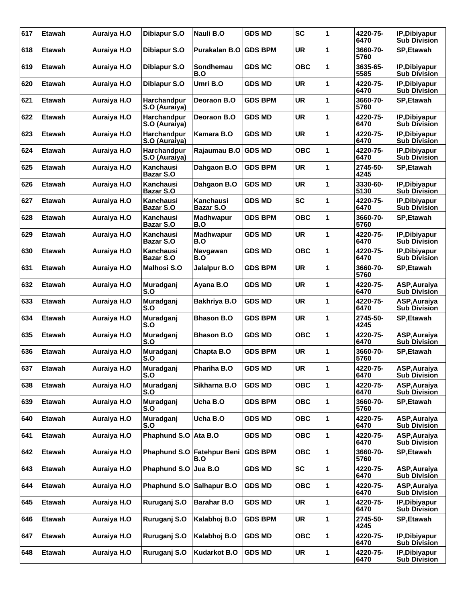| <b>Etawah</b> | Auraiya H.O | Dibiapur S.O                        | Nauli B.O                     | <b>GDS MD</b>                        | <b>SC</b>           | 1 | 4220-75-<br>6470 | IP, Dibiyapur<br><b>Sub Division</b>       |
|---------------|-------------|-------------------------------------|-------------------------------|--------------------------------------|---------------------|---|------------------|--------------------------------------------|
| <b>Etawah</b> | Auraiya H.O | Dibiapur S.O                        | <b>Purakalan B.O.</b>         | <b>GDS BPM</b>                       | <b>UR</b>           | 1 | 3660-70-<br>5760 | <b>SP, Etawah</b>                          |
| <b>Etawah</b> | Auraiya H.O | Dibiapur S.O                        | Sondhemau<br>B.O              | <b>GDS MC</b>                        | ОВС                 | 1 | 3635-65-<br>5585 | IP.Dibiyapur<br><b>Sub Division</b>        |
| <b>Etawah</b> | Auraiya H.O | Dibiapur S.O                        | Umri B.O                      | <b>GDS MD</b>                        | <b>UR</b>           | 1 | 4220-75-<br>6470 | IP, Dibiyapur<br><b>Sub Division</b>       |
| <b>Etawah</b> | Auraiya H.O | <b>Harchandpur</b><br>S.O (Auraiya) | Deoraon B.O                   | <b>GDS BPM</b>                       | <b>UR</b>           | 1 | 3660-70-<br>5760 | SP, Etawah                                 |
| <b>Etawah</b> | Auraiya H.O | <b>Harchandpur</b><br>S.O (Auraiya) | Deoraon B.O                   | <b>GDS MD</b>                        | <b>UR</b>           | 1 | 4220-75-<br>6470 | IP.Dibiyapur<br><b>Sub Division</b>        |
| <b>Etawah</b> | Auraiya H.O | Harchandpur<br>S.O (Auraiya)        | Kamara B.O                    | <b>GDS MD</b>                        | UR                  | 1 | 4220-75-<br>6470 | IP, Dibiyapur<br><b>Sub Division</b>       |
| <b>Etawah</b> | Auraiya H.O | Harchandpur<br>S.O (Auraiya)        |                               |                                      | <b>OBC</b>          | 1 | 4220-75-<br>6470 | IP, Dibiyapur<br><b>Sub Division</b>       |
| <b>Etawah</b> | Auraiya H.O | Kanchausi<br><b>Bazar S.O</b>       | Dahgaon B.O                   | <b>GDS BPM</b>                       | <b>UR</b>           | 1 | 2745-50-<br>4245 | <b>SP, Etawah</b>                          |
| <b>Etawah</b> | Auraiya H.O | Kanchausi<br>Bazar S.O              | Dahgaon B.O                   | <b>GDS MD</b>                        | <b>UR</b>           | 1 | 3330-60-<br>5130 | IP, Dibiyapur<br><b>Sub Division</b>       |
| Etawah        | Auraiya H.O | Kanchausi<br>Bazar S.O              | Kanchausi<br><b>Bazar S.O</b> | <b>GDS MD</b>                        | <b>SC</b>           | 1 | 4220-75-<br>6470 | IP, Dibiyapur<br><b>Sub Division</b>       |
| <b>Etawah</b> | Auraiya H.O | Kanchausi<br><b>Bazar S.O</b>       | Madhwapur<br>B.O              | <b>GDS BPM</b>                       | <b>OBC</b>          | 1 | 3660-70-<br>5760 | <b>SP, Etawah</b>                          |
| <b>Etawah</b> | Auraiya H.O | Kanchausi<br><b>Bazar S.O</b>       | <b>Madhwapur</b><br>B.O       | <b>GDS MD</b>                        | <b>UR</b>           | 1 | 4220-75-<br>6470 | IP, Dibiyapur<br><b>Sub Division</b>       |
| <b>Etawah</b> | Auraiya H.O | Kanchausi<br>Bazar S.O              | Navgawan<br>B.O               | <b>GDS MD</b>                        | ОВС                 | 1 | 4220-75-<br>6470 | IP, Dibiyapur<br><b>Sub Division</b>       |
| <b>Etawah</b> | Auraiya H.O | <b>Malhosi S.O</b>                  | Jalalpur B.O                  | <b>GDS BPM</b>                       | <b>UR</b>           | 1 | 3660-70-<br>5760 | <b>SP.Etawah</b>                           |
| <b>Etawah</b> | Auraiya H.O | Muradganj<br>S.O                    | Ayana B.O                     | <b>GDS MD</b>                        | <b>UR</b>           | 1 | 4220-75-<br>6470 | ASP,Auraiya<br><b>Sub Division</b>         |
| <b>Etawah</b> | Auraiya H.O | Muradganj<br>S.O                    | <b>Bakhriya B.O</b>           | <b>GDS MD</b>                        | <b>UR</b>           | 1 | 4220-75-<br>6470 | ASP, Auraiya<br><b>Sub Division</b>        |
| <b>Etawah</b> | Auraiya H.O | Muradganj<br>S.O                    | <b>Bhason B.O</b>             | <b>GDS BPM</b>                       | <b>UR</b>           | 1 | 2745-50-<br>4245 | <b>SP, Etawah</b>                          |
| <b>Etawah</b> | Auraiya H.O | Muradganj<br>S.O                    | <b>Bhason B.O</b>             | <b>GDS MD</b>                        | ОВС                 | 1 | 4220-75-<br>6470 | <b>ASP.Auraiva</b><br><b>Sub Division</b>  |
| <b>Etawah</b> | Auraiya H.O | Muradganj<br>S.O                    | Chapta B.O                    | <b>GDS BPM</b>                       | <b>UR</b>           | 1 | 3660-70-<br>5760 | <b>SP.Etawah</b>                           |
| <b>Etawah</b> | Auraiya H.O | Muradganj<br>S.O                    | Phariha B.O                   | <b>GDS MD</b>                        | UR                  | 1 | 4220-75-<br>6470 | ASP, Auraiya<br><b>Sub Division</b>        |
| Etawah        | Auraiya H.O | Muradganj<br>S.O                    | Sikharna B.O                  | <b>GDS MD</b>                        | <b>OBC</b>          | 1 | 4220-75-<br>6470 | <b>ASP, Auraiva</b><br><b>Sub Division</b> |
| Etawah        | Auraiya H.O | Muradganj<br>S.O                    | Ucha B.O                      | <b>GDS BPM</b>                       | <b>OBC</b>          | 1 | 3660-70-<br>5760 | SP, Etawah                                 |
| Etawah        | Auraiya H.O | Muradganj<br>S.O                    | Ucha B.O                      | <b>GDS MD</b>                        | <b>OBC</b>          | 1 | 4220-75-<br>6470 | ASP, Auraiya<br><b>Sub Division</b>        |
| Etawah        | Auraiya H.O | Phaphund S.O                        | Ata B.O                       | <b>GDS MD</b>                        | <b>OBC</b>          | 1 | 4220-75-<br>6470 | ASP, Auraiya<br><b>Sub Division</b>        |
| Etawah        | Auraiya H.O |                                     | <b>Fatehpur Beni</b><br>B.O   | <b>GDS BPM</b>                       | <b>OBC</b>          | 1 | 3660-70-<br>5760 | SP, Etawah                                 |
| Etawah        | Auraiya H.O |                                     |                               | <b>GDS MD</b>                        | <b>SC</b>           | 1 | 4220-75-<br>6470 | ASP, Auraiya<br><b>Sub Division</b>        |
| Etawah        | Auraiya H.O | Phaphund S.O                        | Salhapur B.O                  | <b>GDS MD</b>                        | <b>OBC</b>          | 1 | 4220-75-<br>6470 | ASP, Auraiya<br><b>Sub Division</b>        |
| Etawah        | Auraiya H.O | Ruruganj S.O                        | <b>Barahar B.O</b>            | <b>GDS MD</b>                        | <b>UR</b>           | 1 | 4220-75-<br>6470 | IP, Dibiyapur<br><b>Sub Division</b>       |
| Etawah        | Auraiya H.O | Ruruganj S.O                        | Kalabhoj B.O                  | <b>GDS BPM</b>                       | <b>UR</b>           | 1 | 2745-50-<br>4245 | SP, Etawah                                 |
| Etawah        | Auraiya H.O | Ruruganj S.O                        | Kalabhoj B.O                  | <b>GDS MD</b>                        | <b>OBC</b>          | 1 | 4220-75-<br>6470 | IP, Dibiyapur<br><b>Sub Division</b>       |
| <b>Etawah</b> | Auraiya H.O | Ruruganj S.O                        | <b>Kudarkot B.O</b>           | <b>GDS MD</b>                        | <b>UR</b>           | 1 | 4220-75-<br>6470 | IP, Dibiyapur<br><b>Sub Division</b>       |
|               |             |                                     |                               | Phaphund S.O<br>Phaphund S.O Jua B.O | Rajaumau B.O GDS MD |   |                  |                                            |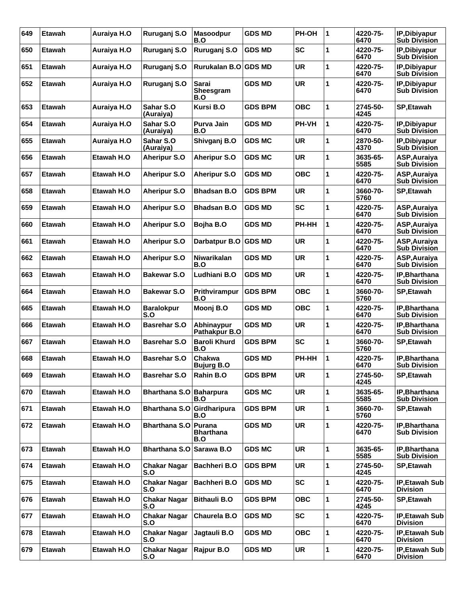| 649 | Etawah        | Auraiya H.O | Ruruganj S.O               | <b>Masoodpur</b><br>B.O            | <b>GDS MD</b>  | PH-OH      | 1 | 4220-75-<br>6470 | IP, Dibiyapur<br><b>Sub Division</b>      |
|-----|---------------|-------------|----------------------------|------------------------------------|----------------|------------|---|------------------|-------------------------------------------|
| 650 | <b>Etawah</b> | Auraiya H.O | Ruruganj S.O               | Ruruganj S.O                       | <b>GDS MD</b>  | <b>SC</b>  | 1 | 4220-75-<br>6470 | IP, Dibiyapur<br><b>Sub Division</b>      |
| 651 | <b>Etawah</b> | Auraiya H.O | Ruruganj S.O               | <b>Rurukalan B.O</b>               | <b>GDS MD</b>  | <b>UR</b>  | 1 | 4220-75-<br>6470 | IP, Dibiyapur<br><b>Sub Division</b>      |
| 652 | <b>Etawah</b> | Auraiya H.O | Ruruganj S.O               | <b>Sarai</b><br>Sheesgram<br>B.O   | <b>GDS MD</b>  | <b>UR</b>  | 1 | 4220-75-<br>6470 | IP, Dibiyapur<br><b>Sub Division</b>      |
| 653 | <b>Etawah</b> | Auraiya H.O | Sahar S.O<br>(Auraiya)     | Kursi B.O                          | <b>GDS BPM</b> | ОВС        | 1 | 2745-50-<br>4245 | <b>SP, Etawah</b>                         |
| 654 | <b>Etawah</b> | Auraiya H.O | Sahar S.O<br>(Auraiya)     | Purva Jain<br>B.O                  | <b>GDS MD</b>  | PH-VH      | 1 | 4220-75-<br>6470 | IP, Dibiyapur<br><b>Sub Division</b>      |
| 655 | <b>Etawah</b> | Auraiya H.O | Sahar S.O<br>(Auraiya)     | Shivganj B.O                       | <b>GDS MC</b>  | <b>UR</b>  | 1 | 2870-50-<br>4370 | IP, Dibiyapur<br><b>Sub Division</b>      |
| 656 | <b>Etawah</b> | Etawah H.O  | <b>Aheripur S.O</b>        | <b>Aheripur S.O</b>                | <b>GDS MC</b>  | <b>UR</b>  | 1 | 3635-65-<br>5585 | ASP, Auraiya<br><b>Sub Division</b>       |
| 657 | <b>Etawah</b> | Etawah H.O  | Aheripur S.O               | Aheripur S.O                       | <b>GDS MD</b>  | <b>OBC</b> | 1 | 4220-75-<br>6470 | ASP, Auraiya<br><b>Sub Division</b>       |
| 658 | <b>Etawah</b> | Etawah H.O  | <b>Aheripur S.O</b>        | <b>Bhadsan B.O</b>                 | <b>GDS BPM</b> | <b>UR</b>  | 1 | 3660-70-<br>5760 | SP, Etawah                                |
| 659 | <b>Etawah</b> | Etawah H.O  | <b>Aheripur S.O</b>        | <b>Bhadsan B.O</b>                 | <b>GDS MD</b>  | <b>SC</b>  | 1 | 4220-75-<br>6470 | <b>ASP.Auraiva</b><br><b>Sub Division</b> |
| 660 | <b>Etawah</b> | Etawah H.O  | <b>Aheripur S.O</b>        | Bojha B.O                          | <b>GDS MD</b>  | PH-HH      | 1 | 4220-75-<br>6470 | ASP, Auraiya<br><b>Sub Division</b>       |
| 661 | <b>Etawah</b> | Etawah H.O  | Aheripur S.O               | Darbatpur B.O                      | <b>GDS MD</b>  | <b>UR</b>  | 1 | 4220-75-<br>6470 | ASP, Auraiya<br><b>Sub Division</b>       |
| 662 | <b>Etawah</b> | Etawah H.O  | <b>Aheripur S.O</b>        | Niwarikalan<br>B.O                 | <b>GDS MD</b>  | UR         | 1 | 4220-75-<br>6470 | ASP, Auraiya<br><b>Sub Division</b>       |
| 663 | <b>Etawah</b> | Etawah H.O  | <b>Bakewar S.O</b>         | Ludhiani B.O                       | <b>GDS MD</b>  | UR         | 1 | 4220-75-<br>6470 | IP, Bharthana<br><b>Sub Division</b>      |
| 664 | <b>Etawah</b> | Etawah H.O  | <b>Bakewar S.O</b>         | Prithvirampur<br>B.O               | <b>GDS BPM</b> | ОВС        | 1 | 3660-70-<br>5760 | SP, Etawah                                |
| 665 | <b>Etawah</b> | Etawah H.O  | <b>Baralokpur</b><br>S.O   | Moonj B.O                          | <b>GDS MD</b>  | <b>OBC</b> | 1 | 4220-75-<br>6470 | IP, Bharthana<br><b>Sub Division</b>      |
| 666 | <b>Etawah</b> | Etawah H.O  | <b>Basrehar S.O</b>        | Abhinaypur<br><b>Pathakpur B.O</b> | <b>GDS MD</b>  | UR         | 1 | 4220-75-<br>6470 | IP.Bharthana<br><b>Sub Division</b>       |
| 667 | <b>Etawah</b> | Etawah H.O  | <b>Basrehar S.O</b>        | <b>Baroli Khurd</b><br>B.O         | GDS BPM        | <b>SC</b>  | 1 | 3660-70-<br>5760 | <b>SP, Etawah</b>                         |
| 668 | <b>Etawah</b> | Etawah H.O  | Basrehar S.O               | Chakwa<br><b>Bujurg B.O</b>        | <b>GDS MD</b>  | PH-HH      | 1 | 4220-75-<br>6470 | IP, Bharthana<br><b>Sub Division</b>      |
| 669 | Etawah        | Etawah H.O  | <b>Basrehar S.O</b>        | Rahin B.O                          | <b>GDS BPM</b> | <b>UR</b>  | 1 | 2745-50-<br>4245 | <b>SP, Etawah</b>                         |
| 670 | Etawah        | Etawah H.O  | Bharthana S.O Baharpura    | B.O                                | <b>GDS MC</b>  | <b>UR</b>  | 1 | 3635-65-<br>5585 | IP, Bharthana<br><b>Sub Division</b>      |
| 671 | Etawah        | Etawah H.O  | <b>Bharthana S.O</b>       | Girdharipura<br>B.O                | <b>GDS BPM</b> | <b>UR</b>  | 1 | 3660-70-<br>5760 | SP, Etawah                                |
| 672 | Etawah        | Etawah H.O  | <b>Bharthana S.O</b>       | Purana<br><b>Bharthana</b><br>B.O  | <b>GDS MD</b>  | <b>UR</b>  | 1 | 4220-75-<br>6470 | IP, Bharthana<br><b>Sub Division</b>      |
| 673 | Etawah        | Etawah H.O  | <b>Bharthana S.O</b>       | Sarawa B.O                         | <b>GDS MC</b>  | UR         | 1 | 3635-65-<br>5585 | IP, Bharthana<br><b>Sub Division</b>      |
| 674 | Etawah        | Etawah H.O  | <b>Chakar Nagar</b><br>S.O | Bachheri B.O                       | <b>GDS BPM</b> | <b>UR</b>  | 1 | 2745-50-<br>4245 | SP, Etawah                                |
| 675 | Etawah        | Etawah H.O  | <b>Chakar Nagar</b><br>S.O | <b>Bachheri B.O</b>                | <b>GDS MD</b>  | <b>SC</b>  | 1 | 4220-75-<br>6470 | IP, Etawah Sub<br><b>Division</b>         |
| 676 | Etawah        | Etawah H.O  | <b>Chakar Nagar</b><br>S.O | <b>Bithauli B.O</b>                | <b>GDS BPM</b> | <b>OBC</b> | 1 | 2745-50-<br>4245 | SP, Etawah                                |
| 677 | Etawah        | Etawah H.O  | <b>Chakar Nagar</b><br>S.O | Chaurela B.O                       | <b>GDS MD</b>  | <b>SC</b>  | 1 | 4220-75-<br>6470 | IP, Etawah Sub<br><b>Division</b>         |
| 678 | Etawah        | Etawah H.O  | <b>Chakar Nagar</b><br>S.O | Jagtauli B.O                       | <b>GDS MD</b>  | <b>OBC</b> | 1 | 4220-75-<br>6470 | IP, Etawah Sub<br><b>Division</b>         |
| 679 | Etawah        | Etawah H.O  | <b>Chakar Nagar</b><br>S.O | Rajpur B.O                         | <b>GDS MD</b>  | UR         | 1 | 4220-75-<br>6470 | IP, Etawah Sub<br><b>Division</b>         |
|     |               |             |                            |                                    |                |            |   |                  |                                           |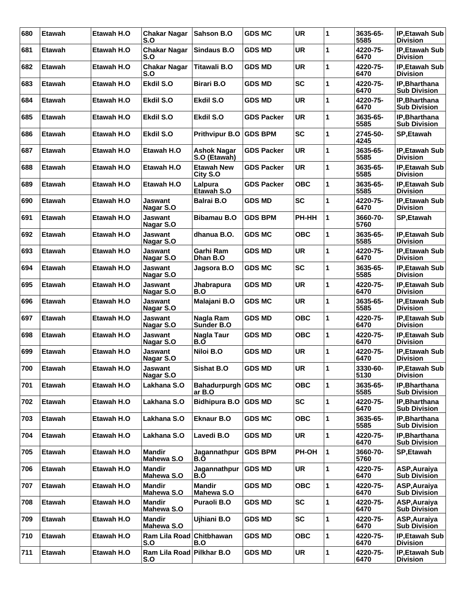| 680 | <b>Etawah</b> | Etawah H.O | <b>Chakar Nagar</b><br>S.O         | <b>Sahson B.O</b>                  | <b>GDS MC</b>     | <b>UR</b>  | 1 | 3635-65-<br>5585 | <b>IP, Etawah Sub</b><br><b>Division</b>   |
|-----|---------------|------------|------------------------------------|------------------------------------|-------------------|------------|---|------------------|--------------------------------------------|
| 681 | Etawah        | Etawah H.O | <b>Chakar Nagar</b><br>S.O         | Sindaus B.O                        | <b>GDS MD</b>     | <b>UR</b>  | 1 | 4220-75-<br>6470 | <b>IP.Etawah Sub</b><br><b>Division</b>    |
| 682 | <b>Etawah</b> | Etawah H.O | <b>Chakar Nagar</b><br>S.O         | Titawali B.O                       | <b>GDS MD</b>     | <b>UR</b>  | 1 | 4220-75-<br>6470 | <b>IP, Etawah Sub</b><br><b>Division</b>   |
| 683 | <b>Etawah</b> | Etawah H.O | Ekdil S.O                          | <b>Birari B.O</b>                  | <b>GDS MD</b>     | <b>SC</b>  | 1 | 4220-75-<br>6470 | IP, Bharthana<br><b>Sub Division</b>       |
| 684 | <b>Etawah</b> | Etawah H.O | Ekdil S.O                          | Ekdil S.O                          | <b>GDS MD</b>     | <b>UR</b>  | 1 | 4220-75-<br>6470 | IP, Bharthana<br><b>Sub Division</b>       |
| 685 | Etawah        | Etawah H.O | Ekdil S.O                          | Ekdil S.O                          | <b>GDS Packer</b> | <b>UR</b>  | 1 | 3635-65-<br>5585 | IP, Bharthana<br><b>Sub Division</b>       |
| 686 | <b>Etawah</b> | Etawah H.O | Ekdil S.O                          | <b>Prithvipur B.O</b>              | <b>GDS BPM</b>    | <b>SC</b>  | 1 | 2745-50-<br>4245 | <b>SP, Etawah</b>                          |
| 687 | Etawah        | Etawah H.O | Etawah H.O                         | <b>Ashok Nagar</b><br>S.O (Etawah) | <b>GDS Packer</b> | <b>UR</b>  | 1 | 3635-65-<br>5585 | IP, Etawah Sub<br><b>Division</b>          |
| 688 | <b>Etawah</b> | Etawah H.O | Etawah H.O                         | <b>Etawah New</b><br>City S.O      | <b>GDS Packer</b> | <b>UR</b>  | 1 | 3635-65-<br>5585 | IP, Etawah Sub<br><b>Division</b>          |
| 689 | <b>Etawah</b> | Etawah H.O | Etawah H.O                         | Lalpura<br>Etawah S.O              | <b>GDS Packer</b> | <b>OBC</b> | 1 | 3635-65-<br>5585 | IP, Etawah Sub<br>Division                 |
| 690 | Etawah        | Etawah H.O | Jaswant<br>Nagar S.O               | <b>Balrai B.O</b>                  | <b>GDS MD</b>     | <b>SC</b>  | 1 | 4220-75-<br>6470 | IP, Etawah Sub<br><b>Division</b>          |
| 691 | <b>Etawah</b> | Etawah H.O | <b>Jaswant</b><br>Nagar S.O        | <b>Bibamau B.O</b>                 | <b>GDS BPM</b>    | PH-HH      | 1 | 3660-70-<br>5760 | <b>SP, Etawah</b>                          |
| 692 | <b>Etawah</b> | Etawah H.O | Jaswant<br>Nagar S.O               | dhanua B.O.                        | <b>GDS MC</b>     | овс        | 1 | 3635-65-<br>5585 | <b>IP, Etawah Sub</b><br><b>Division</b>   |
| 693 | Etawah        | Etawah H.O | Jaswant<br>Nagar S.O               | Garhi Ram<br>Dhan B.O              | <b>GDS MD</b>     | <b>UR</b>  | 1 | 4220-75-<br>6470 | IP, Etawah Sub<br><b>Division</b>          |
| 694 | <b>Etawah</b> | Etawah H.O | Jaswant<br>Nagar S.O               | Jagsora B.O                        | <b>GDS MC</b>     | <b>SC</b>  | 1 | 3635-65-<br>5585 | IP, Etawah Sub<br><b>Division</b>          |
| 695 | <b>Etawah</b> | Etawah H.O | Jaswant<br>Nagar S.O               | Jhabrapura<br>B.O                  | <b>GDS MD</b>     | <b>UR</b>  | 1 | 4220-75-<br>6470 | <b>IP, Etawah Sub</b><br><b>Division</b>   |
| 696 | <b>Etawah</b> | Etawah H.O | <b>Jaswant</b><br>Nagar S.O        | Malajani B.O                       | <b>GDS MC</b>     | <b>UR</b>  | 1 | 3635-65-<br>5585 | IP, Etawah Sub<br><b>Division</b>          |
| 697 | <b>Etawah</b> | Etawah H.O | <b>Jaswant</b><br>Nagar S.O        | Nagla Ram<br>Sunder B.O            | <b>GDS MD</b>     | <b>OBC</b> | 1 | 4220-75-<br>6470 | IP, Etawah Sub<br><b>Division</b>          |
| 698 | <b>Etawah</b> | Etawah H.O | Jaswant<br>Nagar S.O               | Nagla Taur<br>B.O                  | <b>GDS MD</b>     | <b>OBC</b> | 1 | 4220-75-<br>6470 | IP, Etawah Sub<br><b>Division</b>          |
| 699 | Etawah        | Etawah H.O | Jaswant<br>Nagar S.O               | Niloi B.O                          | <b>GDS MD</b>     | <b>UR</b>  | 1 | 4220-75-<br>6470 | IP, Etawah Sub<br><b>Division</b>          |
| 700 | <b>Etawah</b> | Etawah H.O | <b>Jaswant</b><br>Nagar S.O        | Sishat B.O                         | <b>GDS MD</b>     | UR         | 1 | 3330-60-<br>5130 | IP, Etawah Sub<br><b>Division</b>          |
| 701 | Etawah        | Etawah H.O | Lakhana S.O                        | Bahadurpurgh GDS MC<br>ar B.O      |                   | <b>OBC</b> | 1 | 3635-65-<br>5585 | IP, Bharthana<br><b>Sub Division</b>       |
| 702 | Etawah        | Etawah H.O | Lakhana S.O                        | <b>Bidhipura B.O</b>               | <b>GDS MD</b>     | <b>SC</b>  | 1 | 4220-75-<br>6470 | IP, Bharthana<br><b>Sub Division</b>       |
| 703 | Etawah        | Etawah H.O | Lakhana S.O                        | <b>Eknaur B.O</b>                  | <b>GDS MC</b>     | <b>OBC</b> | 1 | 3635-65-<br>5585 | IP, Bharthana<br><b>Sub Division</b>       |
| 704 | Etawah        | Etawah H.O | Lakhana S.O                        | Lavedi B.O                         | <b>GDS MD</b>     | UR         | 1 | 4220-75-<br>6470 | <b>IP.Bharthana</b><br><b>Sub Division</b> |
| 705 | Etawah        | Etawah H.O | <b>Mandir</b><br>Mahewa S.O        | <b>Jagannathpur</b><br>B.O         | <b>GDS BPM</b>    | PH-OH      | 1 | 3660-70-<br>5760 | SP, Etawah                                 |
| 706 | Etawah        | Etawah H.O | <b>Mandir</b><br><b>Mahewa S.O</b> | Jagannathpur<br>B.O                | <b>GDS MD</b>     | <b>UR</b>  | 1 | 4220-75-<br>6470 | ASP, Auraiya<br><b>Sub Division</b>        |
| 707 | Etawah        | Etawah H.O | <b>Mandir</b><br>Mahewa S.O        | <b>Mandir</b><br>Mahewa S.O        | <b>GDS MD</b>     | ОВС        | 1 | 4220-75-<br>6470 | ASP, Auraiya<br><b>Sub Division</b>        |
| 708 | Etawah        | Etawah H.O | <b>Mandir</b><br>Mahewa S.O        | Puraoli B.O                        | <b>GDS MD</b>     | <b>SC</b>  | 1 | 4220-75-<br>6470 | ASP, Auraiya<br><b>Sub Division</b>        |
| 709 | Etawah        | Etawah H.O | <b>Mandir</b><br>Mahewa S.O        | Ujhiani B.O                        | <b>GDS MD</b>     | <b>SC</b>  | 1 | 4220-75-<br>6470 | ASP, Auraiya<br><b>Sub Division</b>        |
| 710 | Etawah        | Etawah H.O | Ram Lila Road<br>S.O               | Chitbhawan<br>B.O                  | <b>GDS MD</b>     | овс        | 1 | 4220-75-<br>6470 | IP, Etawah Sub<br><b>Division</b>          |
| 711 | Etawah        | Etawah H.O | Ram Lila Road Pilkhar B.O<br>S.O   |                                    | <b>GDS MD</b>     | <b>UR</b>  | 1 | 4220-75-<br>6470 | IP, Etawah Sub<br><b>Division</b>          |
|     |               |            |                                    |                                    |                   |            |   |                  |                                            |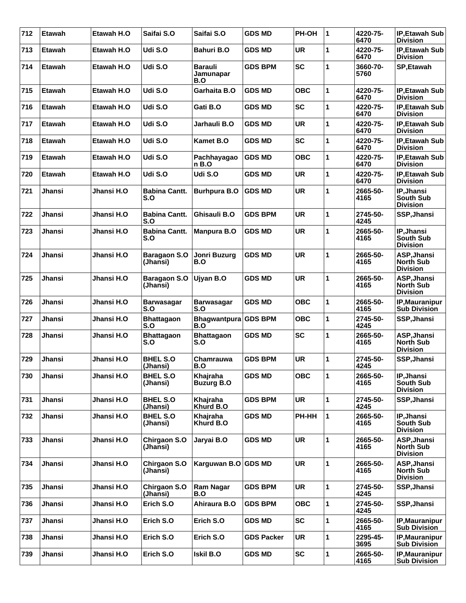| Etawah        | Etawah H.O | Saifai S.O                      | Saifai S.O                         | <b>GDS MD</b>     | PH-OH                                       | 1            | 4220-75-<br>6470 | <b>IP, Etawah Sub</b><br><b>Division</b>           |
|---------------|------------|---------------------------------|------------------------------------|-------------------|---------------------------------------------|--------------|------------------|----------------------------------------------------|
| Etawah        | Etawah H.O | Udi S.O                         | <b>Bahuri B.O</b>                  | <b>GDS MD</b>     | <b>UR</b>                                   | 1            | 4220-75-<br>6470 | <b>IP.Etawah Sub</b><br><b>Division</b>            |
| <b>Etawah</b> | Etawah H.O | Udi S.O                         | <b>Barauli</b><br>Jamunapar<br>B.O | <b>GDS BPM</b>    | <b>SC</b>                                   | 1            | 3660-70-<br>5760 | <b>SP, Etawah</b>                                  |
| Etawah        | Etawah H.O | Udi S.O                         | Garhaita B.O                       | <b>GDS MD</b>     | <b>OBC</b>                                  | 1            | 4220-75-<br>6470 | <b>IP.Etawah Sub</b><br><b>Division</b>            |
| <b>Etawah</b> | Etawah H.O | Udi S.O                         | Gati B.O                           | <b>GDS MD</b>     | <b>SC</b>                                   | 1            | 4220-75-<br>6470 | IP, Etawah Sub<br>Division                         |
| <b>Etawah</b> | Etawah H.O | Udi S.O                         | Jarhauli B.O                       | <b>GDS MD</b>     | <b>UR</b>                                   | 1            | 4220-75-<br>6470 | IP, Etawah Sub<br><b>Division</b>                  |
| <b>Etawah</b> | Etawah H.O | Udi S.O                         | <b>Kamet B.O</b>                   | <b>GDS MD</b>     | <b>SC</b>                                   | 1            | 4220-75-<br>6470 | <b>IP, Etawah Sub</b><br><b>Division</b>           |
| <b>Etawah</b> | Etawah H.O | Udi S.O                         | Pachhayagao<br>n B.O               | <b>GDS MD</b>     | OBC                                         | 1            | 4220-75-<br>6470 | IP, Etawah Sub<br><b>Division</b>                  |
| <b>Etawah</b> | Etawah H.O | Udi S.O                         | Udi S.O                            | <b>GDS MD</b>     | <b>UR</b>                                   | 1            | 4220-75-<br>6470 | <b>IP.Etawah Sub</b><br><b>Division</b>            |
| Jhansi        | Jhansi H.O | <b>Babina Cantt.</b><br>S.O     | <b>Burhpura B.O</b>                | <b>GDS MD</b>     | <b>UR</b>                                   | 1            | 2665-50-<br>4165 | IP, Jhansi<br><b>South Sub</b><br><b>Division</b>  |
| Jhansi        | Jhansi H.O | <b>Babina Cantt.</b><br>S.O     | Ghisauli B.O                       | <b>GDS BPM</b>    | <b>UR</b>                                   | 1            | 2745-50-<br>4245 | SSP, Jhansi                                        |
| <b>Jhansi</b> | Jhansi H.O | <b>Babina Cantt.</b><br>S.O     | Manpura B.O                        | <b>GDS MD</b>     | <b>UR</b>                                   | 1            | 2665-50-<br>4165 | IP, Jhansi<br><b>South Sub</b><br><b>Division</b>  |
| Jhansi        | Jhansi H.O | <b>Baragaon S.O</b><br>(Jhansi) | Jonri Buzurg<br>B.O                | <b>GDS MD</b>     | <b>UR</b>                                   | 1            | 2665-50-<br>4165 | ASP, Jhansi<br><b>North Sub</b><br><b>Division</b> |
| <b>Jhansi</b> | Jhansi H.O | <b>Baragaon S.O</b><br>(Jhansi) | Ujyan B.O                          | <b>GDS MD</b>     | <b>UR</b>                                   | 1            | 2665-50-<br>4165 | ASP, Jhansi<br><b>North Sub</b><br><b>Division</b> |
| <b>Jhansi</b> | Jhansi H.O | <b>Barwasagar</b><br>S.O        | <b>Barwasagar</b><br>S.O           | <b>GDS MD</b>     | <b>OBC</b>                                  | 1            | 2665-50-<br>4165 | IP, Mauranipur<br><b>Sub Division</b>              |
| Jhansi        | Jhansi H.O | <b>Bhattagaon</b><br>S.O        | B.O                                |                   | <b>OBC</b>                                  | 1            | 2745-50-<br>4245 | SSP, Jhansi                                        |
| <b>Jhansi</b> | Jhansi H.O | <b>Bhattagaon</b><br>S.O        | <b>Bhattagaon</b><br>S.O           | <b>GDS MD</b>     | <b>SC</b>                                   | 1            | 2665-50-<br>4165 | ASP, Jhansi<br><b>North Sub</b><br><b>Division</b> |
| Jhansi        | Jhansi H.O | <b>BHEL S.O</b><br>(Jhansi)     | Chamrauwa<br><b>B.O</b>            | <b>GDS BPM</b>    | <b>UR</b>                                   | 1            | 2745-50-<br>4245 | SSP, Jhansi                                        |
| Jhansi        | Jhansi H.O | <b>BHEL S.O</b><br>(Jhansi)     | Khajraha<br><b>Buzurg B.O</b>      | <b>GDS MD</b>     | <b>OBC</b>                                  | 1            | 2665-50-<br>4165 | IP, Jhansi<br>South Sub<br><b>Division</b>         |
| Jhansi        | Jhansi H.O | <b>BHEL S.O</b><br>(Jhansi)     | Khajraha<br>Khurd B.O              | <b>GDS BPM</b>    | <b>UR</b>                                   | 1            | 2745-50-<br>4245 | SSP, Jhansi                                        |
| Jhansi        | Jhansi H.O | <b>BHEL S.O</b><br>(Jhansi)     | Khajraha<br>Khurd B.O              | <b>GDS MD</b>     | PH-HH                                       | $\mathbf{1}$ | 2665-50-<br>4165 | IP, Jhansi<br>South Sub<br><b>Division</b>         |
| Jhansi        | Jhansi H.O | Chirgaon S.O<br>(Jhansi)        | Jaryai B.O                         | <b>GDS MD</b>     | <b>UR</b>                                   | 1            | 2665-50-<br>4165 | ASP, Jhansi<br><b>North Sub</b><br><b>Division</b> |
| Jhansi        | Jhansi H.O | Chirgaon S.O<br>(Jhansi)        |                                    |                   | <b>UR</b>                                   | 1            | 2665-50-<br>4165 | ASP, Jhansi<br><b>North Sub</b><br><b>Division</b> |
| Jhansi        | Jhansi H.O | Chirgaon S.O<br>(Jhansi)        | <b>Ram Nagar</b><br>B.O            | <b>GDS BPM</b>    | <b>UR</b>                                   | 1            | 2745-50-<br>4245 | SSP, Jhansi                                        |
| Jhansi        | Jhansi H.O | Erich S.O                       | Ahiraura B.O                       | <b>GDS BPM</b>    | <b>OBC</b>                                  | 1            | 2745-50-<br>4245 | SSP, Jhansi                                        |
| Jhansi        | Jhansi H.O | Erich S.O                       | Erich S.O                          | <b>GDS MD</b>     | <b>SC</b>                                   | 1            | 2665-50-<br>4165 | IP, Mauranipur<br><b>Sub Division</b>              |
| Jhansi        | Jhansi H.O | Erich S.O                       | Erich S.O                          | <b>GDS Packer</b> | <b>UR</b>                                   | 1            | 2295-45-<br>3695 | IP, Mauranipur<br><b>Sub Division</b>              |
| Jhansi        | Jhansi H.O | Erich S.O                       | <b>Iskil B.O</b>                   | <b>GDS MD</b>     | <b>SC</b>                                   | 1            | 2665-50-<br>4165 | IP, Mauranipur<br><b>Sub Division</b>              |
|               |            |                                 |                                    |                   | Bhagwantpura GDS BPM<br>Karguwan B.O GDS MD |              |                  |                                                    |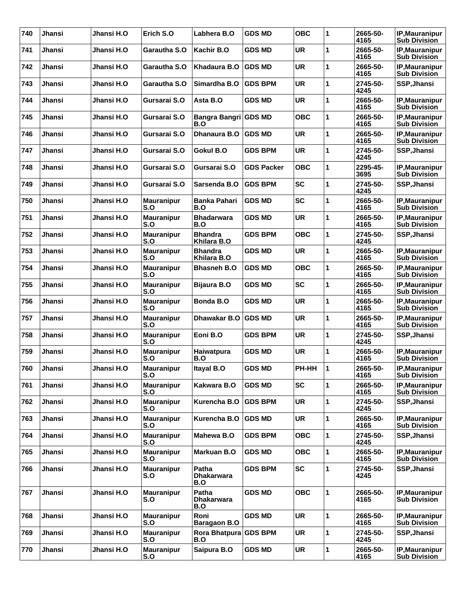| 740 | Jhansi        | Jhansi H.O | Erich S.O                | Labhera B.O                              | <b>GDS MD</b>     | <b>OBC</b> | 1 | 2665-50-<br>4165 | IP, Mauranipur<br><b>Sub Division</b>        |
|-----|---------------|------------|--------------------------|------------------------------------------|-------------------|------------|---|------------------|----------------------------------------------|
| 741 | Jhansi        | Jhansi H.O | Garautha S.O             | Kachir B.O                               | <b>GDS MD</b>     | <b>UR</b>  | 1 | 2665-50-<br>4165 | IP, Mauranipur<br><b>Sub Division</b>        |
| 742 | Jhansi        | Jhansi H.O | Garautha S.O             | Khadaura B.O                             | <b>GDS MD</b>     | <b>UR</b>  | 1 | 2665-50-<br>4165 | <b>IP, Mauranipur</b><br><b>Sub Division</b> |
| 743 | Jhansi        | Jhansi H.O | Garautha S.O             | Simardha B.O                             | <b>GDS BPM</b>    | <b>UR</b>  | 1 | 2745-50-<br>4245 | SSP, Jhansi                                  |
| 744 | <b>Jhansi</b> | Jhansi H.O | Gursarai S.O             | Asta B.O                                 | <b>GDS MD</b>     | <b>UR</b>  | 1 | 2665-50-<br>4165 | <b>IP, Mauranipur</b><br><b>Sub Division</b> |
| 745 | Jhansi        | Jhansi H.O | Gursarai S.O             | Bangra Bangri GDS MD<br>B.O              |                   | <b>OBC</b> | 1 | 2665-50-<br>4165 | <b>IP, Mauranipur</b><br><b>Sub Division</b> |
| 746 | Jhansi        | Jhansi H.O | Gursarai S.O             | Dhanaura B.O                             | <b>GDS MD</b>     | <b>UR</b>  | 1 | 2665-50-<br>4165 | <b>IP, Mauranipur</b><br><b>Sub Division</b> |
| 747 | Jhansi        | Jhansi H.O | Gursarai S.O             | Gokul B.O                                | GDS BPM           | <b>UR</b>  | 1 | 2745-50-<br>4245 | SSP, Jhansi                                  |
| 748 | <b>Jhansi</b> | Jhansi H.O | Gursarai S.O             | Gursarai S.O                             | <b>GDS Packer</b> | <b>OBC</b> | 1 | 2295-45-<br>3695 | <b>IP, Mauranipur</b><br><b>Sub Division</b> |
| 749 | Jhansi        | Jhansi H.O | Gursarai S.O             | Sarsenda B.O                             | <b>GDS BPM</b>    | <b>SC</b>  | 1 | 2745-50-<br>4245 | SSP, Jhansi                                  |
| 750 | Jhansi        | Jhansi H.O | <b>Mauranipur</b><br>S.O | <b>Banka Pahari</b><br>B.O               | <b>GDS MD</b>     | <b>SC</b>  | 1 | 2665-50-<br>4165 | IP, Mauranipur<br><b>Sub Division</b>        |
| 751 | Jhansi        | Jhansi H.O | <b>Mauranipur</b><br>S.O | Bhadarwara<br>B.O                        | <b>GDS MD</b>     | <b>UR</b>  | 1 | 2665-50-<br>4165 | IP, Mauranipur<br><b>Sub Division</b>        |
| 752 | Jhansi        | Jhansi H.O | <b>Mauranipur</b><br>S.O | <b>Bhandra</b><br>Khilara B.O            | GDS BPM           | <b>OBC</b> | 1 | 2745-50-<br>4245 | SSP, Jhansi                                  |
| 753 | Jhansi        | Jhansi H.O | <b>Mauranipur</b><br>S.O | <b>Bhandra</b><br>Khilara B.O            | <b>GDS MD</b>     | <b>UR</b>  | 1 | 2665-50-<br>4165 | IP, Mauranipur<br><b>Sub Division</b>        |
| 754 | Jhansi        | Jhansi H.O | <b>Mauranipur</b><br>S.O | <b>Bhasneh B.O</b>                       | <b>GDS MD</b>     | <b>OBC</b> | 1 | 2665-50-<br>4165 | <b>IP, Mauranipur</b><br><b>Sub Division</b> |
| 755 | Jhansi        | Jhansi H.O | Mauranipur<br>S.O        | <b>Bijaura B.O</b>                       | <b>GDS MD</b>     | <b>SC</b>  | 1 | 2665-50-<br>4165 | IP, Mauranipur<br><b>Sub Division</b>        |
| 756 | <b>Jhansi</b> | Jhansi H.O | <b>Mauranipur</b><br>S.O | Bonda B.O                                | <b>GDS MD</b>     | <b>UR</b>  | 1 | 2665-50-<br>4165 | <b>IP,Mauranipur</b><br><b>Sub Division</b>  |
| 757 | Jhansi        | Jhansi H.O | <b>Mauranipur</b><br>S.O | Dhawakar B.O                             | <b>GDS MD</b>     | <b>UR</b>  | 1 | 2665-50-<br>4165 | <b>IP, Mauranipur</b><br><b>Sub Division</b> |
| 758 | Jhansi        | Jhansi H.O | <b>Mauranipur</b><br>S.O | Eoni B.O                                 | <b>GDS BPM</b>    | <b>UR</b>  | 1 | 2745-50-<br>4245 | SSP, Jhansi                                  |
| 759 | Jhansi        | Jhansi H.O | <b>Mauranipur</b><br>S.O | Haiwatpura<br>B.O                        | <b>GDS MD</b>     | <b>UR</b>  | 1 | 2665-50-<br>4165 | IP, Mauranipur<br><b>Sub Division</b>        |
| 760 | Jhansi        | Jhansi H.O | <b>Mauranipur</b><br>S.O | Itayal B.O                               | <b>GDS MD</b>     | PH-HH      | 1 | 2665-50-<br>4165 | IP, Mauranipur<br><b>Sub Division</b>        |
| 761 | <b>Jhansi</b> | Jhansi H.O | <b>Mauranipur</b><br>S.O | Kakwara B.O                              | <b>GDS MD</b>     | SC         | 1 | 2665-50-<br>4165 | IP, Mauranipur<br><b>Sub Division</b>        |
| 762 | Jhansi        | Jhansi H.O | <b>Mauranipur</b><br>S.O | Kurencha B.O                             | <b>GDS BPM</b>    | <b>UR</b>  | 1 | 2745-50-<br>4245 | SSP, Jhansi                                  |
| 763 | Jhansi        | Jhansi H.O | <b>Mauranipur</b><br>S.O | Kurencha B.O                             | <b>GDS MD</b>     | <b>UR</b>  | 1 | 2665-50-<br>4165 | IP, Mauranipur<br><b>Sub Division</b>        |
| 764 | Jhansi        | Jhansi H.O | <b>Mauranipur</b><br>S.O | Mahewa B.O                               | <b>GDS BPM</b>    | <b>OBC</b> | 1 | 2745-50-<br>4245 | SSP, Jhansi                                  |
| 765 | Jhansi        | Jhansi H.O | <b>Mauranipur</b><br>S.O | Markuan B.O                              | <b>GDS MD</b>     | <b>OBC</b> | 1 | 2665-50-<br>4165 | <b>IP.Mauranipur</b><br><b>Sub Division</b>  |
| 766 | Jhansi        | Jhansi H.O | <b>Mauranipur</b><br>S.O | Patha<br><b>Dhakarwara</b><br><b>B.O</b> | <b>GDS BPM</b>    | <b>SC</b>  | 1 | 2745-50-<br>4245 | SSP, Jhansi                                  |
| 767 | Jhansi        | Jhansi H.O | <b>Mauranipur</b><br>S.O | Patha<br><b>Dhakarwara</b><br>B.O        | <b>GDS MD</b>     | <b>OBC</b> | 1 | 2665-50-<br>4165 | IP, Mauranipur<br><b>Sub Division</b>        |
| 768 | Jhansi        | Jhansi H.O | <b>Mauranipur</b><br>S.O | Roni<br><b>Baragaon B.O</b>              | <b>GDS MD</b>     | <b>UR</b>  | 1 | 2665-50-<br>4165 | <b>IP, Mauranipur</b><br><b>Sub Division</b> |
| 769 | Jhansi        | Jhansi H.O | <b>Mauranipur</b><br>S.O | Rora Bhatpura GDS BPM<br>B.O             |                   | <b>UR</b>  | 1 | 2745-50-<br>4245 | SSP, Jhansi                                  |
| 770 | Jhansi        | Jhansi H.O | <b>Mauranipur</b><br>S.O | Saipura B.O                              | <b>GDS MD</b>     | UR         | 1 | 2665-50-<br>4165 | IP, Mauranipur<br><b>Sub Division</b>        |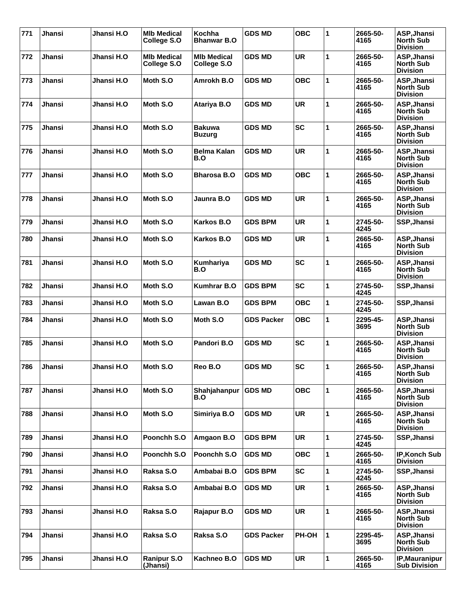| 771 | <b>Jhansi</b> | Jhansi H.O | <b>MIb Medical</b><br>College S.O | Kochha<br><b>Bhanwar B.O</b>      | <b>GDS MD</b>     | <b>OBC</b> | 1            | 2665-50-<br>4165 | ASP, Jhansi<br><b>North Sub</b><br><b>Division</b> |
|-----|---------------|------------|-----------------------------------|-----------------------------------|-------------------|------------|--------------|------------------|----------------------------------------------------|
| 772 | Jhansi        | Jhansi H.O | <b>MIb Medical</b><br>College S.O | <b>MIb Medical</b><br>College S.O | <b>GDS MD</b>     | <b>UR</b>  | 1            | 2665-50-<br>4165 | ASP, Jhansi<br><b>North Sub</b><br><b>Division</b> |
| 773 | Jhansi        | Jhansi H.O | Moth S.O                          | Amrokh B.O                        | <b>GDS MD</b>     | <b>OBC</b> | 1            | 2665-50-<br>4165 | ASP, Jhansi<br><b>North Sub</b><br><b>Division</b> |
| 774 | <b>Jhansi</b> | Jhansi H.O | Moth S.O                          | Atariya B.O                       | <b>GDS MD</b>     | <b>UR</b>  | 1            | 2665-50-<br>4165 | ASP, Jhansi<br>North Sub<br><b>Division</b>        |
| 775 | Jhansi        | Jhansi H.O | Moth S.O                          | <b>Bakuwa</b><br><b>Buzurg</b>    | <b>GDS MD</b>     | <b>SC</b>  | 1            | 2665-50-<br>4165 | ASP, Jhansi<br><b>North Sub</b><br><b>Division</b> |
| 776 | Jhansi        | Jhansi H.O | Moth S.O                          | <b>Belma Kalan</b><br>B.O         | <b>GDS MD</b>     | <b>UR</b>  | 1            | 2665-50-<br>4165 | ASP, Jhansi<br><b>North Sub</b><br><b>Division</b> |
| 777 | Jhansi        | Jhansi H.O | Moth S.O                          | <b>Bharosa B.O</b>                | <b>GDS MD</b>     | <b>OBC</b> | 1            | 2665-50-<br>4165 | ASP, Jhansi<br><b>North Sub</b><br><b>Division</b> |
| 778 | <b>Jhansi</b> | Jhansi H.O | Moth S.O                          | Jaunra B.O                        | <b>GDS MD</b>     | <b>UR</b>  | 1            | 2665-50-<br>4165 | ASP, Jhansi<br>North Sub<br><b>Division</b>        |
| 779 | Jhansi        | Jhansi H.O | Moth S.O                          | Karkos B.O                        | <b>GDS BPM</b>    | <b>UR</b>  | 1            | 2745-50-<br>4245 | SSP, Jhansi                                        |
| 780 | Jhansi        | Jhansi H.O | Moth S.O                          | Karkos B.O                        | GDS MD            | <b>UR</b>  | 1            | 2665-50-<br>4165 | ASP, Jhansi<br><b>North Sub</b><br><b>Division</b> |
| 781 | <b>Jhansi</b> | Jhansi H.O | Moth S.O                          | Kumhariya<br>B.O                  | <b>GDS MD</b>     | <b>SC</b>  | 1            | 2665-50-<br>4165 | ASP, Jhansi<br>North Sub<br><b>Division</b>        |
| 782 | Jhansi        | Jhansi H.O | Moth S.O                          | Kumhrar B.O                       | <b>GDS BPM</b>    | <b>SC</b>  | 1            | 2745-50-<br>4245 | SSP, Jhansi                                        |
| 783 | Jhansi        | Jhansi H.O | Moth S.O                          | Lawan B.O                         | GDS BPM           | <b>OBC</b> | 1            | 2745-50-<br>4245 | SSP, Jhansi                                        |
| 784 | Jhansi        | Jhansi H.O | Moth S.O                          | Moth S.O                          | <b>GDS Packer</b> | <b>OBC</b> | 1            | 2295-45-<br>3695 | ASP, Jhansi<br><b>North Sub</b><br><b>Division</b> |
| 785 | Jhansi        | Jhansi H.O | Moth S.O                          | Pandori B.O                       | <b>GDS MD</b>     | <b>SC</b>  | 1            | 2665-50-<br>4165 | ASP, Jhansi<br><b>North Sub</b><br><b>Division</b> |
| 786 | Jhansi        | Jhansi H.O | Moth S.O                          | Reo B.O                           | <b>GDS MD</b>     | <b>SC</b>  | 1            | 2665-50-<br>4165 | ASP, Jhansi<br><b>North Sub</b><br><b>Division</b> |
| 787 | Jhansi        | Jhansi H.O | Moth S.O                          | Shahjahanpur<br>B.O               | <b>GDS MD</b>     | <b>OBC</b> | 1            | 2665-50-<br>4165 | ASP, Jhansi<br><b>North Sub</b><br><b>Division</b> |
| 788 | Jhansi        | Jhansi H.O | Moth S.O                          | Simiriya B.O                      | <b>GDS MD</b>     | <b>UR</b>  | 1            | 2665-50-<br>4165 | ASP, Jhansi<br><b>North Sub</b><br><b>Division</b> |
| 789 | Jhansi        | Jhansi H.O | Poonchh S.O                       | Amgaon B.O                        | <b>GDS BPM</b>    | <b>UR</b>  | 1            | 2745-50-<br>4245 | SSP, Jhansi                                        |
| 790 | Jhansi        | Jhansi H.O | Poonchh S.O                       | Poonchh S.O                       | <b>GDS MD</b>     | <b>OBC</b> | 1            | 2665-50-<br>4165 | IP, Konch Sub<br><b>Division</b>                   |
| 791 | Jhansi        | Jhansi H.O | Raksa S.O                         | Ambabai B.O                       | <b>GDS BPM</b>    | <b>SC</b>  | 1            | 2745-50-<br>4245 | SSP, Jhansi                                        |
| 792 | Jhansi        | Jhansi H.O | Raksa S.O                         | Ambabai B.O                       | <b>GDS MD</b>     | <b>UR</b>  | 1            | 2665-50-<br>4165 | ASP, Jhansi<br><b>North Sub</b><br><b>Division</b> |
| 793 | Jhansi        | Jhansi H.O | Raksa S.O                         | Rajapur B.O                       | <b>GDS MD</b>     | <b>UR</b>  | 1            | 2665-50-<br>4165 | ASP, Jhansi<br><b>North Sub</b><br><b>Division</b> |
| 794 | Jhansi        | Jhansi H.O | Raksa S.O                         | Raksa S.O                         | <b>GDS Packer</b> | PH-OH      | $\mathbf{1}$ | 2295-45-<br>3695 | ASP, Jhansi<br><b>North Sub</b><br><b>Division</b> |
| 795 | Jhansi        | Jhansi H.O | <b>Ranipur S.O</b><br>(Jhansi)    | Kachneo B.O                       | <b>GDS MD</b>     | UR         | 1            | 2665-50-<br>4165 | IP, Mauranipur<br><b>Sub Division</b>              |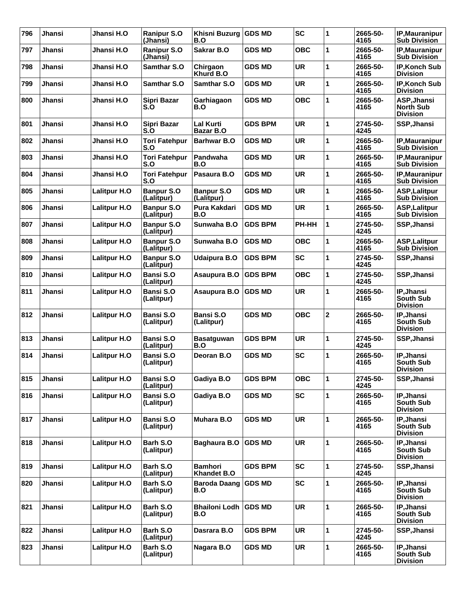| 796 | Jhansi        | Jhansi H.O          | <b>Ranipur S.O</b><br>(Jhansi)  | Khisni Buzurg<br>B.O            | <b>GDS MD</b>  | <b>SC</b>  | 1                       | 2665-50-<br>4165 | IP, Mauranipur<br><b>Sub Division</b>              |
|-----|---------------|---------------------|---------------------------------|---------------------------------|----------------|------------|-------------------------|------------------|----------------------------------------------------|
| 797 | Jhansi        | Jhansi H.O          | <b>Ranipur S.O</b><br>(Jhansi)  | Sakrar B.O                      | <b>GDS MD</b>  | <b>OBC</b> | 1                       | 2665-50-<br>4165 | IP, Mauranipur<br><b>Sub Division</b>              |
| 798 | <b>Jhansi</b> | Jhansi H.O          | <b>Samthar S.O</b>              | Chirgaon<br>Khurd B.O           | <b>GDS MD</b>  | <b>UR</b>  | 1                       | 2665-50-<br>4165 | IP, Konch Sub<br><b>Division</b>                   |
| 799 | Jhansi        | Jhansi H.O          | <b>Samthar S.O</b>              | <b>Samthar S.O</b>              | <b>GDS MD</b>  | <b>UR</b>  | 1                       | 2665-50-<br>4165 | IP, Konch Sub<br>Division                          |
| 800 | Jhansi        | Jhansi H.O          | Sipri Bazar<br>S.O              | Garhiagaon<br>B.O               | <b>GDS MD</b>  | <b>OBC</b> | 1                       | 2665-50-<br>4165 | ASP, Jhansi<br><b>North Sub</b><br><b>Division</b> |
| 801 | Jhansi        | Jhansi H.O          | Sipri Bazar<br>S.O              | <b>Lal Kurti</b><br>Bazar B.O   | <b>GDS BPM</b> | <b>UR</b>  | 1                       | 2745-50-<br>4245 | SSP, Jhansi                                        |
| 802 | Jhansi        | Jhansi H.O          | <b>Tori Fatehpur</b><br>S.O     | <b>Barhwar B.O</b>              | <b>GDS MD</b>  | <b>UR</b>  | 1                       | 2665-50-<br>4165 | IP, Mauranipur<br><b>Sub Division</b>              |
| 803 | Jhansi        | Jhansi H.O          | <b>Tori Fatehpur</b><br>S.O     | Pandwaha<br>B.O                 | <b>GDS MD</b>  | <b>UR</b>  | 1                       | 2665-50-<br>4165 | IP, Mauranipur<br><b>Sub Division</b>              |
| 804 | Jhansi        | Jhansi H.O          | <b>Tori Fatehpur</b><br>S.O     | Pasaura B.O                     | <b>GDS MD</b>  | <b>UR</b>  | 1                       | 2665-50-<br>4165 | IP, Mauranipur<br><b>Sub Division</b>              |
| 805 | Jhansi        | <b>Lalitpur H.O</b> | <b>Banpur S.O</b><br>(Lalitpur) | <b>Banpur S.O</b><br>(Lalitpur) | <b>GDS MD</b>  | <b>UR</b>  | 1                       | 2665-50-<br>4165 | <b>ASP, Lalitpur</b><br><b>Sub Division</b>        |
| 806 | Jhansi        | <b>Lalitpur H.O</b> | <b>Banpur S.O</b><br>(Lalitpur) | Pura Kakdari<br>B.O             | <b>GDS MD</b>  | <b>UR</b>  | 1                       | 2665-50-<br>4165 | <b>ASP, Lalitpur</b><br><b>Sub Division</b>        |
| 807 | Jhansi        | <b>Lalitpur H.O</b> | <b>Banpur S.O</b><br>(Lalitpur) | Sunwaha B.O                     | <b>GDS BPM</b> | PH-HH      | 1                       | 2745-50-<br>4245 | SSP, Jhansi                                        |
| 808 | Jhansi        | <b>Lalitpur H.O</b> | <b>Banpur S.O</b><br>(Lalitpur) | Sunwaha B.O                     | <b>GDS MD</b>  | <b>OBC</b> | 1                       | 2665-50-<br>4165 | <b>ASP, Lalitpur</b><br><b>Sub Division</b>        |
| 809 | Jhansi        | <b>Lalitpur H.O</b> | <b>Banpur S.O</b><br>(Lalitpur) | Udaipura B.O                    | <b>GDS BPM</b> | <b>SC</b>  | 1                       | 2745-50-<br>4245 | SSP, Jhansi                                        |
| 810 | Jhansi        | <b>Lalitpur H.O</b> | Bansi S.O<br>(Lalitpur)         | Asaupura B.O                    | <b>GDS BPM</b> | <b>OBC</b> | 1                       | 2745-50-<br>4245 | SSP, Jhansi                                        |
| 811 | Jhansi        | <b>Lalitpur H.O</b> | <b>Bansi S.O</b><br>(Lalitpur)  | Asaupura B.O                    | <b>GDS MD</b>  | <b>UR</b>  | 1                       | 2665-50-<br>4165 | IP, Jhansi<br>South Sub<br><b>Division</b>         |
| 812 | Jhansi        | <b>Lalitpur H.O</b> | <b>Bansi S.O</b><br>(Lalitpur)  | <b>Bansi S.O</b><br>(Lalitpur)  | <b>GDS MD</b>  | <b>OBC</b> | $\overline{\mathbf{2}}$ | 2665-50-<br>4165 | IP, Jhansi<br><b>South Sub</b><br><b>Division</b>  |
| 813 | <b>Jhansi</b> | <b>Lalitpur H.O</b> | <b>Bansi S.O</b><br>(Lalitpur)  | <b>Basatguwan</b><br>B.O        | <b>GDS BPM</b> | <b>UR</b>  | 1                       | 2745-50-<br>4245 | SSP, Jhansi                                        |
| 814 | Jhansi        | <b>Lalitpur H.O</b> | <b>Bansi S.O</b><br>(Lalitpur)  | Deoran B.O                      | <b>GDS MD</b>  | <b>SC</b>  | 1                       | 2665-50-<br>4165 | IP, Jhansi<br>South Sub<br><b>Division</b>         |
| 815 | Jhansi        | <b>Lalitpur H.O</b> | <b>Bansi S.O</b><br>(Lalitpur)  | Gadiya B.O                      | <b>GDS BPM</b> | <b>OBC</b> | 1                       | 2745-50-<br>4245 | SSP, Jhansi                                        |
| 816 | Jhansi        | <b>Lalitpur H.O</b> | Bansi S.O<br>(Lalitpur)         | Gadiya B.O                      | <b>GDS MD</b>  | <b>SC</b>  | 1                       | 2665-50-<br>4165 | IP, Jhansi<br>South Sub<br><b>Division</b>         |
| 817 | Jhansi        | <b>Lalitpur H.O</b> | Bansi S.O<br>(Lalitpur)         | Muhara B.O                      | <b>GDS MD</b>  | <b>UR</b>  | 1                       | 2665-50-<br>4165 | IP, Jhansi<br>South Sub<br><b>Division</b>         |
| 818 | Jhansi        | <b>Lalitpur H.O</b> | Barh S.O<br>(Lalitpur)          | Baghaura B.O                    | <b>GDS MD</b>  | <b>UR</b>  | 1                       | 2665-50-<br>4165 | IP, Jhansi<br>South Sub<br><b>Division</b>         |
| 819 | Jhansi        | <b>Lalitpur H.O</b> | Barh S.O<br>(Lalitpur)          | <b>Bamhori</b><br>Khandet B.O   | <b>GDS BPM</b> | <b>SC</b>  | 1                       | 2745-50-<br>4245 | SSP, Jhansi                                        |
| 820 | Jhansi        | <b>Lalitpur H.O</b> | Barh S.O<br>(Lalitpur)          | <b>Baroda Daang</b><br>B.O      | <b>GDS MD</b>  | <b>SC</b>  | 1                       | 2665-50-<br>4165 | IP, Jhansi<br>South Sub<br><b>Division</b>         |
| 821 | Jhansi        | <b>Lalitpur H.O</b> | Barh S.O<br>(Lalitpur)          | <b>Bhailoni Lodh</b><br>B.O     | <b>GDS MD</b>  | <b>UR</b>  | 1                       | 2665-50-<br>4165 | IP, Jhansi<br>South Sub<br><b>Division</b>         |
| 822 | Jhansi        | <b>Lalitpur H.O</b> | Barh S.O<br>(Lalitpur)          | Dasrara B.O                     | <b>GDS BPM</b> | <b>UR</b>  | 1                       | 2745-50-<br>4245 | SSP, Jhansi                                        |
| 823 | Jhansi        | <b>Lalitpur H.O</b> | Barh S.O<br>(Lalitpur)          | Nagara B.O                      | <b>GDS MD</b>  | <b>UR</b>  | 1                       | 2665-50-<br>4165 | IP, Jhansi<br><b>South Sub</b><br><b>Division</b>  |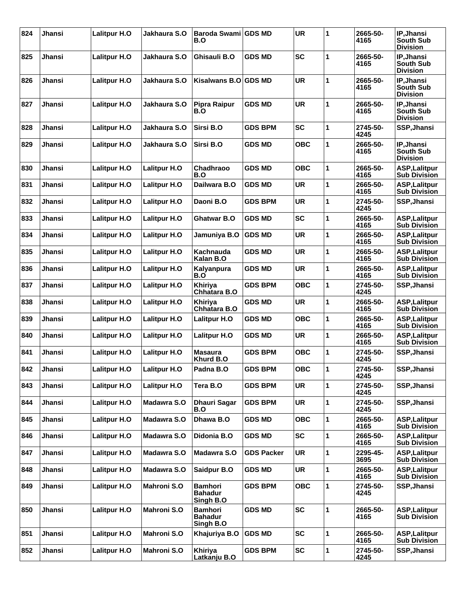| 824 | Jhansi        | <b>Lalitpur H.O</b> | Jakhaura S.O        | Baroda Swami GDS MD<br>B.O                    |                   | <b>UR</b>  | 1 | 2665-50-<br>4165 | IP, Jhansi<br><b>South Sub</b><br><b>Division</b> |
|-----|---------------|---------------------|---------------------|-----------------------------------------------|-------------------|------------|---|------------------|---------------------------------------------------|
| 825 | Jhansi        | <b>Lalitpur H.O</b> | Jakhaura S.O        | Ghisauli B.O                                  | <b>GDS MD</b>     | <b>SC</b>  | 1 | 2665-50-<br>4165 | IP, Jhansi<br>South Sub<br><b>Division</b>        |
| 826 | <b>Jhansi</b> | <b>Lalitpur H.O</b> | Jakhaura S.O        | <b>Kisalwans B.O</b>                          | <b>GDS MD</b>     | <b>UR</b>  | 1 | 2665-50-<br>4165 | IP, Jhansi<br><b>South Sub</b><br><b>Division</b> |
| 827 | <b>Jhansi</b> | <b>Lalitpur H.O</b> | Jakhaura S.O        | <b>Pipra Raipur</b><br>B.O                    | <b>GDS MD</b>     | <b>UR</b>  | 1 | 2665-50-<br>4165 | IP, Jhansi<br>South Sub<br><b>Division</b>        |
| 828 | Jhansi        | <b>Lalitpur H.O</b> | Jakhaura S.O        | Sirsi B.O                                     | <b>GDS BPM</b>    | <b>SC</b>  | 1 | 2745-50-<br>4245 | SSP, Jhansi                                       |
| 829 | <b>Jhansi</b> | <b>Lalitpur H.O</b> | Jakhaura S.O        | Sirsi B.O                                     | <b>GDS MD</b>     | <b>OBC</b> | 1 | 2665-50-<br>4165 | IP, Jhansi<br><b>South Sub</b><br><b>Division</b> |
| 830 | <b>Jhansi</b> | <b>Lalitpur H.O</b> | <b>Lalitpur H.O</b> | Chadhraoo<br>B.O                              | <b>GDS MD</b>     | <b>OBC</b> | 1 | 2665-50-<br>4165 | <b>ASP, Lalitpur</b><br><b>Sub Division</b>       |
| 831 | Jhansi        | <b>Lalitpur H.O</b> | <b>Lalitpur H.O</b> | Dailwara B.O                                  | <b>GDS MD</b>     | <b>UR</b>  | 1 | 2665-50-<br>4165 | <b>ASP, Lalitpur</b><br><b>Sub Division</b>       |
| 832 | Jhansi        | <b>Lalitpur H.O</b> | <b>Lalitpur H.O</b> | Daoni B.O                                     | <b>GDS BPM</b>    | <b>UR</b>  | 1 | 2745-50-<br>4245 | SSP, Jhansi                                       |
| 833 | <b>Jhansi</b> | <b>Lalitpur H.O</b> | <b>Lalitpur H.O</b> | Ghatwar B.O                                   | <b>GDS MD</b>     | <b>SC</b>  | 1 | 2665-50-<br>4165 | <b>ASP, Lalitpur</b><br><b>Sub Division</b>       |
| 834 | <b>Jhansi</b> | <b>Lalitpur H.O</b> | <b>Lalitpur H.O</b> | Jamuniya B.O                                  | <b>GDS MD</b>     | UR         | 1 | 2665-50-<br>4165 | <b>ASP, Lalitpur</b><br><b>Sub Division</b>       |
| 835 | Jhansi        | <b>Lalitpur H.O</b> | <b>Lalitpur H.O</b> | Kachnauda<br>Kalan B.O                        | <b>GDS MD</b>     | <b>UR</b>  | 1 | 2665-50-<br>4165 | <b>ASP, Lalitpur</b><br><b>Sub Division</b>       |
| 836 | Jhansi        | <b>Lalitpur H.O</b> | <b>Lalitpur H.O</b> | Kalyanpura<br>B.O                             | <b>GDS MD</b>     | <b>UR</b>  | 1 | 2665-50-<br>4165 | <b>ASP, Lalitpur</b><br><b>Sub Division</b>       |
| 837 | Jhansi        | <b>Lalitpur H.O</b> | <b>Lalitpur H.O</b> | Khiriya<br><b>Chhatara B.O</b>                | <b>GDS BPM</b>    | <b>OBC</b> | 1 | 2745-50-<br>4245 | SSP, Jhansi                                       |
| 838 | Jhansi        | <b>Lalitpur H.O</b> | <b>Lalitpur H.O</b> | Khiriya<br>Chhatara B.O                       | <b>GDS MD</b>     | <b>UR</b>  | 1 | 2665-50-<br>4165 | <b>ASP, Lalitpur</b><br><b>Sub Division</b>       |
| 839 | Jhansi        | <b>Lalitpur H.O</b> | <b>Lalitpur H.O</b> | <b>Lalitpur H.O</b>                           | <b>GDS MD</b>     | <b>OBC</b> | 1 | 2665-50-<br>4165 | <b>ASP, Lalitpur</b><br><b>Sub Division</b>       |
| 840 | <b>Jhansi</b> | <b>Lalitpur H.O</b> | <b>Lalitpur H.O</b> | <b>Lalitpur H.O</b>                           | <b>GDS MD</b>     | <b>UR</b>  | 1 | 2665-50-<br>4165 | <b>ASP.Lalitpur</b><br><b>Sub Division</b>        |
| 841 | Jhansi        | <b>Lalitpur H.O</b> | <b>Lalitpur H.O</b> | <b>Masaura</b><br>Khurd B.O                   | GDS BPM           | <b>OBC</b> | 1 | 2745-50-<br>4245 | SSP, Jhansi                                       |
| 842 | Jhansi        | <b>Lalitpur H.O</b> | <b>Lalitpur H.O</b> | Padna B.O                                     | <b>GDS BPM</b>    | <b>OBC</b> | 1 | 2745-50-<br>4245 | SSP, Jhansi                                       |
| 843 | Jhansi        | <b>Lalitpur H.O</b> | Lalitpur H.O        | Tera B.O                                      | <b>GDS BPM</b>    | UR         | 1 | 2745-50-<br>4245 | SSP, Jhansi                                       |
| 844 | Jhansi        | <b>Lalitpur H.O</b> | Madawra S.O         | <b>Dhauri Sagar</b><br>B.O                    | <b>GDS BPM</b>    | <b>UR</b>  | 1 | 2745-50-<br>4245 | SSP, Jhansi                                       |
| 845 | Jhansi        | <b>Lalitpur H.O</b> | Madawra S.O         | Dhawa B.O                                     | <b>GDS MD</b>     | <b>OBC</b> | 1 | 2665-50-<br>4165 | <b>ASP, Lalitpur</b><br><b>Sub Division</b>       |
| 846 | Jhansi        | Lalitpur H.O        | Madawra S.O         | Didonia B.O                                   | <b>GDS MD</b>     | SC         | 1 | 2665-50-<br>4165 | <b>ASP, Lalitpur</b><br><b>Sub Division</b>       |
| 847 | Jhansi        | <b>Lalitpur H.O</b> | Madawra S.O         | Madawra S.O                                   | <b>GDS Packer</b> | <b>UR</b>  | 1 | 2295-45-<br>3695 | <b>ASP, Lalitpur</b><br><b>Sub Division</b>       |
| 848 | Jhansi        | <b>Lalitpur H.O</b> | Madawra S.O         | Saidpur B.O                                   | <b>GDS MD</b>     | <b>UR</b>  | 1 | 2665-50-<br>4165 | <b>ASP, Lalitpur</b><br><b>Sub Division</b>       |
| 849 | Jhansi        | <b>Lalitpur H.O</b> | <b>Mahroni S.O</b>  | <b>Bamhori</b><br><b>Bahadur</b><br>Singh B.O | <b>GDS BPM</b>    | ОВС        | 1 | 2745-50-<br>4245 | SSP, Jhansi                                       |
| 850 | Jhansi        | <b>Lalitpur H.O</b> | <b>Mahroni S.O</b>  | <b>Bamhori</b><br><b>Bahadur</b><br>Singh B.O | <b>GDS MD</b>     | <b>SC</b>  | 1 | 2665-50-<br>4165 | <b>ASP, Lalitpur</b><br><b>Sub Division</b>       |
| 851 | Jhansi        | <b>Lalitpur H.O</b> | <b>Mahroni S.O</b>  | Khajuriya B.O                                 | <b>GDS MD</b>     | <b>SC</b>  | 1 | 2665-50-<br>4165 | <b>ASP, Lalitpur</b><br><b>Sub Division</b>       |
| 852 | Jhansi        | <b>Lalitpur H.O</b> | <b>Mahroni S.O</b>  | <b>Khiriya</b><br>Latkanju B.O                | <b>GDS BPM</b>    | <b>SC</b>  | 1 | 2745-50-<br>4245 | SSP, Jhansi                                       |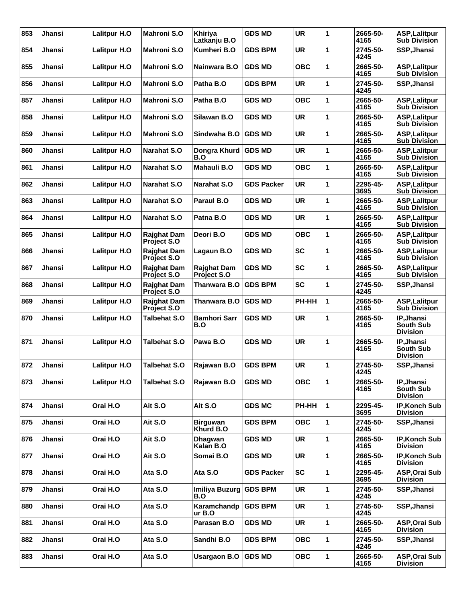| 853 | Jhansi        | <b>Lalitpur H.O</b> | <b>Mahroni S.O</b>                       | <b>Khiriya</b><br>Latkanju B.O           | <b>GDS MD</b>     | <b>UR</b>  | 1            | 2665-50-<br>4165 | <b>ASP, Lalitpur</b><br><b>Sub Division</b>       |
|-----|---------------|---------------------|------------------------------------------|------------------------------------------|-------------------|------------|--------------|------------------|---------------------------------------------------|
| 854 | <b>Jhansi</b> | <b>Lalitpur H.O</b> | <b>Mahroni S.O</b>                       | Kumheri B.O                              | <b>GDS BPM</b>    | <b>UR</b>  | 1            | 2745-50-<br>4245 | SSP, Jhansi                                       |
| 855 | Jhansi        | <b>Lalitpur H.O</b> | <b>Mahroni S.O</b>                       | Nainwara B.O                             | <b>GDS MD</b>     | <b>OBC</b> | 1            | 2665-50-<br>4165 | <b>ASP, Lalitpur</b><br><b>Sub Division</b>       |
| 856 | Jhansi        | <b>Lalitpur H.O</b> | <b>Mahroni S.O</b>                       | Patha B.O                                | <b>GDS BPM</b>    | <b>UR</b>  | 1            | 2745-50-<br>4245 | SSP, Jhansi                                       |
| 857 | <b>Jhansi</b> | <b>Lalitpur H.O</b> | <b>Mahroni S.O</b>                       | Patha B.O                                | <b>GDS MD</b>     | <b>OBC</b> | 1            | 2665-50-<br>4165 | <b>ASP, Lalitpur</b><br><b>Sub Division</b>       |
| 858 | Jhansi        | <b>Lalitpur H.O</b> | <b>Mahroni S.O</b>                       | Silawan B.O                              | <b>GDS MD</b>     | <b>UR</b>  | 1            | 2665-50-<br>4165 | <b>ASP, Lalitpur</b><br><b>Sub Division</b>       |
| 859 | Jhansi        | <b>Lalitpur H.O</b> | <b>Mahroni S.O</b>                       | Sindwaha B.O                             | <b>GDS MD</b>     | UR         | 1            | 2665-50-<br>4165 | <b>ASP, Lalitpur</b><br><b>Sub Division</b>       |
| 860 | Jhansi        | <b>Lalitpur H.O</b> | Narahat S.O                              | Dongra Khurd<br>B.O                      | <b>GDS MD</b>     | <b>UR</b>  | 1            | 2665-50-<br>4165 | <b>ASP, Lalitpur</b><br><b>Sub Division</b>       |
| 861 | Jhansi        | <b>Lalitpur H.O</b> | <b>Narahat S.O</b>                       | <b>Mahauli B.O</b>                       | <b>GDS MD</b>     | <b>OBC</b> | 1            | 2665-50-<br>4165 | <b>ASP, Lalitpur</b><br><b>Sub Division</b>       |
| 862 | Jhansi        | <b>Lalitpur H.O</b> | Narahat S.O                              | Narahat S.O                              | <b>GDS Packer</b> | <b>UR</b>  | 1            | 2295-45-<br>3695 | <b>ASP, Lalitpur</b><br><b>Sub Division</b>       |
| 863 | <b>Jhansi</b> | <b>Lalitpur H.O</b> | Narahat S.O                              | Paraul B.O                               | <b>GDS MD</b>     | <b>UR</b>  | 1            | 2665-50-<br>4165 | <b>ASP, Lalitpur</b><br><b>Sub Division</b>       |
| 864 | Jhansi        | <b>Lalitpur H.O</b> | Narahat S.O                              | Patna B.O                                | <b>GDS MD</b>     | <b>UR</b>  | 1            | 2665-50-<br>4165 | <b>ASP, Lalitpur</b><br><b>Sub Division</b>       |
| 865 | Jhansi        | <b>Lalitpur H.O</b> | <b>Rajghat Dam</b><br>Project S.O        | Deori B.O                                | <b>GDS MD</b>     | <b>OBC</b> | 1            | 2665-50-<br>4165 | <b>ASP, Lalitpur</b><br><b>Sub Division</b>       |
| 866 | Jhansi        | <b>Lalitpur H.O</b> | <b>Rajghat Dam</b><br><b>Project S.O</b> | Lagaun B.O                               | <b>GDS MD</b>     | <b>SC</b>  | 1            | 2665-50-<br>4165 | <b>ASP, Lalitpur</b><br><b>Sub Division</b>       |
| 867 | Jhansi        | <b>Lalitpur H.O</b> | <b>Rajghat Dam</b><br><b>Project S.O</b> | <b>Rajghat Dam</b><br><b>Project S.O</b> | <b>GDS MD</b>     | <b>SC</b>  | 1            | 2665-50-<br>4165 | <b>ASP, Lalitpur</b><br><b>Sub Division</b>       |
| 868 | Jhansi        | <b>Lalitpur H.O</b> | <b>Rajghat Dam</b><br>Project S.O        | Thanwara B.O                             | <b>GDS BPM</b>    | <b>SC</b>  | 1            | 2745-50-<br>4245 | SSP, Jhansi                                       |
| 869 | <b>Jhansi</b> | <b>Lalitpur H.O</b> | Rajghat Dam<br>Project S.O               | Thanwara B.O                             | <b>GDS MD</b>     | PH-HH      | 1            | 2665-50-<br>4165 | <b>ASP, Lalitpur</b><br><b>Sub Division</b>       |
| 870 | Jhansi        | <b>Lalitpur H.O</b> | Talbehat S.O                             | <b>Bamhori Sarr</b><br>B.O               | <b>GDS MD</b>     | <b>UR</b>  | 1            | 2665-50-<br>4165 | IP, Jhansi<br>South Sub<br><b>Division</b>        |
| 871 | Jhansi        | <b>Lalitpur H.O</b> | Talbehat S.O                             | Pawa B.O                                 | <b>GDS MD</b>     | <b>UR</b>  | 1            | 2665-50-<br>4165 | IP, Jhansi<br><b>South Sub</b><br><b>Division</b> |
| 872 | Jhansi        | <b>Lalitpur H.O</b> | Talbehat S.O                             | Rajawan B.O                              | <b>GDS BPM</b>    | <b>UR</b>  | 1            | 2745-50-<br>4245 | SSP, Jhansi                                       |
| 873 | Jhansi        | <b>Lalitpur H.O</b> | Talbehat S.O                             | Rajawan B.O                              | <b>GDS MD</b>     | <b>OBC</b> | 1            | 2665-50-<br>4165 | IP, Jhansi<br><b>South Sub</b><br><b>Division</b> |
| 874 | Jhansi        | Orai H.O            | Ait S.O                                  | Ait S.O                                  | <b>GDS MC</b>     | PH-HH      | $\mathbf{1}$ | 2295-45-<br>3695 | IP, Konch Sub<br><b>Division</b>                  |
| 875 | Jhansi        | Orai H.O            | Ait S.O                                  | <b>Birguwan</b><br>Khurd B.O             | <b>GDS BPM</b>    | <b>OBC</b> | 1            | 2745-50-<br>4245 | SSP, Jhansi                                       |
| 876 | Jhansi        | Orai H.O            | Ait S.O                                  | Dhagwan<br>Kalan B.O                     | <b>GDS MD</b>     | UR         | 1            | 2665-50-<br>4165 | IP, Konch Sub<br><b>Division</b>                  |
| 877 | Jhansi        | Orai H.O            | Ait S.O                                  | Somai B.O                                | <b>GDS MD</b>     | <b>UR</b>  | 1            | 2665-50-<br>4165 | IP, Konch Sub<br><b>Division</b>                  |
| 878 | Jhansi        | Orai H.O            | Ata S.O                                  | Ata S.O                                  | <b>GDS Packer</b> | <b>SC</b>  | 1            | 2295-45-<br>3695 | <b>ASP, Orai Sub</b><br><b>Division</b>           |
| 879 | Jhansi        | Orai H.O            | Ata S.O                                  | Imiliya Buzurg<br>B.O                    | <b>GDS BPM</b>    | UR         | 1            | 2745-50-<br>4245 | SSP, Jhansi                                       |
| 880 | Jhansi        | Orai H.O            | Ata S.O                                  | Karamchandp<br>ur B.O                    | <b>GDS BPM</b>    | <b>UR</b>  | 1            | 2745-50-<br>4245 | SSP, Jhansi                                       |
| 881 | Jhansi        | Orai H.O            | Ata S.O                                  | Parasan B.O                              | <b>GDS MD</b>     | <b>UR</b>  | 1            | 2665-50-<br>4165 | <b>ASP, Orai Sub</b><br><b>Division</b>           |
| 882 | Jhansi        | Orai H.O            | Ata S.O                                  | Sandhi B.O                               | <b>GDS BPM</b>    | <b>OBC</b> | 1            | 2745-50-<br>4245 | SSP, Jhansi                                       |
| 883 | Jhansi        | Orai H.O            | Ata S.O                                  | Usargaon B.O                             | <b>GDS MD</b>     | <b>OBC</b> | 1            | 2665-50-<br>4165 | ASP, Orai Sub<br><b>Division</b>                  |
|     |               |                     |                                          |                                          |                   |            |              |                  |                                                   |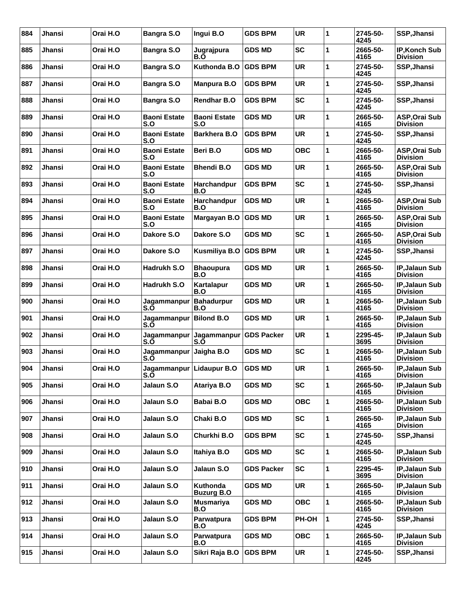| 884 | Jhansi        | Orai H.O | <b>Bangra S.O</b>                 | Ingui B.O                     | <b>GDS BPM</b>    | <b>UR</b>  | 1           | 2745-50-<br>4245 | SSP, Jhansi                              |
|-----|---------------|----------|-----------------------------------|-------------------------------|-------------------|------------|-------------|------------------|------------------------------------------|
| 885 | Jhansi        | Orai H.O | Bangra S.O                        | Jugrajpura<br>B.O             | <b>GDS MD</b>     | <b>SC</b>  | 1           | 2665-50-<br>4165 | <b>IP.Konch Sub</b><br><b>Division</b>   |
| 886 | Jhansi        | Orai H.O | Bangra S.O                        | Kuthonda B.O                  | <b>GDS BPM</b>    | <b>UR</b>  | 1           | 2745-50-<br>4245 | SSP, Jhansi                              |
| 887 | Jhansi        | Orai H.O | <b>Bangra S.O</b>                 | <b>Manpura B.O</b>            | GDS BPM           | <b>UR</b>  | 1           | 2745-50-<br>4245 | <b>SSP, Jhansi</b>                       |
| 888 | <b>Jhansi</b> | Orai H.O | Bangra S.O                        | <b>Rendhar B.O</b>            | <b>GDS BPM</b>    | <b>SC</b>  | 1           | 2745-50-<br>4245 | SSP, Jhansi                              |
| 889 | <b>Jhansi</b> | Orai H.O | <b>Baoni Estate</b><br>S.O        | <b>Baoni Estate</b><br>S.O    | <b>GDS MD</b>     | <b>UR</b>  | 1           | 2665-50-<br>4165 | <b>ASP, Orai Sub</b><br><b>Division</b>  |
| 890 | Jhansi        | Orai H.O | <b>Baoni Estate</b><br>S.O        | <b>Barkhera B.O</b>           | <b>GDS BPM</b>    | <b>UR</b>  | 1           | 2745-50-<br>4245 | SSP, Jhansi                              |
| 891 | Jhansi        | Orai H.O | <b>Baoni Estate</b><br>S.O        | Beri B.O                      | <b>GDS MD</b>     | <b>OBC</b> | 1           | 2665-50-<br>4165 | <b>ASP, Orai Sub</b><br><b>Division</b>  |
| 892 | <b>Jhansi</b> | Orai H.O | <b>Baoni Estate</b><br>S.O        | <b>Bhendi B.O</b>             | <b>GDS MD</b>     | <b>UR</b>  | 1           | 2665-50-<br>4165 | <b>ASP, Orai Sub</b><br><b>Division</b>  |
| 893 | Jhansi        | Orai H.O | <b>Baoni Estate</b><br>S.O        | Harchandpur<br>B.O            | GDS BPM           | <b>SC</b>  | 1           | 2745-50-<br>4245 | SSP, Jhansi                              |
| 894 | <b>Jhansi</b> | Orai H.O | <b>Baoni Estate</b><br>S.O        | Harchandpur<br>B.O            | <b>GDS MD</b>     | <b>UR</b>  | 1           | 2665-50-<br>4165 | ASP, Orai Sub<br><b>Division</b>         |
| 895 | <b>Jhansi</b> | Orai H.O | <b>Baoni Estate</b><br>S.O        | Margayan B.O                  | <b>GDS MD</b>     | <b>UR</b>  | 1           | 2665-50-<br>4165 | <b>ASP, Orai Sub</b><br><b>Division</b>  |
| 896 | Jhansi        | Orai H.O | Dakore S.O                        | Dakore S.O                    | <b>GDS MD</b>     | <b>SC</b>  | 1           | 2665-50-<br>4165 | <b>ASP, Orai Sub</b><br><b>Division</b>  |
| 897 | Jhansi        | Orai H.O | Dakore S.O                        | Kusmiliya B.O                 | <b>GDS BPM</b>    | <b>UR</b>  | 1           | 2745-50-<br>4245 | SSP, Jhansi                              |
| 898 | Jhansi        | Orai H.O | Hadrukh S.O                       | <b>Bhaoupura</b><br>B.O       | <b>GDS MD</b>     | <b>UR</b>  | 1           | 2665-50-<br>4165 | IP, Jalaun Sub<br><b>Division</b>        |
| 899 | Jhansi        | Orai H.O | Hadrukh S.O                       | Kartalapur<br>B.O             | <b>GDS MD</b>     | <b>UR</b>  | 1           | 2665-50-<br>4165 | IP, Jalaun Sub<br>Division               |
| 900 | <b>Jhansi</b> | Orai H.O | Jagammanpur<br>S.O                | <b>Bahadurpur</b><br>B.O      | <b>GDS MD</b>     | <b>UR</b>  | 1           | 2665-50-<br>4165 | IP, Jalaun Sub<br><b>Division</b>        |
| 901 | <b>Jhansi</b> | Orai H.O | Jagammanpur<br>S.O                | <b>Bilond B.O.</b>            | <b>GDS MD</b>     | <b>UR</b>  | 1           | 2665-50-<br>4165 | IP, Jalaun Sub<br><b>Division</b>        |
| 902 | Jhansi        | Orai H.O | Jagammanpur<br>S.O                | Jagammanpur<br>S.O            | <b>GDS Packer</b> | <b>UR</b>  | 1           | 2295-45-<br>3695 | IP, Jalaun Sub<br><b>Division</b>        |
| 903 | Jhansi        | Orai H.O | Jagammanpur<br>S.O                | Jaigha B.O                    | <b>GDS MD</b>     | <b>SC</b>  | 1           | 2665-50-<br>4165 | <b>IP, Jalaun Sub</b><br><b>Division</b> |
| 904 | Jhansi        | Orai H.O | Jagammanpur   Lidaupur B.O<br>S.O |                               | <b>GDS MD</b>     | UR         | 1           | 2665-50-<br>4165 | IP, Jalaun Sub<br><b>Division</b>        |
| 905 | Jhansi        | Orai H.O | Jalaun S.O                        | Atariya B.O                   | <b>GDS MD</b>     | SC         | 1           | 2665-50-<br>4165 | IP, Jalaun Sub<br><b>Division</b>        |
| 906 | Jhansi        | Orai H.O | Jalaun S.O                        | Babai B.O                     | <b>GDS MD</b>     | <b>OBC</b> | 1           | 2665-50-<br>4165 | IP, Jalaun Sub<br><b>Division</b>        |
| 907 | Jhansi        | Orai H.O | Jalaun S.O                        | Chaki B.O                     | <b>GDS MD</b>     | <b>SC</b>  | $\mathbf 1$ | 2665-50-<br>4165 | IP, Jalaun Sub<br><b>Division</b>        |
| 908 | Jhansi        | Orai H.O | Jalaun S.O                        | Churkhi B.O                   | <b>GDS BPM</b>    | SC         | 1           | 2745-50-<br>4245 | SSP, Jhansi                              |
| 909 | Jhansi        | Orai H.O | Jalaun S.O                        | Itahiya B.O                   | <b>GDS MD</b>     | <b>SC</b>  | 1           | 2665-50-<br>4165 | <b>IP.Jalaun Sub</b><br><b>Division</b>  |
| 910 | Jhansi        | Orai H.O | Jalaun S.O                        | Jalaun S.O                    | <b>GDS Packer</b> | <b>SC</b>  | 1           | 2295-45-<br>3695 | IP, Jalaun Sub<br><b>Division</b>        |
| 911 | Jhansi        | Orai H.O | Jalaun S.O                        | Kuthonda<br><b>Buzurg B.O</b> | <b>GDS MD</b>     | UR         | 1           | 2665-50-<br>4165 | IP, Jalaun Sub<br><b>Division</b>        |
| 912 | Jhansi        | Orai H.O | Jalaun S.O                        | <b>Musmariya</b><br>B.O       | <b>GDS MD</b>     | <b>OBC</b> | 1           | 2665-50-<br>4165 | IP, Jalaun Sub<br><b>Division</b>        |
| 913 | Jhansi        | Orai H.O | Jalaun S.O                        | Parwatpura<br>B.O             | <b>GDS BPM</b>    | PH-OH      | 1           | 2745-50-<br>4245 | SSP, Jhansi                              |
| 914 | Jhansi        | Orai H.O | Jalaun S.O                        | Parwatpura<br>B.O             | <b>GDS MD</b>     | <b>OBC</b> | 1           | 2665-50-<br>4165 | IP, Jalaun Sub<br><b>Division</b>        |
| 915 | Jhansi        | Orai H.O | Jalaun S.O                        | Sikri Raja B.O                | <b>GDS BPM</b>    | <b>UR</b>  | 1           | 2745-50-<br>4245 | SSP, Jhansi                              |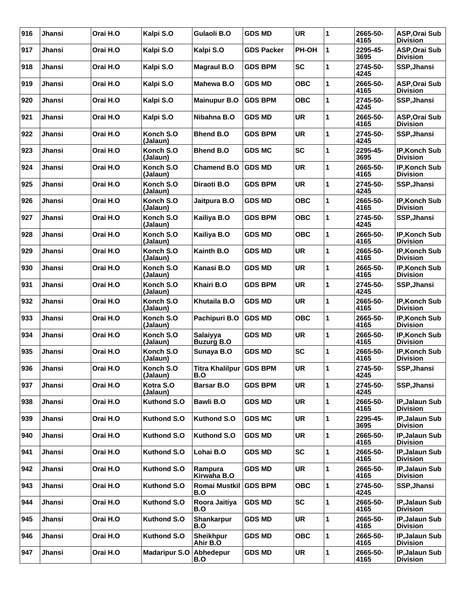| 916 | Jhansi        | Orai H.O | Kalpi S.O             | Gulaoli B.O                    | <b>GDS MD</b>     | <b>UR</b>  | 1 | 2665-50-<br>4165 | <b>ASP, Orai Sub</b><br><b>Division</b> |
|-----|---------------|----------|-----------------------|--------------------------------|-------------------|------------|---|------------------|-----------------------------------------|
| 917 | <b>Jhansi</b> | Orai H.O | Kalpi S.O             | Kalpi S.O                      | <b>GDS Packer</b> | PH-OH      | 1 | 2295-45-<br>3695 | <b>ASP, Orai Sub</b><br><b>Division</b> |
| 918 | <b>Jhansi</b> | Orai H.O | Kalpi S.O             | <b>Magraul B.O</b>             | <b>GDS BPM</b>    | <b>SC</b>  | 1 | 2745-50-<br>4245 | SSP, Jhansi                             |
| 919 | Jhansi        | Orai H.O | Kalpi S.O             | Mahewa B.O                     | <b>GDS MD</b>     | <b>OBC</b> | 1 | 2665-50-<br>4165 | <b>ASP, Orai Sub</b><br>Division        |
| 920 | <b>Jhansi</b> | Orai H.O | Kalpi S.O             | <b>Mainupur B.O</b>            | <b>GDS BPM</b>    | <b>OBC</b> | 1 | 2745-50-<br>4245 | SSP, Jhansi                             |
| 921 | Jhansi        | Orai H.O | Kalpi S.O             | Nibahna B.O                    | <b>GDS MD</b>     | <b>UR</b>  | 1 | 2665-50-<br>4165 | <b>ASP, Orai Sub</b><br><b>Division</b> |
| 922 | Jhansi        | Orai H.O | Konch S.O<br>(Jalaun) | <b>Bhend B.O</b>               | <b>GDS BPM</b>    | <b>UR</b>  | 1 | 2745-50-<br>4245 | SSP, Jhansi                             |
| 923 | <b>Jhansi</b> | Orai H.O | Konch S.O<br>(Jalaun) | <b>Bhend B.O</b>               | <b>GDS MC</b>     | <b>SC</b>  | 1 | 2295-45-<br>3695 | <b>IP, Konch Sub</b><br><b>Division</b> |
| 924 | <b>Jhansi</b> | Orai H.O | Konch S.O<br>(Jalaun) | <b>Chamend B.O</b>             | <b>GDS MD</b>     | <b>UR</b>  | 1 | 2665-50-<br>4165 | IP, Konch Sub<br><b>Division</b>        |
| 925 | Jhansi        | Orai H.O | Konch S.O<br>(Jalaun) | Diraoti B.O                    | <b>GDS BPM</b>    | <b>UR</b>  | 1 | 2745-50-<br>4245 | SSP, Jhansi                             |
| 926 | <b>Jhansi</b> | Orai H.O | Konch S.O<br>(Jalaun) | Jaitpura B.O                   | <b>GDS MD</b>     | <b>OBC</b> | 1 | 2665-50-<br>4165 | IP, Konch Sub<br><b>Division</b>        |
| 927 | Jhansi        | Orai H.O | Konch S.O<br>(Jalaun) | Kailiya B.O                    | <b>GDS BPM</b>    | <b>OBC</b> | 1 | 2745-50-<br>4245 | SSP, Jhansi                             |
| 928 | Jhansi        | Orai H.O | Konch S.O<br>(Jalaun) | Kailiya B.O                    | <b>GDS MD</b>     | <b>OBC</b> | 1 | 2665-50-<br>4165 | <b>IP, Konch Sub</b><br>Division        |
| 929 | <b>Jhansi</b> | Orai H.O | Konch S.O<br>(Jalaun) | Kainth B.O                     | <b>GDS MD</b>     | <b>UR</b>  | 1 | 2665-50-<br>4165 | IP, Konch Sub<br><b>Division</b>        |
| 930 | <b>Jhansi</b> | Orai H.O | Konch S.O<br>(Jalaun) | Kanasi B.O                     | <b>GDS MD</b>     | <b>UR</b>  | 1 | 2665-50-<br>4165 | IP, Konch Sub<br><b>Division</b>        |
| 931 | Jhansi        | Orai H.O | Konch S.O<br>(Jalaun) | Khairi B.O                     | GDS BPM           | <b>UR</b>  | 1 | 2745-50-<br>4245 | SSP, Jhansi                             |
| 932 | <b>Jhansi</b> | Orai H.O | Konch S.O<br>(Jalaun) | Khutaila B.O                   | <b>GDS MD</b>     | <b>UR</b>  | 1 | 2665-50-<br>4165 | IP, Konch Sub<br><b>Division</b>        |
| 933 | <b>Jhansi</b> | Orai H.O | Konch S.O<br>(Jalaun) | Pachipuri B.O                  | <b>GDS MD</b>     | <b>OBC</b> | 1 | 2665-50-<br>4165 | IP, Konch Sub<br><b>Division</b>        |
| 934 | Jhansi        | Orai H.O | Konch S.O<br>(Jalaun) | Salaiyya<br><b>Buzurg B.O</b>  | <b>GDS MD</b>     | <b>UR</b>  | 1 | 2665-50-<br>4165 | IP, Konch Sub<br>Division               |
| 935 | Jhansi        | Orai H.O | Konch S.O<br>(Jalaun) | Sunaya B.O                     | <b>GDS MD</b>     | <b>SC</b>  | 1 | 2665-50-<br>4165 | IP, Konch Sub<br><b>Division</b>        |
| 936 | Jhansi        | Orai H.O | Konch S.O<br>(Jalaun) | Titra Khalilpur GDS BPM<br>B.O |                   | UR         | 1 | 2745-50-<br>4245 | SSP, Jhansi                             |
| 937 | Jhansi        | Orai H.O | Kotra S.O<br>(Jalaun) | <b>Barsar B.O</b>              | <b>GDS BPM</b>    | UR         | 1 | 2745-50-<br>4245 | SSP, Jhansi                             |
| 938 | Jhansi        | Orai H.O | Kuthond S.O           | Bawli B.O                      | <b>GDS MD</b>     | <b>UR</b>  | 1 | 2665-50-<br>4165 | IP, Jalaun Sub<br><b>Division</b>       |
| 939 | Jhansi        | Orai H.O | Kuthond S.O           | Kuthond S.O                    | <b>GDS MC</b>     | <b>UR</b>  | 1 | 2295-45-<br>3695 | IP, Jalaun Sub<br><b>Division</b>       |
| 940 | Jhansi        | Orai H.O | Kuthond S.O           | <b>Kuthond S.O</b>             | <b>GDS MD</b>     | UR         | 1 | 2665-50-<br>4165 | IP, Jalaun Sub<br><b>Division</b>       |
| 941 | Jhansi        | Orai H.O | Kuthond S.O           | Lohai B.O                      | <b>GDS MD</b>     | <b>SC</b>  | 1 | 2665-50-<br>4165 | IP, Jalaun Sub<br><b>Division</b>       |
| 942 | Jhansi        | Orai H.O | Kuthond S.O           | Rampura<br>Kirwaha B.O         | <b>GDS MD</b>     | <b>UR</b>  | 1 | 2665-50-<br>4165 | IP, Jalaun Sub<br><b>Division</b>       |
| 943 | Jhansi        | Orai H.O | Kuthond S.O           | <b>Romai Mustkil</b><br>B.O    | <b>GDS BPM</b>    | ОВС        | 1 | 2745-50-<br>4245 | SSP, Jhansi                             |
| 944 | Jhansi        | Orai H.O | Kuthond S.O           | Roora Jaitiya<br>B.O           | <b>GDS MD</b>     | <b>SC</b>  | 1 | 2665-50-<br>4165 | IP, Jalaun Sub<br><b>Division</b>       |
| 945 | Jhansi        | Orai H.O | Kuthond S.O           | Shankarpur<br>B.O              | <b>GDS MD</b>     | <b>UR</b>  | 1 | 2665-50-<br>4165 | IP, Jalaun Sub<br><b>Division</b>       |
| 946 | Jhansi        | Orai H.O | Kuthond S.O           | <b>Sheikhpur</b><br>Ahir B.O   | <b>GDS MD</b>     | <b>OBC</b> | 1 | 2665-50-<br>4165 | IP, Jalaun Sub<br><b>Division</b>       |
| 947 | Jhansi        | Orai H.O | <b>Madaripur S.O</b>  | Abhedepur<br>B.O               | <b>GDS MD</b>     | <b>UR</b>  | 1 | 2665-50-<br>4165 | IP, Jalaun Sub<br><b>Division</b>       |
|     |               |          |                       |                                |                   |            |   |                  |                                         |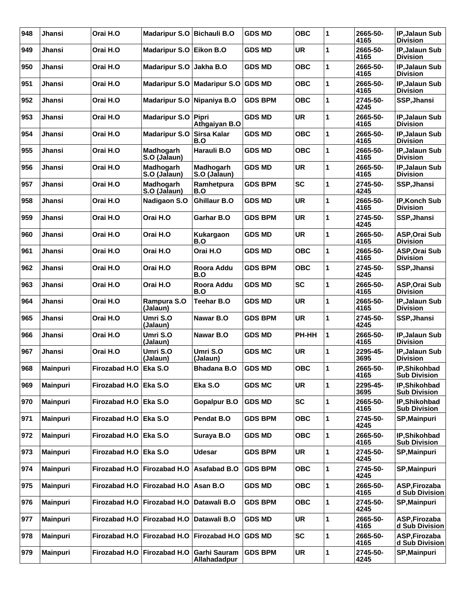| 948 | Jhansi          | Orai H.O                      | Madaripur S.O Bichauli B.O    |                              | <b>GDS MD</b>  | <b>OBC</b> | 1            | 2665-50-<br>4165 | IP, Jalaun Sub<br><b>Division</b>        |
|-----|-----------------|-------------------------------|-------------------------------|------------------------------|----------------|------------|--------------|------------------|------------------------------------------|
| 949 | Jhansi          | Orai H.O                      | Madaripur S.O Eikon B.O       |                              | <b>GDS MD</b>  | <b>UR</b>  | 1            | 2665-50-<br>4165 | IP, Jalaun Sub<br><b>Division</b>        |
| 950 | Jhansi          | Orai H.O                      | <b>Madaripur S.O</b>          | ∣Jakha B.O                   | <b>GDS MD</b>  | <b>OBC</b> | 1            | 2665-50-<br>4165 | IP, Jalaun Sub<br><b>Division</b>        |
| 951 | Jhansi          | Orai H.O                      | <b>Madaripur S.O</b>          | <b>Madaripur S.O</b>         | <b>GDS MD</b>  | <b>OBC</b> | 1            | 2665-50-<br>4165 | <b>IP.Jalaun Sub</b><br><b>Division</b>  |
| 952 | Jhansi          | Orai H.O                      | Madaripur S.O Nipaniya B.O    |                              | <b>GDS BPM</b> | <b>OBC</b> | 1            | 2745-50-<br>4245 | SSP, Jhansi                              |
| 953 | Jhansi          | Orai H.O                      | <b>Madaripur S.O</b>          | Pipri<br>Athgaiyan B.O       | <b>GDS MD</b>  | <b>UR</b>  | 1            | 2665-50-<br>4165 | IP, Jalaun Sub<br><b>Division</b>        |
| 954 | Jhansi          | Orai H.O                      | <b>Madaripur S.O</b>          | Sirsa Kalar<br>B.O           | <b>GDS MD</b>  | <b>OBC</b> | 1            | 2665-50-<br>4165 | IP, Jalaun Sub<br><b>Division</b>        |
| 955 | Jhansi          | Orai H.O                      | Madhogarh<br>S.O (Jalaun)     | Harauli B.O                  | <b>GDS MD</b>  | <b>OBC</b> | 1            | 2665-50-<br>4165 | IP, Jalaun Sub<br><b>Division</b>        |
| 956 | Jhansi          | Orai H.O                      | Madhogarh<br>S.O (Jalaun)     | Madhogarh<br>S.O (Jalaun)    | <b>GDS MD</b>  | <b>UR</b>  | 1            | 2665-50-<br>4165 | IP, Jalaun Sub<br><b>Division</b>        |
| 957 | <b>Jhansi</b>   | Orai H.O                      | Madhogarh<br>S.O (Jalaun)     | Ramhetpura<br>B.O            | <b>GDS BPM</b> | <b>SC</b>  | 1            | 2745-50-<br>4245 | SSP, Jhansi                              |
| 958 | Jhansi          | Orai H.O                      | Nadigaon S.O                  | <b>Ghillaur B.O</b>          | <b>GDS MD</b>  | <b>UR</b>  | 1            | 2665-50-<br>4165 | IP, Konch Sub<br><b>Division</b>         |
| 959 | Jhansi          | Orai H.O                      | Orai H.O                      | Garhar B.O                   | <b>GDS BPM</b> | <b>UR</b>  | 1            | 2745-50-<br>4245 | SSP, Jhansi                              |
| 960 | Jhansi          | Orai H.O                      | Orai H.O                      | Kukargaon<br>B.O             | <b>GDS MD</b>  | <b>UR</b>  | 1            | 2665-50-<br>4165 | <b>ASP, Orai Sub</b><br><b>Division</b>  |
| 961 | Jhansi          | Orai H.O                      | Orai H.O                      | Orai H.O                     | <b>GDS MD</b>  | <b>OBC</b> | 1            | 2665-50-<br>4165 | <b>ASP, Orai Sub</b><br><b>Division</b>  |
| 962 | Jhansi          | Orai H.O                      | Orai H.O                      | Roora Addu<br>B.O            | <b>GDS BPM</b> | <b>OBC</b> | 1            | 2745-50-<br>4245 | SSP, Jhansi                              |
| 963 | <b>Jhansi</b>   | Orai H.O                      | Orai H.O                      | Roora Addu<br>B.O            | <b>GDS MD</b>  | <b>SC</b>  | 1            | 2665-50-<br>4165 | <b>ASP, Orai Sub</b><br><b>Division</b>  |
| 964 | Jhansi          | Orai H.O                      | Rampura S.O<br>(Jalaun)       | <b>Teehar B.O</b>            | <b>GDS MD</b>  | <b>UR</b>  | 1            | 2665-50-<br>4165 | <b>IP, Jalaun Sub</b><br><b>Division</b> |
| 965 | Jhansi          | Orai H.O                      | Umri S.O<br>(Jalaun)          | Nawar B.O                    | <b>GDS BPM</b> | <b>UR</b>  | 1            | 2745-50-<br>4245 | SSP, Jhansi                              |
| 966 | <b>Jhansi</b>   | Orai H.O                      | Umri S.O<br>(Jalaun)          | Nawar B.O                    | <b>GDS MD</b>  | PH-HH      | 1            | 2665-50-<br>4165 | <b>IP, Jalaun Sub</b><br><b>Division</b> |
| 967 | Jhansi          | Orai H.O                      | Umri S.O<br>(Jalaun)          | Umri S.O<br>(Jalaun)         | <b>GDS MC</b>  | <b>UR</b>  | 1            | 2295-45-<br>3695 | IP, Jalaun Sub<br><b>Division</b>        |
| 968 | Mainpuri        | Firozabad H.O   Eka S.O       |                               | <b>Bhadana B.O</b>           | <b>GDS MD</b>  | <b>OBC</b> | $\mathbf{1}$ | 2665-50-<br>4165 | IP, Shikohbad<br><b>Sub Division</b>     |
| 969 | <b>Mainpuri</b> | Firozabad H.O   Eka S.O       |                               | Eka S.O                      | <b>GDS MC</b>  | UR         | 1            | 2295-45-<br>3695 | IP,Shikohbad<br><b>Sub Division</b>      |
| 970 | <b>Mainpuri</b> | Firozabad H.O   Eka S.O       |                               | <b>Gopalpur B.O</b>          | <b>GDS MD</b>  | <b>SC</b>  | 1            | 2665-50-<br>4165 | IP,Shikohbad<br><b>Sub Division</b>      |
| 971 | <b>Mainpuri</b> | Firozabad H.O   Eka S.O       |                               | Pendat B.O                   | <b>GDS BPM</b> | <b>OBC</b> | 1            | 2745-50-<br>4245 | SP, Mainpuri                             |
| 972 | <b>Mainpuri</b> | Firozabad H.O                 | Eka S.O                       | Suraya B.O                   | <b>GDS MD</b>  | <b>OBC</b> | $\mathbf{1}$ | 2665-50-<br>4165 | IP, Shikohbad<br><b>Sub Division</b>     |
| 973 | <b>Mainpuri</b> | Firozabad H.O   Eka S.O       |                               | <b>Udesar</b>                | <b>GDS BPM</b> | <b>UR</b>  | 1            | 2745-50-<br>4245 | SP, Mainpuri                             |
| 974 | <b>Mainpuri</b> | Firozabad H.O Firozabad H.O   |                               | Asafabad B.O                 | <b>GDS BPM</b> | <b>OBC</b> | 1            | 2745-50-<br>4245 | SP, Mainpuri                             |
| 975 | <b>Mainpuri</b> |                               | Firozabad H.O Firozabad H.O   | Asan B.O                     | <b>GDS MD</b>  | <b>OBC</b> | 1            | 2665-50-<br>4165 | ASP, Firozaba<br>d Sub Division          |
| 976 | <b>Mainpuri</b> |                               | Firozabad H.O Firozabad H.O   | Datawali B.O                 | <b>GDS BPM</b> | <b>OBC</b> | 1            | 2745-50-<br>4245 | <b>SP,Mainpuri</b>                       |
| 977 | <b>Mainpuri</b> | Firozabad H.O   Firozabad H.O |                               | Datawali B.O                 | <b>GDS MD</b>  | <b>UR</b>  | 1            | 2665-50-<br>4165 | ASP, Firozaba<br>d Sub Division          |
| 978 | <b>Mainpuri</b> | Firozabad H.O   Firozabad H.O |                               | Firozabad H.O                | <b>GDS MD</b>  | <b>SC</b>  | 1            | 2665-50-<br>4165 | ASP, Firozaba<br>d Sub Division          |
| 979 | <b>Mainpuri</b> |                               | Firozabad H.O   Firozabad H.O | Garhi Sauram<br>Allahadadpur | <b>GDS BPM</b> | <b>UR</b>  | 1            | 2745-50-<br>4245 | SP, Mainpuri                             |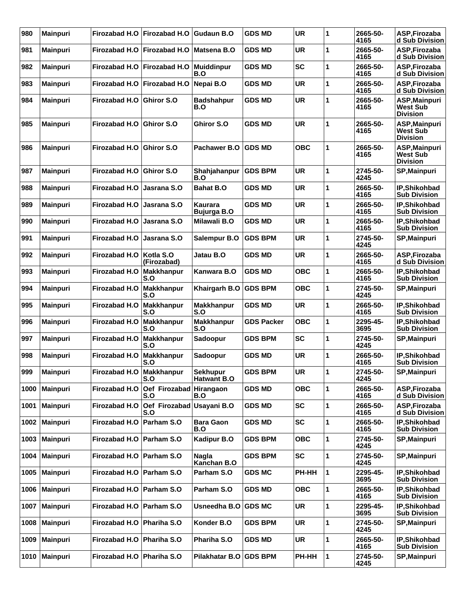| 980  | <b>Mainpuri</b> | <b>Firozabad H.O.</b>       | <b>Firozabad H.O</b>     | Gudaun B.O                            | <b>GDS MD</b>     | <b>UR</b>  | 1 | 2665-50-<br>4165 | ASP.Firozaba<br>d Sub Division                      |
|------|-----------------|-----------------------------|--------------------------|---------------------------------------|-------------------|------------|---|------------------|-----------------------------------------------------|
| 981  | <b>Mainpuri</b> | <b>Firozabad H.O.</b>       | <b>Firozabad H.O</b>     | <b>Matsena B.O</b>                    | <b>GDS MD</b>     | <b>UR</b>  | 1 | 2665-50-<br>4165 | ASP,Firozaba<br>d Sub Division                      |
| 982  | <b>Mainpuri</b> | <b>Firozabad H.O.</b>       | Firozabad H.O            | <b>Muiddinpur</b><br>B.O              | <b>GDS MD</b>     | <b>SC</b>  | 1 | 2665-50-<br>4165 | ASP, Firozaba<br>d Sub Division                     |
| 983  | <b>Mainpuri</b> | <b>Firozabad H.O.</b>       | <b>Firozabad H.O</b>     | Nepai B.O                             | <b>GDS MD</b>     | <b>UR</b>  | 1 | 2665-50-<br>4165 | ASP, Firozaba<br>d Sub Division                     |
| 984  | <b>Mainpuri</b> | <b>Firozabad H.O.</b>       | <b>Ghiror S.O</b>        | <b>Badshahpur</b><br>B.O              | <b>GDS MD</b>     | <b>UR</b>  | 1 | 2665-50-<br>4165 | ASP, Mainpuri<br>West Sub<br><b>Division</b>        |
| 985  | <b>Mainpuri</b> | <b>Firozabad H.O.</b>       | <b>Ghiror S.O</b>        | Ghiror S.O                            | <b>GDS MD</b>     | <b>UR</b>  | 1 | 2665-50-<br>4165 | ASP, Mainpuri<br><b>West Sub</b><br><b>Division</b> |
| 986  | <b>Mainpuri</b> | Firozabad H.O               | <b>Ghiror S.O</b>        | Pachawer B.O                          | <b>GDS MD</b>     | ОВС        | 1 | 2665-50-<br>4165 | ASP, Mainpuri<br>West Sub<br><b>Division</b>        |
| 987  | <b>Mainpuri</b> | <b>Firozabad H.O</b>        | Ghiror S.O               | Shahjahanpur<br>B.O                   | <b>GDS BPM</b>    | <b>UR</b>  | 1 | 2745-50-<br>4245 | <b>SP,Mainpuri</b>                                  |
| 988  | <b>Mainpuri</b> | <b>Firozabad H.O</b>        | Jasrana S.O              | <b>Bahat B.O</b>                      | <b>GDS MD</b>     | <b>UR</b>  | 1 | 2665-50-<br>4165 | IP, Shikohbad<br><b>Sub Division</b>                |
| 989  | <b>Mainpuri</b> | Firozabad H.O               | Jasrana S.O              | Kaurara<br><b>Bujurga B.O</b>         | <b>GDS MD</b>     | <b>UR</b>  | 1 | 2665-50-<br>4165 | IP, Shikohbad<br><b>Sub Division</b>                |
| 990  | <b>Mainpuri</b> | <b>Firozabad H.O</b>        | Jasrana S.O              | <b>Milawali B.O</b>                   | <b>GDS MD</b>     | <b>UR</b>  | 1 | 2665-50-<br>4165 | IP, Shikohbad<br><b>Sub Division</b>                |
| 991  | <b>Mainpuri</b> | <b>Firozabad H.O.</b>       | Jasrana S.O              | Salempur B.O                          | <b>GDS BPM</b>    | <b>UR</b>  | 1 | 2745-50-<br>4245 | <b>SP,Mainpuri</b>                                  |
| 992  | <b>Mainpuri</b> | Firozabad H.O   Kotla S.O   | (Firozabad)              | Jatau B.O                             | <b>GDS MD</b>     | <b>UR</b>  | 1 | 2665-50-<br>4165 | ASP, Firozaba<br>d Sub Division                     |
| 993  | <b>Mainpuri</b> | <b>Firozabad H.O</b>        | <b>Makkhanpur</b><br>S.O | Kanwara B.O                           | <b>GDS MD</b>     | <b>OBC</b> | 1 | 2665-50-<br>4165 | IP, Shikohbad<br><b>Sub Division</b>                |
| 994  | <b>Mainpuri</b> | Firozabad H.O               | Makkhanpur<br>S.O        | Khairgarh B.O                         | <b>GDS BPM</b>    | <b>OBC</b> | 1 | 2745-50-<br>4245 | <b>SP,Mainpuri</b>                                  |
| 995  | <b>Mainpuri</b> | Firozabad H.O               | Makkhanpur<br>S.O        | <b>Makkhanpur</b><br>S.O              | <b>GDS MD</b>     | <b>UR</b>  | 1 | 2665-50-<br>4165 | IP, Shikohbad<br><b>Sub Division</b>                |
| 996  | <b>Mainpuri</b> | <b>Firozabad H.O</b>        | <b>Makkhanpur</b><br>S.O | <b>Makkhanpur</b><br>S.O              | <b>GDS Packer</b> | <b>OBC</b> | 1 | 2295-45-<br>3695 | IP, Shikohbad<br><b>Sub Division</b>                |
| 997  | <b>Mainpuri</b> | Firozabad H.O               | Makkhanpur<br>S.O        | Sadoopur                              | <b>GDS BPM</b>    | <b>SC</b>  | 1 | 2745-50-<br>4245 | <b>SP, Mainpuri</b>                                 |
| 998  | <b>Mainpuri</b> | <b>Firozabad H.O.</b>       | Makkhanpur<br>S.O        | Sadoopur                              | <b>GDS MD</b>     | <b>UR</b>  | 1 | 2665-50-<br>4165 | IP, Shikohbad<br><b>Sub Division</b>                |
| 999  | <b>Mainpuri</b> | Firozabad H.O Makkhanpur    | S.O                      | <b>Sekhupur</b><br><b>Hatwant B.O</b> | <b>GDS BPM</b>    | <b>UR</b>  | 1 | 2745-50-<br>4245 | <b>SP,Mainpuri</b>                                  |
| 1000 | <b>Mainpuri</b> | Firozabad H.O               | Oef Firozabad<br>S.O     | Hirangaon<br>B.O                      | <b>GDS MD</b>     | <b>OBC</b> | 1 | 2665-50-<br>4165 | ASP, Firozaba<br>d Sub Division                     |
| 1001 | <b>Mainpuri</b> | <b>Firozabad H.O.</b>       | Oef Firozabad<br>S.O     | Usayani B.O                           | <b>GDS MD</b>     | <b>SC</b>  | 1 | 2665-50-<br>4165 | ASP, Firozaba<br>d Sub Division                     |
| 1002 | Mainpuri        | Firozabad H.O               | Parham S.O               | <b>Bara Gaon</b><br>B.O               | <b>GDS MD</b>     | <b>SC</b>  | 1 | 2665-50-<br>4165 | IP,Shikohbad<br><b>Sub Division</b>                 |
| 1003 | <b>Mainpuri</b> | Firozabad H.O Parham S.O    |                          | Kadipur B.O                           | <b>GDS BPM</b>    | <b>OBC</b> | 1 | 2745-50-<br>4245 | <b>SP,Mainpuri</b>                                  |
| 1004 | Mainpuri        | Firozabad H.O   Parham S.O  |                          | Nagla<br>Kanchan B.O                  | <b>GDS BPM</b>    | <b>SC</b>  | 1 | 2745-50-<br>4245 | SP, Mainpuri                                        |
| 1005 | <b>Mainpuri</b> | Firozabad H.O   Parham S.O  |                          | Parham S.O                            | <b>GDS MC</b>     | PH-HH      | 1 | 2295-45-<br>3695 | IP,Shikohbad<br><b>Sub Division</b>                 |
| 1006 | <b>Mainpuri</b> | Firozabad H.O Parham S.O    |                          | Parham S.O                            | <b>GDS MD</b>     | <b>OBC</b> | 1 | 2665-50-<br>4165 | IP, Shikohbad<br><b>Sub Division</b>                |
| 1007 | <b>Mainpuri</b> | Firozabad H.O   Parham S.O  |                          | Usneedha B.O                          | <b>GDS MC</b>     | <b>UR</b>  | 1 | 2295-45-<br>3695 | IP, Shikohbad<br><b>Sub Division</b>                |
| 1008 | <b>Mainpuri</b> | <b>Firozabad H.O</b>        | Phariha S.O              | Konder B.O                            | <b>GDS BPM</b>    | <b>UR</b>  | 1 | 2745-50-<br>4245 | SP, Mainpuri                                        |
| 1009 | <b>Mainpuri</b> | Firozabad H.O Phariha S.O   |                          | Phariha S.O                           | <b>GDS MD</b>     | <b>UR</b>  | 1 | 2665-50-<br>4165 | IP,Shikohbad<br><b>Sub Division</b>                 |
| 1010 | Mainpuri        | Firozabad H.O   Phariha S.O |                          | Pilakhatar B.O                        | <b>GDS BPM</b>    | PH-HH      | 1 | 2745-50-<br>4245 | SP, Mainpuri                                        |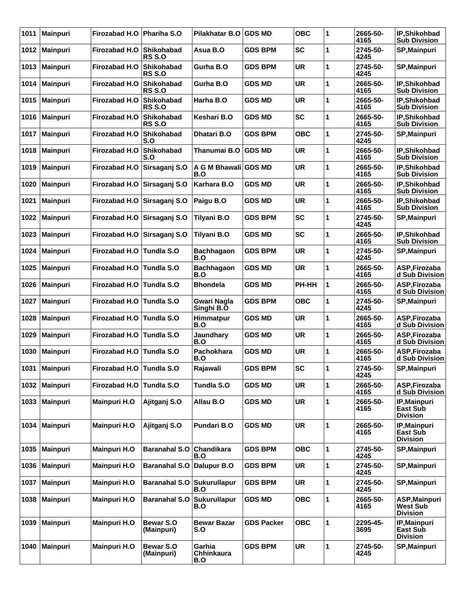| 1011 | <b>Mainpuri</b> | <b>Firozabad H.O</b>        | <b>Phariha S.O</b>                 | Pilakhatar B.O              | <b>GDS MD</b>     | ОВС        | 1 | 2665-50-<br>4165 | IP, Shikohbad<br><b>Sub Division</b>               |
|------|-----------------|-----------------------------|------------------------------------|-----------------------------|-------------------|------------|---|------------------|----------------------------------------------------|
| 1012 | <b>Mainpuri</b> | Firozabad H.O Shikohabad    | <b>RS S.O</b>                      | Asua B.O                    | <b>GDS BPM</b>    | <b>SC</b>  | 1 | 2745-50-<br>4245 | <b>SP,Mainpuri</b>                                 |
| 1013 | Mainpuri        | <b>Firozabad H.O.</b>       | Shikohabad<br><b>RS S.O</b>        | Gurha B.O                   | <b>GDS BPM</b>    | <b>UR</b>  | 1 | 2745-50-<br>4245 | <b>SP, Mainpuri</b>                                |
| 1014 | <b>Mainpuri</b> | Firozabad H.O               | <b>Shikohabad</b><br><b>RS S.O</b> | Gurha B.O                   | <b>GDS MD</b>     | UR         | 1 | 2665-50-<br>4165 | IP, Shikohbad<br><b>Sub Division</b>               |
| 1015 | <b>Mainpuri</b> | <b>Firozabad H.O.</b>       | Shikohabad<br><b>RS S.O</b>        | Harha B.O                   | <b>GDS MD</b>     | <b>UR</b>  | 1 | 2665-50-<br>4165 | IP, Shikohbad<br><b>Sub Division</b>               |
| 1016 | Mainpuri        | <b>Firozabad H.O</b>        | <b>Shikohabad</b><br><b>RS S.O</b> | Keshari B.O                 | <b>GDS MD</b>     | <b>SC</b>  | 1 | 2665-50-<br>4165 | IP, Shikohbad<br><b>Sub Division</b>               |
| 1017 | <b>Mainpuri</b> | Firozabad H.O               | Shikohabad<br>S.O                  | Dhatari B.O                 | <b>GDS BPM</b>    | ОВС        | 1 | 2745-50-<br>4245 | <b>SP, Mainpuri</b>                                |
| 1018 | <b>Mainpuri</b> | Firozabad H.O               | Shikohabad<br>S.O                  | Thanumai B.O                | <b>IGDS MD</b>    | <b>UR</b>  | 1 | 2665-50-<br>4165 | IP, Shikohbad<br><b>Sub Division</b>               |
| 1019 | <b>Mainpuri</b> | Firozabad H.O               | Sirsaganj S.O                      | A G M Bhawali GDS MD<br>B.O |                   | <b>UR</b>  | 1 | 2665-50-<br>4165 | IP, Shikohbad<br><b>Sub Division</b>               |
| 1020 | <b>Mainpuri</b> | <b>Firozabad H.O</b>        | Sirsaganj S.O                      | Karhara B.O                 | <b>GDS MD</b>     | <b>UR</b>  | 1 | 2665-50-<br>4165 | IP, Shikohbad<br><b>Sub Division</b>               |
| 1021 | <b>Mainpuri</b> | <b>Firozabad H.O</b>        | Sirsaganj S.O                      | Paigu B.O                   | <b>GDS MD</b>     | <b>UR</b>  | 1 | 2665-50-<br>4165 | IP, Shikohbad<br><b>Sub Division</b>               |
| 1022 | <b>Mainpuri</b> | <b>Firozabad H.O</b>        | Sirsaganj S.O                      | Tilyani B.O                 | <b>GDS BPM</b>    | <b>SC</b>  | 1 | 2745-50-<br>4245 | <b>SP,Mainpuri</b>                                 |
| 1023 | <b>Mainpuri</b> | Firozabad H.O Sirsaganj S.O |                                    | Tilyani B.O                 | <b>GDS MD</b>     | <b>SC</b>  | 1 | 2665-50-<br>4165 | IP, Shikohbad<br><b>Sub Division</b>               |
| 1024 | <b>Mainpuri</b> | Firozabad H.O               | Tundla S.O                         | <b>Bachhagaon</b><br>B.O    | <b>GDS BPM</b>    | <b>UR</b>  | 1 | 2745-50-<br>4245 | <b>SP,Mainpuri</b>                                 |
| 1025 | <b>Mainpuri</b> | Firozabad H.O               | Tundla S.O                         | <b>Bachhagaon</b><br>B.O    | <b>GDS MD</b>     | <b>UR</b>  | 1 | 2665-50-<br>4165 | ASP, Firozaba<br>d Sub Division                    |
| 1026 | <b>Mainpuri</b> | Firozabad H.O               | Tundla S.O                         | <b>Bhondela</b>             | <b>GDS MD</b>     | PH-HH      | 1 | 2665-50-<br>4165 | ASP, Firozaba<br>d Sub Division                    |
| 1027 | <b>Mainpuri</b> | <b>Firozabad H.O.</b>       | <b>Tundla S.O</b>                  | Gwari Nagla<br>Singhi B.O   | <b>GDS BPM</b>    | <b>OBC</b> | 1 | 2745-50-<br>4245 | <b>SP, Mainpuri</b>                                |
| 1028 | <b>Mainpuri</b> | <b>Firozabad H.O</b>        | Tundla S.O                         | Himmatpur<br>B.O            | <b>GDS MD</b>     | <b>UR</b>  | 1 | 2665-50-<br>4165 | ASP, Firozaba<br>d Sub Division                    |
| 1029 | <b>Mainpuri</b> | <b>Firozabad H.O.</b>       | Tundla S.O                         | Jaundhary<br>B.O            | <b>GDS MD</b>     | UR         | 1 | 2665-50-<br>4165 | ASP.Firozaba<br>d Sub Division                     |
| 1030 | <b>Mainpuri</b> | Firozabad H.O Tundla S.O    |                                    | Pachokhara<br>B.O           | <b>GDS MD</b>     | <b>UR</b>  | 1 | 2665-50-<br>4165 | ASP,Firozaba<br>d Sub Division                     |
| 1031 | Mainpuri        | Firozabad H.O Tundla S.O    |                                    | Rajawali                    | <b>GDS BPM</b>    | <b>SC</b>  | 1 | 2745-50-<br>4245 | <b>SP, Mainpuri</b>                                |
|      | 1032 Mainpuri   | Firozabad H.O               | Tundla S.O                         | Tundla S.O                  | <b>GDS MD</b>     | <b>UR</b>  | 1 | 2665-50-<br>4165 | ASP, Firozaba<br>d Sub Division                    |
| 1033 | Mainpuri        | <b>Mainpuri H.O</b>         | Ajitganj S.O                       | Allau B.O                   | <b>GDS MD</b>     | <b>UR</b>  | 1 | 2665-50-<br>4165 | IP, Mainpuri<br><b>East Sub</b><br><b>Division</b> |
| 1034 | Mainpuri        | <b>Mainpuri H.O</b>         | Ajitganj S.O                       | <b>Pundari B.O</b>          | <b>GDS MD</b>     | <b>UR</b>  | 1 | 2665-50-<br>4165 | IP, Mainpuri<br><b>East Sub</b><br><b>Division</b> |
| 1035 | Mainpuri        | <b>Mainpuri H.O</b>         | <b>Baranahal S.O</b>               | Chandikara<br>B.O           | <b>GDS BPM</b>    | <b>OBC</b> | 1 | 2745-50-<br>4245 | <b>SP,Mainpuri</b>                                 |
| 1036 | Mainpuri        | <b>Mainpuri H.O</b>         | <b>Baranahal S.O</b>               | Dalupur B.O                 | <b>GDS BPM</b>    | <b>UR</b>  | 1 | 2745-50-<br>4245 | <b>SP,Mainpuri</b>                                 |
| 1037 | Mainpuri        | <b>Mainpuri H.O</b>         | <b>Baranahal S.O</b>               | <b>Sukurullapur</b><br>B.O  | <b>GDS BPM</b>    | <b>UR</b>  | 1 | 2745-50-<br>4245 | <b>SP,Mainpuri</b>                                 |
| 1038 | Mainpuri        | <b>Mainpuri H.O</b>         | <b>Baranahal S.O</b>               | <b>Sukurullapur</b><br>B.O  | <b>GDS MD</b>     | <b>OBC</b> | 1 | 2665-50-<br>4165 | ASP, Mainpuri<br>West Sub<br><b>Division</b>       |
| 1039 | <b>Mainpuri</b> | <b>Mainpuri H.O</b>         | Bewar S.O<br>(Mainpuri)            | <b>Bewar Bazar</b><br>S.O   | <b>GDS Packer</b> | <b>OBC</b> | 1 | 2295-45-<br>3695 | IP, Mainpuri<br><b>East Sub</b><br><b>Division</b> |
| 1040 | <b>Mainpuri</b> | <b>Mainpuri H.O</b>         | Bewar S.O<br>(Mainpuri)            | Garhia<br>Chhinkaura<br>B.O | <b>GDS BPM</b>    | <b>UR</b>  | 1 | 2745-50-<br>4245 | <b>SP,Mainpuri</b>                                 |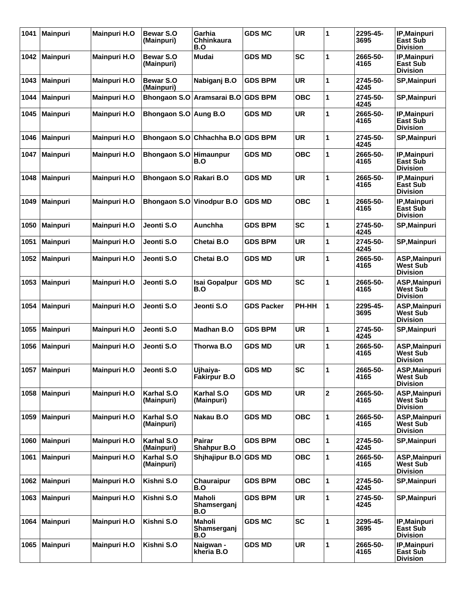| 1041 | <b>Mainpuri</b> | <b>Mainpuri H.O</b> | Bewar S.O<br>(Mainpuri)        | Garhia<br>Chhinkaura<br>B.O         | <b>GDS MC</b>     | <b>UR</b>  | 1                       | 2295-45-<br>3695 | IP, Mainpuri<br>East Sub<br><b>Division</b>         |
|------|-----------------|---------------------|--------------------------------|-------------------------------------|-------------------|------------|-------------------------|------------------|-----------------------------------------------------|
| 1042 | <b>Mainpuri</b> | <b>Mainpuri H.O</b> | <b>Bewar S.O</b><br>(Mainpuri) | Mudai                               | <b>GDS MD</b>     | <b>SC</b>  | 1                       | 2665-50-<br>4165 | IP, Mainpuri<br>East Sub<br><b>Division</b>         |
| 1043 | <b>Mainpuri</b> | <b>Mainpuri H.O</b> | Bewar S.O<br>(Mainpuri)        | Nabiganj B.O                        | <b>GDS BPM</b>    | <b>UR</b>  | 1                       | 2745-50-<br>4245 | <b>SP,Mainpuri</b>                                  |
| 1044 | <b>Mainpuri</b> | <b>Mainpuri H.O</b> |                                | Bhongaon S.O Aramsarai B.O          | <b>GDS BPM</b>    | <b>OBC</b> | 1                       | 2745-50-<br>4245 | <b>SP, Mainpuri</b>                                 |
| 1045 | <b>Mainpuri</b> | <b>Mainpuri H.O</b> | Bhongaon S.O Aung B.O          |                                     | <b>GDS MD</b>     | <b>UR</b>  | 1                       | 2665-50-<br>4165 | IP, Mainpuri<br><b>East Sub</b><br><b>Division</b>  |
| 1046 | <b>Mainpuri</b> | <b>Mainpuri H.O</b> |                                | Bhongaon S.O Chhachha B.O           | <b>GDS BPM</b>    | <b>UR</b>  | 1                       | 2745-50-<br>4245 | <b>SP,Mainpuri</b>                                  |
| 1047 | <b>Mainpuri</b> | <b>Mainpuri H.O</b> | Bhongaon S.O Himaunpur         | B.O                                 | <b>GDS MD</b>     | <b>OBC</b> | 1                       | 2665-50-<br>4165 | IP, Mainpuri<br>East Sub<br><b>Division</b>         |
| 1048 | <b>Mainpuri</b> | <b>Mainpuri H.O</b> | Bhongaon S.O Rakari B.O        |                                     | <b>GDS MD</b>     | <b>UR</b>  | 1                       | 2665-50-<br>4165 | IP, Mainpuri<br><b>East Sub</b><br><b>Division</b>  |
| 1049 | <b>Mainpuri</b> | <b>Mainpuri H.O</b> | Bhongaon S.O Vinodpur B.O      |                                     | <b>GDS MD</b>     | <b>OBC</b> | 1                       | 2665-50-<br>4165 | IP, Mainpuri<br>East Sub<br><b>Division</b>         |
| 1050 | <b>Mainpuri</b> | <b>Mainpuri H.O</b> | Jeonti S.O                     | Aunchha                             | <b>GDS BPM</b>    | <b>SC</b>  | 1                       | 2745-50-<br>4245 | <b>SP, Mainpuri</b>                                 |
| 1051 | <b>Mainpuri</b> | <b>Mainpuri H.O</b> | Jeonti S.O                     | Chetai B.O                          | <b>GDS BPM</b>    | <b>UR</b>  | 1                       | 2745-50-<br>4245 | <b>SP, Mainpuri</b>                                 |
| 1052 | Mainpuri        | <b>Mainpuri H.O</b> | Jeonti S.O                     | Chetai B.O                          | <b>GDS MD</b>     | <b>UR</b>  | 1                       | 2665-50-<br>4165 | ASP, Mainpuri<br>West Sub<br><b>Division</b>        |
| 1053 | <b>Mainpuri</b> | <b>Mainpuri H.O</b> | Jeonti S.O                     | <b>Isai Gopalpur</b><br>B.O         | <b>GDS MD</b>     | <b>SC</b>  | 1                       | 2665-50-<br>4165 | ASP, Mainpuri<br>West Sub<br><b>Division</b>        |
| 1054 | <b>Mainpuri</b> | <b>Mainpuri H.O</b> | Jeonti S.O                     | Jeonti S.O                          | <b>GDS Packer</b> | PH-HH      | 1                       | 2295-45-<br>3695 | ASP, Mainpuri<br>West Sub<br><b>Division</b>        |
| 1055 | <b>Mainpuri</b> | <b>Mainpuri H.O</b> | Jeonti S.O                     | <b>Madhan B.O</b>                   | <b>GDS BPM</b>    | <b>UR</b>  | 1                       | 2745-50-<br>4245 | <b>SP,Mainpuri</b>                                  |
| 1056 | <b>Mainpuri</b> | <b>Mainpuri H.O</b> | Jeonti S.O                     | Thorwa B.O                          | <b>GDS MD</b>     | <b>UR</b>  | 1                       | 2665-50-<br>4165 | ASP, Mainpuri<br>West Sub<br><b>Division</b>        |
|      | 1057 Mainpuri   | <b>Mainpuri H.O</b> | Jeonti S.O                     | Ujhaiya-<br><b>Fakirpur B.O</b>     | <b>GDS MD</b>     | SC         | 1                       | 2665-50-<br>4165 | ASP, Mainpuri<br><b>West Sub</b><br><b>Division</b> |
| 1058 | Mainpuri        | <b>Mainpuri H.O</b> | Karhal S.O<br>(Mainpuri)       | Karhal S.O<br>(Mainpuri)            | <b>GDS MD</b>     | <b>UR</b>  | $\overline{\mathbf{2}}$ | 2665-50-<br>4165 | ASP, Mainpuri<br><b>West Sub</b><br><b>Division</b> |
| 1059 | Mainpuri        | <b>Mainpuri H.O</b> | Karhal S.O<br>(Mainpuri)       | Nakau B.O                           | <b>GDS MD</b>     | <b>OBC</b> | 1                       | 2665-50-<br>4165 | ASP, Mainpuri<br>West Sub<br><b>Division</b>        |
| 1060 | Mainpuri        | <b>Mainpuri H.O</b> | Karhal S.O<br>(Mainpuri)       | <b>Pairar</b><br><b>Shahpur B.O</b> | <b>GDS BPM</b>    | <b>OBC</b> | 1                       | 2745-50-<br>4245 | <b>SP,Mainpuri</b>                                  |
| 1061 | <b>Mainpuri</b> | <b>Mainpuri H.O</b> | Karhal S.O<br>(Mainpuri)       | Shjhajipur B.O GDS MD               |                   | ОВС        | 1                       | 2665-50-<br>4165 | ASP, Mainpuri<br><b>West Sub</b><br><b>Division</b> |
| 1062 | Mainpuri        | <b>Mainpuri H.O</b> | Kishni S.O                     | Chauraipur<br>B.O                   | <b>GDS BPM</b>    | <b>OBC</b> | 1                       | 2745-50-<br>4245 | <b>SP,Mainpuri</b>                                  |
| 1063 | <b>Mainpuri</b> | <b>Mainpuri H.O</b> | Kishni S.O                     | Maholi<br>Shamserganj<br>B.O        | <b>GDS BPM</b>    | <b>UR</b>  | 1                       | 2745-50-<br>4245 | <b>SP, Mainpuri</b>                                 |
| 1064 | Mainpuri        | <b>Mainpuri H.O</b> | Kishni S.O                     | Maholi<br>Shamserganj<br>B.O        | <b>GDS MC</b>     | <b>SC</b>  | 1                       | 2295-45-<br>3695 | IP, Mainpuri<br><b>East Sub</b><br><b>Division</b>  |
| 1065 | <b>Mainpuri</b> | <b>Mainpuri H.O</b> | Kishni S.O                     | Naigwan -<br>kheria B.O             | <b>GDS MD</b>     | <b>UR</b>  | 1                       | 2665-50-<br>4165 | IP, Mainpuri<br>East Sub<br><b>Division</b>         |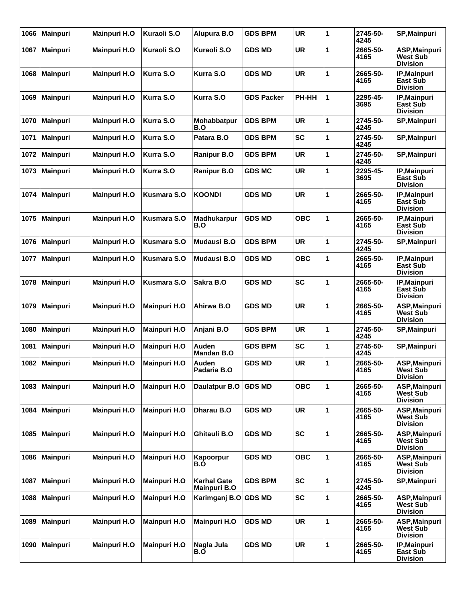| 1066 | <b>Mainpuri</b> | <b>Mainpuri H.O</b> | Kuraoli S.O         | Alupura B.O                               | <b>GDS BPM</b>    | <b>UR</b>  | 1 | 2745-50-<br>4245 | <b>SP,Mainpuri</b>                                  |
|------|-----------------|---------------------|---------------------|-------------------------------------------|-------------------|------------|---|------------------|-----------------------------------------------------|
| 1067 | <b>Mainpuri</b> | <b>Mainpuri H.O</b> | Kuraoli S.O         | Kuraoli S.O                               | <b>GDS MD</b>     | <b>UR</b>  | 1 | 2665-50-<br>4165 | ASP, Mainpuri<br><b>West Sub</b><br><b>Division</b> |
| 1068 | <b>Mainpuri</b> | <b>Mainpuri H.O</b> | Kurra S.O           | Kurra S.O                                 | <b>GDS MD</b>     | <b>UR</b>  | 1 | 2665-50-<br>4165 | IP, Mainpuri<br><b>East Sub</b><br><b>Division</b>  |
| 1069 | <b>Mainpuri</b> | <b>Mainpuri H.O</b> | Kurra S.O           | Kurra S.O                                 | <b>GDS Packer</b> | PH-HH      | 1 | 2295-45-<br>3695 | IP, Mainpuri<br><b>East Sub</b><br><b>Division</b>  |
| 1070 | <b>Mainpuri</b> | <b>Mainpuri H.O</b> | Kurra S.O           | Mohabbatpur<br>B.O                        | GDS BPM           | <b>UR</b>  | 1 | 2745-50-<br>4245 | <b>SP, Mainpuri</b>                                 |
| 1071 | <b>Mainpuri</b> | <b>Mainpuri H.O</b> | Kurra S.O           | Patara B.O                                | <b>GDS BPM</b>    | <b>SC</b>  | 1 | 2745-50-<br>4245 | <b>SP,Mainpuri</b>                                  |
| 1072 | <b>Mainpuri</b> | <b>Mainpuri H.O</b> | Kurra S.O           | <b>Ranipur B.O</b>                        | <b>GDS BPM</b>    | <b>UR</b>  | 1 | 2745-50-<br>4245 | <b>SP, Mainpuri</b>                                 |
| 1073 | <b>Mainpuri</b> | <b>Mainpuri H.O</b> | Kurra S.O           | <b>Ranipur B.O</b>                        | <b>GDS MC</b>     | <b>UR</b>  | 1 | 2295-45-<br>3695 | IP, Mainpuri<br><b>East Sub</b><br><b>Division</b>  |
| 1074 | Mainpuri        | <b>Mainpuri H.O</b> | Kusmara S.O         | <b>KOONDI</b>                             | <b>GDS MD</b>     | <b>UR</b>  | 1 | 2665-50-<br>4165 | IP, Mainpuri<br><b>East Sub</b><br><b>Division</b>  |
| 1075 | <b>Mainpuri</b> | <b>Mainpuri H.O</b> | Kusmara S.O         | <b>Madhukarpur</b><br>B.O                 | <b>GDS MD</b>     | <b>OBC</b> | 1 | 2665-50-<br>4165 | IP, Mainpuri<br>East Sub<br><b>Division</b>         |
| 1076 | <b>Mainpuri</b> | <b>Mainpuri H.O</b> | <b>Kusmara S.O</b>  | <b>Mudausi B.O</b>                        | <b>GDS BPM</b>    | <b>UR</b>  | 1 | 2745-50-<br>4245 | <b>SP, Mainpuri</b>                                 |
| 1077 | <b>Mainpuri</b> | <b>Mainpuri H.O</b> | Kusmara S.O         | Mudausi B.O                               | <b>GDS MD</b>     | <b>OBC</b> | 1 | 2665-50-<br>4165 | IP, Mainpuri<br><b>East Sub</b><br><b>Division</b>  |
| 1078 | <b>Mainpuri</b> | <b>Mainpuri H.O</b> | <b>Kusmara S.O</b>  | Sakra B.O                                 | <b>GDS MD</b>     | <b>SC</b>  | 1 | 2665-50-<br>4165 | IP, Mainpuri<br>East Sub<br><b>Division</b>         |
| 1079 | <b>Mainpuri</b> | <b>Mainpuri H.O</b> | <b>Mainpuri H.O</b> | Ahirwa B.O                                | <b>GDS MD</b>     | <b>UR</b>  | 1 | 2665-50-<br>4165 | ASP, Mainpuri<br><b>West Sub</b><br><b>Division</b> |
| 1080 | <b>Mainpuri</b> | <b>Mainpuri H.O</b> | <b>Mainpuri H.O</b> | Anjani B.O                                | <b>GDS BPM</b>    | <b>UR</b>  | 1 | 2745-50-<br>4245 | <b>SP, Mainpuri</b>                                 |
| 1081 | <b>Mainpuri</b> | <b>Mainpuri H.O</b> | <b>Mainpuri H.O</b> | Auden<br><b>Mandan B.O</b>                | <b>GDS BPM</b>    | <b>SC</b>  | 1 | 2745-50-<br>4245 | <b>SP, Mainpuri</b>                                 |
|      | 1082 Mainpuri   | Mainpuri H.O        | <b>Mainpuri H.O</b> | Auden<br>Padaria B.O                      | <b>GDS MD</b>     | <b>UR</b>  | 1 | 2665-50-<br>4165 | ASP, Mainpuri<br>West Sub<br><b>Division</b>        |
| 1083 | Mainpuri        | <b>Mainpuri H.O</b> | <b>Mainpuri H.O</b> | Daulatpur B.O                             | <b>GDS MD</b>     | <b>OBC</b> | 1 | 2665-50-<br>4165 | ASP, Mainpuri<br><b>West Sub</b><br><b>Division</b> |
| 1084 | Mainpuri        | <b>Mainpuri H.O</b> | <b>Mainpuri H.O</b> | Dharau B.O                                | <b>GDS MD</b>     | <b>UR</b>  | 1 | 2665-50-<br>4165 | ASP, Mainpuri<br>West Sub<br><b>Division</b>        |
| 1085 | <b>Mainpuri</b> | <b>Mainpuri H.O</b> | <b>Mainpuri H.O</b> | Ghitauli B.O                              | <b>GDS MD</b>     | <b>SC</b>  | 1 | 2665-50-<br>4165 | ASP, Mainpuri<br>West Sub<br><b>Division</b>        |
| 1086 | Mainpuri        | <b>Mainpuri H.O</b> | <b>Mainpuri H.O</b> | Kapoorpur<br>B.O                          | <b>GDS MD</b>     | <b>OBC</b> | 1 | 2665-50-<br>4165 | ASP, Mainpuri<br><b>West Sub</b><br><b>Division</b> |
| 1087 | <b>Mainpuri</b> | <b>Mainpuri H.O</b> | <b>Mainpuri H.O</b> | <b>Karhal Gate</b><br><b>Mainpuri B.O</b> | <b>GDS BPM</b>    | <b>SC</b>  | 1 | 2745-50-<br>4245 | SP, Mainpuri                                        |
| 1088 | <b>Mainpuri</b> | <b>Mainpuri H.O</b> | <b>Mainpuri H.O</b> | Karimganj B.O GDS MD                      |                   | <b>SC</b>  | 1 | 2665-50-<br>4165 | ASP, Mainpuri<br><b>West Sub</b><br><b>Division</b> |
| 1089 | <b>Mainpuri</b> | <b>Mainpuri H.O</b> | <b>Mainpuri H.O</b> | <b>Mainpuri H.O</b>                       | <b>GDS MD</b>     | <b>UR</b>  | 1 | 2665-50-<br>4165 | ASP, Mainpuri<br><b>West Sub</b><br><b>Division</b> |
| 1090 | <b>Mainpuri</b> | <b>Mainpuri H.O</b> | <b>Mainpuri H.O</b> | Nagla Jula<br>B.O                         | <b>GDS MD</b>     | <b>UR</b>  | 1 | 2665-50-<br>4165 | IP, Mainpuri<br><b>East Sub</b><br><b>Division</b>  |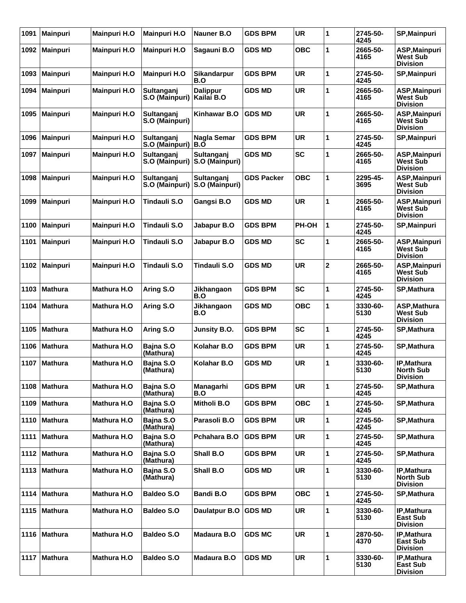| 1091 | <b>Mainpuri</b> | <b>Mainpuri H.O</b> | <b>Mainpuri H.O</b>          | Nauner B.O                    | <b>GDS BPM</b>    | <b>UR</b>  | 1                       | 2745-50-<br>4245 | <b>SP,Mainpuri</b>                                  |
|------|-----------------|---------------------|------------------------------|-------------------------------|-------------------|------------|-------------------------|------------------|-----------------------------------------------------|
| 1092 | <b>Mainpuri</b> | <b>Mainpuri H.O</b> | <b>Mainpuri H.O</b>          | Sagauni B.O                   | <b>GDS MD</b>     | <b>OBC</b> | 1                       | 2665-50-<br>4165 | ASP, Mainpuri<br>West Sub<br><b>Division</b>        |
| 1093 | <b>Mainpuri</b> | <b>Mainpuri H.O</b> | <b>Mainpuri H.O</b>          | Sikandarpur<br>B.O            | <b>GDS BPM</b>    | <b>UR</b>  | 1                       | 2745-50-<br>4245 | SP, Mainpuri                                        |
| 1094 | <b>Mainpuri</b> | <b>Mainpuri H.O</b> | Sultanganj<br>S.O (Mainpuri) | <b>Dalippur</b><br>Kailai B.O | <b>GDS MD</b>     | <b>UR</b>  | 1                       | 2665-50-<br>4165 | ASP, Mainpuri<br>West Sub<br><b>Division</b>        |
| 1095 | <b>Mainpuri</b> | <b>Mainpuri H.O</b> | Sultanganj<br>S.O (Mainpuri) | Kinhawar B.O                  | <b>GDS MD</b>     | <b>UR</b>  | 1                       | 2665-50-<br>4165 | ASP, Mainpuri<br>West Sub<br><b>Division</b>        |
| 1096 | <b>Mainpuri</b> | <b>Mainpuri H.O</b> | Sultanganj<br>S.O (Mainpuri) | Nagla Semar<br>B.O            | <b>GDS BPM</b>    | <b>UR</b>  | 1                       | 2745-50-<br>4245 | SP, Mainpuri                                        |
| 1097 | <b>Mainpuri</b> | <b>Mainpuri H.O</b> | Sultanganj<br>S.O (Mainpuri) | Sultanganj<br>S.O (Mainpuri)  | <b>GDS MD</b>     | <b>SC</b>  | 1                       | 2665-50-<br>4165 | ASP, Mainpuri<br>West Sub<br><b>Division</b>        |
| 1098 | <b>Mainpuri</b> | <b>Mainpuri H.O</b> | Sultanganj<br>S.O (Mainpuri) | Sultanganj<br>S.O (Mainpuri)  | <b>GDS Packer</b> | <b>OBC</b> | 1                       | 2295-45-<br>3695 | ASP, Mainpuri<br>West Sub<br><b>Division</b>        |
| 1099 | <b>Mainpuri</b> | <b>Mainpuri H.O</b> | <b>Tindauli S.O</b>          | Gangsi B.O                    | <b>GDS MD</b>     | <b>UR</b>  | 1                       | 2665-50-<br>4165 | ASP, Mainpuri<br>West Sub<br><b>Division</b>        |
| 1100 | <b>Mainpuri</b> | <b>Mainpuri H.O</b> | Tindauli S.O                 | Jabapur B.O                   | <b>GDS BPM</b>    | PH-OH      | 1                       | 2745-50-<br>4245 | <b>SP, Mainpuri</b>                                 |
| 1101 | <b>Mainpuri</b> | <b>Mainpuri H.O</b> | Tindauli S.O                 | Jabapur B.O                   | <b>GDS MD</b>     | <b>SC</b>  | 1                       | 2665-50-<br>4165 | ASP, Mainpuri<br><b>West Sub</b><br><b>Division</b> |
| 1102 | <b>Mainpuri</b> | <b>Mainpuri H.O</b> | Tindauli S.O                 | <b>Tindauli S.O</b>           | <b>GDS MD</b>     | <b>UR</b>  | $\overline{\mathbf{2}}$ | 2665-50-<br>4165 | ASP, Mainpuri<br>West Sub<br><b>Division</b>        |
| 1103 | <b>Mathura</b>  | <b>Mathura H.O</b>  | Aring S.O                    | Jikhangaon<br>B.O             | <b>GDS BPM</b>    | <b>SC</b>  | 1                       | 2745-50-<br>4245 | SP, Mathura                                         |
| 1104 | <b>Mathura</b>  | <b>Mathura H.O</b>  | Aring S.O                    | Jikhangaon<br>B.O             | <b>GDS MD</b>     | <b>OBC</b> | 1                       | 3330-60-<br>5130 | ASP, Mathura<br>West Sub<br><b>Division</b>         |
| 1105 | <b>Mathura</b>  | <b>Mathura H.O</b>  | Aring S.O                    | <b>Junsity B.O.</b>           | <b>GDS BPM</b>    | <b>SC</b>  | 1                       | 2745-50-<br>4245 | <b>SP, Mathura</b>                                  |
| 1106 | <b>Mathura</b>  | <b>Mathura H.O</b>  | Bajna S.O<br>(Mathura)       | Kolahar B.O                   | <b>GDS BPM</b>    | <b>UR</b>  | 1                       | 2745-50-<br>4245 | SP, Mathura                                         |
| 1107 | Mathura         | Mathura H.O         | Bajna S.O<br>(Mathura)       | Kolahar B.O                   | <b>GDS MD</b>     | <b>UR</b>  | 1                       | 3330-60-<br>5130 | IP, Mathura<br><b>North Sub</b><br><b>Division</b>  |
| 1108 | Mathura         | Mathura H.O         | Bajna S.O<br>(Mathura)       | Managarhi<br>B.O              | <b>GDS BPM</b>    | <b>UR</b>  | $\mathbf{1}$            | 2745-50-<br>4245 | SP, Mathura                                         |
| 1109 | <b>Mathura</b>  | Mathura H.O         | Bajna S.O<br>(Mathura)       | Mitholi B.O                   | <b>GDS BPM</b>    | <b>OBC</b> | 1                       | 2745-50-<br>4245 | SP, Mathura                                         |
| 1110 | <b>Mathura</b>  | Mathura H.O         | Bajna S.O<br>(Mathura)       | Parasoli B.O                  | <b>GDS BPM</b>    | <b>UR</b>  | 1                       | 2745-50-<br>4245 | <b>SP, Mathura</b>                                  |
| 1111 | <b>Mathura</b>  | Mathura H.O         | Bajna S.O<br>(Mathura)       | Pchahara B.O                  | <b>GDS BPM</b>    | <b>UR</b>  | 1                       | 2745-50-<br>4245 | SP, Mathura                                         |
| 1112 | <b>Mathura</b>  | Mathura H.O         | Bajna S.O<br>(Mathura)       | Shall B.O                     | <b>GDS BPM</b>    | <b>UR</b>  | 1                       | 2745-50-<br>4245 | SP, Mathura                                         |
| 1113 | <b>Mathura</b>  | Mathura H.O         | Bajna S.O<br>(Mathura)       | Shall B.O                     | <b>GDS MD</b>     | <b>UR</b>  | 1                       | 3330-60-<br>5130 | IP, Mathura<br><b>North Sub</b><br><b>Division</b>  |
| 1114 | <b>Mathura</b>  | <b>Mathura H.O</b>  | <b>Baldeo S.O</b>            | <b>Bandi B.O</b>              | <b>GDS BPM</b>    | <b>OBC</b> | 1                       | 2745-50-<br>4245 | SP, Mathura                                         |
| 1115 | <b>Mathura</b>  | Mathura H.O         | <b>Baldeo S.O</b>            | Daulatpur B.O                 | <b>GDS MD</b>     | <b>UR</b>  | 1                       | 3330-60-<br>5130 | IP, Mathura<br><b>East Sub</b><br><b>Division</b>   |
| 1116 | <b>Mathura</b>  | Mathura H.O         | <b>Baldeo S.O</b>            | Madaura B.O                   | <b>GDS MC</b>     | <b>UR</b>  | 1                       | 2870-50-<br>4370 | IP, Mathura<br><b>East Sub</b><br><b>Division</b>   |
| 1117 | <b>Mathura</b>  | Mathura H.O         | <b>Baldeo S.O</b>            | Madaura B.O                   | <b>GDS MD</b>     | <b>UR</b>  | 1                       | 3330-60-<br>5130 | IP, Mathura<br><b>East Sub</b><br><b>Division</b>   |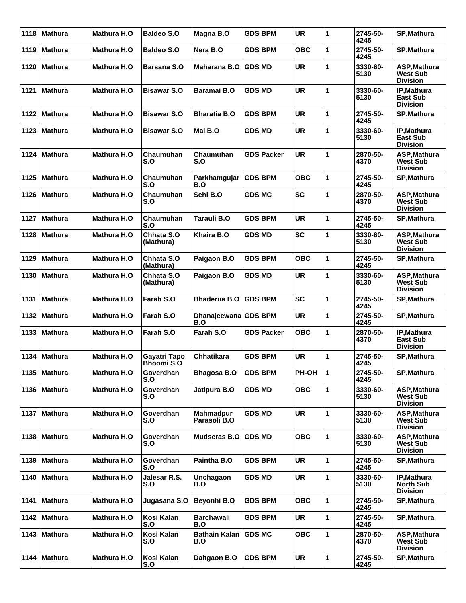| 1118 | Mathura        | <b>Mathura H.O</b> | <b>Baldeo S.O</b>                 | Magna B.O                   | <b>GDS BPM</b>    | <b>UR</b>  | $\mathbf{1}$ | 2745-50-<br>4245 | SP, Mathura                                        |
|------|----------------|--------------------|-----------------------------------|-----------------------------|-------------------|------------|--------------|------------------|----------------------------------------------------|
| 1119 | ∣Mathura       | <b>Mathura H.O</b> | <b>Baldeo S.O</b>                 | Nera B.O                    | <b>GDS BPM</b>    | <b>OBC</b> | 1            | 2745-50-<br>4245 | <b>SP, Mathura</b>                                 |
| 1120 | ∣Mathura       | <b>Mathura H.O</b> | Barsana S.O                       | Maharana B.O                | <b>GDS MD</b>     | <b>UR</b>  | 1            | 3330-60-<br>5130 | ASP, Mathura<br>West Sub<br><b>Division</b>        |
| 1121 | ∣Mathura       | <b>Mathura H.O</b> | <b>Bisawar S.O</b>                | Baramai B.O                 | <b>GDS MD</b>     | <b>UR</b>  | 1            | 3330-60-<br>5130 | IP, Mathura<br>East Sub<br><b>Division</b>         |
| 1122 | ∣Mathura       | <b>Mathura H.O</b> | <b>Bisawar S.O</b>                | <b>Bharatia B.O</b>         | <b>GDS BPM</b>    | <b>UR</b>  | 1            | 2745-50-<br>4245 | SP, Mathura                                        |
| 1123 | ∣Mathura       | <b>Mathura H.O</b> | <b>Bisawar S.O</b>                | Mai B.O                     | <b>GDS MD</b>     | <b>UR</b>  | 1            | 3330-60-<br>5130 | IP, Mathura<br><b>East Sub</b><br><b>Division</b>  |
| 1124 | ∣Mathura       | <b>Mathura H.O</b> | Chaumuhan<br>S.O                  | Chaumuhan<br>S.O            | <b>GDS Packer</b> | <b>UR</b>  | 1            | 2870-50-<br>4370 | ASP, Mathura<br>West Sub<br><b>Division</b>        |
| 1125 | Mathura        | <b>Mathura H.O</b> | Chaumuhan<br>S.O                  | Parkhamgujar<br>B.O         | <b>GDS BPM</b>    | <b>OBC</b> | 1            | 2745-50-<br>4245 | SP, Mathura                                        |
| 1126 | Mathura        | <b>Mathura H.O</b> | Chaumuhan<br>S.O                  | Sehi B.O                    | <b>GDS MC</b>     | <b>SC</b>  | 1            | 2870-50-<br>4370 | ASP, Mathura<br><b>West Sub</b><br><b>Division</b> |
| 1127 | ∣Mathura       | <b>Mathura H.O</b> | Chaumuhan<br>S.O                  | Tarauli B.O                 | <b>GDS BPM</b>    | <b>UR</b>  | 1            | 2745-50-<br>4245 | <b>SP, Mathura</b>                                 |
| 1128 | Mathura        | <b>Mathura H.O</b> | Chhata S.O<br>(Mathura)           | Khaira B.O                  | <b>GDS MD</b>     | <b>SC</b>  | 1            | 3330-60-<br>5130 | ASP, Mathura<br>West Sub<br><b>Division</b>        |
| 1129 | ∣Mathura       | <b>Mathura H.O</b> | Chhata S.O<br>(Mathura)           | Paigaon B.O                 | <b>GDS BPM</b>    | <b>OBC</b> | 1            | 2745-50-<br>4245 | SP, Mathura                                        |
| 1130 | l Mathura      | <b>Mathura H.O</b> | Chhata S.O<br>(Mathura)           | Paigaon B.O                 | <b>GDS MD</b>     | <b>UR</b>  | 1            | 3330-60-<br>5130 | ASP, Mathura<br>West Sub<br><b>Division</b>        |
| 1131 | <b>Mathura</b> | <b>Mathura H.O</b> | Farah S.O                         | <b>Bhaderua B.O</b>         | <b>GDS BPM</b>    | <b>SC</b>  | 1            | 2745-50-<br>4245 | SP, Mathura                                        |
| 1132 | Mathura        | <b>Mathura H.O</b> | Farah S.O                         | Dhanajeewana GDS BPM<br>B.O |                   | <b>UR</b>  | 1            | 2745-50-<br>4245 | SP, Mathura                                        |
| 1133 | l Mathura      | <b>Mathura H.O</b> | Farah S.O                         | Farah S.O                   | <b>GDS Packer</b> | <b>OBC</b> | 1            | 2870-50-<br>4370 | IP, Mathura<br>East Sub<br><b>Division</b>         |
| 1134 | <b>Mathura</b> | Mathura H.O        | Gayatri Tapo<br><b>Bhoomi S.O</b> | <b>Chhatikara</b>           | <b>GDS BPM</b>    | <b>UR</b>  | 1            | 2745-50-<br>4245 | SP, Mathura                                        |
|      | 1135 Mathura   | <b>Mathura H.O</b> | Goverdhan<br>S.O                  | <b>Bhagosa B.O</b>          | <b>GDS BPM</b>    | PH-OH      | 11           | 2745-50-<br>4245 | SP, Mathura                                        |
| 1136 | <b>Mathura</b> | <b>Mathura H.O</b> | Goverdhan<br>S.O                  | Jatipura B.O                | <b>GDS MD</b>     | <b>OBC</b> | 1            | 3330-60-<br>5130 | ASP, Mathura<br>West Sub<br><b>Division</b>        |
| 1137 | Mathura        | Mathura H.O        | Goverdhan<br>S.O                  | Mahmadpur<br>Parasoli B.O   | <b>GDS MD</b>     | <b>UR</b>  | 1            | 3330-60-<br>5130 | ASP, Mathura<br>West Sub<br><b>Division</b>        |
| 1138 | Mathura        | <b>Mathura H.O</b> | Goverdhan<br>S.O                  | <b>Mudseras B.O</b>         | <b>GDS MD</b>     | <b>OBC</b> | 1            | 3330-60-<br>5130 | ASP, Mathura<br>West Sub<br><b>Division</b>        |
| 1139 | Mathura        | Mathura H.O        | Goverdhan<br>S.O                  | Paintha B.O                 | <b>GDS BPM</b>    | <b>UR</b>  | $\mathbf{1}$ | 2745-50-<br>4245 | SP, Mathura                                        |
| 1140 | Mathura        | <b>Mathura H.O</b> | Jalesar R.S.<br>S.O               | Unchagaon<br>B.O            | <b>GDS MD</b>     | <b>UR</b>  | 1            | 3330-60-<br>5130 | IP, Mathura<br><b>North Sub</b><br><b>Division</b> |
| 1141 | Mathura        | <b>Mathura H.O</b> | Jugasana S.O                      | Beyonhi B.O                 | <b>GDS BPM</b>    | <b>OBC</b> | $\mathbf{1}$ | 2745-50-<br>4245 | SP, Mathura                                        |
| 1142 | <b>Mathura</b> | <b>Mathura H.O</b> | Kosi Kalan<br>S.O                 | <b>Barchawali</b><br>B.O    | <b>GDS BPM</b>    | <b>UR</b>  | 1            | 2745-50-<br>4245 | SP, Mathura                                        |
| 1143 | Mathura        | <b>Mathura H.O</b> | Kosi Kalan<br>S.O                 | <b>Bathain Kalan</b><br>B.O | <b>GDS MC</b>     | <b>OBC</b> | 1            | 2870-50-<br>4370 | ASP, Mathura<br>West Sub<br><b>Division</b>        |
| 1144 | Mathura        | <b>Mathura H.O</b> | Kosi Kalan<br>S.O                 | Dahgaon B.O                 | <b>GDS BPM</b>    | <b>UR</b>  | $\mathbf{1}$ | 2745-50-<br>4245 | SP, Mathura                                        |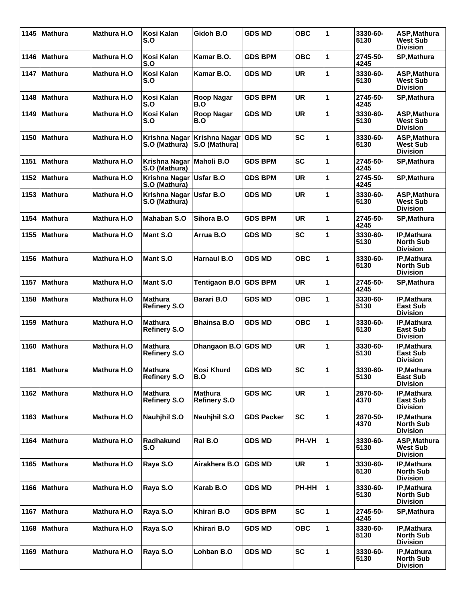| 1145 | <b>Mathura</b> | Mathura H.O        | Kosi Kalan<br>S.O                     | Gidoh B.O                             | <b>GDS MD</b>     | <b>OBC</b> | 1            | 3330-60-<br>5130 | <b>ASP.Mathura</b><br>West Sub<br><b>Division</b>  |
|------|----------------|--------------------|---------------------------------------|---------------------------------------|-------------------|------------|--------------|------------------|----------------------------------------------------|
| 1146 | <b>Mathura</b> | <b>Mathura H.O</b> | Kosi Kalan<br>S.O                     | Kamar B.O.                            | <b>GDS BPM</b>    | <b>OBC</b> | 1            | 2745-50-<br>4245 | SP, Mathura                                        |
| 1147 | <b>Mathura</b> | <b>Mathura H.O</b> | Kosi Kalan<br>S.O                     | Kamar B.O.                            | <b>GDS MD</b>     | <b>UR</b>  | 1            | 3330-60-<br>5130 | ASP, Mathura<br>West Sub<br><b>Division</b>        |
| 1148 | <b>Mathura</b> | <b>Mathura H.O</b> | Kosi Kalan<br>S.O                     | <b>Roop Nagar</b><br>B.O              | <b>GDS BPM</b>    | <b>UR</b>  | 1            | 2745-50-<br>4245 | <b>SP, Mathura</b>                                 |
| 1149 | <b>Mathura</b> | <b>Mathura H.O</b> | Kosi Kalan<br>S.O                     | <b>Roop Nagar</b><br>B.O              | <b>GDS MD</b>     | <b>UR</b>  | 1            | 3330-60-<br>5130 | ASP, Mathura<br><b>West Sub</b><br><b>Division</b> |
| 1150 | <b>Mathura</b> | <b>Mathura H.O</b> | <b>Krishna Nagar</b><br>S.O (Mathura) | Krishna Nagar<br>S.O (Mathura)        | <b>GDS MD</b>     | <b>SC</b>  | 1            | 3330-60-<br>5130 | ASP, Mathura<br>West Sub<br><b>Division</b>        |
| 1151 | <b>Mathura</b> | <b>Mathura H.O</b> | Krishna Nagar<br>S.O (Mathura)        | Maholi B.O                            | <b>GDS BPM</b>    | <b>SC</b>  | 1            | 2745-50-<br>4245 | SP, Mathura                                        |
| 1152 | <b>Mathura</b> | <b>Mathura H.O</b> | Krishna Nagar<br>S.O (Mathura)        | Usfar B.O                             | <b>GDS BPM</b>    | <b>UR</b>  | 1            | 2745-50-<br>4245 | SP, Mathura                                        |
| 1153 | <b>Mathura</b> | Mathura H.O        | Krishna Nagar<br>S.O (Mathura)        | Usfar B.O                             | <b>GDS MD</b>     | <b>UR</b>  | 1            | 3330-60-<br>5130 | ASP, Mathura<br>West Sub<br><b>Division</b>        |
| 1154 | <b>Mathura</b> | Mathura H.O        | <b>Mahaban S.O</b>                    | Sihora B.O                            | <b>GDS BPM</b>    | <b>UR</b>  | 1            | 2745-50-<br>4245 | <b>SP, Mathura</b>                                 |
| 1155 | <b>Mathura</b> | <b>Mathura H.O</b> | <b>Mant S.O</b>                       | Arrua B.O                             | <b>GDS MD</b>     | <b>SC</b>  | 1            | 3330-60-<br>5130 | IP, Mathura<br><b>North Sub</b><br><b>Division</b> |
| 1156 | <b>Mathura</b> | <b>Mathura H.O</b> | <b>Mant S.O</b>                       | <b>Harnaul B.O</b>                    | <b>GDS MD</b>     | <b>OBC</b> | 1            | 3330-60-<br>5130 | IP, Mathura<br><b>North Sub</b><br><b>Division</b> |
| 1157 | <b>Mathura</b> | <b>Mathura H.O</b> | <b>Mant S.O</b>                       | Tentigaon B.O GDS BPM                 |                   | <b>UR</b>  | 1            | 2745-50-<br>4245 | <b>SP, Mathura</b>                                 |
| 1158 | <b>Mathura</b> | <b>Mathura H.O</b> | <b>Mathura</b><br><b>Refinery S.O</b> | <b>Barari B.O</b>                     | <b>GDS MD</b>     | <b>OBC</b> | 1            | 3330-60-<br>5130 | IP, Mathura<br><b>East Sub</b><br><b>Division</b>  |
| 1159 | <b>Mathura</b> | <b>Mathura H.O</b> | <b>Mathura</b><br><b>Refinery S.O</b> | <b>Bhainsa B.O</b>                    | <b>GDS MD</b>     | <b>OBC</b> | 1            | 3330-60-<br>5130 | IP, Mathura<br><b>East Sub</b><br><b>Division</b>  |
| 1160 | <b>Mathura</b> | <b>Mathura H.O</b> | <b>Mathura</b><br><b>Refinery S.O</b> | Dhangaon B.O GDS MD                   |                   | <b>UR</b>  | 1            | 3330-60-<br>5130 | IP, Mathura<br>East Sub<br><b>Division</b>         |
|      | 1161 Mathura   | <b>Mathura H.O</b> | Mathura<br><b>Refinery S.O</b>        | Kosi Khurd<br>B.O                     | <b>GDS MD</b>     | <b>SC</b>  | 1            | 3330-60-<br>5130 | IP, Mathura<br><b>East Sub</b><br><b>Division</b>  |
|      | 1162 Mathura   | Mathura H.O        | <b>Mathura</b><br><b>Refinery S.O</b> | <b>Mathura</b><br><b>Refinery S.O</b> | <b>GDS MC</b>     | <b>UR</b>  | 1            | 2870-50-<br>4370 | IP, Mathura<br>East Sub<br><b>Division</b>         |
| 1163 | <b>Mathura</b> | Mathura H.O        | Nauhjhil S.O                          | Nauhjhil S.O                          | <b>GDS Packer</b> | <b>SC</b>  | 1            | 2870-50-<br>4370 | IP, Mathura<br><b>North Sub</b><br><b>Division</b> |
| 1164 | Mathura        | Mathura H.O        | Radhakund<br>S.O                      | Ral B.O                               | <b>GDS MD</b>     | PH-VH      | $\mathbf{1}$ | 3330-60-<br>5130 | ASP, Mathura<br>West Sub<br><b>Division</b>        |
| 1165 | Mathura        | Mathura H.O        | Raya S.O                              | Airakhera B.O                         | <b>GDS MD</b>     | <b>UR</b>  | 1            | 3330-60-<br>5130 | IP, Mathura<br><b>North Sub</b><br><b>Division</b> |
| 1166 | <b>Mathura</b> | Mathura H.O        | Raya S.O                              | Karab B.O                             | <b>GDS MD</b>     | PH-HH      | $\mathbf{1}$ | 3330-60-<br>5130 | IP, Mathura<br><b>North Sub</b><br><b>Division</b> |
| 1167 | <b>Mathura</b> | Mathura H.O        | Raya S.O                              | Khirari B.O                           | <b>GDS BPM</b>    | <b>SC</b>  | $\mathbf{1}$ | 2745-50-<br>4245 | SP, Mathura                                        |
| 1168 | Mathura        | Mathura H.O        | Raya S.O                              | Khirari B.O                           | <b>GDS MD</b>     | <b>OBC</b> | 1            | 3330-60-<br>5130 | IP, Mathura<br><b>North Sub</b><br><b>Division</b> |
| 1169 | <b>Mathura</b> | Mathura H.O        | Raya S.O                              | Lohban B.O                            | <b>GDS MD</b>     | <b>SC</b>  | $\mathbf{1}$ | 3330-60-<br>5130 | IP, Mathura<br><b>North Sub</b><br><b>Division</b> |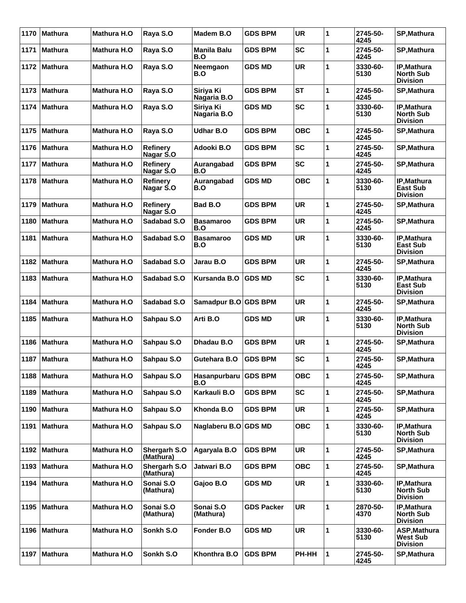| 1170 | <b>Mathura</b> | <b>Mathura H.O</b> | Raya S.O                     | Madem B.O                 | <b>GDS BPM</b>    | <b>UR</b>  | $\mathbf{1}$ | 2745-50-<br>4245 | <b>SP, Mathura</b>                                 |
|------|----------------|--------------------|------------------------------|---------------------------|-------------------|------------|--------------|------------------|----------------------------------------------------|
| 1171 | <b>Mathura</b> | <b>Mathura H.O</b> | Raya S.O                     | <b>Manila Balu</b><br>B.O | <b>GDS BPM</b>    | <b>SC</b>  | 1            | 2745-50-<br>4245 | SP, Mathura                                        |
| 1172 | <b>Mathura</b> | <b>Mathura H.O</b> | Raya S.O                     | Neemgaon<br>B.O           | <b>GDS MD</b>     | <b>UR</b>  | 1            | 3330-60-<br>5130 | IP, Mathura<br><b>North Sub</b><br><b>Division</b> |
| 1173 | <b>Mathura</b> | <b>Mathura H.O</b> | Raya S.O                     | Siriya Ki<br>Nagaria B.O  | <b>GDS BPM</b>    | <b>ST</b>  | 1            | 2745-50-<br>4245 | SP, Mathura                                        |
| 1174 | <b>Mathura</b> | <b>Mathura H.O</b> | Raya S.O                     | Siriya Ki<br>Nagaria B.O  | <b>GDS MD</b>     | <b>SC</b>  | 1            | 3330-60-<br>5130 | IP, Mathura<br><b>North Sub</b><br><b>Division</b> |
| 1175 | <b>Mathura</b> | <b>Mathura H.O</b> | Raya S.O                     | <b>Udhar B.O</b>          | <b>GDS BPM</b>    | <b>OBC</b> | 1            | 2745-50-<br>4245 | SP, Mathura                                        |
| 1176 | <b>Mathura</b> | Mathura H.O        | <b>Refinery</b><br>Nagar S.O | Adooki B.O                | <b>GDS BPM</b>    | <b>SC</b>  | 1            | 2745-50-<br>4245 | <b>SP, Mathura</b>                                 |
| 1177 | <b>Mathura</b> | <b>Mathura H.O</b> | <b>Refinery</b><br>Nagar S.O | Aurangabad<br>B.O         | <b>GDS BPM</b>    | <b>SC</b>  | 1            | 2745-50-<br>4245 | SP, Mathura                                        |
| 1178 | <b>Mathura</b> | <b>Mathura H.O</b> | <b>Refinery</b><br>Nagar S.O | Aurangabad<br>B.O         | <b>GDS MD</b>     | <b>OBC</b> | 1            | 3330-60-<br>5130 | IP, Mathura<br><b>East Sub</b><br><b>Division</b>  |
| 1179 | Mathura        | <b>Mathura H.O</b> | <b>Refinery</b><br>Nagar S.O | Bad B.O                   | <b>GDS BPM</b>    | <b>UR</b>  | 1            | 2745-50-<br>4245 | <b>SP, Mathura</b>                                 |
| 1180 | <b>Mathura</b> | <b>Mathura H.O</b> | Sadabad S.O                  | <b>Basamaroo</b><br>B.O   | <b>GDS BPM</b>    | <b>UR</b>  | 1            | 2745-50-<br>4245 | <b>SP, Mathura</b>                                 |
| 1181 | <b>Mathura</b> | <b>Mathura H.O</b> | Sadabad S.O                  | <b>Basamaroo</b><br>B.O   | <b>GDS MD</b>     | <b>UR</b>  | 1            | 3330-60-<br>5130 | IP, Mathura<br><b>East Sub</b><br><b>Division</b>  |
| 1182 | <b>Mathura</b> | <b>Mathura H.O</b> | Sadabad S.O                  | Jarau B.O                 | <b>GDS BPM</b>    | <b>UR</b>  | 1            | 2745-50-<br>4245 | SP, Mathura                                        |
| 1183 | <b>Mathura</b> | <b>Mathura H.O</b> | Sadabad S.O                  | Kursanda B.O              | <b>GDS MD</b>     | <b>SC</b>  | 1            | 3330-60-<br>5130 | IP, Mathura<br><b>East Sub</b><br><b>Division</b>  |
| 1184 | <b>Mathura</b> | <b>Mathura H.O</b> | Sadabad S.O                  | Samadpur B.O GDS BPM      |                   | <b>UR</b>  | 1            | 2745-50-<br>4245 | SP, Mathura                                        |
| 1185 | <b>Mathura</b> | <b>Mathura H.O</b> | Sahpau S.O                   | Arti B.O                  | <b>GDS MD</b>     | <b>UR</b>  | 1            | 3330-60-<br>5130 | IP, Mathura<br><b>North Sub</b><br><b>Division</b> |
| 1186 | <b>Mathura</b> | <b>Mathura H.O</b> | Sahpau S.O                   | Dhadau B.O                | <b>GDS BPM</b>    | <b>UR</b>  | 1            | 2745-50-<br>4245 | <b>SP, Mathura</b>                                 |
| 1187 | <b>Mathura</b> | Mathura H.O        | Sahpau S.O                   | Gutehara B.O              | <b>GDS BPM</b>    | <b>SC</b>  | 1            | 2745-50-<br>4245 | <b>SP, Mathura</b>                                 |
| 1188 | <b>Mathura</b> | <b>Mathura H.O</b> | Sahpau S.O                   | Hasanpurbaru<br>B.O       | <b>GDS BPM</b>    | <b>OBC</b> | 1            | 2745-50-<br>4245 | SP, Mathura                                        |
| 1189 | <b>Mathura</b> | Mathura H.O        | Sahpau S.O                   | Karkauli B.O              | <b>GDS BPM</b>    | <b>SC</b>  | 1            | 2745-50-<br>4245 | SP, Mathura                                        |
| 1190 | <b>Mathura</b> | Mathura H.O        | Sahpau S.O                   | Khonda B.O                | <b>GDS BPM</b>    | <b>UR</b>  | 1            | 2745-50-<br>4245 | SP, Mathura                                        |
| 1191 | <b>Mathura</b> | <b>Mathura H.O</b> | Sahpau S.O                   | Naglaberu B.O GDS MD      |                   | <b>OBC</b> | 1            | 3330-60-<br>5130 | IP, Mathura<br><b>North Sub</b><br><b>Division</b> |
| 1192 | Mathura        | Mathura H.O        | Shergarh S.O<br>(Mathura)    | Agaryala B.O              | <b>GDS BPM</b>    | <b>UR</b>  | 1            | 2745-50-<br>4245 | SP, Mathura                                        |
| 1193 | <b>Mathura</b> | Mathura H.O        | Shergarh S.O<br>(Mathura)    | Jatwari B.O               | <b>GDS BPM</b>    | <b>OBC</b> | 1            | 2745-50-<br>4245 | SP, Mathura                                        |
| 1194 | <b>Mathura</b> | Mathura H.O        | Sonai S.O<br>(Mathura)       | Gajoo B.O                 | <b>GDS MD</b>     | <b>UR</b>  | 1            | 3330-60-<br>5130 | IP, Mathura<br>North Sub<br><b>Division</b>        |
| 1195 | <b>Mathura</b> | Mathura H.O        | Sonai S.O<br>(Mathura)       | Sonai S.O<br>(Mathura)    | <b>GDS Packer</b> | <b>UR</b>  | 1            | 2870-50-<br>4370 | IP, Mathura<br><b>North Sub</b><br><b>Division</b> |
| 1196 | <b>Mathura</b> | Mathura H.O        | Sonkh S.O                    | Fonder B.O                | <b>GDS MD</b>     | <b>UR</b>  | 1            | 3330-60-<br>5130 | ASP, Mathura<br><b>West Sub</b><br><b>Division</b> |
| 1197 | <b>Mathura</b> | <b>Mathura H.O</b> | Sonkh S.O                    | Khonthra B.O              | <b>GDS BPM</b>    | PH-HH      | 1            | 2745-50-<br>4245 | SP, Mathura                                        |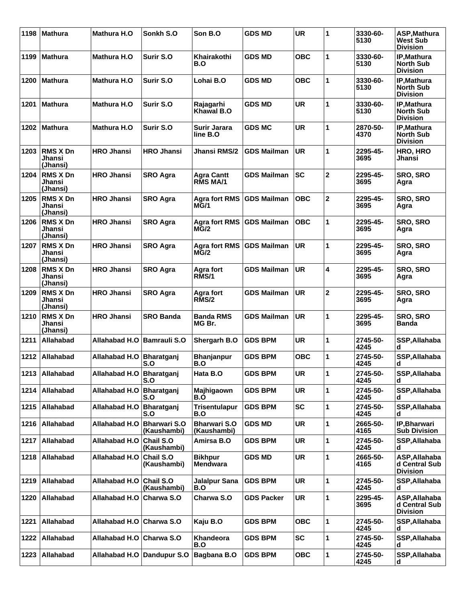| 1198 | <b>Mathura</b>                        | Mathura H.O              | Sonkh S.O                          | Son B.O                              | <b>GDS MD</b>      | <b>UR</b>  | 1                       | 3330-60-<br>5130 | ASP, Mathura<br>West Sub<br><b>Division</b>        |
|------|---------------------------------------|--------------------------|------------------------------------|--------------------------------------|--------------------|------------|-------------------------|------------------|----------------------------------------------------|
| 1199 | ∣Mathura                              | <b>Mathura H.O</b>       | Surir S.O                          | Khairakothi<br>B.O                   | <b>GDS MD</b>      | OBC        | 1                       | 3330-60-<br>5130 | IP, Mathura<br><b>North Sub</b><br><b>Division</b> |
| 1200 | <b>Mathura</b>                        | <b>Mathura H.O</b>       | Surir S.O                          | Lohai B.O                            | <b>GDS MD</b>      | <b>OBC</b> | 1                       | 3330-60-<br>5130 | IP, Mathura<br><b>North Sub</b><br><b>Division</b> |
| 1201 | Mathura                               | <b>Mathura H.O</b>       | Surir S.O                          | Rajagarhi<br>Khawal B.O              | <b>GDS MD</b>      | <b>UR</b>  | 1                       | 3330-60-<br>5130 | IP, Mathura<br><b>North Sub</b><br><b>Division</b> |
|      | 1202 Mathura                          | <b>Mathura H.O</b>       | Surir S.O                          | <b>Surir Jarara</b><br>line B.O      | <b>GDS MC</b>      | <b>UR</b>  | 1                       | 2870-50-<br>4370 | IP, Mathura<br><b>North Sub</b><br><b>Division</b> |
| 1203 | <b>RMS X Dn</b><br>Jhansi<br>(Jhansi) | <b>HRO Jhansi</b>        | <b>HRO Jhansi</b>                  | Jhansi RMS/2                         | <b>GDS Mailman</b> | <b>UR</b>  | 1                       | 2295-45-<br>3695 | HRO, HRO<br>Jhansi                                 |
| 1204 | <b>RMS X Dn</b><br>Jhansi<br>(Jhansi) | <b>HRO Jhansi</b>        | <b>SRO Agra</b>                    | <b>Agra Cantt</b><br>RMS MA/1        | <b>GDS Mailman</b> | <b>SC</b>  | $\overline{\mathbf{2}}$ | 2295-45-<br>3695 | <b>SRO, SRO</b><br>Agra                            |
| 1205 | <b>RMS X Dn</b><br>Jhansi<br>(Jhansi) | HRO Jhansi               | <b>SRO Agra</b>                    | <b>Agra fort RMS</b><br>$M\bar{G}/1$ | <b>GDS Mailman</b> | <b>OBC</b> | $\overline{\mathbf{2}}$ | 2295-45-<br>3695 | <b>SRO, SRO</b><br>Agra                            |
| 1206 | <b>RMS X Dn</b><br>Jhansi<br>(Jhansi) | <b>HRO Jhansi</b>        | <b>SRO Agra</b>                    | <b>Agra fort RMS</b><br>$M\bar{G}/2$ | <b>GDS Mailman</b> | <b>OBC</b> | 1                       | 2295-45-<br>3695 | <b>SRO, SRO</b><br>Agra                            |
| 1207 | <b>RMS X Dn</b><br>Jhansi<br>(Jhansi) | <b>HRO Jhansi</b>        | <b>SRO Agra</b>                    | <b>Agra fort RMS</b><br><b>MG/2</b>  | <b>GDS Mailman</b> | <b>UR</b>  | 1                       | 2295-45-<br>3695 | <b>SRO, SRO</b><br>Agra                            |
| 1208 | <b>RMS X Dn</b><br>Jhansi<br>(Jhansi) | <b>HRO Jhansi</b>        | <b>SRO Agra</b>                    | Agra fort<br>RM <sub>S</sub> /1      | <b>GDS Mailman</b> | <b>UR</b>  | 4                       | 2295-45-<br>3695 | <b>SRO, SRO</b><br>Agra                            |
| 1209 | <b>RMS X Dn</b><br>Jhansi<br>(Jhansi) | <b>HRO Jhansi</b>        | <b>SRO Agra</b>                    | Agra fort<br>RMS/2                   | <b>GDS Mailman</b> | <b>UR</b>  | $\overline{\mathbf{2}}$ | 2295-45-<br>3695 | <b>SRO, SRO</b><br>Agra                            |
| 1210 | <b>RMS X Dn</b><br>Jhansi<br>(Jhansi) | <b>HRO Jhansi</b>        | <b>SRO Banda</b>                   | <b>Banda RMS</b><br>MG Br.           | <b>GDS Mailman</b> | <b>UR</b>  | 1                       | 2295-45-<br>3695 | <b>SRO, SRO</b><br>Banda                           |
| 1211 | Allahabad                             | Allahabad H.O            | <b>Bamrauli S.O</b>                | Shergarh B.O                         | <b>GDS BPM</b>     | <b>UR</b>  | 1                       | 2745-50-<br>4245 | SSP, Allahaba<br>d                                 |
| 1212 | Allahabad                             | Allahabad H.O            | Bharatganj<br>S.O                  | <b>Bhanjanpur</b><br>B.O             | <b>GDS BPM</b>     | <b>OBC</b> | 1                       | 2745-50-<br>4245 | SSP, Allahaba<br>d                                 |
|      | 1213 Allahabad                        | Allahabad H.O Bharatganj | S.O                                | Hata B.O                             | <b>GDS BPM</b>     | <b>UR</b>  | 1                       | 2745-50-<br>4245 | SSP, Allahaba<br>d                                 |
| 1214 | Allahabad                             | Allahabad H.O            | Bharatganj<br>S.O                  | Majhigaown<br>B.O                    | <b>GDS BPM</b>     | UR         | 1                       | 2745-50-<br>4245 | SSP, Allahaba<br>d                                 |
| 1215 | Allahabad                             | Allahabad H.O            | Bharatganj<br>S.O                  | <b>Trisentulapur</b><br>B.O          | <b>GDS BPM</b>     | <b>SC</b>  | 1                       | 2745-50-<br>4245 | SSP, Allahaba<br>d                                 |
|      | 1216 Allahabad                        | Allahabad H.O            | <b>Bharwari S.O</b><br>(Kaushambi) | <b>Bharwari S.O</b><br>(Kaushambi)   | <b>GDS MD</b>      | <b>UR</b>  | 1                       | 2665-50-<br>4165 | IP, Bharwari<br><b>Sub Division</b>                |
| 1217 | Allahabad                             | Allahabad H.O            | Chail S.O<br>(Kaushambi)           | Amirsa B.O                           | <b>GDS BPM</b>     | UR         | 1                       | 2745-50-<br>4245 | SSP, Allahaba<br>d                                 |
| 1218 | Allahabad                             | Allahabad H.O            | Chail S.O<br>(Kaushambi)           | <b>Bikhpur</b><br><b>Mendwara</b>    | <b>GDS MD</b>      | <b>UR</b>  | 1                       | 2665-50-<br>4165 | ASP, Allahaba<br>d Central Sub<br><b>Division</b>  |
| 1219 | Allahabad                             | Allahabad H.O            | Chail S.O<br>(Kaushambi)           | <b>Jalalpur Sana</b><br>B.O          | <b>GDS BPM</b>     | UR         | 1                       | 2745-50-<br>4245 | SSP, Allahaba<br>d                                 |
| 1220 | Allahabad                             | Allahabad H.O            | Charwa S.O                         | Charwa S.O                           | <b>GDS Packer</b>  | UR         | 1                       | 2295-45-<br>3695 | ASP, Allahaba<br>d Central Sub<br><b>Division</b>  |
| 1221 | Allahabad                             | Allahabad H.O            | Charwa S.O                         | Kaju B.O                             | <b>GDS BPM</b>     | <b>OBC</b> | 1                       | 2745-50-<br>4245 | SSP, Allahaba<br>d                                 |
| 1222 | Allahabad                             | Allahabad H.O            | Charwa S.O                         | Khandeora<br>B.O                     | <b>GDS BPM</b>     | <b>SC</b>  | 1                       | 2745-50-<br>4245 | SSP, Allahaba<br>d                                 |
| 1223 | Allahabad                             | Allahabad H.O            | Dandupur S.O                       | Bagbana B.O                          | <b>GDS BPM</b>     | <b>OBC</b> | 1                       | 2745-50-<br>4245 | SSP, Allahaba<br>d                                 |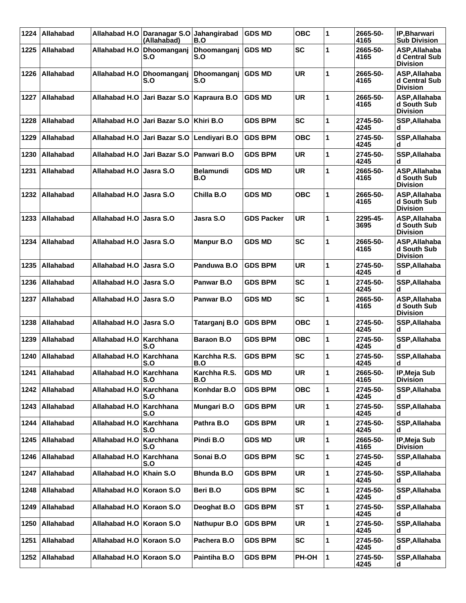| 1224 | Allahabad        | Allahabad H.O             | Daranagar S.O Jahangirabad<br>(Allahabad) | B.O                 | <b>GDS MD</b>     | <b>OBC</b> | 1            | 2665-50-<br>4165 | <b>IP, Bharwari</b><br><b>Sub Division</b>        |
|------|------------------|---------------------------|-------------------------------------------|---------------------|-------------------|------------|--------------|------------------|---------------------------------------------------|
| 1225 | Allahabad        | Allahabad H.O             | Dhoomanganj<br>S.O                        | Dhoomanganj<br>S.O  | <b>GDS MD</b>     | <b>SC</b>  | 1            | 2665-50-<br>4165 | ASP, Allahaba<br>d Central Sub<br><b>Division</b> |
| 1226 | Allahabad        | Allahabad H.O             | Dhoomanganj<br>S.O                        | Dhoomanganj<br>S.O  | <b>GDS MD</b>     | <b>UR</b>  | 1            | 2665-50-<br>4165 | ASP, Allahaba<br>d Central Sub<br><b>Division</b> |
| 1227 | Allahabad        | Allahabad H.O             | Jari Bazar S.O                            | Kapraura B.O        | <b>GDS MD</b>     | <b>UR</b>  | 1            | 2665-50-<br>4165 | ASP, Allahaba<br>d South Sub<br><b>Division</b>   |
| 1228 | <b>Allahabad</b> | Allahabad H.O             | Jari Bazar S.O                            | Khiri B.O           | <b>GDS BPM</b>    | <b>SC</b>  | 1            | 2745-50-<br>4245 | SSP, Allahaba<br>d                                |
| 1229 | Allahabad        | Allahabad H.O             | Jari Bazar S.O Lendiyari B.O              |                     | <b>GDS BPM</b>    | <b>OBC</b> | 1            | 2745-50-<br>4245 | SSP, Allahaba<br>d                                |
| 1230 | Allahabad        | Allahabad H.O             | Jari Bazar S.O   Panwari B.O              |                     | <b>GDS BPM</b>    | <b>UR</b>  | 1            | 2745-50-<br>4245 | SSP, Allahaba<br>d                                |
| 1231 | Allahabad        | Allahabad H.O             | <b>Jasra S.O</b>                          | Belamundi<br>B.O    | <b>GDS MD</b>     | <b>UR</b>  | 1            | 2665-50-<br>4165 | ASP, Allahaba<br>d South Sub<br><b>Division</b>   |
| 1232 | Allahabad        | Allahabad H.O             | Jasra S.O                                 | Chilla B.O          | <b>GDS MD</b>     | <b>OBC</b> | 1            | 2665-50-<br>4165 | ASP, Allahaba<br>d South Sub<br><b>Division</b>   |
| 1233 | Allahabad        | Allahabad H.O             | ∣Jasra S.O                                | Jasra S.O           | <b>GDS Packer</b> | UR         | 1            | 2295-45-<br>3695 | ASP, Allahaba<br>d South Sub<br><b>Division</b>   |
| 1234 | Allahabad        | Allahabad H.O             | Jasra S.O                                 | <b>Manpur B.O</b>   | <b>GDS MD</b>     | <b>SC</b>  | 1            | 2665-50-<br>4165 | ASP, Allahaba<br>d South Sub<br><b>Division</b>   |
| 1235 | Allahabad        | Allahabad H.O             | Jasra S.O                                 | Panduwa B.O         | <b>GDS BPM</b>    | <b>UR</b>  | 1            | 2745-50-<br>4245 | SSP, Allahaba<br>d                                |
| 1236 | Allahabad        | Allahabad H.O             | <b>Jasra S.O</b>                          | Panwar B.O          | <b>GDS BPM</b>    | <b>SC</b>  | 1            | 2745-50-<br>4245 | SSP, Allahaba<br>d                                |
| 1237 | Allahabad        | Allahabad H.O             | <b>Jasra S.O</b>                          | Panwar B.O          | <b>GDS MD</b>     | <b>SC</b>  | 1            | 2665-50-<br>4165 | ASP, Allahaba<br>d South Sub<br><b>Division</b>   |
| 1238 | Allahabad        | Allahabad H.O             | Jasra S.O                                 | Tatarganj B.O       | <b>GDS BPM</b>    | <b>OBC</b> | 1            | 2745-50-<br>4245 | SSP, Allahaba<br>d                                |
| 1239 | <b>Allahabad</b> | Allahabad H.O             | Karchhana<br>S.O                          | Baraon B.O          | <b>GDS BPM</b>    | ОВС        | 1            | 2745-50-<br>4245 | SSP, Allahaba<br>d                                |
| 1240 | Allahabad        | Allahabad H.O             | Karchhana<br>S.O                          | Karchha R.S.<br>B.O | <b>GDS BPM</b>    | <b>SC</b>  | 1            | 2745-50-<br>4245 | SSP, Allahaba<br>d                                |
| 1241 | Allahabad        | Allahabad H.O   Karchhana | S.O                                       | Karchha R.S.<br>B.O | <b>GDS MD</b>     | <b>UR</b>  | 1            | 2665-50-<br>4165 | IP, Meja Sub<br><b>Division</b>                   |
| 1242 | Allahabad        | Allahabad H.O             | Karchhana<br>S.O                          | Konhdar B.O         | <b>GDS BPM</b>    | <b>OBC</b> | 1            | 2745-50-<br>4245 | SSP, Allahaba                                     |
| 1243 | Allahabad        | Allahabad H.O   Karchhana | S.O                                       | Mungari B.O         | <b>GDS BPM</b>    | <b>UR</b>  | 1            | 2745-50-<br>4245 | SSP, Allahaba<br>d                                |
| 1244 | Allahabad        | Allahabad H.O             | Karchhana<br>S.O                          | Pathra B.O          | <b>GDS BPM</b>    | <b>UR</b>  | $\mathbf{1}$ | 2745-50-<br>4245 | SSP, Allahaba                                     |
| 1245 | Allahabad        | Allahabad H.O             | Karchhana<br>S.O                          | Pindi B.O           | <b>GDS MD</b>     | UR         | 1            | 2665-50-<br>4165 | IP, Meja Sub<br><b>Division</b>                   |
| 1246 | Allahabad        | Allahabad H.O   Karchhana | S.O                                       | Sonai B.O           | <b>GDS BPM</b>    | <b>SC</b>  | 1            | 2745-50-<br>4245 | SSP, Allahaba<br>d                                |
| 1247 | Allahabad        | Allahabad H.O             | Khain S.O                                 | <b>Bhunda B.O</b>   | <b>GDS BPM</b>    | <b>UR</b>  | $\mathbf{1}$ | 2745-50-<br>4245 | SSP, Allahaba<br>d                                |
| 1248 | Allahabad        | Allahabad H.O             | Koraon S.O                                | Beri B.O            | <b>GDS BPM</b>    | SC         | 1            | 2745-50-<br>4245 | SSP, Allahaba<br>d                                |
| 1249 | Allahabad        | Allahabad H.O Koraon S.O  |                                           | Deoghat B.O         | <b>GDS BPM</b>    | <b>ST</b>  | 1            | 2745-50-<br>4245 | SSP, Allahaba<br>d                                |
| 1250 | Allahabad        | Allahabad H.O Koraon S.O  |                                           | <b>Nathupur B.O</b> | <b>GDS BPM</b>    | <b>UR</b>  | 1            | 2745-50-<br>4245 | SSP, Allahaba<br>d                                |
| 1251 | Allahabad        | Allahabad H.O Koraon S.O  |                                           | Pachera B.O         | <b>GDS BPM</b>    | SC         | 1            | 2745-50-<br>4245 | SSP, Allahaba                                     |
| 1252 | Allahabad        | Allahabad H.O Koraon S.O  |                                           | Paintiha B.O        | <b>GDS BPM</b>    | PH-OH      | $\mathbf{1}$ | 2745-50-<br>4245 | SSP, Allahaba<br>d                                |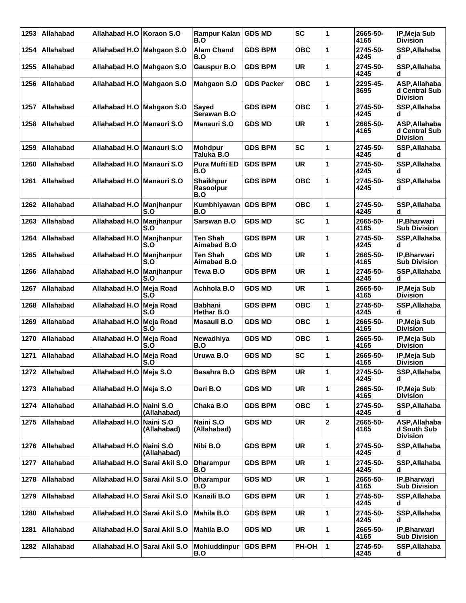| 1253 | Allahabad        | Allahabad H.O                | Koraon S.O               | Rampur Kalan   GDS MD<br>B.O         |                   | <b>SC</b>  | 1            | 2665-50-<br>4165 | IP, Meja Sub<br><b>Division</b>                   |
|------|------------------|------------------------------|--------------------------|--------------------------------------|-------------------|------------|--------------|------------------|---------------------------------------------------|
| 1254 | Allahabad        | Allahabad H.O Mahgaon S.O    |                          | <b>Alam Chand</b><br>B.O             | <b>GDS BPM</b>    | <b>OBC</b> | 1            | 2745-50-<br>4245 | SSP, Allahaba<br>d                                |
| 1255 | Allahabad        | Allahabad H.O Mahgaon S.O    |                          | <b>Gauspur B.O</b>                   | <b>GDS BPM</b>    | <b>UR</b>  | 1            | 2745-50-<br>4245 | SSP, Allahaba<br>d                                |
| 1256 | Allahabad        | Allahabad H.O                | Mahgaon S.O              | <b>Mahgaon S.O</b>                   | <b>GDS Packer</b> | ОВС        | 1            | 2295-45-<br>3695 | ASP, Allahaba<br>d Central Sub<br><b>Division</b> |
| 1257 | Allahabad        | Allahabad H.O Mahgaon S.O    |                          | Sayed<br>Serawan B.O                 | <b>GDS BPM</b>    | <b>OBC</b> | 1            | 2745-50-<br>4245 | SSP, Allahaba<br>d                                |
| 1258 | Allahabad        | Allahabad H.O                | Manauri S.O              | Manauri S.O                          | <b>GDS MD</b>     | <b>UR</b>  | 1            | 2665-50-<br>4165 | ASP, Allahaba<br>d Central Sub<br><b>Division</b> |
| 1259 | Allahabad        | Allahabad H.O                | <b>Manauri S.O</b>       | <b>Mohdpur</b><br>Taluka B.O         | <b>GDS BPM</b>    | <b>SC</b>  | 1            | 2745-50-<br>4245 | SSP, Allahaba<br>d                                |
| 1260 | Allahabad        | Allahabad H.O                | Manauri S.O              | Pura Mufti ED<br>B.O                 | <b>GDS BPM</b>    | <b>UR</b>  | 1            | 2745-50-<br>4245 | SSP, Allahaba<br>d                                |
| 1261 | Allahabad        | Allahabad H.O Manauri S.O    |                          | <b>Shaikhpur</b><br>Rasoolpur<br>B.O | <b>GDS BPM</b>    | <b>OBC</b> | 1            | 2745-50-<br>4245 | SSP, Allahaba<br>d                                |
| 1262 | Allahabad        | Allahabad H.O Manjhanpur     | S.O                      | Kumbhiyawan<br>B.O                   | <b>GDS BPM</b>    | <b>OBC</b> | 1            | 2745-50-<br>4245 | SSP, Allahaba<br>d                                |
| 1263 | Allahabad        | Allahabad H.O                | <b>Manjhanpur</b><br>S.O | Sarswan B.O                          | <b>GDS MD</b>     | <b>SC</b>  | 1            | 2665-50-<br>4165 | IP, Bharwari<br><b>Sub Division</b>               |
| 1264 | Allahabad        | Allahabad H.O                | Manjhanpur<br>S.O        | Ten Shah<br>Aimabad B.O              | <b>GDS BPM</b>    | <b>UR</b>  | 1            | 2745-50-<br>4245 | SSP, Allahaba<br>d                                |
| 1265 | Allahabad        | Allahabad H.O                | Manjhanpur<br>S.O        | Ten Shah<br>Aimabad B.O              | <b>GDS MD</b>     | <b>UR</b>  | 1            | 2665-50-<br>4165 | IP, Bharwari<br><b>Sub Division</b>               |
| 1266 | Allahabad        | Allahabad H.O                | Manjhanpur<br>S.O        | Tewa B.O                             | <b>GDS BPM</b>    | <b>UR</b>  | 1            | 2745-50-<br>4245 | SSP, Allahaba<br>d                                |
| 1267 | Allahabad        | Allahabad H.O                | Meja Road<br>S.O         | Achhola B.O                          | <b>GDS MD</b>     | <b>UR</b>  | 1            | 2665-50-<br>4165 | IP, Meja Sub<br><b>Division</b>                   |
| 1268 | Allahabad        | Allahabad H.O                | Meja Road<br>S.O         | Babhani<br>Hethar B.O                | <b>GDS BPM</b>    | <b>OBC</b> | 1            | 2745-50-<br>4245 | SSP, Allahaba<br>d                                |
| 1269 | Allahabad        | Allahabad H.O                | Meja Road<br>S.O         | Masauli B.O                          | <b>GDS MD</b>     | <b>OBC</b> | 1            | 2665-50-<br>4165 | IP, Meja Sub<br><b>Division</b>                   |
| 1270 | Allahabad        | Allahabad H.O                | <b>Meja Road</b><br>S.O  | Newadhiya<br>B.O                     | <b>GDS MD</b>     | <b>OBC</b> | 1            | 2665-50-<br>4165 | IP, Meja Sub<br><b>Division</b>                   |
| 1271 | <b>Allahabad</b> | Allahabad H.O                | Meja Road<br>S.O         | Uruwa B.O                            | <b>GDS MD</b>     | <b>SC</b>  | 1            | 2665-50-<br>4165 | IP, Meja Sub<br><b>Division</b>                   |
|      | 1272   Allahabad | Allahabad H.O Meja S.O       |                          | Basahra B.O                          | <b>GDS BPM</b>    | <b>UR</b>  | 1            | 2745-50-<br>4245 | SSP, Allahaba<br>d                                |
| 1273 | Allahabad        | Allahabad H.O Meja S.O       |                          | Dari B.O                             | <b>GDS MD</b>     | <b>UR</b>  | $\mathbf{1}$ | 2665-50-<br>4165 | IP, Meja Sub<br><b>Division</b>                   |
| 1274 | Allahabad        | Allahabad H.O Naini S.O      | (Allahabad)              | Chaka B.O                            | <b>GDS BPM</b>    | <b>OBC</b> | 1            | 2745-50-<br>4245 | SSP, Allahaba<br>d                                |
| 1275 | Allahabad        | Allahabad H.O                | Naini S.O<br>(Allahabad) | Naini S.O<br>(Allahabad)             | <b>GDS MD</b>     | <b>UR</b>  | $\mathbf 2$  | 2665-50-<br>4165 | ASP, Allahaba<br>d South Sub<br><b>Division</b>   |
| 1276 | Allahabad        | Allahabad H.O                | Naini S.O<br>(Allahabad) | Nibi B.O                             | <b>GDS BPM</b>    | <b>UR</b>  | $\mathbf{1}$ | 2745-50-<br>4245 | SSP, Allahaba<br>d                                |
| 1277 | Allahabad        | Allahabad H.O                | Sarai Akil S.O           | <b>Dharampur</b><br>B.O              | <b>GDS BPM</b>    | <b>UR</b>  | 1            | 2745-50-<br>4245 | SSP, Allahaba<br>d                                |
| 1278 | Allahabad        | Allahabad H.O Sarai Akil S.O |                          | <b>Dharampur</b><br>B.O              | <b>GDS MD</b>     | <b>UR</b>  | 1            | 2665-50-<br>4165 | IP, Bharwari<br><b>Sub Division</b>               |
| 1279 | Allahabad        | Allahabad H.O Sarai Akil S.O |                          | Kanaili B.O                          | <b>GDS BPM</b>    | <b>UR</b>  | 1            | 2745-50-<br>4245 | SSP, Allahaba<br>d                                |
| 1280 | Allahabad        | Allahabad H.O Sarai Akil S.O |                          | Mahila B.O                           | <b>GDS BPM</b>    | UR         | 1            | 2745-50-<br>4245 | SSP, Allahaba<br>d                                |
| 1281 | Allahabad        | Allahabad H.O Sarai Akil S.O |                          | Mahila B.O                           | <b>GDS MD</b>     | <b>UR</b>  | 1            | 2665-50-<br>4165 | IP, Bharwari<br><b>Sub Division</b>               |
| 1282 | Allahabad        | Allahabad H.O Sarai Akil S.O |                          | Mohiuddinpur<br>B.O                  | <b>GDS BPM</b>    | PH-OH      | $\mathbf{1}$ | 2745-50-<br>4245 | SSP, Allahaba<br>d                                |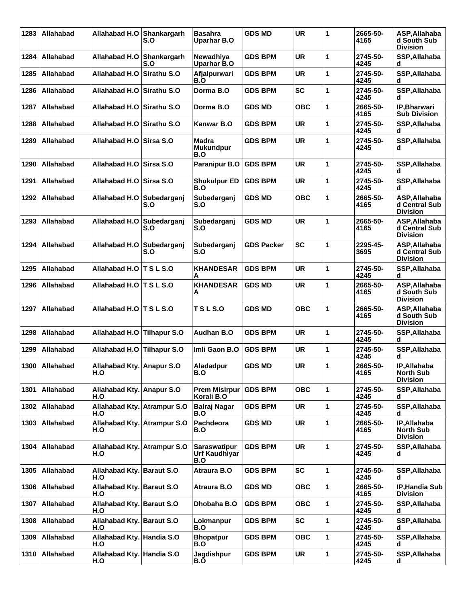| 1283 | Allahabad        | Allahabad H.O Shankargarh          | S.O                 | <b>Basahra</b><br><b>Uparhar B.O</b>        | <b>GDS MD</b>     | <b>UR</b>  | 1 | 2665-50-<br>4165 | ASP, Allahaba<br>d South Sub<br>Division            |
|------|------------------|------------------------------------|---------------------|---------------------------------------------|-------------------|------------|---|------------------|-----------------------------------------------------|
| 1284 | Allahabad        | Allahabad H.O                      | Shankargarh<br>S.O  | <b>Newadhiva</b><br><b>Uparhar B.O</b>      | GDS BPM           | <b>UR</b>  | 1 | 2745-50-<br>4245 | SSP, Allahaba<br>d                                  |
| 1285 | <b>Allahabad</b> | Allahabad H.O                      | Sirathu S.O         | Afjalpurwari<br>B.O                         | <b>GDS BPM</b>    | <b>UR</b>  | 1 | 2745-50-<br>4245 | SSP, Allahaba                                       |
| 1286 | Allahabad        | Allahabad H.O                      | ∣Sirathu S.O        | Dorma B.O                                   | <b>GDS BPM</b>    | <b>SC</b>  | 1 | 2745-50-<br>4245 | SSP, Allahaba<br>d                                  |
| 1287 | Allahabad        | Allahabad H.O                      | Sirathu S.O         | Dorma B.O                                   | <b>GDS MD</b>     | <b>OBC</b> | 1 | 2665-50-<br>4165 | <b>IP, Bharwari</b><br><b>Sub Division</b>          |
| 1288 | Allahabad        | Allahabad H.O                      | Sirathu S.O         | Kanwar B.O                                  | <b>GDS BPM</b>    | <b>UR</b>  | 1 | 2745-50-<br>4245 | SSP.Allahaba<br>d                                   |
| 1289 | Allahabad        | Allahabad H.O Sirsa S.O            |                     | <b>Madra</b><br><b>Mukundpur</b><br>B.O     | <b>GDS BPM</b>    | <b>UR</b>  | 1 | 2745-50-<br>4245 | SSP, Allahaba<br>d                                  |
| 1290 | <b>Allahabad</b> | Allahabad H.O                      | Sirsa S.O           | <b>Paranipur B.O</b>                        | <b>GDS BPM</b>    | <b>UR</b>  | 1 | 2745-50-<br>4245 | SSP, Allahaba<br>d                                  |
| 1291 | Allahabad        | Allahabad H.O                      | Sirsa S.O           | <b>Shukulpur ED</b><br>B.O                  | <b>GDS BPM</b>    | <b>UR</b>  | 1 | 2745-50-<br>4245 | SSP, Allahaba<br>d                                  |
| 1292 | Allahabad        | Allahabad H.O                      | Subedarganj<br>S.O  | Subedarganj<br>S.O                          | <b>GDS MD</b>     | <b>OBC</b> | 1 | 2665-50-<br>4165 | ASP.Allahaba<br>d Central Sub<br><b>Division</b>    |
| 1293 | Allahabad        | Allahabad H.O                      | Subedarganj<br>S.O  | Subedarganj<br>S.O                          | <b>GDS MD</b>     | <b>UR</b>  | 1 | 2665-50-<br>4165 | ASP, Allahaba<br>d Central Sub<br><b>Division</b>   |
| 1294 | Allahabad        | Allahabad H.O                      | Subedarganj<br>S.O  | Subedarganj<br>S.O                          | <b>GDS Packer</b> | <b>SC</b>  | 1 | 2295-45-<br>3695 | ASP, Allahaba<br>d Central Sub<br><b>Division</b>   |
| 1295 | Allahabad        | Allahabad H.O   T S L S.O          |                     | <b>KHANDESAR</b><br>Α                       | <b>GDS BPM</b>    | <b>UR</b>  | 1 | 2745-50-<br>4245 | SSP, Allahaba<br>d                                  |
| 1296 | Allahabad        | Allahabad H.O I                    | <b>TSLS.O</b>       | <b>KHANDESAR</b><br>А                       | <b>GDS MD</b>     | <b>UR</b>  | 1 | 2665-50-<br>4165 | ASP, Allahaba<br>d South Sub<br><b>Division</b>     |
| 1297 | Allahabad        | Allahabad H.O   T S L S.O          |                     | <b>TSLS.O</b>                               | <b>GDS MD</b>     | <b>OBC</b> | 1 | 2665-50-<br>4165 | ASP, Allahaba<br>d South Sub<br><b>Division</b>     |
| 1298 | Allahabad        | Allahabad H.O Tilhapur S.O         |                     | <b>Audhan B.O</b>                           | <b>GDS BPM</b>    | <b>UR</b>  | 1 | 2745-50-<br>4245 | SSP, Allahaba<br>d                                  |
| 1299 | Allahabad        | Allahabad H.O                      | <b>Tilhapur S.O</b> | Imli Gaon B.O                               | GDS BPM           | <b>UR</b>  | 1 | 2745-50-<br>4245 | SSP, Allahaba<br>d                                  |
| 1300 | Allahabad        | Allahabad Kty. Anapur S.O<br>H.O   |                     | Aladadpur<br>B.O                            | <b>GDS MD</b>     | <b>UR</b>  | 1 | 2665-50-<br>4165 | IP, Allahaba<br><b>North Sub</b><br><b>Division</b> |
| 1301 | Allahabad        | Allahabad Kty. Anapur S.O<br>H.O   |                     | <b>Prem Misirpur</b><br>Korali B.O          | <b>GDS BPM</b>    | <b>OBC</b> | 1 | 2745-50-<br>4245 | SSP, Allahaba<br>d                                  |
| 1302 | Allahabad        | Allahabad Kty. Atrampur S.O<br>H.O |                     | <b>Balraj Nagar</b><br>B.O                  | <b>GDS BPM</b>    | <b>UR</b>  | 1 | 2745-50-<br>4245 | SSP, Allahaba<br>d                                  |
| 1303 | Allahabad        | Allahabad Kty. Atrampur S.O<br>H.O |                     | Pachdeora<br>B.O                            | <b>GDS MD</b>     | <b>UR</b>  | 1 | 2665-50-<br>4165 | IP, Allahaba<br><b>North Sub</b><br><b>Division</b> |
| 1304 | Allahabad        | Allahabad Kty. Atrampur S.O<br>H.O |                     | <b>Saraswatipur</b><br>Urf Kaudhiyar<br>B.O | <b>GDS BPM</b>    | <b>UR</b>  | 1 | 2745-50-<br>4245 | SSP, Allahaba<br>d                                  |
| 1305 | Allahabad        | Allahabad Kty. Baraut S.O<br>H.O   |                     | Atraura B.O                                 | <b>GDS BPM</b>    | <b>SC</b>  | 1 | 2745-50-<br>4245 | SSP, Allahaba<br>d                                  |
| 1306 | Allahabad        | Allahabad Kty. Baraut S.O<br>H.O   |                     | Atraura B.O                                 | <b>GDS MD</b>     | <b>OBC</b> | 1 | 2665-50-<br>4165 | IP, Handia Sub<br>Division                          |
| 1307 | Allahabad        | Allahabad Kty. Baraut S.O<br>H.O   |                     | Dhobaha B.O                                 | <b>GDS BPM</b>    | ОВС        | 1 | 2745-50-<br>4245 | SSP,Allahaba<br>d                                   |
| 1308 | Allahabad        | Allahabad Kty. Baraut S.O<br>H.O   |                     | Lokmanpur<br>B.O                            | <b>GDS BPM</b>    | <b>SC</b>  | 1 | 2745-50-<br>4245 | SSP, Allahaba<br>d                                  |
| 1309 | Allahabad        | Allahabad Kty. Handia S.O<br>H.O   |                     | <b>Bhopatpur</b><br>B.O                     | <b>GDS BPM</b>    | <b>OBC</b> | 1 | 2745-50-<br>4245 | SSP, Allahaba<br>d                                  |
| 1310 | Allahabad        | Allahabad Kty. Handia S.O<br>H.O   |                     | Jagdishpur<br>B.O                           | <b>GDS BPM</b>    | UR         | 1 | 2745-50-<br>4245 | SSP,Allahaba<br>d                                   |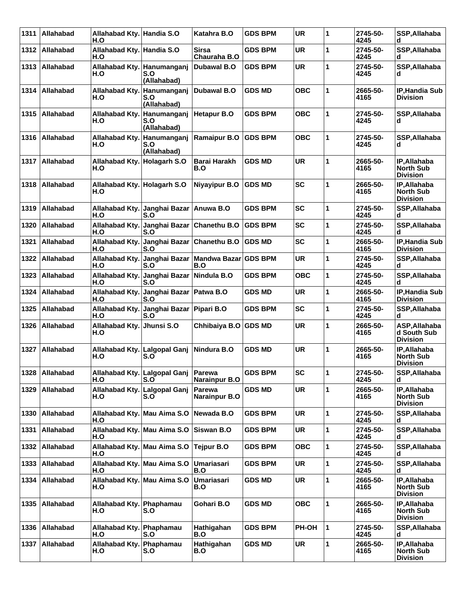| 1311 | Allahabad        | Allahabad Kty. Handia S.O<br>H.O   |                                                  | Katahra B.O                    | <b>GDS BPM</b> | <b>UR</b>  | 1            | 2745-50-<br>4245 | SSP, Allahaba<br>d                                  |
|------|------------------|------------------------------------|--------------------------------------------------|--------------------------------|----------------|------------|--------------|------------------|-----------------------------------------------------|
| 1312 | Allahabad        | Allahabad Kty. Handia S.O<br>H.O   |                                                  | <b>Sirsa</b><br>Chauraha B.O   | <b>GDS BPM</b> | <b>UR</b>  | 1            | 2745-50-<br>4245 | SSP, Allahaba<br>d                                  |
| 1313 | Allahabad        | H.O                                | Allahabad Kty. Hanumanganj<br>S.O<br>(Allahabad) | <b>Dubawal B.O</b>             | <b>GDS BPM</b> | <b>UR</b>  | 1            | 2745-50-<br>4245 | SSP, Allahaba<br>d                                  |
| 1314 | ∣Allahabad       | Allahabad Kty.<br>H.O              | Hanumanganj<br>S.O<br>(Allahabad)                | <b>Dubawal B.O</b>             | <b>GDS MD</b>  | <b>OBC</b> | 1            | 2665-50-<br>4165 | IP, Handia Sub<br><b>Division</b>                   |
| 1315 | <b>Allahabad</b> | Allahabad Kty.<br>H.O              | Hanumanganj<br>S.O<br>(Allahabad)                | <b>Hetapur B.O</b>             | <b>GDS BPM</b> | <b>OBC</b> | 1            | 2745-50-<br>4245 | SSP, Allahaba<br>d                                  |
| 1316 | Allahabad        | Allahabad Kty.<br>H.O              | Hanumanganj<br>S.O<br>(Allahabad)                | <b>Ramaipur B.O</b>            | <b>GDS BPM</b> | <b>OBC</b> | 1            | 2745-50-<br>4245 | SSP, Allahaba<br>d                                  |
| 1317 | Allahabad        | Allahabad Kty.<br>H.O              | Holagarh S.O                                     | Barai Harakh<br>B.O            | <b>GDS MD</b>  | <b>UR</b>  | 1            | 2665-50-<br>4165 | IP, Allahaba<br><b>North Sub</b><br><b>Division</b> |
| 1318 | Allahabad        | Allahabad Kty. Holagarh S.O<br>H.O |                                                  | Niyayipur B.O                  | <b>GDS MD</b>  | <b>SC</b>  | 1            | 2665-50-<br>4165 | IP, Allahaba<br><b>North Sub</b><br><b>Division</b> |
| 1319 | Allahabad        | H.O                                | Allahabad Kty. Janghai Bazar Anuwa B.O<br>S.O    |                                | <b>GDS BPM</b> | <b>SC</b>  | 1            | 2745-50-<br>4245 | SSP, Allahaba<br>d                                  |
| 1320 | Allahabad        | Allahabad Kty.<br>H.O              | Janghai Bazar<br>S.O                             | <b>Chanethu B.O</b>            | <b>GDS BPM</b> | <b>SC</b>  | 1            | 2745-50-<br>4245 | SSP, Allahaba<br>d                                  |
| 1321 | Allahabad        | Allahabad Kty.<br>H.O              | Janghai Bazar<br>S.O                             | Chanethu B.O                   | <b>GDS MD</b>  | <b>SC</b>  | 1            | 2665-50-<br>4165 | IP, Handia Sub<br><b>Division</b>                   |
| 1322 | Allahabad        | Allahabad Kty.<br>H.O              | Janghai Bazar<br>S.O                             | Mandwa Bazar<br>B.O            | <b>GDS BPM</b> | <b>UR</b>  | 1            | 2745-50-<br>4245 | SSP, Allahaba<br>d                                  |
| 1323 | Allahabad        | Allahabad Kty.<br>H.O              | Janghai Bazar<br>S.O                             | Nindula B.O                    | <b>GDS BPM</b> | <b>OBC</b> | 1            | 2745-50-<br>4245 | SSP, Allahaba<br>d                                  |
| 1324 | Allahabad        | Allahabad Kty.<br>H.O              | Janghai Bazar<br>S.O                             | Patwa B.O                      | <b>GDS MD</b>  | <b>UR</b>  | $\mathbf{1}$ | 2665-50-<br>4165 | IP, Handia Sub<br><b>Division</b>                   |
| 1325 | Allahabad        | Allahabad Kty.<br>H.O              | Janghai Bazar<br>S.O                             | Pipari B.O                     | <b>GDS BPM</b> | <b>SC</b>  | 1            | 2745-50-<br>4245 | SSP, Allahaba<br>d                                  |
| 1326 | Allahabad        | Allahabad Kty.<br>H.O              | Jhunsi S.O                                       | Chhibaiya B.O                  | <b>GDS MD</b>  | <b>UR</b>  | 1            | 2665-50-<br>4165 | ASP, Allahaba<br>d South Sub<br><b>Division</b>     |
| 1327 | Allahabad        | Allahabad Kty.<br>H.O              | Lalgopal Ganj<br>S.O                             | Nindura B.O                    | <b>GDS MD</b>  | <b>UR</b>  | 1            | 2665-50-<br>4165 | IP, Allahaba<br><b>North Sub</b><br><b>Division</b> |
| 1328 | Allahabad        | H.O                                | Allahabad Kty. Lalgopal Ganj<br>S.O              | Parewa<br><b>Narainpur B.O</b> | <b>GDS BPM</b> | <b>SC</b>  | 1            | 2745-50-<br>4245 | SSP, Allahaba<br>d                                  |
| 1329 | Allahabad        | Allahabad Kty.<br>H.O              | Lalgopal Ganj<br>S.O                             | Parewa<br><b>Narainpur B.O</b> | <b>GDS MD</b>  | <b>UR</b>  | 1            | 2665-50-<br>4165 | IP, Allahaba<br><b>North Sub</b><br><b>Division</b> |
| 1330 | Allahabad        | H.O                                | Allahabad Kty. Mau Aima S.O                      | Newada B.O                     | <b>GDS BPM</b> | UR         | 1            | 2745-50-<br>4245 | SSP, Allahaba<br>d                                  |
| 1331 | Allahabad        | H.O                                | Allahabad Kty. Mau Aima S.O Siswan B.O           |                                | <b>GDS BPM</b> | <b>UR</b>  | 1            | 2745-50-<br>4245 | SSP, Allahaba<br>d                                  |
| 1332 | Allahabad        | H.O                                | Allahabad Kty. Mau Aima S.O                      | Tejpur B.O                     | <b>GDS BPM</b> | <b>OBC</b> | 1            | 2745-50-<br>4245 | SSP, Allahaba<br>d                                  |
| 1333 | Allahabad        | H.O                                | Allahabad Kty. Mau Aima S.O                      | Umariasari<br>B.O              | <b>GDS BPM</b> | UR         | 1            | 2745-50-<br>4245 | SSP.Allahaba<br>d                                   |
| 1334 | Allahabad        | H.O                                | Allahabad Kty. Mau Aima S.O                      | Umariasari<br>B.O              | <b>GDS MD</b>  | <b>UR</b>  | 1            | 2665-50-<br>4165 | IP, Allahaba<br><b>North Sub</b><br><b>Division</b> |
| 1335 | Allahabad        | Allahabad Kty. Phaphamau<br>H.O    | S.O                                              | Gohari B.O                     | <b>GDS MD</b>  | <b>OBC</b> | 1            | 2665-50-<br>4165 | IP, Allahaba<br><b>North Sub</b><br><b>Division</b> |
| 1336 | Allahabad        | Allahabad Kty.<br>H.O              | Phaphamau<br>S.O                                 | Hathigahan<br>B.O              | <b>GDS BPM</b> | PH-OH      | 1            | 2745-50-<br>4245 | SSP, Allahaba<br>d                                  |
| 1337 | Allahabad        | Allahabad Kty.<br>H.O              | Phaphamau<br>S.O                                 | Hathigahan<br>B.O              | <b>GDS MD</b>  | <b>UR</b>  | 1            | 2665-50-<br>4165 | IP, Allahaba<br><b>North Sub</b><br><b>Division</b> |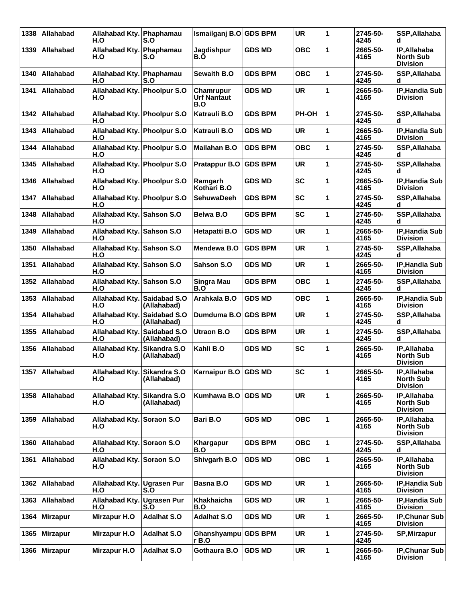| 1338 | Allahabad        | Allahabad Kty. Phaphamau<br>H.O    | S.O                         | Ismailganj B.O GDS BPM                 |                | <b>UR</b>  | 1 | 2745-50-<br>4245 | SSP, Allahaba<br>d                                  |
|------|------------------|------------------------------------|-----------------------------|----------------------------------------|----------------|------------|---|------------------|-----------------------------------------------------|
| 1339 | Allahabad        | Allahabad Kty.<br>H.O              | Phaphamau<br>S.O            | Jagdishpur<br>B.O                      | <b>GDS MD</b>  | <b>OBC</b> | 1 | 2665-50-<br>4165 | IP, Allahaba<br><b>North Sub</b><br><b>Division</b> |
| 1340 | Allahabad        | Allahabad Kty. Phaphamau<br>H.O    | S.O                         | Sewaith B.O                            | <b>GDS BPM</b> | <b>OBC</b> | 1 | 2745-50-<br>4245 | SSP, Allahaba<br>d                                  |
| 1341 | Allahabad        | Allahabad Kty. Phoolpur S.O<br>H.O |                             | Chamrupur<br><b>Urf Nantaut</b><br>B.O | <b>GDS MD</b>  | <b>UR</b>  | 1 | 2665-50-<br>4165 | IP, Handia Sub<br><b>Division</b>                   |
| 1342 | Allahabad        | Allahabad Kty. Phoolpur S.O<br>H.O |                             | Katrauli B.O                           | <b>GDS BPM</b> | PH-OH      | 1 | 2745-50-<br>4245 | SSP, Allahaba<br>d                                  |
| 1343 | Allahabad        | Allahabad Kty. Phoolpur S.O<br>H.O |                             | Katrauli B.O                           | <b>GDS MD</b>  | <b>UR</b>  | 1 | 2665-50-<br>4165 | IP, Handia Sub<br><b>Division</b>                   |
| 1344 | Allahabad        | Allahabad Kty. Phoolpur S.O<br>H.O |                             | <b>Mailahan B.O</b>                    | <b>GDS BPM</b> | <b>OBC</b> | 1 | 2745-50-<br>4245 | SSP, Allahaba<br>d                                  |
| 1345 | Allahabad        | Allahabad Kty. Phoolpur S.O<br>H.O |                             | Pratappur B.O                          | <b>GDS BPM</b> | <b>UR</b>  | 1 | 2745-50-<br>4245 | SSP, Allahaba<br>d                                  |
| 1346 | <b>Allahabad</b> | Allahabad Kty. Phoolpur S.O<br>H.O |                             | Ramgarh<br>Kothari B.O                 | <b>GDS MD</b>  | <b>SC</b>  | 1 | 2665-50-<br>4165 | IP, Handia Sub<br><b>Division</b>                   |
| 1347 | <b>Allahabad</b> | Allahabad Kty. Phoolpur S.O<br>H.O |                             | <b>SehuwaDeeh</b>                      | <b>GDS BPM</b> | <b>SC</b>  | 1 | 2745-50-<br>4245 | SSP, Allahaba<br>d                                  |
| 1348 | <b>Allahabad</b> | Allahabad Kty. Sahson S.O<br>H.O   |                             | Belwa B.O                              | <b>GDS BPM</b> | <b>SC</b>  | 1 | 2745-50-<br>4245 | SSP, Allahaba<br>d                                  |
| 1349 | Allahabad        | Allahabad Kty. Sahson S.O<br>H.O   |                             | Hetapatti B.O                          | <b>GDS MD</b>  | <b>UR</b>  | 1 | 2665-50-<br>4165 | IP, Handia Sub<br><b>Division</b>                   |
| 1350 | Allahabad        | Allahabad Kty. Sahson S.O<br>H.O   |                             | Mendewa B.O                            | <b>GDS BPM</b> | <b>UR</b>  | 1 | 2745-50-<br>4245 | SSP, Allahaba<br>d                                  |
| 1351 | Allahabad        | Allahabad Kty. Sahson S.O<br>H.O   |                             | Sahson S.O                             | <b>GDS MD</b>  | <b>UR</b>  | 1 | 2665-50-<br>4165 | IP, Handia Sub<br><b>Division</b>                   |
| 1352 | Allahabad        | Allahabad Kty. Sahson S.O<br>H.O   |                             | Singra Mau<br>B.O                      | <b>GDS BPM</b> | <b>OBC</b> | 1 | 2745-50-<br>4245 | SSP, Allahaba<br>d                                  |
| 1353 | Allahabad        | Allahabad Kty.<br>H.O              | Saidabad S.O<br>(Allahabad) | Arahkala B.O                           | <b>GDS MD</b>  | <b>OBC</b> | 1 | 2665-50-<br>4165 | IP, Handia Sub<br><b>Division</b>                   |
| 1354 | Allahabad        | Allahabad Kty.<br>H.O              | Saidabad S.O<br>(Allahabad) | Dumduma B.O GDS BPM                    |                | <b>UR</b>  | 1 | 2745-50-<br>4245 | SSP, Allahaba<br>d                                  |
| 1355 | <b>Allahabad</b> | Allahabad Kty.<br>H.O              | Saidabad S.O<br>(Allahabad) | Utraon B.O                             | <b>GDS BPM</b> | <b>UR</b>  | 1 | 2745-50-<br>4245 | SSP, Allahaba<br>d                                  |
| 1356 | <b>Allahabad</b> | Allahabad Kty.<br>H.O              | Sikandra S.O<br>(Allahabad) | Kahli B.O                              | <b>GDS MD</b>  | <b>SC</b>  | 1 | 2665-50-<br>4165 | IP, Allahaba<br><b>North Sub</b><br><b>Division</b> |
|      | 1357 Allahabad   | Allahabad Kty. Sikandra S.O<br>H.O | (Allahabad)                 | Karnaipur B.O GDS MD                   |                | <b>SC</b>  | 1 | 2665-50-<br>4165 | IP, Allahaba<br><b>North Sub</b><br><b>Division</b> |
| 1358 | Allahabad        | Allahabad Kty.<br>H.O              | Sikandra S.O<br>(Allahabad) | Kumhawa B.O GDS MD                     |                | <b>UR</b>  | 1 | 2665-50-<br>4165 | IP, Allahaba<br><b>North Sub</b><br><b>Division</b> |
| 1359 | Allahabad        | Allahabad Kty. Soraon S.O<br>H.O   |                             | Bari B.O                               | <b>GDS MD</b>  | <b>OBC</b> | 1 | 2665-50-<br>4165 | IP, Allahaba<br><b>North Sub</b><br><b>Division</b> |
| 1360 | Allahabad        | Allahabad Kty. Soraon S.O<br>H.O   |                             | Khargapur<br>B.O                       | <b>GDS BPM</b> | <b>OBC</b> | 1 | 2745-50-<br>4245 | SSP, Allahaba<br>d                                  |
| 1361 | Allahabad        | Allahabad Kty. Soraon S.O<br>H.O   |                             | Shivgarh B.O                           | <b>GDS MD</b>  | <b>OBC</b> | 1 | 2665-50-<br>4165 | IP, Allahaba<br><b>North Sub</b><br><b>Division</b> |
| 1362 | Allahabad        | Allahabad Kty. Ugrasen Pur<br>H.O  | S.O                         | Basna B.O                              | <b>GDS MD</b>  | <b>UR</b>  | 1 | 2665-50-<br>4165 | <b>IP, Handia Sub</b><br><b>Division</b>            |
| 1363 | Allahabad        | Allahabad Kty.<br>H.O              | <b>Ugrasen Pur</b><br>S.O   | Khakhaicha<br>B.O                      | <b>GDS MD</b>  | UR         | 1 | 2665-50-<br>4165 | IP, Handia Sub<br><b>Division</b>                   |
| 1364 | Mirzapur         | Mirzapur H.O                       | <b>Adalhat S.O</b>          | <b>Adalhat S.O</b>                     | <b>GDS MD</b>  | <b>UR</b>  | 1 | 2665-50-<br>4165 | <b>IP, Chunar Sub</b><br><b>Division</b>            |
| 1365 | Mirzapur         | Mirzapur H.O                       | <b>Adalhat S.O</b>          | Ghanshyampu GDS BPM<br>r B.O           |                | <b>UR</b>  | 1 | 2745-50-<br>4245 | SP, Mirzapur                                        |
| 1366 | Mirzapur         | Mirzapur H.O                       | <b>Adalhat S.O</b>          | Gothaura B.O                           | <b>GDS MD</b>  | UR         | 1 | 2665-50-<br>4165 | IP, Chunar Sub<br><b>Division</b>                   |
|      |                  |                                    |                             |                                        |                |            |   |                  |                                                     |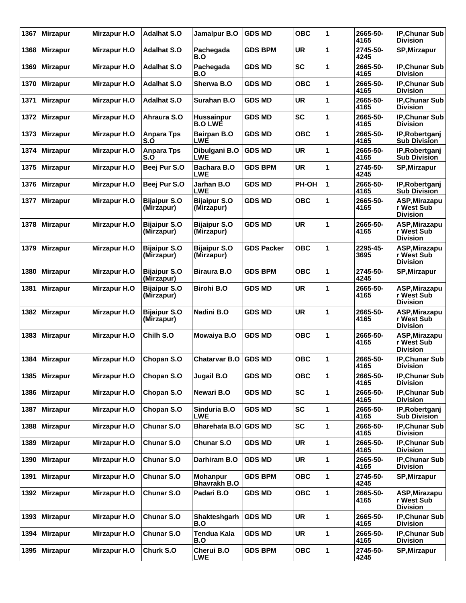| 1367 | <b>Mirzapur</b> | Mirzapur H.O        | <b>Adalhat S.O</b>                | Jamalpur B.O                           | <b>GDS MD</b>     | <b>OBC</b> | 1 | 2665-50-<br>4165 | <b>IP, Chunar Sub</b><br><b>Division</b>       |
|------|-----------------|---------------------|-----------------------------------|----------------------------------------|-------------------|------------|---|------------------|------------------------------------------------|
| 1368 | <b>Mirzapur</b> | Mirzapur H.O        | <b>Adalhat S.O</b>                | Pachegada<br>B.O                       | <b>GDS BPM</b>    | <b>UR</b>  | 1 | 2745-50-<br>4245 | <b>SP, Mirzapur</b>                            |
| 1369 | <b>Mirzapur</b> | Mirzapur H.O        | <b>Adalhat S.O</b>                | Pachegada<br>B.O                       | <b>GDS MD</b>     | <b>SC</b>  | 1 | 2665-50-<br>4165 | <b>IP.Chunar Sub</b><br><b>Division</b>        |
| 1370 | <b>Mirzapur</b> | Mirzapur H.O        | <b>Adalhat S.O</b>                | Sherwa B.O                             | <b>GDS MD</b>     | <b>OBC</b> | 1 | 2665-50-<br>4165 | <b>IP.Chunar Sub</b><br><b>Division</b>        |
| 1371 | <b>Mirzapur</b> | Mirzapur H.O        | <b>Adalhat S.O</b>                | Surahan B.O                            | <b>GDS MD</b>     | <b>UR</b>  | 1 | 2665-50-<br>4165 | <b>IP, Chunar Sub</b><br><b>Division</b>       |
| 1372 | <b>Mirzapur</b> | Mirzapur H.O        | Ahraura S.O                       | Hussainpur<br><b>B.O LWE</b>           | <b>GDS MD</b>     | <b>SC</b>  | 1 | 2665-50-<br>4165 | IP, Chunar Sub<br><b>Division</b>              |
| 1373 | <b>Mirzapur</b> | Mirzapur H.O        | <b>Anpara Tps</b><br>S.O          | <b>Bairpan B.O</b><br>LWE              | <b>GDS MD</b>     | <b>OBC</b> | 1 | 2665-50-<br>4165 | IP, Robertganj<br><b>Sub Division</b>          |
| 1374 | <b>Mirzapur</b> | Mirzapur H.O        | <b>Anpara Tps</b><br>S.O          | Dibulgani B.O<br>LWE                   | <b>GDS MD</b>     | <b>UR</b>  | 1 | 2665-50-<br>4165 | IP, Robertganj<br><b>Sub Division</b>          |
| 1375 | <b>Mirzapur</b> | Mirzapur H.O        | Beej Pur S.O                      | <b>Bachara B.O</b><br><b>LWE</b>       | <b>GDS BPM</b>    | <b>UR</b>  | 1 | 2745-50-<br>4245 | <b>SP, Mirzapur</b>                            |
| 1376 | <b>Mirzapur</b> | Mirzapur H.O        | Beej Pur S.O                      | Jarhan B.O<br><b>LWE</b>               | <b>GDS MD</b>     | PH-OH      | 1 | 2665-50-<br>4165 | IP, Robertganj<br><b>Sub Division</b>          |
| 1377 | <b>Mirzapur</b> | Mirzapur H.O        | <b>Bijaipur S.O</b><br>(Mirzapur) | <b>Bijaipur S.O</b><br>(Mirzapur)      | <b>GDS MD</b>     | <b>OBC</b> | 1 | 2665-50-<br>4165 | ASP, Mirazapu<br>r West Sub<br><b>Division</b> |
| 1378 | <b>Mirzapur</b> | Mirzapur H.O        | <b>Bijaipur S.O</b><br>(Mirzapur) | <b>Bijaipur S.O</b><br>(Mirzapur)      | <b>GDS MD</b>     | <b>UR</b>  | 1 | 2665-50-<br>4165 | ASP, Mirazapu<br>r West Sub<br><b>Division</b> |
| 1379 | <b>Mirzapur</b> | Mirzapur H.O        | <b>Bijaipur S.O</b><br>(Mirzapur) | <b>Bijaipur S.O</b><br>(Mirzapur)      | <b>GDS Packer</b> | OBC        | 1 | 2295-45-<br>3695 | ASP, Mirazapu<br>r West Sub<br><b>Division</b> |
| 1380 | <b>Mirzapur</b> | Mirzapur H.O        | <b>Bijaipur S.O</b><br>(Mirzapur) | Biraura B.O                            | <b>GDS BPM</b>    | OBC        | 1 | 2745-50-<br>4245 | SP, Mirzapur                                   |
| 1381 | <b>Mirzapur</b> | Mirzapur H.O        | <b>Bijaipur S.O</b><br>(Mirzapur) | <b>Birohi B.O</b>                      | <b>GDS MD</b>     | <b>UR</b>  | 1 | 2665-50-<br>4165 | ASP, Mirazapu<br>r West Sub<br><b>Division</b> |
| 1382 | <b>Mirzapur</b> | Mirzapur H.O        | <b>Bijaipur S.O</b><br>(Mirzapur) | Nadini B.O                             | <b>GDS MD</b>     | <b>UR</b>  | 1 | 2665-50-<br>4165 | ASP, Mirazapu<br>r West Sub<br><b>Division</b> |
| 1383 | <b>Mirzapur</b> | Mirzapur H.O        | Chilh S.O                         | Mowaiya B.O                            | <b>GDS MD</b>     | <b>OBC</b> | 1 | 2665-50-<br>4165 | ASP, Mirazapu<br>r West Sub<br><b>Division</b> |
| 1384 | Mirzapur        | Mirzapur H.O        | Chopan S.O                        | <b>Chatarvar B.O</b>                   | <b>GDS MD</b>     | <b>OBC</b> | 1 | 2665-50-<br>4165 | IP, Chunar Sub<br><b>Division</b>              |
| 1385 | <b>Mirzapur</b> | <b>Mirzapur H.O</b> | Chopan S.O                        | Jugail B.O                             | <b>GDS MD</b>     | <b>OBC</b> | 1 | 2665-50-<br>4165 | <b>IP, Chunar Sub</b><br><b>Division</b>       |
| 1386 | Mirzapur        | Mirzapur H.O        | Chopan S.O                        | Newari B.O                             | <b>GDS MD</b>     | <b>SC</b>  | 1 | 2665-50-<br>4165 | <b>IP, Chunar Sub</b><br><b>Division</b>       |
| 1387 | Mirzapur        | Mirzapur H.O        | Chopan S.O                        | Sinduria B.O<br><b>LWE</b>             | <b>GDS MD</b>     | <b>SC</b>  | 1 | 2665-50-<br>4165 | IP, Robertganj<br><b>Sub Division</b>          |
| 1388 | <b>Mirzapur</b> | Mirzapur H.O        | Chunar S.O                        | <b>Bharehata B.O</b>                   | <b>GDS MD</b>     | <b>SC</b>  | 1 | 2665-50-<br>4165 | <b>IP, Chunar Sub</b><br><b>Division</b>       |
| 1389 | <b>Mirzapur</b> | Mirzapur H.O        | Chunar S.O                        | <b>Chunar S.O</b>                      | <b>GDS MD</b>     | <b>UR</b>  | 1 | 2665-50-<br>4165 | <b>IP, Chunar Sub</b><br><b>Division</b>       |
| 1390 | Mirzapur        | Mirzapur H.O        | Chunar S.O                        | Darhiram B.O                           | <b>GDS MD</b>     | <b>UR</b>  | 1 | 2665-50-<br>4165 | IP, Chunar Sub<br><b>Division</b>              |
| 1391 | <b>Mirzapur</b> | Mirzapur H.O        | Chunar S.O                        | <b>Mohanpur</b><br><b>Bhavrakh B.O</b> | <b>GDS BPM</b>    | <b>OBC</b> | 1 | 2745-50-<br>4245 | SP, Mirzapur                                   |
| 1392 | Mirzapur        | Mirzapur H.O        | Chunar S.O                        | Padari B.O                             | <b>GDS MD</b>     | <b>OBC</b> | 1 | 2665-50-<br>4165 | ASP, Mirazapu<br>r West Sub<br><b>Division</b> |
| 1393 | <b>Mirzapur</b> | Mirzapur H.O        | <b>Chunar S.O</b>                 | Shakteshgarh<br>B.O                    | <b>GDS MD</b>     | <b>UR</b>  | 1 | 2665-50-<br>4165 | <b>IP, Chunar Sub</b><br><b>Division</b>       |
| 1394 | <b>Mirzapur</b> | Mirzapur H.O        | Chunar S.O                        | Tendua Kala<br>B.O                     | <b>GDS MD</b>     | <b>UR</b>  | 1 | 2665-50-<br>4165 | <b>IP, Chunar Sub</b><br><b>Division</b>       |
| 1395 | Mirzapur        | <b>Mirzapur H.O</b> | Churk S.O                         | Cherui B.O<br>LWE                      | <b>GDS BPM</b>    | <b>OBC</b> | 1 | 2745-50-<br>4245 | SP, Mirzapur                                   |
|      |                 |                     |                                   |                                        |                   |            |   |                  |                                                |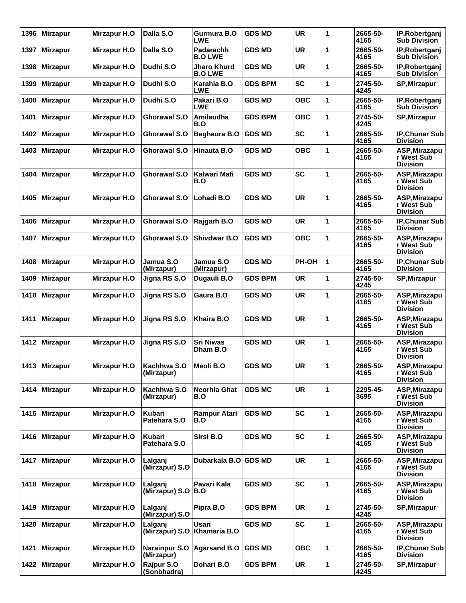| 1396 | Mirzapur        | Mirzapur H.O        | Dalla S.O                       | Gurmura B.O<br>LWE        | <b>GDS MD</b>  | <b>UR</b>  | 1 | 2665-50-<br>4165 | IP, Robertganj<br><b>Sub Division</b>          |
|------|-----------------|---------------------|---------------------------------|---------------------------|----------------|------------|---|------------------|------------------------------------------------|
| 1397 | Mirzapur        | Mirzapur H.O        | Dalla S.O                       | Padarachh<br>B.O LWE      | <b>GDS MD</b>  | <b>UR</b>  | 1 | 2665-50-<br>4165 | IP, Robertganj<br><b>Sub Division</b>          |
| 1398 | Mirzapur        | Mirzapur H.O        | Dudhi S.O                       | Jharo Khurd<br>B.O LWE    | <b>GDS MD</b>  | <b>UR</b>  | 1 | 2665-50-<br>4165 | IP, Robertganj<br><b>Sub Division</b>          |
| 1399 | Mirzapur        | Mirzapur H.O        | Dudhi S.O                       | Karahia B.O<br><b>LWE</b> | <b>GDS BPM</b> | <b>SC</b>  | 1 | 2745-50-<br>4245 | SP, Mirzapur                                   |
| 1400 | Mirzapur        | Mirzapur H.O        | Dudhi S.O                       | Pakari B.O<br>LWE         | <b>GDS MD</b>  | <b>OBC</b> | 1 | 2665-50-<br>4165 | IP, Robertganj<br><b>Sub Division</b>          |
| 1401 | Mirzapur        | Mirzapur H.O        | Ghorawal S.O                    | Amilaudha<br>B.O          | <b>GDS BPM</b> | OBC        | 1 | 2745-50-<br>4245 | SP, Mirzapur                                   |
| 1402 | Mirzapur        | Mirzapur H.O        | Ghorawal S.O                    | Baghaura B.O              | <b>GDS MD</b>  | <b>SC</b>  | 1 | 2665-50-<br>4165 | <b>IP.Chunar Sub</b><br><b>Division</b>        |
| 1403 | Mirzapur        | Mirzapur H.O        | <b>Ghorawal S.O</b>             | Hinauta B.O               | <b>GDS MD</b>  | <b>OBC</b> | 1 | 2665-50-<br>4165 | ASP, Mirazapu<br>r West Sub<br><b>Division</b> |
| 1404 | Mirzapur        | Mirzapur H.O        | <b>Ghorawal S.O</b>             | Kalwari Mafi<br>B.O       | <b>GDS MD</b>  | <b>SC</b>  | 1 | 2665-50-<br>4165 | ASP, Mirazapu<br>r West Sub<br><b>Division</b> |
| 1405 | <b>Mirzapur</b> | <b>Mirzapur H.O</b> | Ghorawal S.O                    | Lohadi B.O                | <b>GDS MD</b>  | <b>UR</b>  | 1 | 2665-50-<br>4165 | ASP, Mirazapu<br>r West Sub<br><b>Division</b> |
| 1406 | <b>Mirzapur</b> | Mirzapur H.O        | <b>Ghorawal S.O</b>             | Rajgarh B.O               | <b>GDS MD</b>  | <b>UR</b>  | 1 | 2665-50-<br>4165 | <b>IP, Chunar Sub</b><br><b>Division</b>       |
| 1407 | Mirzapur        | Mirzapur H.O        | Ghorawal S.O                    | Shivdwar B.O              | <b>GDS MD</b>  | <b>OBC</b> | 1 | 2665-50-<br>4165 | ASP, Mirazapu<br>r West Sub<br><b>Division</b> |
| 1408 | <b>Mirzapur</b> | Mirzapur H.O        | Jamua S.O<br>(Mirzapur)         | Jamua S.O<br>(Mirzapur)   | <b>GDS MD</b>  | PH-OH      | 1 | 2665-50-<br>4165 | <b>IP.Chunar Sub</b><br><b>Division</b>        |
| 1409 | <b>Mirzapur</b> | Mirzapur H.O        | Jigna RS S.O                    | Dugauli B.O               | <b>GDS BPM</b> | <b>UR</b>  | 1 | 2745-50-<br>4245 | SP, Mirzapur                                   |
| 1410 | Mirzapur        | Mirzapur H.O        | Jigna RS S.O                    | Gaura B.O                 | <b>GDS MD</b>  | <b>UR</b>  | 1 | 2665-50-<br>4165 | ASP, Mirazapu<br>r West Sub<br><b>Division</b> |
| 1411 | Mirzapur        | Mirzapur H.O        | Jigna RS S.O                    | <b>Khaira B.O</b>         | <b>GDS MD</b>  | <b>UR</b>  | 1 | 2665-50-<br>4165 | ASP, Mirazapu<br>r West Sub<br><b>Division</b> |
| 1412 | Mirzapur        | Mirzapur H.O        | Jigna RS S.O                    | Sri Niwas<br>Dham B.O     | <b>GDS MD</b>  | <b>UR</b>  | 1 | 2665-50-<br>4165 | ASP, Mirazapu<br>r West Sub<br><b>Division</b> |
| 1413 | Mirzapur        | <b>Mirzapur H.O</b> | Kachhwa S.O<br>(Mirzapur)       | Meoli B.O                 | <b>GDS MD</b>  | <b>UR</b>  | 1 | 2665-50-<br>4165 | ASP,Mirazapu<br>r West Sub<br><b>Division</b>  |
| 1414 | Mirzapur        | Mirzapur H.O        | Kachhwa S.O<br>(Mirzapur)       | Neorhia Ghat<br>B.O       | <b>GDS MC</b>  | <b>UR</b>  | 1 | 2295-45-<br>3695 | ASP, Mirazapu<br>r West Sub<br><b>Division</b> |
| 1415 | Mirzapur        | <b>Mirzapur H.O</b> | Kubari<br>Patehara S.O          | Rampur Atari<br>B.O       | <b>GDS MD</b>  | <b>SC</b>  | 1 | 2665-50-<br>4165 | ASP, Mirazapu<br>r West Sub<br><b>Division</b> |
| 1416 | Mirzapur        | Mirzapur H.O        | Kubari<br>Patehara S.O          | Sirsi B.O                 | <b>GDS MD</b>  | <b>SC</b>  | 1 | 2665-50-<br>4165 | ASP, Mirazapu<br>r West Sub<br><b>Division</b> |
| 1417 | Mirzapur        | Mirzapur H.O        | Lalganj<br>(Mirzapur) S.O       | Dubarkala B.O GDS MD      |                | <b>UR</b>  | 1 | 2665-50-<br>4165 | ASP, Mirazapu<br>r West Sub<br><b>Division</b> |
| 1418 | Mirzapur        | Mirzapur H.O        | Lalganj<br>(Mirzapur) S.O   B.O | Pavari Kala               | <b>GDS MD</b>  | <b>SC</b>  | 1 | 2665-50-<br>4165 | ASP, Mirazapu<br>r West Sub<br><b>Division</b> |
| 1419 | <b>Mirzapur</b> | Mirzapur H.O        | Lalganj<br>(Mirzapur) S.O       | Pipra B.O                 | <b>GDS BPM</b> | <b>UR</b>  | 1 | 2745-50-<br>4245 | SP, Mirzapur                                   |
| 1420 | Mirzapur        | Mirzapur H.O        | Lalganj<br>(Mirzapur) S.O       | Usari<br>Khamaria B.O     | <b>GDS MD</b>  | <b>SC</b>  | 1 | 2665-50-<br>4165 | ASP, Mirazapu<br>r West Sub<br><b>Division</b> |
| 1421 | Mirzapur        | Mirzapur H.O        | Narainpur S.O<br>(Mirzapur)     | <b>Agarsand B.O</b>       | <b>GDS MD</b>  | <b>OBC</b> | 1 | 2665-50-<br>4165 | <b>IP, Chunar Sub</b><br><b>Division</b>       |
| 1422 | Mirzapur        | Mirzapur H.O        | Rajpur S.O<br>(Sonbhadra)       | Dohari B.O                | <b>GDS BPM</b> | UR         | 1 | 2745-50-<br>4245 | SP, Mirzapur                                   |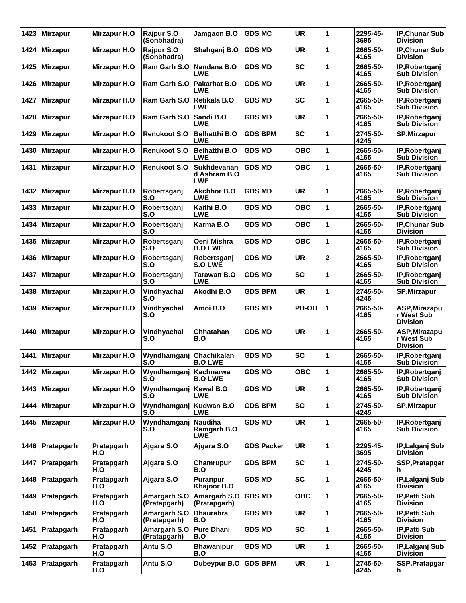| 1423 | <b>Mirzapur</b> | <b>Mirzapur H.O</b> | <b>Rajpur S.O</b><br>(Sonbhadra) | Jamgaon B.O                                      | <b>GDS MC</b>     | <b>UR</b>  | 1           | 2295-45-<br>3695 | <b>IP.Chunar Sub</b><br><b>Division</b>        |
|------|-----------------|---------------------|----------------------------------|--------------------------------------------------|-------------------|------------|-------------|------------------|------------------------------------------------|
| 1424 | <b>Mirzapur</b> | Mirzapur H.O        | Rajpur S.O<br>(Sonbhadra)        | Shahganj B.O                                     | <b>GDS MD</b>     | <b>UR</b>  | 1           | 2665-50-<br>4165 | <b>IP, Chunar Sub</b><br><b>Division</b>       |
| 1425 | <b>Mirzapur</b> | <b>Mirzapur H.O</b> | Ram Garh S.O                     | Nandana B.O<br><b>LWE</b>                        | <b>GDS MD</b>     | <b>SC</b>  | 1           | 2665-50-<br>4165 | IP, Robertganj<br>Sub Division                 |
| 1426 | <b>Mirzapur</b> | Mirzapur H.O        | <b>Ram Garh S.O</b>              | Pakarhat B.O<br>LWE                              | <b>GDS MD</b>     | <b>UR</b>  | 1           | 2665-50-<br>4165 | IP, Robertganj<br><b>Sub Division</b>          |
| 1427 | <b>Mirzapur</b> | Mirzapur H.O        | Ram Garh S.O                     | <b>Retikala B.O</b><br><b>LWE</b>                | <b>GDS MD</b>     | <b>SC</b>  | 1           | 2665-50-<br>4165 | IP, Robertganj<br><b>Sub Division</b>          |
| 1428 | <b>Mirzapur</b> | Mirzapur H.O        | Ram Garh S.O                     | Sandi B.O<br>LWE                                 | <b>GDS MD</b>     | <b>UR</b>  | 1           | 2665-50-<br>4165 | IP, Robertganj<br><b>Sub Division</b>          |
| 1429 | <b>Mirzapur</b> | Mirzapur H.O        | <b>Renukoot S.O</b>              | <b>Belhatthi B.O</b><br>LWE                      | <b>GDS BPM</b>    | <b>SC</b>  | 1           | 2745-50-<br>4245 | <b>SP, Mirzapur</b>                            |
| 1430 | <b>Mirzapur</b> | Mirzapur H.O        | <b>Renukoot S.O</b>              | <b>Belhatthi B.O</b><br><b>LWE</b>               | <b>GDS MD</b>     | <b>OBC</b> | 1           | 2665-50-<br>4165 | IP, Robertganj<br>Sub Division                 |
| 1431 | <b>Mirzapur</b> | Mirzapur H.O        | <b>Renukoot S.O</b>              | <b>Sukhdevanan</b><br>d Ashram B.O<br><b>LWE</b> | <b>GDS MD</b>     | OBC        | 1           | 2665-50-<br>4165 | IP, Robertganj<br><b>Sub Division</b>          |
| 1432 | <b>Mirzapur</b> | Mirzapur H.O        | Robertsganj<br>S.O               | Akchhor B.O<br><b>LWE</b>                        | <b>GDS MD</b>     | <b>UR</b>  | 1           | 2665-50-<br>4165 | IP, Robertganj<br><b>Sub Division</b>          |
| 1433 | <b>Mirzapur</b> | Mirzapur H.O        | Robertsganj<br>S.O               | Kaithi B.O<br>LWE                                | <b>GDS MD</b>     | <b>OBC</b> | 1           | 2665-50-<br>4165 | IP, Robertganj<br><b>Sub Division</b>          |
| 1434 | <b>Mirzapur</b> | <b>Mirzapur H.O</b> | Robertsganj<br>S.O               | Karma B.O                                        | <b>GDS MD</b>     | <b>OBC</b> | 1           | 2665-50-<br>4165 | <b>IP, Chunar Sub</b><br><b>Division</b>       |
| 1435 | <b>Mirzapur</b> | Mirzapur H.O        | Robertsganj<br>S.O               | Oeni Mishra<br><b>B.O LWE</b>                    | <b>GDS MD</b>     | <b>OBC</b> | 1           | 2665-50-<br>4165 | IP, Robertganj<br>Sub Division                 |
| 1436 | <b>Mirzapur</b> | Mirzapur H.O        | Robertsganj<br>S.O               | Robertsganj<br><b>S.O LWE</b>                    | <b>GDS MD</b>     | <b>UR</b>  | $\mathbf 2$ | 2665-50-<br>4165 | IP, Robertganj<br><b>Sub Division</b>          |
| 1437 | <b>Mirzapur</b> | Mirzapur H.O        | Robertsganj<br>S.O               | Tarawan B.O<br>LWE                               | <b>GDS MD</b>     | <b>SC</b>  | 1           | 2665-50-<br>4165 | IP, Robertganj<br><b>Sub Division</b>          |
| 1438 | <b>Mirzapur</b> | Mirzapur H.O        | Vindhyachal<br>S.O               | Akodhi B.O                                       | <b>GDS BPM</b>    | <b>UR</b>  | 1           | 2745-50-<br>4245 | <b>SP, Mirzapur</b>                            |
| 1439 | <b>Mirzapur</b> | <b>Mirzapur H.O</b> | Vindhyachal<br>S.O               | Amoi B.O                                         | <b>GDS MD</b>     | PH-OH      | 1           | 2665-50-<br>4165 | ASP, Mirazapu<br>r West Sub<br><b>Division</b> |
| 1440 | <b>Mirzapur</b> | Mirzapur H.O        | Vindhyachal<br>S.O               | Chhatahan<br>B.O                                 | <b>GDS MD</b>     | <b>UR</b>  | 1           | 2665-50-<br>4165 | ASP, Mirazapu<br>r West Sub<br><b>Division</b> |
| 1441 | <b>Mirzapur</b> | Mirzapur H.O        | Wyndhamganj<br>S.O               | Chachikalan<br><b>B.O LWE</b>                    | <b>GDS MD</b>     | <b>SC</b>  | 1           | 2665-50-<br>4165 | IP, Robertganj<br><b>Sub Division</b>          |
|      | 1442 Mirzapur   | Mirzapur H.O        | Wyndhamganj Kachnarwa<br>S.O     | <b>B.O LWE</b>                                   | <b>GDS MD</b>     | <b>OBC</b> | 1           | 2665-50-<br>4165 | IP, Robertganj<br><b>Sub Division</b>          |
| 1443 | Mirzapur        | Mirzapur H.O        | Wyndhamganj<br>S.O               | <b>Kewal B.O</b><br>LWE                          | <b>GDS MD</b>     | <b>UR</b>  | 1           | 2665-50-<br>4165 | IP, Robertganj<br><b>Sub Division</b>          |
| 1444 | <b>Mirzapur</b> | Mirzapur H.O        | Wyndhamganj<br>S.O               | Kudwan B.O<br><b>LWE</b>                         | <b>GDS BPM</b>    | <b>SC</b>  | 1           | 2745-50-<br>4245 | SP, Mirzapur                                   |
| 1445 | Mirzapur        | Mirzapur H.O        | Wyndhamganj<br>S.O               | <b>Naudiha</b><br>Ramgarh B.O<br><b>LWE</b>      | <b>GDS MD</b>     | <b>UR</b>  | 1           | 2665-50-<br>4165 | IP, Robertganj<br>Sub Division                 |
| 1446 | Pratapgarh      | Pratapgarh<br>H.O   | Ajgara S.O                       | Ajgara S.O                                       | <b>GDS Packer</b> | <b>UR</b>  | 1           | 2295-45-<br>3695 | IP, Lalganj Sub<br><b>Division</b>             |
| 1447 | Pratapgarh      | Pratapgarh<br>H.O   | Ajgara S.O                       | Chamrupur<br>B.O                                 | <b>GDS BPM</b>    | <b>SC</b>  | 1           | 2745-50-<br>4245 | SSP, Pratapgar<br>h                            |
| 1448 | Pratapgarh      | Pratapgarh<br>H.O   | Ajgara S.O                       | Puranpur<br>Khajoor B.O                          | <b>GDS MD</b>     | <b>SC</b>  | 1           | 2665-50-<br>4165 | IP, Lalganj Sub<br><b>Division</b>             |
| 1449 | Pratapgarh      | Pratapgarh<br>H.O   | Amargarh S.O<br>(Pratapgarh)     | Amargarh S.O<br>(Pratapgarh)                     | <b>GDS MD</b>     | <b>OBC</b> | 1           | 2665-50-<br>4165 | <b>IP.Patti Sub</b><br><b>Division</b>         |
| 1450 | Pratapgarh      | Pratapgarh<br>H.O   | Amargarh S.O<br>(Pratapgarh)     | <b>Dhaurahra</b><br>B.O                          | <b>GDS MD</b>     | <b>UR</b>  | 1           | 2665-50-<br>4165 | <b>IP.Patti Sub</b><br><b>Division</b>         |
| 1451 | Pratapgarh      | Pratapgarh<br>H.O   | Amargarh S.O<br>(Pratapgarh)     | <b>Pure Dhani</b><br>B.O                         | <b>GDS MD</b>     | <b>SC</b>  | 1           | 2665-50-<br>4165 | IP, Patti Sub<br><b>Division</b>               |
| 1452 | Pratapgarh      | Pratapgarh<br>H.O   | Antu S.O                         | <b>Bhawanipur</b><br>B.O                         | <b>GDS MD</b>     | <b>UR</b>  | 1           | 2665-50-<br>4165 | IP, Lalganj Sub<br><b>Division</b>             |
| 1453 | Pratapgarh      | Pratapgarh<br>H.O   | Antu S.O                         | Dubeypur B.O                                     | <b>GDS BPM</b>    | <b>UR</b>  | 1           | 2745-50-<br>4245 | SSP, Pratapgar<br>h.                           |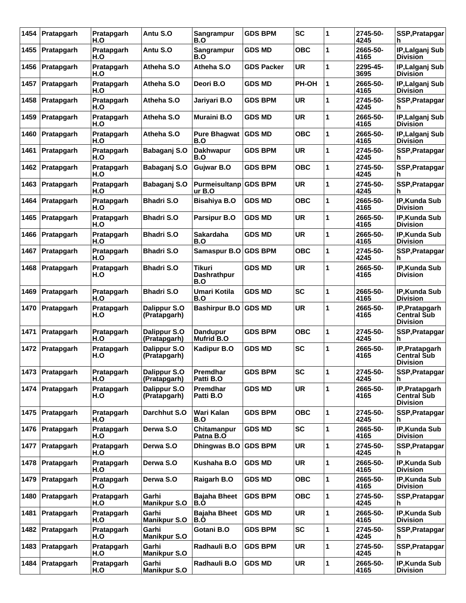| 1454 | Pratapgarh        | Pratapgarh<br>H.O | Antu S.O                     | Sangrampur<br>B.O                          | <b>GDS BPM</b>    | <b>SC</b>  | 1 | 2745-50-<br>4245 | SSP, Pratapgar<br>h                                     |
|------|-------------------|-------------------|------------------------------|--------------------------------------------|-------------------|------------|---|------------------|---------------------------------------------------------|
| 1455 | Pratapgarh        | Pratapgarh<br>H.O | Antu S.O                     | Sangrampur<br>B.O                          | <b>GDS MD</b>     | <b>OBC</b> | 1 | 2665-50-<br>4165 | IP, Lalganj Sub<br><b>Division</b>                      |
| 1456 | Pratapgarh        | Pratapgarh<br>H.O | Atheha S.O                   | Atheha S.O                                 | <b>GDS Packer</b> | <b>UR</b>  | 1 | 2295-45-<br>3695 | IP, Lalganj Sub<br><b>Division</b>                      |
| 1457 | Pratapgarh        | Pratapgarh<br>H.O | Atheha S.O                   | Deori B.O                                  | <b>GDS MD</b>     | PH-OH      | 1 | 2665-50-<br>4165 | IP,Lalganj Sub<br><b>Division</b>                       |
| 1458 | Pratapgarh        | Pratapgarh<br>H.O | Atheha S.O                   | Jariyari B.O                               | <b>GDS BPM</b>    | <b>UR</b>  | 1 | 2745-50-<br>4245 | SSP, Pratapgar<br>h                                     |
| 1459 | Pratapgarh        | Pratapgarh<br>H.O | Atheha S.O                   | Muraini B.O                                | <b>GDS MD</b>     | <b>UR</b>  | 1 | 2665-50-<br>4165 | IP, Lalganj Sub<br><b>Division</b>                      |
| 1460 | Pratapgarh        | Pratapgarh<br>H.O | Atheha S.O                   | <b>Pure Bhagwat</b><br>B.O                 | <b>GDS MD</b>     | <b>OBC</b> | 1 | 2665-50-<br>4165 | IP, Lalganj Sub<br><b>Division</b>                      |
| 1461 | Pratapgarh        | Pratapgarh<br>H.O | Babaganj S.O                 | <b>Dakhwapur</b><br>B.O                    | <b>GDS BPM</b>    | <b>UR</b>  | 1 | 2745-50-<br>4245 | SSP, Pratapgar<br>h                                     |
| 1462 | Pratapgarh        | Pratapgarh<br>H.O | Babaganj S.O                 | Gujwar B.O                                 | <b>GDS BPM</b>    | OBC        | 1 | 2745-50-<br>4245 | SSP, Pratapgar<br>h                                     |
| 1463 | Pratapgarh        | Pratapgarh<br>H.O | Babaganj S.O                 | Purmeisultanp<br>ur B.O                    | <b>GDS BPM</b>    | <b>UR</b>  | 1 | 2745-50-<br>4245 | SSP, Pratapgar<br>h                                     |
| 1464 | Pratapgarh        | Pratapgarh<br>H.O | <b>Bhadri S.O</b>            | <b>Bisahiya B.O</b>                        | <b>GDS MD</b>     | <b>OBC</b> | 1 | 2665-50-<br>4165 | IP, Kunda Sub<br><b>Division</b>                        |
| 1465 | Pratapgarh        | Pratapgarh<br>H.O | <b>Bhadri S.O</b>            | <b>Parsipur B.O</b>                        | <b>GDS MD</b>     | <b>UR</b>  | 1 | 2665-50-<br>4165 | IP, Kunda Sub<br><b>Division</b>                        |
| 1466 | Pratapgarh        | Pratapgarh<br>H.O | <b>Bhadri S.O</b>            | <b>Sakardaha</b><br>B.O                    | <b>GDS MD</b>     | <b>UR</b>  | 1 | 2665-50-<br>4165 | IP, Kunda Sub<br>Division                               |
| 1467 | Pratapgarh        | Pratapgarh<br>H.O | <b>Bhadri S.O</b>            | Samaspur B.O                               | <b>GDS BPM</b>    | <b>OBC</b> | 1 | 2745-50-<br>4245 | SSP, Pratapgar<br>h                                     |
| 1468 | Pratapgarh        | Pratapgarh<br>H.O | <b>Bhadri S.O</b>            | <b>Tikuri</b><br><b>Dashrathpur</b><br>B.O | <b>GDS MD</b>     | <b>UR</b>  | 1 | 2665-50-<br>4165 | IP, Kunda Sub<br><b>Division</b>                        |
| 1469 | Pratapgarh        | Pratapgarh<br>H.O | <b>Bhadri S.O</b>            | Umari Kotila<br>B.O                        | <b>GDS MD</b>     | <b>SC</b>  | 1 | 2665-50-<br>4165 | IP, Kunda Sub<br><b>Division</b>                        |
| 1470 | Pratapgarh        | Pratapgarh<br>H.O | Dalippur S.O<br>(Pratapgarh) | <b>Bashirpur B.O</b>                       | <b>GDS MD</b>     | <b>UR</b>  | 1 | 2665-50-<br>4165 | IP, Pratapgarh<br><b>Central Sub</b><br><b>Division</b> |
| 1471 | Pratapgarh        | Pratapgarh<br>H.O | Dalippur S.O<br>(Pratapgarh) | <b>Dandupur</b><br><b>Mufrid B.O</b>       | <b>GDS BPM</b>    | <b>OBC</b> | 1 | 2745-50-<br>4245 | SSP, Pratapgar<br>h                                     |
| 1472 | Pratapgarh        | Pratapgarh<br>H.O | Dalippur S.O<br>(Pratapgarh) | <b>Kadipur B.O</b>                         | <b>GDS MD</b>     | <b>SC</b>  | 1 | 2665-50-<br>4165 | IP, Pratapgarh<br><b>Central Sub</b><br><b>Division</b> |
|      | 1473   Pratapgarh | Pratapgarh<br>H.O | Dalippur S.O<br>(Pratapgarh) | Premdhar<br>Patti B.O                      | <b>GDS BPM</b>    | SC         | 1 | 2745-50-<br>4245 | SSP, Pratapgar<br>h                                     |
| 1474 | Pratapgarh        | Pratapgarh<br>H.O | Dalippur S.O<br>(Pratapgarh) | <b>Premdhar</b><br>Patti B.O               | <b>GDS MD</b>     | UR.        | 1 | 2665-50-<br>4165 | IP, Pratapgarh<br><b>Central Sub</b><br><b>Division</b> |
| 1475 | Pratapgarh        | Pratapgarh<br>H.O | Darchhut S.O                 | Wari Kalan<br>B.O                          | <b>GDS BPM</b>    | <b>OBC</b> | 1 | 2745-50-<br>4245 | SSP, Pratapgar<br>h                                     |
| 1476 | Pratapgarh        | Pratapgarh<br>H.O | Derwa S.O                    | <b>Chitamanpur</b><br>Patna B.O            | <b>GDS MD</b>     | <b>SC</b>  | 1 | 2665-50-<br>4165 | IP, Kunda Sub<br><b>Division</b>                        |
| 1477 | Pratapgarh        | Pratapgarh<br>H.O | Derwa S.O                    | Dhingwas B.O                               | <b>GDS BPM</b>    | <b>UR</b>  | 1 | 2745-50-<br>4245 | SSP, Pratapgar<br>h                                     |
| 1478 | Pratapgarh        | Pratapgarh<br>H.O | Derwa S.O                    | Kushaha B.O                                | <b>GDS MD</b>     | <b>UR</b>  | 1 | 2665-50-<br>4165 | IP, Kunda Sub<br><b>Division</b>                        |
| 1479 | Pratapgarh        | Pratapgarh<br>H.O | Derwa S.O                    | Raigarh B.O                                | <b>GDS MD</b>     | <b>OBC</b> | 1 | 2665-50-<br>4165 | IP, Kunda Sub<br><b>Division</b>                        |
| 1480 | Pratapgarh        | Pratapgarh<br>H.O | Garhi<br><b>Manikpur S.O</b> | <b>Bajaha Bheet</b><br>B.O                 | <b>GDS BPM</b>    | <b>OBC</b> | 1 | 2745-50-<br>4245 | SSP, Pratapgar<br>h                                     |
| 1481 | Pratapgarh        | Pratapgarh<br>H.O | Garhi<br><b>Manikpur S.O</b> | <b>Bajaha Bheet</b><br>B.O                 | <b>GDS MD</b>     | UR         | 1 | 2665-50-<br>4165 | IP, Kunda Sub<br><b>Division</b>                        |
| 1482 | Pratapgarh        | Pratapgarh<br>H.O | Garhi<br><b>Manikpur S.O</b> | Gotani B.O                                 | <b>GDS BPM</b>    | <b>SC</b>  | 1 | 2745-50-<br>4245 | SSP, Pratapgar<br>h                                     |
| 1483 | Pratapgarh        | Pratapgarh<br>H.O | Garhi<br><b>Manikpur S.O</b> | Radhauli B.O                               | <b>GDS BPM</b>    | <b>UR</b>  | 1 | 2745-50-<br>4245 | SSP, Pratapgar<br>h                                     |
| 1484 | Pratapgarh        | Pratapgarh<br>H.O | Garhi<br><b>Manikpur S.O</b> | Radhauli B.O                               | <b>GDS MD</b>     | UR         | 1 | 2665-50-<br>4165 | IP,Kunda Sub<br><b>Division</b>                         |
|      |                   |                   |                              |                                            |                   |            |   |                  |                                                         |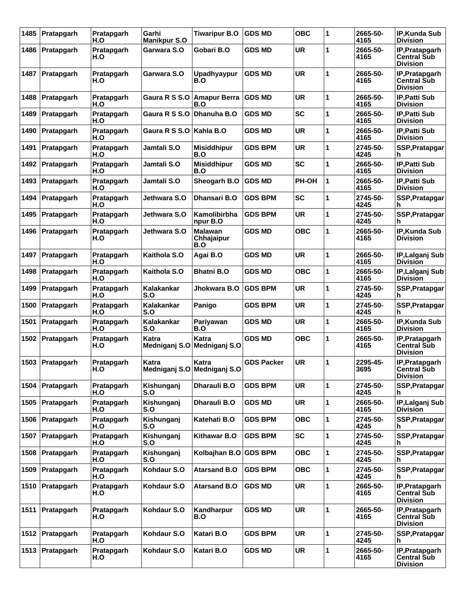| 1485 | Pratapgarh      | Pratapgarh<br>H.O | Garhi<br><b>Manikpur S.O</b> | <b>Tiwaripur B.O</b>                 | <b>GDS MD</b>     | <b>OBC</b> | 1            | 2665-50-<br>4165 | <b>IP, Kunda Sub</b><br><b>Division</b>                 |
|------|-----------------|-------------------|------------------------------|--------------------------------------|-------------------|------------|--------------|------------------|---------------------------------------------------------|
| 1486 | Pratapgarh      | Pratapgarh<br>H.O | Garwara S.O                  | Gobari B.O                           | <b>GDS MD</b>     | <b>UR</b>  | 1            | 2665-50-<br>4165 | IP, Pratapgarh<br><b>Central Sub</b><br><b>Division</b> |
| 1487 | Pratapgarh      | Pratapgarh<br>H.O | Garwara S.O                  | Upadhyaypur<br>B.O                   | <b>GDS MD</b>     | <b>UR</b>  | 1            | 2665-50-<br>4165 | IP, Pratapgarh<br><b>Central Sub</b><br><b>Division</b> |
| 1488 | Pratapgarh      | Pratapgarh<br>H.O | Gaura R S S.O                | <b>Amapur Berra</b><br>B.O           | <b>GDS MD</b>     | UR         | 1            | 2665-50-<br>4165 | <b>IP, Patti Sub</b><br><b>Division</b>                 |
| 1489 | Pratapgarh      | Pratapgarh<br>H.O | Gaura R S S.O                | Dhanuha B.O                          | <b>GDS MD</b>     | <b>SC</b>  | 1            | 2665-50-<br>4165 | <b>IP.Patti Sub</b><br><b>Division</b>                  |
| 1490 | Pratapgarh      | Pratapgarh<br>H.O | Gaura R S S.O                | Kahla B.O                            | <b>GDS MD</b>     | <b>UR</b>  | 1            | 2665-50-<br>4165 | IP, Patti Sub<br><b>Division</b>                        |
| 1491 | Pratapgarh      | Pratapgarh<br>H.O | Jamtali S.O                  | <b>Misiddhipur</b><br>B.O            | <b>GDS BPM</b>    | <b>UR</b>  | 1            | 2745-50-<br>4245 | SSP, Pratapgar<br>h                                     |
| 1492 | Pratapgarh      | Pratapgarh<br>H.O | Jamtali S.O                  | <b>Misiddhipur</b><br>B.O            | <b>GDS MD</b>     | <b>SC</b>  | 1            | 2665-50-<br>4165 | IP, Patti Sub<br><b>Division</b>                        |
| 1493 | Pratapgarh      | Pratapgarh<br>H.O | Jamtali S.O                  | Sheogarh B.O                         | <b>GDS MD</b>     | PH-OH      | 1            | 2665-50-<br>4165 | <b>IP, Patti Sub</b><br><b>Division</b>                 |
| 1494 | Pratapgarh      | Pratapgarh<br>H.O | Jethwara S.O                 | Dhansari B.O                         | <b>GDS BPM</b>    | <b>SC</b>  | 1            | 2745-50-<br>4245 | SSP, Pratapgar                                          |
| 1495 | Pratapgarh      | Pratapgarh<br>H.O | Jethwara S.O                 | Kamolibirbha<br>npur B.O             | <b>GDS BPM</b>    | <b>UR</b>  | 1            | 2745-50-<br>4245 | SSP, Pratapgar<br>h                                     |
| 1496 | Pratapgarh      | Pratapgarh<br>H.O | Jethwara S.O                 | <b>Malawan</b><br>Chhajaipur<br>B.O  | <b>GDS MD</b>     | <b>OBC</b> | 1            | 2665-50-<br>4165 | IP, Kunda Sub<br><b>Division</b>                        |
| 1497 | Pratapgarh      | Pratapgarh<br>H.O | Kaithola S.O                 | Agai B.O                             | <b>GDS MD</b>     | <b>UR</b>  | 1            | 2665-50-<br>4165 | IP, Lalganj Sub<br><b>Division</b>                      |
| 1498 | Pratapgarh      | Pratapgarh<br>H.O | Kaithola S.O                 | <b>Bhatni B.O</b>                    | <b>GDS MD</b>     | <b>OBC</b> | 1            | 2665-50-<br>4165 | IP, Lalganj Sub<br><b>Division</b>                      |
| 1499 | Pratapgarh      | Pratapgarh<br>H.O | Kalakankar<br>S.O            | Jhokwara B.O                         | <b>GDS BPM</b>    | <b>UR</b>  | 1            | 2745-50-<br>4245 | SSP, Pratapgar                                          |
| 1500 | Pratapgarh      | Pratapgarh<br>H.O | Kalakankar<br>S.O            | Panigo                               | <b>GDS BPM</b>    | <b>UR</b>  | 1            | 2745-50-<br>4245 | SSP, Pratapgar<br>h                                     |
| 1501 | Pratapgarh      | Pratapgarh<br>H.O | Kalakankar<br>S.O            | Pariyawan<br>B.O                     | <b>GDS MD</b>     | <b>UR</b>  | 1            | 2665-50-<br>4165 | IP, Kunda Sub<br><b>Division</b>                        |
| 1502 | Pratapgarh      | Pratapgarh<br>H.O | Katra                        | Katra<br>Medniganj S.O Medniganj S.O | <b>GDS MD</b>     | <b>OBC</b> | 1            | 2665-50-<br>4165 | IP, Pratapgarh<br><b>Central Sub</b><br><b>Division</b> |
| 1503 | Pratapgarh      | Pratapgarh<br>H.O | Katra                        | Katra<br>Medniganj S.O Medniganj S.O | <b>GDS Packer</b> | <b>UR</b>  | 1            | 2295-45-<br>3695 | IP, Pratapgarh<br><b>Central Sub</b><br><b>Division</b> |
| 1504 | Pratapgarh      | Pratapgarh<br>H.O | Kishunganj<br>S.O            | Dharauli B.O                         | <b>GDS BPM</b>    | <b>UR</b>  | $\mathbf{1}$ | 2745-50-<br>4245 | SSP, Pratapgar<br>h.                                    |
| 1505 | Pratapgarh      | Pratapgarh<br>H.O | Kishunganj<br>S.O            | Dharauli B.O                         | <b>GDS MD</b>     | <b>UR</b>  | $\mathbf{1}$ | 2665-50-<br>4165 | IP, Lalganj Sub<br><b>Division</b>                      |
| 1506 | Pratapgarh      | Pratapgarh<br>H.O | Kishunganj<br>S.O            | Katehati B.O                         | <b>GDS BPM</b>    | <b>OBC</b> | $\mathbf{1}$ | 2745-50-<br>4245 | SSP, Pratapgar<br>h.                                    |
| 1507 | Pratapgarh      | Pratapgarh<br>H.O | Kishunganj<br>S.O            | Kithawar B.O                         | <b>GDS BPM</b>    | <b>SC</b>  | $\mathbf{1}$ | 2745-50-<br>4245 | SSP, Pratapgar<br>h                                     |
| 1508 | Pratapgarh      | Pratapgarh<br>H.O | Kishunganj<br>S.O            | Kolbajhan B.O GDS BPM                |                   | <b>OBC</b> | $\mathbf{1}$ | 2745-50-<br>4245 | SSP, Pratapgar                                          |
| 1509 | Pratapgarh      | Pratapgarh<br>H.O | Kohdaur S.O                  | <b>Atarsand B.O</b>                  | <b>GDS BPM</b>    | <b>OBC</b> | $\mathbf{1}$ | 2745-50-<br>4245 | SSP, Pratapgar                                          |
| 1510 | Pratapgarh      | Pratapgarh<br>H.O | Kohdaur S.O                  | <b>Atarsand B.O</b>                  | <b>GDS MD</b>     | <b>UR</b>  | 1            | 2665-50-<br>4165 | IP, Pratapgarh<br><b>Central Sub</b><br><b>Division</b> |
| 1511 | Pratapgarh      | Pratapgarh<br>H.O | Kohdaur S.O                  | Kandharpur<br>B.O                    | <b>GDS MD</b>     | <b>UR</b>  | 1            | 2665-50-<br>4165 | IP, Pratapgarh<br><b>Central Sub</b><br><b>Division</b> |
|      | 1512 Pratapgarh | Pratapgarh<br>H.O | Kohdaur S.O                  | Katari B.O                           | <b>GDS BPM</b>    | <b>UR</b>  | 1            | 2745-50-<br>4245 | SSP, Pratapgar<br>h                                     |
| 1513 | Pratapgarh      | Pratapgarh<br>H.O | Kohdaur S.O                  | Katari B.O                           | <b>GDS MD</b>     | <b>UR</b>  | 1            | 2665-50-<br>4165 | IP, Pratapgarh<br><b>Central Sub</b><br><b>Division</b> |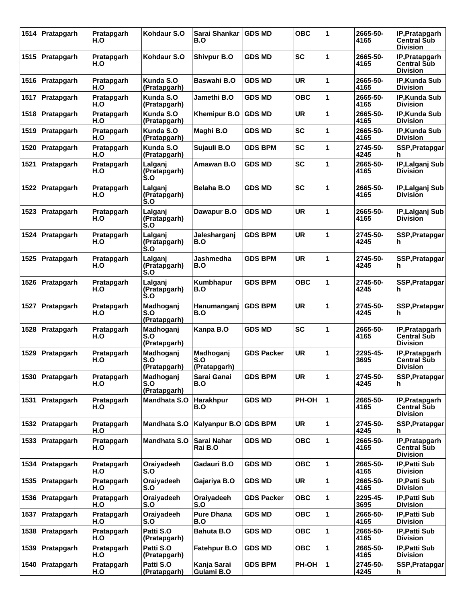| 1514 | Pratapgarh      | Pratapgarh<br>H.O | Kohdaur S.O                                        | Sarai Shankar<br>B.O             | <b>GDS MD</b>     | <b>OBC</b> | 1                       | 2665-50-<br>4165 | IP, Pratapgarh<br>Central Sub<br><b>Division</b>        |
|------|-----------------|-------------------|----------------------------------------------------|----------------------------------|-------------------|------------|-------------------------|------------------|---------------------------------------------------------|
| 1515 | Pratapgarh      | Pratapgarh<br>H.O | Kohdaur S.O                                        | <b>Shivpur B.O</b>               | <b>GDS MD</b>     | <b>SC</b>  | 1                       | 2665-50-<br>4165 | IP, Pratapgarh<br><b>Central Sub</b><br><b>Division</b> |
| 1516 | Pratapgarh      | Pratapgarh<br>H.O | Kunda S.O<br>(Pratapgarh)                          | Baswahi B.O                      | <b>GDS MD</b>     | <b>UR</b>  | 1                       | 2665-50-<br>4165 | IP, Kunda Sub<br><b>Division</b>                        |
| 1517 | Pratapgarh      | Pratapgarh<br>H.O | Kunda S.O<br>(Pratapgarh)                          | Jamethi B.O                      | <b>GDS MD</b>     | <b>OBC</b> | 1                       | 2665-50-<br>4165 | <b>IP.Kunda Sub</b><br>Division                         |
| 1518 | Pratapgarh      | Pratapgarh<br>H.O | Kunda S.O<br>(Pratapgarh)                          | <b>Khemipur B.O</b>              | <b>GDS MD</b>     | <b>UR</b>  | 1                       | 2665-50-<br>4165 | IP, Kunda Sub<br><b>Division</b>                        |
| 1519 | Pratapgarh      | Pratapgarh<br>H.O | Kunda S.O<br>(Pratapgarh)                          | Maghi B.O                        | <b>GDS MD</b>     | <b>SC</b>  | 1                       | 2665-50-<br>4165 | IP, Kunda Sub<br><b>Division</b>                        |
| 1520 | Pratapgarh      | Pratapgarh<br>H.O | Kunda S.O<br>(Pratapgarh)                          | Sujauli B.O                      | <b>GDS BPM</b>    | <b>SC</b>  | 1                       | 2745-50-<br>4245 | SSP, Pratapgar<br>h                                     |
| 1521 | Pratapgarh      | Pratapgarh<br>H.O | Lalganj<br>(Pratapgarh)<br>S.O                     | Amawan B.O                       | <b>GDS MD</b>     | <b>SC</b>  | 1                       | 2665-50-<br>4165 | IP, Lalganj Sub<br><b>Division</b>                      |
| 1522 | Pratapgarh      | Pratapgarh<br>H.O | Lalqani<br>(Pratapgarh)<br>$\mathsf{S}.\mathsf{O}$ | Belaha B.O                       | <b>GDS MD</b>     | <b>SC</b>  | 1                       | 2665-50-<br>4165 | IP, Lalganj Sub<br><b>Division</b>                      |
| 1523 | Pratapgarh      | Pratapgarh<br>H.O | Lalganj<br>(Pratapgarh)<br>$\mathsf{S}.\mathsf{O}$ | Dawapur B.O                      | <b>GDS MD</b>     | <b>UR</b>  | 1                       | 2665-50-<br>4165 | IP,Lalganj Sub<br><b>Division</b>                       |
| 1524 | Pratapgarh      | Pratapgarh<br>H.O | Lalganj<br>(Pratapgarh)<br>$\mathsf{S}.\mathsf{O}$ | Jalesharganj<br>B.O              | <b>GDS BPM</b>    | <b>UR</b>  | 1                       | 2745-50-<br>4245 | SSP, Pratapgar<br>h                                     |
| 1525 | Pratapgarh      | Pratapgarh<br>H.O | Lalganj<br>(Pratapgarh)<br>S.O                     | Jashmedha<br>B.O                 | <b>GDS BPM</b>    | <b>UR</b>  | 1                       | 2745-50-<br>4245 | SSP, Pratapgar<br>h                                     |
| 1526 | Pratapgarh      | Pratapgarh<br>H.O | Lalganj<br>(Pratapgarh)<br>S.O                     | <b>Kumbhapur</b><br>B.O          | <b>GDS BPM</b>    | <b>OBC</b> | 1                       | 2745-50-<br>4245 | SSP, Pratapgar<br>h                                     |
| 1527 | Pratapgarh      | Pratapgarh<br>H.O | Madhoganj<br>S.O<br>(Pratapgarh)                   | Hanumanganj<br>B.O               | <b>GDS BPM</b>    | <b>UR</b>  | 1                       | 2745-50-<br>4245 | SSP, Pratapgar<br>h                                     |
| 1528 | Pratapgarh      | Pratapgarh<br>H.O | Madhoganj<br>S.O<br>(Pratapgarh)                   | Kanpa B.O                        | <b>GDS MD</b>     | <b>SC</b>  | 1                       | 2665-50-<br>4165 | IP, Pratapgarh<br><b>Central Sub</b><br><b>Division</b> |
| 1529 | Pratapgarh      | Pratapgarh<br>H.O | Madhoganj<br>S.O<br>(Pratapgarh)                   | Madhoganj<br>S.O<br>(Pratapgarh) | <b>GDS Packer</b> | <b>UR</b>  | 1                       | 2295-45-<br>3695 | IP, Pratapgarh<br><b>Central Sub</b><br><b>Division</b> |
|      | 1530 Pratapgarh | Pratapgarh<br>H.O | Madhoganj<br>S.O<br>(Pratapgarh)                   | Sarai Ganai<br>B.O               | <b>GDS BPM</b>    | <b>UR</b>  | 1                       | 2745-50-<br>4245 | SSP, Pratapgar<br>h                                     |
| 1531 | Pratapgarh      | Pratapgarh<br>H.O | Mandhata S.O                                       | Harakhpur<br>B.O                 | <b>GDS MD</b>     | PH-OH      | $\vert$ 1               | 2665-50-<br>4165 | IP, Pratapgarh<br><b>Central Sub</b><br><b>Division</b> |
| 1532 | Pratapgarh      | Pratapgarh<br>H.O | Mandhata S.O                                       | Kalyanpur B.O GDS BPM            |                   | <b>UR</b>  | 1                       | 2745-50-<br>4245 | SSP, Pratapgar<br>h                                     |
|      | 1533 Pratapgarh | Pratapgarh<br>H.O | Mandhata S.O                                       | Sarai Nahar<br>Rai B.O           | <b>GDS MD</b>     | <b>OBC</b> | 1                       | 2665-50-<br>4165 | IP, Pratapgarh<br><b>Central Sub</b><br><b>Division</b> |
| 1534 | Pratapgarh      | Pratapgarh<br>H.O | Oraiyadeeh<br>S.O                                  | Gadauri B.O                      | <b>GDS MD</b>     | <b>OBC</b> | 1                       | 2665-50-<br>4165 | IP, Patti Sub<br><b>Division</b>                        |
| 1535 | Pratapgarh      | Pratapgarh<br>H.O | Oraiyadeeh<br>S.O                                  | Gajariya B.O                     | <b>GDS MD</b>     | UR         | 1                       | 2665-50-<br>4165 | IP, Patti Sub<br><b>Division</b>                        |
| 1536 | Pratapgarh      | Pratapgarh<br>H.O | Oraiyadeeh<br>S.O                                  | Oraiyadeeh<br>S.O                | GDS Packer        | <b>OBC</b> | 1                       | 2295-45-<br>3695 | IP, Patti Sub<br><b>Division</b>                        |
| 1537 | Pratapgarh      | Pratapgarh<br>H.O | Oraiyadeeh<br>S.O                                  | <b>Pure Dhana</b><br>B.O         | <b>GDS MD</b>     | <b>OBC</b> | 1                       | 2665-50-<br>4165 | IP, Patti Sub<br><b>Division</b>                        |
| 1538 | Pratapgarh      | Pratapgarh<br>H.O | Patti S.O<br>(Pratapgarh)                          | <b>Bahuta B.O</b>                | <b>GDS MD</b>     | <b>OBC</b> | 1                       | 2665-50-<br>4165 | IP, Patti Sub<br><b>Division</b>                        |
| 1539 | Pratapgarh      | Pratapgarh<br>H.O | Patti S.O<br>(Pratapgarh)                          | <b>Fatehpur B.O</b>              | <b>GDS MD</b>     | <b>OBC</b> | 1                       | 2665-50-<br>4165 | IP, Patti Sub<br><b>Division</b>                        |
| 1540 | Pratapgarh      | Pratapgarh<br>H.O | Patti S.O<br>(Pratapgarh)                          | Kanja Sarai<br>Gulami B.O        | <b>GDS BPM</b>    | PH-OH      | $\overline{\mathbf{1}}$ | 2745-50-<br>4245 | SSP, Pratapgar<br>h.                                    |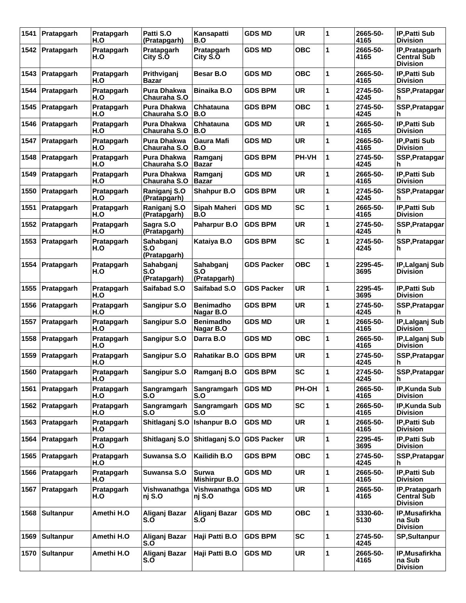| 1541 | Pratapgarh       | Pratapgarh<br>H.O | Patti S.O<br>(Pratapgarh)          | Kansapatti<br>B.O                | <b>GDS MD</b>     | <b>UR</b>  | 1            | 2665-50-<br>4165 | IP.Patti Sub<br><b>Division</b>                         |
|------|------------------|-------------------|------------------------------------|----------------------------------|-------------------|------------|--------------|------------------|---------------------------------------------------------|
| 1542 | Pratapgarh       | Pratapgarh<br>H.O | Pratapgarh<br>City S.O             | Pratapgarh<br>City S.O           | <b>GDS MD</b>     | <b>OBC</b> | 1            | 2665-50-<br>4165 | IP, Pratapgarh<br><b>Central Sub</b><br><b>Division</b> |
| 1543 | Pratapgarh       | Pratapgarh<br>H.O | Prithviganj<br>Bazar               | Besar B.O                        | <b>GDS MD</b>     | <b>OBC</b> | 1            | 2665-50-<br>4165 | <b>IP.Patti Sub</b><br><b>Division</b>                  |
| 1544 | Pratapgarh       | Pratapgarh<br>H.O | Pura Dhakwa<br>Chauraha S.O        | <b>Binaika B.O</b>               | <b>GDS BPM</b>    | <b>UR</b>  | 1            | 2745-50-<br>4245 | SSP, Pratapgar                                          |
| 1545 | Pratapgarh       | Pratapgarh<br>H.O | Pura Dhakwa<br>Chauraha S.O        | Chhatauna<br>B.O                 | <b>GDS BPM</b>    | <b>OBC</b> | 1            | 2745-50-<br>4245 | SSP, Pratapgar<br>h                                     |
| 1546 | Pratapgarh       | Pratapgarh<br>H.O | Pura Dhakwa<br>Chauraha S.O        | Chhatauna<br>B.O                 | <b>GDS MD</b>     | <b>UR</b>  | 1            | 2665-50-<br>4165 | IP, Patti Sub<br><b>Division</b>                        |
| 1547 | Pratapgarh       | Pratapgarh<br>H.O | Pura Dhakwa<br>Chauraha S.O        | Gaura Mafi<br>B.O                | <b>GDS MD</b>     | <b>UR</b>  | 1            | 2665-50-<br>4165 | <b>IP.Patti Sub</b><br><b>Division</b>                  |
| 1548 | Pratapgarh       | Pratapgarh<br>H.O | <b>Pura Dhakwa</b><br>Chauraha S.O | Ramganj<br>Bazar                 | <b>GDS BPM</b>    | PH-VH      | 1            | 2745-50-<br>4245 | SSP, Pratapgar<br>h                                     |
| 1549 | Pratapgarh       | Pratapgarh<br>H.O | Pura Dhakwa<br>Chauraha S.O        | Ramganj<br><b>Bazar</b>          | <b>GDS MD</b>     | <b>UR</b>  | 1            | 2665-50-<br>4165 | <b>IP.Patti Sub</b><br><b>Division</b>                  |
| 1550 | Pratapgarh       | Pratapgarh<br>H.O | Raniganj S.O<br>(Pratapgarh)       | <b>Shahpur B.O</b>               | <b>GDS BPM</b>    | <b>UR</b>  | 1            | 2745-50-<br>4245 | SSP, Pratapgar<br>h                                     |
| 1551 | Pratapgarh       | Pratapgarh<br>H.O | Raniganj S.O<br>(Pratapgarh)       | Sipah Maheri<br>B.O              | <b>GDS MD</b>     | <b>SC</b>  | 1            | 2665-50-<br>4165 | IP, Patti Sub<br><b>Division</b>                        |
| 1552 | Pratapgarh       | Pratapgarh<br>H.O | Sagra S.O<br>(Pratapgarh)          | Paharpur B.O                     | <b>GDS BPM</b>    | <b>UR</b>  | 1            | 2745-50-<br>4245 | SSP, Pratapgar<br>h                                     |
| 1553 | Pratapgarh       | Pratapgarh<br>H.O | Sahabganj<br>S.O<br>(Pratapgarh)   | Kataiya B.O                      | <b>GDS BPM</b>    | <b>SC</b>  | 1            | 2745-50-<br>4245 | SSP, Pratapgar<br>h                                     |
| 1554 | Pratapgarh       | Pratapgarh<br>H.O | Sahabganj<br>S.O<br>(Pratapgarh)   | Sahabganj<br>S.O<br>(Pratapgarh) | <b>GDS Packer</b> | <b>OBC</b> | 1            | 2295-45-<br>3695 | IP, Lalganj Sub<br><b>Division</b>                      |
| 1555 | Pratapgarh       | Pratapgarh<br>H.O | Saifabad S.O                       | Saifabad S.O                     | <b>GDS Packer</b> | <b>UR</b>  | 1            | 2295-45-<br>3695 | IP, Patti Sub<br><b>Division</b>                        |
| 1556 | Pratapgarh       | Pratapgarh<br>H.O | <b>Sangipur S.O</b>                | <b>Benimadho</b><br>Nagar B.O    | <b>GDS BPM</b>    | <b>UR</b>  | 1            | 2745-50-<br>4245 | SSP, Pratapgar<br>h                                     |
| 1557 | Pratapgarh       | Pratapgarh<br>H.O | Sangipur S.O                       | <b>Benimadho</b><br>Nagar B.O    | <b>GDS MD</b>     | <b>UR</b>  | 1            | 2665-50-<br>4165 | IP, Lalganj Sub<br><b>Division</b>                      |
| 1558 | Pratapgarh       | Pratapgarh<br>H.O | <b>Sangipur S.O</b>                | Darra B.O                        | <b>GDS MD</b>     | <b>OBC</b> | 1            | 2665-50-<br>4165 | IP, Lalganj Sub<br><b>Division</b>                      |
| 1559 | Pratapgarh       | Pratapgarh<br>H.O | <b>Sangipur S.O</b>                | <b>Rahatikar B.O</b>             | <b>GDS BPM</b>    | <b>UR</b>  | 1            | 2745-50-<br>4245 | SSP, Pratapgar<br>h                                     |
|      | 1560 Pratapgarh  | Pratapgarh<br>H.O | Sangipur S.O                       | Ramganj B.O                      | <b>GDS BPM</b>    | <b>SC</b>  | 1            | 2745-50-<br>4245 | SSP, Pratapgar<br>h                                     |
| 1561 | Pratapgarh       | Pratapgarh<br>H.O | Sangramgarh<br>S.O                 | Sangramgarh<br>S.O               | <b>GDS MD</b>     | PH-OH      | $\mathbf{1}$ | 2665-50-<br>4165 | IP, Kunda Sub<br><b>Division</b>                        |
| 1562 | Pratapgarh       | Pratapgarh<br>H.O | Sangramgarh<br>S.O                 | Sangramgarh<br>S.O               | <b>GDS MD</b>     | <b>SC</b>  | 1            | 2665-50-<br>4165 | IP, Kunda Sub<br><b>Division</b>                        |
| 1563 | Pratapgarh       | Pratapgarh<br>H.O | Shitlaganj S.O                     | <b>Ishanpur B.O</b>              | <b>GDS MD</b>     | <b>UR</b>  | 1            | 2665-50-<br>4165 | IP, Patti Sub<br><b>Division</b>                        |
| 1564 | Pratapgarh       | Pratapgarh<br>H.O | Shitlaganj S.O                     | Shitlaganj S.O                   | <b>GDS Packer</b> | <b>UR</b>  | 1            | 2295-45-<br>3695 | IP, Patti Sub<br><b>Division</b>                        |
| 1565 | Pratapgarh       | Pratapgarh<br>H.O | Suwansa S.O                        | Kailidih B.O                     | <b>GDS BPM</b>    | <b>OBC</b> | 1            | 2745-50-<br>4245 | SSP, Pratapgar<br>h                                     |
| 1566 | Pratapgarh       | Pratapgarh<br>H.O | Suwansa S.O                        | Surwa<br><b>Mishirpur B.O</b>    | <b>GDS MD</b>     | <b>UR</b>  | 1            | 2665-50-<br>4165 | IP, Patti Sub<br><b>Division</b>                        |
| 1567 | Pratapgarh       | Pratapgarh<br>H.O | Vishwanathga<br>nj S.O             | Vishwanathga<br>nj S.O           | <b>GDS MD</b>     | <b>UR</b>  | 1            | 2665-50-<br>4165 | IP, Pratapgarh<br><b>Central Sub</b><br><b>Division</b> |
| 1568 | <b>Sultanpur</b> | Amethi H.O        | Aliganj Bazar<br>S.O               | Aliganj Bazar<br>S.O             | <b>GDS MD</b>     | <b>OBC</b> | 1            | 3330-60-<br>5130 | IP, Musafirkha<br>na Sub<br><b>Division</b>             |
| 1569 | <b>Sultanpur</b> | Amethi H.O        | Aliganj Bazar<br>S.O               | Haji Patti B.O                   | <b>GDS BPM</b>    | <b>SC</b>  | 1            | 2745-50-<br>4245 | <b>SP, Sultanpur</b>                                    |
| 1570 | <b>Sultanpur</b> | Amethi H.O        | Aliganj Bazar<br>S.O               | Haji Patti B.O                   | <b>GDS MD</b>     | UR         | 1            | 2665-50-<br>4165 | IP,Musafirkha<br>na Sub<br><b>Division</b>              |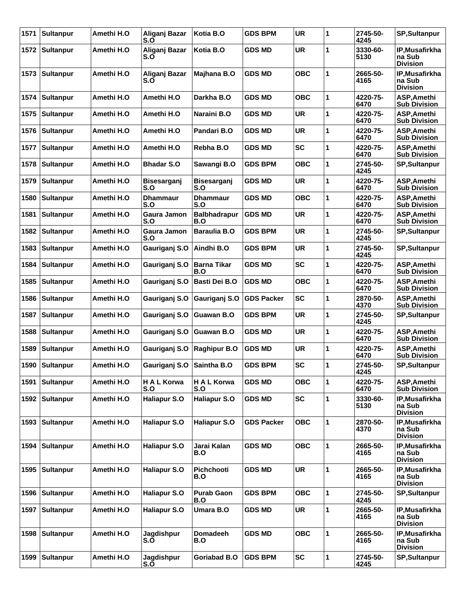| 1571 | <b>Sultanpur</b> | Amethi H.O | Aliganj Bazar<br>S.O      | Kotia B.O                  | <b>GDS BPM</b>    | <b>UR</b>  | 1 | 2745-50-<br>4245 | <b>SP, Sultanpur</b>                        |
|------|------------------|------------|---------------------------|----------------------------|-------------------|------------|---|------------------|---------------------------------------------|
| 1572 | <b>Sultanpur</b> | Amethi H.O | Aliganj Bazar<br>S.O      | Kotia B.O                  | <b>GDS MD</b>     | <b>UR</b>  | 1 | 3330-60-<br>5130 | IP, Musafirkha<br>na Sub<br><b>Division</b> |
| 1573 | <b>Sultanpur</b> | Amethi H.O | Aliganj Bazar<br>S.O      | Majhana B.O                | <b>GDS MD</b>     | <b>OBC</b> | 1 | 2665-50-<br>4165 | IP, Musafirkha<br>na Sub<br><b>Division</b> |
| 1574 | <b>Sultanpur</b> | Amethi H.O | Amethi H.O                | Darkha B.O                 | <b>GDS MD</b>     | <b>OBC</b> | 1 | 4220-75-<br>6470 | ASP, Amethi<br><b>Sub Division</b>          |
| 1575 | <b>Sultanpur</b> | Amethi H.O | Amethi H.O                | Naraini B.O                | <b>GDS MD</b>     | <b>UR</b>  | 1 | 4220-75-<br>6470 | ASP, Amethi<br><b>Sub Division</b>          |
| 1576 | <b>Sultanpur</b> | Amethi H.O | Amethi H.O                | Pandari B.O                | <b>GDS MD</b>     | <b>UR</b>  | 1 | 4220-75-<br>6470 | ASP, Amethi<br><b>Sub Division</b>          |
| 1577 | <b>Sultanpur</b> | Amethi H.O | Amethi H.O                | Rebha B.O                  | <b>GDS MD</b>     | <b>SC</b>  | 1 | 4220-75-<br>6470 | ASP, Amethi<br><b>Sub Division</b>          |
| 1578 | <b>Sultanpur</b> | Amethi H.O | <b>Bhadar S.O</b>         | Sawangi B.O                | <b>GDS BPM</b>    | <b>OBC</b> | 1 | 2745-50-<br>4245 | <b>SP, Sultanpur</b>                        |
| 1579 | <b>Sultanpur</b> | Amethi H.O | Bisesarganj<br>S.O        | Bisesarganj<br>S.O         | <b>GDS MD</b>     | <b>UR</b>  | 1 | 4220-75-<br>6470 | ASP, Amethi<br><b>Sub Division</b>          |
| 1580 | <b>Sultanpur</b> | Amethi H.O | <b>Dhammaur</b><br>S.O    | <b>Dhammaur</b><br>S.O     | <b>GDS MD</b>     | <b>OBC</b> | 1 | 4220-75-<br>6470 | ASP, Amethi<br><b>Sub Division</b>          |
| 1581 | <b>Sultanpur</b> | Amethi H.O | Gaura Jamon<br>S.O        | <b>Balbhadrapur</b><br>B.O | <b>GDS MD</b>     | <b>UR</b>  | 1 | 4220-75-<br>6470 | ASP, Amethi<br><b>Sub Division</b>          |
| 1582 | <b>Sultanpur</b> | Amethi H.O | Gaura Jamon<br>S.O        | <b>Baraulia B.O</b>        | <b>GDS BPM</b>    | <b>UR</b>  | 1 | 2745-50-<br>4245 | <b>SP, Sultanpur</b>                        |
| 1583 | <b>Sultanpur</b> | Amethi H.O | Gauriganj S.O             | Aindhi B.O                 | <b>GDS BPM</b>    | <b>UR</b>  | 1 | 2745-50-<br>4245 | <b>SP, Sultanpur</b>                        |
| 1584 | <b>Sultanpur</b> | Amethi H.O | Gauriganj S.O             | <b>Barna Tikar</b><br>B.O  | <b>GDS MD</b>     | <b>SC</b>  | 1 | 4220-75-<br>6470 | ASP, Amethi<br><b>Sub Division</b>          |
| 1585 | <b>Sultanpur</b> | Amethi H.O | Gauriganj S.O             | Basti Dei B.O              | <b>GDS MD</b>     | <b>OBC</b> | 1 | 4220-75-<br>6470 | <b>ASP.Amethi</b><br><b>Sub Division</b>    |
| 1586 | <b>Sultanpur</b> | Amethi H.O | Gauriganj S.O             | Gauriganj S.O              | <b>GDS Packer</b> | <b>SC</b>  | 1 | 2870-50-<br>4370 | ASP, Amethi<br><b>Sub Division</b>          |
| 1587 | <b>Sultanpur</b> | Amethi H.O | Gauriganj S.O             | Guawan B.O                 | <b>GDS BPM</b>    | <b>UR</b>  | 1 | 2745-50-<br>4245 | <b>SP, Sultanpur</b>                        |
| 1588 | <b>Sultanpur</b> | Amethi H.O | Gauriganj S.O             | Guawan B.O                 | <b>GDS MD</b>     | <b>UR</b>  | 1 | 4220-75-<br>6470 | ASP, Amethi<br><b>Sub Division</b>          |
| 1589 | <b>Sultanpur</b> | Amethi H.O | Gauriganj S.O             | Raghipur B.O               | <b>GDS MD</b>     | <b>UR</b>  | 1 | 4220-75-<br>6470 | <b>ASP.Amethi</b><br><b>Sub Division</b>    |
| 1590 | <b>Sultanpur</b> | Amethi H.O | Gauriganj S.O Saintha B.O |                            | <b>GDS BPM</b>    | <b>SC</b>  | 1 | 2745-50-<br>4245 | <b>SP, Sultanpur</b>                        |
| 1591 | <b>Sultanpur</b> | Amethi H.O | <b>HAL Korwa</b><br>S.O   | H A L Korwa<br>S.O         | <b>GDS MD</b>     | <b>OBC</b> | 1 | 4220-75-<br>6470 | ASP, Amethi<br><b>Sub Division</b>          |
| 1592 | <b>Sultanpur</b> | Amethi H.O | <b>Haliapur S.O</b>       | <b>Haliapur S.O</b>        | <b>GDS MD</b>     | <b>SC</b>  | 1 | 3330-60-<br>5130 | IP, Musafirkha<br>na Sub<br><b>Division</b> |
| 1593 | <b>Sultanpur</b> | Amethi H.O | <b>Haliapur S.O</b>       | <b>Haliapur S.O</b>        | <b>GDS Packer</b> | <b>OBC</b> | 1 | 2870-50-<br>4370 | IP, Musafirkha<br>na Sub<br><b>Division</b> |
| 1594 | <b>Sultanpur</b> | Amethi H.O | <b>Haliapur S.O</b>       | Jarai Kalan<br>B.O         | <b>GDS MD</b>     | <b>OBC</b> | 1 | 2665-50-<br>4165 | IP, Musafirkha<br>na Sub<br><b>Division</b> |
| 1595 | <b>Sultanpur</b> | Amethi H.O | <b>Haliapur S.O</b>       | Pichchooti<br>B.O          | <b>GDS MD</b>     | <b>UR</b>  | 1 | 2665-50-<br>4165 | IP, Musafirkha<br>na Sub<br><b>Division</b> |
| 1596 | <b>Sultanpur</b> | Amethi H.O | <b>Haliapur S.O</b>       | <b>Purab Gaon</b><br>B.O   | <b>GDS BPM</b>    | <b>OBC</b> | 1 | 2745-50-<br>4245 | <b>SP, Sultanpur</b>                        |
| 1597 | <b>Sultanpur</b> | Amethi H.O | <b>Haliapur S.O</b>       | Umara B.O                  | <b>GDS MD</b>     | <b>UR</b>  | 1 | 2665-50-<br>4165 | IP, Musafirkha<br>na Sub<br><b>Division</b> |
| 1598 | <b>Sultanpur</b> | Amethi H.O | Jagdishpur<br>S.O         | <b>Domadeeh</b><br>B.O     | <b>GDS MD</b>     | <b>OBC</b> | 1 | 2665-50-<br>4165 | IP, Musafirkha<br>na Sub<br><b>Division</b> |
| 1599 | <b>Sultanpur</b> | Amethi H.O | Jagdishpur<br>S.O         | Goriabad B.O               | <b>GDS BPM</b>    | <b>SC</b>  | 1 | 2745-50-<br>4245 | <b>SP, Sultanpur</b>                        |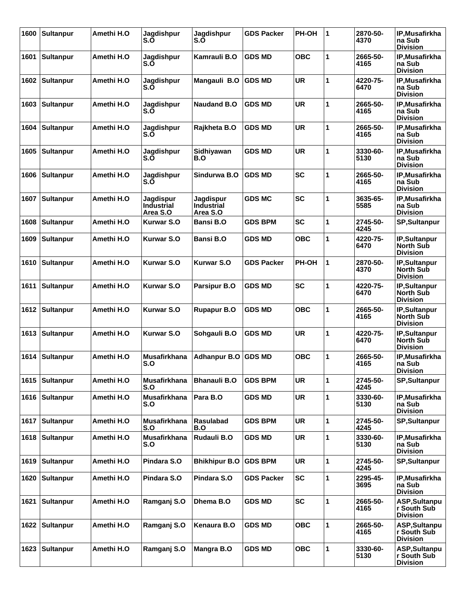| 1600 | <b>Sultanpur</b> | Amethi H.O | Jagdishpur<br>S.O                          | Jagdishpur<br>S.O                          | <b>GDS Packer</b> | PH-OH      | 1 | 2870-50-<br>4370 | IP, Musafirkha<br>na Sub<br><b>Division</b>          |
|------|------------------|------------|--------------------------------------------|--------------------------------------------|-------------------|------------|---|------------------|------------------------------------------------------|
| 1601 | <b>Sultanpur</b> | Amethi H.O | Jagdishpur<br>S.O                          | Kamrauli B.O                               | <b>GDS MD</b>     | <b>OBC</b> | 1 | 2665-50-<br>4165 | IP, Musafirkha<br>na Sub<br><b>Division</b>          |
| 1602 | <b>Sultanpur</b> | Amethi H.O | Jagdishpur<br>S.O                          | Mangauli B.O                               | <b>GDS MD</b>     | <b>UR</b>  | 1 | 4220-75-<br>6470 | IP, Musafirkha<br>na Sub<br><b>Division</b>          |
| 1603 | <b>Sultanpur</b> | Amethi H.O | Jagdishpur<br>S.O                          | <b>Naudand B.O</b>                         | <b>GDS MD</b>     | <b>UR</b>  | 1 | 2665-50-<br>4165 | <b>IP.Musafirkha</b><br>na Sub<br><b>Division</b>    |
| 1604 | <b>Sultanpur</b> | Amethi H.O | Jagdishpur<br>S.O                          | Rajkheta B.O                               | <b>GDS MD</b>     | <b>UR</b>  | 1 | 2665-50-<br>4165 | <b>IP.Musafirkha</b><br>na Sub<br><b>Division</b>    |
| 1605 | <b>Sultanpur</b> | Amethi H.O | Jagdishpur<br>S.O                          | Sidhiyawan<br>B.O                          | <b>GDS MD</b>     | <b>UR</b>  | 1 | 3330-60-<br>5130 | IP, Musafirkha<br>na Sub<br><b>Division</b>          |
| 1606 | <b>Sultanpur</b> | Amethi H.O | Jagdishpur<br>S.O                          | Sindurwa B.O                               | <b>GDS MD</b>     | <b>SC</b>  | 1 | 2665-50-<br>4165 | IP, Musafirkha<br>na Sub<br><b>Division</b>          |
| 1607 | <b>Sultanpur</b> | Amethi H.O | Jagdispur<br><b>Industrial</b><br>Area S.O | Jagdispur<br><b>Industrial</b><br>Area S.O | <b>GDS MC</b>     | <b>SC</b>  | 1 | 3635-65-<br>5585 | IP, Musafirkha<br>na Sub<br><b>Division</b>          |
| 1608 | <b>Sultanpur</b> | Amethi H.O | Kurwar S.O                                 | <b>Bansi B.O</b>                           | <b>GDS BPM</b>    | <b>SC</b>  | 1 | 2745-50-<br>4245 | <b>SP, Sultanpur</b>                                 |
| 1609 | <b>Sultanpur</b> | Amethi H.O | <b>Kurwar S.O</b>                          | <b>Bansi B.O</b>                           | <b>GDS MD</b>     | OBC        | 1 | 4220-75-<br>6470 | IP, Sultanpur<br><b>North Sub</b><br><b>Division</b> |
| 1610 | <b>Sultanpur</b> | Amethi H.O | <b>Kurwar S.O</b>                          | <b>Kurwar S.O</b>                          | <b>GDS Packer</b> | PH-OH      | 1 | 2870-50-<br>4370 | IP,Sultanpur<br><b>North Sub</b><br><b>Division</b>  |
| 1611 | <b>Sultanpur</b> | Amethi H.O | <b>Kurwar S.O</b>                          | Parsipur B.O                               | <b>GDS MD</b>     | <b>SC</b>  | 1 | 4220-75-<br>6470 | IP, Sultanpur<br><b>North Sub</b><br><b>Division</b> |
| 1612 | <b>Sultanpur</b> | Amethi H.O | <b>Kurwar S.O</b>                          | <b>Rupapur B.O</b>                         | <b>GDS MD</b>     | <b>OBC</b> | 1 | 2665-50-<br>4165 | IP,Sultanpur<br><b>North Sub</b><br><b>Division</b>  |
| 1613 | <b>Sultanpur</b> | Amethi H.O | <b>Kurwar S.O</b>                          | Sohgauli B.O                               | <b>GDS MD</b>     | <b>UR</b>  | 1 | 4220-75-<br>6470 | IP,Sultanpur<br><b>North Sub</b><br><b>Division</b>  |
| 1614 | <b>Sultanpur</b> | Amethi H.O | <b>Musafirkhana</b><br>S.O                 | <b>Adhanpur B.O</b>                        | <b>GDS MD</b>     | <b>OBC</b> | 1 | 2665-50-<br>4165 | IP, Musafirkha<br>na Sub<br><b>Division</b>          |
| 1615 | <b>Sultanpur</b> | Amethi H.O | <b>Musafirkhana</b><br>S.O                 | <b>Bhanauli B.O</b>                        | <b>GDS BPM</b>    | <b>UR</b>  | 1 | 2745-50-<br>4245 | <b>SP, Sultanpur</b>                                 |
| 1616 | <b>Sultanpur</b> | Amethi H.O | Musafirkhana<br>S.O                        | Para B.O                                   | <b>GDS MD</b>     | <b>UR</b>  | 1 | 3330-60-<br>5130 | IP, Musafirkha<br>na Sub<br><b>Division</b>          |
| 1617 | <b>Sultanpur</b> | Amethi H.O | <b>Musafirkhana</b><br>S.O                 | Rasulabad<br>B.O                           | <b>GDS BPM</b>    | <b>UR</b>  | 1 | 2745-50-<br>4245 | <b>SP, Sultanpur</b>                                 |
| 1618 | <b>Sultanpur</b> | Amethi H.O | <b>Musafirkhana</b><br>S.O                 | <b>Rudauli B.O</b>                         | <b>GDS MD</b>     | <b>UR</b>  | 1 | 3330-60-<br>5130 | IP, Musafirkha<br>na Sub<br><b>Division</b>          |
| 1619 | <b>Sultanpur</b> | Amethi H.O | Pindara S.O                                | <b>Bhikhipur B.O</b>                       | <b>GDS BPM</b>    | <b>UR</b>  | 1 | 2745-50-<br>4245 | <b>SP, Sultanpur</b>                                 |
| 1620 | <b>Sultanpur</b> | Amethi H.O | Pindara S.O                                | Pindara S.O                                | <b>GDS Packer</b> | <b>SC</b>  | 1 | 2295-45-<br>3695 | IP, Musafirkha<br>na Sub<br><b>Division</b>          |
| 1621 | <b>Sultanpur</b> | Amethi H.O | Ramganj S.O                                | Dhema B.O                                  | <b>GDS MD</b>     | <b>SC</b>  | 1 | 2665-50-<br>4165 | ASP, Sultanpu<br>r South Sub<br><b>Division</b>      |
| 1622 | <b>Sultanpur</b> | Amethi H.O | Ramganj S.O                                | Kenaura B.O                                | <b>GDS MD</b>     | <b>OBC</b> | 1 | 2665-50-<br>4165 | ASP, Sultanpu<br>r South Sub<br><b>Division</b>      |
| 1623 | <b>Sultanpur</b> | Amethi H.O | Ramganj S.O                                | Mangra B.O                                 | <b>GDS MD</b>     | <b>OBC</b> | 1 | 3330-60-<br>5130 | ASP, Sultanpu<br>r South Sub<br><b>Division</b>      |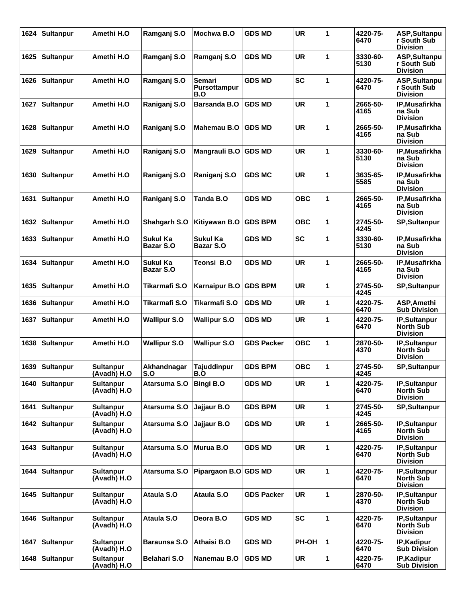| 1624 | <b>Sultanpur</b> | Amethi H.O                      | Ramganj S.O                  | Mochwa B.O                           | <b>GDS MD</b>     | <b>UR</b>  | 1 | 4220-75-<br>6470 | ASP, Sultanpu<br>r South Sub<br><b>Division</b>      |
|------|------------------|---------------------------------|------------------------------|--------------------------------------|-------------------|------------|---|------------------|------------------------------------------------------|
| 1625 | <b>Sultanpur</b> | Amethi H.O                      | Ramganj S.O                  | Ramganj S.O                          | <b>GDS MD</b>     | <b>UR</b>  | 1 | 3330-60-<br>5130 | ASP, Sultanpu<br>r South Sub<br><b>Division</b>      |
| 1626 | <b>Sultanpur</b> | Amethi H.O                      | Ramganj S.O                  | Semari<br><b>Pursottampur</b><br>B.O | <b>GDS MD</b>     | <b>SC</b>  | 1 | 4220-75-<br>6470 | ASP, Sultanpu<br>r South Sub<br><b>Division</b>      |
| 1627 | <b>Sultanpur</b> | Amethi H.O                      | Raniganj S.O                 | <b>Barsanda B.O</b>                  | <b>GDS MD</b>     | <b>UR</b>  | 1 | 2665-50-<br>4165 | IP, Musafirkha<br>na Sub<br><b>Division</b>          |
| 1628 | <b>Sultanpur</b> | Amethi H.O                      | Raniganj S.O                 | Mahemau B.O                          | <b>GDS MD</b>     | <b>UR</b>  | 1 | 2665-50-<br>4165 | IP, Musafirkha<br>na Sub<br><b>Division</b>          |
| 1629 | <b>Sultanpur</b> | Amethi H.O                      | Raniganj S.O                 | Mangrauli B.O GDS MD                 |                   | <b>UR</b>  | 1 | 3330-60-<br>5130 | IP, Musafirkha<br>na Sub<br><b>Division</b>          |
| 1630 | <b>Sultanpur</b> | Amethi H.O                      | Raniganj S.O                 | Raniganj S.O                         | <b>GDS MC</b>     | <b>UR</b>  | 1 | 3635-65-<br>5585 | IP, Musafirkha<br>na Sub<br><b>Division</b>          |
| 1631 | <b>Sultanpur</b> | Amethi H.O                      | Raniganj S.O                 | Tanda B.O                            | <b>GDS MD</b>     | <b>OBC</b> | 1 | 2665-50-<br>4165 | IP, Musafirkha<br>na Sub<br><b>Division</b>          |
| 1632 | <b>Sultanpur</b> | Amethi H.O                      | Shahgarh S.O                 | Kitiyawan B.O                        | <b>GDS BPM</b>    | <b>OBC</b> | 1 | 2745-50-<br>4245 | <b>SP, Sultanpur</b>                                 |
| 1633 | <b>Sultanpur</b> | Amethi H.O                      | Sukul Ka<br><b>Bazar S.O</b> | Sukul Ka<br><b>Bazar S.O</b>         | <b>GDS MD</b>     | <b>SC</b>  | 1 | 3330-60-<br>5130 | IP, Musafirkha<br>na Sub<br><b>Division</b>          |
| 1634 | <b>Sultanpur</b> | Amethi H.O                      | Sukul Ka<br>Bazar S.O        | Teonsi B.O                           | <b>GDS MD</b>     | <b>UR</b>  | 1 | 2665-50-<br>4165 | IP, Musafirkha<br>na Sub<br><b>Division</b>          |
| 1635 | <b>Sultanpur</b> | Amethi H.O                      | Tikarmafi S.O                | Karnaipur B.O GDS BPM                |                   | <b>UR</b>  | 1 | 2745-50-<br>4245 | <b>SP, Sultanpur</b>                                 |
| 1636 | <b>Sultanpur</b> | Amethi H.O                      | Tikarmafi S.O                | Tikarmafi S.O                        | <b>GDS MD</b>     | <b>UR</b>  | 1 | 4220-75-<br>6470 | ASP, Amethi<br><b>Sub Division</b>                   |
| 1637 | <b>Sultanpur</b> | Amethi H.O                      | <b>Wallipur S.O</b>          | <b>Wallipur S.O</b>                  | <b>GDS MD</b>     | <b>UR</b>  | 1 | 4220-75-<br>6470 | IP, Sultanpur<br><b>North Sub</b><br><b>Division</b> |
| 1638 | <b>Sultanpur</b> | Amethi H.O                      | <b>Wallipur S.O</b>          | <b>Wallipur S.O</b>                  | <b>GDS Packer</b> | <b>OBC</b> | 1 | 2870-50-<br>4370 | IP,Sultanpur<br><b>North Sub</b><br><b>Division</b>  |
| 1639 | <b>Sultanpur</b> | <b>Sultanpur</b><br>(Avadh) H.O | Akhandnagar<br>S.O           | Tajuddinpur<br>B.Ó                   | <b>GDS BPM</b>    | <b>OBC</b> | 1 | 2745-50-<br>4245 | <b>SP, Sultanpur</b>                                 |
| 1640 | <b>Sultanpur</b> | <b>Sultanpur</b><br>(Avadh) H.O | Atarsuma S.O                 | <b>Bingi B.O</b>                     | <b>GDS MD</b>     | <b>UR</b>  | 1 | 4220-75-<br>6470 | IP, Sultanpur<br><b>North Sub</b><br><b>Division</b> |
| 1641 | <b>Sultanpur</b> | <b>Sultanpur</b><br>(Avadh) H.O | Atarsuma S.O                 | Jajjaur B.O                          | <b>GDS BPM</b>    | <b>UR</b>  | 1 | 2745-50-<br>4245 | <b>SP, Sultanpur</b>                                 |
| 1642 | <b>Sultanpur</b> | <b>Sultanpur</b><br>(Avadh) H.O | Atarsuma S.O                 | Jajjaur B.O                          | <b>GDS MD</b>     | <b>UR</b>  | 1 | 2665-50-<br>4165 | IP, Sultanpur<br><b>North Sub</b><br><b>Division</b> |
| 1643 | <b>Sultanpur</b> | <b>Sultanpur</b><br>(Avadh) H.O | Atarsuma S.O                 | Murua B.O                            | <b>GDS MD</b>     | <b>UR</b>  | 1 | 4220-75-<br>6470 | IP, Sultanpur<br><b>North Sub</b><br><b>Division</b> |
| 1644 | <b>Sultanpur</b> | <b>Sultanpur</b><br>(Avadh) H.O | Atarsuma S.O                 | Pipargaon B.O GDS MD                 |                   | <b>UR</b>  | 1 | 4220-75-<br>6470 | IP, Sultanpur<br><b>North Sub</b><br><b>Division</b> |
| 1645 | <b>Sultanpur</b> | <b>Sultanpur</b><br>(Avadh) H.O | Ataula S.O                   | Ataula S.O                           | <b>GDS Packer</b> | <b>UR</b>  | 1 | 2870-50-<br>4370 | IP,Sultanpur<br><b>North Sub</b><br><b>Division</b>  |
| 1646 | <b>Sultanpur</b> | <b>Sultanpur</b><br>(Avadh) H.O | Ataula S.O                   | Deora B.O                            | <b>GDS MD</b>     | <b>SC</b>  | 1 | 4220-75-<br>6470 | IP, Sultanpur<br><b>North Sub</b><br><b>Division</b> |
| 1647 | <b>Sultanpur</b> | <b>Sultanpur</b><br>(Avadh) H.O | <b>Baraunsa S.O</b>          | Athaisi B.O                          | <b>GDS MD</b>     | PH-OH      | 1 | 4220-75-<br>6470 | IP, Kadipur<br><b>Sub Division</b>                   |
| 1648 | <b>Sultanpur</b> | <b>Sultanpur</b><br>(Avadh) H.O | Belahari S.O                 | Nanemau B.O                          | <b>GDS MD</b>     | UR         | 1 | 4220-75-<br>6470 | IP, Kadipur<br><b>Sub Division</b>                   |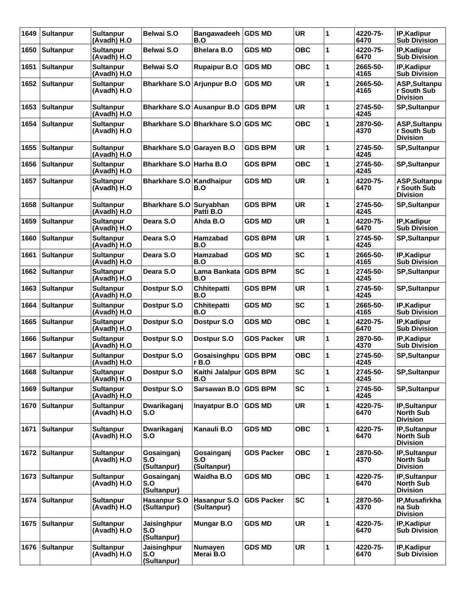| 1649 | <b>Sultanpur</b> | <b>Sultanpur</b><br>(Avadh) H.O | <b>Belwai S.O</b>                        | Bangawadeeh GDS MD<br>B.O          |                   | <b>UR</b>  | 1 | 4220-75-<br>6470 | IP, Kadipur<br><b>Sub Division</b>                   |
|------|------------------|---------------------------------|------------------------------------------|------------------------------------|-------------------|------------|---|------------------|------------------------------------------------------|
| 1650 | <b>Sultanpur</b> | <b>Sultanpur</b><br>(Avadh) H.O | <b>Belwai S.O</b>                        | <b>Bhelara B.O</b>                 | <b>GDS MD</b>     | <b>OBC</b> | 1 | 4220-75-<br>6470 | IP, Kadipur<br><b>Sub Division</b>                   |
| 1651 | <b>Sultanpur</b> | <b>Sultanpur</b><br>(Avadh) H.O | <b>Belwai S.O</b>                        | <b>Rupaipur B.O</b>                | <b>GDS MD</b>     | <b>OBC</b> | 1 | 2665-50-<br>4165 | IP, Kadipur<br><b>Sub Division</b>                   |
| 1652 | <b>Sultanpur</b> | <b>Sultanpur</b><br>(Avadh) H.O | <b>Bharkhare S.O</b>                     | Arjunpur B.O                       | <b>GDS MD</b>     | <b>UR</b>  | 1 | 2665-50-<br>4165 | ASP, Sultanpu<br>r South Sub<br><b>Division</b>      |
| 1653 | <b>Sultanpur</b> | <b>Sultanpur</b><br>(Avadh) H.O |                                          | Bharkhare S.O Ausanpur B.O         | <b>GDS BPM</b>    | <b>UR</b>  | 1 | 2745-50-<br>4245 | <b>SP, Sultanpur</b>                                 |
| 1654 | <b>Sultanpur</b> | <b>Sultanpur</b><br>(Avadh) H.O |                                          | Bharkhare S.O Bharkhare S.O GDS MC |                   | <b>OBC</b> | 1 | 2870-50-<br>4370 | ASP, Sultanpu<br>r South Sub<br><b>Division</b>      |
| 1655 | <b>Sultanpur</b> | <b>Sultanpur</b><br>(Avadh) H.O | <b>Bharkhare S.O</b>                     | Garayen B.O                        | <b>GDS BPM</b>    | <b>UR</b>  | 1 | 2745-50-<br>4245 | <b>SP, Sultanpur</b>                                 |
| 1656 | <b>Sultanpur</b> | <b>Sultanpur</b><br>(Avadh) H.O | Bharkhare S.O Harha B.O                  |                                    | <b>GDS BPM</b>    | <b>OBC</b> | 1 | 2745-50-<br>4245 | <b>SP, Sultanpur</b>                                 |
| 1657 | <b>Sultanpur</b> | <b>Sultanpur</b><br>(Avadh) H.O | <b>Bharkhare S.O</b>                     | Kandhaipur<br>B.O                  | <b>GDS MD</b>     | <b>UR</b>  | 1 | 4220-75-<br>6470 | ASP, Sultanpu<br>r South Sub<br><b>Division</b>      |
| 1658 | <b>Sultanpur</b> | <b>Sultanpur</b><br>(Avadh) H.O | <b>Bharkhare S.O</b>                     | <b>Suryabhan</b><br>Patti B.O      | <b>GDS BPM</b>    | <b>UR</b>  | 1 | 2745-50-<br>4245 | <b>SP,Sultanpur</b>                                  |
| 1659 | <b>Sultanpur</b> | <b>Sultanpur</b><br>(Avadh) H.O | Deara S.O                                | Ahda B.O                           | <b>GDS MD</b>     | <b>UR</b>  | 1 | 4220-75-<br>6470 | <b>IP, Kadipur</b><br><b>Sub Division</b>            |
| 1660 | <b>Sultanpur</b> | <b>Sultanpur</b><br>(Avadh) H.O | Deara S.O                                | <b>Hamzabad</b><br>B.O             | <b>GDS BPM</b>    | <b>UR</b>  | 1 | 2745-50-<br>4245 | <b>SP, Sultanpur</b>                                 |
| 1661 | <b>Sultanpur</b> | <b>Sultanpur</b><br>(Avadh) H.O | Deara S.O                                | Hamzabad<br>B.O                    | <b>GDS MD</b>     | <b>SC</b>  | 1 | 2665-50-<br>4165 | IP, Kadipur<br><b>Sub Division</b>                   |
| 1662 | <b>Sultanpur</b> | <b>Sultanpur</b><br>(Avadh) H.O | Deara S.O                                | Lama Bankata<br>B.O                | <b>GDS BPM</b>    | <b>SC</b>  | 1 | 2745-50-<br>4245 | <b>SP,Sultanpur</b>                                  |
| 1663 | <b>Sultanpur</b> | <b>Sultanpur</b><br>(Avadh) H.O | Dostpur S.O                              | Chhitepatti<br>B.O                 | <b>GDS BPM</b>    | <b>UR</b>  | 1 | 2745-50-<br>4245 | <b>SP, Sultanpur</b>                                 |
| 1664 | <b>Sultanpur</b> | <b>Sultanpur</b><br>(Avadh) H.O | Dostpur S.O                              | Chhitepatti<br>B.O                 | <b>GDS MD</b>     | <b>SC</b>  | 1 | 2665-50-<br>4165 | IP, Kadipur<br><b>Sub Division</b>                   |
| 1665 | <b>Sultanpur</b> | <b>Sultanpur</b><br>(Avadh) H.O | Dostpur S.O                              | Dostpur S.O                        | <b>GDS MD</b>     | <b>OBC</b> | 1 | 4220-75-<br>6470 | <b>IP, Kadipur</b><br><b>Sub Division</b>            |
| 1666 | <b>Sultanpur</b> | <b>Sultanpur</b><br>(Avadh) H.O | Dostpur S.O                              | Dostpur S.O                        | <b>GDS Packer</b> | <b>UR</b>  | 1 | 2870-50-<br>4370 | IP, Kadipur<br><b>Sub Division</b>                   |
| 1667 | <b>Sultanpur</b> | <b>Sultanpur</b><br>(Avadh) H.O | Dostpur S.O                              | Gosaisinghpu<br>r B.O              | <b>GDS BPM</b>    | <b>OBC</b> | 1 | 2745-50-<br>4245 | <b>SP, Sultanpur</b>                                 |
| 1668 | <b>Sultanpur</b> | <b>Sultanpur</b><br>(Avadh) H.O | Dostpur S.O                              | Kaithi Jalalpur GDS BPM<br>B.O     |                   | SC         | 1 | 2745-50-<br>4245 | <b>SP,Sultanpur</b>                                  |
| 1669 | <b>Sultanpur</b> | <b>Sultanpur</b><br>(Avadh) H.O | Dostpur S.O                              | Sarsawan B.O                       | <b>GDS BPM</b>    | <b>SC</b>  | 1 | 2745-50-<br>4245 | <b>SP,Sultanpur</b>                                  |
| 1670 | <b>Sultanpur</b> | <b>Sultanpur</b><br>(Avadh) H.O | Dwarikaganj<br>S.O                       | <b>Inayatpur B.O</b>               | <b>GDS MD</b>     | <b>UR</b>  | 1 | 4220-75-<br>6470 | IP, Sultanpur<br><b>North Sub</b><br><b>Division</b> |
| 1671 | <b>Sultanpur</b> | <b>Sultanpur</b><br>(Avadh) H.O | Dwarikaganj<br>S.O                       | Kanauli B.O                        | <b>GDS MD</b>     | <b>OBC</b> | 1 | 4220-75-<br>6470 | IP, Sultanpur<br><b>North Sub</b><br><b>Division</b> |
| 1672 | <b>Sultanpur</b> | <b>Sultanpur</b><br>(Avadh) H.O | Gosainganj<br>S.O<br>(Sultanpur)         | Gosainganj<br>S.O<br>(Sultanpur)   | <b>GDS Packer</b> | <b>OBC</b> | 1 | 2870-50-<br>4370 | IP, Sultanpur<br><b>North Sub</b><br><b>Division</b> |
| 1673 | <b>Sultanpur</b> | <b>Sultanpur</b><br>(Avadh) H.O | Gosainganj<br>S.O<br>(Sultanpur)         | Waidha B.O                         | <b>GDS MD</b>     | <b>OBC</b> | 1 | 4220-75-<br>6470 | IP, Sultanpur<br><b>North Sub</b><br><b>Division</b> |
| 1674 | <b>Sultanpur</b> | <b>Sultanpur</b><br>(Avadh) H.O | Hasanpur S.O<br>(Sultanpur)              | Hasanpur S.O<br>(Sultanpur)        | <b>GDS Packer</b> | <b>SC</b>  | 1 | 2870-50-<br>4370 | IP, Musafirkha<br>na Sub<br><b>Division</b>          |
| 1675 | <b>Sultanpur</b> | <b>Sultanpur</b><br>(Avadh) H.O | Jaisinghpur<br>S.O<br>(Sultanpur)        | <b>Mungar B.O</b>                  | <b>GDS MD</b>     | <b>UR</b>  | 1 | 4220-75-<br>6470 | IP, Kadipur<br><b>Sub Division</b>                   |
| 1676 | <b>Sultanpur</b> | <b>Sultanpur</b><br>(Avadh) H.O | <b>Jaisinghpur</b><br>S.O<br>(Sultanpur) | Numayen<br>Merai B.O               | <b>GDS MD</b>     | <b>UR</b>  | 1 | 4220-75-<br>6470 | IP, Kadipur<br><b>Sub Division</b>                   |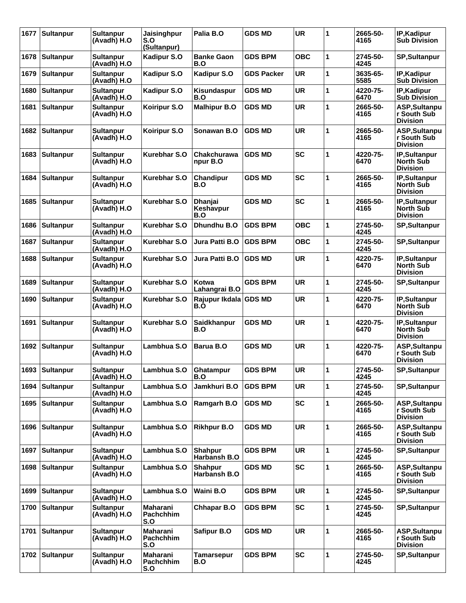| 1677 | <b>Sultanpur</b> | <b>Sultanpur</b><br>(Avadh) H.O | Jaisinghpur<br>S.O<br>(Sultanpur)   | Palia B.O                          | <b>GDS MD</b>     | <b>UR</b>  | 1            | 2665-50-<br>4165 | IP, Kadipur<br><b>Sub Division</b>                         |
|------|------------------|---------------------------------|-------------------------------------|------------------------------------|-------------------|------------|--------------|------------------|------------------------------------------------------------|
| 1678 | <b>Sultanpur</b> | <b>Sultanpur</b><br>(Avadh) H.O | <b>Kadipur S.O</b>                  | <b>Banke Gaon</b><br>B.O           | <b>GDS BPM</b>    | <b>OBC</b> | 1            | 2745-50-<br>4245 | <b>SP, Sultanpur</b>                                       |
| 1679 | <b>Sultanpur</b> | <b>Sultanpur</b><br>(Avadh) H.O | Kadipur S.O                         | Kadipur S.O                        | <b>GDS Packer</b> | <b>UR</b>  | 1            | 3635-65-<br>5585 | IP, Kadipur<br><b>Sub Division</b>                         |
| 1680 | <b>Sultanpur</b> | <b>Sultanpur</b><br>(Avadh) H.O | <b>Kadipur S.O</b>                  | Kisundaspur<br>B.O                 | <b>GDS MD</b>     | <b>UR</b>  | 1            | 4220-75-<br>6470 | IP, Kadipur<br><b>Sub Division</b>                         |
| 1681 | <b>Sultanpur</b> | <b>Sultanpur</b><br>(Avadh) H.O | Koiripur S.O                        | <b>Malhipur B.O</b>                | <b>GDS MD</b>     | <b>UR</b>  | 1            | 2665-50-<br>4165 | ASP, Sultanpu<br>r South Sub<br><b>Division</b>            |
| 1682 | <b>Sultanpur</b> | <b>Sultanpur</b><br>(Avadh) H.O | Koiripur S.O                        | Sonawan B.O                        | <b>GDS MD</b>     | <b>UR</b>  | 1            | 2665-50-<br>4165 | ASP, Sultanpu<br>r South Sub<br><b>Division</b>            |
| 1683 | <b>Sultanpur</b> | <b>Sultanpur</b><br>(Avadh) H.O | Kurebhar S.O                        | <b>Chakchurawa</b><br>npur B.O     | <b>GDS MD</b>     | <b>SC</b>  | 1            | 4220-75-<br>6470 | IP,Sultanpur<br><b>North Sub</b><br><b>Division</b>        |
| 1684 | <b>Sultanpur</b> | <b>Sultanpur</b><br>(Avadh) H.O | <b>Kurebhar S.O</b>                 | Chandipur<br>B.O                   | <b>GDS MD</b>     | <b>SC</b>  | 1            | 2665-50-<br>4165 | IP, Sultanpur<br><b>North Sub</b><br><b>Division</b>       |
| 1685 | <b>Sultanpur</b> | <b>Sultanpur</b><br>(Avadh) H.O | Kurebhar S.O                        | <b>Dhanjai</b><br>Keshavpur<br>B.O | <b>GDS MD</b>     | <b>SC</b>  | 1            | 2665-50-<br>4165 | IP, Sultanpur<br><b>North Sub</b><br><b>Division</b>       |
| 1686 | <b>Sultanpur</b> | <b>Sultanpur</b><br>(Avadh) H.O | <b>Kurebhar S.O</b>                 | Dhundhu B.O                        | <b>GDS BPM</b>    | OBC        | 1            | 2745-50-<br>4245 | <b>SP, Sultanpur</b>                                       |
| 1687 | <b>Sultanpur</b> | <b>Sultanpur</b><br>(Avadh) H.O | Kurebhar S.O                        | Jura Patti B.O                     | <b>GDS BPM</b>    | <b>OBC</b> | 1            | 2745-50-<br>4245 | <b>SP, Sultanpur</b>                                       |
| 1688 | <b>Sultanpur</b> | <b>Sultanpur</b><br>(Avadh) H.O | Kurebhar S.O                        | Jura Patti B.O                     | <b>GDS MD</b>     | <b>UR</b>  | 1            | 4220-75-<br>6470 | IP, Sultanpur<br><b>North Sub</b><br><b>Division</b>       |
| 1689 | <b>Sultanpur</b> | <b>Sultanpur</b><br>(Avadh) H.O | <b>Kurebhar S.O</b>                 | <b>Kotwa</b><br>Lahangrai B.O      | <b>GDS BPM</b>    | <b>UR</b>  | 1            | 2745-50-<br>4245 | <b>SP, Sultanpur</b>                                       |
| 1690 | <b>Sultanpur</b> | <b>Sultanpur</b><br>(Avadh) H.O | <b>Kurebhar S.O</b>                 | Rajupur Ikdala GDS MD<br>B.O       |                   | <b>UR</b>  | 1            | 4220-75-<br>6470 | <b>IP.Sultanpur</b><br><b>North Sub</b><br><b>Division</b> |
| 1691 | <b>Sultanpur</b> | <b>Sultanpur</b><br>(Avadh) H.O | Kurebhar S.O                        | <b>Saidkhanpur</b><br>B.O          | <b>GDS MD</b>     | <b>UR</b>  | 1            | 4220-75-<br>6470 | IP, Sultanpur<br><b>North Sub</b><br><b>Division</b>       |
| 1692 | <b>Sultanpur</b> | <b>Sultanpur</b><br>(Avadh) H.O | Lambhua S.O                         | <b>Barua B.O</b>                   | <b>GDS MD</b>     | <b>UR</b>  | 1            | 4220-75-<br>6470 | ASP, Sultanpu<br>r South Sub<br><b>Division</b>            |
|      | 1693 Sultanpur   | <b>Sultanpur</b><br>(Avadh) H.O | Lambhua S.O                         | Ghatampur<br>B.O                   | <b>GDS BPM</b>    | <b>UR</b>  | 1            | 2745-50-<br>4245 | <b>SP,Sultanpur</b>                                        |
| 1694 | <b>Sultanpur</b> | <b>Sultanpur</b><br>(Avadh) H.O | Lambhua S.O                         | Jamkhuri B.O                       | <b>GDS BPM</b>    | <b>UR</b>  | $\mathbf{1}$ | 2745-50-<br>4245 | <b>SP, Sultanpur</b>                                       |
| 1695 | <b>Sultanpur</b> | <b>Sultanpur</b><br>(Avadh) H.O | Lambhua S.O                         | Ramgarh B.O                        | <b>GDS MD</b>     | <b>SC</b>  | 1            | 2665-50-<br>4165 | ASP, Sultanpu<br>r South Sub<br><b>Division</b>            |
| 1696 | <b>Sultanpur</b> | <b>Sultanpur</b><br>(Avadh) H.O | Lambhua S.O                         | <b>Rikhpur B.O</b>                 | <b>GDS MD</b>     | <b>UR</b>  | 1            | 2665-50-<br>4165 | ASP, Sultanpu<br>r South Sub<br><b>Division</b>            |
| 1697 | <b>Sultanpur</b> | <b>Sultanpur</b><br>(Avadh) H.O | Lambhua S.O                         | <b>Shahpur</b><br>Harbansh B.O     | <b>GDS BPM</b>    | <b>UR</b>  | 1            | 2745-50-<br>4245 | <b>SP,Sultanpur</b>                                        |
| 1698 | <b>Sultanpur</b> | <b>Sultanpur</b><br>(Avadh) H.O | Lambhua S.O                         | <b>Shahpur</b><br>Harbansh B.O     | <b>GDS MD</b>     | <b>SC</b>  | 1            | 2665-50-<br>4165 | ASP, Sultanpu<br>r South Sub<br><b>Division</b>            |
| 1699 | <b>Sultanpur</b> | <b>Sultanpur</b><br>(Avadh) H.O | Lambhua S.O                         | Waini B.O                          | <b>GDS BPM</b>    | <b>UR</b>  | 1            | 2745-50-<br>4245 | <b>SP, Sultanpur</b>                                       |
| 1700 | <b>Sultanpur</b> | <b>Sultanpur</b><br>(Avadh) H.O | Maharani<br><b>Pachchhim</b><br>S.O | Chhapar B.O                        | <b>GDS BPM</b>    | <b>SC</b>  | 1            | 2745-50-<br>4245 | <b>SP, Sultanpur</b>                                       |
| 1701 | <b>Sultanpur</b> | <b>Sultanpur</b><br>(Avadh) H.O | Maharani<br><b>Pachchhim</b><br>S.O | Safipur B.O                        | <b>GDS MD</b>     | <b>UR</b>  | 1            | 2665-50-<br>4165 | ASP, Sultanpu<br>r South Sub<br><b>Division</b>            |
| 1702 | <b>Sultanpur</b> | <b>Sultanpur</b><br>(Avadh) H.O | <b>Maharani</b><br>Pachchhim<br>S.O | <b>Tamarsepur</b><br>B.O           | <b>GDS BPM</b>    | <b>SC</b>  | 1            | 2745-50-<br>4245 | <b>SP, Sultanpur</b>                                       |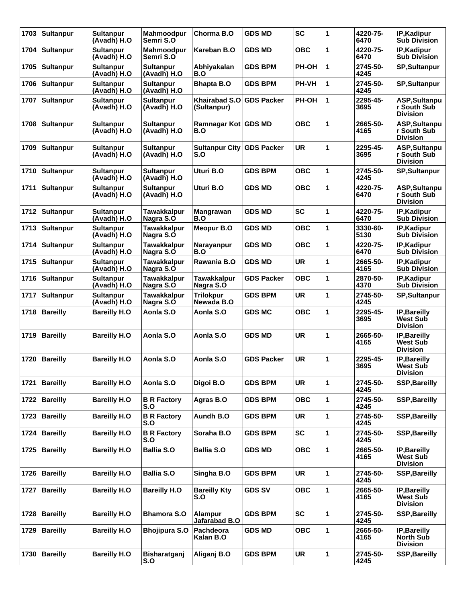| 1703 | <b>Sultanpur</b> | <b>Sultanpur</b><br>(Avadh) H.O | Mahmoodpur<br>Semri S.O         | Chorma B.O                     | <b>GDS MD</b>     | <b>SC</b>  | 1 | 4220-75-<br>6470 | <b>IP, Kadipur</b><br><b>Sub Division</b>                 |
|------|------------------|---------------------------------|---------------------------------|--------------------------------|-------------------|------------|---|------------------|-----------------------------------------------------------|
| 1704 | <b>Sultanpur</b> | <b>Sultanpur</b><br>(Avadh) H.O | Mahmoodpur<br>Semri S.O         | Kareban B.O                    | <b>GDS MD</b>     | <b>OBC</b> | 1 | 4220-75-<br>6470 | IP, Kadipur<br><b>Sub Division</b>                        |
| 1705 | <b>Sultanpur</b> | <b>Sultanpur</b><br>(Avadh) H.O | <b>Sultanpur</b><br>(Avadh) H.O | Abhiyakalan<br>B.O             | <b>GDS BPM</b>    | PH-OH      | 1 | 2745-50-<br>4245 | <b>SP, Sultanpur</b>                                      |
| 1706 | <b>Sultanpur</b> | <b>Sultanpur</b><br>(Avadh) H.O | <b>Sultanpur</b><br>(Avadh) H.O | <b>Bhapta B.O</b>              | <b>GDS BPM</b>    | PH-VH      | 1 | 2745-50-<br>4245 | <b>SP, Sultanpur</b>                                      |
| 1707 | <b>Sultanpur</b> | <b>Sultanpur</b><br>(Avadh) H.O | <b>Sultanpur</b><br>(Avadh) H.O | Khairabad S.O<br>(Sultanpur)   | <b>GDS Packer</b> | PH-OH      | 1 | 2295-45-<br>3695 | ASP, Sultanpu<br>r South Sub<br><b>Division</b>           |
| 1708 | <b>Sultanpur</b> | <b>Sultanpur</b><br>(Avadh) H.O | <b>Sultanpur</b><br>(Avadh) H.O | Ramnagar Kot GDS MD<br>B.O     |                   | <b>OBC</b> | 1 | 2665-50-<br>4165 | ASP, Sultanpu<br>r South Sub<br><b>Division</b>           |
| 1709 | <b>Sultanpur</b> | <b>Sultanpur</b><br>(Avadh) H.O | <b>Sultanpur</b><br>(Avadh) H.O | <b>Sultanpur City</b><br>S.O   | <b>GDS Packer</b> | UR         | 1 | 2295-45-<br>3695 | ASP, Sultanpu<br>r South Sub<br><b>Division</b>           |
| 1710 | <b>Sultanpur</b> | <b>Sultanpur</b><br>(Avadh) H.O | <b>Sultanpur</b><br>(Avadh) H.O | Uturi B.O                      | <b>GDS BPM</b>    | <b>OBC</b> | 1 | 2745-50-<br>4245 | <b>SP,Sultanpur</b>                                       |
| 1711 | <b>Sultanpur</b> | <b>Sultanpur</b><br>(Avadh) H.O | <b>Sultanpur</b><br>(Avadh) H.O | Uturi B.O                      | <b>GDS MD</b>     | <b>OBC</b> | 1 | 4220-75-<br>6470 | ASP, Sultanpu<br>r South Sub<br><b>Division</b>           |
| 1712 | <b>Sultanpur</b> | <b>Sultanpur</b><br>(Avadh) H.O | <b>Tawakkalpur</b><br>Nagra S.O | Mangrawan<br>B.O               | <b>GDS MD</b>     | <b>SC</b>  | 1 | 4220-75-<br>6470 | <b>IP, Kadipur</b><br><b>Sub Division</b>                 |
| 1713 | <b>Sultanpur</b> | <b>Sultanpur</b><br>(Avadh) H.O | <b>Tawakkalpur</b><br>Nagra S.O | Meopur B.O                     | <b>GDS MD</b>     | <b>OBC</b> | 1 | 3330-60-<br>5130 | IP, Kadipur<br><b>Sub Division</b>                        |
| 1714 | <b>Sultanpur</b> | <b>Sultanpur</b><br>(Avadh) H.O | <b>Tawakkalpur</b><br>Nagra S.O | Narayanpur<br>B.O              | <b>GDS MD</b>     | <b>OBC</b> | 1 | 4220-75-<br>6470 | IP, Kadipur<br><b>Sub Division</b>                        |
| 1715 | <b>Sultanpur</b> | <b>Sultanpur</b><br>(Avadh) H.O | <b>Tawakkalpur</b><br>Nagra S.O | Rawania B.O                    | <b>GDS MD</b>     | <b>UR</b>  | 1 | 2665-50-<br>4165 | IP, Kadipur<br><b>Sub Division</b>                        |
| 1716 | <b>Sultanpur</b> | <b>Sultanpur</b><br>(Avadh) H.O | <b>Tawakkalpur</b><br>Nagra S.O | Tawakkalpur<br>Nagra S.O       | <b>GDS Packer</b> | <b>OBC</b> | 1 | 2870-50-<br>4370 | IP, Kadipur<br><b>Sub Division</b>                        |
| 1717 | <b>Sultanpur</b> | <b>Sultanpur</b><br>(Avadh) H.O | <b>Tawakkalpur</b><br>Nagra S.O | <b>Trilokpur</b><br>Newada B.O | <b>GDS BPM</b>    | <b>UR</b>  | 1 | 2745-50-<br>4245 | <b>SP, Sultanpur</b>                                      |
| 1718 | <b>Bareilly</b>  | <b>Bareilly H.O</b>             | Aonla S.O                       | Aonla S.O                      | <b>GDS MC</b>     | <b>OBC</b> | 1 | 2295-45-<br>3695 | <b>IP, Bareilly</b><br><b>West Sub</b><br><b>Division</b> |
| 1719 | <b>Bareilly</b>  | <b>Bareilly H.O</b>             | Aonla S.O                       | Aonla S.O                      | <b>GDS MD</b>     | <b>UR</b>  | 1 | 2665-50-<br>4165 | IP, Bareilly<br><b>West Sub</b><br><b>Division</b>        |
| 1720 | <b>Bareilly</b>  | <b>Bareilly H.O</b>             | Aonla S.O                       | Aonla S.O                      | <b>GDS Packer</b> | <b>UR</b>  | 1 | 2295-45-<br>3695 | IP, Bareilly<br><b>West Sub</b><br><b>Division</b>        |
| 1721 | <b>Bareilly</b>  | <b>Bareilly H.O</b>             | Aonla S.O                       | Digoi B.O                      | <b>GDS BPM</b>    | <b>UR</b>  | 1 | 2745-50-<br>4245 | <b>SSP, Bareilly</b>                                      |
| 1722 | <b>Bareilly</b>  | <b>Bareilly H.O</b>             | <b>B R Factory</b><br>S.O       | Agras B.O                      | <b>GDS BPM</b>    | <b>OBC</b> | 1 | 2745-50-<br>4245 | <b>SSP, Bareilly</b>                                      |
| 1723 | <b>Bareilly</b>  | <b>Bareilly H.O</b>             | <b>B R Factory</b><br>S.O       | Aundh B.O                      | <b>GDS BPM</b>    | <b>UR</b>  | 1 | 2745-50-<br>4245 | <b>SSP, Bareilly</b>                                      |
| 1724 | <b>Bareilly</b>  | <b>Bareilly H.O</b>             | <b>B R Factory</b><br>S.O       | Soraha B.O                     | <b>GDS BPM</b>    | <b>SC</b>  | 1 | 2745-50-<br>4245 | <b>SSP, Bareilly</b>                                      |
| 1725 | <b>Bareilly</b>  | <b>Bareilly H.O</b>             | <b>Ballia S.O</b>               | <b>Ballia S.O</b>              | <b>GDS MD</b>     | <b>OBC</b> | 1 | 2665-50-<br>4165 | IP, Bareilly<br><b>West Sub</b><br><b>Division</b>        |
| 1726 | <b>Bareilly</b>  | <b>Bareilly H.O</b>             | <b>Ballia S.O</b>               | Singha B.O                     | <b>GDS BPM</b>    | <b>UR</b>  | 1 | 2745-50-<br>4245 | <b>SSP, Bareilly</b>                                      |
| 1727 | <b>Bareilly</b>  | <b>Bareilly H.O</b>             | <b>Bareilly H.O</b>             | <b>Bareilly Kty</b><br>S.O     | <b>GDS SV</b>     | <b>OBC</b> | 1 | 2665-50-<br>4165 | IP, Bareilly<br><b>West Sub</b><br><b>Division</b>        |
| 1728 | <b>Bareilly</b>  | <b>Bareilly H.O</b>             | <b>Bhamora S.O</b>              | Alampur<br>Jafarabad B.O       | <b>GDS BPM</b>    | <b>SC</b>  | 1 | 2745-50-<br>4245 | <b>SSP, Bareilly</b>                                      |
| 1729 | <b>Bareilly</b>  | <b>Bareilly H.O</b>             | <b>Bhojipura S.O</b>            | Pachdeora<br>Kalan B.O         | <b>GDS MD</b>     | <b>OBC</b> | 1 | 2665-50-<br>4165 | IP, Bareilly<br><b>North Sub</b><br><b>Division</b>       |
| 1730 | <b>Bareilly</b>  | <b>Bareilly H.O</b>             | Bisharatganj<br>S.O             | Aliganj B.O                    | <b>GDS BPM</b>    | UR         | 1 | 2745-50-<br>4245 | <b>SSP, Bareilly</b>                                      |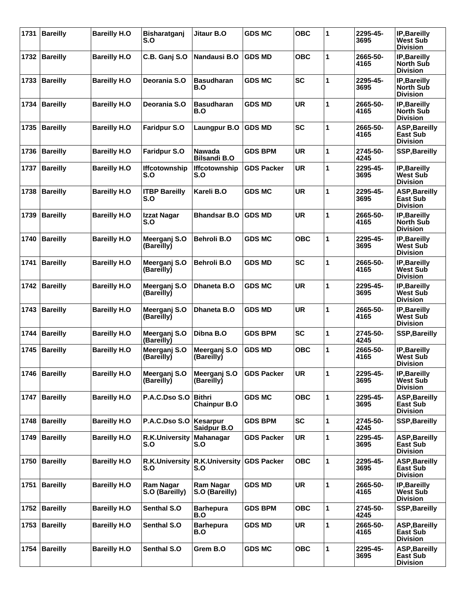| 1731 | <b>Bareilly</b> | <b>Bareilly H.O</b> | Bisharatganj<br>S.O                | Jitaur B.O                           | <b>GDS MC</b>     | <b>OBC</b> | 1 | 2295-45-<br>3695 | IP, Bareilly<br>West Sub<br><b>Division</b>                |
|------|-----------------|---------------------|------------------------------------|--------------------------------------|-------------------|------------|---|------------------|------------------------------------------------------------|
| 1732 | <b>Bareilly</b> | <b>Bareilly H.O</b> | C.B. Ganj S.O                      | Nandausi B.O                         | <b>GDS MD</b>     | <b>OBC</b> | 1 | 2665-50-<br>4165 | IP, Bareilly<br><b>North Sub</b><br><b>Division</b>        |
| 1733 | <b>Bareilly</b> | <b>Bareilly H.O</b> | Deorania S.O                       | <b>Basudharan</b><br>B.O             | <b>GDS MC</b>     | <b>SC</b>  | 1 | 2295-45-<br>3695 | IP, Bareilly<br><b>North Sub</b><br><b>Division</b>        |
| 1734 | <b>Bareilly</b> | <b>Bareilly H.O</b> | Deorania S.O                       | <b>Basudharan</b><br>B.O             | <b>GDS MD</b>     | <b>UR</b>  | 1 | 2665-50-<br>4165 | IP, Bareilly<br>North Sub<br><b>Division</b>               |
| 1735 | <b>Bareilly</b> | <b>Bareilly H.O</b> | <b>Faridpur S.O</b>                | Laungpur B.O                         | <b>GDS MD</b>     | <b>SC</b>  | 1 | 2665-50-<br>4165 | <b>ASP, Bareilly</b><br>East Sub<br><b>Division</b>        |
| 1736 | <b>Bareilly</b> | <b>Bareilly H.O</b> | <b>Faridpur S.O</b>                | <b>Nawada</b><br><b>Bilsandi B.O</b> | <b>GDS BPM</b>    | <b>UR</b>  | 1 | 2745-50-<br>4245 | <b>SSP, Bareilly</b>                                       |
| 1737 | <b>Bareilly</b> | <b>Bareilly H.O</b> | <b>Iffcotownship</b><br>S.O        | <b>Iffcotownship</b><br>S.O          | <b>GDS Packer</b> | <b>UR</b>  | 1 | 2295-45-<br>3695 | IP, Bareilly<br><b>West Sub</b><br><b>Division</b>         |
| 1738 | <b>Bareilly</b> | <b>Bareilly H.O</b> | <b>ITBP Bareilly</b><br>S.O        | Kareli B.O                           | <b>GDS MC</b>     | <b>UR</b>  | 1 | 2295-45-<br>3695 | <b>ASP, Bareilly</b><br>East Sub<br><b>Division</b>        |
| 1739 | <b>Bareilly</b> | <b>Bareilly H.O</b> | Izzat Nagar<br>S.O                 | <b>Bhandsar B.O</b>                  | <b>GDS MD</b>     | <b>UR</b>  | 1 | 2665-50-<br>4165 | IP, Bareilly<br><b>North Sub</b><br><b>Division</b>        |
| 1740 | <b>Bareilly</b> | <b>Bareilly H.O</b> | Meerganj S.O<br>(Bareilly)         | <b>Behroli B.O</b>                   | <b>GDS MC</b>     | OBC        | 1 | 2295-45-<br>3695 | <b>IP.Bareilly</b><br><b>West Sub</b><br><b>Division</b>   |
| 1741 | <b>Bareilly</b> | <b>Bareilly H.O</b> | Meerganj S.O<br>(Bareilly)         | <b>Behroli B.O</b>                   | <b>GDS MD</b>     | <b>SC</b>  | 1 | 2665-50-<br>4165 | IP, Bareilly<br><b>West Sub</b><br><b>Division</b>         |
| 1742 | <b>Bareilly</b> | <b>Bareilly H.O</b> | Meerganj S.O<br>(Bareilly)         | Dhaneta B.O                          | <b>GDS MC</b>     | <b>UR</b>  | 1 | 2295-45-<br>3695 | IP, Bareilly<br><b>West Sub</b><br><b>Division</b>         |
| 1743 | <b>Bareilly</b> | <b>Bareilly H.O</b> | Meerganj S.O<br>(Bareilly)         | Dhaneta B.O                          | <b>GDS MD</b>     | <b>UR</b>  | 1 | 2665-50-<br>4165 | IP, Bareilly<br>West Sub<br><b>Division</b>                |
| 1744 | <b>Bareilly</b> | <b>Bareilly H.O</b> | Meerganj S.O<br>(Bareilly)         | Dibna B.O                            | <b>GDS BPM</b>    | <b>SC</b>  | 1 | 2745-50-<br>4245 | <b>SSP, Bareilly</b>                                       |
| 1745 | <b>Bareilly</b> | <b>Bareilly H.O</b> | Meerganj S.O<br>(Bareilly)         | Meerganj S.O<br>(Bareilly)           | <b>GDS MD</b>     | <b>OBC</b> | 1 | 2665-50-<br>4165 | IP, Bareilly<br><b>West Sub</b><br><b>Division</b>         |
|      | 1746   Bareilly | <b>Bareilly H.O</b> | Meerganj S.O<br>(Bareilly)         | Meerganj S.O<br>(Bareilly)           | <b>GDS Packer</b> | <b>UR</b>  | 1 | 2295-45-<br>3695 | IP, Bareilly<br><b>West Sub</b><br><b>Division</b>         |
| 1747 | <b>Bareilly</b> | <b>Bareilly H.O</b> | P.A.C.Dso S.O                      | <b>Bithri</b><br><b>Chainpur B.O</b> | <b>GDS MC</b>     | <b>OBC</b> | 1 | 2295-45-<br>3695 | <b>ASP, Bareilly</b><br>East Sub<br><b>Division</b>        |
| 1748 | <b>Bareilly</b> | <b>Bareilly H.O</b> | P.A.C.Dso S.O                      | Kesarpur<br>Saidpur B.O              | <b>GDS BPM</b>    | <b>SC</b>  | 1 | 2745-50-<br>4245 | <b>SSP, Bareilly</b>                                       |
| 1749 | <b>Bareilly</b> | <b>Bareilly H.O</b> | R.K.University<br>S.O              | <b>Mahanagar</b><br>S.O              | <b>GDS Packer</b> | <b>UR</b>  | 1 | 2295-45-<br>3695 | <b>ASP, Bareilly</b><br>East Sub<br><b>Division</b>        |
| 1750 | <b>Bareilly</b> | <b>Bareilly H.O</b> | R.K.University<br>S.O              | <b>R.K.University</b><br>S.O         | <b>GDS Packer</b> | <b>OBC</b> | 1 | 2295-45-<br>3695 | <b>ASP, Bareilly</b><br>East Sub<br><b>Division</b>        |
| 1751 | <b>Bareilly</b> | <b>Bareilly H.O</b> | <b>Ram Nagar</b><br>S.O (Bareilly) | <b>Ram Nagar</b><br>S.O (Bareilly)   | <b>GDS MD</b>     | <b>UR</b>  | 1 | 2665-50-<br>4165 | IP, Bareilly<br><b>West Sub</b><br><b>Division</b>         |
| 1752 | <b>Bareilly</b> | <b>Bareilly H.O</b> | <b>Senthal S.O</b>                 | <b>Barhepura</b><br>B.O              | <b>GDS BPM</b>    | <b>OBC</b> | 1 | 2745-50-<br>4245 | <b>SSP, Bareilly</b>                                       |
| 1753 | <b>Bareilly</b> | <b>Bareilly H.O</b> | <b>Senthal S.O</b>                 | <b>Barhepura</b><br>B.O              | <b>GDS MD</b>     | <b>UR</b>  | 1 | 2665-50-<br>4165 | <b>ASP, Bareilly</b><br>East Sub<br><b>Division</b>        |
| 1754 | <b>Bareilly</b> | <b>Bareilly H.O</b> | Senthal S.O                        | Grem B.O                             | <b>GDS MC</b>     | <b>OBC</b> | 1 | 2295-45-<br>3695 | <b>ASP, Bareilly</b><br><b>East Sub</b><br><b>Division</b> |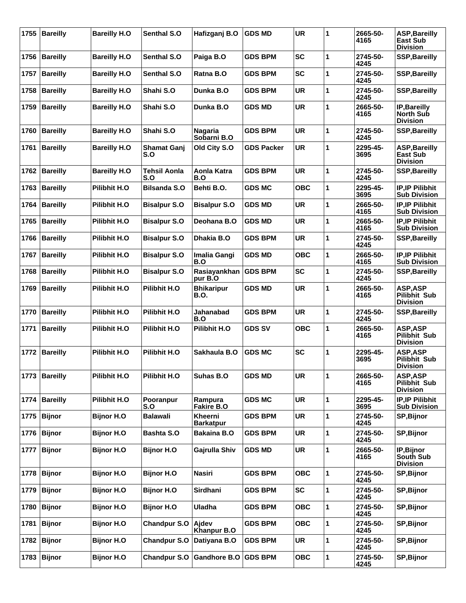| 1755 | <b>Bareilly</b> | <b>Bareilly H.O</b> | <b>Senthal S.O</b>         | Hafizganj B.O                 | <b>GDS MD</b>     | <b>UR</b>  | 1            | 2665-50-<br>4165 | <b>ASP, Bareilly</b><br>East Sub<br><b>Division</b>       |
|------|-----------------|---------------------|----------------------------|-------------------------------|-------------------|------------|--------------|------------------|-----------------------------------------------------------|
| 1756 | <b>Bareilly</b> | <b>Bareilly H.O</b> | <b>Senthal S.O</b>         | Paiga B.O                     | <b>GDS BPM</b>    | <b>SC</b>  | 1            | 2745-50-<br>4245 | <b>SSP, Bareilly</b>                                      |
| 1757 | <b>Bareilly</b> | <b>Bareilly H.O</b> | <b>Senthal S.O</b>         | Ratna B.O                     | <b>GDS BPM</b>    | <b>SC</b>  | 1            | 2745-50-<br>4245 | <b>SSP, Bareilly</b>                                      |
| 1758 | <b>Bareilly</b> | <b>Bareilly H.O</b> | Shahi S.O                  | Dunka B.O                     | <b>GDS BPM</b>    | <b>UR</b>  | 1            | 2745-50-<br>4245 | <b>SSP, Bareilly</b>                                      |
| 1759 | <b>Bareilly</b> | <b>Bareilly H.O</b> | Shahi S.O                  | Dunka B.O                     | <b>GDS MD</b>     | <b>UR</b>  | 1            | 2665-50-<br>4165 | IP, Bareilly<br>North Sub<br><b>Division</b>              |
| 1760 | <b>Bareilly</b> | <b>Bareilly H.O</b> | Shahi S.O                  | <b>Nagaria</b><br>Sobarni B.O | <b>GDS BPM</b>    | <b>UR</b>  | 1            | 2745-50-<br>4245 | <b>SSP, Bareilly</b>                                      |
| 1761 | <b>Bareilly</b> | <b>Bareilly H.O</b> | <b>Shamat Ganj</b><br>S.O  | Old City S.O                  | <b>GDS Packer</b> | <b>UR</b>  | 1            | 2295-45-<br>3695 | <b>ASP, Bareilly</b><br>East Sub<br><b>Division</b>       |
| 1762 | <b>Bareilly</b> | <b>Bareilly H.O</b> | <b>Tehsil Aonla</b><br>S.O | Aonla Katra<br>B.O            | <b>GDS BPM</b>    | <b>UR</b>  | 1            | 2745-50-<br>4245 | <b>SSP, Bareilly</b>                                      |
| 1763 | <b>Bareilly</b> | <b>Pilibhit H.O</b> | <b>Bilsanda S.O</b>        | Behti B.O.                    | <b>GDS MC</b>     | <b>OBC</b> | 1            | 2295-45-<br>3695 | IP, IP Pilibhit<br><b>Sub Division</b>                    |
| 1764 | <b>Bareilly</b> | Pilibhit H.O        | <b>Bisalpur S.O</b>        | <b>Bisalpur S.O</b>           | <b>GDS MD</b>     | <b>UR</b>  | 1            | 2665-50-<br>4165 | <b>IP.IP Pilibhit</b><br><b>Sub Division</b>              |
| 1765 | <b>Bareilly</b> | <b>Pilibhit H.O</b> | <b>Bisalpur S.O</b>        | Deohana B.O                   | <b>GDS MD</b>     | <b>UR</b>  | 1            | 2665-50-<br>4165 | <b>IP.IP Pilibhit</b><br><b>Sub Division</b>              |
| 1766 | <b>Bareilly</b> | <b>Pilibhit H.O</b> | <b>Bisalpur S.O</b>        | Dhakia B.O                    | <b>GDS BPM</b>    | <b>UR</b>  | 1            | 2745-50-<br>4245 | <b>SSP, Bareilly</b>                                      |
| 1767 | <b>Bareilly</b> | <b>Pilibhit H.O</b> | <b>Bisalpur S.O</b>        | Imalia Gangi<br>B.O           | <b>GDS MD</b>     | <b>OBC</b> | 1            | 2665-50-<br>4165 | <b>IP.IP Pilibhit</b><br><b>Sub Division</b>              |
| 1768 | <b>Bareilly</b> | <b>Pilibhit H.O</b> | <b>Bisalpur S.O</b>        | Rasiayankhan<br>pur B.O       | <b>GDS BPM</b>    | <b>SC</b>  | 1            | 2745-50-<br>4245 | <b>SSP, Bareilly</b>                                      |
| 1769 | <b>Bareilly</b> | <b>Pilibhit H.O</b> | <b>Pilibhit H.O</b>        | <b>Bhikaripur</b><br>B.O.     | <b>GDS MD</b>     | <b>UR</b>  | 1            | 2665-50-<br>4165 | ASP, ASP<br>Pilibhit Sub<br><b>Division</b>               |
| 1770 | <b>Bareilly</b> | <b>Pilibhit H.O</b> | <b>Pilibhit H.O</b>        | Jahanabad<br>B.O              | <b>GDS BPM</b>    | <b>UR</b>  | 1            | 2745-50-<br>4245 | <b>SSP, Bareilly</b>                                      |
| 1771 | <b>Bareilly</b> | Pilibhit H.O        | Pilibhit H.O               | <b>Pilibhit H.O.</b>          | <b>GDS SV</b>     | <b>OBC</b> | 1            | 2665-50-<br>4165 | <b>ASP, ASP</b><br>Pilibhit Sub<br><b>Division</b>        |
| 1772 | <b>Bareilly</b> | <b>Pilibhit H.O</b> | <b>Pilibhit H.O</b>        | Sakhaula B.O                  | <b>GDS MC</b>     | <b>SC</b>  | 1            | 2295-45-<br>3695 | <b>ASP, ASP</b><br><b>Pilibhit Sub</b><br><b>Division</b> |
| 1773 | <b>Bareilly</b> | Pilibhit H.O        | Pilibhit H.O               | Suhas B.O                     | <b>GDS MD</b>     | <b>UR</b>  | 1            | 2665-50-<br>4165 | <b>ASP, ASP</b><br>Pilibhit Sub<br><b>Division</b>        |
| 1774 | <b>Bareilly</b> | <b>Pilibhit H.O</b> | Pooranpur<br>S.O           | Rampura<br><b>Fakire B.O</b>  | <b>GDS MC</b>     | <b>UR</b>  | 1            | 2295-45-<br>3695 | <b>IP, IP Pilibhit</b><br><b>Sub Division</b>             |
| 1775 | <b>Bijnor</b>   | <b>Bijnor H.O</b>   | <b>Balawali</b>            | Kheerni<br><b>Barkatpur</b>   | <b>GDS BPM</b>    | UR         | 1            | 2745-50-<br>4245 | <b>SP, Bijnor</b>                                         |
| 1776 | <b>Bijnor</b>   | <b>Bijnor H.O</b>   | <b>Bashta S.O</b>          | <b>Bakaina B.O</b>            | <b>GDS BPM</b>    | <b>UR</b>  | 1            | 2745-50-<br>4245 | <b>SP, Bijnor</b>                                         |
| 1777 | <b>Bijnor</b>   | <b>Bijnor H.O</b>   | <b>Bijnor H.O</b>          | Gajrulla Shiv                 | <b>GDS MD</b>     | <b>UR</b>  | 1            | 2665-50-<br>4165 | IP, Bijnor<br>South Sub<br><b>Division</b>                |
| 1778 | <b>Bijnor</b>   | <b>Bijnor H.O.</b>  | <b>Bijnor H.O</b>          | <b>Nasiri</b>                 | <b>GDS BPM</b>    | <b>OBC</b> | 1            | 2745-50-<br>4245 | <b>SP, Bijnor</b>                                         |
| 1779 | <b>Bijnor</b>   | <b>Bijnor H.O</b>   | <b>Bijnor H.O</b>          | Sirdhani                      | <b>GDS BPM</b>    | <b>SC</b>  | 1            | 2745-50-<br>4245 | SP, Bijnor                                                |
| 1780 | <b>Bijnor</b>   | <b>Bijnor H.O.</b>  | <b>Bijnor H.O</b>          | Uladha                        | <b>GDS BPM</b>    | <b>OBC</b> | $\mathbf{1}$ | 2745-50-<br>4245 | SP, Bijnor                                                |
| 1781 | <b>Bijnor</b>   | <b>Bijnor H.O</b>   | <b>Chandpur S.O</b>        | Ajdev<br>Khanpur B.O          | <b>GDS BPM</b>    | <b>OBC</b> | 1            | 2745-50-<br>4245 | <b>SP, Bijnor</b>                                         |
| 1782 | <b>Bijnor</b>   | <b>Bijnor H.O</b>   | <b>Chandpur S.O</b>        | Datiyana B.O                  | <b>GDS BPM</b>    | UR         | 1            | 2745-50-<br>4245 | SP, Bijnor                                                |
| 1783 | <b>Bijnor</b>   | <b>Bijnor H.O</b>   | <b>Chandpur S.O</b>        | <b>Gandhore B.O</b>           | <b>GDS BPM</b>    | <b>OBC</b> | 1            | 2745-50-<br>4245 | <b>SP, Bijnor</b>                                         |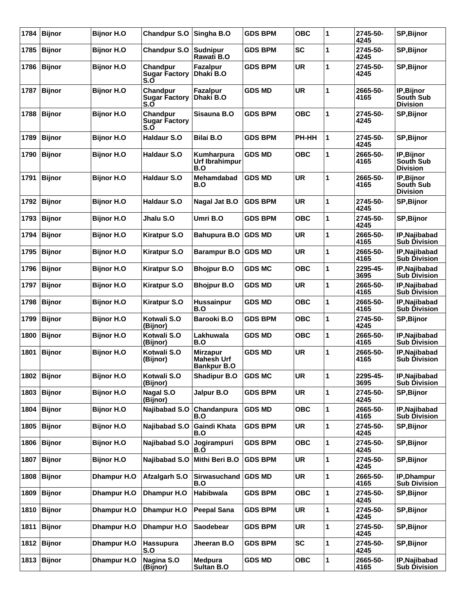| 1784 | <b>Bijnor</b> | <b>Bijnor H.O</b>  | <b>Chandpur S.O</b>                     | Singha B.O                                                 | <b>GDS BPM</b> | <b>OBC</b> | 1 | 2745-50-<br>4245 | <b>SP, Bijnor</b>                                 |
|------|---------------|--------------------|-----------------------------------------|------------------------------------------------------------|----------------|------------|---|------------------|---------------------------------------------------|
| 1785 | <b>Bijnor</b> | <b>Bijnor H.O.</b> | <b>Chandpur S.O</b>                     | <b>Sudnipur</b><br>Rawati B.O                              | <b>GDS BPM</b> | <b>SC</b>  | 1 | 2745-50-<br>4245 | <b>SP, Bijnor</b>                                 |
| 1786 | <b>Bijnor</b> | <b>Bijnor H.O</b>  | Chandpur<br><b>Sugar Factory</b><br>S.O | <b>Fazalpur</b><br>Dhaki B.O                               | <b>GDS BPM</b> | <b>UR</b>  | 1 | 2745-50-<br>4245 | <b>SP, Bijnor</b>                                 |
| 1787 | <b>Bijnor</b> | <b>Bijnor H.O</b>  | Chandpur<br><b>Sugar Factory</b><br>S.O | <b>Fazalpur</b><br>Dhaki B.O                               | <b>GDS MD</b>  | <b>UR</b>  | 1 | 2665-50-<br>4165 | IP, Bijnor<br>South Sub<br><b>Division</b>        |
| 1788 | <b>Bijnor</b> | <b>Bijnor H.O.</b> | Chandpur<br><b>Sugar Factory</b><br>S.O | Sisauna B.O                                                | <b>GDS BPM</b> | <b>OBC</b> | 1 | 2745-50-<br>4245 | SP, Bijnor                                        |
| 1789 | <b>Bijnor</b> | <b>Bijnor H.O.</b> | Haldaur S.O                             | <b>Bilai B.O</b>                                           | <b>GDS BPM</b> | PH-HH      | 1 | 2745-50-<br>4245 | <b>SP, Bijnor</b>                                 |
| 1790 | <b>Bijnor</b> | <b>Bijnor H.O</b>  | <b>Haldaur S.O</b>                      | Kumharpura<br><b>Urf Ibrahimpur</b><br>B.O                 | <b>GDS MD</b>  | <b>OBC</b> | 1 | 2665-50-<br>4165 | IP, Bijnor<br><b>South Sub</b><br><b>Division</b> |
| 1791 | <b>Bijnor</b> | <b>Bijnor H.O.</b> | <b>Haldaur S.O</b>                      | Mehamdabad<br>B.O                                          | <b>GDS MD</b>  | <b>UR</b>  | 1 | 2665-50-<br>4165 | IP, Bijnor<br>South Sub<br><b>Division</b>        |
| 1792 | <b>Bijnor</b> | <b>Bijnor H.O.</b> | <b>Haldaur S.O</b>                      | Nagal Jat B.O                                              | <b>GDS BPM</b> | <b>UR</b>  | 1 | 2745-50-<br>4245 | <b>SP, Bijnor</b>                                 |
| 1793 | <b>Bijnor</b> | <b>Bijnor H.O</b>  | Jhalu S.O                               | Umri B.O                                                   | <b>GDS BPM</b> | <b>OBC</b> | 1 | 2745-50-<br>4245 | SP, Bijnor                                        |
| 1794 | <b>Bijnor</b> | <b>Bijnor H.O</b>  | <b>Kiratpur S.O</b>                     | <b>Bahupura B.O</b>                                        | <b>GDS MD</b>  | <b>UR</b>  | 1 | 2665-50-<br>4165 | <b>IP.Najibabad</b><br><b>Sub Division</b>        |
| 1795 | <b>Bijnor</b> | <b>Bijnor H.O</b>  | <b>Kiratpur S.O</b>                     | <b>Barampur B.O</b>                                        | <b>GDS MD</b>  | <b>UR</b>  | 1 | 2665-50-<br>4165 | IP, Najibabad<br><b>Sub Division</b>              |
| 1796 | <b>Bijnor</b> | <b>Bijnor H.O.</b> | <b>Kiratpur S.O</b>                     | <b>Bhojpur B.O</b>                                         | <b>GDS MC</b>  | <b>OBC</b> | 1 | 2295-45-<br>3695 | <b>IP.Najibabad</b><br><b>Sub Division</b>        |
| 1797 | <b>Bijnor</b> | <b>Bijnor H.O.</b> | <b>Kiratpur S.O</b>                     | <b>Bhojpur B.O</b>                                         | <b>GDS MD</b>  | <b>UR</b>  | 1 | 2665-50-<br>4165 | IP, Najibabad<br><b>Sub Division</b>              |
| 1798 | <b>Bijnor</b> | <b>Bijnor H.O.</b> | <b>Kiratpur S.O</b>                     | <b>Hussainpur</b><br>B.O                                   | <b>GDS MD</b>  | <b>OBC</b> | 1 | 2665-50-<br>4165 | <b>IP.Najibabad</b><br><b>Sub Division</b>        |
| 1799 | <b>Bijnor</b> | <b>Bijnor H.O</b>  | Kotwali S.O<br>(Bijnor)                 | <b>Barooki B.O</b>                                         | <b>GDS BPM</b> | <b>OBC</b> | 1 | 2745-50-<br>4245 | <b>SP, Bijnor</b>                                 |
| 1800 | <b>Bijnor</b> | <b>Bijnor H.O</b>  | Kotwali S.O<br>(Bijnor)                 | Lakhuwala<br>B.O                                           | <b>GDS MD</b>  | <b>OBC</b> | 1 | 2665-50-<br>4165 | <b>IP.Naiibabad</b><br><b>Sub Division</b>        |
| 1801 | <b>Bijnor</b> | <b>Bijnor H.O</b>  | Kotwali S.O<br>(Bijnor)                 | <b>Mirzapur</b><br><b>Mahesh Urf</b><br><b>Bankpur B.O</b> | <b>GDS MD</b>  | <b>UR</b>  | 1 | 2665-50-<br>4165 | IP, Najibabad<br><b>Sub Division</b>              |
| 1802 | <b>Bijnor</b> | <b>Bijnor H.O</b>  | Kotwali S.O<br>(Bijnor)                 | <b>Shadipur B.O</b>                                        | <b>GDS MC</b>  | <b>UR</b>  | 1 | 2295-45-<br>3695 | IP, Najibabad<br><b>Sub Division</b>              |
| 1803 | <b>Bijnor</b> | <b>Bijnor H.O</b>  | Nagal S.O<br>(Bijnor)                   | Jalpur B.O                                                 | <b>GDS BPM</b> | <b>UR</b>  | 1 | 2745-50-<br>4245 | <b>SP, Bijnor</b>                                 |
| 1804 | <b>Bijnor</b> | <b>Bijnor H.O</b>  | Najibabad S.O                           | Chandanpura<br>B.O                                         | <b>GDS MD</b>  | <b>OBC</b> | 1 | 2665-50-<br>4165 | IP, Najibabad<br><b>Sub Division</b>              |
| 1805 | <b>Bijnor</b> | <b>Bijnor H.O</b>  | Najibabad S.O                           | Gaindi Khata<br>B.O                                        | <b>GDS BPM</b> | UR         | 1 | 2745-50-<br>4245 | <b>SP, Bijnor</b>                                 |
| 1806 | <b>Bijnor</b> | <b>Bijnor H.O</b>  | Najibabad S.O                           | Jogirampuri<br>B.O                                         | <b>GDS BPM</b> | <b>OBC</b> | 1 | 2745-50-<br>4245 | <b>SP, Bijnor</b>                                 |
| 1807 | <b>Bijnor</b> | <b>Bijnor H.O</b>  | Najibabad S.O                           | Mithi Beri B.O                                             | <b>GDS BPM</b> | <b>UR</b>  | 1 | 2745-50-<br>4245 | <b>SP, Bijnor</b>                                 |
| 1808 | <b>Bijnor</b> | Dhampur H.O        | Afzalgarh S.O                           | Sirwasuchand<br>B.O                                        | <b>GDS MD</b>  | UR         | 1 | 2665-50-<br>4165 | IP, Dhampur<br><b>Sub Division</b>                |
| 1809 | <b>Bijnor</b> | Dhampur H.O        | Dhampur H.O                             | Habibwala                                                  | <b>GDS BPM</b> | <b>OBC</b> | 1 | 2745-50-<br>4245 | <b>SP, Bijnor</b>                                 |
| 1810 | <b>Bijnor</b> | Dhampur H.O        | <b>Dhampur H.O</b>                      | <b>Peepal Sana</b>                                         | <b>GDS BPM</b> | <b>UR</b>  | 1 | 2745-50-<br>4245 | <b>SP, Bijnor</b>                                 |
| 1811 | <b>Bijnor</b> | Dhampur H.O        | Dhampur H.O                             | Saodebear                                                  | <b>GDS BPM</b> | UR         | 1 | 2745-50-<br>4245 | SP, Bijnor                                        |
| 1812 | <b>Bijnor</b> | Dhampur H.O        | Hassupura<br>S.O                        | Jheeran B.O                                                | <b>GDS BPM</b> | <b>SC</b>  | 1 | 2745-50-<br>4245 | <b>SP, Bijnor</b>                                 |
| 1813 | <b>Bijnor</b> | Dhampur H.O        | Nagina S.O<br>(Bijnor)                  | Medpura<br><b>Sultan B.O</b>                               | <b>GDS MD</b>  | <b>OBC</b> | 1 | 2665-50-<br>4165 | IP, Najibabad<br><b>Sub Division</b>              |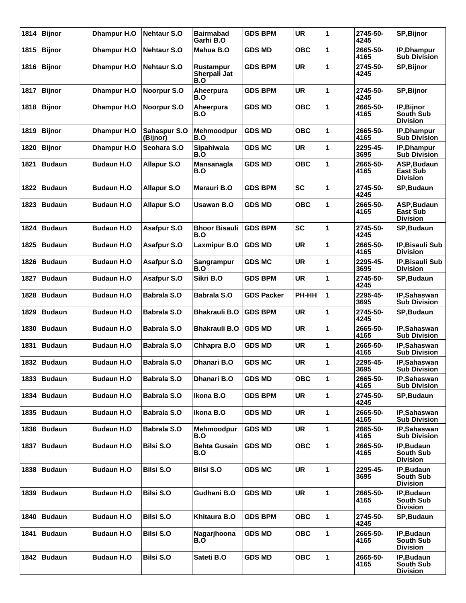| 1814 | <b>Bijnor</b> | Dhampur H.O        | <b>Nehtaur S.O</b>       | <b>Bairmabad</b><br>Garhi B.O           | <b>GDS BPM</b>    | <b>UR</b>  | 1            | 2745-50-<br>4245 | <b>SP, Bijnor</b>                                 |
|------|---------------|--------------------|--------------------------|-----------------------------------------|-------------------|------------|--------------|------------------|---------------------------------------------------|
| 1815 | <b>Bijnor</b> | Dhampur H.O        | <b>Nehtaur S.O</b>       | Mahua B.O                               | <b>GDS MD</b>     | <b>OBC</b> | 1            | 2665-50-<br>4165 | IP, Dhampur<br><b>Sub Division</b>                |
| 1816 | <b>Bijnor</b> | Dhampur H.O        | Nehtaur S.O              | <b>Rustampur</b><br>Sherpali Jat<br>B.O | <b>GDS BPM</b>    | <b>UR</b>  | 1            | 2745-50-<br>4245 | <b>SP, Bijnor</b>                                 |
| 1817 | <b>Bijnor</b> | <b>Dhampur H.O</b> | <b>Noorpur S.O</b>       | Aheerpura<br>B.O                        | <b>GDS BPM</b>    | <b>UR</b>  | 1            | 2745-50-<br>4245 | <b>SP, Bijnor</b>                                 |
| 1818 | Bijnor        | Dhampur H.O        | Noorpur S.O              | Aheerpura<br>B.O                        | <b>GDS MD</b>     | <b>OBC</b> | 1            | 2665-50-<br>4165 | IP, Bijnor<br>South Sub<br><b>Division</b>        |
| 1819 | <b>Bijnor</b> | Dhampur H.O        | Sahaspur S.O<br>(Bijnor) | Mehmoodpur<br>B.O                       | <b>GDS MD</b>     | <b>OBC</b> | 1            | 2665-50-<br>4165 | IP, Dhampur<br><b>Sub Division</b>                |
| 1820 | <b>Bijnor</b> | Dhampur H.O        | Seohara S.O              | <b>Sipahiwala</b><br>B.O                | <b>GDS MC</b>     | <b>UR</b>  | 1            | 2295-45-<br>3695 | IP, Dhampur<br><b>Sub Division</b>                |
| 1821 | <b>Budaun</b> | <b>Budaun H.O.</b> | <b>Allapur S.O</b>       | Mansanagla<br>B.O                       | <b>GDS MD</b>     | <b>OBC</b> | 1            | 2665-50-<br>4165 | ASP, Budaun<br>East Sub<br><b>Division</b>        |
| 1822 | <b>Budaun</b> | <b>Budaun H.O</b>  | <b>Allapur S.O</b>       | Marauri B.O                             | <b>GDS BPM</b>    | <b>SC</b>  | 1            | 2745-50-<br>4245 | SP, Budaun                                        |
| 1823 | <b>Budaun</b> | <b>Budaun H.O.</b> | <b>Allapur S.O</b>       | Usawan B.O                              | <b>GDS MD</b>     | <b>OBC</b> | 1            | 2665-50-<br>4165 | ASP, Budaun<br><b>East Sub</b><br><b>Division</b> |
| 1824 | <b>Budaun</b> | <b>Budaun H.O.</b> | <b>Asafpur S.O</b>       | <b>Bhoor Bisauli</b><br>B.O             | <b>GDS BPM</b>    | <b>SC</b>  | 1            | 2745-50-<br>4245 | <b>SP, Budaun</b>                                 |
| 1825 | <b>Budaun</b> | <b>Budaun H.O.</b> | <b>Asafpur S.O</b>       | Laxmipur B.O                            | <b>GDS MD</b>     | <b>UR</b>  | 1            | 2665-50-<br>4165 | IP, Bisauli Sub<br>Division                       |
| 1826 | <b>Budaun</b> | <b>Budaun H.O</b>  | <b>Asafpur S.O</b>       | Sangrampur<br>B.O                       | <b>GDS MC</b>     | <b>UR</b>  | 1            | 2295-45-<br>3695 | <b>IP, Bisauli Sub</b><br><b>Division</b>         |
| 1827 | <b>Budaun</b> | <b>Budaun H.O.</b> | <b>Asafpur S.O</b>       | Sikri B.O                               | <b>GDS BPM</b>    | <b>UR</b>  | 1            | 2745-50-<br>4245 | SP, Budaun                                        |
| 1828 | <b>Budaun</b> | <b>Budaun H.O</b>  | <b>Babrala S.O</b>       | <b>Babrala S.O</b>                      | <b>GDS Packer</b> | PH-HH      | $\mathbf{1}$ | 2295-45-<br>3695 | IP,Sahaswan<br><b>Sub Division</b>                |
| 1829 | <b>Budaun</b> | <b>Budaun H.O</b>  | <b>Babrala S.O</b>       | <b>Bhakrauli B.O</b>                    | <b>GDS BPM</b>    | <b>UR</b>  | 1            | 2745-50-<br>4245 | <b>SP, Budaun</b>                                 |
| 1830 | <b>Budaun</b> | <b>Budaun H.O.</b> | <b>Babrala S.O</b>       | <b>Bhakrauli B.O</b>                    | <b>GDS MD</b>     | <b>UR</b>  | 1            | 2665-50-<br>4165 | <b>IP.Sahaswan</b><br><b>Sub Division</b>         |
| 1831 | <b>Budaun</b> | <b>Budaun H.O</b>  | <b>Babrala S.O</b>       | Chhapra B.O                             | <b>GDS MD</b>     | <b>UR</b>  | 1            | 2665-50-<br>4165 | IP, Sahaswan<br><b>Sub Division</b>               |
|      | 1832 Budaun   | <b>Budaun H.O</b>  | <b>Babrala S.O</b>       | Dhanari B.O                             | <b>GDS MC</b>     | <b>UR</b>  | 1            | 2295-45-<br>3695 | IP, Sahaswan<br><b>Sub Division</b>               |
| 1833 | <b>Budaun</b> | <b>Budaun H.O</b>  | <b>Babrala S.O</b>       | Dhanari B.O                             | <b>GDS MD</b>     | <b>OBC</b> | 1            | 2665-50-<br>4165 | <b>IP.Sahaswan</b><br><b>Sub Division</b>         |
|      | 1834 Budaun   | <b>Budaun H.O</b>  | <b>Babrala S.O</b>       | Ikona B.O                               | <b>GDS BPM</b>    | <b>UR</b>  | $\mathbf{1}$ | 2745-50-<br>4245 | SP, Budaun                                        |
| 1835 | <b>Budaun</b> | <b>Budaun H.O</b>  | <b>Babrala S.O</b>       | Ikona B.O                               | <b>GDS MD</b>     | UR         | 1            | 2665-50-<br>4165 | IP,Sahaswan<br><b>Sub Division</b>                |
| 1836 | Budaun        | <b>Budaun H.O</b>  | <b>Babrala S.O</b>       | Mehmoodpur<br>B.O                       | <b>GDS MD</b>     | <b>UR</b>  | 1            | 2665-50-<br>4165 | IP,Sahaswan<br><b>Sub Division</b>                |
|      | 1837 Budaun   | <b>Budaun H.O.</b> | <b>Bilsi S.O</b>         | <b>Behta Gusain</b><br>B.O              | <b>GDS MD</b>     | <b>OBC</b> | 1            | 2665-50-<br>4165 | IP, Budaun<br>South Sub<br><b>Division</b>        |
| 1838 | Budaun        | <b>Budaun H.O</b>  | <b>Bilsi S.O</b>         | <b>Bilsi S.O</b>                        | <b>GDS MC</b>     | <b>UR</b>  | $\mathbf{1}$ | 2295-45-<br>3695 | IP, Budaun<br><b>South Sub</b><br><b>Division</b> |
| 1839 | <b>Budaun</b> | <b>Budaun H.O.</b> | <b>Bilsi S.O</b>         | Gudhani B.O                             | <b>GDS MD</b>     | <b>UR</b>  | 1            | 2665-50-<br>4165 | IP, Budaun<br><b>South Sub</b><br><b>Division</b> |
| 1840 | <b>Budaun</b> | <b>Budaun H.O</b>  | <b>Bilsi S.O</b>         | Khitaura B.O                            | <b>GDS BPM</b>    | <b>OBC</b> | 1            | 2745-50-<br>4245 | SP, Budaun                                        |
| 1841 | <b>Budaun</b> | <b>Budaun H.O</b>  | <b>Bilsi S.O</b>         | Nagarjhoona<br>B.O                      | <b>GDS MD</b>     | <b>OBC</b> | 1            | 2665-50-<br>4165 | IP, Budaun<br><b>South Sub</b><br><b>Division</b> |
| 1842 | Budaun        | <b>Budaun H.O</b>  | <b>Bilsi S.O</b>         | Sateti B.O                              | <b>GDS MD</b>     | <b>OBC</b> | $\mathbf{1}$ | 2665-50-<br>4165 | IP, Budaun<br>South Sub<br>Division               |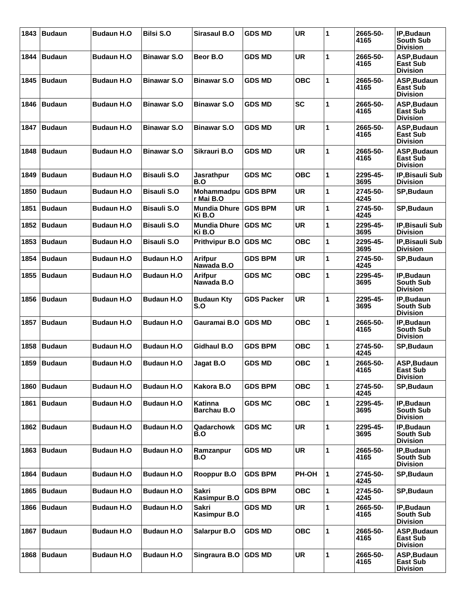| 1843 | <b>Budaun</b> | <b>Budaun H.O</b>  | <b>Bilsi S.O</b>   | <b>Sirasaul B.O</b>               | <b>GDS MD</b>     | <b>UR</b>  | 1           | 2665-50-<br>4165 | IP, Budaun<br><b>South Sub</b><br><b>Division</b> |
|------|---------------|--------------------|--------------------|-----------------------------------|-------------------|------------|-------------|------------------|---------------------------------------------------|
| 1844 | <b>Budaun</b> | <b>Budaun H.O</b>  | Binawar S.O        | Beor B.O                          | <b>GDS MD</b>     | <b>UR</b>  | 1           | 2665-50-<br>4165 | ASP, Budaun<br>East Sub<br><b>Division</b>        |
| 1845 | <b>Budaun</b> | <b>Budaun H.O</b>  | <b>Binawar S.O</b> | <b>Binawar S.O</b>                | <b>GDS MD</b>     | <b>OBC</b> | 1           | 2665-50-<br>4165 | ASP, Budaun<br><b>East Sub</b><br><b>Division</b> |
| 1846 | <b>Budaun</b> | <b>Budaun H.O</b>  | <b>Binawar S.O</b> | <b>Binawar S.O</b>                | <b>GDS MD</b>     | <b>SC</b>  | 1           | 2665-50-<br>4165 | ASP, Budaun<br>East Sub<br><b>Division</b>        |
| 1847 | <b>Budaun</b> | <b>Budaun H.O</b>  | Binawar S.O        | <b>Binawar S.O</b>                | <b>GDS MD</b>     | <b>UR</b>  | 1           | 2665-50-<br>4165 | ASP, Budaun<br><b>East Sub</b><br><b>Division</b> |
| 1848 | <b>Budaun</b> | <b>Budaun H.O</b>  | <b>Binawar S.O</b> | Sikrauri B.O                      | <b>GDS MD</b>     | <b>UR</b>  | 1           | 2665-50-<br>4165 | ASP, Budaun<br><b>East Sub</b><br><b>Division</b> |
| 1849 | <b>Budaun</b> | <b>Budaun H.O</b>  | <b>Bisauli S.O</b> | <b>Jasrathpur</b><br>B.O          | <b>GDS MC</b>     | <b>OBC</b> | 1           | 2295-45-<br>3695 | IP, Bisauli Sub<br><b>Division</b>                |
| 1850 | <b>Budaun</b> | <b>Budaun H.O</b>  | <b>Bisauli S.O</b> | Mohammadpu   GDS BPM<br>r Mai B.O |                   | <b>UR</b>  | 1           | 2745-50-<br>4245 | SP, Budaun                                        |
| 1851 | <b>Budaun</b> | <b>Budaun H.O</b>  | <b>Bisauli S.O</b> | <b>Mundia Dhure</b><br>Ki B.O     | <b>GDS BPM</b>    | <b>UR</b>  | 1           | 2745-50-<br>4245 | SP, Budaun                                        |
| 1852 | <b>Budaun</b> | <b>Budaun H.O</b>  | <b>Bisauli S.O</b> | <b>Mundia Dhure</b><br>Ki B.O     | <b>GDS MC</b>     | <b>UR</b>  | 1           | 2295-45-<br>3695 | IP, Bisauli Sub<br><b>Division</b>                |
| 1853 | <b>Budaun</b> | <b>Budaun H.O</b>  | <b>Bisauli S.O</b> | Prithvipur B.O GDS MC             |                   | <b>OBC</b> | 1           | 2295-45-<br>3695 | <b>IP, Bisauli Sub</b><br><b>Division</b>         |
| 1854 | <b>Budaun</b> | <b>Budaun H.O</b>  | <b>Budaun H.O</b>  | <b>Arifpur</b><br>Nawada B.O      | <b>GDS BPM</b>    | <b>UR</b>  | 1           | 2745-50-<br>4245 | SP, Budaun                                        |
| 1855 | <b>Budaun</b> | <b>Budaun H.O</b>  | <b>Budaun H.O</b>  | <b>Arifpur</b><br>Nawada B.O      | <b>GDS MC</b>     | <b>OBC</b> | 1           | 2295-45-<br>3695 | IP, Budaun<br>South Sub<br><b>Division</b>        |
| 1856 | <b>Budaun</b> | <b>Budaun H.O</b>  | <b>Budaun H.O</b>  | <b>Budaun Kty</b><br>S.O          | <b>GDS Packer</b> | <b>UR</b>  | 1           | 2295-45-<br>3695 | IP, Budaun<br><b>South Sub</b><br><b>Division</b> |
| 1857 | <b>Budaun</b> | <b>Budaun H.O</b>  | <b>Budaun H.O</b>  | Gauramai B.O                      | <b>GDS MD</b>     | <b>OBC</b> | 1           | 2665-50-<br>4165 | IP, Budaun<br><b>South Sub</b><br><b>Division</b> |
| 1858 | <b>Budaun</b> | <b>Budaun H.O</b>  | <b>Budaun H.O.</b> | Gidhaul B.O                       | <b>GDS BPM</b>    | <b>OBC</b> | 1           | 2745-50-<br>4245 | SP, Budaun                                        |
| 1859 | Budaun        | <b>Budaun H.O</b>  | <b>Budaun H.O</b>  | Jagat B.O                         | <b>GDS MD</b>     | ОВС        | 1           | 2665-50-<br>4165 | ASP, Budaun<br><b>East Sub</b><br><b>Division</b> |
| 1860 | <b>Budaun</b> | <b>Budaun H.O.</b> | <b>Budaun H.O</b>  | Kakora B.O                        | <b>GDS BPM</b>    | <b>OBC</b> | 1           | 2745-50-<br>4245 | SP, Budaun                                        |
| 1861 | <b>Budaun</b> | <b>Budaun H.O</b>  | <b>Budaun H.O</b>  | Katinna<br><b>Barchau B.O</b>     | <b>GDS MC</b>     | <b>OBC</b> | 1           | 2295-45-<br>3695 | IP, Budaun<br>South Sub<br><b>Division</b>        |
| 1862 | Budaun        | <b>Budaun H.O.</b> | <b>Budaun H.O.</b> | Qadarchowk<br>B.O                 | <b>GDS MC</b>     | UR         | 1           | 2295-45-<br>3695 | IP, Budaun<br>South Sub<br><b>Division</b>        |
| 1863 | <b>Budaun</b> | <b>Budaun H.O</b>  | <b>Budaun H.O</b>  | Ramzanpur<br>B.O                  | <b>GDS MD</b>     | <b>UR</b>  | 1           | 2665-50-<br>4165 | IP, Budaun<br>South Sub<br><b>Division</b>        |
| 1864 | <b>Budaun</b> | <b>Budaun H.O</b>  | <b>Budaun H.O.</b> | Rooppur B.O                       | <b>GDS BPM</b>    | PH-OH      | $\mathbf 1$ | 2745-50-<br>4245 | SP, Budaun                                        |
| 1865 | <b>Budaun</b> | <b>Budaun H.O.</b> | <b>Budaun H.O</b>  | <b>Sakri</b><br>Kasimpur B.O      | <b>GDS BPM</b>    | <b>OBC</b> | 1           | 2745-50-<br>4245 | SP, Budaun                                        |
| 1866 | <b>Budaun</b> | <b>Budaun H.O</b>  | <b>Budaun H.O</b>  | <b>Sakri</b><br>Kasimpur B.O      | <b>GDS MD</b>     | <b>UR</b>  | 1           | 2665-50-<br>4165 | IP, Budaun<br><b>South Sub</b><br><b>Division</b> |
| 1867 | <b>Budaun</b> | <b>Budaun H.O</b>  | <b>Budaun H.O</b>  | <b>Salarpur B.O</b>               | <b>GDS MD</b>     | <b>OBC</b> | 1           | 2665-50-<br>4165 | ASP, Budaun<br>East Sub<br><b>Division</b>        |
| 1868 | <b>Budaun</b> | <b>Budaun H.O.</b> | <b>Budaun H.O</b>  | Singraura B.O                     | <b>GDS MD</b>     | <b>UR</b>  | 1           | 2665-50-<br>4165 | ASP, Budaun<br><b>East Sub</b><br><b>Division</b> |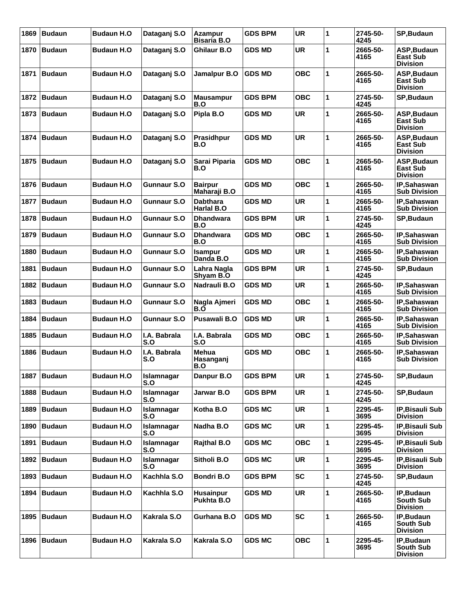| 1869 | <b>Budaun</b> | <b>Budaun H.O</b>  | Dataganj S.O        | <b>Azampur</b><br><b>Bisaria B.O</b> | <b>GDS BPM</b> | <b>UR</b>  | 1            | 2745-50-<br>4245 | SP, Budaun                                        |
|------|---------------|--------------------|---------------------|--------------------------------------|----------------|------------|--------------|------------------|---------------------------------------------------|
| 1870 | <b>Budaun</b> | <b>Budaun H.O.</b> | Dataganj S.O        | Ghilaur B.O                          | <b>GDS MD</b>  | <b>UR</b>  | 1            | 2665-50-<br>4165 | ASP, Budaun<br>East Sub<br><b>Division</b>        |
| 1871 | <b>Budaun</b> | <b>Budaun H.O.</b> | Dataganj S.O        | Jamalpur B.O                         | <b>GDS MD</b>  | <b>OBC</b> | 1            | 2665-50-<br>4165 | ASP, Budaun<br><b>East Sub</b><br><b>Division</b> |
| 1872 | <b>Budaun</b> | <b>Budaun H.O.</b> | Dataganj S.O        | <b>Mausampur</b><br>B.O              | <b>GDS BPM</b> | <b>OBC</b> | 1            | 2745-50-<br>4245 | SP, Budaun                                        |
| 1873 | <b>Budaun</b> | <b>Budaun H.O.</b> | Dataganj S.O        | Pipla B.O                            | <b>GDS MD</b>  | <b>UR</b>  | 1            | 2665-50-<br>4165 | ASP, Budaun<br><b>East Sub</b><br><b>Division</b> |
| 1874 | <b>Budaun</b> | <b>Budaun H.O.</b> | Dataganj S.O        | Prasidhpur<br>B.O                    | <b>GDS MD</b>  | <b>UR</b>  | 1            | 2665-50-<br>4165 | ASP, Budaun<br><b>East Sub</b><br><b>Division</b> |
| 1875 | <b>Budaun</b> | <b>Budaun H.O.</b> | Dataganj S.O        | Sarai Piparia<br>B.O                 | <b>GDS MD</b>  | <b>OBC</b> | 1            | 2665-50-<br>4165 | ASP, Budaun<br><b>East Sub</b><br><b>Division</b> |
| 1876 | <b>Budaun</b> | <b>Budaun H.O</b>  | <b>Gunnaur S.O</b>  | <b>Bairpur</b><br>Maharaji B.O       | <b>GDS MD</b>  | <b>OBC</b> | 1            | 2665-50-<br>4165 | IP,Sahaswan<br><b>Sub Division</b>                |
| 1877 | <b>Budaun</b> | <b>Budaun H.O.</b> | Gunnaur S.O         | <b>Dabthara</b><br>Harlal B.O        | <b>GDS MD</b>  | <b>UR</b>  | 1            | 2665-50-<br>4165 | IP,Sahaswan<br><b>Sub Division</b>                |
| 1878 | <b>Budaun</b> | <b>Budaun H.O</b>  | Gunnaur S.O         | <b>Dhandwara</b><br>B.O              | <b>GDS BPM</b> | <b>UR</b>  | 1            | 2745-50-<br>4245 | SP, Budaun                                        |
| 1879 | <b>Budaun</b> | <b>Budaun H.O</b>  | <b>Gunnaur S.O</b>  | <b>Dhandwara</b><br>B.O              | <b>GDS MD</b>  | <b>OBC</b> | 1            | 2665-50-<br>4165 | IP, Sahaswan<br><b>Sub Division</b>               |
| 1880 | <b>Budaun</b> | <b>Budaun H.O.</b> | Gunnaur S.O         | <b>Isampur</b><br>Danda B.O          | <b>GDS MD</b>  | <b>UR</b>  | 1            | 2665-50-<br>4165 | IP.Sahaswan<br><b>Sub Division</b>                |
| 1881 | <b>Budaun</b> | <b>Budaun H.O</b>  | <b>Gunnaur S.O</b>  | Lahra Nagla<br>Shyam B.O             | <b>GDS BPM</b> | <b>UR</b>  | 1            | 2745-50-<br>4245 | SP, Budaun                                        |
| 1882 | <b>Budaun</b> | <b>Budaun H.O</b>  | Gunnaur S.O         | Nadrauli B.O                         | <b>GDS MD</b>  | <b>UR</b>  | 1            | 2665-50-<br>4165 | IP,Sahaswan<br><b>Sub Division</b>                |
| 1883 | <b>Budaun</b> | <b>Budaun H.O.</b> | <b>Gunnaur S.O</b>  | Nagla Ajmeri<br>B.O                  | <b>GDS MD</b>  | <b>OBC</b> | 1            | 2665-50-<br>4165 | IP,Sahaswan<br><b>Sub Division</b>                |
| 1884 | <b>Budaun</b> | <b>Budaun H.O</b>  | <b>Gunnaur S.O</b>  | Pusawali B.O                         | <b>GDS MD</b>  | <b>UR</b>  | 1            | 2665-50-<br>4165 | IP,Sahaswan<br><b>Sub Division</b>                |
| 1885 | <b>Budaun</b> | <b>Budaun H.O</b>  | I.A. Babrala<br>S.O | I.A. Babrala<br>S.O                  | <b>GDS MD</b>  | <b>OBC</b> | 1            | 2665-50-<br>4165 | IP,Sahaswan<br><b>Sub Division</b>                |
| 1886 | <b>Budaun</b> | <b>Budaun H.O</b>  | I.A. Babrala<br>S.O | <b>Mehua</b><br>Hasanganj<br>B.O     | <b>GDS MD</b>  | <b>OBC</b> | 1            | 2665-50-<br>4165 | <b>IP.Sahaswan</b><br><b>Sub Division</b>         |
| 1887 | Budaun        | <b>Budaun H.O</b>  | Islamnagar<br>S.O   | Danpur B.O                           | <b>GDS BPM</b> | <b>UR</b>  | 1            | 2745-50-<br>4245 | SP, Budaun                                        |
| 1888 | Budaun        | <b>Budaun H.O</b>  | Islamnagar<br>S.O   | Jarwar B.O                           | <b>GDS BPM</b> | <b>UR</b>  | $\mathbf{1}$ | 2745-50-<br>4245 | SP, Budaun                                        |
| 1889 | Budaun        | <b>Budaun H.O.</b> | Islamnagar<br>S.O   | Kotha B.O                            | <b>GDS MC</b>  | <b>UR</b>  | 1            | 2295-45-<br>3695 | IP, Bisauli Sub<br><b>Division</b>                |
| 1890 | Budaun        | <b>Budaun H.O</b>  | Islamnagar<br>S.O   | Nadha B.O                            | <b>GDS MC</b>  | UR         | 1            | 2295-45-<br>3695 | IP, Bisauli Sub<br><b>Division</b>                |
| 1891 | Budaun        | <b>Budaun H.O</b>  | Islamnagar<br>S.O   | <b>Rajthal B.O</b>                   | <b>GDS MC</b>  | <b>OBC</b> | $\mathbf{1}$ | 2295-45-<br>3695 | IP, Bisauli Sub<br><b>Division</b>                |
| 1892 | Budaun        | <b>Budaun H.O</b>  | Islamnagar<br>S.O   | Sitholi B.O                          | <b>GDS MC</b>  | UR         | 1            | 2295-45-<br>3695 | IP, Bisauli Sub<br><b>Division</b>                |
| 1893 | Budaun        | <b>Budaun H.O</b>  | Kachhla S.O         | Bondri B.O                           | <b>GDS BPM</b> | SC         | 1            | 2745-50-<br>4245 | SP, Budaun                                        |
| 1894 | Budaun        | <b>Budaun H.O</b>  | Kachhla S.O         | <b>Husainpur</b><br>Pukhta B.O       | <b>GDS MD</b>  | <b>UR</b>  | $\mathbf{1}$ | 2665-50-<br>4165 | IP, Budaun<br>South Sub<br><b>Division</b>        |
| 1895 | Budaun        | <b>Budaun H.O</b>  | Kakrala S.O         | Gurhana B.O                          | <b>GDS MD</b>  | <b>SC</b>  | 1            | 2665-50-<br>4165 | IP, Budaun<br><b>South Sub</b><br><b>Division</b> |
| 1896 | Budaun        | <b>Budaun H.O</b>  | Kakrala S.O         | Kakrala S.O                          | <b>GDS MC</b>  | <b>OBC</b> | 1            | 2295-45-<br>3695 | IP, Budaun<br><b>South Sub</b><br><b>Division</b> |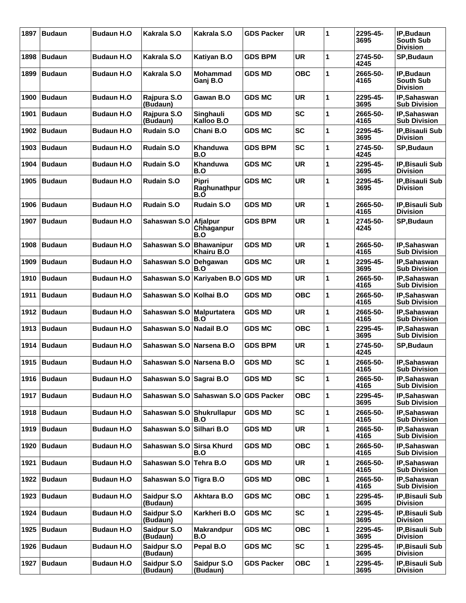| 1897 | <b>Budaun</b> | <b>Budaun H.O</b>  | Kakrala S.O               | Kakrala S.O                            | <b>GDS Packer</b> | <b>UR</b>  | 1 | 2295-45-<br>3695 | IP, Budaun<br><b>South Sub</b><br><b>Division</b> |
|------|---------------|--------------------|---------------------------|----------------------------------------|-------------------|------------|---|------------------|---------------------------------------------------|
| 1898 | <b>Budaun</b> | <b>Budaun H.O</b>  | Kakrala S.O               | Katiyan B.O                            | <b>GDS BPM</b>    | <b>UR</b>  | 1 | 2745-50-<br>4245 | <b>SP, Budaun</b>                                 |
| 1899 | <b>Budaun</b> | <b>Budaun H.O</b>  | Kakrala S.O               | <b>Mohammad</b><br>Ganj B.O            | <b>GDS MD</b>     | OBC        | 1 | 2665-50-<br>4165 | IP, Budaun<br>South Sub<br><b>Division</b>        |
| 1900 | <b>Budaun</b> | <b>Budaun H.O</b>  | Rajpura S.O<br>(Budaun)   | Gawan B.O                              | <b>GDS MC</b>     | <b>UR</b>  | 1 | 2295-45-<br>3695 | IP,Sahaswan<br><b>Sub Division</b>                |
| 1901 | <b>Budaun</b> | <b>Budaun H.O</b>  | Rajpura S.O<br>(Budaun)   | Singhauli<br>Kalloo B.O                | <b>GDS MD</b>     | <b>SC</b>  | 1 | 2665-50-<br>4165 | IP,Sahaswan<br><b>Sub Division</b>                |
| 1902 | <b>Budaun</b> | <b>Budaun H.O</b>  | <b>Rudain S.O</b>         | Chani B.O                              | <b>GDS MC</b>     | <b>SC</b>  | 1 | 2295-45-<br>3695 | IP, Bisauli Sub<br><b>Division</b>                |
| 1903 | <b>Budaun</b> | <b>Budaun H.O</b>  | <b>Rudain S.O</b>         | <b>Khanduwa</b><br>B.O                 | GDS BPM           | <b>SC</b>  | 1 | 2745-50-<br>4245 | <b>SP, Budaun</b>                                 |
| 1904 | <b>Budaun</b> | <b>Budaun H.O</b>  | <b>Rudain S.O</b>         | <b>Khanduwa</b><br>B.O                 | <b>GDS MC</b>     | <b>UR</b>  | 1 | 2295-45-<br>3695 | IP, Bisauli Sub<br><b>Division</b>                |
| 1905 | <b>Budaun</b> | <b>Budaun H.O</b>  | <b>Rudain S.O</b>         | <b>Pipri</b><br>Raghunathpur<br>B.O    | <b>GDS MC</b>     | <b>UR</b>  | 1 | 2295-45-<br>3695 | IP, Bisauli Sub<br><b>Division</b>                |
| 1906 | <b>Budaun</b> | <b>Budaun H.O</b>  | <b>Rudain S.O</b>         | <b>Rudain S.O</b>                      | <b>GDS MD</b>     | <b>UR</b>  | 1 | 2665-50-<br>4165 | IP, Bisauli Sub<br><b>Division</b>                |
| 1907 | <b>Budaun</b> | <b>Budaun H.O</b>  | Sahaswan S.O              | Afjalpur<br>Chhaganpur<br>B.O          | <b>GDS BPM</b>    | <b>UR</b>  | 1 | 2745-50-<br>4245 | <b>SP, Budaun</b>                                 |
| 1908 | <b>Budaun</b> | <b>Budaun H.O</b>  | Sahaswan S.O              | <b>Bhawanipur</b><br><b>Khairu B.O</b> | <b>GDS MD</b>     | <b>UR</b>  | 1 | 2665-50-<br>4165 | IP,Sahaswan<br><b>Sub Division</b>                |
| 1909 | <b>Budaun</b> | <b>Budaun H.O</b>  | Sahaswan S.O              | Dehgawan<br>B.O                        | <b>GDS MC</b>     | <b>UR</b>  | 1 | 2295-45-<br>3695 | IP,Sahaswan<br><b>Sub Division</b>                |
| 1910 | <b>Budaun</b> | <b>Budaun H.O</b>  |                           | Sahaswan S.O Kariyaben B.O GDS MD      |                   | <b>UR</b>  | 1 | 2665-50-<br>4165 | IP, Sahaswan<br><b>Sub Division</b>               |
| 1911 | <b>Budaun</b> | <b>Budaun H.O</b>  | Sahaswan S.O Kolhai B.O   |                                        | <b>GDS MD</b>     | OBC        | 1 | 2665-50-<br>4165 | IP,Sahaswan<br><b>Sub Division</b>                |
| 1912 | <b>Budaun</b> | <b>Budaun H.O</b>  | Sahaswan S.O              | Malpurtatera<br>B.O                    | <b>GDS MD</b>     | <b>UR</b>  | 1 | 2665-50-<br>4165 | IP,Sahaswan<br><b>Sub Division</b>                |
| 1913 | <b>Budaun</b> | <b>Budaun H.O</b>  | Sahaswan S.O              | Nadail B.O                             | <b>GDS MC</b>     | <b>OBC</b> | 1 | 2295-45-<br>3695 | IP,Sahaswan<br><b>Sub Division</b>                |
| 1914 | <b>Budaun</b> | <b>Budaun H.O</b>  | Sahaswan S.O Narsena B.O  |                                        | <b>GDS BPM</b>    | <b>UR</b>  | 1 | 2745-50-<br>4245 | SP, Budaun                                        |
| 1915 | <b>Budaun</b> | <b>Budaun H.O</b>  | Sahaswan S.O Narsena B.O  |                                        | <b>GDS MD</b>     | <b>SC</b>  | 1 | 2665-50-<br>4165 | IP,Sahaswan<br><b>Sub Division</b>                |
| 1916 | <b>Budaun</b> | <b>Budaun H.O</b>  | Sahaswan S.O Saqrai B.O   |                                        | <b>GDS MD</b>     | <b>SC</b>  | 1 | 2665-50-<br>4165 | IP,Sahaswan<br><b>Sub Division</b>                |
| 1917 | Budaun        | <b>Budaun H.O</b>  |                           | Sahaswan S.O Sahaswan S.O              | <b>GDS Packer</b> | <b>OBC</b> | 1 | 2295-45-<br>3695 | IP,Sahaswan<br><b>Sub Division</b>                |
| 1918 | <b>Budaun</b> | <b>Budaun H.O</b>  | Sahaswan S.O Shukrullapur | B.O                                    | <b>GDS MD</b>     | <b>SC</b>  | 1 | 2665-50-<br>4165 | IP,Sahaswan<br><b>Sub Division</b>                |
| 1919 | <b>Budaun</b> | <b>Budaun H.O</b>  | Sahaswan S.O Silhari B.O  |                                        | <b>GDS MD</b>     | <b>UR</b>  | 1 | 2665-50-<br>4165 | IP, Sahaswan<br><b>Sub Division</b>               |
| 1920 | <b>Budaun</b> | <b>Budaun H.O.</b> | Sahaswan S.O Sirsa Khurd  | B.O                                    | <b>GDS MD</b>     | <b>OBC</b> | 1 | 2665-50-<br>4165 | IP,Sahaswan<br><b>Sub Division</b>                |
| 1921 | <b>Budaun</b> | <b>Budaun H.O.</b> | Sahaswan S.O              | Tehra B.O                              | <b>GDS MD</b>     | <b>UR</b>  | 1 | 2665-50-<br>4165 | IP,Sahaswan<br><b>Sub Division</b>                |
| 1922 | <b>Budaun</b> | <b>Budaun H.O</b>  | Sahaswan S.O              | Tigra B.O                              | <b>GDS MD</b>     | <b>OBC</b> | 1 | 2665-50-<br>4165 | IP,Sahaswan<br><b>Sub Division</b>                |
| 1923 | <b>Budaun</b> | <b>Budaun H.O</b>  | Saidpur S.O<br>(Budaun)   | Akhtara B.O                            | <b>GDS MC</b>     | <b>OBC</b> | 1 | 2295-45-<br>3695 | IP, Bisauli Sub<br><b>Division</b>                |
| 1924 | <b>Budaun</b> | <b>Budaun H.O.</b> | Saidpur S.O<br>(Budaun)   | Karkheri B.O                           | <b>GDS MC</b>     | <b>SC</b>  | 1 | 2295-45-<br>3695 | IP, Bisauli Sub<br><b>Division</b>                |
| 1925 | <b>Budaun</b> | <b>Budaun H.O</b>  | Saidpur S.O<br>(Budaun)   | <b>Makrandpur</b><br>B.O               | <b>GDS MC</b>     | <b>OBC</b> | 1 | 2295-45-<br>3695 | IP, Bisauli Sub<br><b>Division</b>                |
| 1926 | <b>Budaun</b> | <b>Budaun H.O</b>  | Saidpur S.O<br>(Budaun)   | Pepal B.O                              | <b>GDS MC</b>     | <b>SC</b>  | 1 | 2295-45-<br>3695 | IP, Bisauli Sub<br><b>Division</b>                |
| 1927 | <b>Budaun</b> | <b>Budaun H.O</b>  | Saidpur S.O<br>(Budaun)   | Saidpur S.O<br>(Budaun)                | <b>GDS Packer</b> | <b>OBC</b> | 1 | 2295-45-<br>3695 | IP, Bisauli Sub<br><b>Division</b>                |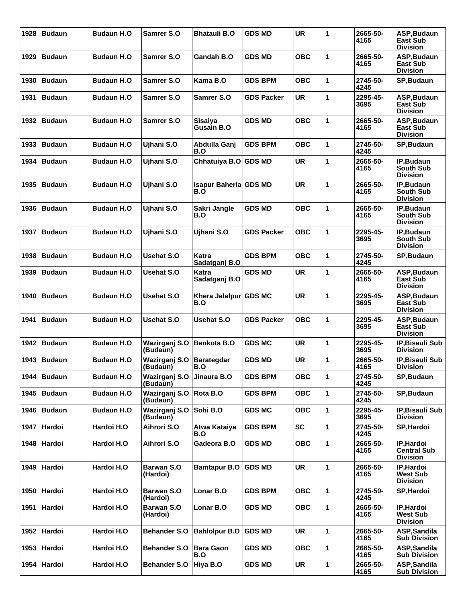| 1928 | <b>Budaun</b> | <b>Budaun H.O</b> | Samrer S.O                    | <b>Bhatauli B.O</b>                 | <b>GDS MD</b>     | <b>UR</b>  | 1            | 2665-50-<br>4165 | ASP, Budaun<br><b>East Sub</b><br><b>Division</b>   |
|------|---------------|-------------------|-------------------------------|-------------------------------------|-------------------|------------|--------------|------------------|-----------------------------------------------------|
| 1929 | <b>Budaun</b> | <b>Budaun H.O</b> | Samrer S.O                    | Gandah B.O                          | <b>GDS MD</b>     | <b>OBC</b> | 1            | 2665-50-<br>4165 | ASP, Budaun<br><b>East Sub</b><br><b>Division</b>   |
| 1930 | <b>Budaun</b> | <b>Budaun H.O</b> | Samrer S.O                    | Kama B.O                            | <b>GDS BPM</b>    | <b>OBC</b> | 1            | 2745-50-<br>4245 | SP, Budaun                                          |
| 1931 | <b>Budaun</b> | <b>Budaun H.O</b> | Samrer S.O                    | Samrer S.O                          | <b>GDS Packer</b> | <b>UR</b>  | 1            | 2295-45-<br>3695 | ASP, Budaun<br><b>East Sub</b><br><b>Division</b>   |
| 1932 | <b>Budaun</b> | <b>Budaun H.O</b> | Samrer S.O                    | <b>Sisaiya</b><br>Gusain B.O        | <b>GDS MD</b>     | <b>OBC</b> | 1            | 2665-50-<br>4165 | ASP, Budaun<br><b>East Sub</b><br><b>Division</b>   |
| 1933 | <b>Budaun</b> | <b>Budaun H.O</b> | Ujhani S.O                    | Abdulla Ganj<br>B.O                 | <b>GDS BPM</b>    | <b>OBC</b> | 1            | 2745-50-<br>4245 | SP, Budaun                                          |
| 1934 | <b>Budaun</b> | <b>Budaun H.O</b> | Ujhani S.O                    | Chhatuiya B.O GDS MD                |                   | <b>UR</b>  | 1            | 2665-50-<br>4165 | IP, Budaun<br><b>South Sub</b><br><b>Division</b>   |
| 1935 | <b>Budaun</b> | <b>Budaun H.O</b> | Ujhani S.O                    | <b>Isapur Baheria GDS MD</b><br>B.O |                   | <b>UR</b>  | 1            | 2665-50-<br>4165 | IP, Budaun<br>South Sub<br><b>Division</b>          |
| 1936 | <b>Budaun</b> | <b>Budaun H.O</b> | Ujhani S.O                    | Sakri Jangle<br>B.O                 | <b>GDS MD</b>     | <b>OBC</b> | 1            | 2665-50-<br>4165 | IP, Budaun<br><b>South Sub</b><br><b>Division</b>   |
| 1937 | <b>Budaun</b> | <b>Budaun H.O</b> | Ujhani S.O                    | Ujhani S.O                          | <b>GDS Packer</b> | <b>OBC</b> | 1            | 2295-45-<br>3695 | IP, Budaun<br>South Sub<br><b>Division</b>          |
| 1938 | <b>Budaun</b> | <b>Budaun H.O</b> | <b>Usehat S.O</b>             | Katra<br>Sadatganj B.O              | <b>GDS BPM</b>    | <b>OBC</b> | 1            | 2745-50-<br>4245 | SP, Budaun                                          |
| 1939 | <b>Budaun</b> | <b>Budaun H.O</b> | <b>Usehat S.O</b>             | Katra<br>Sadatganj B.O              | <b>GDS MD</b>     | <b>UR</b>  | 1            | 2665-50-<br>4165 | ASP, Budaun<br><b>East Sub</b><br><b>Division</b>   |
| 1940 | <b>Budaun</b> | <b>Budaun H.O</b> | Usehat S.O                    | Khera Jalalpur GDS MC<br>B.O        |                   | <b>UR</b>  | 1            | 2295-45-<br>3695 | ASP, Budaun<br><b>East Sub</b><br><b>Division</b>   |
| 1941 | <b>Budaun</b> | <b>Budaun H.O</b> | Usehat S.O                    | Usehat S.O                          | <b>GDS Packer</b> | <b>OBC</b> | 1            | 2295-45-<br>3695 | ASP, Budaun<br><b>East Sub</b><br><b>Division</b>   |
| 1942 | <b>Budaun</b> | <b>Budaun H.O</b> | Wazirganj S.O<br>(Budaun)     | <b>Bankota B.O</b>                  | <b>GDS MC</b>     | <b>UR</b>  | 1            | 2295-45-<br>3695 | IP, Bisauli Sub<br><b>Division</b>                  |
| 1943 | <b>Budaun</b> | <b>Budaun H.O</b> | Wazirganj S.O<br>(Budaun)     | Barategdar<br>B.O                   | <b>GDS MD</b>     | <b>UR</b>  | 1            | 2665-50-<br>4165 | IP, Bisauli Sub<br><b>Division</b>                  |
| 1944 | <b>Budaun</b> | <b>Budaun H.O</b> | Wazirganj S.O<br>(Budaun)     | Jinaura B.O                         | <b>GDS BPM</b>    | <b>OBC</b> | 1            | 2745-50-<br>4245 | SP, Budaun                                          |
| 1945 | <b>Budaun</b> | <b>Budaun H.O</b> | Wazirganj S.O<br>(Budaun)     | Rota B.O                            | <b>GDS BPM</b>    | <b>OBC</b> | $\mathbf{1}$ | 2745-50-<br>4245 | SP, Budaun                                          |
| 1946 | <b>Budaun</b> | <b>Budaun H.O</b> | Wazirganj S.O<br>(Budaun)     | Sohi B.O                            | <b>GDS MC</b>     | <b>OBC</b> | 1            | 2295-45-<br>3695 | IP, Bisauli Sub<br><b>Division</b>                  |
| 1947 | Hardoi        | Hardoi H.O        | Aihrori S.O                   | Atwa Kataiya<br>B.O                 | <b>GDS BPM</b>    | <b>SC</b>  | 1            | 2745-50-<br>4245 | SP, Hardoi                                          |
| 1948 | Hardoi        | Hardoi H.O        | Aihrori S.O                   | Gadeora B.O                         | <b>GDS MD</b>     | <b>OBC</b> | 1            | 2665-50-<br>4165 | IP, Hardoi<br><b>Central Sub</b><br><b>Division</b> |
| 1949 | <b>Hardoi</b> | Hardoi H.O        | <b>Barwan S.O</b><br>(Hardoi) | <b>Bamtapur B.O</b>                 | <b>GDS MD</b>     | <b>UR</b>  | 1            | 2665-50-<br>4165 | IP, Hardoi<br><b>West Sub</b><br><b>Division</b>    |
| 1950 | Hardoi        | Hardoi H.O        | Barwan S.O<br>(Hardoi)        | Lonar B.O                           | <b>GDS BPM</b>    | <b>OBC</b> | 1            | 2745-50-<br>4245 | SP, Hardoi                                          |
| 1951 | Hardoi        | Hardoi H.O        | <b>Barwan S.O</b><br>(Hardoi) | Lonar B.O                           | <b>GDS MD</b>     | <b>OBC</b> | 1            | 2665-50-<br>4165 | IP, Hardoi<br><b>West Sub</b><br><b>Division</b>    |
| 1952 | Hardoi        | Hardoi H.O        | <b>Behander S.O</b>           | <b>Bahlolpur B.O</b>                | <b>GDS MD</b>     | <b>UR</b>  | 1            | 2665-50-<br>4165 | ASP, Sandila<br><b>Sub Division</b>                 |
| 1953 | Hardoi        | Hardoi H.O        | <b>Behander S.O</b>           | <b>Bara Gaon</b><br><b>B.O</b>      | <b>GDS MD</b>     | <b>OBC</b> | $\mathbf{1}$ | 2665-50-<br>4165 | ASP, Sandila<br><b>Sub Division</b>                 |
| 1954 | Hardoi        | Hardoi H.O        | <b>Behander S.O</b>           | Hiya B.O                            | <b>GDS MD</b>     | <b>UR</b>  | 1            | 2665-50-<br>4165 | ASP, Sandila<br><b>Sub Division</b>                 |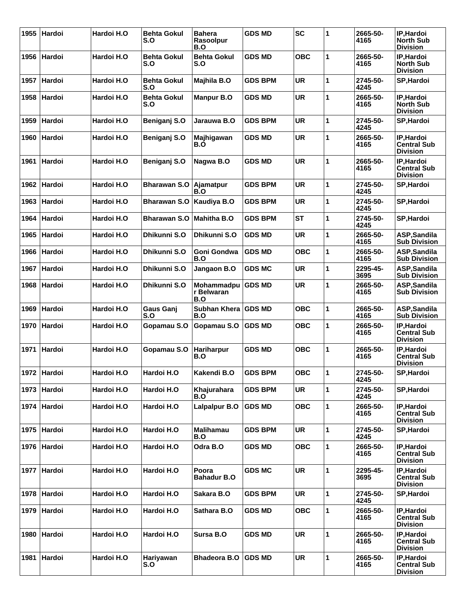| 1955 | Hardoi        | Hardoi H.O | <b>Behta Gokul</b><br>S.O | <b>Bahera</b><br>Rasoolpur<br>B.O | <b>GDS MD</b>  | <b>SC</b>  | 1 | 2665-50-<br>4165 | IP, Hardoi<br><b>North Sub</b><br><b>Division</b>   |
|------|---------------|------------|---------------------------|-----------------------------------|----------------|------------|---|------------------|-----------------------------------------------------|
| 1956 | <b>Hardoi</b> | Hardoi H.O | <b>Behta Gokul</b><br>S.O | <b>Behta Gokul</b><br>S.O         | <b>GDS MD</b>  | <b>OBC</b> | 1 | 2665-50-<br>4165 | IP, Hardoi<br><b>North Sub</b><br><b>Division</b>   |
| 1957 | Hardoi        | Hardoi H.O | <b>Behta Gokul</b><br>S.O | Majhila B.O                       | <b>GDS BPM</b> | <b>UR</b>  | 1 | 2745-50-<br>4245 | <b>SP, Hardoi</b>                                   |
| 1958 | Hardoi        | Hardoi H.O | <b>Behta Gokul</b><br>S.O | <b>Manpur B.O</b>                 | <b>GDS MD</b>  | <b>UR</b>  | 1 | 2665-50-<br>4165 | IP, Hardoi<br><b>North Sub</b><br><b>Division</b>   |
| 1959 | Hardoi        | Hardoi H.O | Beniganj S.O              | Jarauwa B.O                       | <b>GDS BPM</b> | <b>UR</b>  | 1 | 2745-50-<br>4245 | SP, Hardoi                                          |
| 1960 | Hardoi        | Hardoi H.O | Beniganj S.O              | Majhigawan<br>B.O                 | <b>GDS MD</b>  | <b>UR</b>  | 1 | 2665-50-<br>4165 | IP, Hardoi<br><b>Central Sub</b><br><b>Division</b> |
| 1961 | Hardoi        | Hardoi H.O | Beniganj S.O              | Nagwa B.O                         | <b>GDS MD</b>  | <b>UR</b>  | 1 | 2665-50-<br>4165 | IP, Hardoi<br><b>Central Sub</b><br><b>Division</b> |
| 1962 | Hardoi        | Hardoi H.O | <b>Bharawan S.O</b>       | Ajamatpur<br>B.O                  | <b>GDS BPM</b> | <b>UR</b>  | 1 | 2745-50-<br>4245 | SP, Hardoi                                          |
| 1963 | Hardoi        | Hardoi H.O | <b>Bharawan S.O</b>       | Kaudiya B.O                       | <b>GDS BPM</b> | <b>UR</b>  | 1 | 2745-50-<br>4245 | SP, Hardoi                                          |
| 1964 | Hardoi        | Hardoi H.O | <b>Bharawan S.O</b>       | Mahitha B.O                       | <b>GDS BPM</b> | <b>ST</b>  | 1 | 2745-50-<br>4245 | SP, Hardoi                                          |
| 1965 | Hardoi        | Hardoi H.O | Dhikunni S.O              | Dhikunni S.O                      | <b>GDS MD</b>  | <b>UR</b>  | 1 | 2665-50-<br>4165 | <b>ASP,Sandila</b><br><b>Sub Division</b>           |
| 1966 | Hardoi        | Hardoi H.O | Dhikunni S.O              | Goni Gondwa<br>B.O                | <b>GDS MD</b>  | <b>OBC</b> | 1 | 2665-50-<br>4165 | <b>ASP,Sandila</b><br><b>Sub Division</b>           |
| 1967 | Hardoi        | Hardoi H.O | Dhikunni S.O              | Jangaon B.O                       | <b>GDS MC</b>  | <b>UR</b>  | 1 | 2295-45-<br>3695 | ASP, Sandila<br><b>Sub Division</b>                 |
| 1968 | Hardoi        | Hardoi H.O | Dhikunni S.O              | Mohammadpu<br>r Belwaran<br>B.O   | <b>GDS MD</b>  | <b>UR</b>  | 1 | 2665-50-<br>4165 | ASP, Sandila<br><b>Sub Division</b>                 |
| 1969 | Hardoi        | Hardoi H.O | Gaus Ganj<br>S.O          | Subhan Khera<br>B.O               | <b>GDS MD</b>  | <b>OBC</b> | 1 | 2665-50-<br>4165 | ASP, Sandila<br><b>Sub Division</b>                 |
| 1970 | Hardoi        | Hardoi H.O | Gopamau S.O               | Gopamau S.O                       | <b>GDS MD</b>  | <b>OBC</b> | 1 | 2665-50-<br>4165 | IP, Hardoi<br><b>Central Sub</b><br><b>Division</b> |
| 1971 | Hardoi        | Hardoi H.O | Gopamau S.O               | Hariharpur<br>B.O                 | <b>GDS MD</b>  | <b>OBC</b> | 1 | 2665-50-<br>4165 | IP, Hardoi<br><b>Central Sub</b><br><b>Division</b> |
|      | 1972 Hardoi   | Hardoi H.O | Hardoi H.O                | Kakendi B.O                       | <b>GDS BPM</b> | <b>OBC</b> | 1 | 2745-50-<br>4245 | SP, Hardoi                                          |
| 1973 | ∣Hardoi       | Hardoi H.O | Hardoi H.O                | Khajurahara<br>B.O                | <b>GDS BPM</b> | <b>UR</b>  | 1 | 2745-50-<br>4245 | <b>SP, Hardoi</b>                                   |
|      | 1974 Hardoi   | Hardoi H.O | Hardoi H.O                | Lalpalpur B.O                     | <b>GDS MD</b>  | <b>OBC</b> | 1 | 2665-50-<br>4165 | IP, Hardoi<br><b>Central Sub</b><br><b>Division</b> |
| 1975 | Hardoi        | Hardoi H.O | Hardoi H.O                | <b>Malihamau</b><br>B.O           | <b>GDS BPM</b> | <b>UR</b>  | 1 | 2745-50-<br>4245 | SP, Hardoi                                          |
|      | 1976 Hardoi   | Hardoi H.O | Hardoi H.O                | Odra B.O                          | <b>GDS MD</b>  | <b>OBC</b> | 1 | 2665-50-<br>4165 | IP, Hardoi<br><b>Central Sub</b><br><b>Division</b> |
| 1977 | Hardoi        | Hardoi H.O | Hardoi H.O                | Poora<br><b>Bahadur B.O</b>       | <b>GDS MC</b>  | <b>UR</b>  | 1 | 2295-45-<br>3695 | IP, Hardoi<br><b>Central Sub</b><br><b>Division</b> |
|      | 1978 Hardoi   | Hardoi H.O | Hardoi H.O                | Sakara B.O                        | <b>GDS BPM</b> | <b>UR</b>  | 1 | 2745-50-<br>4245 | SP, Hardoi                                          |
| 1979 | Hardoi        | Hardoi H.O | Hardoi H.O                | Sathara B.O                       | <b>GDS MD</b>  | <b>OBC</b> | 1 | 2665-50-<br>4165 | IP, Hardoi<br><b>Central Sub</b><br><b>Division</b> |
| 1980 | Hardoi        | Hardoi H.O | Hardoi H.O                | Sursa B.O                         | <b>GDS MD</b>  | <b>UR</b>  | 1 | 2665-50-<br>4165 | IP, Hardoi<br><b>Central Sub</b><br><b>Division</b> |
| 1981 | Hardoi        | Hardoi H.O | Hariyawan<br>S.O          | <b>Bhadeora B.O</b>               | <b>GDS MD</b>  | <b>UR</b>  | 1 | 2665-50-<br>4165 | IP, Hardoi<br><b>Central Sub</b><br><b>Division</b> |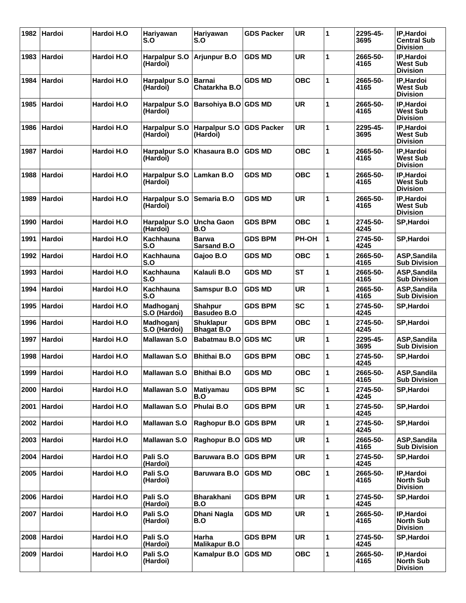| 1982 | Hardoi      | Hardoi H.O | Hariyawan<br>S.O          | Hariyawan<br>S.O                      | <b>GDS Packer</b> | <b>UR</b>  | 1 | 2295-45-<br>3695 | IP, Hardoi<br><b>Central Sub</b><br><b>Division</b>    |
|------|-------------|------------|---------------------------|---------------------------------------|-------------------|------------|---|------------------|--------------------------------------------------------|
| 1983 | Hardoi      | Hardoi H.O | Harpalpur S.O<br>(Hardoi) | Arjunpur B.O                          | <b>GDS MD</b>     | <b>UR</b>  | 1 | 2665-50-<br>4165 | IP, Hardoi<br><b>West Sub</b><br><b>Division</b>       |
| 1984 | Hardoi      | Hardoi H.O | Harpalpur S.O<br>(Hardoi) | <b>Barnai</b><br>Chatarkha B.O        | <b>GDS MD</b>     | <b>OBC</b> | 1 | 2665-50-<br>4165 | IP, Hardoi<br><b>West Sub</b><br><b>Division</b>       |
| 1985 | Hardoi      | Hardoi H.O | Harpalpur S.O<br>(Hardoi) | Barsohiya B.O GDS MD                  |                   | <b>UR</b>  | 1 | 2665-50-<br>4165 | IP, Hardoi<br><b>West Sub</b><br><b>Division</b>       |
| 1986 | Hardoi      | Hardoi H.O | Harpalpur S.O<br>(Hardoi) | Harpalpur S.O<br>(Hardoi)             | <b>GDS Packer</b> | <b>UR</b>  | 1 | 2295-45-<br>3695 | IP, Hardoi<br><b>West Sub</b><br><b>Division</b>       |
| 1987 | Hardoi      | Hardoi H.O | Harpalpur S.O<br>(Hardoi) | Khasaura B.O                          | <b>GDS MD</b>     | <b>OBC</b> | 1 | 2665-50-<br>4165 | IP, Hardoi<br><b>West Sub</b><br><b>Division</b>       |
| 1988 | Hardoi      | Hardoi H.O | Harpalpur S.O<br>(Hardoi) | Lamkan B.O                            | GDS MD            | <b>OBC</b> | 1 | 2665-50-<br>4165 | IP, Hardoi<br><b>West Sub</b><br><b>Division</b>       |
| 1989 | Hardoi      | Hardoi H.O | Harpalpur S.O<br>(Hardoi) | Semaria B.O                           | <b>GDS MD</b>     | <b>UR</b>  | 1 | 2665-50-<br>4165 | <b>IP.Hardoi</b><br><b>West Sub</b><br><b>Division</b> |
| 1990 | Hardoi      | Hardoi H.O | Harpalpur S.O<br>(Hardoi) | <b>Uncha Gaon</b><br>B.O              | <b>GDS BPM</b>    | <b>OBC</b> | 1 | 2745-50-<br>4245 | SP, Hardoi                                             |
| 1991 | Hardoi      | Hardoi H.O | Kachhauna<br>S.O          | <b>Barwa</b><br><b>Sarsand B.O</b>    | <b>GDS BPM</b>    | PH-OH      | 1 | 2745-50-<br>4245 | <b>SP, Hardoi</b>                                      |
| 1992 | Hardoi      | Hardoi H.O | <b>Kachhauna</b><br>S.O   | Gajoo B.O                             | <b>GDS MD</b>     | <b>OBC</b> | 1 | 2665-50-<br>4165 | ASP,Sandila<br><b>Sub Division</b>                     |
| 1993 | Hardoi      | Hardoi H.O | <b>Kachhauna</b><br>S.O   | Kalauli B.O                           | <b>GDS MD</b>     | <b>ST</b>  | 1 | 2665-50-<br>4165 | <b>ASP,Sandila</b><br><b>Sub Division</b>              |
| 1994 | Hardoi      | Hardoi H.O | <b>Kachhauna</b><br>S.O   | Samspur B.O                           | <b>GDS MD</b>     | <b>UR</b>  | 1 | 2665-50-<br>4165 | ASP, Sandila<br><b>Sub Division</b>                    |
| 1995 | Hardoi      | Hardoi H.O | Madhoganj<br>S.O (Hardoi) | <b>Shahpur</b><br>Basudeo B.O         | <b>GDS BPM</b>    | <b>SC</b>  | 1 | 2745-50-<br>4245 | SP, Hardoi                                             |
| 1996 | Hardoi      | Hardoi H.O | Madhoganj<br>S.O (Hardoi) | <b>Shuklapur</b><br><b>Bhagat B.O</b> | <b>GDS BPM</b>    | <b>OBC</b> | 1 | 2745-50-<br>4245 | SP, Hardoi                                             |
| 1997 | Hardoi      | Hardoi H.O | <b>Mallawan S.O</b>       | <b>Babatmau B.O</b>                   | <b>GDS MC</b>     | <b>UR</b>  | 1 | 2295-45-<br>3695 | ASP,Sandila<br><b>Sub Division</b>                     |
| 1998 | Hardoi      | Hardoi H.O | <b>Mallawan S.O</b>       | <b>Bhithai B.O</b>                    | <b>GDS BPM</b>    | <b>OBC</b> | 1 | 2745-50-<br>4245 | SP, Hardoi                                             |
|      | 1999 Hardoi | Hardoi H.O | <b>Mallawan S.O</b>       | <b>Bhithai B.O</b>                    | <b>GDS MD</b>     | <b>OBC</b> | 1 | 2665-50-<br>4165 | ASP, Sandila<br><b>Sub Division</b>                    |
| 2000 | Hardoi      | Hardoi H.O | <b>Mallawan S.O</b>       | <b>Matiyamau</b><br>B.O               | <b>GDS BPM</b>    | <b>SC</b>  | 1 | 2745-50-<br>4245 | <b>SP, Hardoi</b>                                      |
| 2001 | Hardoi      | Hardoi H.O | <b>Mallawan S.O</b>       | Phulai B.O                            | <b>GDS BPM</b>    | <b>UR</b>  | 1 | 2745-50-<br>4245 | <b>SP, Hardoi</b>                                      |
|      | 2002 Hardoi | Hardoi H.O | <b>Mallawan S.O</b>       | Raghopur B.O                          | <b>GDS BPM</b>    | <b>UR</b>  | 1 | 2745-50-<br>4245 | SP, Hardoi                                             |
| 2003 | Hardoi      | Hardoi H.O | <b>Mallawan S.O</b>       | Raghopur B.O                          | <b>GDS MD</b>     | <b>UR</b>  | 1 | 2665-50-<br>4165 | ASP, Sandila<br><b>Sub Division</b>                    |
| 2004 | Hardoi      | Hardoi H.O | Pali S.O<br>(Hardoi)      | <b>Baruwara B.O</b>                   | <b>GDS BPM</b>    | <b>UR</b>  | 1 | 2745-50-<br>4245 | SP, Hardoi                                             |
|      | 2005 Hardoi | Hardoi H.O | Pali S.O<br>(Hardoi)      | <b>Baruwara B.O</b>                   | <b>GDS MD</b>     | <b>OBC</b> | 1 | 2665-50-<br>4165 | IP, Hardoi<br><b>North Sub</b><br><b>Division</b>      |
| 2006 | Hardoi      | Hardoi H.O | Pali S.O<br>(Hardoi)      | <b>Bharakhani</b><br>B.O              | <b>GDS BPM</b>    | <b>UR</b>  | 1 | 2745-50-<br>4245 | SP, Hardoi                                             |
| 2007 | Hardoi      | Hardoi H.O | Pali S.O<br>(Hardoi)      | Dhani Nagla<br>B.O                    | <b>GDS MD</b>     | <b>UR</b>  | 1 | 2665-50-<br>4165 | IP, Hardoi<br>North Sub<br><b>Division</b>             |
|      | 2008 Hardoi | Hardoi H.O | Pali S.O<br>(Hardoi)      | Harha<br><b>Malikapur B.O</b>         | <b>GDS BPM</b>    | <b>UR</b>  | 1 | 2745-50-<br>4245 | SP, Hardoi                                             |
| 2009 | Hardoi      | Hardoi H.O | Pali S.O<br>(Hardoi)      | <b>Kamalpur B.O</b>                   | <b>GDS MD</b>     | <b>OBC</b> | 1 | 2665-50-<br>4165 | IP, Hardoi<br><b>North Sub</b><br><b>Division</b>      |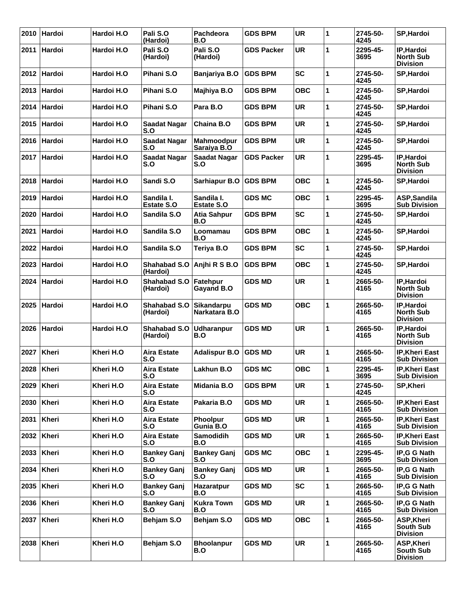| 2010 | Hardoi       | Hardoi H.O | Pali S.O<br>(Hardoi)                   | Pachdeora<br>B.O                | <b>GDS BPM</b>    | <b>UR</b>  | 1            | 2745-50-<br>4245 | <b>SP, Hardoi</b>                                 |
|------|--------------|------------|----------------------------------------|---------------------------------|-------------------|------------|--------------|------------------|---------------------------------------------------|
| 2011 | Hardoi       | Hardoi H.O | Pali S.O<br>(Hardoi)                   | Pali S.O<br>(Hardoi)            | <b>GDS Packer</b> | <b>UR</b>  | 1            | 2295-45-<br>3695 | IP, Hardoi<br><b>North Sub</b><br><b>Division</b> |
| 2012 | Hardoi       | Hardoi H.O | Pihani S.O                             | Banjariya B.O                   | <b>GDS BPM</b>    | <b>SC</b>  | 1            | 2745-50-<br>4245 | SP, Hardoi                                        |
| 2013 | Hardoi       | Hardoi H.O | Pihani S.O                             | Majhiya B.O                     | <b>GDS BPM</b>    | <b>OBC</b> | 1            | 2745-50-<br>4245 | SP, Hardoi                                        |
| 2014 | Hardoi       | Hardoi H.O | Pihani S.O                             | Para B.O                        | <b>GDS BPM</b>    | <b>UR</b>  | 1            | 2745-50-<br>4245 | <b>SP, Hardoi</b>                                 |
| 2015 | Hardoi       | Hardoi H.O | Saadat Nagar<br>S.O                    | Chaina B.O                      | <b>GDS BPM</b>    | <b>UR</b>  | 1            | 2745-50-<br>4245 | SP, Hardoi                                        |
|      | 2016 Hardoi  | Hardoi H.O | <b>Saadat Nagar</b><br>S.O             | Mahmoodpur<br>Saraiya B.O       | <b>GDS BPM</b>    | <b>UR</b>  | 1            | 2745-50-<br>4245 | <b>SP, Hardoi</b>                                 |
| 2017 | Hardoi       | Hardoi H.O | Saadat Nagar<br>S.O                    | <b>Saadat Nagar</b><br>S.O      | GDS Packer        | <b>UR</b>  | 1            | 2295-45-<br>3695 | IP, Hardoi<br><b>North Sub</b><br><b>Division</b> |
| 2018 | Hardoi       | Hardoi H.O | Sandi S.O                              | Sarhiapur B.O                   | <b>GDS BPM</b>    | <b>OBC</b> | 1            | 2745-50-<br>4245 | SP, Hardoi                                        |
| 2019 | Hardoi       | Hardoi H.O | Sandila I.<br>Estate S.O               | Sandila I.<br><b>Estate S.O</b> | <b>GDS MC</b>     | <b>OBC</b> | 1            | 2295-45-<br>3695 | ASP, Sandila<br><b>Sub Division</b>               |
| 2020 | Hardoi       | Hardoi H.O | Sandila S.O                            | <b>Atia Sahpur</b><br>B.O       | <b>GDS BPM</b>    | <b>SC</b>  | 1            | 2745-50-<br>4245 | SP, Hardoi                                        |
| 2021 | Hardoi       | Hardoi H.O | Sandila S.O                            | Loomamau<br>B.O                 | <b>GDS BPM</b>    | <b>OBC</b> | 1            | 2745-50-<br>4245 | SP, Hardoi                                        |
| 2022 | Hardoi       | Hardoi H.O | Sandila S.O                            | Teriya B.O                      | <b>GDS BPM</b>    | <b>SC</b>  | 1            | 2745-50-<br>4245 | <b>SP, Hardoi</b>                                 |
| 2023 | Hardoi       | Hardoi H.O | Shahabad S.O Anjhi R S B.O<br>(Hardoi) |                                 | <b>GDS BPM</b>    | <b>OBC</b> | 1            | 2745-50-<br>4245 | <b>SP, Hardoi</b>                                 |
| 2024 | Hardoi       | Hardoi H.O | Shahabad S.O<br>(Hardoi)               | Fatehpur<br>Gayand B.O          | <b>GDS MD</b>     | <b>UR</b>  | 1            | 2665-50-<br>4165 | IP, Hardoi<br><b>North Sub</b><br><b>Division</b> |
| 2025 | Hardoi       | Hardoi H.O | Shahabad S.O<br>(Hardoi)               | Sikandarpu<br>Narkatara B.O     | <b>GDS MD</b>     | <b>OBC</b> | 1            | 2665-50-<br>4165 | IP, Hardoi<br><b>North Sub</b><br><b>Division</b> |
| 2026 | Hardoi       | Hardoi H.O | Shahabad S.O<br>(Hardoi)               | <b>Udharanpur</b><br>B.O        | <b>GDS MD</b>     | <b>UR</b>  | 1            | 2665-50-<br>4165 | IP, Hardoi<br><b>North Sub</b><br><b>Division</b> |
| 2027 | Kheri        | Kheri H.O  | Aira Estate<br>S.O                     | <b>Adalispur B.O</b>            | <b>GDS MD</b>     | <b>UR</b>  | 1            | 2665-50-<br>4165 | IP, Kheri East<br><b>Sub Division</b>             |
| 2028 | Kheri        | Kheri H.O  | <b>Aira Estate</b><br>S.O              | Lakhun B.O                      | <b>GDS MC</b>     | <b>OBC</b> | $\mathbf{1}$ | 2295-45-<br>3695 | IP, Kheri East<br><b>Sub Division</b>             |
| 2029 | Kheri        | Kheri H.O  | Aira Estate<br>S.O                     | Midania B.O                     | <b>GDS BPM</b>    | <b>UR</b>  | 1            | 2745-50-<br>4245 | SP, Kheri                                         |
| 2030 | <b>Kheri</b> | Kheri H.O  | <b>Aira Estate</b><br>S.O              | Pakaria B.O                     | <b>GDS MD</b>     | <b>UR</b>  | 1            | 2665-50-<br>4165 | IP, Kheri East<br><b>Sub Division</b>             |
| 2031 | Kheri        | Kheri H.O  | <b>Aira Estate</b><br>S.O              | Phoolpur<br>Gunia B.O           | <b>GDS MD</b>     | <b>UR</b>  | 1            | 2665-50-<br>4165 | IP, Kheri East<br><b>Sub Division</b>             |
| 2032 | Kheri        | Kheri H.O  | <b>Aira Estate</b><br>S.O              | <b>Samodidih</b><br>B.O         | <b>GDS MD</b>     | UR         | 1            | 2665-50-<br>4165 | IP, Kheri East<br><b>Sub Division</b>             |
| 2033 | <b>Kheri</b> | Kheri H.O  | <b>Bankey Ganj</b><br>S.O              | <b>Bankey Ganj</b><br>S.O       | <b>GDS MC</b>     | <b>OBC</b> | 1            | 2295-45-<br>3695 | IP,G G Nath<br><b>Sub Division</b>                |
| 2034 | Kheri        | Kheri H.O  | <b>Bankey Ganj</b><br>S.O              | <b>Bankey Ganj</b><br>S.O       | <b>GDS MD</b>     | <b>UR</b>  | 1            | 2665-50-<br>4165 | IP.G G Nath<br><b>Sub Division</b>                |
| 2035 | Kheri        | Kheri H.O  | <b>Bankey Ganj</b><br>S.O              | <b>Hazaratpur</b><br>B.O        | <b>GDS MD</b>     | <b>SC</b>  | 1            | 2665-50-<br>4165 | IP,G G Nath<br><b>Sub Division</b>                |
| 2036 | <b>Kheri</b> | Kheri H.O  | <b>Bankey Ganj</b><br>S.O              | <b>Kukra Town</b><br>B.O        | <b>GDS MD</b>     | <b>UR</b>  | 1            | 2665-50-<br>4165 | IP, G G Nath<br><b>Sub Division</b>               |
| 2037 | Kheri        | Kheri H.O  | Behjam S.O                             | Behjam S.O                      | <b>GDS MD</b>     | <b>OBC</b> | 1            | 2665-50-<br>4165 | ASP, Kheri<br>South Sub<br><b>Division</b>        |
| 2038 | <b>Kheri</b> | Kheri H.O  | Behjam S.O                             | <b>Bhoolanpur</b><br>B.O        | <b>GDS MD</b>     | <b>UR</b>  | 1            | 2665-50-<br>4165 | ASP, Kheri<br><b>South Sub</b><br><b>Division</b> |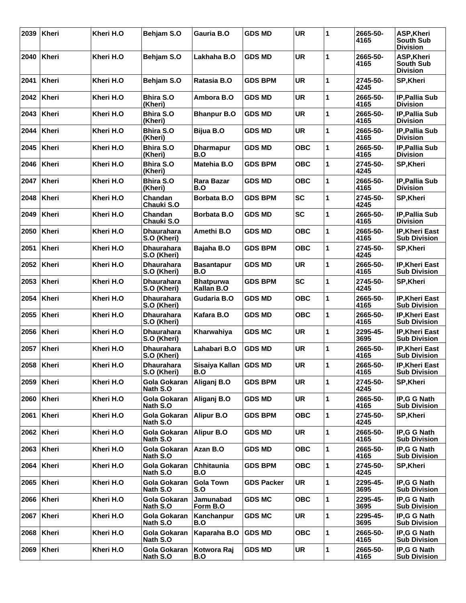| 2039       | <b>Kheri</b> | Kheri H.O | Behjam S.O                       | Gauria B.O                     | <b>GDS MD</b>     | <b>UR</b>  | 1 | 2665-50-<br>4165 | <b>ASP, Kheri</b><br>South Sub<br><b>Division</b>        |
|------------|--------------|-----------|----------------------------------|--------------------------------|-------------------|------------|---|------------------|----------------------------------------------------------|
| 2040       | $ $ Kheri    | Kheri H.O | Behjam S.O                       | Lakhaha B.O                    | <b>GDS MD</b>     | <b>UR</b>  | 1 | 2665-50-<br>4165 | <b>ASP, Kheri</b><br><b>South Sub</b><br><b>Division</b> |
| 2041       | <b>Kheri</b> | Kheri H.O | Behjam S.O                       | Ratasia B.O                    | <b>GDS BPM</b>    | <b>UR</b>  | 1 | 2745-50-<br>4245 | SP, Kheri                                                |
| 2042       | Kheri        | Kheri H.O | <b>Bhira S.O</b><br>(Kheri)      | Ambora B.O                     | <b>GDS MD</b>     | <b>UR</b>  | 1 | 2665-50-<br>4165 | <b>IP, Pallia Sub</b><br><b>Division</b>                 |
| 2043       | Kheri        | Kheri H.O | <b>Bhira S.O</b><br>(Kheri)      | <b>Bhanpur B.O</b>             | <b>GDS MD</b>     | <b>UR</b>  | 1 | 2665-50-<br>4165 | <b>IP.Pallia Sub</b><br><b>Division</b>                  |
| 2044       | Kheri        | Kheri H.O | <b>Bhira S.O</b><br>(Kheri)      | Bijua B.O                      | <b>GDS MD</b>     | <b>UR</b>  | 1 | 2665-50-<br>4165 | IP, Pallia Sub<br><b>Division</b>                        |
| 2045       | <b>Kheri</b> | Kheri H.O | <b>Bhira S.O</b><br>(Kheri)      | <b>Dharmapur</b><br>B.O        | <b>GDS MD</b>     | <b>OBC</b> | 1 | 2665-50-<br>4165 | IP, Pallia Sub<br><b>Division</b>                        |
| 2046       | <b>Kheri</b> | Kheri H.O | <b>Bhira S.O</b><br>(Kheri)      | Matehia B.O                    | <b>GDS BPM</b>    | <b>OBC</b> | 1 | 2745-50-<br>4245 | <b>SP,Kheri</b>                                          |
| 2047       | Kheri        | Kheri H.O | <b>Bhira S.O</b><br>(Kheri)      | Rara Bazar<br>B.O              | <b>GDS MD</b>     | <b>OBC</b> | 1 | 2665-50-<br>4165 | IP, Pallia Sub<br><b>Division</b>                        |
| 2048       | Kheri        | Kheri H.O | Chandan<br>Chauki S.O            | Borbata B.O                    | <b>GDS BPM</b>    | <b>SC</b>  | 1 | 2745-50-<br>4245 | <b>SP, Kheri</b>                                         |
| 2049       | <b>Kheri</b> | Kheri H.O | Chandan<br>Chauki S.O            | Borbata B.O                    | <b>GDS MD</b>     | <b>SC</b>  | 1 | 2665-50-<br>4165 | IP, Pallia Sub<br><b>Division</b>                        |
| 2050       | Kheri        | Kheri H.O | <b>Dhaurahara</b><br>S.O (Kheri) | Amethi B.O                     | <b>GDS MD</b>     | <b>OBC</b> | 1 | 2665-50-<br>4165 | <b>IP, Kheri East</b><br><b>Sub Division</b>             |
| 2051       | Kheri        | Kheri H.O | <b>Dhaurahara</b><br>S.O (Kheri) | Bajaha B.O                     | <b>GDS BPM</b>    | <b>OBC</b> | 1 | 2745-50-<br>4245 | <b>SP, Kheri</b>                                         |
| 2052       | <b>Kheri</b> | Kheri H.O | <b>Dhaurahara</b><br>S.O (Kheri) | <b>Basantapur</b><br>B.O       | <b>GDS MD</b>     | <b>UR</b>  | 1 | 2665-50-<br>4165 | <b>IP, Kheri East</b><br><b>Sub Division</b>             |
| 2053       | Kheri        | Kheri H.O | <b>Dhaurahara</b><br>S.O (Kheri) | <b>Bhatpurwa</b><br>Kallan B.O | <b>GDS BPM</b>    | <b>SC</b>  | 1 | 2745-50-<br>4245 | SP, Kheri                                                |
| 2054       | Kheri        | Kheri H.O | <b>Dhaurahara</b><br>S.O (Kheri) | Gudaria B.O                    | <b>GDS MD</b>     | <b>OBC</b> | 1 | 2665-50-<br>4165 | <b>IP, Kheri East</b><br><b>Sub Division</b>             |
| 2055       | Kheri        | Kheri H.O | <b>Dhaurahara</b><br>S.O (Kheri) | Kafara B.O                     | <b>GDS MD</b>     | <b>OBC</b> | 1 | 2665-50-<br>4165 | <b>IP.Kheri East</b><br><b>Sub Division</b>              |
| 2056       | Kheri        | Kheri H.O | <b>Dhaurahara</b><br>S.O (Kheri) | Kharwahiya                     | <b>GDS MC</b>     | <b>UR</b>  | 1 | 2295-45-<br>3695 | <b>IP, Kheri East</b><br><b>Sub Division</b>             |
| 2057       | Kheri        | Kheri H.O | <b>Dhaurahara</b><br>S.O (Kheri) | Lahabari B.O                   | <b>GDS MD</b>     | <b>UR</b>  | 1 | 2665-50-<br>4165 | IP, Kheri East<br><b>Sub Division</b>                    |
| 2058 Kheri |              | Kheri H.O | <b>Dhaurahara</b><br>S.O (Kheri) | Sisaiya Kallan GDS MD<br>B.O   |                   | <b>UR</b>  | 1 | 2665-50-<br>4165 | <b>IP, Kheri East</b><br><b>Sub Division</b>             |
| 2059       | Kheri        | Kheri H.O | Gola Gokaran<br>Nath S.O         | Aliganj B.O                    | <b>GDS BPM</b>    | <b>UR</b>  | 1 | 2745-50-<br>4245 | <b>SP,Kheri</b>                                          |
| 2060       | Kheri        | Kheri H.O | Gola Gokaran<br>Nath S.O         | Aliganj B.O                    | <b>GDS MD</b>     | <b>UR</b>  | 1 | 2665-50-<br>4165 | IP.G G Nath<br><b>Sub Division</b>                       |
| 2061       | Kheri        | Kheri H.O | Gola Gokaran<br>Nath S.O         | <b>Alipur B.O</b>              | <b>GDS BPM</b>    | <b>OBC</b> | 1 | 2745-50-<br>4245 | <b>SP, Kheri</b>                                         |
|            | 2062 Kheri   | Kheri H.O | Gola Gokaran<br>Nath S.O         | <b>Alipur B.O</b>              | <b>GDS MD</b>     | <b>UR</b>  | 1 | 2665-50-<br>4165 | IP,G G Nath<br><b>Sub Division</b>                       |
| 2063       | Kheri        | Kheri H.O | Gola Gokaran<br>Nath S.O         | Azan B.O                       | <b>GDS MD</b>     | <b>OBC</b> | 1 | 2665-50-<br>4165 | IP, G G Nath<br><b>Sub Division</b>                      |
| 2064       | Kheri        | Kheri H.O | Gola Gokaran<br>Nath S.O         | <b>Chhitaunia</b><br>B.O       | <b>GDS BPM</b>    | <b>OBC</b> | 1 | 2745-50-<br>4245 | SP, Kheri                                                |
| 2065       | Kheri        | Kheri H.O | Gola Gokaran<br>Nath S.O         | <b>Gola Town</b><br>S.O        | <b>GDS Packer</b> | <b>UR</b>  | 1 | 2295-45-<br>3695 | IP, G G Nath<br><b>Sub Division</b>                      |
| 2066       | Kheri        | Kheri H.O | Gola Gokaran<br>Nath S.O         | Jamunabad<br>Form B.O          | <b>GDS MC</b>     | <b>OBC</b> | 1 | 2295-45-<br>3695 | IP,G G Nath<br><b>Sub Division</b>                       |
| 2067       | Kheri        | Kheri H.O | Gola Gokaran<br>Nath S.O         | Kanchanpur<br>B.O              | <b>GDS MC</b>     | <b>UR</b>  | 1 | 2295-45-<br>3695 | IP.G G Nath<br><b>Sub Division</b>                       |
| 2068       | Kheri        | Kheri H.O | Gola Gokaran<br>Nath S.O         | Kaparaha B.O                   | <b>GDS MD</b>     | <b>OBC</b> | 1 | 2665-50-<br>4165 | IP, G G Nath<br><b>Sub Division</b>                      |
| 2069       | Kheri        | Kheri H.O | Gola Gokaran<br>Nath S.O         | Kotwora Raj<br>B.O             | <b>GDS MD</b>     | UR         | 1 | 2665-50-<br>4165 | IP,G G Nath<br><b>Sub Division</b>                       |
|            |              |           |                                  |                                |                   |            |   |                  |                                                          |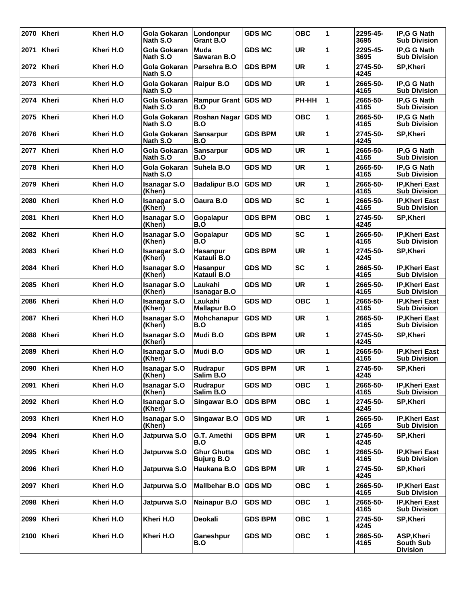| 2070 | Kheri        | Kheri H.O | Gola Gokaran<br>Nath S.O       | Londonpur<br>Grant B.O                  | <b>GDS MC</b>  | <b>OBC</b> | 1            | 2295-45-<br>3695 | <b>IP.G G Nath</b><br><b>Sub Division</b>                |
|------|--------------|-----------|--------------------------------|-----------------------------------------|----------------|------------|--------------|------------------|----------------------------------------------------------|
| 2071 | <b>Kheri</b> | Kheri H.O | Gola Gokaran<br>Nath S.O       | Muda<br>Sawaran B.O                     | <b>GDS MC</b>  | <b>UR</b>  | 1            | 2295-45-<br>3695 | <b>IP.G G Nath</b><br><b>Sub Division</b>                |
| 2072 | <b>Kheri</b> | Kheri H.O | Gola Gokaran<br>Nath S.O       | Parsehra B.O                            | <b>GDS BPM</b> | <b>UR</b>  | 1            | 2745-50-<br>4245 | <b>SP,Kheri</b>                                          |
| 2073 | <b>Kheri</b> | Kheri H.O | Gola Gokaran<br>Nath S.O       | <b>Raipur B.O</b>                       | <b>GDS MD</b>  | <b>UR</b>  | 1            | 2665-50-<br>4165 | IP,G G Nath<br><b>Sub Division</b>                       |
| 2074 | <b>Kheri</b> | Kheri H.O | Gola Gokaran<br>Nath S.O       | Rampur Grant   GDS MD<br>B.O            |                | PH-HH      | 1            | 2665-50-<br>4165 | IP.G G Nath<br><b>Sub Division</b>                       |
| 2075 | <b>Kheri</b> | Kheri H.O | Gola Gokaran<br>Nath S.O       | Roshan Nagar GDS MD<br>B.O              |                | <b>OBC</b> | 1            | 2665-50-<br>4165 | IP, G G Nath<br><b>Sub Division</b>                      |
| 2076 | <b>Kheri</b> | Kheri H.O | Gola Gokaran<br>Nath S.O       | Sansarpur<br>B.O                        | <b>GDS BPM</b> | UR         | 1            | 2745-50-<br>4245 | <b>SP,Kheri</b>                                          |
| 2077 | <b>Kheri</b> | Kheri H.O | Gola Gokaran<br>Nath S.O       | Sansarpur<br>B.O                        | <b>GDS MD</b>  | <b>UR</b>  | 1            | 2665-50-<br>4165 | IP,G G Nath<br><b>Sub Division</b>                       |
| 2078 | <b>Kheri</b> | Kheri H.O | Gola Gokaran<br>Nath S.O       | Suhela B.O                              | <b>GDS MD</b>  | <b>UR</b>  | 1            | 2665-50-<br>4165 | IP, G G Nath<br><b>Sub Division</b>                      |
| 2079 | <b>Kheri</b> | Kheri H.O | <b>Isanagar S.O</b><br>(Kheri) | <b>Badalipur B.O</b>                    | <b>GDS MD</b>  | <b>UR</b>  | 1            | 2665-50-<br>4165 | <b>IP, Kheri East</b><br><b>Sub Division</b>             |
| 2080 | <b>Kheri</b> | Kheri H.O | <b>Isanagar S.O</b><br>(Kheri) | Gaura B.O                               | <b>GDS MD</b>  | <b>SC</b>  | 1            | 2665-50-<br>4165 | <b>IP, Kheri East</b><br><b>Sub Division</b>             |
| 2081 | <b>Kheri</b> | Kheri H.O | <b>Isanagar S.O</b><br>(Kheri) | <b>Gopalapur</b><br>B.O                 | <b>GDS BPM</b> | <b>OBC</b> | 1            | 2745-50-<br>4245 | <b>SP,Kheri</b>                                          |
| 2082 | <b>Kheri</b> | Kheri H.O | <b>Isanagar S.O</b><br>(Kheri) | Gopalapur<br>B.O                        | <b>GDS MD</b>  | <b>SC</b>  | 1            | 2665-50-<br>4165 | <b>IP, Kheri East</b><br><b>Sub Division</b>             |
| 2083 | <b>Kheri</b> | Kheri H.O | <b>Isanagar S.O</b><br>(Kheri) | Hasanpur<br>Katauli B.O                 | <b>GDS BPM</b> | <b>UR</b>  | 1            | 2745-50-<br>4245 | <b>SP,Kheri</b>                                          |
| 2084 | <b>Kheri</b> | Kheri H.O | <b>Isanagar S.O</b><br>(Kheri) | Hasanpur<br>Katauli B.O                 | <b>GDS MD</b>  | <b>SC</b>  | 1            | 2665-50-<br>4165 | <b>IP, Kheri East</b><br><b>Sub Division</b>             |
| 2085 | <b>Kheri</b> | Kheri H.O | <b>Isanagar S.O</b><br>(Kheri) | Laukahi<br><b>Isanagar B.O</b>          | <b>GDS MD</b>  | <b>UR</b>  | 1            | 2665-50-<br>4165 | <b>IP, Kheri East</b><br><b>Sub Division</b>             |
| 2086 | <b>Kheri</b> | Kheri H.O | <b>Isanagar S.O</b><br>(Kheri) | Laukahi<br><b>Mallapur B.O</b>          | <b>GDS MD</b>  | <b>OBC</b> | 1            | 2665-50-<br>4165 | <b>IP, Kheri East</b><br><b>Sub Division</b>             |
| 2087 | <b>Kheri</b> | Kheri H.O | <b>Isanagar S.O</b><br>(Kheri) | Mohchanapur<br>B.O                      | <b>GDS MD</b>  | <b>UR</b>  | 1            | 2665-50-<br>4165 | <b>IP, Kheri East</b><br><b>Sub Division</b>             |
| 2088 | <b>Kheri</b> | Kheri H.O | <b>Isanagar S.O</b><br>(Kheri) | Mudi B.O                                | <b>GDS BPM</b> | <b>UR</b>  | 1            | 2745-50-<br>4245 | <b>SP,Kheri</b>                                          |
| 2089 | <b>Kheri</b> | Kheri H.O | <b>Isanagar S.O</b><br>(Kheri) | Mudi B.O                                | <b>GDS MD</b>  | <b>UR</b>  | 1            | 2665-50-<br>4165 | <b>IP.Kheri East</b><br><b>Sub Division</b>              |
| 2090 | Kheri        | Kheri H.O | <b>Isanagar S.O</b><br>(Kheri) | Rudrapur<br>Salim B.O                   | <b>GDS BPM</b> | <b>UR</b>  | 1            | 2745-50-<br>4245 | SP, Kheri                                                |
| 2091 | Kheri        | Kheri H.O | <b>Isanagar S.O</b><br>(Kheri) | Rudrapur<br>Salim B.O                   | <b>GDS MD</b>  | <b>OBC</b> | 1            | 2665-50-<br>4165 | IP, Kheri East<br><b>Sub Division</b>                    |
|      | 2092   Kheri | Kheri H.O | <b>Isanagar S.O</b><br>(Kheri) | Singawar B.O                            | <b>GDS BPM</b> | <b>OBC</b> | 1            | 2745-50-<br>4245 | SP, Kheri                                                |
| 2093 | Kheri        | Kheri H.O | <b>Isanagar S.O</b><br>(Kheri) | Singawar B.O                            | <b>GDS MD</b>  | <b>UR</b>  | 1            | 2665-50-<br>4165 | IP, Kheri East<br><b>Sub Division</b>                    |
| 2094 | Kheri        | Kheri H.O | Jatpurwa S.O                   | G.T. Amethi<br>B.O                      | <b>GDS BPM</b> | UR         | 1            | 2745-50-<br>4245 | <b>SP,Kheri</b>                                          |
| 2095 | Kheri        | Kheri H.O | Jatpurwa S.O                   | <b>Ghur Ghutta</b><br><b>Bujurg B.O</b> | <b>GDS MD</b>  | <b>OBC</b> | $\mathbf{1}$ | 2665-50-<br>4165 | <b>IP, Kheri East</b><br><b>Sub Division</b>             |
| 2096 | Kheri        | Kheri H.O | Jatpurwa S.O                   | Haukana B.O                             | <b>GDS BPM</b> | <b>UR</b>  | 1            | 2745-50-<br>4245 | <b>SP,Kheri</b>                                          |
| 2097 | Kheri        | Kheri H.O | Jatpurwa S.O                   | <b>Mallbehar B.O</b>                    | <b>GDS MD</b>  | <b>OBC</b> | 1            | 2665-50-<br>4165 | <b>IP, Kheri East</b><br><b>Sub Division</b>             |
| 2098 | Kheri        | Kheri H.O | Jatpurwa S.O                   | Nainapur B.O                            | <b>GDS MD</b>  | <b>OBC</b> | 1            | 2665-50-<br>4165 | <b>IP, Kheri East</b><br><b>Sub Division</b>             |
| 2099 | Kheri        | Kheri H.O | Kheri H.O                      | Deokali                                 | <b>GDS BPM</b> | <b>OBC</b> | 1            | 2745-50-<br>4245 | <b>SP,Kheri</b>                                          |
| 2100 | Kheri        | Kheri H.O | Kheri H.O                      | Ganeshpur<br>B.O                        | <b>GDS MD</b>  | <b>OBC</b> | 1            | 2665-50-<br>4165 | <b>ASP, Kheri</b><br><b>South Sub</b><br><b>Division</b> |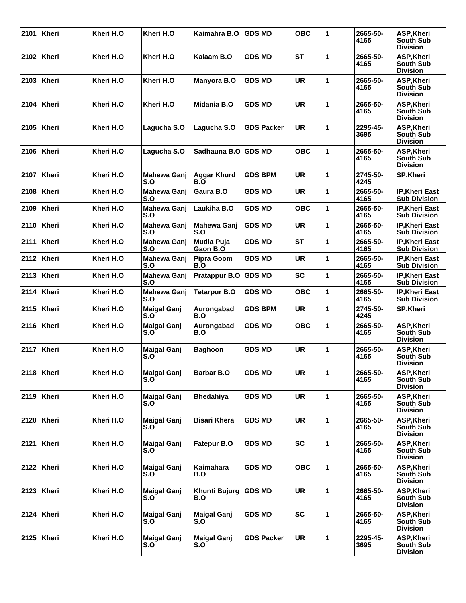| 2101 | <b>Kheri</b> | Kheri H.O | Kheri H.O                 | Kaimahra B.O              | <b>GDS MD</b>     | <b>OBC</b> | 1 | 2665-50-<br>4165 | ASP, Kheri<br>South Sub<br><b>Division</b>               |
|------|--------------|-----------|---------------------------|---------------------------|-------------------|------------|---|------------------|----------------------------------------------------------|
| 2102 | Kheri        | Kheri H.O | Kheri H.O                 | Kalaam B.O                | <b>GDS MD</b>     | <b>ST</b>  | 1 | 2665-50-<br>4165 | <b>ASP, Kheri</b><br><b>South Sub</b><br><b>Division</b> |
| 2103 | Kheri        | Kheri H.O | Kheri H.O                 | Manyora B.O               | <b>GDS MD</b>     | <b>UR</b>  | 1 | 2665-50-<br>4165 | ASP, Kheri<br><b>South Sub</b><br><b>Division</b>        |
| 2104 | <b>Kheri</b> | Kheri H.O | Kheri H.O                 | Midania B.O               | <b>GDS MD</b>     | <b>UR</b>  | 1 | 2665-50-<br>4165 | ASP, Kheri<br><b>South Sub</b><br><b>Division</b>        |
| 2105 | Kheri        | Kheri H.O | Lagucha S.O               | Lagucha S.O               | <b>GDS Packer</b> | <b>UR</b>  | 1 | 2295-45-<br>3695 | <b>ASP, Kheri</b><br><b>South Sub</b><br><b>Division</b> |
| 2106 | <b>Kheri</b> | Kheri H.O | Lagucha S.O               | Sadhauna B.O              | <b>GDS MD</b>     | <b>OBC</b> | 1 | 2665-50-<br>4165 | <b>ASP, Kheri</b><br><b>South Sub</b><br><b>Division</b> |
| 2107 | Kheri        | Kheri H.O | Mahewa Ganj<br>S.O        | <b>Aggar Khurd</b><br>B.O | <b>GDS BPM</b>    | <b>UR</b>  | 1 | 2745-50-<br>4245 | <b>SP, Kheri</b>                                         |
| 2108 | Kheri        | Kheri H.O | Mahewa Ganj<br>S.O        | Gaura B.O                 | <b>GDS MD</b>     | <b>UR</b>  | 1 | 2665-50-<br>4165 | IP, Kheri East<br><b>Sub Division</b>                    |
| 2109 | Kheri        | Kheri H.O | Mahewa Ganj<br>S.O        | Laukiha B.O               | <b>GDS MD</b>     | <b>OBC</b> | 1 | 2665-50-<br>4165 | <b>IP, Kheri East</b><br><b>Sub Division</b>             |
| 2110 | Kheri        | Kheri H.O | Mahewa Ganj<br>S.O        | Mahewa Ganj<br>S.O        | <b>GDS MD</b>     | <b>UR</b>  | 1 | 2665-50-<br>4165 | IP, Kheri East<br><b>Sub Division</b>                    |
| 2111 | Kheri        | Kheri H.O | Mahewa Ganj<br>S.O        | Mudia Puja<br>Gaon B.O    | <b>GDS MD</b>     | <b>ST</b>  | 1 | 2665-50-<br>4165 | <b>IP, Kheri East</b><br><b>Sub Division</b>             |
| 2112 | Kheri        | Kheri H.O | Mahewa Ganj<br>S.O        | <b>Pipra Goom</b><br>B.O  | <b>GDS MD</b>     | <b>UR</b>  | 1 | 2665-50-<br>4165 | IP, Kheri East<br><b>Sub Division</b>                    |
| 2113 | <b>Kheri</b> | Kheri H.O | Mahewa Ganj<br>S.O        | <b>Pratappur B.O</b>      | <b>GDS MD</b>     | <b>SC</b>  | 1 | 2665-50-<br>4165 | IP, Kheri East<br><b>Sub Division</b>                    |
| 2114 | Kheri        | Kheri H.O | Mahewa Ganj<br>S.O        | <b>Tetarpur B.O</b>       | <b>GDS MD</b>     | <b>OBC</b> | 1 | 2665-50-<br>4165 | IP, Kheri East<br><b>Sub Division</b>                    |
| 2115 | Kheri        | Kheri H.O | <b>Maigal Ganj</b><br>S.O | Aurongabad<br>B.O         | <b>GDS BPM</b>    | <b>UR</b>  | 1 | 2745-50-<br>4245 | SP, Kheri                                                |
| 2116 | Kheri        | Kheri H.O | <b>Maigal Ganj</b><br>S.O | Aurongabad<br>B.O         | <b>GDS MD</b>     | <b>OBC</b> | 1 | 2665-50-<br>4165 | ASP, Kheri<br><b>South Sub</b><br><b>Division</b>        |
| 2117 | Kheri        | Kheri H.O | Maigal Ganj<br>S.O        | <b>Baghoon</b>            | <b>GDS MD</b>     | <b>UR</b>  | 1 | 2665-50-<br>4165 | <b>ASP, Kheri</b><br><b>South Sub</b><br><b>Division</b> |
|      | 2118   Kheri | Kheri H.O | <b>Maigal Ganj</b><br>S.O | <b>Barbar B.O</b>         | <b>GDS MD</b>     | <b>UR</b>  | 1 | 2665-50-<br>4165 | ASP, Kheri<br><b>South Sub</b><br><b>Division</b>        |
| 2119 | <b>Kheri</b> | Kheri H.O | <b>Maigal Ganj</b><br>S.O | <b>Bhedahiya</b>          | <b>GDS MD</b>     | <b>UR</b>  | 1 | 2665-50-<br>4165 | <b>ASP, Kheri</b><br>South Sub<br><b>Division</b>        |
| 2120 | <b>Kheri</b> | Kheri H.O | <b>Maigal Ganj</b><br>S.O | <b>Bisari Khera</b>       | <b>GDS MD</b>     | <b>UR</b>  | 1 | 2665-50-<br>4165 | <b>ASP, Kheri</b><br><b>South Sub</b><br><b>Division</b> |
| 2121 | Kheri        | Kheri H.O | <b>Maigal Ganj</b><br>S.O | Fatepur B.O               | <b>GDS MD</b>     | <b>SC</b>  | 1 | 2665-50-<br>4165 | ASP, Kheri<br>South Sub<br><b>Division</b>               |
| 2122 | Kheri        | Kheri H.O | Maigal Ganj<br>S.O        | Kaimahara<br>B.O          | <b>GDS MD</b>     | <b>OBC</b> | 1 | 2665-50-<br>4165 | <b>ASP, Kheri</b><br>South Sub<br><b>Division</b>        |
| 2123 | Kheri        | Kheri H.O | Maigal Ganj<br>S.O        | Khunti Bujurg<br>B.O      | <b>GDS MD</b>     | <b>UR</b>  | 1 | 2665-50-<br>4165 | <b>ASP, Kheri</b><br><b>South Sub</b><br><b>Division</b> |
| 2124 | Kheri        | Kheri H.O | <b>Maigal Ganj</b><br>S.O | <b>Maigal Ganj</b><br>S.O | <b>GDS MD</b>     | <b>SC</b>  | 1 | 2665-50-<br>4165 | ASP, Kheri<br><b>South Sub</b><br><b>Division</b>        |
| 2125 | Kheri        | Kheri H.O | <b>Maigal Ganj</b><br>S.O | <b>Maigal Ganj</b><br>S.O | <b>GDS Packer</b> | <b>UR</b>  | 1 | 2295-45-<br>3695 | <b>ASP, Kheri</b><br><b>South Sub</b><br><b>Division</b> |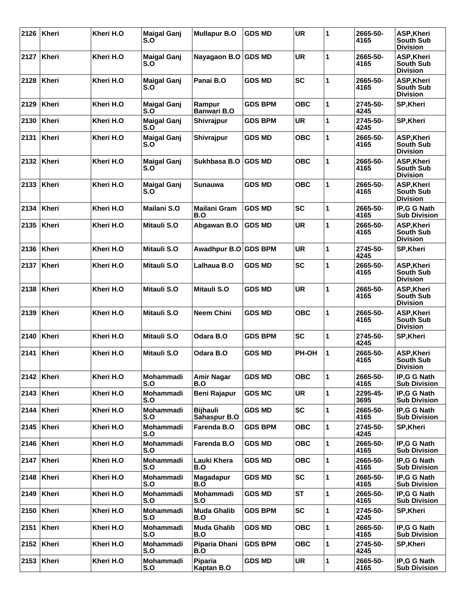| 2126 | Kheri        | Kheri H.O | <b>Maigal Ganj</b><br>S.O | <b>Mullapur B.O</b>             | <b>GDS MD</b>  | <b>UR</b>  | 1 | 2665-50-<br>4165 | <b>ASP, Kheri</b><br>South Sub<br><b>Division</b>        |
|------|--------------|-----------|---------------------------|---------------------------------|----------------|------------|---|------------------|----------------------------------------------------------|
| 2127 | <b>Kheri</b> | Kheri H.O | <b>Maigal Ganj</b><br>S.O | Nayagaon B.O                    | <b>GDS MD</b>  | <b>UR</b>  | 1 | 2665-50-<br>4165 | <b>ASP, Kheri</b><br><b>South Sub</b><br><b>Division</b> |
| 2128 | Kheri        | Kheri H.O | <b>Maigal Ganj</b><br>S.O | Panai B.O                       | <b>GDS MD</b>  | <b>SC</b>  | 1 | 2665-50-<br>4165 | <b>ASP, Kheri</b><br>South Sub<br><b>Division</b>        |
| 2129 | Kheri        | Kheri H.O | <b>Maigal Ganj</b><br>S.O | Rampur<br>Banwari B.O           | <b>GDS BPM</b> | <b>OBC</b> | 1 | 2745-50-<br>4245 | <b>SP, Kheri</b>                                         |
| 2130 | Kheri        | Kheri H.O | <b>Maigal Ganj</b><br>S.O | Shivrajpur                      | GDS BPM        | <b>UR</b>  | 1 | 2745-50-<br>4245 | <b>SP,Kheri</b>                                          |
| 2131 | Kheri        | Kheri H.O | Maigal Ganj<br>S.O        | Shivrajpur                      | <b>GDS MD</b>  | <b>OBC</b> | 1 | 2665-50-<br>4165 | <b>ASP, Kheri</b><br>South Sub<br><b>Division</b>        |
| 2132 | Kheri        | Kheri H.O | <b>Maigal Ganj</b><br>S.O | Sukhbasa B.O                    | <b>GDS MD</b>  | <b>OBC</b> | 1 | 2665-50-<br>4165 | <b>ASP, Kheri</b><br>South Sub<br><b>Division</b>        |
| 2133 | <b>Kheri</b> | Kheri H.O | <b>Maigal Ganj</b><br>S.O | <b>Sunauwa</b>                  | <b>GDS MD</b>  | <b>OBC</b> | 1 | 2665-50-<br>4165 | <b>ASP.Kheri</b><br><b>South Sub</b><br><b>Division</b>  |
| 2134 | Kheri        | Kheri H.O | Mailani S.O               | <b>Mailani Gram</b><br>B.O      | <b>GDS MD</b>  | <b>SC</b>  | 1 | 2665-50-<br>4165 | IP, G G Nath<br><b>Sub Division</b>                      |
| 2135 | Kheri        | Kheri H.O | Mitauli S.O               | Abgawan B.O                     | <b>GDS MD</b>  | <b>UR</b>  | 1 | 2665-50-<br>4165 | <b>ASP, Kheri</b><br>South Sub<br><b>Division</b>        |
| 2136 | Kheri        | Kheri H.O | Mitauli S.O               | Awadhpur B.O GDS BPM            |                | <b>UR</b>  | 1 | 2745-50-<br>4245 | <b>SP,Kheri</b>                                          |
| 2137 | Kheri        | Kheri H.O | Mitauli S.O               | Lalhaua B.O                     | <b>GDS MD</b>  | <b>SC</b>  | 1 | 2665-50-<br>4165 | ASP, Kheri<br><b>South Sub</b><br><b>Division</b>        |
| 2138 | Kheri        | Kheri H.O | <b>Mitauli S.O</b>        | <b>Mitauli S.O</b>              | <b>GDS MD</b>  | <b>UR</b>  | 1 | 2665-50-<br>4165 | <b>ASP, Kheri</b><br><b>South Sub</b><br><b>Division</b> |
| 2139 | <b>Kheri</b> | Kheri H.O | <b>Mitauli S.O</b>        | <b>Neem Chini</b>               | <b>GDS MD</b>  | <b>OBC</b> | 1 | 2665-50-<br>4165 | <b>ASP.Kheri</b><br><b>South Sub</b><br><b>Division</b>  |
| 2140 | Kheri        | Kheri H.O | Mitauli S.O               | Odara B.O                       | <b>GDS BPM</b> | <b>SC</b>  | 1 | 2745-50-<br>4245 | <b>SP, Kheri</b>                                         |
| 2141 | Kheri        | Kheri H.O | Mitauli S.O               | Odara B.O                       | <b>GDS MD</b>  | PH-OH      | 1 | 2665-50-<br>4165 | <b>ASP.Kheri</b><br><b>South Sub</b><br><b>Division</b>  |
|      | 2142   Kheri | Kheri H.O | Mohammadi<br>S.O          | Amir Nagar<br>B.O               | <b>GDS MD</b>  | <b>OBC</b> | 1 | 2665-50-<br>4165 | IP,G G Nath<br><b>Sub Division</b>                       |
| 2143 | Kheri        | Kheri H.O | Mohammadi<br>S.O          | Beni Rajapur                    | <b>GDS MC</b>  | <b>UR</b>  | 1 | 2295-45-<br>3695 | IP,G G Nath<br><b>Sub Division</b>                       |
| 2144 | Kheri        | Kheri H.O | Mohammadi<br>S.O          | <b>Bijhauli</b><br>Sahaspur B.O | <b>GDS MD</b>  | <b>SC</b>  | 1 | 2665-50-<br>4165 | IP, G G Nath<br><b>Sub Division</b>                      |
| 2145 | Kheri        | Kheri H.O | <b>Mohammadi</b><br>S.O   | Farenda B.O                     | <b>GDS BPM</b> | <b>OBC</b> | 1 | 2745-50-<br>4245 | <b>SP, Kheri</b>                                         |
| 2146 | Kheri        | Kheri H.O | Mohammadi<br>S.O          | Farenda B.O                     | <b>GDS MD</b>  | <b>OBC</b> | 1 | 2665-50-<br>4165 | IP,G G Nath<br><b>Sub Division</b>                       |
| 2147 | Kheri        | Kheri H.O | Mohammadi<br>S.O          | Lauki Khera<br>B.O              | <b>GDS MD</b>  | <b>OBC</b> | 1 | 2665-50-<br>4165 | IP, G G Nath<br><b>Sub Division</b>                      |
| 2148 | Kheri        | Kheri H.O | Mohammadi<br>S.O          | Magadapur<br>B.O                | <b>GDS MD</b>  | <b>SC</b>  | 1 | 2665-50-<br>4165 | IP, G G Nath<br><b>Sub Division</b>                      |
| 2149 | Kheri        | Kheri H.O | Mohammadi<br>S.O          | Mohammadi<br>S.O                | <b>GDS MD</b>  | <b>ST</b>  | 1 | 2665-50-<br>4165 | IP,G G Nath<br><b>Sub Division</b>                       |
| 2150 | Kheri        | Kheri H.O | Mohammadi<br>S.O          | <b>Muda Ghalib</b><br>B.O       | <b>GDS BPM</b> | <b>SC</b>  | 1 | 2745-50-<br>4245 | SP, Kheri                                                |
| 2151 | <b>Kheri</b> | Kheri H.O | Mohammadi<br>S.O          | <b>Muda Ghalib</b><br>B.O       | <b>GDS MD</b>  | <b>OBC</b> | 1 | 2665-50-<br>4165 | IP,G G Nath<br><b>Sub Division</b>                       |
| 2152 | Kheri        | Kheri H.O | Mohammadi<br>S.O          | Piparia Dhani<br>B.O            | <b>GDS BPM</b> | <b>OBC</b> | 1 | 2745-50-<br>4245 | <b>SP, Kheri</b>                                         |
| 2153 | Kheri        | Kheri H.O | Mohammadi<br>S.O          | Piparia<br>Kaptan B.O           | <b>GDS MD</b>  | <b>UR</b>  | 1 | 2665-50-<br>4165 | IP,G G Nath<br><b>Sub Division</b>                       |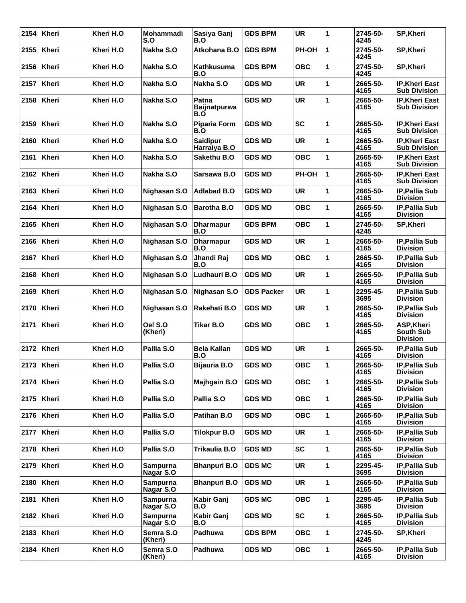| 2154 | Kheri        | Kheri H.O | Mohammadi<br>S.O             | Sasiya Ganj<br>B.O                  | <b>GDS BPM</b>    | <b>UR</b>    | 1            | 2745-50-<br>4245 | <b>SP, Kheri</b>                                         |
|------|--------------|-----------|------------------------------|-------------------------------------|-------------------|--------------|--------------|------------------|----------------------------------------------------------|
| 2155 | Kheri        | Kheri H.O | Nakha S.O                    | Atkohana B.O                        | <b>GDS BPM</b>    | PH-OH        | 1            | 2745-50-<br>4245 | SP, Kheri                                                |
| 2156 | Kheri        | Kheri H.O | Nakha S.O                    | <b>Kathkusuma</b><br>B.O            | <b>GDS BPM</b>    | <b>OBC</b>   | 1            | 2745-50-<br>4245 | <b>SP, Kheri</b>                                         |
| 2157 | Kheri        | Kheri H.O | Nakha S.O                    | Nakha S.O                           | <b>GDS MD</b>     | <b>UR</b>    | 1            | 2665-50-<br>4165 | <b>IP, Kheri East</b><br><b>Sub Division</b>             |
| 2158 | Kheri        | Kheri H.O | Nakha S.O                    | Patna<br><b>Baijnatpurwa</b><br>B.O | <b>GDS MD</b>     | <b>UR</b>    | 1            | 2665-50-<br>4165 | IP, Kheri East<br><b>Sub Division</b>                    |
| 2159 | Kheri        | Kheri H.O | Nakha S.O                    | <b>Piparia Form</b><br>B.O          | <b>GDS MD</b>     | <b>SC</b>    | 1            | 2665-50-<br>4165 | <b>IP, Kheri East</b><br><b>Sub Division</b>             |
| 2160 | Kheri        | Kheri H.O | Nakha S.O                    | <b>Saidipur</b><br>Harraiya B.O     | <b>GDS MD</b>     | <b>UR</b>    | 1            | 2665-50-<br>4165 | <b>IP, Kheri East</b><br><b>Sub Division</b>             |
| 2161 | ∣Kheri       | Kheri H.O | Nakha S.O                    | Sakethu B.O                         | <b>GDS MD</b>     | <b>OBC</b>   | 1            | 2665-50-<br>4165 | IP, Kheri East<br><b>Sub Division</b>                    |
| 2162 | Kheri        | Kheri H.O | Nakha S.O                    | Sarsawa B.O                         | <b>GDS MD</b>     | <b>PH-OH</b> | 1            | 2665-50-<br>4165 | IP, Kheri East<br><b>Sub Division</b>                    |
| 2163 | Kheri        | Kheri H.O | Nighasan S.O                 | <b>Adlabad B.O</b>                  | <b>GDS MD</b>     | <b>UR</b>    | 1            | 2665-50-<br>4165 | IP, Pallia Sub<br><b>Division</b>                        |
| 2164 | ∣Kheri       | Kheri H.O | Nighasan S.O                 | <b>Barotha B.O</b>                  | <b>GDS MD</b>     | <b>OBC</b>   | 1            | 2665-50-<br>4165 | IP, Pallia Sub<br><b>Division</b>                        |
| 2165 | Kheri        | Kheri H.O | Nighasan S.O                 | <b>Dharmapur</b><br>B.O             | <b>GDS BPM</b>    | <b>OBC</b>   | 1            | 2745-50-<br>4245 | SP, Kheri                                                |
| 2166 | Kheri        | Kheri H.O | Nighasan S.O                 | <b>Dharmapur</b><br>B.O             | <b>GDS MD</b>     | <b>UR</b>    | 1            | 2665-50-<br>4165 | IP, Pallia Sub<br><b>Division</b>                        |
| 2167 | ∣Kheri       | Kheri H.O | Nighasan S.O                 | Jhandi Raj<br>B.O                   | <b>GDS MD</b>     | <b>OBC</b>   | 1            | 2665-50-<br>4165 | IP, Pallia Sub<br><b>Division</b>                        |
| 2168 | Kheri        | Kheri H.O | Nighasan S.O                 | Ludhauri B.O                        | <b>GDS MD</b>     | <b>UR</b>    | 1            | 2665-50-<br>4165 | IP, Pallia Sub<br><b>Division</b>                        |
| 2169 | Kheri        | Kheri H.O | Nighasan S.O                 | Nighasan S.O                        | <b>GDS Packer</b> | <b>UR</b>    | 1            | 2295-45-<br>3695 | IP, Pallia Sub<br><b>Division</b>                        |
| 2170 | Kheri        | Kheri H.O | Nighasan S.O                 | Rakehati B.O                        | <b>GDS MD</b>     | <b>UR</b>    | 1            | 2665-50-<br>4165 | IP, Pallia Sub<br><b>Division</b>                        |
| 2171 | Kheri        | Kheri H.O | Oel S.O<br>(Kheri)           | <b>Tikar B.O</b>                    | <b>GDS MD</b>     | <b>OBC</b>   | 1            | 2665-50-<br>4165 | <b>ASP, Kheri</b><br><b>South Sub</b><br><b>Division</b> |
| 2172 | Kheri        | Kheri H.O | Pallia S.O                   | <b>Bela Kallan</b><br>B.O           | <b>GDS MD</b>     | <b>UR</b>    | 1            | 2665-50-<br>4165 | IP, Pallia Sub<br><b>Division</b>                        |
|      | 2173   Kheri | Kheri H.O | Pallia S.O                   | <b>Bijauria B.O</b>                 | <b>GDS MD</b>     | <b>OBC</b>   | 1            | 2665-50-<br>4165 | IP, Pallia Sub<br><b>Division</b>                        |
|      | 2174   Kheri | Kheri H.O | Pallia S.O                   | Majhgain B.O                        | <b>GDS MD</b>     | <b>OBC</b>   | 1            | 2665-50-<br>4165 | IP, Pallia Sub<br><b>Division</b>                        |
| 2175 | Kheri        | Kheri H.O | Pallia S.O                   | Pallia S.O                          | <b>GDS MD</b>     | <b>OBC</b>   | $\mathbf{1}$ | 2665-50-<br>4165 | IP, Pallia Sub<br><b>Division</b>                        |
| 2176 | Kheri        | Kheri H.O | Pallia S.O                   | Patihan B.O                         | <b>GDS MD</b>     | <b>OBC</b>   | 1            | 2665-50-<br>4165 | IP, Pallia Sub<br><b>Division</b>                        |
| 2177 | Kheri        | Kheri H.O | Pallia S.O                   | <b>Tilokpur B.O</b>                 | <b>GDS MD</b>     | <b>UR</b>    | 1            | 2665-50-<br>4165 | <b>IP, Pallia Sub</b><br><b>Division</b>                 |
| 2178 | Kheri        | Kheri H.O | Pallia S.O                   | Trikaulia B.O                       | <b>GDS MD</b>     | <b>SC</b>    | 1            | 2665-50-<br>4165 | IP, Pallia Sub<br><b>Division</b>                        |
| 2179 | Kheri        | Kheri H.O | <b>Sampurna</b><br>Nagar S.O | <b>Bhanpuri B.O</b>                 | <b>GDS MC</b>     | <b>UR</b>    | 1            | 2295-45-<br>3695 | IP, Pallia Sub<br><b>Division</b>                        |
| 2180 | Kheri        | Kheri H.O | <b>Sampurna</b><br>Nagar S.O | <b>Bhanpuri B.O</b>                 | <b>GDS MD</b>     | <b>UR</b>    | 1            | 2665-50-<br>4165 | IP, Pallia Sub<br><b>Division</b>                        |
| 2181 | Kheri        | Kheri H.O | <b>Sampurna</b><br>Nagar S.O | Kabir Ganj<br>B.O                   | <b>GDS MC</b>     | <b>OBC</b>   | $\mathbf{1}$ | 2295-45-<br>3695 | IP, Pallia Sub<br><b>Division</b>                        |
| 2182 | Kheri        | Kheri H.O | <b>Sampurna</b><br>Nagar S.O | Kabir Ganj<br>B.O                   | <b>GDS MD</b>     | <b>SC</b>    | 1            | 2665-50-<br>4165 | IP, Pallia Sub<br><b>Division</b>                        |
| 2183 | Kheri        | Kheri H.O | Semra S.O<br>(Kheri)         | Padhuwa                             | <b>GDS BPM</b>    | <b>OBC</b>   | 1            | 2745-50-<br>4245 | SP, Kheri                                                |
| 2184 | Kheri        | Kheri H.O | Semra S.O<br>(Kheri)         | Padhuwa                             | <b>GDS MD</b>     | <b>OBC</b>   | 1            | 2665-50-<br>4165 | IP, Pallia Sub<br><b>Division</b>                        |
|      |              |           |                              |                                     |                   |              |              |                  |                                                          |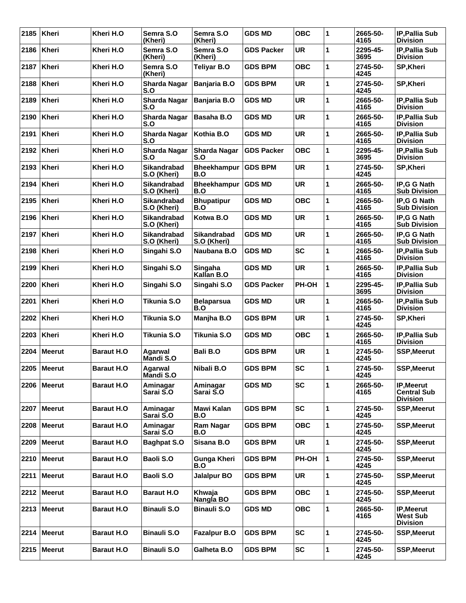| 2185 | <b>Kheri</b>  | Kheri H.O         | Semra S.O<br>(Kheri)              | Semra S.O<br>(Kheri)              | <b>GDS MD</b>      | <b>OBC</b>   | 1            | 2665-50-<br>4165 | <b>IP, Pallia Sub</b><br>Division                          |
|------|---------------|-------------------|-----------------------------------|-----------------------------------|--------------------|--------------|--------------|------------------|------------------------------------------------------------|
| 2186 | <b>Kheri</b>  | Kheri H.O         | Semra S.O<br>(Kheri)              | Semra S.O<br>(Kheri)              | <b>GDS Packer</b>  | <b>UR</b>    | 1            | 2295-45-<br>3695 | <b>IP.Pallia Sub</b><br><b>Division</b>                    |
| 2187 | Kheri         | Kheri H.O         | Semra S.O<br>(Kheri)              | Teliyar B.O                       | <b>GDS BPM</b>     | <b>OBC</b>   | 1            | 2745-50-<br>4245 | <b>SP,Kheri</b>                                            |
| 2188 | <b>Kheri</b>  | Kheri H.O         | <b>Sharda Nagar</b><br>S.O        | Banjaria B.O                      | <b>GDS BPM</b>     | <b>UR</b>    | 1            | 2745-50-<br>4245 | <b>SP,Kheri</b>                                            |
| 2189 | <b>Kheri</b>  | Kheri H.O         | <b>Sharda Nagar</b><br>S.O        | Banjaria B.O                      | <b>GDS MD</b>      | <b>UR</b>    | 1            | 2665-50-<br>4165 | IP, Pallia Sub<br><b>Division</b>                          |
| 2190 | <b>Kheri</b>  | Kheri H.O         | <b>Sharda Nagar</b><br>S.O        | Basaha B.O                        | <b>GDS MD</b>      | <b>UR</b>    | 1            | 2665-50-<br>4165 | IP, Pallia Sub<br><b>Division</b>                          |
| 2191 | <b>Kheri</b>  | Kheri H.O         | <b>Sharda Nagar</b><br>S.O        | Kothia B.O                        | <b>GDS MD</b>      | <b>UR</b>    | 1            | 2665-50-<br>4165 | IP, Pallia Sub<br><b>Division</b>                          |
| 2192 | Kheri         | Kheri H.O         | <b>Sharda Nagar</b><br>S.O        | Sharda Nagar<br>S.O               | <b>IGDS Packer</b> | <b>OBC</b>   | 1            | 2295-45-<br>3695 | IP, Pallia Sub<br><b>Division</b>                          |
| 2193 | <b>Kheri</b>  | Kheri H.O         | Sikandrabad<br>S.O (Kheri)        | <b>Bheekhampur</b><br>B.O         | <b>GDS BPM</b>     | <b>UR</b>    | 1            | 2745-50-<br>4245 | <b>SP,Kheri</b>                                            |
| 2194 | <b>Kheri</b>  | Kheri H.O         | Sikandrabad<br>S.O (Kheri)        | <b>Bheekhampur</b><br>B.O         | <b>GDS MD</b>      | <b>UR</b>    | 1            | 2665-50-<br>4165 | IP,G G Nath<br><b>Sub Division</b>                         |
| 2195 | <b>Kheri</b>  | Kheri H.O         | <b>Sikandrabad</b><br>S.O (Kheri) | <b>Bhupatipur</b><br>B.O          | <b>GDS MD</b>      | <b>OBC</b>   | 1            | 2665-50-<br>4165 | IP,G G Nath<br><b>Sub Division</b>                         |
| 2196 | <b>Kheri</b>  | Kheri H.O         | Sikandrabad<br>S.O (Kheri)        | Kotwa B.O                         | <b>GDS MD</b>      | <b>UR</b>    | 1            | 2665-50-<br>4165 | IP, G G Nath<br><b>Sub Division</b>                        |
| 2197 | <b>Kheri</b>  | Kheri H.O         | <b>Sikandrabad</b><br>S.O (Kheri) | <b>Sikandrabad</b><br>S.O (Kheri) | <b>GDS MD</b>      | <b>UR</b>    | 1            | 2665-50-<br>4165 | IP, G G Nath<br><b>Sub Division</b>                        |
| 2198 | <b>Kheri</b>  | Kheri H.O         | Singahi S.O                       | Naubana B.O                       | <b>GDS MD</b>      | <b>SC</b>    | 1            | 2665-50-<br>4165 | IP, Pallia Sub<br><b>Division</b>                          |
| 2199 | <b>Kheri</b>  | Kheri H.O         | Singahi S.O                       | Singaha<br>Kallan B.O             | <b>GDS MD</b>      | <b>UR</b>    | 1            | 2665-50-<br>4165 | IP, Pallia Sub<br><b>Division</b>                          |
| 2200 | <b>Kheri</b>  | Kheri H.O         | Singahi S.O                       | Singahi S.O                       | <b>GDS Packer</b>  | <b>PH-OH</b> | 1            | 2295-45-<br>3695 | IP, Pallia Sub<br>Division                                 |
| 2201 | <b>Kheri</b>  | Kheri H.O         | Tikunia S.O                       | <b>Belaparsua</b><br>B.O          | <b>GDS MD</b>      | <b>UR</b>    | 1            | 2665-50-<br>4165 | IP, Pallia Sub<br><b>Division</b>                          |
| 2202 | Kheri         | Kheri H.O         | Tikunia S.O                       | Manjha B.O                        | <b>GDS BPM</b>     | <b>UR</b>    | 1            | 2745-50-<br>4245 | <b>SP,Kheri</b>                                            |
| 2203 | Kheri         | Kheri H.O         | <b>Tikunia S.O</b>                | Tikunia S.O                       | <b>GDS MD</b>      | <b>OBC</b>   | 1            | 2665-50-<br>4165 | IP, Pallia Sub<br><b>Division</b>                          |
| 2204 | <b>Meerut</b> | <b>Baraut H.O</b> | Agarwal<br>Mandi S.O              | <b>Bali B.O</b>                   | <b>GDS BPM</b>     | <b>UR</b>    | 1            | 2745-50-<br>4245 | <b>SSP, Meerut</b>                                         |
|      | 2205 Meerut   | <b>Baraut H.O</b> | Agarwal<br>Mandi S.O              | Nibali B.O                        | <b>GDS BPM</b>     | SC           | 1            | 2745-50-<br>4245 | <b>SSP, Meerut</b>                                         |
| 2206 | <b>Meerut</b> | <b>Baraut H.O</b> | Aminagar<br>Sarai S.O             | Aminagar<br>Sarai S.O             | <b>GDS MD</b>      | <b>SC</b>    | 1            | 2665-50-<br>4165 | <b>IP, Meerut</b><br><b>Central Sub</b><br><b>Division</b> |
| 2207 | Meerut        | <b>Baraut H.O</b> | Aminagar<br>Sarai S.O             | <b>Mawi Kalan</b><br>B.O          | <b>GDS BPM</b>     | <b>SC</b>    | 1            | 2745-50-<br>4245 | <b>SSP, Meerut</b>                                         |
| 2208 | <b>Meerut</b> | <b>Baraut H.O</b> | Aminagar<br>Sarai S.O             | <b>Ram Nagar</b><br>B.O           | <b>GDS BPM</b>     | <b>OBC</b>   | 1            | 2745-50-<br>4245 | <b>SSP, Meerut</b>                                         |
| 2209 | Meerut        | <b>Baraut H.O</b> | <b>Baghpat S.O</b>                | Sisana B.O                        | <b>GDS BPM</b>     | <b>UR</b>    | 1            | 2745-50-<br>4245 | <b>SSP, Meerut</b>                                         |
| 2210 | Meerut        | <b>Baraut H.O</b> | Baoli S.O                         | Gunga Kheri<br>B.O                | <b>GDS BPM</b>     | PH-OH        | $\mathbf{1}$ | 2745-50-<br>4245 | <b>SSP, Meerut</b>                                         |
| 2211 | <b>Meerut</b> | <b>Baraut H.O</b> | Baoli S.O                         | <b>Jalalpur BO</b>                | <b>GDS BPM</b>     | <b>UR</b>    | 1            | 2745-50-<br>4245 | <b>SSP, Meerut</b>                                         |
|      | 2212 Meerut   | <b>Baraut H.O</b> | <b>Baraut H.O</b>                 | Khwaja<br>Nangla BO               | <b>GDS BPM</b>     | <b>OBC</b>   | $\mathbf{1}$ | 2745-50-<br>4245 | <b>SSP, Meerut</b>                                         |
|      | 2213   Meerut | <b>Baraut H.O</b> | <b>Binauli S.O</b>                | <b>Binauli S.O</b>                | <b>GDS MD</b>      | <b>OBC</b>   | $\mathbf{1}$ | 2665-50-<br>4165 | IP, Meerut<br>West Sub<br><b>Division</b>                  |
|      | 2214 Meerut   | <b>Baraut H.O</b> | <b>Binauli S.O</b>                | <b>Fazalpur B.O</b>               | <b>GDS BPM</b>     | <b>SC</b>    | 1            | 2745-50-<br>4245 | <b>SSP, Meerut</b>                                         |
| 2215 | Meerut        | <b>Baraut H.O</b> | <b>Binauli S.O</b>                | Galheta B.O                       | <b>GDS BPM</b>     | <b>SC</b>    | 1            | 2745-50-<br>4245 | <b>SSP, Meerut</b>                                         |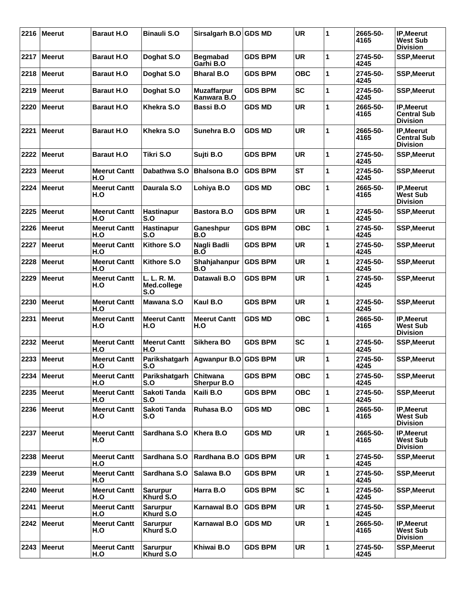| 2216 | <b>Meerut</b> | <b>Baraut H.O</b>          | <b>Binauli S.O</b>                | Sirsalgarh B.O GDS MD             |                | <b>UR</b>  | 1 | 2665-50-<br>4165 | IP, Meerut<br><b>West Sub</b><br><b>Division</b>           |
|------|---------------|----------------------------|-----------------------------------|-----------------------------------|----------------|------------|---|------------------|------------------------------------------------------------|
| 2217 | <b>Meerut</b> | <b>Baraut H.O</b>          | Doghat S.O                        | <b>Begmabad</b><br>Garhi B.O      | <b>GDS BPM</b> | <b>UR</b>  | 1 | 2745-50-<br>4245 | <b>SSP, Meerut</b>                                         |
| 2218 | <b>Meerut</b> | <b>Baraut H.O</b>          | Doghat S.O                        | <b>Bharal B.O</b>                 | <b>GDS BPM</b> | <b>OBC</b> | 1 | 2745-50-<br>4245 | <b>SSP, Meerut</b>                                         |
| 2219 | Meerut        | <b>Baraut H.O</b>          | Doghat S.O                        | <b>Muzaffarpur</b><br>Kanwara B.O | <b>GDS BPM</b> | <b>SC</b>  | 1 | 2745-50-<br>4245 | <b>SSP, Meerut</b>                                         |
| 2220 | <b>Meerut</b> | <b>Baraut H.O</b>          | Khekra S.O                        | Bassi B.O                         | <b>GDS MD</b>  | <b>UR</b>  | 1 | 2665-50-<br>4165 | <b>IP, Meerut</b><br><b>Central Sub</b><br><b>Division</b> |
| 2221 | <b>Meerut</b> | <b>Baraut H.O</b>          | Khekra S.O                        | Sunehra B.O                       | <b>GDS MD</b>  | <b>UR</b>  | 1 | 2665-50-<br>4165 | IP, Meerut<br><b>Central Sub</b><br><b>Division</b>        |
| 2222 | Meerut        | <b>Baraut H.O</b>          | Tikri S.O                         | Sujti B.O                         | <b>GDS BPM</b> | <b>UR</b>  | 1 | 2745-50-<br>4245 | <b>SSP, Meerut</b>                                         |
| 2223 | <b>Meerut</b> | <b>Meerut Cantt</b><br>H.O | Dabathwa S.O                      | <b>Bhalsona B.O</b>               | <b>GDS BPM</b> | <b>ST</b>  | 1 | 2745-50-<br>4245 | <b>SSP, Meerut</b>                                         |
| 2224 | Meerut        | <b>Meerut Cantt</b><br>H.O | Daurala S.O                       | Lohiya B.O                        | <b>GDS MD</b>  | <b>OBC</b> | 1 | 2665-50-<br>4165 | IP, Meerut<br><b>West Sub</b><br><b>Division</b>           |
| 2225 | <b>Meerut</b> | <b>Meerut Cantt</b><br>H.O | <b>Hastinapur</b><br>S.O          | <b>Bastora B.O</b>                | <b>GDS BPM</b> | <b>UR</b>  | 1 | 2745-50-<br>4245 | <b>SSP, Meerut</b>                                         |
| 2226 | <b>Meerut</b> | <b>Meerut Cantt</b><br>H.O | Hastinapur<br>S.O                 | Ganeshpur<br>B.O                  | <b>GDS BPM</b> | <b>OBC</b> | 1 | 2745-50-<br>4245 | <b>SSP, Meerut</b>                                         |
| 2227 | <b>Meerut</b> | <b>Meerut Cantt</b><br>H.O | Kithore S.O                       | Nagli Badli<br>B.O                | <b>GDS BPM</b> | <b>UR</b>  | 1 | 2745-50-<br>4245 | <b>SSP, Meerut</b>                                         |
| 2228 | <b>Meerut</b> | <b>Meerut Cantt</b><br>H.O | <b>Kithore S.O</b>                | Shahjahanpur<br>B.O               | <b>GDS BPM</b> | <b>UR</b>  | 1 | 2745-50-<br>4245 | <b>SSP, Meerut</b>                                         |
| 2229 | <b>Meerut</b> | <b>Meerut Cantt</b><br>H.O | L. L. R. M.<br>Med.college<br>S.O | Datawali B.O                      | <b>GDS BPM</b> | <b>UR</b>  | 1 | 2745-50-<br>4245 | <b>SSP, Meerut</b>                                         |
| 2230 | <b>Meerut</b> | <b>Meerut Cantt</b><br>H.O | Mawana S.O                        | Kaul B.O                          | <b>GDS BPM</b> | <b>UR</b>  | 1 | 2745-50-<br>4245 | <b>SSP, Meerut</b>                                         |
| 2231 | <b>Meerut</b> | <b>Meerut Cantt</b><br>H.O | <b>Meerut Cantt</b><br>H.O        | <b>Meerut Cantt</b><br>H.O        | <b>GDS MD</b>  | <b>OBC</b> | 1 | 2665-50-<br>4165 | IP, Meerut<br><b>West Sub</b><br><b>Division</b>           |
| 2232 | Meerut        | <b>Meerut Cantt</b><br>H.O | <b>Meerut Cantt</b><br>H.O        | Sikhera BO                        | <b>GDS BPM</b> | <b>SC</b>  | 1 | 2745-50-<br>4245 | <b>SSP, Meerut</b>                                         |
| 2233 | Meerut        | <b>Meerut Cantt</b><br>H.O | Parikshatgarh<br>S.O              | Agwanpur B.O GDS BPM              |                | <b>UR</b>  | 1 | 2745-50-<br>4245 | <b>SSP, Meerut</b>                                         |
| 2234 | Meerut        | <b>Meerut Cantt</b><br>H.O | Parikshatgarh<br>S.O              | Chitwana<br>Sherpur B.O           | <b>GDS BPM</b> | <b>OBC</b> | 1 | 2745-50-<br>4245 | <b>SSP, Meerut</b>                                         |
| 2235 | Meerut        | <b>Meerut Cantt</b><br>H.O | Sakoti Tanda<br>S.O               | Kaili B.O                         | <b>GDS BPM</b> | <b>OBC</b> | 1 | 2745-50-<br>4245 | <b>SSP, Meerut</b>                                         |
|      | 2236 Meerut   | <b>Meerut Cantt</b><br>H.O | Sakoti Tanda<br>S.O               | Ruhasa B.O                        | <b>GDS MD</b>  | <b>OBC</b> | 1 | 2665-50-<br>4165 | IP, Meerut<br><b>West Sub</b><br><b>Division</b>           |
| 2237 | Meerut        | <b>Meerut Cantt</b><br>H.O | Sardhana S.O                      | Khera B.O                         | <b>GDS MD</b>  | <b>UR</b>  | 1 | 2665-50-<br>4165 | IP, Meerut<br>West Sub<br><b>Division</b>                  |
| 2238 | <b>Meerut</b> | <b>Meerut Cantt</b><br>H.O | Sardhana S.O                      | Rardhana B.O                      | <b>GDS BPM</b> | <b>UR</b>  | 1 | 2745-50-<br>4245 | <b>SSP, Meerut</b>                                         |
| 2239 | <b>Meerut</b> | <b>Meerut Cantt</b><br>H.O | Sardhana S.O                      | Salawa B.O                        | <b>GDS BPM</b> | <b>UR</b>  | 1 | 2745-50-<br>4245 | <b>SSP, Meerut</b>                                         |
| 2240 | <b>Meerut</b> | <b>Meerut Cantt</b><br>H.O | <b>Sarurpur</b><br>Khurd S.O      | Harra B.O                         | <b>GDS BPM</b> | <b>SC</b>  | 1 | 2745-50-<br>4245 | <b>SSP, Meerut</b>                                         |
| 2241 | Meerut        | <b>Meerut Cantt</b><br>H.O | <b>Sarurpur</b><br>Khurd S.O      | <b>Karnawal B.O</b>               | <b>GDS BPM</b> | <b>UR</b>  | 1 | 2745-50-<br>4245 | <b>SSP, Meerut</b>                                         |
|      | 2242 Meerut   | <b>Meerut Cantt</b><br>H.O | <b>Sarurpur</b><br>Khurd S.O      | <b>Karnawal B.O</b>               | <b>GDS MD</b>  | <b>UR</b>  | 1 | 2665-50-<br>4165 | IP, Meerut<br><b>West Sub</b><br><b>Division</b>           |
|      | $2243$ Meerut | <b>Meerut Cantt</b><br>H.O | Sarurpur<br>Khurd S.O             | Khiwai B.O                        | <b>GDS BPM</b> | <b>UR</b>  | 1 | 2745-50-<br>4245 | <b>SSP, Meerut</b>                                         |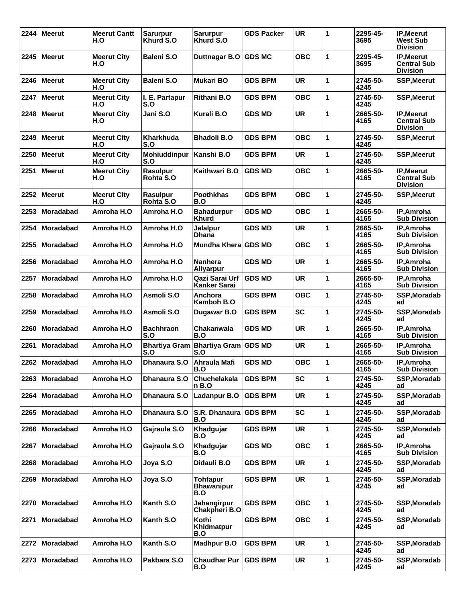| 2244 | <b>Meerut</b>    | <b>Meerut Cantt</b><br>H.O | <b>Sarurpur</b><br>Khurd S.O | <b>Sarurpur</b><br>Khurd S.O         | <b>GDS Packer</b> | <b>UR</b>  | 1            | 2295-45-<br>3695 | <b>IP, Meerut</b><br><b>West Sub</b><br><b>Division</b>    |
|------|------------------|----------------------------|------------------------------|--------------------------------------|-------------------|------------|--------------|------------------|------------------------------------------------------------|
| 2245 | <b>Meerut</b>    | <b>Meerut City</b><br>H.O  | <b>Baleni S.O</b>            | Duttnagar B.O                        | <b>GDS MC</b>     | OBC        | 1            | 2295-45-<br>3695 | IP, Meerut<br><b>Central Sub</b><br><b>Division</b>        |
| 2246 | <b>Meerut</b>    | <b>Meerut City</b><br>H.O  | <b>Baleni S.O</b>            | <b>Mukari BO</b>                     | <b>GDS BPM</b>    | <b>UR</b>  | 1            | 2745-50-<br>4245 | <b>SSP, Meerut</b>                                         |
| 2247 | <b>Meerut</b>    | <b>Meerut City</b><br>H.O  | I. E. Partapur<br>S.O        | <b>Rithani B.O</b>                   | <b>GDS BPM</b>    | <b>OBC</b> | 1            | 2745-50-<br>4245 | <b>SSP, Meerut</b>                                         |
| 2248 | <b>Meerut</b>    | <b>Meerut City</b><br>H.O  | Jani S.O                     | Kurali B.O                           | <b>GDS MD</b>     | <b>UR</b>  | 1            | 2665-50-<br>4165 | <b>IP, Meerut</b><br><b>Central Sub</b><br><b>Division</b> |
| 2249 | <b>Meerut</b>    | <b>Meerut City</b><br>H.O  | <b>Kharkhuda</b><br>S.O      | <b>Bhadoli B.O</b>                   | <b>GDS BPM</b>    | <b>OBC</b> | 1            | 2745-50-<br>4245 | <b>SSP, Meerut</b>                                         |
| 2250 | <b>Meerut</b>    | <b>Meerut City</b><br>H.O  | <b>Mohiuddinpur</b><br>S.O   | Kanshi B.O                           | <b>GDS BPM</b>    | <b>UR</b>  | 1            | 2745-50-<br>4245 | <b>SSP, Meerut</b>                                         |
| 2251 | <b>Meerut</b>    | <b>Meerut City</b><br>H.O  | Rasulpur<br>Rohta S.O        | Kaithwari B.O                        | <b>GDS MD</b>     | <b>OBC</b> | 1            | 2665-50-<br>4165 | IP, Meerut<br><b>Central Sub</b><br><b>Division</b>        |
| 2252 | <b>Meerut</b>    | <b>Meerut City</b><br>H.O  | <b>Rasulpur</b><br>Rohta S.O | <b>Poothkhas</b><br>B.O              | <b>GDS BPM</b>    | <b>OBC</b> | 1            | 2745-50-<br>4245 | <b>SSP, Meerut</b>                                         |
| 2253 | Moradabad        | Amroha H.O                 | Amroha H.O                   | <b>Bahadurpur</b><br>Khurd           | <b>GDS MD</b>     | <b>OBC</b> | 1            | 2665-50-<br>4165 | IP, Amroha<br><b>Sub Division</b>                          |
| 2254 | <b>Moradabad</b> | Amroha H.O                 | Amroha H.O                   | Jalalpur<br>Dhana                    | <b>GDS MD</b>     | <b>UR</b>  | 1            | 2665-50-<br>4165 | IP, Amroha<br><b>Sub Division</b>                          |
| 2255 | <b>Moradabad</b> | Amroha H.O                 | Amroha H.O                   | Mundha Khera GDS MD                  |                   | <b>OBC</b> | 1            | 2665-50-<br>4165 | IP, Amroha<br><b>Sub Division</b>                          |
| 2256 | <b>Moradabad</b> | Amroha H.O                 | Amroha H.O                   | <b>Nanhera</b><br><b>Aliyarpur</b>   | <b>GDS MD</b>     | <b>UR</b>  | 1            | 2665-50-<br>4165 | IP, Amroha<br><b>Sub Division</b>                          |
| 2257 | <b>Moradabad</b> | Amroha H.O                 | Amroha H.O                   | Qazi Sarai Urf<br>Kanker Sarai       | <b>GDS MD</b>     | <b>UR</b>  | 1            | 2665-50-<br>4165 | IP, Amroha<br><b>Sub Division</b>                          |
| 2258 | <b>Moradabad</b> | Amroha H.O                 | Asmoli S.O                   | Anchora<br>Kamboh B.O                | <b>GDS BPM</b>    | <b>OBC</b> | 1            | 2745-50-<br>4245 | SSP, Moradab<br>ad                                         |
| 2259 | <b>Moradabad</b> | Amroha H.O                 | Asmoli S.O                   | Dugawar B.O                          | <b>GDS BPM</b>    | <b>SC</b>  | 1            | 2745-50-<br>4245 | <b>SSP, Moradab</b><br>ad                                  |
| 2260 | <b>Moradabad</b> | Amroha H.O                 | <b>Bachhraon</b><br>S.O      | Chakanwala<br>B.O                    | <b>GDS MD</b>     | <b>UR</b>  | 1            | 2665-50-<br>4165 | <b>IP.Amroha</b><br><b>Sub Division</b>                    |
| 2261 | <b>Moradabad</b> | Amroha H.O                 | <b>Bhartiya Gram</b><br>S.O  | <b>Bhartiya Gram GDS MD</b><br>S.O   |                   | <b>UR</b>  | 1            | 2665-50-<br>4165 | IP, Amroha<br><b>Sub Division</b>                          |
| 2262 | Moradabad        | Amroha H.O                 | Dhanaura S.O                 | Ahraula Mafi<br>B.O                  | <b>GDS MD</b>     | <b>OBC</b> | 1            | 2665-50-<br>4165 | IP, Amroha<br><b>Sub Division</b>                          |
| 2263 | Moradabad        | Amroha H.O                 | Dhanaura S.O                 | <b>Chuchelakala</b><br>$n$ B.O       | <b>GDS BPM</b>    | <b>SC</b>  | 1            | 2745-50-<br>4245 | SSP, Moradab<br>ad                                         |
| 2264 | Moradabad        | Amroha H.O                 | Dhanaura S.O                 | Ladanpur B.O                         | <b>GDS BPM</b>    | <b>UR</b>  | $\mathbf{1}$ | 2745-50-<br>4245 | SSP, Moradab<br>ad                                         |
| 2265 | Moradabad        | Amroha H.O                 | Dhanaura S.O                 | S.R. Dhanaura<br>B.O                 | <b>GDS BPM</b>    | SC         | 1            | 2745-50-<br>4245 | SSP, Moradab<br>ad                                         |
| 2266 | Moradabad        | Amroha H.O                 | Gajraula S.O                 | Khadgujar<br>B.O                     | <b>GDS BPM</b>    | <b>UR</b>  | 1            | 2745-50-<br>4245 | SSP, Moradab<br>ad                                         |
| 2267 | Moradabad        | Amroha H.O                 | Gajraula S.O                 | Khadgujar<br>B.O                     | <b>GDS MD</b>     | <b>OBC</b> | $\mathbf{1}$ | 2665-50-<br>4165 | IP, Amroha<br><b>Sub Division</b>                          |
| 2268 | <b>Moradabad</b> | Amroha H.O                 | Joya S.O                     | Didauli B.O                          | <b>GDS BPM</b>    | UR         | 1            | 2745-50-<br>4245 | SSP, Moradab<br>ad                                         |
| 2269 | Moradabad        | Amroha H.O                 | Joya S.O                     | Tohfapur<br><b>Bhawanipur</b><br>B.O | <b>GDS BPM</b>    | <b>UR</b>  | 1            | 2745-50-<br>4245 | SSP, Moradab<br>ad                                         |
| 2270 | Moradabad        | Amroha H.O                 | Kanth S.O                    | <b>Jahangirpur</b><br>Chakpheri B.O  | <b>GDS BPM</b>    | <b>OBC</b> | 1            | 2745-50-<br>4245 | SSP, Moradab<br>ad                                         |
| 2271 | Moradabad        | Amroha H.O                 | Kanth S.O                    | Kothi<br>Khidmatpur<br>B.O           | <b>GDS BPM</b>    | <b>OBC</b> | 1            | 2745-50-<br>4245 | SSP, Moradab<br>ad                                         |
| 2272 | Moradabad        | Amroha H.O                 | Kanth S.O                    | <b>Madhpur B.O</b>                   | <b>GDS BPM</b>    | <b>UR</b>  | 1            | 2745-50-<br>4245 | SSP, Moradab<br>ad                                         |
| 2273 | Moradabad        | Amroha H.O                 | Pakbara S.O                  | <b>Chaudhar Pur</b><br>B.O           | <b>GDS BPM</b>    | <b>UR</b>  | 1            | 2745-50-<br>4245 | SSP, Moradab<br>ad                                         |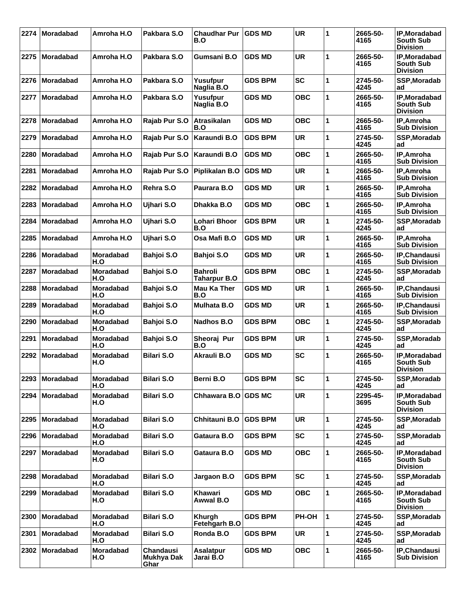| 2274 | <b>Moradabad</b> | Amroha H.O       | Pakbara S.O                            | <b>Chaudhar Pur</b><br>B.O     | <b>GDS MD</b>  | <b>UR</b>  | 1            | 2665-50-<br>4165 | IP, Moradabad<br>South Sub<br><b>Division</b>        |
|------|------------------|------------------|----------------------------------------|--------------------------------|----------------|------------|--------------|------------------|------------------------------------------------------|
| 2275 | <b>Moradabad</b> | Amroha H.O       | Pakbara S.O                            | Gumsani B.O                    | <b>GDS MD</b>  | <b>UR</b>  | 1            | 2665-50-<br>4165 | IP, Moradabad<br><b>South Sub</b><br><b>Division</b> |
| 2276 | Moradabad        | Amroha H.O       | Pakbara S.O                            | Yusufpur<br>Naglia B.O         | <b>GDS BPM</b> | <b>SC</b>  | 1            | 2745-50-<br>4245 | SSP, Moradab<br>ad                                   |
| 2277 | <b>Moradabad</b> | Amroha H.O       | Pakbara S.O                            | Yusufpur<br>Naglia B.O         | <b>GDS MD</b>  | <b>OBC</b> | 1            | 2665-50-<br>4165 | IP, Moradabad<br>South Sub<br><b>Division</b>        |
| 2278 | <b>Moradabad</b> | Amroha H.O       | Rajab Pur S.O                          | <b>Atrasikalan</b><br>B.O      | <b>GDS MD</b>  | <b>OBC</b> | 1            | 2665-50-<br>4165 | IP, Amroha<br><b>Sub Division</b>                    |
| 2279 | <b>Moradabad</b> | Amroha H.O       | Rajab Pur S.O                          | Karaundi B.O                   | <b>GDS BPM</b> | <b>UR</b>  | 1            | 2745-50-<br>4245 | SSP, Moradab<br>ad                                   |
| 2280 | <b>Moradabad</b> | Amroha H.O       | Rajab Pur S.O                          | Karaundi B.O                   | <b>GDS MD</b>  | <b>OBC</b> | 1            | 2665-50-<br>4165 | IP, Amroha<br><b>Sub Division</b>                    |
| 2281 | <b>Moradabad</b> | Amroha H.O       | Rajab Pur S.O                          | Piplikalan B.O                 | <b>GDS MD</b>  | <b>UR</b>  | 1            | 2665-50-<br>4165 | IP, Amroha<br><b>Sub Division</b>                    |
| 2282 | Moradabad        | Amroha H.O       | Rehra S.O                              | Paurara B.O                    | <b>GDS MD</b>  | <b>UR</b>  | 1            | 2665-50-<br>4165 | IP, Amroha<br><b>Sub Division</b>                    |
| 2283 | <b>Moradabad</b> | Amroha H.O       | Ujhari S.O                             | Dhakka B.O                     | <b>GDS MD</b>  | <b>OBC</b> | 1            | 2665-50-<br>4165 | IP, Amroha<br><b>Sub Division</b>                    |
| 2284 | Moradabad        | Amroha H.O       | Ujhari S.O                             | Lohari Bhoor<br>B.O            | <b>GDS BPM</b> | <b>UR</b>  | 1            | 2745-50-<br>4245 | SSP, Moradab<br>ad                                   |
| 2285 | <b>Moradabad</b> | Amroha H.O       | Ujhari S.O                             | Osa Mafi B.O                   | <b>GDS MD</b>  | <b>UR</b>  | 1            | 2665-50-<br>4165 | IP, Amroha<br><b>Sub Division</b>                    |
| 2286 | <b>Moradabad</b> | Moradabad<br>H.O | Bahjoi S.O                             | <b>Bahjoi S.O</b>              | <b>GDS MD</b>  | <b>UR</b>  | 1            | 2665-50-<br>4165 | IP, Chandausi<br><b>Sub Division</b>                 |
| 2287 | <b>Moradabad</b> | Moradabad<br>H.O | Bahjoi S.O                             | <b>Bahroli</b><br>Taharpur B.O | <b>GDS BPM</b> | <b>OBC</b> | 1            | 2745-50-<br>4245 | SSP, Moradab<br>ad                                   |
| 2288 | <b>Moradabad</b> | Moradabad<br>H.O | Bahjoi S.O                             | Mau Ka Ther<br>B.O             | <b>GDS MD</b>  | <b>UR</b>  | 1            | 2665-50-<br>4165 | IP, Chandausi<br><b>Sub Division</b>                 |
| 2289 | <b>Moradabad</b> | Moradabad<br>H.O | <b>Bahjoi S.O</b>                      | <b>Mulhata B.O</b>             | <b>GDS MD</b>  | <b>UR</b>  | 1            | 2665-50-<br>4165 | IP, Chandausi<br><b>Sub Division</b>                 |
| 2290 | <b>Moradabad</b> | Moradabad<br>H.O | Bahjoi S.O                             | Nadhos B.O                     | <b>GDS BPM</b> | <b>OBC</b> | 1            | 2745-50-<br>4245 | SSP, Moradab<br>ad                                   |
| 2291 | Moradabad        | Moradabad<br>H.O | <b>Bahjoi S.O</b>                      | Sheoraj Pur<br>B.O             | <b>GDS BPM</b> | <b>UR</b>  | 1            | 2745-50-<br>4245 | SSP, Moradab<br>ad                                   |
| 2292 | <b>Moradabad</b> | Moradabad<br>H.O | <b>Bilari S.O</b>                      | Akrauli B.O                    | <b>GDS MD</b>  | <b>SC</b>  | 1            | 2665-50-<br>4165 | IP, Moradabad<br>South Sub<br><b>Division</b>        |
| 2293 | Moradabad        | Moradabad<br>H.O | <b>Bilari S.O</b>                      | Berni B.O                      | <b>GDS BPM</b> | <b>SC</b>  | 1            | 2745-50-<br>4245 | SSP, Moradab<br>ad                                   |
| 2294 | Moradabad        | Moradabad<br>H.O | <b>Bilari S.O</b>                      | Chhawara B.O GDS MC            |                | <b>UR</b>  | 1            | 2295-45-<br>3695 | IP, Moradabad<br><b>South Sub</b><br><b>Division</b> |
| 2295 | Moradabad        | Moradabad<br>H.O | <b>Bilari S.O</b>                      | Chhitauni B.O                  | <b>GDS BPM</b> | <b>UR</b>  | 1            | 2745-50-<br>4245 | SSP, Moradab<br>ad                                   |
| 2296 | <b>Moradabad</b> | Moradabad<br>H.O | <b>Bilari S.O</b>                      | Gataura B.O                    | <b>GDS BPM</b> | <b>SC</b>  | $\mathbf{1}$ | 2745-50-<br>4245 | <b>SSP, Moradab</b><br>ad                            |
| 2297 | Moradabad        | Moradabad<br>H.O | <b>Bilari S.O</b>                      | Gataura B.O                    | <b>GDS MD</b>  | <b>OBC</b> | 1            | 2665-50-<br>4165 | IP, Moradabad<br>South Sub<br><b>Division</b>        |
| 2298 | <b>Moradabad</b> | Moradabad<br>H.O | <b>Bilari S.O</b>                      | Jargaon B.O                    | <b>GDS BPM</b> | <b>SC</b>  | 1            | 2745-50-<br>4245 | SSP, Moradab<br>ad                                   |
| 2299 | <b>Moradabad</b> | Moradabad<br>H.O | <b>Bilari S.O</b>                      | <b>Khawari</b><br>Awwal B.O    | <b>GDS MD</b>  | <b>OBC</b> | $\mathbf{1}$ | 2665-50-<br>4165 | IP, Moradabad<br><b>South Sub</b><br><b>Division</b> |
| 2300 | Moradabad        | Moradabad<br>H.O | <b>Bilari S.O</b>                      | Khurgh<br>Fetehgarh B.O        | <b>GDS BPM</b> | PH-OH      | $\mathbf{1}$ | 2745-50-<br>4245 | <b>SSP, Moradab</b><br>ad                            |
| 2301 | Moradabad        | Moradabad<br>H.O | <b>Bilari S.O</b>                      | Ronda B.O                      | <b>GDS BPM</b> | <b>UR</b>  | $\mathbf{1}$ | 2745-50-<br>4245 | SSP, Moradab<br>ad                                   |
| 2302 | Moradabad        | Moradabad<br>H.O | <b>Chandausi</b><br>Mukhya Dak<br>Ghar | <b>Asalatpur</b><br>Jarai B.O  | <b>GDS MD</b>  | <b>OBC</b> | 1            | 2665-50-<br>4165 | IP, Chandausi<br><b>Sub Division</b>                 |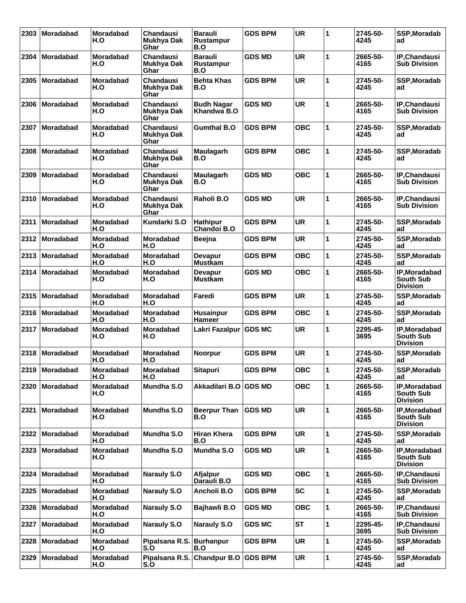| 2303 | Moradabad        | <b>Moradabad</b><br>H.O | <b>Chandausi</b><br>Mukhya Dak<br>Ghar | <b>Barauli</b><br>Rustampur<br>B.O        | <b>GDS BPM</b> | <b>UR</b>  | 1            | 2745-50-<br>4245 | SSP, Moradab<br>ad                                   |
|------|------------------|-------------------------|----------------------------------------|-------------------------------------------|----------------|------------|--------------|------------------|------------------------------------------------------|
| 2304 | <b>Moradabad</b> | Moradabad<br>H.O        | <b>Chandausi</b><br>Mukhya Dak<br>Ghar | <b>Barauli</b><br><b>Rustampur</b><br>B.O | <b>GDS MD</b>  | <b>UR</b>  | 1            | 2665-50-<br>4165 | IP, Chandausi<br><b>Sub Division</b>                 |
| 2305 | <b>Moradabad</b> | Moradabad<br>H.O        | <b>Chandausi</b><br>Mukhya Dak<br>Ghar | <b>Behta Khas</b><br>B.O                  | <b>GDS BPM</b> | <b>UR</b>  | 1            | 2745-50-<br>4245 | SSP, Moradab<br>ad                                   |
| 2306 | <b>Moradabad</b> | Moradabad<br>H.O        | Chandausi<br><b>Mukhya Dak</b><br>Ghar | <b>Budh Nagar</b><br>Khandwa B.O          | <b>GDS MD</b>  | <b>UR</b>  | 1            | 2665-50-<br>4165 | IP, Chandausi<br><b>Sub Division</b>                 |
| 2307 | <b>Moradabad</b> | Moradabad<br>H.O        | <b>Chandausi</b><br>Mukhya Dak<br>Ghar | <b>Gumthal B.O</b>                        | <b>GDS BPM</b> | <b>OBC</b> | 1            | 2745-50-<br>4245 | SSP, Moradab<br>ad                                   |
| 2308 | <b>Moradabad</b> | Moradabad<br>H.O        | <b>Chandausi</b><br>Mukhya Dak<br>Ghar | Maulagarh<br>B.O                          | <b>GDS BPM</b> | <b>OBC</b> | 1            | 2745-50-<br>4245 | SSP, Moradab<br>ad                                   |
| 2309 | <b>Moradabad</b> | <b>Moradabad</b><br>H.O | <b>Chandausi</b><br>Mukhya Dak<br>Ghar | Maulagarh<br>B.O                          | <b>GDS MD</b>  | <b>OBC</b> | 1            | 2665-50-<br>4165 | IP, Chandausi<br><b>Sub Division</b>                 |
| 2310 | <b>Moradabad</b> | Moradabad<br>H.O        | <b>Chandausi</b><br>Mukhya Dak<br>Ghar | Raholi B.O                                | <b>GDS MD</b>  | <b>UR</b>  | 1            | 2665-50-<br>4165 | IP, Chandausi<br><b>Sub Division</b>                 |
| 2311 | Moradabad        | Moradabad<br>H.O        | Kundarki S.O                           | <b>Hathipur</b><br>Chandoi B.O            | <b>GDS BPM</b> | <b>UR</b>  | 1            | 2745-50-<br>4245 | SSP, Moradab<br>ad                                   |
| 2312 | Moradabad        | <b>Moradabad</b><br>H.O | <b>Moradabad</b><br>H.O                | <b>Beejna</b>                             | <b>GDS BPM</b> | <b>UR</b>  | 1            | 2745-50-<br>4245 | SSP, Moradab<br>ad                                   |
| 2313 | <b>Moradabad</b> | Moradabad<br>H.O        | <b>Moradabad</b><br>H.O                | <b>Devapur</b><br><b>Mustkam</b>          | <b>GDS BPM</b> | <b>OBC</b> | 1            | 2745-50-<br>4245 | SSP, Moradab<br>ad                                   |
| 2314 | Moradabad        | Moradabad<br>H.O        | <b>Moradabad</b><br>H.O                | <b>Devapur</b><br><b>Mustkam</b>          | <b>GDS MD</b>  | <b>OBC</b> | 1            | 2665-50-<br>4165 | IP, Moradabad<br><b>South Sub</b><br><b>Division</b> |
| 2315 | Moradabad        | <b>Moradabad</b><br>H.O | <b>Moradabad</b><br>H.O                | Faredi                                    | <b>GDS BPM</b> | <b>UR</b>  | 1            | 2745-50-<br>4245 | SSP, Moradab<br>ad                                   |
| 2316 | <b>Moradabad</b> | Moradabad<br>H.O        | <b>Moradabad</b><br>H.O                | <b>Husainpur</b><br><b>Hameer</b>         | <b>GDS BPM</b> | <b>OBC</b> | 1            | 2745-50-<br>4245 | SSP, Moradab<br>ad                                   |
| 2317 | <b>Moradabad</b> | <b>Moradabad</b><br>H.O | <b>Moradabad</b><br>H.O                | Lakri Fazalpur                            | <b>GDS MC</b>  | <b>UR</b>  | 1            | 2295-45-<br>3695 | IP, Moradabad<br><b>South Sub</b><br><b>Division</b> |
| 2318 | Moradabad        | <b>Moradabad</b><br>H.O | Moradabad<br>H.O                       | <b>Noorpur</b>                            | <b>GDS BPM</b> | <b>UR</b>  | 1            | 2745-50-<br>4245 | SSP, Moradab<br>ad                                   |
|      | 2319 Moradabad   | Moradabad<br>H.O        | Moradabad<br>H.O                       | <b>Sitapuri</b>                           | <b>GDS BPM</b> | <b>OBC</b> | 1            | 2745-50-<br>4245 | SSP, Moradab<br>ad                                   |
| 2320 | Moradabad        | Moradabad<br>H.O        | Mundha S.O                             | Akkadilari B.O GDS MD                     |                | <b>OBC</b> | $\mathbf{1}$ | 2665-50-<br>4165 | IP, Moradabad<br>South Sub<br><b>Division</b>        |
| 2321 | Moradabad        | <b>Moradabad</b><br>H.O | Mundha S.O                             | <b>Beerpur Than</b><br>B.O                | <b>GDS MD</b>  | <b>UR</b>  | 1            | 2665-50-<br>4165 | IP, Moradabad<br><b>South Sub</b><br><b>Division</b> |
| 2322 | Moradabad        | Moradabad<br>H.O        | Mundha S.O                             | <b>Hiran Khera</b><br>B.O                 | <b>GDS BPM</b> | <b>UR</b>  | 1            | 2745-50-<br>4245 | SSP, Moradab<br>ad                                   |
| 2323 | Moradabad        | Moradabad<br>H.O        | Mundha S.O                             | Mundha S.O                                | <b>GDS MD</b>  | <b>UR</b>  | 1            | 2665-50-<br>4165 | IP, Moradabad<br><b>South Sub</b><br><b>Division</b> |
| 2324 | Moradabad        | Moradabad<br>H.O        | <b>Narauly S.O</b>                     | Afjalpur<br>Darauli B.O                   | <b>GDS MD</b>  | <b>OBC</b> | 1            | 2665-50-<br>4165 | IP, Chandausi<br><b>Sub Division</b>                 |
| 2325 | <b>Moradabad</b> | Moradabad<br>H.O        | <b>Narauly S.O</b>                     | Ancholi B.O                               | <b>GDS BPM</b> | <b>SC</b>  | $\mathbf{1}$ | 2745-50-<br>4245 | SSP, Moradab<br>ad                                   |
| 2326 | Moradabad        | Moradabad<br>H.O        | <b>Narauly S.O</b>                     | Bajhawli B.O                              | <b>GDS MD</b>  | <b>OBC</b> | $\mathbf{1}$ | 2665-50-<br>4165 | IP, Chandausi<br><b>Sub Division</b>                 |
| 2327 | <b>Moradabad</b> | Moradabad<br>H.O        | <b>Narauly S.O</b>                     | <b>Narauly S.O</b>                        | <b>GDS MC</b>  | <b>ST</b>  | 1            | 2295-45-<br>3695 | IP, Chandausi<br><b>Sub Division</b>                 |
| 2328 | Moradabad        | Moradabad<br>H.O        | Pipalsana R.S.<br>S.O                  | <b>Burhanpur</b><br>B.O                   | <b>GDS BPM</b> | <b>UR</b>  | 1            | 2745-50-<br>4245 | SSP, Moradab<br>ad                                   |
| 2329 | Moradabad        | Moradabad<br>H.O        | Pipalsana R.S.<br>S.O                  | <b>Chandpur B.O</b>                       | <b>GDS BPM</b> | <b>UR</b>  | 1            | 2745-50-<br>4245 | SSP, Moradab<br>ad                                   |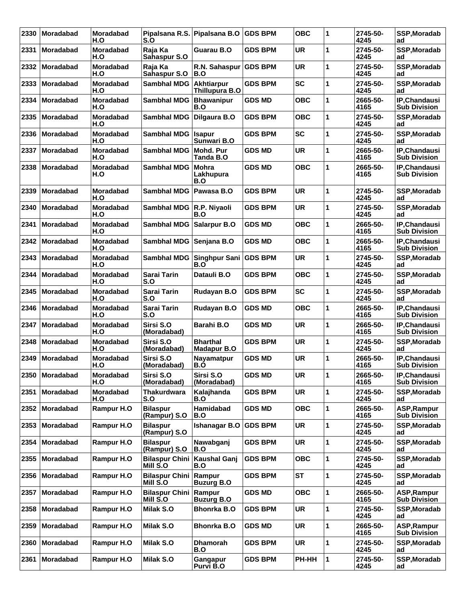| 2330 | Moradabad        | <b>Moradabad</b><br>H.O | Pipalsana R.S.<br>S.O             | Pipalsana B.O                       | <b>GDS BPM</b> | <b>OBC</b> | 1 | 2745-50-<br>4245 | SSP, Moradab<br>ad                         |
|------|------------------|-------------------------|-----------------------------------|-------------------------------------|----------------|------------|---|------------------|--------------------------------------------|
| 2331 | <b>Moradabad</b> | Moradabad<br>H.O        | Raja Ka<br>Sahaspur S.O           | Guarau B.O                          | <b>GDS BPM</b> | <b>UR</b>  | 1 | 2745-50-<br>4245 | SSP, Moradab<br>ad                         |
| 2332 | Moradabad        | Moradabad<br>H.O        | Raja Ka<br>Sahaspur S.O           | R.N. Sahaspur<br>B.O                | <b>GDS BPM</b> | <b>UR</b>  | 1 | 2745-50-<br>4245 | <b>SSP, Moradab</b><br>ad                  |
| 2333 | <b>Moradabad</b> | <b>Moradabad</b><br>H.O | <b>Sambhal MDG</b>                | <b>Akhtiarpur</b><br>Thillupura B.O | <b>GDS BPM</b> | <b>SC</b>  | 1 | 2745-50-<br>4245 | SSP, Moradab<br>ad                         |
| 2334 | <b>Moradabad</b> | Moradabad<br>H.O        | <b>Sambhal MDG</b>                | <b>Bhawanipur</b><br>B.O            | <b>GDS MD</b>  | <b>OBC</b> | 1 | 2665-50-<br>4165 | IP, Chandausi<br><b>Sub Division</b>       |
| 2335 | <b>Moradabad</b> | Moradabad<br>H.O        | <b>Sambhal MDG</b>                | Dilgaura B.O                        | <b>GDS BPM</b> | <b>OBC</b> | 1 | 2745-50-<br>4245 | SSP, Moradab<br>ad                         |
| 2336 | <b>Moradabad</b> | Moradabad<br>H.O        | <b>Sambhal MDG</b>                | <b>Isapur</b><br>Sunwari B.O        | <b>GDS BPM</b> | <b>SC</b>  | 1 | 2745-50-<br>4245 | SSP, Moradab<br>ad                         |
| 2337 | <b>Moradabad</b> | Moradabad<br>H.O        | <b>Sambhal MDG</b>                | Mohd. Pur<br>Tanda B.O              | <b>GDS MD</b>  | <b>UR</b>  | 1 | 2665-50-<br>4165 | IP, Chandausi<br><b>Sub Division</b>       |
| 2338 | <b>Moradabad</b> | Moradabad<br>H.O        | <b>Sambhal MDG</b>                | <b>Mohra</b><br>Lakhupura<br>B.O    | <b>GDS MD</b>  | <b>OBC</b> | 1 | 2665-50-<br>4165 | IP, Chandausi<br><b>Sub Division</b>       |
| 2339 | Moradabad        | Moradabad<br>H.O        | <b>Sambhal MDG</b>                | Pawasa B.O                          | <b>GDS BPM</b> | <b>UR</b>  | 1 | 2745-50-<br>4245 | SSP, Moradab<br>ad                         |
| 2340 | Moradabad        | Moradabad<br>H.O        | <b>Sambhal MDG</b>                | R.P. Niyaoli<br>B.O                 | <b>GDS BPM</b> | <b>UR</b>  | 1 | 2745-50-<br>4245 | SSP, Moradab<br>ad                         |
| 2341 | <b>Moradabad</b> | Moradabad<br>H.O        | <b>Sambhal MDG</b>                | <b>Salarpur B.O</b>                 | <b>GDS MD</b>  | <b>OBC</b> | 1 | 2665-50-<br>4165 | IP, Chandausi<br><b>Sub Division</b>       |
| 2342 | <b>Moradabad</b> | Moradabad<br>H.O        | <b>Sambhal MDG</b>                | Senjana B.O                         | <b>GDS MD</b>  | <b>OBC</b> | 1 | 2665-50-<br>4165 | <b>IP.Chandausi</b><br><b>Sub Division</b> |
| 2343 | <b>Moradabad</b> | Moradabad<br>H.O        | <b>Sambhal MDG</b>                | <b>Singhpur Sani</b><br>B.O         | <b>GDS BPM</b> | <b>UR</b>  | 1 | 2745-50-<br>4245 | SSP, Moradab<br>ad                         |
| 2344 | <b>Moradabad</b> | <b>Moradabad</b><br>H.O | <b>Sarai Tarin</b><br>S.O         | Datauli B.O                         | <b>GDS BPM</b> | <b>OBC</b> | 1 | 2745-50-<br>4245 | SSP, Moradab<br>ad                         |
| 2345 | <b>Moradabad</b> | Moradabad<br>H.O        | Sarai Tarin<br>S.O                | Rudayan B.O                         | <b>GDS BPM</b> | <b>SC</b>  | 1 | 2745-50-<br>4245 | SSP, Moradab<br>ad                         |
| 2346 | <b>Moradabad</b> | Moradabad<br>H.O        | <b>Sarai Tarin</b><br>S.O         | Rudayan B.O                         | <b>GDS MD</b>  | <b>OBC</b> | 1 | 2665-50-<br>4165 | IP, Chandausi<br><b>Sub Division</b>       |
| 2347 | <b>Moradabad</b> | Moradabad<br>H.O        | Sirsi S.O<br>(Moradabad)          | Barahi B.O                          | <b>GDS MD</b>  | <b>UR</b>  | 1 | 2665-50-<br>4165 | <b>IP.Chandausi</b><br><b>Sub Division</b> |
| 2348 | <b>Moradabad</b> | Moradabad<br>H.O        | Sirsi S.O<br>(Moradabad)          | <b>Bharthal</b><br>Madapur B.O      | <b>GDS BPM</b> | <b>UR</b>  | 1 | 2745-50-<br>4245 | SSP, Moradab<br>ad                         |
| 2349 | <b>Moradabad</b> | Moradabad<br>H.O        | Sirsi S.O<br>(Moradabad)          | Nayamatpur<br>B.O                   | <b>GDS MD</b>  | <b>UR</b>  | 1 | 2665-50-<br>4165 | IP, Chandausi<br><b>Sub Division</b>       |
| 2350 | Moradabad        | Moradabad<br>H.O        | Sirsi S.O<br>(Moradabad)          | Sirsi S.O<br>(Moradabad)            | <b>GDS MD</b>  | <b>UR</b>  | 1 | 2665-50-<br>4165 | IP, Chandausi<br><b>Sub Division</b>       |
| 2351 | Moradabad        | Moradabad<br>H.O        | <b>Thakurdwara</b><br>S.O         | Kalajhanda<br>B.O                   | <b>GDS BPM</b> | <b>UR</b>  | 1 | 2745-50-<br>4245 | SSP, Moradab<br>ad                         |
| 2352 | Moradabad        | Rampur H.O              | <b>Bilaspur</b><br>(Rampur) S.O   | Hamidabad<br>B.O                    | <b>GDS MD</b>  | <b>OBC</b> | 1 | 2665-50-<br>4165 | ASP, Rampur<br><b>Sub Division</b>         |
| 2353 | <b>Moradabad</b> | Rampur H.O              | <b>Bilaspur</b><br>(Rampur) S.O   | Ishanagar B.O                       | <b>GDS BPM</b> | <b>UR</b>  | 1 | 2745-50-<br>4245 | <b>SSP, Moradab</b><br>ad                  |
| 2354 | Moradabad        | Rampur H.O              | <b>Bilaspur</b><br>(Rampur) S.O   | Nawabganj<br>B.O                    | <b>GDS BPM</b> | <b>UR</b>  | 1 | 2745-50-<br>4245 | SSP, Moradab<br>ad                         |
| 2355 | Moradabad        | Rampur H.O              | <b>Bilaspur Chini</b><br>Mill S.O | <b>Kaushal Ganj</b><br>B.O          | <b>GDS BPM</b> | <b>OBC</b> | 1 | 2745-50-<br>4245 | SSP, Moradab<br>ad                         |
| 2356 | Moradabad        | Rampur H.O              | <b>Bilaspur Chini</b><br>Mill S.O | Rampur<br><b>Buzurg B.O</b>         | <b>GDS BPM</b> | <b>ST</b>  | 1 | 2745-50-<br>4245 | SSP, Moradab<br>ad                         |
| 2357 | Moradabad        | Rampur H.O              | <b>Bilaspur Chini</b><br>Mill S.O | Rampur<br><b>Buzurg B.O</b>         | <b>GDS MD</b>  | <b>OBC</b> | 1 | 2665-50-<br>4165 | ASP, Rampur<br><b>Sub Division</b>         |
| 2358 | <b>Moradabad</b> | Rampur H.O              | Milak S.O                         | <b>Bhonrka B.O</b>                  | <b>GDS BPM</b> | <b>UR</b>  | 1 | 2745-50-<br>4245 | SSP, Moradab<br>ad                         |
| 2359 | <b>Moradabad</b> | Rampur H.O              | Milak S.O                         | <b>Bhonrka B.O</b>                  | <b>GDS MD</b>  | <b>UR</b>  | 1 | 2665-50-<br>4165 | ASP, Rampur<br><b>Sub Division</b>         |
| 2360 | <b>Moradabad</b> | Rampur H.O              | Milak S.O                         | <b>Dhamorah</b><br>B.O              | <b>GDS BPM</b> | <b>UR</b>  | 1 | 2745-50-<br>4245 | SSP, Moradab<br>ad                         |
| 2361 | Moradabad        | Rampur H.O              | Milak S.O                         | Gangapur<br>Purvi B.O               | <b>GDS BPM</b> | PH-HH      | 1 | 2745-50-<br>4245 | SSP, Moradab<br>ad                         |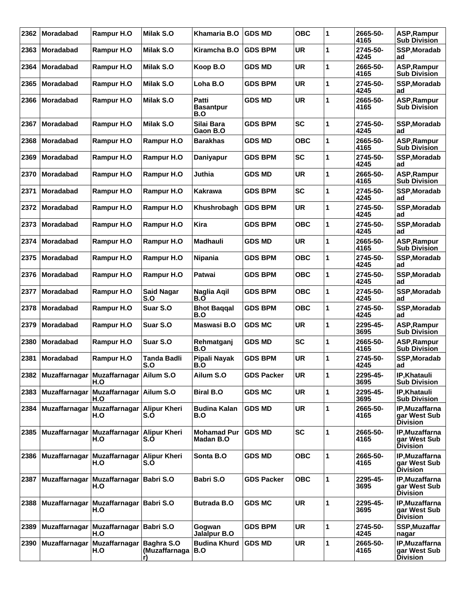| 2362 | <b>Moradabad</b>            | Rampur H.O                                          | Milak S.O                   | Khamaria B.O                           | <b>GDS MD</b>     | <b>OBC</b> | 1 | 2665-50-<br>4165 | ASP, Rampur<br>Sub Division                       |
|------|-----------------------------|-----------------------------------------------------|-----------------------------|----------------------------------------|-------------------|------------|---|------------------|---------------------------------------------------|
| 2363 | <b>Moradabad</b>            | Rampur H.O                                          | Milak S.O                   | Kiramcha B.O                           | <b>GDS BPM</b>    | <b>UR</b>  | 1 | 2745-50-<br>4245 | SSP, Moradab<br>ad                                |
| 2364 | Moradabad                   | Rampur H.O                                          | Milak S.O                   | Koop B.O                               | <b>GDS MD</b>     | <b>UR</b>  | 1 | 2665-50-<br>4165 | ASP, Rampur<br><b>Sub Division</b>                |
| 2365 | Moradabad                   | Rampur H.O                                          | Milak S.O                   | Loha B.O                               | GDS BPM           | <b>UR</b>  | 1 | 2745-50-<br>4245 | SSP, Moradab<br>ad                                |
| 2366 | <b>Moradabad</b>            | Rampur H.O                                          | Milak S.O                   | Patti<br><b>Basantpur</b><br>B.O       | <b>GDS MD</b>     | <b>UR</b>  | 1 | 2665-50-<br>4165 | ASP,Rampur<br>Sub Division                        |
| 2367 | <b>Moradabad</b>            | Rampur H.O                                          | <b>Milak S.O</b>            | Silai Bara<br>Gaon B.O                 | <b>GDS BPM</b>    | <b>SC</b>  | 1 | 2745-50-<br>4245 | SSP, Moradab<br>ad                                |
| 2368 | Moradabad                   | Rampur H.O                                          | Rampur H.O                  | <b>Barakhas</b>                        | <b>GDS MD</b>     | <b>OBC</b> | 1 | 2665-50-<br>4165 | ASP, Rampur<br><b>Sub Division</b>                |
| 2369 | Moradabad                   | Rampur H.O                                          | Rampur H.O                  | Daniyapur                              | GDS BPM           | <b>SC</b>  | 1 | 2745-50-<br>4245 | SSP, Moradab<br>ad                                |
| 2370 | Moradabad                   | Rampur H.O                                          | Rampur H.O                  | Juthia                                 | <b>GDS MD</b>     | <b>UR</b>  | 1 | 2665-50-<br>4165 | ASP, Rampur<br><b>Sub Division</b>                |
| 2371 | Moradabad                   | Rampur H.O                                          | Rampur H.O                  | Kakrawa                                | <b>GDS BPM</b>    | <b>SC</b>  | 1 | 2745-50-<br>4245 | SSP, Moradab<br>ad                                |
| 2372 | Moradabad                   | Rampur H.O                                          | Rampur H.O                  | Khushrobagh                            | <b>GDS BPM</b>    | <b>UR</b>  | 1 | 2745-50-<br>4245 | SSP, Moradab<br>ad                                |
| 2373 | Moradabad                   | Rampur H.O                                          | Rampur H.O                  | <b>Kira</b>                            | GDS BPM           | <b>OBC</b> | 1 | 2745-50-<br>4245 | SSP, Moradab<br>ad                                |
| 2374 | Moradabad                   | Rampur H.O                                          | Rampur H.O                  | Madhauli                               | <b>GDS MD</b>     | <b>UR</b>  | 1 | 2665-50-<br>4165 | ASP, Rampur<br><b>Sub Division</b>                |
| 2375 | Moradabad                   | Rampur H.O                                          | Rampur H.O                  | <b>Nipania</b>                         | GDS BPM           | овс        | 1 | 2745-50-<br>4245 | SSP, Moradab<br>ad                                |
| 2376 | <b>Moradabad</b>            | Rampur H.O                                          | Rampur H.O                  | Patwai                                 | <b>GDS BPM</b>    | <b>OBC</b> | 1 | 2745-50-<br>4245 | SSP, Moradab<br>ad                                |
| 2377 | Moradabad                   | Rampur H.O                                          | <b>Said Nagar</b><br>S.O    | Naglia Aqil<br>B.O                     | <b>GDS BPM</b>    | <b>OBC</b> | 1 | 2745-50-<br>4245 | SSP, Moradab<br>ad                                |
| 2378 | Moradabad                   | Rampur H.O                                          | Suar S.O                    | <b>Bhot Baqqal</b><br>B.O              | <b>GDS BPM</b>    | <b>OBC</b> | 1 | 2745-50-<br>4245 | SSP, Moradab<br>ad                                |
| 2379 | Moradabad                   | Rampur H.O                                          | Suar S.O                    | Maswasi B.O                            | <b>GDS MC</b>     | UR         | 1 | 2295-45-<br>3695 | <b>ASP, Rampur</b><br><b>Sub Division</b>         |
| 2380 | <b>Moradabad</b>            | Rampur H.O                                          | Suar S.O                    | Rehmatganj<br>B.O                      | <b>GDS MD</b>     | <b>SC</b>  | 1 | 2665-50-<br>4165 | ASP, Rampur<br><b>Sub Division</b>                |
| 2381 | <b>Moradabad</b>            | Rampur H.O                                          | Tanda Badli<br>S.O          | Pipali Nayak<br>B.O                    | GDS BPM           | <b>UR</b>  | 1 | 2745-50-<br>4245 | SSP, Moradab<br>ad                                |
| 2382 |                             | Muzaffarnagar Muzaffarnagar Ailum S.O<br>H.O        |                             | Ailum S.O                              | <b>GDS Packer</b> | <b>UR</b>  | 1 | 2295-45-<br>3695 | IP, Khatauli<br><b>Sub Division</b>               |
| 2383 |                             | Muzaffarnagar Muzaffarnagar Ailum S.O<br>H.O        |                             | <b>Biral B.O</b>                       | <b>GDS MC</b>     | <b>UR</b>  | 1 | 2295-45-<br>3695 | IP, Khatauli<br><b>Sub Division</b>               |
| 2384 | Muzaffarnagar               | Muzaffarnagar<br>H.O                                | <b>Alipur Kheri</b><br>S.O  | <b>Budina Kalan</b><br>B.O             | <b>GDS MD</b>     | <b>UR</b>  | 1 | 2665-50-<br>4165 | IP, Muzaffarna<br>gar West Sub<br><b>Division</b> |
| 2385 | Muzaffarnagar               | Muzaffarnagar Alipur Kheri<br>H.O                   | S.O                         | <b>Mohamad Pur</b><br><b>Madan B.O</b> | <b>GDS MD</b>     | <b>SC</b>  | 1 | 2665-50-<br>4165 | IP, Muzaffarna<br>gar West Sub<br><b>Division</b> |
| 2386 |                             | Muzaffarnagar   Muzaffarnagar   Alipur Kheri<br>H.O | S.O                         | Sonta B.O                              | <b>GDS MD</b>     | <b>OBC</b> | 1 | 2665-50-<br>4165 | IP,Muzaffarna<br>gar West Sub<br>Division         |
| 2387 | Muzaffarnagar Muzaffarnagar | H.O                                                 | Babri S.O                   | Babri S.O                              | <b>GDS Packer</b> | <b>OBC</b> | 1 | 2295-45-<br>3695 | IP, Muzaffarna<br>gar West Sub<br>Division        |
| 2388 | Muzaffarnagar               | Muzaffarnagar Babri S.O<br>H.O                      |                             | <b>Butrada B.O</b>                     | <b>GDS MC</b>     | <b>UR</b>  | 1 | 2295-45-<br>3695 | IP, Muzaffarna<br>gar West Sub<br><b>Division</b> |
| 2389 | Muzaffarnagar               | Muzaffarnagar<br>H.O                                | Babri S.O                   | Gogwan<br>Jalalpur B.O                 | <b>GDS BPM</b>    | <b>UR</b>  | 1 | 2745-50-<br>4245 | SSP, Muzaffar<br>nagar                            |
| 2390 | Muzaffarnagar               | Muzaffarnagar<br>H.O                                | Baghra S.O<br>(Muzaffarnaga | <b>Budina Khurd</b><br>B.O             | <b>GDS MD</b>     | <b>UR</b>  | 1 | 2665-50-<br>4165 | IP,Muzaffarna<br>gar West Sub<br>Division         |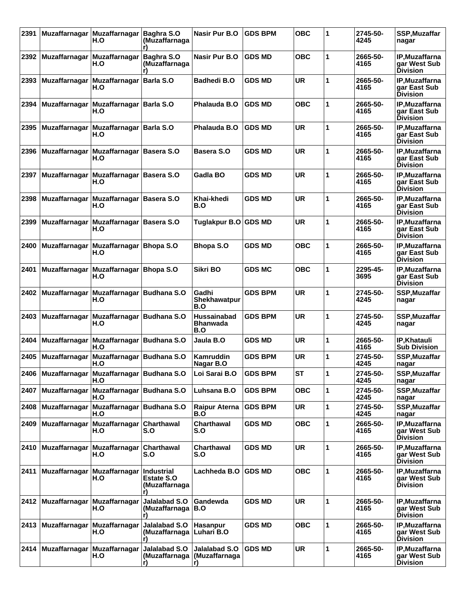| 2391 | <b>Muzaffarnagar</b>        | Muzaffarnagar<br>H.O                                | Baghra S.O<br>(Muzaffarnaga                      | <b>Nasir Pur B.O</b>                         | <b>GDS BPM</b> | <b>OBC</b> | 1 | 2745-50-<br>4245 | <b>SSP.Muzaffar</b><br>nagar                      |
|------|-----------------------------|-----------------------------------------------------|--------------------------------------------------|----------------------------------------------|----------------|------------|---|------------------|---------------------------------------------------|
| 2392 | Muzaffarnagar Muzaffarnagar | H.O                                                 | Baghra S.O<br>(Muzaffarnaga                      | Nasir Pur B.O                                | <b>GDS MD</b>  | OBC        | 1 | 2665-50-<br>4165 | IP,Muzaffarna<br>gar West Sub<br><b>Division</b>  |
| 2393 |                             | Muzaffarnagar Muzaffarnagar<br>H.O                  | <b>Barla S.O</b>                                 | <b>Badhedi B.O</b>                           | <b>GDS MD</b>  | <b>UR</b>  | 1 | 2665-50-<br>4165 | IP, Muzaffarna<br>gar East Sub<br>Division        |
| 2394 |                             | Muzaffarnagar Muzaffarnagar Barla S.O<br>H.O        |                                                  | Phalauda B.O                                 | <b>GDS MD</b>  | <b>OBC</b> | 1 | 2665-50-<br>4165 | IP, Muzaffarna<br>gar East Sub<br>Division        |
| 2395 |                             | Muzaffarnagar Muzaffarnagar<br>H.O                  | <b>Barla S.O</b>                                 | Phalauda B.O                                 | <b>GDS MD</b>  | <b>UR</b>  | 1 | 2665-50-<br>4165 | IP,Muzaffarna<br>gar East Sub<br>Division         |
| 2396 | Muzaffarnagar               | Muzaffarnagar Basera S.O<br>H.O                     |                                                  | Basera S.O                                   | <b>GDS MD</b>  | <b>UR</b>  | 1 | 2665-50-<br>4165 | IP, Muzaffarna<br>gar East Sub<br><b>Division</b> |
| 2397 | Muzaffarnagar               | Muzaffarnagar<br>H.O                                | <b>Basera S.O</b>                                | Gadla BO                                     | <b>GDS MD</b>  | <b>UR</b>  | 1 | 2665-50-<br>4165 | IP,Muzaffarna<br>gar East Sub<br><b>Division</b>  |
| 2398 | Muzaffarnagar               | Muzaffarnagar Basera S.O<br>H.O                     |                                                  | Khai-khedi<br>B.O                            | <b>GDS MD</b>  | <b>UR</b>  | 1 | 2665-50-<br>4165 | IP,Muzaffarna<br>gar East Sub<br><b>Division</b>  |
| 2399 |                             | Muzaffarnagar   Muzaffarnagar   Basera S.O<br>H.O   |                                                  | Tuglakpur B.O GDS MD                         |                | <b>UR</b>  | 1 | 2665-50-<br>4165 | IP, Muzaffarna<br>gar East Sub<br>Division        |
| 2400 |                             | Muzaffarnagar Muzaffarnagar Bhopa S.O<br>H.O        |                                                  | Bhopa S.O                                    | <b>GDS MD</b>  | <b>OBC</b> | 1 | 2665-50-<br>4165 | <b>IP.Muzaffarna</b><br>gar East Sub<br>Division  |
| 2401 |                             | Muzaffarnagar Muzaffarnagar   Bhopa S.O<br>H.O      |                                                  | Sikri BO                                     | <b>GDS MC</b>  | <b>OBC</b> | 1 | 2295-45-<br>3695 | IP, Muzaffarna<br>gar East Sub<br><b>Division</b> |
| 2402 | <b>Muzaffarnagar</b>        | Muzaffarnagar<br>H.O                                | <b>Budhana S.O</b>                               | Gadhi<br>Shekhawatpur<br>B.O                 | <b>GDS BPM</b> | <b>UR</b>  | 1 | 2745-50-<br>4245 | SSP, Muzaffar<br>nagar                            |
| 2403 | Muzaffarnagar               | Muzaffarnagar<br>H.O                                | <b>Budhana S.O</b>                               | <b>Hussainabad</b><br><b>Bhanwada</b><br>B.O | <b>GDS BPM</b> | <b>UR</b>  | 1 | 2745-50-<br>4245 | SSP, Muzaffar<br>nagar                            |
| 2404 |                             | Muzaffarnagar   Muzaffarnagar   Budhana S.O<br>H.O  |                                                  | Jaula B.O                                    | <b>GDS MD</b>  | <b>UR</b>  | 1 | 2665-50-<br>4165 | <b>IP, Khatauli</b><br><b>Sub Division</b>        |
| 2405 | Muzaffarnagar               | Muzaffarnagar Budhana S.O<br>H.O                    |                                                  | Kamruddin<br>Nagar B.O                       | <b>GDS BPM</b> | <b>UR</b>  | 1 | 2745-50-<br>4245 | SSP, Muzaffar<br>nagar                            |
|      |                             | 2406 Muzaffarnagar Muzaffarnagar Budhana S.O<br>H.O |                                                  | Loi Sarai B.O                                | <b>GDS BPM</b> | <b>ST</b>  | 1 | 2745-50-<br>4245 | SSP, Muzaffar<br>nagar                            |
| 2407 | Muzaffarnagar               | Muzaffarnagar Budhana S.O<br>H.O                    |                                                  | Luhsana B.O                                  | <b>GDS BPM</b> | <b>OBC</b> | 1 | 2745-50-<br>4245 | SSP, Muzaffar<br>nagar                            |
| 2408 | <b>Muzaffarnagar</b>        | Muzaffarnagar Budhana S.O<br>H.O                    |                                                  | <b>Raipur Aterna</b><br>B.O                  | <b>GDS BPM</b> | <b>UR</b>  | 1 | 2745-50-<br>4245 | <b>SSP, Muzaffar</b><br>nagar                     |
| 2409 | <b>Muzaffarnagar</b>        | Muzaffarnagar Charthawal<br>H.O                     | S.O                                              | Charthawal<br>S.O                            | <b>GDS MD</b>  | <b>OBC</b> | 1 | 2665-50-<br>4165 | IP, Muzaffarna<br>gar West Sub<br>Division        |
| 2410 |                             | Muzaffarnagar Muzaffarnagar<br>H.O                  | <b>Charthawal</b><br>S.O                         | Charthawal<br>S.O                            | <b>GDS MD</b>  | <b>UR</b>  | 1 | 2665-50-<br>4165 | IP, Muzaffarna<br>aar West Sub<br>Division        |
| 2411 | Muzaffarnagar Muzaffarnagar | H.O                                                 | Industrial<br><b>Estate S.O</b><br>(Muzaffarnaga | Lachheda B.O                                 | <b>GDS MD</b>  | <b>OBC</b> | 1 | 2665-50-<br>4165 | IP, Muzaffarna<br>gar West Sub<br><b>Division</b> |
| 2412 | Muzaffarnagar Muzaffarnagar | H.O                                                 | <b>Jalalabad S.O</b><br>(Muzaffarnaga            | Gandewda<br> B.O                             | <b>GDS MD</b>  | <b>UR</b>  | 1 | 2665-50-<br>4165 | IP,Muzaffarna<br>gar West Sub<br>Division         |
| 2413 | Muzaffarnagar Muzaffarnagar | H.O                                                 | <b>Jalalabad S.O</b><br>(Muzaffarnaga            | Hasanpur<br>Luhari B.O                       | <b>GDS MD</b>  | <b>OBC</b> | 1 | 2665-50-<br>4165 | IP,Muzaffarna<br>gar West Sub<br>Division         |
| 2414 | Muzaffarnagar               | Muzaffarnagar<br>H.O                                | Jalalabad S.O<br>(Muzaffarnaga<br>r)             | Jalalabad S.O<br>Kuzaffarnaga)<br>r)         | <b>GDS MD</b>  | <b>UR</b>  | 1 | 2665-50-<br>4165 | IP,Muzaffarna<br>gar West Sub<br><b>Division</b>  |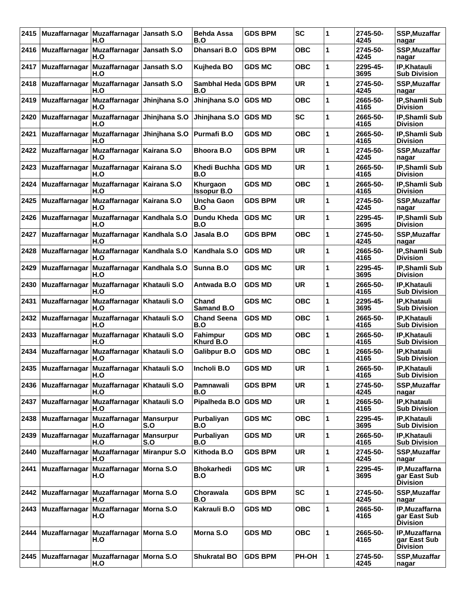| 2415 | Muzaffarnagar                                 | Muzaffarnagar Jansath S.O<br>H.O                 |                  | <b>Behda Assa</b><br>B.O       | <b>GDS BPM</b> | <b>SC</b>  | 1 | 2745-50-<br>4245 | SSP, Muzaffar<br>nagar                            |
|------|-----------------------------------------------|--------------------------------------------------|------------------|--------------------------------|----------------|------------|---|------------------|---------------------------------------------------|
| 2416 | Muzaffarnagar                                 | Muzaffarnagar Jansath S.O<br>H.O                 |                  | Dhansari B.O                   | <b>GDS BPM</b> | <b>OBC</b> | 1 | 2745-50-<br>4245 | SSP, Muzaffar<br>nagar                            |
| 2417 | Muzaffarnagar                                 | Muzaffarnagar Jansath S.O<br>H.O                 |                  | Kujheda BO                     | <b>GDS MC</b>  | <b>OBC</b> | 1 | 2295-45-<br>3695 | IP, Khatauli<br><b>Sub Division</b>               |
| 2418 | Muzaffarnagar                                 | Muzaffarnagar Jansath S.O<br>H.O                 |                  | Sambhal Heda GDS BPM<br>B.O    |                | <b>UR</b>  | 1 | 2745-50-<br>4245 | SSP, Muzaffar<br>nagar                            |
| 2419 | Muzaffarnagar                                 | Muzaffarnagar Jhinjhana S.O<br>H.O               |                  | Jhinjhana S.O                  | <b>GDS MD</b>  | <b>OBC</b> | 1 | 2665-50-<br>4165 | IP, Shamli Sub<br><b>Division</b>                 |
| 2420 | Muzaffarnagar                                 | Muzaffarnagar Jhinjhana S.O<br>H.O               |                  | Jhinjhana S.O                  | <b>GDS MD</b>  | <b>SC</b>  | 1 | 2665-50-<br>4165 | IP, Shamli Sub<br><b>Division</b>                 |
| 2421 | Muzaffarnagar                                 | Muzaffarnagar Jhinjhana S.O<br>H.O               |                  | <b>Purmafi B.O</b>             | <b>GDS MD</b>  | <b>OBC</b> | 1 | 2665-50-<br>4165 | IP, Shamli Sub<br><b>Division</b>                 |
| 2422 | Muzaffarnagar                                 | Muzaffarnagar   Kairana S.O<br>H.O               |                  | <b>Bhoora B.O</b>              | <b>GDS BPM</b> | <b>UR</b>  | 1 | 2745-50-<br>4245 | SSP, Muzaffar<br>nagar                            |
| 2423 | Muzaffarnagar                                 | Muzaffarnagar   Kairana S.O<br>H.O               |                  | Khedi Buchha<br>B.O            | <b>IGDS MD</b> | <b>UR</b>  | 1 | 2665-50-<br>4165 | IP, Shamli Sub<br><b>Division</b>                 |
| 2424 | Muzaffarnagar                                 | Muzaffarnagar   Kairana S.O<br>H.O               |                  | Khurgaon<br><b>Issopur B.O</b> | <b>GDS MD</b>  | <b>OBC</b> | 1 | 2665-50-<br>4165 | IP, Shamli Sub<br><b>Division</b>                 |
| 2425 | Muzaffarnagar                                 | Muzaffarnagar   Kairana S.O<br>H.O               |                  | <b>Uncha Gaon</b><br>B.O       | <b>GDS BPM</b> | <b>UR</b>  | 1 | 2745-50-<br>4245 | SSP, Muzaffar<br>nagar                            |
| 2426 | Muzaffarnagar                                 | Muzaffarnagar   Kandhala S.O<br>H.O              |                  | Dundu Kheda<br>B.O             | <b>GDS MC</b>  | <b>UR</b>  | 1 | 2295-45-<br>3695 | IP, Shamli Sub<br><b>Division</b>                 |
| 2427 | Muzaffarnagar                                 | Muzaffarnagar   Kandhala S.O<br>H.O              |                  | Jasala B.O                     | <b>GDS BPM</b> | <b>OBC</b> | 1 | 2745-50-<br>4245 | <b>SSP, Muzaffar</b><br>nagar                     |
| 2428 | Muzaffarnagar                                 | Muzaffarnagar   Kandhala S.O<br>H.O              |                  | Kandhala S.O                   | <b>GDS MD</b>  | UR         | 1 | 2665-50-<br>4165 | IP, Shamli Sub<br><b>Division</b>                 |
| 2429 | Muzaffarnagar                                 | Muzaffarnagar   Kandhala S.O<br>H.O              |                  | Sunna B.O                      | <b>GDS MC</b>  | <b>UR</b>  | 1 | 2295-45-<br>3695 | IP, Shamli Sub<br><b>Division</b>                 |
| 2430 | Muzaffarnagar                                 | Muzaffarnagar   Khatauli S.O<br>H.O              |                  | Antwada B.O                    | <b>GDS MD</b>  | <b>UR</b>  | 1 | 2665-50-<br>4165 | <b>IP, Khatauli</b><br><b>Sub Division</b>        |
| 2431 | Muzaffarnagar                                 | Muzaffarnagar   Khatauli S.O<br>H.O              |                  | Chand<br><b>Samand B.O</b>     | <b>GDS MC</b>  | <b>OBC</b> | 1 | 2295-45-<br>3695 | <b>IP, Khatauli</b><br><b>Sub Division</b>        |
| 2432 | Muzaffarnagar                                 | Muzaffarnagar   Khatauli S.O<br>H.O              |                  | <b>Chand Seena</b><br>B.O      | <b>GDS MD</b>  | OBC        | 1 | 2665-50-<br>4165 | IP, Khatauli<br><b>Sub Division</b>               |
| 2433 | Muzaffarnagar                                 | Muzaffarnagar   Khatauli S.O<br>H.O              |                  | <b>Fahimpur</b><br>Khurd B.O   | <b>GDS MD</b>  | <b>OBC</b> | 1 | 2665-50-<br>4165 | IP, Khatauli<br><b>Sub Division</b>               |
| 2434 | Muzaffarnagar                                 | Muzaffarnagar Khatauli S.O<br>H.O                |                  | <b>Galibpur B.O</b>            | <b>GDS MD</b>  | <b>OBC</b> | 1 | 2665-50-<br>4165 | IP, Khatauli<br><b>Sub Division</b>               |
|      | 2435 Muzaffarnagar Muzaffarnagar Khatauli S.O | H.O                                              |                  | Incholi B.O                    | <b>GDS MD</b>  | <b>UR</b>  | 1 | 2665-50-<br>4165 | IP, Khatauli<br><b>Sub Division</b>               |
| 2436 | Muzaffarnagar                                 | Muzaffarnagar   Khatauli S.O<br>H.O              |                  | Pamnawali<br>B.O               | <b>GDS BPM</b> | <b>UR</b>  | 1 | 2745-50-<br>4245 | SSP, Muzaffar<br>nagar                            |
| 2437 | Muzaffarnagar                                 | Muzaffarnagar Khatauli S.O<br>H.O                |                  | Pipalheda B.O                  | <b>GDS MD</b>  | <b>UR</b>  | 1 | 2665-50-<br>4165 | IP, Khatauli<br><b>Sub Division</b>               |
| 2438 | Muzaffarnagar                                 | Muzaffarnagar Mansurpur<br>H.O                   | S.O              | Purbaliyan<br>B.O              | <b>GDS MC</b>  | <b>OBC</b> | 1 | 2295-45-<br>3695 | IP, Khatauli<br><b>Sub Division</b>               |
| 2439 | Muzaffarnagar                                 | Muzaffarnagar<br>H.O                             | Mansurpur<br>S.O | Purbaliyan<br>B.O              | <b>GDS MD</b>  | <b>UR</b>  | 1 | 2665-50-<br>4165 | IP, Khatauli<br><b>Sub Division</b>               |
| 2440 | Muzaffarnagar                                 | Muzaffarnagar<br>H.O                             | Miranpur S.O     | Kithoda B.O                    | <b>GDS BPM</b> | <b>UR</b>  | 1 | 2745-50-<br>4245 | SSP, Muzaffar<br>nagar                            |
| 2441 | Muzaffarnagar                                 | Muzaffarnagar   Morna S.O<br>H.O                 |                  | <b>Bhokarhedi</b><br>B.O       | <b>GDS MC</b>  | UR.        | 1 | 2295-45-<br>3695 | IP, Muzaffarna<br>gar East Sub<br><b>Division</b> |
| 2442 | Muzaffarnagar                                 | Muzaffarnagar Morna S.O<br>H.O                   |                  | Chorawala<br><b>B.O</b>        | <b>GDS BPM</b> | <b>SC</b>  | 1 | 2745-50-<br>4245 | SSP, Muzaffar<br>nagar                            |
| 2443 | Muzaffarnagar                                 | Muzaffarnagar Morna S.O<br>H.O                   |                  | Kakrauli B.O                   | <b>GDS MD</b>  | <b>OBC</b> | 1 | 2665-50-<br>4165 | IP, Muzaffarna<br>gar East Sub<br><b>Division</b> |
| 2444 | Muzaffarnagar                                 | Muzaffarnagar Morna S.O<br>H.O                   |                  | Morna S.O                      | <b>GDS MD</b>  | <b>OBC</b> | 1 | 2665-50-<br>4165 | IP, Muzaffarna<br>gar East Sub<br><b>Division</b> |
| 2445 |                                               | Muzaffarnagar   Muzaffarnagar   Morna S.O<br>H.O |                  | <b>Shukratal BO</b>            | <b>GDS BPM</b> | PH-OH      | 1 | 2745-50-<br>4245 | SSP, Muzaffar<br>nagar                            |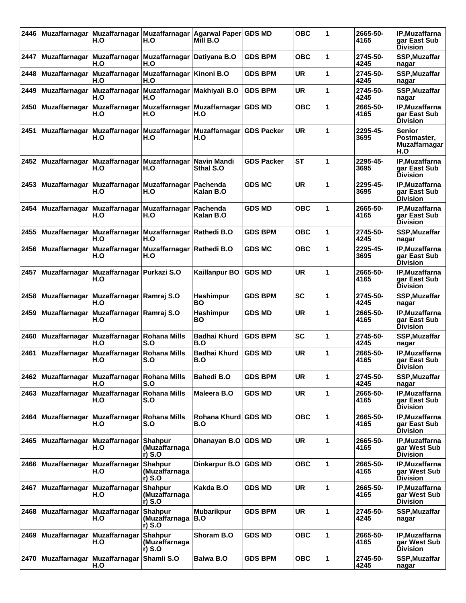| 2446 | Muzaffarnagar                                                           | H.O                                | Muzaffarnagar   Muzaffarnagar<br>H.O                    | Agarwal Paper GDS MD<br>Mill B.O |                   | <b>OBC</b> | 1 | 2665-50-<br>4165 | IP, Muzaffarna<br>gar East Sub<br><b>Division</b>       |
|------|-------------------------------------------------------------------------|------------------------------------|---------------------------------------------------------|----------------------------------|-------------------|------------|---|------------------|---------------------------------------------------------|
| 2447 | Muzaffarnagar                                                           | H.O                                | Muzaffarnagar   Muzaffarnagar   Datiyana B.O<br>H.O     |                                  | <b>GDS BPM</b>    | <b>OBC</b> | 1 | 2745-50-<br>4245 | SSP, Muzaffar<br>nagar                                  |
| 2448 | Muzaffarnagar                                                           | H.O                                | Muzaffarnagar Muzaffarnagar<br>H.O                      | Kinoni B.O                       | <b>GDS BPM</b>    | <b>UR</b>  | 1 | 2745-50-<br>4245 | SSP, Muzaffar<br>nagar                                  |
| 2449 | Muzaffarnagar                                                           | H.O                                | Muzaffarnagar Muzaffarnagar Makhiyali B.O<br>H.O        |                                  | <b>GDS BPM</b>    | <b>UR</b>  | 1 | 2745-50-<br>4245 | SSP, Muzaffar<br>nagar                                  |
| 2450 | Muzaffarnagar                                                           | H.O                                | Muzaffarnagar Muzaffarnagar Muzaffarnagar GDS MD<br>H.O | H.O                              |                   | <b>OBC</b> | 1 | 2665-50-<br>4165 | IP, Muzaffarna<br>gar East Sub<br><b>Division</b>       |
| 2451 | │Muzaffarnagar │Muzaffarnagar │Muzaffarnagar │Muzaffarnagar │GDS Packer | H.O                                | H.O                                                     | H.O                              |                   | <b>UR</b>  | 1 | 2295-45-<br>3695 | <b>Senior</b><br>Postmaster,<br>Muzaffarnagar<br>H.O    |
| 2452 | Muzaffarnagar                                                           | <b>Muzaffarnagar</b><br>H.O        | Muzaffarnagar<br>H.O                                    | Navin Mandi<br><b>Sthal S.O</b>  | <b>GDS Packer</b> | <b>ST</b>  | 1 | 2295-45-<br>3695 | IP, Muzaffarna<br>gar East Sub<br><b>Division</b>       |
| 2453 | Muzaffarnagar                                                           | Muzaffarnagar Muzaffarnagar<br>H.O | H.O                                                     | Pachenda<br>Kalan B.O            | <b>GDS MC</b>     | <b>UR</b>  | 1 | 2295-45-<br>3695 | <b>IP.Muzaffarna</b><br>gar East Sub<br><b>Division</b> |
| 2454 | Muzaffarnagar Muzaffarnagar Muzaffarnagar Pachenda                      | H.O                                | H.O                                                     | Kalan B.O                        | <b>GDS MD</b>     | <b>OBC</b> | 1 | 2665-50-<br>4165 | IP, Muzaffarna<br>gar East Sub<br><b>Division</b>       |
| 2455 | Muzaffarnagar  Muzaffarnagar  Muzaffarnagar  Rathedi B.O                | H.O                                | H.O                                                     |                                  | <b>GDS BPM</b>    | <b>OBC</b> | 1 | 2745-50-<br>4245 | SSP, Muzaffar<br>nagar                                  |
| 2456 | Muzaffarnagar                                                           | H.O                                | Muzaffarnagar Muzaffarnagar Rathedi B.O<br>H.O          |                                  | <b>GDS MC</b>     | <b>OBC</b> | 1 | 2295-45-<br>3695 | <b>IP.Muzaffarna</b><br>gar East Sub<br><b>Division</b> |
| 2457 | Muzaffarnagar Muzaffarnagar Purkazi S.O                                 | H.O                                |                                                         | <b>Kaillanpur BO</b>             | <b>GDS MD</b>     | <b>UR</b>  | 1 | 2665-50-<br>4165 | IP, Muzaffarna<br>gar East Sub<br><b>Division</b>       |
| 2458 | Muzaffarnagar Muzaffarnagar Ramraj S.O                                  | H.O                                |                                                         | <b>Hashimpur</b><br><b>BO</b>    | <b>GDS BPM</b>    | <b>SC</b>  | 1 | 2745-50-<br>4245 | SSP, Muzaffar<br>nagar                                  |
| 2459 | Muzaffarnagar                                                           | Muzaffarnagar   Ramraj S.O<br>H.O  |                                                         | Hashimpur<br>BO.                 | <b>GDS MD</b>     | <b>UR</b>  | 1 | 2665-50-<br>4165 | <b>IP.Muzaffarna</b><br>gar East Sub<br><b>Division</b> |
| 2460 | Muzaffarnagar Muzaffarnagar Rohana Mills                                | H.O                                | S.O                                                     | <b>Badhai Khurd</b><br>B.O       | <b>GDS BPM</b>    | <b>SC</b>  | 1 | 2745-50-<br>4245 | SSP, Muzaffar<br>nagar                                  |
| 2461 | Muzaffarnagar                                                           | Muzaffarnagar<br>H.O               | Rohana Mills<br>S.O                                     | <b>Badhai Khurd</b><br>B.O       | <b>GDS MD</b>     | <b>UR</b>  | 1 | 2665-50-<br>4165 | IP, Muzaffarna<br>gar East Sub<br><b>Division</b>       |
| 2462 | Muzaffarnagar                                                           | Muzaffarnagar Rohana Mills<br>H.O  | S.O                                                     | <b>Bahedi B.O</b>                | <b>GDS BPM</b>    | <b>UR</b>  | 1 | 2745-50-<br>4245 | SSP, Muzaffar<br>nagar                                  |
| 2463 | Muzaffarnagar                                                           | <b>Muzaffarnagar</b><br>H.O        | <b>Rohana Mills</b><br>S.O                              | Maleera B.O                      | <b>GDS MD</b>     | UR         | 1 | 2665-50-<br>4165 | IP, Muzaffarna<br>gar East Sub<br><b>Division</b>       |
| 2464 | Muzaffarnagar                                                           | Muzaffarnagar<br>H.O               | <b>Rohana Mills</b><br>S.O                              | Rohana Khurd GDS MD<br>B.O       |                   | <b>OBC</b> | 1 | 2665-50-<br>4165 | IP, Muzaffarna<br>gar East Sub<br>Division              |
| 2465 | Muzaffarnagar                                                           | Muzaffarnagar Shahpur<br>H.O       | (Muzaffarnaga<br>r) S.O                                 | Dhanayan B.O GDS MD              |                   | <b>UR</b>  | 1 | 2665-50-<br>4165 | IP, Muzaffarna<br>gar West Sub<br><b>Division</b>       |
| 2466 | Muzaffarnagar Muzaffarnagar Shahpur                                     | H.O                                | (Muzaffarnaga<br>r) S.O                                 | Dinkarpur B.O GDS MD             |                   | <b>OBC</b> | 1 | 2665-50-<br>4165 | IP, Muzaffarna<br>gar West Sub<br><b>Division</b>       |
| 2467 | Muzaffarnagar                                                           | <b>Muzaffarnagar</b><br>H.O        | Shahpur<br>(Muzaffarnaga<br>r) S.O                      | Kakda B.O                        | <b>GDS MD</b>     | <b>UR</b>  | 1 | 2665-50-<br>4165 | IP, Muzaffarna<br>gar West Sub<br><b>Division</b>       |
| 2468 | Muzaffarnagar                                                           | Muzaffarnagar<br>H.O               | Shahpur<br>(Muzaffarnaga<br>r) S.O                      | <b>Mubarikpur</b><br> B.O        | <b>GDS BPM</b>    | <b>UR</b>  | 1 | 2745-50-<br>4245 | SSP, Muzaffar<br>nagar                                  |
| 2469 | Muzaffarnagar                                                           | <b>Muzaffarnagar</b><br>H.O        | Shahpur<br>(Muzaffarnaga<br>r) S.O                      | Shoram B.O                       | <b>GDS MD</b>     | <b>OBC</b> | 1 | 2665-50-<br>4165 | IP, Muzaffarna<br>gar West Sub<br><b>Division</b>       |
| 2470 | Muzaffarnagar                                                           | Muzaffarnagar<br>H.O               | Shamli S.O                                              | <b>Balwa B.O</b>                 | <b>GDS BPM</b>    | ОВС        | 1 | 2745-50-<br>4245 | SSP, Muzaffar<br>nagar                                  |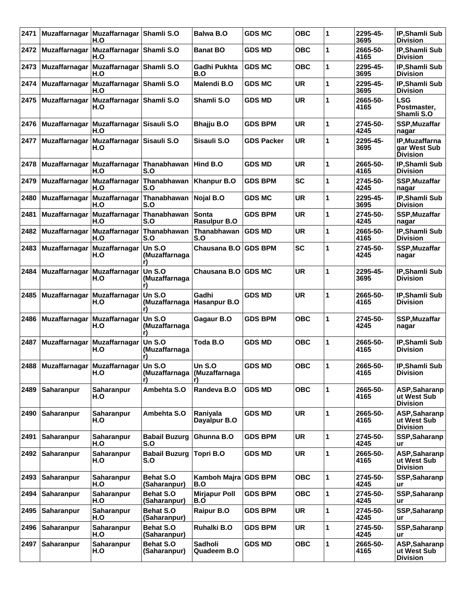| 2471 | <b>Muzaffarnagar</b>        | Muzaffarnagar<br>H.O                                 | Shamli S.O                       | <b>Balwa B.O</b>                                     | <b>GDS MC</b>     | <b>OBC</b> | 1 | 2295-45-<br>3695 | <b>IP, Shamli Sub</b><br><b>Division</b>          |
|------|-----------------------------|------------------------------------------------------|----------------------------------|------------------------------------------------------|-------------------|------------|---|------------------|---------------------------------------------------|
| 2472 |                             | Muzaffarnagar Muzaffarnagar Shamli S.O<br>H.O        |                                  | <b>Banat BO</b>                                      | <b>GDS MD</b>     | <b>OBC</b> | 1 | 2665-50-<br>4165 | <b>IP.Shamli Sub</b><br><b>Division</b>           |
| 2473 |                             | Muzaffarnagar Muzaffarnagar Shamli S.O<br>H.O        |                                  | Gadhi Pukhta<br>B.O                                  | <b>GDS MC</b>     | <b>OBC</b> | 1 | 2295-45-<br>3695 | IP, Shamli Sub<br><b>Division</b>                 |
| 2474 | Muzaffarnagar               | Muzaffarnagar<br>H.O                                 | Shamli S.O                       | <b>Malendi B.O</b>                                   | <b>GDS MC</b>     | <b>UR</b>  | 1 | 2295-45-<br>3695 | IP, Shamli Sub<br><b>Division</b>                 |
| 2475 | <b>Muzaffarnagar</b>        | Muzaffarnagar<br>H.O                                 | Shamli S.O                       | Shamli S.O                                           | <b>GDS MD</b>     | <b>UR</b>  | 1 | 2665-50-<br>4165 | <b>LSG</b><br>Postmaster,<br>Shamli S.O           |
| 2476 |                             | Muzaffarnagar Muzaffarnagar Sisauli S.O<br>H.O       |                                  | <b>Bhajju B.O</b>                                    | <b>GDS BPM</b>    | <b>UR</b>  | 1 | 2745-50-<br>4245 | <b>SSP, Muzaffar</b><br>nagar                     |
| 2477 | Muzaffarnagar               | Muzaffarnagar Sisauli S.O<br>H.O                     |                                  | Sisauli S.O                                          | <b>GDS Packer</b> | <b>UR</b>  | 1 | 2295-45-<br>3695 | IP, Muzaffarna<br>gar West Sub<br><b>Division</b> |
| 2478 |                             | Muzaffarnagar Muzaffarnagar Thanabhawan<br>H.O       | S.O                              | Hind B.O                                             | <b>GDS MD</b>     | <b>UR</b>  | 1 | 2665-50-<br>4165 | IP, Shamli Sub<br><b>Division</b>                 |
| 2479 |                             | Muzaffarnagar Muzaffarnagar<br>H.O                   | Thanabhawan<br>S.O               | Khanpur B.O                                          | <b>GDS BPM</b>    | <b>SC</b>  | 1 | 2745-50-<br>4245 | SSP, Muzaffar<br>nagar                            |
| 2480 | Muzaffarnagar               | <b>Muzaffarnagar</b><br>H.O                          | Thanabhawan<br>S.O               | Nojal B.O                                            | <b>GDS MC</b>     | UR         | 1 | 2295-45-<br>3695 | IP, Shamli Sub<br><b>Division</b>                 |
| 2481 |                             | Muzaffarnagar Muzaffarnagar<br>H.O                   | Thanabhawan<br>S.O               | <b>Sonta</b><br><b>Rasulpur B.O</b>                  | <b>GDS BPM</b>    | <b>UR</b>  | 1 | 2745-50-<br>4245 | SSP, Muzaffar<br>nagar                            |
| 2482 |                             | Muzaffarnagar Muzaffarnagar Thanabhawan<br>H.O       | S.O                              | Thanabhawan<br>S.O                                   | <b>GDS MD</b>     | <b>UR</b>  | 1 | 2665-50-<br>4165 | IP, Shamli Sub<br><b>Division</b>                 |
| 2483 | Muzaffarnagar               | <b>Muzaffarnagar</b><br>H.O                          | Un S.O<br>(Muzaffarnaga          | Chausana B.O                                         | <b>GDS BPM</b>    | <b>SC</b>  | 1 | 2745-50-<br>4245 | <b>SSP, Muzaffar</b><br>nagar                     |
| 2484 | Muzaffarnagar Muzaffarnagar | H.O                                                  | Un S.O<br>(Muzaffarnaga          | Chausana B.O GDS MC                                  |                   | <b>UR</b>  | 1 | 2295-45-<br>3695 | IP, Shamli Sub<br><b>Division</b>                 |
| 2485 |                             | Muzaffarnagar Muzaffarnagar<br>H.O                   | Un S.O<br>(Muzaffarnaga<br>r)    | Gadhi<br><b>Hasanpur B.O</b>                         | <b>GDS MD</b>     | <b>UR</b>  | 1 | 2665-50-<br>4165 | IP, Shamli Sub<br><b>Division</b>                 |
| 2486 | Muzaffarnagar Muzaffarnagar | H.O                                                  | Un S.O<br>(Muzaffarnaga          | Gagaur B.O                                           | <b>GDS BPM</b>    | <b>OBC</b> | 1 | 2745-50-<br>4245 | SSP, Muzaffar<br>nagar                            |
| 2487 |                             | Muzaffarnagar Muzaffarnagar<br>H.O                   | Un S.O<br>(Muzaffarnaga          | Toda B.O                                             | <b>GDS MD</b>     | <b>OBC</b> | 1 | 2665-50-<br>4165 | IP, Shamli Sub<br><b>Division</b>                 |
|      |                             | 2488   Muzaffarnagar   Muzaffarnagar   Un S.O<br>H.O | r)                               | <b>Un S.O</b><br>(Muzaffarnaga   (Muzaffarnaga<br>r) | <b>GDS MD</b>     | <b>OBC</b> | 1 | 2665-50-<br>4165 | IP, Shamli Sub<br><b>Division</b>                 |
| 2489 | Saharanpur                  | Saharanpur<br>H.O                                    | Ambehta S.O                      | Randeva B.O                                          | <b>GDS MD</b>     | <b>OBC</b> | 1 | 2665-50-<br>4165 | ASP, Saharanp<br>ut West Sub<br><b>Division</b>   |
| 2490 | Saharanpur                  | Saharanpur<br>H.O                                    | Ambehta S.O                      | Raniyala<br>Dayalpur B.O                             | <b>GDS MD</b>     | <b>UR</b>  | 1 | 2665-50-<br>4165 | ASP, Saharanp<br>ut West Sub<br><b>Division</b>   |
| 2491 | Saharanpur                  | Saharanpur<br>H.O                                    | <b>Babail Buzurg</b><br>S.O      | Ghunna B.O                                           | <b>GDS BPM</b>    | <b>UR</b>  | 1 | 2745-50-<br>4245 | SSP, Saharanp<br>ur                               |
| 2492 | <b>Saharanpur</b>           | Saharanpur<br>H.O                                    | <b>Babail Buzurg</b><br>S.O      | Topri B.O                                            | <b>GDS MD</b>     | <b>UR</b>  | 1 | 2665-50-<br>4165 | ASP, Saharanp<br>ut West Sub<br><b>Division</b>   |
| 2493 | <b>Saharanpur</b>           | Saharanpur<br>H.O                                    | <b>Behat S.O</b><br>(Saharanpur) | Kamboh Majra GDS BPM<br>B.O                          |                   | <b>OBC</b> | 1 | 2745-50-<br>4245 | SSP, Saharanp<br>ur                               |
| 2494 | Saharanpur                  | Saharanpur<br>H.O                                    | <b>Behat S.O</b><br>(Saharanpur) | <b>Mirjapur Poll</b><br>B.O                          | <b>GDS BPM</b>    | <b>OBC</b> | 1 | 2745-50-<br>4245 | SSP, Saharanp<br><b>ur</b>                        |
| 2495 | <b>Saharanpur</b>           | Saharanpur<br>H.O                                    | <b>Behat S.O</b><br>(Saharanpur) | <b>Raipur B.O</b>                                    | <b>GDS BPM</b>    | <b>UR</b>  | 1 | 2745-50-<br>4245 | SSP, Saharanp<br>ur                               |
| 2496 | Saharanpur                  | Saharanpur<br>H.O                                    | <b>Behat S.O</b><br>(Saharanpur) | Ruhalki B.O                                          | <b>GDS BPM</b>    | <b>UR</b>  | 1 | 2745-50-<br>4245 | SSP, Saharanp<br><b>ur</b>                        |
| 2497 | Saharanpur                  | Saharanpur<br>H.O                                    | <b>Behat S.O</b><br>(Saharanpur) | Sadholi<br>Quadeem B.O                               | <b>GDS MD</b>     | <b>OBC</b> | 1 | 2665-50-<br>4165 | ASP, Saharanp<br>ut West Sub<br><b>Division</b>   |
|      |                             |                                                      |                                  |                                                      |                   |            |   |                  |                                                   |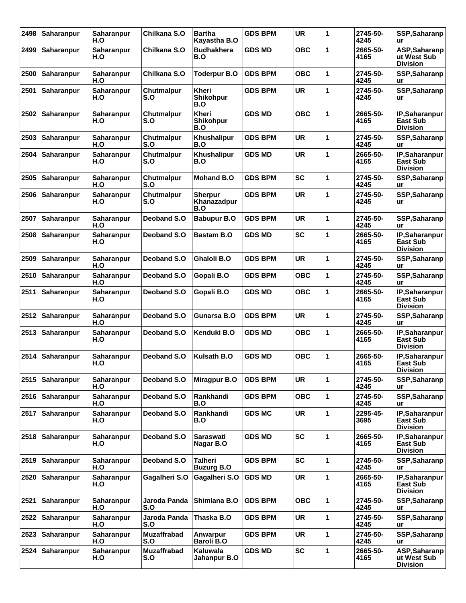| 2498 | Saharanpur        | Saharanpur<br>H.O        | Chilkana S.O              | <b>Bartha</b><br>Kayastha B.O           | <b>GDS BPM</b> | <b>UR</b>  | 1           | 2745-50-<br>4245 | SSP, Saharanp<br>ur                                  |
|------|-------------------|--------------------------|---------------------------|-----------------------------------------|----------------|------------|-------------|------------------|------------------------------------------------------|
| 2499 | Saharanpur        | Saharanpur<br>H.O        | Chilkana S.O              | <b>Budhakhera</b><br>B.O                | <b>GDS MD</b>  | <b>OBC</b> | 1           | 2665-50-<br>4165 | ASP, Saharanp<br>ut West Sub<br><b>Division</b>      |
| 2500 | Saharanpur        | Saharanpur<br>H.O        | Chilkana S.O              | <b>Toderpur B.O</b>                     | <b>GDS BPM</b> | <b>OBC</b> | 1           | 2745-50-<br>4245 | SSP, Saharanp<br>ur                                  |
| 2501 | Saharanpur        | Saharanpur<br>H.O        | Chutmalpur<br>S.O         | Kheri<br><b>Shikohpur</b><br>B.O        | <b>GDS BPM</b> | <b>UR</b>  | 1           | 2745-50-<br>4245 | SSP, Saharanp<br>ur                                  |
| 2502 | Saharanpur        | Saharanpur<br>H.O        | <b>Chutmalpur</b><br>S.O  | <b>Kheri</b><br><b>Shikohpur</b><br>B.O | <b>GDS MD</b>  | <b>OBC</b> | 1           | 2665-50-<br>4165 | IP, Saharanpur<br><b>East Sub</b><br><b>Division</b> |
| 2503 | Saharanpur        | Saharanpur<br>H.O        | Chutmalpur<br>S.O         | Khushalipur<br>B.O                      | <b>GDS BPM</b> | <b>UR</b>  | 1           | 2745-50-<br>4245 | SSP, Saharanp<br>ur                                  |
| 2504 | Saharanpur        | Saharanpur<br>H.O        | Chutmalpur<br>S.O         | Khushalipur<br>B.O                      | <b>GDS MD</b>  | <b>UR</b>  | 1           | 2665-50-<br>4165 | IP, Saharanpur<br>East Sub<br><b>Division</b>        |
| 2505 | Saharanpur        | <b>Saharanpur</b><br>H.O | Chutmalpur<br>S.O         | <b>Mohand B.O</b>                       | <b>GDS BPM</b> | <b>SC</b>  | 1           | 2745-50-<br>4245 | SSP, Saharanp<br>ur                                  |
| 2506 | Saharanpur        | Saharanpur<br>H.O        | <b>Chutmalpur</b><br>S.O  | <b>Sherpur</b><br>Khanazadpur<br>B.O    | <b>GDS BPM</b> | <b>UR</b>  | 1           | 2745-50-<br>4245 | SSP, Saharanp<br>ur                                  |
| 2507 | Saharanpur        | Saharanpur<br>H.O        | Deoband S.O               | <b>Babupur B.O</b>                      | <b>GDS BPM</b> | <b>UR</b>  | 1           | 2745-50-<br>4245 | SSP, Saharanp<br>ur                                  |
| 2508 | Saharanpur        | Saharanpur<br>H.O        | Deoband S.O               | <b>Bastam B.O</b>                       | <b>GDS MD</b>  | <b>SC</b>  | 1           | 2665-50-<br>4165 | IP, Saharanpur<br>East Sub<br><b>Division</b>        |
| 2509 | Saharanpur        | Saharanpur<br>H.O        | Deoband S.O               | Ghaloli B.O                             | <b>GDS BPM</b> | <b>UR</b>  | 1           | 2745-50-<br>4245 | SSP, Saharanp<br>ur                                  |
| 2510 | Saharanpur        | Saharanpur<br>H.O        | Deoband S.O               | Gopali B.O                              | <b>GDS BPM</b> | <b>OBC</b> | 1           | 2745-50-<br>4245 | SSP, Saharanp<br>ur                                  |
| 2511 | Saharanpur        | Saharanpur<br>H.O        | Deoband S.O               | Gopali B.O                              | <b>GDS MD</b>  | <b>OBC</b> | 1           | 2665-50-<br>4165 | IP, Saharanpur<br>East Sub<br><b>Division</b>        |
| 2512 | Saharanpur        | Saharanpur<br>H.O        | Deoband S.O               | Gunarsa B.O                             | <b>GDS BPM</b> | <b>UR</b>  | 1           | 2745-50-<br>4245 | SSP, Saharanp<br>ur                                  |
| 2513 | Saharanpur        | Saharanpur<br>H.O        | Deoband S.O               | Kenduki B.O                             | <b>GDS MD</b>  | <b>OBC</b> | 1           | 2665-50-<br>4165 | IP, Saharanpur<br>East Sub<br><b>Division</b>        |
| 2514 | Saharanpur        | Saharanpur<br>H.O        | <b>Deoband S.O</b>        | Kulsath B.O                             | <b>GDS MD</b>  | <b>OBC</b> | 1           | 2665-50-<br>4165 | IP, Saharanpur<br>East Sub<br><b>Division</b>        |
| 2515 | Saharanpur        | <b>Saharanpur</b><br>H.O | Deoband S.O               | <b>Miragpur B.O</b>                     | <b>GDS BPM</b> | UR         | 1           | 2745-50-<br>4245 | SSP, Saharanp<br>ur                                  |
| 2516 | <b>Saharanpur</b> | Saharanpur<br>H.O        | Deoband S.O               | Rankhandi<br>B.O                        | <b>GDS BPM</b> | <b>OBC</b> | $\mathbf 1$ | 2745-50-<br>4245 | SSP, Saharanp<br>ur                                  |
| 2517 | Saharanpur        | Saharanpur<br>H.O        | Deoband S.O               | Rankhandi<br>B.O                        | <b>GDS MC</b>  | UR         | 1           | 2295-45-<br>3695 | IP, Saharanpur<br><b>East Sub</b><br><b>Division</b> |
| 2518 | <b>Saharanpur</b> | Saharanpur<br>H.O        | Deoband S.O               | Saraswati<br>Nagar B.O                  | <b>GDS MD</b>  | <b>SC</b>  | 1           | 2665-50-<br>4165 | IP, Saharanpur<br><b>East Sub</b><br><b>Division</b> |
| 2519 | <b>Saharanpur</b> | <b>Saharanpur</b><br>H.O | Deoband S.O               | <b>Talheri</b><br><b>Buzurg B.O</b>     | <b>GDS BPM</b> | <b>SC</b>  | 1           | 2745-50-<br>4245 | SSP, Saharanp<br>ur                                  |
| 2520 | <b>Saharanpur</b> | Saharanpur<br>H.O        | Gagalheri S.O             | Gagalheri S.O                           | <b>GDS MD</b>  | UR         | 1           | 2665-50-<br>4165 | IP, Saharanpur<br><b>East Sub</b><br><b>Division</b> |
| 2521 | Saharanpur        | Saharanpur<br>H.O        | Jaroda Panda<br>S.O       | Shimlana B.O                            | <b>GDS BPM</b> | <b>OBC</b> | 1           | 2745-50-<br>4245 | SSP, Saharanp<br>ur                                  |
| 2522 | Saharanpur        | Saharanpur<br>H.O        | Jaroda Panda<br>S.O       | Thaska B.O                              | <b>GDS BPM</b> | <b>UR</b>  | 1           | 2745-50-<br>4245 | SSP, Saharanp<br>ur                                  |
| 2523 | Saharanpur        | Saharanpur<br>H.O        | <b>Muzaffrabad</b><br>S.O | Anwarpur<br>Baroli B.O                  | <b>GDS BPM</b> | <b>UR</b>  | 1           | 2745-50-<br>4245 | SSP, Saharanp<br>ur                                  |
| 2524 | Saharanpur        | Saharanpur<br>H.O        | <b>Muzaffrabad</b><br>S.O | Kaluwala<br>Jahanpur B.O                | <b>GDS MD</b>  | <b>SC</b>  | 1           | 2665-50-<br>4165 | ASP, Saharanp<br>ut West Sub<br><b>Division</b>      |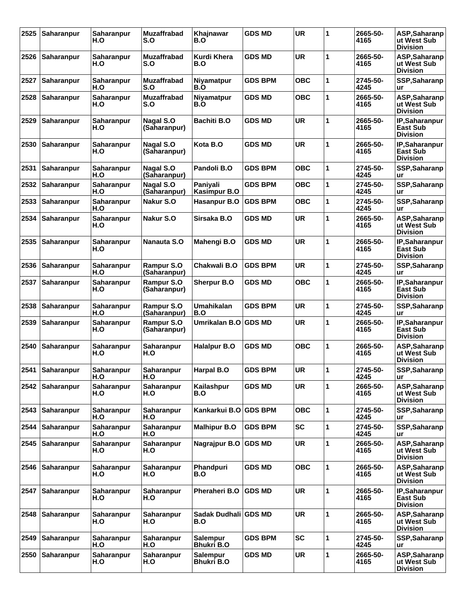| 2525 | Saharanpur        | <b>Saharanpur</b><br>H.O | <b>Muzaffrabad</b><br>S.O         | Khajnawar<br>B.O                     | <b>GDS MD</b>  | <b>UR</b>  | 1            | 2665-50-<br>4165 | ASP, Saharanp<br>ut West Sub<br><b>Division</b>      |
|------|-------------------|--------------------------|-----------------------------------|--------------------------------------|----------------|------------|--------------|------------------|------------------------------------------------------|
| 2526 | Saharanpur        | Saharanpur<br>H.O        | <b>Muzaffrabad</b><br>S.O         | Kurdi Khera<br>B.O                   | <b>GDS MD</b>  | <b>UR</b>  | 1            | 2665-50-<br>4165 | ASP, Saharanp<br>ut West Sub<br><b>Division</b>      |
| 2527 | Saharanpur        | Saharanpur<br>H.O        | <b>Muzaffrabad</b><br>S.O         | Niyamatpur<br>B.O                    | <b>GDS BPM</b> | <b>OBC</b> | 1            | 2745-50-<br>4245 | SSP, Saharanp<br>ur                                  |
| 2528 | Saharanpur        | Saharanpur<br>H.O        | <b>Muzaffrabad</b><br>S.O         | Niyamatpur<br>B.O                    | <b>GDS MD</b>  | <b>OBC</b> | 1            | 2665-50-<br>4165 | ASP, Saharanp<br>ut West Sub<br><b>Division</b>      |
| 2529 | Saharanpur        | Saharanpur<br>H.O        | <b>Nagal S.O</b><br>(Saharanpur)  | <b>Bachiti B.O</b>                   | <b>GDS MD</b>  | <b>UR</b>  | 1            | 2665-50-<br>4165 | IP, Saharanpur<br><b>East Sub</b><br><b>Division</b> |
| 2530 | Saharanpur        | Saharanpur<br>H.O        | Nagal S.O<br>(Saharanpur)         | Kota B.O                             | <b>GDS MD</b>  | <b>UR</b>  | 1            | 2665-50-<br>4165 | IP, Saharanpur<br><b>East Sub</b><br><b>Division</b> |
| 2531 | Saharanpur        | <b>Saharanpur</b><br>H.O | Nagal S.O<br>(Saharanpur)         | Pandoli B.O                          | <b>GDS BPM</b> | <b>OBC</b> | 1            | 2745-50-<br>4245 | SSP, Saharanp<br>ur                                  |
| 2532 | Saharanpur        | Saharanpur<br>H.O        | Nagal S.O<br>(Saharanpur)         | Paniyali<br>Kasimpur B.O             | <b>GDS BPM</b> | <b>OBC</b> | 1            | 2745-50-<br>4245 | SSP, Saharanp<br>ur                                  |
| 2533 | Saharanpur        | Saharanpur<br>H.O        | Nakur S.O                         | Hasanpur B.O                         | <b>GDS BPM</b> | OBC        | 1            | 2745-50-<br>4245 | SSP, Saharanp<br>ur                                  |
| 2534 | Saharanpur        | Saharanpur<br>H.O        | Nakur S.O                         | Sirsaka B.O                          | <b>GDS MD</b>  | <b>UR</b>  | 1            | 2665-50-<br>4165 | ASP, Saharanp<br>ut West Sub<br><b>Division</b>      |
| 2535 | Saharanpur        | Saharanpur<br>H.O        | Nanauta S.O                       | Mahengi B.O                          | <b>GDS MD</b>  | <b>UR</b>  | 1            | 2665-50-<br>4165 | IP, Saharanpur<br><b>East Sub</b><br><b>Division</b> |
| 2536 | Saharanpur        | Saharanpur<br>H.O        | Rampur S.O<br>(Saharanpur)        | Chakwali B.O                         | <b>GDS BPM</b> | <b>UR</b>  | 1            | 2745-50-<br>4245 | SSP, Saharanp<br><b>ur</b>                           |
| 2537 | Saharanpur        | Saharanpur<br>H.O        | Rampur S.O<br>(Saharanpur)        | <b>Sherpur B.O</b>                   | <b>GDS MD</b>  | <b>OBC</b> | 1            | 2665-50-<br>4165 | IP, Saharanpur<br><b>East Sub</b><br><b>Division</b> |
| 2538 | Saharanpur        | Saharanpur<br>H.O        | <b>Rampur S.O</b><br>(Saharanpur) | <b>Umahikalan</b><br>B.O             | <b>GDS BPM</b> | <b>UR</b>  | 1            | 2745-50-<br>4245 | SSP, Saharanp<br>ur                                  |
| 2539 | Saharanpur        | Saharanpur<br>H.O        | Rampur S.O<br>(Saharanpur)        | Umrikalan B.O GDS MD                 |                | <b>UR</b>  | 1            | 2665-50-<br>4165 | IP, Saharanpur<br><b>East Sub</b><br><b>Division</b> |
| 2540 | Saharanpur        | Saharanpur<br>H.O        | Saharanpur<br>H.O                 | <b>Halalpur B.O</b>                  | <b>GDS MD</b>  | <b>OBC</b> | 1            | 2665-50-<br>4165 | ASP, Saharanp<br>ut West Sub<br><b>Division</b>      |
|      | 2541 Saharanpur   | Saharanpur<br>H.O        | Saharanpur<br>H.O                 | <b>Harpal B.O</b>                    | <b>GDS BPM</b> | <b>UR</b>  | 1            | 2745-50-<br>4245 | SSP, Saharanp<br>ur                                  |
| 2542 | <b>Saharanpur</b> | Saharanpur<br>H.O        | Saharanpur<br>H.O                 | Kailashpur<br>B.O                    | <b>GDS MD</b>  | <b>UR</b>  | $\mathbf{1}$ | 2665-50-<br>4165 | ASP, Saharanp<br>ut West Sub<br><b>Division</b>      |
| 2543 | Saharanpur        | Saharanpur<br>H.O        | Saharanpur<br>H.O                 | Kankarkui B.O GDS BPM                |                | <b>OBC</b> | 1            | 2745-50-<br>4245 | SSP, Saharanp<br>ur                                  |
| 2544 | Saharanpur        | Saharanpur<br>H.O        | Saharanpur<br>H.O                 | <b>Malhipur B.O</b>                  | <b>GDS BPM</b> | <b>SC</b>  | 1            | 2745-50-<br>4245 | SSP, Saharanp<br>ur                                  |
| 2545 | Saharanpur        | Saharanpur<br>H.O        | Saharanpur<br>H.O                 | Nagrajpur B.O                        | <b>GDS MD</b>  | <b>UR</b>  | 1            | 2665-50-<br>4165 | ASP, Saharanp<br>ut West Sub<br><b>Division</b>      |
| 2546 | Saharanpur        | <b>Saharanpur</b><br>H.O | <b>Saharanpur</b><br>H.O          | Phandpuri<br>B.O                     | <b>GDS MD</b>  | <b>OBC</b> | 1            | 2665-50-<br>4165 | ASP, Saharanp<br>ut West Sub<br><b>Division</b>      |
| 2547 | Saharanpur        | Saharanpur<br>H.O        | Saharanpur<br>H.O                 | Pheraheri B.O                        | <b>GDS MD</b>  | <b>UR</b>  | 1            | 2665-50-<br>4165 | IP, Saharanpur<br><b>East Sub</b><br><b>Division</b> |
| 2548 | Saharanpur        | Saharanpur<br>H.O        | Saharanpur<br>H.O                 | Sadak Dudhali GDS MD<br>B.O          |                | <b>UR</b>  | 1            | 2665-50-<br>4165 | ASP, Saharanp<br>ut West Sub<br><b>Division</b>      |
| 2549 | Saharanpur        | Saharanpur<br>H.O        | Saharanpur<br>H.O                 | <b>Salempur</b><br><b>Bhukri B.O</b> | <b>GDS BPM</b> | <b>SC</b>  | 1            | 2745-50-<br>4245 | SSP, Saharanp<br>ur                                  |
| 2550 | <b>Saharanpur</b> | Saharanpur<br>H.O        | Saharanpur<br>H.O                 | Salempur<br><b>Bhukri B.O</b>        | <b>GDS MD</b>  | <b>UR</b>  | 1            | 2665-50-<br>4165 | ASP, Saharanp<br>ut West Sub<br><b>Division</b>      |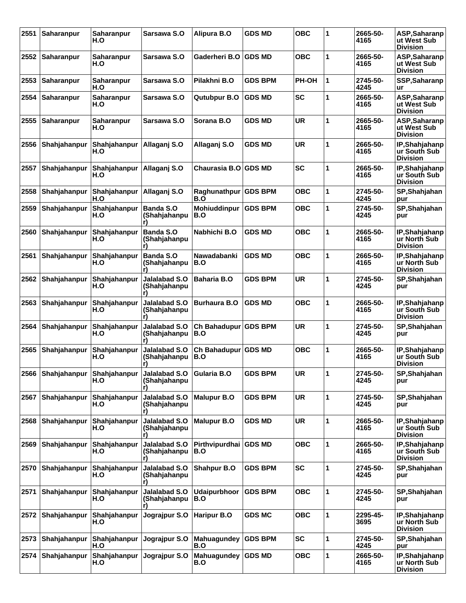| 2551 | Saharanpur        | Saharanpur<br>H.O        | Sarsawa S.O                          | Alipura B.O                 | <b>GDS MD</b>  | <b>OBC</b> | 1 | 2665-50-<br>4165 | ASP, Saharanp<br>ut West Sub<br><b>Division</b>   |
|------|-------------------|--------------------------|--------------------------------------|-----------------------------|----------------|------------|---|------------------|---------------------------------------------------|
| 2552 | <b>Saharanpur</b> | <b>Saharanpur</b><br>H.O | Sarsawa S.O                          | Gaderheri B.O               | <b>GDS MD</b>  | <b>OBC</b> | 1 | 2665-50-<br>4165 | ASP, Saharanp<br>ut West Sub<br><b>Division</b>   |
| 2553 | <b>Saharanpur</b> | <b>Saharanpur</b><br>H.O | Sarsawa S.O                          | Pilakhni B.O                | <b>GDS BPM</b> | PH-OH      | 1 | 2745-50-<br>4245 | SSP, Saharanp<br>ur                               |
| 2554 | Saharanpur        | <b>Saharanpur</b><br>H.O | Sarsawa S.O                          | Qutubpur B.O                | <b>GDS MD</b>  | <b>SC</b>  | 1 | 2665-50-<br>4165 | ASP, Saharanp<br>ut West Sub<br><b>Division</b>   |
| 2555 | Saharanpur        | <b>Saharanpur</b><br>H.O | Sarsawa S.O                          | Sorana B.O                  | <b>GDS MD</b>  | <b>UR</b>  | 1 | 2665-50-<br>4165 | ASP, Saharanp<br>ut West Sub<br><b>Division</b>   |
| 2556 | Shahjahanpur      | Shahjahanpur<br>H.O      | Allaganj S.O                         | Allaganj S.O                | <b>GDS MD</b>  | <b>UR</b>  | 1 | 2665-50-<br>4165 | IP, Shahjahanp<br>ur South Sub<br><b>Division</b> |
| 2557 | Shahjahanpur      | Shahjahanpur<br>H.O      | Allaganj S.O                         | Chaurasia B.O               | <b>IGDS MD</b> | <b>SC</b>  | 1 | 2665-50-<br>4165 | IP, Shahjahanp<br>ur South Sub<br><b>Division</b> |
| 2558 | Shahjahanpur      | Shahjahanpur<br>H.O      | Allaganj S.O                         | Raghunathpur<br>B.O         | <b>GDS BPM</b> | <b>OBC</b> | 1 | 2745-50-<br>4245 | SP, Shahjahan<br>pur                              |
| 2559 | Shahjahanpur      | Shahjahanpur<br>H.O      | <b>Banda S.O</b><br>(Shahjahanpu     | Mohiuddinpur<br>B.O         | <b>GDS BPM</b> | <b>OBC</b> | 1 | 2745-50-<br>4245 | SP, Shahjahan<br>pur                              |
| 2560 | Shahjahanpur      | Shahjahanpur<br>H.O      | <b>Banda S.O</b><br>(Shahjahanpu     | Nabhichi B.O                | <b>GDS MD</b>  | <b>OBC</b> | 1 | 2665-50-<br>4165 | IP, Shahjahanp<br>ur North Sub<br><b>Division</b> |
| 2561 | Shahjahanpur      | Shahjahanpur<br>H.O      | <b>Banda S.O</b><br>(Shahjahanpu     | Nawadabanki<br>B.O          | <b>GDS MD</b>  | <b>OBC</b> | 1 | 2665-50-<br>4165 | IP, Shahjahanp<br>ur North Sub<br><b>Division</b> |
| 2562 | Shahjahanpur      | Shahjahanpur<br>H.O      | Jalalabad S.O<br>(Shahjahanpu        | <b>Baharia B.O</b>          | <b>GDS BPM</b> | <b>UR</b>  | 1 | 2745-50-<br>4245 | SP, Shahjahan<br>pur                              |
| 2563 | Shahjahanpur      | Shahjahanpur<br>H.O      | Jalalabad S.O<br>(Shahjahanpu        | Burhaura B.O                | <b>GDS MD</b>  | OBC        | 1 | 2665-50-<br>4165 | IP, Shahjahanp<br>ur South Sub<br><b>Division</b> |
| 2564 | Shahjahanpur      | Shahjahanpur<br>H.O      | Jalalabad S.O<br>(Shahjahanpu        | Ch Bahadupur GDS BPM<br>B.O |                | <b>UR</b>  | 1 | 2745-50-<br>4245 | SP, Shahjahan<br>pur                              |
| 2565 | Shahjahanpur      | Shahjahanpur<br>H.O      | Jalalabad S.O<br>(Shahjahanpu<br>r)  | Ch Bahadupur GDS MD<br>B.O  |                | <b>OBC</b> | 1 | 2665-50-<br>4165 | IP, Shahjahanp<br>ur South Sub<br><b>Division</b> |
| 2566 | Shahjahanpur      | Shahjahanpur<br>H.O      | Jalalabad S.O<br>(Shahjahanpu        | Gularia B.O                 | <b>GDS BPM</b> | <b>UR</b>  | 1 | 2745-50-<br>4245 | SP, Shahjahan<br>pur                              |
| 2567 | Shahjahanpur      | Shahjahanpur<br>H.O      | Jalalabad S.O<br>(Shahjahanpu        | <b>Malupur B.O</b>          | <b>GDS BPM</b> | <b>UR</b>  | 1 | 2745-50-<br>4245 | SP, Shahjahan<br>pur                              |
| 2568 | Shahjahanpur      | Shahjahanpur<br>H.O      | Jalalabad S.O<br>(Shahjahanpu        | <b>Malupur B.O</b>          | <b>GDS MD</b>  | <b>UR</b>  | 1 | 2665-50-<br>4165 | IP, Shahjahanp<br>ur South Sub<br><b>Division</b> |
| 2569 | Shahjahanpur      | Shahjahanpur<br>H.O      | Jalalabad S.O<br>(Shahjahanpu        | Pirthvipurdhai<br>B.O       | <b>GDS MD</b>  | <b>OBC</b> | 1 | 2665-50-<br>4165 | IP, Shahjahanp<br>ur South Sub<br><b>Division</b> |
| 2570 | Shahjahanpur      | Shahjahanpur<br>H.O      | <b>Jalalabad S.O</b><br>(Shahjahanpu | <b>Shahpur B.O</b>          | <b>GDS BPM</b> | <b>SC</b>  | 1 | 2745-50-<br>4245 | SP, Shahjahan<br>pur                              |
| 2571 | Shahjahanpur      | Shahjahanpur<br>H.O      | Jalalabad S.O<br>(Shahjahanpu        | <b>Udaipurbhoor</b><br>B.O  | <b>GDS BPM</b> | <b>OBC</b> | 1 | 2745-50-<br>4245 | SP, Shahjahan<br>pur                              |
| 2572 | Shahjahanpur      | Shahjahanpur<br>H.O      | Jograjpur S.O                        | <b>Haripur B.O</b>          | <b>GDS MC</b>  | <b>OBC</b> | 1 | 2295-45-<br>3695 | IP, Shahjahanp<br>ur North Sub<br><b>Division</b> |
| 2573 | Shahjahanpur      | Shahjahanpur<br>H.O      | Jograjpur S.O                        | Mahuagundey<br>B.O          | <b>GDS BPM</b> | <b>SC</b>  | 1 | 2745-50-<br>4245 | SP, Shahjahan<br>pur                              |
| 2574 | Shahjahanpur      | Shahjahanpur<br>H.O      | Jograjpur S.O                        | Mahuagundey<br>B.O          | <b>GDS MD</b>  | <b>OBC</b> | 1 | 2665-50-<br>4165 | IP, Shahjahanp<br>ur North Sub<br><b>Division</b> |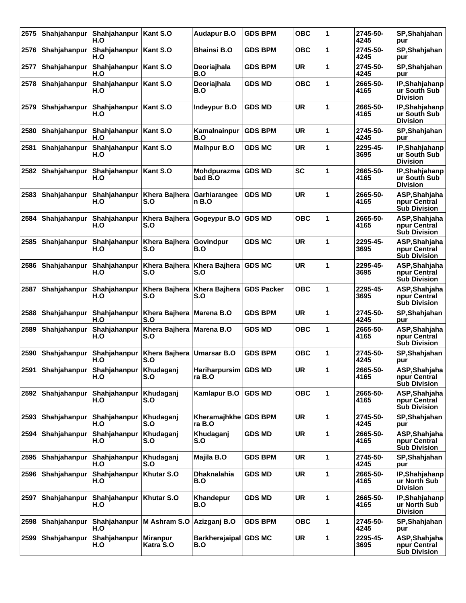| 2575 | Shahjahanpur | Shahjahanpur<br>H.O | Kant S.O                           | <b>Audapur B.O</b>                | <b>GDS BPM</b>    | <b>OBC</b> | 1 | 2745-50-<br>4245 | SP, Shahjahan<br>pur                                 |
|------|--------------|---------------------|------------------------------------|-----------------------------------|-------------------|------------|---|------------------|------------------------------------------------------|
| 2576 | Shahjahanpur | Shahjahanpur<br>H.O | Kant S.O                           | <b>Bhainsi B.O</b>                | <b>GDS BPM</b>    | <b>OBC</b> | 1 | 2745-50-<br>4245 | SP, Shahjahan<br>pur                                 |
| 2577 | Shahjahanpur | Shahjahanpur<br>H.O | Kant S.O                           | Deoriajhala<br>B.O                | <b>GDS BPM</b>    | <b>UR</b>  | 1 | 2745-50-<br>4245 | SP, Shahjahan<br>pur                                 |
| 2578 | Shahjahanpur | Shahjahanpur<br>H.O | Kant S.O                           | Deoriajhala<br>B.O                | <b>GDS MD</b>     | OBC        | 1 | 2665-50-<br>4165 | IP, Shahjahanp<br>ur South Sub<br><b>Division</b>    |
| 2579 | Shahjahanpur | Shahjahanpur<br>H.O | Kant S.O                           | Indeypur B.O                      | <b>GDS MD</b>     | <b>UR</b>  | 1 | 2665-50-<br>4165 | IP, Shahjahanp<br>ur South Sub<br><b>Division</b>    |
| 2580 | Shahjahanpur | Shahjahanpur<br>H.O | Kant S.O                           | Kamalnainpur<br>B.O               | <b>GDS BPM</b>    | <b>UR</b>  | 1 | 2745-50-<br>4245 | SP, Shahjahan<br>pur                                 |
| 2581 | Shahjahanpur | Shahjahanpur<br>H.O | <b>Kant S.O</b>                    | <b>Malhpur B.O</b>                | GDS MC            | <b>UR</b>  | 1 | 2295-45-<br>3695 | IP, Shahjahanp<br>ur South Sub<br><b>Division</b>    |
| 2582 | Shahjahanpur | Shahjahanpur<br>H.O | <b>Kant S.O</b>                    | Mohdpurazma GDS MD<br>bad B.O     |                   | <b>SC</b>  | 1 | 2665-50-<br>4165 | IP, Shahjahanp<br>ur South Sub<br><b>Division</b>    |
| 2583 | Shahjahanpur | Shahjahanpur<br>H.O | Khera Bajhera<br>S.O               | Garhiarangee<br>n B.O             | <b>GDS MD</b>     | <b>UR</b>  | 1 | 2665-50-<br>4165 | ASP, Shahjaha<br>npur Central<br><b>Sub Division</b> |
| 2584 | Shahjahanpur | Shahjahanpur<br>H.O | S.O                                | Khera Bajhera Gogeypur B.O GDS MD |                   | <b>OBC</b> | 1 | 2665-50-<br>4165 | ASP, Shahjaha<br>npur Central<br><b>Sub Division</b> |
| 2585 | Shahjahanpur | Shahjahanpur<br>H.O | Khera Bajhera<br>S.O               | Govindpur<br>B.O                  | <b>GDS MC</b>     | <b>UR</b>  | 1 | 2295-45-<br>3695 | ASP, Shahjaha<br>npur Central<br><b>Sub Division</b> |
| 2586 | Shahjahanpur | Shahjahanpur<br>H.O | Khera Bajhera<br>S.O               | Khera Bajhera<br>S.O              | <b>GDS MC</b>     | <b>UR</b>  | 1 | 2295-45-<br>3695 | ASP, Shahjaha<br>npur Central<br><b>Sub Division</b> |
| 2587 | Shahjahanpur | Shahjahanpur<br>H.O | <b>Khera Bajhera</b><br>S.O        | Khera Bajhera<br>S.O              | <b>GDS Packer</b> | OBC        | 1 | 2295-45-<br>3695 | ASP, Shahjaha<br>npur Central<br><b>Sub Division</b> |
| 2588 | Shahjahanpur | Shahjahanpur<br>H.O | Khera Bajhera<br>S.O               | <b>Marena B.O</b>                 | <b>GDS BPM</b>    | <b>UR</b>  | 1 | 2745-50-<br>4245 | SP, Shahjahan<br>pur                                 |
| 2589 | Shahjahanpur | Shahjahanpur<br>H.O | Khera Bajhera<br>S.O               | Marena B.O                        | <b>GDS MD</b>     | <b>OBC</b> | 1 | 2665-50-<br>4165 | ASP, Shahjaha<br>npur Central<br><b>Sub Division</b> |
| 2590 | Shahjahanpur | Shahjahanpur<br>H.O | Khera Bajhera   Umarsar B.O<br>S.O |                                   | <b>GDS BPM</b>    | <b>OBC</b> | 1 | 2745-50-<br>4245 | SP, Shahjahan<br>pur                                 |
| 2591 | Shahjahanpur | Shahjahanpur<br>H.O | Khudaganj<br>S.O                   | Hariharpursim GDS MD<br>ra B.O    |                   | <b>UR</b>  | 1 | 2665-50-<br>4165 | ASP, Shahjaha<br>npur Central<br><b>Sub Division</b> |
| 2592 | Shahjahanpur | Shahjahanpur<br>H.O | Khudaganj<br>S.O                   | Kamlapur B.O                      | <b>GDS MD</b>     | <b>OBC</b> | 1 | 2665-50-<br>4165 | ASP, Shahjaha<br>npur Central<br><b>Sub Division</b> |
| 2593 | Shahjahanpur | Shahjahanpur<br>H.O | Khudaganj<br>S.O                   | Kheramajhkhe GDS BPM<br>ra B.O    |                   | <b>UR</b>  | 1 | 2745-50-<br>4245 | SP, Shahjahan<br>pur                                 |
| 2594 | Shahjahanpur | Shahjahanpur<br>H.O | Khudaganj<br>S.O                   | Khudaganj<br>S.O                  | <b>GDS MD</b>     | <b>UR</b>  | 1 | 2665-50-<br>4165 | ASP, Shahjaha<br>npur Central<br><b>Sub Division</b> |
| 2595 | Shahjahanpur | Shahjahanpur<br>H.O | Khudaganj<br>S.O                   | Majila B.O                        | <b>GDS BPM</b>    | <b>UR</b>  | 1 | 2745-50-<br>4245 | SP, Shahjahan<br>pur                                 |
| 2596 | Shahjahanpur | Shahjahanpur<br>H.O | Khutar S.O                         | <b>Dhaknalahia</b><br>B.O         | <b>GDS MD</b>     | <b>UR</b>  | 1 | 2665-50-<br>4165 | IP, Shahjahanp<br>ur North Sub<br><b>Division</b>    |
| 2597 | Shahjahanpur | Shahjahanpur<br>H.O | Khutar S.O                         | Khandepur<br>B.O                  | <b>GDS MD</b>     | <b>UR</b>  | 1 | 2665-50-<br>4165 | IP, Shahjahanp<br>ur North Sub<br><b>Division</b>    |
| 2598 | Shahjahanpur | Shahjahanpur<br>H.O | M Ashram S.O                       | Azizganj B.O                      | <b>GDS BPM</b>    | <b>OBC</b> | 1 | 2745-50-<br>4245 | SP, Shahjahan<br>pur                                 |
| 2599 | Shahjahanpur | Shahjahanpur<br>H.O | Miranpur<br>Katra S.O              | Barkherajaipal GDS MC<br>B.O      |                   | <b>UR</b>  | 1 | 2295-45-<br>3695 | ASP, Shahjaha<br>npur Central<br><b>Sub Division</b> |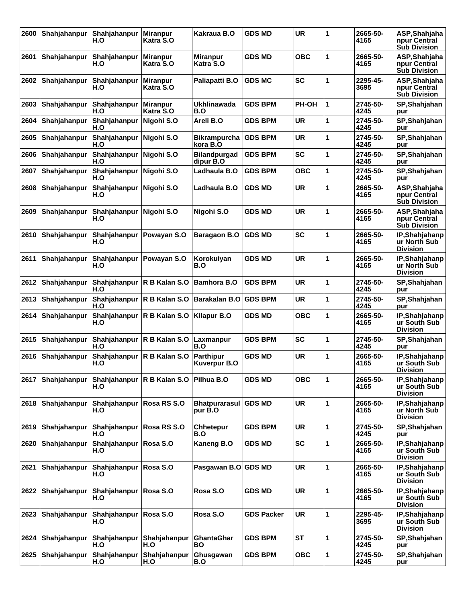| 2600 | Shahjahanpur | Shahjahanpur<br>H.O             | <b>Miranpur</b><br>Katra S.O | Kakraua B.O                      | <b>GDS MD</b>     | <b>UR</b>  | 1 | 2665-50-<br>4165 | ASP, Shahjaha<br>npur Central<br><b>Sub Division</b> |
|------|--------------|---------------------------------|------------------------------|----------------------------------|-------------------|------------|---|------------------|------------------------------------------------------|
| 2601 | Shahjahanpur | Shahjahanpur<br>H.O             | <b>Miranpur</b><br>Katra S.O | <b>Miranpur</b><br>Katra S.O     | <b>GDS MD</b>     | <b>OBC</b> | 1 | 2665-50-<br>4165 | ASP, Shahjaha<br>npur Central<br><b>Sub Division</b> |
| 2602 | Shahjahanpur | Shahjahanpur<br>H.O             | <b>Miranpur</b><br>Katra S.O | Paliapatti B.O                   | <b>GDS MC</b>     | <b>SC</b>  | 1 | 2295-45-<br>3695 | ASP, Shahjaha<br>npur Central<br><b>Sub Division</b> |
| 2603 | Shahjahanpur | Shahjahanpur<br>H.O             | <b>Miranpur</b><br>Katra S.O | Ukhlinawada<br>B.O               | <b>GDS BPM</b>    | PH-OH      | 1 | 2745-50-<br>4245 | SP, Shahjahan<br>pur                                 |
| 2604 | Shahjahanpur | Shahjahanpur<br>H.O             | Nigohi S.O                   | Areli B.O                        | <b>GDS BPM</b>    | <b>UR</b>  | 1 | 2745-50-<br>4245 | SP, Shahjahan<br>pur                                 |
| 2605 | Shahjahanpur | Shahjahanpur<br>H.O             | Nigohi S.O                   | <b>Bikrampurcha</b><br>kora B.O  | <b>GDS BPM</b>    | <b>UR</b>  | 1 | 2745-50-<br>4245 | SP, Shahjahan<br>pur                                 |
| 2606 | Shahjahanpur | Shahjahanpur<br>H.O             | Nigohi S.O                   | <b>Bilandpurgad</b><br>dipur B.O | <b>GDS BPM</b>    | <b>SC</b>  | 1 | 2745-50-<br>4245 | SP, Shahjahan<br>pur                                 |
| 2607 | Shahjahanpur | Shahjahanpur<br>H.O             | Nigohi S.O                   | Ladhaula B.O                     | <b>GDS BPM</b>    | <b>OBC</b> | 1 | 2745-50-<br>4245 | SP, Shahjahan<br>pur                                 |
| 2608 | Shahjahanpur | Shahjahanpur<br>H.O             | Nigohi S.O                   | Ladhaula B.O                     | <b>GDS MD</b>     | <b>UR</b>  | 1 | 2665-50-<br>4165 | ASP, Shahjaha<br>npur Central<br><b>Sub Division</b> |
| 2609 | Shahjahanpur | Shahjahanpur<br>H.O             | Nigohi S.O                   | Nigohi S.O                       | <b>GDS MD</b>     | <b>UR</b>  | 1 | 2665-50-<br>4165 | ASP, Shahjaha<br>npur Central<br><b>Sub Division</b> |
| 2610 | Shahjahanpur | Shahjahanpur<br>H.O             | Powayan S.O                  | <b>Baragaon B.O</b>              | <b>GDS MD</b>     | <b>SC</b>  | 1 | 2665-50-<br>4165 | IP, Shahjahanp<br>ur North Sub<br><b>Division</b>    |
| 2611 | Shahjahanpur | Shahjahanpur Powayan S.O<br>H.O |                              | Korokuiyan<br>B.O                | <b>GDS MD</b>     | <b>UR</b>  | 1 | 2665-50-<br>4165 | IP, Shahjahanp<br>ur North Sub<br><b>Division</b>    |
| 2612 | Shahjahanpur | Shahjahanpur<br>H.O             | R B Kalan S.O                | <b>Bamhora B.O</b>               | <b>GDS BPM</b>    | <b>UR</b>  | 1 | 2745-50-<br>4245 | SP, Shahjahan<br>pur                                 |
| 2613 | Shahjahanpur | Shahjahanpur<br>H.O             | R B Kalan S.O                | <b>Barakalan B.O</b>             | <b>IGDS BPM</b>   | <b>UR</b>  | 1 | 2745-50-<br>4245 | SP, Shahjahan<br>pur                                 |
| 2614 | Shahjahanpur | Shahjahanpur<br>H.O             | R B Kalan S.O                | <b>Kilapur B.O</b>               | <b>GDS MD</b>     | <b>OBC</b> | 1 | 2665-50-<br>4165 | IP, Shahjahanp<br>ur South Sub<br><b>Division</b>    |
| 2615 | Shahjahanpur | Shahjahanpur<br>H.O             | R B Kalan S.O                | Laxmanpur<br>B.O                 | <b>GDS BPM</b>    | <b>SC</b>  | 1 | 2745-50-<br>4245 | SP, Shahjahan<br>pur                                 |
| 2616 | Shahjahanpur | Shahjahanpur<br>H.O             | R B Kalan S.O                | Parthipur<br><b>Kuverpur B.O</b> | <b>GDS MD</b>     | <b>UR</b>  | 1 | 2665-50-<br>4165 | IP, Shahjahanp<br>ur South Sub<br><b>DIVISION</b>    |
| 2617 | Shahjahanpur | Shahjahanpur<br>H.O             | R B Kalan S.O                | Pilhua B.O                       | <b>GDS MD</b>     | <b>OBC</b> | 1 | 2665-50-<br>4165 | IP, Shahjahanp<br>ur South Sub<br><b>Division</b>    |
| 2618 | Shahjahanpur | Shahjahanpur<br>H.O             | Rosa RS S.O                  | <b>Bhatpurarasul</b><br>pur B.O  | <b>GDS MD</b>     | <b>UR</b>  | 1 | 2665-50-<br>4165 | IP, Shahjahanp<br>ur North Sub<br><b>Division</b>    |
| 2619 | Shahjahanpur | Shahjahanpur<br>H.O             | Rosa RS S.O                  | <b>Chhetepur</b><br>B.O          | <b>GDS BPM</b>    | <b>UR</b>  | 1 | 2745-50-<br>4245 | SP, Shahjahan<br>pur                                 |
| 2620 | Shahjahanpur | Shahjahanpur<br>H.O             | Rosa S.O                     | Kaneng B.O                       | <b>GDS MD</b>     | <b>SC</b>  | 1 | 2665-50-<br>4165 | IP, Shahjahanp<br>ur South Sub<br><b>Division</b>    |
| 2621 | Shahjahanpur | Shahjahanpur<br>H.O             | Rosa S.O                     | Pasgawan B.O GDS MD              |                   | <b>UR</b>  | 1 | 2665-50-<br>4165 | IP, Shahjahanp<br>ur South Sub<br><b>Division</b>    |
| 2622 | Shahjahanpur | Shahjahanpur<br>H.O             | Rosa S.O                     | Rosa S.O                         | <b>GDS MD</b>     | <b>UR</b>  | 1 | 2665-50-<br>4165 | IP, Shahjahanp<br>ur South Sub<br><b>Division</b>    |
| 2623 | Shahjahanpur | Shahjahanpur<br>H.O             | Rosa S.O                     | Rosa S.O                         | <b>GDS Packer</b> | <b>UR</b>  | 1 | 2295-45-<br>3695 | IP, Shahjahanp<br>ur South Sub<br><b>Division</b>    |
| 2624 | Shahjahanpur | Shahjahanpur<br>H.O             | Shahjahanpur<br>H.O          | GhantaGhar<br><b>BO</b>          | <b>GDS BPM</b>    | <b>ST</b>  | 1 | 2745-50-<br>4245 | SP, Shahjahan<br>pur                                 |
| 2625 | Shahjahanpur | Shahjahanpur<br>H.O             | Shahjahanpur<br>H.O          | Ghusgawan<br>B.O                 | <b>GDS BPM</b>    | <b>OBC</b> | 1 | 2745-50-<br>4245 | SP, Shahjahan<br>pur                                 |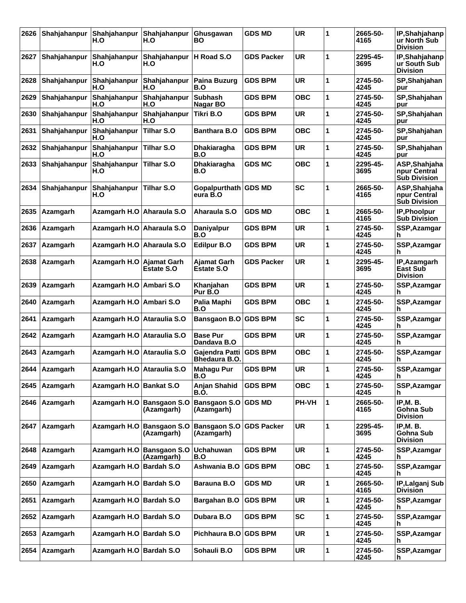| 2626 | Shahjahanpur  | Shahjahanpur<br>H.O          | Shahjahanpur<br>H.O                     | Ghusgawan<br>BО                        | <b>GDS MD</b>     | <b>UR</b>    | 1 | 2665-50-<br>4165 | IP, Shahjahanp<br>ur North Sub<br><b>Division</b>    |
|------|---------------|------------------------------|-----------------------------------------|----------------------------------------|-------------------|--------------|---|------------------|------------------------------------------------------|
| 2627 | Shahjahanpur  | Shahjahanpur<br>H.O          | Shahjahanpur<br>H.O                     | H Road S.O                             | <b>GDS Packer</b> | <b>UR</b>    | 1 | 2295-45-<br>3695 | IP, Shahjahanp<br>ur South Sub<br><b>Division</b>    |
| 2628 | Shahjahanpur  | Shahjahanpur<br>H.O          | Shahjahanpur<br>H.O                     | <b>Paina Buzurg</b><br>B.O             | <b>GDS BPM</b>    | <b>UR</b>    | 1 | 2745-50-<br>4245 | SP, Shahjahan<br>pur                                 |
| 2629 | Shahjahanpur  | Shahjahanpur<br>H.O          | Shahjahanpur<br>H.O                     | <b>Subhash</b><br>Nagar BO             | <b>GDS BPM</b>    | <b>OBC</b>   | 1 | 2745-50-<br>4245 | SP, Shahjahan<br>pur                                 |
| 2630 | Shahjahanpur  | Shahjahanpur<br>H.O          | Shahjahanpur<br>H.O                     | Tikri B.O                              | <b>GDS BPM</b>    | <b>UR</b>    | 1 | 2745-50-<br>4245 | SP, Shahjahan<br>pur                                 |
| 2631 | Shahjahanpur  | Shahjahanpur<br>H.O          | <b>Tilhar S.O</b>                       | <b>Banthara B.O</b>                    | <b>GDS BPM</b>    | <b>OBC</b>   | 1 | 2745-50-<br>4245 | SP, Shahjahan<br>pur                                 |
| 2632 | Shahjahanpur  | Shahjahanpur<br>H.O          | <b>Tilhar S.O</b>                       | <b>Dhakiaragha</b><br>B.O              | GDS BPM           | UR           | 1 | 2745-50-<br>4245 | SP, Shahjahan<br>pur                                 |
| 2633 | Shahjahanpur  | Shahjahanpur<br>H.O          | Tilhar S.O                              | <b>Dhakiaragha</b><br>B.O              | <b>GDS MC</b>     | <b>OBC</b>   | 1 | 2295-45-<br>3695 | ASP, Shahjaha<br>npur Central<br><b>Sub Division</b> |
| 2634 | Shahjahanpur  | Shahjahanpur<br>H.O          | <b>Tilhar S.O</b>                       | Gopalpurthath GDS MD<br>eura B.O       |                   | <b>SC</b>    | 1 | 2665-50-<br>4165 | ASP, Shahjaha<br>npur Central<br><b>Sub Division</b> |
| 2635 | Azamgarh      | Azamgarh H.O Aharaula S.O    |                                         | Aharaula S.O                           | <b>GDS MD</b>     | <b>OBC</b>   | 1 | 2665-50-<br>4165 | IP, Phoolpur<br><b>Sub Division</b>                  |
| 2636 | Azamgarh      | Azamgarh H.O Aharaula S.O    |                                         | <b>Daniyalpur</b><br>B.O               | <b>GDS BPM</b>    | <b>UR</b>    | 1 | 2745-50-<br>4245 | SSP, Azamgar<br>h                                    |
| 2637 | Azamgarh      | Azamgarh H.O Aharaula S.O    |                                         | <b>Edilpur B.O</b>                     | <b>GDS BPM</b>    | <b>UR</b>    | 1 | 2745-50-<br>4245 | SSP, Azamgar<br>h                                    |
| 2638 | Azamgarh      | Azamgarh H.O                 | Ajamat Garh<br>Estate S.O               | Ajamat Garh<br>Estate S.O              | <b>GDS Packer</b> | UR           | 1 | 2295-45-<br>3695 | IP, Azamgarh<br><b>East Sub</b><br><b>Division</b>   |
| 2639 | Azamgarh      | Azamgarh H.O Ambari S.O      |                                         | Khanjahan<br>Pur B.O                   | <b>GDS BPM</b>    | <b>UR</b>    | 1 | 2745-50-<br>4245 | SSP, Azamgar<br>h                                    |
| 2640 | Azamgarh      | Azamgarh H.O Ambari S.O      |                                         | Palia Maphi<br>B.O                     | <b>GDS BPM</b>    | <b>OBC</b>   | 1 | 2745-50-<br>4245 | SSP, Azamgar<br>h                                    |
| 2641 | Azamgarh      | Azamgarh H.O Ataraulia S.O   |                                         | Bansgaon B.O GDS BPM                   |                   | <b>SC</b>    | 1 | 2745-50-<br>4245 | SSP, Azamgar<br>h                                    |
| 2642 | Azamgarh      | Azamgarh H.O Ataraulia S.O   |                                         | <b>Base Pur</b><br>Dandava B.O         | <b>GDS BPM</b>    | UR           | 1 | 2745-50-<br>4245 | SSP, Azamgar<br>h                                    |
| 2643 | Azamgarh      | Azamgarh H.O   Ataraulia S.O |                                         | Gajendra Patti<br><b>Bhedaura B.O.</b> | <b>GDS BPM</b>    | <b>OBC</b>   | 1 | 2745-50-<br>4245 | SSP, Azamgar<br>h                                    |
|      | 2644 Azamgarh | Azamgarh H.O Ataraulia S.O   |                                         | <b>Mahagu Pur</b><br>B.O               | <b>GDS BPM</b>    | <b>UR</b>    |   | 2745-50-<br>4245 | SSP, Azamgar<br>h                                    |
| 2645 | Azamgarh      | Azamgarh H.O Bankat S.O      |                                         | Anjan Shahid<br><b>B.O.</b>            | <b>GDS BPM</b>    | <b>OBC</b>   | 1 | 2745-50-<br>4245 | SSP, Azamgar<br>h                                    |
| 2646 | Azamgarh      |                              | Azamgarh H.O Bansgaon S.O<br>(Azamgarh) | Bansgaon S.O GDS MD<br>(Azamgarh)      |                   | <b>PH-VH</b> | 1 | 2665-50-<br>4165 | <b>IP, M. B.</b><br>Gohna Sub<br><b>Division</b>     |
| 2647 | Azamgarh      | Azamgarh H.O Bansgaon S.O    | (Azamgarh)                              | <b>Bansgaon S.O</b><br>(Azamgarh)      | <b>GDS Packer</b> | <b>UR</b>    | 1 | 2295-45-<br>3695 | <b>IP, M. B.</b><br>Gohna Sub<br><b>Division</b>     |
| 2648 | Azamgarh      |                              | Azamgarh H.O Bansgaon S.O<br>(Azamgarh) | <b>Uchahuwan</b><br>B.O                | <b>GDS BPM</b>    | <b>UR</b>    | 1 | 2745-50-<br>4245 | SSP, Azamgar<br>h                                    |
| 2649 | Azamgarh      | Azamgarh H.O   Bardah S.O    |                                         | Ashwania B.O                           | <b>GDS BPM</b>    | <b>OBC</b>   | 1 | 2745-50-<br>4245 | SSP, Azamgar<br>h                                    |
| 2650 | Azamgarh      | Azamgarh H.O Bardah S.O      |                                         | <b>Barauna B.O</b>                     | <b>GDS MD</b>     | <b>UR</b>    | 1 | 2665-50-<br>4165 | IP, Lalganj Sub<br><b>Division</b>                   |
| 2651 | Azamgarh      | Azamgarh H.O Bardah S.O      |                                         | Bargahan B.O                           | <b>GDS BPM</b>    | <b>UR</b>    | 1 | 2745-50-<br>4245 | SSP, Azamgar<br>h                                    |
| 2652 | Azamgarh      | Azamgarh H.O Bardah S.O      |                                         | Dubara B.O                             | <b>GDS BPM</b>    | <b>SC</b>    | 1 | 2745-50-<br>4245 | SSP, Azamgar<br>h                                    |
| 2653 | Azamgarh      | Azamgarh H.O Bardah S.O      |                                         | Pichhaura B.O GDS BPM                  |                   | <b>UR</b>    | 1 | 2745-50-<br>4245 | SSP, Azamgar<br>h                                    |
| 2654 | Azamgarh      | Azamgarh H.O   Bardah S.O    |                                         | Sohauli B.O                            | <b>GDS BPM</b>    | <b>UR</b>    | 1 | 2745-50-<br>4245 | SSP, Azamgar<br>h.                                   |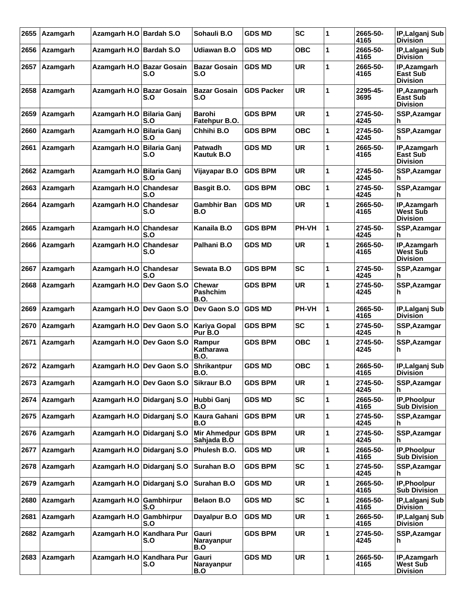| 2655 | Azamgarh        | Azamgarh H.O Bardah S.O     |                                       | Sohauli B.O                        | <b>GDS MD</b>     | <b>SC</b>  | 1 | 2665-50-<br>4165 | IP, Lalganj Sub<br><b>Division</b>                 |
|------|-----------------|-----------------------------|---------------------------------------|------------------------------------|-------------------|------------|---|------------------|----------------------------------------------------|
| 2656 | Azamgarh        | Azamgarh H.O Bardah S.O     |                                       | <b>Udiawan B.O</b>                 | <b>GDS MD</b>     | <b>OBC</b> | 1 | 2665-50-<br>4165 | IP, Lalganj Sub<br><b>Division</b>                 |
| 2657 | ∣Azamgarh       | Azamgarh H.O Bazar Gosain   | S.O                                   | <b>Bazar Gosain</b><br>S.O         | <b>GDS MD</b>     | <b>UR</b>  | 1 | 2665-50-<br>4165 | IP, Azamgarh<br>East Sub<br><b>Division</b>        |
| 2658 | Azamgarh        | Azamgarh H.O Bazar Gosain   | S.O                                   | <b>Bazar Gosain</b><br>S.O         | <b>GDS Packer</b> | <b>UR</b>  | 1 | 2295-45-<br>3695 | IP, Azamgarh<br>East Sub<br><b>Division</b>        |
| 2659 | Azamgarh        | Azamgarh H.O Bilaria Ganj   | S.O                                   | Barohi<br>Fatehpur B.O.            | <b>GDS BPM</b>    | <b>UR</b>  | 1 | 2745-50-<br>4245 | SSP, Azamgar<br>h                                  |
| 2660 | ∣Azamqarh       | Azamgarh H.O Bilaria Ganj   | S.O                                   | Chhihi B.O                         | <b>GDS BPM</b>    | <b>OBC</b> | 1 | 2745-50-<br>4245 | SSP, Azamgar<br>h                                  |
| 2661 | Azamgarh        | Azamgarh H.O                | <b>Bilaria Ganj</b><br>S.O            | Patwadh<br>Kautuk B.O              | GDS MD            | <b>UR</b>  | 1 | 2665-50-<br>4165 | IP, Azamgarh<br>East Sub<br><b>Division</b>        |
| 2662 | ∣Azamgarh       | Azamgarh H.O                | Bilaria Ganj<br>S.O                   | Vijayapar B.O                      | <b>GDS BPM</b>    | <b>UR</b>  | 1 | 2745-50-<br>4245 | SSP, Azamgar<br>h                                  |
| 2663 | Azamgarh        | Azamgarh H.O Chandesar      | S.O                                   | Basgit B.O.                        | <b>GDS BPM</b>    | <b>OBC</b> | 1 | 2745-50-<br>4245 | SSP, Azamgar<br>h                                  |
| 2664 | ∣Azamgarh       | Azamgarh H.O                | Chandesar<br>S.O                      | Gambhir Ban<br>B.O                 | <b>GDS MD</b>     | <b>UR</b>  | 1 | 2665-50-<br>4165 | IP, Azamgarh<br>West Sub<br><b>Division</b>        |
| 2665 | Azamgarh        | Azamgarh H.O Chandesar      | S.O                                   | Kanaila B.O                        | <b>GDS BPM</b>    | PH-VH      | 1 | 2745-50-<br>4245 | SSP, Azamgar<br>h                                  |
| 2666 | Azamgarh        | Azamgarh H.O                | Chandesar<br>S.O                      | Palhani B.O                        | <b>GDS MD</b>     | <b>UR</b>  | 1 | 2665-50-<br>4165 | IP, Azamgarh<br>West Sub<br><b>Division</b>        |
| 2667 | ∣Azamgarh       | Azamgarh H.O Chandesar      | S.O                                   | Sewata B.O                         | <b>GDS BPM</b>    | <b>SC</b>  | 1 | 2745-50-<br>4245 | SSP, Azamgar<br>h                                  |
| 2668 | ∣Azamgarh       | Azamgarh H.O Dev Gaon S.O   |                                       | Chewar<br><b>Pashchim</b><br>B.O.  | GDS BPM           | <b>UR</b>  | 1 | 2745-50-<br>4245 | SSP, Azamgar<br>h.                                 |
| 2669 | Azamgarh        | Azamgarh H.O Dev Gaon S.O   |                                       | Dev Gaon S.O                       | <b>GDS MD</b>     | PH-VH      | 1 | 2665-50-<br>4165 | IP, Lalganj Sub<br><b>Division</b>                 |
| 2670 | Azamgarh        | Azamgarh H.O   Dev Gaon S.O |                                       | <b>Kariya Gopal</b><br>Pur B.O     | <b>GDS BPM</b>    | <b>SC</b>  | 1 | 2745-50-<br>4245 | SSP, Azamgar<br>h                                  |
| 2671 | Azamgarh        |                             | Azamgarh H.O Dev Gaon S.O             | Rampur<br>Katharawa<br>B.O.        | <b>GDS BPM</b>    | <b>OBC</b> | 1 | 2745-50-<br>4245 | SSP, Azamgar<br>h                                  |
|      | 2672 Azamgarh   |                             | Azamgarh H.O Dev Gaon S.O Shrikantpur | <b>B.O.</b>                        | <b>GDS MD</b>     | <b>OBC</b> | 1 | 2665-50-<br>4165 | <b>IP, Lalgani Sub</b><br><b>Division</b>          |
| 2673 | Azamgarh        | Azamgarh H.O Dev Gaon S.O   |                                       | <b>Sikraur B.O</b>                 | <b>GDS BPM</b>    | <b>UR</b>  | 1 | 2745-50-<br>4245 | SSP, Azamgar<br>h.                                 |
| 2674 | <b>Azamgarh</b> | Azamgarh H.O Didarganj S.O  |                                       | Hubbi Ganj<br>B.O                  | <b>GDS MD</b>     | <b>SC</b>  | 1 | 2665-50-<br>4165 | IP, Phoolpur<br><b>Sub Division</b>                |
| 2675 | Azamgarh        | Azamgarh H.O Didarganj S.O  |                                       | Kaura Gahani<br>B.O                | <b>GDS BPM</b>    | <b>UR</b>  | 1 | 2745-50-<br>4245 | SSP, Azamgar<br>h                                  |
| 2676 | Azamgarh        | Azamgarh H.O Didarganj S.O  |                                       | <b>Mir Ahmedpur</b><br>Sahjada B.O | <b>GDS BPM</b>    | <b>UR</b>  | 1 | 2745-50-<br>4245 | SSP, Azamgar<br>h                                  |
| 2677 | Azamgarh        | Azamgarh H.O Didarganj S.O  |                                       | Phulesh B.O.                       | <b>GDS MD</b>     | <b>UR</b>  | 1 | 2665-50-<br>4165 | IP, Phoolpur<br><b>Sub Division</b>                |
| 2678 | Azamgarh        | Azamgarh H.O Didarganj S.O  |                                       | Surahan B.O                        | <b>GDS BPM</b>    | <b>SC</b>  | 1 | 2745-50-<br>4245 | SSP, Azamgar<br>h                                  |
| 2679 | <b>Azamgarh</b> | Azamgarh H.O Didarganj S.O  |                                       | Surahan B.O                        | <b>GDS MD</b>     | <b>UR</b>  | 1 | 2665-50-<br>4165 | IP, Phoolpur<br><b>Sub Division</b>                |
| 2680 | ∣Azamgarh       | Azamgarh H.O                | Gambhirpur<br>S.O                     | <b>Belaon B.O</b>                  | <b>GDS MD</b>     | <b>SC</b>  | 1 | 2665-50-<br>4165 | IP, Lalganj Sub<br><b>Division</b>                 |
| 2681 | Azamgarh        | Azamgarh H.O                | Gambhirpur<br>S.O                     | Dayalpur B.O                       | <b>GDS MD</b>     | <b>UR</b>  | 1 | 2665-50-<br>4165 | IP, Lalganj Sub<br><b>Division</b>                 |
| 2682 | Azamgarh        | Azamgarh H.O                | Kandhara Pur<br>S.O                   | Gauri<br>Narayanpur<br>B.O         | <b>GDS BPM</b>    | <b>UR</b>  | 1 | 2745-50-<br>4245 | SSP, Azamgar<br>h                                  |
| 2683 | Azamgarh        | Azamgarh H.O   Kandhara Pur | S.O                                   | Gauri<br>Narayanpur<br>B.O         | <b>GDS MD</b>     | <b>UR</b>  | 1 | 2665-50-<br>4165 | IP, Azamgarh<br><b>West Sub</b><br><b>Division</b> |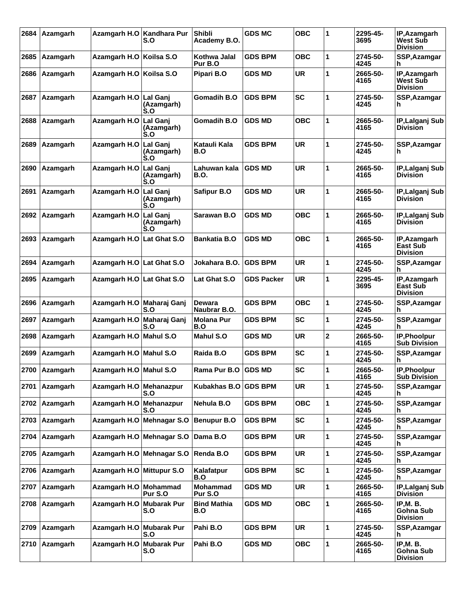| 2684 | Azamgarh        | Azamgarh H.O   Kandhara Pur | S.O                           | Shibli<br>Academy B.O.    | <b>GDS MC</b>     | <b>OBC</b> | 1              | 2295-45-<br>3695 | IP, Azamgarh<br><b>West Sub</b><br><b>Division</b> |
|------|-----------------|-----------------------------|-------------------------------|---------------------------|-------------------|------------|----------------|------------------|----------------------------------------------------|
| 2685 | Azamgarh        | Azamgarh H.O Koilsa S.O     |                               | Kothwa Jalal<br>Pur B.O   | <b>GDS BPM</b>    | <b>OBC</b> | 1              | 2745-50-<br>4245 | SSP, Azamgar<br>h                                  |
| 2686 | Azamgarh        | Azamgarh H.O Koilsa S.O     |                               | Pipari B.O                | <b>GDS MD</b>     | <b>UR</b>  | 1              | 2665-50-<br>4165 | IP, Azamgarh<br>West Sub<br><b>Division</b>        |
| 2687 | Azamgarh        | Azamgarh H.O   Lal Ganj     | (Azamgarh)<br>S.O             | Gomadih B.O               | <b>GDS BPM</b>    | <b>SC</b>  | 1              | 2745-50-<br>4245 | SSP, Azamgar<br>h                                  |
| 2688 | Azamgarh        | Azamgarh H.O                | Lal Ganj<br>(Azamgarh)<br>S.O | Gomadih B.O               | <b>GDS MD</b>     | <b>OBC</b> | 1              | 2665-50-<br>4165 | IP, Lalganj Sub<br><b>Division</b>                 |
| 2689 | Azamgarh        | Azamgarh H.O                | Lal Ganj<br>(Azamgarh)<br>S.O | Katauli Kala<br>B.O       | <b>GDS BPM</b>    | <b>UR</b>  | 1              | 2745-50-<br>4245 | SSP, Azamgar<br>h                                  |
| 2690 | Azamgarh        | Azamgarh H.O   Lal Ganj     | (Azamgarh)<br>S.O             | Lahuwan kala<br>B.O.      | <b>GDS MD</b>     | <b>UR</b>  | 1              | 2665-50-<br>4165 | IP, Lalganj Sub<br><b>Division</b>                 |
| 2691 | Azamgarh        | Azamgarh H.O                | Lal Ganj<br>(Azamgarh)<br>S.O | <b>Safipur B.O</b>        | <b>GDS MD</b>     | <b>UR</b>  | 1              | 2665-50-<br>4165 | IP, Lalganj Sub<br><b>Division</b>                 |
| 2692 | Azamgarh        | Azamgarh H.O                | Lal Ganj<br>(Azamgarh)<br>S.O | Sarawan B.O               | <b>GDS MD</b>     | <b>OBC</b> | 1              | 2665-50-<br>4165 | IP, Lalganj Sub<br><b>Division</b>                 |
| 2693 | Azamgarh        | Azamgarh H.O   Lat Ghat S.O |                               | <b>Bankatia B.O</b>       | <b>GDS MD</b>     | OBC        | 1              | 2665-50-<br>4165 | IP, Azamgarh<br><b>East Sub</b><br><b>Division</b> |
| 2694 | Azamgarh        | Azamgarh H.O Lat Ghat S.O   |                               | Jokahara B.O.             | <b>GDS BPM</b>    | <b>UR</b>  | 1              | 2745-50-<br>4245 | SSP, Azamgar<br>h                                  |
| 2695 | Azamgarh        | Azamgarh H.O Lat Ghat S.O   |                               | Lat Ghat S.O              | <b>GDS Packer</b> | <b>UR</b>  | 1              | 2295-45-<br>3695 | IP, Azamgarh<br><b>East Sub</b><br><b>Division</b> |
| 2696 | Azamgarh        | Azamgarh H.O Maharaj Ganj   | S.O                           | Dewara<br>Naubrar B.O.    | <b>GDS BPM</b>    | <b>OBC</b> | 1              | 2745-50-<br>4245 | SSP, Azamgar<br>h                                  |
| 2697 | Azamgarh        | Azamgarh H.O Maharaj Ganj   | S.O                           | <b>Molana Pur</b><br>B.O  | GDS BPM           | <b>SC</b>  | 1              | 2745-50-<br>4245 | SSP, Azamgar<br>h                                  |
| 2698 | Azamgarh        | Azamgarh H.O Mahul S.O      |                               | <b>Mahul S.O</b>          | <b>GDS MD</b>     | <b>UR</b>  | $\overline{2}$ | 2665-50-<br>4165 | IP, Phoolpur<br><b>Sub Division</b>                |
| 2699 | Azamgarh        | Azamgarh H.O   Mahul S.O    |                               | Raida B.O                 | GDS BPM           | <b>SC</b>  | 1              | 2745-50-<br>4245 | SSP, Azamgar<br>h                                  |
|      | 2700 Azamgarh   | Azamgarh H.O Mahul S.O      |                               | Rama Pur B.O GDS MD       |                   | <b>SC</b>  | 1              | 2665-50-<br>4165 | IP, Phoolpur<br><b>Sub Division</b>                |
| 2701 | Azamgarh        | Azamgarh H.O Mehanazpur     | S.O                           | Kubakhas B.O GDS BPM      |                   | <b>UR</b>  | 1              | 2745-50-<br>4245 | SSP, Azamgar<br>h                                  |
| 2702 | Azamgarh        | Azamgarh H.O                | Mehanazpur<br>S.O             | Nehula B.O                | <b>GDS BPM</b>    | <b>OBC</b> | 1              | 2745-50-<br>4245 | SSP, Azamgar<br>h                                  |
| 2703 | Azamgarh        |                             | Azamgarh H.O Mehnagar S.O     | <b>Benupur B.O</b>        | <b>GDS BPM</b>    | <b>SC</b>  | 1              | 2745-50-<br>4245 | SSP, Azamgar<br>h                                  |
| 2704 | <b>Azamgarh</b> | Azamgarh H.O Mehnagar S.O   |                               | Dama B.O                  | <b>GDS BPM</b>    | <b>UR</b>  | $\mathbf{1}$   | 2745-50-<br>4245 | SSP, Azamgar<br>h                                  |
| 2705 | Azamgarh        | Azamgarh H.O Mehnagar S.O   |                               | Renda B.O                 | <b>GDS BPM</b>    | <b>UR</b>  | 1              | 2745-50-<br>4245 | SSP, Azamgar<br>h                                  |
| 2706 | Azamgarh        | Azamgarh H.O Mittupur S.O   |                               | Kalafatpur<br>B.O         | <b>GDS BPM</b>    | <b>SC</b>  | 1              | 2745-50-<br>4245 | SSP, Azamgar<br>h                                  |
| 2707 | Azamgarh        | Azamgarh H.O Mohammad       | Pur S.O                       | Mohammad<br>Pur S.O       | <b>GDS MD</b>     | <b>UR</b>  | 1              | 2665-50-<br>4165 | IP, Lalganj Sub<br><b>Division</b>                 |
| 2708 | Azamgarh        | Azamgarh H.O                | <b>Mubarak Pur</b><br>S.O     | <b>Bind Mathia</b><br>B.O | <b>GDS MD</b>     | <b>OBC</b> | 1              | 2665-50-<br>4165 | <b>IP, M. B.</b><br>Gohna Sub<br><b>Division</b>   |
| 2709 | Azamgarh        | Azamgarh H.O Mubarak Pur    | S.O                           | Pahi B.O                  | <b>GDS BPM</b>    | <b>UR</b>  | 1              | 2745-50-<br>4245 | SSP, Azamgar<br>h.                                 |
| 2710 | Azamgarh        | Azamgarh H.O                | <b>Mubarak Pur</b><br>S.O     | Pahi B.O                  | <b>GDS MD</b>     | <b>OBC</b> | 1              | 2665-50-<br>4165 | <b>IP, M. B.</b><br>Gohna Sub<br><b>Division</b>   |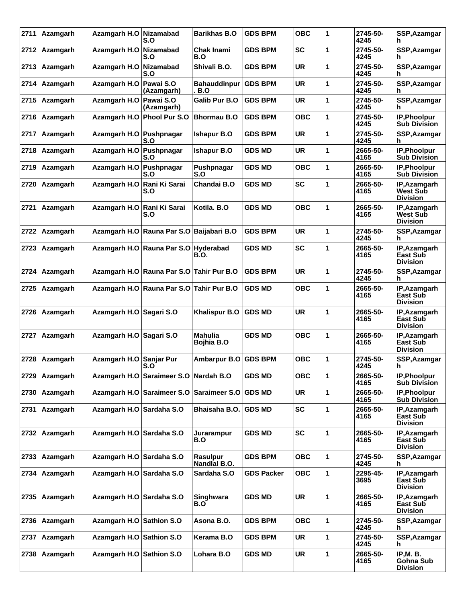| 2711 | Azamgarh        | Azamgarh H.O                 | <b>Nizamabad</b><br>S.O                  | <b>Barikhas B.O</b>          | <b>GDS BPM</b>    | <b>OBC</b> | 1 | 2745-50-<br>4245 | SSP, Azamgar<br>h                                  |
|------|-----------------|------------------------------|------------------------------------------|------------------------------|-------------------|------------|---|------------------|----------------------------------------------------|
| 2712 | Azamgarh        | Azamgarh H.O Nizamabad       | S.O                                      | Chak Inami<br>B.O            | <b>GDS BPM</b>    | <b>SC</b>  | 1 | 2745-50-<br>4245 | SSP, Azamgar<br>h                                  |
| 2713 | ∣Azamgarh       | Azamgarh H.O Nizamabad       | S.O                                      | Shivali B.O.                 | <b>GDS BPM</b>    | <b>UR</b>  | 1 | 2745-50-<br>4245 | SSP, Azamgar<br>h                                  |
| 2714 | Azamgarh        | Azamgarh H.O                 | Pawai S.O<br>(Azamgarh)                  | <b>Bahauddinpur</b><br>. B.O | <b>GDS BPM</b>    | <b>UR</b>  | 1 | 2745-50-<br>4245 | SSP, Azamgar<br>h                                  |
| 2715 | Azamgarh        | Azamgarh H.O   Pawai S.O     | (Azamgarh)                               | Galib Pur B.O                | <b>GDS BPM</b>    | <b>UR</b>  | 1 | 2745-50-<br>4245 | SSP, Azamgar                                       |
| 2716 | ∣Azamgarh       | Azamgarh H.O   Phool Pur S.O |                                          | <b>Bhormau B.O</b>           | <b>GDS BPM</b>    | <b>OBC</b> | 1 | 2745-50-<br>4245 | IP, Phoolpur<br><b>Sub Division</b>                |
| 2717 | Azamgarh        | Azamgarh H.O   Pushpnagar    | S.O                                      | <b>Ishapur B.O</b>           | <b>GDS BPM</b>    | <b>UR</b>  | 1 | 2745-50-<br>4245 | SSP, Azamgar<br>h                                  |
| 2718 | Azamgarh        | Azamgarh H.O Pushpnagar      | S.O                                      | <b>Ishapur B.O</b>           | <b>GDS MD</b>     | <b>UR</b>  | 1 | 2665-50-<br>4165 | IP, Phoolpur<br><b>Sub Division</b>                |
| 2719 | Azamgarh        | Azamgarh H.O Pushpnagar      | S.O                                      | Pushpnagar<br>S.O            | <b>GDS MD</b>     | <b>OBC</b> | 1 | 2665-50-<br>4165 | IP, Phoolpur<br><b>Sub Division</b>                |
| 2720 | Azamgarh        | Azamgarh H.O                 | Rani Ki Sarai<br>S.O                     | Chandai B.O                  | GDS MD            | <b>SC</b>  | 1 | 2665-50-<br>4165 | IP, Azamgarh<br>West Sub<br><b>Division</b>        |
| 2721 | Azamgarh        | Azamgarh H.O                 | Rani Ki Sarai<br>S.O                     | Kotila, B.O.                 | <b>GDS MD</b>     | <b>OBC</b> | 1 | 2665-50-<br>4165 | IP, Azamgarh<br>West Sub<br><b>Division</b>        |
| 2722 | ∣Azamgarh       |                              | Azamgarh H.O Rauna Par S.O Baijabari B.O |                              | <b>GDS BPM</b>    | <b>UR</b>  | 1 | 2745-50-<br>4245 | SSP, Azamgar<br>h                                  |
| 2723 | Azamgarh        |                              | Azamgarh H.O Rauna Par S.O               | Hyderabad<br>B.O.            | <b>GDS MD</b>     | <b>SC</b>  | 1 | 2665-50-<br>4165 | IP, Azamgarh<br><b>East Sub</b><br><b>Division</b> |
| 2724 | Azamgarh        |                              | Azamgarh H.O Rauna Par S.O Tahir Pur B.O |                              | <b>GDS BPM</b>    | <b>UR</b>  | 1 | 2745-50-<br>4245 | SSP, Azamgar<br>h                                  |
| 2725 | Azamgarh        |                              | Azamgarh H.O Rauna Par S.O Tahir Pur B.O |                              | <b>GDS MD</b>     | <b>OBC</b> | 1 | 2665-50-<br>4165 | IP, Azamgarh<br><b>East Sub</b><br><b>Division</b> |
| 2726 | Azamgarh        | Azamgarh H.O Sagari S.O      |                                          | <b>Khalispur B.O</b>         | <b>GDS MD</b>     | <b>UR</b>  | 1 | 2665-50-<br>4165 | IP, Azamgarh<br>East Sub<br><b>Division</b>        |
| 2727 | Azamgarh        | Azamgarh H.O Sagari S.O      |                                          | Mahulia<br>Bojhia B.O        | <b>GDS MD</b>     | <b>OBC</b> | 1 | 2665-50-<br>4165 | IP, Azamgarh<br><b>East Sub</b><br><b>Division</b> |
| 2728 | Azamgarh        | Azamgarh H.O Sanjar Pur      | S.O                                      | Ambarpur B.O GDS BPM         |                   | <b>OBC</b> | 1 | 2745-50-<br>4245 | SSP, Azamgar<br>h                                  |
| 2729 | Azamgarh        |                              | Azamgarh H.O Saraimeer S.O               | Nardah B.O                   | <b>GDS MD</b>     | <b>OBC</b> | 1 | 2665-50-<br>4165 | IP, Phoolpur<br><b>Sub Division</b>                |
| 2730 | Azamgarh        |                              | Azamgarh H.O Saraimeer S.O               | Saraimeer S.O GDS MD         |                   | <b>UR</b>  | 1 | 2665-50-<br>4165 | IP, Phoolpur<br><b>Sub Division</b>                |
| 2731 | Azamgarh        | Azamgarh H.O Sardaha S.O     |                                          | Bhaisaha B.O. GDS MD         |                   | <b>SC</b>  | 1 | 2665-50-<br>4165 | IP, Azamgarh<br><b>East Sub</b><br><b>Division</b> |
| 2732 | <b>Azamgarh</b> | Azamgarh H.O Sardaha S.O     |                                          | Jurarampur<br>B.O            | <b>GDS MD</b>     | <b>SC</b>  | 1 | 2665-50-<br>4165 | IP, Azamgarh<br><b>East Sub</b><br><b>Division</b> |
| 2733 | Azamgarh        | Azamgarh H.O Sardaha S.O     |                                          | Rasulpur<br>Nandlal B.O.     | <b>GDS BPM</b>    | <b>OBC</b> | 1 | 2745-50-<br>4245 | SSP, Azamgar<br>h.                                 |
|      | 2734 Azamgarh   | Azamgarh H.O Sardaha S.O     |                                          | Sardaha S.O                  | <b>GDS Packer</b> | <b>OBC</b> | 1 | 2295-45-<br>3695 | IP, Azamgarh<br>East Sub<br><b>Division</b>        |
| 2735 | Azamgarh        | Azamgarh H.O Sardaha S.O     |                                          | Singhwara<br>B.O             | <b>GDS MD</b>     | <b>UR</b>  | 1 | 2665-50-<br>4165 | IP, Azamgarh<br><b>East Sub</b><br><b>Division</b> |
| 2736 | Azamgarh        | Azamgarh H.O Sathion S.O     |                                          | Asona B.O.                   | <b>GDS BPM</b>    | <b>OBC</b> | 1 | 2745-50-<br>4245 | SSP, Azamgar<br>h                                  |
| 2737 | ∣Azamgarh       | Azamgarh H.O Sathion S.O     |                                          | Kerama B.O                   | <b>GDS BPM</b>    | <b>UR</b>  | 1 | 2745-50-<br>4245 | SSP, Azamgar<br>h                                  |
| 2738 | Azamgarh        | Azamgarh H.O Sathion S.O     |                                          | Lohara B.O                   | <b>GDS MD</b>     | UR         | 1 | 2665-50-<br>4165 | <b>IP, M. B.</b><br>Gohna Sub<br><b>Division</b>   |
|      |                 |                              |                                          |                              |                   |            |   |                  |                                                    |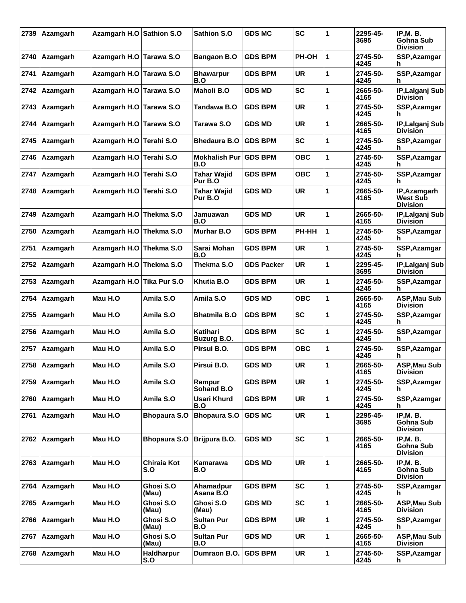| 2739 | Azamgarh  | Azamgarh H.O Sathion S.O  |                     | <b>Sathion S.O</b>          | <b>GDS MC</b>     | <b>SC</b>  | 1 | 2295-45-<br>3695 | IP,M. B.<br><b>Gohna Sub</b><br><b>Division</b>  |
|------|-----------|---------------------------|---------------------|-----------------------------|-------------------|------------|---|------------------|--------------------------------------------------|
| 2740 | Azamgarh  | Azamgarh H.O              | <b>Tarawa S.O</b>   | <b>Bangaon B.O</b>          | <b>GDS BPM</b>    | PH-OH      | 1 | 2745-50-<br>4245 | SSP, Azamgar<br>h                                |
| 2741 | Azamgarh  | Azamgarh H.O Tarawa S.O   |                     | <b>Bhawarpur</b><br>B.O     | <b>GDS BPM</b>    | <b>UR</b>  | 1 | 2745-50-<br>4245 | SSP, Azamgar<br>h                                |
| 2742 | Azamgarh  | Azamgarh H.O              | <b>Tarawa S.O</b>   | <b>Maholi B.O</b>           | <b>GDS MD</b>     | <b>SC</b>  | 1 | 2665-50-<br>4165 | IP, Lalganj Sub<br><b>Division</b>               |
| 2743 | Azamgarh  | Azamgarh H.O              | Tarawa S.O          | Tandawa B.O                 | <b>GDS BPM</b>    | <b>UR</b>  | 1 | 2745-50-<br>4245 | SSP, Azamgar<br>h                                |
| 2744 | Azamgarh  | Azamgarh H.O Tarawa S.O   |                     | Tarawa S.O                  | <b>GDS MD</b>     | <b>UR</b>  | 1 | 2665-50-<br>4165 | IP, Lalganj Sub<br><b>Division</b>               |
| 2745 | Azamgarh  | Azamgarh H.O Terahi S.O   |                     | <b>Bhedaura B.O</b>         | <b>GDS BPM</b>    | <b>SC</b>  | 1 | 2745-50-<br>4245 | SSP, Azamgar<br>h                                |
| 2746 | Azamgarh  | Azamgarh H.O              | Terahi S.O          | <b>Mokhalish Pur</b><br>B.O | <b>GDS BPM</b>    | <b>OBC</b> | 1 | 2745-50-<br>4245 | SSP, Azamgar<br>h                                |
| 2747 | Azamgarh  | Azamgarh H.O Terahi S.O   |                     | Tahar Wajid<br>Pur B.O      | <b>GDS BPM</b>    | <b>OBC</b> | 1 | 2745-50-<br>4245 | SSP, Azamgar<br>h                                |
| 2748 | Azamgarh  | Azamgarh H.O              | ∣Terahi S.O         | Tahar Wajid<br>Pur B.O      | <b>GDS MD</b>     | <b>UR</b>  | 1 | 2665-50-<br>4165 | IP, Azamgarh<br>West Sub<br><b>Division</b>      |
| 2749 | Azamgarh  | Azamgarh H.O Thekma S.O   |                     | Jamuawan<br>B.O             | <b>GDS MD</b>     | <b>UR</b>  | 1 | 2665-50-<br>4165 | IP, Lalganj Sub<br><b>Division</b>               |
| 2750 | Azamgarh  | Azamgarh H.O Thekma S.O   |                     | Murhar B.O                  | <b>GDS BPM</b>    | PH-HH      | 1 | 2745-50-<br>4245 | SSP, Azamgar<br>h                                |
| 2751 | Azamgarh  | Azamgarh H.O              | Thekma S.O          | Sarai Mohan<br>B.O          | GDS BPM           | UR         | 1 | 2745-50-<br>4245 | SSP, Azamgar<br>h                                |
| 2752 | Azamgarh  | Azamgarh H.O              | Thekma S.O          | Thekma S.O                  | <b>GDS Packer</b> | <b>UR</b>  | 1 | 2295-45-<br>3695 | IP,Lalganj Sub<br><b>Division</b>                |
| 2753 | Azamgarh  | Azamgarh H.O Tika Pur S.O |                     | Khutia B.O                  | <b>GDS BPM</b>    | <b>UR</b>  | 1 | 2745-50-<br>4245 | SSP, Azamgar<br>h                                |
| 2754 | Azamgarh  | Mau H.O                   | Amila S.O           | Amila S.O                   | GDS MD            | <b>OBC</b> | 1 | 2665-50-<br>4165 | <b>ASP, Mau Sub</b><br><b>Division</b>           |
| 2755 | Azamgarh  | Mau H.O                   | Amila S.O           | Bhatmila B.O                | <b>GDS BPM</b>    | <b>SC</b>  | 1 | 2745-50-<br>4245 | SSP, Azamgar<br>h                                |
| 2756 | Azamgarh  | Mau H.O                   | Amila S.O           | Katihari<br>Buzurg B.O.     | <b>GDS BPM</b>    | <b>SC</b>  | 1 | 2745-50-<br>4245 | SSP, Azamgar<br>h                                |
| 2757 | Azamgarh  | Mau H.O                   | Amila S.O           | Pirsui B.O.                 | GDS BPM           | <b>OBC</b> | 1 | 2745-50-<br>4245 | SSP, Azamgar<br>h                                |
| 2758 | ∣Azamqarh | Mau H.O                   | Amila S.O           | Pirsui B.O.                 | <b>GDS MD</b>     | <b>UR</b>  | 1 | 2665-50-<br>4165 | <b>ASP.Mau Sub</b><br><b>Division</b>            |
| 2759 | Azamgarh  | Mau H.O                   | Amila S.O           | Rampur<br>Sohand B.O        | <b>GDS BPM</b>    | <b>UR</b>  | 1 | 2745-50-<br>4245 | SSP, Azamgar<br>h                                |
| 2760 | Azamgarh  | Mau H.O                   | Amila S.O           | Usari Khurd<br>B.O          | <b>GDS BPM</b>    | <b>UR</b>  | 1 | 2745-50-<br>4245 | SSP, Azamgar<br>h                                |
| 2761 | Azamgarh  | Mau H.O                   | <b>Bhopaura S.O</b> | <b>Bhopaura S.O</b>         | <b>GDS MC</b>     | <b>UR</b>  | 1 | 2295-45-<br>3695 | <b>IP, M. B.</b><br>Gohna Sub<br><b>Division</b> |
| 2762 | Azamgarh  | Mau H.O                   | <b>Bhopaura S.O</b> | Brijpura B.O.               | <b>GDS MD</b>     | <b>SC</b>  | 1 | 2665-50-<br>4165 | <b>IP, M. B.</b><br>Gohna Sub<br><b>Division</b> |
| 2763 | Azamgarh  | Mau H.O                   | Chiraia Kot<br>S.O  | Kamarawa<br>B.O             | <b>GDS MD</b>     | <b>UR</b>  | 1 | 2665-50-<br>4165 | <b>IP, M. B.</b><br>Gohna Sub<br><b>Division</b> |
| 2764 | Azamgarh  | Mau H.O                   | Ghosi S.O<br>(Mau)  | Ahamadpur<br>Asana B.O      | <b>GDS BPM</b>    | <b>SC</b>  | 1 | 2745-50-<br>4245 | SSP, Azamgar<br>h                                |
| 2765 | Azamgarh  | Mau H.O                   | Ghosi S.O<br>(Mau)  | Ghosi S.O<br>(Mau)          | <b>GDS MD</b>     | <b>SC</b>  | 1 | 2665-50-<br>4165 | <b>ASP, Mau Sub</b><br><b>Division</b>           |
| 2766 | Azamgarh  | Mau H.O                   | Ghosi S.O<br>(Mau)  | <b>Sultan Pur</b><br>B.O    | <b>GDS BPM</b>    | <b>UR</b>  | 1 | 2745-50-<br>4245 | SSP, Azamgar<br>h.                               |
| 2767 | Azamgarh  | Mau H.O                   | Ghosi S.O<br>(Mau)  | <b>Sultan Pur</b><br>B.O    | <b>GDS MD</b>     | <b>UR</b>  | 1 | 2665-50-<br>4165 | <b>ASP, Mau Sub</b><br><b>Division</b>           |
| 2768 | Azamgarh  | Mau H.O                   | Haldharpur<br>S.O   | Dumraon B.O.                | <b>GDS BPM</b>    | <b>UR</b>  | 1 | 2745-50-<br>4245 | SSP, Azamgar<br>h                                |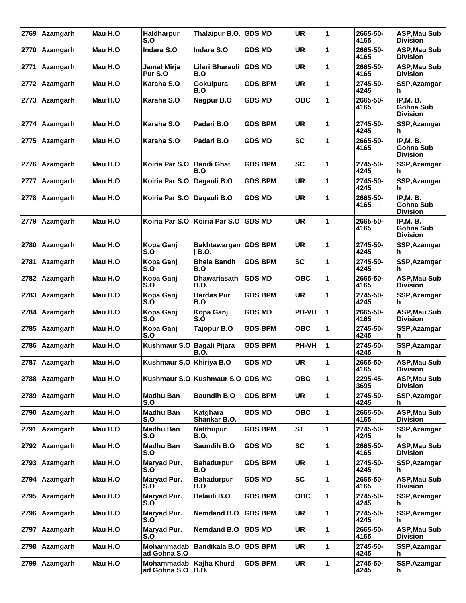| 2769 | Azamgarh      | Mau H.O | <b>Haldharpur</b><br>S.O   | Thalaipur B.O.                     | <b>GDS MD</b>  | <b>UR</b>  | 1 | 2665-50-<br>4165 | <b>ASP, Mau Sub</b><br><b>Division</b>                  |
|------|---------------|---------|----------------------------|------------------------------------|----------------|------------|---|------------------|---------------------------------------------------------|
| 2770 | Azamgarh      | Mau H.O | Indara S.O                 | Indara S.O                         | <b>GDS MD</b>  | <b>UR</b>  | 1 | 2665-50-<br>4165 | <b>ASP, Mau Sub</b><br><b>Division</b>                  |
| 2771 | Azamgarh      | Mau H.O | Jamal Mirja<br>Pur S.O     | Lilari Bharauli<br>B.O             | <b>GDS MD</b>  | <b>UR</b>  | 1 | 2665-50-<br>4165 | <b>ASP, Mau Sub</b><br><b>Division</b>                  |
| 2772 | Azamgarh      | Mau H.O | Karaha S.O                 | Gokulpura<br>B.O                   | <b>GDS BPM</b> | <b>UR</b>  | 1 | 2745-50-<br>4245 | SSP, Azamgar<br>h                                       |
| 2773 | Azamgarh      | Mau H.O | Karaha S.O                 | Nagpur B.O                         | <b>GDS MD</b>  | <b>OBC</b> | 1 | 2665-50-<br>4165 | <b>IP, M. B.</b><br><b>Gohna Sub</b><br><b>Division</b> |
| 2774 | Azamgarh      | Mau H.O | Karaha S.O                 | Padari B.O                         | <b>GDS BPM</b> | <b>UR</b>  | 1 | 2745-50-<br>4245 | SSP, Azamgar                                            |
| 2775 | Azamgarh      | Mau H.O | Karaha S.O                 | Padari B.O                         | <b>GDS MD</b>  | <b>SC</b>  | 1 | 2665-50-<br>4165 | <b>IP, M. B.</b><br>Gohna Sub<br><b>Division</b>        |
| 2776 | Azamgarh      | Mau H.O | Koiria Par S.O             | <b>Bandi Ghat</b><br>B.O           | <b>GDS BPM</b> | <b>SC</b>  | 1 | 2745-50-<br>4245 | SSP, Azamgar<br>h                                       |
| 2777 | Azamgarh      | Mau H.O | Koiria Par S.O             | Dagauli B.O                        | <b>GDS BPM</b> | <b>UR</b>  | 1 | 2745-50-<br>4245 | SSP, Azamgar<br>h                                       |
| 2778 | Azamgarh      | Mau H.O | Koiria Par S.O             | Dagauli B.O                        | <b>GDS MD</b>  | <b>UR</b>  | 1 | 2665-50-<br>4165 | <b>IP, M. B.</b><br>Gohna Sub<br><b>Division</b>        |
| 2779 | Azamgarh      | Mau H.O | Koiria Par S.O             | Koiria Par S.O                     | <b>GDS MD</b>  | <b>UR</b>  | 1 | 2665-50-<br>4165 | <b>IP, M. B.</b><br>Gohna Sub<br><b>Division</b>        |
| 2780 | Azamgarh      | Mau H.O | Kopa Ganj<br>S.O           | Bakhtawargan GDS BPM<br>i B.O.     |                | <b>UR</b>  | 1 | 2745-50-<br>4245 | SSP, Azamgar<br>h                                       |
| 2781 | Azamgarh      | Mau H.O | Kopa Ganj<br>S.O           | <b>Bhela Bandh</b><br>B.O          | <b>GDS BPM</b> | <b>SC</b>  | 1 | 2745-50-<br>4245 | SSP, Azamgar<br>h                                       |
| 2782 | Azamgarh      | Mau H.O | Kopa Ganj<br>S.O           | <b>Dhawariasath</b><br><b>B.O.</b> | <b>GDS MD</b>  | <b>OBC</b> | 1 | 2665-50-<br>4165 | <b>ASP, Mau Sub</b><br><b>Division</b>                  |
| 2783 | Azamgarh      | Mau H.O | Kopa Ganj<br>S.O           | <b>Hardas Pur</b><br>B.O           | GDS BPM        | <b>UR</b>  | 1 | 2745-50-<br>4245 | SSP, Azamgar<br>h                                       |
| 2784 | Azamgarh      | Mau H.O | Kopa Ganj<br>S.O           | Kopa Ganj<br>S.O                   | <b>GDS MD</b>  | PH-VH      | 1 | 2665-50-<br>4165 | <b>ASP, Mau Sub</b><br><b>Division</b>                  |
| 2785 | Azamgarh      | Mau H.O | Kopa Ganj<br>S.O           | Tajopur B.O                        | <b>GDS BPM</b> | <b>OBC</b> | 1 | 2745-50-<br>4245 | SSP, Azamgar<br>h                                       |
| 2786 | Azamgarh      | Mau H.O | <b>Kushmaur S.O</b>        | Bagali Pijara<br>B.O.              | <b>GDS BPM</b> | PH-VH      | 1 | 2745-50-<br>4245 | SSP, Azamgar                                            |
| 2787 | ∣Azamgarh     | Mau H.O | Kushmaur S.O Khiriya B.O   |                                    | <b>GDS MD</b>  | <b>UR</b>  | 1 | 2665-50-<br>4165 | <b>ASP, Mau Sub</b><br>DIVISION                         |
| 2788 | Azamgarh      | Mau H.O |                            | Kushmaur S.O Kushmaur S.O GDS MC   |                | <b>OBC</b> | 1 | 2295-45-<br>3695 | <b>ASP, Mau Sub</b><br><b>Division</b>                  |
| 2789 | Azamgarh      | Mau H.O | Madhu Ban<br>S.O           | <b>Baundih B.O</b>                 | <b>GDS BPM</b> | UR         | 1 | 2745-50-<br>4245 | SSP, Azamgar<br>h                                       |
| 2790 | Azamgarh      | Mau H.O | <b>Madhu Ban</b><br>S.O    | Katahara<br>Shankar B.O.           | <b>GDS MD</b>  | <b>OBC</b> | 1 | 2665-50-<br>4165 | <b>ASP, Mau Sub</b><br><b>Division</b>                  |
| 2791 | Azamgarh      | Mau H.O | <b>Madhu Ban</b><br>S.O    | <b>Natthupur</b><br>B.O.           | <b>GDS BPM</b> | <b>ST</b>  | 1 | 2745-50-<br>4245 | SSP, Azamgar<br>h                                       |
|      | 2792 Azamgarh | Mau H.O | Madhu Ban<br>S.O           | Saundih B.O                        | <b>GDS MD</b>  | <b>SC</b>  | 1 | 2665-50-<br>4165 | <b>ASP, Mau Sub</b><br><b>Division</b>                  |
| 2793 | Azamgarh      | Mau H.O | Maryad Pur.<br>S.O         | <b>Bahadurpur</b><br>B.O           | <b>GDS BPM</b> | UR         | 1 | 2745-50-<br>4245 | SSP, Azamgar<br>h                                       |
| 2794 | Azamgarh      | Mau H.O | Maryad Pur.<br>S.O         | <b>Bahadurpur</b><br>B.O           | <b>GDS MD</b>  | <b>SC</b>  | 1 | 2665-50-<br>4165 | <b>ASP, Mau Sub</b><br>Division                         |
| 2795 | Azamgarh      | Mau H.O | Maryad Pur.<br>S.O         | <b>Belauli B.O</b>                 | <b>GDS BPM</b> | <b>OBC</b> | 1 | 2745-50-<br>4245 | SSP, Azamgar<br>h                                       |
| 2796 | Azamgarh      | Mau H.O | Maryad Pur.<br>S.O         | <b>Nemdand B.O</b>                 | <b>GDS BPM</b> | UR         | 1 | 2745-50-<br>4245 | SSP, Azamgar<br>h                                       |
| 2797 | Azamgarh      | Mau H.O | Maryad Pur.<br>S.O         | Nemdand B.O                        | <b>GDS MD</b>  | <b>UR</b>  | 1 | 2665-50-<br>4165 | <b>ASP, Mau Sub</b><br><b>Division</b>                  |
| 2798 | Azamgarh      | Mau H.O | Mohammadab<br>ad Gohna S.O | <b>Bandikala B.O</b>               | <b>GDS BPM</b> | <b>UR</b>  | 1 | 2745-50-<br>4245 | SSP, Azamgar<br>h.                                      |
| 2799 | Azamgarh      | Mau H.O | Mohammadab<br>ad Gohna S.O | Kajha Khurd<br> B.O.               | <b>GDS BPM</b> | <b>UR</b>  | 1 | 2745-50-<br>4245 | SSP, Azamgar<br>h.                                      |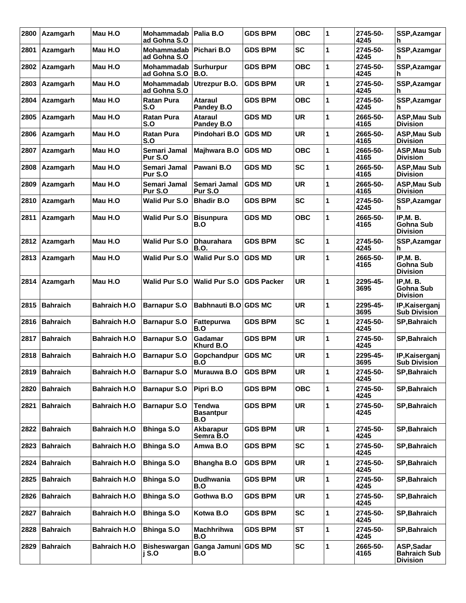| 2800 | Azamgarh        | Mau H.O             | Mohammadab<br>ad Gohna S.O        | Palia B.O                                | <b>GDS BPM</b>    | <b>OBC</b> | 1            | 2745-50-<br>4245 | SSP, Azamgar<br>h                                       |
|------|-----------------|---------------------|-----------------------------------|------------------------------------------|-------------------|------------|--------------|------------------|---------------------------------------------------------|
| 2801 | Azamgarh        | Mau H.O             | <b>Mohammadab</b><br>ad Gohna S.O | Pichari B.O                              | <b>GDS BPM</b>    | <b>SC</b>  | 1            | 2745-50-<br>4245 | SSP, Azamgar<br>h                                       |
| 2802 | Azamgarh        | Mau H.O             | <b>Mohammadab</b><br>ad Gohna S.O | <b>Surhurpur</b><br><b>B.O.</b>          | <b>GDS BPM</b>    | <b>OBC</b> | 1            | 2745-50-<br>4245 | SSP, Azamgar<br>h                                       |
| 2803 | Azamgarh        | Mau H.O             | Mohammadab<br>ad Gohna S.O        | Utrezpur B.O.                            | <b>GDS BPM</b>    | <b>UR</b>  | 1            | 2745-50-<br>4245 | SSP, Azamgar<br>h                                       |
| 2804 | Azamgarh        | Mau H.O             | <b>Ratan Pura</b><br>S.O          | Ataraul<br>Pandey B.O                    | <b>GDS BPM</b>    | <b>OBC</b> | 1            | 2745-50-<br>4245 | SSP, Azamgar<br>h                                       |
| 2805 | Azamgarh        | Mau H.O             | <b>Ratan Pura</b><br>S.O          | <b>Ataraul</b><br>Pandey B.O             | <b>GDS MD</b>     | <b>UR</b>  | 1            | 2665-50-<br>4165 | <b>ASP, Mau Sub</b><br><b>Division</b>                  |
| 2806 | Azamgarh        | Mau H.O             | <b>Ratan Pura</b><br>S.O          | Pindohari B.O                            | <b>GDS MD</b>     | <b>UR</b>  | 1            | 2665-50-<br>4165 | <b>ASP, Mau Sub</b><br><b>Division</b>                  |
| 2807 | Azamgarh        | Mau H.O             | Semari Jamal<br>Pur S.O           | Majhwara B.O                             | <b>GDS MD</b>     | <b>OBC</b> | 1            | 2665-50-<br>4165 | <b>ASP, Mau Sub</b><br><b>Division</b>                  |
| 2808 | Azamgarh        | Mau H.O             | Semari Jamal<br>Pur S.O           | Pawani B.O                               | <b>GDS MD</b>     | <b>SC</b>  | 1            | 2665-50-<br>4165 | <b>ASP, Mau Sub</b><br><b>Division</b>                  |
| 2809 | Azamgarh        | Mau H.O             | Semari Jamal<br>Pur S.O           | Semari Jamal<br>Pur S.O                  | <b>GDS MD</b>     | <b>UR</b>  | 1            | 2665-50-<br>4165 | <b>ASP, Mau Sub</b><br><b>Division</b>                  |
| 2810 | Azamgarh        | Mau H.O             | <b>Walid Pur S.O</b>              | <b>Bhadir B.O</b>                        | <b>GDS BPM</b>    | <b>SC</b>  | 1            | 2745-50-<br>4245 | SSP, Azamgar<br>h                                       |
| 2811 | Azamgarh        | Mau H.O             | <b>Walid Pur S.O</b>              | <b>Bisunpura</b><br>B.O                  | <b>GDS MD</b>     | <b>OBC</b> | 1            | 2665-50-<br>4165 | <b>IP, M. B.</b><br><b>Gohna Sub</b><br><b>Division</b> |
| 2812 | Azamgarh        | Mau H.O             | <b>Walid Pur S.O</b>              | <b>Dhaurahara</b><br><b>B.O.</b>         | <b>GDS BPM</b>    | <b>SC</b>  | 1            | 2745-50-<br>4245 | SSP, Azamgar<br>h                                       |
| 2813 | Azamgarh        | Mau H.O             | <b>Walid Pur S.O</b>              | <b>Walid Pur S.O</b>                     | <b>GDS MD</b>     | <b>UR</b>  | 1            | 2665-50-<br>4165 | <b>IP.M. B.</b><br><b>Gohna Sub</b><br><b>Division</b>  |
| 2814 | Azamgarh        | Mau H.O             | <b>Walid Pur S.O</b>              | <b>Walid Pur S.O</b>                     | <b>GDS Packer</b> | <b>UR</b>  | 1            | 2295-45-<br>3695 | <b>IP, M. B.</b><br><b>Gohna Sub</b><br><b>Division</b> |
| 2815 | <b>Bahraich</b> | <b>Bahraich H.O</b> | <b>Barnapur S.O</b>               | Babhnauti B.O GDS MC                     |                   | <b>UR</b>  | 1            | 2295-45-<br>3695 | IP, Kaiserganj<br><b>Sub Division</b>                   |
| 2816 | <b>Bahraich</b> | <b>Bahraich H.O</b> | <b>Barnapur S.O</b>               | Fattepurwa<br>B.O                        | <b>GDS BPM</b>    | <b>SC</b>  | 1            | 2745-50-<br>4245 | <b>SP, Bahraich</b>                                     |
| 2817 | <b>Bahraich</b> | <b>Bahraich H.O</b> | <b>Barnapur S.O</b>               | <b>Gadamar</b><br>Khurd B.O              | <b>GDS BPM</b>    | <b>UR</b>  | 1            | 2745-50-<br>4245 | <b>SP, Bahraich</b>                                     |
| 2818 | <b>Bahraich</b> | <b>Bahraich H.O</b> | <b>Barnapur S.O</b>               | Gopchandpur<br>B.O                       | <b>GDS MC</b>     | <b>UR</b>  | 1            | 2295-45-<br>3695 | IP, Kaiserganj<br><b>Sub Division</b>                   |
| 2819 | Bahraich        | <b>Bahraich H.O</b> | <b>Barnapur S.O</b>               | Murauwa B.O                              | <b>GDS BPM</b>    | <b>UR</b>  | 1            | 2745-50-<br>4245 | <b>SP, Bahraich</b>                                     |
| 2820 | <b>Bahraich</b> | <b>Bahraich H.O</b> | <b>Barnapur S.O</b>               | Pipri B.O                                | <b>GDS BPM</b>    | <b>OBC</b> | $\mathbf{1}$ | 2745-50-<br>4245 | <b>SP, Bahraich</b>                                     |
| 2821 | <b>Bahraich</b> | <b>Bahraich H.O</b> | <b>Barnapur S.O</b>               | <b>Tendwa</b><br><b>Basantpur</b><br>B.O | <b>GDS BPM</b>    | <b>UR</b>  | 1            | 2745-50-<br>4245 | <b>SP, Bahraich</b>                                     |
| 2822 | <b>Bahraich</b> | <b>Bahraich H.O</b> | <b>Bhinga S.O</b>                 | Akbarapur<br>Semra B.O                   | <b>GDS BPM</b>    | <b>UR</b>  | 1            | 2745-50-<br>4245 | SP, Bahraich                                            |
| 2823 | <b>Bahraich</b> | <b>Bahraich H.O</b> | <b>Bhinga S.O</b>                 | Amwa B.O                                 | <b>GDS BPM</b>    | <b>SC</b>  | 1            | 2745-50-<br>4245 | SP, Bahraich                                            |
| 2824 | <b>Bahraich</b> | <b>Bahraich H.O</b> | <b>Bhinga S.O</b>                 | Bhangha B.O                              | <b>GDS BPM</b>    | UR         | 1            | 2745-50-<br>4245 | SP, Bahraich                                            |
| 2825 | <b>Bahraich</b> | <b>Bahraich H.O</b> | <b>Bhinga S.O</b>                 | Dudhwania<br>B.O                         | <b>GDS BPM</b>    | <b>UR</b>  | 1            | 2745-50-<br>4245 | SP, Bahraich                                            |
| 2826 | <b>Bahraich</b> | <b>Bahraich H.O</b> | <b>Bhinga S.O</b>                 | Gothwa B.O                               | <b>GDS BPM</b>    | <b>UR</b>  | $\mathbf{1}$ | 2745-50-<br>4245 | SP, Bahraich                                            |
| 2827 | <b>Bahraich</b> | <b>Bahraich H.O</b> | <b>Bhinga S.O</b>                 | Kotwa B.O                                | <b>GDS BPM</b>    | SC         | 1            | 2745-50-<br>4245 | SP, Bahraich                                            |
| 2828 | <b>Bahraich</b> | <b>Bahraich H.O</b> | <b>Bhinga S.O</b>                 | Machhrihwa<br>B.O                        | <b>GDS BPM</b>    | <b>ST</b>  | 1            | 2745-50-<br>4245 | SP, Bahraich                                            |
| 2829 | <b>Bahraich</b> | <b>Bahraich H.O</b> | <b>Bisheswargan</b><br>j S.O      | Ganga Jamuni GDS MD<br>B.O               |                   | <b>SC</b>  | 1            | 2665-50-<br>4165 | ASP,Sadar<br><b>Bahraich Sub</b><br><b>Division</b>     |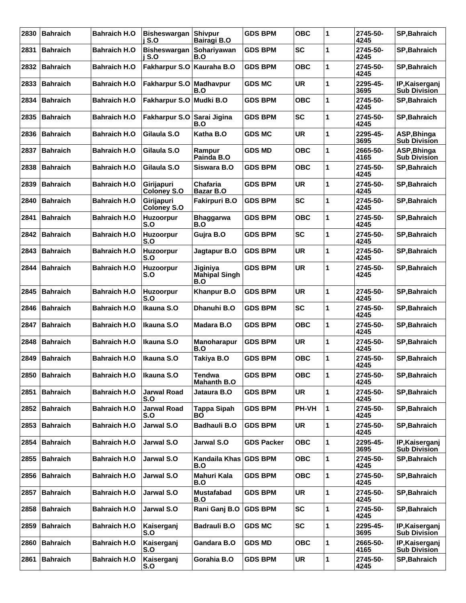| 2830 | <b>Bahraich</b> | <b>Bahraich H.O</b> | <b>Bisheswargan</b><br>i S.O     | <b>Shivpur</b><br>Bairagi B.O           | <b>GDS BPM</b>    | <b>OBC</b> | 1 | 2745-50-<br>4245 | <b>SP, Bahraich</b>                   |
|------|-----------------|---------------------|----------------------------------|-----------------------------------------|-------------------|------------|---|------------------|---------------------------------------|
| 2831 | <b>Bahraich</b> | <b>Bahraich H.O</b> | <b>Bisheswargan</b><br>i S.O     | Sohariyawan<br>B.O                      | <b>GDS BPM</b>    | <b>SC</b>  | 1 | 2745-50-<br>4245 | <b>SP, Bahraich</b>                   |
| 2832 | <b>Bahraich</b> | <b>Bahraich H.O</b> | <b>Fakharpur S.O</b>             | Kauraha B.O                             | <b>GDS BPM</b>    | <b>OBC</b> | 1 | 2745-50-<br>4245 | <b>SP, Bahraich</b>                   |
| 2833 | <b>Bahraich</b> | <b>Bahraich H.O</b> | <b>Fakharpur S.O</b>             | Madhavpur<br>B.O                        | <b>GDS MC</b>     | <b>UR</b>  | 1 | 2295-45-<br>3695 | IP, Kaiserganj<br><b>Sub Division</b> |
| 2834 | <b>Bahraich</b> | <b>Bahraich H.O</b> | Fakharpur S.O                    | Mudki B.O                               | <b>GDS BPM</b>    | <b>OBC</b> | 1 | 2745-50-<br>4245 | <b>SP, Bahraich</b>                   |
| 2835 | <b>Bahraich</b> | <b>Bahraich H.O</b> | <b>Fakharpur S.O</b>             | Sarai Jigina<br>B.O                     | <b>GDS BPM</b>    | <b>SC</b>  | 1 | 2745-50-<br>4245 | <b>SP, Bahraich</b>                   |
| 2836 | <b>Bahraich</b> | <b>Bahraich H.O</b> | Gilaula S.O                      | Katha B.O                               | <b>GDS MC</b>     | <b>UR</b>  | 1 | 2295-45-<br>3695 | ASP, Bhinga<br><b>Sub Division</b>    |
| 2837 | <b>Bahraich</b> | <b>Bahraich H.O</b> | Gilaula S.O                      | Rampur<br>Painda B.O                    | <b>GDS MD</b>     | <b>OBC</b> | 1 | 2665-50-<br>4165 | ASP, Bhinga<br><b>Sub Division</b>    |
| 2838 | <b>Bahraich</b> | <b>Bahraich H.O</b> | Gilaula S.O                      | Siswara B.O                             | <b>GDS BPM</b>    | <b>OBC</b> | 1 | 2745-50-<br>4245 | <b>SP, Bahraich</b>                   |
| 2839 | <b>Bahraich</b> | Bahraich H.O        | Girijapuri<br><b>Coloney S.O</b> | Chafaria<br>Bazar B.O                   | GDS BPM           | <b>UR</b>  | 1 | 2745-50-<br>4245 | <b>SP, Bahraich</b>                   |
| 2840 | <b>Bahraich</b> | <b>Bahraich H.O</b> | Girijapuri<br><b>Coloney S.O</b> | <b>Fakirpuri B.O</b>                    | <b>GDS BPM</b>    | <b>SC</b>  | 1 | 2745-50-<br>4245 | <b>SP, Bahraich</b>                   |
| 2841 | <b>Bahraich</b> | Bahraich H.O        | Huzoorpur<br>S.O                 | <b>Bhaggarwa</b><br>B.O                 | <b>GDS BPM</b>    | <b>OBC</b> | 1 | 2745-50-<br>4245 | <b>SP, Bahraich</b>                   |
| 2842 | <b>Bahraich</b> | <b>Bahraich H.O</b> | Huzoorpur<br>S.O                 | Gujra B.O                               | <b>GDS BPM</b>    | <b>SC</b>  | 1 | 2745-50-<br>4245 | <b>SP, Bahraich</b>                   |
| 2843 | <b>Bahraich</b> | <b>Bahraich H.O</b> | Huzoorpur<br>S.O                 | Jagtapur B.O                            | <b>GDS BPM</b>    | <b>UR</b>  | 1 | 2745-50-<br>4245 | <b>SP, Bahraich</b>                   |
| 2844 | <b>Bahraich</b> | <b>Bahraich H.O</b> | Huzoorpur<br>S.O                 | Jiginiya<br><b>Mahipal Singh</b><br>B.O | <b>GDS BPM</b>    | <b>UR</b>  | 1 | 2745-50-<br>4245 | <b>SP, Bahraich</b>                   |
| 2845 | <b>Bahraich</b> | <b>Bahraich H.O</b> | Huzoorpur<br>S.O                 | <b>Khanpur B.O</b>                      | <b>GDS BPM</b>    | <b>UR</b>  | 1 | 2745-50-<br>4245 | <b>SP, Bahraich</b>                   |
| 2846 | <b>Bahraich</b> | <b>Bahraich H.O</b> | Ikauna S.O                       | Dhanuhi B.O                             | <b>GDS BPM</b>    | <b>SC</b>  | 1 | 2745-50-<br>4245 | <b>SP, Bahraich</b>                   |
| 2847 | <b>Bahraich</b> | <b>Bahraich H.O</b> | Ikauna S.O                       | Madara B.O                              | <b>GDS BPM</b>    | <b>OBC</b> | 1 | 2745-50-<br>4245 | <b>SP, Bahraich</b>                   |
| 2848 | <b>Bahraich</b> | <b>Bahraich H.O</b> | Ikauna S.O                       | <b>Manoharapur</b><br>B.O               | <b>GDS BPM</b>    | <b>UR</b>  | 1 | 2745-50-<br>4245 | <b>SP, Bahraich</b>                   |
| 2849 | <b>Bahraich</b> | <b>Bahraich H.O</b> | Ikauna S.O                       | Takiya B.O                              | GDS BPM           | <b>OBC</b> | 1 | 2745-50-<br>4245 | SP, Bahraich                          |
| 2850 | <b>Bahraich</b> | <b>Bahraich H.O</b> | Ikauna S.O                       | Tendwa<br><b>Mahanth B.O</b>            | <b>GDS BPM</b>    | <b>OBC</b> | 1 | 2745-50-<br>4245 | SP, Bahraich                          |
| 2851 | <b>Bahraich</b> | <b>Bahraich H.O</b> | <b>Jarwal Road</b><br>S.O        | Jataura B.O                             | <b>GDS BPM</b>    | <b>UR</b>  | 1 | 2745-50-<br>4245 | SP, Bahraich                          |
| 2852 | <b>Bahraich</b> | <b>Bahraich H.O</b> | <b>Jarwal Road</b><br>S.O        | Tappa Sipah<br>BO.                      | <b>GDS BPM</b>    | PH-VH      | 1 | 2745-50-<br>4245 | SP, Bahraich                          |
| 2853 | <b>Bahraich</b> | <b>Bahraich H.O</b> | Jarwal S.O                       | <b>Badhauli B.O</b>                     | <b>GDS BPM</b>    | <b>UR</b>  | 1 | 2745-50-<br>4245 | <b>SP, Bahraich</b>                   |
| 2854 | <b>Bahraich</b> | <b>Bahraich H.O</b> | Jarwal S.O                       | Jarwal S.O                              | <b>GDS Packer</b> | <b>OBC</b> | 1 | 2295-45-<br>3695 | IP, Kaiserganj<br><b>Sub Division</b> |
| 2855 | <b>Bahraich</b> | <b>Bahraich H.O</b> | Jarwal S.O                       | Kandaila Khas<br>B.O                    | <b>GDS BPM</b>    | <b>OBC</b> | 1 | 2745-50-<br>4245 | SP, Bahraich                          |
| 2856 | <b>Bahraich</b> | <b>Bahraich H.O</b> | Jarwal S.O                       | Mahuri Kala<br>B.O                      | <b>GDS BPM</b>    | <b>OBC</b> | 1 | 2745-50-<br>4245 | SP, Bahraich                          |
| 2857 | <b>Bahraich</b> | <b>Bahraich H.O</b> | Jarwal S.O                       | Mustafabad<br>B.O                       | <b>GDS BPM</b>    | <b>UR</b>  | 1 | 2745-50-<br>4245 | SP, Bahraich                          |
| 2858 | <b>Bahraich</b> | <b>Bahraich H.O</b> | Jarwal S.O                       | Rani Ganj B.O                           | <b>GDS BPM</b>    | <b>SC</b>  | 1 | 2745-50-<br>4245 | SP, Bahraich                          |
| 2859 | <b>Bahraich</b> | <b>Bahraich H.O</b> | Kaiserganj<br>S.O                | <b>Badrauli B.O</b>                     | <b>GDS MC</b>     | <b>SC</b>  | 1 | 2295-45-<br>3695 | IP, Kaiserganj<br><b>Sub Division</b> |
| 2860 | <b>Bahraich</b> | <b>Bahraich H.O</b> | Kaiserganj<br>S.O                | Gandara B.O                             | <b>GDS MD</b>     | <b>OBC</b> | 1 | 2665-50-<br>4165 | IP, Kaiserganj<br><b>Sub Division</b> |
| 2861 | <b>Bahraich</b> | <b>Bahraich H.O</b> | Kaiserganj<br>S.O                | Gorahia B.O                             | <b>GDS BPM</b>    | UR         | 1 | 2745-50-<br>4245 | SP, Bahraich                          |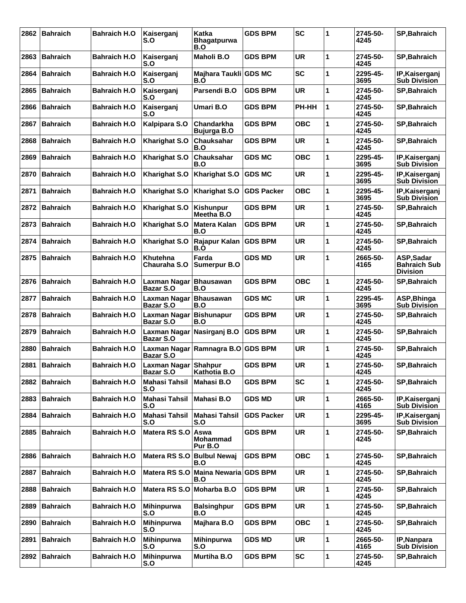| 2862 | <b>Bahraich</b> | <b>Bahraich H.O</b> | Kaiserganj<br>S.O                       | <b>Katka</b><br><b>Bhagatpurwa</b><br>B.O | <b>GDS BPM</b>    | <b>SC</b>  | 1 | 2745-50-<br>4245 | <b>SP, Bahraich</b>                                 |
|------|-----------------|---------------------|-----------------------------------------|-------------------------------------------|-------------------|------------|---|------------------|-----------------------------------------------------|
| 2863 | <b>Bahraich</b> | <b>Bahraich H.O</b> | Kaiserganj<br>S.O                       | <b>Maholi B.O</b>                         | <b>GDS BPM</b>    | <b>UR</b>  | 1 | 2745-50-<br>4245 | SP, Bahraich                                        |
| 2864 | <b>Bahraich</b> | <b>Bahraich H.O</b> | Kaiserganj<br>S.O                       | Majhara Taukli GDS MC<br>B.O              |                   | <b>SC</b>  | 1 | 2295-45-<br>3695 | IP, Kaiserganj<br><b>Sub Division</b>               |
| 2865 | <b>Bahraich</b> | Bahraich H.O        | Kaiserganj<br>S.O                       | Parsendi B.O                              | <b>GDS BPM</b>    | <b>UR</b>  | 1 | 2745-50-<br>4245 | <b>SP, Bahraich</b>                                 |
| 2866 | <b>Bahraich</b> | <b>Bahraich H.O</b> | Kaiserganj<br>S.O                       | Umari B.O                                 | GDS BPM           | PH-HH      | 1 | 2745-50-<br>4245 | <b>SP, Bahraich</b>                                 |
| 2867 | <b>Bahraich</b> | Bahraich H.O        | Kalpipara S.O                           | Chandarkha<br><b>Bujurga B.O</b>          | GDS BPM           | <b>OBC</b> | 1 | 2745-50-<br>4245 | <b>SP, Bahraich</b>                                 |
| 2868 | <b>Bahraich</b> | Bahraich H.O        | <b>Kharighat S.O</b>                    | <b>Chauksahar</b><br>B.O                  | GDS BPM           | <b>UR</b>  | 1 | 2745-50-<br>4245 | <b>SP, Bahraich</b>                                 |
| 2869 | <b>Bahraich</b> | <b>Bahraich H.O</b> | <b>Kharighat S.O</b>                    | Chauksahar<br>B.O                         | <b>GDS MC</b>     | OBC        | 1 | 2295-45-<br>3695 | IP, Kaiserganj<br><b>Sub Division</b>               |
| 2870 | <b>Bahraich</b> | Bahraich H.O        | <b>Kharighat S.O</b>                    | Kharighat S.O                             | <b>GDS MC</b>     | <b>UR</b>  | 1 | 2295-45-<br>3695 | IP, Kaiserganj<br><b>Sub Division</b>               |
| 2871 | <b>Bahraich</b> | Bahraich H.O        | <b>Kharighat S.O</b>                    | <b>Kharighat S.O</b>                      | <b>GDS Packer</b> | OBC        | 1 | 2295-45-<br>3695 | IP, Kaiserganj<br><b>Sub Division</b>               |
| 2872 | <b>Bahraich</b> | <b>Bahraich H.O</b> | <b>Kharighat S.O</b>                    | Kishunpur<br>Meetha B.O                   | <b>GDS BPM</b>    | <b>UR</b>  | 1 | 2745-50-<br>4245 | <b>SP, Bahraich</b>                                 |
| 2873 | <b>Bahraich</b> | Bahraich H.O        | <b>Kharighat S.O</b>                    | <b>Matera Kalan</b><br>B.O                | <b>GDS BPM</b>    | <b>UR</b>  | 1 | 2745-50-<br>4245 | <b>SP, Bahraich</b>                                 |
| 2874 | <b>Bahraich</b> | <b>Bahraich H.O</b> | <b>Kharighat S.O</b>                    | Rajapur Kalan GDS BPM<br>B.O              |                   | <b>UR</b>  | 1 | 2745-50-<br>4245 | <b>SP, Bahraich</b>                                 |
| 2875 | <b>Bahraich</b> | <b>Bahraich H.O</b> | Khutehna<br>Chauraha S.O                | Farda<br><b>Sumerpur B.O</b>              | <b>GDS MD</b>     | <b>UR</b>  | 1 | 2665-50-<br>4165 | ASP,Sadar<br><b>Bahraich Sub</b><br><b>Division</b> |
| 2876 | <b>Bahraich</b> | <b>Bahraich H.O</b> | Laxman Nagar<br><b>Bazar S.O</b>        | <b>Bhausawan</b><br>B.O                   | <b>GDS BPM</b>    | <b>OBC</b> | 1 | 2745-50-<br>4245 | <b>SP, Bahraich</b>                                 |
| 2877 | <b>Bahraich</b> | <b>Bahraich H.O</b> | <b>Laxman Nagar</b><br><b>Bazar S.O</b> | <b>Bhausawan</b><br>B.O                   | GDS MC            | UR         | 1 | 2295-45-<br>3695 | ASP, Bhinga<br><b>Sub Division</b>                  |
| 2878 | <b>Bahraich</b> | <b>Bahraich H.O</b> | Laxman Nagar<br><b>Bazar S.O</b>        | <b>Bishunapur</b><br>B.O                  | <b>GDS BPM</b>    | <b>UR</b>  | 1 | 2745-50-<br>4245 | <b>SP, Bahraich</b>                                 |
| 2879 | <b>Bahraich</b> | <b>Bahraich H.O</b> | <b>Laxman Nagar</b><br><b>Bazar S.O</b> | Nasirganj B.O                             | <b>GDS BPM</b>    | <b>UR</b>  | 1 | 2745-50-<br>4245 | SP, Bahraich                                        |
| 2880 | <b>Bahraich</b> | <b>Bahraich H.O</b> | Laxman Nagar<br><b>Bazar S.O</b>        | Ramnagra B.O                              | <b>GDS BPM</b>    | <b>UR</b>  | 1 | 2745-50-<br>4245 | <b>SP, Bahraich</b>                                 |
| 2881 | <b>Bahraich</b> | <b>Bahraich H.O</b> | Laxman Nagar Shahpur<br>Bazar S.O       | Kathotia B.O                              | <b>GDS BPM</b>    | <b>UR</b>  | 1 | 2745-50-<br>4245 | <b>SP.Bahraich</b>                                  |
| 2882 | Bahraich        | <b>Bahraich H.O</b> | <b>Mahasi Tahsil</b><br>S.O             | Mahasi B.O                                | <b>GDS BPM</b>    | <b>SC</b>  | 1 | 2745-50-<br>4245 | SP, Bahraich                                        |
| 2883 | <b>Bahraich</b> | <b>Bahraich H.O</b> | <b>Mahasi Tahsil</b><br>S.O             | Mahasi B.O                                | <b>GDS MD</b>     | <b>UR</b>  | 1 | 2665-50-<br>4165 | IP, Kaiserganj<br><b>Sub Division</b>               |
| 2884 | <b>Bahraich</b> | <b>Bahraich H.O</b> | <b>Mahasi Tahsil</b><br>S.O             | <b>Mahasi Tahsil</b><br>S.O               | <b>GDS Packer</b> | <b>UR</b>  | 1 | 2295-45-<br>3695 | IP, Kaiserganj<br><b>Sub Division</b>               |
| 2885 | <b>Bahraich</b> | <b>Bahraich H.O</b> | Matera RS S.O                           | Aswa<br>Mohammad<br>Pur B.O               | <b>GDS BPM</b>    | <b>UR</b>  | 1 | 2745-50-<br>4245 | SP, Bahraich                                        |
| 2886 | <b>Bahraich</b> | <b>Bahraich H.O</b> | Matera RS S.O                           | <b>Bulbul Newaj</b><br>B.O                | <b>GDS BPM</b>    | <b>OBC</b> | 1 | 2745-50-<br>4245 | SP, Bahraich                                        |
| 2887 | <b>Bahraich</b> | <b>Bahraich H.O</b> | Matera RS S.O                           | Maina Newaria GDS BPM<br>B.O              |                   | <b>UR</b>  | 1 | 2745-50-<br>4245 | SP, Bahraich                                        |
| 2888 | <b>Bahraich</b> | <b>Bahraich H.O</b> | Matera RS S.O                           | Moharba B.O                               | <b>GDS BPM</b>    | <b>UR</b>  | 1 | 2745-50-<br>4245 | <b>SP, Bahraich</b>                                 |
| 2889 | <b>Bahraich</b> | <b>Bahraich H.O</b> | <b>Mihinpurwa</b><br>S.O                | <b>Balsinghpur</b><br>B.O                 | <b>GDS BPM</b>    | <b>UR</b>  | 1 | 2745-50-<br>4245 | SP, Bahraich                                        |
| 2890 | <b>Bahraich</b> | <b>Bahraich H.O</b> | Mihinpurwa<br>S.O                       | Majhara B.O                               | <b>GDS BPM</b>    | <b>OBC</b> | 1 | 2745-50-<br>4245 | SP, Bahraich                                        |
| 2891 | <b>Bahraich</b> | <b>Bahraich H.O</b> | Mihinpurwa<br>S.O                       | <b>Mihinpurwa</b><br>S.O                  | <b>GDS MD</b>     | UR         | 1 | 2665-50-<br>4165 | IP, Nanpara<br><b>Sub Division</b>                  |
| 2892 | <b>Bahraich</b> | <b>Bahraich H.O</b> | <b>Mihinpurwa</b><br>S.O                | <b>Murtiha B.O</b>                        | <b>GDS BPM</b>    | <b>SC</b>  | 1 | 2745-50-<br>4245 | SP, Bahraich                                        |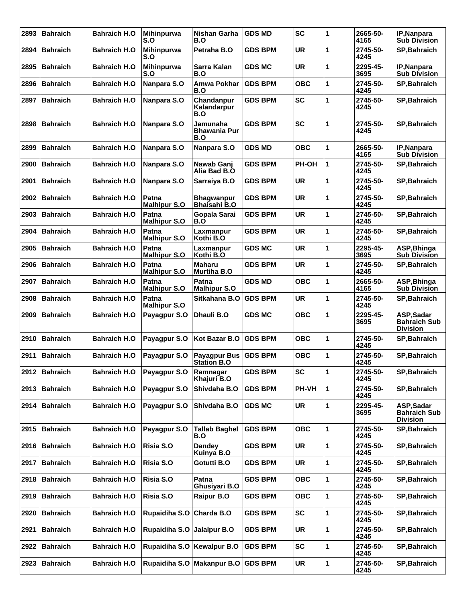| 2893 | <b>Bahraich</b> | <b>Bahraich H.O</b> | <b>Mihinpurwa</b><br>S.O     | Nishan Garha<br>B.O                    | <b>GDS MD</b>  | <b>SC</b>  | 1            | 2665-50-<br>4165 | <b>IP, Nanpara</b><br><b>Sub Division</b>           |
|------|-----------------|---------------------|------------------------------|----------------------------------------|----------------|------------|--------------|------------------|-----------------------------------------------------|
| 2894 | <b>Bahraich</b> | <b>Bahraich H.O</b> | <b>Mihinpurwa</b><br>S.O     | Petraha B.O                            | <b>GDS BPM</b> | <b>UR</b>  | 1            | 2745-50-<br>4245 | <b>SP, Bahraich</b>                                 |
| 2895 | <b>Bahraich</b> | <b>Bahraich H.O</b> | <b>Mihinpurwa</b><br>S.O     | Sarra Kalan<br>B.O                     | <b>GDS MC</b>  | <b>UR</b>  | 1            | 2295-45-<br>3695 | IP, Nanpara<br><b>Sub Division</b>                  |
| 2896 | <b>Bahraich</b> | <b>Bahraich H.O</b> | Nanpara S.O                  | Amwa Pokhar<br>B.O                     | <b>GDS BPM</b> | <b>OBC</b> | 1            | 2745-50-<br>4245 | SP, Bahraich                                        |
| 2897 | <b>Bahraich</b> | <b>Bahraich H.O</b> | Nanpara S.O                  | Chandanpur<br>Kalandarpur<br>B.O       | <b>GDS BPM</b> | <b>SC</b>  | 1            | 2745-50-<br>4245 | <b>SP, Bahraich</b>                                 |
| 2898 | <b>Bahraich</b> | <b>Bahraich H.O</b> | Nanpara S.O                  | Jamunaha<br><b>Bhawania Pur</b><br>B.O | <b>GDS BPM</b> | <b>SC</b>  | 1            | 2745-50-<br>4245 | <b>SP, Bahraich</b>                                 |
| 2899 | <b>Bahraich</b> | <b>Bahraich H.O</b> | Nanpara S.O                  | Nanpara S.O                            | <b>GDS MD</b>  | OBC        | 1            | 2665-50-<br>4165 | IP, Nanpara<br><b>Sub Division</b>                  |
| 2900 | <b>Bahraich</b> | <b>Bahraich H.O</b> | Nanpara S.O                  | Nawab Gani<br>Alia Bad B.O             | <b>GDS BPM</b> | PH-OH      | 1            | 2745-50-<br>4245 | <b>SP, Bahraich</b>                                 |
| 2901 | <b>Bahraich</b> | <b>Bahraich H.O</b> | Nanpara S.O                  | Sarraiya B.O                           | <b>GDS BPM</b> | <b>UR</b>  | 1            | 2745-50-<br>4245 | SP, Bahraich                                        |
| 2902 | <b>Bahraich</b> | <b>Bahraich H.O</b> | Patna<br><b>Malhipur S.O</b> | <b>Bhagwanpur</b><br>Bhaisahi B.O      | <b>GDS BPM</b> | UR         | 1            | 2745-50-<br>4245 | <b>SP, Bahraich</b>                                 |
| 2903 | <b>Bahraich</b> | <b>Bahraich H.O</b> | Patna<br><b>Malhipur S.O</b> | Gopala Sarai<br>B.O                    | <b>GDS BPM</b> | <b>UR</b>  | 1            | 2745-50-<br>4245 | <b>SP, Bahraich</b>                                 |
| 2904 | <b>Bahraich</b> | <b>Bahraich H.O</b> | Patna<br><b>Malhipur S.O</b> | Laxmanpur<br>Kothi B.O                 | <b>GDS BPM</b> | <b>UR</b>  | 1            | 2745-50-<br>4245 | <b>SP, Bahraich</b>                                 |
| 2905 | <b>Bahraich</b> | <b>Bahraich H.O</b> | Patna<br><b>Malhipur S.O</b> | Laxmanpur<br>Kothi B.O                 | <b>GDS MC</b>  | <b>UR</b>  | 1            | 2295-45-<br>3695 | ASP, Bhinga<br><b>Sub Division</b>                  |
| 2906 | <b>Bahraich</b> | <b>Bahraich H.O</b> | Patna<br><b>Malhipur S.O</b> | Maharu<br><b>Murtiha B.O</b>           | <b>GDS BPM</b> | <b>UR</b>  | 1            | 2745-50-<br>4245 | <b>SP, Bahraich</b>                                 |
| 2907 | <b>Bahraich</b> | <b>Bahraich H.O</b> | Patna<br><b>Malhipur S.O</b> | Patna<br><b>Malhipur S.O</b>           | <b>GDS MD</b>  | <b>OBC</b> | 1            | 2665-50-<br>4165 | ASP, Bhinga<br><b>Sub Division</b>                  |
| 2908 | <b>Bahraich</b> | <b>Bahraich H.O</b> | Patna<br><b>Malhipur S.O</b> | Sitkahana B.O                          | <b>GDS BPM</b> | <b>UR</b>  | 1            | 2745-50-<br>4245 | SP, Bahraich                                        |
| 2909 | <b>Bahraich</b> | <b>Bahraich H.O</b> | Payagpur S.O                 | <b>Dhauli B.O</b>                      | <b>GDS MC</b>  | <b>OBC</b> | 1            | 2295-45-<br>3695 | ASP,Sadar<br><b>Bahraich Sub</b><br><b>Division</b> |
| 2910 | <b>Bahraich</b> | <b>Bahraich H.O</b> | Payagpur S.O                 | Kot Bazar B.O                          | <b>GDS BPM</b> | <b>OBC</b> | 1            | 2745-50-<br>4245 | <b>SP.Bahraich</b>                                  |
| 2911 | <b>Bahraich</b> | <b>Bahraich H.O</b> | Payagpur S.O                 | Payagpur Bus<br><b>Station B.O</b>     | <b>GDS BPM</b> | <b>OBC</b> | 1            | 2745-50-<br>4245 | <b>SP, Bahraich</b>                                 |
|      | 2912 Bahraich   | <b>Bahraich H.O</b> | Payagpur S.O                 | Ramnagar<br>Khajuri B.O                | <b>GDS BPM</b> | <b>SC</b>  | 1            | 2745-50-<br>4245 | <b>SP, Bahraich</b>                                 |
| 2913 | <b>Bahraich</b> | <b>Bahraich H.O</b> | Payagpur S.O                 | Shivdaha B.O                           | <b>GDS BPM</b> | PH-VH      | $\mathbf{1}$ | 2745-50-<br>4245 | <b>SP, Bahraich</b>                                 |
| 2914 | Bahraich        | <b>Bahraich H.O</b> | Payagpur S.O                 | Shivdaha B.O                           | <b>GDS MC</b>  | UR         | 1            | 2295-45-<br>3695 | ASP,Sadar<br><b>Bahraich Sub</b><br><b>Division</b> |
| 2915 | Bahraich        | <b>Bahraich H.O</b> | Payagpur S.O                 | Tallab Baghel<br>B.O                   | <b>GDS BPM</b> | <b>OBC</b> | 1            | 2745-50-<br>4245 | SP, Bahraich                                        |
| 2916 | Bahraich        | <b>Bahraich H.O</b> | Risia S.O                    | <b>Dandey</b><br>Kuinya B.O            | <b>GDS BPM</b> | <b>UR</b>  | 1            | 2745-50-<br>4245 | SP, Bahraich                                        |
| 2917 | <b>Bahraich</b> | <b>Bahraich H.O</b> | Risia S.O                    | Gotutti B.O                            | <b>GDS BPM</b> | <b>UR</b>  | 1            | 2745-50-<br>4245 | <b>SP, Bahraich</b>                                 |
| 2918 | Bahraich        | <b>Bahraich H.O</b> | Risia S.O                    | Patna<br>Ghusiyari B.O                 | <b>GDS BPM</b> | <b>OBC</b> | 1            | 2745-50-<br>4245 | SP, Bahraich                                        |
| 2919 | Bahraich        | <b>Bahraich H.O</b> | Risia S.O                    | <b>Raipur B.O</b>                      | <b>GDS BPM</b> | <b>OBC</b> | 1            | 2745-50-<br>4245 | SP, Bahraich                                        |
| 2920 | <b>Bahraich</b> | <b>Bahraich H.O</b> | <b>Rupaidiha S.O</b>         | Charda B.O                             | <b>GDS BPM</b> | SC         | 1            | 2745-50-<br>4245 | SP, Bahraich                                        |
| 2921 | <b>Bahraich</b> | <b>Bahraich H.O</b> | Rupaidiha S.O Jalalpur B.O   |                                        | <b>GDS BPM</b> | <b>UR</b>  | 1            | 2745-50-<br>4245 | SP, Bahraich                                        |
| 2922 | Bahraich        | <b>Bahraich H.O</b> | Rupaidiha S.O   Kewalpur B.O |                                        | <b>GDS BPM</b> | <b>SC</b>  | 1            | 2745-50-<br>4245 | SP, Bahraich                                        |
| 2923 | <b>Bahraich</b> | <b>Bahraich H.O</b> |                              | Rupaidiha S.O Makanpur B.O             | <b>GDS BPM</b> | UR         | 1            | 2745-50-<br>4245 | <b>SP, Bahraich</b>                                 |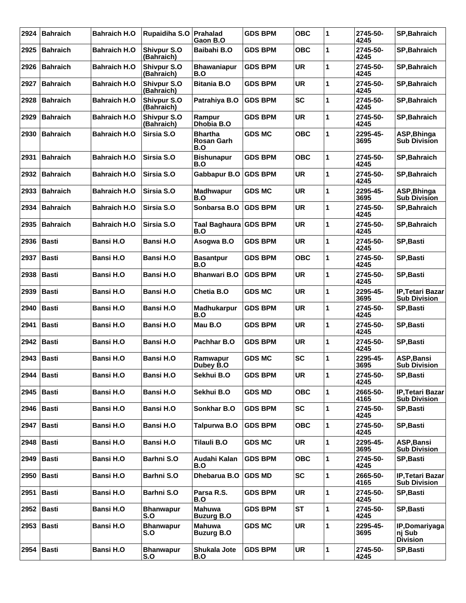| 2924 | <b>Bahraich</b> | <b>Bahraich H.O</b> | Rupaidiha S.O                    | <b>Prahalad</b><br>Gaon B.O  | <b>GDS BPM</b> | <b>OBC</b> | 1            | 2745-50-<br>4245 | <b>SP, Bahraich</b>                            |
|------|-----------------|---------------------|----------------------------------|------------------------------|----------------|------------|--------------|------------------|------------------------------------------------|
| 2925 | <b>Bahraich</b> | <b>Bahraich H.O</b> | <b>Shivpur S.O</b><br>(Bahraich) | Baibahi B.O                  | <b>GDS BPM</b> | <b>OBC</b> | 1            | 2745-50-<br>4245 | SP, Bahraich                                   |
| 2926 | Bahraich        | <b>Bahraich H.O</b> | <b>Shivpur S.O</b><br>(Bahraich) | <b>Bhawaniapur</b><br>B.O    | <b>GDS BPM</b> | <b>UR</b>  | 1            | 2745-50-<br>4245 | <b>SP, Bahraich</b>                            |
| 2927 | <b>Bahraich</b> | <b>Bahraich H.O</b> | <b>Shivpur S.O</b><br>(Bahraich) | Bitania B.O                  | GDS BPM        | <b>UR</b>  | 1            | 2745-50-<br>4245 | <b>SP, Bahraich</b>                            |
| 2928 | <b>Bahraich</b> | <b>Bahraich H.O</b> | <b>Shivpur S.O</b><br>(Bahraich) | Patrahiya B.O                | <b>GDS BPM</b> | <b>SC</b>  | 1            | 2745-50-<br>4245 | SP, Bahraich                                   |
| 2929 | <b>Bahraich</b> | <b>Bahraich H.O</b> | <b>Shivpur S.O</b><br>(Bahraich) | Rampur<br>Dhobia B.O         | <b>GDS BPM</b> | <b>UR</b>  | 1            | 2745-50-<br>4245 | <b>SP, Bahraich</b>                            |
| 2930 | <b>Bahraich</b> | <b>Bahraich H.O</b> | Sirsia S.O                       | Bhartha<br>Rosan Garh<br>B.O | <b>GDS MC</b>  | <b>OBC</b> | 1            | 2295-45-<br>3695 | ASP, Bhinga<br><b>Sub Division</b>             |
| 2931 | <b>Bahraich</b> | <b>Bahraich H.O</b> | Sirsia S.O                       | <b>Bishunapur</b><br>B.O     | <b>GDS BPM</b> | <b>OBC</b> | 1            | 2745-50-<br>4245 | SP, Bahraich                                   |
| 2932 | <b>Bahraich</b> | <b>Bahraich H.O</b> | Sirsia S.O                       | Gabbapur B.O                 | <b>GDS BPM</b> | <b>UR</b>  | 1            | 2745-50-<br>4245 | <b>SP, Bahraich</b>                            |
| 2933 | <b>Bahraich</b> | <b>Bahraich H.O</b> | Sirsia S.O                       | <b>Madhwapur</b><br>B.O      | <b>GDS MC</b>  | <b>UR</b>  | 1            | 2295-45-<br>3695 | ASP, Bhinga<br><b>Sub Division</b>             |
| 2934 | <b>Bahraich</b> | <b>Bahraich H.O</b> | Sirsia S.O                       | Sonbarsa B.O                 | <b>GDS BPM</b> | <b>UR</b>  | 1            | 2745-50-<br>4245 | SP, Bahraich                                   |
| 2935 | <b>Bahraich</b> | <b>Bahraich H.O</b> | Sirsia S.O                       | Taal Baghaura GDS BPM<br>B.O |                | <b>UR</b>  | 1            | 2745-50-<br>4245 | <b>SP, Bahraich</b>                            |
| 2936 | <b>Basti</b>    | <b>Bansi H.O.</b>   | Bansi H.O                        | Asogwa B.O                   | <b>GDS BPM</b> | <b>UR</b>  | 1            | 2745-50-<br>4245 | SP, Basti                                      |
| 2937 | <b>Basti</b>    | <b>Bansi H.O</b>    | <b>Bansi H.O</b>                 | <b>Basantpur</b><br>B.O      | <b>GDS BPM</b> | <b>OBC</b> | 1            | 2745-50-<br>4245 | <b>SP, Basti</b>                               |
| 2938 | <b>Basti</b>    | <b>Bansi H.O</b>    | <b>Bansi H.O</b>                 | Bhanwari B.O                 | <b>GDS BPM</b> | <b>UR</b>  | 1            | 2745-50-<br>4245 | <b>SP, Basti</b>                               |
| 2939 | <b>Basti</b>    | <b>Bansi H.O</b>    | <b>Bansi H.O</b>                 | Chetia B.O                   | <b>GDS MC</b>  | <b>UR</b>  | 1            | 2295-45-<br>3695 | IP, Tetari Bazar<br><b>Sub Division</b>        |
| 2940 | <b>Basti</b>    | <b>Bansi H.O</b>    | Bansi H.O                        | Madhukarpur<br>B.O           | <b>GDS BPM</b> | <b>UR</b>  | 1            | 2745-50-<br>4245 | SP, Basti                                      |
| 2941 | <b>Basti</b>    | <b>Bansi H.O</b>    | <b>Bansi H.O</b>                 | Mau B.O                      | <b>GDS BPM</b> | <b>UR</b>  | 1            | 2745-50-<br>4245 | <b>SP, Basti</b>                               |
| 2942 | Basti           | <b>Bansi H.O</b>    | <b>Bansi H.O</b>                 | Pachhar B.O                  | <b>GDS BPM</b> | <b>UR</b>  | 1            | 2745-50-<br>4245 | <b>SP, Basti</b>                               |
| 2943 | <b>Basti</b>    | Bansi H.O           | <b>Bansi H.O</b>                 | Ramwapur<br>Dubey B.O        | <b>GDS MC</b>  | <b>SC</b>  | 1            | 2295-45-<br>3695 | ASP, Bansi<br><b>Sub Division</b>              |
| 2944 | Basti           | Bansi H.O           | <b>Bansi H.O</b>                 | Sekhui B.O                   | <b>GDS BPM</b> | UR         | $\mathbf{1}$ | 2745-50-<br>4245 | SP, Basti                                      |
| 2945 | Basti           | Bansi H.O           | Bansi H.O                        | Sekhui B.O                   | <b>GDS MD</b>  | <b>OBC</b> | $\mathbf{1}$ | 2665-50-<br>4165 | <b>IP, Tetari Bazar</b><br><b>Sub Division</b> |
| 2946 | Basti           | Bansi H.O           | <b>Bansi H.O</b>                 | Sonkhar B.O                  | <b>GDS BPM</b> | <b>SC</b>  | $\mathbf{1}$ | 2745-50-<br>4245 | SP, Basti                                      |
| 2947 | Basti           | Bansi H.O           | <b>Bansi H.O</b>                 | Talpurwa B.O                 | <b>GDS BPM</b> | <b>OBC</b> | 1            | 2745-50-<br>4245 | SP, Basti                                      |
| 2948 | Basti           | Bansi H.O           | <b>Bansi H.O</b>                 | Tilauli B.O                  | <b>GDS MC</b>  | <b>UR</b>  | 1            | 2295-45-<br>3695 | ASP, Bansi<br><b>Sub Division</b>              |
| 2949 | <b>Basti</b>    | Bansi H.O           | Barhni S.O                       | Audahi Kalan<br>B.O          | <b>GDS BPM</b> | <b>OBC</b> | 1            | 2745-50-<br>4245 | SP, Basti                                      |
| 2950 | <b>Basti</b>    | <b>Bansi H.O</b>    | Barhni S.O                       | Dhebarua B.O                 | <b>GDS MD</b>  | <b>SC</b>  | 1            | 2665-50-<br>4165 | <b>IP, Tetari Bazar</b><br><b>Sub Division</b> |
| 2951 | <b>Basti</b>    | Bansi H.O           | Barhni S.O                       | Parsa R.S.<br>B.O            | <b>GDS BPM</b> | <b>UR</b>  | 1            | 2745-50-<br>4245 | SP, Basti                                      |
|      | 2952 Basti      | Bansi H.O           | <b>Bhanwapur</b><br>S.O          | Mahuwa<br><b>Buzurg B.O</b>  | <b>GDS BPM</b> | <b>ST</b>  | 1            | 2745-50-<br>4245 | SP, Basti                                      |
| 2953 | ∣Basti          | <b>Bansi H.O</b>    | <b>Bhanwapur</b><br>S.O          | Mahuwa<br><b>Buzurg B.O</b>  | <b>GDS MC</b>  | UR         | 1            | 2295-45-<br>3695 | IP, Domariyaga<br>nj Sub<br><b>Division</b>    |
| 2954 | Basti           | Bansi H.O           | <b>Bhanwapur</b><br>S.O          | Shukala Jote<br>B.O          | <b>GDS BPM</b> | <b>UR</b>  | 1            | 2745-50-<br>4245 | SP, Basti                                      |
|      |                 |                     |                                  |                              |                |            |              |                  |                                                |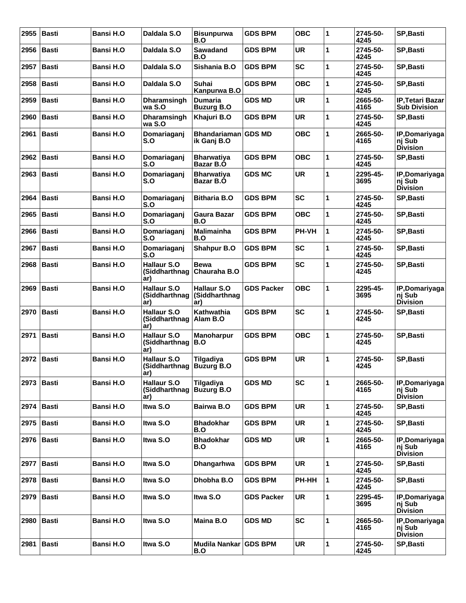| 2955 | <b>Basti</b> | Bansi H.O        | Daldala S.O                                             | <b>Bisunpurwa</b><br>B.O                   | <b>GDS BPM</b>    | <b>OBC</b> | 1            | 2745-50-<br>4245 | SP, Basti                                      |
|------|--------------|------------------|---------------------------------------------------------|--------------------------------------------|-------------------|------------|--------------|------------------|------------------------------------------------|
| 2956 | <b>Basti</b> | <b>Bansi H.O</b> | Daldala S.O                                             | <b>Sawadand</b><br>B.O                     | <b>GDS BPM</b>    | <b>UR</b>  | 1            | 2745-50-<br>4245 | <b>SP, Basti</b>                               |
| 2957 | <b>Basti</b> | <b>Bansi H.O</b> | Daldala S.O                                             | Sishania B.O                               | <b>GDS BPM</b>    | <b>SC</b>  | 1            | 2745-50-<br>4245 | <b>SP, Basti</b>                               |
| 2958 | <b>Basti</b> | <b>Bansi H.O</b> | Daldala S.O                                             | <b>Suhai</b><br>Kanpurwa B.O               | <b>GDS BPM</b>    | <b>OBC</b> | 1            | 2745-50-<br>4245 | SP, Basti                                      |
| 2959 | <b>Basti</b> | <b>Bansi H.O</b> | Dharamsingh<br>wa S.O                                   | <b>Dumaria</b><br><b>Buzurg B.O</b>        | <b>GDS MD</b>     | <b>UR</b>  | 1            | 2665-50-<br>4165 | <b>IP, Tetari Bazar</b><br><b>Sub Division</b> |
| 2960 | <b>Basti</b> | <b>Bansi H.O</b> | <b>Dharamsingh</b><br>wa S.O                            | Khajuri B.O                                | <b>GDS BPM</b>    | <b>UR</b>  | 1            | 2745-50-<br>4245 | SP, Basti                                      |
| 2961 | <b>Basti</b> | <b>Bansi H.O</b> | Domariaganj<br>S.O                                      | Bhandariaman GDS MD<br>ik Ganj B.O         |                   | <b>OBC</b> | 1            | 2665-50-<br>4165 | IP, Domariyaga<br>nj Sub<br><b>Division</b>    |
| 2962 | <b>Basti</b> | <b>Bansi H.O</b> | Domariaganj<br>S.O                                      | <b>Bharwatiya</b><br>Bazar B.O             | <b>GDS BPM</b>    | <b>OBC</b> | 1            | 2745-50-<br>4245 | <b>SP, Basti</b>                               |
| 2963 | <b>Basti</b> | Bansi H.O        | Domariaganj<br>S.O                                      | <b>Bharwatiya</b><br>Bazar B.O             | <b>GDS MC</b>     | <b>UR</b>  | 1            | 2295-45-<br>3695 | IP, Domariyaga<br>nj Sub<br><b>Division</b>    |
| 2964 | <b>Basti</b> | Bansi H.O        | Domariaganj<br>S.O                                      | <b>Bitharia B.O</b>                        | <b>GDS BPM</b>    | <b>SC</b>  | 1            | 2745-50-<br>4245 | SP, Basti                                      |
| 2965 | <b>Basti</b> | <b>Bansi H.O</b> | Domariaganj<br>S.O                                      | Gaura Bazar<br>B.O                         | <b>GDS BPM</b>    | <b>OBC</b> | 1            | 2745-50-<br>4245 | SP, Basti                                      |
| 2966 | <b>Basti</b> | <b>Bansi H.O</b> | Domariaganj<br>S.O                                      | Malimainha<br>B.O                          | <b>GDS BPM</b>    | PH-VH      | $\mathbf{1}$ | 2745-50-<br>4245 | <b>SP, Basti</b>                               |
| 2967 | <b>Basti</b> | Bansi H.O        | Domariaganj<br>S.O                                      | <b>Shahpur B.O</b>                         | <b>GDS BPM</b>    | <b>SC</b>  | 1            | 2745-50-<br>4245 | <b>SP, Basti</b>                               |
| 2968 | <b>Basti</b> | <b>Bansi H.O</b> | <b>Hallaur S.O</b><br>(Siddharthnag<br>ar)              | <b>Bewa</b><br>Chauraha B.O                | <b>GDS BPM</b>    | <b>SC</b>  | 1            | 2745-50-<br>4245 | SP, Basti                                      |
| 2969 | <b>Basti</b> | <b>Bansi H.O</b> | <b>Hallaur S.O</b><br>(Siddharthnag<br>ar)              | <b>Hallaur S.O</b><br>(Siddharthnag<br>ar) | <b>GDS Packer</b> | <b>OBC</b> | 1            | 2295-45-<br>3695 | IP, Domariyaga<br>nj Sub<br><b>Division</b>    |
| 2970 | <b>Basti</b> | <b>Bansi H.O</b> | <b>Hallaur S.O</b><br>(Siddharthnag<br>ar)              | Kathwathia<br>Alam B.O                     | <b>GDS BPM</b>    | <b>SC</b>  | 1            | 2745-50-<br>4245 | SP, Basti                                      |
| 2971 | <b>Basti</b> | <b>Bansi H.O</b> | <b>Hallaur S.O</b><br>(Siddharthnag<br>ar)              | <b>Manoharpur</b><br>B.O                   | <b>GDS BPM</b>    | <b>OBC</b> | 1            | 2745-50-<br>4245 | SP, Basti                                      |
| 2972 | <b>Basti</b> | Bansi H.O        | <b>Hallaur S.O</b><br>(Siddharthnag   Buzurg B.O<br>ar) | Tilgadiya                                  | <b>GDS BPM</b>    | <b>UR</b>  | 1            | 2745-50-<br>4245 | <b>SP, Basti</b>                               |
| 2973 | <b>Basti</b> | Bansi H.O        | Hallaur S.O<br>(Siddharthnag<br>ar)                     | Tilgadiya<br><b>Buzurg B.O</b>             | <b>GDS MD</b>     | <b>SC</b>  | 1            | 2665-50-<br>4165 | IP, Domariyaga<br>nj Sub<br><b>Division</b>    |
| 2974 | <b>Basti</b> | Bansi H.O        | Itwa S.O                                                | Bairwa B.O                                 | <b>GDS BPM</b>    | <b>UR</b>  | 1            | 2745-50-<br>4245 | SP, Basti                                      |
| 2975 | <b>Basti</b> | <b>Bansi H.O</b> | Itwa S.O                                                | <b>Bhadokhar</b><br>B.O                    | <b>GDS BPM</b>    | UR         | 1            | 2745-50-<br>4245 | SP, Basti                                      |
| 2976 | <b>Basti</b> | Bansi H.O        | Itwa S.O                                                | <b>Bhadokhar</b><br>B.O                    | <b>GDS MD</b>     | UR         | 1            | 2665-50-<br>4165 | IP, Domariyaga<br>nj Sub<br><b>Division</b>    |
| 2977 | <b>Basti</b> | Bansi H.O        | Itwa S.O                                                | <b>Dhangarhwa</b>                          | <b>GDS BPM</b>    | <b>UR</b>  | 1            | 2745-50-<br>4245 | SP, Basti                                      |
| 2978 | <b>Basti</b> | <b>Bansi H.O</b> | Itwa S.O                                                | Dhobha B.O                                 | <b>GDS BPM</b>    | PH-HH      | 1            | 2745-50-<br>4245 | SP, Basti                                      |
| 2979 | <b>Basti</b> | <b>Bansi H.O</b> | Itwa S.O                                                | Itwa S.O                                   | <b>GDS Packer</b> | UR         | 1            | 2295-45-<br>3695 | IP, Domariyaga<br>nj Sub<br><b>Division</b>    |
| 2980 | <b>Basti</b> | Bansi H.O        | Itwa S.O                                                | Maina B.O                                  | <b>GDS MD</b>     | <b>SC</b>  | 1            | 2665-50-<br>4165 | IP, Domariyaga<br>nj Sub<br><b>Division</b>    |
| 2981 | <b>Basti</b> | Bansi H.O        | Itwa S.O                                                | Mudila Nankar GDS BPM<br>B.O               |                   | <b>UR</b>  | 1            | 2745-50-<br>4245 | SP, Basti                                      |
|      |              |                  |                                                         |                                            |                   |            |              |                  |                                                |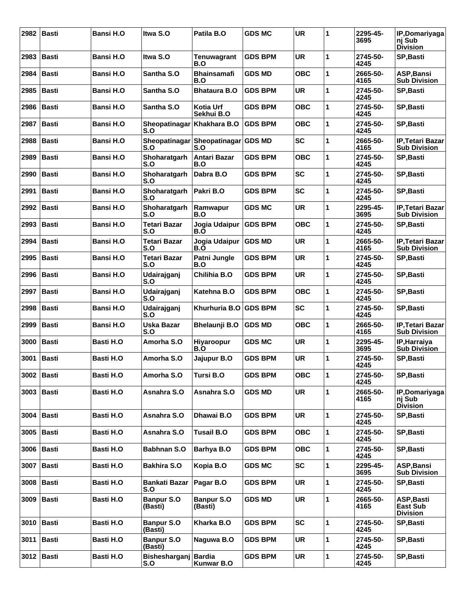| 2982 | <b>Basti</b> | Bansi H.O         | Itwa S.O                     | Patila B.O                                | <b>GDS MC</b>  | <b>UR</b>  | 1 | 2295-45-<br>3695 | IP, Domariyaga<br>nj Sub<br><b>Division</b>    |
|------|--------------|-------------------|------------------------------|-------------------------------------------|----------------|------------|---|------------------|------------------------------------------------|
| 2983 | <b>Basti</b> | <b>Bansi H.O</b>  | Itwa S.O                     | Tenuwagrant<br>B.O                        | <b>GDS BPM</b> | <b>UR</b>  | 1 | 2745-50-<br>4245 | <b>SP, Basti</b>                               |
| 2984 | <b>Basti</b> | Bansi H.O         | Santha S.O                   | <b>Bhainsamafi</b><br>B.O                 | <b>GDS MD</b>  | <b>OBC</b> | 1 | 2665-50-<br>4165 | ASP, Bansi<br><b>Sub Division</b>              |
| 2985 | <b>Basti</b> | <b>Bansi H.O</b>  | Santha S.O                   | <b>Bhataura B.O</b>                       | <b>GDS BPM</b> | <b>UR</b>  | 1 | 2745-50-<br>4245 | <b>SP,Basti</b>                                |
| 2986 | <b>Basti</b> | <b>Bansi H.O</b>  | Santha S.O                   | <b>Kotia Urf</b><br>Sekhui B.O            | <b>GDS BPM</b> | <b>OBC</b> | 1 | 2745-50-<br>4245 | SP, Basti                                      |
| 2987 | <b>Basti</b> | Bansi H.O         | Sheopatinagar<br>S.O         | Khakhara B.O                              | <b>GDS BPM</b> | <b>OBC</b> | 1 | 2745-50-<br>4245 | <b>SP,Basti</b>                                |
| 2988 | <b>Basti</b> | <b>Bansi H.O</b>  | S.O                          | Sheopatinagar Sheopatinagar GDS MD<br>S.O |                | <b>SC</b>  | 1 | 2665-50-<br>4165 | <b>IP, Tetari Bazar</b><br><b>Sub Division</b> |
| 2989 | <b>Basti</b> | <b>Bansi H.O.</b> | Shoharatgarh<br>S.O          | Antari Bazar<br>B.O                       | <b>GDS BPM</b> | <b>OBC</b> | 1 | 2745-50-<br>4245 | <b>SP,Basti</b>                                |
| 2990 | <b>Basti</b> | Bansi H.O         | Shoharatgarh<br>S.O          | Dabra B.O                                 | <b>GDS BPM</b> | <b>SC</b>  | 1 | 2745-50-<br>4245 | <b>SP,Basti</b>                                |
| 2991 | <b>Basti</b> | <b>Bansi H.O</b>  | Shoharatgarh<br>S.O          | Pakri B.O                                 | <b>GDS BPM</b> | <b>SC</b>  | 1 | 2745-50-<br>4245 | SP, Basti                                      |
| 2992 | <b>Basti</b> | <b>Bansi H.O</b>  | Shoharatgarh<br>S.O          | Ramwapur<br>B.O                           | <b>GDS MC</b>  | <b>UR</b>  | 1 | 2295-45-<br>3695 | <b>IP, Tetari Bazar</b><br><b>Sub Division</b> |
| 2993 | <b>Basti</b> | <b>Bansi H.O</b>  | Tetari Bazar<br>S.O          | Jogia Udaipur<br>B.O                      | <b>GDS BPM</b> | <b>OBC</b> | 1 | 2745-50-<br>4245 | <b>SP, Basti</b>                               |
| 2994 | <b>Basti</b> | <b>Bansi H.O</b>  | Tetari Bazar<br>S.O          | Jogia Udaipur<br>B.Ō                      | <b>GDS MD</b>  | <b>UR</b>  | 1 | 2665-50-<br>4165 | <b>IP, Tetari Bazar</b><br><b>Sub Division</b> |
| 2995 | <b>Basti</b> | <b>Bansi H.O</b>  | <b>Tetari Bazar</b><br>S.O   | Patni Jungle<br>B.O                       | <b>GDS BPM</b> | <b>UR</b>  | 1 | 2745-50-<br>4245 | <b>SP,Basti</b>                                |
| 2996 | <b>Basti</b> | <b>Bansi H.O</b>  | Udairajganj<br>S.O           | Chilihia B.O                              | <b>GDS BPM</b> | <b>UR</b>  | 1 | 2745-50-<br>4245 | <b>SP,Basti</b>                                |
| 2997 | <b>Basti</b> | <b>Bansi H.O</b>  | Udairajganj<br>S.O           | Katehna B.O                               | <b>GDS BPM</b> | <b>OBC</b> | 1 | 2745-50-<br>4245 | SP, Basti                                      |
| 2998 | <b>Basti</b> | Bansi H.O         | Udairajganj<br>S.O           | Khurhuria B.O                             | <b>GDS BPM</b> | <b>SC</b>  | 1 | 2745-50-<br>4245 | SP, Basti                                      |
| 2999 | <b>Basti</b> | <b>Bansi H.O</b>  | Uska Bazar<br>S.O            | <b>Bhelaunji B.O</b>                      | <b>GDS MD</b>  | <b>OBC</b> | 1 | 2665-50-<br>4165 | <b>IP, Tetari Bazar</b><br><b>Sub Division</b> |
| 3000 | <b>Basti</b> | <b>Basti H.O</b>  | Amorha S.O                   | Hiyaroopur<br>B.O                         | <b>GDS MC</b>  | <b>UR</b>  | 1 | 2295-45-<br>3695 | IP, Harraiya<br><b>Sub Division</b>            |
| 3001 | <b>Basti</b> | Basti H.O         | Amorha S.O                   | Jajupur B.O                               | <b>GDS BPM</b> | <b>UR</b>  | 1 | 2745-50-<br>4245 | <b>SP, Basti</b>                               |
| 3002 | <b>Basti</b> | <b>Basti H.O</b>  | Amorha S.O                   | Tursi B.O                                 | <b>GDS BPM</b> | <b>OBC</b> | 1 | 2745-50-<br>4245 | <b>SP, Basti</b>                               |
| 3003 | <b>Basti</b> | <b>Basti H.O</b>  | Asnahra S.O                  | Asnahra S.O                               | <b>GDS MD</b>  | <b>UR</b>  | 1 | 2665-50-<br>4165 | IP, Domariyaga<br>nj Sub<br><b>Division</b>    |
| 3004 | <b>Basti</b> | Basti H.O         | Asnahra S.O                  | Dhawai B.O                                | <b>GDS BPM</b> | <b>UR</b>  | 1 | 2745-50-<br>4245 | <b>SP, Basti</b>                               |
| 3005 | <b>Basti</b> | <b>Basti H.O</b>  | Asnahra S.O                  | Tusail B.O                                | <b>GDS BPM</b> | <b>OBC</b> | 1 | 2745-50-<br>4245 | SP, Basti                                      |
| 3006 | <b>Basti</b> | <b>Basti H.O</b>  | <b>Babhnan S.O</b>           | Barhya B.O                                | <b>GDS BPM</b> | <b>OBC</b> | 1 | 2745-50-<br>4245 | SP, Basti                                      |
| 3007 | <b>Basti</b> | <b>Basti H.O</b>  | <b>Bakhira S.O</b>           | Kopia B.O                                 | <b>GDS MC</b>  | <b>SC</b>  | 1 | 2295-45-<br>3695 | ASP, Bansi<br><b>Sub Division</b>              |
| 3008 | <b>Basti</b> | <b>Basti H.O</b>  | Bankati Bazar<br>S.O         | Pagar B.O                                 | <b>GDS BPM</b> | <b>UR</b>  | 1 | 2745-50-<br>4245 | SP, Basti                                      |
| 3009 | <b>Basti</b> | Basti H.O         | <b>Banpur S.O</b><br>(Basti) | <b>Banpur S.O</b><br>(Basti)              | <b>GDS MD</b>  | UR         | 1 | 2665-50-<br>4165 | ASP,Basti<br>East Sub<br><b>Division</b>       |
| 3010 | <b>Basti</b> | Basti H.O         | <b>Banpur S.O</b><br>(Basti) | Kharka B.O                                | <b>GDS BPM</b> | <b>SC</b>  | 1 | 2745-50-<br>4245 | SP, Basti                                      |
| 3011 | <b>Basti</b> | <b>Basti H.O</b>  | <b>Banpur S.O</b><br>(Basti) | Naguwa B.O                                | <b>GDS BPM</b> | UR         | 1 | 2745-50-<br>4245 | SP, Basti                                      |
| 3012 | <b>Basti</b> | <b>Basti H.O</b>  | Bishesharganj Bardia<br>S.O  | Kunwar B.O                                | <b>GDS BPM</b> | <b>UR</b>  | 1 | 2745-50-<br>4245 | SP, Basti                                      |
|      |              |                   |                              |                                           |                |            |   |                  |                                                |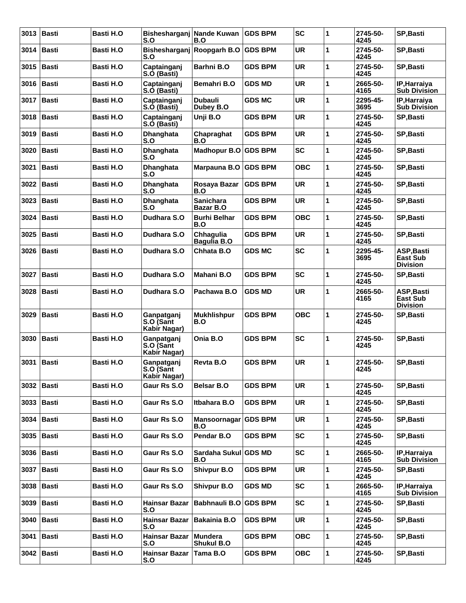| 3013 | <b>Basti</b> | <b>Basti H.O</b> | Bishesharganj<br>S.O                    | Nande Kuwan<br>B.O                  | <b>GDS BPM</b> | <b>SC</b>  | 1 | 2745-50-<br>4245 | SP, Basti                                        |
|------|--------------|------------------|-----------------------------------------|-------------------------------------|----------------|------------|---|------------------|--------------------------------------------------|
| 3014 | <b>Basti</b> | <b>Basti H.O</b> | S.O                                     | Bishesharganj Roopgarh B.O          | <b>GDS BPM</b> | <b>UR</b>  | 1 | 2745-50-<br>4245 | SP, Basti                                        |
| 3015 | <b>Basti</b> | <b>Basti H.O</b> | Captainganj<br>S.O (Basti)              | Barhni B.O                          | <b>GDS BPM</b> | <b>UR</b>  | 1 | 2745-50-<br>4245 | <b>SP, Basti</b>                                 |
| 3016 | <b>Basti</b> | <b>Basti H.O</b> | Captainganj<br>S.O (Basti)              | <b>Bemahri B.O</b>                  | <b>GDS MD</b>  | <b>UR</b>  | 1 | 2665-50-<br>4165 | IP, Harraiya<br><b>Sub Division</b>              |
| 3017 | <b>Basti</b> | <b>Basti H.O</b> | Captainganj<br>S.O (Basti)              | <b>Dubauli</b><br>Dubey B.O         | <b>GDS MC</b>  | <b>UR</b>  | 1 | 2295-45-<br>3695 | IP, Harraiya<br><b>Sub Division</b>              |
| 3018 | <b>Basti</b> | <b>Basti H.O</b> | Captainganj<br>S.O (Basti)              | Unji B.O                            | <b>GDS BPM</b> | <b>UR</b>  | 1 | 2745-50-<br>4245 | SP, Basti                                        |
| 3019 | <b>Basti</b> | <b>Basti H.O</b> | <b>Dhanghata</b><br>S.O                 | Chapraghat<br>B.O                   | <b>GDS BPM</b> | <b>UR</b>  | 1 | 2745-50-<br>4245 | <b>SP, Basti</b>                                 |
| 3020 | <b>Basti</b> | <b>Basti H.O</b> | <b>Dhanghata</b><br>S.O                 | Madhopur B.O GDS BPM                |                | <b>SC</b>  | 1 | 2745-50-<br>4245 | SP, Basti                                        |
| 3021 | <b>Basti</b> | <b>Basti H.O</b> | <b>Dhanghata</b><br>S.O                 | Marpauna B.O                        | <b>GDS BPM</b> | <b>OBC</b> | 1 | 2745-50-<br>4245 | <b>SP, Basti</b>                                 |
| 3022 | <b>Basti</b> | <b>Basti H.O</b> | <b>Dhanghata</b><br>S.O                 | Rosaya Bazar<br>B.O                 | <b>GDS BPM</b> | <b>UR</b>  | 1 | 2745-50-<br>4245 | <b>SP, Basti</b>                                 |
| 3023 | <b>Basti</b> | <b>Basti H.O</b> | <b>Dhanghata</b><br>S.O                 | <b>Sanichara</b><br>Bazar B.O       | <b>GDS BPM</b> | <b>UR</b>  | 1 | 2745-50-<br>4245 | <b>SP, Basti</b>                                 |
| 3024 | <b>Basti</b> | <b>Basti H.O</b> | Dudhara S.O                             | <b>Burhi Belhar</b><br>B.O          | <b>GDS BPM</b> | <b>OBC</b> | 1 | 2745-50-<br>4245 | SP, Basti                                        |
| 3025 | <b>Basti</b> | Basti H.O        | Dudhara S.O                             | Chhagulia<br>Bagulia B.O            | <b>GDS BPM</b> | <b>UR</b>  | 1 | 2745-50-<br>4245 | <b>SP.Basti</b>                                  |
| 3026 | <b>Basti</b> | <b>Basti H.O</b> | Dudhara S.O                             | Chhata B.O                          | <b>GDS MC</b>  | <b>SC</b>  | 1 | 2295-45-<br>3695 | ASP, Basti<br><b>East Sub</b><br><b>Division</b> |
| 3027 | <b>Basti</b> | <b>Basti H.O</b> | Dudhara S.O                             | <b>Mahani B.O</b>                   | <b>GDS BPM</b> | <b>SC</b>  | 1 | 2745-50-<br>4245 | SP, Basti                                        |
| 3028 | <b>Basti</b> | Basti H.O        | Dudhara S.O                             | Pachawa B.O                         | <b>GDS MD</b>  | <b>UR</b>  | 1 | 2665-50-<br>4165 | ASP, Basti<br><b>East Sub</b><br><b>Division</b> |
| 3029 | <b>Basti</b> | <b>Basti H.O</b> | Ganpatganj<br>S.O (Sant<br>Kabir Nagar) | <b>Mukhlishpur</b><br>B.O           | <b>GDS BPM</b> | OBC        | 1 | 2745-50-<br>4245 | SP, Basti                                        |
| 3030 | <b>Basti</b> | Basti H.O        | Ganpatganj<br>S.O (Sant<br>Kabir Nagar) | Onia B.O                            | <b>GDS BPM</b> | <b>SC</b>  | 1 | 2745-50-<br>4245 | <b>SP, Basti</b>                                 |
| 3031 | <b>Basti</b> | <b>Basti H.O</b> | Ganpatganj<br>S.O (Sant<br>Kabir Nagar) | Revta B.O                           | <b>GDS BPM</b> | UR         | 1 | 2745-50-<br>4245 | SP, Basti                                        |
|      | 3032 Basti   | Basti H.O        | Gaur Rs S.O                             | <b>Belsar B.O</b>                   | <b>GDS BPM</b> | UR         | 1 | 2745-50-<br>4245 | SP, Basti                                        |
| 3033 | <b>Basti</b> | Basti H.O        | Gaur Rs S.O                             | Itbahara B.O                        | <b>GDS BPM</b> | UR         | 1 | 2745-50-<br>4245 | SP, Basti                                        |
| 3034 | <b>Basti</b> | Basti H.O        | Gaur Rs S.O                             | Mansoornagar<br>B.O                 | <b>GDS BPM</b> | <b>UR</b>  | 1 | 2745-50-<br>4245 | SP, Basti                                        |
| 3035 | Basti        | Basti H.O        | Gaur Rs S.O                             | Pendar B.O                          | <b>GDS BPM</b> | SC         | 1 | 2745-50-<br>4245 | SP, Basti                                        |
| 3036 | <b>Basti</b> | Basti H.O        | Gaur Rs S.O                             | Sardaha Sukul<br>B.O                | <b>GDS MD</b>  | <b>SC</b>  | 1 | 2665-50-<br>4165 | <b>IP.Harraiva</b><br><b>Sub Division</b>        |
| 3037 | <b>Basti</b> | Basti H.O        | Gaur Rs S.O                             | <b>Shivpur B.O</b>                  | <b>GDS BPM</b> | UR         | 1 | 2745-50-<br>4245 | SP, Basti                                        |
| 3038 | Basti        | Basti H.O        | Gaur Rs S.O                             | <b>Shivpur B.O</b>                  | <b>GDS MD</b>  | <b>SC</b>  | 1 | 2665-50-<br>4165 | IP, Harraiya<br><b>Sub Division</b>              |
| 3039 | <b>Basti</b> | Basti H.O        | <b>Hainsar Bazar</b><br>S.O             | <b>Babhnauli B.O</b>                | <b>GDS BPM</b> | SC         | 1 | 2745-50-<br>4245 | SP, Basti                                        |
| 3040 | <b>Basti</b> | Basti H.O        | <b>Hainsar Bazar</b><br>S.O             | <b>Bakainia B.O</b>                 | <b>GDS BPM</b> | UR         | 1 | 2745-50-<br>4245 | SP, Basti                                        |
| 3041 | <b>Basti</b> | Basti H.O        | <b>Hainsar Bazar</b><br>S.O             | <b>Mundera</b><br><b>Shukul B.O</b> | <b>GDS BPM</b> | ОВС        | 1 | 2745-50-<br>4245 | SP, Basti                                        |
| 3042 | Basti        | Basti H.O        | <b>Hainsar Bazar</b><br>S.O             | Tama B.O                            | <b>GDS BPM</b> | <b>OBC</b> | 1 | 2745-50-<br>4245 | SP, Basti                                        |
|      |              |                  |                                         |                                     |                |            |   |                  |                                                  |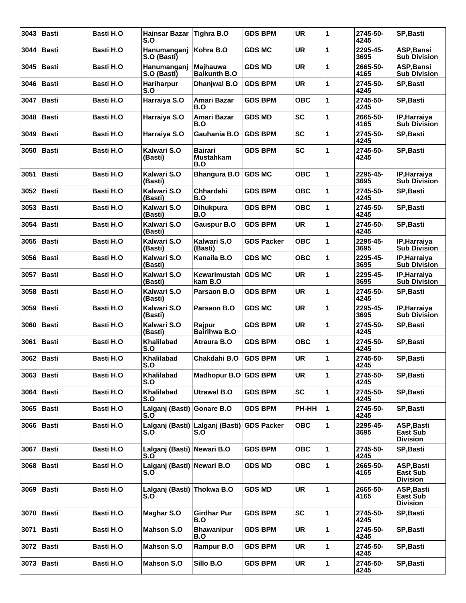| 3043 | <b>Basti</b> | <b>Basti H.O</b> | <b>Hainsar Bazar</b><br>S.O       | Tighra B.O                                | <b>GDS BPM</b>    | <b>UR</b>  | 1 | 2745-50-<br>4245 | <b>SP.Basti</b>                                  |
|------|--------------|------------------|-----------------------------------|-------------------------------------------|-------------------|------------|---|------------------|--------------------------------------------------|
| 3044 | <b>Basti</b> | <b>Basti H.O</b> | Hanumanganj<br>S.O (Basti)        | Kohra B.O                                 | <b>GDS MC</b>     | <b>UR</b>  | 1 | 2295-45-<br>3695 | ASP, Bansi<br><b>Sub Division</b>                |
| 3045 | <b>Basti</b> | <b>Basti H.O</b> | Hanumanganj<br>S.O (Basti)        | Majhauwa<br><b>Baikunth B.O</b>           | <b>GDS MD</b>     | <b>UR</b>  | 1 | 2665-50-<br>4165 | ASP, Bansi<br><b>Sub Division</b>                |
| 3046 | <b>Basti</b> | <b>Basti H.O</b> | Hariharpur<br>S.O                 | Dhanjwal B.O                              | <b>GDS BPM</b>    | <b>UR</b>  | 1 | 2745-50-<br>4245 | <b>SP,Basti</b>                                  |
| 3047 | <b>Basti</b> | <b>Basti H.O</b> | Harraiya S.O                      | Amari Bazar<br>B.O                        | <b>GDS BPM</b>    | <b>OBC</b> | 1 | 2745-50-<br>4245 | <b>SP,Basti</b>                                  |
| 3048 | <b>Basti</b> | <b>Basti H.O</b> | Harraiya S.O                      | Amari Bazar<br>B.O                        | <b>GDS MD</b>     | <b>SC</b>  | 1 | 2665-50-<br>4165 | IP, Harraiya<br><b>Sub Division</b>              |
| 3049 | <b>Basti</b> | <b>Basti H.O</b> | Harraiya S.O                      | Gauhania B.O                              | <b>GDS BPM</b>    | <b>SC</b>  | 1 | 2745-50-<br>4245 | <b>SP, Basti</b>                                 |
| 3050 | <b>Basti</b> | <b>Basti H.O</b> | Kalwari S.O<br>(Basti)            | <b>Bairari</b><br><b>Mustahkam</b><br>B.O | <b>GDS BPM</b>    | <b>SC</b>  | 1 | 2745-50-<br>4245 | SP, Basti                                        |
| 3051 | <b>Basti</b> | <b>Basti H.O</b> | Kalwari S.O<br>(Basti)            | <b>Bhangura B.O</b>                       | <b>GDS MC</b>     | <b>OBC</b> | 1 | 2295-45-<br>3695 | IP, Harraiya<br><b>Sub Division</b>              |
| 3052 | <b>Basti</b> | <b>Basti H.O</b> | Kalwari S.O<br>(Basti)            | Chhardahi<br>B.O                          | <b>GDS BPM</b>    | <b>OBC</b> | 1 | 2745-50-<br>4245 | <b>SP, Basti</b>                                 |
| 3053 | <b>Basti</b> | <b>Basti H.O</b> | Kalwari S.O<br>(Basti)            | <b>Dihukpura</b><br>B.O                   | <b>GDS BPM</b>    | <b>OBC</b> | 1 | 2745-50-<br>4245 | SP, Basti                                        |
| 3054 | <b>Basti</b> | <b>Basti H.O</b> | Kalwari S.O<br>(Basti)            | <b>Gauspur B.O</b>                        | <b>GDS BPM</b>    | UR         | 1 | 2745-50-<br>4245 | <b>SP,Basti</b>                                  |
| 3055 | <b>Basti</b> | <b>Basti H.O</b> | Kalwari S.O<br>(Basti)            | Kalwari S.O<br>(Basti)                    | <b>GDS Packer</b> | <b>OBC</b> | 1 | 2295-45-<br>3695 | IP, Harraiya<br><b>Sub Division</b>              |
| 3056 | <b>Basti</b> | <b>Basti H.O</b> | Kalwari S.O<br>(Basti)            | Kanaila B.O                               | <b>GDS MC</b>     | <b>OBC</b> | 1 | 2295-45-<br>3695 | IP, Harraiya<br><b>Sub Division</b>              |
| 3057 | <b>Basti</b> | <b>Basti H.O</b> | Kalwari S.O<br>(Basti)            | Kewarimustah<br>kam B.O                   | <b>GDS MC</b>     | <b>UR</b>  | 1 | 2295-45-<br>3695 | IP, Harraiya<br><b>Sub Division</b>              |
| 3058 | <b>Basti</b> | <b>Basti H.O</b> | Kalwari S.O<br>(Basti)            | Parsaon B.O                               | <b>GDS BPM</b>    | <b>UR</b>  | 1 | 2745-50-<br>4245 | SP, Basti                                        |
| 3059 | <b>Basti</b> | <b>Basti H.O</b> | Kalwari S.O<br>(Basti)            | Parsaon B.O                               | <b>GDS MC</b>     | <b>UR</b>  | 1 | 2295-45-<br>3695 | IP, Harraiya<br><b>Sub Division</b>              |
| 3060 | <b>Basti</b> | <b>Basti H.O</b> | Kalwari S.O<br>(Basti)            | Rajpur<br><b>Bairihwa B.O</b>             | <b>GDS BPM</b>    | <b>UR</b>  | 1 | 2745-50-<br>4245 | SP, Basti                                        |
| 3061 | <b>Basti</b> | <b>Basti H.O</b> | Khalilabad<br>S.O                 | Atraura B.O                               | <b>GDS BPM</b>    | <b>OBC</b> | 1 | 2745-50-<br>4245 | SP, Basti                                        |
| 3062 | <b>Basti</b> | <b>Basti H.O</b> | Khalilabad<br>S.O                 | Chakdahi B.O                              | <b>GDS BPM</b>    | <b>UR</b>  | 1 | 2745-50-<br>4245 | SP, Basti                                        |
| 3063 | <b>Basti</b> | <b>Basti H.O</b> | Khalilabad<br>S.O                 | Madhopur B.O GDS BPM                      |                   | <b>UR</b>  | 1 | 2745-50-<br>4245 | <b>SP, Basti</b>                                 |
| 3064 | <b>Basti</b> | <b>Basti H.O</b> | Khalilabad<br>S.O                 | <b>Utrawal B.O</b>                        | <b>GDS BPM</b>    | <b>SC</b>  | 1 | 2745-50-<br>4245 | SP, Basti                                        |
| 3065 | <b>Basti</b> | <b>Basti H.O</b> | Lalganj (Basti)<br>S.O            | <b>Gonare B.O</b>                         | <b>GDS BPM</b>    | PH-HH      | 1 | 2745-50-<br>4245 | SP,Basti                                         |
| 3066 | <b>Basti</b> | <b>Basti H.O</b> | Lalganj (Basti)<br>S.O            | Lalganj (Basti)<br>S.O                    | <b>GDS Packer</b> | <b>OBC</b> | 1 | 2295-45-<br>3695 | ASP, Basti<br>East Sub<br><b>Division</b>        |
| 3067 | <b>Basti</b> | Basti H.O        | Lalganj (Basti)<br>S.O            | Newari B.O                                | <b>GDS BPM</b>    | ОВС        | 1 | 2745-50-<br>4245 | SP, Basti                                        |
| 3068 | <b>Basti</b> | <b>Basti H.O</b> | Lalganj (Basti) Newari B.O<br>S.O |                                           | <b>GDS MD</b>     | ОВС        | 1 | 2665-50-<br>4165 | ASP, Basti<br><b>East Sub</b><br><b>Division</b> |
| 3069 | <b>Basti</b> | Basti H.O        | Lalganj (Basti)<br>S.O            | Thokwa B.O                                | <b>GDS MD</b>     | UR         | 1 | 2665-50-<br>4165 | ASP, Basti<br><b>East Sub</b><br><b>Division</b> |
| 3070 | <b>Basti</b> | <b>Basti H.O</b> | <b>Maghar S.O</b>                 | <b>Girdhar Pur</b><br>B.O                 | <b>GDS BPM</b>    | <b>SC</b>  | 1 | 2745-50-<br>4245 | SP, Basti                                        |
| 3071 | <b>Basti</b> | <b>Basti H.O</b> | <b>Mahson S.O</b>                 | <b>Bhawanipur</b><br>B.O                  | <b>GDS BPM</b>    | <b>UR</b>  | 1 | 2745-50-<br>4245 | SP, Basti                                        |
| 3072 | <b>Basti</b> | <b>Basti H.O</b> | <b>Mahson S.O</b>                 | <b>Rampur B.O</b>                         | <b>GDS BPM</b>    | <b>UR</b>  | 1 | 2745-50-<br>4245 | SP,Basti                                         |
| 3073 | <b>Basti</b> | Basti H.O        | <b>Mahson S.O</b>                 | Sillo B.O                                 | <b>GDS BPM</b>    | UR         | 1 | 2745-50-<br>4245 | SP,Basti                                         |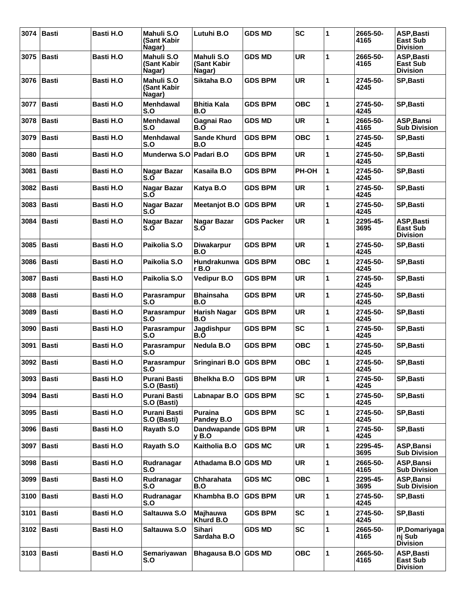| 3074 | <b>Basti</b> | <b>Basti H.O</b> | Mahuli S.O<br>(Sant Kabir<br>Nagar) | Lutuhi B.O                          | <b>GDS MD</b>  | <b>SC</b>  | 1 | 2665-50-<br>4165 | ASP, Basti<br>East Sub<br><b>Division</b>        |
|------|--------------|------------------|-------------------------------------|-------------------------------------|----------------|------------|---|------------------|--------------------------------------------------|
| 3075 | <b>Basti</b> | <b>Basti H.O</b> | Mahuli S.O<br>(Sant Kabir<br>Nagar) | Mahuli S.O<br>(Sant Kabir<br>Nagar) | <b>GDS MD</b>  | <b>UR</b>  | 1 | 2665-50-<br>4165 | ASP, Basti<br><b>East Sub</b><br><b>Division</b> |
| 3076 | <b>Basti</b> | <b>Basti H.O</b> | Mahuli S.O<br>(Sant Kabir<br>Nagar) | Siktaha B.O                         | <b>GDS BPM</b> | <b>UR</b>  | 1 | 2745-50-<br>4245 | SP, Basti                                        |
| 3077 | <b>Basti</b> | <b>Basti H.O</b> | Menhdawal<br>S.O                    | <b>Bhitia Kala</b><br>B.O           | <b>GDS BPM</b> | <b>OBC</b> | 1 | 2745-50-<br>4245 | SP, Basti                                        |
| 3078 | <b>Basti</b> | <b>Basti H.O</b> | <b>Menhdawal</b><br>S.O             | Gagnai Rao<br>B.O                   | <b>GDS MD</b>  | <b>UR</b>  | 1 | 2665-50-<br>4165 | ASP, Bansi<br><b>Sub Division</b>                |
| 3079 | <b>Basti</b> | <b>Basti H.O</b> | <b>Menhdawal</b><br>S.O             | <b>Sande Khurd</b><br>B.O           | <b>GDS BPM</b> | <b>OBC</b> | 1 | 2745-50-<br>4245 | <b>SP, Basti</b>                                 |
| 3080 | <b>Basti</b> | Basti H.O        | Munderwa S.O                        | Padari B.O                          | <b>GDS BPM</b> | <b>UR</b>  | 1 | 2745-50-<br>4245 | SP, Basti                                        |
| 3081 | <b>Basti</b> | <b>Basti H.O</b> | Nagar Bazar<br>S.O                  | Kasaila B.O                         | <b>GDS BPM</b> | PH-OH      | 1 | 2745-50-<br>4245 | <b>SP,Basti</b>                                  |
| 3082 | <b>Basti</b> | <b>Basti H.O</b> | Nagar Bazar<br>S.O                  | Katya B.O                           | <b>GDS BPM</b> | <b>UR</b>  | 1 | 2745-50-<br>4245 | SP, Basti                                        |
| 3083 | <b>Basti</b> | Basti H.O        | Nagar Bazar<br>S.O                  | <b>Meetanjot B.O</b>                | <b>GDS BPM</b> | <b>UR</b>  | 1 | 2745-50-<br>4245 | SP, Basti                                        |
| 3084 | <b>Basti</b> | <b>Basti H.O</b> | Nagar Bazar<br>S.O                  | <b>Nagar Bazar</b><br>S.O           | GDS Packer     | <b>UR</b>  | 1 | 2295-45-<br>3695 | ASP, Basti<br><b>East Sub</b><br><b>Division</b> |
| 3085 | <b>Basti</b> | <b>Basti H.O</b> | Paikolia S.O                        | <b>Diwakarpur</b><br>B.O            | <b>GDS BPM</b> | <b>UR</b>  | 1 | 2745-50-<br>4245 | <b>SP,Basti</b>                                  |
| 3086 | <b>Basti</b> | <b>Basti H.O</b> | Paikolia S.O                        | Hundrakunwa<br>r B.O                | <b>GDS BPM</b> | <b>OBC</b> | 1 | 2745-50-<br>4245 | <b>SP, Basti</b>                                 |
| 3087 | <b>Basti</b> | <b>Basti H.O</b> | Paikolia S.O                        | <b>Vedipur B.O</b>                  | <b>GDS BPM</b> | <b>UR</b>  | 1 | 2745-50-<br>4245 | <b>SP, Basti</b>                                 |
| 3088 | <b>Basti</b> | Basti H.O        | Parasrampur<br>S.O                  | <b>Bhainsaha</b><br>B.O             | <b>GDS BPM</b> | <b>UR</b>  | 1 | 2745-50-<br>4245 | SP, Basti                                        |
| 3089 | <b>Basti</b> | <b>Basti H.O</b> | Parasrampur<br>S.O                  | <b>Harish Nagar</b><br>B.O          | <b>GDS BPM</b> | <b>UR</b>  | 1 | 2745-50-<br>4245 | SP, Basti                                        |
| 3090 | <b>Basti</b> | Basti H.O        | Parasrampur<br>S.O                  | Jagdishpur<br>B.Ō                   | <b>GDS BPM</b> | <b>SC</b>  | 1 | 2745-50-<br>4245 | <b>SP,Basti</b>                                  |
| 3091 | <b>Basti</b> | <b>Basti H.O</b> | Parasrampur<br>S.O                  | Nedula B.O                          | <b>GDS BPM</b> | <b>OBC</b> | 1 | 2745-50-<br>4245 | SP, Basti                                        |
| 3092 | Basti        | Basti H.O        | Parasrampur<br>S.O                  | Sringinari B.O                      | <b>GDS BPM</b> | <b>OBC</b> | 1 | 2745-50-<br>4245 | <b>SP, Basti</b>                                 |
| 3093 | <b>Basti</b> | <b>Basti H.O</b> | Purani Basti<br>S.O (Basti)         | <b>Bhelkha B.O</b>                  | <b>GDS BPM</b> | <b>UR</b>  | 1 | 2745-50-<br>4245 | SP, Basti                                        |
| 3094 | <b>Basti</b> | <b>Basti H.O</b> | Purani Basti<br>S.O (Basti)         | Labnapar B.O                        | <b>GDS BPM</b> | <b>SC</b>  | 1 | 2745-50-<br>4245 | SP, Basti                                        |
| 3095 | <b>Basti</b> | <b>Basti H.O</b> | Purani Basti<br>S.O (Basti)         | Puraina<br>Pandey B.O               | <b>GDS BPM</b> | SC         | 1 | 2745-50-<br>4245 | SP,Basti                                         |
| 3096 | <b>Basti</b> | <b>Basti H.O</b> | Rayath S.O                          | Dandwapande<br>y B.O                | <b>GDS BPM</b> | <b>UR</b>  | 1 | 2745-50-<br>4245 | SP,Basti                                         |
|      | 3097 Basti   | <b>Basti H.O</b> | Rayath S.O                          | Kaitholia B.O                       | <b>GDS MC</b>  | <b>UR</b>  | 1 | 2295-45-<br>3695 | ASP, Bansi<br><b>Sub Division</b>                |
| 3098 | <b>Basti</b> | <b>Basti H.O</b> | Rudranagar<br>S.O                   | Athadama B.O                        | <b>IGDS MD</b> | UR         | 1 | 2665-50-<br>4165 | ASP, Bansi<br><b>Sub Division</b>                |
| 3099 | <b>Basti</b> | <b>Basti H.O</b> | Rudranagar<br>S.O                   | Chharahata<br>B.O                   | <b>GDS MC</b>  | <b>OBC</b> | 1 | 2295-45-<br>3695 | ASP, Bansi<br><b>Sub Division</b>                |
| 3100 | <b>Basti</b> | <b>Basti H.O</b> | Rudranagar<br>S.O                   | Khambha B.O                         | <b>GDS BPM</b> | <b>UR</b>  | 1 | 2745-50-<br>4245 | SP, Basti                                        |
| 3101 | <b>Basti</b> | <b>Basti H.O</b> | Saltauwa S.O                        | Majhauwa<br>Khurd B.O               | <b>GDS BPM</b> | SC         | 1 | 2745-50-<br>4245 | SP,Basti                                         |
| 3102 | <b>Basti</b> | <b>Basti H.O</b> | Saltauwa S.O                        | <b>Sihari</b><br>Sardaha B.O        | <b>GDS MD</b>  | <b>SC</b>  | 1 | 2665-50-<br>4165 | IP, Domariyaga<br>nj Sub<br><b>Division</b>      |
| 3103 | <b>Basti</b> | Basti H.O        | Semariyawan<br>S.O                  | <b>Bhagausa B.O</b>                 | <b>GDS MD</b>  | <b>OBC</b> | 1 | 2665-50-<br>4165 | ASP, Basti<br>East Sub<br><b>Division</b>        |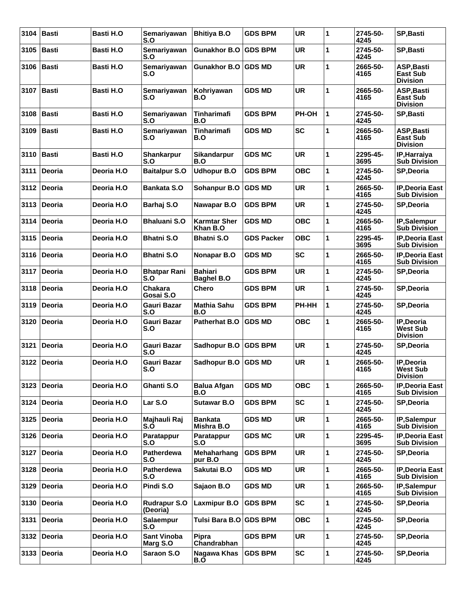| 3104 | <b>Basti</b>  | <b>Basti H.O</b> | Semariyawan<br>S.O              | <b>Bhitiya B.O</b>                  | <b>GDS BPM</b>    | <b>UR</b>  | 1 | 2745-50-<br>4245 | <b>SP, Basti</b>                                        |
|------|---------------|------------------|---------------------------------|-------------------------------------|-------------------|------------|---|------------------|---------------------------------------------------------|
| 3105 | <b>Basti</b>  | Basti H.O        | Semariyawan<br>S.O              | <b>Gunakhor B.O</b>                 | <b>GDS BPM</b>    | <b>UR</b>  | 1 | 2745-50-<br>4245 | <b>SP, Basti</b>                                        |
| 3106 | Basti         | <b>Basti H.O</b> | Semariyawan<br>S.O              | <b>Gunakhor B.O</b>                 | <b>GDS MD</b>     | <b>UR</b>  | 1 | 2665-50-<br>4165 | ASP, Basti<br>East Sub<br><b>Division</b>               |
| 3107 | Basti         | <b>Basti H.O</b> | Semariyawan<br>S.O              | Kohriyawan<br>B.O                   | <b>GDS MD</b>     | <b>UR</b>  | 1 | 2665-50-<br>4165 | <b>ASP, Basti</b><br><b>East Sub</b><br><b>Division</b> |
| 3108 | <b>Basti</b>  | Basti H.O        | Semariyawan<br>S.O              | <b>Tinharimafi</b><br>B.O           | <b>GDS BPM</b>    | PH-OH      | 1 | 2745-50-<br>4245 | SP, Basti                                               |
| 3109 | <b>Basti</b>  | <b>Basti H.O</b> | Semariyawan<br>S.O              | Tinharimafi<br>B.O                  | <b>GDS MD</b>     | <b>SC</b>  | 1 | 2665-50-<br>4165 | ASP, Basti<br>East Sub<br><b>Division</b>               |
| 3110 | <b>Basti</b>  | <b>Basti H.O</b> | Shankarpur<br>S.O               | Sikandarpur<br>B.O                  | <b>GDS MC</b>     | <b>UR</b>  | 1 | 2295-45-<br>3695 | IP, Harraiya<br><b>Sub Division</b>                     |
| 3111 | <b>Deoria</b> | Deoria H.O       | <b>Baitalpur S.O</b>            | <b>Udhopur B.O</b>                  | <b>GDS BPM</b>    | <b>OBC</b> | 1 | 2745-50-<br>4245 | SP, Deoria                                              |
| 3112 | Deoria        | Deoria H.O       | Bankata S.O                     | Sohanpur B.O                        | <b>GDS MD</b>     | <b>UR</b>  | 1 | 2665-50-<br>4165 | <b>IP, Deoria East</b><br><b>Sub Division</b>           |
| 3113 | Deoria        | Deoria H.O       | Barhaj S.O                      | Nawapar B.O                         | <b>GDS BPM</b>    | <b>UR</b>  | 1 | 2745-50-<br>4245 | <b>SP,Deoria</b>                                        |
| 3114 | Deoria        | Deoria H.O       | <b>Bhaluani S.O</b>             | <b>Karmtar Sher</b><br>Khan B.O     | <b>GDS MD</b>     | <b>OBC</b> | 1 | 2665-50-<br>4165 | IP,Salempur<br><b>Sub Division</b>                      |
| 3115 | Deoria        | Deoria H.O       | <b>Bhatni S.O</b>               | <b>Bhatni S.O</b>                   | <b>GDS Packer</b> | <b>OBC</b> | 1 | 2295-45-<br>3695 | <b>IP, Deoria East</b><br><b>Sub Division</b>           |
| 3116 | Deoria        | Deoria H.O       | <b>Bhatni S.O</b>               | Nonapar B.O                         | <b>GDS MD</b>     | <b>SC</b>  | 1 | 2665-50-<br>4165 | <b>IP, Deoria East</b><br><b>Sub Division</b>           |
| 3117 | <b>Deoria</b> | Deoria H.O       | <b>Bhatpar Rani</b><br>S.O      | <b>Bahiari</b><br><b>Baghel B.O</b> | <b>GDS BPM</b>    | <b>UR</b>  | 1 | 2745-50-<br>4245 | SP, Deoria                                              |
| 3118 | <b>Deoria</b> | Deoria H.O       | Chakara<br>Gosai S.O            | <b>Chero</b>                        | <b>GDS BPM</b>    | <b>UR</b>  | 1 | 2745-50-<br>4245 | SP, Deoria                                              |
| 3119 | <b>Deoria</b> | Deoria H.O       | Gauri Bazar<br>S.O              | <b>Mathia Sahu</b><br>B.O           | <b>GDS BPM</b>    | PH-HH      | 1 | 2745-50-<br>4245 | <b>SP,Deoria</b>                                        |
| 3120 | <b>Deoria</b> | Deoria H.O       | Gauri Bazar<br>S.O              | Patherhat B.O                       | <b>GDS MD</b>     | <b>OBC</b> | 1 | 2665-50-<br>4165 | IP, Deoria<br><b>West Sub</b><br><b>Division</b>        |
| 3121 | Deoria        | Deoria H.O       | Gauri Bazar<br>S.O              | Sadhopur B.O                        | <b>GDS BPM</b>    | <b>UR</b>  | 1 | 2745-50-<br>4245 | SP, Deoria                                              |
| 3122 | Deoria        | Deoria H.O       | Gauri Bazar<br>S.O              | Sadhopur B.O                        | <b>GDS MD</b>     | <b>UR</b>  | 1 | 2665-50-<br>4165 | <b>IP,Deoria</b><br><b>West Sub</b><br><b>Division</b>  |
| 3123 | Deoria        | Deoria H.O       | Ghanti S.O                      | <b>Balua Afgan</b><br>B.O           | <b>GDS MD</b>     | <b>OBC</b> | 1 | 2665-50-<br>4165 | <b>IP, Deoria East</b><br><b>Sub Division</b>           |
| 3124 | Deoria        | Deoria H.O       | Lar S.O                         | <b>Sutawar B.O</b>                  | <b>GDS BPM</b>    | <b>SC</b>  | 1 | 2745-50-<br>4245 | SP, Deoria                                              |
| 3125 | <b>Deoria</b> | Deoria H.O       | Majhauli Raj<br>S.O             | <b>Bankata</b><br>Mishra B.O        | <b>GDS MD</b>     | <b>UR</b>  | 1 | 2665-50-<br>4165 | IP,Salempur<br><b>Sub Division</b>                      |
| 3126 | <b>Deoria</b> | Deoria H.O       | Paratappur<br>S.O               | Paratappur<br>S.O                   | <b>GDS MC</b>     | UR         | 1 | 2295-45-<br>3695 | <b>IP, Deoria East</b><br><b>Sub Division</b>           |
| 3127 | Deoria        | Deoria H.O       | Patherdewa<br>S.O               | Mehaharhang<br>pur B.O              | <b>GDS BPM</b>    | UR         | 1 | 2745-50-<br>4245 | SP, Deoria                                              |
| 3128 | <b>Deoria</b> | Deoria H.O       | Patherdewa<br>S.O               | Sakutai B.O                         | <b>GDS MD</b>     | <b>UR</b>  | 1 | 2665-50-<br>4165 | <b>IP, Deoria East</b><br><b>Sub Division</b>           |
| 3129 | Deoria        | Deoria H.O       | Pindi S.O                       | Sajaon B.O                          | <b>GDS MD</b>     | UR         | 1 | 2665-50-<br>4165 | IP,Salempur<br><b>Sub Division</b>                      |
| 3130 | Deoria        | Deoria H.O       | <b>Rudrapur S.O</b><br>(Deoria) | <b>Laxmipur B.O</b>                 | <b>GDS BPM</b>    | <b>SC</b>  | 1 | 2745-50-<br>4245 | SP, Deoria                                              |
| 3131 | Deoria        | Deoria H.O       | Salaempur<br>S.O                | Tulsi Bara B.O                      | <b>GDS BPM</b>    | <b>OBC</b> | 1 | 2745-50-<br>4245 | SP, Deoria                                              |
| 3132 | Deoria        | Deoria H.O       | <b>Sant Vinoba</b><br>Marg S.O  | Pipra<br>Chandrabhan                | <b>GDS BPM</b>    | UR         | 1 | 2745-50-<br>4245 | <b>SP,Deoria</b>                                        |
| 3133 | Deoria        | Deoria H.O       | Saraon S.O                      | Nagawa Khas<br>B.O                  | <b>GDS BPM</b>    | <b>SC</b>  | 1 | 2745-50-<br>4245 | SP, Deoria                                              |
|      |               |                  |                                 |                                     |                   |            |   |                  |                                                         |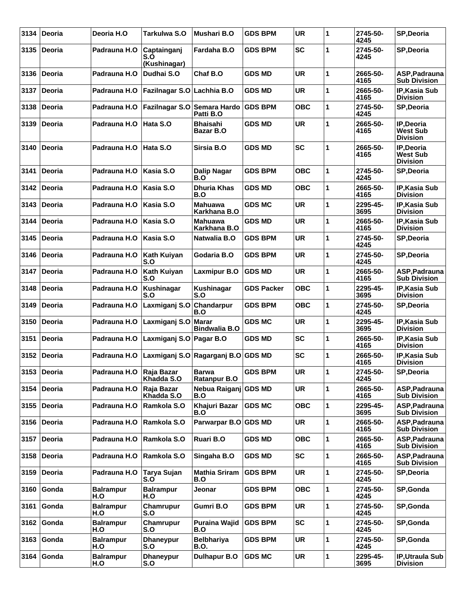| 3134 | <b>Deoria</b> | Deoria H.O              | Tarkulwa S.O                                    | <b>Mushari B.O</b>                  | <b>GDS BPM</b>    | <b>UR</b>  | $\mathbf{1}$ | 2745-50-<br>4245 | <b>SP,Deoria</b>                                       |
|------|---------------|-------------------------|-------------------------------------------------|-------------------------------------|-------------------|------------|--------------|------------------|--------------------------------------------------------|
| 3135 | <b>Deoria</b> | Padrauna H.O            | Captainganj<br>S.Ó<br>(Kushinagar)              | Fardaha B.O                         | <b>GDS BPM</b>    | <b>SC</b>  | 1            | 2745-50-<br>4245 | SP, Deoria                                             |
| 3136 | <b>Deoria</b> | Padrauna H.O            | Dudhai S.O                                      | Chaf B.O                            | <b>GDS MD</b>     | <b>UR</b>  | 1            | 2665-50-<br>4165 | ASP, Padrauna<br><b>Sub Division</b>                   |
| 3137 | Deoria        | Padrauna H.O            | Fazilnagar S.O Lachhia B.O                      |                                     | <b>GDS MD</b>     | <b>UR</b>  | 1            | 2665-50-<br>4165 | IP, Kasia Sub<br><b>Division</b>                       |
| 3138 | Deoria        | Padrauna H.O            | Fazilnagar S.O                                  | Semara Hardo GDS BPM<br>Patti B.O   |                   | <b>OBC</b> | 1            | 2745-50-<br>4245 | <b>SP,Deoria</b>                                       |
| 3139 | <b>Deoria</b> | Padrauna H.O            | Hata S.O                                        | <b>Bhaisahi</b><br>Bazar B.O        | <b>GDS MD</b>     | <b>UR</b>  | 1            | 2665-50-<br>4165 | IP, Deoria<br><b>West Sub</b><br><b>Division</b>       |
| 3140 | Deoria        | Padrauna H.O            | Hata S.O                                        | Sirsia B.O                          | <b>GDS MD</b>     | <b>SC</b>  | 1            | 2665-50-<br>4165 | <b>IP,Deoria</b><br><b>West Sub</b><br><b>Division</b> |
| 3141 | <b>Deoria</b> | Padrauna H.O            | Kasia S.O                                       | Dalip Nagar<br>B.O                  | <b>GDS BPM</b>    | <b>OBC</b> | 1            | 2745-50-<br>4245 | <b>SP,Deoria</b>                                       |
| 3142 | Deoria        | Padrauna H.O            | Kasia S.O                                       | <b>Dhuria Khas</b><br>B.O           | <b>GDS MD</b>     | <b>OBC</b> | 1            | 2665-50-<br>4165 | IP, Kasia Sub<br><b>Division</b>                       |
| 3143 | Deoria        | Padrauna H.O            | Kasia S.O                                       | Mahuawa<br>Karkhana B.O             | <b>GDS MC</b>     | <b>UR</b>  | 1            | 2295-45-<br>3695 | IP, Kasia Sub<br><b>Division</b>                       |
| 3144 | <b>Deoria</b> | Padrauna H.O            | Kasia S.O                                       | Mahuawa<br>Karkhana B.O             | <b>GDS MD</b>     | <b>UR</b>  | 1            | 2665-50-<br>4165 | <b>IP, Kasia Sub</b><br><b>Division</b>                |
| 3145 | <b>Deoria</b> | Padrauna H.O            | Kasia S.O                                       | Natwalia B.O                        | <b>GDS BPM</b>    | <b>UR</b>  | 1            | 2745-50-<br>4245 | SP, Deoria                                             |
| 3146 | Deoria        | Padrauna H.O            | Kath Kuiyan<br>S.O                              | Godaria B.O                         | <b>GDS BPM</b>    | <b>UR</b>  | 1            | 2745-50-<br>4245 | <b>SP,Deoria</b>                                       |
| 3147 | <b>Deoria</b> | Padrauna H.O            | Kath Kuiyan<br>S.O                              | Laxmipur B.O                        | <b>GDS MD</b>     | <b>UR</b>  | 1            | 2665-50-<br>4165 | ASP, Padrauna<br><b>Sub Division</b>                   |
| 3148 | Deoria        | Padrauna H.O            | Kushinagar<br>S.O                               | Kushinagar<br>S.O                   | <b>GDS Packer</b> | <b>OBC</b> | 1            | 2295-45-<br>3695 | IP, Kasia Sub<br><b>Division</b>                       |
| 3149 | Deoria        | Padrauna H.O            | Laxmiganj S.O                                   | Chandarpur<br>B.O                   | <b>GDS BPM</b>    | <b>OBC</b> | 1            | 2745-50-<br>4245 | <b>SP,Deoria</b>                                       |
| 3150 | <b>Deoria</b> | Padrauna H.O            | Laxmiganj S.O                                   | Marar<br><b>Bindwalia B.O</b>       | <b>GDS MC</b>     | <b>UR</b>  | 1            | 2295-45-<br>3695 | IP, Kasia Sub<br><b>Division</b>                       |
| 3151 | <b>Deoria</b> |                         | Padrauna H.O Laxmiganj S.O                      | Pagar B.O                           | <b>GDS MD</b>     | <b>SC</b>  | 1            | 2665-50-<br>4165 | IP, Kasia Sub<br><b>Division</b>                       |
| 3152 | <b>Deoria</b> |                         | Padrauna H.O Laxmiganj S.O Ragarganj B.O GDS MD |                                     |                   | <b>SC</b>  | 1            | 2665-50-<br>4165 | IP, Kasia Sub<br><b>Division</b>                       |
|      | 3153 Deoria   | Padrauna H.O            | Raja Bazar<br>Khadda S.O                        | <b>Barwa</b><br><b>Ratanpur B.O</b> | <b>GDS BPM</b>    | <b>UR</b>  | 1            | 2745-50-<br>4245 | SP, Deoria                                             |
| 3154 | Deoria        | Padrauna H.O            | Raja Bazar<br>Khadda S.O                        | Nebua Raiganj GDS MD<br>B.O         |                   | <b>UR</b>  | 1            | 2665-50-<br>4165 | ASP, Padrauna<br><b>Sub Division</b>                   |
| 3155 | Deoria        | Padrauna H.O            | Ramkola S.O                                     | Khajuri Bazar<br>B.O                | GDS MC            | <b>OBC</b> | 1            | 2295-45-<br>3695 | ASP, Padrauna<br><b>Sub Division</b>                   |
| 3156 | Deoria        | Padrauna H.O            | Ramkola S.O                                     | Parwarpar B.O GDS MD                |                   | <b>UR</b>  | 1            | 2665-50-<br>4165 | ASP, Padrauna<br><b>Sub Division</b>                   |
| 3157 | Deoria        | Padrauna H.O            | Ramkola S.O                                     | Ruari B.O                           | <b>GDS MD</b>     | <b>OBC</b> | 1            | 2665-50-<br>4165 | ASP, Padrauna<br><b>Sub Division</b>                   |
| 3158 | Deoria        | Padrauna H.O            | Ramkola S.O                                     | Singaha B.O                         | <b>GDS MD</b>     | <b>SC</b>  | 1            | 2665-50-<br>4165 | ASP, Padrauna<br><b>Sub Division</b>                   |
| 3159 | Deoria        | Padrauna H.O            | Tarya Sujan<br>S.O                              | <b>Mathia Sriram</b><br>B.O         | <b>GDS BPM</b>    | <b>UR</b>  | 1            | 2745-50-<br>4245 | SP, Deoria                                             |
| 3160 | Gonda         | <b>Balrampur</b><br>H.O | <b>Balrampur</b><br>H.O                         | Jeonar                              | <b>GDS BPM</b>    | <b>OBC</b> | 1            | 2745-50-<br>4245 | SP, Gonda                                              |
| 3161 | Gonda         | <b>Balrampur</b><br>H.O | Chamrupur<br>S.O                                | Gumri B.O                           | <b>GDS BPM</b>    | UR         | 1            | 2745-50-<br>4245 | SP, Gonda                                              |
| 3162 | Gonda         | <b>Balrampur</b><br>H.O | Chamrupur<br>S.O                                | Puraina Wajid<br>B.O                | <b>GDS BPM</b>    | <b>SC</b>  | 1            | 2745-50-<br>4245 | SP, Gonda                                              |
| 3163 | Gonda         | <b>Balrampur</b><br>H.O | <b>Dhaneypur</b><br>S.O                         | <b>Belbhariya</b><br><b>B.O.</b>    | <b>GDS BPM</b>    | <b>UR</b>  | 1            | 2745-50-<br>4245 | SP, Gonda                                              |
| 3164 | Gonda         | <b>Balrampur</b><br>H.O | <b>Dhaneypur</b><br>S.O                         | Dulhapur B.O                        | <b>GDS MC</b>     | <b>UR</b>  | 1            | 2295-45-<br>3695 | <b>IP, Utraula Sub</b><br><b>Division</b>              |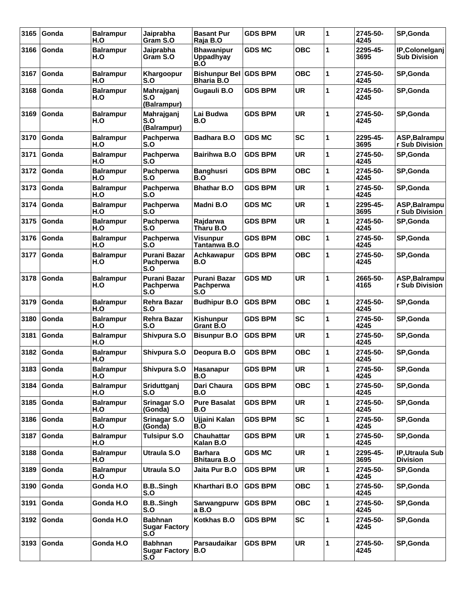| 3165 | Gonda      | <b>Balrampur</b><br>H.O | Jaiprabha<br>Gram S.O                         | <b>Basant Pur</b><br>Raja B.O                     | <b>GDS BPM</b> | <b>UR</b>  | 1 | 2745-50-<br>4245 | SP, Gonda                                 |
|------|------------|-------------------------|-----------------------------------------------|---------------------------------------------------|----------------|------------|---|------------------|-------------------------------------------|
| 3166 | Gonda      | <b>Balrampur</b><br>H.O | Jaiprabha<br>Gram S.O                         | <b>Bhawanipur</b><br><b>Uppadhyay</b><br>B.O      | <b>GDS MC</b>  | <b>OBC</b> | 1 | 2295-45-<br>3695 | IP, Colonelganj<br><b>Sub Division</b>    |
| 3167 | Gonda      | <b>Balrampur</b><br>H.O | Khargoopur<br>S.O                             | <b>Bishunpur Bel GDS BPM</b><br><b>Bharia B.O</b> |                | <b>OBC</b> | 1 | 2745-50-<br>4245 | SP, Gonda                                 |
| 3168 | Gonda      | <b>Balrampur</b><br>H.O | Mahrajganj<br>S.O<br>(Balrampur)              | Gugauli B.O                                       | <b>GDS BPM</b> | <b>UR</b>  | 1 | 2745-50-<br>4245 | SP, Gonda                                 |
| 3169 | Gonda      | <b>Balrampur</b><br>H.O | Mahrajganj<br>S.O<br>(Balrampur)              | Lai Budwa<br>B.O                                  | <b>GDS BPM</b> | <b>UR</b>  | 1 | 2745-50-<br>4245 | SP, Gonda                                 |
| 3170 | Gonda      | <b>Balrampur</b><br>H.O | Pachperwa<br>S.O                              | <b>Badhara B.O</b>                                | <b>GDS MC</b>  | <b>SC</b>  | 1 | 2295-45-<br>3695 | ASP, Balrampu<br>r Sub Division           |
| 3171 | Gonda      | <b>Balrampur</b><br>H.O | Pachperwa<br>S.O                              | <b>Bairihwa B.O</b>                               | <b>GDS BPM</b> | <b>UR</b>  | 1 | 2745-50-<br>4245 | SP, Gonda                                 |
| 3172 | Gonda      | <b>Balrampur</b><br>H.O | Pachperwa<br>S.O                              | <b>Banghusri</b><br>B.O                           | GDS BPM        | <b>OBC</b> | 1 | 2745-50-<br>4245 | SP, Gonda                                 |
| 3173 | Gonda      | <b>Balrampur</b><br>H.O | Pachperwa<br>S.O                              | <b>Bhathar B.O</b>                                | <b>GDS BPM</b> | <b>UR</b>  | 1 | 2745-50-<br>4245 | SP.Gonda                                  |
| 3174 | Gonda      | <b>Balrampur</b><br>H.O | Pachperwa<br>S.O                              | Madni B.O                                         | <b>GDS MC</b>  | <b>UR</b>  | 1 | 2295-45-<br>3695 | ASP, Balrampu<br>r Sub Division           |
| 3175 | Gonda      | <b>Balrampur</b><br>H.O | Pachperwa<br>S.O                              | Rajdarwa<br>Tharu B.O                             | <b>GDS BPM</b> | <b>UR</b>  | 1 | 2745-50-<br>4245 | SP, Gonda                                 |
| 3176 | Gonda      | <b>Balrampur</b><br>H.O | Pachperwa<br>S.O                              | <b>Visunpur</b><br>Tantanwa B.O                   | <b>GDS BPM</b> | <b>OBC</b> | 1 | 2745-50-<br>4245 | SP, Gonda                                 |
| 3177 | Gonda      | <b>Balrampur</b><br>H.O | <b>Purani Bazar</b><br>Pachperwa<br>S.O       | Achkawapur<br>B.O                                 | <b>GDS BPM</b> | <b>OBC</b> | 1 | 2745-50-<br>4245 | SP, Gonda                                 |
| 3178 | Gonda      | <b>Balrampur</b><br>H.O | <b>Purani Bazar</b><br>Pachperwa<br>S.O       | <b>Purani Bazar</b><br>Pachperwa<br>S.O           | <b>GDS MD</b>  | <b>UR</b>  | 1 | 2665-50-<br>4165 | ASP, Balrampu<br>r Sub Division           |
| 3179 | Gonda      | <b>Balrampur</b><br>H.O | Rehra Bazar<br>S.O                            | <b>Budhipur B.O</b>                               | <b>GDS BPM</b> | <b>OBC</b> | 1 | 2745-50-<br>4245 | SP, Gonda                                 |
| 3180 | Gonda      | <b>Balrampur</b><br>H.O | Rehra Bazar<br>S.O                            | Kishunpur<br><b>Grant B.O</b>                     | <b>GDS BPM</b> | <b>SC</b>  | 1 | 2745-50-<br>4245 | SP, Gonda                                 |
| 3181 | Gonda      | <b>Balrampur</b><br>H.O | Shivpura S.O                                  | <b>Bisunpur B.O</b>                               | <b>GDS BPM</b> | UR.        | 1 | 2745-50-<br>4245 | SP, Gonda                                 |
| 3182 | Gonda      | <b>Balrampur</b><br>H.O | Shivpura S.O                                  | Deopura B.O                                       | <b>GDS BPM</b> | <b>OBC</b> | 1 | 2745-50-<br>4245 | SP, Gonda                                 |
| 3183 | Gonda      | <b>Balrampur</b><br>H.O | Shivpura S.O                                  | Hasanapur<br>B.O                                  | <b>GDS BPM</b> | <b>UR</b>  | 1 | 2745-50-<br>4245 | SP, Gonda                                 |
| 3184 | Gonda      | <b>Balrampur</b><br>H.O | Sriduttganj<br>S.O                            | Dari Chaura<br>B.O                                | <b>GDS BPM</b> | <b>OBC</b> | 1 | 2745-50-<br>4245 | SP, Gonda                                 |
| 3185 | Gonda      | <b>Balrampur</b><br>H.O | <b>Srinagar S.O</b><br>(Gonda)                | <b>Pure Basalat</b><br>B.O                        | <b>GDS BPM</b> | <b>UR</b>  | 1 | 2745-50-<br>4245 | SP, Gonda                                 |
| 3186 | ∣Gonda     | <b>Balrampur</b><br>H.O | <b>Srinagar S.O</b><br>(Gonda)                | Ujjaini Kalan<br>B.O                              | <b>GDS BPM</b> | <b>SC</b>  | 1 | 2745-50-<br>4245 | SP, Gonda                                 |
| 3187 | Gonda      | <b>Balrampur</b><br>H.O | <b>Tulsipur S.O</b>                           | <b>Chauhattar</b><br>Kalan B.O                    | <b>GDS BPM</b> | UR         | 1 | 2745-50-<br>4245 | SP, Gonda                                 |
| 3188 | Gonda      | <b>Balrampur</b><br>H.O | Utraula S.O                                   | <b>Barhara</b><br><b>Bhitaura B.O</b>             | <b>GDS MC</b>  | <b>UR</b>  | 1 | 2295-45-<br>3695 | <b>IP, Utraula Sub</b><br><b>Division</b> |
| 3189 | Gonda      | <b>Balrampur</b><br>H.O | Utraula S.O                                   | Jaita Pur B.O                                     | <b>GDS BPM</b> | UR         | 1 | 2745-50-<br>4245 | SP, Gonda                                 |
| 3190 | Gonda      | Gonda H.O               | B.BSingh<br>S.O                               | Kharthari B.O                                     | <b>GDS BPM</b> | <b>OBC</b> | 1 | 2745-50-<br>4245 | SP, Gonda                                 |
| 3191 | Gonda      | Gonda H.O               | <b>B.B.</b> .Singh<br>S.O                     | Sarwangpurw<br>a B.O                              | <b>GDS BPM</b> | <b>OBC</b> | 1 | 2745-50-<br>4245 | SP, Gonda                                 |
|      | 3192 Gonda | Gonda H.O               | <b>Babhnan</b><br><b>Sugar Factory</b><br>S.O | Kotkhas B.O                                       | <b>GDS BPM</b> | <b>SC</b>  | 1 | 2745-50-<br>4245 | SP, Gonda                                 |
| 3193 | Gonda      | Gonda H.O               | <b>Babhnan</b><br><b>Sugar Factory</b><br>S.O | Parsaudaikar<br>B.O                               | <b>GDS BPM</b> | <b>UR</b>  | 1 | 2745-50-<br>4245 | SP, Gonda                                 |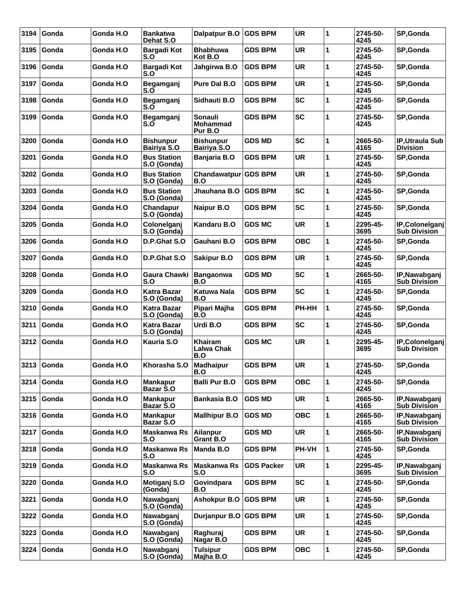| 3194 | Gonda  | Gonda H.O | Bankatwa                          | Dalpatpur B.O                          | <b>GDS BPM</b>    | <b>UR</b>    | 1 | 2745-50-         | SP, Gonda                                |
|------|--------|-----------|-----------------------------------|----------------------------------------|-------------------|--------------|---|------------------|------------------------------------------|
|      |        |           | Dehat S.O                         |                                        |                   |              |   | 4245             |                                          |
| 3195 | Gonda  | Gonda H.O | Bargadi Kot<br>S.O                | <b>Bhabhuwa</b><br>Kot B.O             | <b>GDS BPM</b>    | <b>UR</b>    | 1 | 2745-50-<br>4245 | SP, Gonda                                |
| 3196 | Gonda  | Gonda H.O | <b>Bargadi Kot</b><br>S.O         | Jahgirwa B.O                           | <b>GDS BPM</b>    | <b>UR</b>    | 1 | 2745-50-<br>4245 | SP, Gonda                                |
| 3197 | Gonda  | Gonda H.O | Begamganj<br>S.O                  | Pure Dal B.O                           | GDS BPM           | UR           | 1 | 2745-50-<br>4245 | SP, Gonda                                |
| 3198 | Gonda  | Gonda H.O | Begamganj<br>$S.\overline{O}$     | Sidhauti B.O                           | <b>GDS BPM</b>    | <b>SC</b>    | 1 | 2745-50-<br>4245 | SP, Gonda                                |
| 3199 | Gonda  | Gonda H.O | Begamganj<br>S.O                  | Sonauli<br><b>Mohammad</b><br>Pur B.O  | <b>GDS BPM</b>    | <b>SC</b>    | 1 | 2745-50-<br>4245 | SP, Gonda                                |
| 3200 | Gonda  | Gonda H.O | <b>Bishunpur</b><br>Bairiya S.O   | <b>Bishunpur</b><br><b>Bairiya S.O</b> | <b>GDS MD</b>     | <b>SC</b>    | 1 | 2665-50-<br>4165 | <b>IP.Utraula Sub</b><br><b>Division</b> |
| 3201 | Gonda  | Gonda H.O | <b>Bus Station</b><br>S.O (Gonda) | Banjaria B.O                           | <b>GDS BPM</b>    | <b>UR</b>    | 1 | 2745-50-<br>4245 | SP, Gonda                                |
| 3202 | Gonda  | Gonda H.O | <b>Bus Station</b><br>S.O (Gonda) | Chandawatpur<br>B.O                    | <b>GDS BPM</b>    | <b>UR</b>    | 1 | 2745-50-<br>4245 | SP, Gonda                                |
| 3203 | Gonda  | Gonda H.O | <b>Bus Station</b><br>S.O (Gonda) | Jhauhana B.O                           | <b>GDS BPM</b>    | <b>SC</b>    | 1 | 2745-50-<br>4245 | SP, Gonda                                |
| 3204 | Gonda  | Gonda H.O | Chandapur<br>S.O (Gonda)          | Naipur B.O                             | <b>GDS BPM</b>    | <b>SC</b>    | 1 | 2745-50-<br>4245 | SP, Gonda                                |
| 3205 | Gonda  | Gonda H.O | Colonelganj<br>S.O (Gonda)        | Kandaru B.O                            | <b>GDS MC</b>     | <b>UR</b>    | 1 | 2295-45-<br>3695 | IP, Colonelganj<br><b>Sub Division</b>   |
| 3206 | Gonda  | Gonda H.O | D.P.Ghat S.O                      | Gauhani B.O                            | GDS BPM           | <b>OBC</b>   | 1 | 2745-50-<br>4245 | SP, Gonda                                |
| 3207 | Gonda  | Gonda H.O | D.P.Ghat S.O                      | <b>Sakipur B.O</b>                     | <b>GDS BPM</b>    | <b>UR</b>    | 1 | 2745-50-<br>4245 | SP, Gonda                                |
| 3208 | Gonda  | Gonda H.O | Gaura Chawki<br>S.O               | Bangaonwa<br>B.O                       | <b>GDS MD</b>     | <b>SC</b>    | 1 | 2665-50-<br>4165 | IP, Nawabganj<br><b>Sub Division</b>     |
| 3209 | Gonda  | Gonda H.O | <b>Katra Bazar</b><br>S.O (Gonda) | <b>Katuwa Nala</b><br>B.O              | <b>GDS BPM</b>    | <b>SC</b>    | 1 | 2745-50-<br>4245 | SP, Gonda                                |
| 3210 | Gonda  | Gonda H.O | Katra Bazar<br>S.O (Gonda)        | Pipari Majha<br>B.O                    | <b>GDS BPM</b>    | PH-HH        | 1 | 2745-50-<br>4245 | SP, Gonda                                |
| 3211 | Gonda  | Gonda H.O | <b>Katra Bazar</b><br>S.O (Gonda) | Urdi B.O                               | <b>GDS BPM</b>    | <b>SC</b>    | 1 | 2745-50-<br>4245 | SP, Gonda                                |
| 3212 | Gonda  | Gonda H.O | Kauria S.O                        | Khairam<br><b>Lalwa Chak</b><br>B.O    | <b>GDS MC</b>     | <b>UR</b>    | 1 | 2295-45-<br>3695 | IP, Colonelganj<br><b>Sub Division</b>   |
| 3213 | ∣Gonda | Gonda H.O | Khorasha S.O                      | <b>Madhaipur</b><br>B.O                | <b>GDS BPM</b>    | <b>UR</b>    | 1 | 2745-50-<br>4245 | <b>SP.Gonda</b>                          |
| 3214 | Gonda  | Gonda H.O | <b>Mankapur</b><br>Bazar S.O      | <b>Balli Pur B.O</b>                   | <b>GDS BPM</b>    | <b>OBC</b>   | 1 | 2745-50-<br>4245 | SP, Gonda                                |
| 3215 | Gonda  | Gonda H.O | <b>Mankapur</b><br>Bazar S.O      | Bankasia B.O                           | <b>GDS MD</b>     | <b>UR</b>    | 1 | 2665-50-<br>4165 | IP, Nawabganj<br><b>Sub Division</b>     |
| 3216 | Gonda  | Gonda H.O | <b>Mankapur</b><br>Bazar S.O      | <b>Mallhipur B.O</b>                   | <b>GDS MD</b>     | <b>OBC</b>   | 1 | 2665-50-<br>4165 | IP, Nawabganj<br><b>Sub Division</b>     |
| 3217 | Gonda  | Gonda H.O | <b>Maskanwa Rs</b><br>S.O         | Ailanpur<br>Grant B.O                  | <b>GDS MD</b>     | <b>UR</b>    | 1 | 2665-50-<br>4165 | IP, Nawabganj<br><b>Sub Division</b>     |
| 3218 | Gonda  | Gonda H.O | <b>Maskanwa Rs</b><br>S.O         | Manda B.O                              | <b>GDS BPM</b>    | <b>PH-VH</b> | 1 | 2745-50-<br>4245 | SP, Gonda                                |
| 3219 | Gonda  | Gonda H.O | <b>Maskanwa Rs</b><br>S.O         | Maskanwa Rs<br>S.O                     | <b>GDS Packer</b> | <b>UR</b>    | 1 | 2295-45-<br>3695 | IP, Nawabganj<br>Sub Division            |
| 3220 | Gonda  | Gonda H.O | Motiganj S.O<br>(Gonda)           | Govindpara<br>B.O                      | <b>GDS BPM</b>    | <b>SC</b>    | 1 | 2745-50-<br>4245 | SP, Gonda                                |
| 3221 | Gonda  | Gonda H.O | Nawabganj<br>S.O (Gonda)          | <b>Ashokpur B.O</b>                    | <b>GDS BPM</b>    | <b>UR</b>    | 1 | 2745-50-<br>4245 | SP, Gonda                                |
| 3222 | Gonda  | Gonda H.O | Nawabganj<br>S.O (Gonda)          | Durjanpur B.O                          | <b>GDS BPM</b>    | <b>UR</b>    | 1 | 2745-50-<br>4245 | SP, Gonda                                |
| 3223 | Gonda  | Gonda H.O | Nawabganj<br>S.O (Gonda)          | Raghuraj<br>Nagar B.O                  | <b>GDS BPM</b>    | <b>UR</b>    | 1 | 2745-50-<br>4245 | SP, Gonda                                |
| 3224 | Gonda  | Gonda H.O | Nawabganj<br>S.O (Gonda)          | <b>Tulsipur</b><br>Majha B.O           | <b>GDS BPM</b>    | <b>OBC</b>   | 1 | 2745-50-<br>4245 | SP, Gonda                                |
|      |        |           |                                   |                                        |                   |              |   |                  |                                          |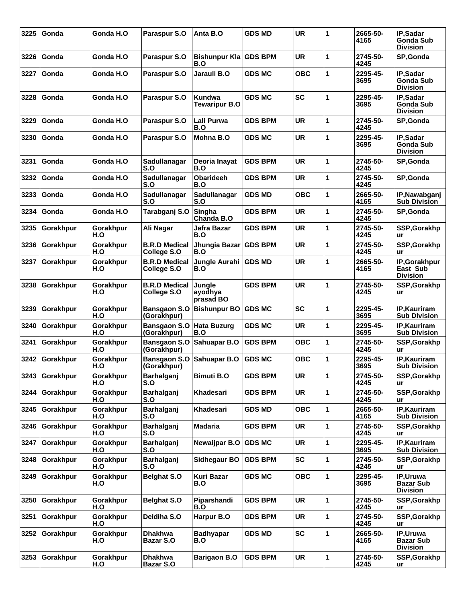| 3225 | Gonda     | Gonda H.O        | Paraspur S.O                        | Anta B.O                       | <b>GDS MD</b>  | <b>UR</b>  | 1 | 2665-50-<br>4165 | IP,Sadar<br>Gonda Sub<br><b>Division</b>         |
|------|-----------|------------------|-------------------------------------|--------------------------------|----------------|------------|---|------------------|--------------------------------------------------|
| 3226 | Gonda     | Gonda H.O        | Paraspur S.O                        | Bishunpur Kla GDS BPM<br>B.O   |                | <b>UR</b>  | 1 | 2745-50-<br>4245 | SP, Gonda                                        |
| 3227 | Gonda     | Gonda H.O        | Paraspur S.O                        | Jarauli B.O                    | <b>GDS MC</b>  | <b>OBC</b> | 1 | 2295-45-<br>3695 | IP,Sadar<br><b>Gonda Sub</b><br><b>Division</b>  |
| 3228 | Gonda     | Gonda H.O        | Paraspur S.O                        | Kundwa<br><b>Tewaripur B.O</b> | <b>GDS MC</b>  | <b>SC</b>  | 1 | 2295-45-<br>3695 | IP,Sadar<br>Gonda Sub<br><b>Division</b>         |
| 3229 | Gonda     | Gonda H.O        | Paraspur S.O                        | Lali Purwa<br>B.O              | <b>GDS BPM</b> | <b>UR</b>  | 1 | 2745-50-<br>4245 | SP, Gonda                                        |
| 3230 | Gonda     | Gonda H.O        | Paraspur S.O                        | Mohna B.O                      | <b>GDS MC</b>  | <b>UR</b>  | 1 | 2295-45-<br>3695 | IP,Sadar<br><b>Gonda Sub</b><br><b>Division</b>  |
| 3231 | Gonda     | Gonda H.O        | Sadullanagar<br>S.O                 | Deoria Inayat<br>B.O           | <b>GDS BPM</b> | UR         | 1 | 2745-50-<br>4245 | SP, Gonda                                        |
| 3232 | Gonda     | Gonda H.O        | Sadullanagar<br>S.O                 | <b>Obarideeh</b><br>B.O        | <b>GDS BPM</b> | <b>UR</b>  | 1 | 2745-50-<br>4245 | SP, Gonda                                        |
| 3233 | Gonda     | Gonda H.O        | Sadullanagar<br>S.O                 | Sadullanagar<br>S.O            | <b>GDS MD</b>  | ОВС        | 1 | 2665-50-<br>4165 | IP, Nawabganj<br><b>Sub Division</b>             |
| 3234 | Gonda     | Gonda H.O        | Tarabganj S.O                       | Singha<br>Chanda B.O           | <b>GDS BPM</b> | <b>UR</b>  | 1 | 2745-50-<br>4245 | SP, Gonda                                        |
| 3235 | Gorakhpur | Gorakhpur<br>H.O | Ali Nagar                           | Jafra Bazar<br>B.O             | GDS BPM        | <b>UR</b>  | 1 | 2745-50-<br>4245 | SSP, Gorakhp<br>ur                               |
| 3236 | Gorakhpur | Gorakhpur<br>H.O | <b>B.R.D Medical</b><br>College S.O | Jhungia Bazar<br>B.O           | <b>GDS BPM</b> | <b>UR</b>  | 1 | 2745-50-<br>4245 | SSP, Gorakhp<br>ur                               |
| 3237 | Gorakhpur | Gorakhpur<br>H.O | <b>B.R.D Medical</b><br>College S.O | Jungle Aurahi<br>B.O           | <b>GDS MD</b>  | <b>UR</b>  | 1 | 2665-50-<br>4165 | IP, Gorakhpur<br>East Sub<br><b>Division</b>     |
| 3238 | Gorakhpur | Gorakhpur<br>H.O | <b>B.R.D Medical</b><br>College S.O | Jungle<br>ayodhya<br>prasad BO | GDS BPM        | <b>UR</b>  | 1 | 2745-50-<br>4245 | SSP, Gorakhp<br>ur                               |
| 3239 | Gorakhpur | Gorakhpur<br>H.O | <b>Bansgaon S.O</b><br>(Gorakhpur)  | <b>Bishunpur BO</b>            | <b>GDS MC</b>  | <b>SC</b>  | 1 | 2295-45-<br>3695 | <b>IP, Kauriram</b><br><b>Sub Division</b>       |
| 3240 | Gorakhpur | Gorakhpur<br>H.O | <b>Bansgaon S.O</b><br>(Gorakhpur)  | <b>Hata Buzurg</b><br>B.O      | <b>GDS MC</b>  | <b>UR</b>  | 1 | 2295-45-<br>3695 | <b>IP,Kauriram</b><br><b>Sub Division</b>        |
| 3241 | Gorakhpur | Gorakhpur<br>H.O | <b>Bansgaon S.O</b><br>(Gorakhpur)  | Sahuapar B.O                   | <b>GDS BPM</b> | <b>OBC</b> | 1 | 2745-50-<br>4245 | SSP, Gorakhp<br>ur                               |
| 3242 | Gorakhpur | Gorakhpur<br>H.O | (Gorakhpur)                         | Bansgaon S.O Sahuapar B.O      | <b>GDS MC</b>  | <b>OBC</b> | 1 | 2295-45-<br>3695 | IP, Kauriram<br><b>Sub Division</b>              |
| 3243 | Gorakhpur | Gorakhpur<br>H.O | Barhalganj<br>S.O                   | <b>Bimuti B.O</b>              | <b>GDS BPM</b> | <b>UR</b>  | 1 | 2745-50-<br>4245 | SSP, Gorakhp<br>ur                               |
| 3244 | Gorakhpur | Gorakhpur<br>H.O | Barhalganj<br>S.O                   | Khadesari                      | <b>GDS BPM</b> | <b>UR</b>  | 1 | 2745-50-<br>4245 | SSP, Gorakhp<br>ur                               |
| 3245 | Gorakhpur | Gorakhpur<br>H.O | Barhalganj<br>S.O                   | Khadesari                      | <b>GDS MD</b>  | <b>OBC</b> | 1 | 2665-50-<br>4165 | IP, Kauriram<br><b>Sub Division</b>              |
| 3246 | Gorakhpur | Gorakhpur<br>H.O | Barhalganj<br>S.O                   | <b>Madaria</b>                 | <b>GDS BPM</b> | <b>UR</b>  | 1 | 2745-50-<br>4245 | SSP, Gorakhp<br>ur                               |
| 3247 | Gorakhpur | Gorakhpur<br>H.O | Barhalganj<br>S.O                   | <b>Newaijpar B.O</b>           | <b>GDS MC</b>  | <b>UR</b>  | 1 | 2295-45-<br>3695 | IP, Kauriram<br><b>Sub Division</b>              |
| 3248 | Gorakhpur | Gorakhpur<br>H.O | Barhalganj<br>S.O                   | <b>Sidhegaur BO</b>            | <b>GDS BPM</b> | <b>SC</b>  | 1 | 2745-50-<br>4245 | SSP, Gorakhp<br>ur                               |
| 3249 | Gorakhpur | Gorakhpur<br>H.O | <b>Belghat S.O</b>                  | Kuri Bazar<br>B.O              | <b>GDS MC</b>  | <b>OBC</b> | 1 | 2295-45-<br>3695 | IP, Uruwa<br><b>Bazar Sub</b><br><b>Division</b> |
| 3250 | Gorakhpur | Gorakhpur<br>H.O | <b>Belghat S.O</b>                  | Piparshandi<br>B.O             | <b>GDS BPM</b> | <b>UR</b>  | 1 | 2745-50-<br>4245 | SSP, Gorakhp<br>ur                               |
| 3251 | Gorakhpur | Gorakhpur<br>H.O | Deidiha S.O                         | Harpur B.O                     | <b>GDS BPM</b> | <b>UR</b>  | 1 | 2745-50-<br>4245 | SSP, Gorakhp<br>ur                               |
| 3252 | Gorakhpur | Gorakhpur<br>H.O | <b>Dhakhwa</b><br>Bazar S.O         | <b>Badhyapar</b><br>B.O        | <b>GDS MD</b>  | <b>SC</b>  | 1 | 2665-50-<br>4165 | IP, Uruwa<br><b>Bazar Sub</b><br><b>Division</b> |
| 3253 | Gorakhpur | Gorakhpur<br>H.O | <b>Dhakhwa</b><br>Bazar S.O         | <b>Barigaon B.O</b>            | <b>GDS BPM</b> | <b>UR</b>  | 1 | 2745-50-<br>4245 | SSP, Gorakhp<br>ur                               |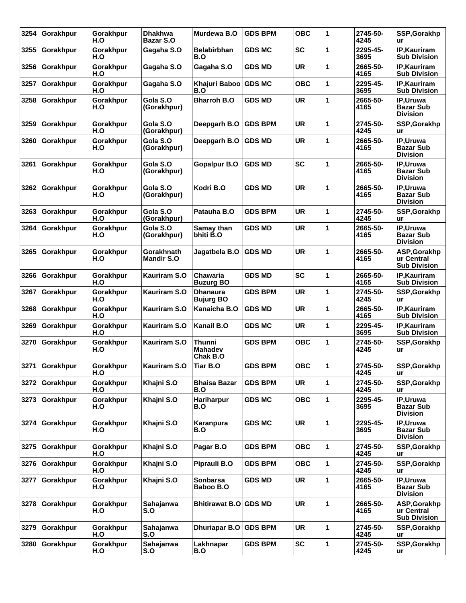| 3254 | Gorakhpur        | Gorakhpur<br>H.O | <b>Dhakhwa</b><br><b>Bazar S.O</b> | Murdewa B.O                                 | <b>GDS BPM</b> | <b>OBC</b> | 1 | 2745-50-<br>4245 | SSP, Gorakhp<br><b>ur</b>                         |
|------|------------------|------------------|------------------------------------|---------------------------------------------|----------------|------------|---|------------------|---------------------------------------------------|
| 3255 | Gorakhpur        | Gorakhpur<br>H.O | Gagaha S.O                         | <b>Belabirbhan</b><br>B.O                   | <b>GDS MC</b>  | <b>SC</b>  | 1 | 2295-45-<br>3695 | IP, Kauriram<br><b>Sub Division</b>               |
| 3256 | Gorakhpur        | Gorakhpur<br>H.O | Gagaha S.O                         | Gagaha S.O                                  | <b>GDS MD</b>  | <b>UR</b>  | 1 | 2665-50-<br>4165 | IP, Kauriram<br><b>Sub Division</b>               |
| 3257 | Gorakhpur        | Gorakhpur<br>H.O | Gagaha S.O                         | Khajuri Baboo<br>B.O                        | <b>GDS MC</b>  | <b>OBC</b> | 1 | 2295-45-<br>3695 | IP, Kauriram<br><b>Sub Division</b>               |
| 3258 | Gorakhpur        | Gorakhpur<br>H.O | Gola S.O<br>(Gorakhpur)            | <b>Bharroh B.O</b>                          | <b>GDS MD</b>  | <b>UR</b>  | 1 | 2665-50-<br>4165 | IP, Uruwa<br><b>Bazar Sub</b><br><b>Division</b>  |
| 3259 | Gorakhpur        | Gorakhpur<br>H.O | Gola S.O<br>(Gorakhpur)            | Deepgarh B.O                                | <b>GDS BPM</b> | <b>UR</b>  | 1 | 2745-50-<br>4245 | SSP, Gorakhp<br>ur                                |
| 3260 | Gorakhpur        | Gorakhpur<br>H.O | Gola S.O<br>(Gorakhpur)            | Deepgarh B.O                                | <b>GDS MD</b>  | <b>UR</b>  | 1 | 2665-50-<br>4165 | IP, Uruwa<br><b>Bazar Sub</b><br><b>Division</b>  |
| 3261 | Gorakhpur        | Gorakhpur<br>H.O | Gola S.O<br>(Gorakhpur)            | <b>Gopalpur B.O</b>                         | <b>GDS MD</b>  | <b>SC</b>  | 1 | 2665-50-<br>4165 | IP, Uruwa<br><b>Bazar Sub</b><br><b>Division</b>  |
| 3262 | Gorakhpur        | Gorakhpur<br>H.O | Gola S.O<br>(Gorakhpur)            | Kodri B.O                                   | <b>GDS MD</b>  | <b>UR</b>  | 1 | 2665-50-<br>4165 | IP, Uruwa<br><b>Bazar Sub</b><br><b>Division</b>  |
| 3263 | Gorakhpur        | Gorakhpur<br>H.O | Gola S.O<br>(Gorakhpur)            | Patauha B.O                                 | <b>GDS BPM</b> | <b>UR</b>  | 1 | 2745-50-<br>4245 | SSP, Gorakhp<br>ur                                |
| 3264 | Gorakhpur        | Gorakhpur<br>H.O | Gola S.O<br>(Gorakhpur)            | Samay than<br>bhiti B.O                     | <b>GDS MD</b>  | <b>UR</b>  | 1 | 2665-50-<br>4165 | IP, Uruwa<br><b>Bazar Sub</b><br><b>Division</b>  |
| 3265 | Gorakhpur        | Gorakhpur<br>H.O | Gorakhnath<br><b>Mandir S.O</b>    | Jagatbela B.O                               | <b>GDS MD</b>  | <b>UR</b>  | 1 | 2665-50-<br>4165 | ASP, Gorakhp<br>ur Central<br><b>Sub Division</b> |
| 3266 | Gorakhpur        | Gorakhpur<br>H.O | Kauriram S.O                       | <b>Chawaria</b><br><b>Buzurg BO</b>         | <b>GDS MD</b>  | <b>SC</b>  | 1 | 2665-50-<br>4165 | IP, Kauriram<br><b>Sub Division</b>               |
| 3267 | Gorakhpur        | Gorakhpur<br>H.O | Kauriram S.O                       | <b>Dhanaura</b><br><b>Bujurg BO</b>         | <b>GDS BPM</b> | <b>UR</b>  | 1 | 2745-50-<br>4245 | SSP, Gorakhp<br><b>ur</b>                         |
| 3268 | Gorakhpur        | Gorakhpur<br>H.O | Kauriram S.O                       | Kanaicha B.O                                | <b>GDS MD</b>  | <b>UR</b>  | 1 | 2665-50-<br>4165 | IP, Kauriram<br><b>Sub Division</b>               |
| 3269 | Gorakhpur        | Gorakhpur<br>H.O | Kauriram S.O                       | Kanail B.O                                  | <b>GDS MC</b>  | <b>UR</b>  | 1 | 2295-45-<br>3695 | <b>IP.Kauriram</b><br><b>Sub Division</b>         |
| 3270 | Gorakhpur        | Gorakhpur<br>H.O | Kauriram S.O                       | <b>Thunni</b><br><b>Mahadev</b><br>Chak B.O | <b>GDS BPM</b> | <b>OBC</b> | 1 | 2745-50-<br>4245 | SSP, Gorakhp<br>ur                                |
| 3271 | <b>Gorakhpur</b> | Gorakhpur<br>H.O | Kauriram S.O                       | <b>Tiar B.O</b>                             | <b>GDS BPM</b> | <b>OBC</b> | 1 | 2745-50-<br>4245 | SSP, Gorakhp<br>ur                                |
| 3272 | Gorakhpur        | Gorakhpur<br>H.O | Khajni S.O                         | <b>Bhaisa Bazar</b><br>B.O                  | <b>GDS BPM</b> | <b>UR</b>  | 1 | 2745-50-<br>4245 | SSP, Gorakhp<br>ur                                |
| 3273 | Gorakhpur        | Gorakhpur<br>H.O | Khajni S.O                         | <b>Hariharpur</b><br>B.O                    | <b>GDS MC</b>  | <b>OBC</b> | 1 | 2295-45-<br>3695 | IP, Uruwa<br><b>Bazar Sub</b><br><b>Division</b>  |
| 3274 | Gorakhpur        | Gorakhpur<br>H.O | Khajni S.O                         | Karanpura<br>B.O                            | <b>GDS MC</b>  | <b>UR</b>  | 1 | 2295-45-<br>3695 | IP, Uruwa<br><b>Bazar Sub</b><br><b>Division</b>  |
| 3275 | Gorakhpur        | Gorakhpur<br>H.O | Khajni S.O                         | Pagar B.O                                   | <b>GDS BPM</b> | <b>OBC</b> | 1 | 2745-50-<br>4245 | SSP, Gorakhp<br>ur                                |
| 3276 | Gorakhpur        | Gorakhpur<br>H.O | Khajni S.O                         | Piprauli B.O                                | <b>GDS BPM</b> | <b>OBC</b> | 1 | 2745-50-<br>4245 | SSP, Gorakhp<br>ur                                |
| 3277 | Gorakhpur        | Gorakhpur<br>H.O | Khajni S.O                         | Sonbarsa<br>Baboo B.O                       | <b>GDS MD</b>  | <b>UR</b>  | 1 | 2665-50-<br>4165 | IP, Uruwa<br><b>Bazar Sub</b><br><b>Division</b>  |
| 3278 | Gorakhpur        | Gorakhpur<br>H.O | Sahajanwa<br>S.O                   | <b>Bhitirawat B.O</b>                       | <b>GDS MD</b>  | <b>UR</b>  | 1 | 2665-50-<br>4165 | ASP, Gorakhp<br>ur Central<br><b>Sub Division</b> |
| 3279 | Gorakhpur        | Gorakhpur<br>H.O | Sahajanwa<br>S.O                   | <b>Dhuriapar B.O</b>                        | <b>GDS BPM</b> | <b>UR</b>  | 1 | 2745-50-<br>4245 | SSP, Gorakhp<br>ur                                |
| 3280 | Gorakhpur        | Gorakhpur<br>H.O | Sahajanwa<br>S.O                   | Lakhnapar<br>B.O                            | <b>GDS BPM</b> | <b>SC</b>  | 1 | 2745-50-<br>4245 | SSP, Gorakhp<br>ur                                |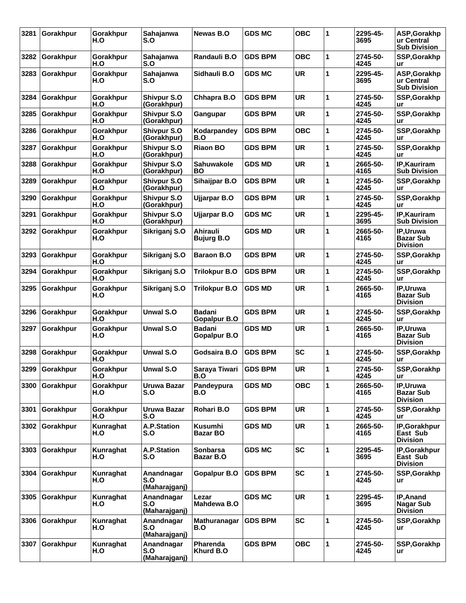| 3281 | Gorakhpur      | Gorakhpur<br>H.O | Sahajanwa<br>S.O                   | Newas B.O                     | <b>GDS MC</b>  | <b>OBC</b> | 1 | 2295-45-<br>3695 | ASP, Gorakhp<br>ur Central<br><b>Sub Division</b> |
|------|----------------|------------------|------------------------------------|-------------------------------|----------------|------------|---|------------------|---------------------------------------------------|
| 3282 | Gorakhpur      | Gorakhpur<br>H.O | Sahajanwa<br>S.O                   | Randauli B.O                  | <b>GDS BPM</b> | <b>OBC</b> | 1 | 2745-50-<br>4245 | SSP, Gorakhp<br>ur                                |
| 3283 | Gorakhpur      | Gorakhpur<br>H.O | Sahajanwa<br>S.O                   | Sidhauli B.O                  | <b>GDS MC</b>  | <b>UR</b>  | 1 | 2295-45-<br>3695 | ASP, Gorakhp<br>ur Central<br><b>Sub Division</b> |
| 3284 | Gorakhpur      | Gorakhpur<br>H.O | <b>Shivpur S.O</b><br>(Gorakhpur)  | Chhapra B.O                   | <b>GDS BPM</b> | <b>UR</b>  | 1 | 2745-50-<br>4245 | SSP, Gorakhp<br>ur                                |
| 3285 | Gorakhpur      | Gorakhpur<br>H.O | <b>Shivpur S.O</b><br>(Gorakhpur)  | Gangupar                      | <b>GDS BPM</b> | <b>UR</b>  | 1 | 2745-50-<br>4245 | SSP, Gorakhp<br><b>ur</b>                         |
| 3286 | Gorakhpur      | Gorakhpur<br>H.O | Shivpur S.O<br>(Gorakhpur)         | Kodarpandey<br>B.O            | <b>GDS BPM</b> | <b>OBC</b> | 1 | 2745-50-<br>4245 | SSP, Gorakhp<br><b>ur</b>                         |
| 3287 | Gorakhpur      | Gorakhpur<br>H.O | <b>Shivpur S.O</b><br>(Gorakhpur)  | <b>Riaon BO</b>               | <b>GDS BPM</b> | <b>UR</b>  | 1 | 2745-50-<br>4245 | SSP, Gorakhp<br><b>ur</b>                         |
| 3288 | Gorakhpur      | Gorakhpur<br>H.O | <b>Shivpur S.O</b><br>(Gorakhpur)  | Sahuwakole<br><b>BO</b>       | <b>GDS MD</b>  | <b>UR</b>  | 1 | 2665-50-<br>4165 | IP, Kauriram<br><b>Sub Division</b>               |
| 3289 | Gorakhpur      | Gorakhpur<br>H.O | Shivpur S.O<br>(Gorakhpur)         | Sihaijpar B.O                 | <b>GDS BPM</b> | <b>UR</b>  | 1 | 2745-50-<br>4245 | SSP, Gorakhp<br><b>ur</b>                         |
| 3290 | Gorakhpur      | Gorakhpur<br>H.O | <b>Shivpur S.O</b><br>(Gorakhpur)  | Ujjarpar B.O                  | <b>GDS BPM</b> | <b>UR</b>  | 1 | 2745-50-<br>4245 | SSP, Gorakhp<br><b>ur</b>                         |
| 3291 | Gorakhpur      | Gorakhpur<br>H.O | <b>Shivpur S.O</b><br>(Gorakhpur)  | Ujjarpar B.O                  | <b>GDS MC</b>  | <b>UR</b>  | 1 | 2295-45-<br>3695 | IP, Kauriram<br><b>Sub Division</b>               |
| 3292 | Gorakhpur      | Gorakhpur<br>H.O | Sikriganj S.O                      | Ahirauli<br><b>Bujurg B.O</b> | <b>GDS MD</b>  | <b>UR</b>  | 1 | 2665-50-<br>4165 | IP, Uruwa<br><b>Bazar Sub</b><br><b>Division</b>  |
| 3293 | Gorakhpur      | Gorakhpur<br>H.O | Sikriganj S.O                      | <b>Baraon B.O</b>             | <b>GDS BPM</b> | <b>UR</b>  | 1 | 2745-50-<br>4245 | SSP, Gorakhp<br><b>ur</b>                         |
| 3294 | Gorakhpur      | Gorakhpur<br>H.O | Sikriganj S.O                      | Trilokpur B.O                 | <b>GDS BPM</b> | <b>UR</b>  | 1 | 2745-50-<br>4245 | SSP, Gorakhp<br><b>ur</b>                         |
| 3295 | Gorakhpur      | Gorakhpur<br>H.O | Sikriganj S.O                      | <b>Trilokpur B.O</b>          | <b>GDS MD</b>  | <b>UR</b>  | 1 | 2665-50-<br>4165 | IP, Uruwa<br><b>Bazar Sub</b><br><b>Division</b>  |
| 3296 | Gorakhpur      | Gorakhpur<br>H.O | Unwal S.O                          | <b>Badani</b><br>Gopalpur B.O | <b>GDS BPM</b> | <b>UR</b>  | 1 | 2745-50-<br>4245 | SSP, Gorakhp<br>ur                                |
| 3297 | Gorakhpur      | Gorakhpur<br>H.O | Unwal S.O                          | <b>Badani</b><br>Gopalpur B.O | <b>GDS MD</b>  | <b>UR</b>  | 1 | 2665-50-<br>4165 | IP, Uruwa<br><b>Bazar Sub</b><br><b>Division</b>  |
| 3298 | Gorakhpur      | Gorakhpur<br>H.O | Unwal S.O                          | Godsaira B.O                  | <b>GDS BPM</b> | <b>SC</b>  | 1 | 2745-50-<br>4245 | SSP, Gorakhp<br>ur                                |
|      | 3299 Gorakhpur | Gorakhpur<br>H.O | Unwal S.O                          | Saraya Tiwari GDS BPM<br>B.O  |                | <b>UR</b>  | 1 | 2745-50-<br>4245 | SSP, Gorakhp<br>ur                                |
| 3300 | Gorakhpur      | Gorakhpur<br>H.O | Uruwa Bazar<br>S.O                 | Pandeypura<br>B.O             | <b>GDS MD</b>  | <b>OBC</b> | 1 | 2665-50-<br>4165 | IP, Uruwa<br><b>Bazar Sub</b><br><b>Division</b>  |
| 3301 | Gorakhpur      | Gorakhpur<br>H.O | Uruwa Bazar<br>S.O                 | Rohari B.O                    | <b>GDS BPM</b> | <b>UR</b>  | 1 | 2745-50-<br>4245 | SSP, Gorakhp<br>ur                                |
| 3302 | Gorakhpur      | Kunraghat<br>H.O | A.P.Station<br>S.O                 | Kusumhi<br><b>Bazar BO</b>    | <b>GDS MD</b>  | <b>UR</b>  | 1 | 2665-50-<br>4165 | IP, Gorakhpur<br>East Sub<br><b>Division</b>      |
| 3303 | Gorakhpur      | Kunraghat<br>H.O | A.P.Station<br>S.O                 | <b>Sonbarsa</b><br>Bazar B.O  | <b>GDS MC</b>  | <b>SC</b>  | 1 | 2295-45-<br>3695 | IP, Gorakhpur<br>East Sub<br><b>Division</b>      |
| 3304 | Gorakhpur      | Kunraghat<br>H.O | Anandnagar<br>S.O<br>(Maharajganj) | Gopalpur B.O                  | <b>GDS BPM</b> | <b>SC</b>  | 1 | 2745-50-<br>4245 | SSP, Gorakhp<br><b>ur</b>                         |
| 3305 | Gorakhpur      | Kunraghat<br>H.O | Anandnagar<br>S.O<br>(Maharajganj) | Lezar<br>Mahdewa B.O          | <b>GDS MC</b>  | <b>UR</b>  | 1 | 2295-45-<br>3695 | IP, Anand<br>Nagar Sub<br><b>Division</b>         |
| 3306 | Gorakhpur      | Kunraghat<br>H.O | Anandnagar<br>S.O<br>(Maharajganj) | <b>Mathuranagar</b><br>B.O    | <b>GDS BPM</b> | <b>SC</b>  | 1 | 2745-50-<br>4245 | SSP, Gorakhp<br><b>ur</b>                         |
| 3307 | Gorakhpur      | Kunraghat<br>H.O | Anandnagar<br>S.O<br>(Maharajganj) | Pharenda<br>Khurd B.O         | <b>GDS BPM</b> | <b>OBC</b> | 1 | 2745-50-<br>4245 | SSP, Gorakhp<br>ur                                |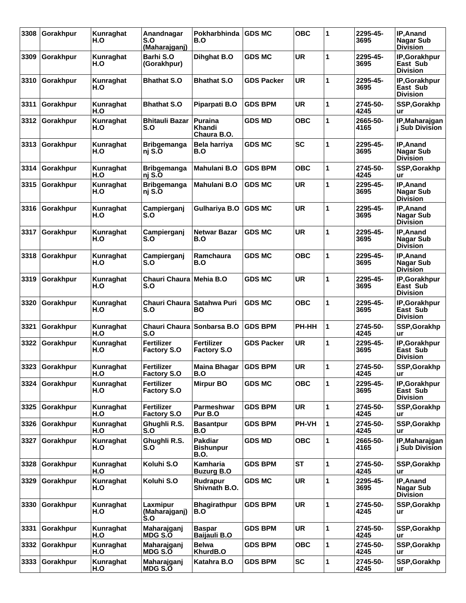| 3308 | Gorakhpur      | Kunraghat<br>H.O | Anandnagar<br>S.O<br>(Maharajganj)      | Pokharbhinda<br>B.O                               | <b>GDS MC</b>     | <b>OBC</b> | 1 | 2295-45-<br>3695 | IP, Anand<br><b>Nagar Sub</b><br><b>Division</b> |
|------|----------------|------------------|-----------------------------------------|---------------------------------------------------|-------------------|------------|---|------------------|--------------------------------------------------|
| 3309 | Gorakhpur      | Kunraghat<br>H.O | Barhi S.O<br>(Gorakhpur)                | Dihghat B.O                                       | <b>GDS MC</b>     | <b>UR</b>  | 1 | 2295-45-<br>3695 | IP, Gorakhpur<br>East Sub<br><b>Division</b>     |
| 3310 | Gorakhpur      | Kunraghat<br>H.O | <b>Bhathat S.O</b>                      | <b>Bhathat S.O</b>                                | <b>GDS Packer</b> | <b>UR</b>  | 1 | 2295-45-<br>3695 | IP, Gorakhpur<br>East Sub<br><b>Division</b>     |
| 3311 | Gorakhpur      | Kunraghat<br>H.O | <b>Bhathat S.O</b>                      | Piparpati B.O                                     | <b>GDS BPM</b>    | <b>UR</b>  | 1 | 2745-50-<br>4245 | SSP, Gorakhp<br>ur                               |
| 3312 | Gorakhpur      | Kunraqhat<br>H.O | <b>Bhitauli Bazar</b><br>S.O            | Puraina<br>Khandi<br>Chaura B.O.                  | GDS MD            | <b>OBC</b> | 1 | 2665-50-<br>4165 | IP, Maharajgan<br><b>i Sub Division</b>          |
| 3313 | Gorakhpur      | Kunraghat<br>H.O | <b>Bribgemanga</b><br>nj S.O            | Bela harriya<br>B.O                               | <b>GDS MC</b>     | <b>SC</b>  | 1 | 2295-45-<br>3695 | IP, Anand<br>Nagar Sub<br><b>Division</b>        |
| 3314 | Gorakhpur      | Kunraghat<br>H.O | <b>Bribgemanga</b><br>nj S.O            | Mahulani B.O                                      | <b>GDS BPM</b>    | <b>OBC</b> | 1 | 2745-50-<br>4245 | SSP, Gorakhp<br>ur                               |
| 3315 | Gorakhpur      | Kunraqhat<br>H.O | <b>Bribgemanga</b><br>nj S.O            | Mahulani B.O                                      | <b>GDS MC</b>     | <b>UR</b>  | 1 | 2295-45-<br>3695 | IP, Anand<br>Nagar Sub<br><b>Division</b>        |
| 3316 | Gorakhpur      | Kunraghat<br>H.O | Campierganj<br>S.O                      | Gulhariya B.O                                     | <b>GDS MC</b>     | <b>UR</b>  | 1 | 2295-45-<br>3695 | <b>IP, Anand</b><br>Nagar Sub<br><b>Division</b> |
| 3317 | Gorakhpur      | Kunraghat<br>H.O | Campierganj<br>S.O                      | Netwar Bazar<br>B.O                               | <b>GDS MC</b>     | <b>UR</b>  | 1 | 2295-45-<br>3695 | IP, Anand<br>Nagar Sub<br><b>Division</b>        |
| 3318 | Gorakhpur      | Kunraghat<br>H.O | Campierganj<br>S.O                      | Ramchaura<br>B.O                                  | <b>GDS MC</b>     | <b>OBC</b> | 1 | 2295-45-<br>3695 | IP, Anand<br>Nagar Sub<br><b>Division</b>        |
| 3319 | Gorakhpur      | Kunraghat<br>H.O | <b>Chauri Chaura</b><br>S.O             | Mehia B.O                                         | <b>GDS MC</b>     | <b>UR</b>  | 1 | 2295-45-<br>3695 | IP, Gorakhpur<br>East Sub<br><b>Division</b>     |
| 3320 | Gorakhpur      | Kunraghat<br>H.O | <b>Chauri Chaura</b><br>S.O             | Satahwa Puri<br>BO.                               | <b>GDS MC</b>     | OBC        | 1 | 2295-45-<br>3695 | IP, Gorakhpur<br>East Sub<br><b>Division</b>     |
| 3321 | Gorakhpur      | Kunraghat<br>H.O | Chauri Chaura Sonbarsa B.O<br>S.O       |                                                   | <b>GDS BPM</b>    | PH-HH      | 1 | 2745-50-<br>4245 | SSP, Gorakhp<br>ur                               |
| 3322 | Gorakhpur      | Kunraghat<br>H.O | <b>Fertilizer</b><br><b>Factory S.O</b> | Fertilizer<br><b>Factory S.O</b>                  | <b>GDS Packer</b> | <b>UR</b>  | 1 | 2295-45-<br>3695 | IP, Gorakhpur<br>East Sub<br><b>Division</b>     |
|      | 3323 Gorakhpur | Kunraghat<br>H.O | <b>Fertilizer</b><br><b>Factory S.O</b> | <b>Maina Bhagar</b><br><b>B.O</b>                 | <b>GDS BPM</b>    | <b>UR</b>  | 1 | 2745-50-<br>4245 | SSP, Gorakhp<br>ur                               |
| 3324 | Gorakhpur      | Kunraghat<br>H.O | <b>Fertilizer</b><br><b>Factory S.O</b> | <b>Mirpur BO</b>                                  | <b>GDS MC</b>     | <b>OBC</b> | 1 | 2295-45-<br>3695 | IP, Gorakhpur<br>East Sub<br><b>Division</b>     |
| 3325 | Gorakhpur      | Kunraghat<br>H.O | <b>Fertilizer</b><br><b>Factory S.O</b> | Parmeshwar<br>Pur B.O                             | <b>GDS BPM</b>    | <b>UR</b>  | 1 | 2745-50-<br>4245 | SSP, Gorakhp<br>ur                               |
| 3326 | Gorakhpur      | Kunraghat<br>H.O | Ghughli R.S.<br>S.O                     | <b>Basantpur</b><br>B.O                           | <b>GDS BPM</b>    | PH-VH      | 1 | 2745-50-<br>4245 | SSP, Gorakhp<br><b>ur</b>                        |
| 3327 | Gorakhpur      | Kunraghat<br>H.O | Ghughli R.S.<br>S.O                     | <b>Pakdiar</b><br><b>Bishunpur</b><br><b>B.O.</b> | <b>GDS MD</b>     | <b>OBC</b> | 1 | 2665-50-<br>4165 | IP, Maharajgan<br>i Sub Division                 |
| 3328 | Gorakhpur      | Kunraghat<br>H.O | Koluhi S.O                              | Kamharia<br><b>Buzurg B.O</b>                     | <b>GDS BPM</b>    | <b>ST</b>  | 1 | 2745-50-<br>4245 | SSP, Gorakhp<br>ur                               |
| 3329 | Gorakhpur      | Kunraghat<br>H.O | Koluhi S.O                              | Rudrapur<br>Shivnath B.O.                         | <b>GDS MC</b>     | <b>UR</b>  | 1 | 2295-45-<br>3695 | IP, Anand<br>Nagar Sub<br><b>Division</b>        |
| 3330 | Gorakhpur      | Kunraghat<br>H.O | Laxmipur<br>(Maharajganj)<br>S.O        | <b>Bhagirathpur</b><br>B.O                        | <b>GDS BPM</b>    | <b>UR</b>  | 1 | 2745-50-<br>4245 | SSP, Gorakhp<br>ur                               |
| 3331 | Gorakhpur      | Kunraghat<br>H.O | Maharajganj<br><b>MDG S.O</b>           | <b>Baspar</b><br>Baijauli B.O                     | <b>GDS BPM</b>    | <b>UR</b>  | 1 | 2745-50-<br>4245 | SSP, Gorakhp<br>ur                               |
| 3332 | Gorakhpur      | Kunraghat<br>H.O | Maharajganj<br>MDG S.O                  | <b>Belwa</b><br>KhurdB.O                          | <b>GDS BPM</b>    | <b>OBC</b> | 1 | 2745-50-<br>4245 | SSP, Gorakhp<br>ur                               |
| 3333 | Gorakhpur      | Kunraghat<br>H.O | Maharajganj<br>MDG S.O                  | Katahra B.O                                       | <b>GDS BPM</b>    | <b>SC</b>  | 1 | 2745-50-<br>4245 | SSP, Gorakhp<br>ur                               |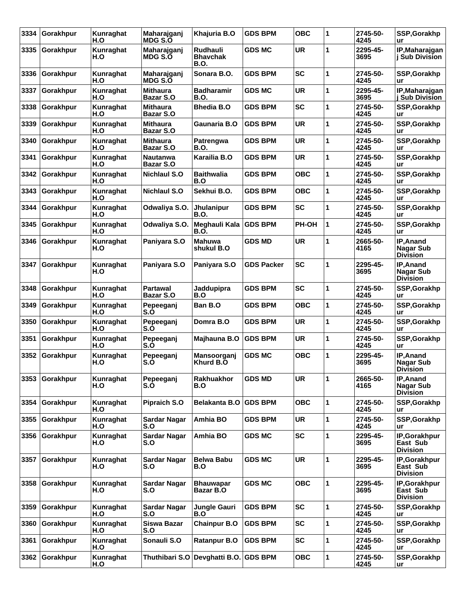| 3334 | Gorakhpur | Kunraghat<br>H.O | Maharajganj<br><b>MDG S.O</b>       | Khajuria B.O                               | <b>GDS BPM</b>    | <b>OBC</b>   | 1            | 2745-50-<br>4245 | SSP, Gorakhp<br>ur                           |
|------|-----------|------------------|-------------------------------------|--------------------------------------------|-------------------|--------------|--------------|------------------|----------------------------------------------|
| 3335 | Gorakhpur | Kunraghat<br>H.O | Maharajganj<br><b>MDG S.O</b>       | Rudhauli<br><b>Bhavchak</b><br><b>B.O.</b> | <b>GDS MC</b>     | <b>UR</b>    | 1            | 2295-45-<br>3695 | IP, Maharajgan<br>j Sub Division             |
| 3336 | Gorakhpur | Kunraghat<br>H.O | Maharajganj<br><b>MDG S.O</b>       | Sonara B.O.                                | <b>GDS BPM</b>    | <b>SC</b>    | 1            | 2745-50-<br>4245 | SSP, Gorakhp<br>ur                           |
| 3337 | Gorakhpur | Kunraghat<br>H.O | <b>Mithaura</b><br>Bazar S.O        | <b>Badharamir</b><br><b>B.O.</b>           | <b>GDS MC</b>     | <b>UR</b>    | 1            | 2295-45-<br>3695 | IP, Maharajgan<br>  Sub Division             |
| 3338 | Gorakhpur | Kunraghat<br>H.O | <b>Mithaura</b><br><b>Bazar S.O</b> | <b>Bhedia B.O</b>                          | <b>GDS BPM</b>    | <b>SC</b>    | 1            | 2745-50-<br>4245 | SSP, Gorakhp<br>ur                           |
| 3339 | Gorakhpur | Kunraghat<br>H.O | <b>Mithaura</b><br><b>Bazar S.O</b> | Gaunaria B.O                               | <b>GDS BPM</b>    | <b>UR</b>    | 1            | 2745-50-<br>4245 | SSP, Gorakhp<br>ur                           |
| 3340 | Gorakhpur | Kunraghat<br>H.O | <b>Mithaura</b><br><b>Bazar S.O</b> | Patrengwa<br><b>B.O.</b>                   | <b>GDS BPM</b>    | <b>UR</b>    | 1            | 2745-50-<br>4245 | SSP, Gorakhp<br>ur                           |
| 3341 | Gorakhpur | Kunraghat<br>H.O | <b>Nautanwa</b><br>Bazar S.O        | Karailia B.O                               | <b>GDS BPM</b>    | <b>UR</b>    | 1            | 2745-50-<br>4245 | SSP, Gorakhp<br>ur                           |
| 3342 | Gorakhpur | Kunraghat<br>H.O | <b>Nichlaul S.O</b>                 | <b>Baithwalia</b><br>B.O                   | <b>GDS BPM</b>    | <b>OBC</b>   | 1            | 2745-50-<br>4245 | SSP, Gorakhp<br>ur                           |
| 3343 | Gorakhpur | Kunraghat<br>H.O | <b>Nichlaul S.O</b>                 | Sekhui B.O.                                | <b>GDS BPM</b>    | OBC          | 1            | 2745-50-<br>4245 | SSP, Gorakhp<br>ur                           |
| 3344 | Gorakhpur | Kunraghat<br>H.O | Odwaliya S.O.                       | Jhulanipur<br>B.O.                         | <b>GDS BPM</b>    | <b>SC</b>    | 1            | 2745-50-<br>4245 | SSP, Gorakhp<br>ur                           |
| 3345 | Gorakhpur | Kunraghat<br>H.O | Odwaliya S.O.                       | Meghauli Kala<br><b>B.O.</b>               | <b>GDS BPM</b>    | <b>PH-OH</b> | 1            | 2745-50-<br>4245 | <b>SSP, Gorakhp</b><br>ur                    |
| 3346 | Gorakhpur | Kunraghat<br>H.O | Paniyara S.O                        | <b>Mahuwa</b><br>shukul B.O                | <b>GDS MD</b>     | <b>UR</b>    | 1            | 2665-50-<br>4165 | IP, Anand<br>Nagar Sub<br><b>Division</b>    |
| 3347 | Gorakhpur | Kunraghat<br>H.O | Paniyara S.O                        | Paniyara S.O                               | <b>GDS Packer</b> | <b>SC</b>    | 1            | 2295-45-<br>3695 | IP, Anand<br>Nagar Sub<br><b>Division</b>    |
| 3348 | Gorakhpur | Kunraghat<br>H.O | <b>Partawal</b><br>Bazar S.O        | Jaddupipra<br>B.O                          | <b>GDS BPM</b>    | <b>SC</b>    | 1            | 2745-50-<br>4245 | SSP, Gorakhp<br>ur                           |
| 3349 | Gorakhpur | Kunraghat<br>H.O | Pepeeganj<br>S.Ò                    | Ban B.O                                    | <b>GDS BPM</b>    | OBC          | 1            | 2745-50-<br>4245 | SSP, Gorakhp<br>ur                           |
| 3350 | Gorakhpur | Kunraghat<br>H.O | Pepeeganj<br>S.O                    | Domra B.O                                  | <b>GDS BPM</b>    | <b>UR</b>    | 1            | 2745-50-<br>4245 | SSP, Gorakhp<br>ur                           |
| 3351 | Gorakhpur | Kunraghat<br>H.O | Pepeeganj<br>S.O                    | Majhauna B.O                               | <b>GDS BPM</b>    | <b>UR</b>    | 1            | 2745-50-<br>4245 | SSP, Gorakhp<br>ur                           |
| 3352 | Gorakhpur | Kunraghat<br>H.O | Pepeeganj<br>S.O                    | Mansoorganj<br>Khurd B.O                   | <b>GDS MC</b>     | <b>OBC</b>   | 1            | 2295-45-<br>3695 | IP, Anand<br><b>Nagar Sub</b><br>Division    |
| 3353 | Gorakhpur | Kunraghat<br>H.O | Pepeeganj<br>S.O                    | <b>Rakhuakhor</b><br>B.O                   | <b>GDS MD</b>     | <b>UR</b>    | 1            | 2665-50-<br>4165 | IP, Anand<br>Nagar Sub<br><b>Division</b>    |
| 3354 | Gorakhpur | Kunraghat<br>H.O | <b>Pipraich S.O</b>                 | <b>Belakanta B.O</b>                       | <b>GDS BPM</b>    | <b>OBC</b>   | 1            | 2745-50-<br>4245 | SSP, Gorakhp<br>ur                           |
| 3355 | Gorakhpur | Kunraghat<br>H.O | <b>Sardar Nagar</b><br>S.O          | Amhia BO                                   | <b>GDS BPM</b>    | UR           | 1            | 2745-50-<br>4245 | SSP, Gorakhp<br>ur                           |
| 3356 | Gorakhpur | Kunraghat<br>H.O | <b>Sardar Nagar</b><br>S.O          | Amhia BO                                   | <b>GDS MC</b>     | <b>SC</b>    | 1            | 2295-45-<br>3695 | IP, Gorakhpur<br>East Sub<br><b>Division</b> |
| 3357 | Gorakhpur | Kunraghat<br>H.O | Sardar Nagar<br>S.O                 | <b>Belwa Babu</b><br>B.O                   | <b>GDS MC</b>     | <b>UR</b>    | 1            | 2295-45-<br>3695 | IP, Gorakhpur<br>East Sub<br><b>Division</b> |
| 3358 | Gorakhpur | Kunraghat<br>H.O | Sardar Nagar<br>S.O                 | <b>Bhauwapar</b><br>Bazar B.O              | <b>GDS MC</b>     | <b>OBC</b>   | 1            | 2295-45-<br>3695 | IP, Gorakhpur<br>East Sub<br><b>Division</b> |
| 3359 | Gorakhpur | Kunraghat<br>H.O | Sardar Nagar<br>S.O                 | <b>Jungle Gauri</b><br>B.O                 | <b>GDS BPM</b>    | <b>SC</b>    | 1            | 2745-50-<br>4245 | SSP, Gorakhp<br>ur                           |
| 3360 | Gorakhpur | Kunraghat<br>H.O | <b>Siswa Bazar</b><br>S.O           | <b>Chainpur B.O</b>                        | <b>GDS BPM</b>    | <b>SC</b>    | $\mathbf{1}$ | 2745-50-<br>4245 | SSP, Gorakhp<br>ur                           |
| 3361 | Gorakhpur | Kunraghat<br>H.O | Sonauli S.O                         | <b>Ratanpur B.O</b>                        | <b>GDS BPM</b>    | SC           | 1            | 2745-50-<br>4245 | SSP, Gorakhp<br>ur                           |
| 3362 | Gorakhpur | Kunraghat<br>H.O | Thuthibari S.O                      | Devghatti B.O. GDS BPM                     |                   | <b>OBC</b>   | 1            | 2745-50-<br>4245 | SSP, Gorakhp<br>ur                           |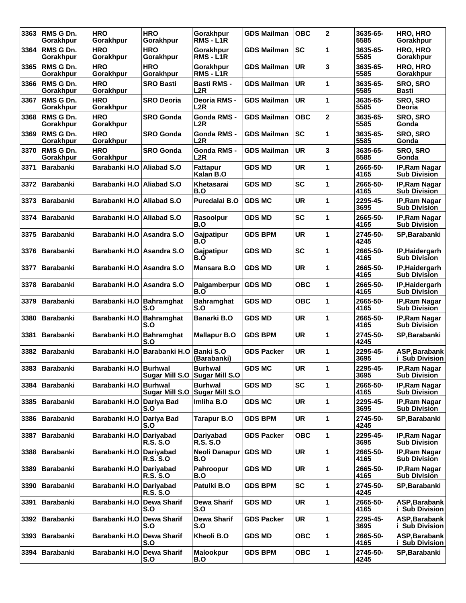| 3363 | RMS G Dn.<br>Gorakhpur        | <b>HRO</b><br>Gorakhpur     | <b>HRO</b><br>Gorakhpur                 | Gorakhpur<br><b>RMS - L1R</b>           | <b>GDS Mailman</b> | <b>OBC</b> | $\mathbf 2$ | 3635-65-<br>5585 | HRO, HRO<br>Gorakhpur                      |
|------|-------------------------------|-----------------------------|-----------------------------------------|-----------------------------------------|--------------------|------------|-------------|------------------|--------------------------------------------|
| 3364 | <b>RMS G Dn.</b><br>Gorakhpur | <b>HRO</b><br>Gorakhpur     | <b>HRO</b><br>Gorakhpur                 | Gorakhpur<br>RMS - L1R                  | <b>GDS Mailman</b> | <b>SC</b>  | 1           | 3635-65-<br>5585 | HRO, HRO<br>Gorakhpur                      |
| 3365 | RMS G Dn.<br>Gorakhpur        | <b>HRO</b><br>Gorakhpur     | <b>HRO</b><br>Gorakhpur                 | Gorakhpur<br>RMS - L1R                  | <b>GDS Mailman</b> | <b>UR</b>  | 3           | 3635-65-<br>5585 | HRO, HRO<br>Gorakhpur                      |
| 3366 | RMS G Dn.<br>Gorakhpur        | <b>HRO</b><br>Gorakhpur     | <b>SRO Basti</b>                        | <b>Basti RMS -</b><br>L2R               | <b>GDS Mailman</b> | UR         | 1           | 3635-65-<br>5585 | <b>SRO, SRO</b><br>Basti                   |
| 3367 | RMS G Dn.<br>Gorakhpur        | <b>HRO</b><br>Gorakhpur     | <b>SRO Deoria</b>                       | Deoria RMS -<br>L2R                     | <b>GDS Mailman</b> | <b>UR</b>  | 1           | 3635-65-<br>5585 | <b>SRO, SRO</b><br>Deoria                  |
| 3368 | RMS G Dn.<br>Gorakhpur        | <b>HRO</b><br>Gorakhpur     | <b>SRO Gonda</b>                        | Gonda RMS -<br>L2R                      | <b>GDS Mailman</b> | <b>OBC</b> | $\mathbf 2$ | 3635-65-<br>5585 | SRO, SRO<br>Gonda                          |
| 3369 | RMS G Dn.<br>Gorakhpur        | <b>HRO</b><br>Gorakhpur     | <b>SRO Gonda</b>                        | Gonda RMS -<br>L2R                      | <b>GDS Mailman</b> | <b>SC</b>  | 1           | 3635-65-<br>5585 | SRO, SRO<br>Gonda                          |
| 3370 | <b>RMS G Dn.</b><br>Gorakhpur | <b>HRO</b><br>Gorakhpur     | <b>SRO Gonda</b>                        | Gonda RMS -<br>L2R                      | <b>GDS Mailman</b> | <b>UR</b>  | 3           | 3635-65-<br>5585 | SRO, SRO<br>Gonda                          |
| 3371 | <b>Barabanki</b>              | Barabanki H.O               | <b>Aliabad S.O</b>                      | <b>Fattapur</b><br>Kalan B.O            | <b>GDS MD</b>      | <b>UR</b>  | 1           | 2665-50-<br>4165 | IP, Ram Nagar<br><b>Sub Division</b>       |
| 3372 | <b>Barabanki</b>              | <b>Barabanki H.O</b>        | Aliabad S.O                             | Khetasarai<br>B.O                       | <b>GDS MD</b>      | <b>SC</b>  | 1           | 2665-50-<br>4165 | IP, Ram Nagar<br><b>Sub Division</b>       |
| 3373 | <b>Barabanki</b>              | Barabanki H.O               | Aliabad S.O                             | Puredalai B.O                           | <b>GDS MC</b>      | <b>UR</b>  | 1           | 2295-45-<br>3695 | IP, Ram Nagar<br><b>Sub Division</b>       |
| 3374 | <b>Barabanki</b>              | Barabanki H.O Aliabad S.O   |                                         | Rasoolpur<br>B.O                        | <b>GDS MD</b>      | <b>SC</b>  | 1           | 2665-50-<br>4165 | IP, Ram Nagar<br><b>Sub Division</b>       |
| 3375 | <b>Barabanki</b>              | Barabanki H.O   Asandra S.O |                                         | Gajpatipur<br>B.O                       | <b>GDS BPM</b>     | UR         | 1           | 2745-50-<br>4245 | SP, Barabanki                              |
| 3376 | <b>Barabanki</b>              | Barabanki H.O   Asandra S.O |                                         | Gajpatipur<br>B.O                       | <b>GDS MD</b>      | <b>SC</b>  | 1           | 2665-50-<br>4165 | IP, Haidergarh<br><b>Sub Division</b>      |
| 3377 | <b>Barabanki</b>              | Barabanki H.O Asandra S.O   |                                         | Mansara B.O                             | <b>GDS MD</b>      | <b>UR</b>  | 1           | 2665-50-<br>4165 | IP, Haidergarh<br><b>Sub Division</b>      |
| 3378 | <b>Barabanki</b>              | Barabanki H.O   Asandra S.O |                                         | Paigamberpur<br>B.O                     | <b>GDS MD</b>      | OBC        | 1           | 2665-50-<br>4165 | IP, Haidergarh<br><b>Sub Division</b>      |
| 3379 | <b>Barabanki</b>              | Barabanki H.O Bahramghat    | S.O                                     | <b>Bahramghat</b><br>S.O                | <b>GDS MD</b>      | <b>OBC</b> | 1           | 2665-50-<br>4165 | IP, Ram Nagar<br><b>Sub Division</b>       |
| 3380 | <b>Barabanki</b>              | Barabanki H.O               | <b>Bahramghat</b><br>S.O                | Banarki B.O                             | <b>GDS MD</b>      | <b>UR</b>  | 1           | 2665-50-<br>4165 | IP, Ram Nagar<br><b>Sub Division</b>       |
| 3381 | <b>Barabanki</b>              | Barabanki H.O               | <b>Bahramghat</b><br>S.O                | <b>Mallapur B.O</b>                     | GDS BPM            | UR         | 1           | 2745-50-<br>4245 | SP, Barabanki                              |
| 3382 | <b>Barabanki</b>              |                             | Barabanki H.O Barabanki H.O             | <b>Banki S.O</b><br>(Barabanki)         | <b>GDS Packer</b>  | <b>UR</b>  | 1           | 2295-45-<br>3695 | ASP.Barabank<br>i Sub Division             |
| 3383 | Barabanki                     | Barabanki H.O Burhwal       | Sugar Mill S.O Sugar Mill S.O           | <b>Burhwal</b>                          | <b>GDS MC</b>      | UR         | 1           | 2295-45-<br>3695 | IP, Ram Nagar<br>Sub Division              |
|      | 3384 Barabanki                | Barabanki H.O               | <b>Burhwal</b><br><b>Sugar Mill S.O</b> | <b>Burhwal</b><br><b>Sugar Mill S.O</b> | <b>GDS MD</b>      | <b>SC</b>  | 1           | 2665-50-<br>4165 | IP, Ram Nagar<br><b>Sub Division</b>       |
| 3385 | <b>Barabanki</b>              | Barabanki H.O Dariya Bad    | S.O                                     | Imliha B.O                              | <b>GDS MC</b>      | <b>UR</b>  | 1           | 2295-45-<br>3695 | IP, Ram Nagar<br><b>Sub Division</b>       |
| 3386 | Barabanki                     | Barabanki H.O Dariya Bad    | S.O                                     | <b>Tarapur B.O</b>                      | <b>GDS BPM</b>     | <b>UR</b>  | 1           | 2745-50-<br>4245 | SP, Barabanki                              |
| 3387 | <b>Barabanki</b>              | Barabanki H.O               | Dariyabad<br><b>R.S. S.O</b>            | Dariyabad<br><b>R.S. S.O</b>            | <b>GDS Packer</b>  | <b>OBC</b> | 1           | 2295-45-<br>3695 | IP, Ram Nagar<br><b>Sub Division</b>       |
| 3388 | <b>Barabanki</b>              | Barabanki H.O               | Dariyabad<br><b>R.S. S.O.</b>           | Neoli Danapur<br>B.O                    | <b>GDS MD</b>      | <b>UR</b>  | 1           | 2665-50-<br>4165 | IP, Ram Nagar<br><b>Sub Division</b>       |
| 3389 | <b>Barabanki</b>              | Barabanki H.O               | Dariyabad<br><b>R.S. S.O</b>            | Pahroopur<br>B.O                        | <b>GDS MD</b>      | UR         | 1           | 2665-50-<br>4165 | IP, Ram Nagar<br><b>Sub Division</b>       |
| 3390 | <b>Barabanki</b>              | Barabanki H.O               | Dariyabad<br><b>R.S. S.O</b>            | Patulki B.O                             | <b>GDS BPM</b>     | SC         | 1           | 2745-50-<br>4245 | SP, Barabanki                              |
| 3391 | <b>Barabanki</b>              | Barabanki H.O Dewa Sharif   | S.O                                     | <b>Dewa Sharif</b><br>S.O               | <b>GDS MD</b>      | <b>UR</b>  | 1           | 2665-50-<br>4165 | ASP, Barabank<br>i Sub Division            |
| 3392 | <b>Barabanki</b>              | Barabanki H.O               | <b>Dewa Sharif</b><br>S.O               | <b>Dewa Sharif</b><br>S.O               | <b>GDS Packer</b>  | UR         | 1           | 2295-45-<br>3695 | ASP, Barabank<br><b>Sub Division</b><br>Ĩ. |
| 3393 | <b>Barabanki</b>              | Barabanki H.O               | <b>Dewa Sharif</b><br>S.O               | Kheoli B.O                              | <b>GDS MD</b>      | овс        | 1           | 2665-50-<br>4165 | ASP, Barabank<br>i Sub Division            |
| 3394 | <b>Barabanki</b>              | Barabanki H.O               | <b>Dewa Sharif</b><br>S.O               | <b>Malookpur</b><br>B.O                 | <b>GDS BPM</b>     | <b>OBC</b> | 1           | 2745-50-<br>4245 | SP, Barabanki                              |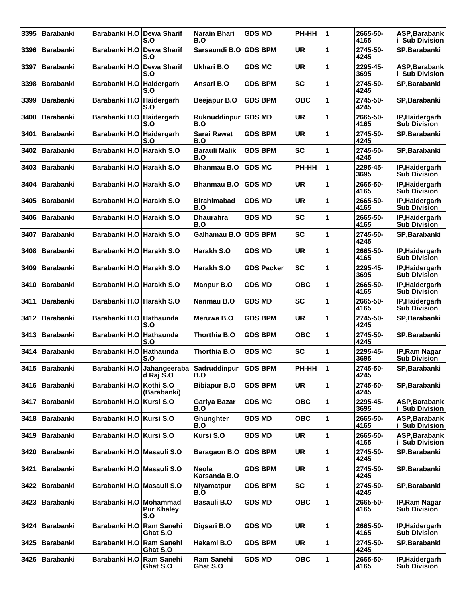| 3395 | <b>Barabanki</b> | Barabanki H.O Dewa Sharif | S.O                                                          | Narain Bhari<br>B.O          | <b>GDS MD</b>     | PH-HH        | 1 | 2665-50-<br>4165 | ASP, Barabank<br><b>Sub Division</b>  |
|------|------------------|---------------------------|--------------------------------------------------------------|------------------------------|-------------------|--------------|---|------------------|---------------------------------------|
| 3396 | <b>Barabanki</b> | Barabanki H.O Dewa Sharif | S.O                                                          | Sarsaundi B.O                | <b>GDS BPM</b>    | <b>UR</b>    | 1 | 2745-50-<br>4245 | <b>SP.Barabanki</b>                   |
| 3397 | <b>Barabanki</b> | Barabanki H.O Dewa Sharif | S.O                                                          | Ukhari B.O                   | <b>GDS MC</b>     | <b>UR</b>    | 1 | 2295-45-<br>3695 | ASP, Barabank<br>i Sub Division       |
| 3398 | <b>Barabanki</b> | Barabanki H.O             | Haidergarh<br>S.O                                            | Ansari B.O                   | <b>GDS BPM</b>    | <b>SC</b>    | 1 | 2745-50-<br>4245 | <b>SP.Barabanki</b>                   |
| 3399 | <b>Barabanki</b> | Barabanki H.O Haidergarh  | S.O                                                          | Beejapur B.O                 | <b>GDS BPM</b>    | ОВС          | 1 | 2745-50-<br>4245 | SP, Barabanki                         |
| 3400 | <b>Barabanki</b> | Barabanki H.O Haidergarh  | S.O                                                          | Ruknuddinpur   GDS MD<br>B.O |                   | <b>UR</b>    | 1 | 2665-50-<br>4165 | IP, Haidergarh<br><b>Sub Division</b> |
| 3401 | <b>Barabanki</b> | Barabanki H.O Haidergarh  | S.O                                                          | Sarai Rawat<br>B.O           | <b>GDS BPM</b>    | <b>UR</b>    | 1 | 2745-50-<br>4245 | SP, Barabanki                         |
| 3402 | <b>Barabanki</b> | Barabanki H.O Harakh S.O  |                                                              | <b>Barauli Malik</b><br>B.O  | <b>GDS BPM</b>    | <b>SC</b>    | 1 | 2745-50-<br>4245 | SP, Barabanki                         |
| 3403 | <b>Barabanki</b> | Barabanki H.O Harakh S.O  |                                                              | <b>Bhanmau B.O</b>           | <b>GDS MC</b>     | <b>PH-HH</b> | 1 | 2295-45-<br>3695 | IP, Haidergarh<br><b>Sub Division</b> |
| 3404 | <b>Barabanki</b> | Barabanki H.O Harakh S.O  |                                                              | <b>Bhanmau B.O</b>           | <b>GDS MD</b>     | <b>UR</b>    | 1 | 2665-50-<br>4165 | IP, Haidergarh<br><b>Sub Division</b> |
| 3405 | <b>Barabanki</b> | Barabanki H.O Harakh S.O  |                                                              | <b>Birahimabad</b><br>B.O    | <b>GDS MD</b>     | <b>UR</b>    | 1 | 2665-50-<br>4165 | IP, Haidergarh<br><b>Sub Division</b> |
| 3406 | <b>Barabanki</b> | Barabanki H.O Harakh S.O  |                                                              | <b>Dhaurahra</b><br>B.O      | <b>GDS MD</b>     | <b>SC</b>    | 1 | 2665-50-<br>4165 | IP, Haidergarh<br><b>Sub Division</b> |
| 3407 | <b>Barabanki</b> | Barabanki H.O Harakh S.O  |                                                              | Galhamau B.O GDS BPM         |                   | <b>SC</b>    | 1 | 2745-50-<br>4245 | SP, Barabanki                         |
| 3408 | <b>Barabanki</b> | Barabanki H.O Harakh S.O  |                                                              | Harakh S.O                   | <b>GDS MD</b>     | <b>UR</b>    | 1 | 2665-50-<br>4165 | IP, Haidergarh<br><b>Sub Division</b> |
| 3409 | <b>Barabanki</b> | Barabanki H.O Harakh S.O  |                                                              | Harakh S.O                   | <b>GDS Packer</b> | <b>SC</b>    | 1 | 2295-45-<br>3695 | IP, Haidergarh<br><b>Sub Division</b> |
| 3410 | <b>Barabanki</b> | Barabanki H.O Harakh S.O  |                                                              | <b>Manpur B.O</b>            | <b>GDS MD</b>     | <b>OBC</b>   | 1 | 2665-50-<br>4165 | IP, Haidergarh<br><b>Sub Division</b> |
| 3411 | <b>Barabanki</b> | Barabanki H.O Harakh S.O  |                                                              | Nanmau B.O                   | <b>GDS MD</b>     | <b>SC</b>    | 1 | 2665-50-<br>4165 | IP, Haidergarh<br><b>Sub Division</b> |
| 3412 | <b>Barabanki</b> | Barabanki H.O Hathaunda   | S.O                                                          | Meruwa B.O                   | <b>GDS BPM</b>    | <b>UR</b>    | 1 | 2745-50-<br>4245 | SP, Barabanki                         |
| 3413 | <b>Barabanki</b> | Barabanki H.O             | Hathaunda<br>S.O                                             | Thorthia B.O                 | <b>GDS BPM</b>    | <b>OBC</b>   | 1 | 2745-50-<br>4245 | SP, Barabanki                         |
| 3414 | Barabanki        | Barabanki H.O Hathaunda   | S.O                                                          | Thorthia B.O                 | <b>GDS MC</b>     | <b>SC</b>    | 1 | 2295-45-<br>3695 | IP, Ram Nagar<br><b>Sub Division</b>  |
|      | 3415 Barabanki   |                           | Barabanki H.O Jahangeeraba Sadruddinpur GDS BPM<br>d Raj S.O | B.O                          |                   | PH-HH        | 1 | 2745-50-<br>4245 | SP, Barabanki                         |
| 3416 | <b>Barabanki</b> | Barabanki H.O             | Kothi S.O<br>(Barabanki)                                     | <b>Bibiapur B.O</b>          | <b>GDS BPM</b>    | <b>UR</b>    | 1 | 2745-50-<br>4245 | SP, Barabanki                         |
| 3417 | <b>Barabanki</b> | Barabanki H.O Kursi S.O   |                                                              | Gariya Bazar<br>B.O          | <b>GDS MC</b>     | <b>OBC</b>   | 1 | 2295-45-<br>3695 | ASP, Barabank<br>i Sub Division       |
| 3418 | <b>Barabanki</b> | Barabanki H.O Kursi S.O   |                                                              | Ghunghter<br>B.O             | <b>GDS MD</b>     | <b>OBC</b>   | 1 | 2665-50-<br>4165 | ASP, Barabank<br>i Sub Division       |
| 3419 | <b>Barabanki</b> | Barabanki H.O Kursi S.O   |                                                              | Kursi S.O                    | <b>GDS MD</b>     | <b>UR</b>    | 1 | 2665-50-<br>4165 | ASP, Barabank<br><b>Sub Division</b>  |
| 3420 | <b>Barabanki</b> | Barabanki H.O Masauli S.O |                                                              | <b>Baragaon B.O</b>          | <b>GDS BPM</b>    | <b>UR</b>    | 1 | 2745-50-<br>4245 | SP, Barabanki                         |
| 3421 | <b>Barabanki</b> | Barabanki H.O Masauli S.O |                                                              | Neola<br>Karsanda B.O        | <b>GDS BPM</b>    | <b>UR</b>    | 1 | 2745-50-<br>4245 | SP, Barabanki                         |
| 3422 | Barabanki        | Barabanki H.O Masauli S.O |                                                              | <b>Niyamatpur</b><br>B.O     | <b>GDS BPM</b>    | <b>SC</b>    | 1 | 2745-50-<br>4245 | SP, Barabanki                         |
| 3423 | <b>Barabanki</b> | Barabanki H.O Mohammad    | <b>Pur Khaley</b><br>S.O                                     | <b>Basauli B.O</b>           | <b>GDS MD</b>     | <b>OBC</b>   | 1 | 2665-50-<br>4165 | IP, Ram Nagar<br><b>Sub Division</b>  |
| 3424 | <b>Barabanki</b> | Barabanki H.O Ram Sanehi  | Ghat S.O                                                     | Digsari B.O                  | <b>GDS MD</b>     | <b>UR</b>    | 1 | 2665-50-<br>4165 | IP, Haidergarh<br><b>Sub Division</b> |
| 3425 | <b>Barabanki</b> | Barabanki H.O Ram Sanehi  | Ghat S.O                                                     | Hakami B.O                   | <b>GDS BPM</b>    | <b>UR</b>    | 1 | 2745-50-<br>4245 | SP, Barabanki                         |
| 3426 | <b>Barabanki</b> | Barabanki H.O             | Ram Sanehi<br>Ghat S.O                                       | Ram Sanehi<br>Ghat S.O       | <b>GDS MD</b>     | <b>OBC</b>   | 1 | 2665-50-<br>4165 | IP, Haidergarh<br><b>Sub Division</b> |
|      |                  |                           |                                                              |                              |                   |              |   |                  |                                       |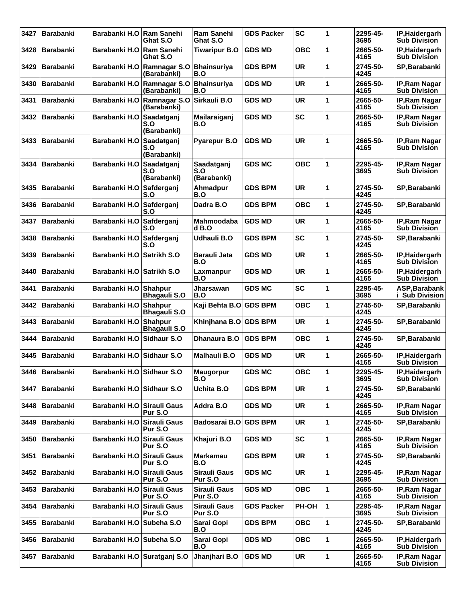| 3427 | <b>Barabanki</b> | Barabanki H.O               | <b>Ram Sanehi</b><br><b>Ghat S.O</b>      | <b>Ram Sanehi</b><br>Ghat S.O    | <b>GDS Packer</b> | <b>SC</b>    | 1            | 2295-45-<br>3695 | IP, Haidergarh<br><b>Sub Division</b> |
|------|------------------|-----------------------------|-------------------------------------------|----------------------------------|-------------------|--------------|--------------|------------------|---------------------------------------|
| 3428 | <b>Barabanki</b> | Barabanki H.O Ram Sanehi    | Ghat S.O                                  | Tiwaripur B.O                    | <b>GDS MD</b>     | <b>OBC</b>   | 1            | 2665-50-<br>4165 | IP, Haidergarh<br><b>Sub Division</b> |
| 3429 | <b>Barabanki</b> |                             | Barabanki H.O Ramnagar S.O<br>(Barabanki) | <b>Bhainsuriya</b><br>B.O        | <b>GDS BPM</b>    | <b>UR</b>    | 1            | 2745-50-<br>4245 | SP, Barabanki                         |
| 3430 | <b>Barabanki</b> | Barabanki H.O               | Ramnagar S.O<br>(Barabanki)               | <b>Bhainsuriya</b><br>B.O        | <b>GDS MD</b>     | UR           | 1            | 2665-50-<br>4165 | IP, Ram Nagar<br><b>Sub Division</b>  |
| 3431 | <b>Barabanki</b> |                             | Barabanki H.O Ramnagar S.O<br>(Barabanki) | Sirkauli B.O                     | <b>GDS MD</b>     | <b>UR</b>    | 1            | 2665-50-<br>4165 | IP, Ram Nagar<br><b>Sub Division</b>  |
| 3432 | <b>Barabanki</b> | Barabanki H.O               | Saadatganj<br>S.O<br>(Barabanki)          | Mailaraiganj<br>B.O              | <b>GDS MD</b>     | <b>SC</b>    | 1            | 2665-50-<br>4165 | IP, Ram Nagar<br><b>Sub Division</b>  |
| 3433 | <b>Barabanki</b> | Barabanki H.O               | Saadatganj<br>S.O<br>(Barabanki)          | <b>Pyarepur B.O</b>              | <b>GDS MD</b>     | <b>UR</b>    | 1            | 2665-50-<br>4165 | IP, Ram Nagar<br><b>Sub Division</b>  |
| 3434 | <b>Barabanki</b> | Barabanki H.O               | Saadatganj<br>S.O<br>(Barabanki)          | Saadatganj<br>S.O<br>(Barabanki) | <b>GDS MC</b>     | <b>OBC</b>   | 1            | 2295-45-<br>3695 | IP, Ram Nagar<br><b>Sub Division</b>  |
| 3435 | <b>Barabanki</b> | Barabanki H.O               | Safderganj<br>S.O                         | Ahmadpur<br>B.O                  | <b>GDS BPM</b>    | <b>UR</b>    | 1            | 2745-50-<br>4245 | SP, Barabanki                         |
| 3436 | <b>Barabanki</b> | Barabanki H.O Safderganj    | S.O                                       | Dadra B.O                        | <b>GDS BPM</b>    | OBC          | 1            | 2745-50-<br>4245 | SP, Barabanki                         |
| 3437 | <b>Barabanki</b> | Barabanki H.O               | Safderganj<br>S.O                         | Mahmoodaba<br>$d$ B.O            | <b>GDS MD</b>     | <b>UR</b>    | 1            | 2665-50-<br>4165 | IP, Ram Nagar<br><b>Sub Division</b>  |
| 3438 | <b>Barabanki</b> | Barabanki H.O               | Safderganj<br>S.O                         | Udhauli B.O                      | <b>GDS BPM</b>    | <b>SC</b>    | 1            | 2745-50-<br>4245 | <b>SP, Barabanki</b>                  |
| 3439 | <b>Barabanki</b> | Barabanki H.O               | <b>Satrikh S.O</b>                        | Barauli Jata<br>B.O              | <b>GDS MD</b>     | <b>UR</b>    | 1            | 2665-50-<br>4165 | IP, Haidergarh<br><b>Sub Division</b> |
| 3440 | <b>Barabanki</b> | Barabanki H.O               | <b>Satrikh S.O</b>                        | Laxmanpur<br>B.O                 | <b>GDS MD</b>     | <b>UR</b>    | 1            | 2665-50-<br>4165 | IP, Haidergarh<br><b>Sub Division</b> |
| 3441 | <b>Barabanki</b> | Barabanki H.O Shahpur       | <b>Bhagauli S.O</b>                       | Jharsawan<br>B.O                 | <b>GDS MC</b>     | <b>SC</b>    | 1            | 2295-45-<br>3695 | ASP, Barabank<br>i Sub Division       |
| 3442 | <b>Barabanki</b> | Barabanki H.O Shahpur       | <b>Bhagauli S.O</b>                       | Kaji Behta B.O GDS BPM           |                   | OBC          | 1            | 2745-50-<br>4245 | SP, Barabanki                         |
| 3443 | <b>Barabanki</b> | Barabanki H.O               | Shahpur<br><b>Bhagauli S.O</b>            | Khinjhana B.O GDS BPM            |                   | <b>UR</b>    | 1            | 2745-50-<br>4245 | SP, Barabanki                         |
| 3444 | <b>Barabanki</b> | Barabanki H.O               | Sidhaur S.O                               | Dhanaura B.O                     | <b>GDS BPM</b>    | <b>OBC</b>   | 1            | 2745-50-<br>4245 | SP, Barabanki                         |
| 3445 | <b>Barabanki</b> | Barabanki H.O               | Sidhaur S.O                               | <b>Malhauli B.O</b>              | <b>GDS MD</b>     | <b>UR</b>    | 1            | 2665-50-<br>4165 | IP, Haidergarh<br><b>Sub Division</b> |
| 3446 | Barabanki        | Barabanki H.O Sidhaur S.O   |                                           | <b>Maugorpur</b><br>B.O          | <b>GDS MC</b>     | <b>OBC</b>   | 1            | 2295-45-<br>3695 | IP, Haidergarh<br><b>Sub Division</b> |
| 3447 | <b>Barabanki</b> | Barabanki H.O Sidhaur S.O   |                                           | Uchita B.O                       | <b>GDS BPM</b>    | <b>UR</b>    | 1            | 2745-50-<br>4245 | SP, Barabanki                         |
| 3448 | <b>Barabanki</b> | Barabanki H.O Sirauli Gaus  | Pur S.O                                   | Addra B.O                        | <b>GDS MD</b>     | <b>UR</b>    | 1            | 2665-50-<br>4165 | IP, Ram Nagar<br><b>Sub Division</b>  |
| 3449 | <b>Barabanki</b> | Barabanki H.O               | <b>Sirauli Gaus</b><br>Pur S.O            | <b>Badosarai B.O</b>             | <b>GDS BPM</b>    | <b>UR</b>    | 1            | 2745-50-<br>4245 | SP, Barabanki                         |
| 3450 | <b>Barabanki</b> | Barabanki H.O Sirauli Gaus  | Pur S.O                                   | Khajuri B.O                      | <b>GDS MD</b>     | <b>SC</b>    | 1            | 2665-50-<br>4165 | IP, Ram Nagar<br><b>Sub Division</b>  |
| 3451 | <b>Barabanki</b> | Barabanki H.O Sirauli Gaus  | Pur S.O                                   | Markamau<br>B.O                  | <b>GDS BPM</b>    | <b>UR</b>    | 1            | 2745-50-<br>4245 | SP, Barabanki                         |
| 3452 | <b>Barabanki</b> | Barabanki H.O               | <b>Sirauli Gaus</b><br>Pur S.O            | Sirauli Gaus<br>Pur S.O          | <b>GDS MC</b>     | <b>UR</b>    | 1            | 2295-45-<br>3695 | IP, Ram Nagar<br><b>Sub Division</b>  |
| 3453 | <b>Barabanki</b> | Barabanki H.O               | Sirauli Gaus<br>Pur S.O                   | Sirauli Gaus<br>Pur S.O          | <b>GDS MD</b>     | <b>OBC</b>   | 1            | 2665-50-<br>4165 | IP, Ram Nagar<br>Sub Division         |
| 3454 | <b>Barabanki</b> | Barabanki H.O               | Sirauli Gaus<br>Pur S.O                   | <b>Sirauli Gaus</b><br>Pur S.O   | <b>GDS Packer</b> | <b>PH-OH</b> | 1            | 2295-45-<br>3695 | IP, Ram Nagar<br><b>Sub Division</b>  |
| 3455 | <b>Barabanki</b> | Barabanki H.O               | Subeha S.O                                | Sarai Gopi<br>B.O                | <b>GDS BPM</b>    | <b>OBC</b>   | 1            | 2745-50-<br>4245 | SP, Barabanki                         |
| 3456 | <b>Barabanki</b> | Barabanki H.O Subeha S.O    |                                           | Sarai Gopi<br>B.O                | <b>GDS MD</b>     | <b>OBC</b>   | $\mathbf{1}$ | 2665-50-<br>4165 | IP, Haidergarh<br><b>Sub Division</b> |
| 3457 | Barabanki        | Barabanki H.O Suratganj S.O |                                           | Jhanjhari B.O                    | <b>GDS MD</b>     | <b>UR</b>    | 1            | 2665-50-<br>4165 | IP, Ram Nagar<br><b>Sub Division</b>  |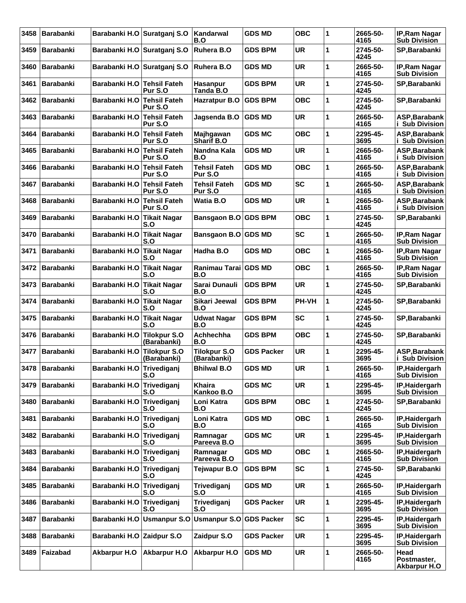| 3458 | <b>Barabanki</b> | Barabanki H.O Suratganj S.O |                                | Kandarwal<br>B.O                   | <b>GDS MD</b>     | <b>OBC</b> | 1 | 2665-50-<br>4165 | IP, Ram Nagar<br><b>Sub Division</b>       |
|------|------------------|-----------------------------|--------------------------------|------------------------------------|-------------------|------------|---|------------------|--------------------------------------------|
| 3459 | <b>Barabanki</b> | Barabanki H.O Suratganj S.O |                                | Ruhera B.O                         | <b>GDS BPM</b>    | <b>UR</b>  | 1 | 2745-50-<br>4245 | SP, Barabanki                              |
| 3460 | <b>Barabanki</b> | Barabanki H.O Suratganj S.O |                                | Ruhera B.O                         | <b>GDS MD</b>     | <b>UR</b>  | 1 | 2665-50-<br>4165 | IP, Ram Nagar<br><b>Sub Division</b>       |
| 3461 | <b>Barabanki</b> | Barabanki H.O               | <b>Tehsil Fateh</b><br>Pur S.O | Hasanpur<br>Tanda B.O              | <b>GDS BPM</b>    | <b>UR</b>  | 1 | 2745-50-<br>4245 | <b>SP.Barabanki</b>                        |
| 3462 | <b>Barabanki</b> | Barabanki H.O Tehsil Fateh  | Pur S.O                        | <b>Hazratpur B.O</b>               | <b>GDS BPM</b>    | <b>OBC</b> | 1 | 2745-50-<br>4245 | SP, Barabanki                              |
| 3463 | <b>Barabanki</b> | Barabanki H.O Tehsil Fateh  | Pur S.O                        | Jagsenda B.O                       | <b>GDS MD</b>     | <b>UR</b>  | 1 | 2665-50-<br>4165 | ASP, Barabank<br>i Sub Division            |
| 3464 | <b>Barabanki</b> | Barabanki H.O               | Tehsil Fateh<br>Pur S.O        | Majhgawan<br>Sharif B.O            | <b>GDS MC</b>     | <b>OBC</b> | 1 | 2295-45-<br>3695 | ASP, Barabank<br><b>Sub Division</b>       |
| 3465 | <b>Barabanki</b> | Barabanki H.O Tehsil Fateh  | Pur S.O                        | Nandna Kala<br>B.O                 | <b>GDS MD</b>     | <b>UR</b>  | 1 | 2665-50-<br>4165 | ASP, Barabank<br><b>Sub Division</b>       |
| 3466 | <b>Barabanki</b> | Barabanki H.O Tehsil Fateh  | Pur S.O                        | <b>Tehsil Fateh</b><br>Pur S.O     | <b>GDS MD</b>     | ОВС        | 1 | 2665-50-<br>4165 | ASP, Barabank<br><b>Sub Division</b>       |
| 3467 | <b>Barabanki</b> | Barabanki H.O               | Tehsil Fateh<br>Pur S.O        | <b>Tehsil Fateh</b><br>Pur S.O     | <b>GDS MD</b>     | <b>SC</b>  | 1 | 2665-50-<br>4165 | ASP, Barabank<br><b>Sub Division</b>       |
| 3468 | <b>Barabanki</b> | Barabanki H.O Tehsil Fateh  | Pur S.O                        | Watia B.O                          | <b>GDS MD</b>     | <b>UR</b>  | 1 | 2665-50-<br>4165 | ASP, Barabank<br>i Sub Division            |
| 3469 | <b>Barabanki</b> | Barabanki H.O Tikait Nagar  | S.O                            | Bansgaon B.O GDS BPM               |                   | <b>OBC</b> | 1 | 2745-50-<br>4245 | SP, Barabanki                              |
| 3470 | <b>Barabanki</b> | Barabanki H.O               | Tikait Nagar<br>S.O            | Bansgaon B.O GDS MD                |                   | <b>SC</b>  | 1 | 2665-50-<br>4165 | IP, Ram Nagar<br><b>Sub Division</b>       |
| 3471 | <b>Barabanki</b> | Barabanki H.O Tikait Nagar  | S.O                            | Hadha B.O                          | <b>GDS MD</b>     | <b>OBC</b> | 1 | 2665-50-<br>4165 | IP, Ram Nagar<br><b>Sub Division</b>       |
| 3472 | <b>Barabanki</b> | Barabanki H.O Tikait Nagar  | S.O                            | Ranimau Tarai GDS MD<br>B.O        |                   | ОВС        | 1 | 2665-50-<br>4165 | IP, Ram Nagar<br><b>Sub Division</b>       |
| 3473 | <b>Barabanki</b> | Barabanki H.O               | Tikait Nagar<br>S.O            | Sarai Dunauli<br>B.O               | <b>GDS BPM</b>    | <b>UR</b>  | 1 | 2745-50-<br>4245 | SP, Barabanki                              |
| 3474 | <b>Barabanki</b> | Barabanki H.O Tikait Nagar  | S.O                            | Sikari Jeewal<br>B.O               | <b>GDS BPM</b>    | PH-VH      | 1 | 2745-50-<br>4245 | SP, Barabanki                              |
| 3475 | <b>Barabanki</b> | Barabanki H.O Tikait Nagar  | S.O                            | <b>Udwat Nagar</b><br>B.O          | <b>GDS BPM</b>    | <b>SC</b>  | 1 | 2745-50-<br>4245 | SP, Barabanki                              |
| 3476 | <b>Barabanki</b> | Barabanki H.O               | Tilokpur S.O<br>(Barabanki)    | Achhechha<br>B.O                   | <b>GDS BPM</b>    | <b>OBC</b> | 1 | 2745-50-<br>4245 | SP, Barabanki                              |
| 3477 | <b>Barabanki</b> | Barabanki H.O Tilokpur S.O  | (Barabanki)                    | <b>Tilokpur S.O</b><br>(Barabanki) | <b>GDS Packer</b> | <b>UR</b>  | 1 | 2295-45-<br>3695 | ASP, Barabank<br><i>i</i> Sub Division     |
|      | 3478 Barabanki   | Barabanki H.O Trivediganj   | S.O                            | <b>Bhilwal B.O</b>                 | <b>GDS MD</b>     | <b>UR</b>  |   | 2665-50-<br>4165 | IP, Haidergarh<br><b>Sub Division</b>      |
| 3479 | <b>Barabanki</b> | Barabanki H.O               | Trivediganj<br>S.O             | Khaira<br>Kankoo B.O               | <b>GDS MC</b>     | <b>UR</b>  | 1 | 2295-45-<br>3695 | IP, Haidergarh<br><b>Sub Division</b>      |
| 3480 | <b>Barabanki</b> | Barabanki H.O Trivediganj   | S.O                            | Loni Katra<br>B.O                  | <b>GDS BPM</b>    | <b>OBC</b> | 1 | 2745-50-<br>4245 | SP, Barabanki                              |
| 3481 | <b>Barabanki</b> | Barabanki H.O Trivediganj   | S.O                            | Loni Katra<br>B.O                  | <b>GDS MD</b>     | <b>OBC</b> | 1 | 2665-50-<br>4165 | IP, Haidergarh<br><b>Sub Division</b>      |
| 3482 | <b>Barabanki</b> | Barabanki H.O               | Trivediganj<br>S.O             | Ramnagar<br>Pareeva B.O            | <b>GDS MC</b>     | <b>UR</b>  | 1 | 2295-45-<br>3695 | IP, Haidergarh<br><b>Sub Division</b>      |
| 3483 | <b>Barabanki</b> | Barabanki H.O Trivediganj   | S.O                            | Ramnagar<br>Pareeva B.O            | <b>GDS MD</b>     | <b>OBC</b> | 1 | 2665-50-<br>4165 | IP, Haidergarh<br><b>Sub Division</b>      |
| 3484 | <b>Barabanki</b> | Barabanki H.O Trivediganj   | S.O                            | Tejwapur B.O                       | <b>GDS BPM</b>    | <b>SC</b>  | 1 | 2745-50-<br>4245 | SP, Barabanki                              |
| 3485 | <b>Barabanki</b> | Barabanki H.O               | Trivediganj<br>S.O             | Trivediganj<br>S.O                 | <b>GDS MD</b>     | UR         | 1 | 2665-50-<br>4165 | IP, Haidergarh<br><b>Sub Division</b>      |
| 3486 | <b>Barabanki</b> | Barabanki H.O Trivediganj   | S.O                            | Trivediganj<br>S.O                 | <b>GDS Packer</b> | <b>UR</b>  | 1 | 2295-45-<br>3695 | IP, Haidergarh<br><b>Sub Division</b>      |
| 3487 | Barabanki        |                             | Barabanki H.O Usmanpur S.O     | Usmanpur S.O GDS Packer            |                   | <b>SC</b>  | 1 | 2295-45-<br>3695 | IP, Haidergarh<br><b>Sub Division</b>      |
| 3488 | <b>Barabanki</b> | Barabanki H.O Zaidpur S.O   |                                | Zaidpur S.O                        | <b>GDS Packer</b> | <b>UR</b>  | 1 | 2295-45-<br>3695 | IP, Haidergarh<br><b>Sub Division</b>      |
| 3489 | Faizabad         | Akbarpur H.O                | <b>Akbarpur H.O</b>            | <b>Akbarpur H.O</b>                | <b>GDS MD</b>     | <b>UR</b>  | 1 | 2665-50-<br>4165 | Head<br>Postmaster,<br><b>Akbarpur H.O</b> |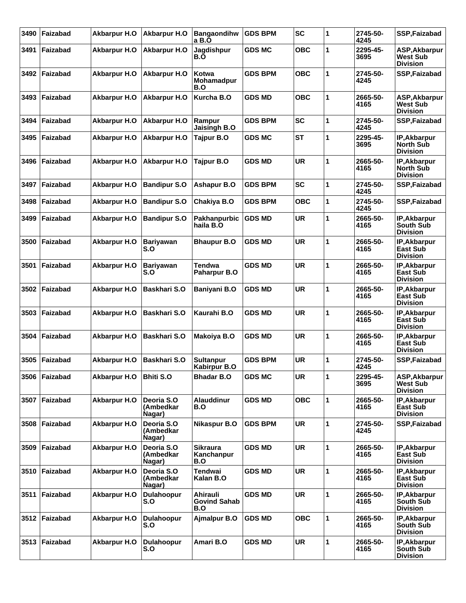| 3490 | Faizabad        | <b>Akbarpur H.O</b> | <b>Akbarpur H.O</b>               | <b>Bangaondihw</b><br>a B.O             | <b>GDS BPM</b> | <b>SC</b>  | 1 | 2745-50-<br>4245 | SSP, Faizabad                                       |
|------|-----------------|---------------------|-----------------------------------|-----------------------------------------|----------------|------------|---|------------------|-----------------------------------------------------|
| 3491 | Faizabad        | Akbarpur H.O        | <b>Akbarpur H.O</b>               | Jagdishpur<br>B.O                       | <b>GDS MC</b>  | <b>OBC</b> | 1 | 2295-45-<br>3695 | ASP, Akbarpur<br>West Sub<br><b>Division</b>        |
| 3492 | Faizabad        | <b>Akbarpur H.O</b> | <b>Akbarpur H.O</b>               | <b>Kotwa</b><br>Mohamadpur<br>B.O       | <b>GDS BPM</b> | <b>OBC</b> | 1 | 2745-50-<br>4245 | SSP, Faizabad                                       |
| 3493 | <b>Faizabad</b> | Akbarpur H.O        | <b>Akbarpur H.O</b>               | Kurcha B.O                              | <b>GDS MD</b>  | <b>OBC</b> | 1 | 2665-50-<br>4165 | ASP, Akbarpur<br>West Sub<br><b>Division</b>        |
| 3494 | Faizabad        | <b>Akbarpur H.O</b> | Akbarpur H.O                      | Rampur<br><b>Jaisingh B.O</b>           | <b>GDS BPM</b> | <b>SC</b>  | 1 | 2745-50-<br>4245 | SSP, Faizabad                                       |
| 3495 | Faizabad        | Akbarpur H.O        | Akbarpur H.O                      | Tajpur B.O                              | <b>GDS MC</b>  | <b>ST</b>  | 1 | 2295-45-<br>3695 | IP, Akbarpur<br><b>North Sub</b><br><b>Division</b> |
| 3496 | <b>Faizabad</b> | Akbarpur H.O        | <b>Akbarpur H.O</b>               | Tajpur B.O                              | <b>GDS MD</b>  | <b>UR</b>  | 1 | 2665-50-<br>4165 | IP, Akbarpur<br><b>North Sub</b><br><b>Division</b> |
| 3497 | Faizabad        | <b>Akbarpur H.O</b> | <b>Bandipur S.O</b>               | <b>Ashapur B.O</b>                      | <b>GDS BPM</b> | <b>SC</b>  | 1 | 2745-50-<br>4245 | SSP, Faizabad                                       |
| 3498 | Faizabad        | Akbarpur H.O        | <b>Bandipur S.O</b>               | Chakiya B.O                             | <b>GDS BPM</b> | <b>OBC</b> | 1 | 2745-50-<br>4245 | SSP, Faizabad                                       |
| 3499 | <b>Faizabad</b> | <b>Akbarpur H.O</b> | <b>Bandipur S.O</b>               | Pakhanpurbic<br>haila B.O               | <b>GDS MD</b>  | <b>UR</b>  | 1 | 2665-50-<br>4165 | IP, Akbarpur<br>South Sub<br><b>Division</b>        |
| 3500 | Faizabad        | Akbarpur H.O        | <b>Bariyawan</b><br>S.O           | <b>Bhaupur B.O</b>                      | <b>GDS MD</b>  | <b>UR</b>  | 1 | 2665-50-<br>4165 | IP, Akbarpur<br><b>East Sub</b><br><b>Division</b>  |
| 3501 | Faizabad        | <b>Akbarpur H.O</b> | <b>Bariyawan</b><br>S.O           | <b>Tendwa</b><br>Paharpur B.O           | <b>GDS MD</b>  | <b>UR</b>  | 1 | 2665-50-<br>4165 | IP, Akbarpur<br><b>East Sub</b><br><b>Division</b>  |
| 3502 | Faizabad        | <b>Akbarpur H.O</b> | <b>Baskhari S.O</b>               | <b>Baniyani B.O</b>                     | <b>GDS MD</b>  | <b>UR</b>  | 1 | 2665-50-<br>4165 | IP, Akbarpur<br><b>East Sub</b><br><b>Division</b>  |
| 3503 | Faizabad        | Akbarpur H.O        | Baskhari S.O                      | Kaurahi B.O                             | <b>GDS MD</b>  | <b>UR</b>  | 1 | 2665-50-<br>4165 | IP, Akbarpur<br><b>East Sub</b><br><b>Division</b>  |
| 3504 | Faizabad        | <b>Akbarpur H.O</b> | Baskhari S.O                      | Makoiya B.O                             | <b>GDS MD</b>  | <b>UR</b>  | 1 | 2665-50-<br>4165 | IP, Akbarpur<br><b>East Sub</b><br><b>Division</b>  |
| 3505 | Faizabad        | Akbarpur H.O        | <b>Baskhari S.O</b>               | <b>Sultanpur</b><br><b>Kabirpur B.O</b> | <b>GDS BPM</b> | <b>UR</b>  | 1 | 2745-50-<br>4245 | <b>SSP, Faizabad</b>                                |
| 3506 | Faizabad        | <b>Akbarpur H.O</b> | <b>Bhiti S.O</b>                  | <b>Bhadar B.O</b>                       | <b>GDS MC</b>  | <b>UR</b>  | 1 | 2295-45-<br>3695 | ASP, Akbarpur<br><b>West Sub</b><br><b>Division</b> |
| 3507 | Faizabad        | Akbarpur H.O        | Deoria S.O<br>(Ambedkar<br>Nagar) | <b>Alauddinur</b><br>B.O                | <b>GDS MD</b>  | <b>OBC</b> | 1 | 2665-50-<br>4165 | IP, Akbarpur<br><b>East Sub</b><br><b>Division</b>  |
| 3508 | Faizabad        | <b>Akbarpur H.O</b> | Deoria S.O<br>(Ambedkar<br>Nagar) | <b>Nikaspur B.O</b>                     | <b>GDS BPM</b> | <b>UR</b>  | 1 | 2745-50-<br>4245 | SSP, Faizabad                                       |
| 3509 | Faizabad        | <b>Akbarpur H.O</b> | Deoria S.O<br>(Ambedkar<br>Nagar) | <b>Sikraura</b><br>Kanchanpur<br>B.O    | <b>GDS MD</b>  | <b>UR</b>  | 1 | 2665-50-<br>4165 | IP, Akbarpur<br><b>East Sub</b><br><b>Division</b>  |
| 3510 | Faizabad        | <b>Akbarpur H.O</b> | Deoria S.O<br>(Ambedkar<br>Nagar) | Tendwai<br>Kalan B.O                    | <b>GDS MD</b>  | <b>UR</b>  | 1 | 2665-50-<br>4165 | IP, Akbarpur<br>East Sub<br><b>Division</b>         |
| 3511 | Faizabad        | <b>Akbarpur H.O</b> | Dulahoopur<br>S.O                 | Ahirauli<br><b>Govind Sahab</b><br>B.O  | <b>GDS MD</b>  | UR         | 1 | 2665-50-<br>4165 | IP, Akbarpur<br><b>South Sub</b><br><b>Division</b> |
|      | 3512 Faizabad   | Akbarpur H.O        | <b>Dulahoopur</b><br>S.O          | Ajmalpur B.O                            | <b>GDS MD</b>  | <b>OBC</b> | 1 | 2665-50-<br>4165 | IP, Akbarpur<br><b>South Sub</b><br><b>Division</b> |
| 3513 | Faizabad        | <b>Akbarpur H.O</b> | <b>Dulahoopur</b><br>S.O          | Amari B.O                               | <b>GDS MD</b>  | <b>UR</b>  | 1 | 2665-50-<br>4165 | IP, Akbarpur<br><b>South Sub</b><br><b>Division</b> |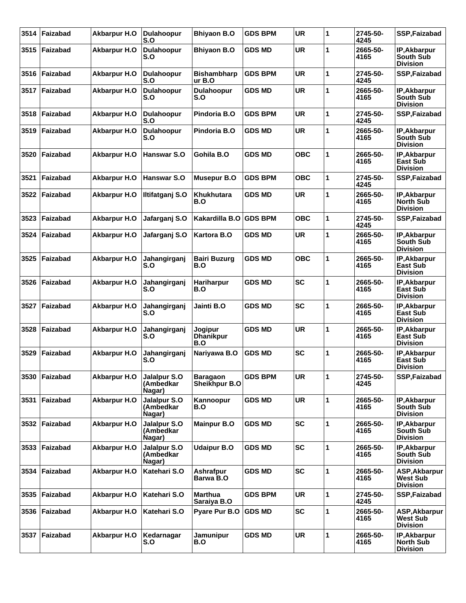| 3514 | Faizabad        | <b>Akbarpur H.O</b> | Dulahoopur<br>S.O                   | <b>Bhiyaon B.O</b>                 | <b>GDS BPM</b> | <b>UR</b>  | 1 | 2745-50-<br>4245 | <b>SSP, Faizabad</b>                                |
|------|-----------------|---------------------|-------------------------------------|------------------------------------|----------------|------------|---|------------------|-----------------------------------------------------|
| 3515 | Faizabad        | <b>Akbarpur H.O</b> | <b>Dulahoopur</b><br>S.O            | <b>Bhiyaon B.O</b>                 | <b>GDS MD</b>  | <b>UR</b>  | 1 | 2665-50-<br>4165 | IP, Akbarpur<br>South Sub<br><b>Division</b>        |
| 3516 | Faizabad        | <b>Akbarpur H.O</b> | <b>Dulahoopur</b><br>S.O            | <b>Bishambharp</b><br>ur B.O       | <b>GDS BPM</b> | <b>UR</b>  | 1 | 2745-50-<br>4245 | SSP, Faizabad                                       |
| 3517 | Faizabad        | <b>Akbarpur H.O</b> | <b>Dulahoopur</b><br>S.O            | <b>Dulahoopur</b><br>S.O           | <b>GDS MD</b>  | <b>UR</b>  | 1 | 2665-50-<br>4165 | IP, Akbarpur<br><b>South Sub</b><br><b>Division</b> |
| 3518 | Faizabad        | <b>Akbarpur H.O</b> | <b>Dulahoopur</b><br>S.O            | Pindoria B.O                       | <b>GDS BPM</b> | <b>UR</b>  | 1 | 2745-50-<br>4245 | SSP, Faizabad                                       |
| 3519 | Faizabad        | <b>Akbarpur H.O</b> | Dulahoopur<br>S.O                   | Pindoria B.O                       | <b>GDS MD</b>  | <b>UR</b>  | 1 | 2665-50-<br>4165 | IP, Akbarpur<br><b>South Sub</b><br><b>Division</b> |
| 3520 | Faizabad        | <b>Akbarpur H.O</b> | Hanswar S.O                         | Gohila B.O                         | <b>GDS MD</b>  | <b>OBC</b> | 1 | 2665-50-<br>4165 | IP, Akbarpur<br>East Sub<br><b>Division</b>         |
| 3521 | Faizabad        | Akbarpur H.O        | <b>Hanswar S.O</b>                  | <b>Musepur B.O</b>                 | <b>GDS BPM</b> | <b>OBC</b> | 1 | 2745-50-<br>4245 | SSP, Faizabad                                       |
| 3522 | <b>Faizabad</b> | Akbarpur H.O        | Iltifatganj S.O                     | <b>Khukhutara</b><br>B.O           | <b>GDS MD</b>  | <b>UR</b>  | 1 | 2665-50-<br>4165 | IP, Akbarpur<br><b>North Sub</b><br><b>Division</b> |
| 3523 | Faizabad        | <b>Akbarpur H.O</b> | Jafarganj S.O                       | Kakardilla B.O                     | <b>GDS BPM</b> | <b>OBC</b> | 1 | 2745-50-<br>4245 | SSP, Faizabad                                       |
| 3524 | Faizabad        | <b>Akbarpur H.O</b> | Jafarganj S.O                       | <b>Kartora B.O</b>                 | <b>GDS MD</b>  | <b>UR</b>  | 1 | 2665-50-<br>4165 | IP, Akbarpur<br><b>South Sub</b><br><b>Division</b> |
| 3525 | Faizabad        | Akbarpur H.O        | Jahangirganj<br>S.O                 | <b>Bairi Buzurg</b><br>B.O         | <b>GDS MD</b>  | <b>OBC</b> | 1 | 2665-50-<br>4165 | IP, Akbarpur<br><b>East Sub</b><br><b>Division</b>  |
| 3526 | Faizabad        | <b>Akbarpur H.O</b> | Jahangirganj<br>S.O                 | <b>Hariharpur</b><br>B.O           | <b>GDS MD</b>  | <b>SC</b>  | 1 | 2665-50-<br>4165 | IP, Akbarpur<br>East Sub<br><b>Division</b>         |
| 3527 | <b>Faizabad</b> | Akbarpur H.O        | Jahangirganj<br>S.O                 | Jainti B.O                         | <b>GDS MD</b>  | <b>SC</b>  | 1 | 2665-50-<br>4165 | IP, Akbarpur<br><b>East Sub</b><br><b>Division</b>  |
| 3528 | Faizabad        | Akbarpur H.O        | Jahangirganj<br>S.O                 | Jogipur<br><b>Dhanikpur</b><br>B.O | <b>GDS MD</b>  | <b>UR</b>  | 1 | 2665-50-<br>4165 | IP, Akbarpur<br><b>East Sub</b><br><b>Division</b>  |
| 3529 | Faizabad        | Akbarpur H.O        | Jahangirganj<br>S.O                 | Nariyawa B.O                       | <b>GDS MD</b>  | <b>SC</b>  | 1 | 2665-50-<br>4165 | IP, Akbarpur<br><b>East Sub</b><br><b>Division</b>  |
| 3530 | Faizabad        | Akbarpur H.O        | Jalalpur S.O<br>(Ambedkar<br>Nagar) | <b>Baragaon</b><br>Sheikhpur B.O   | <b>GDS BPM</b> | <b>UR</b>  | 1 | 2745-50-<br>4245 | SSP, Faizabad                                       |
| 3531 | Faizabad        | Akbarpur H.O        | Jalalpur S.O<br>(Ambedkar<br>Nagar) | Kannoopur<br>B.O                   | <b>GDS MD</b>  | <b>UR</b>  | 1 | 2665-50-<br>4165 | IP, Akbarpur<br>South Sub<br><b>Division</b>        |
|      | 3532 Faizabad   | <b>Akbarpur H.O</b> | Jalalpur S.O<br>(Ambedkar<br>Nagar) | <b>Mainpur B.O</b>                 | <b>GDS MD</b>  | <b>SC</b>  | 1 | 2665-50-<br>4165 | IP, Akbarpur<br><b>South Sub</b><br><b>Division</b> |
| 3533 | Faizabad        | <b>Akbarpur H.O</b> | Jalalpur S.O<br>(Ambedkar<br>Nagar) | <b>Udaipur B.O</b>                 | <b>GDS MD</b>  | <b>SC</b>  | 1 | 2665-50-<br>4165 | IP, Akbarpur<br>South Sub<br><b>Division</b>        |
| 3534 | Faizabad        | <b>Akbarpur H.O</b> | Katehari S.O                        | Ashrafpur<br>Barwa B.O             | <b>GDS MD</b>  | <b>SC</b>  | 1 | 2665-50-<br>4165 | ASP, Akbarpur<br>West Sub<br><b>Division</b>        |
| 3535 | Faizabad        | Akbarpur H.O        | Katehari S.O                        | <b>Marthua</b><br>Saraiya B.O      | <b>GDS BPM</b> | <b>UR</b>  | 1 | 2745-50-<br>4245 | SSP, Faizabad                                       |
| 3536 | Faizabad        | Akbarpur H.O        | Katehari S.O                        | Pyare Pur B.O                      | <b>GDS MD</b>  | <b>SC</b>  | 1 | 2665-50-<br>4165 | ASP, Akbarpur<br><b>West Sub</b><br><b>Division</b> |
| 3537 | Faizabad        | <b>Akbarpur H.O</b> | Kedarnagar<br>S.O                   | Jamunipur<br>B.O                   | <b>GDS MD</b>  | <b>UR</b>  | 1 | 2665-50-<br>4165 | IP, Akbarpur<br><b>North Sub</b><br><b>Division</b> |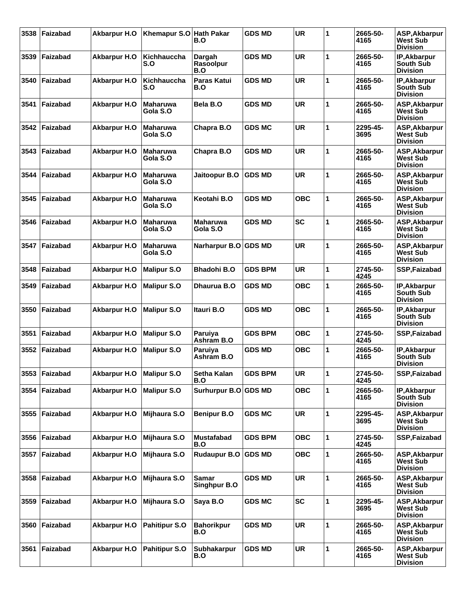| 3538 | Faizabad      | <b>Akbarpur H.O</b> | Khemapur S.O Hath Pakar     | B.O                          | <b>GDS MD</b>  | <b>UR</b>  | 1 | 2665-50-<br>4165 | ASP, Akbarpur<br>West Sub<br><b>Division</b>        |
|------|---------------|---------------------|-----------------------------|------------------------------|----------------|------------|---|------------------|-----------------------------------------------------|
| 3539 | Faizabad      | <b>Akbarpur H.O</b> | Kichhauccha<br>S.O          | Darqah<br>Rasoolpur<br>B.O   | <b>GDS MD</b>  | <b>UR</b>  | 1 | 2665-50-<br>4165 | IP, Akbarpur<br><b>South Sub</b><br><b>Division</b> |
| 3540 | Faizabad      | Akbarpur H.O        | Kichhauccha<br>S.O          | Paras Katui<br>B.O           | <b>GDS MD</b>  | <b>UR</b>  | 1 | 2665-50-<br>4165 | IP, Akbarpur<br>South Sub<br><b>Division</b>        |
| 3541 | Faizabad      | Akbarpur H.O        | <b>Maharuwa</b><br>Gola S.O | Bela B.O                     | <b>GDS MD</b>  | <b>UR</b>  | 1 | 2665-50-<br>4165 | ASP, Akbarpur<br><b>West Sub</b><br><b>Division</b> |
| 3542 | Faizabad      | Akbarpur H.O        | <b>Maharuwa</b><br>Gola S.O | Chapra B.O                   | <b>GDS MC</b>  | <b>UR</b>  | 1 | 2295-45-<br>3695 | ASP, Akbarpur<br><b>West Sub</b><br><b>Division</b> |
| 3543 | Faizabad      | Akbarpur H.O        | <b>Maharuwa</b><br>Gola S.O | Chapra B.O                   | <b>GDS MD</b>  | <b>UR</b>  | 1 | 2665-50-<br>4165 | ASP, Akbarpur<br><b>West Sub</b><br><b>Division</b> |
| 3544 | Faizabad      | Akbarpur H.O        | <b>Maharuwa</b><br>Gola S.O | Jaitoopur B.O                | <b>GDS MD</b>  | <b>UR</b>  | 1 | 2665-50-<br>4165 | ASP, Akbarpur<br>West Sub<br><b>Division</b>        |
| 3545 | Faizabad      | Akbarpur H.O        | <b>Maharuwa</b><br>Gola S.O | Keotahi B.O                  | <b>GDS MD</b>  | <b>OBC</b> | 1 | 2665-50-<br>4165 | ASP, Akbarpur<br>West Sub<br><b>Division</b>        |
| 3546 | Faizabad      | Akbarpur H.O        | <b>Maharuwa</b><br>Gola S.O | <b>Maharuwa</b><br>Gola S.O  | <b>GDS MD</b>  | <b>SC</b>  | 1 | 2665-50-<br>4165 | ASP, Akbarpur<br>West Sub<br><b>Division</b>        |
| 3547 | Faizabad      | Akbarpur H.O        | <b>Maharuwa</b><br>Gola S.O | Narharpur B.O GDS MD         |                | <b>UR</b>  | 1 | 2665-50-<br>4165 | ASP, Akbarpur<br>West Sub<br><b>Division</b>        |
| 3548 | Faizabad      | Akbarpur H.O        | <b>Malipur S.O</b>          | <b>Bhadohi B.O</b>           | <b>GDS BPM</b> | <b>UR</b>  | 1 | 2745-50-<br>4245 | SSP, Faizabad                                       |
| 3549 | Faizabad      | Akbarpur H.O        | <b>Malipur S.O</b>          | Dhaurua B.O                  | <b>GDS MD</b>  | <b>OBC</b> | 1 | 2665-50-<br>4165 | IP, Akbarpur<br><b>South Sub</b><br><b>Division</b> |
| 3550 | Faizabad      | <b>Akbarpur H.O</b> | <b>Malipur S.O</b>          | Itauri B.O                   | <b>GDS MD</b>  | <b>OBC</b> | 1 | 2665-50-<br>4165 | IP, Akbarpur<br>South Sub<br><b>Division</b>        |
| 3551 | Faizabad      | Akbarpur H.O        | <b>Malipur S.O</b>          | Paruiya<br>Ashram B.O        | <b>GDS BPM</b> | <b>OBC</b> | 1 | 2745-50-<br>4245 | SSP, Faizabad                                       |
| 3552 | Faizabad      | <b>Akbarpur H.O</b> | <b>Malipur S.O</b>          | Paruiya<br>Ashram B.O        | <b>GDS MD</b>  | <b>OBC</b> | 1 | 2665-50-<br>4165 | IP, Akbarpur<br>South Sub<br><b>Division</b>        |
|      | 3553 Faizabad | <b>Akbarpur H.O</b> | Malipur S.O                 | Setha Kalan<br>B.O           | <b>GDS BPM</b> | <b>UR</b>  | 1 | 2745-50-<br>4245 | SSP, Faizabad                                       |
| 3554 | Faizabad      | Akbarpur H.O        | <b>Malipur S.O</b>          | Surhurpur B.O GDS MD         |                | <b>OBC</b> | 1 | 2665-50-<br>4165 | IP, Akbarpur<br><b>South Sub</b><br><b>Division</b> |
| 3555 | Faizabad      | <b>Akbarpur H.O</b> | Mijhaura S.O                | <b>Benipur B.O</b>           | <b>GDS MC</b>  | <b>UR</b>  | 1 | 2295-45-<br>3695 | ASP, Akbarpur<br><b>West Sub</b><br><b>Division</b> |
| 3556 | Faizabad      | <b>Akbarpur H.O</b> | Mijhaura S.O                | <b>Mustafabad</b><br>B.O     | <b>GDS BPM</b> | <b>OBC</b> | 1 | 2745-50-<br>4245 | <b>SSP, Faizabad</b>                                |
| 3557 | Faizabad      | Akbarpur H.O        | Mijhaura S.O                | <b>Rudaupur B.O</b>          | <b>GDS MD</b>  | <b>OBC</b> | 1 | 2665-50-<br>4165 | ASP, Akbarpur<br>West Sub<br><b>Division</b>        |
| 3558 | Faizabad      | <b>Akbarpur H.O</b> | Mijhaura S.O                | <b>Samar</b><br>Singhpur B.O | <b>GDS MD</b>  | <b>UR</b>  | 1 | 2665-50-<br>4165 | ASP, Akbarpur<br><b>West Sub</b><br><b>Division</b> |
| 3559 | Faizabad      | Akbarpur H.O        | Mijhaura S.O                | Saya B.O                     | <b>GDS MC</b>  | <b>SC</b>  | 1 | 2295-45-<br>3695 | ASP, Akbarpur<br>West Sub<br><b>Division</b>        |
| 3560 | Faizabad      | Akbarpur H.O        | Pahitipur S.O               | <b>Bahorikpur</b><br>B.O     | <b>GDS MD</b>  | <b>UR</b>  | 1 | 2665-50-<br>4165 | ASP, Akbarpur<br>West Sub<br><b>Division</b>        |
| 3561 | Faizabad      | Akbarpur H.O        | Pahitipur S.O               | <b>Subhakarpur</b><br>B.O    | <b>GDS MD</b>  | <b>UR</b>  | 1 | 2665-50-<br>4165 | ASP, Akbarpur<br><b>West Sub</b><br><b>Division</b> |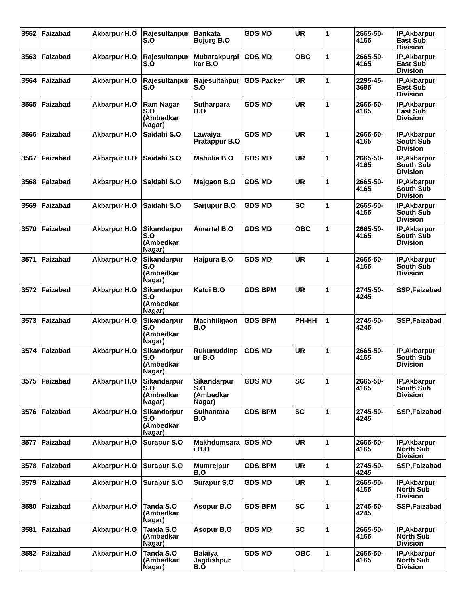| 3562 | Faizabad | <b>Akbarpur H.O</b> | Rajesultanpur<br>S.O                             | <b>Bankata</b><br><b>Bujurg B.O</b>       | <b>GDS MD</b>     | <b>UR</b>  | 1            | 2665-50-<br>4165 | IP, Akbarpur<br><b>East Sub</b><br><b>Division</b>  |
|------|----------|---------------------|--------------------------------------------------|-------------------------------------------|-------------------|------------|--------------|------------------|-----------------------------------------------------|
| 3563 | Faizabad | Akbarpur H.O        | Rajesultanpur<br>S.O                             | Mubarakpurpi<br>kar B.O                   | <b>GDS MD</b>     | <b>OBC</b> | 1            | 2665-50-<br>4165 | IP, Akbarpur<br>East Sub<br><b>Division</b>         |
| 3564 | Faizabad | <b>Akbarpur H.O</b> | Rajesultanpur<br>S.O                             | Rajesultanpur<br>S.O                      | <b>GDS Packer</b> | <b>UR</b>  | 1            | 2295-45-<br>3695 | IP, Akbarpur<br><b>East Sub</b><br><b>Division</b>  |
| 3565 | Faizabad | Akbarpur H.O        | <b>Ram Nagar</b><br>S.O<br>(Ambedkar<br>Nagar)   | <b>Sutharpara</b><br>B.O                  | <b>GDS MD</b>     | <b>UR</b>  | 1            | 2665-50-<br>4165 | IP, Akbarpur<br><b>East Sub</b><br><b>Division</b>  |
| 3566 | Faizabad | <b>Akbarpur H.O</b> | Saidahi S.O                                      | Lawaiya<br><b>Pratappur B.O</b>           | <b>GDS MD</b>     | <b>UR</b>  | 1            | 2665-50-<br>4165 | IP, Akbarpur<br><b>South Sub</b><br><b>Division</b> |
| 3567 | Faizabad | Akbarpur H.O        | Saidahi S.O                                      | <b>Mahulia B.O</b>                        | <b>GDS MD</b>     | <b>UR</b>  | 1            | 2665-50-<br>4165 | IP, Akbarpur<br><b>South Sub</b><br><b>Division</b> |
| 3568 | Faizabad | <b>Akbarpur H.O</b> | Saidahi S.O                                      | <b>Majgaon B.O</b>                        | <b>GDS MD</b>     | <b>UR</b>  | 1            | 2665-50-<br>4165 | IP, Akbarpur<br><b>South Sub</b><br><b>Division</b> |
| 3569 | Faizabad | Akbarpur H.O        | Saidahi S.O                                      | Sarjupur B.O                              | <b>GDS MD</b>     | <b>SC</b>  | 1            | 2665-50-<br>4165 | IP, Akbarpur<br><b>South Sub</b><br><b>Division</b> |
| 3570 | Faizabad | <b>Akbarpur H.O</b> | Sikandarpur<br>S.O<br>(Ambedkar<br>Nagar)        | <b>Amartal B.O</b>                        | <b>GDS MD</b>     | <b>OBC</b> | 1            | 2665-50-<br>4165 | IP, Akbarpur<br><b>South Sub</b><br><b>Division</b> |
| 3571 | Faizabad | <b>Akbarpur H.O</b> | Sikandarpur<br>S.O<br>(Ambedkar<br>Nagar)        | Hajpura B.O                               | <b>GDS MD</b>     | <b>UR</b>  | 1            | 2665-50-<br>4165 | IP, Akbarpur<br><b>South Sub</b><br><b>Division</b> |
| 3572 | Faizabad | Akbarpur H.O        | Sikandarpur<br>S.O<br>(Ambedkar<br>Nagar)        | Katui B.O                                 | <b>GDS BPM</b>    | <b>UR</b>  | 1            | 2745-50-<br>4245 | SSP, Faizabad                                       |
| 3573 | Faizabad | <b>Akbarpur H.O</b> | Sikandarpur<br>S.O<br>(Ambedkar<br>Nagar)        | Machhiligaon<br>B.O                       | <b>GDS BPM</b>    | PH-HH      | 1            | 2745-50-<br>4245 | SSP, Faizabad                                       |
| 3574 | Faizabad | <b>Akbarpur H.O</b> | Sikandarpur<br>S.O<br>(Ambedkar<br>Nagar)        | <b>Rukunuddinp</b><br>ur B.O              | <b>GDS MD</b>     | <b>UR</b>  | 1            | 2665-50-<br>4165 | IP, Akbarpur<br><b>South Sub</b><br><b>Division</b> |
| 3575 | Faizabad | Akbarpur H.O        | <b>Sikandarpur</b><br>S.O<br>(Ambedkar<br>Nagar) | Sikandarpur<br>S.O<br>(Ambedkar<br>Nagar) | <b>GDS MD</b>     | <b>SC</b>  | 1            | 2665-50-<br>4165 | IP, Akbarpur<br><b>South Sub</b><br><b>Division</b> |
| 3576 | Faizabad | <b>Akbarpur H.O</b> | Sikandarpur<br>S.O<br>(Ambedkar<br>Nagar)        | <b>Sulhantara</b><br>B.O                  | <b>GDS BPM</b>    | <b>SC</b>  | 1            | 2745-50-<br>4245 | SSP, Faizabad                                       |
| 3577 | Faizabad | <b>Akbarpur H.O</b> | <b>Surapur S.O</b>                               | Makhdumsara<br>i B.O                      | <b>GDS MD</b>     | <b>UR</b>  | $\mathbf{1}$ | 2665-50-<br>4165 | IP, Akbarpur<br><b>North Sub</b><br><b>Division</b> |
| 3578 | Faizabad | Akbarpur H.O        | <b>Surapur S.O</b>                               | <b>Mumrejpur</b><br>B.O                   | <b>GDS BPM</b>    | <b>UR</b>  | 1            | 2745-50-<br>4245 | SSP, Faizabad                                       |
| 3579 | Faizabad | Akbarpur H.O        | <b>Surapur S.O</b>                               | <b>Surapur S.O</b>                        | <b>GDS MD</b>     | <b>UR</b>  | 1            | 2665-50-<br>4165 | IP, Akbarpur<br><b>North Sub</b><br><b>Division</b> |
| 3580 | Faizabad | <b>Akbarpur H.O</b> | Tanda S.O<br>(Ambedkar<br>Nagar)                 | Asopur B.O                                | <b>GDS BPM</b>    | <b>SC</b>  | $\mathbf{1}$ | 2745-50-<br>4245 | SSP, Faizabad                                       |
| 3581 | Faizabad | Akbarpur H.O        | Tanda S.O<br>(Ambedkar<br>Nagar)                 | Asopur B.O                                | <b>GDS MD</b>     | <b>SC</b>  | 1            | 2665-50-<br>4165 | IP, Akbarpur<br><b>North Sub</b><br><b>Division</b> |
| 3582 | Faizabad | Akbarpur H.O        | Tanda S.O<br>(Ambedkar<br>Nagar)                 | <b>Balaiya</b><br>Jagdishpur<br>B.O       | <b>GDS MD</b>     | <b>OBC</b> | 1            | 2665-50-<br>4165 | IP, Akbarpur<br><b>North Sub</b><br><b>Division</b> |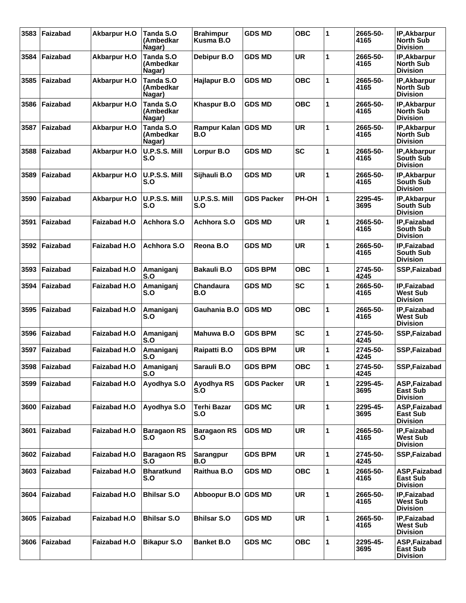| 3583 | Faizabad        | <b>Akbarpur H.O</b> | Tanda S.O<br>(Ambedkar<br>Nagar) | <b>Brahimpur</b><br>Kusma B.O | <b>GDS MD</b>     | <b>OBC</b> | 1            | 2665-50-<br>4165 | IP, Akbarpur<br><b>North Sub</b><br><b>Division</b> |
|------|-----------------|---------------------|----------------------------------|-------------------------------|-------------------|------------|--------------|------------------|-----------------------------------------------------|
| 3584 | Faizabad        | Akbarpur H.O        | Tanda S.O<br>(Ambedkar<br>Nagar) | Debipur B.O                   | <b>GDS MD</b>     | <b>UR</b>  | 1            | 2665-50-<br>4165 | IP, Akbarpur<br>North Sub<br><b>Division</b>        |
| 3585 | Faizabad        | <b>Akbarpur H.O</b> | Tanda S.O<br>(Ambedkar<br>Nagar) | Hajlapur B.O                  | <b>GDS MD</b>     | <b>OBC</b> | 1            | 2665-50-<br>4165 | IP, Akbarpur<br><b>North Sub</b><br><b>Division</b> |
| 3586 | Faizabad        | <b>Akbarpur H.O</b> | Tanda S.O<br>(Ambedkar<br>Nagar) | Khaspur B.O                   | <b>GDS MD</b>     | <b>OBC</b> | 1            | 2665-50-<br>4165 | IP, Akbarpur<br><b>North Sub</b><br><b>Division</b> |
| 3587 | Faizabad        | Akbarpur H.O        | Tanda S.O<br>(Ambedkar<br>Nagar) | Rampur Kalan   GDS MD<br>B.O  |                   | <b>UR</b>  | 1            | 2665-50-<br>4165 | IP, Akbarpur<br><b>North Sub</b><br><b>Division</b> |
| 3588 | Faizabad        | <b>Akbarpur H.O</b> | U.P.S.S. Mill<br>S.O             | Lorpur B.O                    | <b>GDS MD</b>     | <b>SC</b>  | 1            | 2665-50-<br>4165 | IP, Akbarpur<br><b>South Sub</b><br><b>Division</b> |
| 3589 | Faizabad        | Akbarpur H.O        | U.P.S.S. Mill<br>S.O             | Sijhauli B.O                  | <b>GDS MD</b>     | <b>UR</b>  | 1            | 2665-50-<br>4165 | IP, Akbarpur<br>South Sub<br><b>Division</b>        |
| 3590 | Faizabad        | Akbarpur H.O        | U.P.S.S. Mill<br>S.O             | U.P.S.S. Mill<br>S.O          | <b>GDS Packer</b> | PH-OH      | 1            | 2295-45-<br>3695 | IP, Akbarpur<br>South Sub<br><b>Division</b>        |
| 3591 | Faizabad        | <b>Faizabad H.O</b> | <b>Achhora S.O</b>               | <b>Achhora S.O</b>            | <b>GDS MD</b>     | <b>UR</b>  | 1            | 2665-50-<br>4165 | IP, Faizabad<br>South Sub<br><b>Division</b>        |
|      | 3592 Faizabad   | <b>Faizabad H.O</b> | <b>Achhora S.O</b>               | Reona B.O                     | <b>GDS MD</b>     | <b>UR</b>  | 1            | 2665-50-<br>4165 | IP, Faizabad<br>South Sub<br><b>Division</b>        |
| 3593 | Faizabad        | <b>Faizabad H.O</b> | Amaniganj<br>S.O                 | <b>Bakauli B.O</b>            | <b>GDS BPM</b>    | <b>OBC</b> | 1            | 2745-50-<br>4245 | SSP, Faizabad                                       |
| 3594 | Faizabad        | <b>Faizabad H.O</b> | Amaniganj<br>S.O                 | Chandaura<br>B.O              | <b>GDS MD</b>     | <b>SC</b>  | 1            | 2665-50-<br>4165 | IP, Faizabad<br>West Sub<br><b>Division</b>         |
| 3595 | Faizabad        | <b>Faizabad H.O</b> | Amaniganj<br>S.O                 | Gauhania B.O                  | <b>GDS MD</b>     | <b>OBC</b> | 1            | 2665-50-<br>4165 | IP, Faizabad<br>West Sub<br><b>Division</b>         |
| 3596 | Faizabad        | <b>Faizabad H.O</b> | Amaniganj<br>S.O                 | Mahuwa B.O                    | <b>GDS BPM</b>    | <b>SC</b>  | 1            | 2745-50-<br>4245 | SSP, Faizabad                                       |
| 3597 | Faizabad        | <b>Faizabad H.O</b> | Amaniganj<br>S.O                 | Raipatti B.O                  | <b>GDS BPM</b>    | <b>UR</b>  | 1            | 2745-50-<br>4245 | SSP, Faizabad                                       |
|      | 3598   Faizabad | Faizabad H.O        | Amaniganj<br>S.O                 | Sarauli B.O                   | <b>GDS BPM</b>    | <b>OBC</b> | 1            | 2745-50-<br>4245 | SSP, Faizabad                                       |
| 3599 | Faizabad        | <b>Faizabad H.O</b> | Ayodhya S.O                      | Ayodhya RS<br>S.O             | <b>GDS Packer</b> | <b>UR</b>  | 1            | 2295-45-<br>3695 | ASP.Faizabad<br><b>East Sub</b><br><b>Division</b>  |
| 3600 | Faizabad        | <b>Faizabad H.O</b> | Ayodhya S.O                      | Terhi Bazar<br>S.O            | <b>GDS MC</b>     | <b>UR</b>  | 1            | 2295-45-<br>3695 | ASP, Faizabad<br><b>East Sub</b><br><b>Division</b> |
| 3601 | Faizabad        | <b>Faizabad H.O</b> | <b>Baragaon RS</b><br>S.O        | <b>Baragaon RS</b><br>S.O     | <b>GDS MD</b>     | <b>UR</b>  | 1            | 2665-50-<br>4165 | IP, Faizabad<br>West Sub<br><b>Division</b>         |
| 3602 | Faizabad        | <b>Faizabad H.O</b> | <b>Baragaon RS</b><br>S.O        | Sarangpur<br>B.O              | <b>GDS BPM</b>    | UR         | 1            | 2745-50-<br>4245 | SSP, Faizabad                                       |
| 3603 | Faizabad        | Faizabad H.O        | <b>Bharatkund</b><br>S.O         | Raithua B.O                   | <b>GDS MD</b>     | <b>OBC</b> | $\mathbf{1}$ | 2665-50-<br>4165 | ASP, Faizabad<br><b>East Sub</b><br><b>Division</b> |
| 3604 | Faizabad        | <b>Faizabad H.O</b> | <b>Bhilsar S.O</b>               | Abboopur B.O GDS MD           |                   | <b>UR</b>  | 1            | 2665-50-<br>4165 | IP, Faizabad<br>West Sub<br><b>Division</b>         |
| 3605 | Faizabad        | <b>Faizabad H.O</b> | <b>Bhilsar S.O</b>               | <b>Bhilsar S.O</b>            | <b>GDS MD</b>     | <b>UR</b>  | 1            | 2665-50-<br>4165 | IP, Faizabad<br><b>West Sub</b><br><b>Division</b>  |
| 3606 | Faizabad        | <b>Faizabad H.O</b> | <b>Bikapur S.O</b>               | <b>Banket B.O</b>             | <b>GDS MC</b>     | <b>OBC</b> | 1            | 2295-45-<br>3695 | ASP, Faizabad<br><b>East Sub</b><br><b>Division</b> |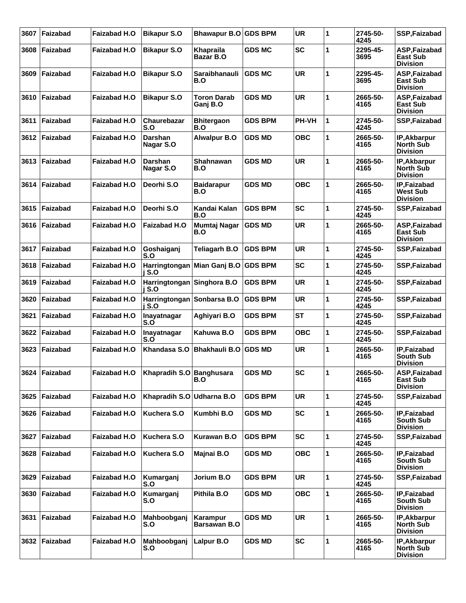| 3607 | Faizabad        | <b>Faizabad H.O</b> | <b>Bikapur S.O</b>                  | Bhawapur B.O GDS BPM            |                | <b>UR</b>  | 1            | 2745-50-<br>4245 | SSP, Faizabad                                       |
|------|-----------------|---------------------|-------------------------------------|---------------------------------|----------------|------------|--------------|------------------|-----------------------------------------------------|
| 3608 | Faizabad        | <b>Faizabad H.O</b> | <b>Bikapur S.O</b>                  | Khapraila<br><b>Bazar B.O</b>   | <b>GDS MC</b>  | <b>SC</b>  | 1            | 2295-45-<br>3695 | ASP, Faizabad<br><b>East Sub</b><br><b>Division</b> |
| 3609 | Faizabad        | Faizabad H.O        | <b>Bikapur S.O</b>                  | <b>Saraibhanauli</b><br>B.O     | <b>GDS MC</b>  | <b>UR</b>  | 1            | 2295-45-<br>3695 | ASP, Faizabad<br><b>East Sub</b><br><b>Division</b> |
| 3610 | Faizabad        | <b>Faizabad H.O</b> | <b>Bikapur S.O</b>                  | <b>Toron Darab</b><br>Ganj B.O  | <b>GDS MD</b>  | <b>UR</b>  | 1            | 2665-50-<br>4165 | ASP, Faizabad<br><b>East Sub</b><br><b>Division</b> |
| 3611 | Faizabad        | Faizabad H.O        | Chaurebazar<br>S.O                  | <b>Bhitergaon</b><br>B.O        | <b>GDS BPM</b> | PH-VH      | 1            | 2745-50-<br>4245 | SSP, Faizabad                                       |
| 3612 | Faizabad        | Faizabad H.O        | <b>Darshan</b><br>Nagar S.O         | <b>Alwalpur B.O</b>             | <b>GDS MD</b>  | <b>OBC</b> | 1            | 2665-50-<br>4165 | IP, Akbarpur<br><b>North Sub</b><br><b>Division</b> |
| 3613 | Faizabad        | <b>Faizabad H.O</b> | <b>Darshan</b><br>Nagar S.O         | Shahnawan<br>B.O                | <b>GDS MD</b>  | <b>UR</b>  | 1            | 2665-50-<br>4165 | IP, Akbarpur<br><b>North Sub</b><br><b>Division</b> |
| 3614 | <b>Faizabad</b> | <b>Faizabad H.O</b> | Deorhi S.O                          | <b>Baidarapur</b><br>B.O        | <b>GDS MD</b>  | <b>OBC</b> | 1            | 2665-50-<br>4165 | IP, Faizabad<br><b>West Sub</b><br><b>Division</b>  |
| 3615 | <b>Faizabad</b> | Faizabad H.O        | Deorhi S.O                          | Kandai Kalan<br>B.O             | <b>GDS BPM</b> | <b>SC</b>  | 1            | 2745-50-<br>4245 | <b>SSP, Faizabad</b>                                |
| 3616 | Faizabad        | <b>Faizabad H.O</b> | <b>Faizabad H.O</b>                 | Mumtaj Nagar<br>B.O             | <b>GDS MD</b>  | <b>UR</b>  | 1            | 2665-50-<br>4165 | ASP, Faizabad<br><b>East Sub</b><br><b>Division</b> |
| 3617 | Faizabad        | Faizabad H.O        | Goshaiganj<br>S.O                   | Teliagarh B.O                   | <b>GDS BPM</b> | <b>UR</b>  | 1            | 2745-50-<br>4245 | SSP, Faizabad                                       |
| 3618 | Faizabad        | <b>Faizabad H.O</b> | Harringtongan<br>i S.O              | Mian Ganj B.O                   | <b>GDS BPM</b> | <b>SC</b>  | 1            | 2745-50-<br>4245 | SSP, Faizabad                                       |
| 3619 | Faizabad        | <b>Faizabad H.O</b> | Harringtongan Singhora B.O<br>i S.O |                                 | <b>GDS BPM</b> | <b>UR</b>  | 1            | 2745-50-<br>4245 | SSP, Faizabad                                       |
| 3620 | Faizabad        | Faizabad H.O        | Harringtongan Sonbarsa B.O<br>S.O   |                                 | <b>GDS BPM</b> | <b>UR</b>  | 1            | 2745-50-<br>4245 | SSP, Faizabad                                       |
| 3621 | Faizabad        | Faizabad H.O        | Inayatnagar<br>S.O                  | Aghiyari B.O                    | <b>GDS BPM</b> | <b>ST</b>  | 1            | 2745-50-<br>4245 | SSP, Faizabad                                       |
| 3622 | Faizabad        | Faizabad H.O        | Inayatnagar<br>S.O                  | Kahuwa B.O                      | <b>GDS BPM</b> | <b>OBC</b> | 1            | 2745-50-<br>4245 | SSP, Faizabad                                       |
| 3623 | Faizabad        | <b>Faizabad H.O</b> | Khandasa S.O                        | <b>Bhakhauli B.O</b>            | <b>GDS MD</b>  | <b>UR</b>  | 1            | 2665-50-<br>4165 | IP,Faizabad<br><b>South Sub</b><br><b>Division</b>  |
|      | 3624   Faizabad | <b>Faizabad H.O</b> | Khapradih S.O Banghusara            | B.O                             | <b>GDS MD</b>  | <b>SC</b>  | 1            | 2665-50-<br>4165 | ASP, Faizabad<br><b>East Sub</b><br><b>Division</b> |
| 3625 | Faizabad        | Faizabad H.O        | Khapradih S.O Udharna B.O           |                                 | <b>GDS BPM</b> | <b>UR</b>  | 1            | 2745-50-<br>4245 | SSP, Faizabad                                       |
| 3626 | Faizabad        | <b>Faizabad H.O</b> | Kuchera S.O                         | Kumbhi B.O                      | <b>GDS MD</b>  | <b>SC</b>  | 1            | 2665-50-<br>4165 | IP, Faizabad<br>South Sub<br><b>Division</b>        |
| 3627 | Faizabad        | Faizabad H.O        | Kuchera S.O                         | Kurawan B.O                     | <b>GDS BPM</b> | <b>SC</b>  | 1            | 2745-50-<br>4245 | SSP, Faizabad                                       |
| 3628 | Faizabad        | <b>Faizabad H.O</b> | Kuchera S.O                         | Majnai B.O                      | <b>GDS MD</b>  | <b>OBC</b> | 1            | 2665-50-<br>4165 | IP, Faizabad<br>South Sub<br><b>Division</b>        |
| 3629 | Faizabad        | <b>Faizabad H.O</b> | Kumarganj<br>S.O                    | Jorium B.O                      | <b>GDS BPM</b> | UR         | 1            | 2745-50-<br>4245 | SSP, Faizabad                                       |
| 3630 | Faizabad        | Faizabad H.O        | Kumarganj<br>S.O                    | Pithila B.O                     | <b>GDS MD</b>  | <b>OBC</b> | $\mathbf{1}$ | 2665-50-<br>4165 | IP, Faizabad<br>South Sub<br><b>Division</b>        |
| 3631 | Faizabad        | <b>Faizabad H.O</b> | Mahboobganj<br>S.O                  | Karampur<br><b>Barsawan B.O</b> | <b>GDS MD</b>  | <b>UR</b>  | 1            | 2665-50-<br>4165 | IP, Akbarpur<br><b>North Sub</b><br><b>Division</b> |
|      | 3632 Faizabad   | <b>Faizabad H.O</b> | Mahboobganj<br>S.O                  | Lalpur B.O                      | <b>GDS MD</b>  | <b>SC</b>  | 1            | 2665-50-<br>4165 | IP, Akbarpur<br><b>North Sub</b><br><b>Division</b> |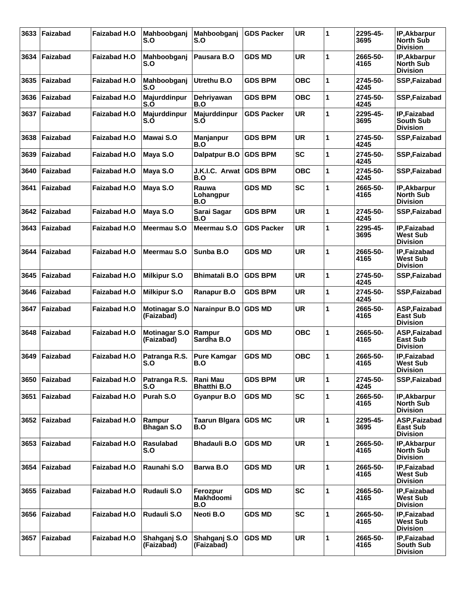| 3633 | Faizabad      | <b>Faizabad H.O</b> | Mahboobganj<br>S.O                 | Mahboobganj<br>S.O                  | <b>GDS Packer</b> | <b>UR</b>  | $\mathbf{1}$ | 2295-45-<br>3695 | IP, Akbarpur<br><b>North Sub</b><br><b>Division</b> |
|------|---------------|---------------------|------------------------------------|-------------------------------------|-------------------|------------|--------------|------------------|-----------------------------------------------------|
| 3634 | Faizabad      | <b>Faizabad H.O</b> | Mahboobganj<br>S.O                 | Pausara B.O                         | <b>GDS MD</b>     | <b>UR</b>  | 1            | 2665-50-<br>4165 | IP, Akbarpur<br>North Sub<br><b>Division</b>        |
| 3635 | Faizabad      | <b>Faizabad H.O</b> | Mahboobganj<br>S.O                 | Utrethu B.O                         | <b>GDS BPM</b>    | <b>OBC</b> | 1            | 2745-50-<br>4245 | SSP, Faizabad                                       |
| 3636 | Faizabad      | <b>Faizabad H.O</b> | Majurddinpur<br>S.O                | Dehriyawan<br>B.O                   | <b>GDS BPM</b>    | <b>OBC</b> | 1            | 2745-50-<br>4245 | SSP, Faizabad                                       |
| 3637 | Faizabad      | <b>Faizabad H.O</b> | Majurddinpur<br>S.O                | Majurddinpur<br>S.O                 | <b>GDS Packer</b> | <b>UR</b>  | 1            | 2295-45-<br>3695 | IP, Faizabad<br>South Sub<br><b>Division</b>        |
| 3638 | Faizabad      | <b>Faizabad H.O</b> | <b>Mawai S.O</b>                   | Manjanpur<br>B.O                    | <b>GDS BPM</b>    | <b>UR</b>  | 1            | 2745-50-<br>4245 | SSP, Faizabad                                       |
| 3639 | Faizabad      | <b>Faizabad H.O</b> | Maya S.O                           | Dalpatpur B.O                       | <b>GDS BPM</b>    | <b>SC</b>  | 1            | 2745-50-<br>4245 | SSP, Faizabad                                       |
| 3640 | Faizabad      | <b>Faizabad H.O</b> | Maya S.O                           | J.K.I.C. Arwat<br>B.O               | <b>GDS BPM</b>    | <b>OBC</b> | 1            | 2745-50-<br>4245 | SSP, Faizabad                                       |
| 3641 | Faizabad      | Faizabad H.O        | Maya S.O                           | Rauwa<br>Lohangpur<br>B.O           | <b>GDS MD</b>     | <b>SC</b>  | 1            | 2665-50-<br>4165 | IP, Akbarpur<br><b>North Sub</b><br><b>Division</b> |
| 3642 | Faizabad      | <b>Faizabad H.O</b> | Maya S.O                           | Sarai Sagar<br>B.O                  | <b>GDS BPM</b>    | <b>UR</b>  | 1            | 2745-50-<br>4245 | SSP, Faizabad                                       |
| 3643 | Faizabad      | <b>Faizabad H.O</b> | Meermau S.O                        | Meermau S.O                         | <b>GDS Packer</b> | <b>UR</b>  | 1            | 2295-45-<br>3695 | IP, Faizabad<br><b>West Sub</b><br><b>Division</b>  |
| 3644 | Faizabad      | <b>Faizabad H.O</b> | Meermau S.O                        | Sunba B.O                           | <b>GDS MD</b>     | <b>UR</b>  | 1            | 2665-50-<br>4165 | IP, Faizabad<br>West Sub<br><b>Division</b>         |
| 3645 | Faizabad      | <b>Faizabad H.O</b> | <b>Milkipur S.O</b>                | <b>Bhimatali B.O</b>                | <b>GDS BPM</b>    | <b>UR</b>  | 1            | 2745-50-<br>4245 | SSP, Faizabad                                       |
| 3646 | Faizabad      | <b>Faizabad H.O</b> | <b>Milkipur S.O</b>                | Ranapur B.O                         | <b>GDS BPM</b>    | <b>UR</b>  | 1            | 2745-50-<br>4245 | SSP, Faizabad                                       |
| 3647 | Faizabad      | <b>Faizabad H.O</b> | <b>Motinagar S.O</b><br>(Faizabad) | <b>Narainpur B.O</b>                | <b>GDS MD</b>     | <b>UR</b>  | 1            | 2665-50-<br>4165 | ASP, Faizabad<br>East Sub<br><b>Division</b>        |
| 3648 | Faizabad      | <b>Faizabad H.O</b> | <b>Motinagar S.O</b><br>(Faizabad) | Rampur<br>Sardha B.O                | <b>GDS MD</b>     | <b>OBC</b> | 1            | 2665-50-<br>4165 | ASP, Faizabad<br>East Sub<br><b>Division</b>        |
| 3649 | Faizabad      | <b>Faizabad H.O</b> | Patranga R.S.<br>S.O               | <b>Pure Kamgar</b><br><b>B.O</b>    | <b>GDS MD</b>     | <b>OBC</b> | 1            | 2665-50-<br>4165 | IP,Faizabad<br><b>West Sub</b><br><b>Division</b>   |
| 3650 | Faizabad      | Faizabad H.O        | Patranga R.S.<br>S.O               | Rani Mau<br><b>Bhatthi B.O</b>      | <b>GDS BPM</b>    | <b>UR</b>  | 1            | 2745-50-<br>4245 | SSP, Faizabad                                       |
| 3651 | Faizabad      | <b>Faizabad H.O</b> | Purah S.O                          | <b>Gyanpur B.O</b>                  | <b>GDS MD</b>     | <b>SC</b>  | $\mathbf{1}$ | 2665-50-<br>4165 | IP, Akbarpur<br><b>North Sub</b><br><b>Division</b> |
| 3652 | Faizabad      | Faizabad H.O        | Rampur<br><b>Bhagan S.O</b>        | <b>Taarun Bigara</b><br>B.O         | <b>GDS MC</b>     | <b>UR</b>  | 1            | 2295-45-<br>3695 | ASP, Faizabad<br>East Sub<br><b>Division</b>        |
| 3653 | Faizabad      | Faizabad H.O        | <b>Rasulabad</b><br>S.O            | <b>Bhadauli B.O</b>                 | <b>GDS MD</b>     | <b>UR</b>  | 1            | 2665-50-<br>4165 | IP, Akbarpur<br><b>North Sub</b><br><b>Division</b> |
| 3654 | Faizabad      | <b>Faizabad H.O</b> | Raunahi S.O                        | Barwa B.O                           | <b>GDS MD</b>     | <b>UR</b>  | 1            | 2665-50-<br>4165 | IP, Faizabad<br>West Sub<br><b>Division</b>         |
| 3655 | Faizabad      | <b>Faizabad H.O</b> | <b>Rudauli S.O</b>                 | Ferozpur<br><b>Makhdoomi</b><br>B.O | <b>GDS MD</b>     | <b>SC</b>  | 1            | 2665-50-<br>4165 | IP, Faizabad<br><b>West Sub</b><br><b>Division</b>  |
|      | 3656 Faizabad | <b>Faizabad H.O</b> | Rudauli S.O                        | Neoti B.O                           | <b>GDS MD</b>     | <b>SC</b>  | 1            | 2665-50-<br>4165 | IP, Faizabad<br><b>West Sub</b><br><b>Division</b>  |
| 3657 | Faizabad      | Faizabad H.O        | Shahganj S.O<br>(Faizabad)         | Shahganj S.O<br>(Faizabad)          | <b>GDS MD</b>     | <b>UR</b>  | 1            | 2665-50-<br>4165 | IP, Faizabad<br>South Sub<br><b>Division</b>        |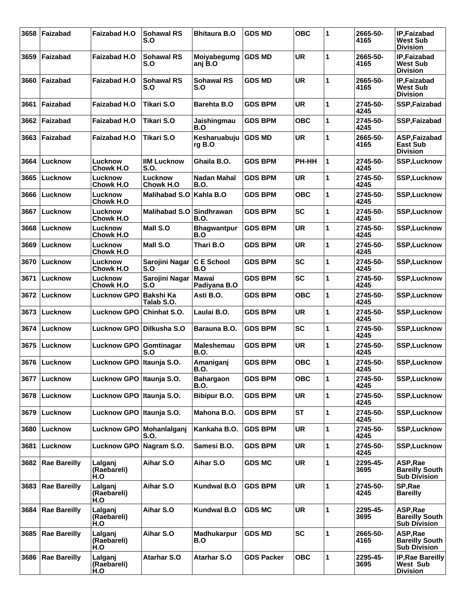| 3658 | Faizabad            | <b>Faizabad H.O</b>           | <b>Sohawal RS</b><br>S.O       | <b>Bhitaura B.O</b>              | <b>GDS MD</b>     | <b>OBC</b> | 1 | 2665-50-<br>4165 | IP, Faizabad<br><b>West Sub</b><br><b>Division</b>       |
|------|---------------------|-------------------------------|--------------------------------|----------------------------------|-------------------|------------|---|------------------|----------------------------------------------------------|
| 3659 | <b>Faizabad</b>     | <b>Faizabad H.O</b>           | Sohawal RS<br>S.O              | Moiyabegumg<br>anj B.O           | <b>GDS MD</b>     | <b>UR</b>  | 1 | 2665-50-<br>4165 | IP, Faizabad<br><b>West Sub</b><br><b>Division</b>       |
| 3660 | Faizabad            | <b>Faizabad H.O</b>           | <b>Sohawal RS</b><br>S.O       | <b>Sohawal RS</b><br>S.O         | <b>GDS MD</b>     | <b>UR</b>  | 1 | 2665-50-<br>4165 | IP, Faizabad<br><b>West Sub</b><br><b>Division</b>       |
| 3661 | <b>Faizabad</b>     | <b>Faizabad H.O</b>           | <b>Tikari S.O</b>              | <b>Barehta B.O</b>               | <b>GDS BPM</b>    | <b>UR</b>  | 1 | 2745-50-<br>4245 | SSP, Faizabad                                            |
| 3662 | Faizabad            | Faizabad H.O                  | <b>Tikari S.O</b>              | Jaishingmau<br>B.O               | <b>GDS BPM</b>    | <b>OBC</b> | 1 | 2745-50-<br>4245 | SSP, Faizabad                                            |
| 3663 | Faizabad            | Faizabad H.O                  | <b>Tikari S.O</b>              | Kesharuabuju<br>rg B.O           | <b>GDS MD</b>     | <b>UR</b>  | 1 | 2665-50-<br>4165 | ASP, Faizabad<br>East Sub<br>Division                    |
| 3664 | Lucknow             | Lucknow<br><b>Chowk H.O</b>   | <b>IIM Lucknow</b><br>S.O.     | Ghaila B.O.                      | <b>GDS BPM</b>    | PH-HH      | 1 | 2745-50-<br>4245 | <b>SSP, Lucknow</b>                                      |
| 3665 | Lucknow             | Lucknow<br>Chowk H.O          | Lucknow<br>Chowk H.O           | Nadan Mahal<br><b>B.O.</b>       | <b>GDS BPM</b>    | <b>UR</b>  | 1 | 2745-50-<br>4245 | <b>SSP, Lucknow</b>                                      |
| 3666 | Lucknow             | Lucknow<br><b>Chowk H.O</b>   | <b>Malihabad S.O</b>           | Kahla B.O                        | <b>GDS BPM</b>    | <b>OBC</b> | 1 | 2745-50-<br>4245 | <b>SSP, Lucknow</b>                                      |
| 3667 | Lucknow             | Lucknow<br><b>Chowk H.O</b>   | <b>Malihabad S.O</b>           | <b>Sindhrawan</b><br>B.O.        | GDS BPM           | <b>SC</b>  | 1 | 2745-50-<br>4245 | <b>SSP, Lucknow</b>                                      |
| 3668 | Lucknow             | Lucknow<br>Chowk H.O          | Mall S.O                       | <b>Bhagwantpur</b><br>B.O        | <b>GDS BPM</b>    | <b>UR</b>  | 1 | 2745-50-<br>4245 | <b>SSP, Lucknow</b>                                      |
| 3669 | Lucknow             | Lucknow<br><b>Chowk H.O</b>   | Mall S.O                       | Thari B.O                        | <b>GDS BPM</b>    | <b>UR</b>  | 1 | 2745-50-<br>4245 | <b>SSP, Lucknow</b>                                      |
| 3670 | Lucknow             | Lucknow<br><b>Chowk H.O</b>   | Sarojini Nagar<br>S.O          | <b>CE</b> School<br>B.O          | <b>GDS BPM</b>    | <b>SC</b>  | 1 | 2745-50-<br>4245 | <b>SSP, Lucknow</b>                                      |
| 3671 | Lucknow             | Lucknow<br><b>Chowk H.O</b>   | Sarojini Nagar<br>S.O          | Mawai<br>Padiyana B.O            | <b>GDS BPM</b>    | <b>SC</b>  | 1 | 2745-50-<br>4245 | <b>SSP, Lucknow</b>                                      |
| 3672 | Lucknow             | <b>Lucknow GPO</b>            | <b>Bakshi Ka</b><br>Talab S.O. | Asti B.O.                        | <b>GDS BPM</b>    | <b>OBC</b> | 1 | 2745-50-<br>4245 | <b>SSP, Lucknow</b>                                      |
| 3673 | Lucknow             | <b>Lucknow GPO</b>            | Chinhat S.O.                   | Laulai B.O.                      | GDS BPM           | <b>UR</b>  | 1 | 2745-50-<br>4245 | <b>SSP, Lucknow</b>                                      |
| 3674 | Lucknow             | <b>Lucknow GPO</b>            | Dilkusha S.O                   | Barauna B.O.                     | <b>GDS BPM</b>    | <b>SC</b>  | 1 | 2745-50-<br>4245 | <b>SSP, Lucknow</b>                                      |
| 3675 | Lucknow             | <b>Lucknow GPO</b>            | Gomtinagar<br>S.O              | <b>Maleshemau</b><br><b>B.O.</b> | <b>GDS BPM</b>    | <b>UR</b>  | 1 | 2745-50-<br>4245 | <b>SSP, Lucknow</b>                                      |
|      | 3676 Lucknow        | Lucknow GPO   Itaunja S.O.    |                                | Amaniganj<br>B.O.                | <b>GDS BPM</b>    | <b>OBC</b> | 1 | 2745-50-<br>4245 | <b>SSP, Lucknow</b>                                      |
| 3677 | Lucknow             | Lucknow GPO Itaunja S.O.      |                                | <b>Bahargaon</b><br>B.O.         | <b>GDS BPM</b>    | <b>OBC</b> | 1 | 2745-50-<br>4245 | <b>SSP, Lucknow</b>                                      |
|      | 3678 Lucknow        | Lucknow GPO Itaunja S.O.      |                                | Bibipur B.O.                     | <b>GDS BPM</b>    | <b>UR</b>  | 1 | 2745-50-<br>4245 | <b>SSP, Lucknow</b>                                      |
| 3679 | Lucknow             | Lucknow GPO Itaunja S.O.      |                                | Mahona B.O.                      | <b>GDS BPM</b>    | ST         | 1 | 2745-50-<br>4245 | <b>SSP, Lucknow</b>                                      |
| 3680 | Lucknow             | Lucknow GPO Mohanlalganj      | S.O.                           | Kankaha B.O.                     | <b>GDS BPM</b>    | <b>UR</b>  | 1 | 2745-50-<br>4245 | <b>SSP, Lucknow</b>                                      |
| 3681 | Lucknow             | <b>Lucknow GPO</b>            | Nagram S.O.                    | Samesi B.O.                      | <b>GDS BPM</b>    | <b>UR</b>  | 1 | 2745-50-<br>4245 | <b>SSP, Lucknow</b>                                      |
|      | 3682 Rae Bareilly   | Lalganj<br>(Raebareli)<br>H.O | Aihar S.O                      | Aihar S.O                        | <b>GDS MC</b>     | UR         | 1 | 2295-45-<br>3695 | ASP, Rae<br><b>Bareilly South</b><br><b>Sub Division</b> |
|      | 3683 Rae Bareilly   | Lalganj<br>(Raebareli)<br>H.O | Aihar S.O                      | <b>Kundwal B.O</b>               | <b>GDS BPM</b>    | <b>UR</b>  | 1 | 2745-50-<br>4245 | SP, Rae<br><b>Bareilly</b>                               |
| 3684 | <b>Rae Bareilly</b> | Lalganj<br>(Raebareli)<br>H.O | Aihar S.O                      | <b>Kundwal B.O</b>               | <b>GDS MC</b>     | <b>UR</b>  | 1 | 2295-45-<br>3695 | ASP, Rae<br><b>Bareilly South</b><br><b>Sub Division</b> |
|      | 3685   Rae Bareilly | Lalganj<br>(Raebareli)<br>H.O | Aihar S.O                      | <b>Madhukarpur</b><br>B.O        | <b>GDS MD</b>     | <b>SC</b>  | 1 | 2665-50-<br>4165 | ASP, Rae<br><b>Bareilly South</b><br><b>Sub Division</b> |
| 3686 | <b>Rae Bareilly</b> | Lalganj<br>(Raebareli)<br>H.O | <b>Atarhar S.O</b>             | <b>Atarhar S.O</b>               | <b>GDS Packer</b> | <b>OBC</b> | 1 | 2295-45-<br>3695 | IP, Rae Bareilly<br><b>West Sub</b><br><b>Division</b>   |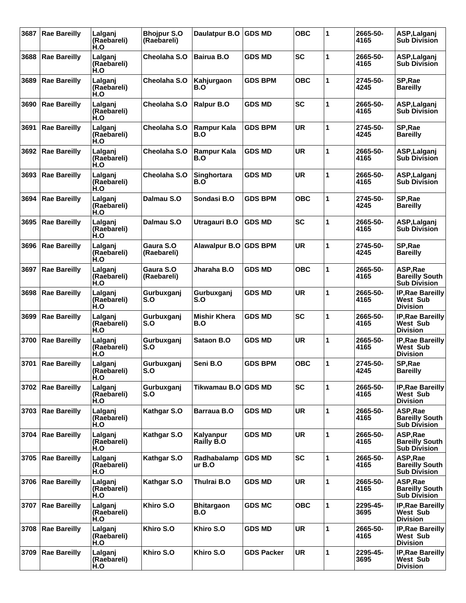| 3687 | <b>Rae Bareilly</b> | Lalganj<br>(Raebareli)<br>H.O | <b>Bhojpur S.O</b><br>(Raebareli) | Daulatpur B.O              | <b>GDS MD</b>     | <b>OBC</b> | 1 | 2665-50-<br>4165 | ASP, Lalganj<br><b>Sub Division</b>                      |
|------|---------------------|-------------------------------|-----------------------------------|----------------------------|-------------------|------------|---|------------------|----------------------------------------------------------|
| 3688 | <b>Rae Bareilly</b> | Lalganj<br>(Raebareli)<br>H.O | Cheolaha S.O                      | Bairua B.O                 | <b>GDS MD</b>     | <b>SC</b>  | 1 | 2665-50-<br>4165 | ASP, Lalganj<br><b>Sub Division</b>                      |
| 3689 | <b>Rae Bareilly</b> | Lalganj<br>(Raebareli)<br>H.O | Cheolaha S.O                      | Kahjurgaon<br>B.O          | <b>GDS BPM</b>    | <b>OBC</b> | 1 | 2745-50-<br>4245 | SP, Rae<br><b>Bareilly</b>                               |
| 3690 | <b>Rae Bareilly</b> | Lalganj<br>(Raebareli)<br>H.O | Cheolaha S.O                      | <b>Ralpur B.O</b>          | <b>GDS MD</b>     | <b>SC</b>  | 1 | 2665-50-<br>4165 | ASP, Lalganj<br><b>Sub Division</b>                      |
| 3691 | <b>Rae Bareilly</b> | Lalganj<br>(Raebareli)<br>H.O | Cheolaha S.O                      | <b>Rampur Kala</b><br>B.O  | <b>GDS BPM</b>    | <b>UR</b>  | 1 | 2745-50-<br>4245 | SP, Rae<br><b>Bareilly</b>                               |
| 3692 | <b>Rae Bareilly</b> | Lalganj<br>(Raebareli)<br>H.O | Cheolaha S.O                      | <b>Rampur Kala</b><br>B.O  | <b>GDS MD</b>     | <b>UR</b>  | 1 | 2665-50-<br>4165 | ASP, Lalganj<br><b>Sub Division</b>                      |
| 3693 | <b>Rae Bareilly</b> | Lalganj<br>(Raebareli)<br>H.O | Cheolaha S.O                      | Singhortara<br>B.O         | GDS MD            | <b>UR</b>  | 1 | 2665-50-<br>4165 | ASP, Lalganj<br><b>Sub Division</b>                      |
| 3694 | <b>Rae Bareilly</b> | Lalganj<br>(Raebareli)<br>H.O | Dalmau S.O                        | Sondasi B.O                | <b>GDS BPM</b>    | <b>OBC</b> | 1 | 2745-50-<br>4245 | SP, Rae<br><b>Bareilly</b>                               |
| 3695 | <b>Rae Bareilly</b> | Lalganj<br>(Raebareli)<br>H.O | Dalmau S.O                        | Utragauri B.O              | <b>GDS MD</b>     | <b>SC</b>  | 1 | 2665-50-<br>4165 | ASP, Lalganj<br><b>Sub Division</b>                      |
| 3696 | <b>Rae Bareilly</b> | Lalganj<br>(Raebareli)<br>H.O | Gaura S.O<br>(Raebareli)          | <b>Alawalpur B.O</b>       | <b>GDS BPM</b>    | <b>UR</b>  | 1 | 2745-50-<br>4245 | SP, Rae<br><b>Bareilly</b>                               |
| 3697 | <b>Rae Bareilly</b> | Lalganj<br>(Raebareli)<br>H.O | Gaura S.O<br>(Raebareli)          | Jharaha B.O                | <b>GDS MD</b>     | <b>OBC</b> | 1 | 2665-50-<br>4165 | ASP, Rae<br><b>Bareilly South</b><br><b>Sub Division</b> |
| 3698 | <b>Rae Bareilly</b> | Lalganj<br>(Raebareli)<br>H.O | Gurbuxganj<br>S.O                 | Gurbuxganj<br>S.O          | <b>GDS MD</b>     | <b>UR</b>  | 1 | 2665-50-<br>4165 | <b>IP, Rae Bareilly</b><br>West Sub<br><b>Division</b>   |
| 3699 | <b>Rae Bareilly</b> | Lalganj<br>(Raebareli)<br>H.O | Gurbuxganj<br>S.O                 | <b>Mishir Khera</b><br>B.O | <b>GDS MD</b>     | <b>SC</b>  | 1 | 2665-50-<br>4165 | <b>IP, Rae Bareilly</b><br>West Sub<br><b>Division</b>   |
| 3700 | <b>Rae Bareilly</b> | Lalganj<br>(Raebareli)<br>H.O | Gurbuxganj<br>S.O                 | Sataon B.O                 | <b>GDS MD</b>     | <b>UR</b>  | 1 | 2665-50-<br>4165 | <b>IP, Rae Bareilly</b><br>West Sub<br><b>Division</b>   |
|      | 3701 Rae Bareilly   | Lalganj<br>(Raebareli)<br>H.O | Gurbuxganj<br>S.O                 | Seni B.O                   | <b>GDS BPM</b>    | <b>OBC</b> | 1 | 2745-50-<br>4245 | SP, Rae<br><b>Bareilly</b>                               |
|      | 3702 Rae Bareilly   | Lalganj<br>(Raebareli)<br>H.O | Gurbuxganj<br>S.O                 | Tikwamau B.O GDS MD        |                   | <b>SC</b>  | 1 | 2665-50-<br>4165 | <b>IP, Rae Bareilly</b><br>West Sub<br><b>Division</b>   |
|      | 3703 Rae Bareilly   | Lalganj<br>(Raebareli)<br>H.O | Kathgar S.O                       | <b>Barraua B.O</b>         | <b>GDS MD</b>     | <b>UR</b>  | 1 | 2665-50-<br>4165 | ASP, Rae<br><b>Bareilly South</b><br><b>Sub Division</b> |
| 3704 | <b>Rae Bareilly</b> | Lalganj<br>(Raebareli)<br>H.O | Kathgar S.O                       | Kalyanpur<br>Railly B.O    | <b>GDS MD</b>     | <b>UR</b>  | 1 | 2665-50-<br>4165 | ASP, Rae<br><b>Bareilly South</b><br><b>Sub Division</b> |
| 3705 | <b>Rae Bareilly</b> | Lalganj<br>(Raebareli)<br>H.O | Kathgar S.O                       | Radhabalamp<br>ur B.O      | <b>GDS MD</b>     | <b>SC</b>  | 1 | 2665-50-<br>4165 | ASP, Rae<br><b>Bareilly South</b><br><b>Sub Division</b> |
| 3706 | <b>Rae Bareilly</b> | Lalganj<br>(Raebareli)<br>H.O | Kathgar S.O                       | Thulrai B.O                | <b>GDS MD</b>     | <b>UR</b>  | 1 | 2665-50-<br>4165 | ASP, Rae<br><b>Bareilly South</b><br><b>Sub Division</b> |
|      | 3707   Rae Bareilly | Lalganj<br>(Raebareli)<br>H.O | Khiro S.O                         | <b>Bhitargaon</b><br>B.O   | <b>GDS MC</b>     | <b>OBC</b> | 1 | 2295-45-<br>3695 | <b>IP, Rae Bareilly</b><br>West Sub<br><b>Division</b>   |
|      | 3708   Rae Bareilly | Lalganj<br>(Raebareli)<br>H.O | Khiro S.O                         | Khiro S.O                  | <b>GDS MD</b>     | <b>UR</b>  | 1 | 2665-50-<br>4165 | <b>IP, Rae Bareilly</b><br>West Sub<br><b>Division</b>   |
| 3709 | <b>Rae Bareilly</b> | Lalganj<br>(Raebareli)<br>H.O | Khiro S.O                         | Khiro S.O                  | <b>GDS Packer</b> | <b>UR</b>  | 1 | 2295-45-<br>3695 | <b>IP, Rae Bareilly</b><br>West Sub<br><b>Division</b>   |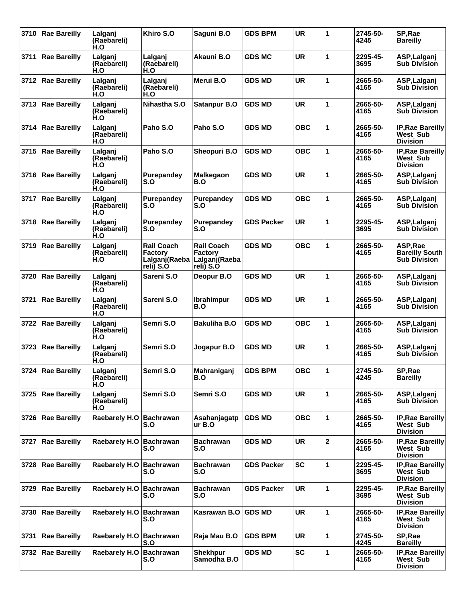| 3710 | <b>Rae Bareilly</b> | Lalganj<br>(Raebareli)<br>H.O | Khiro S.O                                                         | Saguni B.O                                                        | <b>GDS BPM</b>    | <b>UR</b>  | 1 | 2745-50-<br>4245 | SP, Rae<br><b>Bareilly</b>                                    |
|------|---------------------|-------------------------------|-------------------------------------------------------------------|-------------------------------------------------------------------|-------------------|------------|---|------------------|---------------------------------------------------------------|
| 3711 | <b>Rae Bareilly</b> | Lalganj<br>(Raebareli)<br>H.O | Lalganj<br>(Raebareli)<br>H.O                                     | Akauni B.O                                                        | <b>GDS MC</b>     | <b>UR</b>  | 1 | 2295-45-<br>3695 | ASP, Lalganj<br><b>Sub Division</b>                           |
|      | 3712   Rae Bareilly | Lalganj<br>(Raebareli)<br>H.O | Lalganj<br>(Raebareli)<br>H.O                                     | Merui B.O                                                         | <b>GDS MD</b>     | <b>UR</b>  | 1 | 2665-50-<br>4165 | ASP, Lalganj<br><b>Sub Division</b>                           |
| 3713 | <b>Rae Bareilly</b> | Lalganj<br>(Raebareli)<br>H.O | Nihastha S.O                                                      | Satanpur B.O                                                      | <b>GDS MD</b>     | <b>UR</b>  | 1 | 2665-50-<br>4165 | ASP, Lalganj<br><b>Sub Division</b>                           |
|      | 3714   Rae Bareilly | Lalganj<br>(Raebareli)<br>H.O | Paho S.O                                                          | Paho S.O                                                          | <b>GDS MD</b>     | <b>OBC</b> | 1 | 2665-50-<br>4165 | IP, Rae Bareilly<br><b>West Sub</b><br><b>Division</b>        |
| 3715 | <b>Rae Bareilly</b> | Lalganj<br>(Raebareli)<br>H.O | Paho S.O                                                          | Sheopuri B.O                                                      | <b>GDS MD</b>     | <b>OBC</b> | 1 | 2665-50-<br>4165 | <b>IP, Rae Bareilly</b><br>West Sub<br><b>Division</b>        |
| 3716 | <b>Rae Bareilly</b> | Lalganj<br>(Raebareli)<br>H.O | Purepandey<br>S.O                                                 | <b>Malkegaon</b><br>B.O                                           | <b>GDS MD</b>     | UR         | 1 | 2665-50-<br>4165 | ASP, Lalganj<br><b>Sub Division</b>                           |
|      | 3717 Rae Bareilly   | Lalganj<br>(Raebareli)<br>H.O | Purepandey<br>S.O                                                 | <b>Purepandey</b><br>S.O                                          | <b>GDS MD</b>     | <b>OBC</b> | 1 | 2665-50-<br>4165 | ASP, Lalganj<br><b>Sub Division</b>                           |
| 3718 | <b>Rae Bareilly</b> | Lalganj<br>(Raebareli)<br>H.O | Purepandey<br>S.O                                                 | Purepandey<br>S.O                                                 | <b>GDS Packer</b> | <b>UR</b>  | 1 | 2295-45-<br>3695 | ASP, Lalganj<br><b>Sub Division</b>                           |
| 3719 | <b>Rae Bareilly</b> | Lalganj<br>(Raebareli)<br>H.O | <b>Rail Coach</b><br><b>Factory</b><br>Lalganj(Raeba<br>reli) S.O | <b>Rail Coach</b><br><b>Factory</b><br>Lalganj(Raeba<br>reli) S.O | <b>GDS MD</b>     | OBC        | 1 | 2665-50-<br>4165 | ASP, Rae<br><b>Bareilly South</b><br><b>Sub Division</b>      |
| 3720 | <b>Rae Bareilly</b> | Lalganj<br>(Raebareli)<br>H.O | Sareni S.O                                                        | Deopur B.O                                                        | <b>GDS MD</b>     | <b>UR</b>  | 1 | 2665-50-<br>4165 | ASP, Lalganj<br><b>Sub Division</b>                           |
| 3721 | <b>Rae Bareilly</b> | Lalganj<br>(Raebareli)<br>H.O | Sareni S.O                                                        | Ibrahimpur<br>B.O                                                 | <b>GDS MD</b>     | <b>UR</b>  | 1 | 2665-50-<br>4165 | ASP, Lalganj<br><b>Sub Division</b>                           |
| 3722 | <b>Rae Bareilly</b> | Lalganj<br>(Raebareli)<br>H.O | Semri S.O                                                         | <b>Bakuliha B.O</b>                                               | <b>GDS MD</b>     | <b>OBC</b> | 1 | 2665-50-<br>4165 | ASP, Lalganj<br><b>Sub Division</b>                           |
| 3723 | <b>Rae Bareilly</b> | Lalganj<br>(Raebareli)<br>H.O | Semri S.O                                                         | Jogapur B.O                                                       | <b>GDS MD</b>     | <b>UR</b>  | 1 | 2665-50-<br>4165 | ASP, Lalganj<br><b>Sub Division</b>                           |
|      | 3724 Rae Bareilly   | Lalganj<br>(Raebareli)<br>H.O | Semri S.O                                                         | Mahraniganj<br>B.O                                                | <b>GDS BPM</b>    | <b>OBC</b> | 1 | 2745-50-<br>4245 | SP, Rae<br><b>Bareilly</b>                                    |
| 3725 | <b>Rae Bareilly</b> | Lalganj<br>(Raebareli)<br>H.O | Semri S.O                                                         | Semri S.O                                                         | <b>GDS MD</b>     | <b>UR</b>  | 1 | 2665-50-<br>4165 | ASP, Lalganj<br><b>Sub Division</b>                           |
| 3726 | <b>Rae Bareilly</b> | Raebarely H.O                 | <b>Bachrawan</b><br>S.O                                           | Asahanjagatp<br>ur B.O                                            | <b>GDS MD</b>     | <b>OBC</b> | 1 | 2665-50-<br>4165 | <b>IP, Rae Bareilly</b><br>West Sub<br><b>Division</b>        |
|      | 3727   Rae Bareilly | Raebarely H.O                 | <b>Bachrawan</b><br>S.O                                           | <b>Bachrawan</b><br>S.O                                           | <b>GDS MD</b>     | <b>UR</b>  | 2 | 2665-50-<br>4165 | <b>IP, Rae Bareilly</b><br><b>West Sub</b><br><b>Division</b> |
| 3728 | <b>Rae Bareilly</b> | Raebarely H.O   Bachrawan     | S.O                                                               | <b>Bachrawan</b><br>S.O                                           | <b>GDS Packer</b> | <b>SC</b>  | 1 | 2295-45-<br>3695 | <b>IP, Rae Bareilly</b><br>West Sub<br><b>Division</b>        |
| 3729 | <b>Rae Bareilly</b> | Raebarely H.O                 | <b>Bachrawan</b><br>S.O                                           | <b>Bachrawan</b><br>S.O                                           | <b>GDS Packer</b> | <b>UR</b>  | 1 | 2295-45-<br>3695 | <b>IP, Rae Bareilly</b><br>West Sub<br><b>Division</b>        |
| 3730 | <b>Rae Bareilly</b> | Raebarely H.O                 | <b>Bachrawan</b><br>S.O                                           | Kasrawan B.O                                                      | <b>GDS MD</b>     | UR         | 1 | 2665-50-<br>4165 | <b>IP, Rae Bareilly</b><br>West Sub<br><b>Division</b>        |
| 3731 | <b>Rae Bareilly</b> | <b>Raebarely H.O</b>          | <b>Bachrawan</b><br>S.O                                           | Raja Mau B.O                                                      | <b>GDS BPM</b>    | <b>UR</b>  | 1 | 2745-50-<br>4245 | SP, Rae<br><b>Bareilly</b>                                    |
| 3732 | <b>Rae Bareilly</b> | Raebarely H.O                 | <b>Bachrawan</b><br>S.O                                           | <b>Shekhpur</b><br>Samodha B.O                                    | <b>GDS MD</b>     | <b>SC</b>  | 1 | 2665-50-<br>4165 | <b>IP, Rae Bareilly</b><br>West Sub<br><b>Division</b>        |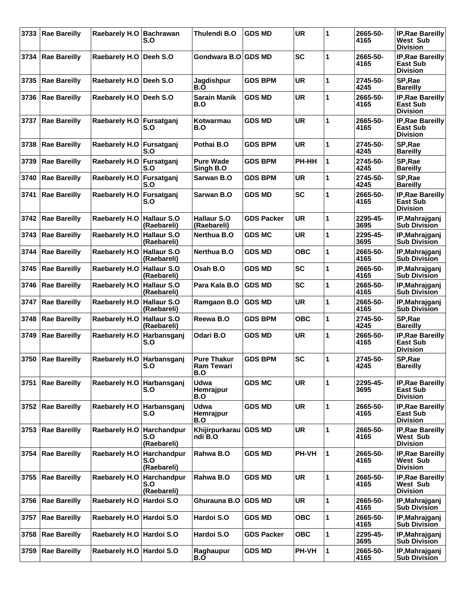| 3733 | <b>Rae Bareilly</b> | Raebarely H.O Bachrawan   | S.O                               | Thulendi B.O                                   | <b>GDS MD</b>     | <b>UR</b>  | 1 | 2665-50-<br>4165 | <b>IP, Rae Bareilly</b><br>West Sub<br><b>Division</b> |
|------|---------------------|---------------------------|-----------------------------------|------------------------------------------------|-------------------|------------|---|------------------|--------------------------------------------------------|
| 3734 | <b>Rae Bareilly</b> | Raebarely H.O             | Deeh S.O                          | Gondwara B.O GDS MD                            |                   | <b>SC</b>  | 1 | 2665-50-<br>4165 | <b>IP, Rae Bareilly</b><br>East Sub<br><b>Division</b> |
| 3735 | <b>Rae Bareilly</b> | Raebarely H.O Deeh S.O    |                                   | Jagdishpur<br>B.O                              | <b>GDS BPM</b>    | <b>UR</b>  | 1 | 2745-50-<br>4245 | SP, Rae<br><b>Bareilly</b>                             |
| 3736 | <b>Rae Bareilly</b> | Raebarely H.O   Deeh S.O  |                                   | <b>Sarain Manik</b><br>B.O                     | <b>GDS MD</b>     | <b>UR</b>  | 1 | 2665-50-<br>4165 | IP, Rae Bareilly<br>East Sub<br><b>Division</b>        |
| 3737 | <b>Rae Bareilly</b> | Raebarely H.O Fursatganj  | S.O                               | Kotwarmau<br>B.O                               | <b>GDS MD</b>     | <b>UR</b>  | 1 | 2665-50-<br>4165 | <b>IP, Rae Bareilly</b><br>East Sub<br><b>Division</b> |
| 3738 | <b>Rae Bareilly</b> | Raebarely H.O Fursatganj  | S.O                               | Pothai B.O                                     | <b>GDS BPM</b>    | <b>UR</b>  | 1 | 2745-50-<br>4245 | SP, Rae<br><b>Bareilly</b>                             |
| 3739 | <b>Rae Bareilly</b> | Raebarely H.O Fursatganj  | S.O                               | <b>Pure Wade</b><br>Singh B.O                  | <b>GDS BPM</b>    | PH-HH      | 1 | 2745-50-<br>4245 | SP, Rae<br><b>Bareilly</b>                             |
| 3740 | <b>Rae Bareilly</b> | Raebarely H.O Fursatganj  | S.O                               | Sarwan B.O                                     | <b>GDS BPM</b>    | <b>UR</b>  | 1 | 2745-50-<br>4245 | SP, Rae<br><b>Bareilly</b>                             |
| 3741 | <b>Rae Bareilly</b> | Raebarely H.O             | Fursatganj<br>S.O                 | Sarwan B.O                                     | <b>GDS MD</b>     | <b>SC</b>  | 1 | 2665-50-<br>4165 | IP, Rae Bareilly<br>East Sub<br><b>Division</b>        |
| 3742 | <b>Rae Bareilly</b> | Raebarely H.O Hallaur S.O | (Raebareli)                       | <b>Hallaur S.O</b><br>(Raebareli)              | <b>GDS Packer</b> | <b>UR</b>  | 1 | 2295-45-<br>3695 | IP, Mahrajganj<br><b>Sub Division</b>                  |
| 3743 | <b>Rae Bareilly</b> | Raebarely H.O             | <b>Hallaur S.O</b><br>(Raebareli) | <b>Nerthua B.O</b>                             | <b>GDS MC</b>     | <b>UR</b>  | 1 | 2295-45-<br>3695 | IP, Mahrajganj<br><b>Sub Division</b>                  |
| 3744 | <b>Rae Bareilly</b> | Raebarely H.O             | Hallaur S.O<br>(Raebareli)        | Nerthua B.O                                    | <b>GDS MD</b>     | <b>OBC</b> | 1 | 2665-50-<br>4165 | IP, Mahrajganj<br><b>Sub Division</b>                  |
| 3745 | <b>Rae Bareilly</b> | Raebarely H.O Hallaur S.O | (Raebareli)                       | Osah B.O                                       | <b>GDS MD</b>     | <b>SC</b>  | 1 | 2665-50-<br>4165 | IP, Mahrajganj<br><b>Sub Division</b>                  |
| 3746 | <b>Rae Bareilly</b> | Raebarely H.O             | <b>Hallaur S.O</b><br>(Raebareli) | Para Kala B.O                                  | <b>GDS MD</b>     | <b>SC</b>  | 1 | 2665-50-<br>4165 | IP, Mahrajganj<br><b>Sub Division</b>                  |
| 3747 | <b>Rae Bareilly</b> | Raebarely H.O             | Hallaur S.O<br>(Raebareli)        | Ramgaon B.O                                    | <b>GDS MD</b>     | <b>UR</b>  | 1 | 2665-50-<br>4165 | IP, Mahrajganj<br><b>Sub Division</b>                  |
| 3748 | <b>Rae Bareilly</b> | Raebarely H.O Hallaur S.O | (Raebareli)                       | Reewa B.O                                      | <b>GDS BPM</b>    | <b>OBC</b> | 1 | 2745-50-<br>4245 | SP, Rae<br><b>Bareilly</b>                             |
| 3749 | <b>Rae Bareilly</b> | Raebarely H.O             | Harbansganj<br>S.O                | Odari B.O                                      | <b>GDS MD</b>     | <b>UR</b>  | 1 | 2665-50-<br>4165 | <b>IP, Rae Bareilly</b><br>East Sub<br><b>Division</b> |
| 3750 | <b>Rae Bareilly</b> | Raebarely H.O Harbansganj | S.O                               | <b>Pure Thakur</b><br><b>Ram Tewari</b><br>B.O | <b>GDS BPM</b>    | <b>SC</b>  | 1 | 2745-50-<br>4245 | SP, Rae<br><b>Bareilly</b>                             |
| 3751 | <b>Rae Bareilly</b> | Raebarely H.O Harbansganj | S.O                               | Udwa<br>Hemrajpur<br>B.O                       | <b>GDS MC</b>     | <b>UR</b>  | 1 | 2295-45-<br>3695 | <b>IP, Rae Bareilly</b><br>East Sub<br><b>Division</b> |
| 3752 | <b>Rae Bareilly</b> | Raebarely H.O Harbansganj | S.O                               | <b>Udwa</b><br>Hemrajpur<br>B.O                | <b>GDS MD</b>     | <b>UR</b>  | 1 | 2665-50-<br>4165 | <b>IP, Rae Bareilly</b><br>East Sub<br><b>Division</b> |
| 3753 | <b>Rae Bareilly</b> | Raebarely H.O             | Harchandpur<br>S.O<br>(Raebareli) | Khijirpurkarau<br>ndi B.O                      | <b>GDS MD</b>     | <b>UR</b>  | 1 | 2665-50-<br>4165 | IP, Rae Bareilly<br>West Sub<br><b>Division</b>        |
| 3754 | <b>Rae Bareilly</b> | Raebarely H.O             | Harchandpur<br>S.O<br>(Raebareli) | Rahwa B.O                                      | <b>GDS MD</b>     | PH-VH      | 1 | 2665-50-<br>4165 | <b>IP, Rae Bareilly</b><br>West Sub<br><b>Division</b> |
| 3755 | <b>Rae Bareilly</b> | Raebarely H.O             | Harchandpur<br>S.O<br>(Raebareli) | Rahwa B.O                                      | <b>GDS MD</b>     | UR         | 1 | 2665-50-<br>4165 | <b>IP, Rae Bareilly</b><br>West Sub<br><b>Division</b> |
| 3756 | <b>Rae Bareilly</b> | Raebarely H.O             | Hardoi S.O                        | Ghurauna B.O                                   | <b>GDS MD</b>     | <b>UR</b>  | 1 | 2665-50-<br>4165 | IP, Mahrajganj<br><b>Sub Division</b>                  |
| 3757 | <b>Rae Bareilly</b> | Raebarely H.O Hardoi S.O  |                                   | Hardoi S.O                                     | <b>GDS MD</b>     | <b>OBC</b> | 1 | 2665-50-<br>4165 | IP, Mahrajganj<br><b>Sub Division</b>                  |
| 3758 | <b>Rae Bareilly</b> | Raebarely H.O Hardoi S.O  |                                   | Hardoi S.O                                     | <b>GDS Packer</b> | <b>OBC</b> | 1 | 2295-45-<br>3695 | IP, Mahrajganj<br><b>Sub Division</b>                  |
| 3759 | <b>Rae Bareilly</b> | Raebarely H.O Hardoi S.O  |                                   | Raghaupur<br>B.O                               | <b>GDS MD</b>     | PH-VH      | 1 | 2665-50-<br>4165 | IP, Mahrajganj<br><b>Sub Division</b>                  |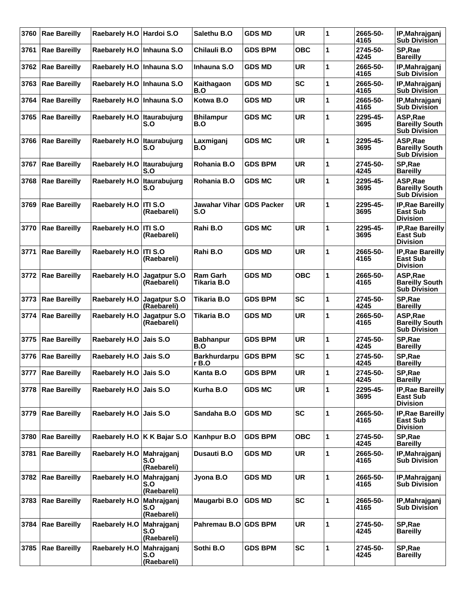| 3760 | <b>Rae Bareilly</b> | Raebarely H.O Hardoi S.O     |                                  | Salethu B.O                    | <b>GDS MD</b>     | <b>UR</b>  | 1 | 2665-50-<br>4165 | IP, Mahrajganj<br><b>Sub Division</b>                         |
|------|---------------------|------------------------------|----------------------------------|--------------------------------|-------------------|------------|---|------------------|---------------------------------------------------------------|
| 3761 | <b>Rae Bareilly</b> | Raebarely H.O   Inhauna S.O  |                                  | Chilauli B.O                   | <b>GDS BPM</b>    | <b>OBC</b> | 1 | 2745-50-<br>4245 | SP, Rae<br><b>Bareilly</b>                                    |
| 3762 | <b>Rae Bareilly</b> | Raebarely H.O   Inhauna S.O  |                                  | Inhauna S.O                    | <b>GDS MD</b>     | <b>UR</b>  | 1 | 2665-50-<br>4165 | IP, Mahrajganj<br><b>Sub Division</b>                         |
| 3763 | <b>Rae Bareilly</b> | Raebarely H.O   Inhauna S.O  |                                  | Kaithagaon<br>B.O              | <b>GDS MD</b>     | <b>SC</b>  | 1 | 2665-50-<br>4165 | IP, Mahrajganj<br><b>Sub Division</b>                         |
| 3764 | <b>Rae Bareilly</b> | Raebarely H.O   Inhauna S.O  |                                  | Kotwa B.O                      | <b>GDS MD</b>     | <b>UR</b>  | 1 | 2665-50-<br>4165 | IP, Mahrajganj<br><b>Sub Division</b>                         |
| 3765 | <b>Rae Bareilly</b> | Raebarely H.O Itaurabujurg   | S.O                              | <b>Bhilampur</b><br>B.O        | <b>GDS MC</b>     | <b>UR</b>  | 1 | 2295-45-<br>3695 | ASP, Rae<br><b>Bareilly South</b><br><b>Sub Division</b>      |
| 3766 | <b>Rae Bareilly</b> | Raebarely H.O   Itaurabujurg | S.O                              | Laxmiganj<br>B.O               | <b>GDS MC</b>     | <b>UR</b>  | 1 | 2295-45-<br>3695 | ASP, Rae<br><b>Bareilly South</b><br><b>Sub Division</b>      |
| 3767 | <b>Rae Bareilly</b> | Raebarely H.O Itaurabujurg   | S.O                              | Rohania B.O                    | <b>GDS BPM</b>    | <b>UR</b>  | 1 | 2745-50-<br>4245 | SP, Rae<br><b>Bareilly</b>                                    |
| 3768 | <b>Rae Bareilly</b> | Raebarely H.O                | Itaurabujurg<br>S.O              | Rohania B.O                    | <b>GDS MC</b>     | <b>UR</b>  | 1 | 2295-45-<br>3695 | ASP, Rae<br><b>Bareilly South</b><br><b>Sub Division</b>      |
| 3769 | <b>Rae Bareilly</b> | Raebarely H.O   ITI S.O      | (Raebareli)                      | Jawahar Vihar<br>S.O           | <b>GDS Packer</b> | <b>UR</b>  | 1 | 2295-45-<br>3695 | <b>IP, Rae Bareilly</b><br><b>East Sub</b><br><b>Division</b> |
| 3770 | <b>Rae Bareilly</b> | Raebarely H.O   ITI S.O      | (Raebareli)                      | Rahi B.O                       | <b>GDS MC</b>     | <b>UR</b>  | 1 | 2295-45-<br>3695 | <b>IP, Rae Bareilly</b><br><b>East Sub</b><br><b>Division</b> |
| 3771 | <b>Rae Bareilly</b> | Raebarely H.O   ITI S.O      | (Raebareli)                      | Rahi B.O                       | <b>GDS MD</b>     | <b>UR</b>  | 1 | 2665-50-<br>4165 | IP, Rae Bareilly<br><b>East Sub</b><br><b>Division</b>        |
| 3772 | <b>Rae Bareilly</b> | Raebarely H.O                | Jagatpur S.O<br>(Raebareli)      | <b>Ram Garh</b><br>Tikaria B.O | <b>GDS MD</b>     | OBC        | 1 | 2665-50-<br>4165 | ASP, Rae<br><b>Bareilly South</b><br><b>Sub Division</b>      |
| 3773 | <b>Rae Bareilly</b> | <b>Raebarely H.O</b>         | Jagatpur S.O<br>(Raebareli)      | <b>Tikaria B.O</b>             | <b>GDS BPM</b>    | <b>SC</b>  | 1 | 2745-50-<br>4245 | SP, Rae<br><b>Bareilly</b>                                    |
| 3774 | <b>Rae Bareilly</b> | <b>Raebarely H.O</b>         | Jagatpur S.O<br>(Raebareli)      | <b>Tikaria B.O</b>             | <b>GDS MD</b>     | <b>UR</b>  | 1 | 2665-50-<br>4165 | ASP, Rae<br><b>Bareilly South</b><br><b>Sub Division</b>      |
| 3775 | <b>Rae Bareilly</b> | Raebarely H.O                | Jais S.O                         | <b>Babhanpur</b><br>B.O        | <b>GDS BPM</b>    | <b>UR</b>  | 1 | 2745-50-<br>4245 | SP, Rae<br><b>Bareilly</b>                                    |
| 3776 | <b>Rae Bareilly</b> | Raebarely H.O Jais S.O       |                                  | <b>Barkhurdarpu</b><br>r B.O   | <b>GDS BPM</b>    | <b>SC</b>  | 1 | 2745-50-<br>4245 | SP, Rae<br><b>Bareilly</b>                                    |
|      | 3777 Rae Bareilly   | Raebarely H.O Jais S.O       |                                  | Kanta B.O                      | <b>GDS BPM</b>    | <b>UR</b>  | 1 | 2745-50-<br>4245 | SP, Rae<br><b>Bareilly</b>                                    |
| 3778 | <b>Rae Bareilly</b> | Raebarely H.O Jais S.O       |                                  | Kurha B.O                      | <b>GDS MC</b>     | UR         | 1 | 2295-45-<br>3695 | IP, Rae Bareilly<br>East Sub<br><b>Division</b>               |
| 3779 | <b>Rae Bareilly</b> | Raebarely H.O Jais S.O       |                                  | Sandaha B.O                    | <b>GDS MD</b>     | <b>SC</b>  | 1 | 2665-50-<br>4165 | IP, Rae Bareilly<br>East Sub<br><b>Division</b>               |
| 3780 | <b>Rae Bareilly</b> | Raebarely H.O K K Bajar S.O  |                                  | Kanhpur B.O                    | <b>GDS BPM</b>    | <b>OBC</b> | 1 | 2745-50-<br>4245 | SP, Rae<br><b>Bareilly</b>                                    |
| 3781 | <b>Rae Bareilly</b> | Raebarely H.O                | Mahrajganj<br>S.O<br>(Raebareli) | Dusauti B.O                    | <b>GDS MD</b>     | UR         | 1 | 2665-50-<br>4165 | IP, Mahrajganj<br><b>Sub Division</b>                         |
| 3782 | <b>Rae Bareilly</b> | <b>Raebarely H.O</b>         | Mahrajganj<br>S.O<br>(Raebareli) | Jyona B.O                      | <b>GDS MD</b>     | <b>UR</b>  | 1 | 2665-50-<br>4165 | IP, Mahrajganj<br><b>Sub Division</b>                         |
| 3783 | <b>Rae Bareilly</b> | Raebarely H.O                | Mahrajganj<br>S.O<br>(Raebareli) | Maugarbi B.O                   | <b>GDS MD</b>     | <b>SC</b>  | 1 | 2665-50-<br>4165 | IP, Mahrajganj<br><b>Sub Division</b>                         |
| 3784 | <b>Rae Bareilly</b> | <b>Raebarely H.O</b>         | Mahrajganj<br>S.O<br>(Raebareli) | Pahremau B.O GDS BPM           |                   | <b>UR</b>  | 1 | 2745-50-<br>4245 | SP, Rae<br><b>Bareilly</b>                                    |
| 3785 | <b>Rae Bareilly</b> | Raebarely H.O                | Mahrajganj<br>S.O<br>(Raebareli) | Sothi B.O                      | <b>GDS BPM</b>    | <b>SC</b>  | 1 | 2745-50-<br>4245 | SP, Rae<br><b>Bareilly</b>                                    |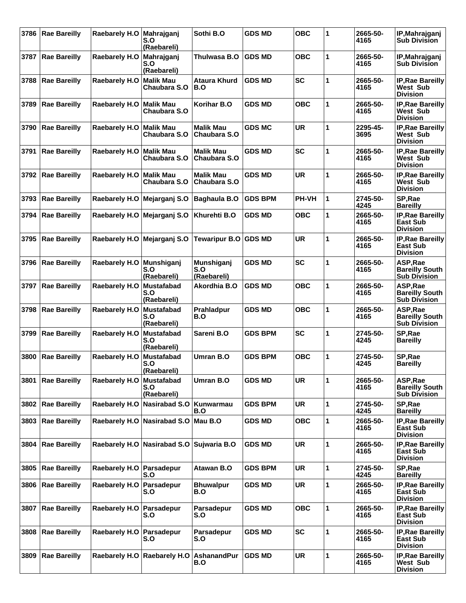| 3786 | <b>Rae Bareilly</b> | Raebarely H.O               | Mahrajganj<br>S.O<br>(Raebareli)        | Sothi B.O                        | <b>GDS MD</b>  | <b>OBC</b>   | 1 | 2665-50-<br>4165 | IP, Mahrajganj<br><b>Sub Division</b>                         |
|------|---------------------|-----------------------------|-----------------------------------------|----------------------------------|----------------|--------------|---|------------------|---------------------------------------------------------------|
| 3787 | <b>Rae Bareilly</b> | Raebarely H.O               | Mahrajganj<br>S.O<br>(Raebareli)        | Thulwasa B.O                     | <b>GDS MD</b>  | <b>OBC</b>   | 1 | 2665-50-<br>4165 | IP, Mahrajganj<br><b>Sub Division</b>                         |
| 3788 | <b>Rae Bareilly</b> | Raebarely H.O               | Malik Mau<br>Chaubara S.O               | <b>Ataura Khurd</b><br>B.O       | <b>GDS MD</b>  | <b>SC</b>    | 1 | 2665-50-<br>4165 | IP, Rae Bareilly<br>West Sub<br><b>Division</b>               |
| 3789 | <b>Rae Bareilly</b> | Raebarely H.O Malik Mau     | Chaubara S.O                            | <b>Korihar B.O</b>               | <b>GDS MD</b>  | OBC          | 1 | 2665-50-<br>4165 | <b>IP, Rae Bareilly</b><br>West Sub<br><b>Division</b>        |
| 3790 | <b>Rae Bareilly</b> | Raebarely H.O               | <b>Malik Mau</b><br>Chaubara S.O        | <b>Malik Mau</b><br>Chaubara S.O | <b>GDS MC</b>  | <b>UR</b>    | 1 | 2295-45-<br>3695 | IP, Rae Bareilly<br>West Sub<br><b>Division</b>               |
| 3791 | <b>Rae Bareilly</b> | Raebarely H.O               | ∣Malik Mau<br>Chaubara S.O              | <b>Malik Mau</b><br>Chaubara S.O | <b>GDS MD</b>  | <b>SC</b>    | 1 | 2665-50-<br>4165 | <b>IP, Rae Bareilly</b><br>West Sub<br><b>Division</b>        |
| 3792 | <b>Rae Bareilly</b> | Raebarely H.O               | <b>Malik Mau</b><br>Chaubara S.O        | <b>Malik Mau</b><br>Chaubara S.O | <b>GDS MD</b>  | <b>UR</b>    | 1 | 2665-50-<br>4165 | <b>IP, Rae Bareilly</b><br>West Sub<br><b>Division</b>        |
| 3793 | <b>Rae Bareilly</b> | Raebarely H.O Mejarganj S.O |                                         | <b>Baghaula B.O</b>              | <b>GDS BPM</b> | <b>PH-VH</b> | 1 | 2745-50-<br>4245 | SP, Rae<br><b>Bareilly</b>                                    |
| 3794 | <b>Rae Bareilly</b> | Raebarely H.O Mejarganj S.O |                                         | Khurehti B.O                     | <b>GDS MD</b>  | овс          | 1 | 2665-50-<br>4165 | <b>IP, Rae Bareilly</b><br>East Sub<br><b>Division</b>        |
| 3795 | <b>Rae Bareilly</b> | Raebarely H.O Mejarganj S.O |                                         | Tewaripur B.O                    | <b>GDS MD</b>  | <b>UR</b>    | 1 | 2665-50-<br>4165 | <b>IP, Rae Bareilly</b><br>East Sub<br><b>Division</b>        |
| 3796 | <b>Rae Bareilly</b> | Raebarely H.O               | Munshiganj<br>S.O<br>(Raebareli)        | Munshiganj<br>S.O<br>(Raebareli) | <b>GDS MD</b>  | <b>SC</b>    | 1 | 2665-50-<br>4165 | ASP, Rae<br><b>Bareilly South</b><br><b>Sub Division</b>      |
| 3797 | <b>Rae Bareilly</b> | Raebarely H.O Mustafabad    | S.O<br>(Raebareli)                      | Akordhia B.O                     | <b>GDS MD</b>  | <b>OBC</b>   | 1 | 2665-50-<br>4165 | ASP, Rae<br><b>Bareilly South</b><br><b>Sub Division</b>      |
| 3798 | <b>Rae Bareilly</b> | Raebarely H.O               | <b>Mustafabad</b><br>S.O<br>(Raebareli) | Prahladpur<br>B.O                | <b>GDS MD</b>  | <b>OBC</b>   | 1 | 2665-50-<br>4165 | ASP, Rae<br><b>Bareilly South</b><br><b>Sub Division</b>      |
| 3799 | <b>Rae Bareilly</b> | Raebarely H.O               | Mustafabad<br>S.O<br>(Raebareli)        | Sareni B.O                       | <b>GDS BPM</b> | <b>SC</b>    | 1 | 2745-50-<br>4245 | SP, Rae<br><b>Bareilly</b>                                    |
| 3800 | <b>Rae Bareilly</b> | Raebarely H.O               | <b>Mustafabad</b><br>S.O<br>(Raebareli) | <b>Umran B.O</b>                 | <b>GDS BPM</b> | <b>OBC</b>   | 1 | 2745-50-<br>4245 | SP, Rae<br><b>Bareilly</b>                                    |
| 3801 | <b>Rae Bareilly</b> | <b>Raebarely H.O</b>        | <b>Mustafabad</b><br>S.O<br>(Raebareli) | Umran B.O                        | <b>GDS MD</b>  | UR           | 1 | 2665-50-<br>4165 | ASP, Rae<br><b>Bareilly South</b><br><b>Sub Division</b>      |
| 3802 | <b>Rae Bareilly</b> | Raebarely H.O               | <b>Nasirabad S.O</b>                    | Kunwarmau<br>B.O                 | <b>GDS BPM</b> | <b>UR</b>    | 1 | 2745-50-<br>4245 | SP, Rae<br><b>Bareilly</b>                                    |
| 3803 | <b>Rae Bareilly</b> |                             | Raebarely H.O Nasirabad S.O             | Mau B.O                          | <b>GDS MD</b>  | ОВС          | 1 | 2665-50-<br>4165 | IP, Rae Bareilly<br><b>East Sub</b><br><b>Division</b>        |
| 3804 | <b>Rae Bareilly</b> |                             | Raebarely H.O Nasirabad S.O             | Sujwaria B.O                     | <b>GDS MD</b>  | UR           | 1 | 2665-50-<br>4165 | <b>IP, Rae Bareilly</b><br><b>East Sub</b><br><b>Division</b> |
| 3805 | <b>Rae Bareilly</b> | Raebarely H.O   Parsadepur  | S.O                                     | Atawan B.O                       | <b>GDS BPM</b> | <b>UR</b>    | 1 | 2745-50-<br>4245 | SP, Rae<br><b>Bareilly</b>                                    |
| 3806 | <b>Rae Bareilly</b> | Raebarely H.O               | Parsadepur<br>S.O                       | <b>Bhuwalpur</b><br>B.O          | <b>GDS MD</b>  | UR           | 1 | 2665-50-<br>4165 | IP, Rae Bareilly<br><b>East Sub</b><br><b>Division</b>        |
| 3807 | <b>Rae Bareilly</b> | Raebarely H.O               | Parsadepur<br>S.O                       | Parsadepur<br>S.O                | <b>GDS MD</b>  | <b>OBC</b>   | 1 | 2665-50-<br>4165 | IP, Rae Bareilly<br>East Sub<br><b>Division</b>               |
| 3808 | <b>Rae Bareilly</b> | Raebarely H.O               | Parsadepur<br>S.O                       | Parsadepur<br>S.O                | <b>GDS MD</b>  | <b>SC</b>    | 1 | 2665-50-<br>4165 | IP, Rae Bareilly<br><b>East Sub</b><br><b>Division</b>        |
| 3809 | <b>Rae Bareilly</b> |                             | Raebarely H.O Raebarely H.O             | AshanandPur<br>B.O               | <b>GDS MD</b>  | <b>UR</b>    | 1 | 2665-50-<br>4165 | <b>IP, Rae Bareilly</b><br><b>West Sub</b><br><b>Division</b> |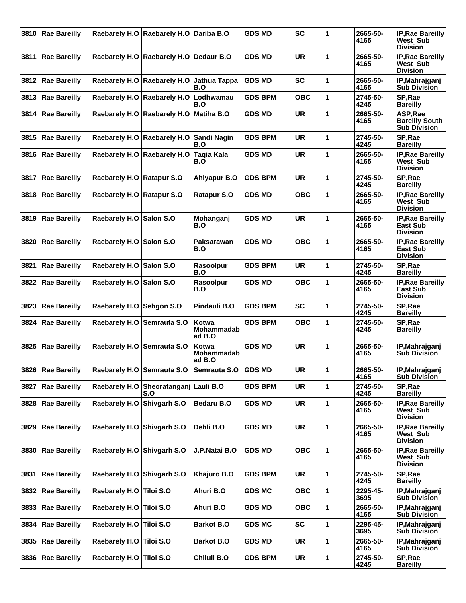| 3810 | <b>Rae Bareilly</b> |                            | Raebarely H.O Raebarely H.O        | Dariba B.O                           | <b>GDS MD</b>  | <b>SC</b>  | 1 | 2665-50-<br>4165 | <b>IP, Rae Bareilly</b><br>West Sub<br><b>Division</b>        |
|------|---------------------|----------------------------|------------------------------------|--------------------------------------|----------------|------------|---|------------------|---------------------------------------------------------------|
| 3811 | <b>Rae Bareilly</b> |                            | Raebarely H.O Raebarely H.O        | Dedaur B.O                           | <b>GDS MD</b>  | <b>UR</b>  | 1 | 2665-50-<br>4165 | <b>IP, Rae Bareilly</b><br>West Sub<br><b>Division</b>        |
| 3812 | <b>Rae Bareilly</b> |                            | Raebarely H.O Raebarely H.O        | Jathua Tappa<br>B.O                  | <b>GDS MD</b>  | <b>SC</b>  | 1 | 2665-50-<br>4165 | IP, Mahrajganj<br><b>Sub Division</b>                         |
| 3813 | <b>Rae Bareilly</b> |                            | Raebarely H.O Raebarely H.O        | Lodhwamau<br>B.O                     | <b>GDS BPM</b> | <b>OBC</b> | 1 | 2745-50-<br>4245 | SP, Rae<br><b>Bareilly</b>                                    |
| 3814 | <b>Rae Bareilly</b> |                            | Raebarely H.O Raebarely H.O        | <b>Matiha B.O</b>                    | <b>GDS MD</b>  | <b>UR</b>  | 1 | 2665-50-<br>4165 | ASP, Rae<br><b>Bareilly South</b><br><b>Sub Division</b>      |
| 3815 | <b>Rae Bareilly</b> |                            | Raebarely H.O Raebarely H.O        | Sandi Nagin<br>B.O                   | <b>GDS BPM</b> | <b>UR</b>  | 1 | 2745-50-<br>4245 | SP, Rae<br><b>Bareilly</b>                                    |
| 3816 | <b>Rae Bareilly</b> |                            | Raebarely H.O Raebarely H.O        | Tagia Kala<br>B.O                    | <b>GDS MD</b>  | <b>UR</b>  | 1 | 2665-50-<br>4165 | IP, Rae Bareilly<br>West Sub<br><b>Division</b>               |
| 3817 | <b>Rae Bareilly</b> | Raebarely H.O Ratapur S.O  |                                    | Ahiyapur B.O                         | <b>GDS BPM</b> | <b>UR</b>  | 1 | 2745-50-<br>4245 | SP, Rae<br><b>Bareilly</b>                                    |
| 3818 | <b>Rae Bareilly</b> | Raebarely H.O Ratapur S.O  |                                    | Ratapur S.O                          | <b>GDS MD</b>  | <b>OBC</b> | 1 | 2665-50-<br>4165 | IP, Rae Bareilly<br>West Sub<br><b>Division</b>               |
| 3819 | <b>Rae Bareilly</b> | Raebarely H.O Salon S.O    |                                    | Mohanganj<br>B.O                     | <b>GDS MD</b>  | <b>UR</b>  | 1 | 2665-50-<br>4165 | <b>IP, Rae Bareilly</b><br>East Sub<br><b>Division</b>        |
| 3820 | <b>Rae Bareilly</b> | Raebarely H.O Salon S.O    |                                    | Paksarawan<br>B.O                    | <b>GDS MD</b>  | <b>OBC</b> | 1 | 2665-50-<br>4165 | <b>IP, Rae Bareilly</b><br><b>East Sub</b><br><b>Division</b> |
| 3821 | <b>Rae Bareilly</b> | Raebarely H.O Salon S.O    |                                    | Rasoolpur<br>B.O                     | <b>GDS BPM</b> | <b>UR</b>  | 1 | 2745-50-<br>4245 | SP, Rae<br><b>Bareilly</b>                                    |
| 3822 | <b>Rae Bareilly</b> | Raebarely H.O Salon S.O    |                                    | Rasoolpur<br>B.O                     | <b>GDS MD</b>  | <b>OBC</b> | 1 | 2665-50-<br>4165 | <b>IP, Rae Bareilly</b><br>East Sub<br><b>Division</b>        |
| 3823 | <b>Rae Bareilly</b> | Raebarely H.O Sehgon S.O   |                                    | <b>Pindauli B.O</b>                  | <b>GDS BPM</b> | <b>SC</b>  | 1 | 2745-50-<br>4245 | SP, Rae<br><b>Bareilly</b>                                    |
| 3824 | <b>Rae Bareilly</b> | Raebarely H.O Semrauta S.O |                                    | Kotwa<br><b>Mohammadab</b><br>ad B.O | <b>GDS BPM</b> | <b>OBC</b> | 1 | 2745-50-<br>4245 | SP, Rae<br><b>Bareilly</b>                                    |
| 3825 | <b>Rae Bareilly</b> | Raebarely H.O Semrauta S.O |                                    | Kotwa<br>Mohammadab<br>ad B.O        | <b>GDS MD</b>  | <b>UR</b>  | 1 | 2665-50-<br>4165 | IP, Mahrajganj<br><b>Sub Division</b>                         |
|      | 3826 Rae Bareilly   | Raebarely H.O Semrauta S.O |                                    | Semrauta S.O                         | <b>GDS MD</b>  | <b>UR</b>  | 1 | 2665-50-<br>4165 | IP, Mahrajganj<br><b>Sub Division</b>                         |
| 3827 | <b>Rae Bareilly</b> |                            | Raebarely H.O Sheoratanganj<br>S.O | Lauli B.O                            | <b>GDS BPM</b> | UR         | 1 | 2745-50-<br>4245 | SP, Rae<br><b>Bareilly</b>                                    |
| 3828 | <b>Rae Bareilly</b> | Raebarely H.O Shivgarh S.O |                                    | <b>Bedaru B.O</b>                    | <b>GDS MD</b>  | UR         | 1 | 2665-50-<br>4165 | <b>IP, Rae Bareilly</b><br>West Sub<br><b>Division</b>        |
| 3829 | <b>Rae Bareilly</b> | Raebarely H.O Shivgarh S.O |                                    | Dehli B.O                            | <b>GDS MD</b>  | UR         | 1 | 2665-50-<br>4165 | <b>IP, Rae Bareilly</b><br>West Sub<br><b>Division</b>        |
| 3830 | <b>Rae Bareilly</b> | Raebarely H.O Shivgarh S.O |                                    | J.P.Natai B.O                        | <b>GDS MD</b>  | <b>OBC</b> | 1 | 2665-50-<br>4165 | IP, Rae Bareilly<br>West Sub<br><b>Division</b>               |
| 3831 | <b>Rae Bareilly</b> | Raebarely H.O Shivgarh S.O |                                    | Khajuro B.O                          | <b>GDS BPM</b> | <b>UR</b>  | 1 | 2745-50-<br>4245 | SP, Rae<br><b>Bareilly</b>                                    |
| 3832 | <b>Rae Bareilly</b> | Raebarely H.O Tiloi S.O    |                                    | Ahuri B.O                            | <b>GDS MC</b>  | <b>OBC</b> | 1 | 2295-45-<br>3695 | IP, Mahrajganj<br><b>Sub Division</b>                         |
| 3833 | <b>Rae Bareilly</b> | Raebarely H.O Tiloi S.O    |                                    | Ahuri B.O                            | <b>GDS MD</b>  | <b>OBC</b> | 1 | 2665-50-<br>4165 | IP, Mahrajganj<br><b>Sub Division</b>                         |
| 3834 | <b>Rae Bareilly</b> | Raebarely H.O Tiloi S.O    |                                    | <b>Barkot B.O</b>                    | <b>GDS MC</b>  | <b>SC</b>  | 1 | 2295-45-<br>3695 | IP, Mahrajganj<br><b>Sub Division</b>                         |
| 3835 | <b>Rae Bareilly</b> | Raebarely H.O Tiloi S.O    |                                    | <b>Barkot B.O</b>                    | <b>GDS MD</b>  | UR         | 1 | 2665-50-<br>4165 | IP, Mahrajganj<br><b>Sub Division</b>                         |
| 3836 | <b>Rae Bareilly</b> | Raebarely H.O Tiloi S.O    |                                    | Chiluli B.O                          | <b>GDS BPM</b> | <b>UR</b>  | 1 | 2745-50-<br>4245 | SP, Rae<br><b>Bareilly</b>                                    |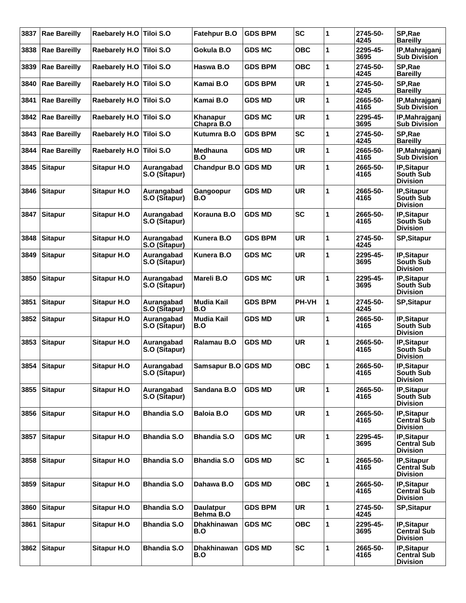| 3837 | <b>Rae Bareilly</b> | Raebarely H.O      | Tiloi S.O                   | <b>Fatehpur B.O</b>           | <b>GDS BPM</b> | <b>SC</b>  | 1 | 2745-50-         | SP, Rae                                              |
|------|---------------------|--------------------|-----------------------------|-------------------------------|----------------|------------|---|------------------|------------------------------------------------------|
|      |                     |                    |                             |                               |                |            |   | 4245             | <b>Bareilly</b>                                      |
| 3838 | <b>Rae Bareilly</b> | Raebarely H.O      | <b>Tiloi S.O</b>            | Gokula B.O                    | <b>GDS MC</b>  | <b>OBC</b> | 1 | 2295-45-<br>3695 | IP, Mahrajganj<br><b>Sub Division</b>                |
| 3839 | <b>Rae Bareilly</b> | Raebarely H.O      | Tiloi S.O                   | Haswa B.O                     | <b>GDS BPM</b> | <b>OBC</b> | 1 | 2745-50-<br>4245 | SP,Rae<br><b>Bareilly</b>                            |
| 3840 | <b>Rae Bareilly</b> | Raebarely H.O      | Tiloi S.O                   | Kamai B.O                     | GDS BPM        | <b>UR</b>  | 1 | 2745-50-<br>4245 | SP, Rae<br><b>Bareilly</b>                           |
| 3841 | <b>Rae Bareilly</b> | Raebarely H.O      | Tiloi S.O                   | Kamai B.O                     | <b>GDS MD</b>  | <b>UR</b>  | 1 | 2665-50-<br>4165 | IP, Mahrajganj<br><b>Sub Division</b>                |
| 3842 | <b>Rae Bareilly</b> | Raebarely H.O      | Tiloi S.O                   | Khanapur<br>Chapra B.O        | <b>GDS MC</b>  | <b>UR</b>  | 1 | 2295-45-<br>3695 | IP, Mahrajganj<br><b>Sub Division</b>                |
| 3843 | <b>Rae Bareilly</b> | Raebarely H.O      | Tiloi S.O                   | Kutumra B.O                   | GDS BPM        | <b>SC</b>  | 1 | 2745-50-<br>4245 | SP, Rae<br><b>Bareilly</b>                           |
| 3844 | <b>Rae Bareilly</b> | Raebarely H.O      | Tiloi S.O                   | <b>Medhauna</b><br>B.O        | <b>GDS MD</b>  | <b>UR</b>  | 1 | 2665-50-<br>4165 | IP, Mahrajganj<br><b>Sub Division</b>                |
| 3845 | <b>Sitapur</b>      | <b>Sitapur H.O</b> | Aurangabad<br>S.O (Sitapur) | <b>Chandpur B.O</b>           | <b>GDS MD</b>  | <b>UR</b>  | 1 | 2665-50-<br>4165 | IP, Sitapur<br>South Sub<br><b>Division</b>          |
| 3846 | <b>Sitapur</b>      | <b>Sitapur H.O</b> | Aurangabad<br>S.O (Sitapur) | Gangoopur<br>B.O              | <b>GDS MD</b>  | <b>UR</b>  | 1 | 2665-50-<br>4165 | IP, Sitapur<br><b>South Sub</b><br><b>Division</b>   |
| 3847 | <b>Sitapur</b>      | <b>Sitapur H.O</b> | Aurangabad<br>S.O (Sitapur) | Korauna B.O                   | <b>GDS MD</b>  | <b>SC</b>  | 1 | 2665-50-<br>4165 | IP, Sitapur<br><b>South Sub</b><br><b>Division</b>   |
| 3848 | <b>Sitapur</b>      | <b>Sitapur H.O</b> | Aurangabad<br>S.O (Sitapur) | Kunera B.O                    | <b>GDS BPM</b> | <b>UR</b>  | 1 | 2745-50-<br>4245 | <b>SP, Sitapur</b>                                   |
| 3849 | <b>Sitapur</b>      | <b>Sitapur H.O</b> | Aurangabad<br>S.O (Sitapur) | Kunera B.O                    | <b>GDS MC</b>  | <b>UR</b>  | 1 | 2295-45-<br>3695 | IP, Sitapur<br>South Sub<br><b>Division</b>          |
| 3850 | <b>Sitapur</b>      | <b>Sitapur H.O</b> | Aurangabad<br>S.O (Sitapur) | Mareli B.O                    | <b>GDS MC</b>  | <b>UR</b>  | 1 | 2295-45-<br>3695 | IP, Sitapur<br><b>South Sub</b><br><b>Division</b>   |
| 3851 | <b>Sitapur</b>      | <b>Sitapur H.O</b> | Aurangabad<br>S.O (Sitapur) | <b>Mudia Kail</b><br>B.O      | <b>GDS BPM</b> | PH-VH      | 1 | 2745-50-<br>4245 | <b>SP, Sitapur</b>                                   |
| 3852 | <b>Sitapur</b>      | <b>Sitapur H.O</b> | Aurangabad<br>S.O (Sitapur) | Mudia Kail<br>B.O             | <b>GDS MD</b>  | <b>UR</b>  | 1 | 2665-50-<br>4165 | IP,Sitapur<br>South Sub<br><b>Division</b>           |
| 3853 | <b>Sitapur</b>      | <b>Sitapur H.O</b> | Aurangabad<br>S.O (Sitapur) | Ralamau B.O                   | <b>GDS MD</b>  | <b>UR</b>  | 1 | 2665-50-<br>4165 | IP, Sitapur<br>South Sub<br><b>Division</b>          |
| 3854 | <b>Sitapur</b>      | <b>Sitapur H.O</b> | Aurangabad<br>S.O (Sitapur) | Samsapur B.O GDS MD           |                | <b>OBC</b> | 1 | 2665-50-<br>4165 | <b>IP,Sitapur</b><br>South Sub<br><b>Division</b>    |
| 3855 | <b>Sitapur</b>      | <b>Sitapur H.O</b> | Aurangabad<br>S.O (Sitapur) | Sandana B.O                   | <b>GDS MD</b>  | <b>UR</b>  | 1 | 2665-50-<br>4165 | IP, Sitapur<br>South Sub<br><b>Division</b>          |
| 3856 | <b>Sitapur</b>      | <b>Sitapur H.O</b> | <b>Bhandia S.O</b>          | <b>Baloia B.O</b>             | <b>GDS MD</b>  | <b>UR</b>  | 1 | 2665-50-<br>4165 | IP, Sitapur<br><b>Central Sub</b><br><b>Division</b> |
| 3857 | <b>Sitapur</b>      | <b>Sitapur H.O</b> | <b>Bhandia S.O</b>          | <b>Bhandia S.O</b>            | <b>GDS MC</b>  | <b>UR</b>  | 1 | 2295-45-<br>3695 | IP, Sitapur<br><b>Central Sub</b><br><b>Division</b> |
| 3858 | <b>Sitapur</b>      | <b>Sitapur H.O</b> | <b>Bhandia S.O</b>          | <b>Bhandia S.O</b>            | <b>GDS MD</b>  | <b>SC</b>  | 1 | 2665-50-<br>4165 | IP, Sitapur<br><b>Central Sub</b><br><b>Division</b> |
| 3859 | <b>Sitapur</b>      | <b>Sitapur H.O</b> | <b>Bhandia S.O</b>          | Dahawa B.O                    | <b>GDS MD</b>  | <b>OBC</b> | 1 | 2665-50-<br>4165 | IP, Sitapur<br>Central Sub<br><b>Division</b>        |
| 3860 | <b>Sitapur</b>      | <b>Sitapur H.O</b> | <b>Bhandia S.O</b>          | <b>Daulatpur</b><br>Behma B.O | <b>GDS BPM</b> | <b>UR</b>  | 1 | 2745-50-<br>4245 | <b>SP, Sitapur</b>                                   |
| 3861 | <b>Sitapur</b>      | <b>Sitapur H.O</b> | <b>Bhandia S.O</b>          | <b>Dhakhinawan</b><br>B.O     | <b>GDS MC</b>  | <b>OBC</b> | 1 | 2295-45-<br>3695 | IP, Sitapur<br><b>Central Sub</b><br><b>Division</b> |
| 3862 | <b>Sitapur</b>      | <b>Sitapur H.O</b> | <b>Bhandia S.O</b>          | Dhakhinawan<br>B.O            | <b>GDS MD</b>  | <b>SC</b>  | 1 | 2665-50-<br>4165 | IP, Sitapur<br><b>Central Sub</b><br><b>Division</b> |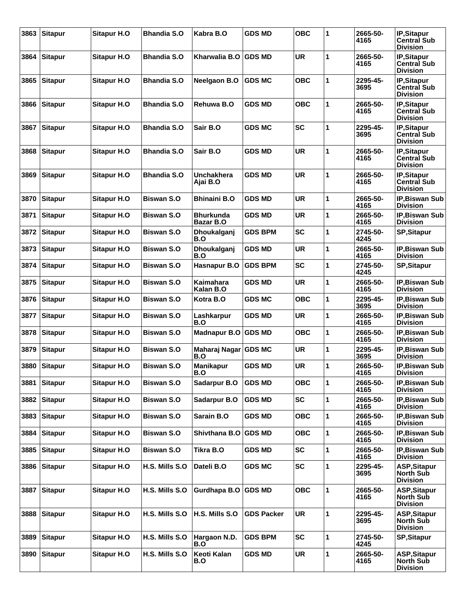| 3863 | <b>Sitapur</b> | <b>Sitapur H.O</b> | <b>Bhandia S.O</b> | Kabra B.O                     | <b>GDS MD</b>     | <b>OBC</b> | 1 | 2665-50-<br>4165 | IP, Sitapur<br><b>Central Sub</b><br><b>Division</b>       |
|------|----------------|--------------------|--------------------|-------------------------------|-------------------|------------|---|------------------|------------------------------------------------------------|
| 3864 | Sitapur        | Sitapur H.O        | <b>Bhandia S.O</b> | Kharwalia B.O                 | <b>GDS MD</b>     | <b>UR</b>  | 1 | 2665-50-<br>4165 | IP, Sitapur<br><b>Central Sub</b><br><b>Division</b>       |
| 3865 | Sitapur        | <b>Sitapur H.O</b> | <b>Bhandia S.O</b> | <b>Neelgaon B.O</b>           | <b>GDS MC</b>     | <b>OBC</b> | 1 | 2295-45-<br>3695 | IP, Sitapur<br>Central Sub<br><b>Division</b>              |
| 3866 | Sitapur        | Sitapur H.O        | <b>Bhandia S.O</b> | Rehuwa B.O                    | <b>GDS MD</b>     | <b>OBC</b> | 1 | 2665-50-<br>4165 | <b>IP,Sitapur</b><br><b>Central Sub</b><br><b>Division</b> |
| 3867 | <b>Sitapur</b> | <b>Sitapur H.O</b> | <b>Bhandia S.O</b> | Sair B.O                      | <b>GDS MC</b>     | <b>SC</b>  | 1 | 2295-45-<br>3695 | IP, Sitapur<br><b>Central Sub</b><br><b>Division</b>       |
| 3868 | <b>Sitapur</b> | <b>Sitapur H.O</b> | <b>Bhandia S.O</b> | Sair B.O                      | <b>GDS MD</b>     | <b>UR</b>  | 1 | 2665-50-<br>4165 | IP,Sitapur<br>Central Sub<br><b>Division</b>               |
| 3869 | <b>Sitapur</b> | Sitapur H.O        | <b>Bhandia S.O</b> | Unchakhera<br>Ajai B.O        | <b>GDS MD</b>     | <b>UR</b>  | 1 | 2665-50-<br>4165 | <b>IP,Sitapur</b><br><b>Central Sub</b><br><b>Division</b> |
| 3870 | Sitapur        | <b>Sitapur H.O</b> | <b>Biswan S.O</b>  | <b>Bhinaini B.O</b>           | <b>GDS MD</b>     | UR         | 1 | 2665-50-<br>4165 | <b>IP.Biswan Sub</b><br>Division                           |
| 3871 | <b>Sitapur</b> | <b>Sitapur H.O</b> | <b>Biswan S.O</b>  | <b>Bhurkunda</b><br>Bazar B.O | GDS MD            | <b>UR</b>  | 1 | 2665-50-<br>4165 | <b>IP, Biswan Sub</b><br><b>Division</b>                   |
| 3872 | Sitapur        | Sitapur H.O        | <b>Biswan S.O</b>  | Dhoukalganj<br>B.O            | <b>GDS BPM</b>    | <b>SC</b>  | 1 | 2745-50-<br>4245 | <b>SP, Sitapur</b>                                         |
| 3873 | <b>Sitapur</b> | Sitapur H.O        | <b>Biswan S.O</b>  | Dhoukalganj<br>B.O            | GDS MD            | <b>UR</b>  | 1 | 2665-50-<br>4165 | <b>IP, Biswan Sub</b><br>Division                          |
| 3874 | <b>Sitapur</b> | <b>Sitapur H.O</b> | <b>Biswan S.O</b>  | Hasnapur B.O                  | <b>GDS BPM</b>    | <b>SC</b>  | 1 | 2745-50-<br>4245 | <b>SP, Sitapur</b>                                         |
| 3875 | <b>Sitapur</b> | Sitapur H.O        | <b>Biswan S.O</b>  | Kaimahara<br>Kalan B.O        | <b>GDS MD</b>     | <b>UR</b>  | 1 | 2665-50-<br>4165 | <b>IP, Biswan Sub</b><br>Division                          |
| 3876 | <b>Sitapur</b> | Sitapur H.O        | <b>Biswan S.O</b>  | Kotra B.O                     | <b>GDS MC</b>     | <b>OBC</b> | 1 | 2295-45-<br>3695 | IP, Biswan Sub<br>Division                                 |
| 3877 | <b>Sitapur</b> | <b>Sitapur H.O</b> | <b>Biswan S.O</b>  | Lashkarpur<br>B.O             | GDS MD            | <b>UR</b>  | 1 | 2665-50-<br>4165 | <b>IP, Biswan Sub</b><br><b>Division</b>                   |
| 3878 | Sitapur        | Sitapur H.O        | <b>Biswan S.O</b>  | <b>Madnapur B.O</b>           | <b>GDS MD</b>     | <b>OBC</b> | 1 | 2665-50-<br>4165 | <b>IP, Biswan Sub</b><br><b>Division</b>                   |
| 3879 | ∣Sitapur       | Sitapur H.O        | <b>Biswan S.O</b>  | Maharaj Nagar<br>B.O          | <b>GDS MC</b>     | <b>UR</b>  | 1 | 2295-45-<br>3695 | <b>IP, Biswan Sub</b><br><b>Division</b>                   |
|      | 3880 Sitapur   | <b>Sitapur H.O</b> | <b>Biswan S.O</b>  | <b>Manikapur</b><br>B.O       | <b>GDS MD</b>     | <b>UR</b>  | 1 | 2665-50-<br>4165 | <b>IP.Biswan Sub</b><br><b>Division</b>                    |
|      | 3881 Sitapur   | <b>Sitapur H.O</b> | <b>Biswan S.O</b>  | Sadarpur B.O                  | <b>GDS MD</b>     | <b>OBC</b> | 1 | 2665-50-<br>4165 | <b>IP, Biswan Sub</b><br><b>Division</b>                   |
| 3882 | Sitapur        | <b>Sitapur H.O</b> | <b>Biswan S.O</b>  | Sadarpur B.O                  | <b>GDS MD</b>     | <b>SC</b>  | 1 | 2665-50-<br>4165 | <b>IP, Biswan Sub</b><br><b>Division</b>                   |
| 3883 | Sitapur        | <b>Sitapur H.O</b> | <b>Biswan S.O</b>  | Sarain B.O                    | <b>GDS MD</b>     | <b>OBC</b> | 1 | 2665-50-<br>4165 | <b>IP, Biswan Sub</b><br><b>Division</b>                   |
| 3884 | Sitapur        | <b>Sitapur H.O</b> | <b>Biswan S.O</b>  | Shivthana B.O                 | <b>GDS MD</b>     | <b>OBC</b> | 1 | 2665-50-<br>4165 | <b>IP, Biswan Sub</b><br><b>Division</b>                   |
| 3885 | Sitapur        | <b>Sitapur H.O</b> | <b>Biswan S.O</b>  | Tikra B.O                     | <b>GDS MD</b>     | <b>SC</b>  | 1 | 2665-50-<br>4165 | <b>IP, Biswan Sub</b><br><b>Division</b>                   |
| 3886 | <b>Sitapur</b> | <b>Sitapur H.O</b> | H.S. Mills S.O     | Dateli B.O                    | <b>GDS MC</b>     | <b>SC</b>  | 1 | 2295-45-<br>3695 | <b>ASP, Sitapur</b><br><b>North Sub</b><br><b>Division</b> |
|      | 3887 Sitapur   | <b>Sitapur H.O</b> | H.S. Mills S.O     | Gurdhapa B.O                  | <b>GDS MD</b>     | <b>OBC</b> | 1 | 2665-50-<br>4165 | <b>ASP, Sitapur</b><br><b>North Sub</b><br><b>Division</b> |
| 3888 | <b>Sitapur</b> | <b>Sitapur H.O</b> | H.S. Mills S.O     | H.S. Mills S.O                | <b>GDS Packer</b> | UR         | 1 | 2295-45-<br>3695 | <b>ASP, Sitapur</b><br><b>North Sub</b><br><b>Division</b> |
| 3889 | Sitapur        | <b>Sitapur H.O</b> | H.S. Mills S.O     | Hargaon N.D.<br>B.O           | <b>GDS BPM</b>    | <b>SC</b>  | 1 | 2745-50-<br>4245 | <b>SP, Sitapur</b>                                         |
| 3890 | Sitapur        | <b>Sitapur H.O</b> | H.S. Mills S.O     | Keoti Kalan<br>B.O            | <b>GDS MD</b>     | UR         | 1 | 2665-50-<br>4165 | <b>ASP, Sitapur</b><br><b>North Sub</b><br><b>Division</b> |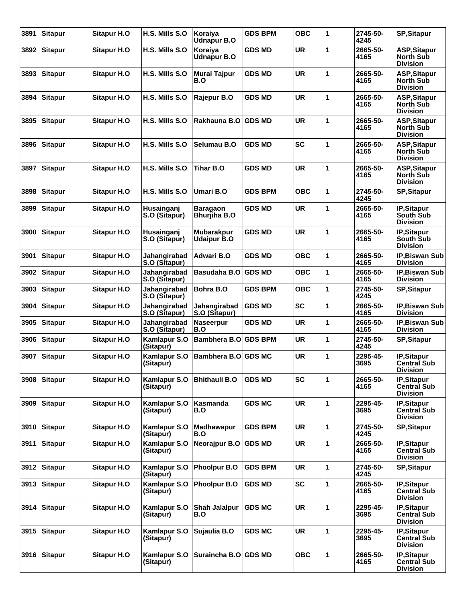| 3891 | <b>Sitapur</b> | <b>Sitapur H.O</b> | H.S. Mills S.O                | Koraiya<br><b>Udnapur B.O</b>           | <b>GDS BPM</b> | <b>OBC</b> | 1 | 2745-50-<br>4245 | <b>SP, Sitapur</b>                                         |
|------|----------------|--------------------|-------------------------------|-----------------------------------------|----------------|------------|---|------------------|------------------------------------------------------------|
| 3892 | <b>Sitapur</b> | <b>Sitapur H.O</b> | H.S. Mills S.O                | Koraiya<br><b>Udnapur B.O</b>           | <b>GDS MD</b>  | <b>UR</b>  | 1 | 2665-50-<br>4165 | <b>ASP, Sitapur</b><br><b>North Sub</b><br><b>Division</b> |
| 3893 | <b>Sitapur</b> | <b>Sitapur H.O</b> | H.S. Mills S.O                | Murai Tajpur<br>B.O                     | <b>GDS MD</b>  | <b>UR</b>  | 1 | 2665-50-<br>4165 | <b>ASP, Sitapur</b><br><b>North Sub</b><br><b>Division</b> |
| 3894 | <b>Sitapur</b> | <b>Sitapur H.O</b> | H.S. Mills S.O                | Rajepur B.O                             | <b>GDS MD</b>  | <b>UR</b>  | 1 | 2665-50-<br>4165 | <b>ASP, Sitapur</b><br><b>North Sub</b><br><b>Division</b> |
| 3895 | <b>Sitapur</b> | Sitapur H.O        | H.S. Mills S.O                | Rakhauna B.O                            | <b>IGDS MD</b> | <b>UR</b>  | 1 | 2665-50-<br>4165 | <b>ASP, Sitapur</b><br><b>North Sub</b><br><b>Division</b> |
| 3896 | <b>Sitapur</b> | <b>Sitapur H.O</b> | H.S. Mills S.O                | Selumau B.O                             | <b>GDS MD</b>  | <b>SC</b>  | 1 | 2665-50-<br>4165 | <b>ASP, Sitapur</b><br><b>North Sub</b><br><b>Division</b> |
| 3897 | <b>Sitapur</b> | <b>Sitapur H.O</b> | H.S. Mills S.O                | <b>Tihar B.O</b>                        | <b>GDS MD</b>  | <b>UR</b>  | 1 | 2665-50-<br>4165 | <b>ASP, Sitapur</b><br><b>North Sub</b><br><b>Division</b> |
| 3898 | <b>Sitapur</b> | <b>Sitapur H.O</b> | H.S. Mills S.O                | Umari B.O                               | <b>GDS BPM</b> | <b>OBC</b> | 1 | 2745-50-<br>4245 | <b>SP, Sitapur</b>                                         |
| 3899 | <b>Sitapur</b> | <b>Sitapur H.O</b> | Husainganj<br>S.O (Sitapur)   | <b>Baragaon</b><br><b>Bhurjiha B.O</b>  | <b>GDS MD</b>  | <b>UR</b>  | 1 | 2665-50-<br>4165 | IP, Sitapur<br><b>South Sub</b><br><b>Division</b>         |
| 3900 | <b>Sitapur</b> | <b>Sitapur H.O</b> | Husainganj<br>S.O (Sitapur)   | <b>Mubarakpur</b><br><b>Udaipur B.O</b> | <b>GDS MD</b>  | <b>UR</b>  | 1 | 2665-50-<br>4165 | IP, Sitapur<br>South Sub<br><b>Division</b>                |
| 3901 | <b>Sitapur</b> | <b>Sitapur H.O</b> | Jahangirabad<br>S.O (Sitapur) | Adwari B.O                              | <b>GDS MD</b>  | <b>OBC</b> | 1 | 2665-50-<br>4165 | <b>IP, Biswan Sub</b><br><b>Division</b>                   |
| 3902 | <b>Sitapur</b> | <b>Sitapur H.O</b> | Jahangirabad<br>S.O (Sitapur) | Basudaha B.O                            | <b>GDS MD</b>  | <b>OBC</b> | 1 | 2665-50-<br>4165 | IP, Biswan Sub<br><b>Division</b>                          |
| 3903 | <b>Sitapur</b> | <b>Sitapur H.O</b> | Jahangirabad<br>S.O (Sitapur) | Bohra B.O                               | <b>GDS BPM</b> | <b>OBC</b> | 1 | 2745-50-<br>4245 | <b>SP, Sitapur</b>                                         |
| 3904 | <b>Sitapur</b> | <b>Sitapur H.O</b> | Jahangirabad<br>S.O (Sitapur) | Jahangirabad<br>S.O (Sitapur)           | <b>GDS MD</b>  | <b>SC</b>  | 1 | 2665-50-<br>4165 | <b>IP, Biswan Sub</b><br><b>Division</b>                   |
| 3905 | <b>Sitapur</b> | Sitapur H.O        | Jahangirabad<br>S.O (Sitapur) | Naseerpur<br>B.O                        | <b>GDS MD</b>  | <b>UR</b>  | 1 | 2665-50-<br>4165 | <b>IP, Biswan Sub</b><br><b>Division</b>                   |
| 3906 | <b>Sitapur</b> | <b>Sitapur H.O</b> | Kamlapur S.O<br>(Sitapur)     | <b>Bambhera B.O</b>                     | <b>GDS BPM</b> | <b>UR</b>  | 1 | 2745-50-<br>4245 | <b>SP, Sitapur</b>                                         |
| 3907 | <b>Sitapur</b> | <b>Sitapur H.O</b> | Kamlapur S.O<br>(Sitapur)     | Bambhera B.O GDS MC                     |                | <b>UR</b>  | 1 | 2295-45-<br>3695 | IP,Sitapur<br><b>Central Sub</b><br><b>Division</b>        |
| 3908 | <b>Sitapur</b> | <b>Sitapur H.O</b> | Kamlapur S.O<br>(Sitapur)     | <b>Bhithauli B.O</b>                    | <b>GDS MD</b>  | <b>SC</b>  | 1 | 2665-50-<br>4165 | IP, Sitapur<br><b>Central Sub</b><br><b>Division</b>       |
| 3909 | <b>Sitapur</b> | <b>Sitapur H.O</b> | Kamlapur S.O<br>(Sitapur)     | Kasmanda<br>B.O                         | <b>GDS MC</b>  | UR         | 1 | 2295-45-<br>3695 | IP, Sitapur<br><b>Central Sub</b><br><b>Division</b>       |
| 3910 | <b>Sitapur</b> | <b>Sitapur H.O</b> | Kamlapur S.O<br>(Sitapur)     | Madhawapur<br>B.O                       | <b>GDS BPM</b> | UR         | 1 | 2745-50-<br>4245 | <b>SP, Sitapur</b>                                         |
| 3911 | <b>Sitapur</b> | <b>Sitapur H.O</b> | Kamlapur S.O<br>(Sitapur)     | Neorajpur B.O                           | <b>GDS MD</b>  | <b>UR</b>  | 1 | 2665-50-<br>4165 | IP, Sitapur<br><b>Central Sub</b><br><b>Division</b>       |
| 3912 | <b>Sitapur</b> | <b>Sitapur H.O</b> | Kamlapur S.O<br>(Sitapur)     | Phoolpur B.O                            | <b>GDS BPM</b> | UR         | 1 | 2745-50-<br>4245 | <b>SP, Sitapur</b>                                         |
| 3913 | <b>Sitapur</b> | <b>Sitapur H.O</b> | Kamlapur S.O<br>(Sitapur)     | <b>Phoolpur B.O</b>                     | <b>GDS MD</b>  | <b>SC</b>  | 1 | 2665-50-<br>4165 | IP, Sitapur<br><b>Central Sub</b><br><b>Division</b>       |
| 3914 | <b>Sitapur</b> | <b>Sitapur H.O</b> | Kamlapur S.O<br>(Sitapur)     | <b>Shah Jalalpur</b><br>B.O             | <b>GDS MC</b>  | <b>UR</b>  | 1 | 2295-45-<br>3695 | IP, Sitapur<br><b>Central Sub</b><br><b>Division</b>       |
| 3915 | <b>Sitapur</b> | <b>Sitapur H.O</b> | Kamlapur S.O<br>(Sitapur)     | Sujaulia B.O                            | <b>GDS MC</b>  | UR         | 1 | 2295-45-<br>3695 | IP, Sitapur<br><b>Central Sub</b><br><b>Division</b>       |
| 3916 | <b>Sitapur</b> | <b>Sitapur H.O</b> | Kamlapur S.O<br>(Sitapur)     | Suraincha B.O GDS MD                    |                | <b>OBC</b> | 1 | 2665-50-<br>4165 | IP, Sitapur<br><b>Central Sub</b><br><b>Division</b>       |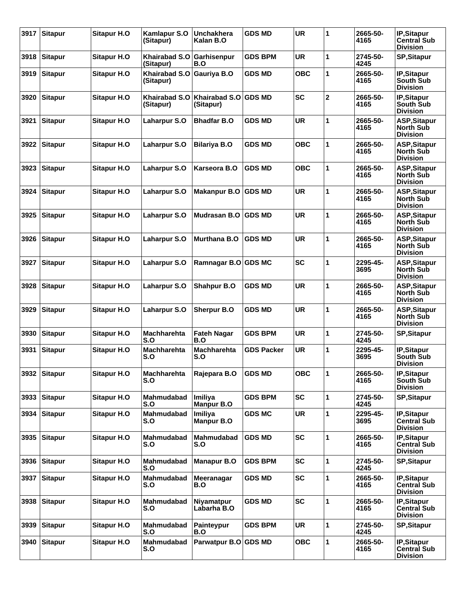| 3917 | <b>Sitapur</b> | <b>Sitapur H.O</b> | Kamlapur S.O<br>(Sitapur)         | Unchakhera<br>Kalan B.O           | <b>GDS MD</b>     | <b>UR</b>  | 1                       | 2665-50-<br>4165 | IP, Sitapur<br>Central Sub<br><b>Division</b>              |
|------|----------------|--------------------|-----------------------------------|-----------------------------------|-------------------|------------|-------------------------|------------------|------------------------------------------------------------|
| 3918 | <b>Sitapur</b> | <b>Sitapur H.O</b> | <b>Khairabad S.O</b><br>(Sitapur) | Garhisenpur<br>B.O                | <b>GDS BPM</b>    | <b>UR</b>  | 1                       | 2745-50-<br>4245 | <b>SP, Sitapur</b>                                         |
| 3919 | <b>Sitapur</b> | <b>Sitapur H.O</b> | Khairabad S.O<br>(Sitapur)        | Gauriya B.O                       | <b>GDS MD</b>     | <b>OBC</b> | 1                       | 2665-50-<br>4165 | IP, Sitapur<br><b>South Sub</b><br><b>Division</b>         |
| 3920 | <b>Sitapur</b> | <b>Sitapur H.O</b> | <b>Khairabad S.O</b><br>(Sitapur) | <b>Khairabad S.O</b><br>(Sitapur) | <b>GDS MD</b>     | <b>SC</b>  | $\overline{\mathbf{2}}$ | 2665-50-<br>4165 | IP, Sitapur<br><b>South Sub</b><br><b>Division</b>         |
| 3921 | <b>Sitapur</b> | <b>Sitapur H.O</b> | <b>Laharpur S.O</b>               | <b>Bhadfar B.O</b>                | <b>GDS MD</b>     | <b>UR</b>  | 1                       | 2665-50-<br>4165 | <b>ASP, Sitapur</b><br><b>North Sub</b><br><b>Division</b> |
| 3922 | <b>Sitapur</b> | <b>Sitapur H.O</b> | Laharpur S.O                      | <b>Bilariya B.O</b>               | <b>GDS MD</b>     | <b>OBC</b> | 1                       | 2665-50-<br>4165 | <b>ASP, Sitapur</b><br><b>North Sub</b><br><b>Division</b> |
| 3923 | <b>Sitapur</b> | <b>Sitapur H.O</b> | Laharpur S.O                      | Karseora B.O                      | <b>GDS MD</b>     | <b>OBC</b> | 1                       | 2665-50-<br>4165 | <b>ASP, Sitapur</b><br><b>North Sub</b><br><b>Division</b> |
| 3924 | <b>Sitapur</b> | <b>Sitapur H.O</b> | Laharpur S.O                      | <b>Makanpur B.O</b>               | <b>GDS MD</b>     | <b>UR</b>  | 1                       | 2665-50-<br>4165 | ASP, Sitapur<br><b>North Sub</b><br><b>Division</b>        |
| 3925 | <b>Sitapur</b> | <b>Sitapur H.O</b> | Laharpur S.O                      | Mudrasan B.O                      | <b>GDS MD</b>     | <b>UR</b>  | 1                       | 2665-50-<br>4165 | <b>ASP, Sitapur</b><br><b>North Sub</b><br><b>Division</b> |
| 3926 | <b>Sitapur</b> | <b>Sitapur H.O</b> | Laharpur S.O                      | <b>Murthana B.O</b>               | <b>GDS MD</b>     | <b>UR</b>  | 1                       | 2665-50-<br>4165 | <b>ASP, Sitapur</b><br><b>North Sub</b><br><b>Division</b> |
| 3927 | <b>Sitapur</b> | <b>Sitapur H.O</b> | Laharpur S.O                      | Ramnagar B.O GDS MC               |                   | <b>SC</b>  | 1                       | 2295-45-<br>3695 | ASP, Sitapur<br><b>North Sub</b><br><b>Division</b>        |
| 3928 | <b>Sitapur</b> | <b>Sitapur H.O</b> | Laharpur S.O                      | <b>Shahpur B.O</b>                | <b>GDS MD</b>     | <b>UR</b>  | 1                       | 2665-50-<br>4165 | <b>ASP, Sitapur</b><br><b>North Sub</b><br><b>Division</b> |
| 3929 | <b>Sitapur</b> | <b>Sitapur H.O</b> | Laharpur S.O                      | <b>Sherpur B.O</b>                | <b>GDS MD</b>     | <b>UR</b>  | 1                       | 2665-50-<br>4165 | <b>ASP, Sitapur</b><br><b>North Sub</b><br><b>Division</b> |
| 3930 | <b>Sitapur</b> | <b>Sitapur H.O</b> | <b>Machharehta</b><br>S.O         | <b>Fateh Nagar</b><br>B.O         | <b>GDS BPM</b>    | <b>UR</b>  | 1                       | 2745-50-<br>4245 | <b>SP, Sitapur</b>                                         |
| 3931 | <b>Sitapur</b> | <b>Sitapur H.O</b> | Machharehta<br>S.O                | <b>Machharehta</b><br>S.O         | <b>GDS Packer</b> | <b>UR</b>  | 1                       | 2295-45-<br>3695 | IP, Sitapur<br><b>South Sub</b><br><b>Division</b>         |
|      | 3932 Sitapur   | <b>Sitapur H.O</b> | Machharehta<br>S.O                | Rajepara B.O                      | <b>GDS MD</b>     | <b>OBC</b> | 1                       | 2665-50-<br>4165 | IP, Sitapur<br><b>South Sub</b><br><b>Division</b>         |
| 3933 | <b>Sitapur</b> | <b>Sitapur H.O</b> | <b>Mahmudabad</b><br>S.O          | Imiliya<br><b>Manpur B.O</b>      | <b>GDS BPM</b>    | <b>SC</b>  | 1                       | 2745-50-<br>4245 | <b>SP, Sitapur</b>                                         |
| 3934 | <b>Sitapur</b> | <b>Sitapur H.O</b> | Mahmudabad<br>S.O                 | Imiliya<br><b>Manpur B.O</b>      | <b>GDS MC</b>     | <b>UR</b>  | 1                       | 2295-45-<br>3695 | IP, Sitapur<br><b>Central Sub</b><br><b>Division</b>       |
| 3935 | Sitapur        | <b>Sitapur H.O</b> | Mahmudabad<br>S.O                 | Mahmudabad<br>S.O                 | <b>GDS MD</b>     | <b>SC</b>  | 1                       | 2665-50-<br>4165 | IP, Sitapur<br>Central Sub<br><b>Division</b>              |
| 3936 | <b>Sitapur</b> | <b>Sitapur H.O</b> | <b>Mahmudabad</b><br>S.O          | <b>Manapur B.O</b>                | <b>GDS BPM</b>    | <b>SC</b>  | 1                       | 2745-50-<br>4245 | <b>SP, Sitapur</b>                                         |
| 3937 | <b>Sitapur</b> | <b>Sitapur H.O</b> | Mahmudabad<br>S.O                 | Meeranagar<br>B.O                 | <b>GDS MD</b>     | <b>SC</b>  | 1                       | 2665-50-<br>4165 | IP, Sitapur<br><b>Central Sub</b><br><b>Division</b>       |
| 3938 | Sitapur        | <b>Sitapur H.O</b> | Mahmudabad<br>S.O                 | Niyamatpur<br>Labarha B.O         | <b>GDS MD</b>     | <b>SC</b>  | 1                       | 2665-50-<br>4165 | IP, Sitapur<br>Central Sub<br><b>Division</b>              |
| 3939 | <b>Sitapur</b> | <b>Sitapur H.O</b> | Mahmudabad<br>S.O                 | Painteypur<br>B.O                 | <b>GDS BPM</b>    | <b>UR</b>  | 1                       | 2745-50-<br>4245 | <b>SP, Sitapur</b>                                         |
| 3940 | <b>Sitapur</b> | <b>Sitapur H.O</b> | Mahmudabad<br>S.O                 | Parwatpur B.O GDS MD              |                   | ОВС        | 1                       | 2665-50-<br>4165 | IP, Sitapur<br><b>Central Sub</b><br><b>Division</b>       |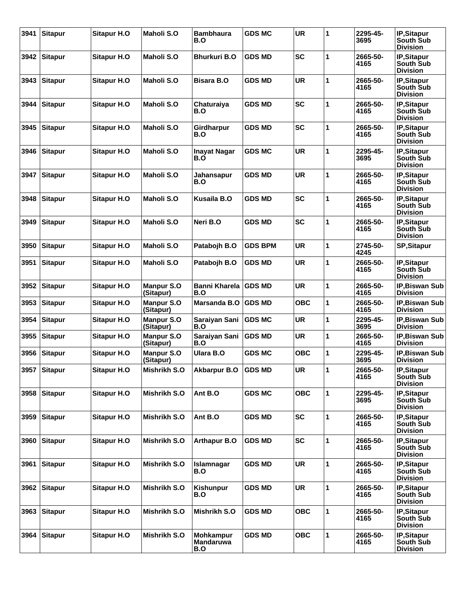| 3941 | <b>Sitapur</b> | <b>Sitapur H.O</b> | Maholi S.O                     | <b>Bambhaura</b><br>B.O                     | <b>GDS MC</b>  | <b>UR</b>  | 1 | 2295-45-<br>3695 | <b>IP, Sitapur</b><br><b>South Sub</b><br><b>Division</b> |
|------|----------------|--------------------|--------------------------------|---------------------------------------------|----------------|------------|---|------------------|-----------------------------------------------------------|
| 3942 | <b>Sitapur</b> | <b>Sitapur H.O</b> | <b>Maholi S.O</b>              | <b>Bhurkuri B.O</b>                         | <b>GDS MD</b>  | <b>SC</b>  | 1 | 2665-50-<br>4165 | IP, Sitapur<br><b>South Sub</b><br><b>Division</b>        |
| 3943 | <b>Sitapur</b> | <b>Sitapur H.O</b> | <b>Maholi S.O</b>              | <b>Bisara B.O</b>                           | <b>GDS MD</b>  | <b>UR</b>  | 1 | 2665-50-<br>4165 | IP, Sitapur<br><b>South Sub</b><br><b>Division</b>        |
| 3944 | <b>Sitapur</b> | <b>Sitapur H.O</b> | <b>Maholi S.O</b>              | Chaturaiya<br>B.O                           | <b>GDS MD</b>  | <b>SC</b>  | 1 | 2665-50-<br>4165 | <b>IP, Sitapur</b><br><b>South Sub</b><br><b>Division</b> |
| 3945 | <b>Sitapur</b> | <b>Sitapur H.O</b> | Maholi S.O                     | <b>Girdharpur</b><br>B.O                    | <b>GDS MD</b>  | <b>SC</b>  | 1 | 2665-50-<br>4165 | IP, Sitapur<br><b>South Sub</b><br><b>Division</b>        |
| 3946 | <b>Sitapur</b> | <b>Sitapur H.O</b> | <b>Maholi S.O</b>              | <b>Inayat Nagar</b><br>B.O                  | <b>GDS MC</b>  | <b>UR</b>  | 1 | 2295-45-<br>3695 | <b>IP, Sitapur</b><br><b>South Sub</b><br><b>Division</b> |
| 3947 | <b>Sitapur</b> | <b>Sitapur H.O</b> | <b>Maholi S.O</b>              | Jahansapur<br>B.O                           | <b>GDS MD</b>  | <b>UR</b>  | 1 | 2665-50-<br>4165 | IP, Sitapur<br><b>South Sub</b><br><b>Division</b>        |
| 3948 | <b>Sitapur</b> | <b>Sitapur H.O</b> | Maholi S.O                     | Kusaila B.O                                 | <b>GDS MD</b>  | <b>SC</b>  | 1 | 2665-50-<br>4165 | IP, Sitapur<br><b>South Sub</b><br><b>Division</b>        |
| 3949 | <b>Sitapur</b> | <b>Sitapur H.O</b> | <b>Maholi S.O</b>              | Neri B.O                                    | <b>GDS MD</b>  | <b>SC</b>  | 1 | 2665-50-<br>4165 | <b>IP, Sitapur</b><br><b>South Sub</b><br><b>Division</b> |
| 3950 | <b>Sitapur</b> | <b>Sitapur H.O</b> | Maholi S.O                     | Patabojh B.O                                | <b>GDS BPM</b> | <b>UR</b>  | 1 | 2745-50-<br>4245 | <b>SP, Sitapur</b>                                        |
| 3951 | <b>Sitapur</b> | Sitapur H.O        | Maholi S.O                     | Patabojh B.O                                | <b>GDS MD</b>  | <b>UR</b>  | 1 | 2665-50-<br>4165 | IP, Sitapur<br><b>South Sub</b><br><b>Division</b>        |
| 3952 | <b>Sitapur</b> | <b>Sitapur H.O</b> | <b>Manpur S.O</b><br>(Sitapur) | <b>Banni Kharela</b><br>B.O                 | <b>GDS MD</b>  | <b>UR</b>  | 1 | 2665-50-<br>4165 | <b>IP, Biswan Sub</b><br><b>Division</b>                  |
| 3953 | <b>Sitapur</b> | Sitapur H.O        | <b>Manpur S.O</b><br>(Sitapur) | Marsanda B.O                                | <b>GDS MD</b>  | <b>OBC</b> | 1 | 2665-50-<br>4165 | <b>IP.Biswan Sub</b><br><b>Division</b>                   |
| 3954 | <b>Sitapur</b> | Sitapur H.O        | <b>Manpur S.O</b><br>(Sitapur) | Saraiyan Sani<br>B.O                        | <b>GDS MC</b>  | <b>UR</b>  | 1 | 2295-45-<br>3695 | <b>IP, Biswan Sub</b><br><b>Division</b>                  |
| 3955 | <b>Sitapur</b> | <b>Sitapur H.O</b> | <b>Manpur S.O</b><br>(Sitapur) | Saraiyan Sani<br>B.O                        | <b>GDS MD</b>  | <b>UR</b>  | 1 | 2665-50-<br>4165 | <b>IP, Biswan Sub</b><br><b>Division</b>                  |
| 3956 | <b>Sitapur</b> | <b>Sitapur H.O</b> | <b>Manpur S.O</b><br>(Sitapur) | Ulara B.O                                   | <b>GDS MC</b>  | <b>OBC</b> | 1 | 2295-45-<br>3695 | <b>IP, Biswan Sub</b><br><b>Division</b>                  |
|      | 3957 Sitapur   | <b>Sitapur H.O</b> | Mishrikh S.O                   | <b>Akbarpur B.O</b>                         | <b>GDS MD</b>  | UR         | 1 | 2665-50-<br>4165 | <b>IP,Sitapur</b><br><b>South Sub</b><br><b>Division</b>  |
| 3958 | <b>Sitapur</b> | <b>Sitapur H.O</b> | Mishrikh S.O                   | Ant B.O                                     | <b>GDS MC</b>  | <b>OBC</b> | 1 | 2295-45-<br>3695 | IP, Sitapur<br><b>South Sub</b><br><b>Division</b>        |
| 3959 | <b>Sitapur</b> | <b>Sitapur H.O</b> | Mishrikh S.O                   | Ant B.O                                     | <b>GDS MD</b>  | <b>SC</b>  | 1 | 2665-50-<br>4165 | IP, Sitapur<br><b>South Sub</b><br><b>Division</b>        |
| 3960 | <b>Sitapur</b> | <b>Sitapur H.O</b> | Mishrikh S.O                   | <b>Arthapur B.O</b>                         | <b>GDS MD</b>  | <b>SC</b>  | 1 | 2665-50-<br>4165 | IP, Sitapur<br>South Sub<br><b>Division</b>               |
| 3961 | <b>Sitapur</b> | <b>Sitapur H.O</b> | Mishrikh S.O                   | Islamnagar<br>B.O                           | <b>GDS MD</b>  | <b>UR</b>  | 1 | 2665-50-<br>4165 | IP, Sitapur<br><b>South Sub</b><br><b>Division</b>        |
| 3962 | <b>Sitapur</b> | <b>Sitapur H.O</b> | Mishrikh S.O                   | Kishunpur<br>B.O                            | <b>GDS MD</b>  | <b>UR</b>  | 1 | 2665-50-<br>4165 | <b>IP,Sitapur</b><br><b>South Sub</b><br><b>Division</b>  |
| 3963 | <b>Sitapur</b> | <b>Sitapur H.O</b> | Mishrikh S.O                   | Mishrikh S.O                                | <b>GDS MD</b>  | <b>OBC</b> | 1 | 2665-50-<br>4165 | IP, Sitapur<br>South Sub<br><b>Division</b>               |
| 3964 | <b>Sitapur</b> | <b>Sitapur H.O</b> | Mishrikh S.O                   | <b>Mohkampur</b><br><b>Mandaruwa</b><br>B.O | <b>GDS MD</b>  | <b>OBC</b> | 1 | 2665-50-<br>4165 | IP, Sitapur<br><b>South Sub</b><br><b>Division</b>        |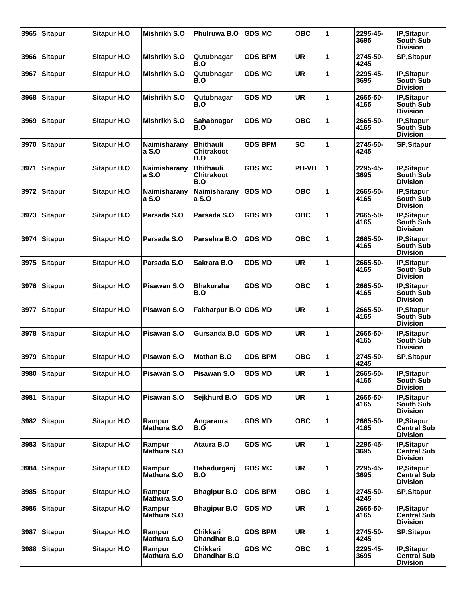| 3965 | <b>Sitapur</b> | <b>Sitapur H.O</b> | Mishrikh S.O                 | <b>Phulruwa B.O</b>                          | <b>GDS MC</b>  | <b>OBC</b> | 1            | 2295-45-<br>3695 | IP, Sitapur<br><b>South Sub</b><br><b>Division</b>   |
|------|----------------|--------------------|------------------------------|----------------------------------------------|----------------|------------|--------------|------------------|------------------------------------------------------|
| 3966 | <b>Sitapur</b> | <b>Sitapur H.O</b> | Mishrikh S.O                 | Qutubnagar<br>B.O                            | <b>GDS BPM</b> | <b>UR</b>  | 1            | 2745-50-<br>4245 | <b>SP, Sitapur</b>                                   |
| 3967 | <b>Sitapur</b> | <b>Sitapur H.O</b> | Mishrikh S.O                 | Qutubnagar<br>B.O                            | <b>GDS MC</b>  | <b>UR</b>  | 1            | 2295-45-<br>3695 | IP, Sitapur<br><b>South Sub</b><br><b>Division</b>   |
| 3968 | <b>Sitapur</b> | <b>Sitapur H.O</b> | Mishrikh S.O                 | Qutubnagar<br>B.O                            | <b>GDS MD</b>  | <b>UR</b>  | 1            | 2665-50-<br>4165 | IP, Sitapur<br><b>South Sub</b><br><b>Division</b>   |
| 3969 | <b>Sitapur</b> | <b>Sitapur H.O</b> | <b>Mishrikh S.O</b>          | Sahabnagar<br>B.O                            | <b>GDS MD</b>  | <b>OBC</b> | 1            | 2665-50-<br>4165 | IP, Sitapur<br><b>South Sub</b><br><b>Division</b>   |
| 3970 | <b>Sitapur</b> | <b>Sitapur H.O</b> | Naimisharany<br>a S.O        | <b>Bhithauli</b><br><b>Chitrakoot</b><br>B.O | <b>GDS BPM</b> | <b>SC</b>  | 1            | 2745-50-<br>4245 | <b>SP, Sitapur</b>                                   |
| 3971 | <b>Sitapur</b> | <b>Sitapur H.O</b> | Naimisharany<br>a S.O        | <b>Bhithauli</b><br>Chitrakoot<br>B.O        | <b>GDS MC</b>  | PH-VH      | $\mathbf{1}$ | 2295-45-<br>3695 | IP, Sitapur<br><b>South Sub</b><br><b>Division</b>   |
| 3972 | <b>Sitapur</b> | <b>Sitapur H.O</b> | Naimisharany<br>a S.O        | Naimisharany<br>a S.O                        | <b>GDS MD</b>  | <b>OBC</b> | 1            | 2665-50-<br>4165 | IP, Sitapur<br><b>South Sub</b><br><b>Division</b>   |
| 3973 | <b>Sitapur</b> | <b>Sitapur H.O</b> | Parsada S.O                  | Parsada S.O                                  | <b>GDS MD</b>  | <b>OBC</b> | 1            | 2665-50-<br>4165 | IP, Sitapur<br>South Sub<br><b>Division</b>          |
| 3974 | <b>Sitapur</b> | <b>Sitapur H.O</b> | Parsada S.O                  | Parsehra B.O                                 | <b>GDS MD</b>  | <b>OBC</b> | 1            | 2665-50-<br>4165 | IP,Sitapur<br>South Sub<br><b>Division</b>           |
| 3975 | <b>Sitapur</b> | <b>Sitapur H.O</b> | Parsada S.O                  | Sakrara B.O                                  | <b>GDS MD</b>  | <b>UR</b>  | 1            | 2665-50-<br>4165 | IP, Sitapur<br>South Sub<br><b>Division</b>          |
| 3976 | <b>Sitapur</b> | <b>Sitapur H.O</b> | Pisawan S.O                  | <b>Bhakuraha</b><br>B.O                      | <b>GDS MD</b>  | <b>OBC</b> | 1            | 2665-50-<br>4165 | IP, Sitapur<br><b>South Sub</b><br><b>Division</b>   |
| 3977 | <b>Sitapur</b> | <b>Sitapur H.O</b> | Pisawan S.O                  | Fakharpur B.O GDS MD                         |                | <b>UR</b>  | 1            | 2665-50-<br>4165 | IP, Sitapur<br>South Sub<br><b>Division</b>          |
| 3978 | <b>Sitapur</b> | <b>Sitapur H.O</b> | Pisawan S.O                  | Gursanda B.O                                 | <b>GDS MD</b>  | <b>UR</b>  | 1            | 2665-50-<br>4165 | IP, Sitapur<br>South Sub<br><b>Division</b>          |
| 3979 | <b>Sitapur</b> | <b>Sitapur H.O</b> | Pisawan S.O                  | <b>Mathan B.O</b>                            | <b>GDS BPM</b> | <b>OBC</b> | 1            | 2745-50-<br>4245 | <b>SP, Sitapur</b>                                   |
|      | 3980 Sitapur   | <b>Sitapur H.O</b> | Pisawan S.O                  | Pisawan S.O                                  | <b>GDS MD</b>  | <b>UR</b>  | 1            | 2665-50-<br>4165 | IP, Sitapur<br><b>South Sub</b><br><b>Division</b>   |
| 3981 | <b>Sitapur</b> | <b>Sitapur H.O</b> | Pisawan S.O                  | Sejkhurd B.O                                 | <b>GDS MD</b>  | <b>UR</b>  | 1            | 2665-50-<br>4165 | IP, Sitapur<br>South Sub<br><b>Division</b>          |
| 3982 | <b>Sitapur</b> | <b>Sitapur H.O</b> | Rampur<br><b>Mathura S.O</b> | Angaraura<br>B.O                             | <b>GDS MD</b>  | <b>OBC</b> | 1            | 2665-50-<br>4165 | IP, Sitapur<br><b>Central Sub</b><br><b>Division</b> |
| 3983 | <b>Sitapur</b> | <b>Sitapur H.O</b> | Rampur<br><b>Mathura S.O</b> | Ataura B.O                                   | <b>GDS MC</b>  | <b>UR</b>  | 1            | 2295-45-<br>3695 | IP, Sitapur<br>Central Sub<br><b>Division</b>        |
| 3984 | Sitapur        | <b>Sitapur H.O</b> | Rampur<br><b>Mathura S.O</b> | Bahadurganj<br>B.O                           | <b>GDS MC</b>  | <b>UR</b>  | 1            | 2295-45-<br>3695 | IP, Sitapur<br><b>Central Sub</b><br><b>Division</b> |
| 3985 | <b>Sitapur</b> | <b>Sitapur H.O</b> | Rampur<br>Mathura S.O        | <b>Bhagipur B.O</b>                          | <b>GDS BPM</b> | <b>OBC</b> | 1            | 2745-50-<br>4245 | <b>SP, Sitapur</b>                                   |
| 3986 | <b>Sitapur</b> | <b>Sitapur H.O</b> | Rampur<br>Mathura S.O        | <b>Bhagipur B.O</b>                          | <b>GDS MD</b>  | <b>UR</b>  | 1            | 2665-50-<br>4165 | IP, Sitapur<br><b>Central Sub</b><br><b>Division</b> |
| 3987 | <b>Sitapur</b> | <b>Sitapur H.O</b> | Rampur<br><b>Mathura S.O</b> | Chikkari<br><b>Dhandhar B.O</b>              | <b>GDS BPM</b> | <b>UR</b>  | 1            | 2745-50-<br>4245 | <b>SP, Sitapur</b>                                   |
| 3988 | <b>Sitapur</b> | <b>Sitapur H.O</b> | Rampur<br><b>Mathura S.O</b> | <b>Chikkari</b><br><b>Dhandhar B.O</b>       | <b>GDS MC</b>  | <b>OBC</b> | 1            | 2295-45-<br>3695 | IP, Sitapur<br><b>Central Sub</b><br><b>Division</b> |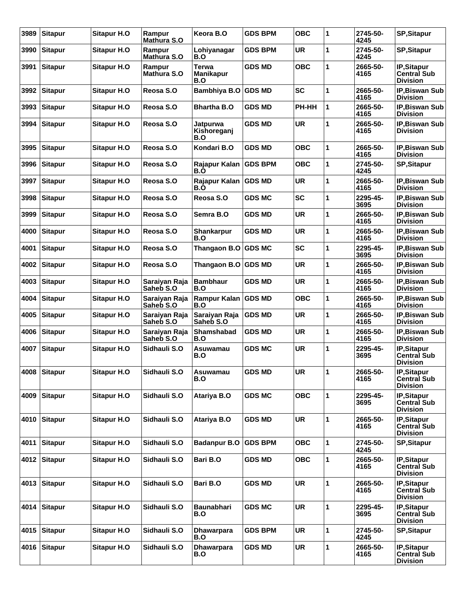| 3989 | <b>Sitapur</b> | <b>Sitapur H.O</b> | Rampur<br><b>Mathura S.O</b> | Keora B.O                               | <b>GDS BPM</b> | <b>OBC</b> | 1 | 2745-50-<br>4245 | <b>SP, Sitapur</b>                                         |
|------|----------------|--------------------|------------------------------|-----------------------------------------|----------------|------------|---|------------------|------------------------------------------------------------|
| 3990 | <b>Sitapur</b> | <b>Sitapur H.O</b> | Rampur<br>Mathura S.O        | Lohiyanagar<br>B.O                      | <b>GDS BPM</b> | <b>UR</b>  | 1 | 2745-50-<br>4245 | <b>SP.Sitapur</b>                                          |
| 3991 | <b>Sitapur</b> | <b>Sitapur H.O</b> | Rampur<br><b>Mathura S.O</b> | <b>Terwa</b><br><b>Manikapur</b><br>B.O | <b>GDS MD</b>  | <b>OBC</b> | 1 | 2665-50-<br>4165 | IP, Sitapur<br><b>Central Sub</b><br><b>Division</b>       |
| 3992 | <b>Sitapur</b> | <b>Sitapur H.O</b> | Reosa S.O                    | Bambhiya B.O                            | <b>GDS MD</b>  | <b>SC</b>  | 1 | 2665-50-<br>4165 | <b>IP, Biswan Sub</b><br><b>Division</b>                   |
| 3993 | <b>Sitapur</b> | <b>Sitapur H.O</b> | Reosa S.O                    | <b>Bhartha B.O</b>                      | <b>GDS MD</b>  | PH-HH      | 1 | 2665-50-<br>4165 | IP, Biswan Sub<br>Division                                 |
| 3994 | <b>Sitapur</b> | <b>Sitapur H.O</b> | Reosa S.O                    | Jatpurwa<br>Kishoreganj<br>B.O          | <b>GDS MD</b>  | <b>UR</b>  | 1 | 2665-50-<br>4165 | <b>IP, Biswan Sub</b><br><b>Division</b>                   |
| 3995 | <b>Sitapur</b> | <b>Sitapur H.O</b> | Reosa S.O                    | Kondari B.O                             | <b>GDS MD</b>  | <b>OBC</b> | 1 | 2665-50-<br>4165 | <b>IP, Biswan Sub</b><br>Division                          |
| 3996 | <b>Sitapur</b> | <b>Sitapur H.O</b> | Reosa S.O                    | Rajapur Kalan<br>B.O                    | <b>GDS BPM</b> | <b>OBC</b> | 1 | 2745-50-<br>4245 | <b>SP, Sitapur</b>                                         |
| 3997 | <b>Sitapur</b> | <b>Sitapur H.O</b> | Reosa S.O                    | Rajapur Kalan GDS MD<br>B.O             |                | <b>UR</b>  | 1 | 2665-50-<br>4165 | <b>IP, Biswan Sub</b><br>Division                          |
| 3998 | <b>Sitapur</b> | <b>Sitapur H.O</b> | Reosa S.O                    | Reosa S.O                               | <b>GDS MC</b>  | <b>SC</b>  | 1 | 2295-45-<br>3695 | <b>IP, Biswan Sub</b><br>Division                          |
| 3999 | <b>Sitapur</b> | <b>Sitapur H.O</b> | Reosa S.O                    | Semra B.O                               | <b>GDS MD</b>  | <b>UR</b>  | 1 | 2665-50-<br>4165 | <b>IP, Biswan Sub</b><br><b>Division</b>                   |
| 4000 | <b>Sitapur</b> | <b>Sitapur H.O</b> | Reosa S.O                    | Shankarpur<br>B.O                       | <b>GDS MD</b>  | <b>UR</b>  | 1 | 2665-50-<br>4165 | <b>IP, Biswan Sub</b><br><b>Division</b>                   |
| 4001 | <b>Sitapur</b> | <b>Sitapur H.O</b> | Reosa S.O                    | Thangaon B.O                            | <b>GDS MC</b>  | <b>SC</b>  | 1 | 2295-45-<br>3695 | <b>IP, Biswan Sub</b><br><b>Division</b>                   |
| 4002 | <b>Sitapur</b> | <b>Sitapur H.O</b> | Reosa S.O                    | Thangaon B.O GDS MD                     |                | <b>UR</b>  | 1 | 2665-50-<br>4165 | <b>IP, Biswan Sub</b><br>Division                          |
| 4003 | <b>Sitapur</b> | <b>Sitapur H.O</b> | Saraiyan Raja<br>Saheb S.O   | <b>Bambhaur</b><br>B.O                  | <b>GDS MD</b>  | <b>UR</b>  | 1 | 2665-50-<br>4165 | IP, Biswan Sub<br><b>Division</b>                          |
| 4004 | <b>Sitapur</b> | <b>Sitapur H.O</b> | Saraiyan Raja<br>Saheb S.O   | Rampur Kalan GDS MD<br>B.O              |                | <b>OBC</b> | 1 | 2665-50-<br>4165 | <b>IP, Biswan Sub</b><br>Division                          |
| 4005 | <b>Sitapur</b> | <b>Sitapur H.O</b> | Saraiyan Raja<br>Saheb S.O   | Saraiyan Raja<br>Saheb S.O              | <b>GDS MD</b>  | <b>UR</b>  | 1 | 2665-50-<br>4165 | <b>IP, Biswan Sub</b><br><b>Division</b>                   |
| 4006 | <b>Sitapur</b> | <b>Sitapur H.O</b> | Saraiyan Raja<br>Saheb S.O   | Shamshabad<br>B.O                       | <b>GDS MD</b>  | <b>UR</b>  | 1 | 2665-50-<br>4165 | IP, Biswan Sub<br><b>Division</b>                          |
| 4007 | <b>Sitapur</b> | Sitapur H.O        | Sidhauli S.O                 | Asuwamau<br>B.O                         | GDS MC         | UR         | 1 | 2295-45-<br>3695 | IP, Sitapur<br>Central Sub<br><b>Division</b>              |
|      | 4008 Sitapur   | <b>Sitapur H.O</b> | Sidhauli S.O                 | <b>Asuwamau</b><br>B.O                  | <b>GDS MD</b>  | <b>UR</b>  | 1 | 2665-50-<br>4165 | IP, Sitapur<br><b>Central Sub</b><br><b>Division</b>       |
| 4009 | <b>Sitapur</b> | <b>Sitapur H.O</b> | Sidhauli S.O                 | Atariya B.O                             | <b>GDS MC</b>  | <b>OBC</b> | 1 | 2295-45-<br>3695 | IP, Sitapur<br><b>Central Sub</b><br><b>Division</b>       |
| 4010 | <b>Sitapur</b> | <b>Sitapur H.O</b> | Sidhauli S.O                 | Atariya B.O                             | <b>GDS MD</b>  | <b>UR</b>  | 1 | 2665-50-<br>4165 | IP, Sitapur<br><b>Central Sub</b><br><b>Division</b>       |
| 4011 | <b>Sitapur</b> | <b>Sitapur H.O</b> | Sidhauli S.O                 | <b>Badanpur B.O</b>                     | <b>GDS BPM</b> | <b>OBC</b> | 1 | 2745-50-<br>4245 | <b>SP, Sitapur</b>                                         |
| 4012 | <b>Sitapur</b> | <b>Sitapur H.O</b> | Sidhauli S.O                 | Bari B.O                                | <b>GDS MD</b>  | <b>OBC</b> | 1 | 2665-50-<br>4165 | <b>IP.Sitapur</b><br><b>Central Sub</b><br><b>Division</b> |
| 4013 | <b>Sitapur</b> | <b>Sitapur H.O</b> | Sidhauli S.O                 | Bari B.O                                | <b>GDS MD</b>  | <b>UR</b>  | 1 | 2665-50-<br>4165 | IP, Sitapur<br><b>Central Sub</b><br><b>Division</b>       |
| 4014 | <b>Sitapur</b> | <b>Sitapur H.O</b> | Sidhauli S.O                 | <b>Baunabhari</b><br>B.O                | <b>GDS MC</b>  | <b>UR</b>  | 1 | 2295-45-<br>3695 | IP, Sitapur<br><b>Central Sub</b><br><b>Division</b>       |
| 4015 | <b>Sitapur</b> | <b>Sitapur H.O</b> | Sidhauli S.O                 | <b>Dhawarpara</b><br>B.O                | <b>GDS BPM</b> | <b>UR</b>  | 1 | 2745-50-<br>4245 | <b>SP, Sitapur</b>                                         |
| 4016 | <b>Sitapur</b> | <b>Sitapur H.O</b> | Sidhauli S.O                 | <b>Dhawarpara</b><br>B.O                | <b>GDS MD</b>  | <b>UR</b>  | 1 | 2665-50-<br>4165 | IP, Sitapur<br><b>Central Sub</b><br><b>Division</b>       |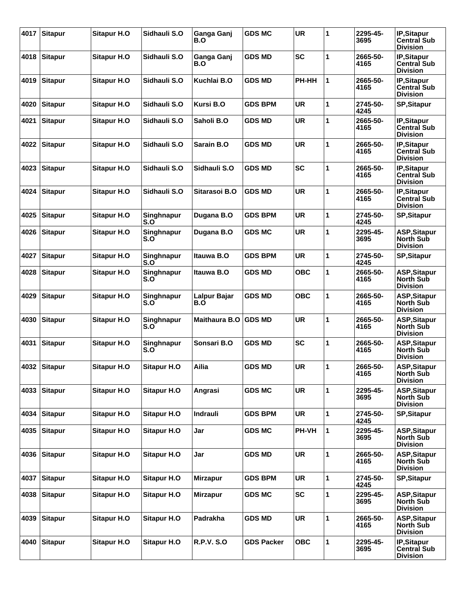| 4017 | <b>Sitapur</b> | <b>Sitapur H.O</b> | Sidhauli S.O             | Ganga Ganj<br>B.O          | <b>GDS MC</b>     | <b>UR</b>    | 1 | 2295-45-<br>3695 | <b>IP,Sitapur</b><br><b>Central Sub</b><br><b>Division</b> |
|------|----------------|--------------------|--------------------------|----------------------------|-------------------|--------------|---|------------------|------------------------------------------------------------|
| 4018 | <b>Sitapur</b> | Sitapur H.O        | Sidhauli S.O             | Ganga Ganj<br>B.O          | <b>GDS MD</b>     | <b>SC</b>    | 1 | 2665-50-<br>4165 | IP, Sitapur<br><b>Central Sub</b><br><b>Division</b>       |
| 4019 | <b>Sitapur</b> | <b>Sitapur H.O</b> | Sidhauli S.O             | Kuchlai B.O                | <b>GDS MD</b>     | PH-HH        | 1 | 2665-50-<br>4165 | IP, Sitapur<br>Central Sub<br><b>Division</b>              |
| 4020 | <b>Sitapur</b> | <b>Sitapur H.O</b> | Sidhauli S.O             | Kursi B.O                  | <b>GDS BPM</b>    | <b>UR</b>    | 1 | 2745-50-<br>4245 | <b>SP, Sitapur</b>                                         |
| 4021 | <b>Sitapur</b> | Sitapur H.O        | Sidhauli S.O             | Saholi B.O                 | GDS MD            | <b>UR</b>    | 1 | 2665-50-<br>4165 | IP, Sitapur<br><b>Central Sub</b><br><b>Division</b>       |
| 4022 | <b>Sitapur</b> | <b>Sitapur H.O</b> | Sidhauli S.O             | <b>Sarain B.O</b>          | <b>GDS MD</b>     | <b>UR</b>    | 1 | 2665-50-<br>4165 | IP, Sitapur<br>Central Sub<br><b>Division</b>              |
| 4023 | <b>Sitapur</b> | <b>Sitapur H.O</b> | Sidhauli S.O             | Sidhauli S.O               | <b>GDS MD</b>     | <b>SC</b>    | 1 | 2665-50-<br>4165 | IP, Sitapur<br>Central Sub<br><b>Division</b>              |
| 4024 | <b>Sitapur</b> | <b>Sitapur H.O</b> | Sidhauli S.O             | Sitarasoi B.O              | <b>GDS MD</b>     | <b>UR</b>    | 1 | 2665-50-<br>4165 | IP, Sitapur<br><b>Central Sub</b><br><b>Division</b>       |
| 4025 | <b>Sitapur</b> | <b>Sitapur H.O</b> | Singhnapur<br>S.O        | Dugana B.O                 | <b>GDS BPM</b>    | <b>UR</b>    | 1 | 2745-50-<br>4245 | <b>SP, Sitapur</b>                                         |
| 4026 | <b>Sitapur</b> | Sitapur H.O        | Singhnapur<br>S.O        | Dugana B.O                 | <b>GDS MC</b>     | <b>UR</b>    | 1 | 2295-45-<br>3695 | <b>ASP, Sitapur</b><br><b>North Sub</b><br><b>Division</b> |
| 4027 | <b>Sitapur</b> | <b>Sitapur H.O</b> | Singhnapur<br>S.O        | Itauwa B.O                 | <b>GDS BPM</b>    | <b>UR</b>    | 1 | 2745-50-<br>4245 | <b>SP, Sitapur</b>                                         |
| 4028 | <b>Sitapur</b> | <b>Sitapur H.O</b> | Singhnapur<br>S.O        | Itauwa B.O                 | <b>GDS MD</b>     | <b>OBC</b>   | 1 | 2665-50-<br>4165 | <b>ASP, Sitapur</b><br><b>North Sub</b><br><b>Division</b> |
| 4029 | <b>Sitapur</b> | Sitapur H.O        | <b>Singhnapur</b><br>S.O | <b>Lalpur Bajar</b><br>B.O | <b>GDS MD</b>     | <b>OBC</b>   | 1 | 2665-50-<br>4165 | <b>ASP, Sitapur</b><br><b>North Sub</b><br><b>Division</b> |
| 4030 | <b>Sitapur</b> | <b>Sitapur H.O</b> | Singhnapur<br>S.O        | <b>Maithaura B.O</b>       | <b>GDS MD</b>     | <b>UR</b>    | 1 | 2665-50-<br>4165 | <b>ASP, Sitapur</b><br><b>North Sub</b><br><b>Division</b> |
| 4031 | <b>Sitapur</b> | <b>Sitapur H.O</b> | <b>Singhnapur</b><br>S.O | Sonsari B.O                | <b>GDS MD</b>     | <b>SC</b>    | 1 | 2665-50-<br>4165 | <b>ASP, Sitapur</b><br><b>North Sub</b><br><b>Division</b> |
| 4032 | <b>Sitapur</b> | <b>Sitapur H.O</b> | Sitapur H.O              | Ailia                      | <b>GDS MD</b>     | <b>UR</b>    | 1 | 2665-50-<br>4165 | ASP, Sitapur<br>North Sub<br><b>Division</b>               |
| 4033 | <b>Sitapur</b> | <b>Sitapur H.O</b> | <b>Sitapur H.O</b>       | Angrasi                    | <b>GDS MC</b>     | <b>UR</b>    | 1 | 2295-45-<br>3695 | <b>ASP, Sitapur</b><br><b>North Sub</b><br><b>Division</b> |
| 4034 | <b>Sitapur</b> | <b>Sitapur H.O</b> | <b>Sitapur H.O</b>       | Indrauli                   | <b>GDS BPM</b>    | <b>UR</b>    | 1 | 2745-50-<br>4245 | <b>SP, Sitapur</b>                                         |
| 4035 | <b>Sitapur</b> | <b>Sitapur H.O</b> | <b>Sitapur H.O</b>       | Jar                        | <b>GDS MC</b>     | <b>PH-VH</b> | 1 | 2295-45-<br>3695 | <b>ASP, Sitapur</b><br><b>North Sub</b><br><b>Division</b> |
| 4036 | <b>Sitapur</b> | Sitapur H.O        | <b>Sitapur H.O</b>       | Jar                        | <b>GDS MD</b>     | UR           | 1 | 2665-50-<br>4165 | <b>ASP, Sitapur</b><br><b>North Sub</b><br><b>Division</b> |
| 4037 | <b>Sitapur</b> | <b>Sitapur H.O</b> | <b>Sitapur H.O</b>       | <b>Mirzapur</b>            | <b>GDS BPM</b>    | <b>UR</b>    | 1 | 2745-50-<br>4245 | <b>SP, Sitapur</b>                                         |
| 4038 | <b>Sitapur</b> | <b>Sitapur H.O</b> | <b>Sitapur H.O</b>       | <b>Mirzapur</b>            | <b>GDS MC</b>     | <b>SC</b>    | 1 | 2295-45-<br>3695 | <b>ASP, Sitapur</b><br><b>North Sub</b><br><b>Division</b> |
| 4039 | <b>Sitapur</b> | <b>Sitapur H.O</b> | <b>Sitapur H.O</b>       | Padrakha                   | <b>GDS MD</b>     | UR           | 1 | 2665-50-<br>4165 | <b>ASP, Sitapur</b><br><b>North Sub</b><br><b>Division</b> |
| 4040 | <b>Sitapur</b> | <b>Sitapur H.O</b> | <b>Sitapur H.O</b>       | <b>R.P.V. S.O</b>          | <b>GDS Packer</b> | ОВС          | 1 | 2295-45-<br>3695 | IP, Sitapur<br><b>Central Sub</b><br><b>Division</b>       |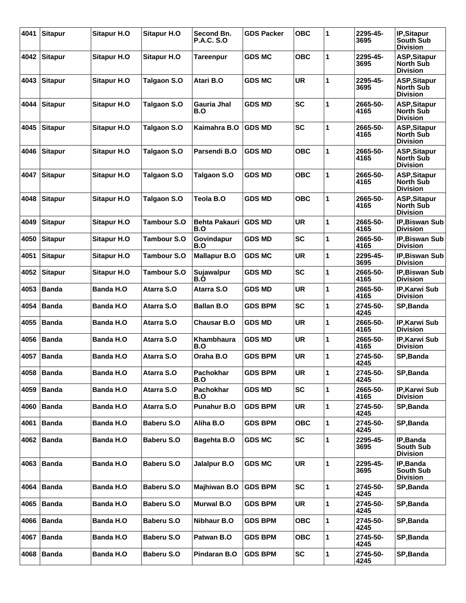| 4041 | <b>Sitapur</b> | <b>Sitapur H.O</b> | <b>Sitapur H.O</b> | Second Bn.<br><b>P.A.C. S.O</b> | <b>GDS Packer</b> | <b>OBC</b> | 1 | 2295-45-<br>3695 | IP, Sitapur<br>South Sub<br><b>Division</b>                |
|------|----------------|--------------------|--------------------|---------------------------------|-------------------|------------|---|------------------|------------------------------------------------------------|
| 4042 | <b>Sitapur</b> | Sitapur H.O        | <b>Sitapur H.O</b> | <b>Tareenpur</b>                | <b>GDS MC</b>     | <b>OBC</b> | 1 | 2295-45-<br>3695 | <b>ASP, Sitapur</b><br><b>North Sub</b><br><b>Division</b> |
| 4043 | <b>Sitapur</b> | <b>Sitapur H.O</b> | Talgaon S.O        | Atari B.O                       | <b>GDS MC</b>     | <b>UR</b>  | 1 | 2295-45-<br>3695 | <b>ASP, Sitapur</b><br><b>North Sub</b><br><b>Division</b> |
| 4044 | <b>Sitapur</b> | <b>Sitapur H.O</b> | Talgaon S.O        | <b>Gauria Jhal</b><br>B.O       | <b>GDS MD</b>     | <b>SC</b>  | 1 | 2665-50-<br>4165 | <b>ASP, Sitapur</b><br><b>North Sub</b><br><b>Division</b> |
| 4045 | <b>Sitapur</b> | <b>Sitapur H.O</b> | Talgaon S.O        | Kaimahra B.O                    | <b>GDS MD</b>     | <b>SC</b>  | 1 | 2665-50-<br>4165 | ASP, Sitapur<br><b>North Sub</b><br><b>Division</b>        |
| 4046 | <b>Sitapur</b> | <b>Sitapur H.O</b> | Talgaon S.O        | Parsendi B.O                    | <b>GDS MD</b>     | <b>OBC</b> | 1 | 2665-50-<br>4165 | <b>ASP, Sitapur</b><br><b>North Sub</b><br><b>Division</b> |
| 4047 | <b>Sitapur</b> | <b>Sitapur H.O</b> | Talgaon S.O        | Talgaon S.O                     | <b>GDS MD</b>     | <b>OBC</b> | 1 | 2665-50-<br>4165 | <b>ASP, Sitapur</b><br><b>North Sub</b><br><b>Division</b> |
| 4048 | <b>Sitapur</b> | <b>Sitapur H.O</b> | Talgaon S.O        | Teola B.O                       | <b>GDS MD</b>     | <b>OBC</b> | 1 | 2665-50-<br>4165 | <b>ASP, Sitapur</b><br><b>North Sub</b><br><b>Division</b> |
| 4049 | <b>Sitapur</b> | <b>Sitapur H.O</b> | Tambour S.O        | <b>Behta Pakauri</b><br>B.O     | <b>GDS MD</b>     | <b>UR</b>  | 1 | 2665-50-<br>4165 | <b>IP, Biswan Sub</b><br><b>Division</b>                   |
| 4050 | <b>Sitapur</b> | <b>Sitapur H.O</b> | Tambour S.O        | Govindapur<br>B.O               | <b>GDS MD</b>     | <b>SC</b>  | 1 | 2665-50-<br>4165 | <b>IP, Biswan Sub</b><br><b>Division</b>                   |
| 4051 | <b>Sitapur</b> | <b>Sitapur H.O</b> | Tambour S.O        | <b>Mallapur B.O</b>             | <b>GDS MC</b>     | <b>UR</b>  | 1 | 2295-45-<br>3695 | <b>IP, Biswan Sub</b><br><b>Division</b>                   |
| 4052 | <b>Sitapur</b> | <b>Sitapur H.O</b> | Tambour S.O        | Sujawalpur<br>B.O               | <b>GDS MD</b>     | <b>SC</b>  | 1 | 2665-50-<br>4165 | <b>IP, Biswan Sub</b><br>Division                          |
| 4053 | <b>Banda</b>   | <b>Banda H.O</b>   | Atarra S.O         | Atarra S.O                      | <b>GDS MD</b>     | <b>UR</b>  | 1 | 2665-50-<br>4165 | <b>IP.Karwi Sub</b><br>Division                            |
| 4054 | <b>Banda</b>   | <b>Banda H.O</b>   | Atarra S.O         | <b>Ballan B.O</b>               | <b>GDS BPM</b>    | <b>SC</b>  | 1 | 2745-50-<br>4245 | SP, Banda                                                  |
| 4055 | <b>Banda</b>   | <b>Banda H.O</b>   | Atarra S.O         | <b>Chausar B.O</b>              | <b>GDS MD</b>     | <b>UR</b>  | 1 | 2665-50-<br>4165 | IP, Karwi Sub<br><b>Division</b>                           |
| 4056 | <b>Banda</b>   | <b>Banda H.O</b>   | Atarra S.O         | <b>Khambhaura</b><br>B.O        | <b>GDS MD</b>     | <b>UR</b>  | 1 | 2665-50-<br>4165 | IP, Karwi Sub<br><b>Division</b>                           |
| 4057 | <b>Banda</b>   | <b>Banda H.O</b>   | Atarra S.O         | Oraha B.O                       | <b>GDS BPM</b>    | <b>UR</b>  | 1 | 2745-50-<br>4245 | SP, Banda                                                  |
|      | 4058   Banda   | <b>Banda H.O</b>   | Atarra S.O         | Pachokhar<br>B.O                | <b>GDS BPM</b>    | <b>UR</b>  | 1 | 2745-50-<br>4245 | SP, Banda                                                  |
| 4059 | <b>Banda</b>   | <b>Banda H.O</b>   | Atarra S.O         | Pachokhar<br>B.O                | <b>GDS MD</b>     | <b>SC</b>  | 1 | 2665-50-<br>4165 | IP, Karwi Sub<br><b>Division</b>                           |
| 4060 | <b>Banda</b>   | <b>Banda H.O</b>   | Atarra S.O         | Punahur B.O                     | <b>GDS BPM</b>    | <b>UR</b>  | 1 | 2745-50-<br>4245 | SP, Banda                                                  |
| 4061 | <b>Banda</b>   | Banda H.O          | Baberu S.O         | Aliha B.O                       | <b>GDS BPM</b>    | <b>OBC</b> | 1 | 2745-50-<br>4245 | SP, Banda                                                  |
| 4062 | <b>Banda</b>   | Banda H.O          | Baberu S.O         | <b>Bagehta B.O</b>              | <b>GDS MC</b>     | <b>SC</b>  | 1 | 2295-45-<br>3695 | IP, Banda<br><b>South Sub</b><br><b>Division</b>           |
| 4063 | <b>Banda</b>   | <b>Banda H.O</b>   | Baberu S.O         | Jalalpur B.O                    | <b>GDS MC</b>     | <b>UR</b>  | 1 | 2295-45-<br>3695 | IP, Banda<br><b>South Sub</b><br><b>Division</b>           |
| 4064 | <b>Banda</b>   | Banda H.O          | Baberu S.O         | <b>Majhiwan B.O</b>             | <b>GDS BPM</b>    | <b>SC</b>  | 1 | 2745-50-<br>4245 | SP, Banda                                                  |
| 4065 | <b>Banda</b>   | <b>Banda H.O</b>   | Baberu S.O         | <b>Murwal B.O</b>               | <b>GDS BPM</b>    | UR         | 1 | 2745-50-<br>4245 | SP, Banda                                                  |
| 4066 | <b>Banda</b>   | <b>Banda H.O</b>   | Baberu S.O         | Nibhaur B.O                     | <b>GDS BPM</b>    | <b>OBC</b> | 1 | 2745-50-<br>4245 | SP,Banda                                                   |
| 4067 | <b>Banda</b>   | <b>Banda H.O</b>   | Baberu S.O         | Patwan B.O                      | <b>GDS BPM</b>    | <b>OBC</b> | 1 | 2745-50-<br>4245 | SP,Banda                                                   |
| 4068 | <b>Banda</b>   | Banda H.O          | Baberu S.O         | Pindaran B.O                    | <b>GDS BPM</b>    | <b>SC</b>  | 1 | 2745-50-<br>4245 | SP,Banda                                                   |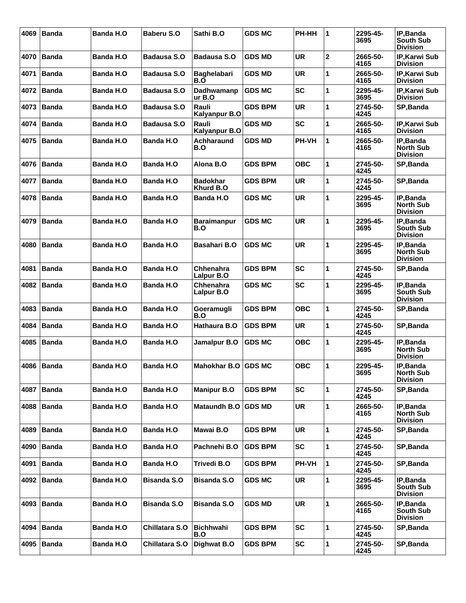| 4069 | <b>Banda</b> | <b>Banda H.O</b> | Baberu S.O         | Sathi B.O                     | <b>GDS MC</b>  | PH-HH        | 1 | 2295-45-<br>3695 | IP, Banda<br><b>South Sub</b><br><b>Division</b>        |
|------|--------------|------------------|--------------------|-------------------------------|----------------|--------------|---|------------------|---------------------------------------------------------|
| 4070 | <b>Banda</b> | Banda H.O        | Badausa S.O        | <b>Badausa S.O</b>            | <b>GDS MD</b>  | <b>UR</b>    | 2 | 2665-50-<br>4165 | IP, Karwi Sub<br><b>Division</b>                        |
| 4071 | <b>Banda</b> | <b>Banda H.O</b> | <b>Badausa S.O</b> | <b>Baghelabari</b><br>B.O     | <b>GDS MD</b>  | <b>UR</b>    | 1 | 2665-50-<br>4165 | IP, Karwi Sub<br><b>Division</b>                        |
| 4072 | <b>Banda</b> | Banda H.O        | Badausa S.O        | Dadhwamanp<br>ur B.O          | <b>GDS MC</b>  | <b>SC</b>    | 1 | 2295-45-<br>3695 | IP, Karwi Sub<br><b>Division</b>                        |
| 4073 | <b>Banda</b> | <b>Banda H.O</b> | Badausa S.O        | Rauli<br>Kalyanpur B.O        | <b>GDS BPM</b> | <b>UR</b>    | 1 | 2745-50-<br>4245 | SP, Banda                                               |
| 4074 | <b>Banda</b> | Banda H.O        | Badausa S.O        | Rauli<br><b>Kalyanpur B.O</b> | <b>GDS MD</b>  | <b>SC</b>    | 1 | 2665-50-<br>4165 | <b>IP, Karwi Sub</b><br><b>Division</b>                 |
| 4075 | <b>Banda</b> | Banda H.O        | Banda H.O          | Achharaund<br>B.O             | <b>GDS MD</b>  | <b>PH-VH</b> | 1 | 2665-50-<br>4165 | IP, Banda<br><b>North Sub</b><br><b>Division</b>        |
| 4076 | <b>Banda</b> | <b>Banda H.O</b> | <b>Banda H.O</b>   | Alona B.O                     | <b>GDS BPM</b> | <b>OBC</b>   | 1 | 2745-50-<br>4245 | SP, Banda                                               |
| 4077 | <b>Banda</b> | Banda H.O        | <b>Banda H.O</b>   | <b>Badokhar</b><br>Khurd B.O  | <b>GDS BPM</b> | <b>UR</b>    | 1 | 2745-50-<br>4245 | SP, Banda                                               |
| 4078 | <b>Banda</b> | Banda H.O        | Banda H.O          | <b>Banda H.O</b>              | <b>GDS MC</b>  | <b>UR</b>    | 1 | 2295-45-<br>3695 | <b>IP, Banda</b><br><b>North Sub</b><br><b>Division</b> |
| 4079 | <b>Banda</b> | Banda H.O        | Banda H.O          | <b>Baraimanpur</b><br>B.O     | <b>GDS MC</b>  | <b>UR</b>    | 1 | 2295-45-<br>3695 | IP, Banda<br><b>South Sub</b><br><b>Division</b>        |
| 4080 | <b>Banda</b> | <b>Banda H.O</b> | <b>Banda H.O</b>   | <b>Basahari B.O</b>           | <b>GDS MC</b>  | <b>UR</b>    | 1 | 2295-45-<br>3695 | IP, Banda<br><b>North Sub</b><br><b>Division</b>        |
| 4081 | <b>Banda</b> | <b>Banda H.O</b> | <b>Banda H.O</b>   | Chhenahra<br>Lalpur B.O       | <b>GDS BPM</b> | <b>SC</b>    | 1 | 2745-50-<br>4245 | SP, Banda                                               |
| 4082 | <b>Banda</b> | Banda H.O        | Banda H.O          | Chhenahra<br>Lalpur B.O       | <b>GDS MC</b>  | <b>SC</b>    | 1 | 2295-45-<br>3695 | IP, Banda<br><b>South Sub</b><br><b>Division</b>        |
| 4083 | <b>Banda</b> | <b>Banda H.O</b> | <b>Banda H.O</b>   | Goeramugli<br>B.O             | <b>GDS BPM</b> | <b>OBC</b>   | 1 | 2745-50-<br>4245 | SP, Banda                                               |
| 4084 | <b>Banda</b> | Banda H.O        | Banda H.O          | Hathaura B.O                  | <b>GDS BPM</b> | <b>UR</b>    | 1 | 2745-50-<br>4245 | SP, Banda                                               |
| 4085 | <b>Banda</b> | Banda H.O        | Banda H.O          | Jamalpur B.O                  | <b>GDS MC</b>  | <b>OBC</b>   | 1 | 2295-45-<br>3695 | IP, Banda<br><b>North Sub</b><br><b>Division</b>        |
|      | 4086 Banda   | <b>Banda H.O</b> | <b>Banda H.O</b>   | Mahokhar B.O GDS MC           |                | <b>OBC</b>   | 1 | 2295-45-<br>3695 | IP, Banda<br>North Sub<br><b>Division</b>               |
| 4087 | <b>Banda</b> | Banda H.O        | <b>Banda H.O</b>   | <b>Manipur B.O</b>            | <b>GDS BPM</b> | <b>SC</b>    | 1 | 2745-50-<br>4245 | SP, Banda                                               |
| 4088 | <b>Banda</b> | <b>Banda H.O</b> | <b>Banda H.O</b>   | Mataundh B.O                  | <b>GDS MD</b>  | <b>UR</b>    | 1 | 2665-50-<br>4165 | IP, Banda<br><b>North Sub</b><br><b>Division</b>        |
| 4089 | <b>Banda</b> | Banda H.O        | Banda H.O          | Mawai B.O                     | <b>GDS BPM</b> | <b>UR</b>    | 1 | 2745-50-<br>4245 | SP, Banda                                               |
| 4090 | <b>Banda</b> | <b>Banda H.O</b> | <b>Banda H.O</b>   | Pachnehi B.O                  | <b>GDS BPM</b> | <b>SC</b>    | 1 | 2745-50-<br>4245 | SP, Banda                                               |
| 4091 | <b>Banda</b> | Banda H.O        | Banda H.O          | Trivedi B.O                   | <b>GDS BPM</b> | <b>PH-VH</b> | 1 | 2745-50-<br>4245 | SP, Banda                                               |
| 4092 | <b>Banda</b> | Banda H.O        | <b>Bisanda S.O</b> | <b>Bisanda S.O</b>            | <b>GDS MC</b>  | <b>UR</b>    | 1 | 2295-45-<br>3695 | IP, Banda<br><b>South Sub</b><br><b>Division</b>        |
| 4093 | <b>Banda</b> | Banda H.O        | <b>Bisanda S.O</b> | <b>Bisanda S.O</b>            | <b>GDS MD</b>  | UR           | 1 | 2665-50-<br>4165 | IP, Banda<br><b>South Sub</b><br><b>Division</b>        |
| 4094 | <b>Banda</b> | <b>Banda H.O</b> | Chillatara S.O     | <b>Bichhwahi</b><br>B.O       | <b>GDS BPM</b> | <b>SC</b>    | 1 | 2745-50-<br>4245 | SP, Banda                                               |
| 4095 | <b>Banda</b> | Banda H.O        | Chillatara S.O     | Dighwat B.O                   | <b>GDS BPM</b> | <b>SC</b>    | 1 | 2745-50-<br>4245 | SP, Banda                                               |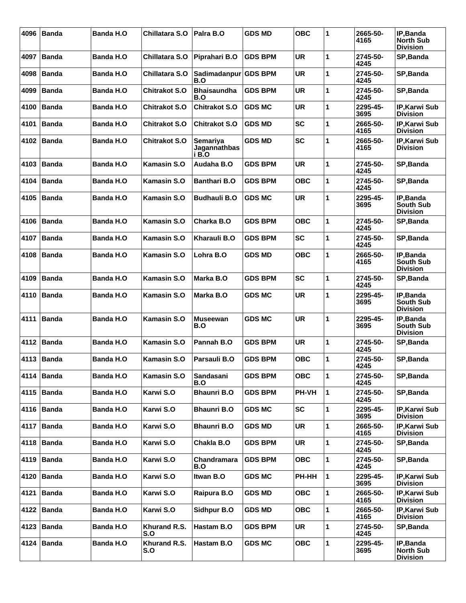| 4096 | <b>Banda</b> | <b>Banda H.O</b> | Chillatara S.O       | Palra B.O                         | <b>GDS MD</b>  | <b>OBC</b> | 1            | 2665-50-<br>4165 | IP, Banda<br><b>North Sub</b><br><b>Division</b> |
|------|--------------|------------------|----------------------|-----------------------------------|----------------|------------|--------------|------------------|--------------------------------------------------|
| 4097 | <b>Banda</b> | <b>Banda H.O</b> | Chillatara S.O       | Piprahari B.O                     | <b>GDS BPM</b> | <b>UR</b>  | 1            | 2745-50-<br>4245 | SP, Banda                                        |
| 4098 | <b>Banda</b> | Banda H.O        | Chillatara S.O       | Sadimadanpur<br>B.O               | <b>GDS BPM</b> | <b>UR</b>  | 1            | 2745-50-<br>4245 | SP, Banda                                        |
| 4099 | <b>Banda</b> | Banda H.O        | <b>Chitrakot S.O</b> | <b>Bhaisaundha</b><br>B.O         | <b>GDS BPM</b> | <b>UR</b>  | 1            | 2745-50-<br>4245 | SP, Banda                                        |
| 4100 | <b>Banda</b> | <b>Banda H.O</b> | <b>Chitrakot S.O</b> | <b>Chitrakot S.O</b>              | <b>GDS MC</b>  | <b>UR</b>  | 1            | 2295-45-<br>3695 | <b>IP.Karwi Sub</b><br>Division                  |
| 4101 | <b>Banda</b> | Banda H.O        | <b>Chitrakot S.O</b> | <b>Chitrakot S.O</b>              | <b>GDS MD</b>  | <b>SC</b>  | 1            | 2665-50-<br>4165 | IP, Karwi Sub<br><b>Division</b>                 |
| 4102 | <b>Banda</b> | Banda H.O        | <b>Chitrakot S.O</b> | Semariya<br>Jagannathbas<br>i B.O | <b>GDS MD</b>  | <b>SC</b>  | 1            | 2665-50-<br>4165 | IP, Karwi Sub<br><b>Division</b>                 |
| 4103 | <b>Banda</b> | <b>Banda H.O</b> | <b>Kamasin S.O</b>   | Audaha B.O                        | <b>GDS BPM</b> | <b>UR</b>  | 1            | 2745-50-<br>4245 | SP, Banda                                        |
| 4104 | <b>Banda</b> | Banda H.O        | Kamasin S.O          | <b>Banthari B.O</b>               | <b>GDS BPM</b> | <b>OBC</b> | 1            | 2745-50-<br>4245 | SP, Banda                                        |
| 4105 | <b>Banda</b> | <b>Banda H.O</b> | Kamasin S.O          | <b>Budhauli B.O</b>               | <b>GDS MC</b>  | <b>UR</b>  | 1            | 2295-45-<br>3695 | IP, Banda<br>South Sub<br><b>Division</b>        |
| 4106 | <b>Banda</b> | <b>Banda H.O</b> | Kamasin S.O          | Charka B.O                        | <b>GDS BPM</b> | <b>OBC</b> | 1            | 2745-50-<br>4245 | SP, Banda                                        |
| 4107 | <b>Banda</b> | Banda H.O        | Kamasin S.O          | Kharauli B.O                      | <b>GDS BPM</b> | <b>SC</b>  | 1            | 2745-50-<br>4245 | SP, Banda                                        |
| 4108 | <b>Banda</b> | Banda H.O        | Kamasin S.O          | Lohra B.O                         | <b>GDS MD</b>  | <b>OBC</b> | 1            | 2665-50-<br>4165 | IP, Banda<br><b>South Sub</b><br><b>Division</b> |
| 4109 | <b>Banda</b> | <b>Banda H.O</b> | Kamasin S.O          | Marka B.O                         | <b>GDS BPM</b> | <b>SC</b>  | 1            | 2745-50-<br>4245 | SP, Banda                                        |
| 4110 | <b>Banda</b> | Banda H.O        | Kamasin S.O          | Marka B.O                         | <b>GDS MC</b>  | <b>UR</b>  | 1            | 2295-45-<br>3695 | IP, Banda<br><b>South Sub</b><br><b>Division</b> |
| 4111 | <b>Banda</b> | Banda H.O        | Kamasin S.O          | <b>Museewan</b><br>B.O            | <b>GDS MC</b>  | <b>UR</b>  | 1            | 2295-45-<br>3695 | IP, Banda<br>South Sub<br><b>Division</b>        |
| 4112 | <b>Banda</b> | Banda H.O        | <b>Kamasin S.O</b>   | Pannah B.O                        | <b>GDS BPM</b> | <b>UR</b>  | 1            | 2745-50-<br>4245 | SP, Banda                                        |
| 4113 | <b>Banda</b> | Banda H.O        | Kamasin S.O          | Parsauli B.O                      | <b>GDS BPM</b> | <b>OBC</b> | 1            | 2745-50-<br>4245 | SP, Banda                                        |
|      | 4114   Banda | Banda H.O        | Kamasin S.O          | Sandasani<br>B.O                  | <b>GDS BPM</b> | <b>OBC</b> | 1            | 2745-50-<br>4245 | SP, Banda                                        |
| 4115 | <b>Banda</b> | Banda H.O        | Karwi S.O            | <b>Bhaunri B.O</b>                | <b>GDS BPM</b> | PH-VH      | $\mathbf{1}$ | 2745-50-<br>4245 | SP, Banda                                        |
|      | 4116   Banda | <b>Banda H.O</b> | Karwi S.O            | <b>Bhaunri B.O</b>                | <b>GDS MC</b>  | <b>SC</b>  | $\mathbf{1}$ | 2295-45-<br>3695 | IP, Karwi Sub<br><b>Division</b>                 |
| 4117 | <b>Banda</b> | Banda H.O        | Karwi S.O            | <b>Bhaunri B.O</b>                | <b>GDS MD</b>  | UR         | 1            | 2665-50-<br>4165 | IP, Karwi Sub<br><b>Division</b>                 |
| 4118 | <b>Banda</b> | Banda H.O        | Karwi S.O            | Chakla B.O                        | <b>GDS BPM</b> | <b>UR</b>  | 1            | 2745-50-<br>4245 | SP, Banda                                        |
| 4119 | <b>Banda</b> | Banda H.O        | Karwi S.O            | Chandramara<br>B.O                | <b>GDS BPM</b> | <b>OBC</b> | 1            | 2745-50-<br>4245 | SP, Banda                                        |
| 4120 | <b>Banda</b> | <b>Banda H.O</b> | Karwi S.O            | Itwan B.O                         | <b>GDS MC</b>  | PH-HH      | 1            | 2295-45-<br>3695 | IP, Karwi Sub<br><b>Division</b>                 |
| 4121 | <b>Banda</b> | Banda H.O        | Karwi S.O            | Raipura B.O                       | <b>GDS MD</b>  | <b>OBC</b> | 1            | 2665-50-<br>4165 | IP, Karwi Sub<br><b>Division</b>                 |
| 4122 | <b>Banda</b> | Banda H.O        | Karwi S.O            | Sidhpur B.O                       | <b>GDS MD</b>  | <b>OBC</b> | $\mathbf{1}$ | 2665-50-<br>4165 | IP, Karwi Sub<br><b>Division</b>                 |
| 4123 | <b>Banda</b> | <b>Banda H.O</b> | Khurand R.S.<br>S.O  | Hastam B.O                        | <b>GDS BPM</b> | UR         | 1            | 2745-50-<br>4245 | SP, Banda                                        |
| 4124 | <b>Banda</b> | <b>Banda H.O</b> | Khurand R.S.<br>S.O  | Hastam B.O                        | <b>GDS MC</b>  | <b>OBC</b> | 1            | 2295-45-<br>3695 | IP, Banda<br><b>North Sub</b><br><b>Division</b> |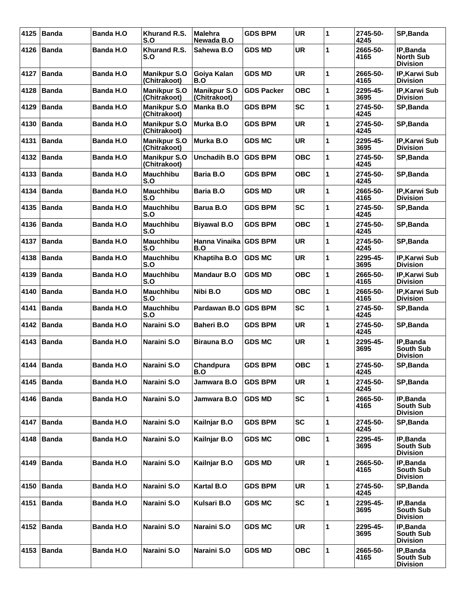| 4125 | <b>Banda</b> | Banda H.O        | Khurand R.S.<br>S.O                 | <b>Malehra</b><br>Newada B.O        | <b>GDS BPM</b>    | <b>UR</b>  | 1 | 2745-50-<br>4245 | SP, Banda                                              |
|------|--------------|------------------|-------------------------------------|-------------------------------------|-------------------|------------|---|------------------|--------------------------------------------------------|
| 4126 | Banda        | <b>Banda H.O</b> | Khurand R.S.<br>S.O                 | Sahewa B.O                          | <b>GDS MD</b>     | <b>UR</b>  | 1 | 2665-50-<br>4165 | <b>IP.Banda</b><br><b>North Sub</b><br><b>Division</b> |
| 4127 | <b>Banda</b> | <b>Banda H.O</b> | <b>Manikpur S.O</b><br>(Chitrakoot) | Goiya Kalan<br>B.O                  | <b>GDS MD</b>     | <b>UR</b>  | 1 | 2665-50-<br>4165 | IP, Karwi Sub<br><b>Division</b>                       |
| 4128 | <b>Banda</b> | <b>Banda H.O</b> | <b>Manikpur S.O</b><br>(Chitrakoot) | <b>Manikpur S.O</b><br>(Chitrakoot) | <b>GDS Packer</b> | <b>OBC</b> | 1 | 2295-45-<br>3695 | IP, Karwi Sub<br><b>Division</b>                       |
| 4129 | <b>Banda</b> | <b>Banda H.O</b> | <b>Manikpur S.O</b><br>(Chitrakoot) | Manka B.O                           | <b>GDS BPM</b>    | <b>SC</b>  | 1 | 2745-50-<br>4245 | SP, Banda                                              |
| 4130 | <b>Banda</b> | <b>Banda H.O</b> | <b>Manikpur S.O</b><br>(Chitrakoot) | Murka B.O                           | <b>GDS BPM</b>    | <b>UR</b>  | 1 | 2745-50-<br>4245 | SP, Banda                                              |
| 4131 | Banda        | <b>Banda H.O</b> | <b>Manikpur S.O</b><br>(Chitrakoot) | Murka B.O                           | GDS MC            | <b>UR</b>  | 1 | 2295-45-<br>3695 | IP, Karwi Sub<br><b>Division</b>                       |
| 4132 | <b>Banda</b> | <b>Banda H.O</b> | <b>Manikpur S.O</b><br>(Chitrakoot) | Unchadih B.O                        | <b>GDS BPM</b>    | <b>OBC</b> | 1 | 2745-50-<br>4245 | SP, Banda                                              |
| 4133 | <b>Banda</b> | <b>Banda H.O</b> | <b>Mauchhibu</b><br>S.O             | <b>Baria B.O</b>                    | <b>GDS BPM</b>    | <b>OBC</b> | 1 | 2745-50-<br>4245 | SP, Banda                                              |
| 4134 | <b>Banda</b> | <b>Banda H.O</b> | <b>Mauchhibu</b><br>S.O             | Baria B.O                           | GDS MD            | <b>UR</b>  | 1 | 2665-50-<br>4165 | IP, Karwi Sub<br><b>Division</b>                       |
| 4135 | Banda        | <b>Banda H.O</b> | <b>Mauchhibu</b><br>S.O             | Barua B.O                           | <b>GDS BPM</b>    | <b>SC</b>  | 1 | 2745-50-<br>4245 | SP, Banda                                              |
| 4136 | Banda        | <b>Banda H.O</b> | <b>Mauchhibu</b><br>S.O             | <b>Biyawal B.O</b>                  | <b>GDS BPM</b>    | <b>OBC</b> | 1 | 2745-50-<br>4245 | SP, Banda                                              |
| 4137 | <b>Banda</b> | Banda H.O        | <b>Mauchhibu</b><br>S.O             | Hanna Vinaika<br>B.O                | <b>GDS BPM</b>    | <b>UR</b>  | 1 | 2745-50-<br>4245 | SP, Banda                                              |
| 4138 | Banda        | <b>Banda H.O</b> | <b>Mauchhibu</b><br>S.O             | Khaptiha B.O                        | <b>GDS MC</b>     | <b>UR</b>  | 1 | 2295-45-<br>3695 | IP, Karwi Sub<br>Division                              |
| 4139 | <b>Banda</b> | <b>Banda H.O</b> | <b>Mauchhibu</b><br>S.O             | <b>Mandaur B.O</b>                  | <b>GDS MD</b>     | <b>OBC</b> | 1 | 2665-50-<br>4165 | IP, Karwi Sub<br><b>Division</b>                       |
| 4140 | <b>Banda</b> | <b>Banda H.O</b> | <b>Mauchhibu</b><br>S.O             | Nibi B.O                            | GDS MD            | <b>OBC</b> | 1 | 2665-50-<br>4165 | IP, Karwi Sub<br><b>Division</b>                       |
| 4141 | <b>Banda</b> | <b>Banda H.O</b> | <b>Mauchhibu</b><br>S.O             | Pardawan B.O                        | <b>GDS BPM</b>    | <b>SC</b>  | 1 | 2745-50-<br>4245 | SP, Banda                                              |
| 4142 | Banda        | <b>Banda H.O</b> | Naraini S.O                         | <b>Baheri B.O</b>                   | <b>GDS BPM</b>    | <b>UR</b>  | 1 | 2745-50-<br>4245 | SP, Banda                                              |
| 4143 | Banda        | <b>Banda H.O</b> | Naraini S.O                         | <b>Birauna B.O</b>                  | GDS MC            | <b>UR</b>  | 1 | 2295-45-<br>3695 | IP, Banda<br><b>South Sub</b><br><b>Division</b>       |
|      | 4144 Banda   | Banda H.O        | Naraini S.O                         | Chandpura<br>B.O                    | <b>GDS BPM</b>    | <b>OBC</b> | 1 | 2745-50-<br>4245 | SP, Banda                                              |
| 4145 | Banda        | <b>Banda H.O</b> | Naraini S.O                         | Jamwara B.O                         | <b>GDS BPM</b>    | <b>UR</b>  | 1 | 2745-50-<br>4245 | SP, Banda                                              |
| 4146 | <b>Banda</b> | <b>Banda H.O</b> | Naraini S.O                         | Jamwara B.O                         | <b>GDS MD</b>     | <b>SC</b>  | 1 | 2665-50-<br>4165 | IP,Banda<br>South Sub<br><b>Division</b>               |
| 4147 | Banda        | Banda H.O        | Naraini S.O                         | Kailnjar B.O                        | <b>GDS BPM</b>    | SC         | 1 | 2745-50-<br>4245 | SP, Banda                                              |
| 4148 | Banda        | <b>Banda H.O</b> | Naraini S.O                         | Kailnjar B.O                        | <b>GDS MC</b>     | <b>OBC</b> | 1 | 2295-45-<br>3695 | IP, Banda<br><b>South Sub</b><br><b>Division</b>       |
| 4149 | Banda        | Banda H.O        | Naraini S.O                         | Kailnjar B.O                        | <b>GDS MD</b>     | UR         | 1 | 2665-50-<br>4165 | IP, Banda<br>South Sub<br><b>Division</b>              |
| 4150 | Banda        | Banda H.O        | Naraini S.O                         | Kartal B.O                          | <b>GDS BPM</b>    | <b>UR</b>  | 1 | 2745-50-<br>4245 | SP, Banda                                              |
| 4151 | Banda        | <b>Banda H.O</b> | Naraini S.O                         | Kulsari B.O                         | <b>GDS MC</b>     | <b>SC</b>  | 1 | 2295-45-<br>3695 | IP, Banda<br><b>South Sub</b><br><b>Division</b>       |
| 4152 | Banda        | <b>Banda H.O</b> | Naraini S.O                         | Naraini S.O                         | <b>GDS MC</b>     | UR         | 1 | 2295-45-<br>3695 | IP, Banda<br><b>South Sub</b><br><b>Division</b>       |
| 4153 | Banda        | <b>Banda H.O</b> | Naraini S.O                         | Naraini S.O                         | <b>GDS MD</b>     | <b>OBC</b> | 1 | 2665-50-<br>4165 | IP, Banda<br>South Sub<br><b>Division</b>              |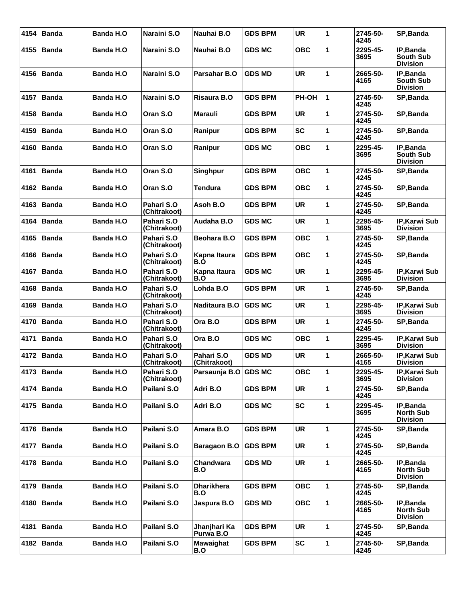| 4154 | <b>Banda</b> | Banda H.O        | Naraini S.O                | Nauhai B.O                 | <b>GDS BPM</b> | <b>UR</b>  | 1 | 2745-50-<br>4245 | SP, Banda                                        |
|------|--------------|------------------|----------------------------|----------------------------|----------------|------------|---|------------------|--------------------------------------------------|
| 4155 | <b>Banda</b> | <b>Banda H.O</b> | Naraini S.O                | Nauhai B.O                 | <b>GDS MC</b>  | <b>OBC</b> | 1 | 2295-45-<br>3695 | IP, Banda<br>South Sub<br><b>Division</b>        |
| 4156 | <b>Banda</b> | Banda H.O        | Naraini S.O                | Parsahar B.O               | <b>GDS MD</b>  | <b>UR</b>  | 1 | 2665-50-<br>4165 | IP, Banda<br>South Sub<br><b>Division</b>        |
| 4157 | <b>Banda</b> | <b>Banda H.O</b> | Naraini S.O                | Risaura B.O                | <b>GDS BPM</b> | PH-OH      | 1 | 2745-50-<br>4245 | SP, Banda                                        |
| 4158 | <b>Banda</b> | <b>Banda H.O</b> | Oran S.O                   | <b>Marauli</b>             | <b>GDS BPM</b> | <b>UR</b>  | 1 | 2745-50-<br>4245 | SP, Banda                                        |
| 4159 | <b>Banda</b> | <b>Banda H.O</b> | Oran S.O                   | Ranipur                    | <b>GDS BPM</b> | <b>SC</b>  | 1 | 2745-50-<br>4245 | SP, Banda                                        |
| 4160 | <b>Banda</b> | <b>Banda H.O</b> | Oran S.O                   | Ranipur                    | <b>GDS MC</b>  | <b>OBC</b> | 1 | 2295-45-<br>3695 | IP, Banda<br>South Sub<br><b>Division</b>        |
| 4161 | <b>Banda</b> | Banda H.O        | Oran S.O                   | <b>Singhpur</b>            | <b>GDS BPM</b> | <b>OBC</b> | 1 | 2745-50-<br>4245 | SP, Banda                                        |
| 4162 | <b>Banda</b> | <b>Banda H.O</b> | Oran S.O                   | <b>Tendura</b>             | <b>GDS BPM</b> | <b>OBC</b> | 1 | 2745-50-<br>4245 | SP, Banda                                        |
| 4163 | <b>Banda</b> | <b>Banda H.O</b> | Pahari S.O<br>(Chitrakoot) | Asoh B.O                   | <b>GDS BPM</b> | <b>UR</b>  | 1 | 2745-50-<br>4245 | SP, Banda                                        |
| 4164 | <b>Banda</b> | Banda H.O        | Pahari S.O<br>(Chitrakoot) | Audaha B.O                 | <b>GDS MC</b>  | <b>UR</b>  | 1 | 2295-45-<br>3695 | IP, Karwi Sub<br><b>Division</b>                 |
| 4165 | <b>Banda</b> | <b>Banda H.O</b> | Pahari S.O<br>(Chitrakoot) | Beohara B.O                | <b>GDS BPM</b> | <b>OBC</b> | 1 | 2745-50-<br>4245 | SP, Banda                                        |
| 4166 | <b>Banda</b> | <b>Banda H.O</b> | Pahari S.O<br>(Chitrakoot) | Kapna Itaura<br>B.O        | <b>GDS BPM</b> | <b>OBC</b> | 1 | 2745-50-<br>4245 | SP, Banda                                        |
| 4167 | <b>Banda</b> | <b>Banda H.O</b> | Pahari S.O<br>(Chitrakoot) | Kapna Itaura<br>B.O        | <b>GDS MC</b>  | <b>UR</b>  | 1 | 2295-45-<br>3695 | IP, Karwi Sub<br><b>Division</b>                 |
| 4168 | <b>Banda</b> | <b>Banda H.O</b> | Pahari S.O<br>(Chitrakoot) | Lohda B.O                  | <b>GDS BPM</b> | <b>UR</b>  | 1 | 2745-50-<br>4245 | SP, Banda                                        |
| 4169 | <b>Banda</b> | <b>Banda H.O</b> | Pahari S.O<br>(Chitrakoot) | Naditaura B.O              | <b>GDS MC</b>  | <b>UR</b>  | 1 | 2295-45-<br>3695 | IP, Karwi Sub<br><b>Division</b>                 |
| 4170 | <b>Banda</b> | <b>Banda H.O</b> | Pahari S.O<br>(Chitrakoot) | Ora B.O                    | <b>GDS BPM</b> | <b>UR</b>  | 1 | 2745-50-<br>4245 | SP, Banda                                        |
| 4171 | <b>Banda</b> | <b>Banda H.O</b> | Pahari S.O<br>(Chitrakoot) | Ora B.O                    | <b>GDS MC</b>  | <b>OBC</b> | 1 | 2295-45-<br>3695 | IP, Karwi Sub<br><b>Division</b>                 |
| 4172 | Banda        | <b>Banda H.O</b> | Pahari S.O<br>(Chitrakoot) | Pahari S.O<br>(Chitrakoot) | <b>GDS MD</b>  | <b>UR</b>  | 1 | 2665-50-<br>4165 | IP, Karwi Sub<br><b>Division</b>                 |
|      | 4173   Banda | <b>Banda H.O</b> | Pahari S.O<br>(Chitrakoot) | Parsaunja B.O GDS MC       |                | <b>OBC</b> | 1 | 2295-45-<br>3695 | IP, Karwi Sub<br><b>Division</b>                 |
| 4174 | Banda        | Banda H.O        | Pailani S.O                | Adri B.O                   | <b>GDS BPM</b> | <b>UR</b>  | 1 | 2745-50-<br>4245 | SP, Banda                                        |
|      | 4175   Banda | <b>Banda H.O</b> | Pailani S.O                | Adri B.O                   | <b>GDS MC</b>  | SC         | 1 | 2295-45-<br>3695 | IP, Banda<br><b>North Sub</b><br><b>Division</b> |
|      | 4176   Banda | Banda H.O        | Pailani S.O                | Amara B.O                  | <b>GDS BPM</b> | <b>UR</b>  | 1 | 2745-50-<br>4245 | SP, Banda                                        |
| 4177 | Banda        | Banda H.O        | Pailani S.O                | <b>Baragaon B.O</b>        | <b>GDS BPM</b> | UR         | 1 | 2745-50-<br>4245 | SP,Banda                                         |
| 4178 | <b>Banda</b> | <b>Banda H.O</b> | Pailani S.O                | Chandwara<br>B.O           | <b>GDS MD</b>  | UR         | 1 | 2665-50-<br>4165 | IP, Banda<br><b>North Sub</b><br><b>Division</b> |
| 4179 | <b>Banda</b> | Banda H.O        | Pailani S.O                | <b>Dharikhera</b><br>B.O   | <b>GDS BPM</b> | <b>OBC</b> | 1 | 2745-50-<br>4245 | SP, Banda                                        |
| 4180 | <b>Banda</b> | Banda H.O        | Pailani S.O                | Jaspura B.O                | <b>GDS MD</b>  | <b>OBC</b> | 1 | 2665-50-<br>4165 | IP, Banda<br><b>North Sub</b><br><b>Division</b> |
| 4181 | <b>Banda</b> | Banda H.O        | Pailani S.O                | Jhanjhari Ka<br>Purwa B.O  | <b>GDS BPM</b> | UR         | 1 | 2745-50-<br>4245 | SP, Banda                                        |
|      | 4182   Banda | Banda H.O        | Pailani S.O                | Mawaighat<br>B.O           | <b>GDS BPM</b> | SC         | 1 | 2745-50-<br>4245 | SP, Banda                                        |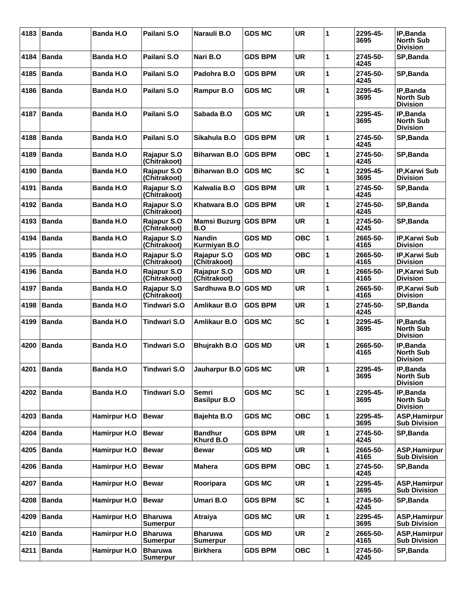| 4183 | <b>Banda</b> | <b>Banda H.O</b> | Pailani S.O                       | Narauli B.O                         | <b>GDS MC</b>  | <b>UR</b>  | 1            | 2295-45-<br>3695 | IP, Banda<br><b>North Sub</b><br><b>Division</b> |
|------|--------------|------------------|-----------------------------------|-------------------------------------|----------------|------------|--------------|------------------|--------------------------------------------------|
| 4184 | <b>Banda</b> | <b>Banda H.O</b> | Pailani S.O                       | Nari B.O                            | <b>GDS BPM</b> | <b>UR</b>  | 1            | 2745-50-<br>4245 | SP, Banda                                        |
| 4185 | <b>Banda</b> | Banda H.O        | Pailani S.O                       | Padohra B.O                         | <b>GDS BPM</b> | <b>UR</b>  | 1            | 2745-50-<br>4245 | SP, Banda                                        |
| 4186 | <b>Banda</b> | <b>Banda H.O</b> | Pailani S.O                       | <b>Rampur B.O</b>                   | <b>GDS MC</b>  | <b>UR</b>  | 1            | 2295-45-<br>3695 | IP, Banda<br><b>North Sub</b><br><b>Division</b> |
| 4187 | <b>Banda</b> | <b>Banda H.O</b> | Pailani S.O                       | Sabada B.O                          | <b>GDS MC</b>  | <b>UR</b>  | 1            | 2295-45-<br>3695 | IP, Banda<br><b>North Sub</b><br><b>Division</b> |
| 4188 | <b>Banda</b> | <b>Banda H.O</b> | Pailani S.O                       | Sikahula B.O                        | <b>GDS BPM</b> | <b>UR</b>  | 1            | 2745-50-<br>4245 | SP, Banda                                        |
| 4189 | <b>Banda</b> | <b>Banda H.O</b> | Rajapur S.O<br>(Chitrakoot)       | <b>Biharwan B.O</b>                 | <b>GDS BPM</b> | <b>OBC</b> | 1            | 2745-50-<br>4245 | SP, Banda                                        |
| 4190 | <b>Banda</b> | <b>Banda H.O</b> | Rajapur S.O<br>(Chitrakoot)       | <b>Biharwan B.O</b>                 | <b>GDS MC</b>  | <b>SC</b>  | 1            | 2295-45-<br>3695 | <b>IP.Karwi Sub</b><br>Division                  |
| 4191 | <b>Banda</b> | <b>Banda H.O</b> | Rajapur S.O<br>(Chitrakoot)       | Kalwalia B.O                        | <b>GDS BPM</b> | <b>UR</b>  | 1            | 2745-50-<br>4245 | SP, Banda                                        |
| 4192 | <b>Banda</b> | <b>Banda H.O</b> | Rajapur S.O<br>(Chitrakoot)       | Khatwara B.O                        | <b>GDS BPM</b> | <b>UR</b>  | 1            | 2745-50-<br>4245 | SP, Banda                                        |
| 4193 | <b>Banda</b> | <b>Banda H.O</b> | Rajapur S.O<br>(Chitrakoot)       | <b>Mamsi Buzurg</b><br>B.O          | <b>GDS BPM</b> | <b>UR</b>  | 1            | 2745-50-<br>4245 | SP.Banda                                         |
| 4194 | <b>Banda</b> | <b>Banda H.O</b> | Rajapur S.O<br>(Chitrakoot)       | <b>Nandin</b><br>Kurmiyan B.O       | <b>GDS MD</b>  | <b>OBC</b> | 1            | 2665-50-<br>4165 | IP, Karwi Sub<br><b>Division</b>                 |
| 4195 | <b>Banda</b> | Banda H.O        | Rajapur S.O<br>(Chitrakoot)       | Rajapur S.O<br>(Chitrakoot)         | <b>GDS MD</b>  | <b>OBC</b> | 1            | 2665-50-<br>4165 | IP, Karwi Sub<br><b>Division</b>                 |
| 4196 | <b>Banda</b> | <b>Banda H.O</b> | Rajapur S.O<br>(Chitrakoot)       | Rajapur S.O<br>(Chitrakoot)         | <b>GDS MD</b>  | <b>UR</b>  | 1            | 2665-50-<br>4165 | <b>IP, Karwi Sub</b><br><b>Division</b>          |
| 4197 | <b>Banda</b> | <b>Banda H.O</b> | Rajapur S.O<br>(Chitrakoot)       | Sardhuwa B.O                        | <b>GDS MD</b>  | <b>UR</b>  | 1            | 2665-50-<br>4165 | IP, Karwi Sub<br><b>Division</b>                 |
| 4198 | <b>Banda</b> | <b>Banda H.O</b> | Tindwari S.O                      | <b>Amlikaur B.O</b>                 | <b>GDS BPM</b> | <b>UR</b>  | 1            | 2745-50-<br>4245 | SP, Banda                                        |
| 4199 | <b>Banda</b> | Banda H.O        | Tindwari S.O                      | <b>Amlikaur B.O</b>                 | <b>GDS MC</b>  | <b>SC</b>  | 1            | 2295-45-<br>3695 | IP, Banda<br><b>North Sub</b><br><b>Division</b> |
| 4200 | <b>Banda</b> | <b>Banda H.O</b> | Tindwari S.O                      | <b>Bhujrakh B.O</b>                 | <b>GDS MD</b>  | <b>UR</b>  | 1            | 2665-50-<br>4165 | IP, Banda<br><b>North Sub</b><br><b>Division</b> |
|      | 4201 Banda   | Banda H.O        | Tindwari S.O                      | Jauharpur B.O GDS MC                |                | <b>UR</b>  | $\mathbf{1}$ | 2295-45-<br>3695 | IP, Banda<br><b>North Sub</b><br><b>Division</b> |
| 4202 | Banda        | Banda H.O        | Tindwari S.O                      | <b>Semri</b><br><b>Basilpur B.O</b> | <b>GDS MC</b>  | <b>SC</b>  | 1            | 2295-45-<br>3695 | IP, Banda<br><b>North Sub</b><br><b>Division</b> |
| 4203 | <b>Banda</b> | Hamirpur H.O     | <b>Bewar</b>                      | <b>Bajehta B.O</b>                  | <b>GDS MC</b>  | <b>OBC</b> | 1            | 2295-45-<br>3695 | <b>ASP, Hamirpur</b><br><b>Sub Division</b>      |
| 4204 | <b>Banda</b> | Hamirpur H.O     | <b>Bewar</b>                      | <b>Bandhur</b><br>Khurd B.O         | <b>GDS BPM</b> | <b>UR</b>  | 1            | 2745-50-<br>4245 | SP, Banda                                        |
| 4205 | <b>Banda</b> | Hamirpur H.O     | <b>Bewar</b>                      | <b>Bewar</b>                        | <b>GDS MD</b>  | <b>UR</b>  | 1            | 2665-50-<br>4165 | <b>ASP.Hamirpur</b><br><b>Sub Division</b>       |
| 4206 | <b>Banda</b> | Hamirpur H.O     | <b>Bewar</b>                      | <b>Mahera</b>                       | <b>GDS BPM</b> | <b>OBC</b> | 1            | 2745-50-<br>4245 | SP, Banda                                        |
| 4207 | <b>Banda</b> | Hamirpur H.O     | <b>Bewar</b>                      | Rooripara                           | <b>GDS MC</b>  | <b>UR</b>  | 1            | 2295-45-<br>3695 | ASP, Hamirpur<br><b>Sub Division</b>             |
| 4208 | Banda        | Hamirpur H.O     | <b>Bewar</b>                      | Umari B.O                           | <b>GDS BPM</b> | <b>SC</b>  | 1            | 2745-50-<br>4245 | SP, Banda                                        |
| 4209 | <b>Banda</b> | Hamirpur H.O     | <b>Bharuwa</b><br><b>Sumerpur</b> | Atraiya                             | <b>GDS MC</b>  | <b>UR</b>  | 1            | 2295-45-<br>3695 | ASP, Hamirpur<br><b>Sub Division</b>             |
| 4210 | <b>Banda</b> | Hamirpur H.O     | <b>Bharuwa</b><br>Sumerpur        | <b>Bharuwa</b><br>Sumerpur          | <b>GDS MD</b>  | <b>UR</b>  | $\mathbf 2$  | 2665-50-<br>4165 | ASP, Hamirpur<br><b>Sub Division</b>             |
| 4211 | <b>Banda</b> | Hamirpur H.O     | <b>Bharuwa</b><br>Sumerpur        | <b>Birkhera</b>                     | <b>GDS BPM</b> | <b>OBC</b> | 1            | 2745-50-<br>4245 | SP, Banda                                        |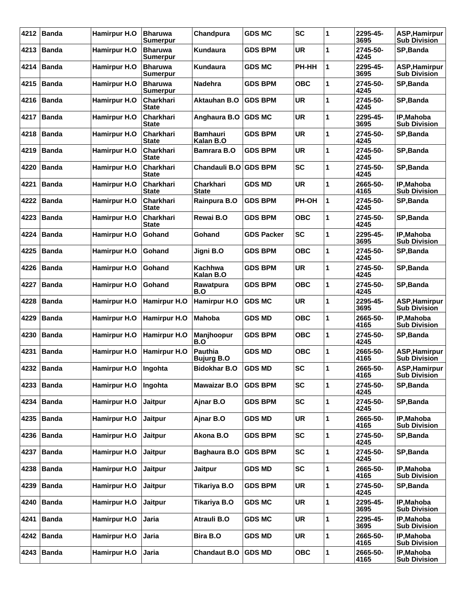| 4212 | <b>Banda</b> | Hamirpur H.O           | <b>Bharuwa</b><br><b>Sumerpur</b> | Chandpura                           | <b>GDS MC</b>     | <b>SC</b>  | 1 | 2295-45-<br>3695 | <b>ASP, Hamirpur</b><br><b>Sub Division</b> |
|------|--------------|------------------------|-----------------------------------|-------------------------------------|-------------------|------------|---|------------------|---------------------------------------------|
| 4213 | <b>Banda</b> | Hamirpur H.O           | <b>Bharuwa</b><br><b>Sumerpur</b> | Kundaura                            | <b>GDS BPM</b>    | <b>UR</b>  | 1 | 2745-50-<br>4245 | SP, Banda                                   |
| 4214 | <b>Banda</b> | Hamirpur H.O           | <b>Bharuwa</b><br><b>Sumerpur</b> | Kundaura                            | <b>GDS MC</b>     | PH-HH      | 1 | 2295-45-<br>3695 | ASP, Hamirpur<br><b>Sub Division</b>        |
| 4215 | <b>Banda</b> | Hamirpur H.O           | <b>Bharuwa</b><br><b>Sumerpur</b> | <b>Nadehra</b>                      | GDS BPM           | <b>OBC</b> | 1 | 2745-50-<br>4245 | SP, Banda                                   |
| 4216 | <b>Banda</b> | Hamirpur H.O           | <b>Charkhari</b><br><b>State</b>  | Aktauhan B.O                        | <b>GDS BPM</b>    | <b>UR</b>  | 1 | 2745-50-<br>4245 | SP, Banda                                   |
| 4217 | <b>Banda</b> | Hamirpur H.O           | Charkhari<br><b>State</b>         | Anghaura B.O                        | <b>GDS MC</b>     | <b>UR</b>  | 1 | 2295-45-<br>3695 | IP, Mahoba<br><b>Sub Division</b>           |
| 4218 | <b>Banda</b> | Hamirpur H.O           | <b>Charkhari</b><br>State         | <b>Bamhauri</b><br>Kalan B.O        | <b>GDS BPM</b>    | <b>UR</b>  | 1 | 2745-50-<br>4245 | <b>SP.Banda</b>                             |
| 4219 | <b>Banda</b> | Hamirpur H.O           | <b>Charkhari</b><br><b>State</b>  | <b>Bamrara B.O</b>                  | <b>GDS BPM</b>    | <b>UR</b>  | 1 | 2745-50-<br>4245 | SP, Banda                                   |
| 4220 | <b>Banda</b> | Hamirpur H.O           | <b>Charkhari</b><br><b>State</b>  | Chandauli B.O                       | <b>GDS BPM</b>    | <b>SC</b>  | 1 | 2745-50-<br>4245 | SP, Banda                                   |
| 4221 | <b>Banda</b> | Hamirpur H.O           | <b>Charkhari</b><br>State         | <b>Charkhari</b><br>State           | GDS MD            | <b>UR</b>  | 1 | 2665-50-<br>4165 | IP, Mahoba<br><b>Sub Division</b>           |
| 4222 | <b>Banda</b> | Hamirpur H.O           | <b>Charkhari</b><br><b>State</b>  | Rainpura B.O                        | <b>GDS BPM</b>    | PH-OH      | 1 | 2745-50-<br>4245 | SP, Banda                                   |
| 4223 | <b>Banda</b> | Hamirpur H.O           | Charkhari<br><b>State</b>         | Rewai B.O                           | <b>GDS BPM</b>    | <b>OBC</b> | 1 | 2745-50-<br>4245 | SP, Banda                                   |
| 4224 | Banda        | Hamirpur H.O           | Gohand                            | Gohand                              | <b>GDS Packer</b> | <b>SC</b>  | 1 | 2295-45-<br>3695 | IP, Mahoba<br><b>Sub Division</b>           |
| 4225 | <b>Banda</b> | Hamirpur H.O           | Gohand                            | Jigni B.O                           | <b>GDS BPM</b>    | <b>OBC</b> | 1 | 2745-50-<br>4245 | SP, Banda                                   |
| 4226 | <b>Banda</b> | Hamirpur H.O           | Gohand                            | Kachhwa<br>Kalan B.O                | <b>GDS BPM</b>    | <b>UR</b>  | 1 | 2745-50-<br>4245 | SP, Banda                                   |
| 4227 | <b>Banda</b> | Hamirpur H.O           | Gohand                            | Rawatpura<br>B.O                    | GDS BPM           | овс        | 1 | 2745-50-<br>4245 | SP, Banda                                   |
| 4228 | <b>Banda</b> | Hamirpur H.O           | <b>Hamirpur H.O</b>               | Hamirpur H.O                        | <b>GDS MC</b>     | <b>UR</b>  | 1 | 2295-45-<br>3695 | <b>ASP, Hamirpur</b><br><b>Sub Division</b> |
| 4229 | <b>Banda</b> | Hamirpur H.O           | Hamirpur H.O                      | <b>Mahoba</b>                       | <b>GDS MD</b>     | <b>OBC</b> | 1 | 2665-50-<br>4165 | IP, Mahoba<br><b>Sub Division</b>           |
| 4230 | Banda        | Hamirpur H.O           | <b>Hamirpur H.O</b>               | Manjhoopur<br>B.O                   | GDS BPM           | овс        | 1 | 2745-50-<br>4245 | SP, Banda                                   |
| 4231 | <b>Banda</b> | Hamirpur H.O           | Hamirpur H.O                      | <b>Pauthia</b><br><b>Bujurg B.O</b> | <b>GDS MD</b>     | овс        | 1 | 2665-50-<br>4165 | <b>ASP, Hamirpur</b><br><b>Sub Division</b> |
| 4232 | Banda        | Hamirpur H.O   Ingohta |                                   | <b>Bidokhar B.O</b>                 | <b>GDS MD</b>     | <b>SC</b>  | 1 | 2665-50-<br>4165 | ASP, Hamirpur<br><b>Sub Division</b>        |
| 4233 | Banda        | Hamirpur H.O           | Ingohta                           | <b>Mawaizar B.O</b>                 | <b>GDS BPM</b>    | SC         | 1 | 2745-50-<br>4245 | SP, Banda                                   |
| 4234 | Banda        | <b>Hamirpur H.O</b>    | <b>Jaitpur</b>                    | Ajnar B.O                           | <b>GDS BPM</b>    | <b>SC</b>  | 1 | 2745-50-<br>4245 | SP, Banda                                   |
| 4235 | Banda        | Hamirpur H.O           | <b>Jaitpur</b>                    | Ajnar B.O                           | <b>GDS MD</b>     | <b>UR</b>  | 1 | 2665-50-<br>4165 | IP, Mahoba<br><b>Sub Division</b>           |
| 4236 | Banda        | Hamirpur H.O           | <b>Jaitpur</b>                    | Akona B.O                           | <b>GDS BPM</b>    | SC         | 1 | 2745-50-<br>4245 | SP, Banda                                   |
| 4237 | <b>Banda</b> | <b>Hamirpur H.O</b>    | <b>Jaitpur</b>                    | Baghaura B.O                        | <b>GDS BPM</b>    | <b>SC</b>  | 1 | 2745-50-<br>4245 | SP, Banda                                   |
| 4238 | Banda        | <b>Hamirpur H.O</b>    | Jaitpur                           | Jaitpur                             | <b>GDS MD</b>     | <b>SC</b>  | 1 | 2665-50-<br>4165 | IP, Mahoba<br><b>Sub Division</b>           |
| 4239 | Banda        | Hamirpur H.O           | Jaitpur                           | Tikariya B.O                        | <b>GDS BPM</b>    | UR         | 1 | 2745-50-<br>4245 | SP, Banda                                   |
| 4240 | <b>Banda</b> | <b>Hamirpur H.O</b>    | <b>Jaitpur</b>                    | Tikariya B.O                        | <b>GDS MC</b>     | <b>UR</b>  | 1 | 2295-45-<br>3695 | IP, Mahoba<br><b>Sub Division</b>           |
| 4241 | Banda        | Hamirpur H.O           | Jaria                             | Atrauli B.O                         | <b>GDS MC</b>     | <b>UR</b>  | 1 | 2295-45-<br>3695 | IP, Mahoba<br><b>Sub Division</b>           |
| 4242 | Banda        | Hamirpur H.O           | Jaria                             | <b>Bira B.O</b>                     | <b>GDS MD</b>     | UR         | 1 | 2665-50-<br>4165 | IP, Mahoba<br><b>Sub Division</b>           |
| 4243 | Banda        | <b>Hamirpur H.O</b>    | Jaria                             | <b>Chandaut B.O</b>                 | <b>GDS MD</b>     | <b>OBC</b> | 1 | 2665-50-<br>4165 | IP, Mahoba<br><b>Sub Division</b>           |
|      |              |                        |                                   |                                     |                   |            |   |                  |                                             |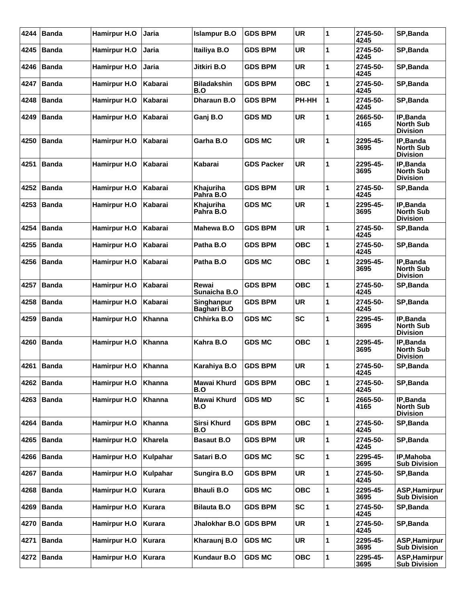| 4244 | <b>Banda</b> | <b>Hamirpur H.O</b>   | Jaria          | <b>Islampur B.O</b>       | <b>GDS BPM</b>    | <b>UR</b>  | 1 | 2745-50-<br>4245 | SP, Banda                                        |
|------|--------------|-----------------------|----------------|---------------------------|-------------------|------------|---|------------------|--------------------------------------------------|
| 4245 | <b>Banda</b> | Hamirpur H.O          | Jaria          | Itailiya B.O              | <b>GDS BPM</b>    | <b>UR</b>  | 1 | 2745-50-<br>4245 | SP, Banda                                        |
| 4246 | <b>Banda</b> | Hamirpur H.O          | Jaria          | Jitkiri B.O               | <b>GDS BPM</b>    | <b>UR</b>  | 1 | 2745-50-<br>4245 | SP, Banda                                        |
| 4247 | <b>Banda</b> | Hamirpur H.O          | Kabarai        | <b>Biladakshin</b><br>B.O | GDS BPM           | <b>OBC</b> | 1 | 2745-50-<br>4245 | SP, Banda                                        |
| 4248 | <b>Banda</b> | Hamirpur H.O          | Kabarai        | Dharaun B.O               | <b>GDS BPM</b>    | PH-HH      | 1 | 2745-50-<br>4245 | SP, Banda                                        |
| 4249 | <b>Banda</b> | Hamirpur H.O          | Kabarai        | Ganj B.O                  | <b>GDS MD</b>     | <b>UR</b>  | 1 | 2665-50-<br>4165 | IP, Banda<br><b>North Sub</b><br><b>Division</b> |
| 4250 | <b>Banda</b> | Hamirpur H.O          | Kabarai        | Garha B.O                 | <b>GDS MC</b>     | <b>UR</b>  | 1 | 2295-45-<br>3695 | IP, Banda<br><b>North Sub</b><br><b>Division</b> |
| 4251 | <b>Banda</b> | Hamirpur H.O          | Kabarai        | Kabarai                   | <b>GDS Packer</b> | <b>UR</b>  | 1 | 2295-45-<br>3695 | IP, Banda<br><b>North Sub</b><br><b>Division</b> |
| 4252 | <b>Banda</b> | <b>Hamirpur H.O</b>   | Kabarai        | Khajuriha<br>Pahra B.O    | <b>GDS BPM</b>    | <b>UR</b>  | 1 | 2745-50-<br>4245 | SP, Banda                                        |
| 4253 | <b>Banda</b> | Hamirpur H.O          | Kabarai        | Khajuriha<br>Pahra B.O    | <b>GDS MC</b>     | <b>UR</b>  | 1 | 2295-45-<br>3695 | IP, Banda<br><b>North Sub</b><br><b>Division</b> |
| 4254 | <b>Banda</b> | Hamirpur H.O          | Kabarai        | Mahewa B.O                | <b>GDS BPM</b>    | <b>UR</b>  | 1 | 2745-50-<br>4245 | SP, Banda                                        |
| 4255 | Banda        | Hamirpur H.O          | Kabarai        | Patha B.O                 | <b>GDS BPM</b>    | <b>OBC</b> | 1 | 2745-50-<br>4245 | SP, Banda                                        |
| 4256 | <b>Banda</b> | Hamirpur H.O          | Kabarai        | Patha B.O                 | <b>GDS MC</b>     | <b>OBC</b> | 1 | 2295-45-<br>3695 | IP, Banda<br><b>North Sub</b><br><b>Division</b> |
| 4257 | <b>Banda</b> | Hamirpur H.O          | Kabarai        | Rewai<br>Sunaicha B.O     | <b>GDS BPM</b>    | <b>OBC</b> | 1 | 2745-50-<br>4245 | SP, Banda                                        |
| 4258 | <b>Banda</b> | Hamirpur H.O          | Kabarai        | Singhanpur<br>Baghari B.O | <b>GDS BPM</b>    | <b>UR</b>  | 1 | 2745-50-<br>4245 | SP, Banda                                        |
| 4259 | <b>Banda</b> | Hamirpur H.O          | Khanna         | Chhirka B.O               | GDS MC            | <b>SC</b>  | 1 | 2295-45-<br>3695 | IP, Banda<br><b>North Sub</b><br><b>Division</b> |
| 4260 | <b>Banda</b> | Hamirpur H.O          | <b>Khanna</b>  | Kahra B.O                 | <b>GDS MC</b>     | <b>OBC</b> | 1 | 2295-45-<br>3695 | IP, Banda<br><b>North Sub</b><br><b>Division</b> |
|      | 4261 Banda   | Hamirpur H.O   Khanna |                | Karahiya B.O              | <b>GDS BPM</b>    | <b>UR</b>  | 1 | 2745-50-<br>4245 | SP, Banda                                        |
|      | 4262   Banda | Hamirpur H.O          | Khanna         | Mawai Khurd<br>B.O        | <b>GDS BPM</b>    | <b>OBC</b> | 1 | 2745-50-<br>4245 | SP, Banda                                        |
| 4263 | Banda        | Hamirpur H.O          | Khanna         | Mawai Khurd<br>B.O        | <b>GDS MD</b>     | <b>SC</b>  | 1 | 2665-50-<br>4165 | IP,Banda<br><b>North Sub</b><br><b>Division</b>  |
| 4264 | Banda        | <b>Hamirpur H.O</b>   | Khanna         | Sirsi Khurd<br>B.O        | <b>GDS BPM</b>    | <b>OBC</b> | 1 | 2745-50-<br>4245 | SP, Banda                                        |
| 4265 | <b>Banda</b> | Hamirpur H.O          | <b>Kharela</b> | <b>Basaut B.O</b>         | <b>GDS BPM</b>    | UR         | 1 | 2745-50-<br>4245 | SP, Banda                                        |
| 4266 | Banda        | <b>Hamirpur H.O</b>   | Kulpahar       | Satari B.O                | <b>GDS MC</b>     | <b>SC</b>  | 1 | 2295-45-<br>3695 | IP, Mahoba<br><b>Sub Division</b>                |
| 4267 | <b>Banda</b> | Hamirpur H.O          | Kulpahar       | Sungira B.O               | <b>GDS BPM</b>    | <b>UR</b>  | 1 | 2745-50-<br>4245 | SP, Banda                                        |
| 4268 | Banda        | Hamirpur H.O          | <b>Kurara</b>  | <b>Bhauli B.O</b>         | <b>GDS MC</b>     | <b>OBC</b> | 1 | 2295-45-<br>3695 | ASP, Hamirpur<br><b>Sub Division</b>             |
| 4269 | Banda        | <b>Hamirpur H.O</b>   | <b>Kurara</b>  | <b>Bilauta B.O</b>        | <b>GDS BPM</b>    | <b>SC</b>  | 1 | 2745-50-<br>4245 | SP, Banda                                        |
| 4270 | Banda        | Hamirpur H.O          | Kurara         | Jhalokhar B.O             | <b>GDS BPM</b>    | <b>UR</b>  | 1 | 2745-50-<br>4245 | SP, Banda                                        |
| 4271 | <b>Banda</b> | Hamirpur H.O          | <b>Kurara</b>  | Kharaunj B.O              | <b>GDS MC</b>     | UR         | 1 | 2295-45-<br>3695 | <b>ASP, Hamirpur</b><br><b>Sub Division</b>      |
| 4272 | Banda        | <b>Hamirpur H.O</b>   | Kurara         | <b>Kundaur B.O</b>        | <b>GDS MC</b>     | <b>OBC</b> | 1 | 2295-45-<br>3695 | ASP, Hamirpur<br><b>Sub Division</b>             |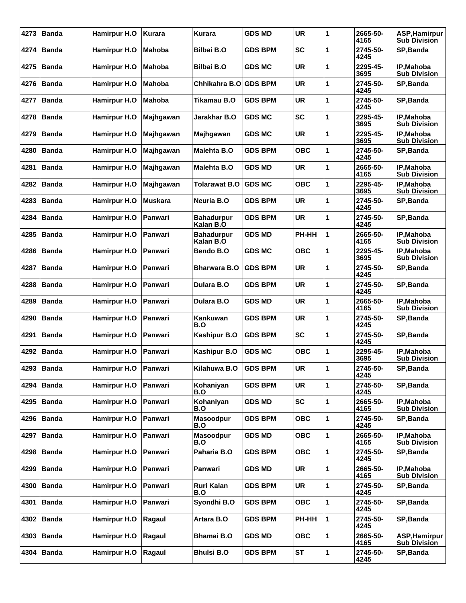| 4273 | <b>Banda</b> | Hamirpur H.O        | Kurara         | <b>Kurara</b>                  | <b>GDS MD</b>  | <b>UR</b>  | 1            | 2665-50-<br>4165 | <b>ASP, Hamirpur</b><br><b>Sub Division</b> |
|------|--------------|---------------------|----------------|--------------------------------|----------------|------------|--------------|------------------|---------------------------------------------|
| 4274 | <b>Banda</b> | Hamirpur H.O        | <b>Mahoba</b>  | <b>Bilbai B.O</b>              | <b>GDS BPM</b> | <b>SC</b>  | 1            | 2745-50-<br>4245 | SP, Banda                                   |
| 4275 | <b>Banda</b> | Hamirpur H.O        | <b>Mahoba</b>  | <b>Bilbai B.O</b>              | <b>GDS MC</b>  | <b>UR</b>  | 1            | 2295-45-<br>3695 | IP, Mahoba<br><b>Sub Division</b>           |
| 4276 | <b>Banda</b> | <b>Hamirpur H.O</b> | <b>Mahoba</b>  | Chhikahra B.O                  | <b>GDS BPM</b> | <b>UR</b>  | 1            | 2745-50-<br>4245 | SP, Banda                                   |
| 4277 | <b>Banda</b> | Hamirpur H.O        | Mahoba         | <b>Tikamau B.O</b>             | <b>GDS BPM</b> | <b>UR</b>  | 1            | 2745-50-<br>4245 | SP, Banda                                   |
| 4278 | <b>Banda</b> | Hamirpur H.O        | Majhgawan      | Jarakhar B.O                   | <b>GDS MC</b>  | <b>SC</b>  | 1            | 2295-45-<br>3695 | IP, Mahoba<br><b>Sub Division</b>           |
| 4279 | Banda        | Hamirpur H.O        | Majhgawan      | Majhgawan                      | GDS MC         | <b>UR</b>  | 1            | 2295-45-<br>3695 | IP, Mahoba<br><b>Sub Division</b>           |
| 4280 | <b>Banda</b> | Hamirpur H.O        | Majhgawan      | Malehta B.O                    | <b>GDS BPM</b> | <b>OBC</b> | 1            | 2745-50-<br>4245 | SP, Banda                                   |
| 4281 | <b>Banda</b> | Hamirpur H.O        | Majhgawan      | Malehta B.O                    | <b>GDS MD</b>  | <b>UR</b>  | 1            | 2665-50-<br>4165 | IP, Mahoba<br><b>Sub Division</b>           |
| 4282 | <b>Banda</b> | Hamirpur H.O        | Majhgawan      | <b>Tolarawat B.O</b>           | <b>GDS MC</b>  | <b>OBC</b> | 1            | 2295-45-<br>3695 | IP, Mahoba<br><b>Sub Division</b>           |
| 4283 | <b>Banda</b> | Hamirpur H.O        | Muskara        | Neuria B.O                     | <b>GDS BPM</b> | <b>UR</b>  | 1            | 2745-50-<br>4245 | SP, Banda                                   |
| 4284 | <b>Banda</b> | Hamirpur H.O        | Panwari        | <b>Bahadurpur</b><br>Kalan B.O | <b>GDS BPM</b> | <b>UR</b>  | 1            | 2745-50-<br>4245 | SP, Banda                                   |
| 4285 | Banda        | Hamirpur H.O        | Panwari        | <b>Bahadurpur</b><br>Kalan B.O | <b>GDS MD</b>  | PH-HH      | 1            | 2665-50-<br>4165 | IP, Mahoba<br><b>Sub Division</b>           |
| 4286 | <b>Banda</b> | Hamirpur H.O        | Panwari        | Bendo B.O                      | <b>GDS MC</b>  | <b>OBC</b> | 1            | 2295-45-<br>3695 | <b>IP.Mahoba</b><br><b>Sub Division</b>     |
| 4287 | <b>Banda</b> | Hamirpur H.O        | Panwari        | <b>Bharwara B.O</b>            | <b>GDS BPM</b> | <b>UR</b>  | 1            | 2745-50-<br>4245 | SP, Banda                                   |
| 4288 | <b>Banda</b> | Hamirpur H.O        | Panwari        | Dulara B.O                     | GDS BPM        | <b>UR</b>  | 1            | 2745-50-<br>4245 | SP, Banda                                   |
| 4289 | <b>Banda</b> | Hamirpur H.O        | Panwari        | Dulara B.O                     | <b>GDS MD</b>  | <b>UR</b>  | 1            | 2665-50-<br>4165 | IP.Mahoba<br><b>Sub Division</b>            |
| 4290 | <b>Banda</b> | Hamirpur H.O        | Panwari        | Kankuwan<br>B.O                | <b>GDS BPM</b> | <b>UR</b>  | 1            | 2745-50-<br>4245 | SP, Banda                                   |
| 4291 | Banda        | Hamirpur H.O        | <b>Panwari</b> | <b>Kashipur B.O</b>            | <b>GDS BPM</b> | <b>SC</b>  | 1            | 2745-50-<br>4245 | SP, Banda                                   |
| 4292 | <b>Banda</b> | Hamirpur H.O        | Panwari        | Kashipur B.O                   | <b>GDS MC</b>  | <b>OBC</b> | 1            | 2295-45-<br>3695 | IP, Mahoba<br><b>Sub Division</b>           |
| 4293 | Banda        | Hamirpur H.O        | Panwari        | Kilahuwa B.O                   | <b>GDS BPM</b> | <b>UR</b>  | 1            | 2745-50-<br>4245 | SP, Banda                                   |
| 4294 | Banda        | Hamirpur H.O        | Panwari        | Kohaniyan<br>B.O               | <b>GDS BPM</b> | UR         | 1            | 2745-50-<br>4245 | SP, Banda                                   |
| 4295 | <b>Banda</b> | <b>Hamirpur H.O</b> | Panwari        | Kohaniyan<br>B.O               | <b>GDS MD</b>  | <b>SC</b>  | 1            | 2665-50-<br>4165 | IP, Mahoba<br><b>Sub Division</b>           |
| 4296 | Banda        | Hamirpur H.O        | Panwari        | Masoodpur<br>B.O               | <b>GDS BPM</b> | <b>OBC</b> | 1            | 2745-50-<br>4245 | SP, Banda                                   |
| 4297 | <b>Banda</b> | Hamirpur H.O        | Panwari        | <b>Masoodpur</b><br>B.O        | <b>GDS MD</b>  | <b>OBC</b> | 1            | 2665-50-<br>4165 | IP.Mahoba<br><b>Sub Division</b>            |
| 4298 | Banda        | <b>Hamirpur H.O</b> | Panwari        | Paharia B.O                    | <b>GDS BPM</b> | <b>OBC</b> | 1            | 2745-50-<br>4245 | SP, Banda                                   |
| 4299 | <b>Banda</b> | <b>Hamirpur H.O</b> | Panwari        | Panwari                        | <b>GDS MD</b>  | <b>UR</b>  | 1            | 2665-50-<br>4165 | IP, Mahoba<br><b>Sub Division</b>           |
| 4300 | Banda        | Hamirpur H.O        | Panwari        | Ruri Kalan<br>B.O              | <b>GDS BPM</b> | UR         | 1            | 2745-50-<br>4245 | SP, Banda                                   |
| 4301 | Banda        | <b>Hamirpur H.O</b> | Panwari        | Syondhi B.O                    | <b>GDS BPM</b> | <b>OBC</b> | 1            | 2745-50-<br>4245 | SP, Banda                                   |
|      | 4302   Banda | Hamirpur H.O        | Ragaul         | Artara B.O                     | <b>GDS BPM</b> | PH-HH      | $\mathbf{1}$ | 2745-50-<br>4245 | SP, Banda                                   |
| 4303 | Banda        | Hamirpur H.O        | Ragaul         | <b>Bhamai B.O</b>              | <b>GDS MD</b>  | <b>OBC</b> | 1            | 2665-50-<br>4165 | ASP, Hamirpur<br><b>Sub Division</b>        |
| 4304 | Banda        | <b>Hamirpur H.O</b> | Ragaul         | <b>Bhulsi B.O</b>              | <b>GDS BPM</b> | <b>ST</b>  | 1            | 2745-50-<br>4245 | SP, Banda                                   |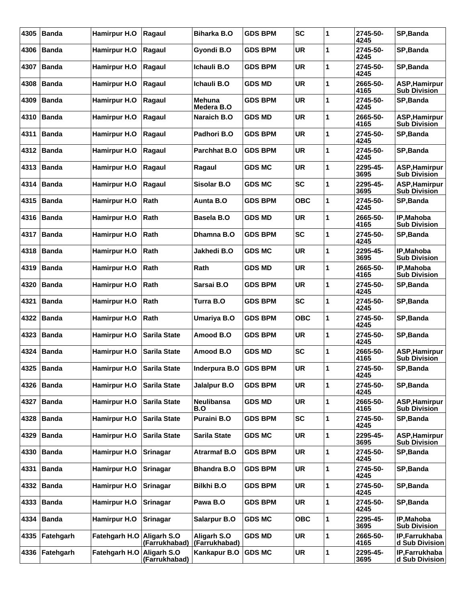| 4305 | <b>Banda</b> | <b>Hamirpur H.O</b> | Ragaul                       | Biharka B.O                  | <b>GDS BPM</b> | <b>SC</b>  | 1            | 2745-50-<br>4245 | SP, Banda                                   |
|------|--------------|---------------------|------------------------------|------------------------------|----------------|------------|--------------|------------------|---------------------------------------------|
| 4306 | <b>Banda</b> | Hamirpur H.O        | Ragaul                       | Gyondi B.O                   | <b>GDS BPM</b> | <b>UR</b>  | 1            | 2745-50-<br>4245 | SP, Banda                                   |
| 4307 | Banda        | Hamirpur H.O        | Ragaul                       | Ichauli B.O                  | <b>GDS BPM</b> | <b>UR</b>  | 1            | 2745-50-<br>4245 | SP, Banda                                   |
| 4308 | <b>Banda</b> | Hamirpur H.O        | Ragaul                       | Ichauli B.O                  | GDS MD         | <b>UR</b>  | 1            | 2665-50-<br>4165 | <b>ASP, Hamirpur</b><br><b>Sub Division</b> |
| 4309 | <b>Banda</b> | Hamirpur H.O        | Ragaul                       | Mehuna<br>Medera B.O         | <b>GDS BPM</b> | <b>UR</b>  | 1            | 2745-50-<br>4245 | SP, Banda                                   |
| 4310 | <b>Banda</b> | Hamirpur H.O        | Ragaul                       | Naraich B.O                  | <b>GDS MD</b>  | <b>UR</b>  | 1            | 2665-50-<br>4165 | ASP, Hamirpur<br><b>Sub Division</b>        |
| 4311 | Banda        | Hamirpur H.O        | Ragaul                       | Padhori B.O                  | <b>GDS BPM</b> | <b>UR</b>  | 1            | 2745-50-<br>4245 | SP, Banda                                   |
| 4312 | <b>Banda</b> | Hamirpur H.O        | Ragaul                       | Parchhat B.O                 | <b>GDS BPM</b> | <b>UR</b>  | 1            | 2745-50-<br>4245 | SP, Banda                                   |
| 4313 | Banda        | Hamirpur H.O        | Ragaul                       | Ragaul                       | <b>GDS MC</b>  | <b>UR</b>  | 1            | 2295-45-<br>3695 | ASP, Hamirpur<br><b>Sub Division</b>        |
| 4314 | <b>Banda</b> | Hamirpur H.O        | Ragaul                       | Sisolar B.O                  | GDS MC         | <b>SC</b>  | 1            | 2295-45-<br>3695 | ASP, Hamirpur<br><b>Sub Division</b>        |
| 4315 | <b>Banda</b> | Hamirpur H.O        | Rath                         | Aunta B.O                    | <b>GDS BPM</b> | <b>OBC</b> | 1            | 2745-50-<br>4245 | SP, Banda                                   |
| 4316 | Banda        | Hamirpur H.O        | Rath                         | Basela B.O                   | <b>GDS MD</b>  | <b>UR</b>  | 1            | 2665-50-<br>4165 | IP, Mahoba<br><b>Sub Division</b>           |
| 4317 | <b>Banda</b> | Hamirpur H.O        | Rath                         | Dhamna B.O                   | <b>GDS BPM</b> | <b>SC</b>  | 1            | 2745-50-<br>4245 | SP, Banda                                   |
| 4318 | ∣Banda       | Hamirpur H.O        | Rath                         | Jakhedi B.O                  | <b>GDS MC</b>  | <b>UR</b>  | 1            | 2295-45-<br>3695 | IP, Mahoba<br><b>Sub Division</b>           |
| 4319 | <b>Banda</b> | Hamirpur H.O        | Rath                         | Rath                         | <b>GDS MD</b>  | <b>UR</b>  | 1            | 2665-50-<br>4165 | IP, Mahoba<br><b>Sub Division</b>           |
| 4320 | Banda        | Hamirpur H.O        | Rath                         | Sarsai B.O                   | GDS BPM        | <b>UR</b>  | 1            | 2745-50-<br>4245 | SP, Banda                                   |
| 4321 | <b>Banda</b> | Hamirpur H.O        | Rath                         | Turra B.O                    | GDS BPM        | <b>SC</b>  | 1            | 2745-50-<br>4245 | SP, Banda                                   |
| 4322 | <b>Banda</b> | Hamirpur H.O        | Rath                         | Umariya B.O                  | <b>GDS BPM</b> | <b>OBC</b> | 1            | 2745-50-<br>4245 | SP, Banda                                   |
| 4323 | <b>Banda</b> | Hamirpur H.O        | <b>Sarila State</b>          | Amood B.O                    | GDS BPM        | <b>UR</b>  | 1            | 2745-50-<br>4245 | SP, Banda                                   |
| 4324 | <b>Banda</b> | Hamirpur H.O        | <b>Sarila State</b>          | Amood B.O                    | <b>GDS MD</b>  | <b>SC</b>  | 1            | 2665-50-<br>4165 | ASP, Hamirpur<br><b>Sub Division</b>        |
| 4325 | Banda        | Hamirpur H.O        | Sarila State                 | Inderpura B.O                | <b>GDS BPM</b> | <b>UR</b>  | 1            | 2745-50-<br>4245 | SP, Banda                                   |
| 4326 | Banda        | Hamirpur H.O        | <b>Sarila State</b>          | Jalalpur B.O                 | <b>GDS BPM</b> | <b>UR</b>  | 1            | 2745-50-<br>4245 | SP, Banda                                   |
| 4327 | Banda        | <b>Hamirpur H.O</b> | <b>Sarila State</b>          | Neulibansa<br>B.O            | <b>GDS MD</b>  | <b>UR</b>  | 1            | 2665-50-<br>4165 | <b>ASP, Hamirpur</b><br><b>Sub Division</b> |
| 4328 | Banda        | Hamirpur H.O        | <b>Sarila State</b>          | <b>Puraini B.O</b>           | <b>GDS BPM</b> | <b>SC</b>  | $\mathbf{1}$ | 2745-50-<br>4245 | SP, Banda                                   |
| 4329 | <b>Banda</b> | Hamirpur H.O        | <b>Sarila State</b>          | <b>Sarila State</b>          | <b>GDS MC</b>  | UR         | 1            | 2295-45-<br>3695 | ASP, Hamirpur<br><b>Sub Division</b>        |
| 4330 | Banda        | <b>Hamirpur H.O</b> | <b>Srinagar</b>              | <b>Atrarmaf B.O</b>          | <b>GDS BPM</b> | <b>UR</b>  | 1            | 2745-50-<br>4245 | SP, Banda                                   |
| 4331 | <b>Banda</b> | <b>Hamirpur H.O</b> | <b>Srinagar</b>              | Bhandra B.O                  | <b>GDS BPM</b> | <b>UR</b>  | 1            | 2745-50-<br>4245 | SP, Banda                                   |
| 4332 | <b>Banda</b> | Hamirpur H.O        | <b>Srinagar</b>              | Bilkhi B.O                   | <b>GDS BPM</b> | UR         | 1            | 2745-50-<br>4245 | SP, Banda                                   |
| 4333 | Banda        | <b>Hamirpur H.O</b> | <b>Srinagar</b>              | Pawa B.O                     | <b>GDS BPM</b> | <b>UR</b>  | 1            | 2745-50-<br>4245 | SP, Banda                                   |
| 4334 | Banda        | Hamirpur H.O        | Srinagar                     | <b>Salarpur B.O</b>          | <b>GDS MC</b>  | <b>OBC</b> | $\mathbf{1}$ | 2295-45-<br>3695 | IP, Mahoba<br><b>Sub Division</b>           |
| 4335 | Fatehgarh    | Fatehgarh H.O       | Aligarh S.O<br>(Farrukhabad) | Aligarh S.O<br>(Farrukhabad) | <b>GDS MD</b>  | UR         | 1            | 2665-50-<br>4165 | IP, Farrukhaba<br>d Sub Division            |
| 4336 | Fatehgarh    | Fatehgarh H.O       | Aligarh S.O<br>(Farrukhabad) | Kankapur B.O                 | <b>GDS MC</b>  | <b>UR</b>  | 1            | 2295-45-<br>3695 | IP, Farrukhaba<br>d Sub Division            |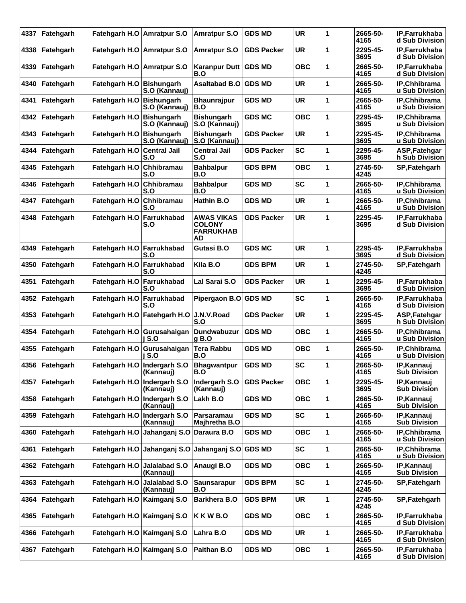| 4337 | Fatehgarh        | Fatehgarh H.O Amratpur S.O    |                                     | <b>Amratpur S.O</b>                                          | <b>GDS MD</b>     | <b>UR</b>  | 1 | 2665-50-<br>4165 | IP.Farrukhaba<br>d Sub Division        |
|------|------------------|-------------------------------|-------------------------------------|--------------------------------------------------------------|-------------------|------------|---|------------------|----------------------------------------|
| 4338 | Fatehgarh        | Fatehgarh H.O Amratpur S.O    |                                     | <b>Amratpur S.O</b>                                          | <b>GDS Packer</b> | <b>UR</b>  | 1 | 2295-45-<br>3695 | <b>IP.Farrukhaba</b><br>d Sub Division |
| 4339 | Fatehgarh        | Fatehgarh H.O Amratpur S.O    |                                     | <b>Karanpur Dutt</b><br>B.O                                  | <b>GDS MD</b>     | <b>OBC</b> | 1 | 2665-50-<br>4165 | IP, Farrukhaba<br>d Sub Division       |
| 4340 | Fatehgarh        | Fatehgarh H.O Bishungarh      | S.O (Kannauj)                       | <b>Asaltabad B.O</b>                                         | <b>GDS MD</b>     | <b>UR</b>  | 1 | 2665-50-<br>4165 | IP, Chhibrama<br>u Sub Division        |
| 4341 | Fatehgarh        | Fatehgarh H.O Bishungarh      | S.O (Kannauj)                       | <b>Bhaunrajpur</b><br>B.O                                    | <b>GDS MD</b>     | <b>UR</b>  | 1 | 2665-50-<br>4165 | <b>IP.Chhibrama</b><br>u Sub Division  |
| 4342 | Fatehgarh        | Fatehgarh H.O Bishungarh      | S.O (Kannauj)                       | <b>Bishungarh</b><br>S.O (Kannauj)                           | <b>GDS MC</b>     | <b>OBC</b> | 1 | 2295-45-<br>3695 | IP, Chhibrama<br>u Sub Division        |
| 4343 | Fatehgarh        | Fatehgarh H.O                 | <b>Bishungarh</b><br>S.O (Kannauj)  | <b>Bishungarh</b><br>S.O (Kannauj)                           | <b>GDS Packer</b> | <b>UR</b>  | 1 | 2295-45-<br>3695 | IP, Chhibrama<br>u Sub Division        |
| 4344 | Fatehgarh        | Fatehgarh H.O Central Jail    | S.O                                 | <b>Central Jail</b><br>S.O                                   | <b>GDS Packer</b> | <b>SC</b>  | 1 | 2295-45-<br>3695 | ASP, Fatehgar<br>h Sub Division        |
| 4345 | Fatehgarh        | Fatehgarh H.O                 | Chhibramau<br>S.O                   | <b>Bahbalpur</b><br>B.O                                      | <b>GDS BPM</b>    | <b>OBC</b> | 1 | 2745-50-<br>4245 | SP, Fatehgarh                          |
| 4346 | Fatehgarh        | Fatehgarh H.O                 | Chhibramau<br>S.O                   | <b>Bahbalpur</b><br>B.O                                      | <b>GDS MD</b>     | <b>SC</b>  | 1 | 2665-50-<br>4165 | IP, Chhibrama<br>u Sub Division        |
| 4347 | Fatehgarh        | Fatehgarh H.O                 | Chhibramau<br>S.O                   | Hathin B.O                                                   | <b>GDS MD</b>     | <b>UR</b>  | 1 | 2665-50-<br>4165 | <b>IP.Chhibrama</b><br>u Sub Division  |
| 4348 | Fatehgarh        | Fatehgarh H.O Farrukhabad     | S.O                                 | <b>AWAS VIKAS</b><br><b>COLONY</b><br><b>FARRUKHAB</b><br>AD | <b>GDS Packer</b> | <b>UR</b>  | 1 | 2295-45-<br>3695 | IP, Farrukhaba<br>d Sub Division       |
| 4349 | Fatehgarh        | Fatehgarh H.O Farrukhabad     | S.O                                 | Gutasi B.O                                                   | <b>GDS MC</b>     | <b>UR</b>  | 1 | 2295-45-<br>3695 | <b>IP.Farrukhaba</b><br>d Sub Division |
| 4350 | Fatehgarh        | Fatehgarh H.O Farrukhabad     | S.O                                 | Kila B.O                                                     | <b>GDS BPM</b>    | <b>UR</b>  | 1 | 2745-50-<br>4245 | SP, Fatehgarh                          |
| 4351 | Fatehgarh        | Fatehgarh H.O Farrukhabad     | S.O                                 | Lal Sarai S.O                                                | <b>GDS Packer</b> | <b>UR</b>  | 1 | 2295-45-<br>3695 | IP, Farrukhaba<br>d Sub Division       |
| 4352 | Fatehgarh        | Fatehgarh H.O                 | Farrukhabad<br>S.O                  | Pipergaon B.O                                                | <b>GDS MD</b>     | <b>SC</b>  | 1 | 2665-50-<br>4165 | IP, Farrukhaba<br>d Sub Division       |
| 4353 | Fatehgarh        |                               | Fatehgarh H.O Fatehgarh H.O         | J.N.V.Road<br>S.O                                            | <b>GDS Packer</b> | <b>UR</b>  | 1 | 2295-45-<br>3695 | ASP, Fatehgar<br>h Sub Division        |
| 4354 | Fatehgarh        |                               | Fatehgarh H.O Gurusahaigan<br>i S.O | Dundwabuzur<br><b>q</b> B.O                                  | <b>GDS MD</b>     | <b>OBC</b> | 1 | 2665-50-<br>4165 | IP, Chhibrama<br>u Sub Division        |
| 4355 | Fatehgarh        | Fatehgarh H.O                 | Gurusahaigan<br>i S.O               | <b>Tera Rabbu</b><br>B.O                                     | <b>GDS MD</b>     | <b>OBC</b> | 1 | 2665-50-<br>4165 | IP, Chhibrama<br>u Sub Division        |
|      | 4356   Fatehgarh | Fatehgarh H.O   Indergarh S.O | (Kannauj)                           | <b>Bhagwantpur</b><br>B.O                                    | <b>GDS MD</b>     | <b>SC</b>  | 1 | 2665-50-<br>4165 | IP, Kannauj<br><b>Sub Division</b>     |
| 4357 | Fatehgarh        | Fatehgarh H.O Indergarh S.O   | (Kannauj)                           | Indergarh S.O<br>(Kannauj)                                   | <b>GDS Packer</b> | <b>OBC</b> | 1 | 2295-45-<br>3695 | IP, Kannauj<br><b>Sub Division</b>     |
| 4358 | Fatehgarh        | Fatehgarh H.O                 | Indergarh S.O<br>(Kannauj)          | Lakh B.O                                                     | <b>GDS MD</b>     | <b>OBC</b> | 1 | 2665-50-<br>4165 | IP, Kannauj<br><b>Sub Division</b>     |
| 4359 | Fatehgarh        | Fatehgarh H.O Indergarh S.O   | (Kannauj)                           | Parsaramau<br>Majhretha B.O                                  | <b>GDS MD</b>     | <b>SC</b>  | 1 | 2665-50-<br>4165 | IP, Kannauj<br><b>Sub Division</b>     |
| 4360 | Fatehgarh        |                               | Fatehgarh H.O Jahanganj S.O         | Daraura B.O                                                  | <b>GDS MD</b>     | <b>OBC</b> | 1 | 2665-50-<br>4165 | IP, Chhibrama<br>u Sub Division        |
| 4361 | Fatehgarh        |                               | Fatehgarh H.O Jahanganj S.O         | Jahanganj S.O                                                | <b>GDS MD</b>     | <b>SC</b>  | 1 | 2665-50-<br>4165 | IP, Chhibrama<br>u Sub Division        |
| 4362 | Fatehgarh        | Fatehgarh H.O Jalalabad S.O   | (Kannauj)                           | Anaugi B.O                                                   | <b>GDS MD</b>     | <b>OBC</b> | 1 | 2665-50-<br>4165 | IP, Kannauj<br><b>Sub Division</b>     |
| 4363 | Fatehgarh        | Fatehgarh H.O Jalalabad S.O   | (Kannauj)                           | Saunsarapur<br>B.O                                           | <b>GDS BPM</b>    | <b>SC</b>  | 1 | 2745-50-<br>4245 | SP, Fatehgarh                          |
| 4364 | Fatehgarh        | Fatehgarh H.O                 | Kaimganj S.O                        | <b>Barkhera B.O</b>                                          | <b>GDS BPM</b>    | <b>UR</b>  | 1 | 2745-50-<br>4245 | SP, Fatehgarh                          |
| 4365 | Fatehgarh        | Fatehgarh H.O Kaimganj S.O    |                                     | KKWB.O                                                       | <b>GDS MD</b>     | <b>OBC</b> | 1 | 2665-50-<br>4165 | <b>IP.Farrukhaba</b><br>d Sub Division |
| 4366 | Fatehgarh        | Fatehgarh H.O Kaimganj S.O    |                                     | Lahra B.O                                                    | <b>GDS MD</b>     | <b>UR</b>  | 1 | 2665-50-<br>4165 | IP, Farrukhaba<br>d Sub Division       |
| 4367 | Fatehgarh        | Fatehgarh H.O Kaimganj S.O    |                                     | Paithan B.O                                                  | <b>GDS MD</b>     | <b>OBC</b> | 1 | 2665-50-<br>4165 | IP, Farrukhaba<br>d Sub Division       |
|      |                  |                               |                                     |                                                              |                   |            |   |                  |                                        |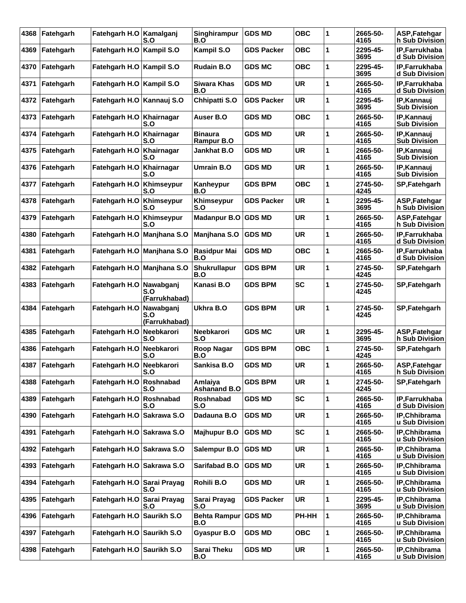| 4368 | Fatehgarh        | Fatehgarh H.O   Kamalganj  | S.O                                      | Singhirampur<br>B.O            | <b>GDS MD</b>     | <b>OBC</b> | 1 | 2665-50-<br>4165 | ASP, Fatehgar<br>h Sub Division        |
|------|------------------|----------------------------|------------------------------------------|--------------------------------|-------------------|------------|---|------------------|----------------------------------------|
| 4369 | Fatehgarh        | Fatehgarh H.O   Kampil S.O |                                          | Kampil S.O                     | <b>GDS Packer</b> | OBC        | 1 | 2295-45-<br>3695 | <b>IP.Farrukhaba</b><br>d Sub Division |
| 4370 | Fatehgarh        | Fatehgarh H.O   Kampil S.O |                                          | <b>Rudain B.O</b>              | <b>GDS MC</b>     | <b>OBC</b> | 1 | 2295-45-<br>3695 | IP, Farrukhaba<br>d Sub Division       |
| 4371 | Fatehgarh        | Fatehgarh H.O Kampil S.O   |                                          | <b>Siwara Khas</b><br>B.O      | GDS MD            | <b>UR</b>  | 1 | 2665-50-<br>4165 | IP, Farrukhaba<br>d Sub Division       |
| 4372 | Fatehgarh        | Fatehgarh H.O Kannauj S.O  |                                          | Chhipatti S.O                  | <b>GDS Packer</b> | <b>UR</b>  | 1 | 2295-45-<br>3695 | IP, Kannauj<br><b>Sub Division</b>     |
| 4373 | Fatehgarh        | Fatehgarh H.O Khairnagar   | S.O                                      | Auser B.O                      | <b>GDS MD</b>     | <b>OBC</b> | 1 | 2665-50-<br>4165 | IP, Kannauj<br><b>Sub Division</b>     |
| 4374 | Fatehgarh        | Fatehgarh H.O              | Khairnagar<br>S.O                        | <b>Binaura</b><br>Rampur B.O   | GDS MD            | <b>UR</b>  | 1 | 2665-50-<br>4165 | IP, Kannauj<br><b>Sub Division</b>     |
| 4375 | Fatehgarh        | Fatehgarh H.O Khairnagar   | S.O                                      | Jankhat B.O                    | <b>GDS MD</b>     | <b>UR</b>  | 1 | 2665-50-<br>4165 | IP, Kannauj<br><b>Sub Division</b>     |
| 4376 | Fatehgarh        | Fatehgarh H.O Khairnagar   | S.O                                      | Umrain B.O                     | <b>GDS MD</b>     | <b>UR</b>  | 1 | 2665-50-<br>4165 | IP, Kannauj<br><b>Sub Division</b>     |
| 4377 | Fatehgarh        | Fatehgarh H.O              | Khimseypur<br>S.O                        | Kanheypur<br>B.O               | GDS BPM           | <b>OBC</b> | 1 | 2745-50-<br>4245 | SP, Fatehgarh                          |
| 4378 | Fatehgarh        | Fatehgarh H.O Khimseypur   | S.O                                      | Khimseypur<br>S.O              | <b>GDS Packer</b> | UR.        | 1 | 2295-45-<br>3695 | ASP,Fatehgar<br>h Sub Division         |
| 4379 | Fatehgarh        | Fatehgarh H.O Khimseypur   | S.O                                      | <b>Madanpur B.O</b>            | <b>GDS MD</b>     | <b>UR</b>  | 1 | 2665-50-<br>4165 | ASP, Fatehgar<br>h Sub Division        |
| 4380 | Fatehgarh        | Fatehgarh H.O Manjhana S.O |                                          | Manjhana S.O                   | <b>GDS MD</b>     | <b>UR</b>  | 1 | 2665-50-<br>4165 | IP, Farrukhaba<br>d Sub Division       |
| 4381 | Fatehgarh        | Fatehgarh H.O Manjhana S.O |                                          | <b>Rasidpur Mai</b><br>B.O     | <b>GDS MD</b>     | <b>OBC</b> | 1 | 2665-50-<br>4165 | IP, Farrukhaba<br>d Sub Division       |
| 4382 | Fatehgarh        | Fatehgarh H.O Manjhana S.O |                                          | Shukrullapur<br>B.O            | <b>GDS BPM</b>    | <b>UR</b>  | 1 | 2745-50-<br>4245 | SP, Fatehgarh                          |
| 4383 | Fatehgarh        | Fatehgarh H.O              | Nawabganj<br>S.O<br>(Farrukhabad)        | Kanasi B.O                     | GDS BPM           | <b>SC</b>  | 1 | 2745-50-<br>4245 | SP,Fatehgarh                           |
| 4384 | Fatehgarh        | Fatehgarh H.O              | <b>Nawabganj</b><br>S.O<br>(Farrukhabad) | Ukhra B.O                      | <b>GDS BPM</b>    | <b>UR</b>  | 1 | 2745-50-<br>4245 | SP, Fatehgarh                          |
| 4385 | Fatehgarh        | Fatehgarh H.O Neebkarori   | S.O                                      | <b>Neebkarori</b><br>S.O       | <b>GDS MC</b>     | <b>UR</b>  | 1 | 2295-45-<br>3695 | ASP, Fatehgar<br>h Sub Division        |
| 4386 | Fatehgarh        | Fatehgarh H.O              | Neebkarori<br>S.O                        | Roop Nagar<br>B.O              | <b>GDS BPM</b>    | <b>OBC</b> | 1 | 2745-50-<br>4245 | SP, Fatehgarh                          |
|      | 4387   Fatehgarh | Fatehgarh H.O Neebkarori   | S.O                                      | Sankisa B.O                    | <b>GDS MD</b>     | <b>UR</b>  | 1 | 2665-50-<br>4165 | ASP, Fatehgar<br>h Sub Division        |
| 4388 | Fatehgarh        | Fatehgarh H.O Roshnabad    | S.O                                      | Amlaiya<br><b>Ashanand B.O</b> | <b>GDS BPM</b>    | <b>UR</b>  | 1 | 2745-50-<br>4245 | SP, Fatehgarh                          |
| 4389 | Fatehgarh        | Fatehgarh H.O              | Roshnabad<br>S.O                         | Roshnabad<br>S.O               | <b>GDS MD</b>     | <b>SC</b>  | 1 | 2665-50-<br>4165 | IP, Farrukhaba<br>d Sub Division       |
| 4390 | Fatehgarh        | Fatehgarh H.O Sakrawa S.O  |                                          | Dadauna B.O                    | <b>GDS MD</b>     | <b>UR</b>  | 1 | 2665-50-<br>4165 | <b>IP.Chhibrama</b><br>u Sub Division  |
| 4391 | Fatehgarh        | Fatehgarh H.O Sakrawa S.O  |                                          | <b>Majhupur B.O</b>            | <b>GDS MD</b>     | <b>SC</b>  | 1 | 2665-50-<br>4165 | IP, Chhibrama<br>u Sub Division        |
| 4392 | Fatehgarh        | Fatehgarh H.O Sakrawa S.O  |                                          | Salempur B.O                   | <b>GDS MD</b>     | UR         | 1 | 2665-50-<br>4165 | IP, Chhibrama<br>u Sub Division        |
| 4393 | Fatehgarh        | Fatehgarh H.O Sakrawa S.O  |                                          | Sarifabad B.O                  | <b>GDS MD</b>     | <b>UR</b>  | 1 | 2665-50-<br>4165 | <b>IP.Chhibrama</b><br>u Sub Division  |
| 4394 | Fatehgarh        | Fatehgarh H.O Sarai Prayag | S.O                                      | Rohili B.O                     | <b>GDS MD</b>     | <b>UR</b>  | 1 | 2665-50-<br>4165 | IP, Chhibrama<br>u Sub Division        |
| 4395 | Fatehgarh        | Fatehgarh H.O Sarai Prayag | S.O                                      | Sarai Prayag<br>S.O            | <b>GDS Packer</b> | UR         | 1 | 2295-45-<br>3695 | IP, Chhibrama<br>u Sub Division        |
| 4396 | Fatehgarh        | Fatehgarh H.O Saurikh S.O  |                                          | <b>Behta Rampur</b><br>B.O     | <b>GDS MD</b>     | PH-HH      | 1 | 2665-50-<br>4165 | <b>IP.Chhibrama</b><br>u Sub Division  |
| 4397 | Fatehgarh        | Fatehgarh H.O Saurikh S.O  |                                          | <b>Gyaspur B.O</b>             | <b>GDS MD</b>     | <b>OBC</b> | 1 | 2665-50-<br>4165 | IP, Chhibrama<br>u Sub Division        |
| 4398 | Fatehgarh        | Fatehgarh H.O Saurikh S.O  |                                          | Sarai Theku<br>B.O             | <b>GDS MD</b>     | UR         | 1 | 2665-50-<br>4165 | IP, Chhibrama<br>u Sub Division        |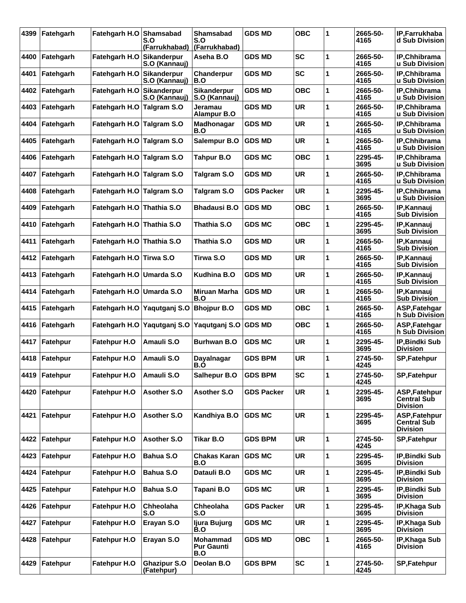| 4399 | Fatehgarh | Fatehgarh H.O             | Shamsabad<br>S.O<br>(Farrukhabad) | <b>Shamsabad</b><br>S.O<br>(Farrukhabad)    | <b>GDS MD</b>     | <b>OBC</b> | 1 | 2665-50-<br>4165 | IP.Farrukhaba<br>d Sub Division                        |
|------|-----------|---------------------------|-----------------------------------|---------------------------------------------|-------------------|------------|---|------------------|--------------------------------------------------------|
| 4400 | Fatehgarh | Fatehgarh H.O Sikanderpur | S.O (Kannauj)                     | Aseha B.O                                   | <b>GDS MD</b>     | <b>SC</b>  | 1 | 2665-50-<br>4165 | <b>IP.Chhibrama</b><br>u Sub Division                  |
| 4401 | Fatehgarh | Fatehgarh H.O             | Sikanderpur<br>S.O (Kannauj)      | Chanderpur<br>B.O                           | <b>GDS MD</b>     | <b>SC</b>  | 1 | 2665-50-<br>4165 | IP, Chhibrama<br>u Sub Division                        |
| 4402 | Fatehgarh | Fatehgarh H.O Sikanderpur | S.O (Kannauj)                     | <b>Sikanderpur</b><br>S.O (Kannauj)         | <b>GDS MD</b>     | OBC        | 1 | 2665-50-<br>4165 | <b>IP.Chhibrama</b><br>u Sub Division                  |
| 4403 | Fatehgarh | Fatehgarh H.O Talgram S.O |                                   | Jeramau<br>Alampur B.O                      | <b>GDS MD</b>     | <b>UR</b>  | 1 | 2665-50-<br>4165 | <b>IP.Chhibrama</b><br>u Sub Division                  |
| 4404 | Fatehgarh | Fatehgarh H.O Talgram S.O |                                   | Madhonagar<br>B.O                           | <b>GDS MD</b>     | <b>UR</b>  | 1 | 2665-50-<br>4165 | IP, Chhibrama<br>u Sub Division                        |
| 4405 | Fatehgarh | Fatehgarh H.O Talgram S.O |                                   | Salempur B.O                                | <b>GDS MD</b>     | <b>UR</b>  | 1 | 2665-50-<br>4165 | <b>IP.Chhibrama</b><br>u Sub Division                  |
| 4406 | Fatehgarh | Fatehgarh H.O Talgram S.O |                                   | <b>Tahpur B.O</b>                           | <b>GDS MC</b>     | <b>OBC</b> | 1 | 2295-45-<br>3695 | IP, Chhibrama<br>u Sub Division                        |
| 4407 | Fatehgarh | Fatehgarh H.O Talgram S.O |                                   | Talgram S.O                                 | <b>GDS MD</b>     | <b>UR</b>  | 1 | 2665-50-<br>4165 | IP, Chhibrama<br>u Sub Division                        |
| 4408 | Fatehgarh | Fatehgarh H.O Talgram S.O |                                   | <b>Talgram S.O</b>                          | <b>GDS Packer</b> | <b>UR</b>  | 1 | 2295-45-<br>3695 | <b>IP.Chhibrama</b><br>u Sub Division                  |
| 4409 | Fatehgarh | Fatehgarh H.O Thathia S.O |                                   | <b>Bhadausi B.O</b>                         | <b>GDS MD</b>     | <b>OBC</b> | 1 | 2665-50-<br>4165 | IP, Kannauj<br><b>Sub Division</b>                     |
| 4410 | Fatehgarh | Fatehgarh H.O Thathia S.O |                                   | Thathia S.O                                 | <b>GDS MC</b>     | <b>OBC</b> | 1 | 2295-45-<br>3695 | IP, Kannauj<br><b>Sub Division</b>                     |
| 4411 | Fatehgarh | Fatehgarh H.O Thathia S.O |                                   | Thathia S.O                                 | <b>GDS MD</b>     | <b>UR</b>  | 1 | 2665-50-<br>4165 | IP, Kannauj<br><b>Sub Division</b>                     |
| 4412 | Fatehgarh | Fatehgarh H.O Tirwa S.O   |                                   | Tirwa S.O                                   | <b>GDS MD</b>     | <b>UR</b>  | 1 | 2665-50-<br>4165 | IP, Kannauj<br><b>Sub Division</b>                     |
| 4413 | Fatehgarh | Fatehgarh H.O Umarda S.O  |                                   | Kudhina B.O                                 | <b>GDS MD</b>     | <b>UR</b>  | 1 | 2665-50-<br>4165 | IP, Kannauj<br><b>Sub Division</b>                     |
| 4414 | Fatehgarh | Fatehgarh H.O Umarda S.O  |                                   | Miruan Marha<br>B.O                         | <b>GDS MD</b>     | <b>UR</b>  | 1 | 2665-50-<br>4165 | IP, Kannauj<br><b>Sub Division</b>                     |
| 4415 | Fatehgarh |                           | Fatehgarh H.O Yaqutganj S.O       | <b>Bhojpur B.O</b>                          | <b>GDS MD</b>     | <b>OBC</b> | 1 | 2665-50-<br>4165 | ASP, Fatehgar<br>h Sub Division                        |
| 4416 | Fatehgarh |                           | Fatehgarh H.O Yaqutganj S.O       | Yaqutganj S.O GDS MD                        |                   | <b>OBC</b> | 1 | 2665-50-<br>4165 | ASP, Fatehgar<br>h Sub Division                        |
| 4417 | Fatehpur  | <b>Fatehpur H.O</b>       | Amauli S.O                        | <b>Burhwan B.O</b>                          | <b>GDS MC</b>     | <b>UR</b>  | 1 | 2295-45-<br>3695 | <b>IP, Bindki Sub</b><br><b>Division</b>               |
| 4418 | Fatehpur  | <b>Fatehpur H.O</b>       | Amauli S.O                        | Dayalnagar<br>B.O                           | <b>GDS BPM</b>    | <b>UR</b>  | 1 | 2745-50-<br>4245 | SP, Fatehpur                                           |
| 4419 | Fatehpur  | Fatehpur H.O              | Amauli S.O                        | Salhepur B.O                                | <b>GDS BPM</b>    | <b>SC</b>  | 1 | 2745-50-<br>4245 | SP, Fatehpur                                           |
| 4420 | Fatehpur  | Fatehpur H.O              | <b>Asother S.O</b>                | <b>Asother S.O</b>                          | <b>GDS Packer</b> | <b>UR</b>  | 1 | 2295-45-<br>3695 | ASP, Fatehpur<br><b>Central Sub</b><br><b>Division</b> |
| 4421 | Fatehpur  | Fatehpur H.O              | <b>Asother S.O</b>                | Kandhiya B.O                                | <b>GDS MC</b>     | <b>UR</b>  | 1 | 2295-45-<br>3695 | ASP, Fatehpur<br><b>Central Sub</b><br><b>Division</b> |
| 4422 | Fatehpur  | Fatehpur H.O              | <b>Asother S.O</b>                | <b>Tikar B.O</b>                            | <b>GDS BPM</b>    | <b>UR</b>  | 1 | 2745-50-<br>4245 | SP, Fatehpur                                           |
| 4423 | Fatehpur  | Fatehpur H.O              | Bahua S.O                         | <b>Chakas Karan</b><br>B.O                  | <b>GDS MC</b>     | <b>UR</b>  | 1 | 2295-45-<br>3695 | IP, Bindki Sub<br><b>Division</b>                      |
| 4424 | Fatehpur  | Fatehpur H.O              | Bahua S.O                         | Datauli B.O                                 | <b>GDS MC</b>     | <b>UR</b>  | 1 | 2295-45-<br>3695 | IP, Bindki Sub<br><b>Division</b>                      |
| 4425 | Fatehpur  | Fatehpur H.O              | Bahua S.O                         | Tapani B.O                                  | <b>GDS MC</b>     | UR         | 1 | 2295-45-<br>3695 | IP, Bindki Sub<br><b>Division</b>                      |
| 4426 | Fatehpur  | Fatehpur H.O              | Chheolaha<br>S.O                  | Chheolaha<br>S.O                            | <b>GDS Packer</b> | <b>UR</b>  | 1 | 2295-45-<br>3695 | IP, Khaga Sub<br><b>Division</b>                       |
| 4427 | Fatehpur  | Fatehpur H.O              | Erayan S.O                        | Ijura Bujurg<br>B.O                         | <b>GDS MC</b>     | <b>UR</b>  | 1 | 2295-45-<br>3695 | IP, Khaga Sub<br><b>Division</b>                       |
| 4428 | Fatehpur  | <b>Fatehpur H.O</b>       | Erayan S.O                        | <b>Mohammad</b><br><b>Pur Gaunti</b><br>B.O | <b>GDS MD</b>     | <b>OBC</b> | 1 | 2665-50-<br>4165 | IP, Khaga Sub<br><b>Division</b>                       |
| 4429 | Fatehpur  | Fatehpur H.O              | <b>Ghazipur S.O</b><br>(Fatehpur) | Deolan B.O                                  | <b>GDS BPM</b>    | <b>SC</b>  | 1 | 2745-50-<br>4245 | SP, Fatehpur                                           |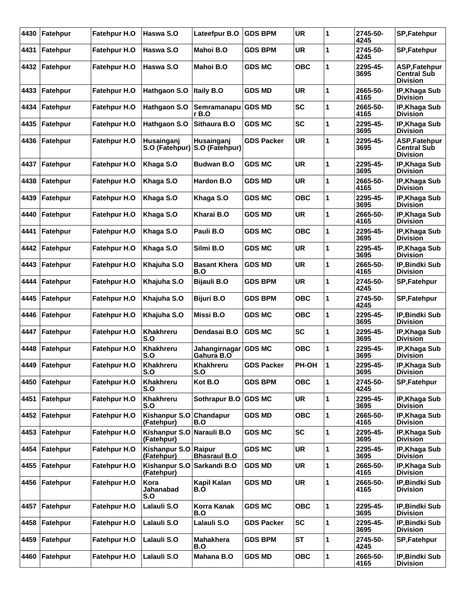| Fatehpur | <b>Fatehpur H.O</b>                                      | Haswa S.O                          | Lateefpur B.O                | <b>GDS BPM</b>                               | <b>UR</b>  | 1            | 2745-50-<br>4245 | <b>SP,Fatehpur</b>                                    |
|----------|----------------------------------------------------------|------------------------------------|------------------------------|----------------------------------------------|------------|--------------|------------------|-------------------------------------------------------|
| Fatehpur | <b>Fatehpur H.O</b>                                      | Haswa S.O                          | <b>Mahoi B.O</b>             | <b>GDS BPM</b>                               | <b>UR</b>  | 1            | 2745-50-<br>4245 | <b>SP.Fatehpur</b>                                    |
| Fatehpur | <b>Fatehpur H.O</b>                                      | Haswa S.O                          | Mahoi B.O                    | <b>GDS MC</b>                                | <b>OBC</b> | 1            | 2295-45-<br>3695 | <b>ASP.Fatehpur</b><br>Central Sub<br><b>Division</b> |
| Fatehpur | <b>Fatehpur H.O</b>                                      | Hathgaon S.O                       | <b>Itaily B.O</b>            | <b>GDS MD</b>                                | <b>UR</b>  | 1            | 2665-50-<br>4165 | IP, Khaga Sub<br>Division                             |
| Fatehpur | <b>Fatehpur H.O</b>                                      | Hathgaon S.O                       | Semramanapu<br>r B.O         | <b>GDS MD</b>                                | <b>SC</b>  | 1            | 2665-50-<br>4165 | IP, Khaga Sub<br>Division                             |
| Fatehpur | <b>Fatehpur H.O</b>                                      | Hathgaon S.O                       | Sithaura B.O                 | <b>GDS MC</b>                                | <b>SC</b>  | 1            | 2295-45-<br>3695 | IP, Khaga Sub<br>Division                             |
| Fatehpur | <b>Fatehpur H.O</b>                                      | Husainganj<br>S.O (Fatehpur)       | Husainganj<br>S.O (Fatehpur) | GDS Packer                                   | <b>UR</b>  | 1            | 2295-45-<br>3695 | ASP,Fatehpur<br>Central Sub<br>Division               |
| Fatehpur | <b>Fatehpur H.O</b>                                      | Khaga S.O                          | <b>Budwan B.O</b>            | <b>GDS MC</b>                                | <b>UR</b>  | 1            | 2295-45-<br>3695 | IP, Khaga Sub<br>Division                             |
| Fatehpur | <b>Fatehpur H.O</b>                                      | Khaga S.O                          | Hardon B.O                   | <b>GDS MD</b>                                | <b>UR</b>  | 1            | 2665-50-<br>4165 | IP, Khaga Sub<br>Division                             |
| Fatehpur | <b>Fatehpur H.O</b>                                      | Khaga S.O                          | Khaga S.O                    | <b>GDS MC</b>                                | <b>OBC</b> | 1            | 2295-45-<br>3695 | IP, Khaga Sub<br>Division                             |
| Fatehpur | <b>Fatehpur H.O</b>                                      | Khaga S.O                          | Kharai B.O                   | <b>GDS MD</b>                                | <b>UR</b>  | 1            | 2665-50-<br>4165 | IP, Khaga Sub<br><b>Division</b>                      |
| Fatehpur | <b>Fatehpur H.O</b>                                      | Khaga S.O                          | Pauli B.O                    | <b>GDS MC</b>                                | <b>OBC</b> | 1            | 2295-45-<br>3695 | IP, Khaga Sub<br><b>Division</b>                      |
| Fatehpur | <b>Fatehpur H.O</b>                                      | Khaga S.O                          | Silmi B.O                    | <b>GDS MC</b>                                | <b>UR</b>  | 1            | 2295-45-<br>3695 | IP,Khaga Sub<br>Division                              |
| Fatehpur | <b>Fatehpur H.O</b>                                      | Khajuha S.O                        | <b>Basant Khera</b><br>B.O   | <b>GDS MD</b>                                | <b>UR</b>  | 1            | 2665-50-<br>4165 | IP, Bindki Sub<br>Division                            |
| Fatehpur | <b>Fatehpur H.O</b>                                      | Khajuha S.O                        | <b>Bijauli B.O</b>           | <b>GDS BPM</b>                               | <b>UR</b>  | 1            | 2745-50-<br>4245 | SP, Fatehpur                                          |
| Fatehpur | <b>Fatehpur H.O</b>                                      | Khajuha S.O                        | <b>Bijuri B.O</b>            | GDS BPM                                      | <b>OBC</b> | 1            | 2745-50-<br>4245 | <b>SP.Fatehpur</b>                                    |
| Fatehpur | <b>Fatehpur H.O</b>                                      | Khajuha S.O                        | Missi B.O                    | <b>GDS MC</b>                                | <b>OBC</b> | 1            | 2295-45-<br>3695 | <b>IP, Bindki Sub</b><br><b>Division</b>              |
| Fatehpur | <b>Fatehpur H.O</b>                                      | Khakhreru<br>S.O                   | Dendasai B.O                 | <b>GDS MC</b>                                | <b>SC</b>  | 1            | 2295-45-<br>3695 | IP, Khaga Sub<br><b>Division</b>                      |
| Fatehpur | <b>Fatehpur H.O</b>                                      | <b>Khakhreru</b><br>S.O            | Jahangirnagar<br>Gahura B.O  | <b>GDS MC</b>                                | <b>OBC</b> | 1            | 2295-45-<br>3695 | IP, Khaga Sub<br>Division                             |
|          | <b>Fatehpur H.O</b>                                      | l Khakhreru<br> S.O                | <b>Khakhreru</b><br>S.O      | <b>GDS Packer</b>                            | PH-OH      | $\mathbf{1}$ | 2295-45-<br>3695 | IP, Khaga Sub<br><b>Division</b>                      |
|          | Fatehpur H.O                                             | Khakhreru<br>S.O                   | Kot B.O                      | <b>GDS BPM</b>                               | <b>OBC</b> | 1            | 2745-50-<br>4245 | <b>SP, Fatehpur</b>                                   |
| Fatehpur | <b>Fatehpur H.O</b>                                      | Khakhreru<br>S.O                   | Sothrapur B.O                | <b>GDS MC</b>                                | <b>UR</b>  | 1            | 2295-45-<br>3695 | IP, Khaga Sub<br><b>Division</b>                      |
|          | Fatehpur H.O                                             | Kishanpur S.O<br>(Fatehpur)        | Chandapur<br>B.O             | <b>GDS MD</b>                                | <b>OBC</b> | 1            | 2665-50-<br>4165 | IP, Khaga Sub<br><b>Division</b>                      |
|          | Fatehpur H.O                                             | (Fatehpur)                         | Narauli B.O                  | <b>GDS MC</b>                                | <b>SC</b>  | 1            | 2295-45-<br>3695 | IP, Khaga Sub<br><b>Division</b>                      |
| Fatehpur | Fatehpur H.O                                             | (Fatehpur)                         | <b>Bhasraul B.O.</b>         | <b>GDS MC</b>                                | <b>UR</b>  | 1            | 2295-45-<br>3695 | IP, Khaga Sub<br><b>Division</b>                      |
| Fatehpur | Fatehpur H.O                                             | <b>Kishanpur S.O</b><br>(Fatehpur) | Sarkandi B.O                 | <b>GDS MD</b>                                | <b>UR</b>  | 1            | 2665-50-<br>4165 | IP, Khaga Sub<br><b>Division</b>                      |
|          | Fatehpur H.O                                             | Kora<br>Jahanabad<br>S.O           | Kapil Kalan<br>B.O           | <b>GDS MD</b>                                | <b>UR</b>  | 1            | 2665-50-<br>4165 | IP, Bindki Sub<br><b>Division</b>                     |
| Fatehpur | Fatehpur H.O                                             | Lalauli S.O                        | Korra Kanak<br>B.O           | <b>GDS MC</b>                                | <b>OBC</b> | 1            | 2295-45-<br>3695 | IP, Bindki Sub<br><b>Division</b>                     |
| Fatehpur | <b>Fatehpur H.O</b>                                      | Lalauli S.O                        | Lalauli S.O                  | <b>GDS Packer</b>                            | <b>SC</b>  | 1            | 2295-45-<br>3695 | IP, Bindki Sub<br>Division                            |
| Fatehpur | Fatehpur H.O                                             | Lalauli S.O                        | <b>Mahakhera</b><br>B.O      | <b>GDS BPM</b>                               | <b>ST</b>  | 1            | 2745-50-<br>4245 | SP, Fatehpur                                          |
| Fatehpur | <b>Fatehpur H.O</b>                                      | Lalauli S.O                        | Mahana B.O                   | <b>GDS MD</b>                                | <b>OBC</b> | 1            | 2665-50-<br>4165 | IP, Bindki Sub<br><b>Division</b>                     |
|          | Fatehpur<br>Fatehpur<br>Fatehpur<br>Fatehpur<br>Fatehpur |                                    |                              | <b>Kishanpur S.O</b><br>Kishanpur S.O Raipur |            |              |                  |                                                       |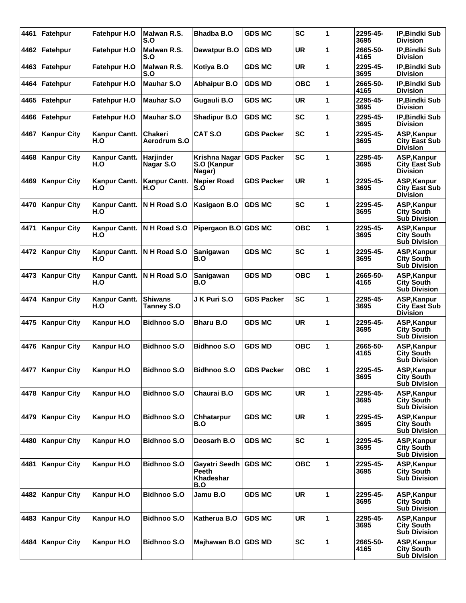| 4461 | Fatehpur           | <b>Fatehpur H.O</b>         | Malwan R.S.<br>S.O             | <b>Bhadba B.O</b>                          | <b>GDS MC</b>     | <b>SC</b>  | 1           | 2295-45-<br>3695 | <b>IP, Bindki Sub</b><br><b>Division</b>                |
|------|--------------------|-----------------------------|--------------------------------|--------------------------------------------|-------------------|------------|-------------|------------------|---------------------------------------------------------|
| 4462 | Fatehpur           | <b>Fatehpur H.O</b>         | Malwan R.S.<br>S.O             | Dawatpur B.O                               | <b>GDS MD</b>     | <b>UR</b>  | 1           | 2665-50-<br>4165 | <b>IP, Bindki Sub</b><br><b>Division</b>                |
| 4463 | Fatehpur           | Fatehpur H.O                | Malwan R.S.<br>S.O             | Kotiya B.O                                 | <b>GDS MC</b>     | <b>UR</b>  | 1           | 2295-45-<br>3695 | IP, Bindki Sub<br><b>Division</b>                       |
| 4464 | Fatehpur           | Fatehpur H.O                | <b>Mauhar S.O</b>              | <b>Abhaipur B.O</b>                        | <b>GDS MD</b>     | OBC        | 1           | 2665-50-<br>4165 | IP, Bindki Sub<br><b>Division</b>                       |
| 4465 | Fatehpur           | <b>Fatehpur H.O</b>         | <b>Mauhar S.O</b>              | Gugauli B.O                                | <b>GDS MC</b>     | <b>UR</b>  | 1           | 2295-45-<br>3695 | IP, Bindki Sub<br><b>Division</b>                       |
| 4466 | Fatehpur           | Fatehpur H.O                | <b>Mauhar S.O</b>              | <b>Shadipur B.O</b>                        | <b>GDS MC</b>     | <b>SC</b>  | 1           | 2295-45-<br>3695 | IP, Bindki Sub<br><b>Division</b>                       |
| 4467 | <b>Kanpur City</b> | <b>Kanpur Cantt.</b><br>H.O | <b>Chakeri</b><br>Aerodrum S.O | CAT S.O                                    | <b>GDS Packer</b> | <b>SC</b>  | 1           | 2295-45-<br>3695 | ASP, Kanpur<br><b>City East Sub</b><br><b>Division</b>  |
| 4468 | <b>Kanpur City</b> | Kanpur Cantt.<br>H.O        | Harjinder<br>Nagar S.O         | Krishna Nagar<br>S.O (Kanpur<br>Nagar)     | <b>GDS Packer</b> | <b>SC</b>  | 1           | 2295-45-<br>3695 | ASP, Kanpur<br><b>City East Sub</b><br><b>Division</b>  |
| 4469 | <b>Kanpur City</b> | Kanpur Cantt.<br>H.O        | Kanpur Cantt.<br>H.O           | <b>Napier Road</b><br>S.O                  | <b>GDS Packer</b> | <b>UR</b>  | 1           | 2295-45-<br>3695 | ASP, Kanpur<br><b>City East Sub</b><br><b>Division</b>  |
| 4470 | <b>Kanpur City</b> | Kanpur Cantt.<br>H.O        | N H Road S.O                   | Kasigaon B.O                               | <b>GDS MC</b>     | <b>SC</b>  | 1           | 2295-45-<br>3695 | ASP, Kanpur<br><b>City South</b><br><b>Sub Division</b> |
| 4471 | <b>Kanpur City</b> | <b>Kanpur Cantt.</b><br>H.O | N H Road S.O                   | Pipergaon B.O GDS MC                       |                   | <b>OBC</b> | 1           | 2295-45-<br>3695 | ASP, Kanpur<br><b>City South</b><br><b>Sub Division</b> |
| 4472 | <b>Kanpur City</b> | Kanpur Cantt.<br>H.O        | N H Road S.O                   | Sanigawan<br>B.O                           | <b>GDS MC</b>     | <b>SC</b>  | 1           | 2295-45-<br>3695 | ASP, Kanpur<br><b>City South</b><br><b>Sub Division</b> |
| 4473 | <b>Kanpur City</b> | Kanpur Cantt.<br>H.O        | N H Road S.O                   | Sanigawan<br>B.O                           | <b>GDS MD</b>     | <b>OBC</b> | 1           | 2665-50-<br>4165 | ASP, Kanpur<br><b>City South</b><br><b>Sub Division</b> |
| 4474 | <b>Kanpur City</b> | Kanpur Cantt.<br>H.O        | <b>Shiwans</b><br>Tanney S.O   | J K Puri S.O                               | <b>GDS Packer</b> | <b>SC</b>  | 1           | 2295-45-<br>3695 | ASP, Kanpur<br><b>City East Sub</b><br><b>Division</b>  |
| 4475 | <b>Kanpur City</b> | Kanpur H.O                  | <b>Bidhnoo S.O</b>             | <b>Bharu B.O</b>                           | <b>GDS MC</b>     | <b>UR</b>  | 1           | 2295-45-<br>3695 | ASP, Kanpur<br><b>City South</b><br><b>Sub Division</b> |
| 4476 | <b>Kanpur City</b> | Kanpur H.O                  | <b>Bidhnoo S.O</b>             | <b>Bidhnoo S.O</b>                         | <b>GDS MD</b>     | <b>OBC</b> | 1           | 2665-50-<br>4165 | ASP, Kanpur<br><b>City South</b><br><b>Sub Division</b> |
|      | 4477 Kanpur City   | Kanpur H.O                  | <b>Bidhnoo S.O</b>             | <b>Bidhnoo S.O</b>                         | <b>GDS Packer</b> | <b>OBC</b> | $\mathbf 1$ | 2295-45-<br>3695 | ASP, Kanpur<br><b>City South</b><br><b>Sub Division</b> |
| 4478 | <b>Kanpur City</b> | Kanpur H.O                  | <b>Bidhnoo S.O</b>             | Chaurai B.O                                | <b>GDS MC</b>     | <b>UR</b>  | 1           | 2295-45-<br>3695 | ASP, Kanpur<br><b>City South</b><br><b>Sub Division</b> |
| 4479 | <b>Kanpur City</b> | Kanpur H.O                  | <b>Bidhnoo S.O</b>             | Chhatarpur<br>B.O                          | <b>GDS MC</b>     | <b>UR</b>  | 1           | 2295-45-<br>3695 | ASP, Kanpur<br><b>City South</b><br><b>Sub Division</b> |
| 4480 | <b>Kanpur City</b> | Kanpur H.O                  | <b>Bidhnoo S.O</b>             | Deosarh B.O                                | <b>GDS MC</b>     | <b>SC</b>  | 1           | 2295-45-<br>3695 | ASP, Kanpur<br><b>City South</b><br><b>Sub Division</b> |
| 4481 | <b>Kanpur City</b> | Kanpur H.O                  | <b>Bidhnoo S.O</b>             | Gayatri Seedh<br>Peeth<br>Khadeshar<br>B.O | <b>GDS MC</b>     | <b>OBC</b> | 1           | 2295-45-<br>3695 | ASP, Kanpur<br><b>City South</b><br><b>Sub Division</b> |
| 4482 | <b>Kanpur City</b> | Kanpur H.O                  | <b>Bidhnoo S.O</b>             | Jamu B.O                                   | <b>GDS MC</b>     | <b>UR</b>  | 1           | 2295-45-<br>3695 | ASP, Kanpur<br><b>City South</b><br><b>Sub Division</b> |
| 4483 | <b>Kanpur City</b> | Kanpur H.O                  | <b>Bidhnoo S.O</b>             | Katherua B.O                               | <b>GDS MC</b>     | <b>UR</b>  | 1           | 2295-45-<br>3695 | ASP, Kanpur<br><b>City South</b><br><b>Sub Division</b> |
| 4484 | <b>Kanpur City</b> | Kanpur H.O                  | <b>Bidhnoo S.O</b>             | Majhawan B.O GDS MD                        |                   | <b>SC</b>  | 1           | 2665-50-<br>4165 | ASP, Kanpur<br><b>City South</b><br><b>Sub Division</b> |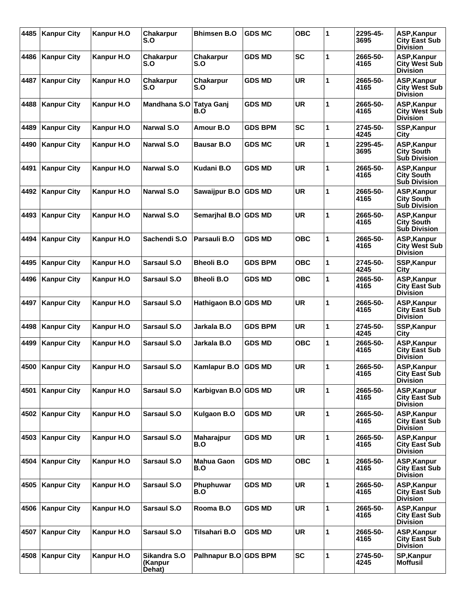| 4485 | <b>Kanpur City</b> | Kanpur H.O | <b>Chakarpur</b><br>S.O           | <b>Bhimsen B.O</b>    | <b>GDS MC</b>  | OBC        | 1 | 2295-45-<br>3695 | ASP, Kanpur<br><b>City East Sub</b><br><b>Division</b>        |
|------|--------------------|------------|-----------------------------------|-----------------------|----------------|------------|---|------------------|---------------------------------------------------------------|
| 4486 | <b>Kanpur City</b> | Kanpur H.O | Chakarpur<br>S.O                  | Chakarpur<br>S.O      | <b>GDS MD</b>  | <b>SC</b>  | 1 | 2665-50-<br>4165 | ASP, Kanpur<br><b>City West Sub</b><br><b>Division</b>        |
| 4487 | <b>Kanpur City</b> | Kanpur H.O | Chakarpur<br>S.O                  | Chakarpur<br>S.O      | <b>GDS MD</b>  | <b>UR</b>  | 1 | 2665-50-<br>4165 | <b>ASP, Kanpur</b><br><b>City West Sub</b><br><b>Division</b> |
| 4488 | <b>Kanpur City</b> | Kanpur H.O | Mandhana S.O                      | Tatya Ganj<br>B.O     | <b>GDS MD</b>  | <b>UR</b>  | 1 | 2665-50-<br>4165 | ASP, Kanpur<br><b>City West Sub</b><br><b>Division</b>        |
| 4489 | <b>Kanpur City</b> | Kanpur H.O | <b>Narwal S.O</b>                 | Amour B.O             | <b>GDS BPM</b> | <b>SC</b>  | 1 | 2745-50-<br>4245 | SSP, Kanpur<br>City                                           |
| 4490 | <b>Kanpur City</b> | Kanpur H.O | <b>Narwal S.O</b>                 | <b>Bausar B.O</b>     | <b>GDS MC</b>  | <b>UR</b>  | 1 | 2295-45-<br>3695 | ASP, Kanpur<br>City South<br><b>Sub Division</b>              |
| 4491 | <b>Kanpur City</b> | Kanpur H.O | <b>Narwal S.O</b>                 | Kudani B.O            | <b>GDS MD</b>  | <b>UR</b>  | 1 | 2665-50-<br>4165 | ASP, Kanpur<br><b>City South</b><br><b>Sub Division</b>       |
| 4492 | <b>Kanpur City</b> | Kanpur H.O | <b>Narwal S.O</b>                 | Sawaijpur B.O GDS MD  |                | <b>UR</b>  | 1 | 2665-50-<br>4165 | ASP, Kanpur<br><b>City South</b><br><b>Sub Division</b>       |
| 4493 | <b>Kanpur City</b> | Kanpur H.O | Narwal S.O                        | Semarjhal B.O GDS MD  |                | <b>UR</b>  | 1 | 2665-50-<br>4165 | ASP, Kanpur<br><b>City South</b><br><b>Sub Division</b>       |
| 4494 | <b>Kanpur City</b> | Kanpur H.O | Sachendi S.O                      | Parsauli B.O          | <b>GDS MD</b>  | OBC        | 1 | 2665-50-<br>4165 | ASP, Kanpur<br><b>City West Sub</b><br><b>Division</b>        |
| 4495 | <b>Kanpur City</b> | Kanpur H.O | Sarsaul S.O                       | <b>Bheoli B.O</b>     | <b>GDS BPM</b> | <b>OBC</b> | 1 | 2745-50-<br>4245 | SSP, Kanpur<br>City                                           |
| 4496 | <b>Kanpur City</b> | Kanpur H.O | <b>Sarsaul S.O</b>                | <b>Bheoli B.O</b>     | <b>GDS MD</b>  | <b>OBC</b> | 1 | 2665-50-<br>4165 | ASP, Kanpur<br><b>City East Sub</b><br><b>Division</b>        |
| 4497 | <b>Kanpur City</b> | Kanpur H.O | Sarsaul S.O                       | Hathigaon B.O GDS MD  |                | UR         | 1 | 2665-50-<br>4165 | ASP, Kanpur<br><b>City East Sub</b><br><b>Division</b>        |
| 4498 | <b>Kanpur City</b> | Kanpur H.O | <b>Sarsaul S.O</b>                | Jarkala B.O           | <b>GDS BPM</b> | <b>UR</b>  | 1 | 2745-50-<br>4245 | SSP, Kanpur<br>City                                           |
| 4499 | <b>Kanpur City</b> | Kanpur H.O | <b>Sarsaul S.O</b>                | Jarkala B.O           | <b>GDS MD</b>  | <b>OBC</b> | 1 | 2665-50-<br>4165 | ASP, Kanpur<br><b>City East Sub</b><br><b>Division</b>        |
| 4500 | <b>Kanpur City</b> | Kanpur H.O | <b>Sarsaul S.O</b>                | Kamlapur B.O          | <b>GDS MD</b>  | <b>UR</b>  | 1 | 2665-50-<br>4165 | ASP, Kanpur<br><b>City East Sub</b><br><b>Division</b>        |
| 4501 | <b>Kanpur City</b> | Kanpur H.O | <b>Sarsaul S.O</b>                | Karbigvan B.O GDS MD  |                | <b>UR</b>  | 1 | 2665-50-<br>4165 | ASP, Kanpur<br><b>City East Sub</b><br><b>Division</b>        |
| 4502 | <b>Kanpur City</b> | Kanpur H.O | Sarsaul S.O                       | Kulgaon B.O           | <b>GDS MD</b>  | <b>UR</b>  | 1 | 2665-50-<br>4165 | <b>ASP, Kanpur</b><br><b>City East Sub</b><br><b>Division</b> |
| 4503 | <b>Kanpur City</b> | Kanpur H.O | <b>Sarsaul S.O</b>                | Maharajpur<br>B.O     | <b>GDS MD</b>  | <b>UR</b>  | 1 | 2665-50-<br>4165 | ASP, Kanpur<br><b>City East Sub</b><br><b>Division</b>        |
| 4504 | <b>Kanpur City</b> | Kanpur H.O | Sarsaul S.O                       | Mahua Gaon<br>B.O     | <b>GDS MD</b>  | <b>OBC</b> | 1 | 2665-50-<br>4165 | ASP, Kanpur<br><b>City East Sub</b><br><b>Division</b>        |
| 4505 | <b>Kanpur City</b> | Kanpur H.O | Sarsaul S.O                       | Phuphuwar<br>B.O      | <b>GDS MD</b>  | <b>UR</b>  | 1 | 2665-50-<br>4165 | ASP, Kanpur<br><b>City East Sub</b><br><b>Division</b>        |
| 4506 | <b>Kanpur City</b> | Kanpur H.O | Sarsaul S.O                       | Rooma B.O             | <b>GDS MD</b>  | <b>UR</b>  | 1 | 2665-50-<br>4165 | ASP, Kanpur<br><b>City East Sub</b><br><b>Division</b>        |
| 4507 | <b>Kanpur City</b> | Kanpur H.O | Sarsaul S.O                       | Tilsahari B.O         | <b>GDS MD</b>  | <b>UR</b>  | 1 | 2665-50-<br>4165 | ASP, Kanpur<br><b>City East Sub</b><br><b>Division</b>        |
| 4508 | <b>Kanpur City</b> | Kanpur H.O | Sikandra S.O<br>(Kanpur<br>Dehat) | Palhnapur B.O GDS BPM |                | <b>SC</b>  | 1 | 2745-50-<br>4245 | SP, Kanpur<br><b>Moffusil</b>                                 |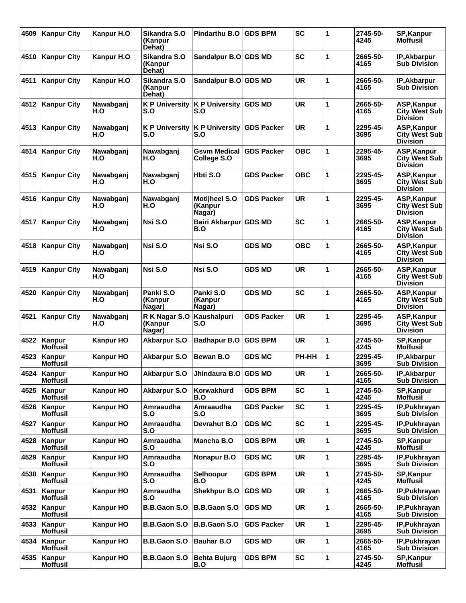| 4509 | Kanpur City                      | Kanpur H.O       | Sikandra S.O<br>(Kanpur<br>Dehat)  | <b>Pindarthu B.O</b>                      | <b>GDS BPM</b>    | <b>SC</b>  | 1 | 2745-50-<br>4245 | SP, Kanpur<br><b>Moffusil</b>                                 |
|------|----------------------------------|------------------|------------------------------------|-------------------------------------------|-------------------|------------|---|------------------|---------------------------------------------------------------|
| 4510 | <b>Kanpur City</b>               | Kanpur H.O       | Sikandra S.O<br>(Kanpur<br>Dehat)  | Sandalpur B.O GDS MD                      |                   | <b>SC</b>  | 1 | 2665-50-<br>4165 | IP, Akbarpur<br><b>Sub Division</b>                           |
| 4511 | <b>Kanpur City</b>               | Kanpur H.O       | Sikandra S.O<br>(Kanpur<br>Dehat)  | Sandalpur B.O GDS MD                      |                   | <b>UR</b>  | 1 | 2665-50-<br>4165 | IP, Akbarpur<br><b>Sub Division</b>                           |
| 4512 | <b>Kanpur City</b>               | Nawabganj<br>H.O | <b>K P University</b><br>S.O       | <b>K P University</b><br>S.O              | <b>GDS MD</b>     | <b>UR</b>  | 1 | 2665-50-<br>4165 | ASP, Kanpur<br><b>City West Sub</b><br><b>Division</b>        |
| 4513 | <b>Kanpur City</b>               | Nawabganj<br>H.O | <b>K P University</b><br>S.O       | <b>K P University</b><br>S.O              | <b>GDS Packer</b> | <b>UR</b>  | 1 | 2295-45-<br>3695 | ASP, Kanpur<br><b>City West Sub</b><br><b>Division</b>        |
| 4514 | <b>Kanpur City</b>               | Nawabganj<br>H.O | Nawabganj<br>H.O                   | <b>Gsvm Medical</b><br>College S.O        | <b>GDS Packer</b> | <b>OBC</b> | 1 | 2295-45-<br>3695 | ASP, Kanpur<br><b>City West Sub</b><br><b>Division</b>        |
| 4515 | <b>Kanpur City</b>               | Nawabganj<br>H.O | Nawabganj<br>H.O                   | Hbti S.O                                  | <b>GDS Packer</b> | ОВС        | 1 | 2295-45-<br>3695 | ASP, Kanpur<br><b>City West Sub</b><br><b>Division</b>        |
| 4516 | <b>Kanpur City</b>               | Nawabqanj<br>H.O | Nawabganj<br>H.O                   | <b>Motijheel S.O</b><br>(Kanpur<br>Nagar) | <b>GDS Packer</b> | <b>UR</b>  | 1 | 2295-45-<br>3695 | ASP, Kanpur<br><b>City West Sub</b><br><b>Division</b>        |
| 4517 | <b>Kanpur City</b>               | Nawabganj<br>H.O | Nsi S.O                            | Bairi Akbarpur GDS MD<br>B.O              |                   | <b>SC</b>  | 1 | 2665-50-<br>4165 | <b>ASP, Kanpur</b><br><b>City West Sub</b><br><b>Division</b> |
| 4518 | <b>Kanpur City</b>               | Nawabganj<br>H.O | Nsi S.O                            | Nsi S.O                                   | <b>GDS MD</b>     | <b>OBC</b> | 1 | 2665-50-<br>4165 | ASP, Kanpur<br><b>City West Sub</b><br><b>Division</b>        |
| 4519 | <b>Kanpur City</b>               | Nawabganj<br>H.O | Nsi S.O                            | Nsi S.O                                   | <b>GDS MD</b>     | <b>UR</b>  | 1 | 2665-50-<br>4165 | ASP, Kanpur<br><b>City West Sub</b><br><b>Division</b>        |
| 4520 | <b>Kanpur City</b>               | Nawabganj<br>H.O | Panki S.O<br>(Kanpur<br>Nagar)     | Panki S.O<br>(Kanpur<br>Nagar)            | <b>GDS MD</b>     | <b>SC</b>  | 1 | 2665-50-<br>4165 | ASP, Kanpur<br><b>City West Sub</b><br><b>Division</b>        |
| 4521 | <b>Kanpur City</b>               | Nawabganj<br>H.O | R K Nagar S.O<br>(Kanpur<br>Nagar) | Kaushalpuri<br>S.O                        | <b>GDS Packer</b> | UR         | 1 | 2295-45-<br>3695 | ASP, Kanpur<br><b>City West Sub</b><br><b>Division</b>        |
| 4522 | Kanpur<br><b>Moffusil</b>        | <b>Kanpur HO</b> | <b>Akbarpur S.O</b>                | <b>Badhapur B.O</b>                       | <b>GDS BPM</b>    | <b>UR</b>  | 1 | 2745-50-<br>4245 | SP, Kanpur<br><b>Moffusil</b>                                 |
| 4523 | Kanpur<br><b>Moffusil</b>        | <b>Kanpur HO</b> | Akbarpur S.O                       | Bewan B.O                                 | <b>GDS MC</b>     | PH-HH      | 1 | 2295-45-<br>3695 | IP, Akbarpur<br><b>Sub Division</b>                           |
|      | 4524 Kanpur<br><b>Moffusil</b>   | <b>Kanpur HO</b> | <b>Akbarpur S.O</b>                | Jhindaura B.O GDS MD                      |                   | <b>UR</b>  | 1 | 2665-50-<br>4165 | IP, Akbarpur<br><b>Sub Division</b>                           |
| 4525 | Kanpur<br><b>Moffusil</b>        | <b>Kanpur HO</b> | <b>Akbarpur S.O</b>                | <b>Korwakhurd</b><br>B.O                  | <b>GDS BPM</b>    | <b>SC</b>  | 1 | 2745-50-<br>4245 | <b>SP, Kanpur</b><br><b>Moffusil</b>                          |
| 4526 | Kanpur<br><b>Moffusil</b>        | <b>Kanpur HO</b> | Amraaudha<br>S.O                   | Amraaudha<br>S.O                          | <b>GDS Packer</b> | <b>SC</b>  | 1 | 2295-45-<br>3695 | IP, Pukhrayan<br><b>Sub Division</b>                          |
| 4527 | Kanpur<br><b>Moffusil</b>        | <b>Kanpur HO</b> | Amraaudha<br>S.O                   | Devrahut B.O                              | <b>GDS MC</b>     | <b>SC</b>  | 1 | 2295-45-<br>3695 | IP, Pukhrayan<br><b>Sub Division</b>                          |
| 4528 | Kanpur<br><b>Moffusil</b>        | <b>Kanpur HO</b> | Amraaudha<br>S.O                   | Mancha B.O                                | <b>GDS BPM</b>    | <b>UR</b>  | 1 | 2745-50-<br>4245 | <b>SP, Kanpur</b><br><b>Moffusil</b>                          |
| 4529 | <b>Kanpur</b><br><b>Moffusil</b> | <b>Kanpur HO</b> | Amraaudha<br>S.O                   | Nonapur B.O                               | <b>GDS MC</b>     | <b>UR</b>  | 1 | 2295-45-<br>3695 | IP, Pukhrayan<br><b>Sub Division</b>                          |
| 4530 | Kanpur<br><b>Moffusil</b>        | <b>Kanpur HO</b> | Amraaudha<br>S.O                   | Selhoopur<br>B.O                          | <b>GDS BPM</b>    | <b>UR</b>  | 1 | 2745-50-<br>4245 | SP, Kanpur<br><b>Moffusil</b>                                 |
| 4531 | Kanpur<br><b>Moffusil</b>        | <b>Kanpur HO</b> | Amraaudha<br>S.O                   | <b>Shekhpur B.O</b>                       | <b>GDS MD</b>     | <b>UR</b>  | 1 | 2665-50-<br>4165 | IP, Pukhrayan<br><b>Sub Division</b>                          |
| 4532 | Kanpur<br><b>Moffusil</b>        | <b>Kanpur HO</b> | <b>B.B.Gaon S.O</b>                | <b>B.B.Gaon S.O</b>                       | <b>GDS MD</b>     | <b>UR</b>  | 1 | 2665-50-<br>4165 | IP, Pukhrayan<br><b>Sub Division</b>                          |
| 4533 | Kanpur<br><b>Moffusil</b>        | <b>Kanpur HO</b> | <b>B.B.Gaon S.O</b>                | B.B.Gaon S.O                              | <b>GDS Packer</b> | <b>UR</b>  | 1 | 2295-45-<br>3695 | IP, Pukhrayan<br><b>Sub Division</b>                          |
| 4534 | Kanpur<br><b>Moffusil</b>        | <b>Kanpur HO</b> | <b>B.B.Gaon S.O</b>                | <b>Bauhar B.O</b>                         | <b>GDS MD</b>     | <b>UR</b>  | 1 | 2665-50-<br>4165 | IP, Pukhrayan<br><b>Sub Division</b>                          |
| 4535 | Kanpur<br><b>Moffusil</b>        | <b>Kanpur HO</b> | <b>B.B.Gaon S.O</b>                | <b>Behta Bujurg</b><br>B.O                | <b>GDS BPM</b>    | <b>SC</b>  | 1 | 2745-50-<br>4245 | SP, Kanpur<br><b>Moffusil</b>                                 |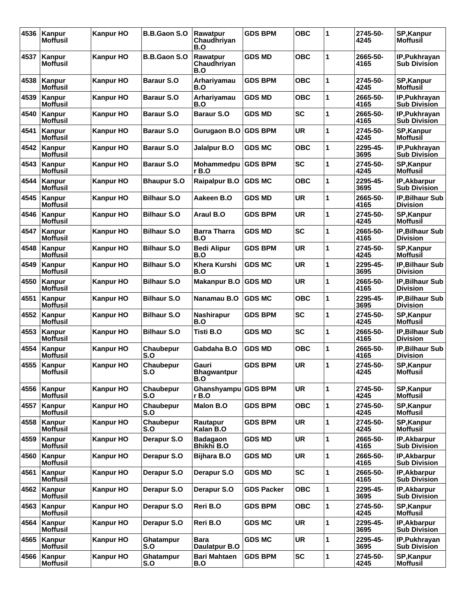| 4536 | Kanpur<br><b>Moffusil</b>        | <b>Kanpur HO</b> | B.B.Gaon S.O            | Rawatpur<br>Chaudhriyan<br>B.O       | <b>GDS BPM</b>    | <b>OBC</b> | 1 | 2745-50-<br>4245 | <b>SP, Kanpur</b><br>Moffusil             |
|------|----------------------------------|------------------|-------------------------|--------------------------------------|-------------------|------------|---|------------------|-------------------------------------------|
| 4537 | Kanpur<br>Moffusil               | <b>Kanpur HO</b> | <b>B.B.Gaon S.O</b>     | Rawatpur<br>Chaudhriyan<br>B.O       | <b>GDS MD</b>     | <b>OBC</b> | 1 | 2665-50-<br>4165 | IP, Pukhrayan<br><b>Sub Division</b>      |
| 4538 | Kanpur<br>Moffusil               | <b>Kanpur HO</b> | <b>Baraur S.O</b>       | Arhariyamau<br>B.O                   | <b>GDS BPM</b>    | <b>OBC</b> | 1 | 2745-50-<br>4245 | SP, Kanpur<br>Moffusil                    |
| 4539 | Kanpur<br>Moffusil               | <b>Kanpur HO</b> | <b>Baraur S.O</b>       | Arhariyamau<br>B.O                   | <b>GDS MD</b>     | <b>OBC</b> | 1 | 2665-50-<br>4165 | IP, Pukhrayan<br><b>Sub Division</b>      |
| 4540 | Kanpur<br><b>Moffusil</b>        | <b>Kanpur HO</b> | <b>Baraur S.O</b>       | <b>Baraur S.O</b>                    | <b>GDS MD</b>     | <b>SC</b>  | 1 | 2665-50-<br>4165 | IP, Pukhrayan<br><b>Sub Division</b>      |
| 4541 | Kanpur<br><b>Moffusil</b>        | <b>Kanpur HO</b> | <b>Baraur S.O</b>       | Gurugaon B.O                         | <b>GDS BPM</b>    | <b>UR</b>  | 1 | 2745-50-<br>4245 | <b>SP, Kanpur</b><br><b>Moffusil</b>      |
| 4542 | Kanpur<br>Moffusil               | <b>Kanpur HO</b> | <b>Baraur S.O</b>       | Jalalpur B.O                         | <b>GDS MC</b>     | <b>OBC</b> | 1 | 2295-45-<br>3695 | IP, Pukhrayan<br><b>Sub Division</b>      |
| 4543 | Kanpur<br>Moffusil               | <b>Kanpur HO</b> | <b>Baraur S.O</b>       | Mohammedpu<br>r B.O                  | <b>GDS BPM</b>    | <b>SC</b>  | 1 | 2745-50-<br>4245 | <b>SP, Kanpur</b><br><b>Moffusil</b>      |
| 4544 | Kanpur<br><b>Moffusil</b>        | <b>Kanpur HO</b> | <b>Bhaupur S.O</b>      | <b>Raipalpur B.O</b>                 | <b>GDS MC</b>     | <b>OBC</b> | 1 | 2295-45-<br>3695 | IP, Akbarpur<br><b>Sub Division</b>       |
| 4545 | Kanpur<br><b>Moffusil</b>        | <b>Kanpur HO</b> | <b>Bilhaur S.O</b>      | Aakeen B.O                           | <b>GDS MD</b>     | <b>UR</b>  | 1 | 2665-50-<br>4165 | <b>IP.Bilhaur Sub</b><br><b>Division</b>  |
| 4546 | Kanpur<br><b>Moffusil</b>        | <b>Kanpur HO</b> | <b>Bilhaur S.O</b>      | Araul B.O                            | <b>GDS BPM</b>    | <b>UR</b>  | 1 | 2745-50-<br>4245 | SP, Kanpur<br><b>Moffusil</b>             |
| 4547 | Kanpur<br><b>Moffusil</b>        | <b>Kanpur HO</b> | <b>Bilhaur S.O</b>      | <b>Barra Tharra</b><br>B.O           | <b>GDS MD</b>     | <b>SC</b>  | 1 | 2665-50-<br>4165 | IP, Bilhaur Sub<br><b>Division</b>        |
| 4548 | Kanpur<br>Moffusil               | <b>Kanpur HO</b> | <b>Bilhaur S.O</b>      | <b>Bedi Alipur</b><br>B.O            | <b>GDS BPM</b>    | <b>UR</b>  | 1 | 2745-50-<br>4245 | <b>SP, Kanpur</b><br>Moffusil             |
| 4549 | Kanpur<br><b>Moffusil</b>        | <b>Kanpur HO</b> | <b>Bilhaur S.O</b>      | Khera Kurshi<br>B.O                  | <b>GDS MC</b>     | <b>UR</b>  | 1 | 2295-45-<br>3695 | <b>IP, Bilhaur Sub</b><br><b>Division</b> |
| 4550 | Kanpur<br><b>Moffusil</b>        | <b>Kanpur HO</b> | <b>Bilhaur S.O</b>      | <b>Makanpur B.O</b>                  | <b>GDS MD</b>     | <b>UR</b>  | 1 | 2665-50-<br>4165 | <b>IP, Bilhaur Sub</b><br><b>Division</b> |
| 4551 | Kanpur<br><b>Moffusil</b>        | <b>Kanpur HO</b> | <b>Bilhaur S.O</b>      | Nanamau B.O                          | <b>GDS MC</b>     | <b>OBC</b> | 1 | 2295-45-<br>3695 | <b>IP, Bilhaur Sub</b><br><b>Division</b> |
| 4552 | Kanpur<br><b>Moffusil</b>        | <b>Kanpur HO</b> | <b>Bilhaur S.O</b>      | <b>Nashirapur</b><br>B.O             | <b>GDS BPM</b>    | <b>SC</b>  | 1 | 2745-50-<br>4245 | SP, Kanpur<br><b>Moffusil</b>             |
| 4553 | Kanpur<br><b>Moffusil</b>        | <b>Kanpur HO</b> | <b>Bilhaur S.O</b>      | Tisti B.O                            | <b>GDS MD</b>     | <b>SC</b>  | 1 | 2665-50-<br>4165 | <b>IP, Bilhaur Sub</b><br><b>Division</b> |
| 4554 | Kanpur<br><b>Moffusil</b>        | <b>Kanpur HO</b> | <b>Chaubepur</b><br>S.O | Gabdaha B.O                          | <b>GDS MD</b>     | <b>OBC</b> | 1 | 2665-50-<br>4165 | <b>IP, Bilhaur Sub</b><br><b>Division</b> |
|      | 4555   Kanpur<br><b>Moffusil</b> | Kanpur HO        | <b>Chaubepur</b><br>S.O | Gauri<br><b>Bhagwantpur</b><br>B.O   | <b>GDS BPM</b>    | <b>UR</b>  | 1 | 2745-50-<br>4245 | SP, Kanpur<br><b>Moffusil</b>             |
| 4556 | Kanpur<br><b>Moffusil</b>        | <b>Kanpur HO</b> | Chaubepur<br>S.O        | Ghanshyampu<br>r B.O                 | <b>GDS BPM</b>    | <b>UR</b>  | 1 | 2745-50-<br>4245 | SP, Kanpur<br><b>Moffusil</b>             |
| 4557 | Kanpur<br><b>Moffusil</b>        | <b>Kanpur HO</b> | Chaubepur<br>S.O        | Malon B.O                            | <b>GDS BPM</b>    | <b>OBC</b> | 1 | 2745-50-<br>4245 | SP, Kanpur<br><b>Moffusil</b>             |
| 4558 | Kanpur<br><b>Moffusil</b>        | <b>Kanpur HO</b> | Chaubepur<br>S.O        | Rautapur<br>Kalan B.O                | <b>GDS BPM</b>    | <b>UR</b>  | 1 | 2745-50-<br>4245 | <b>SP, Kanpur</b><br><b>Moffusil</b>      |
| 4559 | Kanpur<br><b>Moffusil</b>        | <b>Kanpur HO</b> | Derapur S.O             | <b>Badagaon</b><br><b>Bhikhi B.O</b> | <b>GDS MD</b>     | <b>UR</b>  | 1 | 2665-50-<br>4165 | IP, Akbarpur<br><b>Sub Division</b>       |
| 4560 | Kanpur<br><b>Moffusil</b>        | <b>Kanpur HO</b> | Derapur S.O             | <b>Bijhara B.O</b>                   | <b>GDS MD</b>     | <b>UR</b>  | 1 | 2665-50-<br>4165 | IP, Akbarpur<br><b>Sub Division</b>       |
| 4561 | Kanpur<br><b>Moffusil</b>        | <b>Kanpur HO</b> | Derapur S.O             | Derapur S.O                          | <b>GDS MD</b>     | <b>SC</b>  | 1 | 2665-50-<br>4165 | IP, Akbarpur<br><b>Sub Division</b>       |
| 4562 | Kanpur<br><b>Moffusil</b>        | <b>Kanpur HO</b> | Derapur S.O             | Derapur S.O                          | <b>GDS Packer</b> | <b>OBC</b> | 1 | 2295-45-<br>3695 | IP, Akbarpur<br><b>Sub Division</b>       |
| 4563 | Kanpur<br><b>Moffusil</b>        | <b>Kanpur HO</b> | Derapur S.O             | Reri B.O                             | <b>GDS BPM</b>    | <b>OBC</b> | 1 | 2745-50-<br>4245 | SP, Kanpur<br><b>Moffusil</b>             |
| 4564 | Kanpur<br><b>Moffusil</b>        | <b>Kanpur HO</b> | Derapur S.O             | Reri B.O                             | <b>GDS MC</b>     | <b>UR</b>  | 1 | 2295-45-<br>3695 | IP, Akbarpur<br><b>Sub Division</b>       |
| 4565 | Kanpur<br><b>Moffusil</b>        | <b>Kanpur HO</b> | Ghatampur<br>S.O        | <b>Bara</b><br>Daulatpur B.O         | <b>GDS MC</b>     | <b>UR</b>  | 1 | 2295-45-<br>3695 | IP, Pukhrayan<br><b>Sub Division</b>      |
| 4566 | Kanpur<br><b>Moffusil</b>        | <b>Kanpur HO</b> | Ghatampur<br>S.O        | <b>Bari Mahtaen</b><br>B.O           | <b>GDS BPM</b>    | <b>SC</b>  | 1 | 2745-50-<br>4245 | SP, Kanpur<br><b>Moffusil</b>             |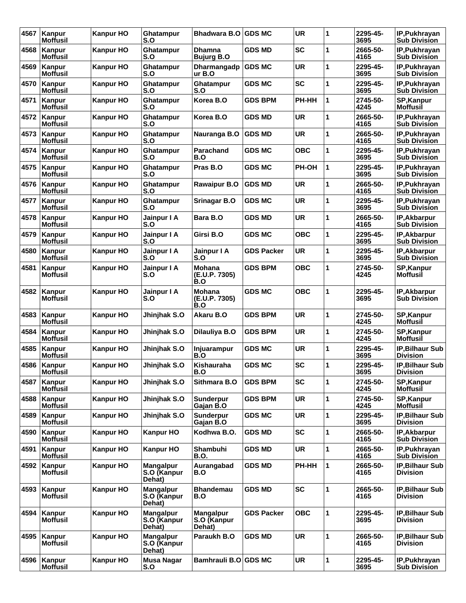| 4567 | Kanpur                           | <b>Kanpur HO</b> | <b>Ghatampur</b>                          | <b>Bhadwara B.O</b>                       | <b>GDS MC</b>     | <b>UR</b>  | 1 | 2295-45-         | IP, Pukhrayan                             |
|------|----------------------------------|------------------|-------------------------------------------|-------------------------------------------|-------------------|------------|---|------------------|-------------------------------------------|
|      | <b>Moffusil</b>                  |                  | S.O                                       |                                           |                   |            |   | 3695             | <b>Sub Division</b>                       |
| 4568 | Kanpur<br><b>Moffusil</b>        | <b>Kanpur HO</b> | Ghatampur<br>S.O                          | <b>Dhamna</b><br><b>Bujurg B.O</b>        | <b>GDS MD</b>     | <b>SC</b>  | 1 | 2665-50-<br>4165 | IP, Pukhrayan<br><b>Sub Division</b>      |
| 4569 | Kanpur<br><b>Moffusil</b>        | <b>Kanpur HO</b> | Ghatampur<br>S.O                          | Dharmangadp<br>ur B.O                     | <b>GDS MC</b>     | <b>UR</b>  | 1 | 2295-45-<br>3695 | IP, Pukhrayan<br><b>Sub Division</b>      |
| 4570 | Kanpur<br><b>Moffusil</b>        | <b>Kanpur HO</b> | Ghatampur<br>S.O                          | Ghatampur<br>S.O                          | <b>GDS MC</b>     | <b>SC</b>  | 1 | 2295-45-<br>3695 | IP, Pukhrayan<br><b>Sub Division</b>      |
| 4571 | Kanpur<br><b>Moffusil</b>        | <b>Kanpur HO</b> | Ghatampur<br>S.O                          | Korea B.O                                 | <b>GDS BPM</b>    | PH-HH      | 1 | 2745-50-<br>4245 | <b>SP, Kanpur</b><br><b>Moffusil</b>      |
| 4572 | Kanpur<br><b>Moffusil</b>        | <b>Kanpur HO</b> | Ghatampur<br>S.O                          | Korea B.O                                 | <b>GDS MD</b>     | <b>UR</b>  | 1 | 2665-50-<br>4165 | IP, Pukhrayan<br><b>Sub Division</b>      |
| 4573 | Kanpur<br><b>Moffusil</b>        | <b>Kanpur HO</b> | Ghatampur<br>S.O                          | Nauranga B.O                              | <b>GDS MD</b>     | <b>UR</b>  | 1 | 2665-50-<br>4165 | IP, Pukhrayan<br><b>Sub Division</b>      |
| 4574 | Kanpur<br><b>Moffusil</b>        | <b>Kanpur HO</b> | Ghatampur<br>S.O                          | Parachand<br>B.O                          | <b>GDS MC</b>     | <b>OBC</b> | 1 | 2295-45-<br>3695 | IP, Pukhrayan<br><b>Sub Division</b>      |
| 4575 | Kanpur<br><b>Moffusil</b>        | <b>Kanpur HO</b> | Ghatampur<br>S.O                          | Pras B.O                                  | <b>GDS MC</b>     | PH-OH      | 1 | 2295-45-<br>3695 | IP, Pukhrayan<br><b>Sub Division</b>      |
| 4576 | Kanpur<br><b>Moffusil</b>        | <b>Kanpur HO</b> | Ghatampur<br>S.O                          | <b>Rawaipur B.O</b>                       | <b>GDS MD</b>     | <b>UR</b>  | 1 | 2665-50-<br>4165 | IP, Pukhrayan<br><b>Sub Division</b>      |
| 4577 | Kanpur<br><b>Moffusil</b>        | <b>Kanpur HO</b> | Ghatampur<br>S.O                          | <b>Srinagar B.O</b>                       | <b>GDS MC</b>     | <b>UR</b>  | 1 | 2295-45-<br>3695 | IP, Pukhrayan<br><b>Sub Division</b>      |
| 4578 | Kanpur<br><b>Moffusil</b>        | <b>Kanpur HO</b> | Jainpur I A<br>S.O                        | Bara B.O                                  | <b>GDS MD</b>     | <b>UR</b>  | 1 | 2665-50-<br>4165 | IP, Akbarpur<br><b>Sub Division</b>       |
| 4579 | Kanpur<br><b>Moffusil</b>        | <b>Kanpur HO</b> | Jainpur I A<br>S.O                        | Girsi B.O                                 | <b>GDS MC</b>     | OBC        | 1 | 2295-45-<br>3695 | IP, Akbarpur<br><b>Sub Division</b>       |
| 4580 | Kanpur<br><b>Moffusil</b>        | <b>Kanpur HO</b> | Jainpur I A<br>S.O                        | Jainpur I A<br>S.O                        | <b>GDS Packer</b> | <b>UR</b>  | 1 | 2295-45-<br>3695 | IP, Akbarpur<br><b>Sub Division</b>       |
| 4581 | Kanpur<br><b>Moffusil</b>        | <b>Kanpur HO</b> | Jainpur I A<br>S.O                        | <b>Mohana</b><br>(E.U.P. 7305)<br>B.O     | <b>GDS BPM</b>    | <b>OBC</b> | 1 | 2745-50-<br>4245 | <b>SP, Kanpur</b><br><b>Moffusil</b>      |
| 4582 | Kanpur<br><b>Moffusil</b>        | <b>Kanpur HO</b> | Jainpur I A<br>S.O                        | <b>Mohana</b><br>(E.U.P. 7305)<br>B.O     | <b>GDS MC</b>     | OBC        | 1 | 2295-45-<br>3695 | IP, Akbarpur<br><b>Sub Division</b>       |
| 4583 | Kanpur<br><b>Moffusil</b>        | <b>Kanpur HO</b> | Jhinjhak S.O                              | Akaru B.O                                 | <b>GDS BPM</b>    | <b>UR</b>  | 1 | 2745-50-<br>4245 | <b>SP, Kanpur</b><br><b>Moffusil</b>      |
| 4584 | Kanpur<br><b>Moffusil</b>        | <b>Kanpur HO</b> | Jhinjhak S.O                              | Dilauliya B.O                             | <b>GDS BPM</b>    | <b>UR</b>  | 1 | 2745-50-<br>4245 | <b>SP, Kanpur</b><br><b>Moffusil</b>      |
| 4585 | Kanpur<br><b>Moffusil</b>        | <b>Kanpur HO</b> | Jhinjhak S.O                              | Injuarampur<br>B.O                        | <b>GDS MC</b>     | <b>UR</b>  | 1 | 2295-45-<br>3695 | <b>IP, Bilhaur Sub</b><br><b>Division</b> |
|      | 4586   Kanpur<br><b>Moffusil</b> | <b>Kanpur HO</b> | Jhinjhak S.O                              | Kishauraha<br>B.O                         | <b>GDS MC</b>     | <b>SC</b>  | 1 | 2295-45-<br>3695 | <b>IP.Bilhaur Sub</b><br><b>Division</b>  |
| 4587 | Kanpur<br><b>Moffusil</b>        | <b>Kanpur HO</b> | Jhinjhak S.O                              | Sithmara B.O                              | <b>GDS BPM</b>    | <b>SC</b>  | 1 | 2745-50-<br>4245 | SP, Kanpur<br><b>Moffusil</b>             |
| 4588 | Kanpur<br><b>Moffusil</b>        | <b>Kanpur HO</b> | Jhinjhak S.O                              | <b>Sunderpur</b><br>Gajan B.O             | <b>GDS BPM</b>    | <b>UR</b>  | 1 | 2745-50-<br>4245 | <b>SP, Kanpur</b><br><b>Moffusil</b>      |
| 4589 | Kanpur<br><b>Moffusil</b>        | <b>Kanpur HO</b> | Jhinjhak S.O                              | <b>Sunderpur</b><br>Gajan B.O             | <b>GDS MC</b>     | <b>UR</b>  | 1 | 2295-45-<br>3695 | <b>IP, Bilhaur Sub</b><br><b>Division</b> |
| 4590 | Kanpur<br><b>Moffusil</b>        | <b>Kanpur HO</b> | <b>Kanpur HO</b>                          | Kodhwa B.O.                               | <b>GDS MD</b>     | <b>SC</b>  | 1 | 2665-50-<br>4165 | IP, Akbarpur<br><b>Sub Division</b>       |
| 4591 | Kanpur<br><b>Moffusil</b>        | <b>Kanpur HO</b> | <b>Kanpur HO</b>                          | Shambuhi<br><b>B.O.</b>                   | <b>GDS MD</b>     | UR         | 1 | 2665-50-<br>4165 | IP, Pukhrayan<br><b>Sub Division</b>      |
| 4592 | Kanpur<br><b>Moffusil</b>        | <b>Kanpur HO</b> | <b>Mangalpur</b><br>S.O (Kanpur<br>Dehat) | Aurangabad<br>B.O                         | <b>GDS MD</b>     | PH-HH      | 1 | 2665-50-<br>4165 | <b>IP, Bilhaur Sub</b><br><b>Division</b> |
| 4593 | Kanpur<br><b>Moffusil</b>        | <b>Kanpur HO</b> | <b>Mangalpur</b><br>S.O (Kanpur<br>Dehat) | <b>Bhandemau</b><br>B.O                   | <b>GDS MD</b>     | <b>SC</b>  | 1 | 2665-50-<br>4165 | <b>IP, Bilhaur Sub</b><br><b>Division</b> |
| 4594 | Kanpur<br><b>Moffusil</b>        | <b>Kanpur HO</b> | Mangalpur<br>S.O (Kanpur<br>Dehat)        | <b>Mangalpur</b><br>S.O (Kanpur<br>Dehat) | <b>GDS Packer</b> | <b>OBC</b> | 1 | 2295-45-<br>3695 | <b>IP, Bilhaur Sub</b><br><b>Division</b> |
| 4595 | Kanpur<br><b>Moffusil</b>        | <b>Kanpur HO</b> | <b>Mangalpur</b><br>S.O (Kanpur<br>Dehat) | Paraukh B.O                               | <b>GDS MD</b>     | <b>UR</b>  | 1 | 2665-50-<br>4165 | <b>IP, Bilhaur Sub</b><br><b>Division</b> |
| 4596 | Kanpur<br><b>Moffusil</b>        | <b>Kanpur HO</b> | <b>Musa Nagar</b><br>S.O                  | Bamhrauli B.O GDS MC                      |                   | <b>UR</b>  | 1 | 2295-45-<br>3695 | IP, Pukhrayan<br><b>Sub Division</b>      |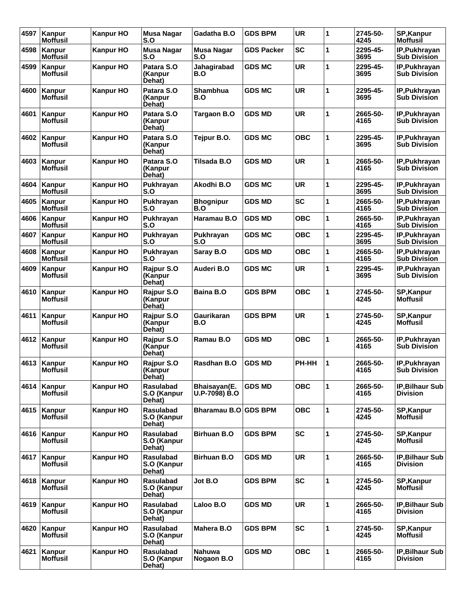| 4597 | Kanpur<br><b>Moffusil</b>        | <b>Kanpur HO</b> | <b>Musa Nagar</b><br>S.O                  | Gadatha B.O                   | <b>GDS BPM</b>    | <b>UR</b>  | 1 | 2745-50-<br>4245 | SP, Kanpur<br>Moffusil                    |
|------|----------------------------------|------------------|-------------------------------------------|-------------------------------|-------------------|------------|---|------------------|-------------------------------------------|
| 4598 | Kanpur<br><b>Moffusil</b>        | <b>Kanpur HO</b> | <b>Musa Nagar</b><br>S.O                  | Musa Nagar<br>S.O             | <b>GDS Packer</b> | <b>SC</b>  | 1 | 2295-45-<br>3695 | IP, Pukhrayan<br><b>Sub Division</b>      |
| 4599 | Kanpur<br><b>Moffusil</b>        | <b>Kanpur HO</b> | Patara S.O<br>(Kanpur<br>Dehat)           | Jahagirabad<br>B.O            | <b>GDS MC</b>     | <b>UR</b>  | 1 | 2295-45-<br>3695 | IP, Pukhrayan<br><b>Sub Division</b>      |
| 4600 | Kanpur<br><b>Moffusil</b>        | <b>Kanpur HO</b> | Patara S.O<br>(Kanpur<br>Dehat)           | Shambhua<br>B.O               | <b>GDS MC</b>     | <b>UR</b>  | 1 | 2295-45-<br>3695 | IP, Pukhrayan<br><b>Sub Division</b>      |
| 4601 | Kanpur<br><b>Moffusil</b>        | <b>Kanpur HO</b> | Patara S.O<br>(Kanpur<br>Dehat)           | Targaon B.O                   | <b>GDS MD</b>     | <b>UR</b>  | 1 | 2665-50-<br>4165 | IP, Pukhrayan<br><b>Sub Division</b>      |
| 4602 | Kanpur<br><b>Moffusil</b>        | <b>Kanpur HO</b> | Patara S.O<br>(Kanpur<br>Dehat)           | Tejpur B.O.                   | <b>GDS MC</b>     | <b>OBC</b> | 1 | 2295-45-<br>3695 | IP, Pukhrayan<br><b>Sub Division</b>      |
| 4603 | Kanpur<br><b>Moffusil</b>        | <b>Kanpur HO</b> | Patara S.O<br>(Kanpur<br>Dehat)           | Tilsada B.O                   | <b>GDS MD</b>     | <b>UR</b>  | 1 | 2665-50-<br>4165 | IP, Pukhrayan<br><b>Sub Division</b>      |
| 4604 | Kanpur<br><b>Moffusil</b>        | <b>Kanpur HO</b> | Pukhrayan<br>S.O                          | Akodhi B.O                    | <b>GDS MC</b>     | <b>UR</b>  | 1 | 2295-45-<br>3695 | IP, Pukhrayan<br><b>Sub Division</b>      |
| 4605 | Kanpur<br><b>Moffusil</b>        | <b>Kanpur HO</b> | Pukhrayan<br>S.O                          | <b>Bhognipur</b><br>B.O       | <b>GDS MD</b>     | <b>SC</b>  | 1 | 2665-50-<br>4165 | IP, Pukhrayan<br><b>Sub Division</b>      |
| 4606 | Kanpur<br><b>Moffusil</b>        | <b>Kanpur HO</b> | Pukhrayan<br>S.O                          | Haramau B.O                   | <b>GDS MD</b>     | <b>OBC</b> | 1 | 2665-50-<br>4165 | IP, Pukhrayan<br><b>Sub Division</b>      |
| 4607 | Kanpur<br><b>Moffusil</b>        | <b>Kanpur HO</b> | Pukhrayan<br>S.O                          | Pukhrayan<br>S.O              | <b>GDS MC</b>     | <b>OBC</b> | 1 | 2295-45-<br>3695 | IP, Pukhrayan<br><b>Sub Division</b>      |
| 4608 | Kanpur<br>Moffusil               | <b>Kanpur HO</b> | Pukhrayan<br>S.O                          | Saray B.O                     | <b>GDS MD</b>     | <b>OBC</b> | 1 | 2665-50-<br>4165 | IP, Pukhrayan<br><b>Sub Division</b>      |
| 4609 | Kanpur<br><b>Moffusil</b>        | <b>Kanpur HO</b> | Rajpur S.O<br>(Kanpur<br>Dehat)           | Auderi B.O                    | GDS MC            | <b>UR</b>  | 1 | 2295-45-<br>3695 | IP, Pukhrayan<br><b>Sub Division</b>      |
| 4610 | Kanpur<br><b>Moffusil</b>        | <b>Kanpur HO</b> | Rajpur S.O<br>(Kanpur<br>Dehat)           | <b>Baina B.O</b>              | <b>GDS BPM</b>    | <b>OBC</b> | 1 | 2745-50-<br>4245 | <b>SP, Kanpur</b><br><b>Moffusil</b>      |
| 4611 | Kanpur<br><b>Moffusil</b>        | <b>Kanpur HO</b> | Rajpur S.O<br>(Kanpur<br>Dehat)           | Gaurikaran<br>B.O             | <b>GDS BPM</b>    | <b>UR</b>  | 1 | 2745-50-<br>4245 | <b>SP, Kanpur</b><br>Moffusil             |
| 4612 | Kanpur<br><b>Moffusil</b>        | <b>Kanpur HO</b> | Rajpur S.O<br>(Kanpur<br>Dehat)           | Ramau B.O                     | <b>GDS MD</b>     | OBC        | 1 | 2665-50-<br>4165 | IP, Pukhrayan<br><b>Sub Division</b>      |
|      | 4613   Kanpur<br><b>Moffusil</b> | <b>Kanpur HO</b> | Rajpur S.O<br>(Kanpur<br>Dehat)           | Rasdhan B.O                   | <b>GDS MD</b>     | PH-HH      | 1 | 2665-50-<br>4165 | IP, Pukhrayan<br>Sub Division             |
|      | 4614 Kanpur<br><b>Moffusil</b>   | <b>Kanpur HO</b> | Rasulabad<br>S.O (Kanpur<br>Dehat)        | Bhaisayan(E.<br>U.P-7098) B.O | <b>GDS MD</b>     | <b>OBC</b> | 1 | 2665-50-<br>4165 | <b>IP, Bilhaur Sub</b><br><b>Division</b> |
|      | 4615   Kanpur<br>Moffusil        | <b>Kanpur HO</b> | <b>Rasulabad</b><br>S.O (Kanpur<br>Dehat) | Bharamau B.O GDS BPM          |                   | <b>OBC</b> | 1 | 2745-50-<br>4245 | SP, Kanpur<br><b>Moffusil</b>             |
|      | 4616   Kanpur<br><b>Moffusil</b> | <b>Kanpur HO</b> | <b>Rasulabad</b><br>S.O (Kanpur<br>Dehat) | <b>Birhuan B.O</b>            | <b>GDS BPM</b>    | <b>SC</b>  | 1 | 2745-50-<br>4245 | <b>SP, Kanpur</b><br><b>Moffusil</b>      |
|      | 4617 Kanpur<br><b>Moffusil</b>   | <b>Kanpur HO</b> | Rasulabad<br>S.O (Kanpur<br>Dehat)        | <b>Birhuan B.O</b>            | <b>GDS MD</b>     | <b>UR</b>  | 1 | 2665-50-<br>4165 | <b>IP, Bilhaur Sub</b><br><b>Division</b> |
| 4618 | Kanpur<br><b>Moffusil</b>        | <b>Kanpur HO</b> | <b>Rasulabad</b><br>S.O (Kanpur<br>Dehat) | Jot B.O                       | <b>GDS BPM</b>    | <b>SC</b>  | 1 | 2745-50-<br>4245 | SP, Kanpur<br><b>Moffusil</b>             |
| 4619 | Kanpur<br><b>Moffusil</b>        | <b>Kanpur HO</b> | <b>Rasulabad</b><br>S.O (Kanpur<br>Dehat) | Laloo B.O                     | <b>GDS MD</b>     | <b>UR</b>  | 1 | 2665-50-<br>4165 | <b>IP, Bilhaur Sub</b><br>Division        |
| 4620 | Kanpur<br><b>Moffusil</b>        | <b>Kanpur HO</b> | Rasulabad<br>S.O (Kanpur<br>Dehat)        | Mahera B.O                    | <b>GDS BPM</b>    | <b>SC</b>  | 1 | 2745-50-<br>4245 | SP, Kanpur<br><b>Moffusil</b>             |
|      | 4621   Kanpur<br><b>Moffusil</b> | <b>Kanpur HO</b> | <b>Rasulabad</b><br>S.O (Kanpur<br>Dehat) | <b>Nahuwa</b><br>Nogaon B.O   | <b>GDS MD</b>     | <b>OBC</b> | 1 | 2665-50-<br>4165 | IP, Bilhaur Sub<br><b>Division</b>        |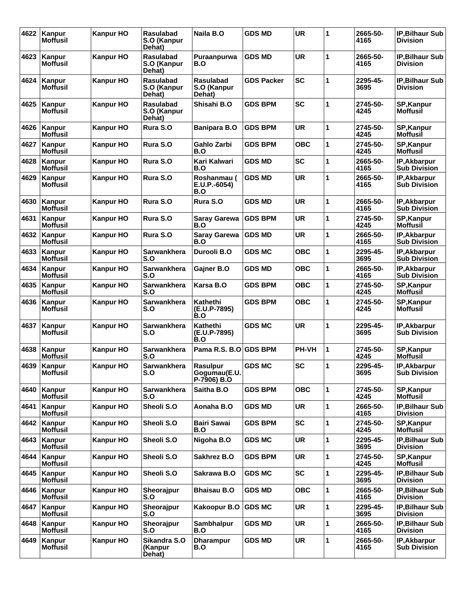| 4622 | Kanpur<br>Moffusil             | <b>Kanpur HO</b> | <b>Rasulabad</b><br>S.O (Kanpur<br>Dehat) | Naila B.O                                 | <b>GDS MD</b>     | <b>UR</b>  | 1 | 2665-50-<br>4165 | <b>IP, Bilhaur Sub</b><br><b>Division</b>  |
|------|--------------------------------|------------------|-------------------------------------------|-------------------------------------------|-------------------|------------|---|------------------|--------------------------------------------|
| 4623 | Kanpur<br><b>Moffusil</b>      | <b>Kanpur HO</b> | <b>Rasulabad</b><br>S.O (Kanpur<br>Dehat) | Puraanpurwa<br>B.O                        | <b>GDS MD</b>     | <b>UR</b>  | 1 | 2665-50-<br>4165 | IP, Bilhaur Sub<br>Division                |
| 4624 | Kanpur<br>Moffusil             | <b>Kanpur HO</b> | <b>Rasulabad</b><br>S.O (Kanpur<br>Dehat) | <b>Rasulabad</b><br>S.O (Kanpur<br>Dehat) | <b>GDS Packer</b> | <b>SC</b>  | 1 | 2295-45-<br>3695 | <b>IP, Bilhaur Sub</b><br><b>Division</b>  |
| 4625 | Kanpur<br>Moffusil             | <b>Kanpur HO</b> | Rasulabad<br>S.O (Kanpur<br>Dehat)        | Shisahi B.O                               | <b>GDS BPM</b>    | <b>SC</b>  | 1 | 2745-50-<br>4245 | SP, Kanpur<br><b>Moffusil</b>              |
| 4626 | Kanpur<br><b>Moffusil</b>      | <b>Kanpur HO</b> | Rura S.O                                  | <b>Banipara B.O</b>                       | <b>GDS BPM</b>    | <b>UR</b>  | 1 | 2745-50-<br>4245 | <b>SP, Kanpur</b><br><b>Moffusil</b>       |
| 4627 | Kanpur<br><b>Moffusil</b>      | <b>Kanpur HO</b> | Rura S.O                                  | <b>Gahlo Zarbi</b><br>B.O                 | <b>GDS BPM</b>    | <b>OBC</b> | 1 | 2745-50-<br>4245 | <b>SP, Kanpur</b><br><b>Moffusil</b>       |
| 4628 | Kanpur<br><b>Moffusil</b>      | <b>Kanpur HO</b> | Rura S.O                                  | Kari Kalwari<br>B.O                       | <b>GDS MD</b>     | <b>SC</b>  | 1 | 2665-50-<br>4165 | IP, Akbarpur<br><b>Sub Division</b>        |
| 4629 | Kanpur<br><b>Moffusil</b>      | <b>Kanpur HO</b> | Rura S.O                                  | Roshanmau (<br>E.U.P.-6054)<br>B.O        | <b>GDS MD</b>     | <b>UR</b>  | 1 | 2665-50-<br>4165 | IP, Akbarpur<br><b>Sub Division</b>        |
| 4630 | Kanpur<br><b>Moffusil</b>      | <b>Kanpur HO</b> | Rura S.O                                  | Rura S.O                                  | <b>GDS MD</b>     | <b>UR</b>  | 1 | 2665-50-<br>4165 | IP, Akbarpur<br><b>Sub Division</b>        |
| 4631 | Kanpur<br>Moffusil             | <b>Kanpur HO</b> | Rura S.O                                  | <b>Saray Garewa</b><br>B.O                | <b>GDS BPM</b>    | <b>UR</b>  | 1 | 2745-50-<br>4245 | SP, Kanpur<br>Moffusil                     |
| 4632 | Kanpur<br>Moffusil             | <b>Kanpur HO</b> | Rura S.O                                  | <b>Saray Garewa</b><br>B.O                | <b>GDS MD</b>     | <b>UR</b>  | 1 | 2665-50-<br>4165 | IP, Akbarpur<br><b>Sub Division</b>        |
| 4633 | Kanpur<br><b>Moffusil</b>      | <b>Kanpur HO</b> | Sarwankhera<br>S.O                        | Durooli B.O                               | <b>GDS MC</b>     | <b>OBC</b> | 1 | 2295-45-<br>3695 | <b>IP, Akbarpur</b><br><b>Sub Division</b> |
| 4634 | Kanpur<br>Moffusil             | <b>Kanpur HO</b> | Sarwankhera<br>S.O                        | Gajner B.O                                | <b>GDS MD</b>     | <b>OBC</b> | 1 | 2665-50-<br>4165 | IP, Akbarpur<br><b>Sub Division</b>        |
| 4635 | Kanpur<br><b>Moffusil</b>      | <b>Kanpur HO</b> | Sarwankhera<br>S.O                        | Karsa B.O                                 | <b>GDS BPM</b>    | <b>OBC</b> | 1 | 2745-50-<br>4245 | <b>SP, Kanpur</b><br><b>Moffusil</b>       |
| 4636 | Kanpur<br><b>Moffusil</b>      | <b>Kanpur HO</b> | <b>Sarwankhera</b><br>S.O                 | Kathethi<br>(E.U.P-7895)<br>B.O           | <b>GDS BPM</b>    | <b>OBC</b> | 1 | 2745-50-<br>4245 | <b>SP, Kanpur</b><br>Moffusil              |
| 4637 | Kanpur<br><b>Moffusil</b>      | <b>Kanpur HO</b> | Sarwankhera<br>S.O                        | Kathethi<br>(E.U.P-7895)<br>B.O           | <b>GDS MC</b>     | <b>UR</b>  | 1 | 2295-45-<br>3695 | IP, Akbarpur<br><b>Sub Division</b>        |
| 4638 | Kanpur<br><b>Moffusil</b>      | <b>Kanpur HO</b> | Sarwankhera<br>S.O                        | Pama R.S. B.O                             | <b>GDS BPM</b>    | PH-VH      | 1 | 2745-50-<br>4245 | SP, Kanpur<br><b>Moffusil</b>              |
|      | 4639 Kanpur<br><b>Moffusil</b> | <b>Kanpur HO</b> | <b>Sarwankhera</b><br>S.O                 | Rasulpur<br>Gogumau(E.U.<br>P-7906) B.O   | <b>GDS MC</b>     | <b>SC</b>  | 1 | 2295-45-<br>3695 | IP, Akbarpur<br><b>Sub Division</b>        |
| 4640 | Kanpur<br><b>Moffusil</b>      | <b>Kanpur HO</b> | <b>Sarwankhera</b><br>S.O                 | Saitha B.O                                | <b>GDS BPM</b>    | <b>OBC</b> | 1 | 2745-50-<br>4245 | <b>SP, Kanpur</b><br><b>Moffusil</b>       |
| 4641 | Kanpur<br><b>Moffusil</b>      | <b>Kanpur HO</b> | Sheoli S.O                                | Aonaha B.O                                | <b>GDS MD</b>     | <b>UR</b>  | 1 | 2665-50-<br>4165 | <b>IP.Bilhaur Sub</b><br><b>Division</b>   |
| 4642 | Kanpur<br><b>Moffusil</b>      | <b>Kanpur HO</b> | Sheoli S.O                                | <b>Bairi Sawai</b><br>B.O                 | <b>GDS BPM</b>    | <b>SC</b>  | 1 | 2745-50-<br>4245 | <b>SP, Kanpur</b><br><b>Moffusil</b>       |
| 4643 | Kanpur<br><b>Moffusil</b>      | <b>Kanpur HO</b> | Sheoli S.O                                | Nigoha B.O                                | <b>GDS MC</b>     | UR         | 1 | 2295-45-<br>3695 | <b>IP, Bilhaur Sub</b><br><b>Division</b>  |
| 4644 | Kanpur<br><b>Moffusil</b>      | <b>Kanpur HO</b> | Sheoli S.O                                | Sakhrez B.O                               | <b>GDS BPM</b>    | <b>UR</b>  | 1 | 2745-50-<br>4245 | SP, Kanpur<br><b>Moffusil</b>              |
| 4645 | Kanpur<br><b>Moffusil</b>      | <b>Kanpur HO</b> | Sheoli S.O                                | Sakrawa B.O                               | <b>GDS MC</b>     | <b>SC</b>  | 1 | 2295-45-<br>3695 | <b>IP, Bilhaur Sub</b><br><b>Division</b>  |
| 4646 | Kanpur<br><b>Moffusil</b>      | <b>Kanpur HO</b> | Sheorajpur<br>S.O                         | <b>Bhaisau B.O</b>                        | <b>GDS MD</b>     | <b>OBC</b> | 1 | 2665-50-<br>4165 | <b>IP, Bilhaur Sub</b><br><b>Division</b>  |
| 4647 | Kanpur<br><b>Moffusil</b>      | <b>Kanpur HO</b> | Sheorajpur<br>S.O                         | Kakoopur B.O                              | <b>GDS MC</b>     | <b>UR</b>  | 1 | 2295-45-<br>3695 | <b>IP, Bilhaur Sub</b><br><b>Division</b>  |
| 4648 | Kanpur<br><b>Moffusil</b>      | <b>Kanpur HO</b> | Sheorajpur<br>S.O                         | Sambhalpur<br>B.O                         | <b>GDS MD</b>     | <b>UR</b>  | 1 | 2665-50-<br>4165 | <b>IP, Bilhaur Sub</b><br><b>Division</b>  |
| 4649 | Kanpur<br><b>Moffusil</b>      | <b>Kanpur HO</b> | Sikandra S.O<br>(Kanpur<br>Dehat)         | <b>Dharampur</b><br>B.O                   | <b>GDS MD</b>     | UR         | 1 | 2665-50-<br>4165 | IP, Akbarpur<br><b>Sub Division</b>        |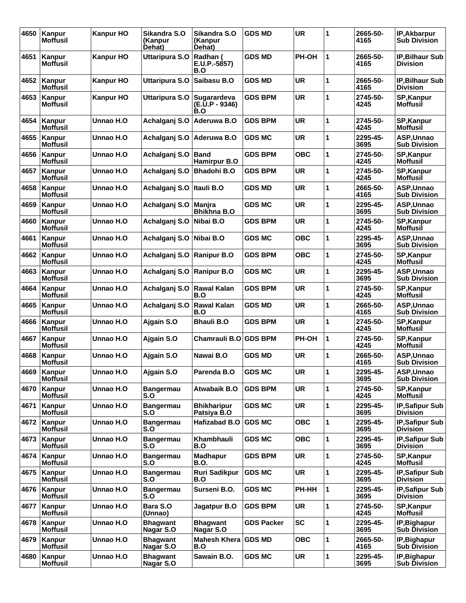| 4650 | Kanpur<br>Moffusil               | <b>Kanpur HO</b> | Sikandra S.O<br>(Kanpur<br>Dehat) | Sikandra S.O<br>(Kanpur<br>Dehat)    | <b>GDS MD</b>     | <b>UR</b>  | 1            | 2665-50-<br>4165 | IP, Akbarpur<br><b>Sub Division</b>       |
|------|----------------------------------|------------------|-----------------------------------|--------------------------------------|-------------------|------------|--------------|------------------|-------------------------------------------|
| 4651 | Kanpur<br><b>Moffusil</b>        | <b>Kanpur HO</b> | Uttaripura S.O                    | Radhan (<br>E.U.P.-5857)<br>B.O      | <b>GDS MD</b>     | PH-OH      | $\mathbf{1}$ | 2665-50-<br>4165 | <b>IP, Bilhaur Sub</b><br><b>Division</b> |
| 4652 | Kanpur<br>Moffusil               | <b>Kanpur HO</b> | <b>Uttaripura S.O</b>             | Saibasu B.O                          | <b>GDS MD</b>     | <b>UR</b>  | $\mathbf{1}$ | 2665-50-<br>4165 | IP, Bilhaur Sub<br><b>Division</b>        |
| 4653 | Kanpur<br>Moffusil               | <b>Kanpur HO</b> | Uttaripura S.O                    | Sugarardeva<br>(E.U.P - 9346)<br>B.O | <b>GDS BPM</b>    | <b>UR</b>  | 1            | 2745-50-<br>4245 | SP, Kanpur<br>Moffusil                    |
| 4654 | Kanpur<br><b>Moffusil</b>        | Unnao H.O        | Achalganj S.O                     | Aderuwa B.O                          | <b>GDS BPM</b>    | <b>UR</b>  | 1            | 2745-50-<br>4245 | SP, Kanpur<br>Moffusil                    |
| 4655 | Kanpur<br><b>Moffusil</b>        | Unnao H.O        | Achalganj S.O                     | Aderuwa B.O                          | <b>GDS MC</b>     | <b>UR</b>  | 1            | 2295-45-<br>3695 | ASP, Unnao<br><b>Sub Division</b>         |
| 4656 | Kanpur<br>Moffusil               | Unnao H.O        | Achalganj S.O                     | <b>Band</b><br>Hamirpur B.O          | <b>GDS BPM</b>    | <b>OBC</b> | 1            | 2745-50-<br>4245 | SP, Kanpur<br><b>Moffusil</b>             |
| 4657 | Kanpur<br><b>Moffusil</b>        | Unnao H.O        | Achalganj S.O                     | <b>Bhadohi B.O</b>                   | <b>GDS BPM</b>    | <b>UR</b>  | 1            | 2745-50-<br>4245 | <b>SP, Kanpur</b><br><b>Moffusil</b>      |
| 4658 | Kanpur<br><b>Moffusil</b>        | Unnao H.O        | Achalganj S.O                     | Itauli B.O                           | <b>GDS MD</b>     | <b>UR</b>  | 1            | 2665-50-<br>4165 | ASP, Unnao<br><b>Sub Division</b>         |
| 4659 | Kanpur<br>Moffusil               | Unnao H.O        | Achalganj S.O                     | Manjra<br><b>Bhikhna B.O</b>         | <b>GDS MC</b>     | <b>UR</b>  | 1            | 2295-45-<br>3695 | ASP, Unnao<br><b>Sub Division</b>         |
| 4660 | Kanpur<br><b>Moffusil</b>        | Unnao H.O        | Achalganj S.O                     | Nibai B.O                            | <b>GDS BPM</b>    | <b>UR</b>  | 1            | 2745-50-<br>4245 | <b>SP, Kanpur</b><br><b>Moffusil</b>      |
| 4661 | Kanpur<br><b>Moffusil</b>        | Unnao H.O        | Achalganj S.O                     | Nibai B.O                            | <b>GDS MC</b>     | <b>OBC</b> | $\mathbf{1}$ | 2295-45-<br>3695 | ASP, Unnao<br><b>Sub Division</b>         |
| 4662 | Kanpur<br>Moffusil               | Unnao H.O        | Achalganj S.O                     | <b>Ranipur B.O</b>                   | <b>GDS BPM</b>    | <b>OBC</b> | 1            | 2745-50-<br>4245 | SP, Kanpur<br><b>Moffusil</b>             |
| 4663 | Kanpur<br>Moffusil               | Unnao H.O        | Achalganj S.O                     | <b>Ranipur B.O</b>                   | <b>GDS MC</b>     | <b>UR</b>  | 1            | 2295-45-<br>3695 | ASP, Unnao<br><b>Sub Division</b>         |
| 4664 | Kanpur<br><b>Moffusil</b>        | Unnao H.O        | Achalganj S.O                     | Rawal Kalan<br>B.O                   | <b>GDS BPM</b>    | <b>UR</b>  | 1            | 2745-50-<br>4245 | SP, Kanpur<br><b>Moffusil</b>             |
| 4665 | Kanpur<br>Moffusil               | Unnao H.O        | Achalganj S.O                     | <b>Rawal Kalan</b><br>B.O            | <b>GDS MD</b>     | <b>UR</b>  | 1            | 2665-50-<br>4165 | ASP, Unnao<br><b>Sub Division</b>         |
| 4666 | Kanpur<br><b>Moffusil</b>        | Unnao H.O        | Ajgain S.O                        | <b>Bhauli B.O</b>                    | <b>GDS BPM</b>    | <b>UR</b>  | 1            | 2745-50-<br>4245 | <b>SP, Kanpur</b><br><b>Moffusil</b>      |
| 4667 | Kanpur<br><b>Moffusil</b>        | Unnao H.O        | Ajgain S.O                        | <b>Chamrauli B.O</b>                 | <b>GDS BPM</b>    | PH-OH      | 1            | 2745-50-<br>4245 | <b>SP, Kanpur</b><br><b>Moffusil</b>      |
| 4668 | Kanpur<br><b>Moffusil</b>        | Unnao H.O        | Ajgain S.O                        | Nawai B.O                            | <b>GDS MD</b>     | <b>UR</b>  | 1            | 2665-50-<br>4165 | ASP, Unnao<br><b>Sub Division</b>         |
|      | 4669   Kanpur<br><b>Moffusil</b> | Unnao H.O        | Ajgain S.O                        | Parenda B.O                          | <b>GDS MC</b>     | <b>UR</b>  | 1            | 2295-45-<br>3695 | ASP, Unnao<br><b>Sub Division</b>         |
| 4670 | Kanpur<br><b>Moffusil</b>        | Unnao H.O        | <b>Bangermau</b><br>S.O           | Atwabaik B.O                         | <b>GDS BPM</b>    | <b>UR</b>  | 1            | 2745-50-<br>4245 | <b>SP,Kanpur</b><br><b>Moffusil</b>       |
| 4671 | Kanpur<br><b>Moffusil</b>        | Unnao H.O        | <b>Bangermau</b><br>S.O           | <b>Bhikharipur</b><br>Patsiya B.O    | <b>GDS MC</b>     | <b>UR</b>  | 1            | 2295-45-<br>3695 | IP, Safipur Sub<br><b>Division</b>        |
| 4672 | Kanpur<br><b>Moffusil</b>        | Unnao H.O        | <b>Bangermau</b><br>S.O           | Hafizabad B.O                        | <b>GDS MC</b>     | <b>OBC</b> | $\mathbf{1}$ | 2295-45-<br>3695 | IP, Safipur Sub<br><b>Division</b>        |
| 4673 | Kanpur<br><b>Moffusil</b>        | Unnao H.O        | <b>Bangermau</b><br>S.O           | Khambhauli<br>B.O                    | <b>GDS MC</b>     | <b>OBC</b> | $\mathbf{1}$ | 2295-45-<br>3695 | <b>IP.Safipur Sub</b><br><b>Division</b>  |
| 4674 | Kanpur<br><b>Moffusil</b>        | Unnao H.O        | <b>Bangermau</b><br>S.O           | <b>Madhapur</b><br><b>B.O.</b>       | <b>GDS BPM</b>    | <b>UR</b>  | 1            | 2745-50-<br>4245 | SP, Kanpur<br><b>Moffusil</b>             |
| 4675 | Kanpur<br><b>Moffusil</b>        | Unnao H.O        | <b>Bangermau</b><br>S.O           | <b>Ruri Sadikpur</b><br>B.O          | <b>GDS MC</b>     | <b>UR</b>  | $\mathbf{1}$ | 2295-45-<br>3695 | <b>IP, Safipur Sub</b><br><b>Division</b> |
| 4676 | Kanpur<br><b>Moffusil</b>        | Unnao H.O        | <b>Bangermau</b><br>S.O           | Surseni B.O.                         | <b>GDS MC</b>     | PH-HH      | $\mathbf{1}$ | 2295-45-<br>3695 | IP, Safipur Sub<br><b>Division</b>        |
| 4677 | Kanpur<br><b>Moffusil</b>        | Unnao H.O        | Bara S.O<br>(Unnao)               | Jagatpur B.O                         | <b>GDS BPM</b>    | <b>UR</b>  | 1            | 2745-50-<br>4245 | SP, Kanpur<br><b>Moffusil</b>             |
| 4678 | Kanpur<br><b>Moffusil</b>        | Unnao H.O        | <b>Bhagwant</b><br>Nagar S.O      | <b>Bhagwant</b><br>Nagar S.O         | <b>GDS Packer</b> | <b>SC</b>  | $\mathbf{1}$ | 2295-45-<br>3695 | IP, Bighapur<br><b>Sub Division</b>       |
| 4679 | Kanpur<br><b>Moffusil</b>        | Unnao H.O        | <b>Bhagwant</b><br>Nagar S.O      | <b>Mahesh Khera</b><br>B.O           | <b>GDS MD</b>     | <b>OBC</b> | 1            | 2665-50-<br>4165 | IP, Bighapur<br><b>Sub Division</b>       |
| 4680 | Kanpur<br><b>Moffusil</b>        | Unnao H.O        | <b>Bhagwant</b><br>Nagar S.O      | Sawain B.O.                          | <b>GDS MC</b>     | <b>UR</b>  | $\mathbf{1}$ | 2295-45-<br>3695 | IP, Bighapur<br><b>Sub Division</b>       |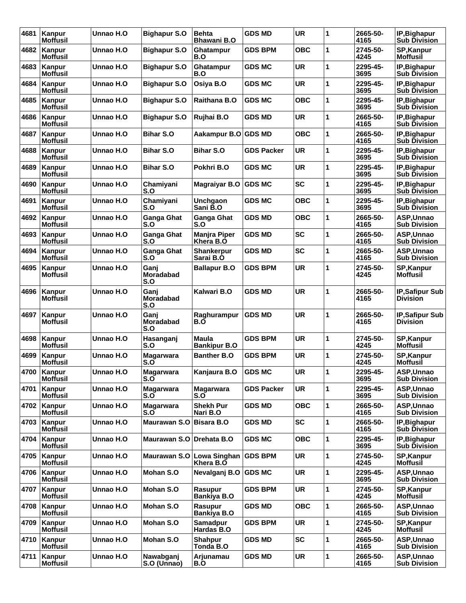| 4681 | Kanpur<br><b>Moffusil</b>        | Unnao H.O | <b>Bighapur S.O</b>             | <b>Behta</b><br><b>Bhawani B.O</b>     | <b>GDS MD</b>     | <b>UR</b>  | 1 | 2665-50-<br>4165 | IP, Bighapur<br><b>Sub Division</b>       |
|------|----------------------------------|-----------|---------------------------------|----------------------------------------|-------------------|------------|---|------------------|-------------------------------------------|
| 4682 | Kanpur<br><b>Moffusil</b>        | Unnao H.O | <b>Bighapur S.O</b>             | Ghatampur<br>B.O                       | <b>GDS BPM</b>    | <b>OBC</b> | 1 | 2745-50-<br>4245 | SP, Kanpur<br><b>Moffusil</b>             |
| 4683 | Kanpur<br><b>Moffusil</b>        | Unnao H.O | <b>Bighapur S.O</b>             | Ghatampur<br>B.O                       | <b>GDS MC</b>     | <b>UR</b>  | 1 | 2295-45-<br>3695 | IP, Bighapur<br><b>Sub Division</b>       |
| 4684 | Kanpur<br>Moffusil               | Unnao H.O | <b>Bighapur S.O</b>             | Osiya B.O                              | <b>GDS MC</b>     | <b>UR</b>  | 1 | 2295-45-<br>3695 | IP, Bighapur<br><b>Sub Division</b>       |
| 4685 | Kanpur<br><b>Moffusil</b>        | Unnao H.O | <b>Bighapur S.O</b>             | Raithana B.O                           | <b>GDS MC</b>     | <b>OBC</b> | 1 | 2295-45-<br>3695 | IP, Bighapur<br><b>Sub Division</b>       |
| 4686 | Kanpur<br>Moffusil               | Unnao H.O | <b>Bighapur S.O</b>             | Rujhai B.O                             | <b>GDS MD</b>     | <b>UR</b>  | 1 | 2665-50-<br>4165 | IP, Bighapur<br><b>Sub Division</b>       |
| 4687 | Kanpur<br><b>Moffusil</b>        | Unnao H.O | <b>Bihar S.O</b>                | Aakampur B.O                           | <b>GDS MD</b>     | <b>OBC</b> | 1 | 2665-50-<br>4165 | IP, Bighapur<br><b>Sub Division</b>       |
| 4688 | Kanpur<br><b>Moffusil</b>        | Unnao H.O | <b>Bihar S.O</b>                | <b>Bihar S.O</b>                       | <b>GDS Packer</b> | <b>UR</b>  | 1 | 2295-45-<br>3695 | IP, Bighapur<br><b>Sub Division</b>       |
| 4689 | Kanpur<br><b>Moffusil</b>        | Unnao H.O | <b>Bihar S.O</b>                | Pokhri B.O                             | <b>GDS MC</b>     | <b>UR</b>  | 1 | 2295-45-<br>3695 | IP, Bighapur<br><b>Sub Division</b>       |
| 4690 | Kanpur<br>Moffusil               | Unnao H.O | Chamiyani<br>S.O                | <b>Magraiyar B.O</b>                   | <b>GDS MC</b>     | <b>SC</b>  | 1 | 2295-45-<br>3695 | IP, Bighapur<br><b>Sub Division</b>       |
| 4691 | Kanpur<br><b>Moffusil</b>        | Unnao H.O | Chamiyani<br>S.O                | <b>Unchgaon</b><br>Sani B.O            | <b>GDS MC</b>     | <b>OBC</b> | 1 | 2295-45-<br>3695 | IP, Bighapur<br><b>Sub Division</b>       |
| 4692 | Kanpur<br><b>Moffusil</b>        | Unnao H.O | <b>Ganga Ghat</b><br>S.O        | <b>Ganga Ghat</b><br>S.O               | <b>GDS MD</b>     | <b>OBC</b> | 1 | 2665-50-<br>4165 | ASP, Unnao<br><b>Sub Division</b>         |
| 4693 | Kanpur<br><b>Moffusil</b>        | Unnao H.O | <b>Ganga Ghat</b><br>S.O        | <b>Manjra Piper</b><br>Khera B.O       | <b>GDS MD</b>     | <b>SC</b>  | 1 | 2665-50-<br>4165 | ASP, Unnao<br><b>Sub Division</b>         |
| 4694 | Kanpur<br><b>Moffusil</b>        | Unnao H.O | <b>Ganga Ghat</b><br>S.O        | <b>Shankerpur</b><br>Sarai B.O         | <b>GDS MD</b>     | <b>SC</b>  | 1 | 2665-50-<br>4165 | ASP, Unnao<br><b>Sub Division</b>         |
| 4695 | Kanpur<br><b>Moffusil</b>        | Unnao H.O | Ganj<br><b>Moradabad</b><br>S.O | <b>Ballapur B.O</b>                    | <b>GDS BPM</b>    | <b>UR</b>  | 1 | 2745-50-<br>4245 | SP, Kanpur<br><b>Moffusil</b>             |
| 4696 | Kanpur<br>Moffusil               | Unnao H.O | Ganj<br>Moradabad<br>S.O        | Kalwari B.O                            | <b>GDS MD</b>     | <b>UR</b>  | 1 | 2665-50-<br>4165 | IP, Safipur Sub<br><b>Division</b>        |
| 4697 | Kanpur<br><b>Moffusil</b>        | Unnao H.O | Ganj<br><b>Moradabad</b><br>S.O | Raghurampur<br>B.O                     | <b>GDS MD</b>     | <b>UR</b>  | 1 | 2665-50-<br>4165 | <b>IP, Safipur Sub</b><br><b>Division</b> |
| 4698 | Kanpur<br><b>Moffusil</b>        | Unnao H.O | Hasanganj<br>S.O                | <b>Maula</b><br><b>Bankipur B.O</b>    | <b>GDS BPM</b>    | <b>UR</b>  | 1 | 2745-50-<br>4245 | <b>SP, Kanpur</b><br><b>Moffusil</b>      |
| 4699 | Kanpur<br><b>Moffusil</b>        | Unnao H.O | <b>Magarwara</b><br>S.O         | <b>Banther B.O</b>                     | <b>GDS BPM</b>    | <b>UR</b>  | 1 | 2745-50-<br>4245 | SP, Kanpur<br><b>Moffusil</b>             |
|      | 4700 Kanpur<br><b>Moffusil</b>   | Unnao H.O | <b>Magarwara</b><br>S.O         | Kanjaura B.O                           | <b>GDS MC</b>     | <b>UR</b>  | 1 | 2295-45-<br>3695 | ASP, Unnao<br><b>Sub Division</b>         |
| 4701 | Kanpur<br><b>Moffusil</b>        | Unnao H.O | Magarwara<br>S.O                | <b>Magarwara</b><br>S.O                | <b>GDS Packer</b> | <b>UR</b>  | 1 | 2295-45-<br>3695 | ASP, Unnao<br><b>Sub Division</b>         |
|      | 4702 Kanpur<br><b>Moffusil</b>   | Unnao H.O | <b>Magarwara</b><br>S.O         | <b>Shekh Pur</b><br>Nari B.O           | <b>GDS MD</b>     | <b>OBC</b> | 1 | 2665-50-<br>4165 | ASP, Unnao<br><b>Sub Division</b>         |
| 4703 | Kanpur<br><b>Moffusil</b>        | Unnao H.O | Maurawan S.O                    | <b>Bisara B.O</b>                      | <b>GDS MD</b>     | <b>SC</b>  | 1 | 2665-50-<br>4165 | IP, Bighapur<br><b>Sub Division</b>       |
| 4704 | Kanpur<br><b>Moffusil</b>        | Unnao H.O | Maurawan S.O Drehata B.O        |                                        | <b>GDS MC</b>     | <b>OBC</b> | 1 | 2295-45-<br>3695 | IP, Bighapur<br><b>Sub Division</b>       |
|      | 4705 Kanpur<br><b>Moffusil</b>   | Unnao H.O |                                 | Maurawan S.O Lowa Singhan<br>Khera B.O | <b>GDS BPM</b>    | <b>UR</b>  | 1 | 2745-50-<br>4245 | SP, Kanpur<br><b>Moffusil</b>             |
| 4706 | Kanpur<br><b>Moffusil</b>        | Unnao H.O | Mohan S.O                       | Nevalganj B.O                          | <b>GDS MC</b>     | <b>UR</b>  | 1 | 2295-45-<br>3695 | ASP, Unnao<br><b>Sub Division</b>         |
| 4707 | Kanpur<br><b>Moffusil</b>        | Unnao H.O | Mohan S.O                       | Rasupur<br><b>Bankiya B.O</b>          | <b>GDS BPM</b>    | <b>UR</b>  | 1 | 2745-50-<br>4245 | SP, Kanpur<br><b>Moffusil</b>             |
|      | 4708   Kanpur<br><b>Moffusil</b> | Unnao H.O | Mohan S.O                       | Rasupur<br><b>Bankiya B.O</b>          | <b>GDS MD</b>     | <b>OBC</b> | 1 | 2665-50-<br>4165 | ASP, Unnao<br><b>Sub Division</b>         |
| 4709 | Kanpur<br><b>Moffusil</b>        | Unnao H.O | Mohan S.O                       | <b>Samadpur</b><br>Hardas B.O          | <b>GDS BPM</b>    | <b>UR</b>  | 1 | 2745-50-<br>4245 | SP, Kanpur<br><b>Moffusil</b>             |
| 4710 | Kanpur<br>Moffusil               | Unnao H.O | Mohan S.O                       | <b>Shahpur</b><br>Tonda B.O            | <b>GDS MD</b>     | <b>SC</b>  | 1 | 2665-50-<br>4165 | ASP, Unnao<br><b>Sub Division</b>         |
| 4711 | Kanpur<br><b>Moffusil</b>        | Unnao H.O | Nawabganj<br>S.O (Unnao)        | Arjunamau<br>B.O                       | <b>GDS MD</b>     | <b>UR</b>  | 1 | 2665-50-<br>4165 | ASP, Unnao<br><b>Sub Division</b>         |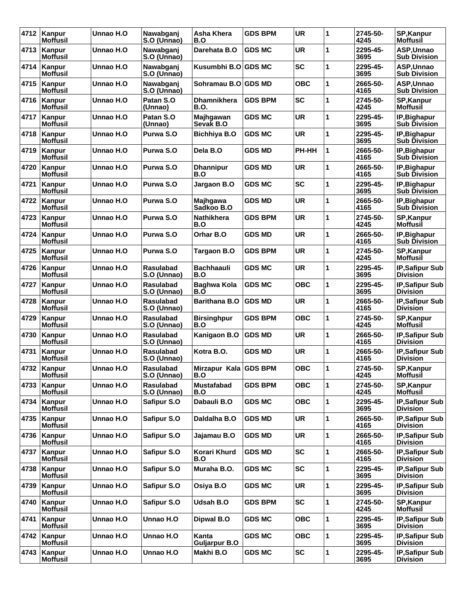| 4712 | Kanpur<br>Moffusil               | Unnao H.O | Nawabganj<br>S.O (Unnao)        | Asha Khera<br>B.O             | <b>GDS BPM</b> | <b>UR</b>  | 1 | 2745-50-<br>4245 | <b>SP, Kanpur</b><br>Moffusil             |
|------|----------------------------------|-----------|---------------------------------|-------------------------------|----------------|------------|---|------------------|-------------------------------------------|
| 4713 | Kanpur<br><b>Moffusil</b>        | Unnao H.O | Nawabganj<br>S.O (Unnao)        | Darehata B.O                  | <b>GDS MC</b>  | <b>UR</b>  | 1 | 2295-45-<br>3695 | ASP, Unnao<br><b>Sub Division</b>         |
| 4714 | Kanpur<br><b>Moffusil</b>        | Unnao H.O | Nawabganj<br>S.O (Unnao)        | Kusumbhi B.O                  | <b>GDS MC</b>  | <b>SC</b>  | 1 | 2295-45-<br>3695 | ASP, Unnao<br><b>Sub Division</b>         |
| 4715 | Kanpur<br>Moffusil               | Unnao H.O | Nawabganj<br>S.O (Unnao)        | Sohramau B.O                  | <b>GDS MD</b>  | OBC        | 1 | 2665-50-<br>4165 | ASP, Unnao<br><b>Sub Division</b>         |
| 4716 | Kanpur<br><b>Moffusil</b>        | Unnao H.O | Patan S.O<br>(Unnao)            | <b>Dhamnikhera</b><br>B.O.    | <b>GDS BPM</b> | <b>SC</b>  | 1 | 2745-50-<br>4245 | <b>SP, Kanpur</b><br><b>Moffusil</b>      |
| 4717 | Kanpur<br>Moffusil               | Unnao H.O | Patan S.O<br>(Unnao)            | Majhgawan<br>Sevak B.O        | <b>GDS MC</b>  | <b>UR</b>  | 1 | 2295-45-<br>3695 | IP, Bighapur<br><b>Sub Division</b>       |
| 4718 | Kanpur<br>Moffusil               | Unnao H.O | Purwa S.O                       | <b>Bichhiya B.O</b>           | <b>GDS MC</b>  | <b>UR</b>  | 1 | 2295-45-<br>3695 | IP, Bighapur<br><b>Sub Division</b>       |
| 4719 | Kanpur<br><b>Moffusil</b>        | Unnao H.O | Purwa S.O                       | Dela B.O                      | <b>GDS MD</b>  | PH-HH      | 1 | 2665-50-<br>4165 | IP, Bighapur<br><b>Sub Division</b>       |
| 4720 | Kanpur<br><b>Moffusil</b>        | Unnao H.O | Purwa S.O                       | <b>Dhannipur</b><br>B.O       | <b>GDS MD</b>  | <b>UR</b>  | 1 | 2665-50-<br>4165 | IP, Bighapur<br><b>Sub Division</b>       |
| 4721 | Kanpur<br>Moffusil               | Unnao H.O | Purwa S.O                       | Jargaon B.O                   | GDS MC         | <b>SC</b>  | 1 | 2295-45-<br>3695 | IP, Bighapur<br><b>Sub Division</b>       |
| 4722 | Kanpur<br><b>Moffusil</b>        | Unnao H.O | Purwa S.O                       | <b>Majhqawa</b><br>Sadkoo B.O | <b>GDS MD</b>  | <b>UR</b>  | 1 | 2665-50-<br>4165 | IP, Bighapur<br><b>Sub Division</b>       |
| 4723 | Kanpur<br>Moffusil               | Unnao H.O | Purwa S.O                       | Nathikhera<br>B.O             | <b>GDS BPM</b> | <b>UR</b>  | 1 | 2745-50-<br>4245 | <b>SP, Kanpur</b><br>Moffusil             |
| 4724 | Kanpur<br><b>Moffusil</b>        | Unnao H.O | Purwa S.O                       | Orhar B.O                     | <b>GDS MD</b>  | UR         | 1 | 2665-50-<br>4165 | IP, Bighapur<br><b>Sub Division</b>       |
| 4725 | Kanpur<br><b>Moffusil</b>        | Unnao H.O | Purwa S.O                       | <b>Targaon B.O</b>            | <b>GDS BPM</b> | <b>UR</b>  | 1 | 2745-50-<br>4245 | <b>SP, Kanpur</b><br><b>Moffusil</b>      |
| 4726 | Kanpur<br><b>Moffusil</b>        | Unnao H.O | Rasulabad<br>S.O (Unnao)        | <b>Bachhaauli</b><br>B.O      | <b>GDS MC</b>  | <b>UR</b>  | 1 | 2295-45-<br>3695 | <b>IP,Safipur Sub</b><br><b>Division</b>  |
| 4727 | Kanpur<br>Moffusil               | Unnao H.O | <b>Rasulabad</b><br>S.O (Unnao) | Baghwa Kola<br>B.O            | <b>GDS MC</b>  | OBC        | 1 | 2295-45-<br>3695 | IP, Safipur Sub<br><b>Division</b>        |
| 4728 | Kanpur<br><b>Moffusil</b>        | Unnao H.O | <b>Rasulabad</b><br>S.O (Unnao) | <b>Barithana B.O</b>          | <b>GDS MD</b>  | <b>UR</b>  | 1 | 2665-50-<br>4165 | IP, Safipur Sub<br><b>Division</b>        |
| 4729 | Kanpur<br>Moffusil               | Unnao H.O | <b>Rasulabad</b><br>S.O (Unnao) | <b>Birsinghpur</b><br>B.O     | <b>GDS BPM</b> | <b>OBC</b> | 1 | 2745-50-<br>4245 | <b>SP, Kanpur</b><br>Moffusil             |
| 4730 | Kanpur<br><b>Moffusil</b>        | Unnao H.O | <b>Rasulabad</b><br>S.O (Unnao) | Kanigaon B.O                  | <b>GDS MD</b>  | UR         | 1 | 2665-50-<br>4165 | IP, Safipur Sub<br><b>Division</b>        |
| 4731 | Kanpur<br><b>Moffusil</b>        | Unnao H.O | Rasulabad<br>S.O (Unnao)        | Kotra B.O.                    | <b>GDS MD</b>  | <b>UR</b>  | 1 | 2665-50-<br>4165 | <b>IP, Safipur Sub</b><br><b>Division</b> |
|      | 4732 Kanpur<br>Moffusil          | Unnao H.O | Rasulabad<br>S.O (Unnao)        | Mirzapur Kala GDS BPM<br>B.O  |                | <b>OBC</b> | 1 | 2745-50-<br>4245 | <b>SP, Kanpur</b><br><b>Moffusil</b>      |
| 4733 | Kanpur<br><b>Moffusil</b>        | Unnao H.O | Rasulabad<br>S.O (Unnao)        | <b>Mustafabad</b><br>B.O      | <b>GDS BPM</b> | <b>OBC</b> | 1 | 2745-50-<br>4245 | SP, Kanpur<br><b>Moffusil</b>             |
|      | 4734   Kanpur<br><b>Moffusil</b> | Unnao H.O | Safipur S.O                     | Dabauli B.O                   | <b>GDS MC</b>  | <b>OBC</b> | 1 | 2295-45-<br>3695 | <b>IP.Safipur Sub</b><br><b>Division</b>  |
|      | 4735 Kanpur<br><b>Moffusil</b>   | Unnao H.O | Safipur S.O                     | Daldalha B.O                  | <b>GDS MD</b>  | <b>UR</b>  | 1 | 2665-50-<br>4165 | IP, Safipur Sub<br><b>Division</b>        |
| 4736 | Kanpur<br><b>Moffusil</b>        | Unnao H.O | Safipur S.O                     | Jajamau B.O                   | <b>GDS MD</b>  | UR         | 1 | 2665-50-<br>4165 | <b>IP, Safipur Sub</b><br><b>Division</b> |
| 4737 | Kanpur<br><b>Moffusil</b>        | Unnao H.O | Safipur S.O                     | Korari Khurd<br>B.O           | <b>GDS MD</b>  | <b>SC</b>  | 1 | 2665-50-<br>4165 | <b>IP, Safipur Sub</b><br><b>Division</b> |
| 4738 | Kanpur<br><b>Moffusil</b>        | Unnao H.O | Safipur S.O                     | Muraha B.O.                   | <b>GDS MC</b>  | <b>SC</b>  | 1 | 2295-45-<br>3695 | IP, Safipur Sub<br><b>Division</b>        |
| 4739 | Kanpur<br><b>Moffusil</b>        | Unnao H.O | Safipur S.O                     | Osiya B.O                     | <b>GDS MC</b>  | UR         | 1 | 2295-45-<br>3695 | IP, Safipur Sub<br><b>Division</b>        |
| 4740 | Kanpur<br><b>Moffusil</b>        | Unnao H.O | Safipur S.O                     | Udsah B.O                     | <b>GDS BPM</b> | <b>SC</b>  | 1 | 2745-50-<br>4245 | SP, Kanpur<br><b>Moffusil</b>             |
| 4741 | Kanpur<br><b>Moffusil</b>        | Unnao H.O | Unnao H.O                       | Dipwal B.O                    | <b>GDS MC</b>  | <b>OBC</b> | 1 | 2295-45-<br>3695 | IP, Safipur Sub<br><b>Division</b>        |
| 4742 | Kanpur<br><b>Moffusil</b>        | Unnao H.O | Unnao H.O                       | Kanta<br><b>Guljarpur B.O</b> | <b>GDS MC</b>  | <b>OBC</b> | 1 | 2295-45-<br>3695 | <b>IP, Safipur Sub</b><br><b>Division</b> |
|      | 4743   Kanpur<br><b>Moffusil</b> | Unnao H.O | Unnao H.O                       | Makhi B.O                     | <b>GDS MC</b>  | <b>SC</b>  | 1 | 2295-45-<br>3695 | <b>IP, Safipur Sub</b><br><b>Division</b> |
|      |                                  |           |                                 |                               |                |            |   |                  |                                           |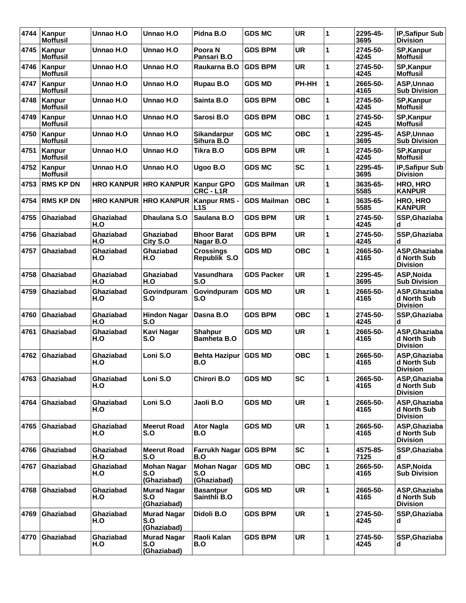| 4744 | Kanpur<br><b>Moffusil</b> | Unnao H.O               | Unnao H.O                                | Pidna B.O                                | <b>GDS MC</b>      | UR         | 1 | 2295-45-<br>3695 | <b>IP, Safipur Sub</b><br><b>Division</b>       |
|------|---------------------------|-------------------------|------------------------------------------|------------------------------------------|--------------------|------------|---|------------------|-------------------------------------------------|
| 4745 | Kanpur<br><b>Moffusil</b> | Unnao H.O               | Unnao H.O                                | Poora <sub>N</sub><br>Pansari B.O        | <b>GDS BPM</b>     | <b>UR</b>  | 1 | 2745-50-<br>4245 | <b>SP, Kanpur</b><br><b>Moffusil</b>            |
| 4746 | Kanpur<br><b>Moffusil</b> | Unnao H.O               | Unnao H.O                                | Raukarna B.O                             | <b>GDS BPM</b>     | <b>UR</b>  | 1 | 2745-50-<br>4245 | <b>SP, Kanpur</b><br><b>Moffusil</b>            |
| 4747 | Kanpur<br><b>Moffusil</b> | Unnao H.O               | Unnao H.O                                | Rupau B.O                                | <b>GDS MD</b>      | PH-HH      | 1 | 2665-50-<br>4165 | ASP, Unnao<br><b>Sub Division</b>               |
| 4748 | Kanpur<br><b>Moffusil</b> | Unnao H.O               | Unnao H.O                                | Sainta B.O                               | <b>GDS BPM</b>     | <b>OBC</b> | 1 | 2745-50-<br>4245 | <b>SP, Kanpur</b><br><b>Moffusil</b>            |
| 4749 | Kanpur<br><b>Moffusil</b> | Unnao H.O               | Unnao H.O                                | Sarosi B.O                               | <b>GDS BPM</b>     | <b>OBC</b> | 1 | 2745-50-<br>4245 | <b>SP,Kanpur</b><br><b>Moffusil</b>             |
| 4750 | Kanpur<br><b>Moffusil</b> | Unnao H.O               | Unnao H.O                                | Sikandarpur<br>Sihura B.O                | <b>GDS MC</b>      | <b>OBC</b> | 1 | 2295-45-<br>3695 | ASP, Unnao<br><b>Sub Division</b>               |
| 4751 | Kanpur<br><b>Moffusil</b> | Unnao H.O               | Unnao H.O                                | Tikra B.O                                | <b>GDS BPM</b>     | <b>UR</b>  | 1 | 2745-50-<br>4245 | <b>SP, Kanpur</b><br><b>Moffusil</b>            |
| 4752 | Kanpur<br><b>Moffusil</b> | Unnao H.O               | Unnao H.O                                | Ugoo B.O                                 | <b>GDS MC</b>      | <b>SC</b>  | 1 | 2295-45-<br>3695 | <b>IP, Safipur Sub</b><br><b>Division</b>       |
| 4753 | <b>RMS KP DN</b>          | <b>HRO KANPUR</b>       | <b>HRO KANPUR</b>                        | <b>Kanpur GPO</b><br>CRC - L1R           | <b>GDS Mailman</b> | <b>UR</b>  | 1 | 3635-65-<br>5585 | HRO, HRO<br><b>KANPUR</b>                       |
| 4754 | <b>RMS KP DN</b>          | <b>HRO KANPUR</b>       | <b>HRO KANPUR</b>                        | Kanpur RMS -<br>L1S                      | <b>GDS Mailman</b> | <b>OBC</b> | 1 | 3635-65-<br>5585 | HRO, HRO<br><b>KANPUR</b>                       |
| 4755 | <b>Ghaziabad</b>          | Ghaziabad<br>H.O        | Dhaulana S.O                             | Saulana B.O                              | <b>GDS BPM</b>     | <b>UR</b>  | 1 | 2745-50-<br>4245 | SSP, Ghaziaba<br>d                              |
| 4756 | Ghaziabad                 | Ghaziabad<br>H.O        | Ghaziabad<br>City S.O                    | <b>Bhoor Barat</b><br>Nagar B.O          | <b>GDS BPM</b>     | <b>UR</b>  | 1 | 2745-50-<br>4245 | SSP, Ghaziaba<br>d                              |
| 4757 | <b>Ghaziabad</b>          | Ghaziabad<br>H.O        | Ghaziabad<br>H.O                         | <b>Crossings</b><br>Republik S.O         | <b>GDS MD</b>      | <b>OBC</b> | 1 | 2665-50-<br>4165 | ASP, Ghaziaba<br>d North Sub<br><b>Division</b> |
| 4758 | Ghaziabad                 | Ghaziabad<br>H.O        | Ghaziabad<br>H.O                         | Vasundhara<br>S.O                        | <b>GDS Packer</b>  | <b>UR</b>  | 1 | 2295-45-<br>3695 | ASP, Noida<br><b>Sub Division</b>               |
| 4759 | Ghaziabad                 | Ghaziabad<br>H.O        | Govindpuram<br>S.O                       | Govindpuram<br>S.O                       | <b>GDS MD</b>      | <b>UR</b>  | 1 | 2665-50-<br>4165 | ASP, Ghaziaba<br>d North Sub<br><b>Division</b> |
| 4760 | <b>Ghaziabad</b>          | Ghaziabad<br>H.O        | <b>Hindon Nagar</b><br>S.O               | Dasna B.O                                | <b>GDS BPM</b>     | <b>OBC</b> | 1 | 2745-50-<br>4245 | SSP, Ghaziaba<br>d                              |
| 4761 | Ghaziabad                 | <b>Ghaziabad</b><br>H.O | <b>Kavi Nagar</b><br>S.O                 | <b>Shahpur</b><br><b>Bamheta B.O</b>     | <b>GDS MD</b>      | <b>UR</b>  | 1 | 2665-50-<br>4165 | ASP, Ghaziaba<br>d North Sub<br><b>Division</b> |
| 4762 | Ghaziabad                 | Ghaziabad<br>H.O        | Loni S.O                                 | <b>Behta Hazipur</b><br>B.O              | <b>GDS MD</b>      | <b>OBC</b> | 1 | 2665-50-<br>4165 | ASP, Ghaziaba<br>d North Sub<br><b>Division</b> |
| 4763 | ∣Ghaziabad                | Ghaziabad<br>H.O        | Loni S.O                                 | Chirori B.O                              | <b>GDS MD</b>      | <b>SC</b>  | 1 | 2665-50-<br>4165 | ASP, Ghaziaba<br>d North Sub<br><b>Division</b> |
| 4764 | Ghaziabad                 | Ghaziabad<br>H.O        | Loni S.O                                 | Jaoli B.O                                | <b>GDS MD</b>      | <b>UR</b>  | 1 | 2665-50-<br>4165 | ASP, Ghaziaba<br>d North Sub<br><b>Division</b> |
| 4765 | <b>Ghaziabad</b>          | Ghaziabad<br>H.O        | <b>Meerut Road</b><br>S.O                | <b>Ator Nagla</b><br>B.O                 | <b>GDS MD</b>      | UR         | 1 | 2665-50-<br>4165 | ASP, Ghaziaba<br>d North Sub<br><b>Division</b> |
| 4766 | <b>Ghaziabad</b>          | Ghaziabad<br>H.O        | <b>Meerut Road</b><br>S.O                | Farrukh Nagar<br>B.O                     | <b>GDS BPM</b>     | <b>SC</b>  | 1 | 4575-85-<br>7125 | SSP, Ghaziaba<br>d                              |
| 4767 | Ghaziabad                 | Ghaziabad<br>H.O        | <b>Mohan Nagar</b><br>S.O<br>(Ghaziabad) | <b>Mohan Nagar</b><br>S.O<br>(Ghaziabad) | <b>GDS MD</b>      | ОВС        | 1 | 2665-50-<br>4165 | ASP, Noida<br><b>Sub Division</b>               |
| 4768 | <b>Ghaziabad</b>          | Ghaziabad<br>H.O        | <b>Murad Nagar</b><br>S.O<br>(Ghaziabad) | <b>Basantpur</b><br>Sainthli B.O         | <b>GDS MD</b>      | UR         | 1 | 2665-50-<br>4165 | ASP, Ghaziaba<br>d North Sub<br><b>Division</b> |
| 4769 | <b>Ghaziabad</b>          | Ghaziabad<br>H.O        | <b>Murad Nagar</b><br>S.O<br>(Ghaziabad) | Didoli B.O                               | <b>GDS BPM</b>     | UR         | 1 | 2745-50-<br>4245 | SSP, Ghaziaba<br>d                              |
| 4770 | <b>Ghaziabad</b>          | Ghaziabad<br>H.O        | <b>Murad Nagar</b><br>S.O<br>(Ghaziabad) | Raoli Kalan<br>B.O                       | <b>GDS BPM</b>     | <b>UR</b>  | 1 | 2745-50-<br>4245 | SSP, Ghaziaba<br>d                              |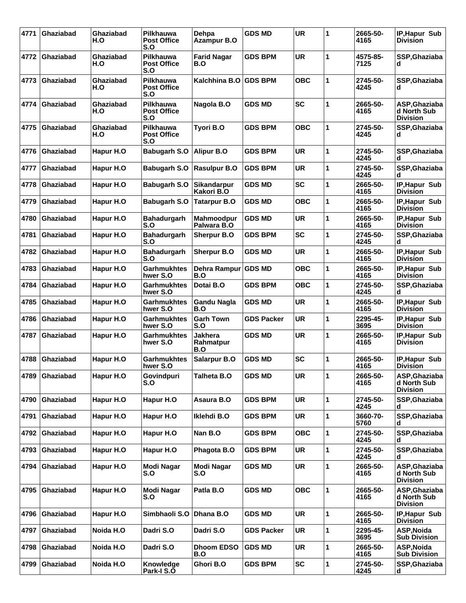| 4771 | <b>Ghaziabad</b> | Ghaziabad<br>H.O | Pilkhauwa<br><b>Post Office</b><br>S.O        | Dehpa<br><b>Azampur B.O</b>        | <b>GDS MD</b>     | <b>UR</b>  | 1 | 2665-50-<br>4165 | <b>IP.Hapur Sub</b><br><b>Division</b>          |
|------|------------------|------------------|-----------------------------------------------|------------------------------------|-------------------|------------|---|------------------|-------------------------------------------------|
| 4772 | <b>Ghaziabad</b> | Ghaziabad<br>H.O | <b>Pilkhauwa</b><br><b>Post Office</b><br>S.O | <b>Farid Nagar</b><br>B.O          | <b>GDS BPM</b>    | <b>UR</b>  | 1 | 4575-85-<br>7125 | SSP, Ghaziaba<br>d                              |
| 4773 | <b>Ghaziabad</b> | Ghaziabad<br>H.O | <b>Pilkhauwa</b><br><b>Post Office</b><br>S.O | Kalchhina B.O                      | <b>GDS BPM</b>    | <b>OBC</b> | 1 | 2745-50-<br>4245 | SSP, Ghaziaba<br>d                              |
| 4774 | <b>Ghaziabad</b> | Ghaziabad<br>H.O | <b>Pilkhauwa</b><br><b>Post Office</b><br>S.O | Nagola B.O                         | <b>GDS MD</b>     | <b>SC</b>  | 1 | 2665-50-<br>4165 | ASP, Ghaziaba<br>d North Sub<br><b>Division</b> |
| 4775 | Ghaziabad        | Ghaziabad<br>H.O | <b>Pilkhauwa</b><br><b>Post Office</b><br>S.O | Tyori B.O                          | <b>GDS BPM</b>    | <b>OBC</b> | 1 | 2745-50-<br>4245 | SSP, Ghaziaba<br>d                              |
| 4776 | <b>Ghaziabad</b> | Hapur H.O        | <b>Babugarh S.O</b>                           | <b>Alipur B.O</b>                  | <b>GDS BPM</b>    | UR         | 1 | 2745-50-<br>4245 | SSP, Ghaziaba<br>d                              |
| 4777 | Ghaziabad        | Hapur H.O        | <b>Babugarh S.O</b>                           | <b>Rasulpur B.O</b>                | <b>GDS BPM</b>    | <b>UR</b>  | 1 | 2745-50-<br>4245 | SSP, Ghaziaba<br>d                              |
| 4778 | Ghaziabad        | Hapur H.O        | Babugarh S.O                                  | <b>Sikandarpur</b><br>Kakori B.O   | <b>GDS MD</b>     | <b>SC</b>  | 1 | 2665-50-<br>4165 | IP, Hapur Sub<br><b>Division</b>                |
| 4779 | <b>Ghaziabad</b> | Hapur H.O        | <b>Babugarh S.O</b>                           | <b>Tatarpur B.O</b>                | <b>GDS MD</b>     | <b>OBC</b> | 1 | 2665-50-<br>4165 | IP, Hapur Sub<br><b>Division</b>                |
| 4780 | Ghaziabad        | Hapur H.O        | <b>Bahadurgarh</b><br>S.O                     | <b>Mahmoodpur</b><br>Palwara B.O   | <b>GDS MD</b>     | <b>UR</b>  | 1 | 2665-50-<br>4165 | IP, Hapur Sub<br><b>Division</b>                |
| 4781 | <b>Ghaziabad</b> | Hapur H.O        | Bahadurgarh<br>S.O                            | <b>Sherpur B.O</b>                 | <b>GDS BPM</b>    | <b>SC</b>  | 1 | 2745-50-<br>4245 | SSP, Ghaziaba<br>d                              |
| 4782 | <b>Ghaziabad</b> | Hapur H.O        | <b>Bahadurgarh</b><br>S.O                     | <b>Sherpur B.O</b>                 | <b>GDS MD</b>     | UR         | 1 | 2665-50-<br>4165 | <b>IP, Hapur Sub</b><br><b>Division</b>         |
| 4783 | Ghaziabad        | Hapur H.O        | <b>Garhmukhtes</b><br>hwer S.O                | Dehra Rampur<br>B.O                | <b>GDS MD</b>     | <b>OBC</b> | 1 | 2665-50-<br>4165 | IP, Hapur Sub<br><b>Division</b>                |
| 4784 | <b>Ghaziabad</b> | Hapur H.O        | <b>Garhmukhtes</b><br>hwer S.O                | Dotai B.O                          | <b>GDS BPM</b>    | OBC        | 1 | 2745-50-<br>4245 | SSP, Ghaziaba<br>d                              |
| 4785 | <b>Ghaziabad</b> | Hapur H.O        | <b>Garhmukhtes</b><br>hwer S.O                | <b>Gandu Nagla</b><br>B.O          | <b>GDS MD</b>     | <b>UR</b>  | 1 | 2665-50-<br>4165 | <b>IP.Hapur Sub</b><br><b>Division</b>          |
| 4786 | <b>Ghaziabad</b> | Hapur H.O        | <b>Garhmukhtes</b><br>hwer S.O                | <b>Garh Town</b><br>S.O            | <b>GDS Packer</b> | <b>UR</b>  | 1 | 2295-45-<br>3695 | IP, Hapur Sub<br><b>Division</b>                |
| 4787 | <b>Ghaziabad</b> | Hapur H.O        | <b>Garhmukhtes</b><br>hwer S.O                | <b>Jakhera</b><br>Rahmatpur<br>B.O | <b>GDS MD</b>     | <b>UR</b>  | 1 | 2665-50-<br>4165 | IP, Hapur Sub<br><b>Division</b>                |
| 4788 | Ghaziabad        | Hapur H.O        | <b>Garhmukhtes</b><br>hwer S.O                | <b>Salarpur B.O</b>                | <b>GDS MD</b>     | <b>SC</b>  | 1 | 2665-50-<br>4165 | IP, Hapur Sub<br><b>Division</b>                |
| 4789 | Ghaziabad        | Hapur H.O        | Govindpuri<br>S.O                             | Talheta B.O                        | <b>GDS MD</b>     | <b>UR</b>  | 1 | 2665-50-<br>4165 | ASP, Ghaziaba<br>d North Sub<br><b>Division</b> |
| 4790 | Ghaziabad        | Hapur H.O        | Hapur H.O                                     | Asaura B.O                         | <b>GDS BPM</b>    | <b>UR</b>  | 1 | 2745-50-<br>4245 | SSP, Ghaziaba<br>d                              |
| 4791 | Ghaziabad        | Hapur H.O        | Hapur H.O                                     | Iklehdi B.O                        | <b>GDS BPM</b>    | UR.        | 1 | 3660-70-<br>5760 | SSP, Ghaziaba                                   |
| 4792 | Ghaziabad        | Hapur H.O        | Hapur H.O                                     | Nan B.O                            | <b>GDS BPM</b>    | <b>OBC</b> | 1 | 2745-50-<br>4245 | SSP, Ghaziaba<br>d                              |
| 4793 | Ghaziabad        | Hapur H.O        | Hapur H.O                                     | Phagota B.O                        | <b>GDS BPM</b>    | <b>UR</b>  | 1 | 2745-50-<br>4245 | SSP, Ghaziaba<br>d                              |
| 4794 | Ghaziabad        | Hapur H.O        | Modi Nagar<br>S.O                             | Modi Nagar<br>S.O                  | <b>GDS MD</b>     | UR         | 1 | 2665-50-<br>4165 | ASP, Ghaziaba<br>d North Sub<br><b>Division</b> |
| 4795 | Ghaziabad        | Hapur H.O        | Modi Nagar<br>S.O                             | Patla B.O                          | <b>GDS MD</b>     | <b>OBC</b> | 1 | 2665-50-<br>4165 | ASP, Ghaziaba<br>d North Sub<br><b>Division</b> |
| 4796 | Ghaziabad        | Hapur H.O        | Simbhaoli S.O                                 | Dhana B.O                          | <b>GDS MD</b>     | <b>UR</b>  | 1 | 2665-50-<br>4165 | IP, Hapur Sub<br><b>Division</b>                |
| 4797 | Ghaziabad        | Noida H.O        | Dadri S.O                                     | Dadri S.O                          | <b>GDS Packer</b> | UR         | 1 | 2295-45-<br>3695 | ASP, Noida<br><b>Sub Division</b>               |
| 4798 | Ghaziabad        | Noida H.O        | Dadri S.O                                     | <b>Dhoom EDSO</b><br>B.O           | <b>GDS MD</b>     | <b>UR</b>  | 1 | 2665-50-<br>4165 | ASP, Noida<br><b>Sub Division</b>               |
| 4799 | Ghaziabad        | Noida H.O        | Knowledge<br>Park-I S.O                       | Ghori B.O                          | <b>GDS BPM</b>    | <b>SC</b>  | 1 | 2745-50-<br>4245 | SSP, Ghaziaba<br>d                              |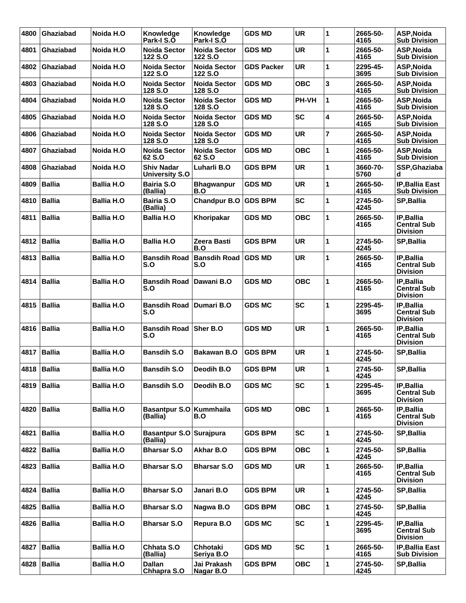| 4800 | Ghaziabad        | Noida H.O          | <b>Knowledge</b><br>Park-I S.O             | Knowledge<br>Park-I S.O        | <b>GDS MD</b>     | <b>UR</b>    | 1              | 2665-50-<br>4165 | ASP, Noida<br><b>Sub Division</b>                          |
|------|------------------|--------------------|--------------------------------------------|--------------------------------|-------------------|--------------|----------------|------------------|------------------------------------------------------------|
| 4801 | Ghaziabad        | Noida H.O          | <b>Noida Sector</b><br>122 S.O             | <b>Noida Sector</b><br>122 S.O | <b>GDS MD</b>     | <b>UR</b>    | 1              | 2665-50-<br>4165 | ASP, Noida<br><b>Sub Division</b>                          |
| 4802 | Ghaziabad        | Noida H.O          | <b>Noida Sector</b><br>122 S.O             | <b>Noida Sector</b><br>122 S.O | <b>GDS Packer</b> | <b>UR</b>    | 1              | 2295-45-<br>3695 | ASP, Noida<br><b>Sub Division</b>                          |
| 4803 | <b>Ghaziabad</b> | Noida H.O          | <b>Noida Sector</b><br>128 S.O             | <b>Noida Sector</b><br>128 S.O | <b>GDS MD</b>     | <b>OBC</b>   | 3              | 2665-50-<br>4165 | ASP, Noida<br><b>Sub Division</b>                          |
| 4804 | <b>Ghaziabad</b> | Noida H.O          | <b>Noida Sector</b><br>128 S.O             | <b>Noida Sector</b><br>128 S.O | <b>GDS MD</b>     | <b>PH-VH</b> | 1              | 2665-50-<br>4165 | ASP, Noida<br><b>Sub Division</b>                          |
| 4805 | <b>Ghaziabad</b> | Noida H.O          | <b>Noida Sector</b><br>128 S.O             | <b>Noida Sector</b><br>128 S.O | <b>GDS MD</b>     | <b>SC</b>    | 4              | 2665-50-<br>4165 | ASP, Noida<br><b>Sub Division</b>                          |
| 4806 | Ghaziabad        | Noida H.O          | <b>Noida Sector</b><br>128 S.O             | <b>Noida Sector</b><br>128 S.O | <b>GDS MD</b>     | <b>UR</b>    | $\overline{7}$ | 2665-50-<br>4165 | ASP, Noida<br><b>Sub Division</b>                          |
| 4807 | <b>Ghaziabad</b> | Noida H.O          | <b>Noida Sector</b><br>62 S.O              | <b>Noida Sector</b><br>62 S.O  | <b>GDS MD</b>     | <b>OBC</b>   | 1              | 2665-50-<br>4165 | ASP, Noida<br><b>Sub Division</b>                          |
| 4808 | <b>Ghaziabad</b> | Noida H.O          | <b>Shiv Nadar</b><br><b>University S.O</b> | Luharli B.O                    | <b>GDS BPM</b>    | <b>UR</b>    | 1              | 3660-70-<br>5760 | SSP, Ghaziaba<br>d                                         |
| 4809 | <b>Ballia</b>    | <b>Ballia H.O</b>  | Bairia S.O<br>(Ballia)                     | <b>Bhagwanpur</b><br>B.O       | <b>GDS MD</b>     | <b>UR</b>    | 1              | 2665-50-<br>4165 | <b>IP, Ballia East</b><br><b>Sub Division</b>              |
| 4810 | <b>Ballia</b>    | <b>Ballia H.O.</b> | Bairia S.O<br>(Ballia)                     | <b>Chandpur B.O</b>            | <b>GDS BPM</b>    | <b>SC</b>    | 1              | 2745-50-<br>4245 | <b>SP, Ballia</b>                                          |
| 4811 | <b>Ballia</b>    | <b>Ballia H.O</b>  | <b>Ballia H.O</b>                          | Khoripakar                     | <b>GDS MD</b>     | <b>OBC</b>   | 1              | 2665-50-<br>4165 | IP, Ballia<br><b>Central Sub</b><br><b>Division</b>        |
| 4812 | <b>Ballia</b>    | <b>Ballia H.O.</b> | <b>Ballia H.O</b>                          | Zeera Basti<br>B.O             | <b>GDS BPM</b>    | <b>UR</b>    | 1              | 2745-50-<br>4245 | SP, Ballia                                                 |
| 4813 | <b>Ballia</b>    | <b>Ballia H.O</b>  | <b>Bansdih Road</b><br>S.O                 | <b>Bansdih Road</b><br>S.O     | <b>GDS MD</b>     | <b>UR</b>    | 1              | 2665-50-<br>4165 | <b>IP, Ballia</b><br><b>Central Sub</b><br><b>Division</b> |
| 4814 | <b>Ballia</b>    | <b>Ballia H.O</b>  | Bansdih Road Dawani B.O<br>S.O             |                                | <b>GDS MD</b>     | <b>OBC</b>   | 1              | 2665-50-<br>4165 | IP, Ballia<br><b>Central Sub</b><br><b>Division</b>        |
| 4815 | <b>Ballia</b>    | <b>Ballia H.O</b>  | Bansdih Road Dumari B.O<br>S.O             |                                | <b>GDS MC</b>     | <b>SC</b>    | 1              | 2295-45-<br>3695 | IP, Ballia<br><b>Central Sub</b><br><b>Division</b>        |
| 4816 | <b>Ballia</b>    | <b>Ballia H.O</b>  | <b>Bansdih Road</b><br>S.O                 | Sher B.O                       | <b>GDS MD</b>     | <b>UR</b>    | 1              | 2665-50-<br>4165 | IP, Ballia<br><b>Central Sub</b><br><b>Division</b>        |
| 4817 | Ballia           | <b>Ballia H.O</b>  | <b>Bansdih S.O</b>                         | <b>Bakawan B.O</b>             | <b>GDS BPM</b>    | <b>UR</b>    | 1              | 2745-50-<br>4245 | SP, Ballia                                                 |
|      | 4818 Ballia      | <b>Ballia H.O</b>  | <b>Bansdih S.O</b>                         | Deodih B.O                     | <b>GDS BPM</b>    | <b>UR</b>    | 1              | 2745-50-<br>4245 | <b>SP, Ballia</b>                                          |
| 4819 | Ballia           | <b>Ballia H.O</b>  | <b>Bansdih S.O</b>                         | Deodih B.O                     | <b>GDS MC</b>     | <b>SC</b>    | 1              | 2295-45-<br>3695 | IP, Ballia<br><b>Central Sub</b><br><b>Division</b>        |
| 4820 | Ballia           | <b>Ballia H.O</b>  | Basantpur S.O Kummhaila<br>(Ballia)        | B.O                            | <b>GDS MD</b>     | <b>OBC</b>   | 1              | 2665-50-<br>4165 | IP, Ballia<br><b>Central Sub</b><br><b>Division</b>        |
| 4821 | <b>Ballia</b>    | <b>Ballia H.O</b>  | Basantpur S.O Surajpura<br>(Ballia)        |                                | <b>GDS BPM</b>    | SC           | 1              | 2745-50-<br>4245 | <b>SP, Ballia</b>                                          |
|      | 4822 Ballia      | <b>Ballia H.O</b>  | <b>Bharsar S.O</b>                         | Akhar B.O                      | <b>GDS BPM</b>    | <b>OBC</b>   | 1              | 2745-50-<br>4245 | SP, Ballia                                                 |
| 4823 | Ballia           | <b>Ballia H.O</b>  | <b>Bharsar S.O</b>                         | <b>Bharsar S.O</b>             | <b>GDS MD</b>     | UR           | 1              | 2665-50-<br>4165 | IP, Ballia<br><b>Central Sub</b><br><b>Division</b>        |
| 4824 | <b>Ballia</b>    | <b>Ballia H.O</b>  | <b>Bharsar S.O</b>                         | Janari B.O                     | <b>GDS BPM</b>    | UR           | 1              | 2745-50-<br>4245 | SP, Ballia                                                 |
| 4825 | <b>Ballia</b>    | <b>Ballia H.O</b>  | <b>Bharsar S.O</b>                         | Nagwa B.O                      | <b>GDS BPM</b>    | <b>OBC</b>   | 1              | 2745-50-<br>4245 | SP, Ballia                                                 |
| 4826 | <b>Ballia</b>    | <b>Ballia H.O</b>  | <b>Bharsar S.O</b>                         | Repura B.O                     | <b>GDS MC</b>     | <b>SC</b>    | 1              | 2295-45-<br>3695 | IP, Ballia<br><b>Central Sub</b><br><b>Division</b>        |
| 4827 | <b>Ballia</b>    | <b>Ballia H.O</b>  | Chhata S.O<br>(Ballia)                     | Chhotaki<br>Seriya B.O         | <b>GDS MD</b>     | SC           | 1              | 2665-50-<br>4165 | <b>IP, Ballia East</b><br><b>Sub Division</b>              |
| 4828 | <b>Ballia</b>    | <b>Ballia H.O</b>  | <b>Dallan</b><br>Chhapra S.O               | Jai Prakash<br>Nagar B.O       | <b>GDS BPM</b>    | <b>OBC</b>   | 1              | 2745-50-<br>4245 | SP, Ballia                                                 |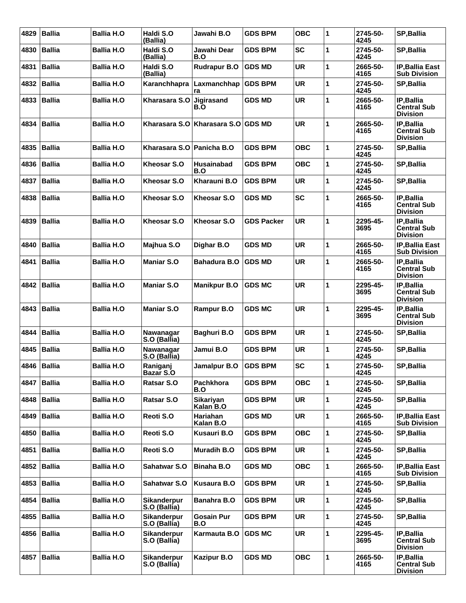| 4829 | <b>Ballia</b> | <b>Ballia H.O</b> | Haldi S.O<br>(Ballia)              | Jawahi B.O                   | <b>GDS BPM</b>    | <b>OBC</b> | 1            | 2745-50-<br>4245 | SP, Ballia                                          |
|------|---------------|-------------------|------------------------------------|------------------------------|-------------------|------------|--------------|------------------|-----------------------------------------------------|
| 4830 | <b>Ballia</b> | <b>Ballia H.O</b> | Haldi S.O<br>(Ballia)              | Jawahi Dear<br>B.O           | <b>GDS BPM</b>    | <b>SC</b>  | 1            | 2745-50-<br>4245 | SP, Ballia                                          |
| 4831 | <b>Ballia</b> | <b>Ballia H.O</b> | Haldi S.O<br>(Ballia)              | <b>Rudrapur B.O</b>          | <b>GDS MD</b>     | <b>UR</b>  | 1            | 2665-50-<br>4165 | <b>IP.Ballia East</b><br><b>Sub Division</b>        |
| 4832 | <b>Ballia</b> | Ballia H.O        | Karanchhapra                       | Laxmanchhap<br>ra            | <b>GDS BPM</b>    | <b>UR</b>  | 1            | 2745-50-<br>4245 | SP, Ballia                                          |
| 4833 | <b>Ballia</b> | <b>Ballia H.O</b> | Kharasara S.O                      | Jigirasand<br>B.O            | <b>GDS MD</b>     | <b>UR</b>  | 1            | 2665-50-<br>4165 | IP, Ballia<br><b>Central Sub</b><br><b>Division</b> |
| 4834 | <b>Ballia</b> | <b>Ballia H.O</b> | Kharasara S.O                      | Kharasara S.O GDS MD         |                   | <b>UR</b>  | 1            | 2665-50-<br>4165 | IP, Ballia<br><b>Central Sub</b><br><b>Division</b> |
| 4835 | <b>Ballia</b> | <b>Ballia H.O</b> | Kharasara S.O                      | Panicha B.O                  | <b>GDS BPM</b>    | <b>OBC</b> | 1            | 2745-50-<br>4245 | SP, Ballia                                          |
| 4836 | <b>Ballia</b> | <b>Ballia H.O</b> | Kheosar S.O                        | <b>Husainabad</b><br>B.O     | <b>GDS BPM</b>    | <b>OBC</b> | $\mathbf{1}$ | 2745-50-<br>4245 | <b>SP, Ballia</b>                                   |
| 4837 | <b>Ballia</b> | <b>Ballia H.O</b> | Kheosar S.O                        | Kharauni B.O                 | <b>GDS BPM</b>    | <b>UR</b>  | 1            | 2745-50-<br>4245 | <b>SP, Ballia</b>                                   |
| 4838 | <b>Ballia</b> | <b>Ballia H.O</b> | Kheosar S.O                        | Kheosar S.O                  | <b>GDS MD</b>     | <b>SC</b>  | 1            | 2665-50-<br>4165 | IP, Ballia<br><b>Central Sub</b><br><b>Division</b> |
| 4839 | <b>Ballia</b> | <b>Ballia H.O</b> | Kheosar S.O                        | Kheosar S.O                  | <b>GDS Packer</b> | <b>UR</b>  | 1            | 2295-45-<br>3695 | IP, Ballia<br>Central Sub<br><b>Division</b>        |
| 4840 | <b>Ballia</b> | <b>Ballia H.O</b> | Majhua S.O                         | Dighar B.O                   | <b>GDS MD</b>     | <b>UR</b>  | 1            | 2665-50-<br>4165 | <b>IP, Ballia East</b><br><b>Sub Division</b>       |
| 4841 | <b>Ballia</b> | <b>Ballia H.O</b> | <b>Maniar S.O</b>                  | <b>Bahadura B.O</b>          | <b>GDS MD</b>     | <b>UR</b>  | 1            | 2665-50-<br>4165 | IP, Ballia<br><b>Central Sub</b><br><b>Division</b> |
| 4842 | <b>Ballia</b> | <b>Ballia H.O</b> | <b>Maniar S.O</b>                  | <b>Manikpur B.O</b>          | <b>GDS MC</b>     | <b>UR</b>  | 1            | 2295-45-<br>3695 | IP, Ballia<br>Central Sub<br><b>Division</b>        |
| 4843 | <b>Ballia</b> | <b>Ballia H.O</b> | <b>Maniar S.O</b>                  | Rampur B.O                   | <b>GDS MC</b>     | <b>UR</b>  | 1            | 2295-45-<br>3695 | IP, Ballia<br><b>Central Sub</b><br><b>Division</b> |
| 4844 | <b>Ballia</b> | <b>Ballia H.O</b> | Nawanagar<br>S.O (Ballia)          | <b>Baghuri B.O</b>           | <b>GDS BPM</b>    | <b>UR</b>  | 1            | 2745-50-<br>4245 | SP, Ballia                                          |
| 4845 | <b>Ballia</b> | <b>Ballia H.O</b> | Nawanagar<br>S.O (Ballia)          | Jamui B.O                    | <b>GDS BPM</b>    | <b>UR</b>  | 1            | 2745-50-<br>4245 | SP, Ballia                                          |
|      | 4846 Ballia   | <b>Ballia H.O</b> | Raniganj<br>Bazar S.O              | Jamalpur B.O                 | <b>GDS BPM</b>    | <b>SC</b>  | 1            | 2745-50-<br>4245 | SP, Ballia                                          |
| 4847 | <b>Ballia</b> | <b>Ballia H.O</b> | Ratsar S.O                         | Pachkhora<br>B.O             | <b>GDS BPM</b>    | <b>OBC</b> | 1            | 2745-50-<br>4245 | SP, Ballia                                          |
| 4848 | <b>Ballia</b> | <b>Ballia H.O</b> | Ratsar S.O                         | Sikariyan<br>Kalan B.O       | <b>GDS BPM</b>    | <b>UR</b>  | 1            | 2745-50-<br>4245 | <b>SP, Ballia</b>                                   |
| 4849 | <b>Ballia</b> | <b>Ballia H.O</b> | Reoti S.O                          | <b>Hariahan</b><br>Kalan B.O | <b>GDS MD</b>     | UR         | 1            | 2665-50-<br>4165 | <b>IP, Ballia East</b><br><b>Sub Division</b>       |
| 4850 | <b>Ballia</b> | <b>Ballia H.O</b> | Reoti S.O                          | Kusauri B.O                  | <b>GDS BPM</b>    | <b>OBC</b> | $\mathbf{1}$ | 2745-50-<br>4245 | <b>SP, Ballia</b>                                   |
| 4851 | <b>Ballia</b> | <b>Ballia H.O</b> | Reoti S.O                          | Muradih B.O                  | <b>GDS BPM</b>    | <b>UR</b>  | 1            | 2745-50-<br>4245 | <b>SP, Ballia</b>                                   |
| 4852 | <b>Ballia</b> | <b>Ballia H.O</b> | Sahatwar S.O                       | <b>Binaha B.O</b>            | <b>GDS MD</b>     | <b>OBC</b> | 1            | 2665-50-<br>4165 | <b>IP, Ballia East</b><br><b>Sub Division</b>       |
| 4853 | <b>Ballia</b> | <b>Ballia H.O</b> | Sahatwar S.O                       | Kusaura B.O                  | <b>GDS BPM</b>    | <b>UR</b>  | 1            | 2745-50-<br>4245 | SP, Ballia                                          |
| 4854 | Ballia        | <b>Ballia H.O</b> | <b>Sikanderpur</b><br>S.O (Ballia) | Banahra B.O                  | <b>GDS BPM</b>    | <b>UR</b>  | 1            | 2745-50-<br>4245 | <b>SP, Ballia</b>                                   |
| 4855 | <b>Ballia</b> | <b>Ballia H.O</b> | Sikanderpur<br>S.O (Ballia)        | <b>Gosain Pur</b><br>B.O     | <b>GDS BPM</b>    | <b>UR</b>  | 1            | 2745-50-<br>4245 | <b>SP, Ballia</b>                                   |
| 4856 | <b>Ballia</b> | <b>Ballia H.O</b> | Sikanderpur<br>S.O (Ballia)        | Karmauta B.O                 | <b>GDS MC</b>     | <b>UR</b>  | 1            | 2295-45-<br>3695 | IP, Ballia<br><b>Central Sub</b><br><b>Division</b> |
| 4857 | <b>Ballia</b> | <b>Ballia H.O</b> | Sikanderpur<br>S.O (Ballia)        | Kazipur B.O                  | <b>GDS MD</b>     | <b>OBC</b> | 1            | 2665-50-<br>4165 | IP, Ballia<br><b>Central Sub</b><br><b>Division</b> |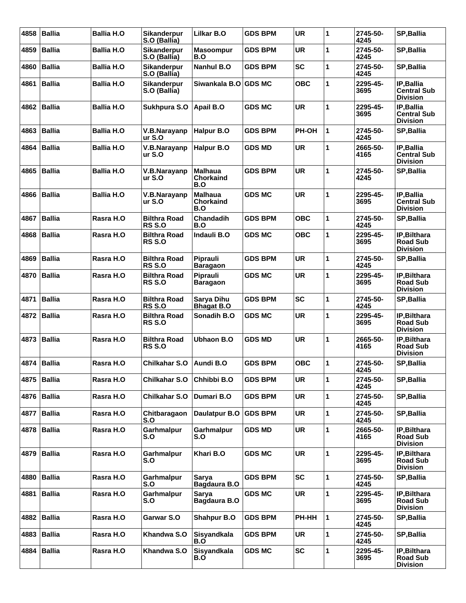| 4858 | <b>Ballia</b> | <b>Ballia H.O</b> | Sikanderpur<br>S.O (Ballia)          | Lilkar B.O                                | <b>GDS BPM</b> | <b>UR</b>  | 1            | 2745-50-<br>4245 | SP, Ballia                                               |
|------|---------------|-------------------|--------------------------------------|-------------------------------------------|----------------|------------|--------------|------------------|----------------------------------------------------------|
| 4859 | <b>Ballia</b> | <b>Ballia H.O</b> | Sikanderpur<br>S.O (Ballia)          | <b>Masoompur</b><br>B.O                   | <b>GDS BPM</b> | <b>UR</b>  | 1            | 2745-50-<br>4245 | SP, Ballia                                               |
| 4860 | <b>Ballia</b> | <b>Ballia H.O</b> | Sikanderpur<br>S.O (Ballia)          | Nanhul B.O                                | <b>GDS BPM</b> | <b>SC</b>  | 1            | 2745-50-<br>4245 | SP, Ballia                                               |
| 4861 | <b>Ballia</b> | Ballia H.O        | Sikanderpur<br>S.O (Ballia)          | Siwankala B.O                             | <b>GDS MC</b>  | <b>OBC</b> | 1            | 2295-45-<br>3695 | IP,Ballia<br><b>Central Sub</b><br><b>Division</b>       |
| 4862 | <b>Ballia</b> | <b>Ballia H.O</b> | Sukhpura S.O                         | <b>Apail B.O</b>                          | <b>GDS MC</b>  | <b>UR</b>  | 1            | 2295-45-<br>3695 | IP, Ballia<br><b>Central Sub</b><br><b>Division</b>      |
| 4863 | <b>Ballia</b> | <b>Ballia H.O</b> | V.B.Narayanp<br>$ur S.$ O            | Halpur B.O                                | <b>GDS BPM</b> | PH-OH      | $\mathbf{1}$ | 2745-50-<br>4245 | <b>SP, Ballia</b>                                        |
| 4864 | <b>Ballia</b> | Ballia H.O        | V.B.Narayanp<br>ur S.O               | Halpur B.O                                | <b>GDS MD</b>  | <b>UR</b>  | 1            | 2665-50-<br>4165 | IP,Ballia<br><b>Central Sub</b><br><b>Division</b>       |
| 4865 | <b>Ballia</b> | <b>Ballia H.O</b> | V.B.Narayanp<br>ur S.O               | <b>Malhaua</b><br><b>Chorkaind</b><br>B.O | <b>GDS BPM</b> | <b>UR</b>  | 1            | 2745-50-<br>4245 | SP, Ballia                                               |
| 4866 | <b>Ballia</b> | <b>Ballia H.O</b> | V.B.Narayanp<br>ur S.O               | <b>Malhaua</b><br><b>Chorkaind</b><br>B.O | <b>GDS MC</b>  | <b>UR</b>  | 1            | 2295-45-<br>3695 | IP, Ballia<br><b>Central Sub</b><br><b>Division</b>      |
| 4867 | <b>Ballia</b> | Rasra H.O         | <b>Bilthra Road</b><br><b>RS S.O</b> | Chandadih<br>B.O                          | <b>GDS BPM</b> | <b>OBC</b> | 1            | 2745-50-<br>4245 | SP, Ballia                                               |
| 4868 | <b>Ballia</b> | Rasra H.O         | <b>Bilthra Road</b><br><b>RS S.O</b> | Indauli B.O                               | <b>GDS MC</b>  | <b>OBC</b> | 1            | 2295-45-<br>3695 | IP, Bilthara<br><b>Road Sub</b><br><b>Division</b>       |
| 4869 | <b>Ballia</b> | Rasra H.O         | <b>Bilthra Road</b><br><b>RS S.O</b> | Piprauli<br><b>Baragaon</b>               | <b>GDS BPM</b> | <b>UR</b>  | 1            | 2745-50-<br>4245 | SP, Ballia                                               |
| 4870 | <b>Ballia</b> | Rasra H.O         | <b>Bilthra Road</b><br><b>RS S.O</b> | Piprauli<br><b>Baragaon</b>               | <b>GDS MC</b>  | <b>UR</b>  | 1            | 2295-45-<br>3695 | IP, Bilthara<br><b>Road Sub</b><br><b>Division</b>       |
| 4871 | <b>Ballia</b> | Rasra H.O         | <b>Bilthra Road</b><br><b>RS S.O</b> | Sarya Dihu<br><b>Bhagat B.O</b>           | <b>GDS BPM</b> | <b>SC</b>  | 1            | 2745-50-<br>4245 | SP, Ballia                                               |
| 4872 | <b>Ballia</b> | Rasra H.O         | <b>Bilthra Road</b><br><b>RS S.O</b> | Sonadih B.O                               | <b>GDS MC</b>  | <b>UR</b>  | 1            | 2295-45-<br>3695 | IP, Bilthara<br><b>Road Sub</b><br><b>Division</b>       |
| 4873 | <b>Ballia</b> | Rasra H.O         | <b>Bilthra Road</b><br><b>RS S.O</b> | <b>Ubhaon B.O</b>                         | <b>GDS MD</b>  | <b>UR</b>  | 1            | 2665-50-<br>4165 | <b>IP.Bilthara</b><br><b>Road Sub</b><br><b>Division</b> |
|      | 4874 Ballia   | Rasra H.O         | <b>Chilkahar S.O</b>                 | <b>Aundi B.O</b>                          | <b>GDS BPM</b> | <b>OBC</b> | 1            | 2745-50-<br>4245 | SP, Ballia                                               |
| 4875 | <b>Ballia</b> | Rasra H.O         | Chilkahar S.O                        | Chhibbi B.O                               | <b>GDS BPM</b> | <b>UR</b>  | 1            | 2745-50-<br>4245 | <b>SP, Ballia</b>                                        |
|      | 4876   Ballia | Rasra H.O         | Chilkahar S.O                        | Dumari B.O                                | <b>GDS BPM</b> | <b>UR</b>  | 1            | 2745-50-<br>4245 | SP, Ballia                                               |
| 4877 | <b>Ballia</b> | Rasra H.O         | Chitbaragaon<br>S.O                  | Daulatpur B.O                             | <b>GDS BPM</b> | UR         | 1            | 2745-50-<br>4245 | SP, Ballia                                               |
| 4878 | <b>Ballia</b> | Rasra H.O         | Garhmalpur<br>S.O                    | Garhmalpur<br>S.O                         | <b>GDS MD</b>  | <b>UR</b>  | 1            | 2665-50-<br>4165 | IP.Bilthara<br><b>Road Sub</b><br><b>Division</b>        |
| 4879 | <b>Ballia</b> | Rasra H.O         | Garhmalpur<br>S.O                    | Khari B.O                                 | <b>GDS MC</b>  | UR         | 1            | 2295-45-<br>3695 | IP, Bilthara<br><b>Road Sub</b><br><b>Division</b>       |
| 4880 | <b>Ballia</b> | Rasra H.O         | Garhmalpur<br>S.O                    | Sarya<br>Bagdaura B.O                     | <b>GDS BPM</b> | <b>SC</b>  | 1            | 2745-50-<br>4245 | SP, Ballia                                               |
| 4881 | <b>Ballia</b> | Rasra H.O         | Garhmalpur<br>S.O                    | Sarya<br>Bagdaura B.O                     | <b>GDS MC</b>  | <b>UR</b>  | 1            | 2295-45-<br>3695 | IP, Bilthara<br><b>Road Sub</b><br><b>Division</b>       |
| 4882 | <b>Ballia</b> | Rasra H.O         | Garwar S.O                           | <b>Shahpur B.O</b>                        | <b>GDS BPM</b> | PH-HH      | 1            | 2745-50-<br>4245 | SP, Ballia                                               |
| 4883 | <b>Ballia</b> | Rasra H.O         | Khandwa S.O                          | Sisyandkala<br>B.O                        | <b>GDS BPM</b> | <b>UR</b>  | 1            | 2745-50-<br>4245 | SP, Ballia                                               |
| 4884 | <b>Ballia</b> | Rasra H.O         | Khandwa S.O                          | <b>Sisyandkala</b><br>B.O                 | <b>GDS MC</b>  | <b>SC</b>  | 1            | 2295-45-<br>3695 | IP, Bilthara<br><b>Road Sub</b><br><b>Division</b>       |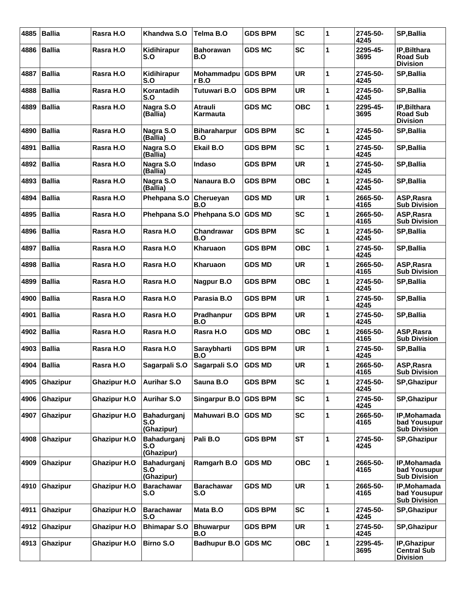| 4885 | <b>Ballia</b>   | Rasra H.O           | Khandwa S.O                      | Telma B.O                  | <b>GDS BPM</b> | <b>SC</b>  | 1 | 2745-50-<br>4245 | SP, Ballia                                               |
|------|-----------------|---------------------|----------------------------------|----------------------------|----------------|------------|---|------------------|----------------------------------------------------------|
| 4886 | <b>Ballia</b>   | Rasra H.O           | Kidihirapur<br>S.O               | <b>Bahorawan</b><br>B.O    | <b>GDS MC</b>  | <b>SC</b>  | 1 | 2295-45-<br>3695 | IP, Bilthara<br><b>Road Sub</b><br><b>Division</b>       |
| 4887 | <b>Ballia</b>   | Rasra H.O           | Kidihirapur<br>S.O               | Mohammadpu<br>r B.O        | <b>GDS BPM</b> | <b>UR</b>  | 1 | 2745-50-<br>4245 | SP, Ballia                                               |
| 4888 | <b>Ballia</b>   | Rasra H.O           | Korantadih<br>S.O                | <b>Tutuwari B.O</b>        | <b>GDS BPM</b> | <b>UR</b>  | 1 | 2745-50-<br>4245 | SP, Ballia                                               |
| 4889 | <b>Ballia</b>   | Rasra H.O           | Nagra S.O<br>(Ballia)            | <b>Atrauli</b><br>Karmauta | <b>GDS MC</b>  | <b>OBC</b> | 1 | 2295-45-<br>3695 | <b>IP.Bilthara</b><br><b>Road Sub</b><br><b>Division</b> |
| 4890 | <b>Ballia</b>   | Rasra H.O           | Nagra S.O<br>(Ballia)            | <b>Biharaharpur</b><br>B.O | <b>GDS BPM</b> | <b>SC</b>  | 1 | 2745-50-<br>4245 | <b>SP, Ballia</b>                                        |
| 4891 | <b>Ballia</b>   | Rasra H.O           | Nagra S.O<br>(Ballia)            | <b>Ekail B.O</b>           | <b>GDS BPM</b> | <b>SC</b>  | 1 | 2745-50-<br>4245 | <b>SP, Ballia</b>                                        |
| 4892 | <b>Ballia</b>   | Rasra H.O           | Nagra S.O<br>(Ballia)            | <b>Indaso</b>              | <b>GDS BPM</b> | <b>UR</b>  | 1 | 2745-50-<br>4245 | <b>SP, Ballia</b>                                        |
| 4893 | <b>Ballia</b>   | Rasra H.O           | Nagra S.O<br>(Ballia)            | Nanaura B.O                | <b>GDS BPM</b> | <b>OBC</b> | 1 | 2745-50-<br>4245 | <b>SP, Ballia</b>                                        |
| 4894 | <b>Ballia</b>   | Rasra H.O           | Phehpana S.O                     | Cherueyan<br>B.O           | <b>GDS MD</b>  | <b>UR</b>  | 1 | 2665-50-<br>4165 | ASP, Rasra<br><b>Sub Division</b>                        |
| 4895 | <b>Ballia</b>   | Rasra H.O           | Phehpana S.O                     | Phehpana S.O               | <b>GDS MD</b>  | <b>SC</b>  | 1 | 2665-50-<br>4165 | ASP, Rasra<br><b>Sub Division</b>                        |
| 4896 | <b>Ballia</b>   | Rasra H.O           | Rasra H.O                        | Chandrawar<br>B.O          | <b>GDS BPM</b> | <b>SC</b>  | 1 | 2745-50-<br>4245 | <b>SP, Ballia</b>                                        |
| 4897 | <b>Ballia</b>   | Rasra H.O           | Rasra H.O                        | Kharuaon                   | <b>GDS BPM</b> | <b>OBC</b> | 1 | 2745-50-<br>4245 | <b>SP, Ballia</b>                                        |
| 4898 | <b>Ballia</b>   | Rasra H.O           | Rasra H.O                        | Kharuaon                   | <b>GDS MD</b>  | <b>UR</b>  | 1 | 2665-50-<br>4165 | ASP, Rasra<br><b>Sub Division</b>                        |
| 4899 | <b>Ballia</b>   | Rasra H.O           | Rasra H.O                        | Nagpur B.O                 | <b>GDS BPM</b> | <b>OBC</b> | 1 | 2745-50-<br>4245 | SP, Ballia                                               |
| 4900 | <b>Ballia</b>   | Rasra H.O           | Rasra H.O                        | Parasia B.O                | <b>GDS BPM</b> | <b>UR</b>  | 1 | 2745-50-<br>4245 | <b>SP, Ballia</b>                                        |
| 4901 | <b>Ballia</b>   | Rasra H.O           | Rasra H.O                        | Pradhanpur<br>B.O          | <b>GDS BPM</b> | <b>UR</b>  | 1 | 2745-50-<br>4245 | SP, Ballia                                               |
| 4902 | <b>Ballia</b>   | Rasra H.O           | Rasra H.O                        | Rasra H.O                  | <b>GDS MD</b>  | <b>OBC</b> | 1 | 2665-50-<br>4165 | ASP, Rasra<br><b>Sub Division</b>                        |
| 4903 | <b>Ballia</b>   | Rasra H.O           | Rasra H.O                        | Saraybharti<br>B.O         | <b>GDS BPM</b> | <b>UR</b>  | 1 | 2745-50-<br>4245 | SP, Ballia                                               |
| 4904 | Ballia          | Rasra H.O           | Sagarpali S.O                    | Sagarpali S.O              | <b>GDS MD</b>  | <b>UR</b>  | 1 | 2665-50-<br>4165 | ASP.Rasra<br><b>Sub Division</b>                         |
| 4905 | <b>Ghazipur</b> | <b>Ghazipur H.O</b> | <b>Aurihar S.O</b>               | Sauna B.O                  | <b>GDS BPM</b> | <b>SC</b>  | 1 | 2745-50-<br>4245 | <b>SP, Ghazipur</b>                                      |
| 4906 | Ghazipur        | <b>Ghazipur H.O</b> | <b>Aurihar S.O</b>               | <b>Singarpur B.O</b>       | <b>GDS BPM</b> | <b>SC</b>  | 1 | 2745-50-<br>4245 | <b>SP, Ghazipur</b>                                      |
| 4907 | Ghazipur        | <b>Ghazipur H.O</b> | Bahadurganj<br>S.O<br>(Ghazipur) | Mahuwari B.O               | <b>GDS MD</b>  | <b>SC</b>  | 1 | 2665-50-<br>4165 | IP, Mohamada<br>bad Yousupur<br><b>Sub Division</b>      |
| 4908 | Ghazipur        | <b>Ghazipur H.O</b> | Bahadurganj<br>S.O<br>(Ghazipur) | Pali B.O                   | <b>GDS BPM</b> | <b>ST</b>  | 1 | 2745-50-<br>4245 | <b>SP, Ghazipur</b>                                      |
| 4909 | <b>Ghazipur</b> | <b>Ghazipur H.O</b> | Bahadurganj<br>S.O<br>(Ghazipur) | Ramgarh B.O                | <b>GDS MD</b>  | <b>OBC</b> | 1 | 2665-50-<br>4165 | IP, Mohamada<br>bad Yousupur<br><b>Sub Division</b>      |
| 4910 | Ghazipur        | <b>Ghazipur H.O</b> | <b>Barachawar</b><br>S.O         | <b>Barachawar</b><br>S.O   | <b>GDS MD</b>  | <b>UR</b>  | 1 | 2665-50-<br>4165 | IP, Mohamada<br>bad Yousupur<br><b>Sub Division</b>      |
| 4911 | Ghazipur        | <b>Ghazipur H.O</b> | <b>Barachawar</b><br>S.O         | Mata B.O                   | <b>GDS BPM</b> | <b>SC</b>  | 1 | 2745-50-<br>4245 | <b>SP, Ghazipur</b>                                      |
| 4912 | Ghazipur        | <b>Ghazipur H.O</b> | <b>Bhimapar S.O</b>              | <b>Bhuwarpur</b><br>B.O    | <b>GDS BPM</b> | <b>UR</b>  | 1 | 2745-50-<br>4245 | <b>SP, Ghazipur</b>                                      |
| 4913 | Ghazipur        | <b>Ghazipur H.O</b> | <b>Birno S.O</b>                 | <b>Badhupur B.O</b>        | <b>GDS MC</b>  | <b>OBC</b> | 1 | 2295-45-<br>3695 | IP, Ghazipur<br><b>Central Sub</b><br><b>Division</b>    |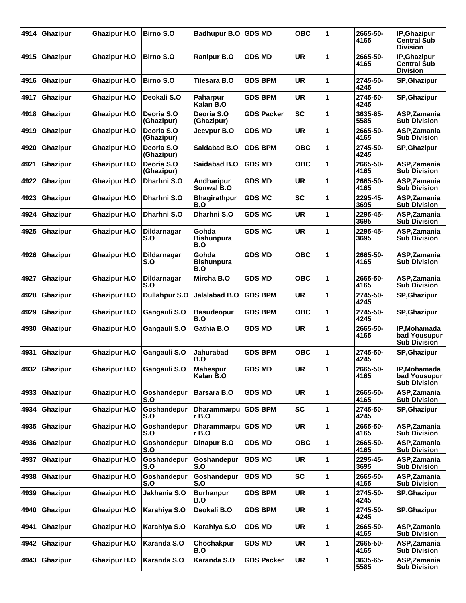| 4914 | Ghazipur        | <b>Ghazipur H.O</b> | <b>Birno S.O</b>         | <b>Badhupur B.O</b>               | <b>GDS MD</b>     | <b>OBC</b> | 1 | 2665-50-<br>4165 | IP, Ghazipur<br>Central Sub<br><b>Division</b>        |
|------|-----------------|---------------------|--------------------------|-----------------------------------|-------------------|------------|---|------------------|-------------------------------------------------------|
| 4915 | <b>Ghazipur</b> | Ghazipur H.O        | <b>Birno S.O</b>         | <b>Ranipur B.O</b>                | <b>GDS MD</b>     | <b>UR</b>  | 1 | 2665-50-<br>4165 | IP, Ghazipur<br><b>Central Sub</b><br><b>Division</b> |
| 4916 | <b>Ghazipur</b> | <b>Ghazipur H.O</b> | <b>Birno S.O</b>         | <b>Tilesara B.O</b>               | <b>GDS BPM</b>    | <b>UR</b>  | 1 | 2745-50-<br>4245 | <b>SP, Ghazipur</b>                                   |
| 4917 | <b>Ghazipur</b> | <b>Ghazipur H.O</b> | Deokali S.O              | <b>Paharpur</b><br>Kalan B.O      | GDS BPM           | <b>UR</b>  | 1 | 2745-50-<br>4245 | <b>SP, Ghazipur</b>                                   |
| 4918 | <b>Ghazipur</b> | Ghazipur H.O        | Deoria S.O<br>(Ghazipur) | Deoria S.O<br>(Ghazipur)          | <b>GDS Packer</b> | <b>SC</b>  | 1 | 3635-65-<br>5585 | ASP, Zamania<br><b>Sub Division</b>                   |
| 4919 | <b>Ghazipur</b> | <b>Ghazipur H.O</b> | Deoria S.O<br>(Ghazipur) | Jeevpur B.O                       | <b>GDS MD</b>     | <b>UR</b>  | 1 | 2665-50-<br>4165 | ASP, Zamania<br><b>Sub Division</b>                   |
| 4920 | Ghazipur        | <b>Ghazipur H.O</b> | Deoria S.O<br>(Ghazipur) | Saidabad B.O                      | <b>GDS BPM</b>    | ОВС        | 1 | 2745-50-<br>4245 | <b>SP, Ghazipur</b>                                   |
| 4921 | <b>Ghazipur</b> | <b>Ghazipur H.O</b> | Deoria S.O<br>(Ghazipur) | Saidabad B.O                      | <b>GDS MD</b>     | <b>OBC</b> | 1 | 2665-50-<br>4165 | ASP, Zamania<br><b>Sub Division</b>                   |
| 4922 | Ghazipur        | <b>Ghazipur H.O</b> | Dharhni S.O              | <b>Andharipur</b><br>Sonwal B.O   | <b>GDS MD</b>     | <b>UR</b>  | 1 | 2665-50-<br>4165 | ASP, Zamania<br><b>Sub Division</b>                   |
| 4923 | <b>Ghazipur</b> | <b>Ghazipur H.O</b> | Dharhni S.O              | <b>Bhagirathpur</b><br>B.O        | <b>GDS MC</b>     | <b>SC</b>  | 1 | 2295-45-<br>3695 | ASP, Zamania<br><b>Sub Division</b>                   |
| 4924 | <b>Ghazipur</b> | <b>Ghazipur H.O</b> | Dharhni S.O              | Dharhni S.O                       | <b>GDS MC</b>     | <b>UR</b>  | 1 | 2295-45-<br>3695 | ASP, Zamania<br><b>Sub Division</b>                   |
| 4925 | Ghazipur        | <b>Ghazipur H.O</b> | Dildarnagar<br>S.O       | Gohda<br><b>Bishunpura</b><br>B.O | <b>GDS MC</b>     | <b>UR</b>  | 1 | 2295-45-<br>3695 | ASP, Zamania<br><b>Sub Division</b>                   |
| 4926 | <b>Ghazipur</b> | <b>Ghazipur H.O</b> | Dildarnagar<br>S.O       | Gohda<br><b>Bishunpura</b><br>B.O | <b>GDS MD</b>     | OBC        | 1 | 2665-50-<br>4165 | ASP, Zamania<br><b>Sub Division</b>                   |
| 4927 | <b>Ghazipur</b> | Ghazipur H.O        | Dildarnagar<br>S.O       | Mircha B.O                        | <b>GDS MD</b>     | <b>OBC</b> | 1 | 2665-50-<br>4165 | ASP, Zamania<br><b>Sub Division</b>                   |
| 4928 | Ghazipur        | <b>Ghazipur H.O</b> | <b>Dullahpur S.O</b>     | <b>Jalalabad B.O</b>              | <b>GDS BPM</b>    | <b>UR</b>  | 1 | 2745-50-<br>4245 | <b>SP.Ghazipur</b>                                    |
| 4929 | <b>Ghazipur</b> | Ghazipur H.O        | Gangauli S.O             | <b>Basudeopur</b><br>B.O          | <b>GDS BPM</b>    | <b>OBC</b> | 1 | 2745-50-<br>4245 | <b>SP, Ghazipur</b>                                   |
| 4930 | Ghazipur        | <b>Ghazipur H.O</b> | Gangauli S.O             | Gathia B.O                        | <b>GDS MD</b>     | <b>UR</b>  | 1 | 2665-50-<br>4165 | IP,Mohamada<br>bad Yousupur<br><b>Sub Division</b>    |
| 4931 | Ghazipur        | <b>Ghazipur H.O</b> | Gangauli S.O             | <b>Jahurabad</b><br>B.O           | <b>GDS BPM</b>    | <b>OBC</b> | 1 | 2745-50-<br>4245 | <b>SP, Ghazipur</b>                                   |
|      | 4932 Ghazipur   | <b>Ghazipur H.O</b> | Gangauli S.O             | Mahespur<br>Kalan B.O             | <b>GDS MD</b>     | UR         | 1 | 2665-50-<br>4165 | IP, Mohamada<br>bad Yousupur<br><b>Sub Division</b>   |
| 4933 | <b>Ghazipur</b> | <b>Ghazipur H.O</b> | Goshandepur<br>S.O       | Barsara B.O                       | <b>GDS MD</b>     | <b>UR</b>  | 1 | 2665-50-<br>4165 | ASP, Zamania<br><b>Sub Division</b>                   |
| 4934 | Ghazipur        | Ghazipur H.O        | Goshandepur<br>S.O       | Dharammarpu<br>r B.O              | <b>GDS BPM</b>    | <b>SC</b>  | 1 | 2745-50-<br>4245 | <b>SP, Ghazipur</b>                                   |
| 4935 | <b>Ghazipur</b> | <b>Ghazipur H.O</b> | Goshandepur<br>S.O       | Dharammarpu<br>r B.O              | <b>GDS MD</b>     | UR         | 1 | 2665-50-<br>4165 | ASP, Zamania<br><b>Sub Division</b>                   |
| 4936 | <b>Ghazipur</b> | <b>Ghazipur H.O</b> | Goshandepur<br>S.O       | Dinapur B.O                       | <b>GDS MD</b>     | <b>OBC</b> | 1 | 2665-50-<br>4165 | ASP, Zamania<br><b>Sub Division</b>                   |
| 4937 | Ghazipur        | <b>Ghazipur H.O</b> | Goshandepur<br>S.O       | Goshandepur<br>S.O                | <b>GDS MC</b>     | <b>UR</b>  | 1 | 2295-45-<br>3695 | ASP, Zamania<br><b>Sub Division</b>                   |
| 4938 | <b>Ghazipur</b> | <b>Ghazipur H.O</b> | Goshandepur<br>S.O       | Goshandepur<br>S.O                | <b>GDS MD</b>     | SC         | 1 | 2665-50-<br>4165 | ASP, Zamania<br><b>Sub Division</b>                   |
| 4939 | <b>Ghazipur</b> | <b>Ghazipur H.O</b> | Jakhania S.O             | <b>Burhanpur</b><br>B.O           | <b>GDS BPM</b>    | <b>UR</b>  | 1 | 2745-50-<br>4245 | <b>SP, Ghazipur</b>                                   |
| 4940 | Ghazipur        | <b>Ghazipur H.O</b> | Karahiya S.O             | Deokali B.O                       | <b>GDS BPM</b>    | <b>UR</b>  | 1 | 2745-50-<br>4245 | <b>SP, Ghazipur</b>                                   |
| 4941 | <b>Ghazipur</b> | <b>Ghazipur H.O</b> | Karahiya S.O             | Karahiya S.O                      | <b>GDS MD</b>     | UR         | 1 | 2665-50-<br>4165 | ASP, Zamania<br><b>Sub Division</b>                   |
| 4942 | <b>Ghazipur</b> | <b>Ghazipur H.O</b> | Karanda S.O              | Chochakpur<br>B.O                 | <b>GDS MD</b>     | <b>UR</b>  | 1 | 2665-50-<br>4165 | ASP, Zamania<br><b>Sub Division</b>                   |
| 4943 | Ghazipur        | <b>Ghazipur H.O</b> | Karanda S.O              | Karanda S.O                       | <b>GDS Packer</b> | <b>UR</b>  | 1 | 3635-65-<br>5585 | ASP, Zamania<br><b>Sub Division</b>                   |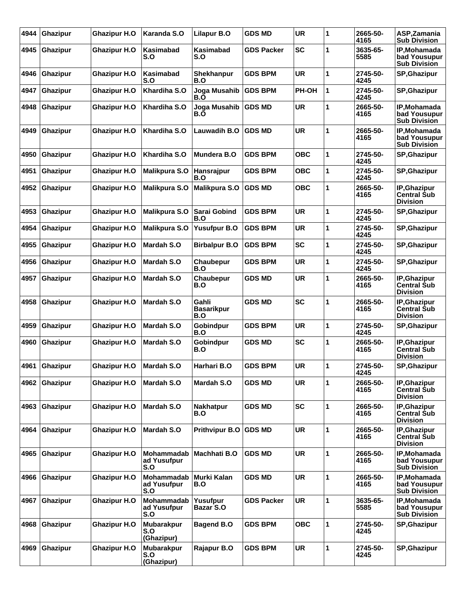| 4944 | Ghazipur        | <b>Ghazipur H.O</b> | Karanda S.O                             | <b>Lilapur B.O</b>                | <b>GDS MD</b>     | <b>UR</b>  | 1 | 2665-50-<br>4165 | ASP, Zamania<br><b>Sub Division</b>                          |
|------|-----------------|---------------------|-----------------------------------------|-----------------------------------|-------------------|------------|---|------------------|--------------------------------------------------------------|
| 4945 | <b>Ghazipur</b> | Ghazipur H.O        | Kasimabad<br>S.O                        | Kasimabad<br>S.O                  | <b>GDS Packer</b> | <b>SC</b>  | 1 | 3635-65-<br>5585 | IP, Mohamada<br>bad Yousupur<br><b>Sub Division</b>          |
| 4946 | <b>Ghazipur</b> | <b>Ghazipur H.O</b> | <b>Kasimabad</b><br>S.O                 | <b>Shekhanpur</b><br>B.O          | <b>GDS BPM</b>    | <b>UR</b>  | 1 | 2745-50-<br>4245 | <b>SP, Ghazipur</b>                                          |
| 4947 | <b>Ghazipur</b> | <b>Ghazipur H.O</b> | Khardiha S.O                            | Joga Musahib<br>B.O               | <b>GDS BPM</b>    | PH-OH      | 1 | 2745-50-<br>4245 | <b>SP, Ghazipur</b>                                          |
| 4948 | <b>Ghazipur</b> | <b>Ghazipur H.O</b> | Khardiha S.O                            | Joga Musahib<br>B.O               | <b>GDS MD</b>     | <b>UR</b>  | 1 | 2665-50-<br>4165 | IP, Mohamada<br>bad Yousupur<br><b>Sub Division</b>          |
| 4949 | Ghazipur        | <b>Ghazipur H.O</b> | Khardiha S.O                            | Lauwadih B.O                      | <b>GDS MD</b>     | <b>UR</b>  | 1 | 2665-50-<br>4165 | IP, Mohamada<br>bad Yousupur<br><b>Sub Division</b>          |
| 4950 | <b>Ghazipur</b> | <b>Ghazipur H.O</b> | Khardiha S.O                            | Mundera B.O                       | <b>GDS BPM</b>    | OBC        | 1 | 2745-50-<br>4245 | <b>SP, Ghazipur</b>                                          |
| 4951 | <b>Ghazipur</b> | <b>Ghazipur H.O</b> | <b>Malikpura S.O</b>                    | Hansrajpur<br>B.O                 | <b>GDS BPM</b>    | <b>OBC</b> | 1 | 2745-50-<br>4245 | SP, Ghazipur                                                 |
| 4952 | <b>Ghazipur</b> | <b>Ghazipur H.O</b> | <b>Malikpura S.O</b>                    | <b>Malikpura S.O</b>              | <b>GDS MD</b>     | <b>OBC</b> | 1 | 2665-50-<br>4165 | IP, Ghazipur<br><b>Central Sub</b><br><b>Division</b>        |
| 4953 | <b>Ghazipur</b> | <b>Ghazipur H.O</b> | <b>Malikpura S.O</b>                    | Sarai Gobind<br>B.O               | <b>GDS BPM</b>    | <b>UR</b>  | 1 | 2745-50-<br>4245 | <b>SP, Ghazipur</b>                                          |
| 4954 | <b>Ghazipur</b> | <b>Ghazipur H.O</b> | <b>Malikpura S.O</b>                    | <b>Yusufpur B.O</b>               | <b>GDS BPM</b>    | <b>UR</b>  | 1 | 2745-50-<br>4245 | <b>SP, Ghazipur</b>                                          |
| 4955 | <b>Ghazipur</b> | Ghazipur H.O        | Mardah S.O                              | <b>Birbalpur B.O</b>              | <b>GDS BPM</b>    | <b>SC</b>  | 1 | 2745-50-<br>4245 | <b>SP, Ghazipur</b>                                          |
| 4956 | <b>Ghazipur</b> | Ghazipur H.O        | Mardah S.O                              | <b>Chaubepur</b><br>B.O           | <b>GDS BPM</b>    | <b>UR</b>  | 1 | 2745-50-<br>4245 | <b>SP, Ghazipur</b>                                          |
| 4957 | Ghazipur        | <b>Ghazipur H.O</b> | Mardah S.O                              | Chaubepur<br>B.O                  | <b>GDS MD</b>     | <b>UR</b>  | 1 | 2665-50-<br>4165 | IP, Ghazipur<br><b>Central Sub</b><br><b>Division</b>        |
| 4958 | <b>Ghazipur</b> | <b>Ghazipur H.O</b> | Mardah S.O                              | Gahli<br><b>Basarikpur</b><br>B.O | <b>GDS MD</b>     | <b>SC</b>  | 1 | 2665-50-<br>4165 | <b>IP, Ghazipur</b><br><b>Central Sub</b><br><b>Division</b> |
| 4959 | <b>Ghazipur</b> | <b>Ghazipur H.O</b> | Mardah S.O                              | <b>Gobindpur</b><br>B.O           | <b>GDS BPM</b>    | <b>UR</b>  | 1 | 2745-50-<br>4245 | <b>SP, Ghazipur</b>                                          |
| 4960 | <b>Ghazipur</b> | <b>Ghazipur H.O</b> | Mardah S.O                              | Gobindpur<br>B.O                  | <b>GDS MD</b>     | <b>SC</b>  | 1 | 2665-50-<br>4165 | IP, Ghazipur<br><b>Central Sub</b><br><b>Division</b>        |
| 4961 | Ghazipur        | Ghazipur H.O        | Mardah S.O                              | Harhari B.O                       | <b>GDS BPM</b>    | <b>UR</b>  | 1 | 2745-50-<br>4245 | <b>SP, Ghazipur</b>                                          |
| 4962 | Ghazipur        | <b>Ghazipur H.O</b> | Mardah S.O                              | Mardah S.O                        | <b>GDS MD</b>     | <b>UR</b>  | 1 | 2665-50-<br>4165 | IP, Ghazipur<br><b>Central Sub</b><br><b>Division</b>        |
| 4963 | <b>Ghazipur</b> | <b>Ghazipur H.O</b> | Mardah S.O                              | <b>Nakhatpur</b><br>B.O           | <b>GDS MD</b>     | <b>SC</b>  | 1 | 2665-50-<br>4165 | IP, Ghazipur<br><b>Central Sub</b><br><b>Division</b>        |
| 4964 | Ghazipur        | <b>Ghazipur H.O</b> | Mardah S.O                              | <b>Prithvipur B.O</b>             | <b>GDS MD</b>     | <b>UR</b>  | 1 | 2665-50-<br>4165 | IP, Ghazipur<br><b>Central Sub</b><br><b>Division</b>        |
| 4965 | <b>Ghazipur</b> | <b>Ghazipur H.O</b> | <b>Mohammadab</b><br>ad Yusufpur<br>S.O | Machhati B.O                      | <b>GDS MD</b>     | <b>UR</b>  | 1 | 2665-50-<br>4165 | IP, Mohamada<br>bad Yousupur<br><b>Sub Division</b>          |
| 4966 | <b>Ghazipur</b> | <b>Ghazipur H.O</b> | <b>Mohammadab</b><br>ad Yusufpur<br>S.O | Murki Kalan<br>B.O                | <b>GDS MD</b>     | <b>UR</b>  | 1 | 2665-50-<br>4165 | IP, Mohamada<br>bad Yousupur<br><b>Sub Division</b>          |
| 4967 | Ghazipur        | <b>Ghazipur H.O</b> | Mohammadab<br>ad Yusufpur<br>S.O        | Yusufpur<br>Bazar S.O             | <b>GDS Packer</b> | <b>UR</b>  | 1 | 3635-65-<br>5585 | IP, Mohamada<br>bad Yousupur<br><b>Sub Division</b>          |
| 4968 | <b>Ghazipur</b> | <b>Ghazipur H.O</b> | <b>Mubarakpur</b><br>S.O<br>(Ghazipur)  | <b>Bagend B.O</b>                 | <b>GDS BPM</b>    | <b>OBC</b> | 1 | 2745-50-<br>4245 | SP, Ghazipur                                                 |
| 4969 | <b>Ghazipur</b> | <b>Ghazipur H.O</b> | <b>Mubarakpur</b><br>S.O<br>(Ghazipur)  | Rajapur B.O                       | <b>GDS BPM</b>    | <b>UR</b>  | 1 | 2745-50-<br>4245 | SP, Ghazipur                                                 |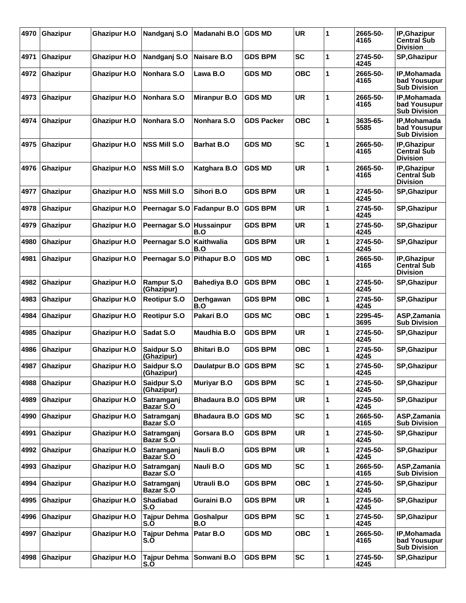| 4970 | Ghazipur        | <b>Ghazipur H.O</b> | Nandganj S.O                     | Madanahi B.O          | <b>GDS MD</b>     | <b>UR</b>  | 1            | 2665-50-<br>4165 | <b>IP.Ghazipur</b><br><b>Central Sub</b><br><b>Division</b> |
|------|-----------------|---------------------|----------------------------------|-----------------------|-------------------|------------|--------------|------------------|-------------------------------------------------------------|
| 4971 | <b>Ghazipur</b> | Ghazipur H.O        | Nandganj S.O                     | Naisare B.O           | <b>GDS BPM</b>    | <b>SC</b>  | 1            | 2745-50-<br>4245 | <b>SP, Ghazipur</b>                                         |
| 4972 | <b>Ghazipur</b> | <b>Ghazipur H.O</b> | Nonhara S.O                      | Lawa B.O              | <b>GDS MD</b>     | <b>OBC</b> | 1            | 2665-50-<br>4165 | IP, Mohamada<br>bad Yousupur<br><b>Sub Division</b>         |
| 4973 | <b>Ghazipur</b> | <b>Ghazipur H.O</b> | Nonhara S.O                      | <b>Miranpur B.O</b>   | <b>GDS MD</b>     | <b>UR</b>  | 1            | 2665-50-<br>4165 | IP, Mohamada<br>bad Yousupur<br><b>Sub Division</b>         |
| 4974 | <b>Ghazipur</b> | <b>Ghazipur H.O</b> | Nonhara S.O                      | Nonhara S.O           | <b>GDS Packer</b> | <b>OBC</b> | 1            | 3635-65-<br>5585 | IP, Mohamada<br>bad Yousupur<br><b>Sub Division</b>         |
| 4975 | <b>Ghazipur</b> | <b>Ghazipur H.O</b> | <b>NSS Mill S.O</b>              | <b>Barhat B.O</b>     | <b>GDS MD</b>     | <b>SC</b>  | 1            | 2665-50-<br>4165 | IP, Ghazipur<br><b>Central Sub</b><br><b>Division</b>       |
| 4976 | Ghazipur        | <b>Ghazipur H.O</b> | <b>NSS Mill S.O</b>              | Katghara B.O          | <b>GDS MD</b>     | <b>UR</b>  | 1            | 2665-50-<br>4165 | IP, Ghazipur<br><b>Central Sub</b><br><b>Division</b>       |
| 4977 | <b>Ghazipur</b> | <b>Ghazipur H.O</b> | <b>NSS Mill S.O</b>              | Sihori B.O            | <b>GDS BPM</b>    | <b>UR</b>  | 1            | 2745-50-<br>4245 | <b>SP, Ghazipur</b>                                         |
| 4978 | <b>Ghazipur</b> | Ghazipur H.O        | Peernagar S.O                    | <b>Fadanpur B.O</b>   | <b>GDS BPM</b>    | <b>UR</b>  | 1            | 2745-50-<br>4245 | SP, Ghazipur                                                |
| 4979 | <b>Ghazipur</b> | Ghazipur H.O        | Peernagar S.O                    | Hussainpur<br>B.O     | <b>GDS BPM</b>    | <b>UR</b>  | 1            | 2745-50-<br>4245 | <b>SP, Ghazipur</b>                                         |
| 4980 | <b>Ghazipur</b> | Ghazipur H.O        | Peernagar S.O                    | Kaithwalia<br>B.O     | <b>GDS BPM</b>    | <b>UR</b>  | 1            | 2745-50-<br>4245 | <b>SP, Ghazipur</b>                                         |
| 4981 | Ghazipur        | Ghazipur H.O        | Peernagar S.O                    | <b>Pithapur B.O</b>   | <b>GDS MD</b>     | <b>OBC</b> | 1            | 2665-50-<br>4165 | IP, Ghazipur<br><b>Central Sub</b><br><b>Division</b>       |
| 4982 | Ghazipur        | <b>Ghazipur H.O</b> | Rampur S.O<br>(Ghazipur)         | Bahediya B.O          | <b>GDS BPM</b>    | <b>OBC</b> | 1            | 2745-50-<br>4245 | <b>SP, Ghazipur</b>                                         |
| 4983 | <b>Ghazipur</b> | <b>Ghazipur H.O</b> | <b>Reotipur S.O</b>              | Derhgawan<br>B.O      | <b>GDS BPM</b>    | <b>OBC</b> | 1            | 2745-50-<br>4245 | <b>SP, Ghazipur</b>                                         |
| 4984 | <b>Ghazipur</b> | Ghazipur H.O        | <b>Reotipur S.O</b>              | Pakari B.O            | <b>GDS MC</b>     | <b>OBC</b> | 1            | 2295-45-<br>3695 | ASP, Zamania<br><b>Sub Division</b>                         |
| 4985 | Ghazipur        | Ghazipur H.O        | Sadat S.O                        | Maudhia B.O           | <b>GDS BPM</b>    | <b>UR</b>  | 1            | 2745-50-<br>4245 | SP, Ghazipur                                                |
| 4986 | <b>Ghazipur</b> | Ghazipur H.O        | Saidpur S.O<br>(Ghazipur)        | <b>Bhitari B.O</b>    | <b>GDS BPM</b>    | <b>OBC</b> | 1            | 2745-50-<br>4245 | <b>SP, Ghazipur</b>                                         |
| 4987 | <b>Ghazipur</b> | Ghazipur H.O        | <b>Saidpur S.O</b><br>(Ghazipur) | Daulatpur B.O GDS BPM |                   | <b>SC</b>  | 1            | 2745-50-<br>4245 | <b>SP.Ghazipur</b>                                          |
| 4988 | Ghazipur        | <b>Ghazipur H.O</b> | Saidpur S.O<br>(Ghazipur)        | <b>Muriyar B.O</b>    | <b>GDS BPM</b>    | <b>SC</b>  | 1            | 2745-50-<br>4245 | <b>SP, Ghazipur</b>                                         |
| 4989 | <b>Ghazipur</b> | <b>Ghazipur H.O</b> | Satramganj<br>Bazar S.O          | <b>Bhadaura B.O</b>   | <b>GDS BPM</b>    | UR         | 1            | 2745-50-<br>4245 | <b>SP, Ghazipur</b>                                         |
| 4990 | Ghazipur        | <b>Ghazipur H.O</b> | Satramganj<br>Bazar S.O          | <b>Bhadaura B.O</b>   | <b>GDS MD</b>     | <b>SC</b>  | 1            | 2665-50-<br>4165 | ASP, Zamania<br><b>Sub Division</b>                         |
| 4991 | <b>Ghazipur</b> | <b>Ghazipur H.O</b> | Satramganj<br>Bazar S.O          | Gorsara B.O           | <b>GDS BPM</b>    | <b>UR</b>  | 1            | 2745-50-<br>4245 | <b>SP, Ghazipur</b>                                         |
| 4992 | <b>Ghazipur</b> | <b>Ghazipur H.O</b> | Satramganj<br>Bazar S.O          | Nauli B.O             | <b>GDS BPM</b>    | UR         | 1            | 2745-50-<br>4245 | <b>SP, Ghazipur</b>                                         |
| 4993 | <b>Ghazipur</b> | <b>Ghazipur H.O</b> | Satramganj<br>Bazar S.O          | Nauli B.O             | <b>GDS MD</b>     | <b>SC</b>  | 1            | 2665-50-<br>4165 | ASP, Zamania<br><b>Sub Division</b>                         |
| 4994 | Ghazipur        | Ghazipur H.O        | Satramganj<br>Bazar S.O          | Utrauli B.O           | <b>GDS BPM</b>    | <b>OBC</b> | $\mathbf{1}$ | 2745-50-<br>4245 | SP, Ghazipur                                                |
| 4995 | Ghazipur        | Ghazipur H.O        | Shadiabad<br>S.O                 | Guraini B.O           | <b>GDS BPM</b>    | <b>UR</b>  | 1            | 2745-50-<br>4245 | <b>SP, Ghazipur</b>                                         |
| 4996 | <b>Ghazipur</b> | <b>Ghazipur H.O</b> | <b>Tajpur Dehma</b><br>S.O       | Goshalpur<br>B.O      | <b>GDS BPM</b>    | <b>SC</b>  | 1            | 2745-50-<br>4245 | SP, Ghazipur                                                |
| 4997 | <b>Ghazipur</b> | <b>Ghazipur H.O</b> | <b>Tajpur Dehma</b><br>S.O       | Patar B.O             | <b>GDS MD</b>     | <b>OBC</b> | 1            | 2665-50-<br>4165 | IP, Mohamada<br>bad Yousupur<br><b>Sub Division</b>         |
| 4998 | Ghazipur        | Ghazipur H.O        | <b>Tajpur Dehma</b><br>S.Ö       | Sonwani B.O           | <b>GDS BPM</b>    | <b>SC</b>  | 1            | 2745-50-<br>4245 | <b>SP, Ghazipur</b>                                         |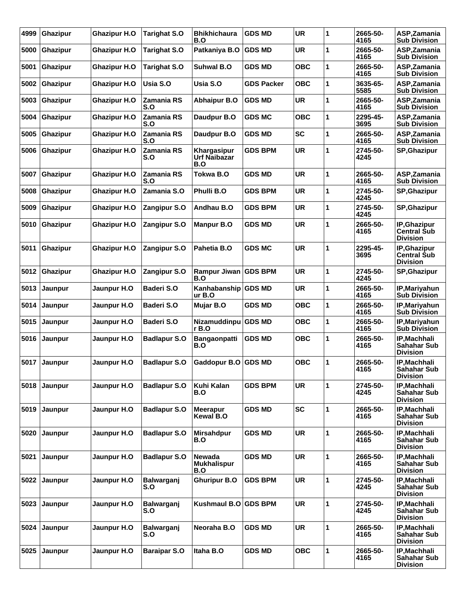| 4999 | <b>Ghazipur</b> | <b>Ghazipur H.O</b> | <b>Tarighat S.O</b>      | <b>Bhikhichaura</b><br>B.O          | <b>GDS MD</b>     | <b>UR</b>  | 1 | 2665-50-<br>4165 | ASP.Zamania<br><b>Sub Division</b>                    |
|------|-----------------|---------------------|--------------------------|-------------------------------------|-------------------|------------|---|------------------|-------------------------------------------------------|
| 5000 | <b>Ghazipur</b> | Ghazipur H.O        | <b>Tarighat S.O</b>      | Patkaniya B.O                       | <b>GDS MD</b>     | <b>UR</b>  | 1 | 2665-50-<br>4165 | ASP, Zamania<br><b>Sub Division</b>                   |
| 5001 | <b>Ghazipur</b> | Ghazipur H.O        | <b>Tarighat S.O</b>      | Suhwal B.O                          | <b>GDS MD</b>     | <b>OBC</b> | 1 | 2665-50-<br>4165 | ASP, Zamania<br><b>Sub Division</b>                   |
| 5002 | Ghazipur        | Ghazipur H.O        | Usia S.O                 | Usia S.O                            | <b>GDS Packer</b> | <b>OBC</b> | 1 | 3635-65-<br>5585 | ASP, Zamania<br><b>Sub Division</b>                   |
| 5003 | <b>Ghazipur</b> | <b>Ghazipur H.O</b> | <b>Zamania RS</b><br>S.O | <b>Abhaipur B.O</b>                 | <b>GDS MD</b>     | <b>UR</b>  | 1 | 2665-50-<br>4165 | ASP, Zamania<br><b>Sub Division</b>                   |
| 5004 | <b>Ghazipur</b> | <b>Ghazipur H.O</b> | <b>Zamania RS</b><br>S.O | Daudpur B.O                         | <b>GDS MC</b>     | <b>OBC</b> | 1 | 2295-45-<br>3695 | ASP, Zamania<br><b>Sub Division</b>                   |
| 5005 | <b>Ghazipur</b> | <b>Ghazipur H.O</b> | Zamania RS<br>S.O        | Daudpur B.O                         | <b>GDS MD</b>     | <b>SC</b>  | 1 | 2665-50-<br>4165 | ASP, Zamania<br><b>Sub Division</b>                   |
| 5006 | <b>Ghazipur</b> | <b>Ghazipur H.O</b> | Zamania RS<br>S.O        | Khargasipur<br>Urf Naibazar<br>B.O  | <b>GDS BPM</b>    | <b>UR</b>  | 1 | 2745-50-<br>4245 | <b>SP.Ghazipur</b>                                    |
| 5007 | <b>Ghazipur</b> | <b>Ghazipur H.O</b> | <b>Zamania RS</b><br>S.O | Tokwa B.O                           | <b>GDS MD</b>     | <b>UR</b>  | 1 | 2665-50-<br>4165 | ASP, Zamania<br><b>Sub Division</b>                   |
| 5008 | <b>Ghazipur</b> | <b>Ghazipur H.O</b> | Zamania S.O              | Phulli B.O                          | <b>GDS BPM</b>    | <b>UR</b>  | 1 | 2745-50-<br>4245 | SP, Ghazipur                                          |
| 5009 | <b>Ghazipur</b> | <b>Ghazipur H.O</b> | Zangipur S.O             | Andhau B.O                          | <b>GDS BPM</b>    | <b>UR</b>  | 1 | 2745-50-<br>4245 | <b>SP, Ghazipur</b>                                   |
| 5010 | Ghazipur        | <b>Ghazipur H.O</b> | Zangipur S.O             | <b>Manpur B.O</b>                   | <b>GDS MD</b>     | <b>UR</b>  | 1 | 2665-50-<br>4165 | IP, Ghazipur<br><b>Central Sub</b><br><b>Division</b> |
| 5011 | Ghazipur        | <b>Ghazipur H.O</b> | Zangipur S.O             | Pahetia B.O                         | <b>GDS MC</b>     | <b>UR</b>  | 1 | 2295-45-<br>3695 | IP, Ghazipur<br><b>Central Sub</b><br><b>Division</b> |
| 5012 | Ghazipur        | <b>Ghazipur H.O</b> | Zangipur S.O             | Rampur Jiwan GDS BPM<br>B.O         |                   | <b>UR</b>  | 1 | 2745-50-<br>4245 | <b>SP, Ghazipur</b>                                   |
| 5013 | Jaunpur         | Jaunpur H.O         | <b>Baderi S.O</b>        | Kanhabanship GDS MD<br>ur B.O       |                   | <b>UR</b>  | 1 | 2665-50-<br>4165 | IP, Mariyahun<br><b>Sub Division</b>                  |
| 5014 | Jaunpur         | Jaunpur H.O         | <b>Baderi S.O</b>        | Mujar B.O                           | <b>GDS MD</b>     | <b>OBC</b> | 1 | 2665-50-<br>4165 | IP, Mariyahun<br><b>Sub Division</b>                  |
| 5015 | Jaunpur         | Jaunpur H.O         | <b>Baderi S.O</b>        | Nizamuddinpu<br>r B.O               | <b>GDS MD</b>     | <b>OBC</b> | 1 | 2665-50-<br>4165 | IP, Mariyahun<br><b>Sub Division</b>                  |
| 5016 | Jaunpur         | Jaunpur H.O         | <b>Badlapur S.O</b>      | Bangaonpatti<br>B.O                 | <b>GDS MD</b>     | <b>OBC</b> | 1 | 2665-50-<br>4165 | IP, Machhali<br>Sahahar Sub<br><b>Division</b>        |
| 5017 | Jaunpur         | Jaunpur H.O         | <b>Badlapur S.O</b>      | Gaddopur B.O GDS MD                 |                   | <b>OBC</b> | 1 | 2665-50-<br>4165 | IP, Machhali<br>Sahahar Sub<br><b>Division</b>        |
|      | 5018 Jaunpur    | Jaunpur H.O         | <b>Badlapur S.O</b>      | Kuhi Kalan<br>B.O                   | <b>GDS BPM</b>    | <b>UR</b>  | 1 | 2745-50-<br>4245 | IP, Machhali<br><b>Sahahar Sub</b><br><b>Division</b> |
| 5019 | Jaunpur         | Jaunpur H.O         | <b>Badlapur S.O</b>      | <b>Meerapur</b><br>Kewal B.O        | <b>GDS MD</b>     | <b>SC</b>  | 1 | 2665-50-<br>4165 | IP, Machhali<br>Sahahar Sub<br><b>Division</b>        |
| 5020 | <b>Jaunpur</b>  | Jaunpur H.O         | <b>Badlapur S.O</b>      | <b>Mirsahdpur</b><br>B.O            | <b>GDS MD</b>     | <b>UR</b>  | 1 | 2665-50-<br>4165 | IP, Machhali<br><b>Sahahar Sub</b><br><b>Division</b> |
| 5021 | Jaunpur         | Jaunpur H.O         | <b>Badlapur S.O</b>      | Newada<br><b>Mukhalispur</b><br>B.O | <b>GDS MD</b>     | <b>UR</b>  | 1 | 2665-50-<br>4165 | IP, Machhali<br><b>Sahahar Sub</b><br><b>Division</b> |
| 5022 | Jaunpur         | Jaunpur H.O         | Balwarganj<br>S.O        | <b>Ghuripur B.O</b>                 | <b>GDS BPM</b>    | <b>UR</b>  | 1 | 2745-50-<br>4245 | IP, Machhali<br>Sahahar Sub<br><b>Division</b>        |
| 5023 | Jaunpur         | Jaunpur H.O         | Balwarganj<br>S.O        | <b>Kushmaul B.O</b>                 | <b>GDS BPM</b>    | <b>UR</b>  | 1 | 2745-50-<br>4245 | IP, Machhali<br><b>Sahahar Sub</b><br><b>Division</b> |
| 5024 | <b>Jaunpur</b>  | Jaunpur H.O         | Balwarganj<br>S.O        | Neoraha B.O                         | <b>GDS MD</b>     | <b>UR</b>  | 1 | 2665-50-<br>4165 | IP, Machhali<br>Sahahar Sub<br><b>Division</b>        |
| 5025 | <b>Jaunpur</b>  | Jaunpur H.O         | <b>Baraipar S.O</b>      | Itaha B.O                           | <b>GDS MD</b>     | <b>OBC</b> | 1 | 2665-50-<br>4165 | IP, Machhali<br><b>Sahahar Sub</b><br><b>Division</b> |
|      |                 |                     |                          |                                     |                   |            |   |                  |                                                       |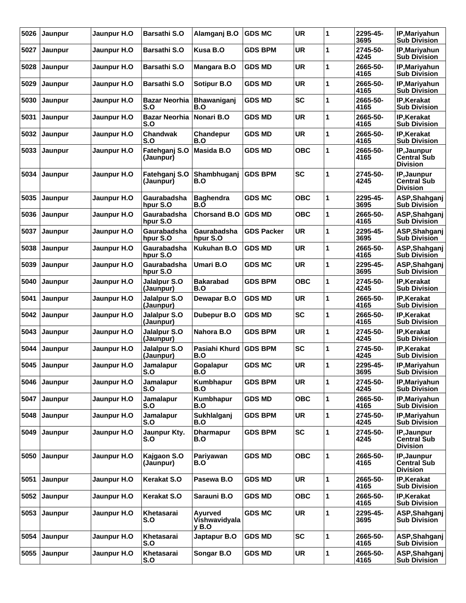| 5026 | Jaunpur | Jaunpur H.O | <b>Barsathi S.O</b>         | Alamganj B.O                        | <b>GDS MC</b>     | <b>UR</b>  | 1 | 2295-45-<br>3695 | IP, Mariyahun<br><b>Sub Division</b>                 |
|------|---------|-------------|-----------------------------|-------------------------------------|-------------------|------------|---|------------------|------------------------------------------------------|
| 5027 | Jaunpur | Jaunpur H.O | Barsathi S.O                | Kusa B.O                            | <b>GDS BPM</b>    | <b>UR</b>  | 1 | 2745-50-<br>4245 | IP, Mariyahun<br><b>Sub Division</b>                 |
| 5028 | Jaunpur | Jaunpur H.O | <b>Barsathi S.O</b>         | <b>Mangara B.O</b>                  | <b>GDS MD</b>     | <b>UR</b>  | 1 | 2665-50-<br>4165 | IP, Mariyahun<br><b>Sub Division</b>                 |
| 5029 | Jaunpur | Jaunpur H.O | <b>Barsathi S.O</b>         | <b>Sotipur B.O</b>                  | <b>GDS MD</b>     | <b>UR</b>  | 1 | 2665-50-<br>4165 | IP, Mariyahun<br><b>Sub Division</b>                 |
| 5030 | Jaunpur | Jaunpur H.O | <b>Bazar Neorhia</b><br>S.O | Bhawaniganj<br>B.O                  | <b>GDS MD</b>     | <b>SC</b>  | 1 | 2665-50-<br>4165 | IP, Kerakat<br><b>Sub Division</b>                   |
| 5031 | Jaunpur | Jaunpur H.O | <b>Bazar Neorhia</b><br>S.O | Nonari B.O                          | <b>GDS MD</b>     | <b>UR</b>  | 1 | 2665-50-<br>4165 | <b>IP.Kerakat</b><br><b>Sub Division</b>             |
| 5032 | Jaunpur | Jaunpur H.O | <b>Chandwak</b><br>S.O      | Chandepur<br>B.O                    | <b>GDS MD</b>     | UR         | 1 | 2665-50-<br>4165 | IP, Kerakat<br><b>Sub Division</b>                   |
| 5033 | Jaunpur | Jaunpur H.O | Fatehganj S.O<br>(Jaunpur)  | Masida B.O                          | <b>GDS MD</b>     | <b>OBC</b> | 1 | 2665-50-<br>4165 | IP, Jaunpur<br><b>Central Sub</b><br><b>Division</b> |
| 5034 | Jaunpur | Jaunpur H.O | Fatehganj S.O<br>(Jaunpur)  | Shambhuganj<br>B.O                  | <b>GDS BPM</b>    | <b>SC</b>  | 1 | 2745-50-<br>4245 | IP, Jaunpur<br><b>Central Sub</b><br><b>Division</b> |
| 5035 | Jaunpur | Jaunpur H.O | Gaurabadsha<br>hpur S.O     | <b>Baghendra</b><br>B.O             | <b>GDS MC</b>     | ОВС        | 1 | 2295-45-<br>3695 | ASP, Shahganj<br><b>Sub Division</b>                 |
| 5036 | Jaunpur | Jaunpur H.O | Gaurabadsha<br>hpur S.O     | <b>Chorsand B.O</b>                 | <b>GDS MD</b>     | ОВС        | 1 | 2665-50-<br>4165 | ASP, Shahganj<br><b>Sub Division</b>                 |
| 5037 | Jaunpur | Jaunpur H.O | Gaurabadsha<br>hpur S.O     | Gaurabadsha<br>hpur S.O             | <b>GDS Packer</b> | <b>UR</b>  | 1 | 2295-45-<br>3695 | ASP, Shahganj<br><b>Sub Division</b>                 |
| 5038 | Jaunpur | Jaunpur H.O | Gaurabadsha<br>hpur S.O     | <b>Kukuhan B.O</b>                  | <b>GDS MD</b>     | <b>UR</b>  | 1 | 2665-50-<br>4165 | ASP, Shahganj<br><b>Sub Division</b>                 |
| 5039 | Jaunpur | Jaunpur H.O | Gaurabadsha<br>hpur S.O     | Umari B.O                           | <b>GDS MC</b>     | <b>UR</b>  | 1 | 2295-45-<br>3695 | ASP, Shahganj<br><b>Sub Division</b>                 |
| 5040 | Jaunpur | Jaunpur H.O | Jalalpur S.O<br>(Jaunpur)   | <b>Bakarabad</b><br>B.O             | <b>GDS BPM</b>    | <b>OBC</b> | 1 | 2745-50-<br>4245 | <b>IP.Kerakat</b><br><b>Sub Division</b>             |
| 5041 | Jaunpur | Jaunpur H.O | Jalalpur S.O<br>(Jaunpur)   | Dewapar B.O                         | <b>GDS MD</b>     | UR         | 1 | 2665-50-<br>4165 | <b>IP, Kerakat</b><br><b>Sub Division</b>            |
| 5042 | Jaunpur | Jaunpur H.O | Jalalpur S.O<br>(Jaunpur)   | Dubepur B.O                         | <b>GDS MD</b>     | <b>SC</b>  | 1 | 2665-50-<br>4165 | <b>IP, Kerakat</b><br><b>Sub Division</b>            |
| 5043 | Jaunpur | Jaunpur H.O | Jalalpur S.O<br>(Jaunpur)   | Nahora B.O                          | <b>GDS BPM</b>    | <b>UR</b>  | 1 | 2745-50-<br>4245 | <b>IP.Kerakat</b><br><b>Sub Division</b>             |
| 5044 | Jaunpur | Jaunpur H.O | Jalalpur S.O<br>(Jaunpur)   | Pasiahi Khurd<br>B.O                | <b>GDS BPM</b>    | <b>SC</b>  | 1 | 2745-50-<br>4245 | <b>IP, Kerakat</b><br><b>Sub Division</b>            |
| 5045 | Jaunpur | Jaunpur H.O | Jamalapur<br>S.O            | <b>Gopalapur</b><br>B.O             | <b>GDS MC</b>     | <b>UR</b>  | 1 | 2295-45-<br>3695 | IP, Mariyahun<br><b>Sub Division</b>                 |
| 5046 | Jaunpur | Jaunpur H.O | Jamalapur<br>S.O            | Kumbhapur<br>B.O                    | <b>GDS BPM</b>    | <b>UR</b>  | 1 | 2745-50-<br>4245 | IP, Mariyahun<br><b>Sub Division</b>                 |
| 5047 | Jaunpur | Jaunpur H.O | Jamalapur<br>S.O            | Kumbhapur<br>B.O                    | <b>GDS MD</b>     | <b>OBC</b> | 1 | 2665-50-<br>4165 | IP, Mariyahun<br><b>Sub Division</b>                 |
| 5048 | Jaunpur | Jaunpur H.O | Jamalapur<br>S.O            | Sukhlalganj<br>B.O                  | <b>GDS BPM</b>    | <b>UR</b>  | 1 | 2745-50-<br>4245 | IP, Mariyahun<br><b>Sub Division</b>                 |
| 5049 | Jaunpur | Jaunpur H.O | Jaunpur Kty.<br>S.O         | <b>Dharmapur</b><br>B.O             | <b>GDS BPM</b>    | <b>SC</b>  | 1 | 2745-50-<br>4245 | IP, Jaunpur<br><b>Central Sub</b><br><b>Division</b> |
| 5050 | Jaunpur | Jaunpur H.O | Kajgaon S.O<br>(Jaunpur)    | Pariyawan<br>B.O                    | <b>GDS MD</b>     | <b>OBC</b> | 1 | 2665-50-<br>4165 | IP, Jaunpur<br><b>Central Sub</b><br><b>Division</b> |
| 5051 | Jaunpur | Jaunpur H.O | <b>Kerakat S.O</b>          | Pasewa B.O                          | <b>GDS MD</b>     | <b>UR</b>  | 1 | 2665-50-<br>4165 | <b>IP.Kerakat</b><br><b>Sub Division</b>             |
| 5052 | Jaunpur | Jaunpur H.O | <b>Kerakat S.O</b>          | Sarauni B.O                         | <b>GDS MD</b>     | <b>OBC</b> | 1 | 2665-50-<br>4165 | IP, Kerakat<br><b>Sub Division</b>                   |
| 5053 | Jaunpur | Jaunpur H.O | Khetasarai<br>S.O           | Ayurved<br>Vishwavidyala<br>$V$ B.O | <b>GDS MC</b>     | UR         | 1 | 2295-45-<br>3695 | ASP, Shahganj<br><b>Sub Division</b>                 |
| 5054 | Jaunpur | Jaunpur H.O | Khetasarai<br>S.O           | Japtapur B.O                        | <b>GDS MD</b>     | <b>SC</b>  | 1 | 2665-50-<br>4165 | ASP, Shahganj<br><b>Sub Division</b>                 |
| 5055 | Jaunpur | Jaunpur H.O | Khetasarai<br>S.O           | Songar B.O                          | <b>GDS MD</b>     | UR         | 1 | 2665-50-<br>4165 | ASP, Shahganj<br><b>Sub Division</b>                 |
|      |         |             |                             |                                     |                   |            |   |                  |                                                      |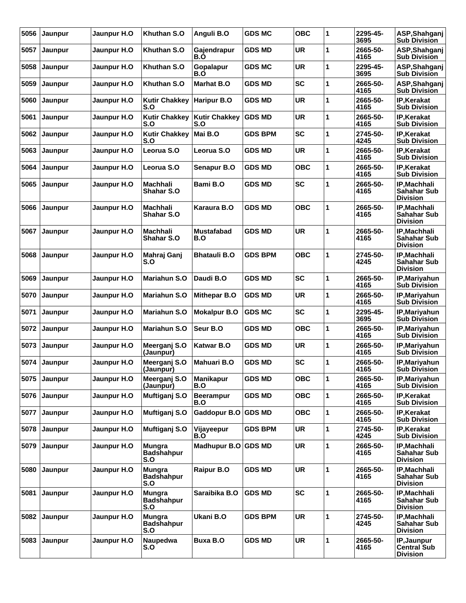| 5056 | Jaunpur | Jaunpur H.O | Khuthan S.O                               | Anguli B.O                  | <b>GDS MC</b>  | <b>OBC</b> | 1 | 2295-45-<br>3695 | ASP, Shahganj<br><b>Sub Division</b>                  |
|------|---------|-------------|-------------------------------------------|-----------------------------|----------------|------------|---|------------------|-------------------------------------------------------|
| 5057 | Jaunpur | Jaunpur H.O | Khuthan S.O                               | Gajendrapur<br>B.O          | <b>GDS MD</b>  | <b>UR</b>  | 1 | 2665-50-<br>4165 | ASP, Shahganj<br><b>Sub Division</b>                  |
| 5058 | Jaunpur | Jaunpur H.O | Khuthan S.O                               | Gopalapur<br>B.O            | <b>GDS MC</b>  | <b>UR</b>  | 1 | 2295-45-<br>3695 | ASP, Shahganj<br><b>Sub Division</b>                  |
| 5059 | Jaunpur | Jaunpur H.O | Khuthan S.O                               | <b>Marhat B.O</b>           | <b>GDS MD</b>  | <b>SC</b>  | 1 | 2665-50-<br>4165 | ASP, Shahganj<br><b>Sub Division</b>                  |
| 5060 | Jaunpur | Jaunpur H.O | <b>Kutir Chakkey</b><br>S.O               | <b>Haripur B.O</b>          | <b>GDS MD</b>  | <b>UR</b>  | 1 | 2665-50-<br>4165 | IP, Kerakat<br><b>Sub Division</b>                    |
| 5061 | Jaunpur | Jaunpur H.O | <b>Kutir Chakkey</b><br>S.O               | <b>Kutir Chakkey</b><br>S.O | <b>GDS MD</b>  | <b>UR</b>  | 1 | 2665-50-<br>4165 | IP, Kerakat<br><b>Sub Division</b>                    |
| 5062 | Jaunpur | Jaunpur H.O | <b>Kutir Chakkey</b><br>S.O               | Mai B.O                     | <b>GDS BPM</b> | <b>SC</b>  | 1 | 2745-50-<br>4245 | <b>IP, Kerakat</b><br><b>Sub Division</b>             |
| 5063 | Jaunpur | Jaunpur H.O | Leorua S.O                                | Leorua S.O                  | <b>GDS MD</b>  | <b>UR</b>  | 1 | 2665-50-<br>4165 | IP, Kerakat<br><b>Sub Division</b>                    |
| 5064 | Jaunpur | Jaunpur H.O | Leorua S.O                                | Senapur B.O                 | <b>GDS MD</b>  | OBC        | 1 | 2665-50-<br>4165 | IP, Kerakat<br><b>Sub Division</b>                    |
| 5065 | Jaunpur | Jaunpur H.O | Machhali<br><b>Shahar S.O</b>             | Bami B.O                    | <b>GDS MD</b>  | <b>SC</b>  | 1 | 2665-50-<br>4165 | IP, Machhali<br><b>Sahahar Sub</b><br><b>Division</b> |
| 5066 | Jaunpur | Jaunpur H.O | <b>Machhali</b><br><b>Shahar S.O</b>      | Karaura B.O                 | <b>GDS MD</b>  | <b>OBC</b> | 1 | 2665-50-<br>4165 | IP, Machhali<br><b>Sahahar Sub</b><br><b>Division</b> |
| 5067 | Jaunpur | Jaunpur H.O | Machhali<br>Shahar S.O                    | Mustafabad<br>B.O           | <b>GDS MD</b>  | <b>UR</b>  | 1 | 2665-50-<br>4165 | IP, Machhali<br>Sahahar Sub<br><b>Division</b>        |
| 5068 | Jaunpur | Jaunpur H.O | Mahraj Ganj<br>S.O                        | <b>Bhatauli B.O</b>         | <b>GDS BPM</b> | <b>OBC</b> | 1 | 2745-50-<br>4245 | IP, Machhali<br><b>Sahahar Sub</b><br><b>Division</b> |
| 5069 | Jaunpur | Jaunpur H.O | <b>Mariahun S.O</b>                       | Daudi B.O                   | <b>GDS MD</b>  | <b>SC</b>  | 1 | 2665-50-<br>4165 | IP, Mariyahun<br><b>Sub Division</b>                  |
| 5070 | Jaunpur | Jaunpur H.O | <b>Mariahun S.O</b>                       | <b>Mithepar B.O</b>         | <b>GDS MD</b>  | <b>UR</b>  | 1 | 2665-50-<br>4165 | IP, Mariyahun<br><b>Sub Division</b>                  |
| 5071 | Jaunpur | Jaunpur H.O | Mariahun S.O                              | <b>Mokalpur B.O</b>         | <b>GDS MC</b>  | <b>SC</b>  | 1 | 2295-45-<br>3695 | IP, Mariyahun<br><b>Sub Division</b>                  |
| 5072 | Jaunpur | Jaunpur H.O | <b>Mariahun S.O</b>                       | Seur B.O                    | <b>GDS MD</b>  | <b>OBC</b> | 1 | 2665-50-<br>4165 | IP, Mariyahun<br><b>Sub Division</b>                  |
| 5073 | Jaunpur | Jaunpur H.O | Meerganj S.O<br>(Jaunpur)                 | <b>Katwar B.O</b>           | <b>GDS MD</b>  | <b>UR</b>  | 1 | 2665-50-<br>4165 | IP, Mariyahun<br><b>Sub Division</b>                  |
| 5074 | Jaunpur | Jaunpur H.O | Meerganj S.O<br>(Jaunpur)                 | <b>Mahuari B.O</b>          | <b>GDS MD</b>  | <b>SC</b>  | 1 | 2665-50-<br>4165 | IP, Mariyahun<br><b>Sub Division</b>                  |
| 5075 | Jaunpur | Jaunpur H.O | Meerganj S.O<br>(Jaunpur)                 | <b>Manikapur</b><br>B.O     | <b>GDS MD</b>  | <b>OBC</b> | 1 | 2665-50-<br>4165 | IP, Mariyahun<br><b>Sub Division</b>                  |
| 5076 | Jaunpur | Jaunpur H.O | Muftiganj S.O                             | <b>Beerampur</b><br>B.O     | <b>GDS MD</b>  | <b>OBC</b> | 1 | 2665-50-<br>4165 | IP, Kerakat<br><b>Sub Division</b>                    |
| 5077 | Jaunpur | Jaunpur H.O | Muftiganj S.O                             | Gaddopur B.O                | <b>GDS MD</b>  | <b>OBC</b> | 1 | 2665-50-<br>4165 | IP, Kerakat<br><b>Sub Division</b>                    |
| 5078 | Jaunpur | Jaunpur H.O | Muftiganj S.O                             | Vijayeepur<br>B.O           | <b>GDS BPM</b> | <b>UR</b>  | 1 | 2745-50-<br>4245 | IP, Kerakat<br><b>Sub Division</b>                    |
| 5079 | Jaunpur | Jaunpur H.O | <b>Mungra</b><br><b>Badshahpur</b><br>S.O | Madhupur B.O GDS MD         |                | <b>UR</b>  | 1 | 2665-50-<br>4165 | IP, Machhali<br><b>Sahahar Sub</b><br><b>Division</b> |
| 5080 | Jaunpur | Jaunpur H.O | <b>Mungra</b><br><b>Badshahpur</b><br>S.O | <b>Raipur B.O</b>           | <b>GDS MD</b>  | <b>UR</b>  | 1 | 2665-50-<br>4165 | IP, Machhali<br><b>Sahahar Sub</b><br><b>Division</b> |
| 5081 | Jaunpur | Jaunpur H.O | <b>Mungra</b><br><b>Badshahpur</b><br>S.O | Saraibika B.O               | <b>GDS MD</b>  | <b>SC</b>  | 1 | 2665-50-<br>4165 | IP, Machhali<br><b>Sahahar Sub</b><br><b>Division</b> |
| 5082 | Jaunpur | Jaunpur H.O | <b>Mungra</b><br><b>Badshahpur</b><br>S.O | Ukani B.O                   | <b>GDS BPM</b> | <b>UR</b>  | 1 | 2745-50-<br>4245 | IP, Machhali<br><b>Sahahar Sub</b><br><b>Division</b> |
| 5083 | Jaunpur | Jaunpur H.O | Naupedwa<br>S.O                           | Buxa B.O                    | <b>GDS MD</b>  | <b>UR</b>  | 1 | 2665-50-<br>4165 | IP, Jaunpur<br><b>Central Sub</b><br><b>Division</b>  |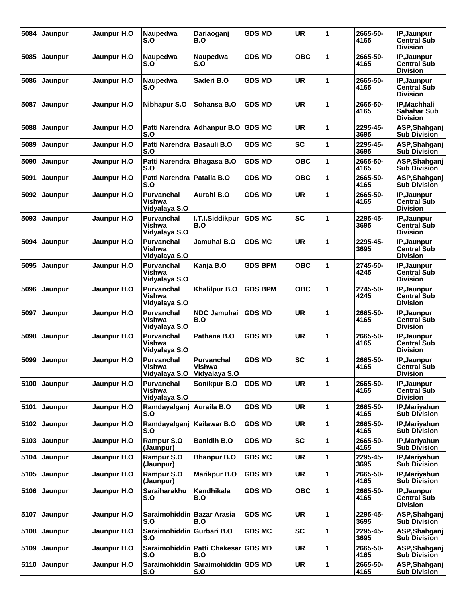| 5084 | Jaunpur        | Jaunpur H.O | Naupedwa<br>S.O                                     | Dariaoganj<br>B.O                         | <b>GDS MD</b>  | <b>UR</b>  | 1 | 2665-50-<br>4165 | IP, Jaunpur<br><b>Central Sub</b><br><b>Division</b> |
|------|----------------|-------------|-----------------------------------------------------|-------------------------------------------|----------------|------------|---|------------------|------------------------------------------------------|
| 5085 | Jaunpur        | Jaunpur H.O | Naupedwa<br>S.O                                     | Naupedwa<br>S.O                           | <b>GDS MD</b>  | OBC        | 1 | 2665-50-<br>4165 | IP, Jaunpur<br><b>Central Sub</b><br><b>Division</b> |
| 5086 | Jaunpur        | Jaunpur H.O | Naupedwa<br>S.O                                     | Saderi B.O                                | <b>GDS MD</b>  | <b>UR</b>  | 1 | 2665-50-<br>4165 | IP, Jaunpur<br><b>Central Sub</b><br><b>Division</b> |
| 5087 | Jaunpur        | Jaunpur H.O | Nibhapur S.O                                        | Sohansa B.O                               | <b>GDS MD</b>  | <b>UR</b>  | 1 | 2665-50-<br>4165 | IP, Machhali<br>Sahahar Sub<br><b>Division</b>       |
| 5088 | Jaunpur        | Jaunpur H.O | S.O                                                 | Patti Narendra Adhanpur B.O               | <b>GDS MC</b>  | <b>UR</b>  | 1 | 2295-45-<br>3695 | ASP, Shahganj<br><b>Sub Division</b>                 |
| 5089 | Jaunpur        | Jaunpur H.O | Patti Narendra Basauli B.O<br>S.O                   |                                           | <b>GDS MC</b>  | <b>SC</b>  | 1 | 2295-45-<br>3695 | ASP, Shahganj<br><b>Sub Division</b>                 |
| 5090 | Jaunpur        | Jaunpur H.O | Patti Narendra Bhagasa B.O<br>S.O                   |                                           | <b>GDS MD</b>  | <b>OBC</b> | 1 | 2665-50-<br>4165 | ASP, Shahganj<br><b>Sub Division</b>                 |
| 5091 | Jaunpur        | Jaunpur H.O | Patti Narendra   Pataila B.O<br>S.O                 |                                           | <b>GDS MD</b>  | овс        | 1 | 2665-50-<br>4165 | ASP, Shahganj<br><b>Sub Division</b>                 |
| 5092 | Jaunpur        | Jaunpur H.O | <b>Purvanchal</b><br><b>Vishwa</b><br>Vidyalaya S.O | Aurahi B.O                                | <b>GDS MD</b>  | <b>UR</b>  | 1 | 2665-50-<br>4165 | IP, Jaunpur<br><b>Central Sub</b><br><b>Division</b> |
| 5093 | Jaunpur        | Jaunpur H.O | <b>Purvanchal</b><br><b>Vishwa</b><br>Vidyalaya S.O | I.T.I.Siddikpur<br>B.O                    | <b>GDS MC</b>  | <b>SC</b>  | 1 | 2295-45-<br>3695 | IP, Jaunpur<br><b>Central Sub</b><br><b>Division</b> |
| 5094 | Jaunpur        | Jaunpur H.O | Purvanchal<br>Vishwa<br>Vidyalaya S.O               | Jamuhai B.O                               | <b>GDS MC</b>  | <b>UR</b>  | 1 | 2295-45-<br>3695 | IP, Jaunpur<br><b>Central Sub</b><br><b>Division</b> |
| 5095 | Jaunpur        | Jaunpur H.O | <b>Purvanchal</b><br>Vishwa<br>Vidyalaya S.O        | Kanja B.O                                 | <b>GDS BPM</b> | <b>OBC</b> | 1 | 2745-50-<br>4245 | IP, Jaunpur<br><b>Central Sub</b><br><b>Division</b> |
| 5096 | Jaunpur        | Jaunpur H.O | <b>Purvanchal</b><br>Vishwa<br>Vidyalaya S.O        | <b>Khalilpur B.O</b>                      | <b>GDS BPM</b> | <b>OBC</b> | 1 | 2745-50-<br>4245 | IP, Jaunpur<br><b>Central Sub</b><br><b>Division</b> |
| 5097 | Jaunpur        | Jaunpur H.O | <b>Purvanchal</b><br>Vishwa<br>Vidyalaya S.O        | <b>NDC Jamuhai</b><br>B.O                 | <b>GDS MD</b>  | <b>UR</b>  | 1 | 2665-50-<br>4165 | IP, Jaunpur<br><b>Central Sub</b><br><b>Division</b> |
| 5098 | Jaunpur        | Jaunpur H.O | <b>Purvanchal</b><br>Vishwa<br>Vidyalaya S.O        | Pathana B.O                               | <b>GDS MD</b>  | <b>UR</b>  | 1 | 2665-50-<br>4165 | IP, Jaunpur<br><b>Central Sub</b><br><b>Division</b> |
| 5099 | Jaunpur        | Jaunpur H.O | Purvanchal<br><b>Vishwa</b><br>Vidyalaya S.O        | Purvanchal<br>Vishwa<br>Vidyalaya S.O     | <b>GDS MD</b>  | <b>SC</b>  | 1 | 2665-50-<br>4165 | IP, Jaunpur<br><b>Central Sub</b><br><b>Division</b> |
| 5100 | Jaunpur        | Jaunpur H.O | Purvanchal<br>Vishwa<br>Vidyalaya S.O               | Sonikpur B.O                              | <b>GDS MD</b>  | <b>UR</b>  | 1 | 2665-50-<br>4165 | IP, Jaunpur<br><b>Central Sub</b><br><b>Division</b> |
| 5101 | Jaunpur        | Jaunpur H.O | Ramdayalganj<br>S.O                                 | Auraila B.O                               | <b>GDS MD</b>  | UR         | 1 | 2665-50-<br>4165 | IP, Mariyahun<br><b>Sub Division</b>                 |
| 5102 | Jaunpur        | Jaunpur H.O | Ramdayalganj<br>S.O                                 | Kailawar B.O                              | <b>GDS MD</b>  | <b>UR</b>  | 1 | 2665-50-<br>4165 | IP, Mariyahun<br><b>Sub Division</b>                 |
| 5103 | Jaunpur        | Jaunpur H.O | Rampur S.O<br>(Jaunpur)                             | <b>Banidih B.O</b>                        | <b>GDS MD</b>  | <b>SC</b>  | 1 | 2665-50-<br>4165 | IP, Mariyahun<br><b>Sub Division</b>                 |
| 5104 | Jaunpur        | Jaunpur H.O | Rampur S.O<br>(Jaunpur)                             | <b>Bhanpur B.O</b>                        | <b>GDS MC</b>  | UR         | 1 | 2295-45-<br>3695 | IP, Mariyahun<br><b>Sub Division</b>                 |
| 5105 | Jaunpur        | Jaunpur H.O | Rampur S.O<br>(Jaunpur)                             | <b>Marikpur B.O</b>                       | <b>GDS MD</b>  | <b>UR</b>  | 1 | 2665-50-<br>4165 | IP, Mariyahun<br><b>Sub Division</b>                 |
| 5106 | Jaunpur        | Jaunpur H.O | Saraiharakhu<br>S.O                                 | Kandhikala<br>B.O                         | <b>GDS MD</b>  | <b>OBC</b> | 1 | 2665-50-<br>4165 | IP, Jaunpur<br><b>Central Sub</b><br><b>Division</b> |
| 5107 | Jaunpur        | Jaunpur H.O | Saraimohiddin Bazar Arasia<br>S.O                   | B.O                                       | <b>GDS MC</b>  | <b>UR</b>  | 1 | 2295-45-<br>3695 | ASP, Shahganj<br><b>Sub Division</b>                 |
| 5108 | Jaunpur        | Jaunpur H.O | Saraimohiddin Gurbari B.O<br>S.O                    |                                           | <b>GDS MC</b>  | <b>SC</b>  | 1 | 2295-45-<br>3695 | ASP, Shahganj<br><b>Sub Division</b>                 |
| 5109 | Jaunpur        | Jaunpur H.O | S.O                                                 | Saraimohiddin Patti Chakesar<br>B.O       | <b>GDS MD</b>  | <b>UR</b>  | 1 | 2665-50-<br>4165 | ASP, Shahganj<br><b>Sub Division</b>                 |
| 5110 | <b>Jaunpur</b> | Jaunpur H.O | S.O                                                 | Saraimohiddin Saraimohiddin GDS MD<br>S.O |                | <b>UR</b>  | 1 | 2665-50-<br>4165 | ASP, Shahganj<br><b>Sub Division</b>                 |
|      |                |             |                                                     |                                           |                |            |   |                  |                                                      |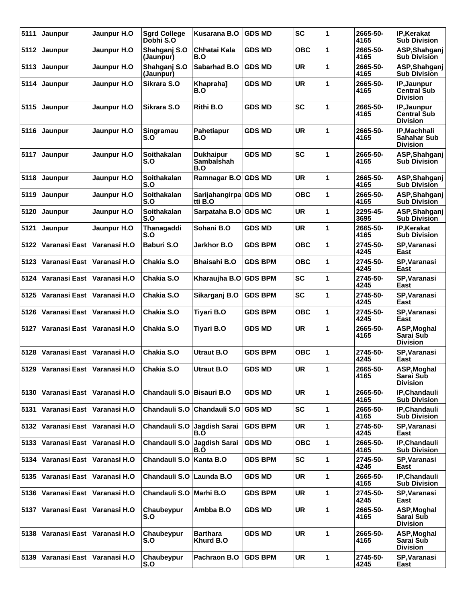| 5111 | Jaunpur                         | Jaunpur H.O  | <b>Sard College</b><br>Dobhi S.O | Kusarana B.O                          | <b>GDS MD</b>  | <b>SC</b>  | 1 | 2665-50-<br>4165 | <b>IP, Kerakat</b><br><b>Sub Division</b>             |
|------|---------------------------------|--------------|----------------------------------|---------------------------------------|----------------|------------|---|------------------|-------------------------------------------------------|
| 5112 | Jaunpur                         | Jaunpur H.O  | Shahganj S.O<br>(Jaunpur)        | Chhatai Kala<br>B.O                   | <b>GDS MD</b>  | <b>OBC</b> | 1 | 2665-50-<br>4165 | ASP, Shahganj<br><b>Sub Division</b>                  |
| 5113 | Jaunpur                         | Jaunpur H.O  | Shahganj S.O<br>(Jaunpur)        | Sabarhad B.O                          | <b>GDS MD</b>  | <b>UR</b>  | 1 | 2665-50-<br>4165 | ASP, Shahganj<br><b>Sub Division</b>                  |
| 5114 | Jaunpur                         | Jaunpur H.O  | Sikrara S.O                      | Khapraha]<br>B.O                      | GDS MD         | <b>UR</b>  | 1 | 2665-50-<br>4165 | IP, Jaunpur<br>Central Sub<br><b>Division</b>         |
| 5115 | Jaunpur                         | Jaunpur H.O  | Sikrara S.O                      | Rithi B.O                             | <b>GDS MD</b>  | <b>SC</b>  | 1 | 2665-50-<br>4165 | IP, Jaunpur<br><b>Central Sub</b><br><b>Division</b>  |
| 5116 | Jaunpur                         | Jaunpur H.O  | Singramau<br>S.O                 | Pahetiapur<br>B.O                     | <b>GDS MD</b>  | <b>UR</b>  | 1 | 2665-50-<br>4165 | IP, Machhali<br><b>Sahahar Sub</b><br><b>Division</b> |
| 5117 | Jaunpur                         | Jaunpur H.O  | Soithakalan<br>S.O               | <b>Dukhaipur</b><br>Sambalshah<br>B.O | <b>GDS MD</b>  | <b>SC</b>  | 1 | 2665-50-<br>4165 | ASP, Shahganj<br><b>Sub Division</b>                  |
| 5118 | Jaunpur                         | Jaunpur H.O  | <b>Soithakalan</b><br>S.O        | Ramnagar B.O GDS MD                   |                | <b>UR</b>  | 1 | 2665-50-<br>4165 | ASP, Shahganj<br><b>Sub Division</b>                  |
| 5119 | Jaunpur                         | Jaunpur H.O  | Soithakalan<br>S.O               | Sarijahangirpa GDS MD<br>tti B.O      |                | <b>OBC</b> | 1 | 2665-50-<br>4165 | ASP, Shahganj<br><b>Sub Division</b>                  |
| 5120 | Jaunpur                         | Jaunpur H.O  | <b>Soithakalan</b><br>S.O        | Sarpataha B.O GDS MC                  |                | <b>UR</b>  | 1 | 2295-45-<br>3695 | ASP, Shahganj<br><b>Sub Division</b>                  |
| 5121 | Jaunpur                         | Jaunpur H.O  | Thanagaddi<br>S.O                | Sohani B.O                            | <b>GDS MD</b>  | <b>UR</b>  | 1 | 2665-50-<br>4165 | IP, Kerakat<br><b>Sub Division</b>                    |
| 5122 | Varanasi East                   | Varanasi H.O | <b>Baburi S.O</b>                | Jarkhor B.O                           | <b>GDS BPM</b> | <b>OBC</b> | 1 | 2745-50-<br>4245 | <b>SP, Varanasi</b><br>East                           |
| 5123 | Varanasi East                   | Varanasi H.O | Chakia S.O                       | <b>Bhaisahi B.O</b>                   | <b>GDS BPM</b> | <b>OBC</b> | 1 | 2745-50-<br>4245 | SP, Varanasi<br>East                                  |
| 5124 | Varanasi East                   | Varanasi H.O | Chakia S.O                       | Kharaujha B.O GDS BPM                 |                | <b>SC</b>  | 1 | 2745-50-<br>4245 | SP, Varanasi<br>East                                  |
| 5125 | Varanasi East                   | Varanasi H.O | Chakia S.O                       | Sikarganj B.O                         | <b>GDS BPM</b> | <b>SC</b>  | 1 | 2745-50-<br>4245 | SP, Varanasi<br>East                                  |
| 5126 | Varanasi East                   | Varanasi H.O | Chakia S.O                       | Tiyari B.O                            | <b>GDS BPM</b> | <b>OBC</b> | 1 | 2745-50-<br>4245 | SP, Varanasi<br>East                                  |
| 5127 | Varanasi East                   | Varanasi H.O | Chakia S.O                       | Tiyari B.O                            | <b>GDS MD</b>  | <b>UR</b>  | 1 | 2665-50-<br>4165 | ASP, Moghal<br>Sarai Sub<br><b>Division</b>           |
| 5128 | Varanasi East                   | Varanasi H.O | Chakia S.O                       | Utraut B.O                            | <b>GDS BPM</b> | <b>OBC</b> | 1 | 2745-50-<br>4245 | SP, Varanasi<br>East                                  |
|      | 5129 Varanasi East Varanasi H.O |              | Chakia S.O                       | <b>Utraut B.O</b>                     | <b>GDS MD</b>  | UR         | 1 | 2665-50-<br>4165 | ASP, Moghal<br>Sarai Sub<br><b>Division</b>           |
| 5130 | Varanasi East                   | Varanasi H.O | Chandauli S.O Bisauri B.O        |                                       | <b>GDS MD</b>  | <b>UR</b>  | 1 | 2665-50-<br>4165 | IP, Chandauli<br><b>Sub Division</b>                  |
| 5131 | Varanasi East                   | Varanasi H.O | Chandauli S.O                    | Chandauli S.O                         | <b>GDS MD</b>  | <b>SC</b>  | 1 | 2665-50-<br>4165 | IP, Chandauli<br><b>Sub Division</b>                  |
| 5132 | Varanasi East                   | Varanasi H.O | Chandauli S.O                    | ∣Jagdish Sarai<br>B.O                 | <b>GDS BPM</b> | UR.        | 1 | 2745-50-<br>4245 | SP, Varanasi<br>East                                  |
| 5133 | Varanasi East                   | Varanasi H.O | Chandauli S.O                    | Jagdish Sarai<br>B.O                  | <b>GDS MD</b>  | <b>OBC</b> | 1 | 2665-50-<br>4165 | IP, Chandauli<br><b>Sub Division</b>                  |
| 5134 | Varanasi East                   | Varanasi H.O | Chandauli S.O                    | Kanta B.O                             | <b>GDS BPM</b> | <b>SC</b>  | 1 | 2745-50-<br>4245 | SP, Varanasi<br>East                                  |
| 5135 | Varanasi East                   | Varanasi H.O | Chandauli S.O                    | Launda B.O                            | <b>GDS MD</b>  | UR.        | 1 | 2665-50-<br>4165 | IP, Chandauli<br><b>Sub Division</b>                  |
| 5136 | Varanasi East                   | Varanasi H.O | Chandauli S.O                    | Marhi B.O                             | <b>GDS BPM</b> | <b>UR</b>  | 1 | 2745-50-<br>4245 | SP, Varanasi<br>East                                  |
| 5137 | Varanasi East                   | Varanasi H.O | Chaubeypur<br>S.O                | Ambba B.O                             | <b>GDS MD</b>  | <b>UR</b>  | 1 | 2665-50-<br>4165 | ASP, Moghal<br>Sarai Sub<br><b>Division</b>           |
| 5138 | Varanasi East   Varanasi H.O    |              | Chaubeypur<br>S.O                | <b>Barthara</b><br>Khurd B.O          | <b>GDS MD</b>  | UR.        | 1 | 2665-50-<br>4165 | ASP, Moghal<br>Sarai Sub<br><b>Division</b>           |
| 5139 | Varanasi East                   | Varanasi H.O | Chaubeypur<br>S.O                | Pachraon B.O                          | <b>GDS BPM</b> | <b>UR</b>  | 1 | 2745-50-<br>4245 | SP, Varanasi<br>East                                  |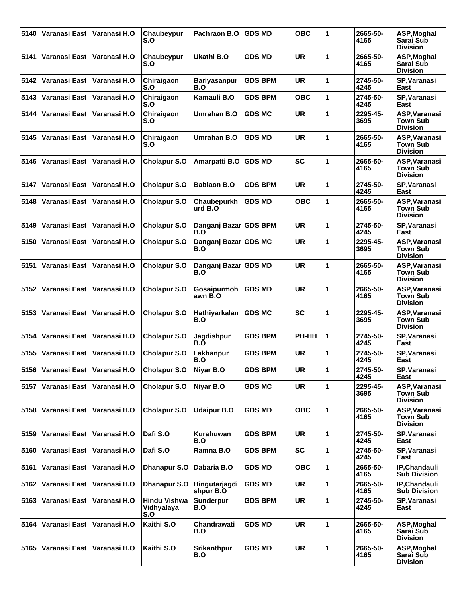| 5140 | Varanasi East                   | Varanasi H.O | Chaubeypur<br>S.O                        | Pachraon B.O                 | <b>GDS MD</b>  | <b>OBC</b> | 1            | 2665-50-<br>4165 | ASP, Moghal<br>Sarai Sub<br><b>Division</b>         |
|------|---------------------------------|--------------|------------------------------------------|------------------------------|----------------|------------|--------------|------------------|-----------------------------------------------------|
| 5141 | Varanasi East                   | Varanasi H.O | Chaubeypur<br>S.O                        | Ukathi B.O                   | <b>GDS MD</b>  | <b>UR</b>  | 1            | 2665-50-<br>4165 | ASP, Moghal<br>Sarai Sub<br><b>Division</b>         |
| 5142 | Varanasi East                   | Varanasi H.O | Chiraigaon<br>S.O                        | <b>Bariyasanpur</b><br>B.O   | <b>GDS BPM</b> | <b>UR</b>  | 1            | 2745-50-<br>4245 | SP, Varanasi<br>East                                |
| 5143 | Varanasi East                   | Varanasi H.O | Chiraigaon<br>S.O                        | Kamauli B.O                  | <b>GDS BPM</b> | овс        | 1            | 2745-50-<br>4245 | SP, Varanasi<br>East                                |
| 5144 | Varanasi East                   | Varanasi H.O | Chiraigaon<br>S.O                        | Umrahan B.O                  | <b>GDS MC</b>  | <b>UR</b>  | 1            | 2295-45-<br>3695 | ASP, Varanasi<br>Town Sub<br><b>Division</b>        |
| 5145 | Varanasi East                   | Varanasi H.O | Chiraigaon<br>S.O                        | Umrahan B.O                  | <b>GDS MD</b>  | <b>UR</b>  | 1            | 2665-50-<br>4165 | ASP, Varanasi<br>Town Sub<br><b>Division</b>        |
| 5146 | Varanasi East                   | Varanasi H.O | <b>Cholapur S.O</b>                      | Amarpatti B.O                | <b>IGDS MD</b> | <b>SC</b>  | 1            | 2665-50-<br>4165 | ASP, Varanasi<br>Town Sub<br><b>Division</b>        |
| 5147 | Varanasi East                   | Varanasi H.O | <b>Cholapur S.O</b>                      | <b>Babiaon B.O</b>           | <b>GDS BPM</b> | <b>UR</b>  | 1            | 2745-50-<br>4245 | SP, Varanasi<br>East                                |
| 5148 | Varanasi East                   | Varanasi H.O | <b>Cholapur S.O</b>                      | Chaubepurkh<br>urd B.O       | <b>GDS MD</b>  | <b>OBC</b> | 1            | 2665-50-<br>4165 | ASP, Varanasi<br><b>Town Sub</b><br><b>Division</b> |
| 5149 | Varanasi East                   | Varanasi H.O | <b>Cholapur S.O</b>                      | Danganj Bazar GDS BPM<br>B.O |                | UR         | 1            | 2745-50-<br>4245 | SP, Varanasi<br>East                                |
| 5150 | Varanasi East                   | Varanasi H.O | <b>Cholapur S.O</b>                      | Danganj Bazar GDS MC<br>B.O  |                | <b>UR</b>  | 1            | 2295-45-<br>3695 | ASP, Varanasi<br>Town Sub<br><b>Division</b>        |
| 5151 | Varanasi East                   | Varanasi H.O | <b>Cholapur S.O</b>                      | Danganj Bazar GDS MD<br>B.O  |                | <b>UR</b>  | 1            | 2665-50-<br>4165 | ASP, Varanasi<br><b>Town Sub</b><br><b>Division</b> |
| 5152 | Varanasi East                   | Varanasi H.O | <b>Cholapur S.O</b>                      | Gosaipurmoh<br>awn B.O       | <b>IGDS MD</b> | UR         | 1            | 2665-50-<br>4165 | ASP, Varanasi<br>Town Sub<br><b>Division</b>        |
| 5153 | <b>Varanasi East</b>            | Varanasi H.O | <b>Cholapur S.O</b>                      | Hathiyarkalan<br>B.O         | <b>GDS MC</b>  | <b>SC</b>  | 1            | 2295-45-<br>3695 | ASP, Varanasi<br>Town Sub<br><b>Division</b>        |
| 5154 | Varanasi East                   | Varanasi H.O | <b>Cholapur S.O</b>                      | Jagdishpur<br>B.O            | <b>GDS BPM</b> | PH-HH      | 1            | 2745-50-<br>4245 | SP, Varanasi<br>East                                |
| 5155 | Varanasi East                   | Varanasi H.O | <b>Cholapur S.O</b>                      | Lakhanpur<br>B.O             | <b>GDS BPM</b> | UR         | 1            | 2745-50-<br>4245 | SP, Varanasi<br>East                                |
|      | 5156 Varanasi East Varanasi H.O |              | <b>Cholapur S.O</b>                      | Niyar B.O                    | <b>GDS BPM</b> | <b>UR</b>  | 1            | 2745-50-<br>4245 | SP, Varanasi<br>East                                |
| 5157 | Varanasi East                   | Varanasi H.O | <b>Cholapur S.O</b>                      | Niyar B.O                    | <b>GDS MC</b>  | <b>UR</b>  | 1            | 2295-45-<br>3695 | ASP, Varanasi<br><b>Town Sub</b><br><b>Division</b> |
| 5158 | Varanasi East                   | Varanasi H.O | <b>Cholapur S.O</b>                      | <b>Udaipur B.O</b>           | <b>GDS MD</b>  | <b>OBC</b> | 1            | 2665-50-<br>4165 | ASP, Varanasi<br>Town Sub<br><b>Division</b>        |
| 5159 | Varanasi East                   | Varanasi H.O | Dafi S.O                                 | Kurahuwan<br>B.O             | <b>GDS BPM</b> | <b>UR</b>  | 1            | 2745-50-<br>4245 | SP, Varanasi<br>East                                |
| 5160 | Varanasi East                   | Varanasi H.O | Dafi S.O                                 | Ramna B.O                    | <b>GDS BPM</b> | <b>SC</b>  | $\mathbf{1}$ | 2745-50-<br>4245 | SP, Varanasi<br>East                                |
| 5161 | Varanasi East                   | Varanasi H.O | <b>Dhanapur S.O</b>                      | Dabaria B.O                  | <b>GDS MD</b>  | <b>OBC</b> | 1            | 2665-50-<br>4165 | IP, Chandauli<br><b>Sub Division</b>                |
| 5162 | Varanasi East                   | Varanasi H.O | Dhanapur S.O                             | Hingutarjagdi<br>shpur B.O   | <b>GDS MD</b>  | <b>UR</b>  | $\mathbf{1}$ | 2665-50-<br>4165 | IP, Chandauli<br><b>Sub Division</b>                |
| 5163 | Varanasi East                   | Varanasi H.O | <b>Hindu Vishwa</b><br>Vidhyalaya<br>S.O | Sunderpur<br>B.O             | <b>GDS BPM</b> | <b>UR</b>  | 1            | 2745-50-<br>4245 | SP, Varanasi<br>East                                |
| 5164 | Varanasi East                   | Varanasi H.O | Kaithi S.O                               | Chandrawati<br>B.O           | <b>GDS MD</b>  | <b>UR</b>  | 1            | 2665-50-<br>4165 | ASP, Moghal<br>Sarai Sub<br><b>Division</b>         |
| 5165 | Varanasi East                   | Varanasi H.O | Kaithi S.O                               | <b>Srikanthpur</b><br>B.O    | <b>GDS MD</b>  | <b>UR</b>  | 1            | 2665-50-<br>4165 | ASP, Moghal<br>Sarai Sub<br><b>Division</b>         |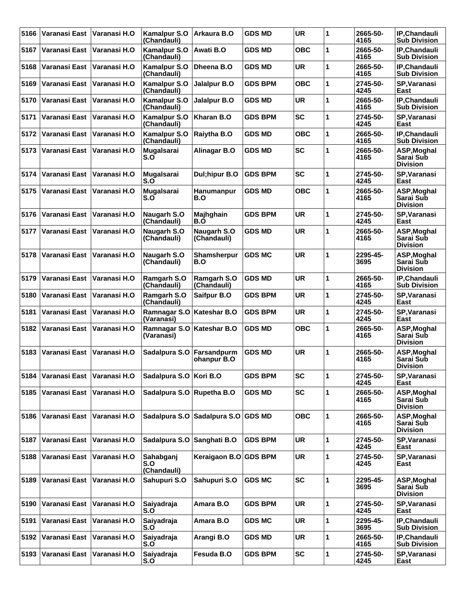| 5166 | Varanasi East              | Varanasi H.O | <b>Kamalpur S.O</b><br>(Chandauli) | Arkaura B.O                        | <b>GDS MD</b>  | <b>UR</b>  | 1 | 2665-50-<br>4165 | IP, Chandauli<br><b>Sub Division</b>        |
|------|----------------------------|--------------|------------------------------------|------------------------------------|----------------|------------|---|------------------|---------------------------------------------|
| 5167 | Varanasi East              | Varanasi H.O | Kamalpur S.O<br>(Chandauli)        | Awati B.O                          | <b>GDS MD</b>  | <b>OBC</b> | 1 | 2665-50-<br>4165 | IP, Chandauli<br><b>Sub Division</b>        |
| 5168 | Varanasi East              | Varanasi H.O | Kamalpur S.O<br>(Chandauli)        | Dheena B.O                         | <b>GDS MD</b>  | <b>UR</b>  | 1 | 2665-50-<br>4165 | IP, Chandauli<br><b>Sub Division</b>        |
| 5169 | Varanasi East              | Varanasi H.O | <b>Kamalpur S.O</b><br>(Chandauli) | Jalalpur B.O                       | <b>GDS BPM</b> | ОВС        | 1 | 2745-50-<br>4245 | SP, Varanasi<br>East                        |
| 5170 | Varanasi East              | Varanasi H.O | Kamalpur S.O<br>(Chandauli)        | Jalalpur B.O                       | <b>GDS MD</b>  | <b>UR</b>  | 1 | 2665-50-<br>4165 | IP, Chandauli<br><b>Sub Division</b>        |
| 5171 | Varanasi East              | Varanasi H.O | Kamalpur S.O<br>(Chandauli)        | Kharan B.O                         | <b>GDS BPM</b> | <b>SC</b>  | 1 | 2745-50-<br>4245 | SP, Varanasi<br>East                        |
| 5172 | Varanasi East              | Varanasi H.O | <b>Kamalpur S.O</b><br>(Chandauli) | Raiytha B.O                        | <b>GDS MD</b>  | <b>OBC</b> | 1 | 2665-50-<br>4165 | IP, Chandauli<br><b>Sub Division</b>        |
| 5173 | Varanasi East              | Varanasi H.O | Mugalsarai<br>S.O                  | <b>Alinagar B.O</b>                | <b>GDS MD</b>  | <b>SC</b>  | 1 | 2665-50-<br>4165 | ASP, Moghal<br>Sarai Sub<br><b>Division</b> |
| 5174 | Varanasi East              | Varanasi H.O | Mugalsarai<br>S.O                  | Dul;hipur B.O                      | <b>GDS BPM</b> | <b>SC</b>  | 1 | 2745-50-<br>4245 | SP, Varanasi<br>East                        |
| 5175 | Varanasi East              | Varanasi H.O | Mugalsarai<br>S.O                  | Hanumanpur<br>B.O                  | <b>GDS MD</b>  | <b>OBC</b> | 1 | 2665-50-<br>4165 | ASP, Moghal<br>Sarai Sub<br><b>Division</b> |
| 5176 | Varanasi East              | Varanasi H.O | Naugarh S.O<br>(Chandauli)         | Majhghain<br>B.O                   | <b>GDS BPM</b> | <b>UR</b>  | 1 | 2745-50-<br>4245 | SP, Varanasi<br>East                        |
| 5177 | Varanasi East              | Varanasi H.O | Naugarh S.O<br>(Chandauli)         | Naugarh S.O<br>(Chandauli)         | <b>GDS MD</b>  | <b>UR</b>  | 1 | 2665-50-<br>4165 | ASP, Moghal<br>Sarai Sub<br><b>Division</b> |
| 5178 | Varanasi East              | Varanasi H.O | Naugarh S.O<br>(Chandauli)         | Shamsherpur<br>B.O                 | <b>GDS MC</b>  | <b>UR</b>  | 1 | 2295-45-<br>3695 | ASP, Moghal<br>Sarai Sub<br><b>Division</b> |
| 5179 | Varanasi East              | Varanasi H.O | Ramgarh S.O<br>(Chandauli)         | Ramgarh S.O<br>(Chandauli)         | <b>GDS MD</b>  | <b>UR</b>  | 1 | 2665-50-<br>4165 | IP, Chandauli<br><b>Sub Division</b>        |
| 5180 | Varanasi East              | Varanasi H.O | Ramgarh S.O<br>(Chandauli)         | Saifpur B.O                        | <b>GDS BPM</b> | <b>UR</b>  | 1 | 2745-50-<br>4245 | SP, Varanasi<br>East                        |
| 5181 | Varanasi East              | Varanasi H.O | Ramnagar S.O<br>(Varanasi)         | <b>Kateshar B.O</b>                | <b>GDS BPM</b> | <b>UR</b>  | 1 | 2745-50-<br>4245 | SP, Varanasi<br>East                        |
| 5182 | Varanasi East              | Varanasi H.O | Ramnagar S.O<br>(Varanasi)         | <b>Kateshar B.O</b>                | <b>GDS MD</b>  | <b>OBC</b> | 1 | 2665-50-<br>4165 | ASP, Moghal<br>Sarai Sub<br><b>Division</b> |
| 5183 | Varanasi East              | Varanasi H.O | Sadalpura S.O                      | Farsandpurm<br>ohanpur B.O         | <b>GDS MD</b>  | <b>UR</b>  | 1 | 2665-50-<br>4165 | ASP, Moghal<br>Sarai Sub<br><b>Division</b> |
| 5184 | Varanasi East              | Varanasi H.O | Sadalpura S.O Kori B.O             |                                    | <b>GDS BPM</b> | <b>SC</b>  | 1 | 2745-50-<br>4245 | SP, Varanasi<br>East                        |
| 5185 | Varanasi East              | Varanasi H.O | Sadalpura S.O Rupetha B.O          |                                    | <b>GDS MD</b>  | <b>SC</b>  | 1 | 2665-50-<br>4165 | ASP, Moghal<br>Sarai Sub<br><b>Division</b> |
| 5186 | Varanasi East              | Varanasi H.O |                                    | Sadalpura S.O Sadalpura S.O GDS MD |                | <b>OBC</b> | 1 | 2665-50-<br>4165 | ASP, Moghal<br>Sarai Sub<br><b>Division</b> |
| 5187 | Varanasi East              | Varanasi H.O | Sadalpura S.O                      | Sanghati B.O                       | <b>GDS BPM</b> | UR         | 1 | 2745-50-<br>4245 | SP, Varanasi<br>East                        |
| 5188 | Varanasi East              | Varanasi H.O | Sahabganj<br>S.O<br>(Chandauli)    | Keraigaon B.O GDS BPM              |                | <b>UR</b>  | 1 | 2745-50-<br>4245 | SP, Varanasi<br>East                        |
| 5189 | Varanasi East              | Varanasi H.O | Sahupuri S.O                       | Sahupuri S.O                       | <b>GDS MC</b>  | <b>SC</b>  | 1 | 2295-45-<br>3695 | ASP, Moghal<br>Sarai Sub<br><b>Division</b> |
| 5190 | Varanasi East              | Varanasi H.O | Saiyadraja<br>S.O                  | Amara B.O                          | <b>GDS BPM</b> | UR         | 1 | 2745-50-<br>4245 | SP, Varanasi<br>East                        |
| 5191 | Varanasi East              | Varanasi H.O | Saiyadraja<br>S.O                  | Amara B.O                          | <b>GDS MC</b>  | <b>UR</b>  | 1 | 2295-45-<br>3695 | IP, Chandauli<br><b>Sub Division</b>        |
| 5192 | Varanasi East Varanasi H.O |              | Saiyadraja<br>S.O                  | Arangi B.O                         | <b>GDS MD</b>  | <b>UR</b>  | 1 | 2665-50-<br>4165 | IP, Chandauli<br><b>Sub Division</b>        |
| 5193 | Varanasi East              | Varanasi H.O | Saiyadraja<br>S.O                  | Fesuda B.O                         | <b>GDS BPM</b> | <b>SC</b>  | 1 | 2745-50-<br>4245 | SP, Varanasi<br>East                        |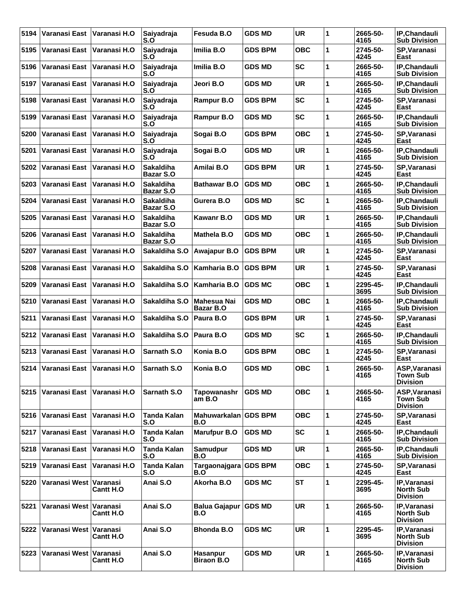| 5194 | Varanasi East              | Varanasi H.O     | Saiyadraja<br>S.O                    | Fesuda B.O                      | <b>GDS MD</b>  | <b>UR</b>  | 1           | 2665-50-<br>4165 | <b>IP.Chandauli</b><br><b>Sub Division</b>          |
|------|----------------------------|------------------|--------------------------------------|---------------------------------|----------------|------------|-------------|------------------|-----------------------------------------------------|
| 5195 | Varanasi East              | Varanasi H.O     | Saiyadraja<br>S.O                    | Imilia B.O                      | <b>GDS BPM</b> | <b>OBC</b> | 1           | 2745-50-<br>4245 | <b>SP.Varanasi</b><br>East                          |
| 5196 | Varanasi East              | Varanasi H.O     | Saiyadraja<br>S.O                    | Imilia B.O                      | <b>GDS MD</b>  | <b>SC</b>  | 1           | 2665-50-<br>4165 | IP, Chandauli<br><b>Sub Division</b>                |
| 5197 | Varanasi East              | Varanasi H.O     | Saiyadraja<br>S.O                    | Jeori B.O                       | <b>GDS MD</b>  | <b>UR</b>  | 1           | 2665-50-<br>4165 | IP, Chandauli<br><b>Sub Division</b>                |
| 5198 | Varanasi East              | Varanasi H.O     | Saiyadraja<br>S.O                    | Rampur B.O                      | <b>GDS BPM</b> | <b>SC</b>  | 1           | 2745-50-<br>4245 | SP, Varanasi<br>East                                |
| 5199 | Varanasi East              | Varanasi H.O     | Saiyadraja<br>S.O                    | <b>Rampur B.O</b>               | <b>GDS MD</b>  | <b>SC</b>  | 1           | 2665-50-<br>4165 | IP, Chandauli<br><b>Sub Division</b>                |
| 5200 | Varanasi East              | Varanasi H.O     | Saiyadraja<br>S.O                    | Sogai B.O                       | <b>GDS BPM</b> | <b>OBC</b> | 1           | 2745-50-<br>4245 | <b>SP.Varanasi</b><br>East                          |
| 5201 | Varanasi East              | Varanasi H.O     | Saiyadraja<br>S.O                    | Sogai B.O                       | <b>GDS MD</b>  | <b>UR</b>  | 1           | 2665-50-<br>4165 | <b>IP.Chandauli</b><br><b>Sub Division</b>          |
| 5202 | Varanasi East              | Varanasi H.O     | <b>Sakaldiha</b><br><b>Bazar S.O</b> | Amilai B.O                      | <b>GDS BPM</b> | <b>UR</b>  | 1           | 2745-50-<br>4245 | SP, Varanasi<br>East                                |
| 5203 | <b>Varanasi East</b>       | Varanasi H.O     | <b>Sakaldiha</b><br><b>Bazar S.O</b> | <b>Bathawar B.O</b>             | <b>GDS MD</b>  | ОВС        | 1           | 2665-50-<br>4165 | <b>IP.Chandauli</b><br><b>Sub Division</b>          |
| 5204 | Varanasi East              | Varanasi H.O     | <b>Sakaldiha</b><br><b>Bazar S.O</b> | Gurera B.O                      | <b>GDS MD</b>  | <b>SC</b>  | 1           | 2665-50-<br>4165 | <b>IP, Chandauli</b><br><b>Sub Division</b>         |
| 5205 | Varanasi East              | Varanasi H.O     | <b>Sakaldiha</b><br>Bazar S.O        | Kawanr B.O                      | <b>GDS MD</b>  | <b>UR</b>  | 1           | 2665-50-<br>4165 | IP, Chandauli<br><b>Sub Division</b>                |
| 5206 | Varanasi East              | Varanasi H.O     | Sakaldiha<br>Bazar S.O               | <b>Mathela B.O</b>              | <b>GDS MD</b>  | <b>OBC</b> | 1           | 2665-50-<br>4165 | <b>IP, Chandauli</b><br><b>Sub Division</b>         |
| 5207 | Varanasi East              | Varanasi H.O     | Sakaldiha S.O                        | Awajapur B.O                    | <b>GDS BPM</b> | <b>UR</b>  | 1           | 2745-50-<br>4245 | SP, Varanasi<br>East                                |
| 5208 | Varanasi East              | Varanasi H.O     | Sakaldiha S.O                        | Kamharia B.O                    | <b>GDS BPM</b> | <b>UR</b>  | 1           | 2745-50-<br>4245 | SP, Varanasi<br>East                                |
| 5209 | <b>Varanasi East</b>       | Varanasi H.O     | Sakaldiha S.O                        | Kamharia B.O                    | <b>GDS MC</b>  | <b>OBC</b> | 1           | 2295-45-<br>3695 | <b>IP, Chandauli</b><br><b>Sub Division</b>         |
| 5210 | Varanasi East              | Varanasi H.O     | Sakaldiha S.O                        | <b>Mahesua Nai</b><br>Bazar B.O | <b>GDS MD</b>  | <b>OBC</b> | 1           | 2665-50-<br>4165 | IP, Chandauli<br><b>Sub Division</b>                |
| 5211 | Varanasi East              | Varanasi H.O     | Sakaldiha S.O                        | Paura B.O                       | <b>GDS BPM</b> | <b>UR</b>  | 1           | 2745-50-<br>4245 | SP, Varanasi<br>East                                |
| 5212 | Varanasi East              | Varanasi H.O     | Sakaldiha S.O                        | Paura B.O                       | <b>GDS MD</b>  | <b>SC</b>  | 1           | 2665-50-<br>4165 | IP, Chandauli<br><b>Sub Division</b>                |
| 5213 | Varanasi East              | Varanasi H.O     | <b>Sarnath S.O</b>                   | Konia B.O                       | GDS BPM        | овс        | 1           | 2745-50-<br>4245 | SP, Varanasi<br>East                                |
| 5214 | Varanasi East Varanasi H.O |                  | Sarnath S.O                          | Konia B.O                       | <b>GDS MD</b>  | <b>OBC</b> | 1           | 2665-50-<br>4165 | ASP, Varanasi<br><b>Town Sub</b><br><b>Division</b> |
| 5215 | Varanasi East Varanasi H.O |                  | Sarnath S.O                          | Tapowanashr<br>am B.O           | <b>GDS MD</b>  | <b>OBC</b> | 1           | 2665-50-<br>4165 | ASP, Varanasi<br>Town Sub<br><b>Division</b>        |
| 5216 | Varanasi East              | Varanasi H.O     | Tanda Kalan<br>S.O                   | Mahuwarkalan GDS BPM<br>B.O     |                | <b>OBC</b> | 1           | 2745-50-<br>4245 | SP, Varanasi<br>East                                |
| 5217 | Varanasi East              | Varanasi H.O     | <b>Tanda Kalan</b><br>S.O            | <b>Marufpur B.O</b>             | <b>GDS MD</b>  | <b>SC</b>  | $\mathbf 1$ | 2665-50-<br>4165 | IP, Chandauli<br><b>Sub Division</b>                |
| 5218 | Varanasi East              | Varanasi H.O     | Tanda Kalan<br>S.O                   | <b>Samudpur</b><br>B.O          | <b>GDS MD</b>  | UR         | 1           | 2665-50-<br>4165 | IP, Chandauli<br><b>Sub Division</b>                |
| 5219 | Varanasi East              | Varanasi H.O     | <b>Tanda Kalan</b><br>S.O            | Targaonajgara GDS BPM<br>B.O    |                | <b>OBC</b> | 1           | 2745-50-<br>4245 | SP, Varanasi<br>East                                |
| 5220 | Varanasi West Varanasi     | <b>Cantt H.O</b> | Anai S.O                             | Akorha B.O                      | <b>GDS MC</b>  | <b>ST</b>  | 1           | 2295-45-<br>3695 | IP, Varanasi<br><b>North Sub</b><br><b>Division</b> |
| 5221 | Varanasi West Varanasi     | <b>Cantt H.O</b> | Anai S.O                             | <b>Balua Gajapur</b><br>B.O     | <b>GDS MD</b>  | <b>UR</b>  | 1           | 2665-50-<br>4165 | IP, Varanasi<br><b>North Sub</b><br><b>Division</b> |
| 5222 | Varanasi West Varanasi     | <b>Cantt H.O</b> | Anai S.O                             | <b>Bhonda B.O</b>               | <b>GDS MC</b>  | <b>UR</b>  | 1           | 2295-45-<br>3695 | IP, Varanasi<br><b>North Sub</b><br><b>Division</b> |
| 5223 | Varanasi West Varanasi     | <b>Cantt H.O</b> | Anai S.O                             | Hasanpur<br><b>Biraon B.O</b>   | <b>GDS MD</b>  | <b>UR</b>  | 1           | 2665-50-<br>4165 | IP, Varanasi<br><b>North Sub</b><br><b>Division</b> |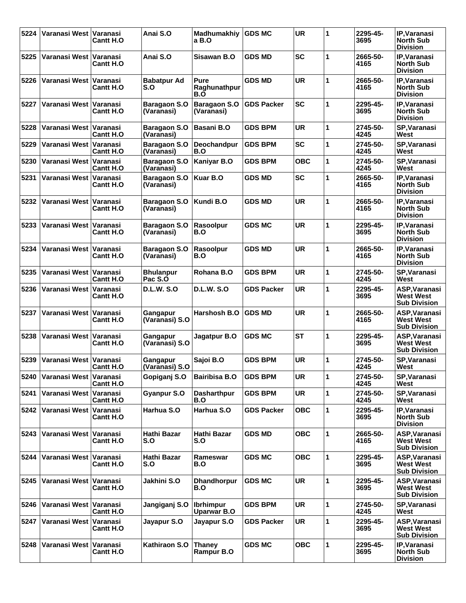| 5224 | Varanasi West Varanasi   | Cantt H.O                     | Anai S.O                          | Madhumakhiy<br>a B.O                   | <b>GDS MC</b>     | <b>UR</b>  | 1 | 2295-45-<br>3695 | IP, Varanasi<br><b>North Sub</b><br><b>Division</b>       |
|------|--------------------------|-------------------------------|-----------------------------------|----------------------------------------|-------------------|------------|---|------------------|-----------------------------------------------------------|
| 5225 | Varanasi West            | <b>IVaranasi</b><br>Cantt H.O | Anai S.O                          | Sisawan B.O                            | <b>GDS MD</b>     | <b>SC</b>  | 1 | 2665-50-<br>4165 | <b>IP.Varanasi</b><br><b>North Sub</b><br><b>Division</b> |
| 5226 | Varanasi West            | Varanasi<br>Cantt H.O         | <b>Babatpur Ad</b><br>S.O         | <b>Pure</b><br>Raghunathpur<br>B.O     | <b>GDS MD</b>     | <b>UR</b>  | 1 | 2665-50-<br>4165 | IP, Varanasi<br><b>North Sub</b><br><b>Division</b>       |
| 5227 | Varanasi West Varanasi   | <b>Cantt H.O</b>              | <b>Baragaon S.O</b><br>(Varanasi) | <b>Baragaon S.O</b><br>(Varanasi)      | <b>GDS Packer</b> | <b>SC</b>  | 1 | 2295-45-<br>3695 | IP, Varanasi<br><b>North Sub</b><br><b>Division</b>       |
| 5228 | Varanasi West   Varanasi | Cantt H.O                     | Baragaon S.O<br>(Varanasi)        | <b>Basani B.O</b>                      | <b>GDS BPM</b>    | <b>UR</b>  | 1 | 2745-50-<br>4245 | <b>SP, Varanasi</b><br>West                               |
| 5229 | Varanasi West Varanasi   | <b>Cantt H.O</b>              | <b>Baragaon S.O</b><br>(Varanasi) | Deochandpur<br>B.O                     | <b>GDS BPM</b>    | <b>SC</b>  | 1 | 2745-50-<br>4245 | SP, Varanasi<br>West                                      |
| 5230 | Varanasi West Varanasi   | <b>Cantt H.O</b>              | <b>Baragaon S.O</b><br>(Varanasi) | Kaniyar B.O                            | <b>GDS BPM</b>    | <b>OBC</b> | 1 | 2745-50-<br>4245 | SP, Varanasi<br>West                                      |
| 5231 | Varanasi West Varanasi   | Cantt H.O                     | <b>Baragaon S.O</b><br>(Varanasi) | <b>Kuar B.O</b>                        | <b>GDS MD</b>     | <b>SC</b>  | 1 | 2665-50-<br>4165 | IP, Varanasi<br><b>North Sub</b><br><b>Division</b>       |
| 5232 | Varanasi West   Varanasi | Cantt H.O                     | Baragaon S.O<br>(Varanasi)        | Kundi B.O                              | <b>GDS MD</b>     | <b>UR</b>  | 1 | 2665-50-<br>4165 | IP, Varanasi<br><b>North Sub</b><br><b>Division</b>       |
| 5233 | Varanasi West Varanasi   | Cantt H.O                     | <b>Baragaon S.O</b><br>(Varanasi) | Rasoolpur<br>B.O                       | <b>GDS MC</b>     | <b>UR</b>  | 1 | 2295-45-<br>3695 | IP, Varanasi<br><b>North Sub</b><br><b>Division</b>       |
| 5234 | Varanasi West            | <b>IVaranasi</b><br>Cantt H.O | <b>Baragaon S.O</b><br>(Varanasi) | Rasoolpur<br>B.O                       | <b>GDS MD</b>     | <b>UR</b>  | 1 | 2665-50-<br>4165 | <b>IP.Varanasi</b><br><b>North Sub</b><br><b>Division</b> |
| 5235 | Varanasi West   Varanasi | <b>Cantt H.O</b>              | <b>Bhulanpur</b><br>Pac S.O       | Rohana B.O                             | <b>GDS BPM</b>    | <b>UR</b>  | 1 | 2745-50-<br>4245 | SP, Varanasi<br>West                                      |
| 5236 | Varanasi West            | lVaranasi<br>Cantt H.O        | <b>D.L.W. S.O</b>                 | <b>D.L.W. S.O</b>                      | <b>GDS Packer</b> | <b>UR</b>  | 1 | 2295-45-<br>3695 | ASP, Varanasi<br>West West<br><b>Sub Division</b>         |
| 5237 | Varanasi West            | <b>IVaranasi</b><br>Cantt H.O | Gangapur<br>(Varanasi) S.O        | Harshosh B.O                           | <b>GDS MD</b>     | <b>UR</b>  | 1 | 2665-50-<br>4165 | ASP, Varanasi<br>West West<br><b>Sub Division</b>         |
| 5238 | Varanasi West            | Varanasi<br><b>Cantt H.O.</b> | Gangapur<br>(Varanasi) S.O        | Jagatpur B.O                           | <b>GDS MC</b>     | <b>ST</b>  | 1 | 2295-45-<br>3695 | ASP, Varanasi<br><b>West West</b><br><b>Sub Division</b>  |
| 5239 | Varanasi West Varanasi   | <b>Cantt H.O</b>              | Gangapur<br>(Varanasi) S.O        | Sajoi B.O                              | <b>GDS BPM</b>    | <b>UR</b>  | 1 | 2745-50-<br>4245 | SP, Varanasi<br>West                                      |
| 5240 | ∣Varanasi West ∣Varanasi | Cantt H.O                     | Gopiganj S.O                      | <b>Bairibisa B.O</b>                   | <b>GDS BPM</b>    | UR         | 1 | 2745-50-<br>4245 | SP, Varanasi<br>West                                      |
| 5241 | Varanasi West Varanasi   | <b>Cantt H.O</b>              | <b>Gyanpur S.O</b>                | <b>Dasharthpur</b><br>B.O              | <b>GDS BPM</b>    | <b>UR</b>  | 1 | 2745-50-<br>4245 | SP, Varanasi<br>West                                      |
| 5242 | Varanasi West Varanasi   | <b>Cantt H.O</b>              | Harhua S.O                        | Harhua S.O                             | <b>GDS Packer</b> | <b>OBC</b> | 1 | 2295-45-<br>3695 | IP, Varanasi<br><b>North Sub</b><br><b>Division</b>       |
| 5243 | Varanasi West Varanasi   | Cantt H.O                     | Hathi Bazar<br>S.O                | Hathi Bazar<br>S.O                     | <b>GDS MD</b>     | <b>OBC</b> | 1 | 2665-50-<br>4165 | ASP, Varanasi<br><b>West West</b><br><b>Sub Division</b>  |
| 5244 | ∣Varanasi West ∣Varanasi | <b>Cantt H.O</b>              | Hathi Bazar<br>S.O                | Rameswar<br>B.O                        | <b>GDS MC</b>     | <b>OBC</b> | 1 | 2295-45-<br>3695 | ASP, Varanasi<br>West West<br><b>Sub Division</b>         |
| 5245 | ∣Varanasi West ∣Varanasi | <b>Cantt H.O</b>              | Jakhini S.O                       | <b>Dhandhorpur</b><br>B.O              | <b>GDS MC</b>     | UR.        | 1 | 2295-45-<br>3695 | ASP, Varanasi<br>West West<br><b>Sub Division</b>         |
| 5246 | Varanasi West Varanasi   | Cantt H.O                     | Jangiganj S.O                     | <b>Ibrhimpur</b><br><b>Uparwar B.O</b> | <b>GDS BPM</b>    | UR         | 1 | 2745-50-<br>4245 | SP, Varanasi<br>West                                      |
| 5247 | ∣Varanasi West ∣Varanasi | <b>Cantt H.O</b>              | Jayapur S.O                       | Jayapur S.O                            | <b>GDS Packer</b> | UR         | 1 | 2295-45-<br>3695 | ASP, Varanasi<br>West West<br><b>Sub Division</b>         |
| 5248 | Varanasi West Varanasi   | <b>Cantt H.O</b>              | Kathiraon S.O                     | <b>Thaney</b><br>Rampur B.O            | <b>GDS MC</b>     | <b>OBC</b> | 1 | 2295-45-<br>3695 | IP, Varanasi<br><b>North Sub</b><br><b>Division</b>       |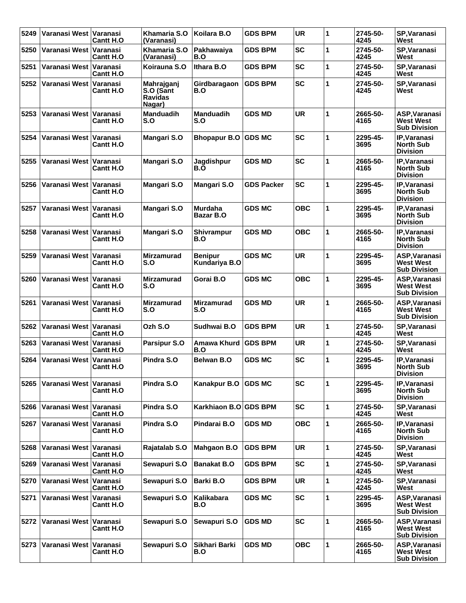| 5249 | Varanasi West Varanasi   | <b>Cantt H.O.</b>                   | Khamaria S.O<br>(Varanasi)                   | Koilara B.O                     | <b>GDS BPM</b>    | <b>UR</b>  | 1 | 2745-50-<br>4245 | SP, Varanasi<br>West                                           |
|------|--------------------------|-------------------------------------|----------------------------------------------|---------------------------------|-------------------|------------|---|------------------|----------------------------------------------------------------|
| 5250 | Varanasi West            | <b>Varanasi</b><br><b>Cantt H.O</b> | Khamaria S.O<br>(Varanasi)                   | Pakhawaiya<br>B.O               | <b>GDS BPM</b>    | <b>SC</b>  | 1 | 2745-50-<br>4245 | SP, Varanasi<br>West                                           |
| 5251 | Varanasi West Varanasi   | <b>Cantt H.O</b>                    | Koirauna S.O                                 | Ithara B.O                      | <b>GDS BPM</b>    | <b>SC</b>  | 1 | 2745-50-<br>4245 | SP, Varanasi<br>West                                           |
| 5252 | Varanasi West            | Varanasi<br><b>Cantt H.O</b>        | Mahrajganj<br>S.O (Sant<br>Ravidas<br>Nagar) | Girdbaragaon<br>B.O             | <b>GDS BPM</b>    | <b>SC</b>  | 1 | 2745-50-<br>4245 | SP, Varanasi<br>West                                           |
| 5253 | Varanasi West Varanasi   | <b>Cantt H.O.</b>                   | <b>Manduadih</b><br>S.O                      | <b>Manduadih</b><br>S.O         | <b>GDS MD</b>     | <b>UR</b>  | 1 | 2665-50-<br>4165 | <b>ASP.Varanasi</b><br><b>West West</b><br><b>Sub Division</b> |
| 5254 | Varanasi West   Varanasi | <b>Cantt H.O</b>                    | <b>Mangari S.O</b>                           | <b>Bhopapur B.O</b>             | <b>GDS MC</b>     | <b>SC</b>  | 1 | 2295-45-<br>3695 | IP, Varanasi<br><b>North Sub</b><br><b>Division</b>            |
| 5255 | Varanasi West   Varanasi | Cantt H.O                           | <b>Mangari S.O</b>                           | Jagdishpur<br>B.O               | <b>GDS MD</b>     | <b>SC</b>  | 1 | 2665-50-<br>4165 | IP, Varanasi<br><b>North Sub</b><br><b>Division</b>            |
| 5256 | Varanasi West            | Varanasi<br><b>Cantt H.O</b>        | <b>Mangari S.O</b>                           | <b>Mangari S.O</b>              | <b>GDS Packer</b> | <b>SC</b>  | 1 | 2295-45-<br>3695 | <b>IP.Varanasi</b><br><b>North Sub</b><br><b>Division</b>      |
| 5257 | Varanasi West            | Varanasi<br><b>Cantt H.O</b>        | Mangari S.O                                  | <b>Murdaha</b><br>Bazar B.O     | <b>GDS MC</b>     | <b>OBC</b> | 1 | 2295-45-<br>3695 | IP, Varanasi<br><b>North Sub</b><br><b>Division</b>            |
| 5258 | Varanasi West Varanasi   | <b>Cantt H.O.</b>                   | <b>Mangari S.O</b>                           | Shivrampur<br>B.O               | <b>GDS MD</b>     | OBC        | 1 | 2665-50-<br>4165 | <b>IP, Varanasi</b><br><b>North Sub</b><br><b>Division</b>     |
| 5259 | Varanasi West   Varanasi | <b>Cantt H.O</b>                    | <b>Mirzamurad</b><br>S.O                     | <b>Benipur</b><br>Kundariya B.O | <b>GDS MC</b>     | <b>UR</b>  | 1 | 2295-45-<br>3695 | ASP, Varanasi<br>West West<br><b>Sub Division</b>              |
| 5260 | Varanasi West            | Varanasi<br><b>Cantt H.O</b>        | <b>Mirzamurad</b><br>S.O                     | Gorai B.O                       | <b>GDS MC</b>     | <b>OBC</b> | 1 | 2295-45-<br>3695 | ASP, Varanasi<br>West West<br><b>Sub Division</b>              |
| 5261 | Varanasi West   Varanasi | <b>Cantt H.O</b>                    | Mirzamurad<br>S.O                            | <b>Mirzamurad</b><br>S.O        | <b>GDS MD</b>     | <b>UR</b>  | 1 | 2665-50-<br>4165 | ASP, Varanasi<br>West West<br><b>Sub Division</b>              |
| 5262 | Varanasi West            | Varanasi<br><b>Cantt H.O</b>        | Ozh S.O                                      | Sudhwai B.O                     | <b>GDS BPM</b>    | <b>UR</b>  | 1 | 2745-50-<br>4245 | SP, Varanasi<br>West                                           |
| 5263 | Varanasi West Varanasi   | <b>Cantt H.O</b>                    | Parsipur S.O                                 | Amawa Khurd<br>B.O              | <b>GDS BPM</b>    | <b>UR</b>  | 1 | 2745-50-<br>4245 | SP, Varanasi<br>West                                           |
| 5264 | Varanasi West Varanasi   | <b>Cantt H.O</b>                    | Pindra S.O                                   | Belwan B.O                      | <b>GDS MC</b>     | <b>SC</b>  | 1 | 2295-45-<br>3695 | IP, Varanasi<br><b>North Sub</b><br><b>Division</b>            |
| 5265 | Varanasi West Varanasi   | <b>Cantt H.O.</b>                   | Pindra S.O                                   | Kanakpur B.O                    | <b>GDS MC</b>     | <b>SC</b>  | 1 | 2295-45-<br>3695 | IP, Varanasi<br><b>North Sub</b><br><b>Division</b>            |
| 5266 | Varanasi West            | Varanasi<br><b>Cantt H.O</b>        | Pindra S.O                                   | Karkhiaon B.O GDS BPM           |                   | <b>SC</b>  | 1 | 2745-50-<br>4245 | SP, Varanasi<br>West                                           |
| 5267 | Varanasi West            | Varanasi<br><b>Cantt H.O</b>        | Pindra S.O                                   | Pindarai B.O                    | <b>GDS MD</b>     | <b>OBC</b> | 1 | 2665-50-<br>4165 | IP, Varanasi<br><b>North Sub</b><br><b>Division</b>            |
| 5268 | Varanasi West Varanasi   | Cantt H.O                           | Rajatalab S.O                                | <b>Mahgaon B.O</b>              | <b>GDS BPM</b>    | <b>UR</b>  | 1 | 2745-50-<br>4245 | SP, Varanasi<br>West                                           |
| 5269 | Varanasi West            | Varanasi<br><b>Cantt H.O</b>        | Sewapuri S.O                                 | <b>Banakat B.O</b>              | <b>GDS BPM</b>    | <b>SC</b>  | 1 | 2745-50-<br>4245 | SP, Varanasi<br>West                                           |
| 5270 | Varanasi West            | Varanasi<br><b>Cantt H.O.</b>       | Sewapuri S.O                                 | Barki B.O                       | <b>GDS BPM</b>    | <b>UR</b>  | 1 | 2745-50-<br>4245 | SP, Varanasi<br>West                                           |
| 5271 | Varanasi West            | Varanasi<br><b>Cantt H.O</b>        | Sewapuri S.O                                 | Kalikabara<br>B.O               | <b>GDS MC</b>     | <b>SC</b>  | 1 | 2295-45-<br>3695 | ASP, Varanasi<br>West West<br><b>Sub Division</b>              |
| 5272 | Varanasi West            | Varanasi<br><b>Cantt H.O</b>        | Sewapuri S.O                                 | Sewapuri S.O                    | <b>GDS MD</b>     | <b>SC</b>  | 1 | 2665-50-<br>4165 | ASP, Varanasi<br><b>West West</b><br><b>Sub Division</b>       |
| 5273 | Varanasi West            | Varanasi<br><b>Cantt H.O.</b>       | Sewapuri S.O                                 | Sikhari Barki<br>B.O            | <b>GDS MD</b>     | <b>OBC</b> | 1 | 2665-50-<br>4165 | ASP, Varanasi<br>West West<br><b>Sub Division</b>              |